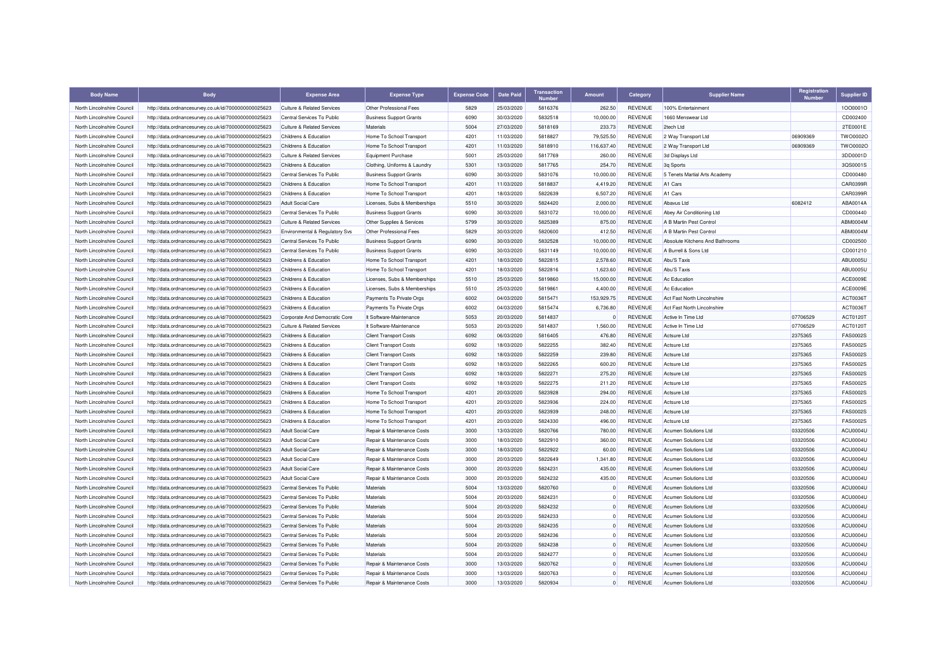| <b>Body Name</b>                                         | <b>Body</b>                                                                                                  | <b>Expense Area</b>                           | <b>Expense Type</b>            | <b>Expense Code</b> | <b>Date Paid</b> | <b>Transaction</b><br><b>Numbo</b> | <b>Amount</b> | Category       | <b>Supplier Name</b>                                | Registration<br><b>Number</b> | <b>Supplier ID</b> |
|----------------------------------------------------------|--------------------------------------------------------------------------------------------------------------|-----------------------------------------------|--------------------------------|---------------------|------------------|------------------------------------|---------------|----------------|-----------------------------------------------------|-------------------------------|--------------------|
| North Lincolnshire Council                               | http://data.ordnancesurvey.co.uk/id/7000000000025623                                                         | <b>Culture &amp; Related Services</b>         | Other Professional Fees        | 5829                | 25/03/2020       | 5816376                            | 262.50        | REVENUE        | 100% Entertainment                                  |                               | 10000010           |
| North Lincolnshire Council                               | http://data.ordnancesurvey.co.uk/id/7000000000025623                                                         | Central Services To Public                    | <b>Business Support Grants</b> | 6090                | 30/03/2020       | 5832518                            | 10.000.00     | <b>REVENUE</b> | 1660 Menswear Ltd                                   |                               | CD002400           |
| North Lincolnshire Council                               | http://data.ordnancesurvey.co.uk/id/7000000000025623                                                         | <b>Culture &amp; Related Services</b>         | Materials                      | 5004                | 27/03/2020       | 5818169                            | 233.73        | <b>REVENUE</b> | 2tech Ltd                                           |                               | 2TE0001E           |
| North Lincolnshire Council                               | http://data.ordnancesurvey.co.uk/id/7000000000025623                                                         | Childrens & Education                         | Home To School Transport       | 4201                | 11/03/2020       | 5818827                            | 79,525.50     | REVENUE        | 2 Way Transport Ltd                                 | 06909369                      | TWO0002C           |
| North Lincolnshire Council                               | http://data.ordnancesurvey.co.uk/id/7000000000025623                                                         | Childrens & Education                         | Home To School Transport       | 4201                | 11/03/2020       | 5818910                            | 116,637.40    | <b>REVENUE</b> | 2 Way Transport Ltd                                 | 06909369                      | TWO0002C           |
| North Lincolnshire Council                               | http://data.ordnancesurvey.co.uk/id/7000000000025623                                                         | <b>Culture &amp; Related Services</b>         | <b>Equipment Purchase</b>      | 5001                | 25/03/2020       | 5817769                            | 260.00        | <b>REVENUE</b> | 3d Displays Ltd                                     |                               | 3DD0001D           |
| North Lincolnshire Council                               | http://data.ordnancesurvey.co.uk/id/7000000000025623                                                         | Childrens & Education                         | Clothing, Uniforms & Laundry   | 5301                | 13/03/2020       | 5817765                            | 254.70        | REVENUE        | 3q Sports                                           |                               | 3QS0001S           |
| North Lincolnshire Council                               | http://data.ordnancesurvey.co.uk/id/7000000000025623                                                         | Central Services To Public                    | <b>Business Support Grants</b> | 6090                | 30/03/2020       | 5831076                            | 10,000.00     | <b>REVENUE</b> | 5 Tenets Martial Arts Academy                       |                               | CD000480           |
| North Lincolnshire Council                               | http://data.ordnancesurvey.co.uk/id/7000000000025623                                                         | Childrens & Education                         | Home To School Transport       | 4201                | 11/03/2020       | 5818837                            | 4,419.20      | REVENUE        | A1 Cars                                             |                               | CAR0399F           |
| North Lincolnshire Council                               | http://data.ordnancesurvey.co.uk/id/7000000000025623                                                         | Childrens & Education                         | Home To School Transport       | 4201                | 18/03/2020       | 5822639                            | 6,507.20      | REVENUE        | A1 Cars                                             |                               | CAR0399F           |
| North Lincolnshire Council                               | http://data.ordnancesurvey.co.uk/id/7000000000025623                                                         | <b>Adult Social Care</b>                      | Licenses, Subs & Memberships   | 5510                | 30/03/2020       | 5824420                            | 2,000.00      | <b>REVENUE</b> | Abavus Ltd                                          | 6082412                       | ABA0014A           |
| North Lincolnshire Council                               | http://data.ordnancesurvey.co.uk/id/7000000000025623                                                         | Central Services To Public                    | <b>Business Support Grants</b> | 6090                | 30/03/2020       | 5831072                            | 10,000.00     | <b>REVENUE</b> | Abey Air Conditioning Ltd                           |                               | CD000440           |
| North Lincolnshire Council                               | http://data.ordnancesurvey.co.uk/id/7000000000025623                                                         | <b>Culture &amp; Related Services</b>         | Other Supplies & Services      | 5799                | 30/03/2020       | 5825389                            | 875.00        | REVENUE        | A B Martin Pest Control                             |                               | ABM0004M           |
| North Lincolnshire Council                               | http://data.ordnancesurvey.co.uk/id/7000000000025623                                                         | Environmental & Regulatory Svs                | Other Professional Fees        | 5829                | 30/03/2020       | 5820600                            | 412.50        | REVENUE        | A B Martin Pest Control                             |                               | ABM0004M           |
| North Lincolnshire Council                               | http://data.ordnancesurvey.co.uk/id/7000000000025623                                                         | Central Services To Public                    | <b>Business Support Grants</b> | 6090                | 30/03/2020       | 5832528                            | 10,000.00     | <b>REVENUE</b> | Absolute Kitchens And Bathrooms                     |                               | CD002500           |
| North Lincolnshire Council                               | http://data.ordnancesurvey.co.uk/id/7000000000025623                                                         | Central Services To Public                    | <b>Business Support Grants</b> | 6090                | 30/03/2020       | 5831149                            | 10,000.00     | REVENUE        | A Burrell & Sons Ltd                                |                               | CD001210           |
| North Lincolnshire Council                               | http://data.ordnancesurvey.co.uk/id/7000000000025623                                                         | Childrens & Education                         | Home To School Transport       | 4201                | 18/03/2020       | 5822815                            | 2,578.60      | REVENUE        | Abu'S Taxis                                         |                               | <b>ABU0005U</b>    |
| North Lincolnshire Council                               | http://data.ordnancesurvey.co.uk/id/7000000000025623                                                         | Childrens & Education                         | Home To School Transport       | 4201                | 18/03/2020       | 5822816                            | 1,623.60      | <b>REVENUE</b> | Abu'S Taxis                                         |                               | ABU0005U           |
| North Lincolnshire Council                               | http://data.ordnancesurvey.co.uk/id/7000000000025623                                                         | Childrens & Education                         | Licenses, Subs & Memberships   | 5510                | 25/03/2020       | 5819860                            | 15,000.00     | REVENUE        | Ac Education                                        |                               | <b>ACE0009E</b>    |
| North Lincolnshire Council                               | http://data.ordnancesurvey.co.uk/id/7000000000025623                                                         | Childrens & Education                         | Licenses, Subs & Memberships   | 5510                | 25/03/2020       | 5819861                            | 4,400.00      | REVENUE        | Ac Education                                        |                               | ACE0009E           |
| North Lincolnshire Council                               | http://data.ordnancesurvey.co.uk/id/7000000000025623                                                         | Childrens & Education                         | Payments To Private Orgs       | 6002                | 04/03/2020       | 5815471                            | 153,929.75    | <b>REVENUE</b> | Act Fast North Lincolnshire                         |                               | ACT0036T           |
| North Lincolnshire Council                               | http://data.ordnancesurvey.co.uk/id/7000000000025623                                                         | Childrens & Education                         | Payments To Private Orgs       | 6002                | 04/03/2020       | 5815474                            | 6,736.80      | <b>REVENUE</b> | Act Fast North Lincolnshire                         |                               | ACT0036T           |
| North Lincolnshire Council                               | http://data.ordnancesurvey.co.uk/id/7000000000025623                                                         | Corporate And Democratic Core                 | It Software-Maintenance        | 5053                | 20/03/2020       | 5814837                            |               | <b>REVENUE</b> | Active In Time Ltd                                  | 07706529                      | ACT0120T           |
| North Lincolnshire Council                               | http://data.ordnancesurvey.co.uk/id/7000000000025623                                                         | <b>Culture &amp; Related Services</b>         | It Software-Maintenance        | 5053                | 20/03/2020       | 5814837                            | 1,560.00      | <b>REVENUE</b> | Active In Time Ltd                                  | 07706529                      | ACT0120T           |
| North Lincolnshire Council                               | http://data.ordnancesurvey.co.uk/id/7000000000025623                                                         | <b>Childrens &amp; Education</b>              | <b>Client Transport Costs</b>  | 6092                | 06/03/2020       | 5816405                            | 476.80        | <b>REVENUE</b> | Actsure Ltd                                         | 2375365                       | <b>FAS0002S</b>    |
| North Lincolnshire Council                               | http://data.ordnancesurvey.co.uk/id/7000000000025623                                                         | Childrens & Education                         | <b>Client Transport Costs</b>  | 6092                | 18/03/2020       | 5822255                            | 382.40        | REVENUE        | Actsure I td                                        | 2375365                       | <b>FAS0002S</b>    |
| North Lincolnshire Council                               | http://data.ordnancesurvey.co.uk/id/7000000000025623                                                         | Childrens & Education                         | <b>Client Transport Costs</b>  | 6092                | 18/03/2020       | 5822259                            | 239.80        | <b>REVENUE</b> | Actsure Ltd                                         | 2375365                       | <b>FAS0002S</b>    |
| North Lincolnshire Council                               | http://data.ordnancesurvey.co.uk/id/7000000000025623                                                         | Childrens & Education                         | <b>Client Transport Costs</b>  | 6092                | 18/03/2020       | 5822265                            | 600.20        | REVENUE        | Actsure Ltd                                         | 2375365                       | <b>FAS0002S</b>    |
| North Lincolnshire Council                               | http://data.ordnancesurvey.co.uk/id/7000000000025623                                                         | Childrens & Education                         | <b>Client Transport Costs</b>  | 6092                | 18/03/2020       | 5822271                            | 275.20        | REVENUE        | Actsure Ltd                                         | 2375365                       | <b>FAS0002S</b>    |
| North Lincolnshire Council                               | http://data.ordnancesurvey.co.uk/id/7000000000025623                                                         | Childrens & Education                         | <b>Client Transport Costs</b>  | 6092                | 18/03/2020       | 5822275                            | 211.20        | <b>REVENUE</b> | Actsure Ltd                                         | 2375365                       | <b>FAS0002S</b>    |
| North Lincolnshire Council                               | http://data.ordnancesurvey.co.uk/id/7000000000025623                                                         | Childrens & Education                         | Home To School Transport       | 4201                | 20/03/2020       | 5823928                            | 294.00        | REVENUE        | Actsure Ltd                                         | 2375365                       | FAS0002S           |
| North Lincolnshire Council                               | http://data.ordnancesurvey.co.uk/id/7000000000025623                                                         | Childrens & Education                         | Home To School Transport       | 4201                | 20/03/2020       | 5823936                            | 224.00        | REVENUE        | Actsure Ltd                                         | 2375365                       | <b>FAS0002S</b>    |
| North Lincolnshire Council                               | http://data.ordnancesurvey.co.uk/id/7000000000025623                                                         | <b>Childrens &amp; Education</b>              | Home To School Transport       | 4201                | 20/03/2020       | 5823939                            | 248.00        | REVENUE        | Actsure Ltd                                         | 2375365                       | <b>FAS0002S</b>    |
| North Lincolnshire Council                               | http://data.ordnancesurvey.co.uk/id/7000000000025623                                                         | Childrens & Education                         | Home To School Transport       | 4201                | 20/03/2020       | 5824330                            | 496.00        | <b>REVENUE</b> | Actsure Ltd                                         | 2375365                       | <b>FAS0002S</b>    |
| North Lincolnshire Council                               | http://data.ordnancesurvey.co.uk/id/7000000000025623                                                         | <b>Adult Social Care</b>                      | Repair & Maintenance Costs     | 3000                | 13/03/2020       | 5820766                            | 780.00        | REVENUE        | Acumen Solutions Ltd                                | 03320506                      | ACU0004L           |
| North Lincolnshire Council                               | http://data.ordnancesurvey.co.uk/id/7000000000025623                                                         | <b>Adult Social Care</b>                      | Repair & Maintenance Costs     | 3000                | 18/03/2020       | 5822910                            | 360.00        | REVENUE        | Acumen Solutions Ltd                                | 03320506                      | ACU0004L           |
| North Lincolnshire Council                               | http://data.ordnancesurvey.co.uk/id/7000000000025623                                                         | <b>Adult Social Care</b>                      | Repair & Maintenance Costs     | 3000                | 18/03/2020       | 5822922                            | 60.00         | <b>REVENUE</b> | <b>Acumen Solutions Ltd</b>                         | 03320506                      | ACU0004L           |
|                                                          |                                                                                                              |                                               | Repair & Maintenance Costs     | 3000                | 20/03/2020       | 5822649                            | 1,341.80      | REVENUE        |                                                     | 03320506                      | ACU0004L           |
| North Lincolnshire Council<br>North Lincolnshire Council | http://data.ordnancesurvey.co.uk/id/7000000000025623<br>http://data.ordnancesurvey.co.uk/id/7000000000025623 | <b>Adult Social Care</b><br>Adult Social Care | Repair & Maintenance Costs     | 3000                | 20/03/2020       | 5824231                            | 435.00        | <b>REVENUE</b> | Acumen Solutions Ltd<br><b>Acumen Solutions Ltd</b> | 03320506                      | ACU0004U           |
| North Lincolnshire Council                               |                                                                                                              | <b>Adult Social Care</b>                      | Repair & Maintenance Costs     | 3000                | 20/03/2020       | 5824232                            | 435.00        | <b>REVENUE</b> | Acumen Solutions Ltd                                | 03320506                      | ACU0004L           |
| North Lincolnshire Council                               | http://data.ordnancesurvey.co.uk/id/7000000000025623                                                         | Central Services To Public                    | Materials                      | 5004                | 13/03/2020       | 5820760                            |               | REVENUE        | <b>Acumen Solutions Ltd</b>                         |                               | ACU0004U           |
| North Lincolnshire Council                               | http://data.ordnancesurvey.co.uk/id/7000000000025623                                                         | Central Services To Public                    | Materials                      | 5004                | 20/03/2020       | 5824231                            | -C            | <b>REVENUE</b> | <b>Acumen Solutions Ltd</b>                         | 03320506                      | ACU0004U           |
|                                                          | http://data.ordnancesurvey.co.uk/id/7000000000025623                                                         |                                               |                                |                     |                  |                                    |               |                |                                                     | 03320506                      |                    |
| North Lincolnshire Council                               | http://data.ordnancesurvey.co.uk/id/7000000000025623                                                         | Central Services To Public                    | Materials                      | 5004                | 20/03/2020       | 5824232                            |               | <b>REVENUE</b> | <b>Acumen Solutions Ltd</b>                         | 03320506                      | ACU0004L           |
| North Lincolnshire Council                               | http://data.ordnancesurvey.co.uk/id/7000000000025623                                                         | Central Services To Public                    | Materials                      | 5004                | 20/03/2020       | 5824233                            | $\Omega$      | REVENUE        | Acumen Solutions Ltd                                | 03320506                      | ACU0004L           |
| North Lincolnshire Council                               | http://data.ordnancesurvey.co.uk/id/7000000000025623                                                         | Central Services To Public                    | Materials                      | 5004                | 20/03/2020       | 5824235                            | $\Omega$      | <b>REVENUE</b> | <b>Acumen Solutions Ltd</b>                         | 03320506                      | ACU0004L           |
| North Lincolnshire Council                               | http://data.ordnancesurvey.co.uk/id/7000000000025623                                                         | Central Services To Public                    | Materials                      | 5004                | 20/03/2020       | 5824236                            | $\Omega$      | <b>REVENUE</b> | <b>Acumen Solutions Ltd</b>                         | 03320506                      | ACU0004L           |
| North Lincolnshire Council                               | http://data.ordnancesurvey.co.uk/id/7000000000025623                                                         | Central Services To Public                    | Materials                      | 5004                | 20/03/2020       | 5824238                            | $\Omega$      | REVENUE        | Acumen Solutions Ltd                                | 03320506                      | ACU0004L           |
| North Lincolnshire Council                               | http://data.ordnancesurvey.co.uk/id/7000000000025623                                                         | Central Services To Public                    | Materials                      | 5004                | 20/03/2020       | 5824277                            | $\Omega$      | <b>REVENUE</b> | <b>Acumen Solutions Ltd</b>                         | 03320506                      | ACU0004U           |
| North Lincolnshire Council                               | http://data.ordnancesurvey.co.uk/id/7000000000025623                                                         | Central Services To Public                    | Repair & Maintenance Costs     | 3000                | 13/03/2020       | 5820762                            |               | REVENUE        | <b>Acumen Solutions Ltd</b>                         | 03320506                      | ACU0004L           |
| North Lincolnshire Council                               | http://data.ordnancesurvey.co.uk/id/7000000000025623                                                         | Central Services To Public                    | Repair & Maintenance Costs     | 3000                | 13/03/2020       | 5820763                            | $\Omega$      | REVENUE        | Acumen Solutions Ltd                                | 03320506                      | ACU0004L           |
| North Lincolnshire Council                               | http://data.ordnancesurvey.co.uk/id/7000000000025623                                                         | Central Services To Public                    | Repair & Maintenance Costs     | 3000                | 13/03/2020       | 5820934                            | $\Omega$      | REVENUE        | <b>Acumen Solutions Ltd</b>                         | 03320506                      | <b>ACU0004U</b>    |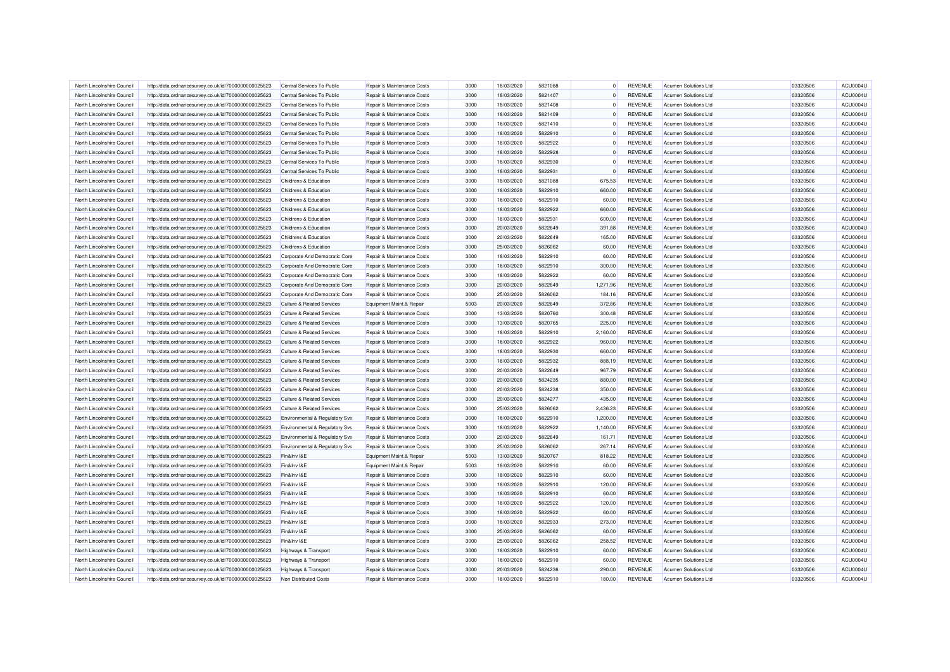| North Lincolnshire Council | http://data.ordnancesurvey.co.uk/id/7000000000025623                                                         | Central Services To Public            | Repair & Maintenance Costs | 3000 | 18/03/2020 | 5821088 | $\Omega$       | <b>REVENUE</b> | <b>Acumen Solutions Ltd</b> | 03320506 | ACU0004U |
|----------------------------|--------------------------------------------------------------------------------------------------------------|---------------------------------------|----------------------------|------|------------|---------|----------------|----------------|-----------------------------|----------|----------|
| North Lincolnshire Council | http://data.ordnancesurvey.co.uk/id/7000000000025623                                                         | Central Services To Public            | Repair & Maintenance Costs | 3000 | 18/03/2020 | 5821407 | $\Omega$       | <b>REVENUE</b> | Acumen Solutions Ltd        | 03320506 | ACU0004U |
| North Lincolnshire Council | http://data.ordnancesurvey.co.uk/id/7000000000025623                                                         | Central Services To Public            | Repair & Maintenance Costs | 3000 | 18/03/2020 | 5821408 | $\Omega$       | REVENUE        | <b>Acumen Solutions Ltd</b> | 03320506 | ACU0004U |
| North Lincolnshire Council | http://data.ordnancesurvey.co.uk/id/7000000000025623                                                         | Central Services To Public            | Repair & Maintenance Costs | 3000 | 18/03/2020 | 5821409 | $\mathbf 0$    | <b>REVENUE</b> | Acumen Solutions Ltd        | 03320506 | ACU0004U |
| North Lincolnshire Council | http://data.ordnancesurvey.co.uk/id/7000000000025623                                                         | Central Services To Public            | Repair & Maintenance Costs | 3000 | 18/03/2020 | 5821410 | $\mathbf 0$    | <b>REVENUE</b> | <b>Acumen Solutions Ltd</b> | 03320506 | ACU0004U |
| North Lincolnshire Council | http://data.ordnancesurvey.co.uk/id/7000000000025623                                                         | Central Services To Public            | Repair & Maintenance Costs | 3000 | 18/03/2020 | 5822910 | $\mathbf 0$    | REVENUE        | <b>Acumen Solutions Ltd</b> | 03320506 | ACU0004U |
| North Lincolnshire Council | http://data.ordnancesurvey.co.uk/id/7000000000025623                                                         | Central Services To Public            | Repair & Maintenance Costs | 3000 | 18/03/2020 | 5822922 | $\mathbf 0$    | <b>REVENUE</b> | <b>Acumen Solutions Ltd</b> | 03320506 | ACU0004U |
| North Lincolnshire Council | http://data.ordnancesurvey.co.uk/id/7000000000025623                                                         | Central Services To Public            | Repair & Maintenance Costs | 3000 | 18/03/2020 | 5822928 | $\Omega$       | <b>REVENUE</b> | <b>Acumen Solutions Ltd</b> | 03320506 | ACU0004U |
| North Lincolnshire Council | http://data.ordnancesurvey.co.uk/id/7000000000025623                                                         | Central Services To Public            | Repair & Maintenance Costs | 3000 | 18/03/2020 | 5822930 | $\Omega$       | <b>REVENUE</b> | <b>Acumen Solutions Ltd</b> | 03320506 | ACU0004U |
| North Lincolnshire Council | http://data.ordnancesurvey.co.uk/id/7000000000025623                                                         | Central Services To Public            | Repair & Maintenance Costs | 3000 | 18/03/2020 | 5822931 | $\mathfrak{c}$ | <b>REVENUE</b> | <b>Acumen Solutions Ltd</b> | 03320506 | ACU0004U |
| North Lincolnshire Council | http://data.ordnancesurvey.co.uk/id/7000000000025623                                                         | Childrens & Education                 | Repair & Maintenance Costs | 3000 | 18/03/2020 | 5821088 | 675.53         | <b>REVENUE</b> | <b>Acumen Solutions Ltd</b> | 03320506 | ACU0004U |
| North Lincolnshire Council | http://data.ordnancesurvey.co.uk/id/7000000000025623                                                         | Childrens & Education                 | Repair & Maintenance Costs | 3000 | 18/03/2020 | 5822910 | 660.00         | <b>REVENUE</b> | Acumen Solutions Ltd        | 03320506 | ACU0004U |
| North Lincolnshire Council | http://data.ordnancesurvey.co.uk/id/7000000000025623                                                         | Childrens & Education                 | Repair & Maintenance Costs | 3000 | 18/03/2020 | 5822910 | 60.00          | <b>REVENUE</b> | <b>Acumen Solutions Ltd</b> | 03320506 | ACU0004U |
| North Lincolnshire Council | http://data.ordnancesurvey.co.uk/id/7000000000025623                                                         | <b>Childrens &amp; Education</b>      | Repair & Maintenance Costs | 3000 | 18/03/2020 | 5822922 | 660.00         | REVENUE        | Acumen Solutions Ltd        | 03320506 | ACU0004U |
| North Lincolnshire Council | http://data.ordnancesurvey.co.uk/id/7000000000025623                                                         | Childrens & Education                 | Repair & Maintenance Costs | 3000 | 18/03/2020 | 5822931 | 600.00         | REVENUE        | <b>Acumen Solutions Ltd</b> | 03320506 | ACU0004U |
| North Lincolnshire Council | http://data.ordnancesurvey.co.uk/id/7000000000025623                                                         | Childrens & Education                 | Repair & Maintenance Costs | 3000 | 20/03/2020 | 5822649 | 391.88         | REVENUE        | <b>Acumen Solutions Ltd</b> | 03320506 | ACU0004U |
| North Lincolnshire Council | http://data.ordnancesurvey.co.uk/id/7000000000025623                                                         | Childrens & Education                 | Repair & Maintenance Costs | 3000 | 20/03/2020 | 5822649 | 165.00         | <b>REVENUE</b> | Acumen Solutions Ltd        | 03320506 | ACU0004U |
| North Lincolnshire Council | http://data.ordnancesurvey.co.uk/id/7000000000025623                                                         | Childrens & Education                 | Repair & Maintenance Costs | 3000 | 25/03/2020 | 5826062 | 60.00          | REVENUE        | <b>Acumen Solutions Ltd</b> | 03320506 | ACU0004U |
| North Lincolnshire Council | http://data.ordnancesurvey.co.uk/id/7000000000025623                                                         | Corporate And Democratic Core         | Repair & Maintenance Costs | 3000 | 18/03/2020 | 5822910 | 60.00          | <b>REVENUE</b> | <b>Acumen Solutions Ltd</b> | 03320506 | ACU0004U |
| North Lincolnshire Council | http://data.ordnancesurvey.co.uk/id/7000000000025623                                                         | Corporate And Democratic Core         | Repair & Maintenance Costs | 3000 | 18/03/2020 | 5822910 | 300.00         | REVENUE        | <b>Acumen Solutions Ltd</b> | 03320506 | ACU0004U |
| North Lincolnshire Council | http://data.ordnancesurvey.co.uk/id/7000000000025623                                                         | Corporate And Democratic Core         | Repair & Maintenance Costs | 3000 | 18/03/2020 | 5822922 | 60.00          | <b>REVENUE</b> | <b>Acumen Solutions Ltd</b> | 03320506 | ACU0004U |
| North Lincolnshire Council | http://data.ordnancesurvey.co.uk/id/7000000000025623                                                         | Corporate And Democratic Core         | Repair & Maintenance Costs | 3000 | 20/03/2020 | 5822649 | 1.271.96       | REVENUE        | Acumen Solutions Ltd        | 03320506 | ACU0004U |
| North Lincolnshire Council | http://data.ordnancesurvey.co.uk/id/7000000000025623                                                         | Corporate And Democratic Core         | Repair & Maintenance Costs | 3000 | 25/03/2020 | 5826062 | 184.16         | <b>REVENUE</b> | <b>Acumen Solutions Ltd</b> | 03320506 | ACU0004U |
| North Lincolnshire Council | http://data.ordnancesurvey.co.uk/id/7000000000025623                                                         | <b>Culture &amp; Related Services</b> | Equipment Maint.& Repair   | 5003 | 20/03/2020 | 5822649 | 372.86         | REVENUE        | Acumen Solutions Ltd        | 03320506 | ACU0004U |
| North Lincolnshire Council | http://data.ordnancesurvey.co.uk/id/7000000000025623                                                         | <b>Culture &amp; Related Services</b> | Repair & Maintenance Costs | 3000 | 13/03/2020 | 5820760 | 300.48         | REVENUE        | <b>Acumen Solutions Ltd</b> | 03320506 | ACU0004U |
| North Lincolnshire Council | http://data.ordnancesurvey.co.uk/id/7000000000025623                                                         | Culture & Related Services            | Repair & Maintenance Costs | 3000 | 13/03/2020 | 5820765 | 225.00         | REVENUE        | <b>Acumen Solutions Ltd</b> | 03320506 | ACU0004U |
| North Lincolnshire Council | http://data.ordnancesurvey.co.uk/id/7000000000025623                                                         | <b>Culture &amp; Related Services</b> | Repair & Maintenance Costs | 3000 | 18/03/2020 | 5822910 | 2,160.00       | <b>REVENUE</b> | <b>Acumen Solutions Ltd</b> | 03320506 | ACU0004U |
| North Lincolnshire Council | http://data.ordnancesurvey.co.uk/id/7000000000025623                                                         | <b>Culture &amp; Related Services</b> | Repair & Maintenance Costs | 3000 | 18/03/2020 | 5822922 | 960.00         | REVENUE        | <b>Acumen Solutions Ltd</b> | 03320506 | ACU0004U |
| North Lincolnshire Council | http://data.ordnancesurvey.co.uk/id/7000000000025623                                                         | <b>Culture &amp; Related Services</b> | Repair & Maintenance Costs | 3000 | 18/03/2020 | 5822930 | 660.00         | REVENUE        | <b>Acumen Solutions Ltd</b> | 03320506 | ACU0004U |
| North Lincolnshire Council | http://data.ordnancesurvey.co.uk/id/7000000000025623                                                         | <b>Culture &amp; Related Services</b> | Repair & Maintenance Costs | 3000 | 18/03/2020 | 5822932 | 888.19         | REVENUE        | Acumen Solutions Ltd        | 03320506 | ACU0004U |
| North Lincolnshire Council | http://data.ordnancesurvey.co.uk/id/7000000000025623                                                         | Culture & Related Services            | Repair & Maintenance Costs | 3000 | 20/03/2020 | 5822649 | 967.79         | <b>REVENUE</b> | Acumen Solutions Ltd        | 03320506 | ACU0004U |
| North Lincolnshire Council | http://data.ordnancesurvey.co.uk/id/7000000000025623                                                         | <b>Culture &amp; Related Services</b> | Repair & Maintenance Costs | 3000 | 20/03/2020 | 5824235 | 880.00         | <b>REVENUE</b> | <b>Acumen Solutions Ltd</b> | 03320506 | ACU0004U |
| North Lincolnshire Council | http://data.ordnancesurvey.co.uk/id/7000000000025623                                                         | <b>Culture &amp; Related Services</b> | Repair & Maintenance Costs | 3000 | 20/03/2020 | 5824238 | 350.00         | REVENUE        | <b>Acumen Solutions Ltd</b> | 03320506 | ACU0004U |
| North Lincolnshire Council | http://data.ordnancesurvey.co.uk/id/7000000000025623                                                         | Culture & Related Services            | Repair & Maintenance Costs | 3000 | 20/03/2020 | 5824277 | 435.00         | <b>REVENUE</b> | Acumen Solutions Ltd        | 03320506 | ACU0004U |
| North Lincolnshire Council | http://data.ordnancesurvey.co.uk/id/7000000000025623                                                         | <b>Culture &amp; Related Services</b> | Repair & Maintenance Costs | 3000 | 25/03/2020 | 5826062 | 2,436.23       | <b>REVENUE</b> | <b>Acumen Solutions Ltd</b> | 03320506 | ACU0004U |
| North Lincolnshire Council | http://data.ordnancesurvey.co.uk/id/7000000000025623                                                         | Environmental & Regulatory Svs        | Repair & Maintenance Costs | 3000 | 18/03/2020 | 5822910 | 1,200.00       | REVENUE        | Acumen Solutions Ltd        | 03320506 | ACU0004U |
| North Lincolnshire Council | http://data.ordnancesurvey.co.uk/id/7000000000025623                                                         | Environmental & Regulatory Svs        | Repair & Maintenance Costs | 3000 | 18/03/2020 | 5822922 | 1,140.00       | REVENUE        | <b>Acumen Solutions Ltd</b> | 03320506 | ACU0004U |
| North Lincolnshire Council | http://data.ordnancesurvey.co.uk/id/7000000000025623                                                         | Environmental & Regulatory Svs        | Repair & Maintenance Costs | 3000 | 20/03/2020 | 5822649 | 161.71         | REVENUE        | Acumen Solutions Ltd        | 03320506 | ACU0004U |
| North Lincolnshire Council |                                                                                                              | Environmental & Regulatory Svs        | Repair & Maintenance Costs | 3000 | 25/03/2020 | 5826062 | 267.14         | REVENUE        | Acumen Solutions Ltd        | 03320506 | ACU0004U |
| North Lincolnshire Council | http://data.ordnancesurvey.co.uk/id/7000000000025623<br>http://data.ordnancesurvey.co.uk/id/7000000000025623 | Fin&Inv I&E                           | Equipment Maint.& Repair   | 5003 | 13/03/2020 | 5820767 | 818.22         | REVENUE        | <b>Acumen Solutions Ltd</b> | 03320506 | ACU0004U |
| North Lincolnshire Council |                                                                                                              | Fin&Inv I&E                           | Equipment Maint.& Repair   | 5003 | 18/03/2020 | 5822910 | 60.00          | <b>REVENUE</b> | <b>Acumen Solutions Ltd</b> | 03320506 | ACU0004U |
| North Lincolnshire Council | http://data.ordnancesurvey.co.uk/id/7000000000025623<br>http://data.ordnancesurvey.co.uk/id/7000000000025623 | Fin&Inv I&E                           | Repair & Maintenance Costs | 3000 | 18/03/2020 | 5822910 | 60.00          | <b>REVENUE</b> | Acumen Solutions Ltd        | 03320506 | ACU0004U |
| North Lincolnshire Council | http://data.ordnancesurvey.co.uk/id/7000000000025623                                                         | Fin&Inv I&E                           | Repair & Maintenance Costs | 3000 | 18/03/2020 | 5822910 | 120.00         | <b>REVENUE</b> | <b>Acumen Solutions Ltd</b> | 03320506 | ACU0004U |
| North Lincolnshire Council |                                                                                                              | Fin&Inv I&E                           |                            | 3000 |            | 5822910 |                |                | <b>Acumen Solutions Ltd</b> |          |          |
|                            | http://data.ordnancesurvey.co.uk/id/7000000000025623                                                         |                                       | Repair & Maintenance Costs |      | 18/03/2020 |         | 60.00          | REVENUE        |                             | 03320506 | ACU0004U |
| North Lincolnshire Council | http://data.ordnancesurvey.co.uk/id/7000000000025623                                                         | Fin&Inv I&E                           | Repair & Maintenance Costs | 3000 | 18/03/2020 | 5822922 | 120.00         | REVENUE        | <b>Acumen Solutions Ltd</b> | 03320506 | ACU0004U |
| North Lincolnshire Council | http://data.ordnancesurvey.co.uk/id/7000000000025623                                                         | Fin&Inv I&E                           | Repair & Maintenance Costs | 3000 | 18/03/2020 | 5822922 | 60.00          | REVENUE        | <b>Acumen Solutions Ltd</b> | 03320506 | ACU0004U |
| North Lincolnshire Council | http://data.ordnancesurvey.co.uk/id/7000000000025623                                                         | Fin&Inv I&F                           | Repair & Maintenance Costs | 3000 | 18/03/2020 | 5822933 | 273.00         | REVENUE        | <b>Acumen Solutions Ltd</b> | 03320506 | ACU0004U |
| North Lincolnshire Council | http://data.ordnancesurvey.co.uk/id/7000000000025623                                                         | Fin&Inv I&E                           | Repair & Maintenance Costs | 3000 | 25/03/2020 | 5826062 | 60.00          | REVENUE        | <b>Acumen Solutions Ltd</b> | 03320506 | ACU0004U |
| North Lincolnshire Council | http://data.ordnancesurvey.co.uk/id/7000000000025623                                                         | Fin&Inv I&E                           | Repair & Maintenance Costs | 3000 | 25/03/2020 | 5826062 | 258.52         | <b>REVENUE</b> | <b>Acumen Solutions Ltd</b> | 03320506 | ACU0004U |
| North Lincolnshire Council | http://data.ordnancesurvey.co.uk/id/7000000000025623                                                         | Highways & Transport                  | Repair & Maintenance Costs | 3000 | 18/03/2020 | 5822910 | 60.00          | REVENUE        | <b>Acumen Solutions Ltd</b> | 03320506 | ACU0004U |
| North Lincolnshire Council | http://data.ordnancesurvey.co.uk/id/7000000000025623                                                         | <b>Highways &amp; Transport</b>       | Repair & Maintenance Costs | 3000 | 18/03/2020 | 5822910 | 60.00          | <b>REVENUE</b> | <b>Acumen Solutions Ltd</b> | 03320506 | ACU0004U |
| North Lincolnshire Council | http://data.ordnancesurvey.co.uk/id/7000000000025623                                                         | Highways & Transport                  | Repair & Maintenance Costs | 3000 | 20/03/2020 | 5824236 | 290.00         | REVENUE        | Acumen Solutions Ltd        | 03320506 | ACU0004U |
| North Lincolnshire Council | http://data.ordnancesurvey.co.uk/id/7000000000025623                                                         | Non Distributed Costs                 | Repair & Maintenance Costs | 3000 | 18/03/2020 | 5822910 | 180.00         | <b>REVENUE</b> | <b>Acumen Solutions Ltd</b> | 03320506 | ACU0004U |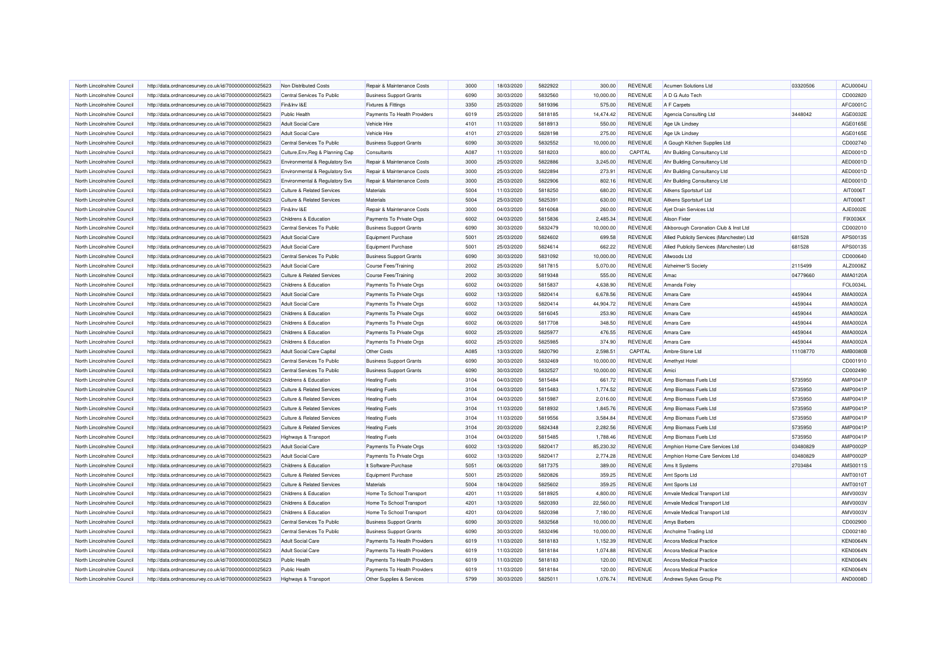| North Lincolnshire Council | http://data.ordnancesurvey.co.uk/id/7000000000025623 | Non Distributed Costs                     | Repair & Maintenance Costs     | 3000 | 18/03/2020 | 5822922            | 300.00    | <b>REVENUE</b> | <b>Acumen Solutions Ltd</b>                | 03320506 | ACU0004U        |
|----------------------------|------------------------------------------------------|-------------------------------------------|--------------------------------|------|------------|--------------------|-----------|----------------|--------------------------------------------|----------|-----------------|
| North Lincolnshire Council | http://data.ordnancesurvey.co.uk/id/7000000000025623 | Central Services To Public                | <b>Business Support Grants</b> | 6090 | 30/03/2020 | 5832560            | 10,000.00 | REVENUE        | A D G Auto Tech                            |          | CD002820        |
| North Lincolnshire Council | http://data.ordnancesurvey.co.uk/id/7000000000025623 | Fin&Inv I&E                               | <b>Fixtures &amp; Fittings</b> | 3350 | 25/03/2020 | 5819396            | 575.00    | REVENUE        | A F Carpets                                |          | AFC0001C        |
| North Lincolnshire Council | http://data.ordnancesurvey.co.uk/id/7000000000025623 | Public Health                             | Payments To Health Providers   | 6019 | 25/03/2020 | 5818185            | 14,474.42 | REVENUE        | Agencia Consulting Ltd                     | 3448042  | AGE0032E        |
| North Lincolnshire Council | http://data.ordnancesurvey.co.uk/id/7000000000025623 | <b>Adult Social Care</b>                  | Vehicle Hire                   | 4101 | 11/03/2020 | 5818913            | 550.00    | <b>REVENUE</b> | Age Uk Lindsey                             |          | AGE0165E        |
| North Lincolnshire Council | http://data.ordnancesurvey.co.uk/id/7000000000025623 | <b>Adult Social Care</b>                  | Vehicle Hire                   | 4101 | 27/03/2020 | 5828198            | 275.00    | REVENUE        | Age Uk Lindsey                             |          | AGE0165E        |
| North Lincolnshire Council | http://data.ordnancesurvey.co.uk/id/7000000000025623 | Central Services To Public                | <b>Business Support Grants</b> | 6090 | 30/03/2020 | 5832552            | 10.000.00 | <b>REVENUE</b> | A Gough Kitchen Supplies Ltd               |          | CD002740        |
| North Lincolnshire Council | http://data.ordnancesurvey.co.uk/id/7000000000025623 | Culture, Env, Reg & Planning Cap          | Consultants                    | A087 | 11/03/2020 | 5818203            | 800.00    | CAPITAL        | Ahr Building Consultancy Ltd               |          | AED0001D        |
| North Lincolnshire Council | http://data.ordnancesurvey.co.uk/id/7000000000025623 | Environmental & Regulatory Svs            | Repair & Maintenance Costs     | 3000 | 25/03/2020 | 5822886            | 3,245.00  | REVENUE        | Ahr Building Consultancy Ltd               |          | AED0001D        |
| North Lincolnshire Council | http://data.ordnancesurvey.co.uk/id/7000000000025623 | <b>Environmental &amp; Regulatory Svs</b> | Repair & Maintenance Costs     | 3000 | 25/03/2020 | 5822894            | 273.91    | REVENUE        | Ahr Building Consultancy Ltd               |          | AED0001D        |
| North Lincolnshire Council | http://data.ordnancesurvey.co.uk/id/7000000000025623 | Environmental & Regulatory Svs            | Repair & Maintenance Costs     | 3000 | 25/03/2020 | 5822906            | 802.16    | <b>REVENUE</b> | Ahr Building Consultancy Ltd               |          | AED0001D        |
| North Lincolnshire Council | http://data.ordnancesurvey.co.uk/id/7000000000025623 | <b>Culture &amp; Related Services</b>     | Materials                      | 5004 | 11/03/2020 | 5818250            | 680.20    | REVENUE        | Aitkens Sportsturf Ltd                     |          | AIT0006T        |
| North Lincolnshire Council | http://data.ordnancesurvey.co.uk/id/7000000000025623 | <b>Culture &amp; Related Services</b>     | Materials                      | 5004 | 25/03/2020 | 5825391            | 630.00    | REVENUE        | Aitkens Sportsturf Ltd                     |          | AIT0006T        |
| North Lincolnshire Council | http://data.ordnancesurvey.co.uk/id/7000000000025623 | Fin&Inv I&F                               | Repair & Maintenance Costs     | 3000 | 04/03/2020 | 5816068            | 260.00    | REVENUE        | Ajet Drain Services Ltd                    |          | AJE0002E        |
| North Lincolnshire Council | http://data.ordnancesurvey.co.uk/id/7000000000025623 | Childrens & Education                     | Payments To Private Orgs       | 6002 | 04/03/2020 | 5815836            | 2.485.34  | <b>REVENUE</b> | <b>Alison Fixter</b>                       |          | <b>FIX0036X</b> |
| North Lincolnshire Council | http://data.ordnancesurvey.co.uk/id/7000000000025623 | Central Services To Public                | <b>Business Support Grants</b> | 6090 | 30/03/2020 | 5832479            | 10,000.00 | <b>REVENUE</b> | Alkborough Coronation Club & Inst Ltd      |          | CD002010        |
| North Lincolnshire Council | http://data.ordnancesurvey.co.uk/id/7000000000025623 | <b>Adult Social Care</b>                  | <b>Equipment Purchase</b>      | 5001 | 25/03/2020 | 5824602            | 699.58    | <b>REVENUE</b> | Allied Publicity Services (Manchester) Ltd | 681528   | APS0013S        |
| North Lincolnshire Council | http://data.ordnancesurvey.co.uk/id/7000000000025623 | <b>Adult Social Care</b>                  | <b>Equipment Purchase</b>      | 5001 | 25/03/2020 | 5824614            | 662.22    | REVENUE        | Allied Publicity Services (Manchester) Ltd | 681528   | APS0013S        |
| North Lincolnshire Council | http://data.ordnancesurvey.co.uk/id/7000000000025623 | Central Services To Public                | <b>Business Support Grants</b> | 6090 | 30/03/2020 | 5831092            | 10,000.00 | <b>REVENUE</b> | Allwoods Ltd                               |          | CD000640        |
| North Lincolnshire Council | http://data.ordnancesurvey.co.uk/id/7000000000025623 | <b>Adult Social Care</b>                  | <b>Course Fees/Training</b>    | 2002 | 25/03/2020 | 5817815            | 5,070.00  | <b>REVENUE</b> | Alzheimer'S Society                        | 2115499  | ALZ0008Z        |
| North Lincolnshire Council | http://data.ordnancesurvey.co.uk/id/7000000000025623 | <b>Culture &amp; Related Services</b>     | <b>Course Fees/Training</b>    | 2002 | 30/03/2020 | 5819348            | 555.00    | REVENUE        | Amac                                       | 04779660 | AMA0120A        |
| North Lincolnshire Council | http://data.ordnancesurvey.co.uk/id/7000000000025623 | Childrens & Education                     | Payments To Private Orgs       | 6002 | 04/03/2020 | 5815837            | 4,638.90  | REVENUE        | Amanda Foley                               |          | FOL0034L        |
| North Lincolnshire Council | http://data.ordnancesurvey.co.uk/id/7000000000025623 | <b>Adult Social Care</b>                  | Payments To Private Orgs       | 6002 | 13/03/2020 | 5820414            | 6,678.56  | REVENUE        | Amara Care                                 | 4459044  | AMA0002A        |
| North Lincolnshire Council |                                                      | <b>Adult Social Care</b>                  |                                | 6002 | 13/03/2020 | 5820414            | 44,904.72 | REVENUE        | Amara Care                                 | 4459044  | AMA0002A        |
|                            | http://data.ordnancesurvey.co.uk/id/7000000000025623 |                                           | Payments To Private Orgs       | 6002 |            | 5816045            |           | REVENUE        | Amara Care                                 | 4459044  | AMA0002A        |
| North Lincolnshire Council | http://data.ordnancesurvey.co.uk/id/7000000000025623 | Childrens & Education                     | Payments To Private Orgs       |      | 04/03/2020 |                    | 253.90    |                |                                            |          |                 |
| North Lincolnshire Council | http://data.ordnancesurvey.co.uk/id/7000000000025623 | Childrens & Education                     | Payments To Private Orgs       | 6002 | 06/03/2020 | 5817708            | 348.50    | REVENUE        | Amara Care                                 | 4459044  | AMA0002A        |
| North Lincolnshire Council | http://data.ordnancesurvey.co.uk/id/7000000000025623 | <b>Childrens &amp; Education</b>          | Payments To Private Orgs       | 6002 | 25/03/2020 | 5825977<br>5825985 | 476.55    | <b>REVENUE</b> | Amara Care                                 | 4459044  | AMA0002A        |
| North Lincolnshire Council | http://data.ordnancesurvey.co.uk/id/7000000000025623 | Childrens & Education                     | Payments To Private Orgs       | 6002 | 25/03/2020 |                    | 374.90    | REVENUE        | Amara Care                                 | 4459044  | AMA0002A        |
| North Lincolnshire Council | http://data.ordnancesurvey.co.uk/id/7000000000025623 | <b>Adult Social Care Capital</b>          | Other Costs                    | A085 | 13/03/2020 | 5820790            | 2.598.51  | CAPITAL        | Ambre-Stone Ltd                            | 11108770 | <b>AMB0080B</b> |
| North Lincolnshire Council | http://data.ordnancesurvey.co.uk/id/7000000000025623 | Central Services To Public                | <b>Business Support Grants</b> | 6090 | 30/03/2020 | 5832469            | 10,000.00 | <b>REVENUE</b> | Amethyst Hotel                             |          | CD001910        |
| North Lincolnshire Council | http://data.ordnancesurvey.co.uk/id/7000000000025623 | Central Services To Public                | <b>Business Support Grants</b> | 6090 | 30/03/2020 | 5832527            | 10,000.00 | REVENUE        | Amici                                      |          | CD002490        |
| North Lincolnshire Council | http://data.ordnancesurvey.co.uk/id/7000000000025623 | Childrens & Education                     | <b>Heating Fuels</b>           | 3104 | 04/03/2020 | 5815484            | 661.72    | REVENUE        | Amp Biomass Fuels Ltd                      | 5735950  | <b>AMP0041F</b> |
| North Lincolnshire Council | http://data.ordnancesurvey.co.uk/id/7000000000025623 | <b>Culture &amp; Related Services</b>     | <b>Heating Fuels</b>           | 3104 | 04/03/2020 | 5815483            | 1,774.52  | REVENUE        | Amp Biomass Fuels Ltd                      | 5735950  | <b>AMP0041F</b> |
| North Lincolnshire Council | http://data.ordnancesurvey.co.uk/id/7000000000025623 | <b>Culture &amp; Related Services</b>     | <b>Heating Fuels</b>           | 3104 | 04/03/2020 | 5815987            | 2,016.00  | REVENUE        | Amp Biomass Fuels Ltd                      | 5735950  | AMP0041P        |
| North Lincolnshire Council | http://data.ordnancesurvey.co.uk/id/7000000000025623 | <b>Culture &amp; Related Services</b>     | <b>Heating Fuels</b>           | 3104 | 11/03/2020 | 5818932            | 1,845.76  | REVENUE        | Amp Biomass Fuels Ltd                      | 5735950  | <b>AMP0041F</b> |
| North Lincolnshire Council | http://data.ordnancesurvey.co.uk/id/7000000000025623 | <b>Culture &amp; Related Services</b>     | <b>Heating Fuels</b>           | 3104 | 11/03/2020 | 5819556            | 3,584.84  | REVENUE        | Amp Biomass Fuels Ltd                      | 5735950  | <b>AMP0041F</b> |
| North Lincolnshire Council | http://data.ordnancesurvey.co.uk/id/7000000000025623 | <b>Culture &amp; Related Services</b>     | <b>Heating Fuels</b>           | 3104 | 20/03/2020 | 5824348            | 2,282.56  | REVENUE        | Amp Biomass Fuels Ltd                      | 5735950  | AMP0041F        |
| North Lincolnshire Council | http://data.ordnancesurvey.co.uk/id/7000000000025623 | Highways & Transport                      | <b>Heating Fuels</b>           | 3104 | 04/03/2020 | 5815485            | 1,788.46  | <b>REVENUE</b> | Amp Biomass Fuels Ltd                      | 5735950  | AMP0041P        |
| North Lincolnshire Council | http://data.ordnancesurvey.co.uk/id/7000000000025623 | <b>Adult Social Care</b>                  | Payments To Private Orgs       | 6002 | 13/03/2020 | 5820417            | 85,230.32 | REVENUE        | Amphion Home Care Services Ltd             | 03480829 | AMP0002P        |
| North Lincolnshire Council | http://data.ordnancesurvey.co.uk/id/7000000000025623 | Adult Social Care                         | Payments To Private Orgs       | 6002 | 13/03/2020 | 5820417            | 2,774.28  | <b>REVENUE</b> | Amphion Home Care Services Ltd             | 03480829 | AMP0002F        |
| North Lincolnshire Council | http://data.ordnancesurvey.co.uk/id/7000000000025623 | Childrens & Education                     | It Software-Purchase           | 5051 | 06/03/2020 | 5817375            | 389.00    | REVENUE        | Ams It Systems                             | 2703484  | AMS0011S        |
| North Lincolnshire Council | http://data.ordnancesurvey.co.uk/id/7000000000025623 | <b>Culture &amp; Related Services</b>     | Equipment Purchase             | 5001 | 25/03/2020 | 5820826            | 359.25    | <b>REVENUE</b> | Amt Sports Ltd                             |          | AMT0010T        |
| North Lincolnshire Council | http://data.ordnancesurvey.co.uk/id/7000000000025623 | <b>Culture &amp; Related Services</b>     | Materials                      | 5004 | 18/04/2020 | 5825602            | 359.25    | <b>REVENUE</b> | Amt Sports Ltd                             |          | AMT0010T        |
| North Lincolnshire Council | http://data.ordnancesurvey.co.uk/id/7000000000025623 | Childrens & Education                     | Home To School Transport       | 4201 | 11/03/2020 | 5818925            | 4,800.00  | <b>REVENUE</b> | Amvale Medical Transport Ltd               |          | AMV0003\        |
| North Lincolnshire Council | http://data.ordnancesurvey.co.uk/id/7000000000025623 | Childrens & Education                     | Home To School Transport       | 4201 | 13/03/2020 | 5820393            | 22,560.00 | REVENUE        | Amvale Medical Transport Ltd               |          | AMV0003\        |
| North Lincolnshire Council | http://data.ordnancesurvey.co.uk/id/7000000000025623 | Childrens & Education                     | Home To School Transport       | 4201 | 03/04/2020 | 5820398            | 7,180.00  | <b>REVENUE</b> | Amvale Medical Transport Ltd               |          | AMV0003\        |
| North Lincolnshire Council | http://data.ordnancesurvey.co.uk/id/7000000000025623 | Central Services To Public                | <b>Business Support Grants</b> | 6090 | 30/03/2020 | 5832568            | 10,000.00 | <b>REVENUE</b> | <b>Amys Barbers</b>                        |          | CD002900        |
| North Lincolnshire Council | http://data.ordnancesurvey.co.uk/id/7000000000025623 | Central Services To Public                | <b>Business Support Grants</b> | 6090 | 30/03/2020 | 5832496            | 10.000.00 | REVENUE        | Ancholme Trading Ltd                       |          | CD002180        |
| North Lincolnshire Council | http://data.ordnancesurvey.co.uk/id/7000000000025623 | <b>Adult Social Care</b>                  | Payments To Health Providers   | 6019 | 11/03/2020 | 5818183            | 1,152.39  | REVENUE        | Ancora Medical Practice                    |          | <b>KEN0064N</b> |
| North Lincolnshire Council | http://data.ordnancesurvey.co.uk/id/7000000000025623 | <b>Adult Social Care</b>                  | Payments To Health Providers   | 6019 | 11/03/2020 | 5818184            | 1,074.88  | <b>REVENUE</b> | Ancora Medical Practice                    |          | <b>KEN0064N</b> |
| North Lincolnshire Council | http://data.ordnancesurvey.co.uk/id/7000000000025623 | <b>Public Health</b>                      | Payments To Health Providers   | 6019 | 11/03/2020 | 5818183            | 120.00    | REVENUE        | Ancora Medical Practice                    |          | <b>KEN0064N</b> |
| North Lincolnshire Council | http://data.ordnancesurvey.co.uk/id/7000000000025623 | <b>Public Health</b>                      | Payments To Health Providers   | 6019 | 11/03/2020 | 5818184            | 120.00    | <b>REVENUE</b> | Ancora Medical Practice                    |          | <b>KEN0064N</b> |
| North Lincolnshire Council | http://data.ordnancesurvey.co.uk/id/7000000000025623 | Highways & Transport                      | Other Supplies & Services      | 5799 | 30/03/2020 | 5825011            | 1.076.74  | <b>REVENUE</b> | Andrews Sykes Group Plc                    |          | AND0008D        |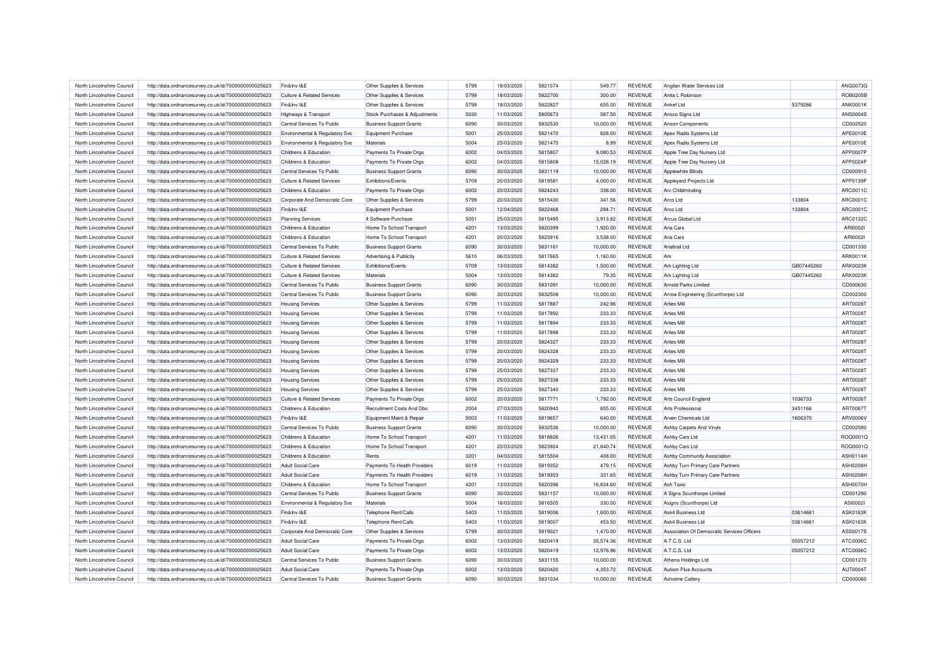| North Lincolnshire Council                               | http://data.ordnancesurvey.co.uk/id/7000000000025623 | Fin&Inv I&E                           | Other Supplies & Services                            | 5799 | 18/03/2020 | 5821074 | 549.77    | <b>REVENUE</b> | Anglian Water Services Ltd                  |            | ANG0073G                    |
|----------------------------------------------------------|------------------------------------------------------|---------------------------------------|------------------------------------------------------|------|------------|---------|-----------|----------------|---------------------------------------------|------------|-----------------------------|
| North Lincolnshire Council                               | http://data.ordnancesurvey.co.uk/id/7000000000025623 | <b>Culture &amp; Related Services</b> | Other Supplies & Services                            | 5799 | 18/03/2020 | 5822700 | 300.00    | REVENUE        | Anita L Robinson                            |            | <b>ROB0205B</b>             |
| North Lincolnshire Council                               | http://data.ordnancesurvey.co.uk/id/7000000000025623 | Fin&Inv I&E                           | Other Supplies & Services                            | 5799 | 18/03/2020 | 5822827 | 655.00    | REVENUE        | Ankef I to                                  | 5379286    | ANK0001k                    |
| North Lincolnshire Council                               | http://data.ordnancesurvey.co.uk/id/7000000000025623 | Highways & Transport                  | Stock Purchases & Adjustments                        | 5030 | 11/03/2020 | 5805673 | 587.50    | REVENUE        | Ansco Signs Ltd                             |            | <b>ANS0004S</b>             |
| North Lincolnshire Council                               | http://data.ordnancesurvey.co.uk/id/7000000000025623 | Central Services To Public            | <b>Business Support Grants</b>                       | 6090 | 30/03/2020 | 5832530 | 10,000.00 | <b>REVENUE</b> | <b>Anson Components</b>                     |            | CD002520                    |
| North Lincolnshire Council                               | http://data.ordnancesurvey.co.uk/id/7000000000025623 | Environmental & Regulatory Svs        | Equipment Purchase                                   | 5001 | 25/03/2020 | 5821470 | 828.00    | REVENUE        | Apex Radio Systems Ltd                      |            | APE0010E                    |
| North Lincolnshire Council                               | http://data.ordnancesurvey.co.uk/id/7000000000025623 | Environmental & Regulatory Svs        | Materials                                            | 5004 | 25/03/2020 | 5821470 | 8.99      | <b>REVENUE</b> | Apex Radio Systems Ltd                      |            | APE0010E                    |
| North Lincolnshire Council                               | http://data.ordnancesurvey.co.uk/id/7000000000025623 | Childrens & Education                 | Payments To Private Orgs                             | 6002 | 04/03/2020 | 5815807 | 9,080.53  | <b>REVENUE</b> | Apple Tree Day Nursery Ltd                  |            | APP0007F                    |
| North Lincolnshire Council                               | http://data.ordnancesurvey.co.uk/id/7000000000025623 | Childrens & Education                 | Payments To Private Orgs                             | 6002 | 04/03/2020 | 5815808 | 15,028.19 | <b>REVENUE</b> | Apple Tree Day Nursery Ltd                  |            | APP0024P                    |
| North Lincolnshire Council                               | http://data.ordnancesurvey.co.uk/id/7000000000025623 | Central Services To Public            | <b>Business Support Grants</b>                       | 6090 | 30/03/2020 | 5831119 | 10,000.00 | REVENUE        | <b>Applewhite Blinds</b>                    |            | CD000910                    |
| North Lincolnshire Council                               | http://data.ordnancesurvey.co.uk/id/7000000000025623 | <b>Culture &amp; Related Services</b> | Exhibitions/Events                                   | 5709 | 20/03/2020 | 5819581 | 4,000.00  | REVENUE        | Appleyard Projects Ltd                      |            | APP0139P                    |
| North Lincolnshire Council                               | http://data.ordnancesurvey.co.uk/id/7000000000025623 | Childrens & Education                 | Payments To Private Orgs                             | 6002 | 20/03/2020 | 5824243 | 338.00    | <b>REVENUE</b> | <b>Arc Childminding</b>                     |            | ARC0011C                    |
| North Lincolnshire Council                               | http://data.ordnancesurvey.co.uk/id/7000000000025623 | Corporate And Democratic Core         | Other Supplies & Services                            | 5799 | 20/03/2020 | 5815430 | 341.56    | REVENUE        | Arco Ltd                                    | 133804     | ARC0001C                    |
| North Lincolnshire Council                               | http://data.ordnancesurvey.co.uk/id/7000000000025623 | Fin&Inv I&E                           | <b>Equipment Purchase</b>                            | 5001 | 12/04/2020 | 5822468 | 294.71    | <b>REVENUE</b> | Arco Ltd                                    | 133804     | ARC0001C                    |
| North Lincolnshire Council                               | http://data.ordnancesurvey.co.uk/id/7000000000025623 | <b>Planning Services</b>              | It Software-Purchase                                 | 5051 | 25/03/2020 | 5815495 | 3,913.82  | <b>REVENUE</b> | Arcus Global Ltd                            |            | ARC0132C                    |
| North Lincolnshire Council                               | http://data.ordnancesurvey.co.uk/id/7000000000025623 | Childrens & Education                 | Home To School Transport                             | 4201 | 13/03/2020 | 5820399 | 1,920.00  | <b>REVENUE</b> | Aria Cars                                   |            | ARI00021                    |
| North Lincolnshire Council                               | http://data.ordnancesurvey.co.uk/id/7000000000025623 | Childrens & Education                 | Home To School Transport                             | 4201 | 20/03/2020 | 5823916 | 3,538.00  | REVENUE        | Aria Cars                                   |            | ARI00021                    |
| North Lincolnshire Council                               | http://data.ordnancesurvey.co.uk/id/7000000000025623 | Central Services To Public            | <b>Business Support Grants</b>                       | 6090 | 30/03/2020 | 5831161 | 10,000.00 | <b>REVENUE</b> | Arialtrail Ltd                              |            | CD001330                    |
|                                                          |                                                      |                                       |                                                      |      |            |         |           |                | Ark                                         |            |                             |
| North Lincolnshire Council<br>North Lincolnshire Council | http://data.ordnancesurvey.co.uk/id/7000000000025623 | <b>Culture &amp; Related Services</b> | Advertising & Publicity<br><b>Exhibitions/Events</b> | 5610 | 06/03/2020 | 5817665 | 1,160.00  | <b>REVENUE</b> |                                             |            | ARK0011K<br><b>ARK0023K</b> |
|                                                          | http://data.ordnancesurvey.co.uk/id/7000000000025623 | <b>Culture &amp; Related Services</b> |                                                      | 5709 | 13/03/2020 | 5814382 | 1,500.00  | <b>REVENUE</b> | Ark Lighting Ltd                            | GB07445260 |                             |
| North Lincolnshire Council                               | http://data.ordnancesurvey.co.uk/id/7000000000025623 | <b>Culture &amp; Related Services</b> | Materials                                            | 5004 | 13/03/2020 | 5814382 | 79.35     | <b>REVENUE</b> | Ark Lighting Ltd                            | GB07445260 | ARK0023K                    |
| North Lincolnshire Council                               | http://data.ordnancesurvey.co.uk/id/7000000000025623 | Central Services To Public            | <b>Business Support Grants</b>                       | 6090 | 30/03/2020 | 5831091 | 10,000.00 | <b>REVENUE</b> | Arnold Parks Limited                        |            | CD000630                    |
| North Lincolnshire Council                               | http://data.ordnancesurvey.co.uk/id/7000000000025623 | Central Services To Public            | <b>Business Support Grants</b>                       | 6090 | 30/03/2020 | 5832508 | 10.000.00 | <b>REVENUE</b> | Arrow Engineering (Scunthorpe) Ltd          |            | CD002300                    |
| North Lincolnshire Council                               | http://data.ordnancesurvey.co.uk/id/7000000000025623 | <b>Housing Services</b>               | Other Supplies & Services                            | 5799 | 11/03/2020 | 5817887 | 242.96    | REVENUE        | <b>Arties Mill</b>                          |            | ART0028T                    |
| North Lincolnshire Council                               | http://data.ordnancesurvey.co.uk/id/7000000000025623 | <b>Housing Services</b>               | Other Supplies & Services                            | 5799 | 11/03/2020 | 5817892 | 233.33    | REVENUE        | <b>Arties Mil</b>                           |            | ART0028T                    |
| North Lincolnshire Council                               | http://data.ordnancesurvey.co.uk/id/7000000000025623 | <b>Housing Services</b>               | Other Supplies & Services                            | 5799 | 11/03/2020 | 5817894 | 233.33    | <b>REVENUE</b> | <b>Arties Mill</b>                          |            | ART0028T                    |
| North Lincolnshire Council                               | http://data.ordnancesurvey.co.uk/id/7000000000025623 | <b>Housing Services</b>               | Other Supplies & Services                            | 5799 | 11/03/2020 | 5817898 | 233.33    | <b>REVENUE</b> | <b>Arties Mill</b>                          |            | ART0028T                    |
| North Lincolnshire Council                               | http://data.ordnancesurvey.co.uk/id/7000000000025623 | <b>Housing Services</b>               | Other Supplies & Services                            | 5799 | 20/03/2020 | 5824327 | 233.33    | <b>REVENUE</b> | <b>Arties Mil</b>                           |            | ART0028T                    |
| North Lincolnshire Council                               | http://data.ordnancesurvey.co.uk/id/7000000000025623 | <b>Housing Services</b>               | Other Supplies & Services                            | 5799 | 20/03/2020 | 5824328 | 233.33    | <b>REVENUE</b> | <b>Arties Mill</b>                          |            | ART0028T                    |
| North Lincolnshire Council                               | http://data.ordnancesurvey.co.uk/id/7000000000025623 | <b>Housing Services</b>               | Other Supplies & Services                            | 5799 | 20/03/2020 | 5824329 | 233.33    | <b>REVENUE</b> | <b>Arties Mill</b>                          |            | ART0028T                    |
| North Lincolnshire Council                               | http://data.ordnancesurvey.co.uk/id/7000000000025623 | <b>Housing Services</b>               | Other Supplies & Services                            | 5799 | 25/03/2020 | 5827337 | 233.33    | <b>REVENUE</b> | <b>Arties Mill</b>                          |            | ART0028T                    |
| North Lincolnshire Council                               | http://data.ordnancesurvey.co.uk/id/7000000000025623 | <b>Housing Services</b>               | Other Supplies & Services                            | 5799 | 25/03/2020 | 5827338 | 233.33    | REVENUE        | <b>Arties Mill</b>                          |            | ART0028T                    |
| North Lincolnshire Council                               | http://data.ordnancesurvey.co.uk/id/7000000000025623 | <b>Housing Services</b>               | Other Supplies & Services                            | 5799 | 25/03/2020 | 5827340 | 233.33    | REVENUE        | <b>Arties Mil</b>                           |            | ART0028T                    |
| North Lincolnshire Council                               | http://data.ordnancesurvey.co.uk/id/7000000000025623 | <b>Culture &amp; Related Services</b> | Payments To Private Orgs                             | 6002 | 20/03/2020 | 5817771 | 1,792.00  | <b>REVENUE</b> | Arts Council England                        | 1036733    | ART0026T                    |
| North Lincolnshire Council                               | http://data.ordnancesurvey.co.uk/id/7000000000025623 | Childrens & Education                 | Recruitment Costs And Dbs                            | 2004 | 27/03/2020 | 5820940 | 855.00    | <b>REVENUE</b> | Arts Professiona                            | 3451166    | ART0067T                    |
| North Lincolnshire Council                               | http://data.ordnancesurvey.co.uk/id/7000000000025623 | Fin&Inv I&E                           | Equipment Maint.& Repair                             | 5003 | 11/03/2020 | 5819657 | 640.00    | <b>REVENUE</b> | Arven Chemicals Ltd                         | 1606370    | ARV0006V                    |
| North Lincolnshire Council                               | http://data.ordnancesurvey.co.uk/id/7000000000025623 | Central Services To Public            | <b>Business Support Grants</b>                       | 6090 | 30/03/2020 | 5832536 | 10,000.00 | <b>REVENUE</b> | Ashby Carpets And Vinyls                    |            | CD002580                    |
| North Lincolnshire Council                               | http://data.ordnancesurvey.co.uk/id/7000000000025623 | <b>Childrens &amp; Education</b>      | Home To School Transport                             | 4201 | 11/03/2020 | 5818826 | 13,431.05 | <b>REVENUE</b> | Ashby Cars Ltd                              |            | ROQ0001G                    |
| North Lincolnshire Council                               | http://data.ordnancesurvey.co.uk/id/7000000000025623 | Childrens & Education                 | Home To School Transport                             | 4201 | 20/03/2020 | 5823924 | 21,840.74 | REVENUE        | Ashby Cars Ltd                              |            | ROQ0001Q                    |
| North Lincolnshire Council                               | http://data.ordnancesurvey.co.uk/id/7000000000025623 | Childrens & Education                 | Rents                                                | 3201 | 04/03/2020 | 5815504 | 408.00    | <b>REVENUE</b> | Ashby Community Association                 |            | ASH0114H                    |
| North Lincolnshire Council                               | http://data.ordnancesurvey.co.uk/id/7000000000025623 | <b>Adult Social Care</b>              | Payments To Health Providers                         | 6019 | 11/03/2020 | 5819352 | 479.15    | <b>REVENUE</b> | Ashby Turn Primary Care Partners            |            | ASH0208H                    |
| North Lincolnshire Council                               | http://data.ordnancesurvey.co.uk/id/7000000000025623 | <b>Adult Social Care</b>              | Payments To Health Providers                         | 6019 | 11/03/2020 | 5819353 | 331.65    | <b>REVENUE</b> | Ashby Turn Primary Care Partners            |            | <b>ASH0208H</b>             |
| North Lincolnshire Council                               | http://data.ordnancesurvey.co.uk/id/7000000000025623 | Childrens & Education                 | Home To School Transport                             | 4201 | 13/03/2020 | 5820396 | 16,834.60 | <b>REVENUE</b> | Ash Taxis                                   |            | ASH0070H                    |
| North Lincolnshire Council                               | http://data.ordnancesurvey.co.uk/id/7000000000025623 | Central Services To Public            | <b>Business Support Grants</b>                       | 6090 | 30/03/2020 | 5831157 | 10,000.00 | REVENUE        | A Signs Scunthorpe Limited                  |            | CD001290                    |
| North Lincolnshire Council                               | http://data.ordnancesurvey.co.uk/id/7000000000025623 | Environmental & Regulatory Svs        | Materials                                            | 5004 | 18/03/2020 | 5816505 | 330.00    | <b>REVENUE</b> | Asigns (Scunthorpe) Ltd                     |            | ASI00021                    |
| North Lincolnshire Council                               | http://data.ordnancesurvey.co.uk/id/7000000000025623 | Fin&Inv I&E                           | Telephone Rent/Calls                                 | 5403 | 11/03/2020 | 5819006 | 1,600.00  | <b>REVENUE</b> | Ask4 Business Ltd                           | 03614661   | <b>ASK0163K</b>             |
| North Lincolnshire Council                               | http://data.ordnancesurvey.co.uk/id/7000000000025623 | Fin&Inv I&E                           | Telephone Rent/Calls                                 | 5403 | 11/03/2020 | 5819007 | 453.50    | REVENUE        | Ask4 Business Ltd                           | 03614661   | ASK0163K                    |
| North Lincolnshire Council                               | http://data.ordnancesurvey.co.uk/id/7000000000025623 | Corporate And Democratic Core         | Other Supplies & Services                            | 5799 | 30/03/2020 | 5819021 | 1,470.00  | REVENUE        | Association Of Democratic Services Officers |            | ASS0017S                    |
| North Lincolnshire Council                               | http://data.ordnancesurvey.co.uk/id/7000000000025623 | <b>Adult Social Care</b>              | Payments To Private Orgs                             | 6002 | 13/03/2020 | 5820419 | 35,574.36 | <b>REVENUE</b> | A.T.C.S. Ltd                                | 05057212   | ATC0006C                    |
| North Lincolnshire Council                               | http://data.ordnancesurvey.co.uk/id/7000000000025623 | <b>Adult Social Care</b>              | Payments To Private Orgs                             | 6002 | 13/03/2020 | 5820419 | 12,976.96 | <b>REVENUE</b> | A.T.C.S. Ltd                                | 05057212   | ATC0006C                    |
| North Lincolnshire Council                               | http://data.ordnancesurvey.co.uk/id/7000000000025623 | Central Services To Public            | <b>Business Support Grants</b>                       | 6090 | 30/03/2020 | 5831155 | 10,000.00 | <b>REVENUE</b> | Athena Holdings Ltd                         |            | CD001270                    |
| North Lincolnshire Council                               | http://data.ordnancesurvey.co.uk/id/7000000000025623 | <b>Adult Social Care</b>              | Payments To Private Orgs                             | 6002 | 13/03/2020 | 5820420 | 4,353.72  | <b>REVENUE</b> | Autism Plus Accounts                        |            | AUT0004T                    |
| North Lincolnshire Council                               | http://data.ordnancesurvey.co.uk/id/7000000000025623 | Central Services To Public            | <b>Business Support Grants</b>                       | 6090 | 30/03/2020 | 5831034 | 10,000.00 | <b>REVENUE</b> | <b>Axholme Cattery</b>                      |            | CD000060                    |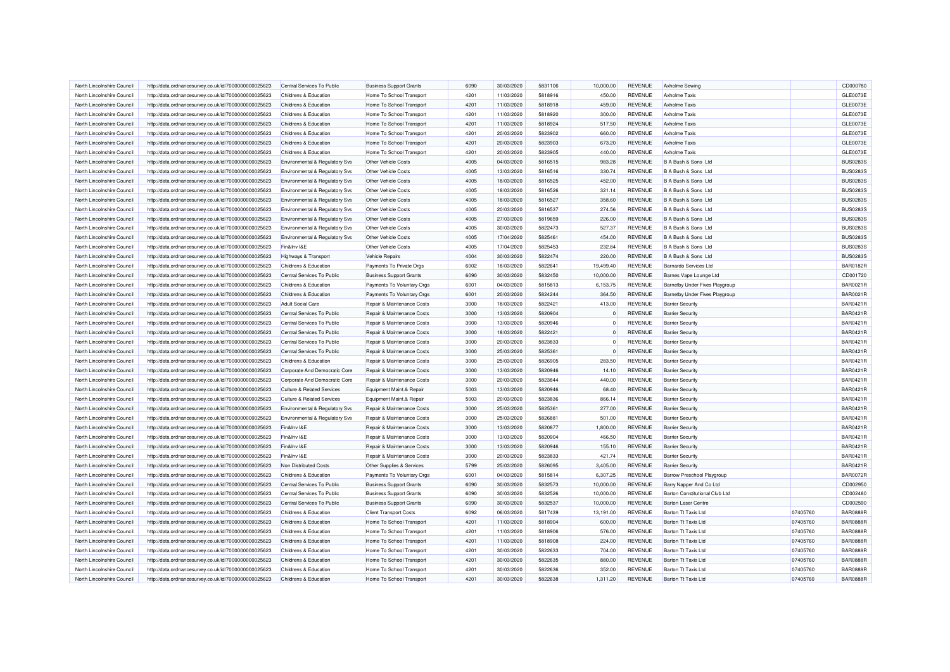| North Lincolnshire Council | http://data.ordnancesurvey.co.uk/id/7000000000025623 | Central Services To Public                | <b>Business Support Grants</b> | 6090 | 30/03/2020 | 5831106 | 10.000.00    | REVENUE        | Axholme Sewing                        |          | CD000780        |
|----------------------------|------------------------------------------------------|-------------------------------------------|--------------------------------|------|------------|---------|--------------|----------------|---------------------------------------|----------|-----------------|
| North Lincolnshire Council | http://data.ordnancesurvey.co.uk/id/7000000000025623 | Childrens & Education                     | Home To School Transport       | 4201 | 11/03/2020 | 5818916 | 450.00       | REVENUE        | <b>Axholme Taxis</b>                  |          | GLE0073E        |
| North Lincolnshire Council | http://data.ordnancesurvey.co.uk/id/7000000000025623 | <b>Childrens &amp; Education</b>          | Home To School Transport       | 4201 | 11/03/2020 | 5818918 | 459.00       | REVENUE        | <b>Axholme Taxis</b>                  |          | GLE0073E        |
| North Lincolnshire Council | http://data.ordnancesurvey.co.uk/id/7000000000025623 | Childrens & Education                     | Home To School Transport       | 4201 | 11/03/2020 | 5818920 | 300.00       | REVENUE        | <b>Axholme Taxis</b>                  |          | GLE0073E        |
| North Lincolnshire Council | http://data.ordnancesurvey.co.uk/id/7000000000025623 | Childrens & Education                     | Home To School Transport       | 4201 | 11/03/2020 | 5818924 | 517.50       | <b>REVENUE</b> | <b>Axholme Taxis</b>                  |          | GLE0073E        |
| North Lincolnshire Council | http://data.ordnancesurvey.co.uk/id/7000000000025623 | Childrens & Education                     | Home To School Transport       | 4201 | 20/03/2020 | 5823902 | 660.00       | REVENUE        | Axholme Taxis                         |          | GLE0073E        |
| North Lincolnshire Council | http://data.ordnancesurvey.co.uk/id/7000000000025623 | Childrens & Education                     | Home To School Transport       | 4201 | 20/03/2020 | 5823903 | 673.20       | REVENUE        | <b>Axholme Taxis</b>                  |          | GLE0073E        |
| North Lincolnshire Council | http://data.ordnancesurvey.co.uk/id/7000000000025623 | <b>Childrens &amp; Education</b>          | Home To School Transport       | 4201 | 20/03/2020 | 5823905 | 440.00       | <b>REVENUE</b> | Axholme Taxis                         |          | GLE0073E        |
| North Lincolnshire Council | http://data.ordnancesurvey.co.uk/id/7000000000025623 | <b>Environmental &amp; Regulatory Svs</b> | Other Vehicle Costs            | 4005 | 04/03/2020 | 5816515 | 983.28       | REVENUE        | B A Bush & Sons Ltd                   |          | <b>BUS0283S</b> |
| North Lincolnshire Council | http://data.ordnancesurvey.co.uk/id/7000000000025623 | <b>Environmental &amp; Regulatory Svs</b> | Other Vehicle Costs            | 4005 | 13/03/2020 | 5816516 | 330.74       | REVENUE        | B A Bush & Sons Ltd                   |          | <b>BUS0283S</b> |
| North Lincolnshire Council | http://data.ordnancesurvey.co.uk/id/7000000000025623 | Environmental & Regulatory Svs            | Other Vehicle Costs            | 4005 | 18/03/2020 | 5816525 | 452.00       | REVENUE        | B A Bush & Sons Ltd                   |          | <b>BUS0283S</b> |
| North Lincolnshire Council | http://data.ordnancesurvey.co.uk/id/7000000000025623 | Environmental & Regulatory Svs            | Other Vehicle Costs            | 4005 | 18/03/2020 | 5816526 | 321.14       | REVENUE        | B A Bush & Sons Ltd                   |          | <b>BUS0283S</b> |
| North Lincolnshire Council | http://data.ordnancesurvey.co.uk/id/7000000000025623 | Environmental & Regulatory Svs            | Other Vehicle Costs            | 4005 | 18/03/2020 | 5816527 | 358.60       | <b>REVENUE</b> | B A Bush & Sons Ltd                   |          | <b>BUS0283S</b> |
| North Lincolnshire Council | http://data.ordnancesurvey.co.uk/id/7000000000025623 | Environmental & Regulatory Svs            | Other Vehicle Costs            | 4005 | 20/03/2020 | 5816537 | 274.56       | REVENUE        | B A Bush & Sons Ltd                   |          | <b>BUS0283S</b> |
| North Lincolnshire Council | http://data.ordnancesurvey.co.uk/id/7000000000025623 | Environmental & Regulatory Svs            | Other Vehicle Costs            | 4005 | 27/03/2020 | 5819659 | 226.00       | <b>REVENUE</b> | B A Bush & Sons Ltd                   |          | <b>BUS0283S</b> |
| North Lincolnshire Council | http://data.ordnancesurvey.co.uk/id/7000000000025623 | <b>Environmental &amp; Regulatory Svs</b> | Other Vehicle Costs            | 4005 | 30/03/2020 | 5822473 | 527.37       | <b>REVENUE</b> | B A Bush & Sons Ltd                   |          | <b>BUS0283S</b> |
| North Lincolnshire Council |                                                      |                                           | Other Vehicle Costs            | 4005 | 17/04/2020 | 5825461 | 454.00       | REVENUE        | B A Bush & Sons Ltd                   |          | <b>BUS0283S</b> |
|                            | http://data.ordnancesurvey.co.uk/id/7000000000025623 | Environmental & Regulatory Svs            |                                | 4005 |            |         |              | REVENUE        |                                       |          | <b>BUS0283S</b> |
| North Lincolnshire Council | http://data.ordnancesurvey.co.uk/id/7000000000025623 | Fin&Inv I&E                               | Other Vehicle Costs            |      | 17/04/2020 | 5825453 | 232.84       |                | B A Bush & Sons Ltd                   |          |                 |
| North Lincolnshire Council | http://data.ordnancesurvey.co.uk/id/7000000000025623 | Highways & Transport                      | <b>Vehicle Repairs</b>         | 4004 | 30/03/2020 | 5822474 | 220.00       | <b>REVENUE</b> | B A Bush & Sons Ltd                   |          | <b>BUS0283S</b> |
| North Lincolnshire Council | http://data.ordnancesurvey.co.uk/id/7000000000025623 | Childrens & Education                     | Payments To Private Orgs       | 6002 | 18/03/2020 | 5822641 | 19,499.40    | <b>REVENUE</b> | Barnardo Services Ltd                 |          | <b>BAR0182F</b> |
| North Lincolnshire Council | http://data.ordnancesurvey.co.uk/id/7000000000025623 | Central Services To Public                | <b>Business Support Grants</b> | 6090 | 30/03/2020 | 5832450 | 10,000.00    | <b>REVENUE</b> | Barnes Vape Lounge Ltd                |          | CD001720        |
| North Lincolnshire Council | http://data.ordnancesurvey.co.uk/id/7000000000025623 | Childrens & Education                     | Payments To Voluntary Orgs     | 6001 | 04/03/2020 | 5815813 | 6,153.75     | REVENUE        | Barnetby Under Fives Playgroup        |          | BAR0021F        |
| North Lincolnshire Council | http://data.ordnancesurvey.co.uk/id/7000000000025623 | Childrens & Education                     | Payments To Voluntary Orgs     | 6001 | 20/03/2020 | 5824244 | 364.50       | <b>REVENUE</b> | <b>Barnetby Under Fives Playgroup</b> |          | BAR0021F        |
| North Lincolnshire Council | http://data.ordnancesurvey.co.uk/id/7000000000025623 | <b>Adult Social Care</b>                  | Repair & Maintenance Costs     | 3000 | 18/03/2020 | 5822421 | 413.00       | REVENUE        | <b>Barrier Security</b>               |          | <b>BAR0421F</b> |
| North Lincolnshire Council | http://data.ordnancesurvey.co.uk/id/7000000000025623 | Central Services To Public                | Repair & Maintenance Costs     | 3000 | 13/03/2020 | 5820904 | $\sqrt{2}$   | REVENUE        | <b>Barrier Security</b>               |          | <b>BAR0421F</b> |
| North Lincolnshire Council | http://data.ordnancesurvey.co.uk/id/7000000000025623 | Central Services To Public                | Repair & Maintenance Costs     | 3000 | 13/03/2020 | 5820946 | $\Omega$     | REVENUE        | <b>Barrier Security</b>               |          | <b>BAR0421F</b> |
| North Lincolnshire Council | http://data.ordnancesurvey.co.uk/id/7000000000025623 | Central Services To Public                | Repair & Maintenance Costs     | 3000 | 18/03/2020 | 5822421 | O            | <b>REVENUE</b> | <b>Barrier Security</b>               |          | <b>BAR0421F</b> |
| North Lincolnshire Council | http://data.ordnancesurvey.co.uk/id/7000000000025623 | Central Services To Public                | Repair & Maintenance Costs     | 3000 | 20/03/2020 | 5823833 | -C           | <b>REVENUE</b> | <b>Barrier Security</b>               |          | <b>BAR0421F</b> |
| North Lincolnshire Council | http://data.ordnancesurvey.co.uk/id/7000000000025623 | Central Services To Public                | Repair & Maintenance Costs     | 3000 | 25/03/2020 | 5825361 | $\mathsf{C}$ | REVENUE        | <b>Barrier Security</b>               |          | <b>BAR0421F</b> |
| North Lincolnshire Council | http://data.ordnancesurvey.co.uk/id/7000000000025623 | Childrens & Education                     | Repair & Maintenance Costs     | 3000 | 25/03/2020 | 5826905 | 283.50       | REVENUE        | <b>Barrier Security</b>               |          | <b>BAR0421F</b> |
| North Lincolnshire Council | http://data.ordnancesurvey.co.uk/id/7000000000025623 | Corporate And Democratic Core             | Repair & Maintenance Costs     | 3000 | 13/03/2020 | 5820946 | 14.10        | REVENUE        | <b>Barrier Security</b>               |          | <b>BAR0421F</b> |
| North Lincolnshire Council | http://data.ordnancesurvey.co.uk/id/7000000000025623 | Corporate And Democratic Core             | Repair & Maintenance Costs     | 3000 | 20/03/2020 | 5823844 | 440.00       | REVENUE        | <b>Barrier Security</b>               |          | <b>BAR0421F</b> |
| North Lincolnshire Council | http://data.ordnancesurvey.co.uk/id/7000000000025623 | <b>Culture &amp; Related Services</b>     | Equipment Maint.& Repair       | 5003 | 13/03/2020 | 5820946 | 68.40        | REVENUE        | <b>Barrier Security</b>               |          | <b>BAR0421F</b> |
| North Lincolnshire Council | http://data.ordnancesurvey.co.uk/id/7000000000025623 | <b>Culture &amp; Related Services</b>     | Equipment Maint.& Repair       | 5003 | 20/03/2020 | 5823836 | 866.14       | REVENUE        | <b>Barrier Security</b>               |          | <b>BAR0421F</b> |
| North Lincolnshire Council | http://data.ordnancesurvey.co.uk/id/7000000000025623 | Environmental & Regulatory Svs            | Repair & Maintenance Costs     | 3000 | 25/03/2020 | 5825361 | 277.00       | REVENUE        | <b>Barrier Security</b>               |          | <b>BAR0421F</b> |
| North Lincolnshire Council | http://data.ordnancesurvey.co.uk/id/7000000000025623 | Environmental & Regulatory Svs            | Repair & Maintenance Costs     | 3000 | 25/03/2020 | 5826881 | 501.00       | REVENUE        | <b>Barrier Security</b>               |          | <b>BAR0421F</b> |
| North Lincolnshire Council | http://data.ordnancesurvey.co.uk/id/7000000000025623 | Fin&Inv I&E                               | Repair & Maintenance Costs     | 3000 | 13/03/2020 | 5820877 | 1,800.00     | <b>REVENUE</b> | <b>Barrier Security</b>               |          | <b>BAR0421F</b> |
| North Lincolnshire Council | http://data.ordnancesurvey.co.uk/id/7000000000025623 | Fin&Inv I&E                               | Repair & Maintenance Costs     | 3000 | 13/03/2020 | 5820904 | 466.50       | <b>REVENUE</b> | <b>Barrier Security</b>               |          | <b>BAR0421F</b> |
| North Lincolnshire Council | http://data.ordnancesurvey.co.uk/id/7000000000025623 | Fin&Inv I&E                               | Repair & Maintenance Costs     | 3000 | 13/03/2020 | 5820946 | 155.10       | REVENUE        | <b>Barrier Security</b>               |          | <b>BAR0421F</b> |
| North Lincolnshire Council | http://data.ordnancesurvey.co.uk/id/7000000000025623 | Fin&Inv I&E                               | Repair & Maintenance Costs     | 3000 | 20/03/2020 | 5823833 | 421.74       | REVENUE        | <b>Barrier Security</b>               |          | <b>BAR0421F</b> |
| North Lincolnshire Council | http://data.ordnancesurvey.co.uk/id/7000000000025623 | Non Distributed Costs                     | Other Supplies & Services      | 5799 | 25/03/2020 | 5826095 | 3,405.00     | <b>REVENUE</b> | <b>Barrier Security</b>               |          | <b>BAR0421F</b> |
| North Lincolnshire Council | http://data.ordnancesurvey.co.uk/id/7000000000025623 | Childrens & Education                     | Payments To Voluntary Orgs     | 6001 | 04/03/2020 | 5815814 | 6,307.25     | REVENUE        | Barrow Preschool Playgroup            |          | <b>BAR0072F</b> |
| North Lincolnshire Council | http://data.ordnancesurvey.co.uk/id/7000000000025623 | Central Services To Public                | <b>Business Support Grants</b> | 6090 | 30/03/2020 | 5832573 | 10,000.00    | <b>REVENUE</b> | Barry Napper And Co Ltd               |          | CD002950        |
| North Lincolnshire Council | http://data.ordnancesurvey.co.uk/id/7000000000025623 | Central Services To Public                | <b>Business Support Grants</b> | 6090 | 30/03/2020 | 5832526 | 10,000.00    | REVENUE        | Barton Constitutional Club Ltd        |          | CD002480        |
| North Lincolnshire Council | http://data.ordnancesurvey.co.uk/id/7000000000025623 | Central Services To Public                | <b>Business Support Grants</b> | 6090 | 30/03/2020 | 5832537 | 10,000.00    | REVENUE        | <b>Barton Laser Centre</b>            |          | CD002590        |
| North Lincolnshire Council | http://data.ordnancesurvey.co.uk/id/7000000000025623 | Childrens & Education                     | <b>Client Transport Costs</b>  | 6092 | 06/03/2020 | 5817439 | 13,191.00    | <b>REVENUE</b> | Barton Tt Taxis Ltd                   | 07405760 | <b>BAR0888F</b> |
| North Lincolnshire Council | http://data.ordnancesurvey.co.uk/id/7000000000025623 | Childrens & Education                     | Home To School Transport       | 4201 | 11/03/2020 | 5818904 | 600.00       | REVENUE        | <b>Barton Tt Taxis Ltd</b>            | 07405760 | <b>BAR0888F</b> |
| North Lincolnshire Council | http://data.ordnancesurvey.co.uk/id/7000000000025623 | Childrens & Education                     | Home To School Transport       | 4201 | 11/03/2020 | 5818906 | 576.00       | <b>REVENUE</b> | <b>Barton Tt Taxis Ltd</b>            | 07405760 | <b>BAR0888F</b> |
| North Lincolnshire Council | http://data.ordnancesurvey.co.uk/id/7000000000025623 | Childrens & Education                     | Home To School Transport       | 4201 | 11/03/2020 | 5818908 | 224.00       | <b>REVENUE</b> | <b>Barton Tt Taxis Ltd</b>            | 07405760 | <b>BAR0888F</b> |
| North Lincolnshire Council | http://data.ordnancesurvey.co.uk/id/7000000000025623 | Childrens & Education                     | Home To School Transport       | 4201 | 30/03/2020 | 5822633 | 704.00       | REVENUE        | <b>Barton Tt Taxis Ltd</b>            | 07405760 | <b>BAR0888F</b> |
| North Lincolnshire Council | http://data.ordnancesurvey.co.uk/id/7000000000025623 | <b>Childrens &amp; Education</b>          | Home To School Transport       | 4201 | 30/03/2020 | 5822635 | 880.00       | REVENUE        | <b>Barton Tt Taxis Ltd</b>            | 07405760 | <b>BAR0888F</b> |
| North Lincolnshire Council | http://data.ordnancesurvey.co.uk/id/7000000000025623 | Childrens & Education                     | Home To School Transport       | 4201 | 30/03/2020 | 5822636 | 352.00       | <b>REVENUE</b> | Barton Tt Taxis Ltd                   | 07405760 | <b>BAR0888F</b> |
| North Lincolnshire Council | http://data.ordnancesurvey.co.uk/id/7000000000025623 | Childrens & Education                     | Home To School Transport       | 4201 | 30/03/2020 | 5822638 | 1,311.20     | REVENUE        | <b>Barton Tt Taxis Ltd</b>            | 07405760 | <b>BAR0888F</b> |
|                            |                                                      |                                           |                                |      |            |         |              |                |                                       |          |                 |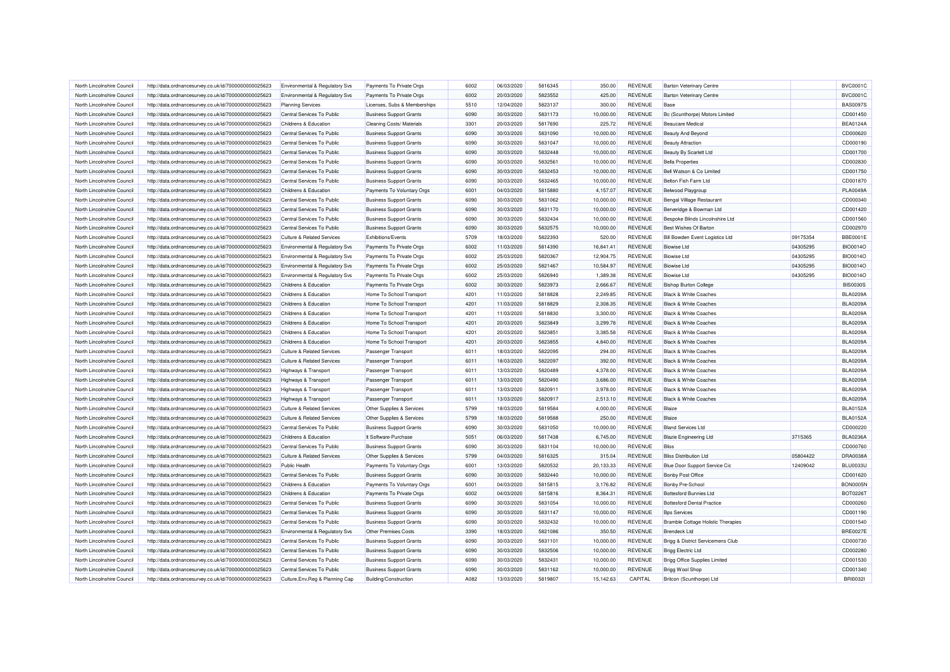| North Lincolnshire Council | http://data.ordnancesurvey.co.uk/id/7000000000025623 | Environmental & Regulatory Svs            | Payments To Private Orgs       | 6002         | 06/03/2020               | 5816345            | 350.00                 | REVENUE                          | <b>Barton Veterinary Centre</b>           |                      | <b>BVC0001C</b>                    |
|----------------------------|------------------------------------------------------|-------------------------------------------|--------------------------------|--------------|--------------------------|--------------------|------------------------|----------------------------------|-------------------------------------------|----------------------|------------------------------------|
| North Lincolnshire Council | http://data.ordnancesurvey.co.uk/id/7000000000025623 | Environmental & Regulatory Svs            | Payments To Private Orgs       | 6002         | 20/03/2020               | 5823552            | 425.00                 | <b>REVENUE</b>                   | <b>Barton Veterinary Centre</b>           |                      | <b>BVC0001C</b>                    |
| North Lincolnshire Council | http://data.ordnancesurvey.co.uk/id/7000000000025623 | <b>Planning Services</b>                  | Licenses, Subs & Memberships   | 5510         | 12/04/2020               | 5823137            | 300.00                 | REVENUE                          | Base                                      |                      | <b>BAS0097S</b>                    |
| North Lincolnshire Council | http://data.ordnancesurvey.co.uk/id/7000000000025623 | Central Services To Public                | <b>Business Support Grants</b> | 6090         | 30/03/2020               | 5831173            | 10,000.00              | <b>REVENUE</b>                   | Bc (Scunthorpe) Motors Limited            |                      | CD001450                           |
| North Lincolnshire Council | http://data.ordnancesurvey.co.uk/id/7000000000025623 | Childrens & Education                     | Cleaning Costs/ Materials      | 3301         | 20/03/2020               | 5817690            | 225.72                 | <b>REVENUE</b>                   | <b>Beaucare Medical</b>                   |                      | BEA0124/                           |
| North Lincolnshire Council | http://data.ordnancesurvey.co.uk/id/7000000000025623 | Central Services To Public                | <b>Business Support Grants</b> | 6090         | 30/03/2020               | 5831090            | 10,000.00              | <b>REVENUE</b>                   | <b>Beauty And Beyond</b>                  |                      | CD000620                           |
| North Lincolnshire Council | http://data.ordnancesurvey.co.uk/id/7000000000025623 | Central Services To Public                | <b>Business Support Grants</b> | 6090         | 30/03/2020               | 5831047            | 10,000.00              | <b>REVENUE</b>                   | <b>Beauty Attraction</b>                  |                      | CD000190                           |
| North Lincolnshire Council | http://data.ordnancesurvey.co.uk/id/7000000000025623 | Central Services To Public                | <b>Business Support Grants</b> | 6090         | 30/03/2020               | 5832448            | 10,000.00              | <b>REVENUE</b>                   | Beauty By Scarlett Ltd                    |                      | CD001700                           |
| North Lincolnshire Council | http://data.ordnancesurvey.co.uk/id/7000000000025623 | Central Services To Public                | <b>Business Support Grants</b> | 6090         | 30/03/2020               | 5832561            | 10,000.00              | <b>REVENUE</b>                   | <b>Bella Properties</b>                   |                      | CD002830                           |
| North Lincolnshire Council | http://data.ordnancesurvey.co.uk/id/7000000000025623 | Central Services To Public                | <b>Business Support Grants</b> | 6090         | 30/03/2020               | 5832453            | 10,000.00              | <b>REVENUE</b>                   | Bell Watson & Co Limited                  |                      | CD001750                           |
| North Lincolnshire Council | http://data.ordnancesurvey.co.uk/id/7000000000025623 | Central Services To Public                | <b>Business Support Grants</b> | 6090         | 30/03/2020               | 5832465            | 10,000.00              | <b>REVENUE</b>                   | Belton Fish Farm Ltd                      |                      | CD001870                           |
| North Lincolnshire Council | http://data.ordnancesurvey.co.uk/id/7000000000025623 | Childrens & Education                     | Payments To Voluntary Orgs     | 6001         | 04/03/2020               | 5815880            | 4,157.07               | <b>REVENUE</b>                   | Belwood Playgroup                         |                      | <b>PLA0049A</b>                    |
| North Lincolnshire Council | http://data.ordnancesurvey.co.uk/id/7000000000025623 | Central Services To Public                | <b>Business Support Grants</b> | 6090         | 30/03/2020               | 5831062            | 10,000.00              | <b>REVENUE</b>                   | Bengal Village Restaurant                 |                      | CD000340                           |
| North Lincolnshire Council | http://data.ordnancesurvey.co.uk/id/7000000000025623 | Central Services To Public                | <b>Business Support Grants</b> | 6090         | 30/03/2020               | 5831170            | 10,000.00              | REVENUE                          | Berveridge & Bowman Ltd                   |                      | CD001420                           |
| North Lincolnshire Council | http://data.ordnancesurvey.co.uk/id/7000000000025623 | Central Services To Public                | <b>Business Support Grants</b> | 6090         | 30/03/2020               | 5832434            | 10,000.00              | <b>REVENUE</b>                   | Bespoke Blinds Lincolnshire Ltd           |                      | CD001560                           |
| North Lincolnshire Council | http://data.ordnancesurvey.co.uk/id/7000000000025623 | Central Services To Public                | <b>Business Support Grants</b> | 6090         | 30/03/2020               | 5832575            | 10,000.00              | <b>REVENUE</b>                   | Best Wishes Of Barton                     |                      | CD002970                           |
| North Lincolnshire Council | http://data.ordnancesurvey.co.uk/id/7000000000025623 | <b>Culture &amp; Related Services</b>     | Exhibitions/Events             | 5709         | 18/03/2020               | 5822393            | 520.00                 | REVENUE                          | <b>Bill Bowden Event Logistics Ltd</b>    | 09175354             | <b>BBE0001E</b>                    |
| North Lincolnshire Council | http://data.ordnancesurvey.co.uk/id/7000000000025623 | <b>Environmental &amp; Regulatory Svs</b> | Payments To Private Orgs       | 6002         | 11/03/2020               | 5814390            | 16,841.41              | <b>REVENUE</b>                   | <b>Biowise Ltd</b>                        | 04305295             | <b>BIO0014O</b>                    |
|                            |                                                      |                                           |                                |              |                          |                    |                        |                                  |                                           |                      |                                    |
| North Lincolnshire Council | http://data.ordnancesurvey.co.uk/id/7000000000025623 | Environmental & Regulatory Svs            | Payments To Private Orgs       | 6002<br>6002 | 25/03/2020<br>25/03/2020 | 5820367<br>5821467 | 12,904.75<br>10,584.97 | <b>REVENUE</b><br><b>REVENUE</b> | <b>Biowise Ltd</b><br><b>Biowise I td</b> | 04305295<br>04305295 | <b>BIO0014O</b><br><b>BIO0014C</b> |
| North Lincolnshire Council | http://data.ordnancesurvey.co.uk/id/7000000000025623 | Environmental & Regulatory Svs            | Payments To Private Orgs       |              |                          |                    |                        |                                  |                                           |                      |                                    |
| North Lincolnshire Council | http://data.ordnancesurvey.co.uk/id/7000000000025623 | Environmental & Regulatory Svs            | Payments To Private Orgs       | 6002         | 25/03/2020               | 5826940            | 1,389.38               | <b>REVENUE</b>                   | <b>Biowise Ltd</b>                        | 04305295             | <b>BIO0014C</b>                    |
| North Lincolnshire Council | http://data.ordnancesurvey.co.uk/id/7000000000025623 | Childrens & Education                     | Payments To Private Orgs       | 6002         | 30/03/2020               | 5823973            | 2,666.67               | REVENUE                          | <b>Bishop Burton College</b>              |                      | <b>BIS0030S</b>                    |
| North Lincolnshire Council | http://data.ordnancesurvey.co.uk/id/7000000000025623 | <b>Childrens &amp; Education</b>          | Home To School Transport       | 4201         | 11/03/2020               | 5818828            | 2.249.85               | <b>REVENUE</b>                   | <b>Black &amp; White Coaches</b>          |                      | <b>BLA0209A</b>                    |
| North Lincolnshire Council | http://data.ordnancesurvey.co.uk/id/7000000000025623 | Childrens & Education                     | Home To School Transport       | 4201         | 11/03/2020               | 5818829            | 2,308.35               | <b>REVENUE</b>                   | <b>Black &amp; White Coaches</b>          |                      | <b>BLA0209A</b>                    |
| North Lincolnshire Council | http://data.ordnancesurvey.co.uk/id/7000000000025623 | Childrens & Education                     | Home To School Transport       | 4201         | 11/03/2020               | 5818830            | 3,300.00               | REVENUE                          | Black & White Coaches                     |                      | <b>BLA0209A</b>                    |
| North Lincolnshire Council | http://data.ordnancesurvey.co.uk/id/7000000000025623 | Childrens & Education                     | Home To School Transport       | 4201         | 20/03/2020               | 5823849            | 3,299.78               | <b>REVENUE</b>                   | <b>Black &amp; White Coaches</b>          |                      | <b>BLA0209A</b>                    |
| North Lincolnshire Council | http://data.ordnancesurvey.co.uk/id/7000000000025623 | Childrens & Education                     | Home To School Transport       | 4201         | 20/03/2020               | 5823851            | 3,385.58               | <b>REVENUE</b>                   | Black & White Coaches                     |                      | <b>BLA0209A</b>                    |
| North Lincolnshire Council | http://data.ordnancesurvey.co.uk/id/7000000000025623 | Childrens & Education                     | Home To School Transport       | 4201         | 20/03/2020               | 5823855            | 4,840.00               | <b>REVENUE</b>                   | Black & White Coaches                     |                      | <b>BLA0209A</b>                    |
| North Lincolnshire Council | http://data.ordnancesurvey.co.uk/id/7000000000025623 | <b>Culture &amp; Related Services</b>     | Passenger Transport            | 6011         | 18/03/2020               | 5822095            | 294.00                 | <b>REVENUE</b>                   | <b>Black &amp; White Coaches</b>          |                      | <b>BLA0209A</b>                    |
| North Lincolnshire Council | http://data.ordnancesurvey.co.uk/id/7000000000025623 | <b>Culture &amp; Related Services</b>     | Passenger Transport            | 6011         | 18/03/2020               | 5822097            | 392.00                 | REVENUE                          | Black & White Coaches                     |                      | <b>BLA0209A</b>                    |
| North Lincolnshire Council | http://data.ordnancesurvey.co.uk/id/7000000000025623 | Highways & Transport                      | Passenger Transport            | 6011         | 13/03/2020               | 5820489            | 4,378.00               | <b>REVENUE</b>                   | <b>Black &amp; White Coaches</b>          |                      | <b>BLA0209A</b>                    |
| North Lincolnshire Council | http://data.ordnancesurvey.co.uk/id/7000000000025623 | Highways & Transport                      | Passenger Transport            | 6011         | 13/03/2020               | 5820490            | 3,686.00               | <b>REVENUE</b>                   | Black & White Coaches                     |                      | <b>BLA0209A</b>                    |
| North Lincolnshire Council | http://data.ordnancesurvey.co.uk/id/7000000000025623 | Highways & Transport                      | Passenger Transport            | 6011         | 13/03/2020               | 5820911            | 3,978.00               | REVENUE                          | <b>Black &amp; White Coaches</b>          |                      | <b>BLA0209A</b>                    |
| North Lincolnshire Council | http://data.ordnancesurvey.co.uk/id/7000000000025623 | Highways & Transport                      | Passenger Transport            | 6011         | 13/03/2020               | 5820917            | 2,513.10               | <b>REVENUE</b>                   | <b>Black &amp; White Coaches</b>          |                      | <b>BLA0209A</b>                    |
| North Lincolnshire Council | http://data.ordnancesurvey.co.uk/id/7000000000025623 | <b>Culture &amp; Related Services</b>     | Other Supplies & Services      | 5799         | 18/03/2020               | 5819584            | 4,000.00               | <b>REVENUE</b>                   | <b>Blaize</b>                             |                      | <b>BLA0152A</b>                    |
| North Lincolnshire Council | http://data.ordnancesurvey.co.uk/id/7000000000025623 | <b>Culture &amp; Related Services</b>     | Other Supplies & Services      | 5799         | 18/03/2020               | 5819588            | 250.00                 | REVENUE                          | Blaize                                    |                      | BLA0152A                           |
| North Lincolnshire Council | http://data.ordnancesurvey.co.uk/id/7000000000025623 | Central Services To Public                | <b>Business Support Grants</b> | 6090         | 30/03/2020               | 5831050            | 10,000.00              | <b>REVENUE</b>                   | <b>Bland Services Ltd</b>                 |                      | CD000220                           |
| North Lincolnshire Council | http://data.ordnancesurvey.co.uk/id/7000000000025623 | Childrens & Education                     | It Software-Purchase           | 5051         | 06/03/2020               | 5817438            | 6,745.00               | <b>REVENUE</b>                   | <b>Blazie Engineering Ltd</b>             | 3715365              | <b>BLA0236A</b>                    |
| North Lincolnshire Council | http://data.ordnancesurvey.co.uk/id/7000000000025623 | Central Services To Public                | <b>Business Support Grants</b> | 6090         | 30/03/2020               | 5831104            | 10,000.00              | <b>REVENUE</b>                   | <b>Bliss</b>                              |                      | CD000760                           |
| North Lincolnshire Council | http://data.ordnancesurvey.co.uk/id/7000000000025623 | <b>Culture &amp; Related Services</b>     | Other Supplies & Services      | 5799         | 04/03/2020               | 5816325            | 315.04                 | <b>REVENUE</b>                   | <b>Bliss Distribution Ltd</b>             | 05804422             | DRA0038A                           |
| North Lincolnshire Council | http://data.ordnancesurvey.co.uk/id/7000000000025623 | <b>Public Health</b>                      | Payments To Voluntary Orgs     | 6001         | 13/03/2020               | 5820532            | 20,133.33              | <b>REVENUE</b>                   | Blue Door Support Service Cic             | 12409042             | <b>BLU0033L</b>                    |
| North Lincolnshire Council | http://data.ordnancesurvey.co.uk/id/7000000000025623 | Central Services To Public                | <b>Business Support Grants</b> | 6090         | 30/03/2020               | 5832440            | 10,000.00              | REVENUE                          | <b>Bonby Post Office</b>                  |                      | CD001620                           |
| North Lincolnshire Council | http://data.ordnancesurvey.co.uk/id/7000000000025623 | Childrens & Education                     | Payments To Voluntary Orgs     | 6001         | 04/03/2020               | 5815815            | 3,176.82               | <b>REVENUE</b>                   | Bonby Pre-School                          |                      | BON0005N                           |
| North Lincolnshire Council | http://data.ordnancesurvey.co.uk/id/7000000000025623 | <b>Childrens &amp; Education</b>          | Payments To Private Orgs       | 6002         | 04/03/2020               | 5815816            | 8.364.3                | <b>REVENUE</b>                   | <b>Bottesford Bunnies Ltd</b>             |                      | BOT02261                           |
| North Lincolnshire Council | http://data.ordnancesurvey.co.uk/id/7000000000025623 | Central Services To Public                | <b>Business Support Grants</b> | 6090         | 30/03/2020               | 5831054            | 10,000.00              | <b>REVENUE</b>                   | <b>Bottesford Dental Practice</b>         |                      | CD000260                           |
| North Lincolnshire Council | http://data.ordnancesurvey.co.uk/id/7000000000025623 | Central Services To Public                | <b>Business Support Grants</b> | 6090         | 30/03/2020               | 5831147            | 10,000.00              | <b>REVENUE</b>                   | <b>Bps Services</b>                       |                      | CD001190                           |
| North Lincolnshire Council | http://data.ordnancesurvey.co.uk/id/7000000000025623 | Central Services To Public                | <b>Business Support Grants</b> | 6090         | 30/03/2020               | 5832432            | 10,000.00              | REVENUE                          | Bramble Cottage Holistic Therapies        |                      | CD001540                           |
| North Lincolnshire Council | http://data.ordnancesurvey.co.uk/id/7000000000025623 | <b>Environmental &amp; Regulatory Svs</b> | Other Premises Costs           | 3390         | 18/03/2020               | 5821086            | 350.50                 | REVENUE                          | <b>Brendeck I td</b>                      |                      | <b>BRE0027E</b>                    |
| North Lincolnshire Council | http://data.ordnancesurvey.co.uk/id/7000000000025623 | Central Services To Public                | <b>Business Support Grants</b> | 6090         | 30/03/2020               | 5831101            | 10,000.00              | <b>REVENUE</b>                   | Brigg & District Servicemens Club         |                      | CD000730                           |
| North Lincolnshire Council | http://data.ordnancesurvey.co.uk/id/7000000000025623 | Central Services To Public                | <b>Business Support Grants</b> | 6090         | 30/03/2020               | 5832506            | 10,000.00              | REVENUE                          | Brigg Electric Ltd                        |                      | CD002280                           |
| North Lincolnshire Council | http://data.ordnancesurvey.co.uk/id/7000000000025623 | Central Services To Public                | <b>Business Support Grants</b> | 6090         | 30/03/2020               | 5832431            | 10,000.00              | <b>REVENUE</b>                   | <b>Brigg Office Supplies Limited</b>      |                      | CD001530                           |
| North Lincolnshire Council | http://data.ordnancesurvey.co.uk/id/7000000000025623 | Central Services To Public                | <b>Business Support Grants</b> | 6090         | 30/03/2020               | 5831162            | 10,000.00              | <b>REVENUE</b>                   | Brigg Wool Shop                           |                      | CD001340                           |
| North Lincolnshire Council | http://data.ordnancesurvey.co.uk/id/7000000000025623 | Culture, Env, Reg & Planning Cap          | Building/Construction          | A082         | 13/03/2020               | 5819807            | 15,142.63              | CAPITAL                          | Britcon (Scunthorpe) Ltd                  |                      | <b>BRI00321</b>                    |
|                            |                                                      |                                           |                                |              |                          |                    |                        |                                  |                                           |                      |                                    |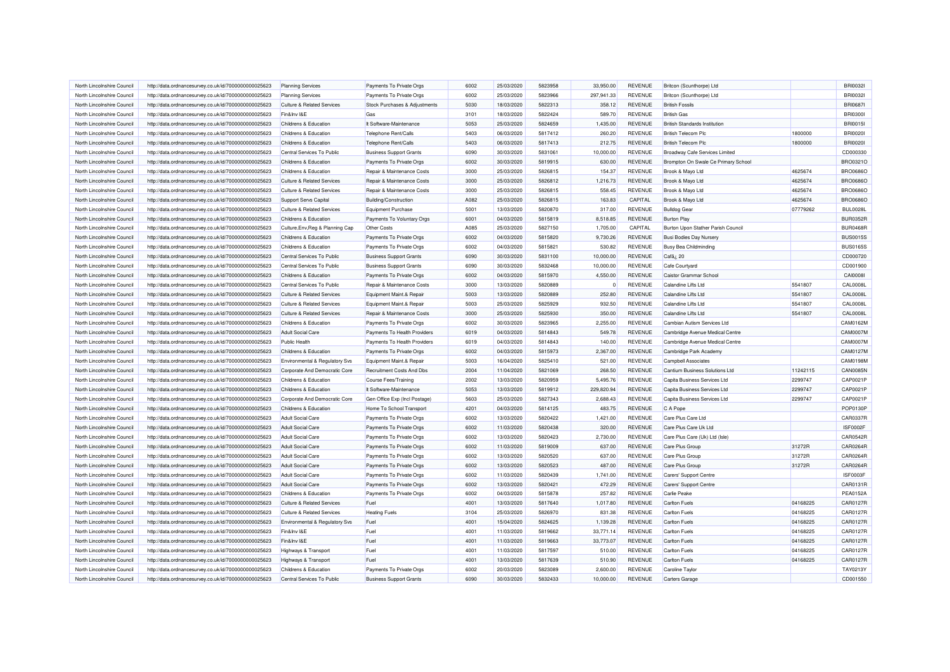| North Lincolnshire Council | http://data.ordnancesurvey.co.uk/id/7000000000025623 | <b>Planning Services</b>              | Payments To Private Orgs         | 6002 | 25/03/2020 | 5823958 | 33.950.00  | REVENUE        | Britcon (Scunthorpe) Ltd                 |          | <b>BRI00321</b>             |
|----------------------------|------------------------------------------------------|---------------------------------------|----------------------------------|------|------------|---------|------------|----------------|------------------------------------------|----------|-----------------------------|
| North Lincolnshire Council | http://data.ordnancesurvey.co.uk/id/7000000000025623 | <b>Planning Services</b>              | Payments To Private Orgs         | 6002 | 25/03/2020 | 5823966 | 297,941.33 | REVENUE        | Britcon (Scunthorpe) Ltd                 |          | <b>BRI00321</b>             |
| North Lincolnshire Council | http://data.ordnancesurvey.co.uk/id/7000000000025623 | <b>Culture &amp; Related Services</b> | Stock Purchases & Adjustments    | 5030 | 18/03/2020 | 5822313 | 358.12     | REVENUE        | <b>British Fossils</b>                   |          | <b>BRI0687I</b>             |
| North Lincolnshire Council | http://data.ordnancesurvey.co.uk/id/7000000000025623 | Fin&Inv I&E                           | Gas                              | 3101 | 18/03/2020 | 5822424 | 589.70     | REVENUE        | <b>British Gas</b>                       |          | <b>BRI03001</b>             |
| North Lincolnshire Council | http://data.ordnancesurvey.co.uk/id/7000000000025623 | Childrens & Education                 | It Software-Maintenance          | 5053 | 25/03/2020 | 5824659 | 1,435.00   | <b>REVENUE</b> | <b>British Standards Institution</b>     |          | <b>BRI0015I</b>             |
| North Lincolnshire Council | http://data.ordnancesurvey.co.uk/id/7000000000025623 | Childrens & Education                 | Telephone Rent/Calls             | 5403 | 06/03/2020 | 5817412 | 260.20     | REVENUE        | <b>British Telecom Plc</b>               | 1800000  | <b>BRI00201</b>             |
| North Lincolnshire Council | http://data.ordnancesurvey.co.uk/id/7000000000025623 | Childrens & Education                 | Telephone Rent/Calls             | 5403 | 06/03/2020 | 5817413 | 212.75     | <b>REVENUE</b> | <b>British Telecom Plc</b>               | 1800000  | <b>BRI00201</b>             |
| North Lincolnshire Council | http://data.ordnancesurvey.co.uk/id/7000000000025623 | Central Services To Public            | <b>Business Support Grants</b>   | 6090 | 30/03/2020 | 5831061 | 10,000.00  | <b>REVENUE</b> | Broadway Cafe Services Limited           |          | CD000330                    |
| North Lincolnshire Council | http://data.ordnancesurvey.co.uk/id/7000000000025623 | Childrens & Education                 | Payments To Private Orgs         | 6002 | 30/03/2020 | 5819915 | 630.00     | REVENUE        | Brompton On Swale Ce Primary School      |          | BRO0321O                    |
| North Lincolnshire Council | http://data.ordnancesurvey.co.uk/id/7000000000025623 | Childrens & Education                 | Repair & Maintenance Costs       | 3000 | 25/03/2020 | 5826815 | 154.37     | REVENUE        | Brook & Mayo Ltd                         | 4625674  | <b>BRO0686C</b>             |
| North Lincolnshire Council | http://data.ordnancesurvey.co.uk/id/7000000000025623 | <b>Culture &amp; Related Services</b> | Repair & Maintenance Costs       | 3000 | 25/03/2020 | 5826812 | 1,216.73   | REVENUE        | Brook & Mayo Ltd                         | 4625674  | <b>BRO0686O</b>             |
| North Lincolnshire Council | http://data.ordnancesurvey.co.uk/id/7000000000025623 | <b>Culture &amp; Related Services</b> | Repair & Maintenance Costs       | 3000 | 25/03/2020 | 5826815 | 558.45     | REVENUE        | Brook & Mayo Ltd                         | 4625674  | <b>BRO0686O</b>             |
| North Lincolnshire Council | http://data.ordnancesurvey.co.uk/id/7000000000025623 | <b>Support Servs Capital</b>          | Building/Construction            | A082 | 25/03/2020 | 5826815 | 163.83     | CAPITAL        | Brook & Mayo Ltd                         | 4625674  | <b>BRO0686O</b>             |
| North Lincolnshire Council | http://data.ordnancesurvey.co.uk/id/7000000000025623 | <b>Culture &amp; Related Services</b> | <b>Equipment Purchase</b>        | 5001 | 13/03/2020 | 5820870 | 317.00     | REVENUE        | <b>Bulldog Gear</b>                      | 07779262 | BUL0028L                    |
| North Lincolnshire Council | http://data.ordnancesurvey.co.uk/id/7000000000025623 | Childrens & Education                 | Payments To Voluntary Orgs       | 6001 | 04/03/2020 | 5815819 | 8,518.85   | <b>REVENUE</b> | <b>Burton Play</b>                       |          | <b>BUR0352F</b>             |
| North Lincolnshire Council | http://data.ordnancesurvey.co.uk/id/7000000000025623 | Culture, Env, Reg & Planning Cap      | Other Costs                      | A085 | 25/03/2020 | 5827150 | 1,705.00   | CAPITAL        | Burton Upon Stather Parish Council       |          | <b>BUR0468F</b>             |
| North Lincolnshire Council | http://data.ordnancesurvey.co.uk/id/7000000000025623 | Childrens & Education                 | Payments To Private Orgs         | 6002 | 04/03/2020 | 5815820 | 9,730.26   | REVENUE        | Busi Bodies Day Nursery                  |          | <b>BUS0015S</b>             |
| North Lincolnshire Council | http://data.ordnancesurvey.co.uk/id/7000000000025623 | Childrens & Education                 | Payments To Private Orgs         | 6002 | 04/03/2020 | 5815821 | 530.82     | REVENUE        | <b>Busy Bea Childminding</b>             |          | <b>BUS0165S</b>             |
| North Lincolnshire Council |                                                      | Central Services To Public            |                                  | 6090 | 30/03/2020 | 5831100 | 10,000.00  | <b>REVENUE</b> |                                          |          | CD000720                    |
| North Lincolnshire Council | http://data.ordnancesurvey.co.uk/id/7000000000025623 | Central Services To Public            | <b>Business Support Grants</b>   | 6090 | 30/03/2020 | 5832468 | 10.000.00  | <b>REVENUE</b> | Cafã¿ 20                                 |          | CD001900                    |
| North Lincolnshire Council | http://data.ordnancesurvey.co.uk/id/7000000000025623 | Childrens & Education                 | <b>Business Support Grants</b>   | 6002 | 04/03/2020 | 5815970 | 4,550.00   | <b>REVENUE</b> | Cafe Courtyard<br>Caistor Grammar School |          | <b>CAI0008</b>              |
|                            | http://data.ordnancesurvey.co.uk/id/7000000000025623 |                                       | Payments To Private Orgs         |      |            |         |            |                |                                          |          |                             |
| North Lincolnshire Council | http://data.ordnancesurvey.co.uk/id/7000000000025623 | Central Services To Public            | Repair & Maintenance Costs       | 3000 | 13/03/2020 | 5820889 |            | REVENUE        | Calandine Lifts Ltd                      | 5541807  | <b>CAL0008L</b><br>CAL0008L |
| North Lincolnshire Council | http://data.ordnancesurvey.co.uk/id/7000000000025623 | <b>Culture &amp; Related Services</b> | Equipment Maint.& Repair         | 5003 | 13/03/2020 | 5820889 | 252.80     | <b>REVENUE</b> | Calandine Lifts Ltd                      | 5541807  |                             |
| North Lincolnshire Council | http://data.ordnancesurvey.co.uk/id/7000000000025623 | <b>Culture &amp; Related Services</b> | Equipment Maint.& Repair         | 5003 | 25/03/2020 | 5825929 | 932.50     | REVENUE        | Calandine Lifts Ltd                      | 5541807  | CAL0008L                    |
| North Lincolnshire Council | http://data.ordnancesurvey.co.uk/id/7000000000025623 | <b>Culture &amp; Related Services</b> | Repair & Maintenance Costs       | 3000 | 25/03/2020 | 5825930 | 350.00     | REVENUE        | Calandine Lifts Ltd                      | 5541807  | <b>CAL0008L</b>             |
| North Lincolnshire Council | http://data.ordnancesurvey.co.uk/id/7000000000025623 | Childrens & Education                 | Payments To Private Orgs         | 6002 | 30/03/2020 | 5823965 | 2,255.00   | <b>REVENUE</b> | Cambian Autism Services Ltd              |          | CAM0162M                    |
| North Lincolnshire Council | http://data.ordnancesurvey.co.uk/id/7000000000025623 | <b>Adult Social Care</b>              | Payments To Health Providers     | 6019 | 04/03/2020 | 5814843 | 549.78     | <b>REVENUE</b> | Cambridge Avenue Medical Centre          |          | CAM0007M                    |
| North Lincolnshire Council | http://data.ordnancesurvey.co.uk/id/7000000000025623 | Public Health                         | Payments To Health Providers     | 6019 | 04/03/2020 | 5814843 | 140.00     | REVENUE        | Cambridge Avenue Medical Centre          |          | <b>CAM0007M</b>             |
| North Lincolnshire Council | http://data.ordnancesurvey.co.uk/id/7000000000025623 | Childrens & Education                 | Payments To Private Orgs         | 6002 | 04/03/2020 | 5815973 | 2,367.00   | <b>REVENUE</b> | Cambridge Park Academy                   |          | CAM0127M                    |
| North Lincolnshire Council | http://data.ordnancesurvey.co.uk/id/7000000000025623 | Environmental & Regulatory Svs        | Equipment Maint.& Repair         | 5003 | 16/04/2020 | 5825410 | 521.00     | REVENUE        | <b>Campbell Associates</b>               |          | CAM0198M                    |
| North Lincolnshire Council | http://data.ordnancesurvey.co.uk/id/7000000000025623 | Corporate And Democratic Core         | <b>Recruitment Costs And Dbs</b> | 2004 | 11/04/2020 | 5821069 | 268.50     | <b>REVENUE</b> | Cantium Business Solutions Ltd           | 11242115 | <b>CAN0085N</b>             |
| North Lincolnshire Council | http://data.ordnancesurvey.co.uk/id/7000000000025623 | Childrens & Education                 | <b>Course Fees/Training</b>      | 2002 | 13/03/2020 | 5820959 | 5,495.76   | REVENUE        | Capita Business Services Ltd             | 2299747  | CAP0021F                    |
| North Lincolnshire Council | http://data.ordnancesurvey.co.uk/id/7000000000025623 | Childrens & Education                 | It Software-Maintenance          | 5053 | 13/03/2020 | 5819912 | 229,820.94 | REVENUE        | Capita Business Services Ltd             | 2299747  | CAP0021P                    |
| North Lincolnshire Council | http://data.ordnancesurvey.co.uk/id/7000000000025623 | Corporate And Democratic Core         | Gen Office Exp (Incl Postage)    | 5603 | 25/03/2020 | 5827343 | 2,688.43   | REVENUE        | Capita Business Services Ltd             | 2299747  | CAP0021P                    |
| North Lincolnshire Council | http://data.ordnancesurvey.co.uk/id/7000000000025623 | Childrens & Education                 | Home To School Transport         | 4201 | 04/03/2020 | 5814125 | 483.75     | <b>REVENUE</b> | C A Pope                                 |          | <b>POP0130F</b>             |
| North Lincolnshire Council | http://data.ordnancesurvey.co.uk/id/7000000000025623 | <b>Adult Social Care</b>              | Payments To Private Orgs         | 6002 | 13/03/2020 | 5820422 | 1,421.00   | REVENUE        | Care Plus Care Ltd                       |          | <b>CAR0337F</b>             |
| North Lincolnshire Council | http://data.ordnancesurvey.co.uk/id/7000000000025623 | <b>Adult Social Care</b>              | Payments To Private Orgs         | 6002 | 11/03/2020 | 5820438 | 320.00     | <b>REVENUE</b> | Care Plus Care Uk Ltd                    |          | <b>ISF0002F</b>             |
| North Lincolnshire Council | http://data.ordnancesurvey.co.uk/id/7000000000025623 | <b>Adult Social Care</b>              | Payments To Private Orgs         | 6002 | 13/03/2020 | 5820423 | 2,730.00   | REVENUE        | Care Plus Care (Uk) Ltd (Isle)           |          | CAR0542F                    |
| North Lincolnshire Council | http://data.ordnancesurvey.co.uk/id/7000000000025623 | <b>Adult Social Care</b>              | Payments To Private Orgs         | 6002 | 11/03/2020 | 5819009 | 637.00     | REVENUE        | Care Plus Group                          | 31272R   | CAR0264F                    |
| North Lincolnshire Council | http://data.ordnancesurvey.co.uk/id/7000000000025623 | <b>Adult Social Care</b>              | Payments To Private Orgs         | 6002 | 13/03/2020 | 5820520 | 637.00     | REVENUE        | Care Plus Group                          | 31272R   | CAR0264F                    |
| North Lincolnshire Council | http://data.ordnancesurvey.co.uk/id/7000000000025623 | <b>Adult Social Care</b>              | Payments To Private Orgs         | 6002 | 13/03/2020 | 5820523 | 487.00     | <b>REVENUE</b> | Care Plus Group                          | 31272R   | CAR0264F                    |
| North Lincolnshire Council | http://data.ordnancesurvey.co.uk/id/7000000000025623 | <b>Adult Social Care</b>              | Payments To Private Orgs         | 6002 | 11/03/2020 | 5820439 | 1,741.00   | <b>REVENUE</b> | Carers' Support Centre                   |          | ISF0003F                    |
| North Lincolnshire Council | http://data.ordnancesurvey.co.uk/id/7000000000025623 | <b>Adult Social Care</b>              | Payments To Private Orgs         | 6002 | 13/03/2020 | 5820421 | 472.29     | <b>REVENUE</b> | Carers' Support Centre                   |          | CAR0131F                    |
| North Lincolnshire Council | http://data.ordnancesurvey.co.uk/id/7000000000025623 | <b>Childrens &amp; Education</b>      | Payments To Private Orgs         | 6002 | 04/03/2020 | 5815878 | 257.82     | REVENUE        | <b>Carlie Peake</b>                      |          | <b>PEA0152A</b>             |
| North Lincolnshire Council | http://data.ordnancesurvey.co.uk/id/7000000000025623 | <b>Culture &amp; Related Services</b> | Fuel                             | 4001 | 13/03/2020 | 5817640 | 1,017.80   | <b>REVENUE</b> | <b>Carlton Fuels</b>                     | 04168225 | <b>CAR0127F</b>             |
| North Lincolnshire Council | http://data.ordnancesurvey.co.uk/id/7000000000025623 | <b>Culture &amp; Related Services</b> | <b>Heating Fuels</b>             | 3104 | 25/03/2020 | 5826970 | 831.38     | <b>REVENUE</b> | <b>Carlton Fuels</b>                     | 04168225 | <b>CAR0127F</b>             |
| North Lincolnshire Council | http://data.ordnancesurvey.co.uk/id/7000000000025623 | Environmental & Regulatory Svs        | Fuel                             | 4001 | 15/04/2020 | 5824625 | 1,139.28   | REVENUE        | <b>Carlton Fuels</b>                     | 04168225 | <b>CAR0127F</b>             |
| North Lincolnshire Council | http://data.ordnancesurvey.co.uk/id/7000000000025623 | Fin&Inv I&F                           | Fuel                             | 4001 | 11/03/2020 | 5819662 | 33,771.14  | REVENUE        | Carlton Fuels                            | 04168225 | <b>CAR0127F</b>             |
| North Lincolnshire Council | http://data.ordnancesurvey.co.uk/id/7000000000025623 | Fin&Inv I&E                           | Fuel                             | 4001 | 11/03/2020 | 5819663 | 33,773.07  | REVENUE        | <b>Carlton Fuels</b>                     | 04168225 | <b>CAR0127F</b>             |
| North Lincolnshire Council | http://data.ordnancesurvey.co.uk/id/7000000000025623 | Highways & Transport                  | Fuel                             | 4001 | 11/03/2020 | 5817597 | 510.00     | REVENUE        | Carlton Fuels                            | 04168225 | <b>CAR0127F</b>             |
| North Lincolnshire Council | http://data.ordnancesurvey.co.uk/id/7000000000025623 | Highways & Transport                  | Fuel                             | 4001 | 13/03/2020 | 5817639 | 510.90     | REVENUE        | <b>Carlton Fuels</b>                     | 04168225 | <b>CAR0127F</b>             |
| North Lincolnshire Council | http://data.ordnancesurvey.co.uk/id/7000000000025623 | Childrens & Education                 | Payments To Private Orgs         | 6002 | 20/03/2020 | 5823089 | 2,600.00   | REVENUE        | Caroline Taylor                          |          | TAY0213Y                    |
| North Lincolnshire Council | http://data.ordnancesurvey.co.uk/id/7000000000025623 | Central Services To Public            | <b>Business Support Grants</b>   | 6090 | 30/03/2020 | 5832433 | 10,000.00  | REVENUE        | Carters Garage                           |          | CD001550                    |
|                            |                                                      |                                       |                                  |      |            |         |            |                |                                          |          |                             |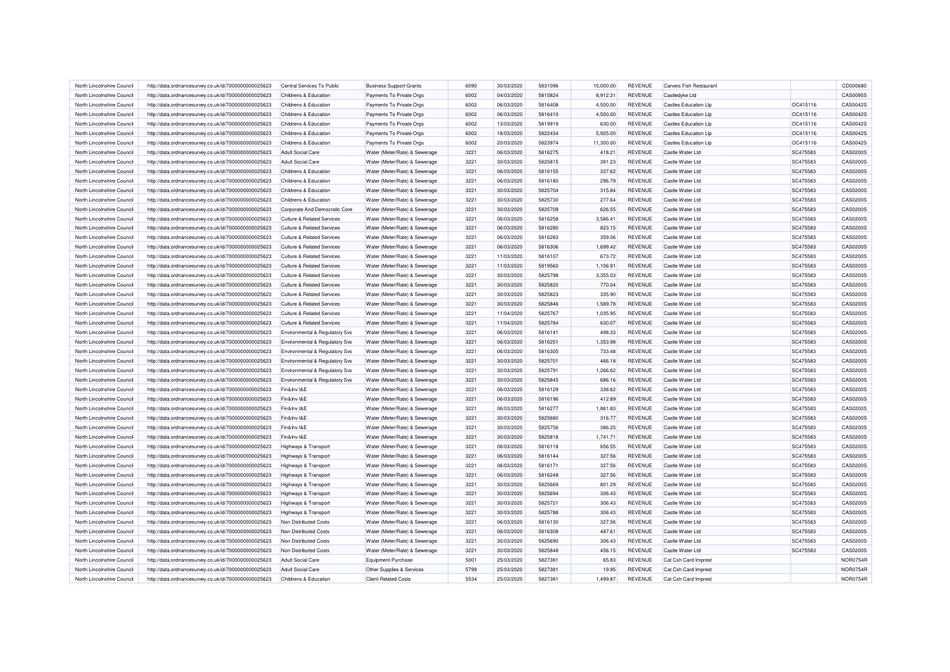| North Lincolnshire Council | http://data.ordnancesurvey.co.uk/id/7000000000025623 | Central Services To Public            | <b>Business Support Grants</b> | 6090 | 30/03/2020 | 5831096 | 10,000.00 | <b>REVENUE</b> | <b>Carvers Fish Restaurant</b> |          | CD000680        |
|----------------------------|------------------------------------------------------|---------------------------------------|--------------------------------|------|------------|---------|-----------|----------------|--------------------------------|----------|-----------------|
| North Lincolnshire Council | http://data.ordnancesurvey.co.uk/id/7000000000025623 | Childrens & Education                 | Payments To Private Orgs       | 6002 | 04/03/2020 | 5815824 | 8,912.31  | REVENUE        | Castledyke Ltd                 |          | CAS0095S        |
| North Lincolnshire Council | http://data.ordnancesurvey.co.uk/id/7000000000025623 | Childrens & Education                 | Payments To Private Orgs       | 6002 | 06/03/2020 | 5816408 | 4,500.00  | <b>REVENUE</b> | <b>Castles Education Lip</b>   | OC415116 | CAS0042S        |
| North Lincolnshire Council | http://data.ordnancesurvey.co.uk/id/7000000000025623 | Childrens & Education                 | Payments To Private Orgs       | 6002 | 06/03/2020 | 5816410 | 4,500.00  | <b>REVENUE</b> | <b>Castles Education Lip</b>   | OC415116 | CAS0042S        |
| North Lincolnshire Council | http://data.ordnancesurvey.co.uk/id/7000000000025623 | Childrens & Education                 | Payments To Private Orgs       | 6002 | 13/03/2020 | 5819919 | 630.00    | REVENUE        | <b>Castles Education Lip</b>   | OC415116 | CAS0042S        |
| North Lincolnshire Council | http://data.ordnancesurvey.co.uk/id/7000000000025623 | Childrens & Education                 | Payments To Private Orgs       | 6002 | 18/03/2020 | 5822434 | 5,925.00  | <b>REVENUE</b> | <b>Castles Education Lip</b>   | OC415116 | CAS0042S        |
| North Lincolnshire Council | http://data.ordnancesurvey.co.uk/id/7000000000025623 | Childrens & Education                 | Payments To Private Orgs       | 6002 | 20/03/2020 | 5823974 | 11,300.00 | <b>REVENUE</b> | <b>Castles Education Lip</b>   | OC415116 | CAS0042S        |
| North Lincolnshire Council | http://data.ordnancesurvey.co.uk/id/7000000000025623 | <b>Adult Social Care</b>              | Water (Meter/Rate) & Sewerage  | 3221 | 06/03/2020 | 5816275 | 418.21    | <b>REVENUE</b> | Castle Water Ltd               | SC475583 | CAS0200S        |
| North Lincolnshire Council | http://data.ordnancesurvey.co.uk/id/7000000000025623 | <b>Adult Social Care</b>              | Water (Meter/Rate) & Sewerage  | 3221 | 30/03/2020 | 5825815 | 391.23    | <b>REVENUE</b> | Castle Water Ltd               | SC475583 | CAS0200S        |
| North Lincolnshire Council | http://data.ordnancesurvey.co.uk/id/7000000000025623 | Childrens & Education                 | Water (Meter/Rate) & Sewerage  | 3221 | 06/03/2020 | 5816155 | 337.62    | REVENUE        | Castle Water Ltd               | SC475583 | CAS0200S        |
| North Lincolnshire Council | http://data.ordnancesurvey.co.uk/id/7000000000025623 | Childrens & Education                 | Water (Meter/Rate) & Sewerage  | 3221 | 06/03/2020 | 5816180 | 296.79    | <b>REVENUE</b> | Castle Water Ltd               | SC475583 | CAS0200S        |
| North Lincolnshire Council | http://data.ordnancesurvey.co.uk/id/7000000000025623 | Childrens & Education                 | Water (Meter/Rate) & Sewerage  | 3221 | 30/03/2020 | 5825704 | 315.84    | <b>REVENUE</b> | Castle Water Ltd               | SC475583 | <b>CAS0200S</b> |
| North Lincolnshire Council | http://data.ordnancesurvey.co.uk/id/7000000000025623 | Childrens & Education                 | Water (Meter/Rate) & Sewerage  | 3221 | 30/03/2020 | 5825730 | 277.64    | <b>REVENUE</b> | Castle Water Ltd               | SC475583 | CAS0200S        |
| North Lincolnshire Council | http://data.ordnancesurvey.co.uk/id/7000000000025623 | Corporate And Democratic Core         | Water (Meter/Rate) & Sewerage  | 3221 | 30/03/2020 | 5825709 | 626,55    | <b>REVENUE</b> | Castle Water Ltd               | SC475583 | CAS0200S        |
| North Lincolnshire Council | http://data.ordnancesurvey.co.uk/id/7000000000025623 | <b>Culture &amp; Related Services</b> | Water (Meter/Rate) & Sewerage  | 3221 | 06/03/2020 | 5816258 | 3,586.41  | <b>REVENUE</b> | Castle Water Ltd               | SC475583 | <b>CAS0200S</b> |
| North Lincolnshire Council | http://data.ordnancesurvey.co.uk/id/7000000000025623 | <b>Culture &amp; Related Services</b> | Water (Meter/Rate) & Sewerage  | 3221 | 06/03/2020 | 5816280 | 823.15    | REVENUE        | Castle Water Ltd               | SC475583 | CAS0200S        |
| North Lincolnshire Council | http://data.ordnancesurvey.co.uk/id/7000000000025623 | <b>Culture &amp; Related Services</b> | Water (Meter/Rate) & Sewerage  | 3221 | 06/03/2020 | 5816283 | 359.06    | <b>REVENUE</b> | Castle Water Ltd               | SC475583 | CAS0200S        |
| North Lincolnshire Council | http://data.ordnancesurvey.co.uk/id/7000000000025623 | <b>Culture &amp; Related Services</b> | Water (Meter/Rate) & Sewerage  | 3221 | 06/03/2020 | 5816306 | 1,699.42  | <b>REVENUE</b> | Castle Water Ltd               | SC475583 | <b>CAS0200S</b> |
| North Lincolnshire Council | http://data.ordnancesurvey.co.uk/id/7000000000025623 | Culture & Related Services            | Water (Meter/Rate) & Sewerage  | 3221 | 11/03/2020 | 5816107 | 673.72    | <b>REVENUE</b> | Castle Water Ltd               | SC475583 | CAS0200S        |
| North Lincolnshire Council | http://data.ordnancesurvey.co.uk/id/7000000000025623 | <b>Culture &amp; Related Services</b> | Water (Meter/Rate) & Sewerage  | 3221 | 11/03/2020 | 5819560 | 1,106.91  | <b>REVENUE</b> | Castle Water Ltd               | SC475583 | CAS0200S        |
| North Lincolnshire Council |                                                      | <b>Culture &amp; Related Services</b> |                                | 3221 | 30/03/2020 | 5825798 |           | <b>REVENUE</b> | Castle Water Ltd               |          | CAS0200S        |
| North Lincolnshire Council | http://data.ordnancesurvey.co.uk/id/7000000000025623 |                                       | Water (Meter/Rate) & Sewerage  |      |            | 5825820 | 3,355.03  | <b>REVENUE</b> | Castle Water Ltd               | SC475583 |                 |
|                            | http://data.ordnancesurvey.co.uk/id/7000000000025623 | <b>Culture &amp; Related Services</b> | Water (Meter/Rate) & Sewerage  | 3221 | 30/03/2020 |         | 770.04    |                |                                | SC475583 | CAS0200S        |
| North Lincolnshire Council | http://data.ordnancesurvey.co.uk/id/7000000000025623 | <b>Culture &amp; Related Services</b> | Water (Meter/Rate) & Sewerage  | 3221 | 30/03/2020 | 5825823 | 335.90    | <b>REVENUE</b> | Castle Water Ltd               | SC475583 | CAS0200S        |
| North Lincolnshire Council | http://data.ordnancesurvey.co.uk/id/7000000000025623 | <b>Culture &amp; Related Services</b> | Water (Meter/Rate) & Sewerage  | 3221 | 30/03/2020 | 5825846 | 1,589.78  | <b>REVENUE</b> | Castle Water Ltd               | SC475583 | CAS0200S        |
| North Lincolnshire Council | http://data.ordnancesurvey.co.uk/id/7000000000025623 | <b>Culture &amp; Related Services</b> | Water (Meter/Rate) & Sewerage  | 3221 | 11/04/2020 | 5825767 | 1,035.95  | <b>REVENUE</b> | Castle Water Ltd               | SC475583 | CAS0200S        |
| North Lincolnshire Council | http://data.ordnancesurvey.co.uk/id/7000000000025623 | <b>Culture &amp; Related Services</b> | Water (Meter/Rate) & Sewerage  | 3221 | 11/04/2020 | 5825784 | 630.07    | <b>REVENUE</b> | Castle Water Ltd               | SC475583 | CAS0200S        |
| North Lincolnshire Council | http://data.ordnancesurvey.co.uk/id/7000000000025623 | Environmental & Regulatory Svs        | Water (Meter/Rate) & Sewerage  | 3221 | 06/03/2020 | 5816141 | 498.33    | <b>REVENUE</b> | Castle Water Ltd               | SC475583 | CAS0200S        |
| North Lincolnshire Council | http://data.ordnancesurvey.co.uk/id/7000000000025623 | Environmental & Regulatory Svs        | Water (Meter/Rate) & Sewerage  | 3221 | 06/03/2020 | 5816251 | 1,353.98  | <b>REVENUE</b> | Castle Water Ltd               | SC475583 | CAS0200S        |
| North Lincolnshire Council | http://data.ordnancesurvey.co.uk/id/7000000000025623 | Environmental & Regulatory Svs        | Water (Meter/Rate) & Sewerage  | 3221 | 06/03/2020 | 5816305 | 733.48    | REVENUE        | Castle Water Ltd               | SC475583 | CAS0200S        |
| North Lincolnshire Council | http://data.ordnancesurvey.co.uk/id/7000000000025623 | Environmental & Regulatory Svs        | Water (Meter/Rate) & Sewerage  | 3221 | 30/03/2020 | 5825701 | 466.18    | <b>REVENUE</b> | Castle Water I td              | SC475583 | <b>CAS0200S</b> |
| North Lincolnshire Council | http://data.ordnancesurvey.co.uk/id/7000000000025623 | Environmental & Regulatory Svs        | Water (Meter/Rate) & Sewerage  | 3221 | 30/03/2020 | 5825791 | 1.266.62  | <b>REVENUE</b> | Castle Water Ltd               | SC475583 | CAS0200S        |
| North Lincolnshire Council | http://data.ordnancesurvey.co.uk/id/7000000000025623 | Environmental & Regulatory Svs        | Water (Meter/Rate) & Sewerage  | 3221 | 30/03/2020 | 5825845 | 686.16    | <b>REVENUE</b> | Castle Water Ltd               | SC475583 | CAS0200S        |
| North Lincolnshire Council | http://data.ordnancesurvey.co.uk/id/7000000000025623 | Fin&Inv I&F                           | Water (Meter/Rate) & Sewerage  | 3221 | 06/03/2020 | 5816129 | 338.62    | <b>REVENUE</b> | Castle Water Ltd               | SC475583 | CAS0200S        |
| North Lincolnshire Council | http://data.ordnancesurvey.co.uk/id/7000000000025623 | Fin&Inv I&E                           | Water (Meter/Rate) & Sewerage  | 3221 | 06/03/2020 | 5816196 | 412.89    | <b>REVENUE</b> | Castle Water Ltd               | SC475583 | CAS0200S        |
| North Lincolnshire Council | http://data.ordnancesurvey.co.uk/id/7000000000025623 | Fin&Inv I&E                           | Water (Meter/Rate) & Sewerage  | 3221 | 06/03/2020 | 5816277 | 1,861.83  | REVENUE        | Castle Water Ltd               | SC475583 | CAS0200S        |
| North Lincolnshire Council | http://data.ordnancesurvey.co.uk/id/7000000000025623 | Fin&Inv I&E                           | Water (Meter/Rate) & Sewerage  | 3221 | 30/03/2020 | 5825680 | 316.77    | <b>REVENUE</b> | Castle Water Ltd               | SC475583 | CAS0200S        |
| North Lincolnshire Council | http://data.ordnancesurvey.co.uk/id/7000000000025623 | Fin&Inv I&E                           | Water (Meter/Rate) & Sewerage  | 3221 | 30/03/2020 | 5825756 | 386.25    | <b>REVENUE</b> | Castle Water Ltd               | SC475583 | CAS0200S        |
| North Lincolnshire Council | http://data.ordnancesurvey.co.uk/id/7000000000025623 | Fin&Inv I&E                           | Water (Meter/Rate) & Sewerage  | 3221 | 30/03/2020 | 5825818 | 1,741.71  | REVENUE        | Castle Water Ltd               | SC475583 | CAS0200S        |
| North Lincolnshire Council | http://data.ordnancesurvey.co.uk/id/7000000000025623 | Highways & Transport                  | Water (Meter/Rate) & Sewerage  | 3221 | 06/03/2020 | 5816118 | 856.55    | <b>REVENUE</b> | Castle Water Ltd               | SC475583 | CAS0200S        |
| North Lincolnshire Council | http://data.ordnancesurvey.co.uk/id/7000000000025623 | <b>Highways &amp; Transport</b>       | Water (Meter/Rate) & Sewerage  | 3221 | 06/03/2020 | 5816144 | 327.56    | <b>REVENUE</b> | Castle Water Ltd               | SC475583 | CAS0200S        |
| North Lincolnshire Council | http://data.ordnancesurvey.co.uk/id/7000000000025623 | Highways & Transport                  | Water (Meter/Rate) & Sewerage  | 3221 | 06/03/2020 | 5816171 | 327.56    | REVENUE        | Castle Water Ltd               | SC475583 | CAS0200S        |
| North Lincolnshire Council | http://data.ordnancesurvey.co.uk/id/7000000000025623 | <b>Highways &amp; Transport</b>       | Water (Meter/Rate) & Sewerage  | 3221 | 06/03/2020 | 5816248 | 327.56    | <b>REVENUE</b> | Castle Water Ltd               | SC475583 | CAS0200S        |
| North Lincolnshire Council | http://data.ordnancesurvey.co.uk/id/7000000000025623 | <b>Highways &amp; Transport</b>       | Water (Meter/Rate) & Sewerage  | 3221 | 30/03/2020 | 5825669 | 801.29    | <b>REVENUE</b> | Castle Water Ltd               | SC475583 | CAS0200S        |
| North Lincolnshire Council | http://data.ordnancesurvey.co.uk/id/7000000000025623 | <b>Highways &amp; Transport</b>       | Water (Meter/Rate) & Sewerage  | 3221 | 30/03/2020 | 5825694 | 306.43    | <b>REVENUE</b> | Castle Water Ltd               | SC475583 | CAS0200S        |
| North Lincolnshire Council | http://data.ordnancesurvey.co.uk/id/7000000000025623 | <b>Highways &amp; Transport</b>       | Water (Meter/Rate) & Sewerage  | 3221 | 30/03/2020 | 5825721 | 306.43    | <b>REVENUE</b> | Castle Water Ltd               | SC475583 | CAS0200S        |
| North Lincolnshire Council | http://data.ordnancesurvey.co.uk/id/7000000000025623 | <b>Highways &amp; Transport</b>       | Water (Meter/Rate) & Sewerage  | 3221 | 30/03/2020 | 5825788 | 306.43    | <b>REVENUE</b> | Castle Water Ltd               | SC475583 | CAS0200S        |
| North Lincolnshire Council | http://data.ordnancesurvey.co.uk/id/7000000000025623 | Non Distributed Costs                 | Water (Meter/Rate) & Sewerage  | 3221 | 06/03/2020 | 5816130 | 327.56    | REVENUE        | Castle Water Ltd               | SC475583 | CAS0200S        |
| North Lincolnshire Council | http://data.ordnancesurvey.co.uk/id/7000000000025623 | Non Distributed Costs                 | Water (Meter/Rate) & Sewerage  | 3221 | 06/03/2020 | 5816308 | 487.61    | <b>REVENUE</b> | Castle Water Ltd               | SC475583 | CAS0200S        |
| North Lincolnshire Council | http://data.ordnancesurvey.co.uk/id/7000000000025623 | Non Distributed Costs                 | Water (Meter/Rate) & Sewerage  | 3221 | 30/03/2020 | 5825690 | 306.43    | <b>REVENUE</b> | Castle Water Ltd               | SC475583 | CAS0200S        |
| North Lincolnshire Council | http://data.ordnancesurvey.co.uk/id/7000000000025623 | Non Distributed Costs                 | Water (Meter/Rate) & Sewerage  | 3221 | 30/03/2020 | 5825848 | 456.15    | <b>REVENUE</b> | Castle Water Ltd               | SC475583 | CAS0200S        |
| North Lincolnshire Council | http://data.ordnancesurvey.co.uk/id/7000000000025623 | <b>Adult Social Care</b>              | <b>Equipment Purchase</b>      | 5001 | 25/03/2020 | 5827381 | 65.83     | <b>REVENUE</b> | Cat Csh Card Imprest           |          | NOR0754R        |
| North Lincolnshire Council | http://data.ordnancesurvey.co.uk/id/7000000000025623 | <b>Adult Social Care</b>              | Other Supplies & Services      | 5799 | 25/03/2020 | 5827381 | 19.95     | <b>REVENUE</b> | Cat Csh Card Imprest           |          | NOR0754R        |
| North Lincolnshire Council | http://data.ordnancesurvey.co.uk/id/7000000000025623 | Childrens & Education                 | <b>Client Related Costs</b>    | 5534 | 25/03/2020 | 582738  | 1,499.87  | <b>REVENUE</b> | Cat Csh Card Imprest           |          | NOR0754R        |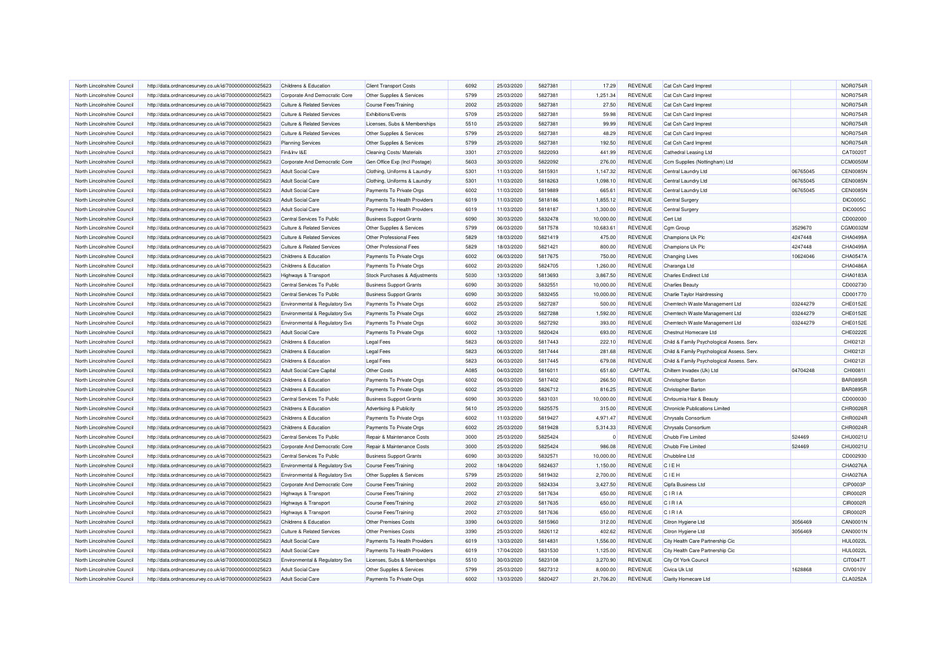| North Lincolnshire Council | http://data.ordnancesurvey.co.uk/id/7000000000025623 | Childrens & Education                 | <b>Client Transport Costs</b>    | 6092 | 25/03/2020 | 5827381 | 17.29     | <b>REVENUE</b> | Cat Csh Card Imprest                       |          | <b>NOR0754R</b> |
|----------------------------|------------------------------------------------------|---------------------------------------|----------------------------------|------|------------|---------|-----------|----------------|--------------------------------------------|----------|-----------------|
| North Lincolnshire Council | http://data.ordnancesurvey.co.uk/id/7000000000025623 | Corporate And Democratic Core         | Other Supplies & Services        | 5799 | 25/03/2020 | 5827381 | 1,251.34  | REVENUE        | Cat Csh Card Imprest                       |          | <b>NOR0754R</b> |
| North Lincolnshire Council | http://data.ordnancesurvey.co.uk/id/7000000000025623 | <b>Culture &amp; Related Services</b> | Course Fees/Training             | 2002 | 25/03/2020 | 5827381 | 27.50     | REVENUE        | Cat Csh Card Imprest                       |          | NOR0754F        |
| North Lincolnshire Council | http://data.ordnancesurvey.co.uk/id/7000000000025623 | <b>Culture &amp; Related Services</b> | Exhibitions/Events               | 5709 | 25/03/2020 | 5827381 | 59.98     | REVENUE        | Cat Csh Card Imprest                       |          | <b>NOR0754R</b> |
| North Lincolnshire Council | http://data.ordnancesurvey.co.uk/id/7000000000025623 | <b>Culture &amp; Related Services</b> | Licenses, Subs & Memberships     | 5510 | 25/03/2020 | 5827381 | 99.99     | <b>REVENUE</b> | Cat Csh Card Imprest                       |          | NOR0754F        |
| North Lincolnshire Council | http://data.ordnancesurvey.co.uk/id/7000000000025623 | <b>Culture &amp; Related Services</b> | Other Supplies & Services        | 5799 | 25/03/2020 | 5827381 | 48.29     | REVENUE        | Cat Csh Card Imprest                       |          | <b>NOR0754R</b> |
| North Lincolnshire Council | http://data.ordnancesurvey.co.uk/id/7000000000025623 | <b>Planning Services</b>              | Other Supplies & Services        | 5799 | 25/03/2020 | 5827381 | 192.50    | <b>REVENUE</b> | Cat Csh Card Imprest                       |          | <b>NOR0754R</b> |
| North Lincolnshire Council | http://data.ordnancesurvey.co.uk/id/7000000000025623 | Fin&Inv I&E                           | <b>Cleaning Costs/ Materials</b> | 3301 | 27/03/2020 | 5822093 | 441.99    | <b>REVENUE</b> | Cathedral Leasing Ltd                      |          | CAT0020T        |
| North Lincolnshire Council | http://data.ordnancesurvey.co.uk/id/7000000000025623 | Corporate And Democratic Core         | Gen Office Exp (Incl Postage)    | 5603 | 30/03/2020 | 5822092 | 276.00    | REVENUE        | Ccm Supplies (Nottingham) Ltd              |          | CCM0050M        |
| North Lincolnshire Council | http://data.ordnancesurvey.co.uk/id/7000000000025623 | <b>Adult Social Care</b>              | Clothing, Uniforms & Laundry     | 5301 | 11/03/2020 | 5815931 | 1,147.32  | REVENUE        | Central Laundry Ltd                        | 06765045 | <b>CEN0085N</b> |
| North Lincolnshire Council | http://data.ordnancesurvey.co.uk/id/7000000000025623 | <b>Adult Social Care</b>              | Clothing, Uniforms & Laundry     | 5301 | 11/03/2020 | 5818263 | 1,098.10  | <b>REVENUE</b> | Central Laundry Ltd                        | 06765045 | <b>CEN0085N</b> |
| North Lincolnshire Council | http://data.ordnancesurvey.co.uk/id/7000000000025623 | Adult Social Care                     | Payments To Private Orgs         | 6002 | 11/03/2020 | 5819889 | 665.61    | REVENUE        | Central Laundry Ltd                        | 06765045 | CEN0085N        |
| North Lincolnshire Council | http://data.ordnancesurvey.co.uk/id/7000000000025623 | <b>Adult Social Care</b>              | Payments To Health Providers     | 6019 | 11/03/2020 | 5818186 | 1,855.12  | REVENUE        | Central Surgery                            |          | <b>DIC0005C</b> |
| North Lincolnshire Council | http://data.ordnancesurvey.co.uk/id/7000000000025623 | <b>Adult Social Care</b>              | Payments To Health Providers     | 6019 | 11/03/2020 | 5818187 | 1,300.00  | REVENUE        | Central Surgery                            |          | <b>DIC0005C</b> |
| North Lincolnshire Council | http://data.ordnancesurvey.co.uk/id/7000000000025623 | Central Services To Public            | <b>Business Support Grants</b>   | 6090 | 30/03/2020 | 5832478 | 10,000.00 | <b>REVENUE</b> | Cert Ltd                                   |          | CD002000        |
| North Lincolnshire Council | http://data.ordnancesurvey.co.uk/id/7000000000025623 | <b>Culture &amp; Related Services</b> | Other Supplies & Services        | 5799 | 06/03/2020 | 5817578 | 10,683.61 | <b>REVENUE</b> | Cgm Group                                  | 3529670  | CGM0032M        |
| North Lincolnshire Council | http://data.ordnancesurvey.co.uk/id/7000000000025623 | <b>Culture &amp; Related Services</b> | Other Professional Fees          | 5829 | 18/03/2020 | 5821419 | 475.00    | <b>REVENUE</b> | Champions Uk Plc                           | 4247448  | CHA0499A        |
| North Lincolnshire Council | http://data.ordnancesurvey.co.uk/id/7000000000025623 | <b>Culture &amp; Related Services</b> | Other Professional Fees          | 5829 | 18/03/2020 | 5821421 | 800.00    | REVENUE        | Champions Uk Plc                           | 4247448  | CHA0499A        |
| North Lincolnshire Council | http://data.ordnancesurvey.co.uk/id/7000000000025623 | Childrens & Education                 | Payments To Private Orgs         | 6002 | 06/03/2020 | 5817675 | 750.00    | <b>REVENUE</b> | <b>Changing Lives</b>                      | 10624046 | CHA0547A        |
| North Lincolnshire Council | http://data.ordnancesurvey.co.uk/id/7000000000025623 | Childrens & Education                 | Payments To Private Orgs         | 6002 | 20/03/2020 | 5824705 | 1,260.00  | REVENUE        | Charanga Ltd                               |          | CHA0486A        |
| North Lincolnshire Council | http://data.ordnancesurvey.co.uk/id/7000000000025623 | Highways & Transport                  | Stock Purchases & Adjustments    | 5030 | 13/03/2020 | 5813693 | 3,867.50  | <b>REVENUE</b> | <b>Charles Endirect Ltd</b>                |          | CHA0183A        |
| North Lincolnshire Council | http://data.ordnancesurvey.co.uk/id/7000000000025623 | Central Services To Public            | <b>Business Support Grants</b>   | 6090 | 30/03/2020 | 5832551 | 10,000.00 | REVENUE        | <b>Charlies Beauty</b>                     |          | CD002730        |
| North Lincolnshire Council | http://data.ordnancesurvey.co.uk/id/7000000000025623 | Central Services To Public            | <b>Business Support Grants</b>   | 6090 | 30/03/2020 | 5832455 | 10.000.00 | <b>REVENUE</b> | Charlie Taylor Hairdressing                |          | CD001770        |
| North Lincolnshire Council | http://data.ordnancesurvey.co.uk/id/7000000000025623 | Environmental & Regulatory Svs        | Payments To Private Orgs         | 6002 | 25/03/2020 | 5827287 | 500.00    | REVENUE        | Chemtech Waste Management Ltd              | 03244279 | CHE0152E        |
| North Lincolnshire Council | http://data.ordnancesurvey.co.uk/id/7000000000025623 | Environmental & Regulatory Svs        | Payments To Private Orgs         | 6002 | 25/03/2020 | 5827288 | 1,592.00  | <b>REVENUE</b> | Chemtech Waste Management Ltd              | 03244279 | CHE0152E        |
| North Lincolnshire Council | http://data.ordnancesurvey.co.uk/id/7000000000025623 | Environmental & Regulatory Svs        | Payments To Private Orgs         | 6002 | 30/03/2020 | 5827292 | 393.00    | REVENUE        | Chemtech Waste Management Ltd              | 03244279 | CHE0152E        |
| North Lincolnshire Council | http://data.ordnancesurvey.co.uk/id/7000000000025623 | <b>Adult Social Care</b>              | Payments To Private Orgs         | 6002 | 13/03/2020 | 5820424 | 693.00    | <b>REVENUE</b> | Chestnut Homecare Ltd                      |          | CHE0222E        |
| North Lincolnshire Council | http://data.ordnancesurvey.co.uk/id/7000000000025623 | Childrens & Education                 | <b>Legal Fees</b>                | 5823 | 06/03/2020 | 5817443 | 222.10    | REVENUE        | Child & Family Psychological Assess. Serv. |          | CHI0212I        |
| North Lincolnshire Council | http://data.ordnancesurvey.co.uk/id/7000000000025623 | Childrens & Education                 | <b>Legal Fees</b>                | 5823 | 06/03/2020 | 5817444 | 281.68    | <b>REVENUE</b> | Child & Family Psychological Assess. Serv. |          | CHI0212I        |
| North Lincolnshire Council | http://data.ordnancesurvey.co.uk/id/7000000000025623 | Childrens & Education                 | <b>Legal Fees</b>                | 5823 | 06/03/2020 | 5817445 | 679.08    | REVENUE        | Child & Family Psychological Assess. Serv  |          | CHI0212I        |
| North Lincolnshire Council | http://data.ordnancesurvey.co.uk/id/7000000000025623 | <b>Adult Social Care Capital</b>      | <b>Other Costs</b>               | A085 | 04/03/2020 | 5816011 | 651.60    | CAPITAL        | Chiltern Invadex (Uk) Ltd                  | 04704248 | CHI0081I        |
| North Lincolnshire Council | http://data.ordnancesurvey.co.uk/id/7000000000025623 | Childrens & Education                 | Payments To Private Orgs         | 6002 | 06/03/2020 | 5817402 | 266.50    | REVENUE        | Christopher Barton                         |          | <b>BAR0895F</b> |
| North Lincolnshire Council | http://data.ordnancesurvey.co.uk/id/7000000000025623 | Childrens & Education                 | Payments To Private Orgs         | 6002 | 25/03/2020 | 5826712 | 816.25    | REVENUE        | Christopher Barton                         |          | <b>BAR0895F</b> |
| North Lincolnshire Council | http://data.ordnancesurvey.co.uk/id/7000000000025623 | Central Services To Public            | <b>Business Support Grants</b>   | 6090 | 30/03/2020 | 5831031 | 10,000.00 | REVENUE        | Chrloumia Hair & Beauty                    |          | CD000030        |
| North Lincolnshire Council | http://data.ordnancesurvey.co.uk/id/7000000000025623 | Childrens & Education                 | Advertising & Publicity          | 5610 | 25/03/2020 | 5825575 | 315.00    | <b>REVENUE</b> | <b>Chronicle Publications Limited</b>      |          | CHR0026F        |
| North Lincolnshire Council | http://data.ordnancesurvey.co.uk/id/7000000000025623 | Childrens & Education                 | Payments To Private Orgs         | 6002 | 11/03/2020 | 5819427 | 4,971.47  | REVENUE        | Chrysalis Consortium                       |          | CHR0024F        |
| North Lincolnshire Council | http://data.ordnancesurvey.co.uk/id/7000000000025623 | Childrens & Education                 | Payments To Private Orgs         | 6002 | 25/03/2020 | 5819428 | 5,314.33  | <b>REVENUE</b> | Chrysalis Consortium                       |          | CHR0024F        |
| North Lincolnshire Council | http://data.ordnancesurvey.co.uk/id/7000000000025623 | Central Services To Public            | Repair & Maintenance Costs       | 3000 | 25/03/2020 | 5825424 | 0         | <b>REVENUE</b> | Chubb Fire Limited                         | 524469   | CHU0021L        |
| North Lincolnshire Council | http://data.ordnancesurvey.co.uk/id/7000000000025623 | Corporate And Democratic Core         | Repair & Maintenance Costs       | 3000 | 25/03/2020 | 5825424 | 986.08    | REVENUE        | Chubb Fire I imited                        | 524469   | CHU0021L        |
| North Lincolnshire Council | http://data.ordnancesurvey.co.uk/id/7000000000025623 | Central Services To Public            | <b>Business Support Grants</b>   | 6090 | 30/03/2020 | 5832571 | 10,000.00 | REVENUE        | Chubbline Ltd                              |          | CD002930        |
| North Lincolnshire Council | http://data.ordnancesurvey.co.uk/id/7000000000025623 | Environmental & Regulatory Svs        | Course Fees/Training             | 2002 | 18/04/2020 | 5824637 | 1,150.00  | <b>REVENUE</b> | CIEH                                       |          | CHA0276A        |
| North Lincolnshire Council | http://data.ordnancesurvey.co.uk/id/7000000000025623 | Environmental & Regulatory Svs        | Other Supplies & Services        | 5799 | 25/03/2020 | 5819432 | 2,700.00  | <b>REVENUE</b> | CIEH                                       |          | CHA0276A        |
| North Lincolnshire Council | http://data.ordnancesurvey.co.uk/id/7000000000025623 | Corporate And Democratic Core         | Course Fees/Training             | 2002 | 20/03/2020 | 5824334 | 3,427.50  | <b>REVENUE</b> | Cipfa Business Ltd                         |          | <b>CIP0003P</b> |
| North Lincolnshire Council | http://data.ordnancesurvey.co.uk/id/7000000000025623 | Highways & Transport                  | <b>Course Fees/Training</b>      | 2002 | 27/03/2020 | 5817634 | 650.00    | REVENUE        | CIRIA                                      |          | CIR0002R        |
| North Lincolnshire Council | http://data.ordnancesurvey.co.uk/id/7000000000025623 | Highways & Transport                  | Course Fees/Training             | 2002 | 27/03/2020 | 5817635 | 650.00    | <b>REVENUE</b> | CIRIA                                      |          | CIR0002R        |
| North Lincolnshire Council | http://data.ordnancesurvey.co.uk/id/7000000000025623 | <b>Highways &amp; Transport</b>       | <b>Course Fees/Training</b>      | 2002 | 27/03/2020 | 5817636 | 650.00    | <b>REVENUE</b> | CIRIA                                      |          | CIR0002R        |
| North Lincolnshire Council | http://data.ordnancesurvey.co.uk/id/7000000000025623 | Childrens & Education                 | <b>Other Premises Costs</b>      | 3390 | 04/03/2020 | 5815960 | 312.00    | <b>REVENUE</b> | Citron Hygiene Ltd                         | 3056469  | CAN0001N        |
| North Lincolnshire Council | http://data.ordnancesurvey.co.uk/id/7000000000025623 | <b>Culture &amp; Related Services</b> | Other Premises Costs             | 3390 | 25/03/2020 | 5826112 | 402.62    | <b>REVENUE</b> | Citron Hygiene Ltd                         | 3056469  | <b>CAN0001N</b> |
| North Lincolnshire Council | http://data.ordnancesurvey.co.uk/id/7000000000025623 | <b>Adult Social Care</b>              | Payments To Health Providers     | 6019 | 13/03/2020 | 5814831 | 1,556.00  | <b>REVENUE</b> | City Health Care Partnership Cic           |          | <b>HUL0022L</b> |
| North Lincolnshire Council | http://data.ordnancesurvey.co.uk/id/7000000000025623 | <b>Adult Social Care</b>              | Payments To Health Providers     | 6019 | 17/04/2020 | 5831530 | 1,125.00  | REVENUE        | City Health Care Partnership Cic           |          | <b>HUL0022L</b> |
| North Lincolnshire Council | http://data.ordnancesurvey.co.uk/id/7000000000025623 | Environmental & Regulatory Svs        | Licenses, Subs & Memberships     | 5510 | 30/03/2020 | 5823108 | 3,270.90  | <b>REVENUE</b> | City Of York Council                       |          | CIT0047T        |
| North Lincolnshire Council | http://data.ordnancesurvey.co.uk/id/7000000000025623 | <b>Adult Social Care</b>              | Other Supplies & Services        | 5799 | 25/03/2020 | 5827312 | 8,000.00  | <b>REVENUE</b> | Civica Uk Ltd                              | 1628868  | <b>CIV0010V</b> |
| North Lincolnshire Council | http://data.ordnancesurvey.co.uk/id/7000000000025623 | <b>Adult Social Care</b>              | Payments To Private Orgs         | 6002 | 13/03/2020 | 5820427 | 21,706.20 | <b>REVENUE</b> | Clarity Homecare Ltd                       |          | CLA0252A        |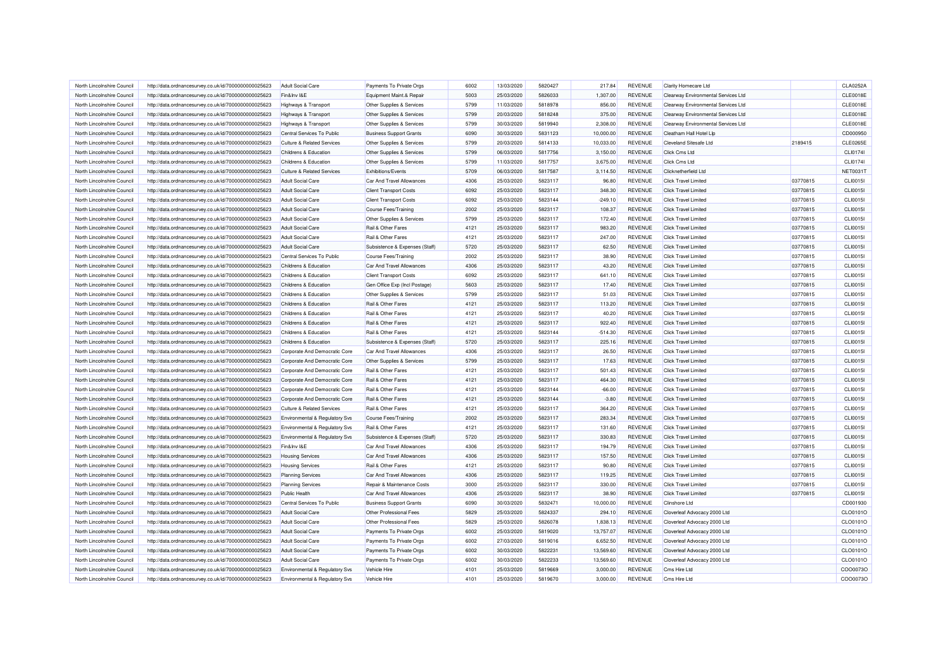| North Lincolnshire Council | http://data.ordnancesurvey.co.uk/id/7000000000025623 | <b>Adult Social Care</b>              | Payments To Private Orgs       | 6002 | 13/03/2020 | 5820427 | 217.84    | <b>REVENUE</b> | Clarity Homecare Ltd                |          | <b>CLA0252A</b> |
|----------------------------|------------------------------------------------------|---------------------------------------|--------------------------------|------|------------|---------|-----------|----------------|-------------------------------------|----------|-----------------|
| North Lincolnshire Council | http://data.ordnancesurvey.co.uk/id/7000000000025623 | Fin&Inv I&E                           | Equipment Maint.& Repair       | 5003 | 25/03/2020 | 5826033 | 1,307.00  | REVENUE        | Clearway Environmental Services Ltd |          | CLE0018E        |
| North Lincolnshire Council | http://data.ordnancesurvey.co.uk/id/7000000000025623 | Highways & Transport                  | Other Supplies & Services      | 5799 | 11/03/2020 | 5818978 | 856.00    | REVENUE        | Clearway Environmental Services Ltd |          | CLE0018E        |
| North Lincolnshire Council | http://data.ordnancesurvey.co.uk/id/7000000000025623 | Highways & Transport                  | Other Supplies & Services      | 5799 | 20/03/2020 | 5818248 | 375.00    | <b>REVENUE</b> | Clearway Environmental Services Ltd |          | CLE0018E        |
| North Lincolnshire Council | http://data.ordnancesurvey.co.uk/id/7000000000025623 | Highways & Transport                  | Other Supplies & Services      | 5799 | 30/03/2020 | 5819940 | 2,308.00  | <b>REVENUE</b> | Clearway Environmental Services Ltd |          | <b>CLE0018E</b> |
| North Lincolnshire Council | http://data.ordnancesurvey.co.uk/id/7000000000025623 | Central Services To Public            | <b>Business Support Grants</b> | 6090 | 30/03/2020 | 5831123 | 10,000.00 | REVENUE        | Cleatham Hall Hotel Lip             |          | CD000950        |
| North Lincolnshire Council | http://data.ordnancesurvey.co.uk/id/7000000000025623 | <b>Culture &amp; Related Services</b> | Other Supplies & Services      | 5799 | 20/03/2020 | 5814133 | 10,033.00 | <b>REVENUE</b> | <b>Cleveland Sitesafe Ltd</b>       | 2189415  | CLE0265E        |
| North Lincolnshire Council | http://data.ordnancesurvey.co.uk/id/7000000000025623 | Childrens & Education                 | Other Supplies & Services      | 5799 | 06/03/2020 | 5817756 | 3,150.00  | <b>REVENUE</b> | Click Cms Ltd                       |          | CLI01741        |
| North Lincolnshire Council | http://data.ordnancesurvey.co.uk/id/7000000000025623 | Childrens & Education                 | Other Supplies & Services      | 5799 | 11/03/2020 | 5817757 | 3,675.00  | REVENUE        | <b>Click Cms Ltd</b>                |          | CLI01741        |
| North Lincolnshire Council | http://data.ordnancesurvey.co.uk/id/7000000000025623 | <b>Culture &amp; Related Services</b> | Exhibitions/Events             | 5709 | 06/03/2020 | 5817587 | 3,114.50  | REVENUE        | Clicknetherfield Ltd                |          | <b>NET0031T</b> |
| North Lincolnshire Council | http://data.ordnancesurvey.co.uk/id/7000000000025623 | <b>Adult Social Care</b>              | Car And Travel Allowances      | 4306 | 25/03/2020 | 5823117 | 96.80     | <b>REVENUE</b> | <b>Click Travel Limited</b>         | 03770815 | CLI0015I        |
| North Lincolnshire Council | http://data.ordnancesurvey.co.uk/id/7000000000025623 | <b>Adult Social Care</b>              | <b>Client Transport Costs</b>  | 6092 | 25/03/2020 | 5823117 | 348.30    | <b>REVENUE</b> | <b>Click Travel Limited</b>         | 03770815 | CLI0015I        |
| North Lincolnshire Council | http://data.ordnancesurvey.co.uk/id/7000000000025623 | <b>Adult Social Care</b>              | <b>Client Transport Costs</b>  | 6092 | 25/03/2020 | 5823144 | $-249.10$ | <b>REVENUE</b> | <b>Click Travel Limited</b>         | 03770815 | CLI0015I        |
| North Lincolnshire Council | http://data.ordnancesurvey.co.uk/id/7000000000025623 | <b>Adult Social Care</b>              | <b>Course Fees/Training</b>    | 2002 | 25/03/2020 | 5823117 | 108.37    | REVENUE        | <b>Click Travel Limited</b>         | 03770815 | CLI0015I        |
| North Lincolnshire Council | http://data.ordnancesurvey.co.uk/id/7000000000025623 | <b>Adult Social Care</b>              | Other Supplies & Services      | 5799 | 25/03/2020 | 5823117 | 172.40    | <b>REVENUE</b> | <b>Click Travel Limited</b>         | 03770815 | CLI0015I        |
| North Lincolnshire Council | http://data.ordnancesurvey.co.uk/id/7000000000025623 | <b>Adult Social Care</b>              | Rail & Other Fares             | 4121 | 25/03/2020 | 5823117 | 983.20    | <b>REVENUE</b> | <b>Click Travel Limited</b>         | 03770815 | CLI0015I        |
| North Lincolnshire Council | http://data.ordnancesurvey.co.uk/id/7000000000025623 | <b>Adult Social Care</b>              | Rail & Other Fares             | 4121 | 25/03/2020 | 5823117 | 247.00    | REVENUE        | <b>Click Travel Limited</b>         | 03770815 | CLI0015I        |
| North Lincolnshire Council | http://data.ordnancesurvey.co.uk/id/7000000000025623 | <b>Adult Social Care</b>              | Subsistence & Expenses (Staff) | 5720 | 25/03/2020 | 5823117 | 62.50     | <b>REVENUE</b> | <b>Click Travel Limited</b>         | 03770815 | CLI0015I        |
| North Lincolnshire Council | http://data.ordnancesurvey.co.uk/id/7000000000025623 | Central Services To Public            | Course Fees/Training           | 2002 | 25/03/2020 | 5823117 | 38.90     | <b>REVENUE</b> | <b>Click Travel Limited</b>         | 03770815 | CLI0015I        |
| North Lincolnshire Council | http://data.ordnancesurvey.co.uk/id/7000000000025623 | Childrens & Education                 | Car And Travel Allowances      | 4306 | 25/03/2020 | 5823117 | 43.20     | <b>REVENUE</b> | <b>Click Travel Limited</b>         | 03770815 | CLI0015I        |
| North Lincolnshire Council | http://data.ordnancesurvey.co.uk/id/7000000000025623 | Childrens & Education                 | <b>Client Transport Costs</b>  | 6092 | 25/03/2020 | 5823117 | 641.10    | <b>REVENUE</b> | <b>Click Travel Limited</b>         | 03770815 | CLI0015I        |
| North Lincolnshire Council | http://data.ordnancesurvey.co.uk/id/7000000000025623 | Childrens & Education                 | Gen Office Exp (Incl Postage)  | 5603 | 25/03/2020 | 5823117 | 17.40     | REVENUE        | <b>Click Travel Limited</b>         | 03770815 | CLI0015I        |
| North Lincolnshire Council | http://data.ordnancesurvey.co.uk/id/7000000000025623 | Childrens & Education                 | Other Supplies & Services      | 5799 | 25/03/2020 | 5823117 | 51.03     | <b>REVENUE</b> | Click Travel Limited                | 03770815 | CLI0015I        |
| North Lincolnshire Council | http://data.ordnancesurvey.co.uk/id/7000000000025623 | <b>Childrens &amp; Education</b>      | Rail & Other Fares             | 4121 | 25/03/2020 | 5823117 | 113.20    | REVENUE        | <b>Click Travel Limited</b>         | 03770815 | CLI0015I        |
| North Lincolnshire Council | http://data.ordnancesurvey.co.uk/id/7000000000025623 | Childrens & Education                 | Rail & Other Fares             | 4121 | 25/03/2020 | 5823117 | 40.20     | REVENUE        | <b>Click Travel Limited</b>         | 03770815 | CLI0015I        |
| North Lincolnshire Council | http://data.ordnancesurvey.co.uk/id/7000000000025623 | Childrens & Education                 | Rail & Other Fares             | 4121 | 25/03/2020 | 5823117 | 922.40    | <b>REVENUE</b> | <b>Click Travel Limited</b>         | 03770815 | CLI0015I        |
| North Lincolnshire Council | http://data.ordnancesurvey.co.uk/id/7000000000025623 | Childrens & Education                 | Rail & Other Fares             | 4121 | 25/03/2020 | 5823144 | $-514.30$ | <b>REVENUE</b> | <b>Click Travel Limited</b>         | 03770815 | CLI0015I        |
| North Lincolnshire Council | http://data.ordnancesurvey.co.uk/id/7000000000025623 | Childrens & Education                 | Subsistence & Expenses (Staff) | 5720 | 25/03/2020 | 5823117 | 225.16    | <b>REVENUE</b> | <b>Click Travel Limited</b>         | 03770815 | CLI0015I        |
| North Lincolnshire Council | http://data.ordnancesurvey.co.uk/id/7000000000025623 | Corporate And Democratic Core         | Car And Travel Allowances      | 4306 | 25/03/2020 | 5823117 | 26.50     | <b>REVENUE</b> | <b>Click Travel Limited</b>         | 03770815 | CLI0015I        |
| North Lincolnshire Council | http://data.ordnancesurvey.co.uk/id/7000000000025623 | Corporate And Democratic Core         | Other Supplies & Services      | 5799 | 25/03/2020 | 5823117 | 17.63     | REVENUE        | <b>Click Travel Limited</b>         | 03770815 | CLI0015I        |
| North Lincolnshire Council | http://data.ordnancesurvey.co.uk/id/7000000000025623 | Corporate And Democratic Core         | Rail & Other Fares             | 4121 | 25/03/2020 | 5823117 | 501.43    | <b>REVENUE</b> | <b>Click Travel Limited</b>         | 03770815 | CLI0015I        |
| North Lincolnshire Council | http://data.ordnancesurvey.co.uk/id/7000000000025623 | Corporate And Democratic Core         | Rail & Other Fares             | 4121 | 25/03/2020 | 5823117 | 464.30    | REVENUE        | <b>Click Travel Limited</b>         | 03770815 | CLI0015I        |
| North Lincolnshire Council | http://data.ordnancesurvey.co.uk/id/7000000000025623 | Corporate And Democratic Core         | Rail & Other Fares             | 4121 | 25/03/2020 | 5823144 | $-66.00$  | REVENUE        | <b>Click Travel Limited</b>         | 03770815 | CLI0015I        |
| North Lincolnshire Council | http://data.ordnancesurvey.co.uk/id/7000000000025623 | Corporate And Democratic Core         | Rail & Other Fares             | 4121 | 25/03/2020 | 5823144 | $-3.80$   | <b>REVENUE</b> | Click Travel Limited                | 03770815 | CLI0015I        |
| North Lincolnshire Council | http://data.ordnancesurvey.co.uk/id/7000000000025623 | <b>Culture &amp; Related Services</b> | Rail & Other Fares             | 4121 | 25/03/2020 | 5823117 | 364.20    | <b>REVENUE</b> | <b>Click Travel Limited</b>         | 03770815 | CLI0015I        |
| North Lincolnshire Council | http://data.ordnancesurvey.co.uk/id/7000000000025623 | Environmental & Regulatory Svs        | <b>Course Fees/Training</b>    | 2002 | 25/03/2020 | 5823117 | 283.34    | REVENUE        | <b>Click Travel Limited</b>         | 03770815 | CLI0015I        |
| North Lincolnshire Council | http://data.ordnancesurvey.co.uk/id/7000000000025623 | Environmental & Regulatory Svs        | Rail & Other Fares             | 4121 | 25/03/2020 | 5823117 | 131.60    | <b>REVENUE</b> | <b>Click Travel Limited</b>         | 03770815 | CLI0015I        |
| North Lincolnshire Council | http://data.ordnancesurvey.co.uk/id/7000000000025623 | Environmental & Regulatory Svs        | Subsistence & Expenses (Staff) | 5720 | 25/03/2020 | 5823117 | 330.83    | REVENUE        | <b>Click Travel Limited</b>         | 03770815 | CLI0015I        |
| North Lincolnshire Council | http://data.ordnancesurvey.co.uk/id/7000000000025623 | Fin&Inv I&E                           | Car And Travel Allowances      | 4306 | 25/03/2020 | 5823117 | 194.79    | REVENUE        | <b>Click Travel Limited</b>         | 03770815 | CLI0015I        |
| North Lincolnshire Council | http://data.ordnancesurvey.co.uk/id/7000000000025623 | <b>Housing Services</b>               | Car And Travel Allowances      | 4306 | 25/03/2020 | 5823117 | 157.50    | <b>REVENUE</b> | <b>Click Travel Limited</b>         | 03770815 | CLI0015I        |
| North Lincolnshire Council | http://data.ordnancesurvey.co.uk/id/7000000000025623 | <b>Housing Services</b>               | Rail & Other Fares             | 4121 | 25/03/2020 | 5823117 | 90.80     | <b>REVENUE</b> | <b>Click Travel Limited</b>         | 03770815 | CLI0015I        |
| North Lincolnshire Council | http://data.ordnancesurvey.co.uk/id/7000000000025623 | <b>Planning Services</b>              | Car And Travel Allowances      | 4306 | 25/03/2020 | 5823117 | 119.25    | <b>REVENUE</b> | <b>Click Travel Limited</b>         | 03770815 | CLI0015I        |
| North Lincolnshire Council | http://data.ordnancesurvey.co.uk/id/7000000000025623 | <b>Planning Services</b>              | Repair & Maintenance Costs     | 3000 | 25/03/2020 | 5823117 | 330.00    | <b>REVENUE</b> | <b>Click Travel Limited</b>         | 03770815 | CLI0015I        |
| North Lincolnshire Council | http://data.ordnancesurvey.co.uk/id/7000000000025623 | Public Health                         | Car And Travel Allowances      | 4306 | 25/03/2020 | 5823117 | 38.90     | <b>REVENUE</b> | <b>Click Travel Limited</b>         | 03770815 | CLI0015I        |
| North Lincolnshire Council | http://data.ordnancesurvey.co.uk/id/7000000000025623 | Central Services To Public            | <b>Business Support Grants</b> | 6090 | 30/03/2020 | 5832471 | 10,000.00 | <b>REVENUE</b> | <b>Clinshore Ltd</b>                |          | CD001930        |
| North Lincolnshire Council | http://data.ordnancesurvey.co.uk/id/7000000000025623 | <b>Adult Social Care</b>              | Other Professional Fees        | 5829 | 25/03/2020 | 5824337 | 294.10    | <b>REVENUE</b> | Cloverleaf Advocacy 2000 Ltd        |          | CLO0101O        |
| North Lincolnshire Council | http://data.ordnancesurvey.co.uk/id/7000000000025623 | <b>Adult Social Care</b>              | Other Professional Fees        | 5829 | 25/03/2020 | 5826078 | 1,838.13  | REVENUE        | Cloverleaf Advocacy 2000 Ltd        |          | CLO0101O        |
| North Lincolnshire Council | http://data.ordnancesurvey.co.uk/id/7000000000025623 | <b>Adult Social Care</b>              | Payments To Private Orgs       | 6002 | 25/03/2020 | 5819020 | 13,757.07 | REVENUE        | Cloverleaf Advocacy 2000 Ltd        |          | CLO0101O        |
| North Lincolnshire Council | http://data.ordnancesurvey.co.uk/id/7000000000025623 | <b>Adult Social Care</b>              | Payments To Private Orgs       | 6002 | 27/03/2020 | 5819016 | 6,652.50  | <b>REVENUE</b> | Cloverleaf Advocacy 2000 Ltd        |          | CLO0101O        |
| North Lincolnshire Council | http://data.ordnancesurvey.co.uk/id/7000000000025623 | <b>Adult Social Care</b>              | Payments To Private Orgs       | 6002 | 30/03/2020 | 5822231 | 13,569.60 | REVENUE        | Cloverleaf Advocacy 2000 Ltd        |          | CLO0101O        |
| North Lincolnshire Council | http://data.ordnancesurvey.co.uk/id/7000000000025623 | <b>Adult Social Care</b>              | Payments To Private Orgs       | 6002 | 30/03/2020 | 5822233 | 13,569.60 | <b>REVENUE</b> | Cloverleaf Advocacy 2000 Ltd        |          | CLO0101O        |
| North Lincolnshire Council | http://data.ordnancesurvey.co.uk/id/7000000000025623 | Environmental & Regulatory Svs        | Vehicle Hire                   | 4101 | 25/03/2020 | 5819669 | 3,000.00  | <b>REVENUE</b> | Cms Hire Ltd                        |          | CO00073C        |
| North Lincolnshire Council | http://data.ordnancesurvey.co.uk/id/7000000000025623 | Environmental & Regulatory Svs        | Vehicle Hire                   | 4101 | 25/03/2020 | 5819670 | 3,000.00  | <b>REVENUE</b> | Cms Hire Ltd                        |          | COO0073C        |
|                            |                                                      |                                       |                                |      |            |         |           |                |                                     |          |                 |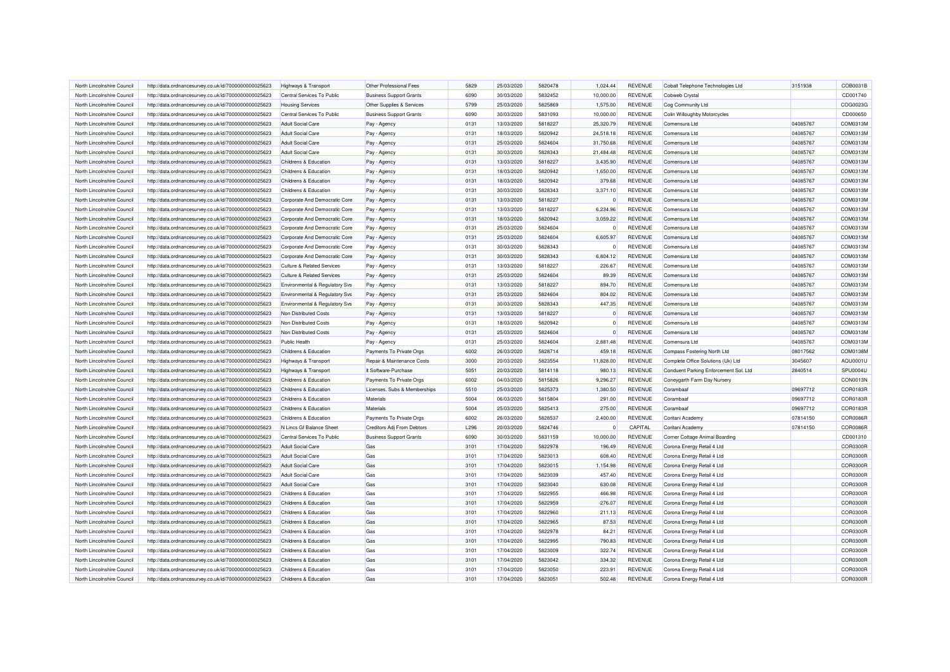| North Lincolnshire Council                               | http://data.ordnancesurvey.co.uk/id/7000000000025623                                                         | Highways & Transport                                                   | Other Professional Fees        | 5829 | 25/03/2020 | 5820478 | 1.024.44   | <b>REVENUE</b> | Cobalt Telephone Technologies Ltd     | 3151938  | COB0031B        |
|----------------------------------------------------------|--------------------------------------------------------------------------------------------------------------|------------------------------------------------------------------------|--------------------------------|------|------------|---------|------------|----------------|---------------------------------------|----------|-----------------|
| North Lincolnshire Council                               | http://data.ordnancesurvey.co.uk/id/7000000000025623                                                         | Central Services To Public                                             | <b>Business Support Grants</b> | 6090 | 30/03/2020 | 5832452 | 10,000.00  | <b>REVENUE</b> | Cobweb Crystal                        |          | CD001740        |
| North Lincolnshire Council                               | http://data.ordnancesurvey.co.uk/id/7000000000025623                                                         | <b>Housing Services</b>                                                | Other Supplies & Services      | 5799 | 25/03/2020 | 5825869 | 1,575.00   | REVENUE        | Cog Community Ltd                     |          | COG0023G        |
| North Lincolnshire Council                               | http://data.ordnancesurvey.co.uk/id/7000000000025623                                                         | Central Services To Public                                             | <b>Business Support Grants</b> | 6090 | 30/03/2020 | 5831093 | 10,000.00  | <b>REVENUE</b> | Colin Willoughby Motorcycles          |          | CD000650        |
| North Lincolnshire Council                               | http://data.ordnancesurvey.co.uk/id/7000000000025623                                                         | <b>Adult Social Care</b>                                               | Pay - Agency                   | 0131 | 13/03/2020 | 5818227 | 25,320.79  | REVENUE        | Comensura Ltd                         | 04085767 | COM0313M        |
| North Lincolnshire Council                               | http://data.ordnancesurvey.co.uk/id/7000000000025623                                                         | <b>Adult Social Care</b>                                               | Pay - Agency                   | 0131 | 18/03/2020 | 5820942 | 24,518.18  | <b>REVENUE</b> | Comensura Ltd                         | 04085767 | COM0313M        |
| North Lincolnshire Council                               | http://data.ordnancesurvey.co.uk/id/7000000000025623                                                         | <b>Adult Social Care</b>                                               | Pay - Agency                   | 0131 | 25/03/2020 | 5824604 | 31,750.68  | <b>REVENUE</b> | Comensura I td                        | 04085767 | COM0313M        |
| North Lincolnshire Council                               | http://data.ordnancesurvey.co.uk/id/7000000000025623                                                         | <b>Adult Social Care</b>                                               | Pay - Agency                   | 0131 | 30/03/2020 | 5828343 | 21,484.48  | <b>REVENUE</b> | Comensura Ltd                         | 04085767 | COM0313M        |
| North Lincolnshire Council                               | http://data.ordnancesurvey.co.uk/id/7000000000025623                                                         | Childrens & Education                                                  | Pay - Agency                   | 0131 | 13/03/2020 | 5818227 | 3,435.90   | <b>REVENUE</b> | Comensura I td                        | 04085767 | COM0313M        |
| North Lincolnshire Council                               | http://data.ordnancesurvey.co.uk/id/7000000000025623                                                         | Childrens & Education                                                  | Pay - Agency                   | 0131 | 18/03/2020 | 5820942 | 1,650.00   | <b>REVENUE</b> | Comensura Ltd                         | 04085767 | COM0313M        |
| North Lincolnshire Council                               | http://data.ordnancesurvey.co.uk/id/7000000000025623                                                         | Childrens & Education                                                  | Pay - Agency                   | 0131 | 18/03/2020 | 5820942 | 379.68     | <b>REVENUE</b> | Comensura Ltd                         | 04085767 | COM0313M        |
| North Lincolnshire Council                               | http://data.ordnancesurvey.co.uk/id/7000000000025623                                                         | Childrens & Education                                                  | Pay - Agency                   | 0131 | 30/03/2020 | 5828343 | 3,371.10   | <b>REVENUE</b> | Comensura Ltd                         | 04085767 | COM0313M        |
| North Lincolnshire Council                               | http://data.ordnancesurvey.co.uk/id/7000000000025623                                                         | Corporate And Democratic Core                                          | Pay - Agency                   | 0131 | 13/03/2020 | 5818227 | $\epsilon$ | REVENUE        | Comensura Ltd                         | 04085767 | COM0313M        |
| North Lincolnshire Council                               | http://data.ordnancesurvey.co.uk/id/7000000000025623                                                         | Corporate And Democratic Core                                          | Pay - Agency                   | 0131 | 13/03/2020 | 5818227 | 6.234.96   | REVENUE        | Comensura I td                        | 04085767 | COM0313M        |
| North Lincolnshire Council                               | http://data.ordnancesurvey.co.uk/id/7000000000025623                                                         | Corporate And Democratic Core                                          | Pay - Agency                   | 0131 | 18/03/2020 | 5820942 | 3,059.22   | REVENUE        | Comensura I td                        | 04085767 | COM0313M        |
| North Lincolnshire Council                               | http://data.ordnancesurvey.co.uk/id/7000000000025623                                                         | Corporate And Democratic Core                                          | Pay - Agency                   | 0131 | 25/03/2020 | 5824604 | $\Omega$   | REVENUE        | Comensura Ltd                         | 04085767 | COM0313M        |
| North Lincolnshire Council                               | http://data.ordnancesurvey.co.uk/id/7000000000025623                                                         | Corporate And Democratic Core                                          | Pay - Agency                   | 0131 | 25/03/2020 | 5824604 | 6.605.97   | <b>REVENUE</b> | Comensura I td                        | 04085767 | COM0313M        |
| North Lincolnshire Council                               | http://data.ordnancesurvey.co.uk/id/7000000000025623                                                         | Corporate And Democratic Core                                          | Pay - Agency                   | 0131 | 30/03/2020 | 5828343 |            | <b>REVENUE</b> | Comensura Ltd                         | 04085767 | COM0313M        |
|                                                          |                                                                                                              |                                                                        |                                | 0131 | 30/03/2020 | 5828343 | 6,804.12   | REVENUE        | Comensura Ltd                         | 04085767 | COM0313M        |
| North Lincolnshire Council<br>North Lincolnshire Council | http://data.ordnancesurvey.co.uk/id/7000000000025623<br>http://data.ordnancesurvey.co.uk/id/7000000000025623 | Corporate And Democratic Core<br><b>Culture &amp; Related Services</b> | Pay - Agency                   | 0131 | 13/03/2020 | 5818227 | 226.67     | <b>REVENUE</b> | Comensura Ltd                         | 04085767 | COM0313M        |
| North Lincolnshire Council                               | http://data.ordnancesurvey.co.uk/id/7000000000025623                                                         | <b>Culture &amp; Related Services</b>                                  | Pay - Agency                   | 0131 | 25/03/2020 | 5824604 | 89.39      | <b>REVENUE</b> | Comensura Ltd                         | 04085767 | COM0313M        |
|                                                          |                                                                                                              |                                                                        | Pay - Agency                   |      |            |         |            |                |                                       |          |                 |
| North Lincolnshire Council                               | http://data.ordnancesurvey.co.uk/id/7000000000025623                                                         | Environmental & Regulatory Svs                                         | Pay - Agency                   | 0131 | 13/03/2020 | 5818227 | 894.70     | REVENUE        | Comensura I td                        | 04085767 | COM0313M        |
| North Lincolnshire Council                               | http://data.ordnancesurvey.co.uk/id/7000000000025623                                                         | Environmental & Regulatory Svs                                         | Pay - Agency                   | 0131 | 25/03/2020 | 5824604 | 804.02     | REVENUE        | Comensura Ltd                         | 04085767 | COM0313M        |
| North Lincolnshire Council                               | http://data.ordnancesurvey.co.uk/id/7000000000025623                                                         | Environmental & Regulatory Svs                                         | Pay - Agency                   | 0131 | 30/03/2020 | 5828343 | 447.35     | <b>REVENUE</b> | Comensura Ltd                         | 04085767 | COM0313M        |
| North Lincolnshire Council                               | http://data.ordnancesurvey.co.uk/id/7000000000025623                                                         | Non Distributed Costs                                                  | Pay - Agency                   | 0131 | 13/03/2020 | 5818227 | $\Omega$   | <b>REVENUE</b> | Comensura Ltd                         | 04085767 | COM0313M        |
| North Lincolnshire Council                               | http://data.ordnancesurvey.co.uk/id/7000000000025623                                                         | Non Distributed Costs                                                  | Pay - Agency                   | 0131 | 18/03/2020 | 5820942 | $\Omega$   | <b>REVENUE</b> | Comensura Ltd                         | 04085767 | COM0313M        |
| North Lincolnshire Council                               | http://data.ordnancesurvey.co.uk/id/7000000000025623                                                         | Non Distributed Costs                                                  | Pay - Agency                   | 0131 | 25/03/2020 | 5824604 |            | <b>REVENUE</b> | Comensura I td                        | 04085767 | COM0313M        |
| North Lincolnshire Council                               | http://data.ordnancesurvey.co.uk/id/7000000000025623                                                         | Public Health                                                          | Pay - Agency                   | 0131 | 25/03/2020 | 5824604 | 2.881.48   | <b>REVENUE</b> | Comensura I td                        | 04085767 | COM0313M        |
| North Lincolnshire Council                               | http://data.ordnancesurvey.co.uk/id/7000000000025623                                                         | Childrens & Education                                                  | Payments To Private Orgs       | 6002 | 26/03/2020 | 5828714 | 459.18     | REVENUE        | Compass Fostering North Ltd           | 08017562 | COM0138M        |
| North Lincolnshire Council                               | http://data.ordnancesurvey.co.uk/id/7000000000025623                                                         | Highways & Transport                                                   | Repair & Maintenance Costs     | 3000 | 20/03/2020 | 5823554 | 11,828.00  | REVENUE        | Complete Office Solutions (Uk) Ltd    | 3045607  | AQU0001L        |
| North Lincolnshire Council                               | http://data.ordnancesurvey.co.uk/id/7000000000025623                                                         | <b>Highways &amp; Transport</b>                                        | It Software-Purchase           | 5051 | 20/03/2020 | 5814118 | 980.13     | <b>REVENUE</b> | Conduent Parking Enforcement Sol. Ltd | 2840514  | SPU0004U        |
| North Lincolnshire Council                               | http://data.ordnancesurvey.co.uk/id/7000000000025623                                                         | Childrens & Education                                                  | Payments To Private Orgs       | 6002 | 04/03/2020 | 5815826 | 9,296.27   | <b>REVENUE</b> | Coneygarth Farm Day Nursery           |          | CON0013N        |
| North Lincolnshire Council                               | http://data.ordnancesurvey.co.uk/id/7000000000025623                                                         | <b>Childrens &amp; Education</b>                                       | Licenses, Subs & Memberships   | 5510 | 25/03/2020 | 5825373 | 1,380.50   | <b>REVENUE</b> | Corambaaf                             | 09697712 | COR0183R        |
| North Lincolnshire Council                               | http://data.ordnancesurvey.co.uk/id/7000000000025623                                                         | Childrens & Education                                                  | Materials                      | 5004 | 06/03/2020 | 5815804 | 291.00     | <b>REVENUE</b> | Corambaaf                             | 09697712 | COR0183R        |
| North Lincolnshire Council                               | http://data.ordnancesurvey.co.uk/id/7000000000025623                                                         | Childrens & Education                                                  | Materials                      | 5004 | 25/03/2020 | 5825413 | 275.00     | REVENUE        | Corambaaf                             | 09697712 | COR0183F        |
| North Lincolnshire Council                               | http://data.ordnancesurvey.co.uk/id/7000000000025623                                                         | Childrens & Education                                                  | Payments To Private Orgs       | 6002 | 26/03/2020 | 5828537 | 2,400.00   | REVENUE        | Coritani Academy                      | 07814150 | COR0086R        |
| North Lincolnshire Council                               | http://data.ordnancesurvey.co.uk/id/7000000000025623                                                         | N Lincs Gf Balance Sheet                                               | Creditors Adj From Debtors     | L296 | 20/03/2020 | 5824746 |            | CAPITAL        | Coritani Academy                      | 07814150 | COR0086R        |
| North Lincolnshire Council                               | http://data.ordnancesurvey.co.uk/id/7000000000025623                                                         | Central Services To Public                                             | <b>Business Support Grants</b> | 6090 | 30/03/2020 | 5831159 | 10,000.00  | REVENUE        | Corner Cottage Animal Boarding        |          | CD001310        |
| North Lincolnshire Council                               | http://data.ordnancesurvey.co.uk/id/7000000000025623                                                         | <b>Adult Social Care</b>                                               | Gas                            | 3101 | 17/04/2020 | 5822978 | 196.49     | REVENUE        | Corona Energy Retail 4 Ltd            |          | COR0300R        |
| North Lincolnshire Council                               | http://data.ordnancesurvey.co.uk/id/7000000000025623                                                         | <b>Adult Social Care</b>                                               | Gas                            | 3101 | 17/04/2020 | 5823013 | 608.40     | <b>REVENUE</b> | Corona Energy Retail 4 Ltd            |          | COR0300R        |
| North Lincolnshire Council                               | http://data.ordnancesurvey.co.uk/id/7000000000025623                                                         | <b>Adult Social Care</b>                                               | Gas                            | 3101 | 17/04/2020 | 5823015 | 1,154.98   | REVENUE        | Corona Energy Retail 4 Ltd            |          | <b>COR0300F</b> |
| North Lincolnshire Council                               | http://data.ordnancesurvey.co.uk/id/7000000000025623                                                         | <b>Adult Social Care</b>                                               | Gas                            | 3101 | 17/04/2020 | 5823039 | 457.40     | <b>REVENUE</b> | Corona Energy Retail 4 Ltd            |          | COR0300R        |
| North Lincolnshire Council                               | http://data.ordnancesurvey.co.uk/id/7000000000025623                                                         | <b>Adult Social Care</b>                                               | Gas                            | 3101 | 17/04/2020 | 5823040 | 630.08     | <b>REVENUE</b> | Corona Energy Retail 4 Ltd            |          | COR0300R        |
| North Lincolnshire Council                               | http://data.ordnancesurvey.co.uk/id/7000000000025623                                                         | Childrens & Education                                                  | Gas                            | 3101 | 17/04/2020 | 5822955 | 466.98     | REVENUE        | Corona Energy Retail 4 Ltd            |          | COR0300R        |
| North Lincolnshire Council                               | http://data.ordnancesurvey.co.uk/id/7000000000025623                                                         | Childrens & Education                                                  | Gas                            | 3101 | 17/04/2020 | 5822959 | $-276.07$  | REVENUE        | Corona Energy Retail 4 Ltd            |          | COR0300R        |
| North Lincolnshire Council                               | http://data.ordnancesurvey.co.uk/id/7000000000025623                                                         | Childrens & Education                                                  | Gas                            | 3101 | 17/04/2020 | 5822960 | 211.13     | REVENUE        | Corona Energy Retail 4 Ltd            |          | COR0300R        |
| North Lincolnshire Council                               | http://data.ordnancesurvey.co.uk/id/7000000000025623                                                         | <b>Childrens &amp; Education</b>                                       | Gas                            | 3101 | 17/04/2020 | 5822965 | 87.53      | REVENUE        | Corona Energy Retail 4 Ltd            |          | <b>COR0300F</b> |
| North Lincolnshire Council                               | http://data.ordnancesurvey.co.uk/id/7000000000025623                                                         | Childrens & Education                                                  | Gas                            | 3101 | 17/04/2020 | 5822978 | 84.21      | REVENUE        | Corona Energy Retail 4 Ltd            |          | <b>COR0300F</b> |
| North Lincolnshire Council                               | http://data.ordnancesurvey.co.uk/id/7000000000025623                                                         | Childrens & Education                                                  | Gas                            | 3101 | 17/04/2020 | 5822995 | 790.83     | <b>REVENUE</b> | Corona Energy Retail 4 Ltd            |          | COR0300R        |
| North Lincolnshire Council                               | http://data.ordnancesurvey.co.uk/id/7000000000025623                                                         | Childrens & Education                                                  | Gas                            | 3101 | 17/04/2020 | 5823009 | 322.74     | REVENUE        | Corona Energy Retail 4 Ltd            |          | COR0300R        |
| North Lincolnshire Council                               | http://data.ordnancesurvey.co.uk/id/7000000000025623                                                         | Childrens & Education                                                  | Gas                            | 3101 | 17/04/2020 | 5823042 | 334.32     | <b>REVENUE</b> | Corona Energy Retail 4 Ltd            |          | <b>COR0300F</b> |
| North Lincolnshire Council                               | http://data.ordnancesurvey.co.uk/id/7000000000025623                                                         | Childrens & Education                                                  | Gas                            | 3101 | 17/04/2020 | 5823050 | 223.91     | REVENUE        | Corona Energy Retail 4 Ltd            |          | COR0300F        |
| North Lincolnshire Council                               | http://data.ordnancesurvey.co.uk/id/7000000000025623                                                         | Childrens & Education                                                  | Gas                            | 3101 | 17/04/2020 | 5823051 | 502.48     | <b>REVENUE</b> | Corona Energy Retail 4 Ltd            |          | COR0300R        |
|                                                          |                                                                                                              |                                                                        |                                |      |            |         |            |                |                                       |          |                 |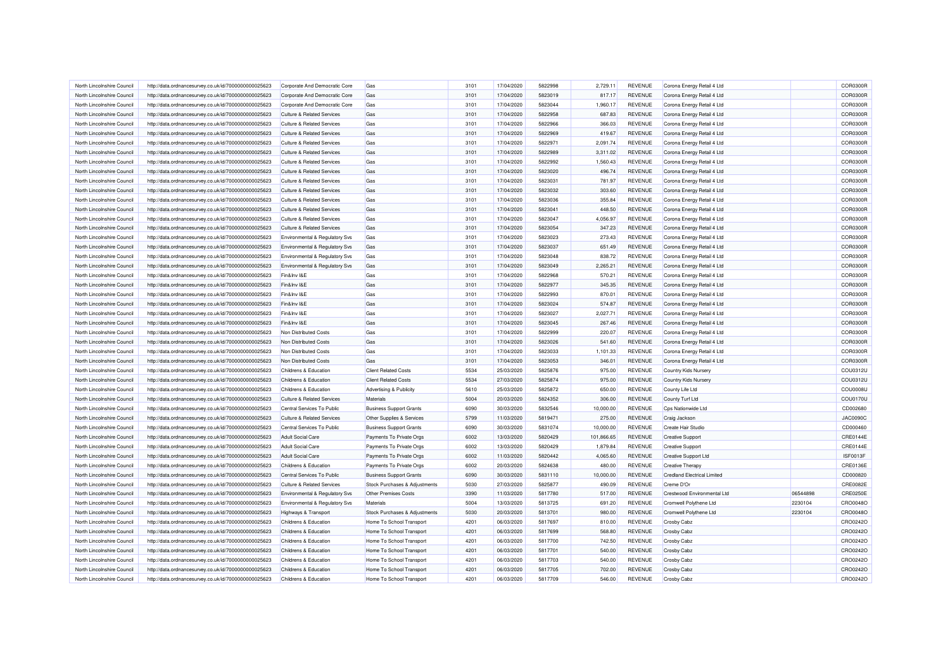| North Lincolnshire Council<br>North Lincolnshire Council<br>North Lincolnshire Council | http://data.ordnancesurvey.co.uk/id/7000000000025623 |                                               |                                |      |            |         |            |                |                                    |          |                 |
|----------------------------------------------------------------------------------------|------------------------------------------------------|-----------------------------------------------|--------------------------------|------|------------|---------|------------|----------------|------------------------------------|----------|-----------------|
|                                                                                        |                                                      | Corporate And Democratic Core                 | Gas                            | 3101 | 17/04/2020 | 5822998 | 2,729.11   | <b>REVENUE</b> | Corona Energy Retail 4 Ltd         |          | COR0300R        |
|                                                                                        | http://data.ordnancesurvey.co.uk/id/7000000000025623 | Corporate And Democratic Core                 | Gas                            | 3101 | 17/04/2020 | 5823019 | 817.17     | REVENUE        | Corona Energy Retail 4 Ltd         |          | COR0300R        |
|                                                                                        | http://data.ordnancesurvey.co.uk/id/7000000000025623 | Corporate And Democratic Core                 | Gas                            | 3101 | 17/04/2020 | 5823044 | 1,960.17   | REVENUE        | Corona Energy Retail 4 Ltd         |          | COR0300F        |
| North Lincolnshire Council                                                             | http://data.ordnancesurvey.co.uk/id/7000000000025623 | <b>Culture &amp; Related Services</b>         | Gas                            | 3101 | 17/04/2020 | 5822958 | 687.83     | <b>REVENUE</b> | Corona Energy Retail 4 Ltd         |          | COR0300R        |
| North Lincolnshire Council                                                             | http://data.ordnancesurvey.co.uk/id/7000000000025623 | <b>Culture &amp; Related Services</b>         | Gas                            | 3101 | 17/04/2020 | 5822966 | 366.03     | <b>REVENUE</b> | Corona Energy Retail 4 Ltd         |          | <b>COR0300F</b> |
| North Lincolnshire Council                                                             | http://data.ordnancesurvey.co.uk/id/7000000000025623 | <b>Culture &amp; Related Services</b>         | Gas                            | 3101 | 17/04/2020 | 5822969 | 419.67     | REVENUE        | Corona Energy Retail 4 Ltd         |          | COR0300R        |
| North Lincolnshire Council                                                             | http://data.ordnancesurvey.co.uk/id/7000000000025623 | <b>Culture &amp; Related Services</b>         | Gas                            | 3101 | 17/04/2020 | 5822971 | 2,091.74   | <b>REVENUE</b> | Corona Energy Retail 4 Ltd         |          | <b>COR0300R</b> |
| North Lincolnshire Council                                                             | http://data.ordnancesurvey.co.uk/id/7000000000025623 | <b>Culture &amp; Related Services</b>         | Gas                            | 3101 | 17/04/2020 | 5822989 | 3,311.02   | <b>REVENUE</b> | Corona Energy Retail 4 Ltd         |          | COR0300F        |
| North Lincolnshire Council                                                             | http://data.ordnancesurvey.co.uk/id/7000000000025623 | Culture & Related Services                    | Gas                            | 3101 | 17/04/2020 | 5822992 | 1,560.43   | REVENUE        | Corona Energy Retail 4 Ltd         |          | COR0300R        |
| North Lincolnshire Council                                                             | http://data.ordnancesurvey.co.uk/id/7000000000025623 | <b>Culture &amp; Related Services</b>         | Gas                            | 3101 | 17/04/2020 | 5823020 | 496.74     | REVENUE        | Corona Energy Retail 4 Ltd         |          | COR0300R        |
| North Lincolnshire Council                                                             | http://data.ordnancesurvey.co.uk/id/7000000000025623 | <b>Culture &amp; Related Services</b>         | Gas                            | 3101 | 17/04/2020 | 5823031 | 781.97     | REVENUE        | Corona Energy Retail 4 Ltd         |          | COR0300R        |
| North Lincolnshire Council                                                             | http://data.ordnancesurvey.co.uk/id/7000000000025623 | <b>Culture &amp; Related Services</b>         | Gas                            | 3101 | 17/04/2020 | 5823032 | 303.60     | <b>REVENUE</b> | Corona Energy Retail 4 Ltd         |          | COR0300R        |
| North Lincolnshire Council                                                             | http://data.ordnancesurvey.co.uk/id/7000000000025623 | <b>Culture &amp; Related Services</b>         | Gas                            | 3101 | 17/04/2020 | 5823036 | 355.84     | REVENUE        | Corona Energy Retail 4 Ltd         |          | <b>COR0300F</b> |
| North Lincolnshire Council                                                             | http://data.ordnancesurvey.co.uk/id/7000000000025623 | <b>Culture &amp; Related Services</b>         | Gas                            | 3101 | 17/04/2020 | 5823041 | 448.50     | REVENUE        | Corona Energy Retail 4 Ltd         |          | COR0300R        |
| North Lincolnshire Council                                                             | http://data.ordnancesurvey.co.uk/id/7000000000025623 | <b>Culture &amp; Related Services</b>         | Gas                            | 3101 | 17/04/2020 | 5823047 | 4,056.97   | <b>REVENUE</b> | Corona Energy Retail 4 Ltd         |          | <b>COR0300R</b> |
| North Lincolnshire Council                                                             | http://data.ordnancesurvey.co.uk/id/7000000000025623 | <b>Culture &amp; Related Services</b>         | Gas                            | 3101 | 17/04/2020 | 5823054 | 347.23     | <b>REVENUE</b> | Corona Energy Retail 4 Ltd         |          | COR0300R        |
| North Lincolnshire Council                                                             | http://data.ordnancesurvey.co.uk/id/7000000000025623 | Environmental & Regulatory Svs                | Gas                            | 3101 | 17/04/2020 | 5823023 | 273.43     | REVENUE        | Corona Energy Retail 4 Ltd         |          | COR0300R        |
| North Lincolnshire Council                                                             | http://data.ordnancesurvey.co.uk/id/7000000000025623 | Environmental & Regulatory Svs                | Gas                            | 3101 | 17/04/2020 | 5823037 | 651.49     | REVENUE        | Corona Energy Retail 4 Ltd         |          | COR0300R        |
| North Lincolnshire Council                                                             |                                                      |                                               | Gas                            | 3101 | 17/04/2020 | 5823048 | 838.72     | <b>REVENUE</b> |                                    |          | COR0300R        |
| North Lincolnshire Council                                                             | http://data.ordnancesurvey.co.uk/id/7000000000025623 | Environmental & Regulatory Svs                | Gas                            | 3101 | 17/04/2020 | 5823049 | 2,265.21   | <b>REVENUE</b> | Corona Energy Retail 4 Ltd         |          | COR0300R        |
| North Lincolnshire Council                                                             | http://data.ordnancesurvey.co.uk/id/7000000000025623 | Environmental & Regulatory Svs<br>Fin&Inv I&E | Gas                            | 3101 | 17/04/2020 | 5822968 |            | <b>REVENUE</b> | Corona Energy Retail 4 Ltd         |          |                 |
|                                                                                        | http://data.ordnancesurvey.co.uk/id/7000000000025623 |                                               |                                |      |            |         | 570.21     |                | Corona Energy Retail 4 Ltd         |          | <b>COR0300F</b> |
| North Lincolnshire Council                                                             | http://data.ordnancesurvey.co.uk/id/7000000000025623 | Fin&Inv I&E                                   | Gas                            | 3101 | 17/04/2020 | 5822977 | 345.35     | REVENUE        | Corona Energy Retail 4 Ltd         |          | COR0300R        |
| North Lincolnshire Council                                                             | http://data.ordnancesurvey.co.uk/id/7000000000025623 | Fin&Inv I&E                                   | Gas                            | 3101 | 17/04/2020 | 5822993 | 870.01     | <b>REVENUE</b> | Corona Energy Retail 4 Ltd         |          | COR0300R        |
| North Lincolnshire Council                                                             | http://data.ordnancesurvey.co.uk/id/7000000000025623 | Fin&Inv I&E                                   | Gas                            | 3101 | 17/04/2020 | 5823024 | 574.87     | REVENUE        | Corona Energy Retail 4 Ltd         |          | COR0300R        |
| North Lincolnshire Council                                                             | http://data.ordnancesurvey.co.uk/id/7000000000025623 | Fin&Inv I&E                                   | Gas                            | 3101 | 17/04/2020 | 5823027 | 2,027.71   | REVENUE        | Corona Energy Retail 4 Ltd         |          | COR0300F        |
| North Lincolnshire Council                                                             | http://data.ordnancesurvey.co.uk/id/7000000000025623 | Fin&Inv I&E                                   | Gas                            | 3101 | 17/04/2020 | 5823045 | 267.46     | <b>REVENUE</b> | Corona Energy Retail 4 Ltd         |          | COR0300R        |
| North Lincolnshire Council                                                             | http://data.ordnancesurvey.co.uk/id/7000000000025623 | Non Distributed Costs                         | Gas                            | 3101 | 17/04/2020 | 5822999 | 220.07     | <b>REVENUE</b> | Corona Energy Retail 4 Ltd         |          | COR0300F        |
| North Lincolnshire Council                                                             | http://data.ordnancesurvey.co.uk/id/7000000000025623 | Non Distributed Costs                         | Gas                            | 3101 | 17/04/2020 | 5823026 | 541.60     | <b>REVENUE</b> | Corona Energy Retail 4 Ltd         |          | COR0300R        |
| North Lincolnshire Council                                                             | http://data.ordnancesurvey.co.uk/id/7000000000025623 | Non Distributed Costs                         | Gas                            | 3101 | 17/04/2020 | 5823033 | 1,101.33   | <b>REVENUE</b> | Corona Energy Retail 4 Ltd         |          | COR0300R        |
| North Lincolnshire Council                                                             | http://data.ordnancesurvey.co.uk/id/7000000000025623 | Non Distributed Costs                         | Gas                            | 3101 | 17/04/2020 | 5823053 | 346.01     | REVENUE        | Corona Energy Retail 4 Ltd         |          | <b>COR0300F</b> |
| North Lincolnshire Council                                                             | http://data.ordnancesurvey.co.uk/id/7000000000025623 | Childrens & Education                         | <b>Client Related Costs</b>    | 5534 | 25/03/2020 | 5825876 | 975.00     | REVENUE        | Country Kids Nursery               |          | COU0312U        |
| North Lincolnshire Council                                                             | http://data.ordnancesurvey.co.uk/id/7000000000025623 | <b>Childrens &amp; Education</b>              | <b>Client Related Costs</b>    | 5534 | 27/03/2020 | 5825874 | 975.00     | REVENUE        | Country Kids Nursery               |          | COU0312L        |
| North Lincolnshire Council                                                             | http://data.ordnancesurvey.co.uk/id/7000000000025623 | Childrens & Education                         | Advertising & Publicity        | 5610 | 25/03/2020 | 5825872 | 650.00     | REVENUE        | County Life Ltd                    |          | COU0008L        |
| North Lincolnshire Council                                                             | http://data.ordnancesurvey.co.uk/id/7000000000025623 | <b>Culture &amp; Related Services</b>         | Materials                      | 5004 | 20/03/2020 | 5824352 | 306.00     | <b>REVENUE</b> | County Turf Ltd                    |          | COU0170L        |
| North Lincolnshire Council                                                             | http://data.ordnancesurvey.co.uk/id/7000000000025623 | Central Services To Public                    | <b>Business Support Grants</b> | 6090 | 30/03/2020 | 5832546 | 10,000.00  | <b>REVENUE</b> | Cps Nationwide Ltd                 |          | CD002680        |
| North Lincolnshire Council                                                             | http://data.ordnancesurvey.co.uk/id/7000000000025623 | <b>Culture &amp; Related Services</b>         | Other Supplies & Services      | 5799 | 11/03/2020 | 5819471 | 275.00     | REVENUE        | Craig Jackson                      |          | <b>JAC0090C</b> |
| North Lincolnshire Council                                                             | http://data.ordnancesurvey.co.uk/id/7000000000025623 | Central Services To Public                    | <b>Business Support Grants</b> | 6090 | 30/03/2020 | 5831074 | 10,000.00  | <b>REVENUE</b> | Create Hair Studio                 |          | CD000460        |
| North Lincolnshire Council                                                             | http://data.ordnancesurvey.co.uk/id/7000000000025623 | <b>Adult Social Care</b>                      | Payments To Private Orgs       | 6002 | 13/03/2020 | 5820429 | 101,866.65 | <b>REVENUE</b> | <b>Creative Support</b>            |          | CRE0144E        |
| North Lincolnshire Council                                                             | http://data.ordnancesurvey.co.uk/id/7000000000025623 | <b>Adult Social Care</b>                      | Payments To Private Orgs       | 6002 | 13/03/2020 | 5820429 | 1,879.84   | REVENUE        | <b>Creative Support</b>            |          | CRE0144E        |
| North Lincolnshire Council                                                             | http://data.ordnancesurvey.co.uk/id/7000000000025623 | <b>Adult Social Care</b>                      | Payments To Private Orgs       | 6002 | 11/03/2020 | 5820442 | 4,065.60   | <b>REVENUE</b> | <b>Creative Support Ltd</b>        |          | ISF0013F        |
| North Lincolnshire Council                                                             | http://data.ordnancesurvey.co.uk/id/7000000000025623 | Childrens & Education                         | Payments To Private Orgs       | 6002 | 20/03/2020 | 5824638 | 480.00     | <b>REVENUE</b> | <b>Creative Therapy</b>            |          | CRE0136E        |
| North Lincolnshire Council                                                             | http://data.ordnancesurvey.co.uk/id/7000000000025623 | Central Services To Public                    | <b>Business Support Grants</b> | 6090 | 30/03/2020 | 5831110 | 10,000.00  | <b>REVENUE</b> | <b>Credland Electrical Limited</b> |          | CD000820        |
| North Lincolnshire Council                                                             | http://data.ordnancesurvey.co.uk/id/7000000000025623 | <b>Culture &amp; Related Services</b>         | Stock Purchases & Adjustments  | 5030 | 27/03/2020 | 5825877 | 490.09     | <b>REVENUE</b> | Creme D'Or                         |          | <b>CRE0082E</b> |
| North Lincolnshire Council                                                             | http://data.ordnancesurvey.co.uk/id/7000000000025623 | Environmental & Regulatory Svs                | <b>Other Premises Costs</b>    | 3390 | 11/03/2020 | 5817780 | 517.00     | <b>REVENUE</b> | Crestwood Environmental Ltd        | 06544898 | <b>CRE0250E</b> |
|                                                                                        | http://data.ordnancesurvey.co.uk/id/7000000000025623 | Environmental & Regulatory Svs                | Materials                      | 5004 | 13/03/2020 | 5813725 | 691.20     | <b>REVENUE</b> | Cromwell Polythene Ltd             | 2230104  | CRO0048O        |
| North Lincolnshire Council                                                             | http://data.ordnancesurvey.co.uk/id/7000000000025623 | Highways & Transport                          | Stock Purchases & Adjustments  | 5030 | 20/03/2020 | 5813701 | 980.00     | <b>REVENUE</b> | Cromwell Polythene Ltd             | 2230104  | CRO0048O        |
| North Lincolnshire Council                                                             |                                                      |                                               |                                | 4201 | 06/03/2020 | 5817697 | 810.00     | REVENUE        | Crosby Cabz                        |          |                 |
| North Lincolnshire Council                                                             | http://data.ordnancesurvey.co.uk/id/7000000000025623 | Childrens & Education                         | Home To School Transport       |      |            |         |            |                |                                    |          | CRO0242O        |
| North Lincolnshire Council                                                             | http://data.ordnancesurvey.co.uk/id/7000000000025623 | Childrens & Education                         | Home To School Transport       | 4201 | 06/03/2020 | 5817699 | 568.80     | REVENUE        | <b>Crosby Cabz</b>                 |          | CRO0242O        |
| North Lincolnshire Council                                                             | http://data.ordnancesurvey.co.uk/id/7000000000025623 | Childrens & Education                         | Home To School Transport       | 4201 | 06/03/2020 | 5817700 | 742.50     | <b>REVENUE</b> | Crosby Cabz                        |          | CRO0242C        |
| North Lincolnshire Council                                                             | http://data.ordnancesurvey.co.uk/id/7000000000025623 | Childrens & Education                         | Home To School Transport       | 4201 | 06/03/2020 | 5817701 | 540.00     | REVENUE        | <b>Crosby Cabz</b>                 |          | CRO0242O        |
| North Lincolnshire Council                                                             | http://data.ordnancesurvey.co.uk/id/7000000000025623 | Childrens & Education                         | Home To School Transport       | 4201 | 06/03/2020 | 5817703 | 540.00     | <b>REVENUE</b> | <b>Crosby Cabz</b>                 |          | CRO0242C        |
| North Lincolnshire Council                                                             | http://data.ordnancesurvey.co.uk/id/7000000000025623 | Childrens & Education                         | Home To School Transport       | 4201 | 06/03/2020 | 5817705 | 702.00     | <b>REVENUE</b> | <b>Crosby Cabz</b>                 |          | CRO0242O        |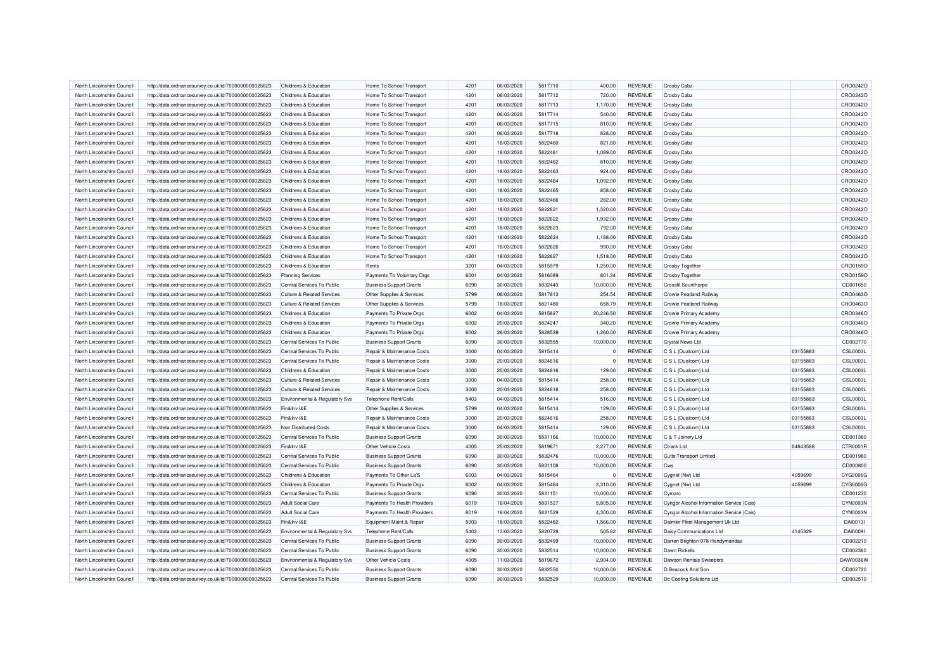| North Lincolnshire Council                               | http://data.ordnancesurvey.co.uk/id/7000000000025623 | Childrens & Education                     | Home To School Transport       | 4201         | 06/03/2020 | 5817710            | 400.00    | REVENUE            | <b>Crosby Cabz</b>                        |          | CRO0242O             |
|----------------------------------------------------------|------------------------------------------------------|-------------------------------------------|--------------------------------|--------------|------------|--------------------|-----------|--------------------|-------------------------------------------|----------|----------------------|
| North Lincolnshire Council                               | http://data.ordnancesurvey.co.uk/id/7000000000025623 | Childrens & Education                     | Home To School Transport       | 4201         | 06/03/2020 | 5817712            | 720.00    | <b>REVENUE</b>     | Crosby Cabz                               |          | CRO0242O             |
| North Lincolnshire Council                               | http://data.ordnancesurvey.co.uk/id/7000000000025623 | Childrens & Education                     | Home To School Transport       | 4201         | 06/03/2020 | 5817713            | 1,170.00  | REVENUE            | Crosby Cabz                               |          | CRO0242O             |
| North Lincolnshire Council                               | http://data.ordnancesurvey.co.uk/id/7000000000025623 | Childrens & Education                     | Home To School Transport       | 4201         | 06/03/2020 | 5817714            | 540.00    | <b>REVENUE</b>     | Crosby Cabz                               |          | CRO0242O             |
| North Lincolnshire Council                               | http://data.ordnancesurvey.co.uk/id/7000000000025623 | Childrens & Education                     | Home To School Transport       | 4201         | 06/03/2020 | 5817715            | 810.00    | REVENUE            | <b>Crosby Cabz</b>                        |          | CRO0242O             |
| North Lincolnshire Council                               | http://data.ordnancesurvey.co.uk/id/7000000000025623 | Childrens & Education                     | Home To School Transport       | 4201         | 06/03/2020 | 5817718            | 828.00    | REVENUE            | <b>Crosby Cabz</b>                        |          | CRO0242O             |
| North Lincolnshire Council                               | http://data.ordnancesurvey.co.uk/id/7000000000025623 | Childrens & Education                     | Home To School Transport       | 4201         | 18/03/2020 | 5822460            | 821.60    | <b>REVENUE</b>     | Crosby Cabz                               |          | CRO0242O             |
| North Lincolnshire Council                               | http://data.ordnancesurvey.co.uk/id/7000000000025623 | Childrens & Education                     | Home To School Transport       | 4201         | 18/03/2020 | 5822461            | 1,089.00  | <b>REVENUE</b>     | Crosby Cabz                               |          | CRO0242O             |
| North Lincolnshire Council                               | http://data.ordnancesurvey.co.uk/id/7000000000025623 | Childrens & Education                     | Home To School Transport       | 4201         | 18/03/2020 | 5822462            | 810.00    | REVENUE            | <b>Crosby Cabz</b>                        |          | CRO0242O             |
| North Lincolnshire Council                               | http://data.ordnancesurvey.co.uk/id/7000000000025623 | Childrens & Education                     | Home To School Transport       | 4201         | 18/03/2020 | 5822463            | 924.00    | <b>REVENUE</b>     | Crosby Cabz                               |          | CRO0242C             |
| North Lincolnshire Council                               | http://data.ordnancesurvey.co.uk/id/7000000000025623 | Childrens & Education                     | Home To School Transport       | 4201         | 18/03/2020 | 5822464            | 1,092.00  | REVENUE            | <b>Crosby Cabz</b>                        |          | CRO0242O             |
| North Lincolnshire Council                               | http://data.ordnancesurvey.co.uk/id/7000000000025623 | Childrens & Education                     | Home To School Transport       | 4201         | 18/03/2020 | 5822465            | 858.00    | <b>REVENUE</b>     | Crosby Cabz                               |          | CRO0242O             |
| North Lincolnshire Council                               | http://data.ordnancesurvey.co.uk/id/7000000000025623 | Childrens & Education                     | Home To School Transport       | 4201         | 18/03/2020 | 5822466            | 282.00    | REVENUE            | <b>Crosby Cabz</b>                        |          | CRO0242O             |
| North Lincolnshire Council                               | http://data.ordnancesurvey.co.uk/id/7000000000025623 | Childrens & Education                     | Home To School Transport       | 4201         | 18/03/2020 | 5822621            | 1,320.00  | REVENUE            | Crosby Cabz                               |          | CRO0242O             |
| North Lincolnshire Council                               | http://data.ordnancesurvey.co.uk/id/7000000000025623 | Childrens & Education                     | Home To School Transport       | 4201         | 18/03/2020 | 5822622            | 1,932.00  | REVENUE            | <b>Crosby Cabz</b>                        |          | CRO0242C             |
| North Lincolnshire Council                               | http://data.ordnancesurvey.co.uk/id/7000000000025623 | Childrens & Education                     | Home To School Transport       | 4201         | 18/03/2020 | 5822623            | 792.00    | REVENUE            | Crosby Cabz                               |          | CRO0242O             |
| North Lincolnshire Council                               |                                                      | Childrens & Education                     | Home To School Transport       | 4201         | 18/03/2020 | 5822624            | 1,188.00  | REVENUE            |                                           |          | CRO0242O             |
|                                                          | http://data.ordnancesurvey.co.uk/id/7000000000025623 |                                           |                                |              |            |                    |           |                    | Crosby Cabz                               |          | CRO0242O             |
| North Lincolnshire Council                               | http://data.ordnancesurvey.co.uk/id/7000000000025623 | Childrens & Education                     | Home To School Transport       | 4201         | 18/03/2020 | 5822626            | 990.00    | REVENUE            | <b>Crosby Cabz</b>                        |          |                      |
| North Lincolnshire Council                               | http://data.ordnancesurvey.co.uk/id/7000000000025623 | Childrens & Education                     | Home To School Transport       | 4201         | 18/03/2020 | 5822627            | 1,518.00  | REVENUE            | <b>Crosby Cabz</b>                        |          | CRO0242O             |
| North Lincolnshire Council                               | http://data.ordnancesurvey.co.uk/id/7000000000025623 | Childrens & Education                     | Rents                          | 3201         | 04/03/2020 | 5815979            | 1,250.00  | <b>REVENUE</b>     | Crosby Together                           |          | CRO0159O             |
| North Lincolnshire Council                               | http://data.ordnancesurvey.co.uk/id/7000000000025623 | <b>Planning Services</b>                  | Payments To Voluntary Orgs     | 6001         | 04/03/2020 | 5816089            | 801.34    | <b>REVENUE</b>     | <b>Crosby Together</b>                    |          | CRO0159O             |
| North Lincolnshire Council                               | http://data.ordnancesurvey.co.uk/id/7000000000025623 | Central Services To Public                | <b>Business Support Grants</b> | 6090         | 30/03/2020 | 5832443            | 10,000.00 | <b>REVENUE</b>     | <b>Crossfit Scunthorpe</b>                |          | CD001650             |
| North Lincolnshire Council                               | http://data.ordnancesurvey.co.uk/id/7000000000025623 | <b>Culture &amp; Related Services</b>     | Other Supplies & Services      | 5799         | 06/03/2020 | 5817813            | 254.54    | REVENUE            | Crowle Peatland Railway                   |          | CRO0463O             |
| North Lincolnshire Council                               | http://data.ordnancesurvey.co.uk/id/7000000000025623 | <b>Culture &amp; Related Services</b>     | Other Supplies & Services      | 5799         | 18/03/2020 | 5821480            | 658.79    | <b>REVENUE</b>     | Crowle Peatland Railway                   |          | CRO0463O             |
| North Lincolnshire Council                               | http://data.ordnancesurvey.co.uk/id/7000000000025623 | Childrens & Education                     | Payments To Private Orgs       | 6002         | 04/03/2020 | 5815827            | 20,236.50 | REVENUE            | Crowle Primary Academy                    |          | CRO0346O             |
| North Lincolnshire Council                               | http://data.ordnancesurvey.co.uk/id/7000000000025623 | Childrens & Education                     | Payments To Private Orgs       | 6002         | 20/03/2020 | 5824247            | 340.20    | <b>REVENUE</b>     | Crowle Primary Academy                    |          | CRO0346O             |
| North Lincolnshire Council                               | http://data.ordnancesurvey.co.uk/id/7000000000025623 | Childrens & Education                     | Payments To Private Orgs       | 6002         | 26/03/2020 | 5828539            | 1,260.00  | <b>REVENUE</b>     | Crowle Primary Academy                    |          | CRO0346O             |
| North Lincolnshire Council                               | http://data.ordnancesurvey.co.uk/id/7000000000025623 | Central Services To Public                | <b>Business Support Grants</b> | 6090         | 30/03/2020 | 5832555            | 10,000.00 | <b>REVENUE</b>     | <b>Crystal News Ltd</b>                   |          | CD002770             |
| North Lincolnshire Council                               | http://data.ordnancesurvey.co.uk/id/7000000000025623 | Central Services To Public                | Repair & Maintenance Costs     | 3000         | 04/03/2020 | 5815414            |           | REVENUE            | C S L (Dualcom) Ltd                       | 03155883 | <b>CSL0003L</b>      |
| North Lincolnshire Council                               | http://data.ordnancesurvey.co.uk/id/7000000000025623 | Central Services To Public                | Repair & Maintenance Costs     | 3000         | 20/03/2020 | 5824616            |           | REVENUE            | C S L (Dualcom) Ltd                       | 03155883 | <b>CSL0003L</b>      |
| North Lincolnshire Council                               | http://data.ordnancesurvey.co.uk/id/7000000000025623 | Childrens & Education                     | Repair & Maintenance Costs     | 3000         | 20/03/2020 | 5824616            | 129.00    | REVENUE            | C S L (Dualcom) Ltd                       | 03155883 | <b>CSL0003L</b>      |
| North Lincolnshire Council                               | http://data.ordnancesurvey.co.uk/id/7000000000025623 | <b>Culture &amp; Related Services</b>     | Repair & Maintenance Costs     | 3000         | 04/03/2020 | 5815414            | 258.00    | <b>REVENUE</b>     | C S L (Dualcom) Ltd                       | 03155883 | <b>CSL0003L</b>      |
| North Lincolnshire Council                               | http://data.ordnancesurvey.co.uk/id/7000000000025623 | <b>Culture &amp; Related Services</b>     | Repair & Maintenance Costs     | 3000         | 20/03/2020 | 5824616            | 258.00    | REVENUE            | C S L (Dualcom) Ltd                       | 03155883 | <b>CSL0003L</b>      |
| North Lincolnshire Council                               | http://data.ordnancesurvey.co.uk/id/7000000000025623 | Environmental & Regulatory Svs            | Telephone Rent/Calls           | 5403         | 04/03/2020 | 5815414            | 516.00    | <b>REVENUE</b>     | C S L (Dualcom) Ltd                       | 03155883 | <b>CSL0003L</b>      |
| North Lincolnshire Council                               | http://data.ordnancesurvey.co.uk/id/7000000000025623 | Fin&Inv I&E                               | Other Supplies & Services      | 5799         | 04/03/2020 | 5815414            | 129.00    | <b>REVENUE</b>     | C S L (Dualcom) Ltd                       | 03155883 | <b>CSL0003L</b>      |
| North Lincolnshire Council                               | http://data.ordnancesurvey.co.uk/id/7000000000025623 | Fin&Inv I&E                               | Repair & Maintenance Costs     | 3000         | 20/03/2020 | 5824616            | 258.00    | REVENUE            | C S L (Dualcom) Ltd                       | 03155883 | <b>CSL0003L</b>      |
| North Lincolnshire Council                               | http://data.ordnancesurvey.co.uk/id/7000000000025623 | Non Distributed Costs                     | Repair & Maintenance Costs     | 3000         | 04/03/2020 | 5815414            | 129.00    | <b>REVENUE</b>     | C S L (Dualcom) Ltd                       | 03155883 | <b>CSL0003L</b>      |
| North Lincolnshire Council                               | http://data.ordnancesurvey.co.uk/id/7000000000025623 | Central Services To Public                | <b>Business Support Grants</b> | 6090         | 30/03/2020 | 5831166            | 10,000.00 | REVENUE            | C & T Joinery Ltd                         |          | CD001380             |
| North Lincolnshire Council                               | http://data.ordnancesurvey.co.uk/id/7000000000025623 | Fin&Inv I&E                               | Other Vehicle Costs            | 4005         | 25/03/2020 | 5819671            | 2,277.00  | REVENUE            | <b>Ctrack Ltd</b>                         | 04643588 | CTR0001F             |
| North Lincolnshire Council                               | http://data.ordnancesurvey.co.uk/id/7000000000025623 | Central Services To Public                | <b>Business Support Grants</b> | 6090         | 30/03/2020 | 5832476            | 10,000.00 | <b>REVENUE</b>     | <b>Cutts Transport Limited</b>            |          | CD001980             |
| North Lincolnshire Council                               | http://data.ordnancesurvey.co.uk/id/7000000000025623 | Central Services To Public                | <b>Business Support Grants</b> | 6090         | 30/03/2020 | 5831108            | 10,000.00 | REVENUE            | Cws                                       |          | CD000800             |
| North Lincolnshire Council                               | http://data.ordnancesurvey.co.uk/id/7000000000025623 | Childrens & Education                     | Payments To Other La'S         | 6003         | 04/03/2020 | 5815464            |           | REVENUE            | Cygnet (Nw) Ltd                           | 4059699  | CYG0006G             |
| North Lincolnshire Council                               | http://data.ordnancesurvey.co.uk/id/7000000000025623 | Childrens & Education                     | Payments To Private Orgs       | 6002         | 04/03/2020 | 5815464            | 2,310.00  | <b>REVENUE</b>     | Cygnet (Nw) Ltd                           | 4059699  | CYG0006G             |
| North Lincolnshire Council                               | http://data.ordnancesurvey.co.uk/id/7000000000025623 | Central Services To Public                | <b>Business Support Grants</b> | 6090         | 30/03/2020 | 5831151            | 10,000.00 | REVENUE            | Cymarc                                    |          | CD001230             |
| North Lincolnshire Council                               | http://data.ordnancesurvey.co.uk/id/7000000000025623 | <b>Adult Social Care</b>                  | Payments To Health Providers   | 6019         | 16/04/2020 | 5831527            | 5,805.00  | REVENUE            | Cyngor Alcohol Information Service (Cais) |          | CYN0003N             |
|                                                          |                                                      |                                           |                                |              |            |                    |           |                    |                                           |          |                      |
| North Lincolnshire Council<br>North Lincolnshire Council | http://data.ordnancesurvey.co.uk/id/7000000000025623 | <b>Adult Social Care</b>                  | Payments To Health Providers   | 6019<br>5003 | 16/04/2020 | 5831529<br>5822482 | 4,300.00  | REVENUE<br>REVENUE | Cyngor Alcohol Information Service (Cais) |          | CYN0003N<br>DAI0013I |
|                                                          | http://data.ordnancesurvey.co.uk/id/7000000000025623 | Fin&Inv I&E                               | Equipment Maint.& Repair       | 5403         | 18/03/2020 | 5820728            | 1,566.00  |                    | Daimler Fleet Management Uk Ltd           |          |                      |
| North Lincolnshire Council                               | http://data.ordnancesurvey.co.uk/id/7000000000025623 | Environmental & Regulatory Svs            | Telephone Rent/Calls           |              | 13/03/2020 |                    | 505.82    | REVENUE            | Daisy Communications Ltd                  | 4145329  | DAI00091             |
| North Lincolnshire Council                               | http://data.ordnancesurvey.co.uk/id/7000000000025623 | Central Services To Public                | <b>Business Support Grants</b> | 6090         | 30/03/2020 | 5832499            | 10,000.00 | <b>REVENUE</b>     | Darren Brighton 078 Handymandaz           |          | CD002210             |
| North Lincolnshire Council                               | http://data.ordnancesurvey.co.uk/id/7000000000025623 | Central Services To Public                | <b>Business Support Grants</b> | 6090         | 30/03/2020 | 5832514            | 10,000.00 | REVENUE            | Dawn Rickells                             |          | CD002360             |
| North Lincolnshire Council                               | http://data.ordnancesurvey.co.uk/id/7000000000025623 | <b>Environmental &amp; Regulatory Svs</b> | Other Vehicle Costs            | 4005         | 11/03/2020 | 5819672            | 2,904.00  | <b>REVENUE</b>     | Dawson Rentals Sweepers                   |          | DAW0036W             |
| North Lincolnshire Council                               | http://data.ordnancesurvey.co.uk/id/7000000000025623 | Central Services To Public                | <b>Business Support Grants</b> | 6090         | 30/03/2020 | 5832550            | 10,000.00 | REVENUE            | D.Beacock And Son                         |          | CD002720             |
| North Lincolnshire Council                               | http://data.ordnancesurvey.co.uk/id/7000000000025623 | Central Services To Public                | <b>Business Support Grants</b> | 6090         | 30/03/2020 | 5832529            | 10,000.00 | <b>REVENUE</b>     | Dc Cooling Solutions Ltd                  |          | CD002510             |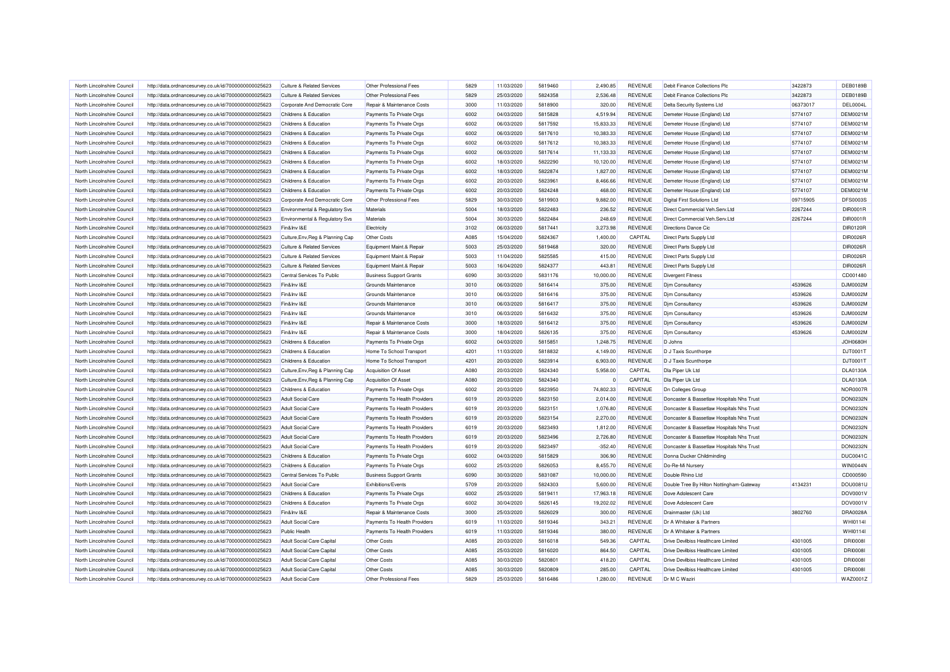| North Lincolnshire Council                               | http://data.ordnancesurvey.co.uk/id/7000000000025623 | <b>Culture &amp; Related Services</b> | Other Professional Fees        | 5829         | 11/03/2020 | 5819460 | 2.490.85  | <b>REVENUE</b> | Debit Finance Collections Plc             | 3422873  | <b>DEB0189B</b>             |
|----------------------------------------------------------|------------------------------------------------------|---------------------------------------|--------------------------------|--------------|------------|---------|-----------|----------------|-------------------------------------------|----------|-----------------------------|
| North Lincolnshire Council                               | http://data.ordnancesurvey.co.uk/id/7000000000025623 | <b>Culture &amp; Related Services</b> | Other Professional Fees        | 5829         | 25/03/2020 | 5824358 | 2,536.48  | REVENUE        | Debit Finance Collections Plc             | 3422873  | <b>DEB0189B</b>             |
| North Lincolnshire Council                               | http://data.ordnancesurvey.co.uk/id/7000000000025623 | Corporate And Democratic Core         | Repair & Maintenance Costs     | 3000         | 11/03/2020 | 5818900 | 320.00    | REVENUE        | Delta Security Systems Ltd                | 06373017 | DEL0004L                    |
| North Lincolnshire Council                               | http://data.ordnancesurvey.co.uk/id/7000000000025623 | Childrens & Education                 | Payments To Private Orgs       | 6002         | 04/03/2020 | 5815828 | 4,519.94  | REVENUE        | Demeter House (England) Ltd               | 5774107  | <b>DEM0021M</b>             |
| North Lincolnshire Council                               | http://data.ordnancesurvey.co.uk/id/7000000000025623 | Childrens & Education                 | Payments To Private Orgs       | 6002         | 06/03/2020 | 5817592 | 15,833.33 | <b>REVENUE</b> | Demeter House (England) Ltd               | 5774107  | DEM0021M                    |
| North Lincolnshire Council                               | http://data.ordnancesurvey.co.uk/id/7000000000025623 | Childrens & Education                 | Payments To Private Orgs       | 6002         | 06/03/2020 | 5817610 | 10,383.33 | REVENUE        | Demeter House (England) Ltd               | 5774107  | <b>DEM0021M</b>             |
| North Lincolnshire Council                               | http://data.ordnancesurvey.co.uk/id/7000000000025623 | <b>Childrens &amp; Education</b>      | Payments To Private Orgs       | 6002         | 06/03/2020 | 5817612 | 10.383.33 | <b>REVENUE</b> | Demeter House (England) Ltd               | 5774107  | <b>DEM0021M</b>             |
| North Lincolnshire Council                               | http://data.ordnancesurvey.co.uk/id/7000000000025623 | Childrens & Education                 | Payments To Private Orgs       | 6002         | 06/03/2020 | 5817614 | 11,133.33 | <b>REVENUE</b> | Demeter House (England) Ltd               | 5774107  | <b>DEM0021M</b>             |
| North Lincolnshire Council                               | http://data.ordnancesurvey.co.uk/id/7000000000025623 | Childrens & Education                 | Payments To Private Orgs       | 6002         | 18/03/2020 | 5822290 | 10,120.00 | REVENUE        | Demeter House (England) Ltd               | 5774107  | <b>DEM0021M</b>             |
| North Lincolnshire Council                               | http://data.ordnancesurvey.co.uk/id/7000000000025623 | Childrens & Education                 | Payments To Private Orgs       | 6002         | 18/03/2020 | 5822874 | 1,827.00  | REVENUE        | Demeter House (England) Ltd               | 5774107  | <b>DEM0021M</b>             |
| North Lincolnshire Council                               | http://data.ordnancesurvey.co.uk/id/7000000000025623 | Childrens & Education                 | Payments To Private Orgs       | 6002         | 20/03/2020 | 5823961 | 8,466.66  | REVENUE        | Demeter House (England) Ltd               | 5774107  | <b>DEM0021M</b>             |
| North Lincolnshire Council                               | http://data.ordnancesurvey.co.uk/id/7000000000025623 | Childrens & Education                 | Payments To Private Orgs       | 6002         | 20/03/2020 | 5824248 | 468.00    | REVENUE        | Demeter House (England) Ltd               | 5774107  | <b>DEM0021M</b>             |
| North Lincolnshire Council                               | http://data.ordnancesurvey.co.uk/id/7000000000025623 | Corporate And Democratic Core         | Other Professional Fees        | 5829         | 30/03/2020 | 5819903 | 9,882.00  | REVENUE        | Digital First Solutions Ltd               | 09715905 | <b>DFS0003S</b>             |
| North Lincolnshire Council                               | http://data.ordnancesurvey.co.uk/id/7000000000025623 | Environmental & Regulatory Svs        | Materials                      | 5004         | 18/03/2020 | 5822483 | 236.52    | REVENUE        | Direct Commercial Veh.Serv.Ltd            | 2267244  | DIR0001R                    |
| North Lincolnshire Council                               | http://data.ordnancesurvey.co.uk/id/7000000000025623 | Environmental & Regulatory Svs        | Materials                      | 5004         | 30/03/2020 | 5822484 | 248.69    | <b>REVENUE</b> | Direct Commercial Veh.Serv.Ltd            | 2267244  | DIR0001R                    |
| North Lincolnshire Council                               | http://data.ordnancesurvey.co.uk/id/7000000000025623 | Fin&Inv I&E                           | Electricity                    | 3102         | 06/03/2020 | 5817441 | 3,273.98  | <b>REVENUE</b> | Directions Dance Cic                      |          | DIR0120R                    |
| North Lincolnshire Council                               | http://data.ordnancesurvey.co.uk/id/7000000000025623 | Culture, Env, Reg & Planning Cap      | Other Costs                    | A085         | 15/04/2020 | 5824367 | 1,400.00  | CAPITAL        | Direct Parts Supply Ltd                   |          | DIR0026R                    |
| North Lincolnshire Council                               | http://data.ordnancesurvey.co.uk/id/7000000000025623 | <b>Culture &amp; Related Services</b> | Equipment Maint.& Repair       | 5003         | 25/03/2020 | 5819468 | 320.00    | <b>REVENUE</b> | Direct Parts Supply Ltd                   |          | DIR0026R                    |
| North Lincolnshire Council                               | http://data.ordnancesurvey.co.uk/id/7000000000025623 | <b>Culture &amp; Related Services</b> | Equipment Maint.& Repair       | 5003         | 11/04/2020 | 5825585 | 415.00    | <b>REVENUE</b> | Direct Parts Supply Ltd                   |          | DIR0026R                    |
| North Lincolnshire Council                               | http://data.ordnancesurvey.co.uk/id/7000000000025623 | <b>Culture &amp; Related Services</b> | Equipment Maint.& Repair       | 5003         | 16/04/2020 | 5824377 | 443.81    | <b>REVENUE</b> | <b>Direct Parts Supply Ltd</b>            |          | DIR0026R                    |
| North Lincolnshire Council                               | http://data.ordnancesurvey.co.uk/id/7000000000025623 | Central Services To Public            | <b>Business Support Grants</b> | 6090         | 30/03/2020 | 5831176 | 10,000.00 | REVENUE        | <b>Divergent Fitness</b>                  |          | CD001480                    |
| North Lincolnshire Council                               | http://data.ordnancesurvey.co.uk/id/7000000000025623 | Fin&Inv I&E                           | Grounds Maintenance            | 3010         | 06/03/2020 | 5816414 | 375.00    | <b>REVENUE</b> | <b>Dim Consultancy</b>                    | 4539626  | DJM0002M                    |
| North Lincolnshire Council                               | http://data.ordnancesurvey.co.uk/id/7000000000025623 | Fin&Inv I&E                           | Grounds Maintenance            | 3010         | 06/03/2020 | 5816416 | 375.00    | REVENUE        | Djm Consultancy                           | 4539626  | <b>DJM0002M</b>             |
| North Lincolnshire Council                               | http://data.ordnancesurvey.co.uk/id/7000000000025623 | Fin&Inv I&E                           | Grounds Maintenance            | 3010         | 06/03/2020 | 5816417 | 375.00    | <b>REVENUE</b> | Djm Consultancy                           | 4539626  | DJM0002M                    |
|                                                          |                                                      | Fin&Inv I&E                           | Grounds Maintenance            | 3010         |            | 5816432 |           |                |                                           | 4539626  | DJM0002M                    |
| North Lincolnshire Council                               | http://data.ordnancesurvey.co.uk/id/7000000000025623 |                                       |                                |              | 06/03/2020 |         | 375.00    | REVENUE        | Djm Consultancy                           |          |                             |
| North Lincolnshire Council                               | http://data.ordnancesurvey.co.uk/id/7000000000025623 | Fin&Inv I&E                           | Repair & Maintenance Costs     | 3000         | 18/03/2020 | 5816412 | 375.00    | REVENUE        | Djm Consultancy                           | 4539626  | <b>DJM0002M</b>             |
| North Lincolnshire Council<br>North Lincolnshire Council | http://data.ordnancesurvey.co.uk/id/7000000000025623 | Fin&Inv I&E                           | Repair & Maintenance Costs     | 3000<br>6002 | 18/04/2020 | 5826135 | 375.00    | <b>REVENUE</b> | <b>Dim Consultancy</b>                    | 4539626  | DJM0002M<br><b>JOH0680H</b> |
|                                                          | http://data.ordnancesurvey.co.uk/id/7000000000025623 | Childrens & Education                 | Payments To Private Orgs       |              | 04/03/2020 | 5815851 | 1,248.75  | <b>REVENUE</b> | D Johns                                   |          |                             |
| North Lincolnshire Council                               | http://data.ordnancesurvey.co.uk/id/7000000000025623 | Childrens & Education                 | Home To School Transport       | 4201         | 11/03/2020 | 5818832 | 4.149.00  | <b>REVENUE</b> | D J Taxis Scunthorpe                      |          | DJT0001T                    |
| North Lincolnshire Council                               | http://data.ordnancesurvey.co.uk/id/7000000000025623 | Childrens & Education                 | Home To School Transport       | 4201         | 20/03/2020 | 5823914 | 6,903.00  | <b>REVENUE</b> | D J Taxis Scunthorpe                      |          | DJT0001T                    |
| North Lincolnshire Council                               | http://data.ordnancesurvey.co.uk/id/7000000000025623 | Culture, Env, Reg & Planning Cap      | <b>Acquisition Of Asset</b>    | A080         | 20/03/2020 | 5824340 | 5,958.00  | CAPITAL        | Dla Piper Uk Ltd                          |          | <b>DLA0130A</b>             |
| North Lincolnshire Council                               | http://data.ordnancesurvey.co.uk/id/7000000000025623 | Culture, Env, Reg & Planning Cap      | <b>Acquisition Of Asset</b>    | A080         | 20/03/2020 | 5824340 | -0        | CAPITAL        | Dla Piper Uk Ltd                          |          | <b>DLA0130A</b>             |
| North Lincolnshire Council                               | http://data.ordnancesurvey.co.uk/id/7000000000025623 | Childrens & Education                 | Payments To Private Orgs       | 6002         | 20/03/2020 | 5823950 | 74,802.33 | <b>REVENUE</b> | <b>Dn Colleges Group</b>                  |          | NOR0007F                    |
| North Lincolnshire Council                               | http://data.ordnancesurvey.co.uk/id/7000000000025623 | <b>Adult Social Care</b>              | Payments To Health Providers   | 6019         | 20/03/2020 | 5823150 | 2.014.00  | REVENUE        | Doncaster & Bassetlaw Hospitals Nhs Trust |          | DON0232N                    |
| North Lincolnshire Council                               | http://data.ordnancesurvey.co.uk/id/7000000000025623 | <b>Adult Social Care</b>              | Payments To Health Providers   | 6019         | 20/03/2020 | 5823151 | 1,076.80  | REVENUE        | Doncaster & Bassetlaw Hospitals Nhs Trust |          | <b>DON0232N</b>             |
| North Lincolnshire Council                               | http://data.ordnancesurvey.co.uk/id/7000000000025623 | <b>Adult Social Care</b>              | Payments To Health Providers   | 6019         | 20/03/2020 | 5823154 | 2,270.00  | <b>REVENUE</b> | Doncaster & Bassetlaw Hospitals Nhs Trust |          | DON0232N                    |
| North Lincolnshire Council                               | http://data.ordnancesurvey.co.uk/id/7000000000025623 | <b>Adult Social Care</b>              | Payments To Health Providers   | 6019         | 20/03/2020 | 5823493 | 1,812.00  | REVENUE        | Doncaster & Bassetlaw Hospitals Nhs Trust |          | DON0232M                    |
| North Lincolnshire Council                               | http://data.ordnancesurvey.co.uk/id/7000000000025623 | <b>Adult Social Care</b>              | Payments To Health Providers   | 6019         | 20/03/2020 | 5823496 | 2,726.80  | <b>REVENUE</b> | Doncaster & Bassetlaw Hospitals Nhs Trust |          | DON0232M                    |
| North Lincolnshire Council                               | http://data.ordnancesurvey.co.uk/id/7000000000025623 | <b>Adult Social Care</b>              | Payments To Health Providers   | 6019         | 20/03/2020 | 5823497 | $-352.40$ | REVENUE        | Doncaster & Bassetlaw Hospitals Nhs Trust |          | DON0232N                    |
| North Lincolnshire Council                               | http://data.ordnancesurvey.co.uk/id/7000000000025623 | Childrens & Education                 | Payments To Private Orgs       | 6002         | 04/03/2020 | 5815829 | 306.90    | <b>REVENUE</b> | Donna Ducker Childminding                 |          | <b>DUC0041C</b>             |
| North Lincolnshire Council                               | http://data.ordnancesurvey.co.uk/id/7000000000025623 | <b>Childrens &amp; Education</b>      | Payments To Private Orgs       | 6002         | 25/03/2020 | 5826053 | 8,455.70  | REVENUE        | Do-Re-Mi Nursery                          |          | <b>WIN0044N</b>             |
| North Lincolnshire Council                               | http://data.ordnancesurvey.co.uk/id/7000000000025623 | Central Services To Public            | <b>Business Support Grants</b> | 6090         | 30/03/2020 | 5831087 | 10,000.00 | REVENUE        | Double Rhino Ltd                          |          | CD000590                    |
| North Lincolnshire Council                               | http://data.ordnancesurvey.co.uk/id/7000000000025623 | <b>Adult Social Care</b>              | Exhibitions/Events             | 5709         | 20/03/2020 | 5824303 | 5,600.00  | <b>REVENUE</b> | Double Tree By Hilton Nottingham-Gateway  | 4134231  | DOU0081U                    |
| North Lincolnshire Council                               | http://data.ordnancesurvey.co.uk/id/7000000000025623 | Childrens & Education                 | Payments To Private Orgs       | 6002         | 25/03/2020 | 5819411 | 17,963.18 | <b>REVENUE</b> | Dove Adolescent Care                      |          | DOV0001V                    |
| North Lincolnshire Council                               | http://data.ordnancesurvey.co.uk/id/7000000000025623 | Childrens & Education                 | Payments To Private Orgs       | 6002         | 30/04/2020 | 5826145 | 19,202.02 | REVENUE        | Dove Adolescent Care                      |          | DOV0001V                    |
| North Lincolnshire Council                               | http://data.ordnancesurvey.co.uk/id/7000000000025623 | Fin&Inv I&E                           | Repair & Maintenance Costs     | 3000         | 25/03/2020 | 5826029 | 300.00    | <b>REVENUE</b> | Drainmaster (Uk) Ltd                      | 3802760  | DRA0028A                    |
| North Lincolnshire Council                               | http://data.ordnancesurvey.co.uk/id/7000000000025623 | <b>Adult Social Care</b>              | Payments To Health Providers   | 6019         | 11/03/2020 | 5819346 | 343.21    | <b>REVENUE</b> | Dr A Whitaker & Partners                  |          | WHI0114I                    |
| North Lincolnshire Council                               | http://data.ordnancesurvey.co.uk/id/7000000000025623 | <b>Public Health</b>                  | Payments To Health Providers   | 6019         | 11/03/2020 | 5819346 | 380.00    | <b>REVENUE</b> | Dr A Whitaker & Partners                  |          | WHI0114I                    |
| North Lincolnshire Council                               | http://data.ordnancesurvey.co.uk/id/7000000000025623 | <b>Adult Social Care Capital</b>      | <b>Other Costs</b>             | A085         | 20/03/2020 | 5816018 | 549.36    | CAPITAL        | Drive Devilbiss Healthcare Limited        | 4301005  | <b>DRI0008</b>              |
| North Lincolnshire Council                               | http://data.ordnancesurvey.co.uk/id/7000000000025623 | <b>Adult Social Care Capital</b>      | Other Costs                    | A085         | 25/03/2020 | 5816020 | 864.50    | CAPITAL        | Drive Devilbiss Healthcare Limited        | 4301005  | <b>DRI0008</b>              |
| North Lincolnshire Council                               | http://data.ordnancesurvey.co.uk/id/7000000000025623 | <b>Adult Social Care Capital</b>      | Other Costs                    | A085         | 30/03/2020 | 5820801 | 418.20    | CAPITAL        | Drive Devilbiss Healthcare Limited        | 4301005  | <b>DRI0008I</b>             |
| North Lincolnshire Council                               | http://data.ordnancesurvey.co.uk/id/7000000000025623 | <b>Adult Social Care Capital</b>      | <b>Other Costs</b>             | A085         | 30/03/2020 | 5820809 | 285.00    | CAPITAL        | Drive Devilbiss Healthcare Limited        | 4301005  | <b>DRI0008I</b>             |
| North Lincolnshire Council                               | http://data.ordnancesurvey.co.uk/id/7000000000025623 | <b>Adult Social Care</b>              | Other Professional Fees        | 5829         | 25/03/2020 | 5816486 | 1.280.00  | <b>REVENUE</b> | Dr M C Waziri                             |          | WAZ0001Z                    |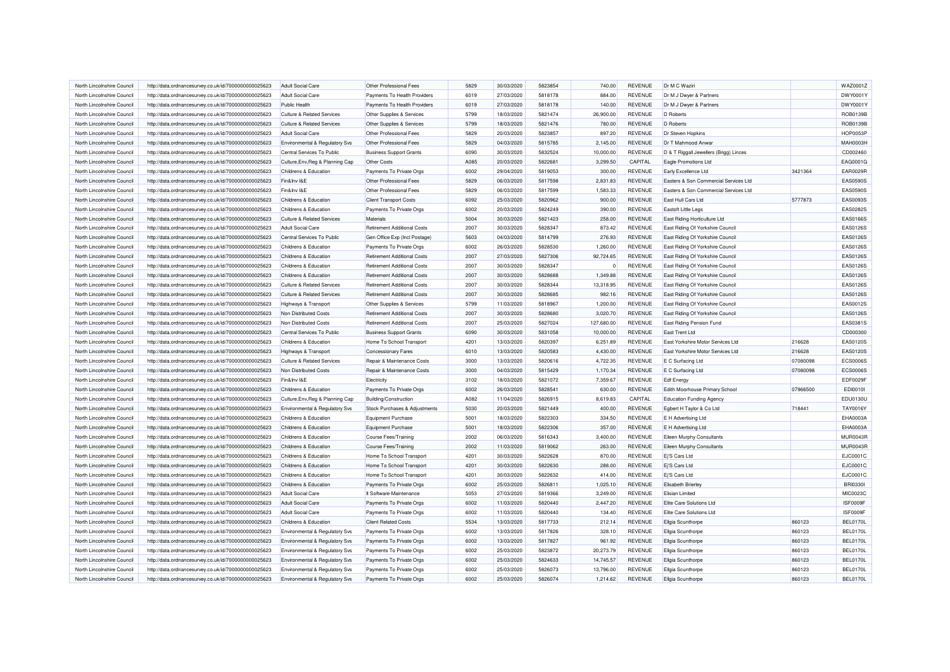| North Lincolnshire Council | http://data.ordnancesurvey.co.uk/id/7000000000025623 | <b>Adult Social Care</b>                  | Other Professional Fees            | 5829 | 30/03/2020 | 5823854 | 740.00     | <b>REVENUE</b> | Dr M C Waziri                          |          | WAZ0001Z        |
|----------------------------|------------------------------------------------------|-------------------------------------------|------------------------------------|------|------------|---------|------------|----------------|----------------------------------------|----------|-----------------|
| North Lincolnshire Council | http://data.ordnancesurvey.co.uk/id/7000000000025623 | <b>Adult Social Care</b>                  | Payments To Health Providers       | 6019 | 27/03/2020 | 5818178 | 884.00     | REVENUE        | Dr M J Dwyer & Partners                |          | DWY0001Y        |
| North Lincolnshire Council | http://data.ordnancesurvey.co.uk/id/7000000000025623 | <b>Public Health</b>                      | Payments To Health Providers       | 6019 | 27/03/2020 | 5818178 | 140.00     | REVENUE        | Dr M J Dwyer & Partners                |          | DWY0001Y        |
| North Lincolnshire Council | http://data.ordnancesurvey.co.uk/id/7000000000025623 | <b>Culture &amp; Related Services</b>     | Other Supplies & Services          | 5799 | 18/03/2020 | 5821474 | 26,900.00  | REVENUE        | <b>D</b> Roberts                       |          | ROB0139B        |
| North Lincolnshire Council | http://data.ordnancesurvey.co.uk/id/7000000000025623 | <b>Culture &amp; Related Services</b>     | Other Supplies & Services          | 5799 | 18/03/2020 | 5821476 | 780.00     | <b>REVENUE</b> | D Roberts                              |          | ROB0139E        |
| North Lincolnshire Council | http://data.ordnancesurvey.co.uk/id/7000000000025623 | <b>Adult Social Care</b>                  | Other Professional Fees            | 5829 | 20/03/2020 | 5823857 | 897.20     | REVENUE        | Dr Steven Hopkins                      |          | <b>HOP0053F</b> |
| North Lincolnshire Council | http://data.ordnancesurvey.co.uk/id/7000000000025623 | Environmental & Regulatory Svs            | Other Professional Fees            | 5829 | 04/03/2020 | 5815785 | 2,145.00   | <b>REVENUE</b> | Dr T Mahmood Anwar                     |          | MAH0003H        |
| North Lincolnshire Council | http://data.ordnancesurvey.co.uk/id/7000000000025623 | Central Services To Public                | <b>Business Support Grants</b>     | 6090 | 30/03/2020 | 5832524 | 10,000.00  | <b>REVENUE</b> | D & T Riggall Jewellers (Brigg) Linces |          | CD002460        |
| North Lincolnshire Council | http://data.ordnancesurvey.co.uk/id/7000000000025623 | Culture, Env, Reg & Planning Cap          | <b>Other Costs</b>                 | A085 | 20/03/2020 | 5822681 | 3,299.50   | CAPITAL        | Eagle Promotions Ltd                   |          | EAG0001G        |
| North Lincolnshire Council | http://data.ordnancesurvey.co.uk/id/7000000000025623 | Childrens & Education                     | Payments To Private Orgs           | 6002 | 29/04/2020 | 5819053 | 300.00     | REVENUE        | Early Excellence Ltd                   | 3421364  | <b>EAR0029R</b> |
| North Lincolnshire Council | http://data.ordnancesurvey.co.uk/id/7000000000025623 | Fin&Inv I&E                               | Other Professional Fees            | 5829 | 06/03/2020 | 5817598 | 2,831.83   | REVENUE        | Easters & Son Commercial Services Ltd  |          | <b>EAS0590S</b> |
| North Lincolnshire Council | http://data.ordnancesurvey.co.uk/id/7000000000025623 | Fin&Inv I&E                               | Other Professional Fees            | 5829 | 06/03/2020 | 5817599 | 1,583.33   | REVENUE        | Easters & Son Commercial Services Ltd  |          | <b>EAS0590S</b> |
| North Lincolnshire Council | http://data.ordnancesurvey.co.uk/id/7000000000025623 | <b>Childrens &amp; Education</b>          | <b>Client Transport Costs</b>      | 6092 | 25/03/2020 | 5820962 | 900.00     | <b>REVENUE</b> | East Hull Cars Ltd                     | 5777873  | EAS0093S        |
| North Lincolnshire Council | http://data.ordnancesurvey.co.uk/id/7000000000025623 | <b>Childrens &amp; Education</b>          | Payments To Private Orgs           | 6002 | 20/03/2020 | 5824249 | 390.00     | REVENUE        | Eastoft Little Legs                    |          | EAS0282S        |
| North Lincolnshire Council | http://data.ordnancesurvey.co.uk/id/7000000000025623 | <b>Culture &amp; Related Services</b>     | Materials                          | 5004 | 30/03/2020 | 5821423 | 258.00     | <b>REVENUE</b> | East Riding Horticulture Ltd           |          | EAS0166S        |
| North Lincolnshire Council | http://data.ordnancesurvey.co.uk/id/7000000000025623 | <b>Adult Social Care</b>                  | <b>Retirement Additional Costs</b> | 2007 | 30/03/2020 | 5828347 | 873.42     | REVENUE        | East Riding Of Yorkshire Council       |          | EAS0126S        |
| North Lincolnshire Council | http://data.ordnancesurvey.co.uk/id/7000000000025623 | Central Services To Public                | Gen Office Exp (Incl Postage)      | 5603 | 04/03/2020 | 5814799 | 276.93     | REVENUE        | East Riding Of Yorkshire Council       |          | EAS0126S        |
| North Lincolnshire Council | http://data.ordnancesurvey.co.uk/id/7000000000025623 | Childrens & Education                     | Payments To Private Orgs           | 6002 | 26/03/2020 | 5828530 | 1,260.00   | REVENUE        | East Riding Of Yorkshire Council       |          | EAS0126S        |
| North Lincolnshire Council |                                                      | Childrens & Education                     | <b>Retirement Additional Costs</b> | 2007 | 27/03/2020 | 5827306 | 92,724.65  | <b>REVENUE</b> |                                        |          | EAS0126S        |
| North Lincolnshire Council | http://data.ordnancesurvey.co.uk/id/7000000000025623 |                                           | <b>Retirement Additional Costs</b> | 2007 | 30/03/2020 | 5828347 |            | REVENUE        | East Riding Of Yorkshire Council       |          | EAS0126S        |
|                            | http://data.ordnancesurvey.co.uk/id/7000000000025623 | Childrens & Education                     |                                    |      |            |         |            |                | East Riding Of Yorkshire Council       |          | EAS0126S        |
| North Lincolnshire Council | http://data.ordnancesurvey.co.uk/id/7000000000025623 | Childrens & Education                     | <b>Retirement Additional Costs</b> | 2007 | 30/03/2020 | 5828688 | 1,349.88   | <b>REVENUE</b> | East Riding Of Yorkshire Council       |          |                 |
| North Lincolnshire Council | http://data.ordnancesurvey.co.uk/id/7000000000025623 | <b>Culture &amp; Related Services</b>     | <b>Retirement Additional Costs</b> | 2007 | 30/03/2020 | 5828344 | 13,318.95  | REVENUE        | East Riding Of Yorkshire Council       |          | EAS0126S        |
| North Lincolnshire Council | http://data.ordnancesurvey.co.uk/id/7000000000025623 | <b>Culture &amp; Related Services</b>     | <b>Retirement Additional Costs</b> | 2007 | 30/03/2020 | 5828685 | 982.16     | <b>REVENUE</b> | East Riding Of Yorkshire Council       |          | <b>EAS0126S</b> |
| North Lincolnshire Council | http://data.ordnancesurvey.co.uk/id/7000000000025623 | Highways & Transport                      | Other Supplies & Services          | 5799 | 11/03/2020 | 5818967 | 1,200.00   | REVENUE        | East Riding Of Yorkshire Council       |          | EAS0012S        |
| North Lincolnshire Council | http://data.ordnancesurvey.co.uk/id/7000000000025623 | Non Distributed Costs                     | <b>Retirement Additional Costs</b> | 2007 | 30/03/2020 | 5828680 | 3,020.70   | REVENUE        | East Riding Of Yorkshire Council       |          | EAS0126S        |
| North Lincolnshire Council | http://data.ordnancesurvey.co.uk/id/7000000000025623 | Non Distributed Costs                     | <b>Retirement Additional Costs</b> | 2007 | 25/03/2020 | 5827024 | 127,680.00 | <b>REVENUE</b> | East Riding Pension Fund               |          | EAS0381S        |
| North Lincolnshire Council | http://data.ordnancesurvey.co.uk/id/7000000000025623 | Central Services To Public                | <b>Business Support Grants</b>     | 6090 | 30/03/2020 | 5831058 | 10,000.00  | <b>REVENUE</b> | <b>East Trent Ltd</b>                  |          | CD000300        |
| North Lincolnshire Council | http://data.ordnancesurvey.co.uk/id/7000000000025623 | Childrens & Education                     | Home To School Transport           | 4201 | 13/03/2020 | 5820397 | 6,251.89   | REVENUE        | East Yorkshire Motor Services Ltd      | 216628   | EAS0120S        |
| North Lincolnshire Council | http://data.ordnancesurvey.co.uk/id/7000000000025623 | Highways & Transport                      | <b>Concessionary Fares</b>         | 6010 | 13/03/2020 | 5820583 | 4,430.00   | <b>REVENUE</b> | East Yorkshire Motor Services Ltd      | 216628   | EAS0120S        |
| North Lincolnshire Council | http://data.ordnancesurvey.co.uk/id/7000000000025623 | <b>Culture &amp; Related Services</b>     | Repair & Maintenance Costs         | 3000 | 13/03/2020 | 5820616 | 4,722.35   | REVENUE        | E C Surfacing Ltd                      | 07080098 | <b>ECS0006S</b> |
| North Lincolnshire Council | http://data.ordnancesurvey.co.uk/id/7000000000025623 | Non Distributed Costs                     | Repair & Maintenance Costs         | 3000 | 04/03/2020 | 5815429 | 1,170.34   | REVENUE        | E C Surfacing Ltd                      | 07080098 | <b>ECS0006S</b> |
| North Lincolnshire Council | http://data.ordnancesurvey.co.uk/id/7000000000025623 | Fin&Inv I&E                               | Electricity                        | 3102 | 18/03/2020 | 5821072 | 7,359.67   | REVENUE        | <b>Edf Energy</b>                      |          | EDF0029F        |
| North Lincolnshire Council | http://data.ordnancesurvey.co.uk/id/7000000000025623 | Childrens & Education                     | Payments To Private Orgs           | 6002 | 26/03/2020 | 5828541 | 630.00     | REVENUE        | Edith Moorhouse Primary School         | 07966500 | EDI0010I        |
| North Lincolnshire Council | http://data.ordnancesurvey.co.uk/id/7000000000025623 | Culture, Env, Reg & Planning Cap          | <b>Building/Construction</b>       | A082 | 11/04/2020 | 5826915 | 8,619.83   | CAPITAL        | <b>Education Funding Agency</b>        |          | EDU0130L        |
| North Lincolnshire Council | http://data.ordnancesurvey.co.uk/id/7000000000025623 | Environmental & Regulatory Svs            | Stock Purchases & Adjustments      | 5030 | 20/03/2020 | 5821449 | 400.00     | <b>REVENUE</b> | Egbert H Taylor & Co Ltd               | 718441   | TAY0016Y        |
| North Lincolnshire Council | http://data.ordnancesurvey.co.uk/id/7000000000025623 | Childrens & Education                     | <b>Equipment Purchase</b>          | 5001 | 18/03/2020 | 5822303 | 334.50     | REVENUE        | E H Advertising Ltd                    |          | EHA0003A        |
| North Lincolnshire Council | http://data.ordnancesurvey.co.uk/id/7000000000025623 | Childrens & Education                     | <b>Equipment Purchase</b>          | 5001 | 18/03/2020 | 5822306 | 357.00     | <b>REVENUE</b> | E H Advertising Ltd                    |          | EHA0003A        |
| North Lincolnshire Council | http://data.ordnancesurvey.co.uk/id/7000000000025623 | Childrens & Education                     | <b>Course Fees/Training</b>        | 2002 | 06/03/2020 | 5816343 | 3,400.00   | REVENUE        | <b>Eileen Murphy Consultants</b>       |          | MUR0043R        |
| North Lincolnshire Council | http://data.ordnancesurvey.co.uk/id/7000000000025623 | Childrens & Education                     | <b>Course Fees/Training</b>        | 2002 | 11/03/2020 | 5819062 | 263.00     | REVENUE        | <b>Eileen Murphy Consultants</b>       |          | <b>MUR0043R</b> |
| North Lincolnshire Council | http://data.ordnancesurvey.co.uk/id/7000000000025623 | Childrens & Education                     | Home To School Transport           | 4201 | 30/03/2020 | 5822628 | 870.00     | REVENUE        | Ei'S Cars Ltd                          |          | EJC0001C        |
| North Lincolnshire Council | http://data.ordnancesurvey.co.uk/id/7000000000025623 | Childrens & Education                     | Home To School Transport           | 4201 | 30/03/2020 | 5822630 | 288.00     | <b>REVENUE</b> | Ei'S Cars Ltd                          |          | EJC0001C        |
| North Lincolnshire Council | http://data.ordnancesurvey.co.uk/id/7000000000025623 | Childrens & Education                     | Home To School Transport           | 4201 | 30/03/2020 | 5822632 | 414.00     | <b>REVENUE</b> | Ej'S Cars Ltd                          |          | EJC0001C        |
| North Lincolnshire Council | http://data.ordnancesurvey.co.uk/id/7000000000025623 | Childrens & Education                     | Payments To Private Orgs           | 6002 | 25/03/2020 | 5826811 | 1,025.10   | <b>REVENUE</b> | <b>Elisabeth Brierley</b>              |          | <b>BRI03301</b> |
| North Lincolnshire Council | http://data.ordnancesurvey.co.uk/id/7000000000025623 | <b>Adult Social Care</b>                  | It Software-Maintenance            | 5053 | 27/03/2020 | 5819366 | 3,249.00   | REVENUE        | <b>Elisian Limited</b>                 |          | MIC0023C        |
| North Lincolnshire Council | http://data.ordnancesurvey.co.uk/id/7000000000025623 | <b>Adult Social Care</b>                  | Payments To Private Orgs           | 6002 | 11/03/2020 | 5820440 | 2,447.20   | <b>REVENUE</b> | Elite Care Solutions Ltd               |          | ISF0009F        |
| North Lincolnshire Council | http://data.ordnancesurvey.co.uk/id/7000000000025623 | <b>Adult Social Care</b>                  | Payments To Private Orgs           | 6002 | 11/03/2020 | 5820440 | 134.40     | <b>REVENUE</b> | Elite Care Solutions Ltd               |          | ISF0009F        |
| North Lincolnshire Council | http://data.ordnancesurvey.co.uk/id/7000000000025623 | Childrens & Education                     | <b>Client Related Costs</b>        | 5534 | 13/03/2020 | 5817733 | 212.14     | <b>REVENUE</b> | Ellgia Scunthorpe                      | 860123   | <b>BEL0170L</b> |
| North Lincolnshire Council | http://data.ordnancesurvey.co.uk/id/7000000000025623 | <b>Environmental &amp; Regulatory Svs</b> | Payments To Private Orgs           | 6002 | 13/03/2020 | 5817826 | 328.10     | REVENUE        | <b>Ellgia Scunthorpe</b>               | 860123   | <b>BEL0170L</b> |
| North Lincolnshire Council | http://data.ordnancesurvey.co.uk/id/7000000000025623 | Environmental & Regulatory Svs            | Payments To Private Orgs           | 6002 | 13/03/2020 | 5817827 | 961.92     | <b>REVENUE</b> | <b>Ellgia Scunthorpe</b>               | 860123   | <b>BEL0170L</b> |
| North Lincolnshire Council | http://data.ordnancesurvey.co.uk/id/7000000000025623 | Environmental & Regulatory Svs            | Payments To Private Orgs           | 6002 | 25/03/2020 | 5823872 | 20,273.79  | REVENUE        | Ellgia Scunthorpe                      | 860123   | <b>BEL0170L</b> |
| North Lincolnshire Council | http://data.ordnancesurvey.co.uk/id/7000000000025623 | Environmental & Regulatory Svs            | Payments To Private Orgs           | 6002 | 25/03/2020 | 5824633 | 14,745.57  | <b>REVENUE</b> | <b>Ellgia Scunthorpe</b>               | 860123   | <b>BEL0170L</b> |
| North Lincolnshire Council | http://data.ordnancesurvey.co.uk/id/7000000000025623 | Environmental & Regulatory Svs            | Payments To Private Orgs           | 6002 | 25/03/2020 | 5826073 | 13,796.00  | REVENUE        | Ellgia Scunthorpe                      | 860123   | <b>BEL0170L</b> |
| North Lincolnshire Council | http://data.ordnancesurvey.co.uk/id/7000000000025623 | <b>Environmental &amp; Regulatory Svs</b> | Payments To Private Orgs           | 6002 | 25/03/2020 | 5826074 | 1,214.62   | <b>REVENUE</b> | <b>Ellgia Scunthorpe</b>               | 860123   | <b>BEL0170L</b> |
|                            |                                                      |                                           |                                    |      |            |         |            |                |                                        |          |                 |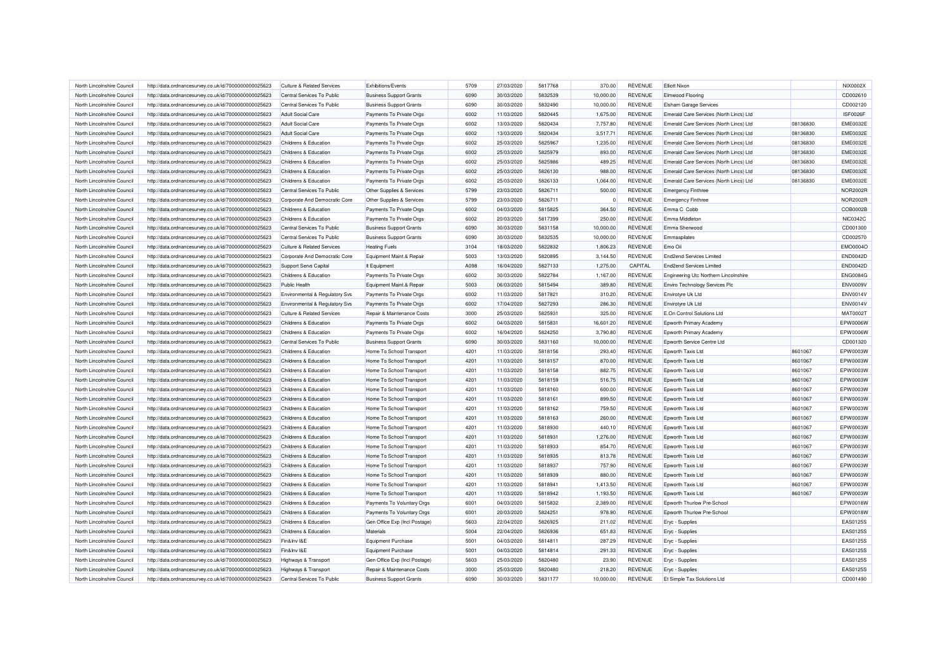| North Lincolnshire Council | http://data.ordnancesurvey.co.uk/id/7000000000025623 | Culture & Related Services                | Exhibitions/Events             | 5709 | 27/03/2020 | 5817768 | 370.00    | <b>REVENUE</b> | <b>Elliott Nixon</b>                    |          | NIX0002X        |
|----------------------------|------------------------------------------------------|-------------------------------------------|--------------------------------|------|------------|---------|-----------|----------------|-----------------------------------------|----------|-----------------|
| North Lincolnshire Council | http://data.ordnancesurvey.co.uk/id/7000000000025623 | Central Services To Public                | <b>Business Support Grants</b> | 6090 | 30/03/2020 | 5832539 | 10,000.00 | REVENUE        | <b>Elmwood Flooring</b>                 |          | CD002610        |
| North Lincolnshire Council | http://data.ordnancesurvey.co.uk/id/7000000000025623 | Central Services To Public                | <b>Business Support Grants</b> | 6090 | 30/03/2020 | 5832490 | 10,000.00 | <b>REVENUE</b> | <b>Elsham Garage Services</b>           |          | CD002120        |
| North Lincolnshire Council | http://data.ordnancesurvey.co.uk/id/7000000000025623 | <b>Adult Social Care</b>                  | Payments To Private Orgs       | 6002 | 11/03/2020 | 5820445 | 1,675.00  | REVENUE        | Emerald Care Services (North Lincs) Ltd |          | <b>ISF0026F</b> |
| North Lincolnshire Council | http://data.ordnancesurvey.co.uk/id/7000000000025623 | <b>Adult Social Care</b>                  | Payments To Private Orgs       | 6002 | 13/03/2020 | 5820434 | 7,757.80  | <b>REVENUE</b> | Emerald Care Services (North Lincs) Ltd | 08136830 | <b>EME0032E</b> |
| North Lincolnshire Council | http://data.ordnancesurvey.co.uk/id/7000000000025623 | <b>Adult Social Care</b>                  | Payments To Private Orgs       | 6002 | 13/03/2020 | 5820434 | 3,517.71  | REVENUE        | Emerald Care Services (North Lincs) Ltd | 08136830 | <b>EME0032E</b> |
| North Lincolnshire Council | http://data.ordnancesurvey.co.uk/id/7000000000025623 | Childrens & Education                     | Payments To Private Orgs       | 6002 | 25/03/2020 | 5825967 | 1,235.00  | <b>REVENUE</b> | Emerald Care Services (North Lincs) Ltd | 08136830 | <b>EME0032E</b> |
| North Lincolnshire Council | http://data.ordnancesurvey.co.uk/id/7000000000025623 | <b>Childrens &amp; Education</b>          | Payments To Private Orgs       | 6002 | 25/03/2020 | 5825979 | 893.00    | REVENUE        | Emerald Care Services (North Lincs) Ltd | 08136830 | <b>EME0032E</b> |
| North Lincolnshire Council | http://data.ordnancesurvey.co.uk/id/7000000000025623 | Childrens & Education                     | Payments To Private Orgs       | 6002 | 25/03/2020 | 5825986 | 489.25    | REVENUE        | Emerald Care Services (North Lincs) Ltd | 08136830 | <b>EME0032E</b> |
| North Lincolnshire Council | http://data.ordnancesurvey.co.uk/id/7000000000025623 | Childrens & Education                     | Payments To Private Orgs       | 6002 | 25/03/2020 | 5826130 | 988.00    | REVENUE        | Emerald Care Services (North Lincs) Ltd | 08136830 | <b>EME0032E</b> |
| North Lincolnshire Council | http://data.ordnancesurvey.co.uk/id/7000000000025623 | Childrens & Education                     | Payments To Private Orgs       | 6002 | 25/03/2020 | 5826133 | 1,064.00  | REVENUE        | Emerald Care Services (North Lincs) Ltd | 08136830 | <b>EME0032E</b> |
| North Lincolnshire Council | http://data.ordnancesurvey.co.uk/id/7000000000025623 | Central Services To Public                | Other Supplies & Services      | 5799 | 23/03/2020 | 5826711 | 500.00    | REVENUE        | <b>Emergency Finthree</b>               |          | <b>NOR2002F</b> |
| North Lincolnshire Council | http://data.ordnancesurvey.co.uk/id/7000000000025623 | Corporate And Democratic Core             | Other Supplies & Services      | 5799 | 23/03/2020 | 5826711 |           | REVENUE        | <b>Emergency Finthree</b>               |          | <b>NOR2002F</b> |
| North Lincolnshire Council | http://data.ordnancesurvey.co.uk/id/7000000000025623 | <b>Childrens &amp; Education</b>          | Payments To Private Orgs       | 6002 | 04/03/2020 | 5815825 | 364.50    | REVENUE        | Emma C Cobb                             |          | COB0002E        |
| North Lincolnshire Council | http://data.ordnancesurvey.co.uk/id/7000000000025623 | Childrens & Education                     | Payments To Private Orgs       | 6002 | 20/03/2020 | 5817399 | 250.00    | REVENUE        | Emma Middleton                          |          | <b>NIC0342C</b> |
| North Lincolnshire Council | http://data.ordnancesurvey.co.uk/id/7000000000025623 | Central Services To Public                | <b>Business Support Grants</b> | 6090 | 30/03/2020 | 5831158 | 10,000.00 | REVENUE        | Emma Sherwood                           |          | CD001300        |
| North Lincolnshire Council |                                                      |                                           |                                | 6090 | 30/03/2020 | 5832535 | 10,000.00 | REVENUE        |                                         |          | CD002570        |
|                            | http://data.ordnancesurvey.co.uk/id/7000000000025623 | Central Services To Public                | <b>Business Support Grants</b> | 3104 | 18/03/2020 | 5822832 |           | REVENUE        | Emmaspilates                            |          | EMO0004C        |
| North Lincolnshire Council | http://data.ordnancesurvey.co.uk/id/7000000000025623 | <b>Culture &amp; Related Services</b>     | <b>Heating Fuels</b>           |      |            |         | 1,806.23  |                | Emo Oil                                 |          |                 |
| North Lincolnshire Council | http://data.ordnancesurvey.co.uk/id/7000000000025623 | Corporate And Democratic Core             | Equipment Maint.& Repair       | 5003 | 13/03/2020 | 5820895 | 3,144.50  | <b>REVENUE</b> | <b>End2end Services Limited</b>         |          | <b>END0042D</b> |
| North Lincolnshire Council | http://data.ordnancesurvey.co.uk/id/7000000000025623 | Support Servs Capital                     | It Equipment                   | A098 | 16/04/2020 | 5827133 | 1,275.00  | CAPITAL        | End2end Services Limited                |          | <b>END0042D</b> |
| North Lincolnshire Council | http://data.ordnancesurvey.co.uk/id/7000000000025623 | Childrens & Education                     | Payments To Private Orgs       | 6002 | 30/03/2020 | 5822784 | 1,167.00  | <b>REVENUE</b> | Engineering Utc Northern Lincolnshire   |          | <b>ENG0084C</b> |
| North Lincolnshire Council | http://data.ordnancesurvey.co.uk/id/7000000000025623 | <b>Public Health</b>                      | Equipment Maint.& Repair       | 5003 | 06/03/2020 | 5815494 | 389.80    | REVENUE        | Enviro Technology Services Plo          |          | ENV0009V        |
| North Lincolnshire Council | http://data.ordnancesurvey.co.uk/id/7000000000025623 | <b>Environmental &amp; Regulatory Svs</b> | Payments To Private Orgs       | 6002 | 11/03/2020 | 5817821 | 310.20    | <b>REVENUE</b> | Envirotyre Uk Ltd                       |          | <b>ENV0014V</b> |
| North Lincolnshire Council | http://data.ordnancesurvey.co.uk/id/7000000000025623 | Environmental & Regulatory Svs            | Payments To Private Orgs       | 6002 | 17/04/2020 | 5827293 | 286.30    | REVENUE        | Envirotyre Uk Ltd                       |          | ENV0014V        |
| North Lincolnshire Council | http://data.ordnancesurvey.co.uk/id/7000000000025623 | <b>Culture &amp; Related Services</b>     | Repair & Maintenance Costs     | 3000 | 25/03/2020 | 5825931 | 325.00    | <b>REVENUE</b> | E.On Control Solutions Ltd              |          | <b>MAT0002T</b> |
| North Lincolnshire Council | http://data.ordnancesurvey.co.uk/id/7000000000025623 | Childrens & Education                     | Payments To Private Orgs       | 6002 | 04/03/2020 | 5815831 | 16,601.20 | REVENUE        | Epworth Primary Academy                 |          | EPW0006W        |
| North Lincolnshire Council | http://data.ordnancesurvey.co.uk/id/7000000000025623 | Childrens & Education                     | Payments To Private Orgs       | 6002 | 16/04/2020 | 5824250 | 3,790.80  | <b>REVENUE</b> | Epworth Primary Academy                 |          | EPW0006W        |
| North Lincolnshire Council | http://data.ordnancesurvey.co.uk/id/7000000000025623 | Central Services To Public                | <b>Business Support Grants</b> | 6090 | 30/03/2020 | 5831160 | 10,000.00 | REVENUE        | Epworth Service Centre Ltd              |          | CD001320        |
| North Lincolnshire Council | http://data.ordnancesurvey.co.uk/id/7000000000025623 | Childrens & Education                     | Home To School Transport       | 4201 | 11/03/2020 | 5818156 | 293.40    | <b>REVENUE</b> | Epworth Taxis Ltd                       | 8601067  | EPW0003W        |
| North Lincolnshire Council | http://data.ordnancesurvey.co.uk/id/7000000000025623 | Childrens & Education                     | Home To School Transport       | 4201 | 11/03/2020 | 5818157 | 870.00    | REVENUE        | Epworth Taxis Ltd                       | 8601067  | EPW0003W        |
| North Lincolnshire Council | http://data.ordnancesurvey.co.uk/id/7000000000025623 | Childrens & Education                     | Home To School Transport       | 4201 | 11/03/2020 | 5818158 | 882.75    | <b>REVENUE</b> | Epworth Taxis Ltd                       | 8601067  | EPW0003W        |
| North Lincolnshire Council | http://data.ordnancesurvey.co.uk/id/7000000000025623 | Childrens & Education                     | Home To School Transport       | 4201 | 11/03/2020 | 5818159 | 516.75    | REVENUE        | Epworth Taxis Ltd                       | 8601067  | EPW0003W        |
| North Lincolnshire Council | http://data.ordnancesurvey.co.uk/id/7000000000025623 | Childrens & Education                     | Home To School Transport       | 4201 | 11/03/2020 | 5818160 | 600.00    | <b>REVENUE</b> | Epworth Taxis Ltd                       | 8601067  | EPW0003W        |
| North Lincolnshire Council | http://data.ordnancesurvey.co.uk/id/7000000000025623 | Childrens & Education                     | Home To School Transport       | 4201 | 11/03/2020 | 5818161 | 899.50    | REVENUE        | Epworth Taxis Ltd                       | 8601067  | EPW0003W        |
| North Lincolnshire Council | http://data.ordnancesurvey.co.uk/id/7000000000025623 | Childrens & Education                     | Home To School Transport       | 4201 | 11/03/2020 | 5818162 | 759.50    | <b>REVENUE</b> | Epworth Taxis Ltd                       | 8601067  | EPW0003W        |
| North Lincolnshire Council | http://data.ordnancesurvey.co.uk/id/7000000000025623 | Childrens & Education                     | Home To School Transport       | 4201 | 11/03/2020 | 5818163 | 260.00    | REVENUE        | Epworth Taxis Ltd                       | 8601067  | EPW0003W        |
| North Lincolnshire Council | http://data.ordnancesurvey.co.uk/id/7000000000025623 | Childrens & Education                     | Home To School Transport       | 4201 | 11/03/2020 | 5818930 | 440.10    | <b>REVENUE</b> | Epworth Taxis Ltd                       | 8601067  | EPW0003W        |
| North Lincolnshire Council | http://data.ordnancesurvey.co.uk/id/7000000000025623 | Childrens & Education                     | Home To School Transport       | 4201 | 11/03/2020 | 5818931 | 1,276.00  | REVENUE        | Epworth Taxis Ltd                       | 8601067  | EPW0003W        |
| North Lincolnshire Council | http://data.ordnancesurvey.co.uk/id/7000000000025623 | Childrens & Education                     | Home To School Transport       | 4201 | 11/03/2020 | 5818933 | 854.70    | REVENUE        | Epworth Taxis Ltd                       | 8601067  | EPW0003W        |
| North Lincolnshire Council | http://data.ordnancesurvey.co.uk/id/7000000000025623 | Childrens & Education                     | Home To School Transport       | 4201 | 11/03/2020 | 5818935 | 813.78    | REVENUE        | Epworth Taxis Ltd                       | 8601067  | EPW0003W        |
| North Lincolnshire Council | http://data.ordnancesurvey.co.uk/id/7000000000025623 | Childrens & Education                     | Home To School Transport       | 4201 | 11/03/2020 | 5818937 | 757.90    | <b>REVENUE</b> | Epworth Taxis Ltd                       | 8601067  | EPW0003V        |
| North Lincolnshire Council | http://data.ordnancesurvey.co.uk/id/7000000000025623 | Childrens & Education                     | Home To School Transport       | 4201 | 11/03/2020 | 5818939 | 880.00    | <b>REVENUE</b> | Epworth Taxis Ltd                       | 8601067  | EPW0003W        |
| North Lincolnshire Council | http://data.ordnancesurvey.co.uk/id/7000000000025623 | Childrens & Education                     | Home To School Transport       | 4201 | 11/03/2020 | 5818941 | 1,413.50  | <b>REVENUE</b> | Epworth Taxis Ltd                       | 8601067  | EPW0003W        |
| North Lincolnshire Council | http://data.ordnancesurvey.co.uk/id/7000000000025623 | Childrens & Education                     | Home To School Transport       | 4201 | 11/03/2020 | 5818942 | 1,193.50  | REVENUE        | Epworth Taxis Ltd                       | 8601067  | EPW0003W        |
| North Lincolnshire Council | http://data.ordnancesurvey.co.uk/id/7000000000025623 | Childrens & Education                     | Payments To Voluntary Orgs     | 6001 | 04/03/2020 | 5815832 | 2,389.00  | <b>REVENUE</b> | Epworth Thurlow Pre-School              |          | EPW0018W        |
| North Lincolnshire Council | http://data.ordnancesurvey.co.uk/id/7000000000025623 | Childrens & Education                     | Payments To Voluntary Orgs     | 6001 | 20/03/2020 | 5824251 | 978.90    | <b>REVENUE</b> | Epworth Thurlow Pre-School              |          | EPW0018W        |
| North Lincolnshire Council | http://data.ordnancesurvey.co.uk/id/7000000000025623 | Childrens & Education                     | Gen Office Exp (Incl Postage)  | 5603 | 22/04/2020 | 5826925 | 211.02    | REVENUE        | Eryc - Supplies                         |          | EAS0125S        |
| North Lincolnshire Council | http://data.ordnancesurvey.co.uk/id/7000000000025623 | Childrens & Education                     | Materials                      | 5004 | 22/04/2020 | 5826936 | 651.83    | REVENUE        | Eryc - Supplies                         |          | EAS0125S        |
| North Lincolnshire Council | http://data.ordnancesurvey.co.uk/id/7000000000025623 | Fin&Inv I&E                               | <b>Equipment Purchase</b>      | 5001 | 04/03/2020 | 5814811 | 287.29    | <b>REVENUE</b> | Eryc - Supplies                         |          | EAS0125S        |
| North Lincolnshire Council | http://data.ordnancesurvey.co.uk/id/7000000000025623 | Fin&Inv I&E                               | <b>Equipment Purchase</b>      | 5001 | 04/03/2020 | 5814814 | 291.33    | REVENUE        | Eryc - Supplies                         |          | EAS0125S        |
| North Lincolnshire Council | http://data.ordnancesurvey.co.uk/id/7000000000025623 | Highways & Transport                      | Gen Office Exp (Incl Postage)  | 5603 | 25/03/2020 | 5820480 | 23.90     | <b>REVENUE</b> | Eryc - Supplies                         |          | EAS0125S        |
| North Lincolnshire Council | http://data.ordnancesurvey.co.uk/id/7000000000025623 | Highways & Transport                      | Repair & Maintenance Costs     | 3000 | 25/03/2020 | 5820480 | 218.20    | REVENUE        | Eryc - Supplies                         |          | EAS0125S        |
| North Lincolnshire Council | http://data.ordnancesurvey.co.uk/id/7000000000025623 | Central Services To Public                | <b>Business Support Grants</b> | 6090 | 30/03/2020 | 5831177 | 10,000.00 | <b>REVENUE</b> | Et Simple Tax Solutions Ltd             |          | CD001490        |
|                            |                                                      |                                           |                                |      |            |         |           |                |                                         |          |                 |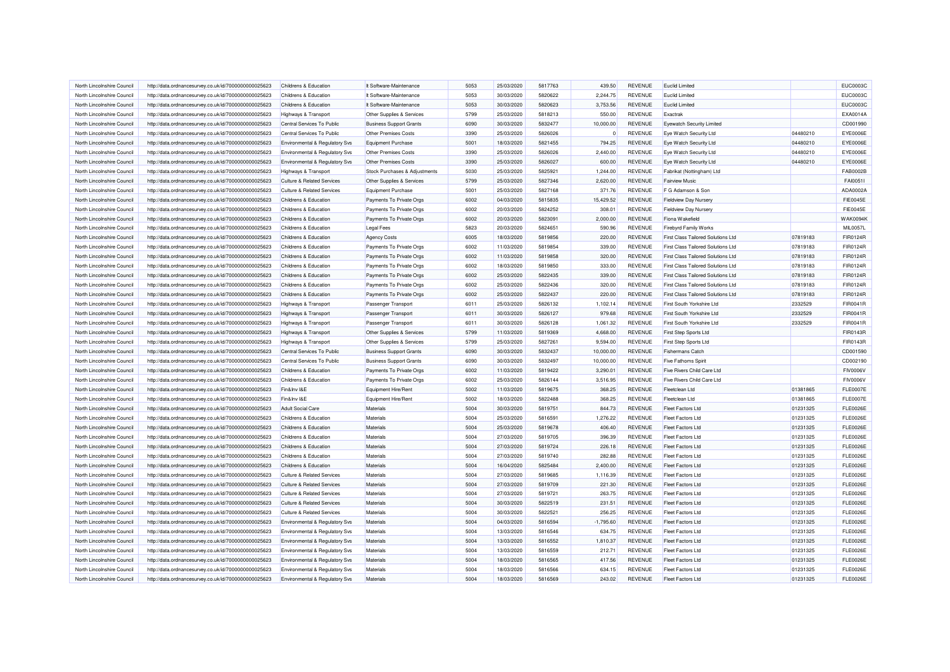| North Lincolnshire Council | http://data.ordnancesurvey.co.uk/id/7000000000025623 | Childrens & Education                     | It Software-Maintenance        | 5053 | 25/03/2020 | 5817763 | 439.50      | <b>REVENUE</b> | <b>Euclid Limited</b>                     |          | <b>EUC0003C</b> |
|----------------------------|------------------------------------------------------|-------------------------------------------|--------------------------------|------|------------|---------|-------------|----------------|-------------------------------------------|----------|-----------------|
| North Lincolnshire Council | http://data.ordnancesurvey.co.uk/id/7000000000025623 | Childrens & Education                     | It Software-Maintenance        | 5053 | 30/03/2020 | 5820622 | 2,244.75    | REVENUE        | <b>Euclid Limited</b>                     |          | <b>EUC0003C</b> |
| North Lincolnshire Council | http://data.ordnancesurvey.co.uk/id/7000000000025623 | Childrens & Education                     | It Software-Maintenance        | 5053 | 30/03/2020 | 5820623 | 3,753.56    | REVENUE        | <b>Euclid Limited</b>                     |          | <b>EUC0003C</b> |
| North Lincolnshire Council | http://data.ordnancesurvey.co.uk/id/7000000000025623 | Highways & Transport                      | Other Supplies & Services      | 5799 | 25/03/2020 | 5818213 | 550.00      | REVENUE        | Exactrak                                  |          | EXA0014A        |
| North Lincolnshire Council | http://data.ordnancesurvey.co.uk/id/7000000000025623 | Central Services To Public                | <b>Business Support Grants</b> | 6090 | 30/03/2020 | 5832477 | 10,000.00   | <b>REVENUE</b> | <b>Eyewatch Security Limited</b>          |          | CD001990        |
| North Lincolnshire Council | http://data.ordnancesurvey.co.uk/id/7000000000025623 | Central Services To Public                | Other Premises Costs           | 3390 | 25/03/2020 | 5826026 | $\Omega$    | REVENUE        | Eye Watch Security Ltd                    | 04480210 | <b>EYE0006E</b> |
| North Lincolnshire Council | http://data.ordnancesurvey.co.uk/id/7000000000025623 | Environmental & Regulatory Svs            | <b>Equipment Purchase</b>      | 5001 | 18/03/2020 | 5821455 | 794.25      | <b>REVENUE</b> | Eye Watch Security Ltd                    | 04480210 | EYE0006E        |
| North Lincolnshire Council | http://data.ordnancesurvey.co.uk/id/7000000000025623 | Environmental & Regulatory Svs            | <b>Other Premises Costs</b>    | 3390 | 25/03/2020 | 5826026 | 2,440.00    | <b>REVENUE</b> | Eye Watch Security Ltd                    | 04480210 | EYE0006E        |
| North Lincolnshire Council | http://data.ordnancesurvey.co.uk/id/7000000000025623 | Environmental & Regulatory Svs            | <b>Other Premises Costs</b>    | 3390 | 25/03/2020 | 5826027 | 600.00      | REVENUE        | Eye Watch Security Ltd                    | 04480210 | <b>EYE0006E</b> |
| North Lincolnshire Council | http://data.ordnancesurvey.co.uk/id/7000000000025623 | Highways & Transport                      | Stock Purchases & Adjustments  | 5030 | 25/03/2020 | 5825921 | 1,244.00    | REVENUE        | Fabrikat (Nottingham) Ltd                 |          | FAB0002B        |
| North Lincolnshire Council | http://data.ordnancesurvey.co.uk/id/7000000000025623 | <b>Culture &amp; Related Services</b>     | Other Supplies & Services      | 5799 | 25/03/2020 | 5827346 | 2,620.00    | REVENUE        | <b>Fairview Music</b>                     |          | FAI00511        |
| North Lincolnshire Council | http://data.ordnancesurvey.co.uk/id/7000000000025623 | Culture & Related Services                | Equipment Purchase             | 5001 | 25/03/2020 | 5827168 | 371.76      | REVENUE        | F G Adamson & Son                         |          | ADA0002A        |
| North Lincolnshire Council | http://data.ordnancesurvey.co.uk/id/7000000000025623 | Childrens & Education                     | Payments To Private Orgs       | 6002 | 04/03/2020 | 5815835 | 15,429.52   | REVENUE        | Fieldview Day Nursery                     |          | <b>FIE0045E</b> |
| North Lincolnshire Council | http://data.ordnancesurvey.co.uk/id/7000000000025623 | Childrens & Education                     | Payments To Private Orgs       | 6002 | 20/03/2020 | 5824252 | 308.01      | REVENUE        | Fieldview Day Nursery                     |          | FIE0045E        |
| North Lincolnshire Council | http://data.ordnancesurvey.co.uk/id/7000000000025623 | Childrens & Education                     | Payments To Private Orgs       | 6002 | 20/03/2020 | 5823091 | 2,000.00    | <b>REVENUE</b> | Fiona Wakefield                           |          | <b>WAK0094F</b> |
| North Lincolnshire Council | http://data.ordnancesurvey.co.uk/id/7000000000025623 | Childrens & Education                     | <b>Legal Fees</b>              | 5823 | 20/03/2020 | 5824651 | 590.96      | <b>REVENUE</b> | <b>Firebyrd Family Works</b>              |          | <b>MIL0057L</b> |
| North Lincolnshire Council | http://data.ordnancesurvey.co.uk/id/7000000000025623 | Childrens & Education                     | <b>Agency Costs</b>            | 6005 | 18/03/2020 | 5819856 | 220.00      | <b>REVENUE</b> | <b>First Class Tailored Solutions Ltd</b> | 07819183 | FIR0124R        |
| North Lincolnshire Council | http://data.ordnancesurvey.co.uk/id/7000000000025623 | Childrens & Education                     | Payments To Private Orgs       | 6002 | 11/03/2020 | 5819854 | 339.00      | REVENUE        | First Class Tailored Solutions Ltd        | 07819183 | FIR0124R        |
| North Lincolnshire Council |                                                      | Childrens & Education                     | Payments To Private Orgs       | 6002 | 11/03/2020 | 5819858 | 320.00      | <b>REVENUE</b> | <b>First Class Tailored Solutions Ltd</b> | 07819183 | FIR0124R        |
| North Lincolnshire Council | http://data.ordnancesurvey.co.uk/id/7000000000025623 | Childrens & Education                     |                                | 6002 | 18/03/2020 | 5819850 | 333.00      | REVENUE        | <b>First Class Tailored Solutions Ltd</b> | 07819183 | FIR0124R        |
| North Lincolnshire Council | http://data.ordnancesurvey.co.uk/id/7000000000025623 | Childrens & Education                     | Payments To Private Orgs       | 6002 | 25/03/2020 | 5822435 | 339.00      | <b>REVENUE</b> | <b>First Class Tailored Solutions Ltd</b> |          | <b>FIR0124R</b> |
|                            | http://data.ordnancesurvey.co.uk/id/7000000000025623 |                                           | Payments To Private Orgs       |      |            |         |             |                |                                           | 07819183 |                 |
| North Lincolnshire Council | http://data.ordnancesurvey.co.uk/id/7000000000025623 | Childrens & Education                     | Payments To Private Orgs       | 6002 | 25/03/2020 | 5822436 | 320.00      | REVENUE        | <b>First Class Tailored Solutions Ltd</b> | 07819183 | FIR0124R        |
| North Lincolnshire Council | http://data.ordnancesurvey.co.uk/id/7000000000025623 | Childrens & Education                     | Payments To Private Orgs       | 6002 | 25/03/2020 | 5822437 | 220.00      | <b>REVENUE</b> | <b>First Class Tailored Solutions Ltd</b> | 07819183 | <b>FIR0124R</b> |
| North Lincolnshire Council | http://data.ordnancesurvey.co.uk/id/7000000000025623 | Highways & Transport                      | <b>Passenger Transport</b>     | 6011 | 25/03/2020 | 5826132 | 1,102.14    | REVENUE        | First South Yorkshire Ltd                 | 2332529  | FIR0041R        |
| North Lincolnshire Council | http://data.ordnancesurvey.co.uk/id/7000000000025623 | Highways & Transport                      | Passenger Transport            | 6011 | 30/03/2020 | 5826127 | 979.68      | <b>REVENUE</b> | First South Yorkshire Ltd                 | 2332529  | FIR0041R        |
| North Lincolnshire Council | http://data.ordnancesurvey.co.uk/id/7000000000025623 | Highways & Transport                      | <b>Passenger Transport</b>     | 6011 | 30/03/2020 | 5826128 | 1,061.32    | <b>REVENUE</b> | First South Yorkshire Ltd                 | 2332529  | FIR0041R        |
| North Lincolnshire Council | http://data.ordnancesurvey.co.uk/id/7000000000025623 | Highways & Transport                      | Other Supplies & Services      | 5799 | 11/03/2020 | 5819369 | 4,668.00    | <b>REVENUE</b> | First Step Sports Ltd                     |          | <b>FIR0143R</b> |
| North Lincolnshire Council | http://data.ordnancesurvey.co.uk/id/7000000000025623 | Highways & Transport                      | Other Supplies & Services      | 5799 | 25/03/2020 | 5827261 | 9,594.00    | REVENUE        | First Step Sports Ltd                     |          | FIR0143R        |
| North Lincolnshire Council | http://data.ordnancesurvey.co.uk/id/7000000000025623 | Central Services To Public                | <b>Business Support Grants</b> | 6090 | 30/03/2020 | 5832437 | 10,000.00   | <b>REVENUE</b> | <b>Fishermans Catch</b>                   |          | CD001590        |
| North Lincolnshire Council | http://data.ordnancesurvey.co.uk/id/7000000000025623 | Central Services To Public                | <b>Business Support Grants</b> | 6090 | 30/03/2020 | 5832497 | 10,000.00   | REVENUE        | <b>Five Fathoms Spirit</b>                |          | CD002190        |
| North Lincolnshire Council | http://data.ordnancesurvey.co.uk/id/7000000000025623 | Childrens & Education                     | Payments To Private Orgs       | 6002 | 11/03/2020 | 5819422 | 3,290.01    | REVENUE        | Five Rivers Child Care Ltd                |          | <b>FIV0006V</b> |
| North Lincolnshire Council | http://data.ordnancesurvey.co.uk/id/7000000000025623 | Childrens & Education                     | Payments To Private Orgs       | 6002 | 25/03/2020 | 5826144 | 3,516.95    | REVENUE        | Five Rivers Child Care Ltd                |          | <b>FIV0006V</b> |
| North Lincolnshire Council | http://data.ordnancesurvey.co.uk/id/7000000000025623 | Fin&Inv I&E                               | Equipment Hire/Rent            | 5002 | 11/03/2020 | 5819675 | 368.25      | <b>REVENUE</b> | Fleetclean I td                           | 01381865 | <b>FLE0007E</b> |
| North Lincolnshire Council | http://data.ordnancesurvey.co.uk/id/7000000000025623 | Fin&Inv I&E                               | Equipment Hire/Rent            | 5002 | 18/03/2020 | 5822488 | 368.25      | REVENUE        | Fleetclean I td                           | 01381865 | <b>FLE0007E</b> |
| North Lincolnshire Council | http://data.ordnancesurvey.co.uk/id/7000000000025623 | <b>Adult Social Care</b>                  | Materials                      | 5004 | 30/03/2020 | 5819751 | 844.73      | <b>REVENUE</b> | <b>Fleet Factors Ltd</b>                  | 01231325 | <b>FLE0026E</b> |
| North Lincolnshire Council | http://data.ordnancesurvey.co.uk/id/7000000000025623 | Childrens & Education                     | Materials                      | 5004 | 25/03/2020 | 5816591 | 1,276.22    | <b>REVENUE</b> | <b>Fleet Factors Ltd</b>                  | 01231325 | <b>FLE0026E</b> |
| North Lincolnshire Council | http://data.ordnancesurvey.co.uk/id/7000000000025623 | Childrens & Education                     | Materials                      | 5004 | 25/03/2020 | 5819678 | 406.40      | <b>REVENUE</b> | <b>Fleet Factors Ltd</b>                  | 01231325 | <b>FLE0026E</b> |
| North Lincolnshire Council | http://data.ordnancesurvey.co.uk/id/7000000000025623 | Childrens & Education                     | Materials                      | 5004 | 27/03/2020 | 5819705 | 396.39      | REVENUE        | <b>Fleet Factors Ltd</b>                  | 01231325 | <b>FLE0026E</b> |
| North Lincolnshire Council | http://data.ordnancesurvey.co.uk/id/7000000000025623 | Childrens & Education                     | Materials                      | 5004 | 27/03/2020 | 5819724 | 226.18      | <b>REVENUE</b> | <b>Fleet Factors Ltd</b>                  | 01231325 | <b>FLE0026E</b> |
| North Lincolnshire Council | http://data.ordnancesurvey.co.uk/id/7000000000025623 | Childrens & Education                     | Materials                      | 5004 | 27/03/2020 | 5819740 | 282.88      | REVENUE        | <b>Fleet Factors Ltd</b>                  | 01231325 | <b>FLE0026E</b> |
| North Lincolnshire Council | http://data.ordnancesurvey.co.uk/id/7000000000025623 | Childrens & Education                     | Materials                      | 5004 | 16/04/2020 | 5825484 | 2,400.00    | <b>REVENUE</b> | <b>Fleet Factors Ltd</b>                  | 01231325 | <b>FLE0026E</b> |
| North Lincolnshire Council | http://data.ordnancesurvey.co.uk/id/7000000000025623 | <b>Culture &amp; Related Services</b>     | Materials                      | 5004 | 27/03/2020 | 5819685 | 1,116.39    | <b>REVENUE</b> | <b>Fleet Factors Ltd</b>                  | 01231325 | <b>FLE0026E</b> |
| North Lincolnshire Council | http://data.ordnancesurvey.co.uk/id/7000000000025623 | <b>Culture &amp; Related Services</b>     | Materials                      | 5004 | 27/03/2020 | 5819709 | 221.30      | <b>REVENUE</b> | <b>Fleet Factors Ltd</b>                  | 01231325 | <b>FLE0026E</b> |
| North Lincolnshire Council | http://data.ordnancesurvey.co.uk/id/7000000000025623 | <b>Culture &amp; Related Services</b>     | Materials                      | 5004 | 27/03/2020 | 5819721 | 263.75      | REVENUE        | <b>Fleet Factors Ltd</b>                  | 01231325 | <b>FLE0026E</b> |
| North Lincolnshire Council | http://data.ordnancesurvey.co.uk/id/7000000000025623 | <b>Culture &amp; Related Services</b>     | Materials                      | 5004 | 30/03/2020 | 5822519 | 231.51      | <b>REVENUE</b> | <b>Fleet Factors Ltd</b>                  | 01231325 | <b>FLE0026E</b> |
| North Lincolnshire Council | http://data.ordnancesurvey.co.uk/id/7000000000025623 | <b>Culture &amp; Related Services</b>     | Materials                      | 5004 | 30/03/2020 | 5822521 | 256.25      | <b>REVENUE</b> | <b>Fleet Factors Ltd</b>                  | 01231325 | <b>FLE0026E</b> |
| North Lincolnshire Council | http://data.ordnancesurvey.co.uk/id/7000000000025623 | Environmental & Regulatory Svs            | Materials                      | 5004 | 04/03/2020 | 5816594 | $-1,795.60$ | <b>REVENUE</b> | <b>Fleet Factors Ltd</b>                  | 01231325 | <b>FLE0026E</b> |
| North Lincolnshire Council | http://data.ordnancesurvey.co.uk/id/7000000000025623 | Environmental & Regulatory Svs            | Materials                      | 5004 | 13/03/2020 | 5816546 | 634.75      | REVENUE        | <b>Fleet Factors Ltd</b>                  | 01231325 | <b>FLE0026E</b> |
| North Lincolnshire Council | http://data.ordnancesurvey.co.uk/id/7000000000025623 | Environmental & Regulatory Svs            | Materials                      | 5004 | 13/03/2020 | 5816552 | 1,810.37    | <b>REVENUE</b> | <b>Fleet Factors Ltd</b>                  | 01231325 | <b>FLE0026E</b> |
| North Lincolnshire Council | http://data.ordnancesurvey.co.uk/id/7000000000025623 | Environmental & Regulatory Svs            | Materials                      | 5004 | 13/03/2020 | 5816559 | 212.71      | REVENUE        | <b>Fleet Factors Ltd</b>                  | 01231325 | <b>FLE0026E</b> |
| North Lincolnshire Council | http://data.ordnancesurvey.co.uk/id/7000000000025623 | Environmental & Regulatory Svs            | Materials                      | 5004 | 18/03/2020 | 5816565 | 417.56      | <b>REVENUE</b> | <b>Fleet Factors Ltd</b>                  | 01231325 | <b>FLE0026E</b> |
| North Lincolnshire Council | http://data.ordnancesurvey.co.uk/id/7000000000025623 | Environmental & Regulatory Svs            | Materials                      | 5004 | 18/03/2020 | 5816566 | 634.15      | <b>REVENUE</b> | <b>Fleet Factors Ltd</b>                  | 01231325 | <b>FLE0026E</b> |
| North Lincolnshire Council | http://data.ordnancesurvey.co.uk/id/7000000000025623 | <b>Environmental &amp; Regulatory Svs</b> | Materials                      | 5004 | 18/03/2020 | 5816569 | 243.02      | <b>REVENUE</b> | <b>Fleet Factors Ltd</b>                  | 01231325 | <b>FLE0026E</b> |
|                            |                                                      |                                           |                                |      |            |         |             |                |                                           |          |                 |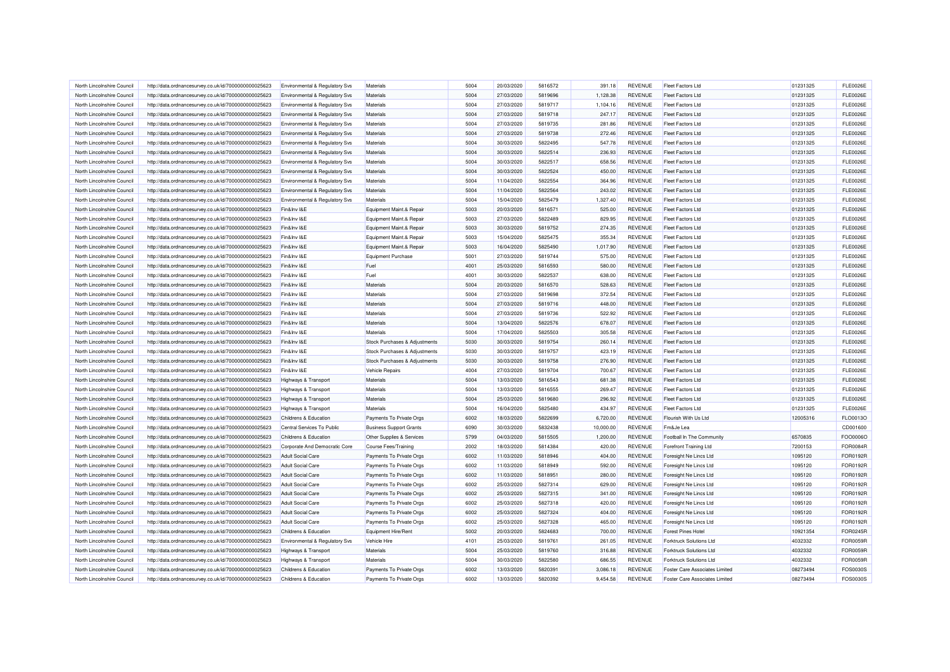| North Lincolnshire Council | http://data.ordnancesurvey.co.uk/id/7000000000025623 | <b>Environmental &amp; Regulatory Svs</b> | Materials                      | 5004 | 20/03/2020 | 5816572 | 391.18    | <b>REVENUE</b> | <b>Fleet Factors Ltd</b>              | 01231325 | <b>FLE0026E</b> |
|----------------------------|------------------------------------------------------|-------------------------------------------|--------------------------------|------|------------|---------|-----------|----------------|---------------------------------------|----------|-----------------|
| North Lincolnshire Council | http://data.ordnancesurvey.co.uk/id/7000000000025623 | Environmental & Regulatory Svs            | Materials                      | 5004 | 27/03/2020 | 5819696 | 1,128.38  | <b>REVENUE</b> | <b>Fleet Factors Ltd</b>              | 01231325 | <b>FLE0026E</b> |
| North Lincolnshire Council | http://data.ordnancesurvey.co.uk/id/7000000000025623 | Environmental & Regulatory Svs            | Materials                      | 5004 | 27/03/2020 | 5819717 | 1,104.16  | <b>REVENUE</b> | <b>Fleet Factors Ltd</b>              | 01231325 | <b>FLE0026E</b> |
|                            |                                                      |                                           |                                |      |            |         |           |                |                                       |          | <b>FLE0026E</b> |
| North Lincolnshire Council | http://data.ordnancesurvey.co.uk/id/7000000000025623 | Environmental & Regulatory Svs            | Materials                      | 5004 | 27/03/2020 | 5819718 | 247.17    | <b>REVENUE</b> | <b>Fleet Factors Ltd</b>              | 01231325 |                 |
| North Lincolnshire Council | http://data.ordnancesurvey.co.uk/id/7000000000025623 | Environmental & Regulatory Svs            | Materials                      | 5004 | 27/03/2020 | 5819735 | 281.86    | REVENUE        | <b>Fleet Factors Ltd</b>              | 01231325 | <b>FLE0026E</b> |
| North Lincolnshire Council | http://data.ordnancesurvey.co.uk/id/7000000000025623 | Environmental & Regulatory Svs            | Materials                      | 5004 | 27/03/2020 | 5819738 | 272.46    | REVENUE        | <b>Fleet Factors Ltd</b>              | 01231325 | <b>FLE0026E</b> |
| North Lincolnshire Council | http://data.ordnancesurvey.co.uk/id/7000000000025623 | Environmental & Regulatory Svs            | Materials                      | 5004 | 30/03/2020 | 5822495 | 547.78    | <b>REVENUE</b> | <b>Fleet Factors Ltd</b>              | 01231325 | <b>FLE0026E</b> |
| North Lincolnshire Council | http://data.ordnancesurvey.co.uk/id/7000000000025623 | Environmental & Regulatory Svs            | Materials                      | 5004 | 30/03/2020 | 5822514 | 236.93    | <b>REVENUE</b> | <b>Fleet Factors Ltd</b>              | 01231325 | <b>FLE0026E</b> |
| North Lincolnshire Council | http://data.ordnancesurvey.co.uk/id/7000000000025623 | Environmental & Regulatory Svs            | Materials                      | 5004 | 30/03/2020 | 5822517 | 658.56    | <b>REVENUE</b> | <b>Fleet Factors Ltd</b>              | 01231325 | <b>FLE0026E</b> |
| North Lincolnshire Council | http://data.ordnancesurvey.co.uk/id/7000000000025623 | Environmental & Regulatory Svs            | Materials                      | 5004 | 30/03/2020 | 5822524 | 450.00    | REVENUE        | <b>Fleet Factors Ltd</b>              | 01231325 | <b>FLE0026E</b> |
| North Lincolnshire Council | http://data.ordnancesurvey.co.uk/id/7000000000025623 | Environmental & Regulatory Svs            | Materials                      | 5004 | 11/04/2020 | 5822554 | 364.96    | REVENUE        | <b>Fleet Factors Ltd</b>              | 01231325 | <b>FLE0026E</b> |
| North Lincolnshire Council | http://data.ordnancesurvey.co.uk/id/7000000000025623 | Environmental & Regulatory Svs            | Materials                      | 5004 | 11/04/2020 | 5822564 | 243.02    | REVENUE        | <b>Fleet Factors Ltd</b>              | 01231325 | <b>FLE0026E</b> |
| North Lincolnshire Council | http://data.ordnancesurvey.co.uk/id/7000000000025623 | Environmental & Regulatory Svs            | Materials                      | 5004 | 15/04/2020 | 5825479 | 1,327.40  | REVENUE        | <b>Fleet Factors Ltd</b>              | 01231325 | <b>FLE0026E</b> |
| North Lincolnshire Council | http://data.ordnancesurvey.co.uk/id/7000000000025623 | Fin&Inv I&E                               | Equipment Maint.& Repair       | 5003 | 20/03/2020 | 5816571 | 525.00    | REVENUE        | <b>Fleet Factors Ltd</b>              | 01231325 | <b>FLE0026E</b> |
| North Lincolnshire Council | http://data.ordnancesurvey.co.uk/id/7000000000025623 | Fin&Inv I&E                               | Equipment Maint.& Repair       | 5003 | 27/03/2020 | 5822489 | 829.95    | REVENUE        | <b>Fleet Factors Ltd</b>              | 01231325 | <b>FLE0026E</b> |
| North Lincolnshire Council | http://data.ordnancesurvey.co.uk/id/7000000000025623 | Fin&Inv I&E                               | Equipment Maint.& Repair       | 5003 | 30/03/2020 | 5819752 | 274.35    | REVENUE        | <b>Fleet Factors Ltd</b>              | 01231325 | <b>FLE0026E</b> |
| North Lincolnshire Council | http://data.ordnancesurvey.co.uk/id/7000000000025623 | Fin&Inv I&E                               | Equipment Maint.& Repair       | 5003 | 15/04/2020 | 5825475 | 355.34    | <b>REVENUE</b> | <b>Fleet Factors Ltd</b>              | 01231325 | <b>FLE0026E</b> |
| North Lincolnshire Council | http://data.ordnancesurvey.co.uk/id/7000000000025623 | Fin&Inv I&E                               | Equipment Maint.& Repair       | 5003 | 16/04/2020 | 5825490 | 1,017.90  | <b>REVENUE</b> | <b>Fleet Factors Ltd</b>              | 01231325 | <b>FLE0026E</b> |
| North Lincolnshire Council | http://data.ordnancesurvey.co.uk/id/7000000000025623 | Fin&Inv I&E                               | Equipment Purchase             | 5001 | 27/03/2020 | 5819744 | 575.00    | REVENUE        | <b>Fleet Factors Ltd</b>              | 01231325 | <b>FLE0026E</b> |
| North Lincolnshire Council | http://data.ordnancesurvey.co.uk/id/7000000000025623 | Fin&Inv I&E                               | Fuel                           | 4001 | 25/03/2020 | 5816593 | 580.00    | REVENUE        | <b>Fleet Factors Ltd</b>              | 01231325 | <b>FLE0026E</b> |
| North Lincolnshire Council | http://data.ordnancesurvey.co.uk/id/7000000000025623 | Fin&Inv I&E                               | Fuel                           | 4001 | 30/03/2020 | 5822537 | 638.00    | <b>REVENUE</b> | <b>Fleet Factors Ltd</b>              | 01231325 | <b>FLE0026E</b> |
| North Lincolnshire Council | http://data.ordnancesurvey.co.uk/id/7000000000025623 | Fin&Inv I&E                               | Materials                      | 5004 | 20/03/2020 | 5816570 | 528.63    | REVENUE        | <b>Fleet Factors Ltd</b>              | 01231325 | <b>FLE0026E</b> |
| North Lincolnshire Council | http://data.ordnancesurvey.co.uk/id/7000000000025623 | Fin&Inv I&E                               | Materials                      | 5004 | 27/03/2020 | 5819698 | 372.54    | REVENUE        | <b>Fleet Factors Ltd</b>              | 01231325 | <b>FLE0026E</b> |
| North Lincolnshire Council | http://data.ordnancesurvey.co.uk/id/7000000000025623 | Fin&Inv I&E                               | Materials                      | 5004 | 27/03/2020 | 5819716 | 448.00    | <b>REVENUE</b> | <b>Fleet Factors Ltd</b>              | 01231325 | <b>FLE0026E</b> |
| North Lincolnshire Council |                                                      | Fin&Inv I&E                               | Materials                      | 5004 | 27/03/2020 | 5819736 | 522.92    | REVENUE        | <b>Fleet Factors Ltd</b>              | 01231325 | <b>FLE0026E</b> |
|                            | http://data.ordnancesurvey.co.uk/id/7000000000025623 |                                           |                                |      |            |         |           |                |                                       |          |                 |
| North Lincolnshire Council | http://data.ordnancesurvey.co.uk/id/7000000000025623 | Fin&Inv I&E                               | Materials                      | 5004 | 13/04/2020 | 5822576 | 678.07    | REVENUE        | <b>Fleet Factors Ltd</b>              | 01231325 | <b>FLE0026E</b> |
| North Lincolnshire Council | http://data.ordnancesurvey.co.uk/id/7000000000025623 | Fin&Inv I&E                               | Materials                      | 5004 | 17/04/2020 | 5825503 | 305.58    | REVENUE        | <b>Fleet Factors Ltd</b>              | 01231325 | <b>FLE0026E</b> |
| North Lincolnshire Council | http://data.ordnancesurvey.co.uk/id/7000000000025623 | Fin&Inv I&E                               | Stock Purchases & Adjustments  | 5030 | 30/03/2020 | 5819754 | 260.14    | <b>REVENUE</b> | <b>Fleet Factors Ltd</b>              | 01231325 | <b>FLE0026E</b> |
| North Lincolnshire Council | http://data.ordnancesurvey.co.uk/id/7000000000025623 | Fin&Inv I&E                               | Stock Purchases & Adjustments  | 5030 | 30/03/2020 | 5819757 | 423.19    | <b>REVENUE</b> | <b>Fleet Factors Ltd</b>              | 01231325 | <b>FLE0026E</b> |
| North Lincolnshire Council | http://data.ordnancesurvey.co.uk/id/7000000000025623 | Fin&Inv I&E                               | Stock Purchases & Adjustments  | 5030 | 30/03/2020 | 5819758 | 276.90    | REVENUE        | <b>Fleet Factors Ltd</b>              | 01231325 | <b>FLE0026E</b> |
| North Lincolnshire Council | http://data.ordnancesurvey.co.uk/id/7000000000025623 | Fin&Inv I&E                               | Vehicle Repairs                | 4004 | 27/03/2020 | 5819704 | 700.67    | REVENUE        | <b>Fleet Factors Ltd</b>              | 01231325 | <b>FLE0026E</b> |
| North Lincolnshire Council | http://data.ordnancesurvey.co.uk/id/7000000000025623 | <b>Highways &amp; Transport</b>           | Materials                      | 5004 | 13/03/2020 | 5816543 | 681.38    | <b>REVENUE</b> | <b>Fleet Factors Ltd</b>              | 01231325 | <b>FLE0026E</b> |
| North Lincolnshire Council | http://data.ordnancesurvey.co.uk/id/7000000000025623 | Highways & Transport                      | Materials                      | 5004 | 13/03/2020 | 5816555 | 269.47    | REVENUE        | <b>Fleet Factors Ltd</b>              | 01231325 | <b>FLE0026E</b> |
| North Lincolnshire Council | http://data.ordnancesurvey.co.uk/id/7000000000025623 | <b>Highways &amp; Transport</b>           | Materials                      | 5004 | 25/03/2020 | 5819680 | 296.92    | <b>REVENUE</b> | <b>Fleet Factors Ltd</b>              | 01231325 | <b>FLE0026E</b> |
| North Lincolnshire Council | http://data.ordnancesurvey.co.uk/id/7000000000025623 | <b>Highways &amp; Transport</b>           | Materials                      | 5004 | 16/04/2020 | 5825480 | 434.97    | REVENUE        | <b>Fleet Factors Ltd</b>              | 01231325 | <b>FLE0026E</b> |
| North Lincolnshire Council | http://data.ordnancesurvey.co.uk/id/7000000000025623 | Childrens & Education                     | Payments To Private Orgs       | 6002 | 18/03/2020 | 5822699 | 6,720.00  | REVENUE        | Flourish With Us Ltd                  | 12005316 | FLO0013O        |
| North Lincolnshire Council | http://data.ordnancesurvey.co.uk/id/7000000000025623 | Central Services To Public                | <b>Business Support Grants</b> | 6090 | 30/03/2020 | 5832438 | 10,000.00 | REVENUE        | Fm&Je Lea                             |          | CD001600        |
| North Lincolnshire Council | http://data.ordnancesurvey.co.uk/id/7000000000025623 | <b>Childrens &amp; Education</b>          | Other Supplies & Services      | 5799 | 04/03/2020 | 5815505 | 1,200.00  | REVENUE        | Football In The Community             | 6570835  | FOO0006O        |
| North Lincolnshire Council | http://data.ordnancesurvey.co.uk/id/7000000000025623 | Corporate And Democratic Core             | Course Fees/Training           | 2002 | 18/03/2020 | 5814384 | 420.00    | REVENUE        | <b>Forefront Training Ltd</b>         | 7200153  | FOR0084R        |
| North Lincolnshire Council | http://data.ordnancesurvey.co.uk/id/7000000000025623 | <b>Adult Social Care</b>                  | Payments To Private Orgs       | 6002 | 11/03/2020 | 5818946 | 404.00    | REVENUE        | Foresight Ne Lincs Ltd                | 1095120  | FOR0192R        |
| North Lincolnshire Council | http://data.ordnancesurvey.co.uk/id/7000000000025623 | <b>Adult Social Care</b>                  | Payments To Private Orgs       | 6002 | 11/03/2020 | 5818949 | 592.00    | REVENUE        | Foresight Ne Lincs Ltd                | 1095120  | FOR0192R        |
| North Lincolnshire Council | http://data.ordnancesurvey.co.uk/id/7000000000025623 | <b>Adult Social Care</b>                  | Payments To Private Orgs       | 6002 | 11/03/2020 | 5818951 | 280.00    | <b>REVENUE</b> | Foresight Ne Lincs Ltd                | 1095120  | FOR0192R        |
| North Lincolnshire Council | http://data.ordnancesurvey.co.uk/id/7000000000025623 | <b>Adult Social Care</b>                  | Payments To Private Orgs       | 6002 | 25/03/2020 | 5827314 | 629.00    | <b>REVENUE</b> | Foresight Ne Lincs Ltd                | 1095120  | FOR0192R        |
| North Lincolnshire Council | http://data.ordnancesurvey.co.uk/id/7000000000025623 | <b>Adult Social Care</b>                  | Payments To Private Orgs       | 6002 | 25/03/2020 | 5827315 | 341.00    | <b>REVENUE</b> | Foresight Ne Lincs Ltd                | 1095120  | FOR0192R        |
| North Lincolnshire Council | http://data.ordnancesurvey.co.uk/id/7000000000025623 | <b>Adult Social Care</b>                  | Payments To Private Orgs       | 6002 | 25/03/2020 | 5827318 | 420.00    | REVENUE        | Foresight Ne Lincs Ltd                | 1095120  | FOR0192R        |
| North Lincolnshire Council | http://data.ordnancesurvey.co.uk/id/7000000000025623 | <b>Adult Social Care</b>                  | Payments To Private Orgs       | 6002 | 25/03/2020 | 5827324 | 404.00    | REVENUE        | Foresight Ne Lincs Ltd                | 1095120  | FOR0192R        |
| North Lincolnshire Council | http://data.ordnancesurvey.co.uk/id/7000000000025623 | <b>Adult Social Care</b>                  | Payments To Private Orgs       | 6002 | 25/03/2020 | 5827328 | 465.00    | <b>REVENUE</b> | Foresight Ne Lincs Ltd                | 1095120  | FOR0192R        |
| North Lincolnshire Council | http://data.ordnancesurvey.co.uk/id/7000000000025623 | Childrens & Education                     | Equipment Hire/Rent            | 5002 | 20/03/2020 | 5824683 | 700.00    | REVENUE        | Forest Pines Hotel                    | 10921354 | FOR0245R        |
|                            |                                                      |                                           |                                |      |            |         |           |                |                                       |          |                 |
| North Lincolnshire Council | http://data.ordnancesurvey.co.uk/id/7000000000025623 | Environmental & Regulatory Svs            | Vehicle Hire                   | 4101 | 25/03/2020 | 5819761 | 261.05    | <b>REVENUE</b> | <b>Forktruck Solutions Ltd</b>        | 4032332  | FOR0059R        |
| North Lincolnshire Council | http://data.ordnancesurvey.co.uk/id/7000000000025623 | Highways & Transport                      | Materials                      | 5004 | 25/03/2020 | 5819760 | 316.88    | REVENUE        | <b>Forktruck Solutions Ltd</b>        | 4032332  | FOR0059R        |
| North Lincolnshire Council | http://data.ordnancesurvey.co.uk/id/7000000000025623 | Highways & Transport                      | Materials                      | 5004 | 30/03/2020 | 5822580 | 686.55    | <b>REVENUE</b> | <b>Forktruck Solutions Ltd</b>        | 4032332  | FOR0059R        |
| North Lincolnshire Council | http://data.ordnancesurvey.co.uk/id/7000000000025623 | Childrens & Education                     | Payments To Private Orgs       | 6002 | 13/03/2020 | 5820391 | 3,086.18  | REVENUE        | <b>Foster Care Associates Limited</b> | 08273494 | FOS0030S        |
| North Lincolnshire Council | http://data.ordnancesurvey.co.uk/id/7000000000025623 | Childrens & Education                     | Payments To Private Orgs       | 6002 | 13/03/2020 | 5820392 | 9.454.58  | <b>REVENUE</b> | Foster Care Associates Limited        | 08273494 | FOS0030S        |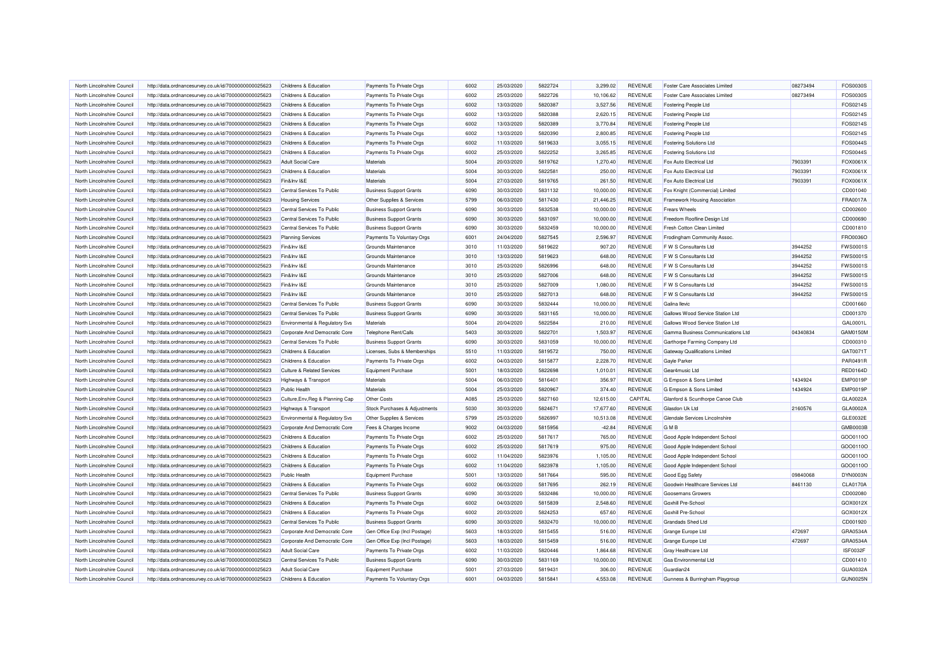| North Lincolnshire Council                               | http://data.ordnancesurvey.co.uk/id/7000000000025623 | Childrens & Education                 | Payments To Private Orgs       | 6002         | 25/03/2020 | 5822724            | 3,299.02  | <b>REVENUE</b>                   | <b>Foster Care Associates Limited</b> | 08273494 | FOS0030S        |
|----------------------------------------------------------|------------------------------------------------------|---------------------------------------|--------------------------------|--------------|------------|--------------------|-----------|----------------------------------|---------------------------------------|----------|-----------------|
| North Lincolnshire Council                               | http://data.ordnancesurvey.co.uk/id/7000000000025623 | <b>Childrens &amp; Education</b>      | Payments To Private Orgs       | 6002         | 25/03/2020 | 5822726            | 10,106.62 | REVENUE                          | <b>Foster Care Associates Limited</b> | 08273494 | FOS0030S        |
| North Lincolnshire Council                               | http://data.ordnancesurvey.co.uk/id/7000000000025623 | Childrens & Education                 | Payments To Private Orgs       | 6002         | 13/03/2020 | 5820387            | 3,527.56  | REVENUE                          | Fostering People Ltd                  |          | FOS0214S        |
| North Lincolnshire Council                               | http://data.ordnancesurvey.co.uk/id/7000000000025623 | Childrens & Education                 | Payments To Private Orgs       | 6002         | 13/03/2020 | 5820388            | 2,620.15  | REVENUE                          | <b>Fostering People Ltd</b>           |          | FOS0214S        |
| North Lincolnshire Council                               | http://data.ordnancesurvey.co.uk/id/7000000000025623 | Childrens & Education                 | Payments To Private Orgs       | 6002         | 13/03/2020 | 5820389            | 3,770.84  | <b>REVENUE</b>                   | Fostering People Ltd                  |          | FOS0214S        |
| North Lincolnshire Council                               | http://data.ordnancesurvey.co.uk/id/7000000000025623 | Childrens & Education                 | Payments To Private Orgs       | 6002         | 13/03/2020 | 5820390            | 2,800.85  | REVENUE                          | <b>Fostering People Ltd</b>           |          | FOS0214S        |
| North Lincolnshire Council                               | http://data.ordnancesurvey.co.uk/id/7000000000025623 | Childrens & Education                 | Payments To Private Orgs       | 6002         | 11/03/2020 | 5819633            | 3,055.15  | <b>REVENUE</b>                   | <b>Fostering Solutions Ltd</b>        |          | FOS0044S        |
| North Lincolnshire Council                               | http://data.ordnancesurvey.co.uk/id/7000000000025623 | <b>Childrens &amp; Education</b>      | Payments To Private Orgs       | 6002         | 25/03/2020 | 5822252            | 3,265.85  | <b>REVENUE</b>                   | <b>Fostering Solutions Ltd</b>        |          | FOS0044S        |
| North Lincolnshire Council                               | http://data.ordnancesurvey.co.uk/id/7000000000025623 | <b>Adult Social Care</b>              | Materials                      | 5004         | 20/03/2020 | 5819762            | 1,270.40  | REVENUE                          | Fox Auto Flectrical Ltd               | 7903391  | FOX0061X        |
| North Lincolnshire Council                               | http://data.ordnancesurvey.co.uk/id/7000000000025623 | Childrens & Education                 | Materials                      | 5004         | 30/03/2020 | 5822581            | 250.00    | REVENUE                          | Fox Auto Electrical Ltd               | 7903391  | FOX0061X        |
| North Lincolnshire Council                               | http://data.ordnancesurvey.co.uk/id/7000000000025623 | Fin&Inv I&F                           | Materials                      | 5004         | 27/03/2020 | 5819765            | 261.50    | REVENUE                          | Fox Auto Electrical Ltd               | 7903391  | FOX0061X        |
| North Lincolnshire Council                               | http://data.ordnancesurvey.co.uk/id/7000000000025623 | Central Services To Public            | <b>Business Support Grants</b> | 6090         | 30/03/2020 | 5831132            | 10,000.00 | REVENUE                          | Fox Knight (Commercial) Limited       |          | CD001040        |
| North Lincolnshire Council                               | http://data.ordnancesurvey.co.uk/id/7000000000025623 | <b>Housing Services</b>               | Other Supplies & Services      | 5799         | 06/03/2020 | 5817430            | 21,446.25 | REVENUE                          | Framework Housing Association         |          | <b>FRA0017A</b> |
| North Lincolnshire Council                               | http://data.ordnancesurvey.co.uk/id/7000000000025623 | Central Services To Public            | <b>Business Support Grants</b> | 6090         | 30/03/2020 | 5832538            | 10,000.00 | REVENUE                          | <b>Frears Wheels</b>                  |          | CD002600        |
| North Lincolnshire Council                               | http://data.ordnancesurvey.co.uk/id/7000000000025623 | Central Services To Public            | <b>Business Support Grants</b> | 6090         | 30/03/2020 | 5831097            | 10,000.00 | <b>REVENUE</b>                   | Freedom Roofline Design Ltd           |          | CD000690        |
| North Lincolnshire Council                               | http://data.ordnancesurvey.co.uk/id/7000000000025623 | Central Services To Public            | <b>Business Support Grants</b> | 6090         | 30/03/2020 | 5832459            | 10,000.00 | REVENUE                          | Fresh Cotton Clean Limited            |          | CD001810        |
| North Lincolnshire Council                               | http://data.ordnancesurvey.co.uk/id/7000000000025623 | <b>Planning Services</b>              | Payments To Voluntary Orgs     | 6001         | 24/04/2020 | 5827545            | 2,596.97  | REVENUE                          | Frodingham Community Assoc.           |          | FRO0036O        |
| North Lincolnshire Council                               | http://data.ordnancesurvey.co.uk/id/7000000000025623 | Fin&Inv I&E                           | Grounds Maintenance            | 3010         | 11/03/2020 | 5819622            | 907.20    | REVENUE                          | F W S Consultants Ltd                 | 3944252  | <b>FWS0001S</b> |
|                                                          |                                                      |                                       |                                |              |            |                    |           |                                  |                                       |          |                 |
| North Lincolnshire Council<br>North Lincolnshire Council | http://data.ordnancesurvey.co.uk/id/7000000000025623 | Fin&Inv I&E<br>Fin&Inv I&E            | Grounds Maintenance            | 3010<br>3010 | 13/03/2020 | 5819623<br>5826996 | 648.00    | <b>REVENUE</b><br><b>REVENUE</b> | F W S Consultants Ltd                 | 3944252  | <b>FWS00019</b> |
|                                                          | http://data.ordnancesurvey.co.uk/id/7000000000025623 |                                       | Grounds Maintenance            |              | 25/03/2020 |                    | 648.00    |                                  | F W S Consultants Ltd                 | 3944252  | <b>FWS00019</b> |
| North Lincolnshire Council                               | http://data.ordnancesurvey.co.uk/id/7000000000025623 | Fin&Inv I&E                           | Grounds Maintenance            | 3010         | 25/03/2020 | 5827006            | 648.00    | <b>REVENUE</b>                   | F W S Consultants Ltd                 | 3944252  | <b>FWS00019</b> |
| North Lincolnshire Council                               | http://data.ordnancesurvey.co.uk/id/7000000000025623 | Fin&Inv I&E                           | Grounds Maintenance            | 3010         | 25/03/2020 | 5827009            | 1,080.00  | REVENUE                          | F W S Consultants Ltd                 | 3944252  | <b>FWS00019</b> |
| North Lincolnshire Council                               | http://data.ordnancesurvey.co.uk/id/7000000000025623 | Fin&Inv I&E                           | Grounds Maintenance            | 3010         | 25/03/2020 | 5827013            | 648.00    | <b>REVENUE</b>                   | F W S Consultants Ltd                 | 3944252  | <b>FWS0001S</b> |
| North Lincolnshire Council                               | http://data.ordnancesurvey.co.uk/id/7000000000025623 | Central Services To Public            | <b>Business Support Grants</b> | 6090         | 30/03/2020 | 5832444            | 10,000.00 | REVENUE                          | Galina Ilevic                         |          | CD001660        |
| North Lincolnshire Council                               | http://data.ordnancesurvey.co.uk/id/7000000000025623 | Central Services To Public            | <b>Business Support Grants</b> | 6090         | 30/03/2020 | 5831165            | 10,000.00 | <b>REVENUE</b>                   | Gallows Wood Service Station Ltd      |          | CD001370        |
| North Lincolnshire Council                               | http://data.ordnancesurvey.co.uk/id/7000000000025623 | Environmental & Regulatory Svs        | Materials                      | 5004         | 20/04/2020 | 5822584            | 210.00    | REVENUE                          | Gallows Wood Service Station Ltd      |          | GAL0001L        |
| North Lincolnshire Council                               | http://data.ordnancesurvey.co.uk/id/7000000000025623 | Corporate And Democratic Core         | Telephone Rent/Calls           | 5403         | 30/03/2020 | 5822701            | 1,503.97  | <b>REVENUE</b>                   | Gamma Business Communications Ltd     | 04340834 | GAM0150M        |
| North Lincolnshire Council                               | http://data.ordnancesurvey.co.uk/id/7000000000025623 | Central Services To Public            | <b>Business Support Grants</b> | 6090         | 30/03/2020 | 5831059            | 10,000.00 | REVENUE                          | Garthorpe Farming Company Ltd         |          | CD000310        |
| North Lincolnshire Council                               | http://data.ordnancesurvey.co.uk/id/7000000000025623 | Childrens & Education                 | Licenses, Subs & Memberships   | 5510         | 11/03/2020 | 5819572            | 750.00    | <b>REVENUE</b>                   | <b>Gateway Qualifications Limited</b> |          | GAT0071T        |
| North Lincolnshire Council                               | http://data.ordnancesurvey.co.uk/id/7000000000025623 | Childrens & Education                 | Payments To Private Orgs       | 6002         | 04/03/2020 | 5815877            | 2,228.70  | REVENUE                          | Gayle Parker                          |          | PAR0491R        |
| North Lincolnshire Council                               | http://data.ordnancesurvey.co.uk/id/7000000000025623 | <b>Culture &amp; Related Services</b> | <b>Equipment Purchase</b>      | 5001         | 18/03/2020 | 5822698            | 1,010.01  | REVENUE                          | Gear4music I td                       |          | <b>RED0164D</b> |
| North Lincolnshire Council                               | http://data.ordnancesurvey.co.uk/id/7000000000025623 | Highways & Transport                  | Materials                      | 5004         | 06/03/2020 | 5816401            | 356.97    | REVENUE                          | G Empson & Sons Limited               | 1434924  | <b>EMP0019F</b> |
| North Lincolnshire Council                               | http://data.ordnancesurvey.co.uk/id/7000000000025623 | <b>Public Health</b>                  | Materials                      | 5004         | 25/03/2020 | 5820967            | 374.40    | REVENUE                          | G Empson & Sons Limited               | 1434924  | <b>EMP0019F</b> |
| North Lincolnshire Council                               | http://data.ordnancesurvey.co.uk/id/7000000000025623 | Culture, Env, Reg & Planning Cap      | <b>Other Costs</b>             | A085         | 25/03/2020 | 5827160            | 12,615.00 | CAPITAL                          | Glanford & Scunthorpe Canoe Club      |          | GLA0022A        |
| North Lincolnshire Council                               | http://data.ordnancesurvey.co.uk/id/7000000000025623 | Highways & Transport                  | Stock Purchases & Adjustments  | 5030         | 30/03/2020 | 5824671            | 17,677.60 | <b>REVENUE</b>                   | Glasdon Uk Ltd                        | 2160576  | GLA0002A        |
| North Lincolnshire Council                               | http://data.ordnancesurvey.co.uk/id/7000000000025623 | Environmental & Regulatory Svs        | Other Supplies & Services      | 5799         | 25/03/2020 | 5826997            | 10,513.08 | REVENUE                          | Glendale Services Lincolnshire        |          | GLE0032E        |
| North Lincolnshire Council                               | http://data.ordnancesurvey.co.uk/id/7000000000025623 | Corporate And Democratic Core         | Fees & Charges Income          | 9002         | 04/03/2020 | 5815956            | $-42.84$  | REVENUE                          | <b>GMB</b>                            |          | GMB0003E        |
| North Lincolnshire Council                               | http://data.ordnancesurvey.co.uk/id/7000000000025623 | Childrens & Education                 | Payments To Private Orgs       | 6002         | 25/03/2020 | 5817617            | 765.00    | REVENUE                          | Good Apple Independent School         |          | GOO0110C        |
| North Lincolnshire Council                               | http://data.ordnancesurvey.co.uk/id/7000000000025623 | Childrens & Education                 | Payments To Private Orgs       | 6002         | 25/03/2020 | 5817619            | 975.00    | REVENUE                          | Good Apple Independent School         |          | GOO0110C        |
| North Lincolnshire Council                               | http://data.ordnancesurvey.co.uk/id/7000000000025623 | Childrens & Education                 | Payments To Private Orgs       | 6002         | 11/04/2020 | 5823976            | 1,105.00  | REVENUE                          | Good Apple Independent School         |          | GOO0110C        |
| North Lincolnshire Council                               | http://data.ordnancesurvey.co.uk/id/7000000000025623 | Childrens & Education                 | Payments To Private Orgs       | 6002         | 11/04/2020 | 5823978            | 1,105.00  | <b>REVENUE</b>                   | Good Apple Independent School         |          | GOO0110C        |
| North Lincolnshire Council                               | http://data.ordnancesurvey.co.uk/id/7000000000025623 | <b>Public Health</b>                  | Equipment Purchase             | 5001         | 13/03/2020 | 5817664            | 595.00    | <b>REVENUE</b>                   | Good Egg Safety                       | 09840068 | DYN0003N        |
| North Lincolnshire Council                               | http://data.ordnancesurvey.co.uk/id/7000000000025623 | Childrens & Education                 | Payments To Private Orgs       | 6002         | 06/03/2020 | 5817695            | 262.19    | <b>REVENUE</b>                   | Goodwin Healthcare Services Ltd       | 8461130  | <b>CLA0170A</b> |
| North Lincolnshire Council                               | http://data.ordnancesurvey.co.uk/id/7000000000025623 | Central Services To Public            | <b>Business Support Grants</b> | 6090         | 30/03/2020 | 5832486            | 10,000.00 | REVENUE                          | Goosemans Growers                     |          | CD002080        |
| North Lincolnshire Council                               | http://data.ordnancesurvey.co.uk/id/7000000000025623 | Childrens & Education                 | Payments To Private Orgs       | 6002         | 04/03/2020 | 5815839            | 2,548.60  | <b>REVENUE</b>                   | Goxhill Pre-School                    |          | GOX0012X        |
| North Lincolnshire Council                               | http://data.ordnancesurvey.co.uk/id/7000000000025623 | Childrens & Education                 | Payments To Private Orgs       | 6002         | 20/03/2020 | 5824253            | 657.60    | <b>REVENUE</b>                   | <b>Goxhill Pre-School</b>             |          | GOX0012X        |
| North Lincolnshire Council                               | http://data.ordnancesurvey.co.uk/id/7000000000025623 | Central Services To Public            | <b>Business Support Grants</b> | 6090         | 30/03/2020 | 5832470            | 10,000.00 | <b>REVENUE</b>                   | Grandads Shed Ltd                     |          | CD001920        |
| North Lincolnshire Council                               | http://data.ordnancesurvey.co.uk/id/7000000000025623 | Corporate And Democratic Core         | Gen Office Exp (Incl Postage)  | 5603         | 18/03/2020 | 5815455            | 516.00    | REVENUE                          | Grange Europe Ltd                     | 472697   | GRA0534A        |
| North Lincolnshire Council                               | http://data.ordnancesurvey.co.uk/id/7000000000025623 | Corporate And Democratic Core         | Gen Office Exp (Incl Postage)  | 5603         | 18/03/2020 | 5815459            | 516.00    | <b>REVENUE</b>                   | Grange Europe Ltd                     | 472697   | GRA0534A        |
| North Lincolnshire Council                               | http://data.ordnancesurvey.co.uk/id/7000000000025623 | <b>Adult Social Care</b>              | Payments To Private Orgs       | 6002         | 11/03/2020 | 5820446            | 1,864.68  | REVENUE                          | Gray Healthcare Ltd                   |          | ISF0032F        |
| North Lincolnshire Council                               | http://data.ordnancesurvey.co.uk/id/7000000000025623 | Central Services To Public            | <b>Business Support Grants</b> | 6090         | 30/03/2020 | 5831169            | 10,000.00 | <b>REVENUE</b>                   | <b>Gsa Environmental Ltd</b>          |          | CD001410        |
| North Lincolnshire Council                               | http://data.ordnancesurvey.co.uk/id/7000000000025623 | <b>Adult Social Care</b>              | <b>Equipment Purchase</b>      | 5001         | 27/03/2020 | 5819431            | 306.00    | REVENUE                          | Guardian24                            |          | GUA0032A        |
| North Lincolnshire Council                               | http://data.ordnancesurvey.co.uk/id/7000000000025623 | Childrens & Education                 | Payments To Voluntary Orgs     | 6001         | 04/03/2020 | 5815841            | 4,553.08  | <b>REVENUE</b>                   | Gunness & Burringham Playgroup        |          | <b>GUN0025N</b> |
|                                                          |                                                      |                                       |                                |              |            |                    |           |                                  |                                       |          |                 |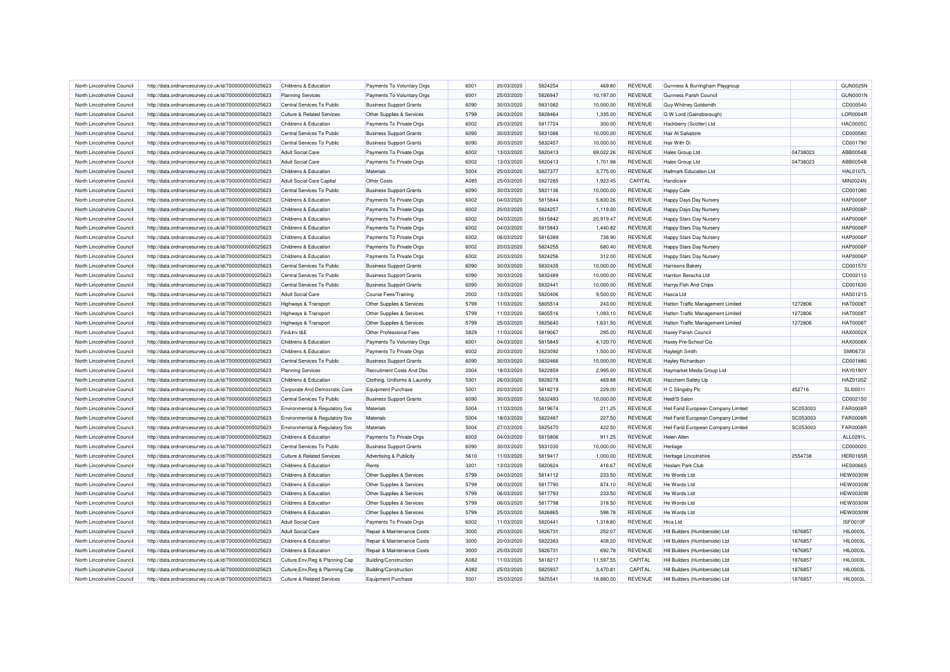| North Lincolnshire Council                               | http://data.ordnancesurvey.co.uk/id/7000000000025623 | Childrens & Education                          | Payments To Voluntary Orgs         | 6001 | 20/03/2020               | 5824254 | 469.80                | REVENUE                   | Gunness & Burringham Playgroup      |          | <b>GUN0025N</b> |
|----------------------------------------------------------|------------------------------------------------------|------------------------------------------------|------------------------------------|------|--------------------------|---------|-----------------------|---------------------------|-------------------------------------|----------|-----------------|
| North Lincolnshire Council                               | http://data.ordnancesurvey.co.uk/id/7000000000025623 | <b>Planning Services</b>                       | Payments To Voluntary Orgs         | 6001 | 25/03/2020               | 5826947 | 10,197.00             | REVENUE                   | Gunness Parish Council              |          | GUN0001N        |
| North Lincolnshire Council                               | http://data.ordnancesurvey.co.uk/id/7000000000025623 | Central Services To Public                     | <b>Business Support Grants</b>     | 6090 | 30/03/2020               | 5831082 | 10,000.00             | <b>REVENUE</b>            | Guy Whitney Goldsmith               |          | CD000540        |
| North Lincolnshire Council                               | http://data.ordnancesurvey.co.uk/id/7000000000025623 | <b>Culture &amp; Related Services</b>          | Other Supplies & Services          | 5799 | 26/03/2020               | 5828464 | 1,335.00              | REVENUE                   | G W Lord (Gainsborough)             |          | LOR0004R        |
| North Lincolnshire Council                               | http://data.ordnancesurvey.co.uk/id/7000000000025623 | Childrens & Education                          | Payments To Private Orgs           | 6002 | 25/03/2020               | 5817724 | 300.00                | <b>REVENUE</b>            | Hackberry (Scotter) Ltd             |          | <b>HAC0005C</b> |
| North Lincolnshire Council                               | http://data.ordnancesurvey.co.uk/id/7000000000025623 | Central Services To Public                     | <b>Business Support Grants</b>     | 6090 | 30/03/2020               | 5831086 | 10,000.00             | REVENUE                   | <b>Hair At Salvatore</b>            |          | CD000580        |
| North Lincolnshire Council                               | http://data.ordnancesurvey.co.uk/id/7000000000025623 | Central Services To Public                     | <b>Business Support Grants</b>     | 6090 | 30/03/2020               | 5832457 | 10,000.00             | <b>REVENUE</b>            | Hair With Di                        |          | CD001790        |
| North Lincolnshire Council                               | http://data.ordnancesurvey.co.uk/id/7000000000025623 | <b>Adult Social Care</b>                       | Payments To Private Orgs           | 6002 | 13/03/2020               | 5820413 | 69,022.26             | <b>REVENUE</b>            | <b>Hales Group Ltd</b>              | 04738023 | ABB0054B        |
| North Lincolnshire Council                               | http://data.ordnancesurvey.co.uk/id/7000000000025623 | <b>Adult Social Care</b>                       | Payments To Private Orgs           | 6002 | 13/03/2020               | 5820413 | 1,701.98              | REVENUE                   | Hales Group Ltd                     | 04738023 | ABB0054B        |
| North Lincolnshire Council                               | http://data.ordnancesurvey.co.uk/id/7000000000025623 | Childrens & Education                          | Materials                          | 5004 | 25/03/2020               | 5827377 | 3,775.00              | REVENUE                   | Hallmark Education Ltd              |          | <b>HAL0107L</b> |
| North Lincolnshire Council                               | http://data.ordnancesurvey.co.uk/id/7000000000025623 | Adult Social Care Capital                      | Other Costs                        | A085 | 25/03/2020               | 5827285 | 1,923.45              | CAPITAL                   | Handicare                           |          | MIN0024N        |
| North Lincolnshire Council                               | http://data.ordnancesurvey.co.uk/id/7000000000025623 | Central Services To Public                     | <b>Business Support Grants</b>     | 6090 | 30/03/2020               | 5831136 | 10,000.00             | REVENUE                   | <b>Happy Cafe</b>                   |          | CD001080        |
| North Lincolnshire Council                               | http://data.ordnancesurvey.co.uk/id/7000000000025623 | Childrens & Education                          | Payments To Private Orgs           | 6002 | 04/03/2020               | 5815844 | 5,830.26              | REVENUE                   | Happy Days Day Nursery              |          | <b>HAP0008F</b> |
|                                                          |                                                      |                                                |                                    | 6002 |                          | 5824257 |                       |                           |                                     |          | <b>HAP0008P</b> |
| North Lincolnshire Council<br>North Lincolnshire Council | http://data.ordnancesurvey.co.uk/id/7000000000025623 | Childrens & Education<br>Childrens & Education | Payments To Private Orgs           | 6002 | 20/03/2020<br>04/03/2020 | 5815842 | 1,119.00<br>20,919.47 | REVENUE<br><b>REVENUE</b> | Happy Days Day Nursery              |          | <b>HAP0006P</b> |
|                                                          | http://data.ordnancesurvey.co.uk/id/7000000000025623 |                                                | Payments To Private Orgs           | 6002 |                          | 5815843 |                       | REVENUE                   | Happy Stars Day Nursery             |          | <b>HAP0006P</b> |
| North Lincolnshire Council                               | http://data.ordnancesurvey.co.uk/id/7000000000025623 | Childrens & Education                          | Payments To Private Orgs           |      | 04/03/2020               |         | 1,440.82              |                           | Happy Stars Day Nursery             |          |                 |
| North Lincolnshire Council                               | http://data.ordnancesurvey.co.uk/id/7000000000025623 | Childrens & Education                          | Payments To Private Orgs           | 6002 | 06/03/2020               | 5816389 | 738.90                | REVENUE                   | Happy Stars Day Nursery             |          | <b>HAP0006P</b> |
| North Lincolnshire Council                               | http://data.ordnancesurvey.co.uk/id/7000000000025623 | Childrens & Education                          | Payments To Private Orgs           | 6002 | 20/03/2020               | 5824255 | 680.40                | REVENUE                   | Happy Stars Day Nursery             |          | <b>HAP0006F</b> |
| North Lincolnshire Council                               | http://data.ordnancesurvey.co.uk/id/7000000000025623 | Childrens & Education                          | Payments To Private Orgs           | 6002 | 20/03/2020               | 5824256 | 312.00                | <b>REVENUE</b>            | Happy Stars Day Nursery             |          | <b>HAP0006P</b> |
| North Lincolnshire Council                               | http://data.ordnancesurvey.co.uk/id/7000000000025623 | Central Services To Public                     | <b>Business Support Grants</b>     | 6090 | 30/03/2020               | 5832435 | 10,000.00             | REVENUE                   | Harrisons Bakery                    |          | CD001570        |
| North Lincolnshire Council                               | http://data.ordnancesurvey.co.uk/id/7000000000025623 | Central Services To Public                     | <b>Business Support Grants</b>     | 6090 | 30/03/2020               | 5832489 | 10,000.00             | <b>REVENUE</b>            | Harriton Beracha Ltd                |          | CD002110        |
| North Lincolnshire Council                               | http://data.ordnancesurvey.co.uk/id/7000000000025623 | Central Services To Public                     | <b>Business Support Grants</b>     | 6090 | 30/03/2020               | 5832441 | 10,000.00             | REVENUE                   | Harrys Fish And Chips               |          | CD001630        |
| North Lincolnshire Council                               | http://data.ordnancesurvey.co.uk/id/7000000000025623 | Adult Social Care                              | <b>Course Fees/Training</b>        | 2002 | 13/03/2020               | 5820406 | 9,500.00              | <b>REVENUE</b>            | Hasca I td                          |          | <b>HAS0121S</b> |
| North Lincolnshire Council                               | http://data.ordnancesurvey.co.uk/id/7000000000025623 | Highways & Transport                           | Other Supplies & Services          | 5799 | 11/03/2020               | 5805514 | 243.00                | REVENUE                   | Hatton Traffic Management Limited   | 1272806  | <b>HAT0008T</b> |
| North Lincolnshire Council                               | http://data.ordnancesurvey.co.uk/id/7000000000025623 | Highways & Transport                           | Other Supplies & Services          | 5799 | 11/03/2020               | 5805516 | 1,093.10              | <b>REVENUE</b>            | Hatton Traffic Management Limited   | 1272806  | <b>HAT0008T</b> |
| North Lincolnshire Council                               | http://data.ordnancesurvey.co.uk/id/7000000000025623 | Highways & Transport                           | Other Supplies & Services          | 5799 | 25/03/2020               | 5825640 | 1,631.50              | REVENUE                   | Hatton Traffic Management Limited   | 1272806  | <b>HAT0008T</b> |
| North Lincolnshire Council                               | http://data.ordnancesurvey.co.uk/id/7000000000025623 | Fin&Inv I&E                                    | Other Professional Fees            | 5829 | 11/03/2020               | 5819067 | 295.00                | <b>REVENUE</b>            | Haxey Parish Council                |          | HAX0002X        |
| North Lincolnshire Council                               | http://data.ordnancesurvey.co.uk/id/7000000000025623 | Childrens & Education                          | Payments To Voluntary Orgs         | 6001 | 04/03/2020               | 5815845 | 4,120.70              | REVENUE                   | Haxey Pre-School Cio                |          | HAX0008X        |
| North Lincolnshire Council                               | http://data.ordnancesurvey.co.uk/id/7000000000025623 | Childrens & Education                          | Payments To Private Orgs           | 6002 | 20/03/2020               | 5823092 | 1,500.00              | <b>REVENUE</b>            | Hayleigh Smith                      |          | SMI06731        |
| North Lincolnshire Council                               | http://data.ordnancesurvey.co.uk/id/7000000000025623 | Central Services To Public                     | <b>Business Support Grants</b>     | 6090 | 30/03/2020               | 5832466 | 10,000.00             | REVENUE                   | <b>Hayley Richardson</b>            |          | CD001880        |
| North Lincolnshire Council                               | http://data.ordnancesurvey.co.uk/id/7000000000025623 | <b>Planning Services</b>                       | <b>Recruitment Costs And Dbs</b>   | 2004 | 18/03/2020               | 5822859 | 2,995.00              | REVENUE                   | Haymarket Media Group Ltd           |          | <b>HAY0190Y</b> |
| North Lincolnshire Council                               | http://data.ordnancesurvey.co.uk/id/7000000000025623 | Childrens & Education                          | Clothing, Uniforms & Laundry       | 5301 | 26/03/2020               | 5828278 | 469.88                | REVENUE                   | Hazchem Safety Llp                  |          | HAZ0120Z        |
| North Lincolnshire Council                               | http://data.ordnancesurvey.co.uk/id/7000000000025623 | Corporate And Democratic Core                  | <b>Equipment Purchase</b>          | 5001 | 20/03/2020               | 5818219 | 229.00                | <b>REVENUE</b>            | H C Slingsby Plc                    | 452716   | <b>SLI0001I</b> |
| North Lincolnshire Council                               | http://data.ordnancesurvey.co.uk/id/7000000000025623 | Central Services To Public                     | <b>Business Support Grants</b>     | 6090 | 30/03/2020               | 5832493 | 10,000.00             | REVENUE                   | Heidi'S Salon                       |          | CD002150        |
| North Lincolnshire Council                               | http://data.ordnancesurvey.co.uk/id/7000000000025623 | Environmental & Regulatory Svs                 | Materials                          | 5004 | 11/03/2020               | 5819674 | 211.25                | <b>REVENUE</b>            | Heil Farid European Company Limited | SC053003 | <b>FAR0008R</b> |
| North Lincolnshire Council                               | http://data.ordnancesurvey.co.uk/id/7000000000025623 | Environmental & Regulatory Svs                 | Materials                          | 5004 | 18/03/2020               | 5822487 | 227.50                | REVENUE                   | Heil Farid European Company Limited | SC053003 | <b>FAR0008R</b> |
| North Lincolnshire Council                               | http://data.ordnancesurvey.co.uk/id/7000000000025623 | Environmental & Regulatory Svs                 | Materials                          | 5004 | 27/03/2020               | 5825470 | 422.50                | REVENUE                   | Heil Farid European Company Limited | SC053003 | <b>FAR0008R</b> |
| North Lincolnshire Council                               | http://data.ordnancesurvey.co.uk/id/7000000000025623 | Childrens & Education                          | Payments To Private Orgs           | 6002 | 04/03/2020               | 5815806 | 911.25                | REVENUE                   | Helen Allen                         |          | ALL0291L        |
| North Lincolnshire Council                               | http://data.ordnancesurvey.co.uk/id/7000000000025623 | Central Services To Public                     | <b>Business Support Grants</b>     | 6090 | 30/03/2020               | 5831030 | 10,000.00             | REVENUE                   | Heritage                            |          | CD000020        |
| North Lincolnshire Council                               | http://data.ordnancesurvey.co.uk/id/7000000000025623 | <b>Culture &amp; Related Services</b>          | <b>Advertising &amp; Publicity</b> | 5610 | 11/03/2020               | 5819417 | 1,000.00              | REVENUE                   | Heritage Lincolnshire               | 2554738  | <b>HER0165F</b> |
| North Lincolnshire Council                               | http://data.ordnancesurvey.co.uk/id/7000000000025623 | Childrens & Education                          | Rents                              | 3201 | 13/03/2020               | 5820624 | 416.67                | <b>REVENUE</b>            | Heslam Park Club                    |          | <b>HES0066S</b> |
| North Lincolnshire Council                               | http://data.ordnancesurvey.co.uk/id/7000000000025623 | Childrens & Education                          | Other Supplies & Services          | 5799 | 04/03/2020               | 5814112 | 233.50                | <b>REVENUE</b>            | He Words Ltd                        |          | <b>HEW0030W</b> |
| North Lincolnshire Council                               | http://data.ordnancesurvey.co.uk/id/7000000000025623 | Childrens & Education                          | Other Supplies & Services          | 5799 | 06/03/2020               | 5817790 | 874.10                | <b>REVENUE</b>            | He Words Ltd                        |          | <b>HEW0030W</b> |
| North Lincolnshire Council                               |                                                      |                                                |                                    | 5799 |                          | 5817793 |                       |                           | He Words Ltd                        |          | <b>HEW0030W</b> |
|                                                          | http://data.ordnancesurvey.co.uk/id/7000000000025623 | Childrens & Education                          | Other Supplies & Services          |      | 06/03/2020               |         | 233.50                | REVENUE                   |                                     |          |                 |
| North Lincolnshire Council                               | http://data.ordnancesurvey.co.uk/id/7000000000025623 | Childrens & Education                          | Other Supplies & Services          | 5799 | 06/03/2020               | 5817798 | 318.50                | <b>REVENUE</b>            | He Words Ltd                        |          | <b>HEW0030W</b> |
| North Lincolnshire Council                               | http://data.ordnancesurvey.co.uk/id/7000000000025623 | Childrens & Education                          | Other Supplies & Services          | 5799 | 25/03/2020               | 5826865 | 598.78                | <b>REVENUE</b>            | He Words Ltd                        |          | HEW0030W        |
| North Lincolnshire Council                               | http://data.ordnancesurvey.co.uk/id/7000000000025623 | <b>Adult Social Care</b>                       | Payments To Private Orgs           | 6002 | 11/03/2020               | 5820441 | 1,318.80              | <b>REVENUE</b>            | Hica I td                           |          | <b>ISF0010F</b> |
| North Lincolnshire Council                               | http://data.ordnancesurvey.co.uk/id/7000000000025623 | <b>Adult Social Care</b>                       | Repair & Maintenance Costs         | 3000 | 25/03/2020               | 5826731 | 252.07                | REVENUE                   | Hill Builders (Humberside) Ltd      | 1876857  | <b>HIL0003L</b> |
| North Lincolnshire Council                               | http://data.ordnancesurvey.co.uk/id/7000000000025623 | Childrens & Education                          | Repair & Maintenance Costs         | 3000 | 20/03/2020               | 5822383 | 408.20                | <b>REVENUE</b>            | Hill Builders (Humberside) Ltd      | 1876857  | <b>HIL0003L</b> |
| North Lincolnshire Council                               | http://data.ordnancesurvey.co.uk/id/7000000000025623 | Childrens & Education                          | Repair & Maintenance Costs         | 3000 | 25/03/2020               | 5826731 | 692.78                | REVENUE                   | Hill Builders (Humberside) Ltd      | 1876857  | <b>HIL0003L</b> |
| North Lincolnshire Council                               | http://data.ordnancesurvey.co.uk/id/7000000000025623 | Culture, Env, Reg & Planning Cap               | Building/Construction              | A082 | 11/03/2020               | 5818217 | 11,597.55             | CAPITAL                   | Hill Builders (Humberside) Ltd      | 1876857  | <b>HIL0003L</b> |
| North Lincolnshire Council                               | http://data.ordnancesurvey.co.uk/id/7000000000025623 | Culture, Env, Reg & Planning Cap               | <b>Building/Construction</b>       | A082 | 25/03/2020               | 5825937 | 3,470.81              | CAPITAL                   | Hill Builders (Humberside) Ltd      | 1876857  | <b>HIL0003L</b> |
| North Lincolnshire Council                               | http://data.ordnancesurvey.co.uk/id/7000000000025623 | <b>Culture &amp; Related Services</b>          | <b>Equipment Purchase</b>          | 5001 | 25/03/2020               | 5825541 | 18,880.00             | <b>REVENUE</b>            | Hill Builders (Humberside) Ltd      | 1876857  | <b>HIL0003L</b> |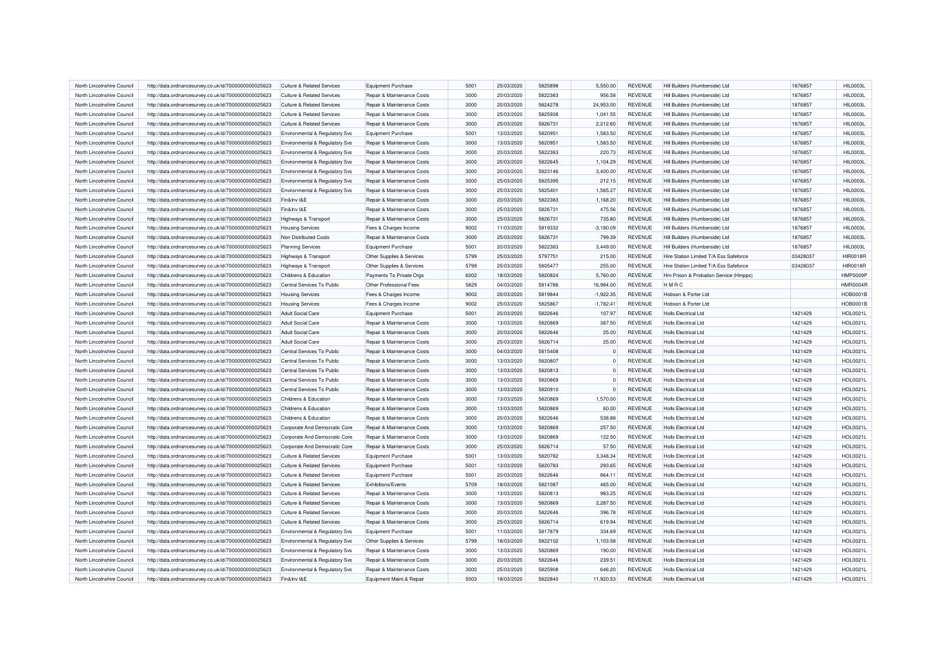| North Lincolnshire Council | http://data.ordnancesurvey.co.uk/id/7000000000025623                                                         | <b>Culture &amp; Related Services</b> | <b>Equipment Purchase</b>             | 5001 | 25/03/2020 | 5825898 | 5,550.00    | <b>REVENUE</b> | Hill Builders (Humberside) Ltd         | 1876857  | HIL0003L        |
|----------------------------|--------------------------------------------------------------------------------------------------------------|---------------------------------------|---------------------------------------|------|------------|---------|-------------|----------------|----------------------------------------|----------|-----------------|
| North Lincolnshire Council | http://data.ordnancesurvey.co.uk/id/7000000000025623                                                         | <b>Culture &amp; Related Services</b> | Repair & Maintenance Costs            | 3000 | 20/03/2020 | 5822383 | 956.58      | <b>REVENUE</b> | Hill Builders (Humberside) Ltd         | 1876857  | <b>HIL0003L</b> |
| North Lincolnshire Council | http://data.ordnancesurvey.co.uk/id/7000000000025623                                                         | Culture & Related Services            | Repair & Maintenance Costs            | 3000 | 20/03/2020 | 5824278 | 24,953.00   | <b>REVENUE</b> | Hill Builders (Humberside) Ltd         | 1876857  | <b>HIL0003L</b> |
| North Lincolnshire Council | http://data.ordnancesurvey.co.uk/id/7000000000025623                                                         | <b>Culture &amp; Related Services</b> | Repair & Maintenance Costs            | 3000 | 25/03/2020 | 5825938 | 1,041.55    | <b>REVENUE</b> | Hill Builders (Humberside) Ltd         | 1876857  | <b>HIL0003L</b> |
| North Lincolnshire Council | http://data.ordnancesurvey.co.uk/id/7000000000025623                                                         | <b>Culture &amp; Related Services</b> | Repair & Maintenance Costs            | 3000 | 25/03/2020 | 5826731 | 2,212.60    | <b>REVENUE</b> | Hill Builders (Humberside) Ltd         | 1876857  | HIL0003L        |
| North Lincolnshire Council | http://data.ordnancesurvey.co.uk/id/7000000000025623                                                         | Environmental & Regulatory Svs        | <b>Equipment Purchase</b>             | 5001 | 13/03/2020 | 5820951 | 1,583.50    | <b>REVENUE</b> | Hill Builders (Humberside) Ltd         | 1876857  | HIL0003L        |
| North Lincolnshire Council | http://data.ordnancesurvey.co.uk/id/7000000000025623                                                         | Environmental & Regulatory Svs        | Repair & Maintenance Costs            | 3000 | 13/03/2020 | 5820951 | 1,583.50    | <b>REVENUE</b> | Hill Builders (Humberside) Ltd         | 1876857  | HIL0003L        |
| North Lincolnshire Council | http://data.ordnancesurvey.co.uk/id/7000000000025623                                                         | Environmental & Regulatory Svs        | Repair & Maintenance Costs            | 3000 | 20/03/2020 | 5822383 | 220.73      | <b>REVENUE</b> | Hill Builders (Humberside) Ltd         | 1876857  | <b>HIL0003L</b> |
| North Lincolnshire Council | http://data.ordnancesurvey.co.uk/id/7000000000025623                                                         | Environmental & Regulatory Svs        | <b>Benair &amp; Maintenance Costs</b> | 3000 | 20/03/2020 | 5822645 | 1,104.29    | <b>REVENUE</b> | Hill Builders (Humberside) Ltd         | 1876857  | <b>HIL0003L</b> |
| North Lincolnshire Council | http://data.ordnancesurvey.co.uk/id/7000000000025623                                                         | Environmental & Regulatory Svs        | Repair & Maintenance Costs            | 3000 | 20/03/2020 | 5823146 | 3,400.00    | <b>REVENUE</b> | Hill Builders (Humberside) Ltd         | 1876857  | <b>HIL0003L</b> |
| North Lincolnshire Council | http://data.ordnancesurvey.co.uk/id/7000000000025623                                                         | Environmental & Regulatory Svs        | Repair & Maintenance Costs            | 3000 | 25/03/2020 | 5825395 | 212.15      | <b>REVENUE</b> | Hill Builders (Humberside) Ltd         | 1876857  | <b>HIL0003L</b> |
| North Lincolnshire Council | http://data.ordnancesurvey.co.uk/id/7000000000025623                                                         | Environmental & Regulatory Svs        | Repair & Maintenance Costs            | 3000 | 25/03/2020 | 5825401 | 1,565.27    | <b>REVENUE</b> | Hill Builders (Humberside) Ltd         | 1876857  | HIL0003L        |
| North Lincolnshire Council | http://data.ordnancesurvey.co.uk/id/7000000000025623                                                         | Fin&Inv I&E                           | Repair & Maintenance Costs            | 3000 | 20/03/2020 | 5822383 | 1,168.20    | <b>REVENUE</b> | Hill Builders (Humberside) Ltd         | 1876857  | HIL0003L        |
| North Lincolnshire Council | http://data.ordnancesurvey.co.uk/id/7000000000025623                                                         | Fin&Inv I&E                           | Repair & Maintenance Costs            | 3000 | 25/03/2020 | 5826731 | 475.56      | REVENUE        | Hill Builders (Humberside) Ltd         | 1876857  | <b>HIL0003L</b> |
| North Lincolnshire Council | http://data.ordnancesurvey.co.uk/id/7000000000025623                                                         | Highways & Transport                  | Repair & Maintenance Costs            | 3000 | 25/03/2020 | 5826731 | 735.80      | REVENUE        | Hill Builders (Humberside) Ltd         | 1876857  | <b>HIL0003L</b> |
| North Lincolnshire Council | http://data.ordnancesurvey.co.uk/id/7000000000025623                                                         | <b>Housing Services</b>               | Fees & Charges Income                 | 9002 | 11/03/2020 | 5819332 | $-3,180.09$ | <b>REVENUE</b> | Hill Builders (Humberside) Ltd         | 1876857  | <b>HIL0003L</b> |
| North Lincolnshire Council | http://data.ordnancesurvey.co.uk/id/7000000000025623                                                         | Non Distributed Costs                 | Repair & Maintenance Costs            | 3000 | 25/03/2020 | 5826731 | 799.39      | <b>REVENUE</b> | Hill Builders (Humberside) Ltd         | 1876857  | <b>HIL0003L</b> |
| North Lincolnshire Council | http://data.ordnancesurvey.co.uk/id/7000000000025623                                                         | <b>Planning Services</b>              | Equipment Purchase                    | 5001 | 20/03/2020 | 5822383 | 3,449.00    | <b>REVENUE</b> | Hill Builders (Humberside) Ltd         | 1876857  | HIL0003L        |
| North Lincolnshire Council | http://data.ordnancesurvey.co.uk/id/7000000000025623                                                         | Highways & Transport                  | Other Supplies & Services             | 5799 | 25/03/2020 | 5797751 | 215.00      | <b>REVENUE</b> | Hire Station Limited T/A Ess Safeforce | 03428037 | <b>HIR0018R</b> |
| North Lincolnshire Council | http://data.ordnancesurvey.co.uk/id/7000000000025623                                                         | Highways & Transport                  | Other Supplies & Services             | 5799 | 25/03/2020 | 5805477 | 255.00      | <b>REVENUE</b> | Hire Station Limited T/A Ess Safeforce | 03428037 | <b>HIR0018R</b> |
| North Lincolnshire Council | http://data.ordnancesurvey.co.uk/id/7000000000025623                                                         | Childrens & Education                 | Payments To Private Orgs              | 6002 | 18/03/2020 | 5820824 | 5,760.00    | <b>REVENUE</b> | Hm Prison & Probation Service (Hmpps)  |          | HMP0009F        |
| North Lincolnshire Council | http://data.ordnancesurvey.co.uk/id/7000000000025623                                                         | Central Services To Public            | Other Professional Fees               | 5829 | 04/03/2020 | 5814786 | 16,984.00   | REVENUE        | HMRC                                   |          | <b>HMR0004R</b> |
| North Lincolnshire Council | http://data.ordnancesurvey.co.uk/id/7000000000025623                                                         | <b>Housing Services</b>               | Fees & Charges Income                 | 9002 | 20/03/2020 | 5819844 | $-1,922.35$ | REVENUE        | Hobson & Porter Ltd                    |          | <b>HOB0001B</b> |
| North Lincolnshire Council | http://data.ordnancesurvey.co.uk/id/7000000000025623                                                         | <b>Housing Services</b>               | Fees & Charges Income                 | 9002 | 25/03/2020 | 5825867 | $-1,782.41$ | <b>REVENUE</b> | Hobson & Porter Ltd                    |          | <b>HOB0001E</b> |
| North Lincolnshire Council | http://data.ordnancesurvey.co.uk/id/7000000000025623                                                         | <b>Adult Social Care</b>              | <b>Equipment Purchase</b>             | 5001 | 20/03/2020 | 5822646 | 107.97      | <b>REVENUE</b> | <b>Holls Electrical Ltd</b>            | 1421429  | HOL0021L        |
| North Lincolnshire Council | http://data.ordnancesurvey.co.uk/id/7000000000025623                                                         | <b>Adult Social Care</b>              | Repair & Maintenance Costs            | 3000 | 13/03/2020 | 5820869 | 387.50      | <b>REVENUE</b> | <b>Holls Electrical Ltd</b>            | 1421429  | <b>HOL0021L</b> |
| North Lincolnshire Council | http://data.ordnancesurvey.co.uk/id/7000000000025623                                                         | <b>Adult Social Care</b>              | Repair & Maintenance Costs            | 3000 | 20/03/2020 | 5822646 | 25.00       | <b>REVENUE</b> | Holls Flectrical Ltd                   | 1421429  | <b>HOL0021L</b> |
| North Lincolnshire Council | http://data.ordnancesurvey.co.uk/id/7000000000025623                                                         | <b>Adult Social Care</b>              | Repair & Maintenance Costs            | 3000 | 25/03/2020 | 5826714 | 25.00       | <b>REVENUE</b> | <b>Holls Electrical Ltd</b>            | 1421429  | <b>HOL0021L</b> |
| North Lincolnshire Council | http://data.ordnancesurvey.co.uk/id/7000000000025623                                                         | Central Services To Public            | Repair & Maintenance Costs            | 3000 | 04/03/2020 | 5815408 |             | <b>REVENUE</b> | <b>Holls Electrical Ltd</b>            | 1421429  | <b>HOL0021L</b> |
| North Lincolnshire Council | http://data.ordnancesurvey.co.uk/id/7000000000025623                                                         | Central Services To Public            | Repair & Maintenance Costs            | 3000 | 13/03/2020 | 5820807 | $\Omega$    | REVENUE        | <b>Holls Electrical Ltd</b>            | 1421429  | <b>HOL0021L</b> |
| North Lincolnshire Council | http://data.ordnancesurvey.co.uk/id/7000000000025623                                                         | Central Services To Public            | Repair & Maintenance Costs            | 3000 | 13/03/2020 | 5820813 | $\Omega$    | <b>REVENUE</b> | Holls Flectrical Ltd                   | 1421429  | <b>HOL0021L</b> |
| North Lincolnshire Council | http://data.ordnancesurvey.co.uk/id/7000000000025623                                                         | Central Services To Public            | Repair & Maintenance Costs            | 3000 | 13/03/2020 | 5820869 |             | <b>REVENUE</b> | <b>Holls Electrical Ltd</b>            | 1421429  | <b>HOL0021L</b> |
| North Lincolnshire Council | http://data.ordnancesurvey.co.uk/id/7000000000025623                                                         | Central Services To Public            | Repair & Maintenance Costs            | 3000 | 13/03/2020 | 5820910 | $\Omega$    | REVENUE        | <b>Holls Electrical Ltd</b>            | 1421429  | <b>HOL0021L</b> |
| North Lincolnshire Council | http://data.ordnancesurvey.co.uk/id/7000000000025623                                                         | Childrens & Education                 | Repair & Maintenance Costs            | 3000 | 13/03/2020 | 5820869 | 1.570.00    | <b>REVENUE</b> | <b>Holls Electrical Ltd</b>            | 1421429  | <b>HOL0021L</b> |
| North Lincolnshire Council | http://data.ordnancesurvey.co.uk/id/7000000000025623                                                         | Childrens & Education                 | Repair & Maintenance Costs            | 3000 | 13/03/2020 | 5820869 | 60.00       | <b>REVENUE</b> | <b>Holls Electrical Ltd</b>            | 1421429  | <b>HOL0021L</b> |
| North Lincolnshire Council | http://data.ordnancesurvey.co.uk/id/7000000000025623                                                         | Childrens & Education                 | Repair & Maintenance Costs            | 3000 | 20/03/2020 | 5822646 | 538.88      | REVENUE        | <b>Holls Electrical Ltd</b>            | 1421429  | <b>HOL0021L</b> |
| North Lincolnshire Council | http://data.ordnancesurvey.co.uk/id/7000000000025623                                                         | Corporate And Democratic Core         | Repair & Maintenance Costs            | 3000 | 13/03/2020 | 5820869 | 257.50      | <b>REVENUE</b> | <b>Holls Electrical Ltd</b>            | 1421429  | <b>HOL0021L</b> |
| North Lincolnshire Council | http://data.ordnancesurvey.co.uk/id/7000000000025623                                                         | Corporate And Democratic Core         | Repair & Maintenance Costs            | 3000 | 13/03/2020 | 5820869 | 122.50      | <b>REVENUE</b> | <b>Holls Electrical Ltd</b>            | 1421429  | <b>HOL0021L</b> |
| North Lincolnshire Council | http://data.ordnancesurvey.co.uk/id/7000000000025623                                                         | Corporate And Democratic Core         | Repair & Maintenance Costs            | 3000 | 25/03/2020 | 5826714 | 57.50       | <b>REVENUE</b> | <b>Holls Electrical Ltd</b>            | 1421429  | <b>HOL0021L</b> |
| North Lincolnshire Council | http://data.ordnancesurvey.co.uk/id/7000000000025623                                                         | <b>Culture &amp; Related Services</b> | <b>Equipment Purchase</b>             | 5001 | 13/03/2020 | 5820782 | 3,348.34    | <b>REVENUE</b> | <b>Holls Electrical Ltd</b>            | 1421429  | <b>HOL0021L</b> |
| North Lincolnshire Council | http://data.ordnancesurvey.co.uk/id/7000000000025623                                                         | <b>Culture &amp; Related Services</b> | <b>Equipment Purchase</b>             | 5001 | 13/03/2020 | 5820783 | 293.65      | <b>REVENUE</b> | Holls Flectrical Ltd                   | 1421429  | <b>HOL0021L</b> |
| North Lincolnshire Council | http://data.ordnancesurvey.co.uk/id/7000000000025623                                                         | <b>Culture &amp; Related Services</b> | <b>Equipment Purchase</b>             | 5001 | 20/03/2020 | 5822646 | 864.11      | <b>REVENUE</b> | <b>Holls Electrical Ltd</b>            | 1421429  | <b>HOL0021L</b> |
| North Lincolnshire Council | http://data.ordnancesurvey.co.uk/id/7000000000025623                                                         | <b>Culture &amp; Related Services</b> | <b>Exhibitions/Events</b>             | 5709 | 18/03/2020 | 5821087 | 465.00      | <b>REVENUE</b> | <b>Holls Electrical Ltd</b>            | 1421429  | <b>HOL0021L</b> |
| North Lincolnshire Council | http://data.ordnancesurvey.co.uk/id/7000000000025623                                                         | <b>Culture &amp; Related Services</b> | Repair & Maintenance Costs            | 3000 | 13/03/2020 | 5820813 | 983.25      | <b>REVENUE</b> | <b>Holls Electrical Ltd</b>            | 1421429  | <b>HOL0021L</b> |
| North Lincolnshire Council | http://data.ordnancesurvey.co.uk/id/7000000000025623                                                         | <b>Culture &amp; Related Services</b> | Repair & Maintenance Costs            | 3000 | 13/03/2020 | 5820869 | 2,287.50    | <b>REVENUE</b> | <b>Holls Electrical Ltd</b>            | 1421429  | <b>HOL0021L</b> |
| North Lincolnshire Council |                                                                                                              | <b>Culture &amp; Related Services</b> | Repair & Maintenance Costs            | 3000 | 20/03/2020 | 5822646 | 396.78      | <b>REVENUE</b> | <b>Holls Electrical Ltd</b>            | 1421429  | <b>HOL0021L</b> |
| North Lincolnshire Council | http://data.ordnancesurvey.co.uk/id/7000000000025623<br>http://data.ordnancesurvey.co.uk/id/7000000000025623 | <b>Culture &amp; Related Services</b> | Repair & Maintenance Costs            | 3000 | 25/03/2020 | 5826714 | 619.94      | <b>REVENUE</b> | <b>Holls Electrical Ltd</b>            | 1421429  | <b>HOL0021L</b> |
| North Lincolnshire Council | http://data.ordnancesurvey.co.uk/id/7000000000025623                                                         | Environmental & Regulatory Svs        | <b>Equipment Purchase</b>             | 5001 | 11/03/2020 | 5817879 | 334.69      | REVENUE        | Holls Flectrical Ltd                   | 1421429  | <b>HOL0021L</b> |
| North Lincolnshire Council | http://data.ordnancesurvey.co.uk/id/7000000000025623                                                         | Environmental & Regulatory Svs        | Other Supplies & Services             | 5799 | 18/03/2020 | 5822102 | 1,103.58    | <b>REVENUE</b> | <b>Holls Electrical Ltd</b>            | 1421429  | <b>HOL0021L</b> |
| North Lincolnshire Council | http://data.ordnancesurvey.co.uk/id/7000000000025623                                                         | Environmental & Regulatory Svs        | Repair & Maintenance Costs            | 3000 | 13/03/2020 | 5820869 | 190.00      | REVENUE        | Holls Electrical I td                  | 1421429  | <b>HOL0021L</b> |
| North Lincolnshire Council | http://data.ordnancesurvey.co.uk/id/7000000000025623                                                         | Environmental & Regulatory Svs        | Repair & Maintenance Costs            | 3000 | 20/03/2020 | 5822646 | 239.51      | <b>REVENUE</b> | <b>Holls Electrical Ltd</b>            | 1421429  | <b>HOL0021L</b> |
| North Lincolnshire Council | http://data.ordnancesurvey.co.uk/id/7000000000025623                                                         | Environmental & Regulatory Svs        | Repair & Maintenance Costs            | 3000 | 25/03/2020 | 5825908 | 646.20      | <b>REVENUE</b> | <b>Holls Electrical Ltd</b>            | 1421429  | <b>HOL0021L</b> |
| North Lincolnshire Council | http://data.ordnancesurvey.co.uk/id/7000000000025623                                                         | Fin&Inv I&E                           | Equipment Maint.& Repair              | 5003 | 18/03/2020 | 5822840 | 11,920.53   | <b>REVENUE</b> | <b>Holls Electrical Ltd</b>            | 1421429  | <b>HOL0021L</b> |
|                            |                                                                                                              |                                       |                                       |      |            |         |             |                |                                        |          |                 |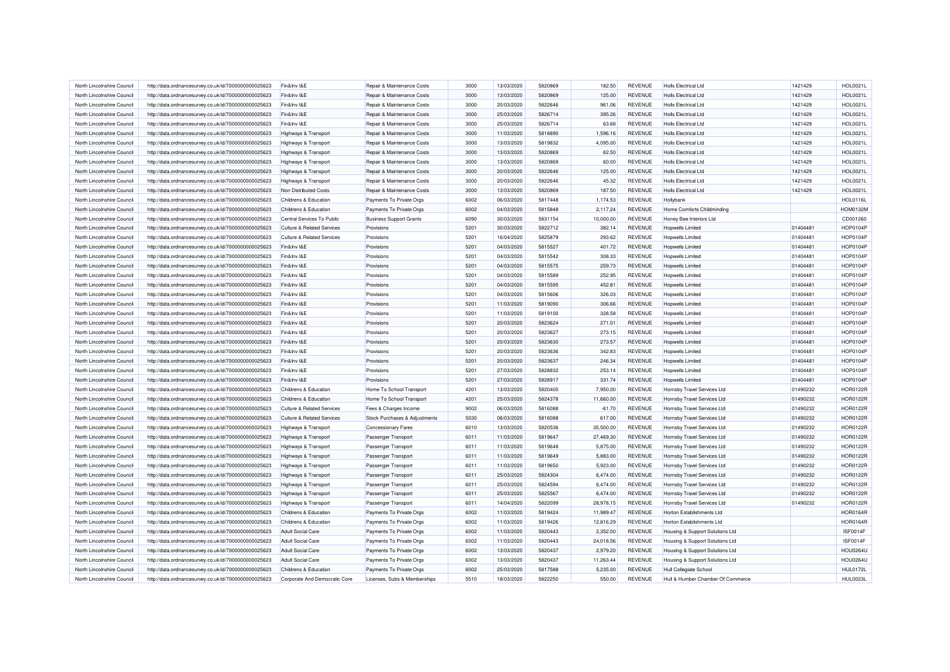| North Lincolnshire Council                               | http://data.ordnancesurvey.co.uk/id/7000000000025623 | Fin&Inv I&E                           | Repair & Maintenance Costs     | 3000         | 13/03/2020 | 5820869            | 182.50           | <b>REVENUE</b>                   | <b>Holls Electrical Ltd</b>        | 1421429              | <b>HOL0021L</b> |
|----------------------------------------------------------|------------------------------------------------------|---------------------------------------|--------------------------------|--------------|------------|--------------------|------------------|----------------------------------|------------------------------------|----------------------|-----------------|
| North Lincolnshire Council                               | http://data.ordnancesurvey.co.uk/id/7000000000025623 | Fin&Inv I&F                           | Repair & Maintenance Costs     | 3000         | 13/03/2020 | 5820869            | 125.00           | <b>REVENUE</b>                   | <b>Holls Electrical Ltd</b>        | 1421429              | HOL0021L        |
| North Lincolnshire Council                               | http://data.ordnancesurvey.co.uk/id/7000000000025623 | Fin&Inv I&E                           | Repair & Maintenance Costs     | 3000         | 20/03/2020 | 5822646            | 961.06           | REVENUE                          | <b>Holls Electrical Ltd</b>        | 1421429              | <b>HOL0021L</b> |
| North Lincolnshire Council                               | http://data.ordnancesurvey.co.uk/id/7000000000025623 | Fin&Inv I&E                           | Repair & Maintenance Costs     | 3000         | 25/03/2020 | 5826714            | 395.26           | <b>REVENUE</b>                   | <b>Holls Electrical Ltd</b>        | 1421429              | HOL0021L        |
| North Lincolnshire Council                               | http://data.ordnancesurvey.co.uk/id/7000000000025623 | Fin&Inv I&E                           | Repair & Maintenance Costs     | 3000         | 25/03/2020 | 5826714            | 63.68            | <b>REVENUE</b>                   | <b>Holls Electrical Ltd</b>        | 1421429              | <b>HOL0021L</b> |
| North Lincolnshire Council                               | http://data.ordnancesurvey.co.uk/id/7000000000025623 | Highways & Transport                  | Repair & Maintenance Costs     | 3000         | 11/03/2020 | 5818890            | 1,596.16         | <b>REVENUE</b>                   | <b>Holls Electrical Ltd</b>        | 1421429              | HOL0021L        |
| North Lincolnshire Council                               | http://data.ordnancesurvey.co.uk/id/7000000000025623 | Highways & Transport                  | Repair & Maintenance Costs     | 3000         | 13/03/2020 | 5819832            | 4,095.00         | <b>REVENUE</b>                   | <b>Holls Electrical Ltd</b>        | 1421429              | HOL0021L        |
| North Lincolnshire Council                               | http://data.ordnancesurvey.co.uk/id/7000000000025623 | Highways & Transport                  | Repair & Maintenance Costs     | 3000         | 13/03/2020 | 5820869            | 62.50            | <b>REVENUE</b>                   | <b>Holls Electrical Ltd</b>        | 1421429              | <b>HOL0021L</b> |
| North Lincolnshire Council                               | http://data.ordnancesurvey.co.uk/id/7000000000025623 | <b>Highways &amp; Transport</b>       | Repair & Maintenance Costs     | 3000         | 13/03/2020 | 5820869            | 60.00            | <b>REVENUE</b>                   | Holls Flectrical Ltd               | 1421429              | <b>HOL0021L</b> |
| North Lincolnshire Council                               | http://data.ordnancesurvey.co.uk/id/7000000000025623 | <b>Highways &amp; Transport</b>       | Repair & Maintenance Costs     | 3000         | 20/03/2020 | 5822646            | 125.00           | <b>REVENUE</b>                   | <b>Holls Electrical Ltd</b>        | 1421429              | HOL0021L        |
| North Lincolnshire Council                               | http://data.ordnancesurvey.co.uk/id/7000000000025623 | <b>Highways &amp; Transport</b>       | Repair & Maintenance Costs     | 3000         | 20/03/2020 | 5822646            | 45.32            | <b>REVENUE</b>                   | <b>Holls Electrical Ltd</b>        | 1421429              | HOL0021L        |
| North Lincolnshire Council                               | http://data.ordnancesurvey.co.uk/id/7000000000025623 | Non Distributed Costs                 | Repair & Maintenance Costs     | 3000         | 13/03/2020 | 5820869            | 187.50           | <b>REVENUE</b>                   | <b>Holls Electrical Ltd</b>        | 1421429              | HOL0021L        |
| North Lincolnshire Council                               | http://data.ordnancesurvey.co.uk/id/7000000000025623 | Childrens & Education                 | Payments To Private Orgs       | 6002         | 06/03/2020 | 5817448            | 1,174.53         | <b>REVENUE</b>                   | Hollybank                          |                      | HOL0116L        |
| North Lincolnshire Council                               | http://data.ordnancesurvey.co.uk/id/7000000000025623 | Childrens & Education                 | Payments To Private Orgs       | 6002         | 04/03/2020 | 5815848            | 2,117.24         | REVENUE                          | Home Comforts Childminding         |                      | <b>HOM0132M</b> |
| North Lincolnshire Council                               | http://data.ordnancesurvey.co.uk/id/7000000000025623 | Central Services To Public            | <b>Business Support Grants</b> | 6090         | 30/03/2020 | 5831154            | 10,000.00        | <b>REVENUE</b>                   | Honey Bee Interiors Ltd            |                      | CD001260        |
| North Lincolnshire Council                               | http://data.ordnancesurvey.co.uk/id/7000000000025623 | <b>Culture &amp; Related Services</b> | Provisions                     | 5201         | 30/03/2020 | 5822712            | 382.14           | <b>REVENUE</b>                   | <b>Hopwells Limited</b>            | 01404481             | <b>HOP0104P</b> |
| North Lincolnshire Council                               | http://data.ordnancesurvey.co.uk/id/7000000000025623 | <b>Culture &amp; Related Services</b> | Provisions                     | 5201         | 16/04/2020 | 5825879            | 293.62           | REVENUE                          | <b>Hopwells Limited</b>            | 01404481             | <b>HOP0104P</b> |
| North Lincolnshire Council                               | http://data.ordnancesurvey.co.uk/id/7000000000025623 | Fin&Inv I&F                           | Provisions                     | 5201         | 04/03/2020 | 5815527            | 401.72           | <b>REVENUE</b>                   | <b>Hopwells Limited</b>            | 01404481             | <b>HOP0104P</b> |
| North Lincolnshire Council                               | http://data.ordnancesurvey.co.uk/id/7000000000025623 | Fin&Inv I&E                           | Provisions                     | 5201         | 04/03/2020 | 5815542            | 308.33           | <b>REVENUE</b>                   | <b>Hopwells Limited</b>            | 01404481             | <b>HOP0104P</b> |
| North Lincolnshire Council                               | http://data.ordnancesurvey.co.uk/id/7000000000025623 | Fin&Inv I&E                           | Provisions                     | 5201         | 04/03/2020 | 5815575            | 259.73           | REVENUE                          | <b>Hopwells Limited</b>            | 01404481             | <b>HOP0104P</b> |
| North Lincolnshire Council                               | http://data.ordnancesurvey.co.uk/id/7000000000025623 | Fin&Inv I&E                           | Provisions                     | 5201         | 04/03/2020 | 5815589            | 252.95           | <b>REVENUE</b>                   | <b>Hopwells Limited</b>            | 01404481             | <b>HOP0104P</b> |
| North Lincolnshire Council                               | http://data.ordnancesurvey.co.uk/id/7000000000025623 | Fin&Inv I&E                           | Provisions                     | 5201         | 04/03/2020 | 5815595            | 452.81           | REVENUE                          | Hopwells Limited                   | 01404481             | <b>HOP0104P</b> |
| North Lincolnshire Council                               | http://data.ordnancesurvey.co.uk/id/7000000000025623 | Fin&Inv I&E                           | Provisions                     | 5201         | 04/03/2020 | 5815606            | 326.03           | <b>REVENUE</b>                   | <b>Hopwells Limited</b>            | 01404481             | <b>HOP0104P</b> |
| North Lincolnshire Council                               | http://data.ordnancesurvey.co.uk/id/7000000000025623 | Fin&Inv I&E                           | Provisions                     | 5201         | 11/03/2020 | 5819090            | 306,66           | <b>REVENUE</b>                   | <b>Hopwells Limited</b>            | 01404481             | <b>HOP0104P</b> |
| North Lincolnshire Council                               | http://data.ordnancesurvey.co.uk/id/7000000000025623 | Fin&Inv I&E                           | Provisions                     | 5201         | 11/03/2020 | 5819100            | 328.58           | REVENUE                          | <b>Hopwells Limited</b>            | 01404481             | <b>HOP0104P</b> |
| North Lincolnshire Council                               | http://data.ordnancesurvey.co.uk/id/7000000000025623 | Fin&Inv I&E                           | Provisions                     | 5201         | 20/03/2020 | 5823624            | 271.01           | <b>REVENUE</b>                   | <b>Hopwells Limited</b>            | 01404481             | <b>HOP0104P</b> |
|                                                          |                                                      |                                       |                                |              |            |                    |                  |                                  |                                    |                      | <b>HOP0104P</b> |
| North Lincolnshire Council<br>North Lincolnshire Council | http://data.ordnancesurvey.co.uk/id/7000000000025623 | Fin&Inv I&E                           | Provisions                     | 5201<br>5201 | 20/03/2020 | 5823627<br>5823630 | 273.15<br>273.57 | <b>REVENUE</b><br><b>REVENUE</b> | <b>Hopwells Limited</b>            | 01404481<br>01404481 | <b>HOP0104P</b> |
|                                                          | http://data.ordnancesurvey.co.uk/id/7000000000025623 | Fin&Inv I&E                           | Provisions                     |              | 20/03/2020 |                    |                  |                                  | <b>Hopwells Limited</b>            |                      |                 |
| North Lincolnshire Council                               | http://data.ordnancesurvey.co.uk/id/7000000000025623 | Fin&Inv I&E                           | Provisions                     | 5201         | 20/03/2020 | 5823636            | 342.83           | <b>REVENUE</b>                   | <b>Hopwells Limited</b>            | 01404481             | <b>HOP0104P</b> |
| North Lincolnshire Council                               | http://data.ordnancesurvey.co.uk/id/7000000000025623 | Fin&Inv I&E                           | Provisions                     | 5201         | 20/03/2020 | 5823637            | 246.34           | REVENUE                          | Hopwells Limited                   | 01404481             | <b>HOP0104P</b> |
| North Lincolnshire Council                               | http://data.ordnancesurvey.co.uk/id/7000000000025623 | Fin&Inv I&E                           | Provisions                     | 5201         | 27/03/2020 | 5828832            | 253.14           | <b>REVENUE</b>                   | <b>Hopwells Limited</b>            | 01404481             | <b>HOP0104P</b> |
| North Lincolnshire Council                               | http://data.ordnancesurvey.co.uk/id/7000000000025623 | Fin&Inv I&E                           | Provisions                     | 5201         | 27/03/2020 | 5828917            | 331.74           | <b>REVENUE</b>                   | <b>Hopwells Limited</b>            | 01404481             | <b>HOP0104P</b> |
| North Lincolnshire Council                               | http://data.ordnancesurvey.co.uk/id/7000000000025623 | Childrens & Education                 | Home To School Transport       | 4201         | 13/03/2020 | 5820400            | 7,950.00         | <b>REVENUE</b>                   | Hornsby Travel Services Ltd        | 01490232             | <b>HOR0122F</b> |
| North Lincolnshire Council                               | http://data.ordnancesurvey.co.uk/id/7000000000025623 | Childrens & Education                 | Home To School Transport       | 4201         | 25/03/2020 | 5824378            | 11,660.00        | REVENUE                          | <b>Hornsby Travel Services Ltd</b> | 01490232             | <b>HOR0122F</b> |
| North Lincolnshire Council                               | http://data.ordnancesurvey.co.uk/id/7000000000025623 | <b>Culture &amp; Related Services</b> | Fees & Charges Income          | 9002         | 06/03/2020 | 5816088            | $-61.70$         | <b>REVENUE</b>                   | Hornsby Travel Services Ltd        | 01490232             | <b>HOR0122F</b> |
| North Lincolnshire Council                               | http://data.ordnancesurvey.co.uk/id/7000000000025623 | <b>Culture &amp; Related Services</b> | Stock Purchases & Adjustments  | 5030         | 06/03/2020 | 5816088            | 617.00           | <b>REVENUE</b>                   | Hornsby Travel Services Ltd        | 01490232             | <b>HOR0122R</b> |
| North Lincolnshire Council                               | http://data.ordnancesurvey.co.uk/id/7000000000025623 | Highways & Transport                  | Concessionary Fares            | 6010         | 13/03/2020 | 5820536            | 35,500.00        | <b>REVENUE</b>                   | Hornsby Travel Services Ltd        | 01490232             | <b>HOR0122R</b> |
| North Lincolnshire Council                               | http://data.ordnancesurvey.co.uk/id/7000000000025623 | Highways & Transport                  | Passenger Transport            | 6011         | 11/03/2020 | 5819647            | 27,469.30        | REVENUE                          | Hornsby Travel Services Ltd        | 01490232             | <b>HOR0122R</b> |
| North Lincolnshire Council                               | http://data.ordnancesurvey.co.uk/id/7000000000025623 | Highways & Transport                  | Passenger Transport            | 6011         | 11/03/2020 | 5819648            | 5,875.00         | <b>REVENUE</b>                   | Hornsby Travel Services Ltd        | 01490232             | <b>HOR0122F</b> |
| North Lincolnshire Council                               | http://data.ordnancesurvey.co.uk/id/7000000000025623 | Highways & Transport                  | Passenger Transport            | 6011         | 11/03/2020 | 5819649            | 5,883.00         | <b>REVENUE</b>                   | Hornsby Travel Services Ltd        | 01490232             | <b>HOR0122F</b> |
| North Lincolnshire Council                               | http://data.ordnancesurvey.co.uk/id/7000000000025623 | <b>Highways &amp; Transport</b>       | Passenger Transport            | 6011         | 11/03/2020 | 5819650            | 5,923.00         | <b>REVENUE</b>                   | Hornsby Travel Services Ltd        | 01490232             | <b>HOR0122F</b> |
| North Lincolnshire Council                               | http://data.ordnancesurvey.co.uk/id/7000000000025623 | Highways & Transport                  | Passenger Transport            | 6011         | 25/03/2020 | 5824304            | 6,474.00         | <b>REVENUE</b>                   | Hornsby Travel Services Ltd        | 01490232             | <b>HOR0122F</b> |
| North Lincolnshire Council                               | http://data.ordnancesurvey.co.uk/id/7000000000025623 | Highways & Transport                  | Passenger Transport            | 6011         | 25/03/2020 | 5824594            | 6,474.00         | <b>REVENUE</b>                   | Hornsby Travel Services Ltd        | 01490232             | <b>HOR0122R</b> |
| North Lincolnshire Council                               | http://data.ordnancesurvey.co.uk/id/7000000000025623 | Highways & Transport                  | Passenger Transport            | 6011         | 25/03/2020 | 5825567            | 6,474.00         | REVENUE                          | Hornsby Travel Services Ltd        | 01490232             | <b>HOR0122R</b> |
| North Lincolnshire Council                               | http://data.ordnancesurvey.co.uk/id/7000000000025623 | <b>Highways &amp; Transport</b>       | Passenger Transport            | 6011         | 14/04/2020 | 5822099            | 28,978.15        | <b>REVENUE</b>                   | Hornsby Travel Services Ltd        | 01490232             | <b>HOR0122R</b> |
| North Lincolnshire Council                               | http://data.ordnancesurvey.co.uk/id/7000000000025623 | <b>Childrens &amp; Education</b>      | Payments To Private Orgs       | 6002         | 11/03/2020 | 5819424            | 11,989.47        | <b>REVENUE</b>                   | Horton Establishments Ltd          |                      | <b>HOR0164F</b> |
| North Lincolnshire Council                               | http://data.ordnancesurvey.co.uk/id/7000000000025623 | Childrens & Education                 | Payments To Private Orgs       | 6002         | 11/03/2020 | 5819426            | 12,816.29        | REVENUE                          | Horton Establishments Ltd          |                      | <b>HOR0164R</b> |
| North Lincolnshire Council                               | http://data.ordnancesurvey.co.uk/id/7000000000025623 | <b>Adult Social Care</b>              | Payments To Private Orgs       | 6002         | 11/03/2020 | 5820443            | 2,352.00         | <b>REVENUE</b>                   | Housing & Support Solutions Ltd    |                      | <b>ISF0014F</b> |
| North Lincolnshire Council                               | http://data.ordnancesurvey.co.uk/id/7000000000025623 | <b>Adult Social Care</b>              | Payments To Private Orgs       | 6002         | 11/03/2020 | 5820443            | 24,018.56        | <b>REVENUE</b>                   | Housing & Support Solutions Ltd    |                      | ISF0014F        |
| North Lincolnshire Council                               | http://data.ordnancesurvey.co.uk/id/7000000000025623 | <b>Adult Social Care</b>              | Payments To Private Orgs       | 6002         | 13/03/2020 | 5820437            | 2,979.20         | REVENUE                          | Housing & Support Solutions Ltd    |                      | <b>HOU0264U</b> |
| North Lincolnshire Council                               | http://data.ordnancesurvey.co.uk/id/7000000000025623 | <b>Adult Social Care</b>              | Payments To Private Orgs       | 6002         | 13/03/2020 | 5820437            | 11,263.44        | <b>REVENUE</b>                   | Housing & Support Solutions Ltd    |                      | <b>HOU0264U</b> |
| North Lincolnshire Council                               | http://data.ordnancesurvey.co.uk/id/7000000000025623 | Childrens & Education                 | Payments To Private Orgs       | 6002         | 25/03/2020 | 5817588            | 5,235.00         | <b>REVENUE</b>                   | Hull Collegiate School             |                      | <b>HUL0172L</b> |
| North Lincolnshire Council                               | http://data.ordnancesurvey.co.uk/id/7000000000025623 | Corporate And Democratic Core         | Licenses, Subs & Memberships   | 5510         | 18/03/2020 | 5822250            | 550.00           | <b>REVENUE</b>                   | Hull & Humber Chamber Of Commerce  |                      | <b>HUL0023L</b> |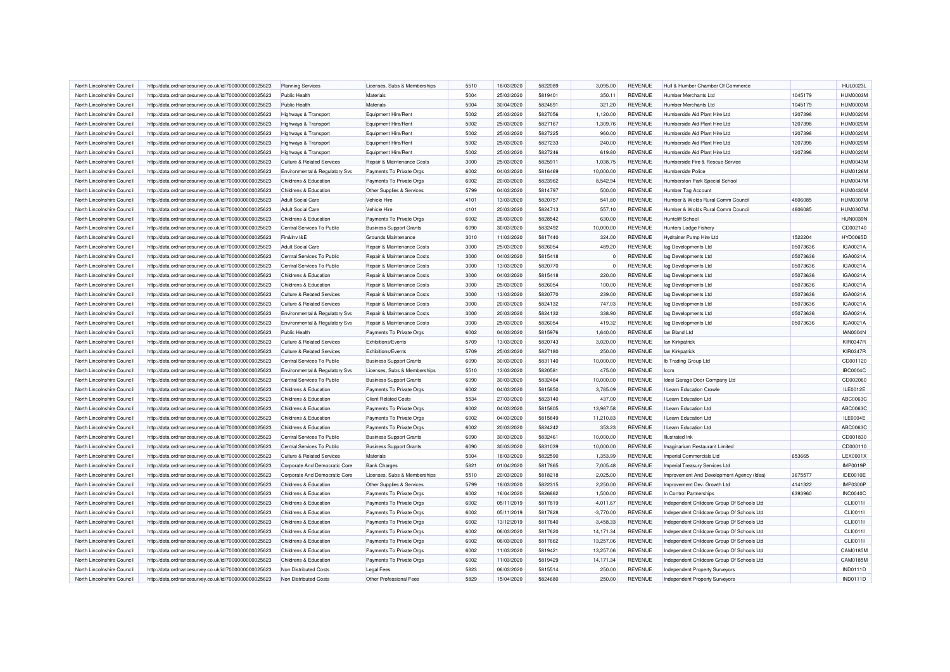| North Lincolnshire Council                               | http://data.ordnancesurvey.co.uk/id/7000000000025623 | <b>Planning Services</b>                  | Licenses, Subs & Memberships                          | 5510         | 18/03/2020 | 5822089            | 3.095.00    | <b>REVENUE</b> | Hull & Humber Chamber Of Commerce          |          | <b>HUL0023L</b>                    |
|----------------------------------------------------------|------------------------------------------------------|-------------------------------------------|-------------------------------------------------------|--------------|------------|--------------------|-------------|----------------|--------------------------------------------|----------|------------------------------------|
| North Lincolnshire Council                               | http://data.ordnancesurvey.co.uk/id/7000000000025623 | Public Health                             | Materials                                             | 5004         | 25/03/2020 | 5819401            | 350.11      | REVENUE        | Humber Merchants Ltd                       | 1045179  | HUM0003M                           |
| North Lincolnshire Council                               | http://data.ordnancesurvey.co.uk/id/7000000000025623 | <b>Public Health</b>                      | Materials                                             | 5004         | 30/04/2020 | 5824691            | 321.20      | REVENUE        | Humber Merchants Ltd                       | 1045179  | <b>HUM0003M</b>                    |
| North Lincolnshire Council                               | http://data.ordnancesurvey.co.uk/id/7000000000025623 | Highways & Transport                      | Equipment Hire/Rent                                   | 5002         | 25/03/2020 | 5827056            | 1,120.00    | REVENUE        | Humberside Aid Plant Hire Ltd              | 1207398  | <b>HUM0020M</b>                    |
| North Lincolnshire Council                               | http://data.ordnancesurvey.co.uk/id/7000000000025623 | Highways & Transport                      | Equipment Hire/Rent                                   | 5002         | 25/03/2020 | 5827167            | 1,309.76    | <b>REVENUE</b> | Humberside Aid Plant Hire Ltd              | 1207398  | HUM0020M                           |
| North Lincolnshire Council                               | http://data.ordnancesurvey.co.uk/id/7000000000025623 | Highways & Transport                      | Equipment Hire/Rent                                   | 5002         | 25/03/2020 | 5827225            | 960.00      | REVENUE        | Humberside Aid Plant Hire Ltd              | 1207398  | <b>HUM0020M</b>                    |
| North Lincolnshire Council                               | http://data.ordnancesurvey.co.uk/id/7000000000025623 | Highways & Transport                      | <b>Equipment Hire/Rent</b>                            | 5002         | 25/03/2020 | 5827233            | 240.00      | <b>REVENUE</b> | Humberside Aid Plant Hire Ltd              | 1207398  | <b>HUM0020M</b>                    |
| North Lincolnshire Council                               | http://data.ordnancesurvey.co.uk/id/7000000000025623 | Highways & Transport                      | Equipment Hire/Rent                                   | 5002         | 25/03/2020 | 5827246            | 619.80      | REVENUE        | Humberside Aid Plant Hire Ltd              | 1207398  | <b>HUM0020M</b>                    |
| North Lincolnshire Council                               | http://data.ordnancesurvey.co.uk/id/7000000000025623 | <b>Culture &amp; Related Services</b>     | Repair & Maintenance Costs                            | 3000         | 25/03/2020 | 5825911            | 1,038.75    | REVENUE        | Humberside Fire & Rescue Service           |          | <b>HUM0043M</b>                    |
| North Lincolnshire Council                               | http://data.ordnancesurvey.co.uk/id/7000000000025623 | <b>Environmental &amp; Regulatory Svs</b> | Payments To Private Orgs                              | 6002         | 04/03/2020 | 5816469            | 10,000.00   | REVENUE        | Humberside Police                          |          | <b>HUM0126M</b>                    |
| North Lincolnshire Council                               | http://data.ordnancesurvey.co.uk/id/7000000000025623 | <b>Childrens &amp; Education</b>          | Payments To Private Orgs                              | 6002         | 20/03/2020 | 5823962            | 8,542.94    | REVENUE        | Humberston Park Special School             |          | <b>HUM0047M</b>                    |
| North Lincolnshire Council                               | http://data.ordnancesurvey.co.uk/id/7000000000025623 | Childrens & Education                     | Other Supplies & Services                             | 5799         | 04/03/2020 | 5814797            | 500.00      | REVENUE        | Humber Tag Account                         |          | <b>HUM0430M</b>                    |
| North Lincolnshire Council                               | http://data.ordnancesurvey.co.uk/id/7000000000025623 | <b>Adult Social Care</b>                  | Vehicle Hire                                          | 4101         | 13/03/2020 | 5820757            | 541.80      | REVENUE        | Humber & Wolds Rural Comm Council          | 4606085  | <b>HUM0307M</b>                    |
| North Lincolnshire Council                               | http://data.ordnancesurvey.co.uk/id/7000000000025623 | <b>Adult Social Care</b>                  | Vehicle Hire                                          | 4101         | 20/03/2020 | 5824713            | 557.10      | REVENUE        | Humber & Wolds Rural Comm Council          | 4606085  | <b>HUM0307M</b>                    |
| North Lincolnshire Council                               | http://data.ordnancesurvey.co.uk/id/7000000000025623 | Childrens & Education                     | Payments To Private Orgs                              | 6002         | 26/03/2020 | 5828542            | 630.00      | <b>REVENUE</b> | <b>Huntcliff School</b>                    |          | <b>HUN0039N</b>                    |
| North Lincolnshire Council                               | http://data.ordnancesurvey.co.uk/id/7000000000025623 | Central Services To Public                | <b>Business Support Grants</b>                        | 6090         | 30/03/2020 | 5832492            | 10,000.00   | <b>REVENUE</b> | Hunters Lodge Fishery                      |          | CD002140                           |
| North Lincolnshire Council                               | http://data.ordnancesurvey.co.uk/id/7000000000025623 | Fin&Inv I&E                               | Grounds Maintenance                                   | 3010         | 11/03/2020 | 5817440            | 324.00      | REVENUE        | Hydrainer Pump Hire Ltd                    | 1522204  | <b>HYD0065D</b>                    |
| North Lincolnshire Council                               | http://data.ordnancesurvey.co.uk/id/7000000000025623 | <b>Adult Social Care</b>                  | Repair & Maintenance Costs                            | 3000         | 25/03/2020 | 5826054            | 489.20      | REVENUE        | lag Developments Ltd                       | 05073636 | IGA0021A                           |
| North Lincolnshire Council                               | http://data.ordnancesurvey.co.uk/id/7000000000025623 | Central Services To Public                | Repair & Maintenance Costs                            | 3000         | 04/03/2020 | 5815418            |             | <b>REVENUE</b> | lag Developments Ltd                       | 05073636 | IGA0021A                           |
| North Lincolnshire Council                               | http://data.ordnancesurvey.co.uk/id/7000000000025623 | Central Services To Public                | Repair & Maintenance Costs                            | 3000         | 13/03/2020 | 5820770            | -C          | REVENUE        | lag Developments Ltd                       | 05073636 | IGA0021A                           |
| North Lincolnshire Council                               | http://data.ordnancesurvey.co.uk/id/7000000000025623 | Childrens & Education                     | Repair & Maintenance Costs                            | 3000         | 04/03/2020 | 5815418            | 220.00      | REVENUE        | lag Developments Ltd                       | 05073636 | IGA0021A                           |
| North Lincolnshire Council                               | http://data.ordnancesurvey.co.uk/id/7000000000025623 | Childrens & Education                     | Repair & Maintenance Costs                            | 3000         | 25/03/2020 | 5826054            | 100.00      | REVENUE        | lag Developments Ltd                       | 05073636 | IGA0021A                           |
| North Lincolnshire Council                               | http://data.ordnancesurvey.co.uk/id/7000000000025623 | <b>Culture &amp; Related Services</b>     | Repair & Maintenance Costs                            | 3000         | 13/03/2020 | 5820770            | 239.00      | REVENUE        | lag Developments Ltd                       | 05073636 | IGA0021A                           |
| North Lincolnshire Council                               | http://data.ordnancesurvey.co.uk/id/7000000000025623 | <b>Culture &amp; Related Services</b>     | Repair & Maintenance Costs                            | 3000         | 20/03/2020 | 5824132            | 747.03      | REVENUE        | lag Developments Ltd                       | 05073636 | IGA0021A                           |
|                                                          |                                                      |                                           |                                                       | 3000         | 20/03/2020 | 5824132            | 338.90      | <b>REVENUE</b> |                                            | 05073636 | IGA0021A                           |
| North Lincolnshire Council                               | http://data.ordnancesurvey.co.uk/id/7000000000025623 | Environmental & Regulatory Svs            | Repair & Maintenance Costs                            |              |            |                    |             |                | lag Developments Ltd                       |          |                                    |
| North Lincolnshire Council                               | http://data.ordnancesurvey.co.uk/id/7000000000025623 | Environmental & Regulatory Svs            | Repair & Maintenance Costs                            | 3000         | 25/03/2020 | 5826054            | 419.32      | REVENUE        | lag Developments Ltd                       | 05073636 | IGA0021A                           |
| North Lincolnshire Council<br>North Lincolnshire Council | http://data.ordnancesurvey.co.uk/id/7000000000025623 | <b>Public Health</b>                      | Payments To Private Orgs<br><b>Exhibitions/Events</b> | 6002<br>5709 | 04/03/2020 | 5815976<br>5820743 | 1.640.00    | <b>REVENUE</b> | lan Bland Ltd                              |          | <b>IAN0004N</b><br><b>KIR0347R</b> |
|                                                          | http://data.ordnancesurvey.co.uk/id/7000000000025623 | <b>Culture &amp; Related Services</b>     |                                                       |              | 13/03/2020 |                    | 3,020.00    | <b>REVENUE</b> | lan Kirkpatrick                            |          |                                    |
| North Lincolnshire Council                               | http://data.ordnancesurvey.co.uk/id/7000000000025623 | <b>Culture &amp; Related Services</b>     | Exhibitions/Events                                    | 5709         | 25/03/2020 | 5827180            | 250.00      | REVENUE        | lan Kirkpatrick                            |          | <b>KIR0347R</b>                    |
| North Lincolnshire Council                               | http://data.ordnancesurvey.co.uk/id/7000000000025623 | Central Services To Public                | <b>Business Support Grants</b>                        | 6090         | 30/03/2020 | 5831140            | 10,000.00   | <b>REVENUE</b> | Ib Trading Group Ltd                       |          | CD001120                           |
| North Lincolnshire Council                               | http://data.ordnancesurvey.co.uk/id/7000000000025623 | Environmental & Regulatory Svs            | Licenses, Subs & Memberships                          | 5510         | 13/03/2020 | 5820581            | 475.00      | REVENUE        | Iccm                                       |          | <b>IBC0004C</b>                    |
| North Lincolnshire Council                               | http://data.ordnancesurvey.co.uk/id/7000000000025623 | Central Services To Public                | <b>Business Support Grants</b>                        | 6090         | 30/03/2020 | 5832484            | 10,000.00   | REVENUE        | Ideal Garage Door Company Ltd              |          | CD002060                           |
| North Lincolnshire Council                               | http://data.ordnancesurvey.co.uk/id/7000000000025623 | Childrens & Education                     | Payments To Private Orgs                              | 6002         | 04/03/2020 | 5815850            | 3,785.09    | REVENUE        | I Learn Education Crowle                   |          | ILE0012E                           |
| North Lincolnshire Council                               | http://data.ordnancesurvey.co.uk/id/7000000000025623 | Childrens & Education                     | <b>Client Related Costs</b>                           | 5534         | 27/03/2020 | 5823140            | 437.00      | <b>REVENUE</b> | I Learn Education Ltd                      |          | ABC0063C                           |
| North Lincolnshire Council                               | http://data.ordnancesurvey.co.uk/id/7000000000025623 | Childrens & Education                     | Payments To Private Orgs                              | 6002         | 04/03/2020 | 5815805            | 13,987.58   | REVENUE        | I Learn Education Ltd                      |          | ABC0063C                           |
| North Lincolnshire Council                               | http://data.ordnancesurvey.co.uk/id/7000000000025623 | Childrens & Education                     | Payments To Private Orgs                              | 6002         | 04/03/2020 | 5815849            | 11,210.83   | REVENUE        | I Learn Education Ltd                      |          | ILE0004E                           |
| North Lincolnshire Council                               | http://data.ordnancesurvey.co.uk/id/7000000000025623 | Childrens & Education                     | Payments To Private Orgs                              | 6002         | 20/03/2020 | 5824242            | 353.23      | <b>REVENUE</b> | I Learn Education Ltd                      |          | ABC0063C                           |
| North Lincolnshire Council                               | http://data.ordnancesurvey.co.uk/id/7000000000025623 | Central Services To Public                | <b>Business Support Grants</b>                        | 6090         | 30/03/2020 | 5832461            | 10,000.00   | <b>REVENUE</b> | <b>Illustrated Ink</b>                     |          | CD001830                           |
| North Lincolnshire Council                               | http://data.ordnancesurvey.co.uk/id/7000000000025623 | Central Services To Public                | <b>Business Support Grants</b>                        | 6090         | 30/03/2020 | 5831039            | 10,000.00   | REVENUE        | Imaginarium Restaurant Limited             |          | CD000110                           |
| North Lincolnshire Council                               | http://data.ordnancesurvey.co.uk/id/7000000000025623 | <b>Culture &amp; Related Services</b>     | Materials                                             | 5004         | 18/03/2020 | 5822590            | 1.353.99    | <b>REVENUE</b> | Imperial Commercials Ltd                   | 653665   | LEX0001X                           |
| North Lincolnshire Council                               | http://data.ordnancesurvey.co.uk/id/7000000000025623 | Corporate And Democratic Core             | <b>Bank Charges</b>                                   | 5821         | 01/04/2020 | 5817865            | 7,005.48    | REVENUE        | Imperial Treasury Services Ltd             |          | <b>IMP0019P</b>                    |
| North Lincolnshire Council                               | http://data.ordnancesurvey.co.uk/id/7000000000025623 | Corporate And Democratic Core             | Licenses, Subs & Memberships                          | 5510         | 20/03/2020 | 5818218            | 2,025.00    | <b>REVENUE</b> | Improvement And Development Agency (Idea)  | 3675577  | <b>IDE0010E</b>                    |
| North Lincolnshire Council                               | http://data.ordnancesurvey.co.uk/id/7000000000025623 | Childrens & Education                     | Other Supplies & Services                             | 5799         | 18/03/2020 | 5822315            | 2,250.00    | REVENUE        | Improvement Dev. Growth Ltd                | 4141322  | <b>IMP0300P</b>                    |
| North Lincolnshire Council                               | http://data.ordnancesurvey.co.uk/id/7000000000025623 | Childrens & Education                     | Payments To Private Orgs                              | 6002         | 16/04/2020 | 5826862            | 1,500.00    | <b>REVENUE</b> | In Control Partnerships                    | 6393960  | <b>INC0040C</b>                    |
| North Lincolnshire Council                               | http://data.ordnancesurvey.co.uk/id/7000000000025623 | Childrens & Education                     | Payments To Private Orgs                              | 6002         | 05/11/2019 | 5817819            | $-4,011.67$ | REVENUE        | Independent Childcare Group Of Schools Ltd |          | CLI0011I                           |
| North Lincolnshire Council                               | http://data.ordnancesurvey.co.uk/id/7000000000025623 | Childrens & Education                     | Payments To Private Orgs                              | 6002         | 05/11/2019 | 5817828            | $-3,770.00$ | <b>REVENUE</b> | Independent Childcare Group Of Schools Ltd |          | CLI00111                           |
| North Lincolnshire Council                               | http://data.ordnancesurvey.co.uk/id/7000000000025623 | <b>Childrens &amp; Education</b>          | Payments To Private Orgs                              | 6002         | 13/12/2019 | 5817840            | $-3,458.33$ | REVENUE        | Independent Childcare Group Of Schools Ltd |          | CLI0011I                           |
| North Lincolnshire Council                               | http://data.ordnancesurvey.co.uk/id/7000000000025623 | Childrens & Education                     | Payments To Private Orgs                              | 6002         | 06/03/2020 | 5817620            | 14,171.34   | <b>REVENUE</b> | Independent Childcare Group Of Schools Ltd |          | CLI00111                           |
| North Lincolnshire Council                               | http://data.ordnancesurvey.co.uk/id/7000000000025623 | Childrens & Education                     | Payments To Private Orgs                              | 6002         | 06/03/2020 | 5817662            | 13,257.06   | REVENUE        | Independent Childcare Group Of Schools Ltd |          | CLI0011I                           |
| North Lincolnshire Council                               | http://data.ordnancesurvey.co.uk/id/7000000000025623 | Childrens & Education                     | Payments To Private Orgs                              | 6002         | 11/03/2020 | 5819421            | 13,257.06   | <b>REVENUE</b> | Independent Childcare Group Of Schools Ltd |          | CAM0185M                           |
| North Lincolnshire Council                               | http://data.ordnancesurvey.co.uk/id/7000000000025623 | Childrens & Education                     | Payments To Private Orgs                              | 6002         | 11/03/2020 | 5819429            | 14,171.34   | REVENUE        | Independent Childcare Group Of Schools Ltd |          | CAM0185M                           |
| North Lincolnshire Council                               | http://data.ordnancesurvey.co.uk/id/7000000000025623 | Non Distributed Costs                     | Legal Fees                                            | 5823         | 06/03/2020 | 5815514            | 250.00      | <b>REVENUE</b> | Independent Property Surveyors             |          | <b>IND0111D</b>                    |
| North Lincolnshire Council                               | http://data.ordnancesurvey.co.uk/id/7000000000025623 | Non Distributed Costs                     | Other Professional Fees                               | 5829         | 15/04/2020 | 5824680            | 250.00      | REVENUE        | Independent Property Surveyors             |          | <b>IND0111D</b>                    |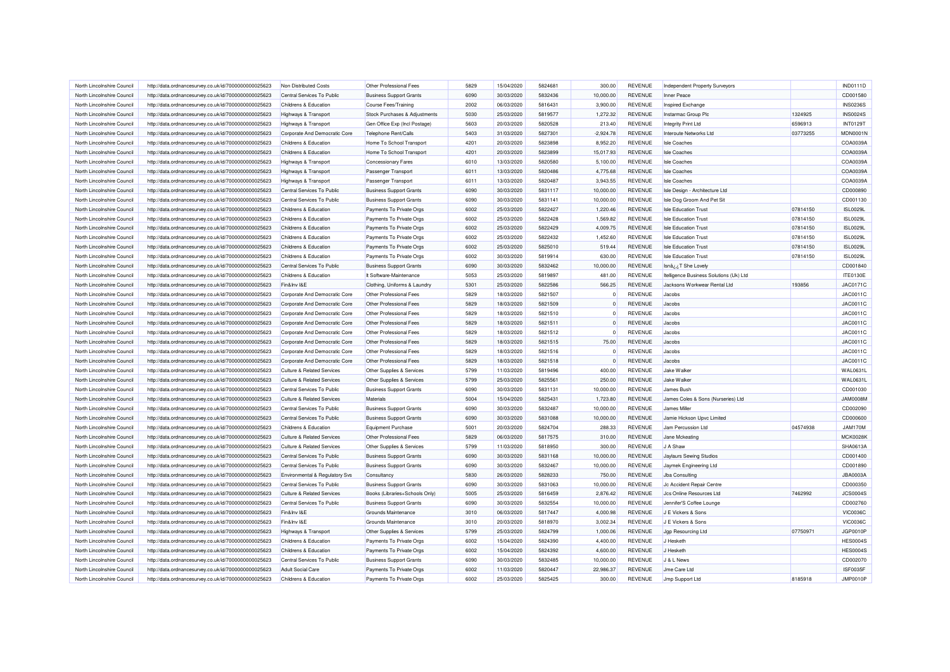| North Lincolnshire Council                               | http://data.ordnancesurvey.co.uk/id/7000000000025623 | Non Distributed Costs                                          | Other Professional Fees                              | 5829         | 15/04/2020               | 5824681            | 300.00           | <b>REVENUE</b>            | Independent Property Surveyors                   |          | <b>IND0111D</b>            |
|----------------------------------------------------------|------------------------------------------------------|----------------------------------------------------------------|------------------------------------------------------|--------------|--------------------------|--------------------|------------------|---------------------------|--------------------------------------------------|----------|----------------------------|
| North Lincolnshire Council                               | http://data.ordnancesurvey.co.uk/id/7000000000025623 | Central Services To Public                                     | <b>Business Support Grants</b>                       | 6090         | 30/03/2020               | 5832436            | 10,000.00        | REVENUE                   | <b>Inner Peace</b>                               |          | CD001580                   |
| North Lincolnshire Council                               | http://data.ordnancesurvey.co.uk/id/7000000000025623 | Childrens & Education                                          | Course Fees/Training                                 | 2002         | 06/03/2020               | 5816431            | 3,900.00         | REVENUE                   | Inspired Exchange                                |          | <b>INS0236S</b>            |
| North Lincolnshire Council                               | http://data.ordnancesurvey.co.uk/id/7000000000025623 | Highways & Transport                                           | Stock Purchases & Adjustments                        | 5030         | 25/03/2020               | 5819577            | 1,272.32         | <b>REVENUE</b>            | <b>Instarmac Group Plc</b>                       | 1324925  | <b>INS0024S</b>            |
| North Lincolnshire Council                               | http://data.ordnancesurvey.co.uk/id/7000000000025623 | Highways & Transport                                           | Gen Office Exp (Incl Postage)                        | 5603         | 20/03/2020               | 5820528            | 213.40           | <b>REVENUE</b>            | Integrity Print Ltd                              | 6596913  | <b>INT0129T</b>            |
| North Lincolnshire Council                               | http://data.ordnancesurvey.co.uk/id/7000000000025623 | Corporate And Democratic Core                                  | Telephone Rent/Calls                                 | 5403         | 31/03/2020               | 5827301            | $-2,924.78$      | <b>REVENUE</b>            | Interoute Networks Ltd                           | 03773255 | <b>MDN0001N</b>            |
| North Lincolnshire Council                               | http://data.ordnancesurvey.co.uk/id/7000000000025623 | Childrens & Education                                          | Home To School Transport                             | 4201         | 20/03/2020               | 5823898            | 8,952.20         | <b>REVENUE</b>            | <b>Isle Coaches</b>                              |          | COA0039A                   |
| North Lincolnshire Council                               | http://data.ordnancesurvey.co.uk/id/7000000000025623 | Childrens & Education                                          | Home To School Transport                             | 4201         | 20/03/2020               | 5823899            | 15,017.93        | REVENUE                   | <b>Isle Coaches</b>                              |          | COA0039/                   |
| North Lincolnshire Council                               | http://data.ordnancesurvey.co.uk/id/7000000000025623 | Highways & Transport                                           | <b>Concessionary Fares</b>                           | 6010         | 13/03/2020               | 5820580            | 5,100.00         | <b>REVENUE</b>            | <b>Isle Coaches</b>                              |          | COA0039A                   |
| North Lincolnshire Council                               | http://data.ordnancesurvey.co.uk/id/7000000000025623 | Highways & Transport                                           | <b>Passenger Transport</b>                           | 6011         | 13/03/2020               | 5820486            | 4,775.68         | REVENUE                   | <b>Isle Coaches</b>                              |          | COA0039A                   |
| North Lincolnshire Council                               | http://data.ordnancesurvey.co.uk/id/7000000000025623 | Highways & Transport                                           | Passenger Transport                                  | 6011         | 13/03/2020               | 5820487            | 3,943.55         | REVENUE                   | Isle Coaches                                     |          | COA0039A                   |
| North Lincolnshire Council                               | http://data.ordnancesurvey.co.uk/id/7000000000025623 | Central Services To Public                                     | <b>Business Support Grants</b>                       | 6090         | 30/03/2020               | 5831117            | 10,000.00        | <b>REVENUE</b>            | Isle Design - Architecture Ltd                   |          | CD000890                   |
| North Lincolnshire Council                               | http://data.ordnancesurvey.co.uk/id/7000000000025623 | Central Services To Public                                     | <b>Business Support Grants</b>                       | 6090         | 30/03/2020               | 5831141            | 10,000.00        | <b>REVENUE</b>            | Isle Dog Groom And Pet Sit                       |          | CD001130                   |
| North Lincolnshire Council                               | http://data.ordnancesurvey.co.uk/id/7000000000025623 | Childrens & Education                                          | Payments To Private Orgs                             | 6002         | 25/03/2020               | 5822427            | 1,220.46         | <b>REVENUE</b>            | <b>Isle Education Trust</b>                      | 07814150 | <b>ISL0029L</b>            |
| North Lincolnshire Council                               | http://data.ordnancesurvey.co.uk/id/7000000000025623 | Childrens & Education                                          | Payments To Private Orgs                             | 6002         | 25/03/2020               | 5822428            | 1,569.82         | REVENUE                   | <b>Isle Education Trust</b>                      | 07814150 | <b>ISL0029L</b>            |
| North Lincolnshire Council                               | http://data.ordnancesurvey.co.uk/id/7000000000025623 | Childrens & Education                                          | Payments To Private Orgs                             | 6002         | 25/03/2020               | 5822429            | 4,009.75         | REVENUE                   | <b>Isle Education Trust</b>                      | 07814150 | <b>ISL0029L</b>            |
| North Lincolnshire Council                               | http://data.ordnancesurvey.co.uk/id/7000000000025623 | Childrens & Education                                          | Payments To Private Orgs                             | 6002         | 25/03/2020               | 5822432            | 1,452.60         | REVENUE                   | <b>Isle Education Trust</b>                      | 07814150 | <b>ISL0029L</b>            |
| North Lincolnshire Council                               | http://data.ordnancesurvey.co.uk/id/7000000000025623 | <b>Childrens &amp; Education</b>                               | Payments To Private Orgs                             | 6002         | 25/03/2020               | 5825010            | 519.44           | <b>REVENUE</b>            | <b>Isle Education Trust</b>                      | 07814150 | <b>ISL0029L</b>            |
| North Lincolnshire Council                               | http://data.ordnancesurvey.co.uk/id/7000000000025623 | Childrens & Education                                          | Payments To Private Orgs                             | 6002         | 30/03/2020               | 5819914            | 630.00           | REVENUE                   | <b>Isle Education Trust</b>                      | 07814150 | <b>ISL0029L</b>            |
| North Lincolnshire Council                               | http://data.ordnancesurvey.co.uk/id/7000000000025623 | Central Services To Public                                     | <b>Business Support Grants</b>                       | 6090         | 30/03/2020               | 5832462            | 10.000.00        | <b>REVENUE</b>            | IsnâzzT She Lovely                               |          | CD001840                   |
| North Lincolnshire Council                               | http://data.ordnancesurvey.co.uk/id/7000000000025623 | Childrens & Education                                          | It Software-Maintenance                              | 5053         | 25/03/2020               | 5819897            | 481.00           | <b>REVENUE</b>            | Itelligence Business Solutions (Uk) Ltd          |          | <b>ITE0130E</b>            |
| North Lincolnshire Council                               | http://data.ordnancesurvey.co.uk/id/7000000000025623 | Fin&Inv I&E                                                    | Clothing, Uniforms & Laundry                         | 5301         | 25/03/2020               | 5822586            | 566.25           | REVENUE                   | Jacksons Workwear Rental Ltd                     | 193856   | JAC0171C                   |
| North Lincolnshire Council                               | http://data.ordnancesurvey.co.uk/id/7000000000025623 | Corporate And Democratic Core                                  | Other Professional Fees                              | 5829         | 18/03/2020               | 5821507            | $\Omega$         | REVENUE                   | Jacobs                                           |          | JAC0011C                   |
| North Lincolnshire Council                               | http://data.ordnancesurvey.co.uk/id/7000000000025623 | Corporate And Democratic Core                                  | Other Professional Fees                              | 5829         | 18/03/2020               | 5821509            | $\mathbf 0$      | <b>REVENUE</b>            | Jacobs                                           |          | JAC0011C                   |
| North Lincolnshire Council                               | http://data.ordnancesurvey.co.uk/id/7000000000025623 | Corporate And Democratic Core                                  | Other Professional Fees                              | 5829         | 18/03/2020               | 5821510            | $\Omega$         | REVENUE                   | Jacobs                                           |          | JAC0011C                   |
| North Lincolnshire Council                               | http://data.ordnancesurvey.co.uk/id/7000000000025623 | Corporate And Democratic Core                                  | Other Professional Fees                              | 5829         | 18/03/2020               | 5821511            | $\mathbf 0$      | <b>REVENUE</b>            | Jacobs                                           |          | JAC0011C                   |
| North Lincolnshire Council                               | http://data.ordnancesurvey.co.uk/id/7000000000025623 | Corporate And Democratic Core                                  | <b>Other Professional Fees</b>                       | 5829         | 18/03/2020               | 5821512            | $\Omega$         | <b>REVENUE</b>            | Jacobs                                           |          | JAC0011C                   |
| North Lincolnshire Council                               | http://data.ordnancesurvey.co.uk/id/7000000000025623 | Corporate And Democratic Core                                  | Other Professional Fees                              | 5829         | 18/03/2020               | 5821515            | 75.00            | <b>REVENUE</b>            | Jacobs                                           |          | <b>JAC0011C</b>            |
| North Lincolnshire Council                               | http://data.ordnancesurvey.co.uk/id/7000000000025623 | Corporate And Democratic Core                                  | Other Professional Fees                              | 5829         | 18/03/2020               | 5821516            |                  | REVENUE                   | Jacobs                                           |          | JAC0011C                   |
| North Lincolnshire Council                               | http://data.ordnancesurvey.co.uk/id/7000000000025623 | Corporate And Democratic Core                                  | Other Professional Fees                              | 5829         | 18/03/2020               | 5821518            | $\Omega$         | <b>REVENUE</b>            | Jacobs                                           |          | JAC0011C                   |
| North Lincolnshire Council                               | http://data.ordnancesurvey.co.uk/id/7000000000025623 | <b>Culture &amp; Related Services</b>                          | Other Supplies & Services                            | 5799         | 11/03/2020               | 5819496            | 400.00           | REVENUE                   | Jake Walker                                      |          | WAL0631L                   |
| North Lincolnshire Council                               | http://data.ordnancesurvey.co.uk/id/7000000000025623 | <b>Culture &amp; Related Services</b>                          | Other Supplies & Services                            | 5799         | 25/03/2020               | 5825561            | 250.00           | <b>REVENUE</b>            | Jake Walker                                      |          | <b>WAL0631L</b>            |
| North Lincolnshire Council                               | http://data.ordnancesurvey.co.uk/id/7000000000025623 | Central Services To Public                                     | <b>Business Support Grants</b>                       | 6090         | 30/03/2020               | 5831131            | 10,000.00        | REVENUE                   | James Bush                                       |          | CD001030                   |
| North Lincolnshire Council                               |                                                      | <b>Culture &amp; Related Services</b>                          | Materials                                            | 5004         | 15/04/2020               | 5825431            | 1,723.80         | <b>REVENUE</b>            | James Coles & Sons (Nurseries) Ltd               |          | <b>JAM0008M</b>            |
|                                                          | http://data.ordnancesurvey.co.uk/id/7000000000025623 |                                                                |                                                      |              |                          |                    |                  |                           | James Miller                                     |          |                            |
| North Lincolnshire Council                               | http://data.ordnancesurvey.co.uk/id/7000000000025623 | Central Services To Public                                     | <b>Business Support Grants</b>                       | 6090         | 30/03/2020               | 5832487            | 10,000.00        | REVENUE                   |                                                  |          | CD002090                   |
| North Lincolnshire Council                               | http://data.ordnancesurvey.co.uk/id/7000000000025623 | Central Services To Public                                     | <b>Business Support Grants</b>                       | 6090<br>5001 | 30/03/2020<br>20/03/2020 | 5831088<br>5824704 | 10,000.00        | <b>REVENUE</b><br>REVENUE | Jamie Hickson Upvc Limited<br>Jam Percussion Ltd | 04574938 | CD000600<br><b>JAM170M</b> |
| North Lincolnshire Council<br>North Lincolnshire Council | http://data.ordnancesurvey.co.uk/id/7000000000025623 | Childrens & Education<br><b>Culture &amp; Related Services</b> | <b>Equipment Purchase</b><br>Other Professional Fees | 5829         | 06/03/2020               | 5817575            | 288.33<br>310.00 | <b>REVENUE</b>            | Jane Mckeating                                   |          | <b>MCK0028k</b>            |
| North Lincolnshire Council                               | http://data.ordnancesurvey.co.uk/id/7000000000025623 | <b>Culture &amp; Related Services</b>                          |                                                      | 5799         | 11/03/2020               | 5818950            |                  | <b>REVENUE</b>            | J A Shaw                                         |          | SHA0613A                   |
|                                                          | http://data.ordnancesurvey.co.uk/id/7000000000025623 |                                                                | Other Supplies & Services                            |              |                          |                    | 300.00           |                           |                                                  |          |                            |
| North Lincolnshire Council                               | http://data.ordnancesurvey.co.uk/id/7000000000025623 | Central Services To Public                                     | <b>Business Support Grants</b>                       | 6090         | 30/03/2020               | 5831168            | 10,000.00        | <b>REVENUE</b>            | Jaylaurs Sewing Studios                          |          | CD001400                   |
| North Lincolnshire Council                               | http://data.ordnancesurvey.co.uk/id/7000000000025623 | Central Services To Public                                     | <b>Business Support Grants</b>                       | 6090         | 30/03/2020               | 5832467            | 10,000.00        | REVENUE                   | Jaymek Engineering Ltd                           |          | CD001890                   |
| North Lincolnshire Council                               | http://data.ordnancesurvey.co.uk/id/7000000000025623 | Environmental & Regulatory Svs                                 | Consultancy                                          | 5830         | 26/03/2020               | 5828233            | 750.00           | <b>REVENUE</b>            | Jba Consulting                                   |          | JBA0003A                   |
| North Lincolnshire Council                               | http://data.ordnancesurvey.co.uk/id/7000000000025623 | Central Services To Public                                     | <b>Business Support Grants</b>                       | 6090         | 30/03/2020               | 5831063            | 10,000.00        | REVENUE                   | Jc Accident Repair Centre                        |          | CD000350                   |
| North Lincolnshire Council                               | http://data.ordnancesurvey.co.uk/id/7000000000025623 | <b>Culture &amp; Related Services</b>                          | Books (Libraries+Schools Only)                       | 5005         | 25/03/2020               | 5816459            | 2,876.42         | REVENUE                   | Jcs Online Resources Ltd                         | 7462992  | <b>JCS0004S</b>            |
| North Lincolnshire Council                               | http://data.ordnancesurvey.co.uk/id/7000000000025623 | Central Services To Public                                     | <b>Business Support Grants</b>                       | 6090         | 30/03/2020               | 5832554            | 10,000.00        | REVENUE                   | Jennifer'S Coffee Lounge                         |          | CD002760                   |
| North Lincolnshire Council                               | http://data.ordnancesurvey.co.uk/id/7000000000025623 | Fin&Inv I&E                                                    | Grounds Maintenance                                  | 3010         | 06/03/2020               | 5817447            | 4,000.98         | REVENUE                   | J E Vickers & Sons                               |          | <b>VIC0036C</b>            |
| North Lincolnshire Council                               | http://data.ordnancesurvey.co.uk/id/7000000000025623 | Fin&Inv I&E                                                    | Grounds Maintenance                                  | 3010         | 20/03/2020               | 5818970            | 3.002.34         | <b>REVENUE</b>            | J E Vickers & Sons                               |          | <b>VIC0036C</b>            |
| North Lincolnshire Council                               | http://data.ordnancesurvey.co.uk/id/7000000000025623 | Highways & Transport                                           | Other Supplies & Services                            | 5799         | 25/03/2020               | 5824799            | 1,000.06         | <b>REVENUE</b>            | Jgp Resourcing Ltd                               | 07750971 | <b>JGP0010P</b>            |
| North Lincolnshire Council                               | http://data.ordnancesurvey.co.uk/id/7000000000025623 | Childrens & Education                                          | Payments To Private Orgs                             | 6002         | 15/04/2020               | 5824390            | 4,400.00         | REVENUE                   | J Hesketh                                        |          | <b>HES0004S</b>            |
| North Lincolnshire Council                               | http://data.ordnancesurvey.co.uk/id/7000000000025623 | Childrens & Education                                          | Payments To Private Orgs                             | 6002         | 15/04/2020               | 5824392            | 4,600.00         | <b>REVENUE</b>            | J Hesketh                                        |          | <b>HES0004S</b>            |
| North Lincolnshire Council                               | http://data.ordnancesurvey.co.uk/id/7000000000025623 | Central Services To Public                                     | <b>Business Support Grants</b>                       | 6090         | 30/03/2020               | 5832485            | 10,000.00        | <b>REVENUE</b>            | J & L News                                       |          | CD002070                   |
| North Lincolnshire Council                               | http://data.ordnancesurvey.co.uk/id/7000000000025623 | <b>Adult Social Care</b>                                       | Payments To Private Orgs                             | 6002         | 11/03/2020               | 5820447            | 22,986.37        | <b>REVENUE</b>            | <b>Jme Care Ltd</b>                              |          | <b>ISF0035F</b>            |
| North Lincolnshire Council                               | http://data.ordnancesurvey.co.uk/id/7000000000025623 | Childrens & Education                                          | Payments To Private Orgs                             | 6002         | 25/03/2020               | 5825425            | 300.00           | <b>REVENUE</b>            | Jmp Support Ltd                                  | 8185918  | <b>JMP0010P</b>            |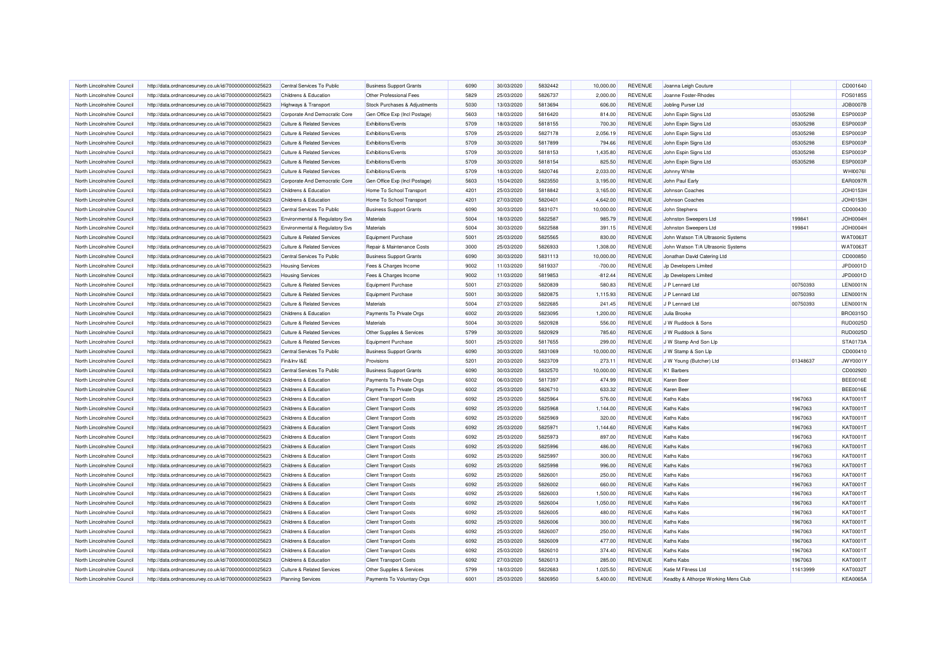| North Lincolnshire Council                               | http://data.ordnancesurvey.co.uk/id/7000000000025623                                                         | Central Services To Public            | <b>Business Support Grants</b> | 6090 | 30/03/2020 | 5832442 | 10,000.00 | <b>REVENUE</b> | Joanna Leigh Couture                |          | CD001640        |
|----------------------------------------------------------|--------------------------------------------------------------------------------------------------------------|---------------------------------------|--------------------------------|------|------------|---------|-----------|----------------|-------------------------------------|----------|-----------------|
| North Lincolnshire Council                               | http://data.ordnancesurvey.co.uk/id/7000000000025623                                                         | Childrens & Education                 | Other Professional Fees        | 5829 | 25/03/2020 | 5826737 | 2,000.00  | REVENUE        | Joanne Foster-Rhodes                |          | FOS0185S        |
| North Lincolnshire Council                               | http://data.ordnancesurvey.co.uk/id/7000000000025623                                                         | Highways & Transport                  | Stock Purchases & Adjustments  | 5030 | 13/03/2020 | 5813694 | 606.00    | <b>REVENUE</b> | Jobling Purser Ltd                  |          | <b>JOB0007B</b> |
| North Lincolnshire Council                               | http://data.ordnancesurvey.co.uk/id/7000000000025623                                                         | Corporate And Democratic Core         | Gen Office Exp (Incl Postage)  | 5603 | 18/03/2020 | 5816420 | 814.00    | <b>REVENUE</b> | John Espin Signs Ltd                | 05305298 | ESP0003P        |
| North Lincolnshire Council                               | http://data.ordnancesurvey.co.uk/id/7000000000025623                                                         | <b>Culture &amp; Related Services</b> | <b>Exhibitions/Events</b>      | 5709 | 18/03/2020 | 5818155 | 700.30    | <b>REVENUE</b> | John Espin Signs Ltd                | 05305298 | ESP0003P        |
| North Lincolnshire Council                               | http://data.ordnancesurvey.co.uk/id/7000000000025623                                                         | <b>Culture &amp; Related Services</b> | Exhibitions/Events             | 5709 | 25/03/2020 | 5827178 | 2,056.19  | <b>REVENUE</b> | John Espin Signs Ltd                | 05305298 | ESP0003P        |
| North Lincolnshire Council                               | http://data.ordnancesurvey.co.uk/id/7000000000025623                                                         | <b>Culture &amp; Related Services</b> | Exhibitions/Events             | 5709 | 30/03/2020 | 5817899 | 794.66    | <b>REVENUE</b> | John Espin Signs Ltd                | 05305298 | ESP0003P        |
| North Lincolnshire Council                               | http://data.ordnancesurvey.co.uk/id/7000000000025623                                                         | <b>Culture &amp; Related Services</b> | Exhibitions/Events             | 5709 | 30/03/2020 | 5818153 | 1,435.80  | REVENUE        | John Espin Signs Ltd                | 05305298 | ESP0003P        |
| North Lincolnshire Council                               | http://data.ordnancesurvey.co.uk/id/7000000000025623                                                         | <b>Culture &amp; Related Services</b> | Exhibitions/Events             | 5709 | 30/03/2020 | 5818154 | 825.50    | <b>REVENUE</b> | John Espin Signs Ltd                | 05305298 | ESP0003P        |
| North Lincolnshire Council                               | http://data.ordnancesurvey.co.uk/id/7000000000025623                                                         | <b>Culture &amp; Related Services</b> | Exhibitions/Events             | 5709 | 18/03/2020 | 5820746 | 2,033.00  | <b>REVENUE</b> | Johnny White                        |          | <b>WHI0076I</b> |
| North Lincolnshire Council                               | http://data.ordnancesurvey.co.uk/id/7000000000025623                                                         | Corporate And Democratic Core         | Gen Office Exp (Incl Postage)  | 5603 | 15/04/2020 | 5823550 | 3,195.00  | <b>REVENUE</b> | John Paul Early                     |          | <b>EAR0097R</b> |
| North Lincolnshire Council                               | http://data.ordnancesurvey.co.uk/id/7000000000025623                                                         | Childrens & Education                 | Home To School Transport       | 4201 | 25/03/2020 | 5818842 | 3,165.00  | <b>REVENUE</b> | Johnson Coaches                     |          | JOH0153H        |
| North Lincolnshire Council                               | http://data.ordnancesurvey.co.uk/id/7000000000025623                                                         | Childrens & Education                 | Home To School Transport       | 4201 | 27/03/2020 | 5820401 | 4,642.00  | <b>REVENUE</b> | Johnson Coaches                     |          | JOH0153H        |
| North Lincolnshire Council                               | http://data.ordnancesurvey.co.uk/id/7000000000025623                                                         | Central Services To Public            | <b>Business Support Grants</b> | 6090 | 30/03/2020 | 5831071 | 10,000.00 | REVENUE        | John Stephens                       |          | CD000430        |
| North Lincolnshire Council                               | http://data.ordnancesurvey.co.uk/id/7000000000025623                                                         | Environmental & Regulatory Svs        | Materials                      | 5004 | 18/03/2020 | 5822587 | 985.79    | REVENUE        | Johnston Sweepers Ltd               | 199841   | <b>JOH0004H</b> |
| North Lincolnshire Council                               | http://data.ordnancesurvey.co.uk/id/7000000000025623                                                         | Environmental & Regulatory Svs        | Materials                      | 5004 | 30/03/2020 | 5822588 | 391.15    | REVENUE        | Johnston Sweepers Ltd               | 199841   | <b>JOH0004H</b> |
| North Lincolnshire Council                               | http://data.ordnancesurvey.co.uk/id/7000000000025623                                                         | <b>Culture &amp; Related Services</b> | <b>Equipment Purchase</b>      | 5001 | 25/03/2020 | 5825565 | 830.00    | <b>REVENUE</b> | John Watson T/A Ultrasonic Systems  |          | WAT0063T        |
| North Lincolnshire Council                               | http://data.ordnancesurvey.co.uk/id/7000000000025623                                                         | <b>Culture &amp; Related Services</b> | Repair & Maintenance Costs     | 3000 | 25/03/2020 | 5826933 | 1,308.00  | <b>REVENUE</b> | John Watson T/A Ultrasonic Systems  |          | WAT00631        |
|                                                          |                                                                                                              | Central Services To Public            | <b>Business Support Grants</b> | 6090 | 30/03/2020 | 5831113 | 10,000.00 | REVENUE        | Jonathan David Catering Ltd         |          | CD000850        |
| North Lincolnshire Council<br>North Lincolnshire Council | http://data.ordnancesurvey.co.uk/id/7000000000025623<br>http://data.ordnancesurvey.co.uk/id/7000000000025623 | <b>Housing Services</b>               | Fees & Charges Income          | 9002 | 11/03/2020 | 5819337 | $-700.00$ | <b>REVENUE</b> | Jp Developers Limited               |          | JPD0001D        |
| North Lincolnshire Council                               |                                                                                                              | <b>Housing Services</b>               |                                | 9002 | 11/03/2020 | 5819853 | $-812.44$ | <b>REVENUE</b> | Jp Developers Limited               |          | JPD0001D        |
| North Lincolnshire Council                               | http://data.ordnancesurvey.co.uk/id/7000000000025623                                                         |                                       | Fees & Charges Income          | 5001 |            | 5820839 |           |                |                                     |          | <b>LEN0001N</b> |
|                                                          | http://data.ordnancesurvey.co.uk/id/7000000000025623                                                         | <b>Culture &amp; Related Services</b> | Equipment Purchase             |      | 27/03/2020 |         | 580.83    | REVENUE        | J P Lennard Ltd                     | 00750393 |                 |
| North Lincolnshire Council                               | http://data.ordnancesurvey.co.uk/id/7000000000025623                                                         | <b>Culture &amp; Related Services</b> | <b>Equipment Purchase</b>      | 5001 | 30/03/2020 | 5820875 | 1,115.93  | REVENUE        | J P Lennard Ltd                     | 00750393 | <b>LEN0001N</b> |
| North Lincolnshire Council                               | http://data.ordnancesurvey.co.uk/id/7000000000025623                                                         | <b>Culture &amp; Related Services</b> | Materials                      | 5004 | 27/03/2020 | 5822685 | 241.45    | <b>REVENUE</b> | J P Lennard Ltd                     | 00750393 | LEN0001N        |
| North Lincolnshire Council                               | http://data.ordnancesurvey.co.uk/id/7000000000025623                                                         | <b>Childrens &amp; Education</b>      | Payments To Private Orgs       | 6002 | 20/03/2020 | 5823095 | 1,200.00  | <b>REVENUE</b> | Julia Brooke                        |          | BRO0315O        |
| North Lincolnshire Council                               | http://data.ordnancesurvey.co.uk/id/7000000000025623                                                         | <b>Culture &amp; Related Services</b> | Materials                      | 5004 | 30/03/2020 | 5820928 | 556.00    | <b>REVENUE</b> | J W Ruddock & Sons                  |          | <b>RUD0025D</b> |
| North Lincolnshire Council                               | http://data.ordnancesurvey.co.uk/id/7000000000025623                                                         | <b>Culture &amp; Related Services</b> | Other Supplies & Services      | 5799 | 30/03/2020 | 5820929 | 785.60    | <b>REVENUE</b> | J W Ruddock & Sons                  |          | <b>RUD0025D</b> |
| North Lincolnshire Council                               | http://data.ordnancesurvey.co.uk/id/7000000000025623                                                         | <b>Culture &amp; Related Services</b> | Equipment Purchase             | 5001 | 25/03/2020 | 5817655 | 299.00    | <b>REVENUE</b> | J W Stamp And Son Llp               |          | STA0173A        |
| North Lincolnshire Council                               | http://data.ordnancesurvey.co.uk/id/7000000000025623                                                         | Central Services To Public            | <b>Business Support Grants</b> | 6090 | 30/03/2020 | 5831069 | 10,000.00 | REVENUE        | J W Stamp & Son Lip                 |          | CD000410        |
| North Lincolnshire Council                               | http://data.ordnancesurvey.co.uk/id/7000000000025623                                                         | Fin&Inv I&E                           | Provisions                     | 5201 | 20/03/2020 | 5823709 | 273.11    | REVENUE        | J W Young (Butcher) Ltd             | 01348637 | <b>JWY0001Y</b> |
| North Lincolnshire Council                               | http://data.ordnancesurvey.co.uk/id/7000000000025623                                                         | Central Services To Public            | <b>Business Support Grants</b> | 6090 | 30/03/2020 | 5832570 | 10,000.00 | <b>REVENUE</b> | K <sub>1</sub> Barbers              |          | CD002920        |
| North Lincolnshire Council                               | http://data.ordnancesurvey.co.uk/id/7000000000025623                                                         | Childrens & Education                 | Payments To Private Orgs       | 6002 | 06/03/2020 | 5817397 | 474.99    | <b>REVENUE</b> | Karen Beer                          |          | <b>BEE0016E</b> |
| North Lincolnshire Council                               | http://data.ordnancesurvey.co.uk/id/7000000000025623                                                         | Childrens & Education                 | Payments To Private Orgs       | 6002 | 25/03/2020 | 5826710 | 633.32    | REVENUE        | Karen Beer                          |          | <b>BEE0016E</b> |
| North Lincolnshire Council                               | http://data.ordnancesurvey.co.uk/id/7000000000025623                                                         | Childrens & Education                 | <b>Client Transport Costs</b>  | 6092 | 25/03/2020 | 5825964 | 576.00    | <b>REVENUE</b> | <b>Kaths Kabs</b>                   | 1967063  | <b>KAT0001T</b> |
| North Lincolnshire Council                               | http://data.ordnancesurvey.co.uk/id/7000000000025623                                                         | Childrens & Education                 | <b>Client Transport Costs</b>  | 6092 | 25/03/2020 | 5825968 | 1,144.00  | <b>REVENUE</b> | <b>Kaths Kabs</b>                   | 1967063  | KAT0001T        |
| North Lincolnshire Council                               | http://data.ordnancesurvey.co.uk/id/7000000000025623                                                         | Childrens & Education                 | <b>Client Transport Costs</b>  | 6092 | 25/03/2020 | 5825969 | 320.00    | REVENUE        | <b>Kaths Kabs</b>                   | 1967063  | KAT0001T        |
| North Lincolnshire Council                               | http://data.ordnancesurvey.co.uk/id/7000000000025623                                                         | Childrens & Education                 | <b>Client Transport Costs</b>  | 6092 | 25/03/2020 | 5825971 | 1,144.60  | <b>REVENUE</b> | <b>Kaths Kabs</b>                   | 1967063  | KAT0001T        |
| North Lincolnshire Council                               | http://data.ordnancesurvey.co.uk/id/7000000000025623                                                         | Childrens & Education                 | <b>Client Transport Costs</b>  | 6092 | 25/03/2020 | 5825973 | 897.00    | REVENUE        | <b>Kaths Kabs</b>                   | 1967063  | <b>KAT0001T</b> |
| North Lincolnshire Council                               | http://data.ordnancesurvey.co.uk/id/7000000000025623                                                         | Childrens & Education                 | <b>Client Transport Costs</b>  | 6092 | 25/03/2020 | 5825996 | 486.00    | REVENUE        | <b>Kaths Kabs</b>                   | 1967063  | KAT0001T        |
| North Lincolnshire Council                               | http://data.ordnancesurvey.co.uk/id/7000000000025623                                                         | Childrens & Education                 | <b>Client Transport Costs</b>  | 6092 | 25/03/2020 | 5825997 | 300.00    | <b>REVENUE</b> | <b>Kaths Kabs</b>                   | 1967063  | <b>KAT0001T</b> |
| North Lincolnshire Council                               | http://data.ordnancesurvey.co.uk/id/7000000000025623                                                         | Childrens & Education                 | <b>Client Transport Costs</b>  | 6092 | 25/03/2020 | 5825998 | 996.00    | <b>REVENUE</b> | <b>Kaths Kabs</b>                   | 1967063  | KAT0001T        |
| North Lincolnshire Council                               | http://data.ordnancesurvey.co.uk/id/7000000000025623                                                         | Childrens & Education                 | <b>Client Transport Costs</b>  | 6092 | 25/03/2020 | 5826001 | 250.00    | <b>REVENUE</b> | Kaths Kabs                          | 1967063  | KAT0001T        |
| North Lincolnshire Council                               | http://data.ordnancesurvey.co.uk/id/7000000000025623                                                         | Childrens & Education                 | <b>Client Transport Costs</b>  | 6092 | 25/03/2020 | 5826002 | 660.00    | <b>REVENUE</b> | <b>Kaths Kabs</b>                   | 1967063  | <b>KAT0001T</b> |
| North Lincolnshire Council                               | http://data.ordnancesurvey.co.uk/id/7000000000025623                                                         | Childrens & Education                 | <b>Client Transport Costs</b>  | 6092 | 25/03/2020 | 5826003 | 1,500.00  | <b>REVENUE</b> | <b>Kaths Kabs</b>                   | 1967063  | <b>KAT0001T</b> |
| North Lincolnshire Council                               | http://data.ordnancesurvey.co.uk/id/7000000000025623                                                         | Childrens & Education                 | <b>Client Transport Costs</b>  | 6092 | 25/03/2020 | 5826004 | 1,050.00  | <b>REVENUE</b> | <b>Kaths Kabs</b>                   | 1967063  | KAT0001T        |
| North Lincolnshire Council                               | http://data.ordnancesurvey.co.uk/id/7000000000025623                                                         | Childrens & Education                 | <b>Client Transport Costs</b>  | 6092 | 25/03/2020 | 5826005 | 480.00    | REVENUE        | Kaths Kabs                          | 1967063  | KAT0001T        |
| North Lincolnshire Council                               | http://data.ordnancesurvey.co.uk/id/7000000000025623                                                         | <b>Childrens &amp; Education</b>      | <b>Client Transport Costs</b>  | 6092 | 25/03/2020 | 5826006 | 300.00    | <b>REVENUE</b> | Kaths Kabs                          | 1967063  | <b>KAT0001T</b> |
| North Lincolnshire Council                               | http://data.ordnancesurvey.co.uk/id/7000000000025623                                                         | Childrens & Education                 | <b>Client Transport Costs</b>  | 6092 | 25/03/2020 | 5826007 | 250.00    | REVENUE        | Kaths Kabs                          | 1967063  | KAT0001T        |
| North Lincolnshire Council                               | http://data.ordnancesurvey.co.uk/id/7000000000025623                                                         | Childrens & Education                 | <b>Client Transport Costs</b>  | 6092 | 25/03/2020 | 5826009 | 477.00    | <b>REVENUE</b> | <b>Kaths Kabs</b>                   | 1967063  | <b>KAT0001T</b> |
| North Lincolnshire Council                               | http://data.ordnancesurvey.co.uk/id/7000000000025623                                                         | Childrens & Education                 | <b>Client Transport Costs</b>  | 6092 | 25/03/2020 | 5826010 | 374.40    | REVENUE        | Kaths Kabs                          | 1967063  | KAT0001T        |
| North Lincolnshire Council                               | http://data.ordnancesurvey.co.uk/id/7000000000025623                                                         | Childrens & Education                 | <b>Client Transport Costs</b>  | 6092 | 27/03/2020 | 5826013 | 285.00    | <b>REVENUE</b> | <b>Kaths Kabs</b>                   | 1967063  | KAT0001T        |
| North Lincolnshire Council                               | http://data.ordnancesurvey.co.uk/id/7000000000025623                                                         | <b>Culture &amp; Related Services</b> | Other Supplies & Services      | 5799 | 18/03/2020 | 5822683 | 1,025.50  | REVENUE        | Katie M Fitness Ltd                 | 11613999 | KAT0032T        |
| North Lincolnshire Council                               | http://data.ordnancesurvey.co.uk/id/7000000000025623                                                         | <b>Planning Services</b>              | Payments To Voluntary Orgs     | 6001 | 25/03/2020 | 5826950 | 5,400.00  | <b>REVENUE</b> | Keadby & Althorpe Working Mens Club |          | <b>KEA0065A</b> |
|                                                          |                                                                                                              |                                       |                                |      |            |         |           |                |                                     |          |                 |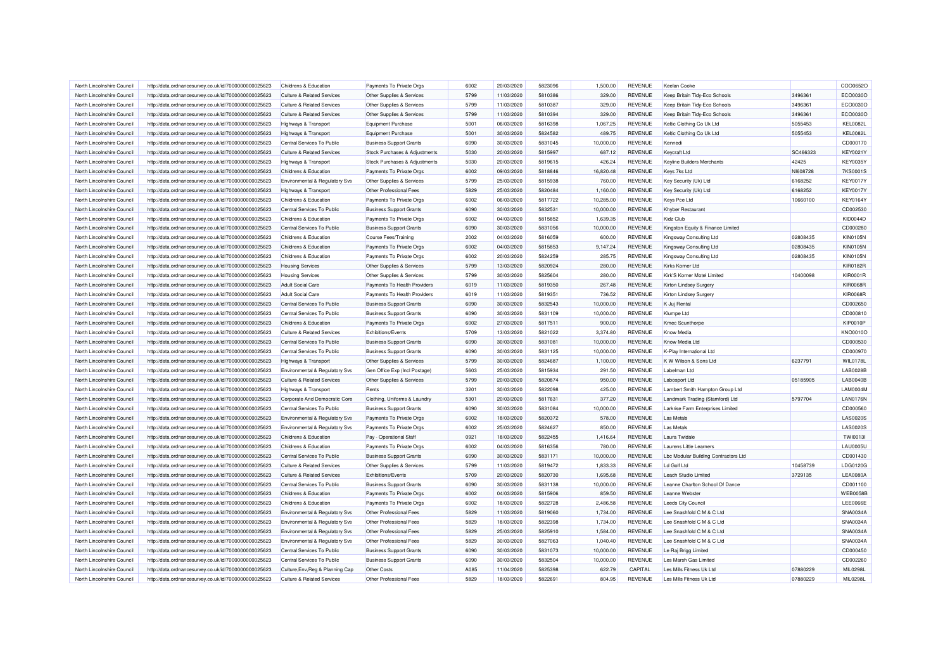| North Lincolnshire Council | http://data.ordnancesurvey.co.uk/id/7000000000025623 | Childrens & Education                     | Payments To Private Orgs       | 6002 | 20/03/2020 | 5823096 | 1.500.00  | <b>REVENUE</b> | Keelan Cooke                         |          | COO0652C        |
|----------------------------|------------------------------------------------------|-------------------------------------------|--------------------------------|------|------------|---------|-----------|----------------|--------------------------------------|----------|-----------------|
| North Lincolnshire Council | http://data.ordnancesurvey.co.uk/id/7000000000025623 | <b>Culture &amp; Related Services</b>     | Other Supplies & Services      | 5799 | 11/03/2020 | 5810386 | 329.00    | REVENUE        | Keep Britain Tidy-Eco Schools        | 3496361  | ECO0030O        |
| North Lincolnshire Council | http://data.ordnancesurvey.co.uk/id/7000000000025623 | <b>Culture &amp; Related Services</b>     | Other Supplies & Services      | 5799 | 11/03/2020 | 5810387 | 329.00    | <b>REVENUE</b> | Keep Britain Tidy-Eco Schools        | 3496361  | ECO0030O        |
| North Lincolnshire Council | http://data.ordnancesurvey.co.uk/id/7000000000025623 | <b>Culture &amp; Related Services</b>     | Other Supplies & Services      | 5799 | 11/03/2020 | 5810394 | 329.00    | REVENUE        | Keep Britain Tidy-Eco Schools        | 3496361  | ECO0030O        |
| North Lincolnshire Council | http://data.ordnancesurvey.co.uk/id/7000000000025623 | Highways & Transport                      | <b>Equipment Purchase</b>      | 5001 | 06/03/2020 | 5816398 | 1,067.25  | <b>REVENUE</b> | Keltic Clothing Co Uk Ltd            | 5055453  | <b>KEL0082L</b> |
| North Lincolnshire Council | http://data.ordnancesurvey.co.uk/id/7000000000025623 | Highways & Transport                      | <b>Equipment Purchase</b>      | 5001 | 30/03/2020 | 5824582 | 489.75    | REVENUE        | Keltic Clothing Co Uk Ltd            | 5055453  | <b>KEL0082L</b> |
| North Lincolnshire Council | http://data.ordnancesurvey.co.uk/id/7000000000025623 | Central Services To Public                | <b>Business Support Grants</b> | 6090 | 30/03/2020 | 5831045 | 10.000.00 | <b>REVENUE</b> | Kennedi                              |          | CD000170        |
| North Lincolnshire Council | http://data.ordnancesurvey.co.uk/id/7000000000025623 | <b>Culture &amp; Related Services</b>     | Stock Purchases & Adjustments  | 5030 | 20/03/2020 | 5815997 | 687.12    | REVENUE        | <b>Keycraft Ltd</b>                  | SC466323 | KEY0021Y        |
| North Lincolnshire Council | http://data.ordnancesurvey.co.uk/id/7000000000025623 | Highways & Transport                      | Stock Purchases & Adjustments  | 5030 | 20/03/2020 | 5819615 | 426.24    | REVENUE        | Keyline Builders Merchants           | 42425    | <b>KEY0035Y</b> |
| North Lincolnshire Council | http://data.ordnancesurvey.co.uk/id/7000000000025623 | Childrens & Education                     | Payments To Private Orgs       | 6002 | 09/03/2020 | 5818846 | 16,820.48 | REVENUE        | Keys 7ks Ltd                         | NI608728 | 7KS0001S        |
| North Lincolnshire Council | http://data.ordnancesurvey.co.uk/id/7000000000025623 | Environmental & Regulatory Svs            | Other Supplies & Services      | 5799 | 25/03/2020 | 5815938 | 760.00    | REVENUE        | Key Security (Uk) Ltd                | 6168252  | <b>KEY0017Y</b> |
| North Lincolnshire Council | http://data.ordnancesurvey.co.uk/id/7000000000025623 | Highways & Transport                      | Other Professional Fees        | 5829 | 25/03/2020 | 5820484 | 1,160.00  | REVENUE        | Key Security (Uk) Ltd                | 6168252  | <b>KEY0017Y</b> |
| North Lincolnshire Council | http://data.ordnancesurvey.co.uk/id/7000000000025623 | Childrens & Education                     | Payments To Private Orgs       | 6002 | 06/03/2020 | 5817722 | 10,285.00 | REVENUE        | Keys Pce Ltd                         | 10660100 | <b>KEY0164Y</b> |
| North Lincolnshire Council | http://data.ordnancesurvey.co.uk/id/7000000000025623 | Central Services To Public                | <b>Business Support Grants</b> | 6090 | 30/03/2020 | 5832531 | 10,000.00 | REVENUE        | Khyber Restaurant                    |          | CD002530        |
| North Lincolnshire Council | http://data.ordnancesurvey.co.uk/id/7000000000025623 | Childrens & Education                     | Payments To Private Orgs       | 6002 | 04/03/2020 | 5815852 | 1.639.35  | <b>REVENUE</b> | Kidz Club                            |          | KID0044D        |
| North Lincolnshire Council | http://data.ordnancesurvey.co.uk/id/7000000000025623 | Central Services To Public                | <b>Business Support Grants</b> | 6090 | 30/03/2020 | 5831056 | 10,000.00 | <b>REVENUE</b> | Kingston Equity & Finance Limited    |          | CD000280        |
| North Lincolnshire Council | http://data.ordnancesurvey.co.uk/id/7000000000025623 | Childrens & Education                     | Course Fees/Training           | 2002 | 04/03/2020 | 5816059 | 600.00    | REVENUE        | Kingsway Consulting Ltd              | 02808435 | <b>KIN0105N</b> |
| North Lincolnshire Council | http://data.ordnancesurvey.co.uk/id/7000000000025623 | Childrens & Education                     | Payments To Private Orgs       | 6002 | 04/03/2020 | 5815853 | 9,147.24  | REVENUE        | Kingsway Consulting Ltd              | 02808435 | <b>KIN0105N</b> |
| North Lincolnshire Council | http://data.ordnancesurvey.co.uk/id/7000000000025623 | Childrens & Education                     | Payments To Private Orgs       | 6002 | 20/03/2020 | 5824259 | 285.75    | REVENUE        | Kingsway Consulting Ltd              | 02808435 | <b>KIN0105N</b> |
| North Lincolnshire Council | http://data.ordnancesurvey.co.uk/id/7000000000025623 | <b>Housing Services</b>                   | Other Supplies & Services      | 5799 | 13/03/2020 | 5820924 | 280.00    | <b>REVENUE</b> | Kirks Korner Ltd                     |          | <b>KIR0182R</b> |
| North Lincolnshire Council | http://data.ordnancesurvey.co.uk/id/7000000000025623 | <b>Housing Services</b>                   | Other Supplies & Services      | 5799 | 30/03/2020 | 5825604 | 280.00    | REVENUE        | Kirk'S Korner Motel Limited          | 10400098 | <b>KIR0001R</b> |
| North Lincolnshire Council | http://data.ordnancesurvey.co.uk/id/7000000000025623 | <b>Adult Social Care</b>                  | Payments To Health Providers   | 6019 | 11/03/2020 | 5819350 | 267.48    | <b>REVENUE</b> | Kirton Lindsey Surger                |          | <b>KIR0068R</b> |
| North Lincolnshire Council | http://data.ordnancesurvey.co.uk/id/7000000000025623 | <b>Adult Social Care</b>                  | Payments To Health Providers   | 6019 | 11/03/2020 | 5819351 | 736.52    | <b>REVENUE</b> | Kirton Lindsey Surgery               |          | <b>KIR0068R</b> |
| North Lincolnshire Council | http://data.ordnancesurvey.co.uk/id/7000000000025623 | Central Services To Public                | <b>Business Support Grants</b> | 6090 | 30/03/2020 | 5832543 | 10,000.00 | <b>REVENUE</b> | K Juj Rental                         |          | CD002650        |
| North Lincolnshire Council | http://data.ordnancesurvey.co.uk/id/7000000000025623 | Central Services To Public                | <b>Business Support Grants</b> | 6090 | 30/03/2020 | 5831109 | 10,000.00 | REVENUE        | Klumpe Ltd                           |          | CD000810        |
| North Lincolnshire Council | http://data.ordnancesurvey.co.uk/id/7000000000025623 | Childrens & Education                     | Payments To Private Orgs       | 6002 | 27/03/2020 | 5817511 | 900.00    | REVENUE        | <b>Kmec Scunthorpe</b>               |          | <b>KIP0010P</b> |
| North Lincolnshire Council | http://data.ordnancesurvey.co.uk/id/7000000000025623 | <b>Culture &amp; Related Services</b>     | Exhibitions/Events             | 5709 | 13/03/2020 | 5821022 | 3.374.80  | <b>REVENUE</b> | <b>Know Media</b>                    |          | <b>KNO0010C</b> |
| North Lincolnshire Council | http://data.ordnancesurvey.co.uk/id/7000000000025623 | Central Services To Public                | <b>Business Support Grants</b> | 6090 | 30/03/2020 | 5831081 | 10,000.00 | REVENUE        | Know Media Ltd                       |          | CD000530        |
| North Lincolnshire Council | http://data.ordnancesurvey.co.uk/id/7000000000025623 | Central Services To Public                | <b>Business Support Grants</b> | 6090 | 30/03/2020 | 5831125 | 10,000.00 | REVENUE        | K-Play International Ltd             |          | CD000970        |
| North Lincolnshire Council | http://data.ordnancesurvey.co.uk/id/7000000000025623 | Highways & Transport                      | Other Supplies & Services      | 5799 | 30/03/2020 | 5824687 | 1,100.00  | <b>REVENUE</b> | K W Wilson & Sons Ltd                | 6237791  | WIL0178L        |
| North Lincolnshire Council | http://data.ordnancesurvey.co.uk/id/7000000000025623 | Environmental & Regulatory Svs            | Gen Office Exp (Incl Postage)  | 5603 | 25/03/2020 | 5815934 | 291.50    | REVENUE        | Labelman Ltd                         |          | LAB0028B        |
| North Lincolnshire Council | http://data.ordnancesurvey.co.uk/id/7000000000025623 | <b>Culture &amp; Related Services</b>     | Other Supplies & Services      | 5799 | 20/03/2020 | 5820874 | 950.00    | <b>REVENUE</b> | Labosport Ltd                        | 05185905 | <b>LAB0040B</b> |
| North Lincolnshire Council | http://data.ordnancesurvey.co.uk/id/7000000000025623 | Highways & Transport                      | Rents                          | 3201 | 30/03/2020 | 5822098 | 425.00    | REVENUE        | Lambert Smith Hampton Group Ltd      |          | LAM0004M        |
| North Lincolnshire Council | http://data.ordnancesurvey.co.uk/id/7000000000025623 | Corporate And Democratic Core             | Clothing, Uniforms & Laundry   | 5301 | 20/03/2020 | 5817631 | 377.20    | REVENUE        | Landmark Trading (Stamford) Ltd      | 5797704  | <b>LAN0176N</b> |
| North Lincolnshire Council | http://data.ordnancesurvey.co.uk/id/7000000000025623 | Central Services To Public                | <b>Business Support Grants</b> | 6090 | 30/03/2020 | 5831084 | 10,000.00 | REVENUE        | Larkrise Farm Enterprises Limited    |          | CD000560        |
| North Lincolnshire Council | http://data.ordnancesurvey.co.uk/id/7000000000025623 | Environmental & Regulatory Svs            | Payments To Private Orgs       | 6002 | 18/03/2020 | 5820372 | 578.00    | <b>REVENUE</b> | <b>Las Metals</b>                    |          | <b>LAS0020S</b> |
| North Lincolnshire Council | http://data.ordnancesurvey.co.uk/id/7000000000025623 | Environmental & Regulatory Svs            | Payments To Private Orgs       | 6002 | 25/03/2020 | 5824627 | 850.00    | <b>REVENUE</b> | Las Metals                           |          | <b>LAS0020S</b> |
| North Lincolnshire Council | http://data.ordnancesurvey.co.uk/id/7000000000025623 | Childrens & Education                     | Pay - Operational Staff        | 0921 | 18/03/2020 | 5822455 | 1,416.64  | <b>REVENUE</b> | Laura Twidale                        |          | TW 100131       |
| North Lincolnshire Council | http://data.ordnancesurvey.co.uk/id/7000000000025623 | Childrens & Education                     | Payments To Private Orgs       | 6002 | 04/03/2020 | 5816356 | 780.00    | REVENUE        | Laurens Little Learners              |          | <b>LAU0005U</b> |
| North Lincolnshire Council | http://data.ordnancesurvey.co.uk/id/7000000000025623 | Central Services To Public                | <b>Business Support Grants</b> | 6090 | 30/03/2020 | 5831171 | 10.000.00 | <b>REVENUE</b> | Lbc Modular Building Contractors Ltd |          | CD001430        |
| North Lincolnshire Council | http://data.ordnancesurvey.co.uk/id/7000000000025623 | <b>Culture &amp; Related Services</b>     | Other Supplies & Services      | 5799 | 11/03/2020 | 5819472 | 1,833.33  | REVENUE        | Ld Golf Ltd                          | 10458739 | LDG0120G        |
| North Lincolnshire Council | http://data.ordnancesurvey.co.uk/id/7000000000025623 | <b>Culture &amp; Related Services</b>     | Exhibitions/Events             | 5709 | 20/03/2020 | 5820730 | 1,695.68  | REVENUE        | Leach Studio Limited                 | 3729135  | <b>LEA0080A</b> |
| North Lincolnshire Council | http://data.ordnancesurvey.co.uk/id/7000000000025623 | Central Services To Public                | <b>Business Support Grants</b> | 6090 | 30/03/2020 | 5831138 | 10,000.00 | REVENUE        | Leanne Charlton School Of Dance      |          | CD001100        |
| North Lincolnshire Council | http://data.ordnancesurvey.co.uk/id/7000000000025623 | Childrens & Education                     | Payments To Private Orgs       | 6002 | 04/03/2020 | 5815906 | 859.50    | <b>REVENUE</b> | Leanne Webster                       |          | <b>WEB0058E</b> |
| North Lincolnshire Council | http://data.ordnancesurvey.co.uk/id/7000000000025623 | Childrens & Education                     | Payments To Private Orgs       | 6002 | 18/03/2020 | 5822728 | 2,486.58  | REVENUE        | Leeds City Council                   |          | <b>LEE0066E</b> |
| North Lincolnshire Council | http://data.ordnancesurvey.co.uk/id/7000000000025623 | Environmental & Regulatory Svs            | Other Professional Fees        | 5829 | 11/03/2020 | 5819060 | 1,734.00  | <b>REVENUE</b> | Lee Snashfold C M & C Ltd            |          | SNA0034A        |
| North Lincolnshire Council | http://data.ordnancesurvey.co.uk/id/7000000000025623 | <b>Environmental &amp; Regulatory Svs</b> | <b>Other Professional Fees</b> | 5829 | 18/03/2020 | 5822398 | 1,734.00  | <b>REVENUE</b> | Lee Snashfold C M & C Ltd            |          | SNA0034A        |
| North Lincolnshire Council | http://data.ordnancesurvey.co.uk/id/7000000000025623 | <b>Environmental &amp; Regulatory Svs</b> | Other Professional Fees        | 5829 | 25/03/2020 | 5825910 | 1,584.00  | <b>REVENUE</b> | Lee Snashfold C M & C Ltd            |          | SNA0034A        |
| North Lincolnshire Council | http://data.ordnancesurvey.co.uk/id/7000000000025623 | <b>Environmental &amp; Regulatory Svs</b> | Other Professional Fees        | 5829 | 30/03/2020 | 5827063 | 1,040.40  | REVENUE        | Lee Snashfold C M & C Ltd            |          | SNA0034A        |
| North Lincolnshire Council | http://data.ordnancesurvey.co.uk/id/7000000000025623 | Central Services To Public                | <b>Business Support Grants</b> | 6090 | 30/03/2020 | 5831073 | 10,000.00 | REVENUE        | Le Raj Brigg Limited                 |          | CD000450        |
| North Lincolnshire Council | http://data.ordnancesurvey.co.uk/id/7000000000025623 | Central Services To Public                | <b>Business Support Grants</b> | 6090 | 30/03/2020 | 5832504 | 10,000.00 | <b>REVENUE</b> | Les Marsh Gas Limited                |          | CD002260        |
| North Lincolnshire Council | http://data.ordnancesurvey.co.uk/id/7000000000025623 | Culture, Env, Reg & Planning Cap          | <b>Other Costs</b>             | A085 | 11/04/2020 | 5825398 | 622.79    | CAPITAL        | Les Mills Fitness Uk Ltd             | 07880229 | MIL0298L        |
| North Lincolnshire Council | http://data.ordnancesurvey.co.uk/id/7000000000025623 | <b>Culture &amp; Related Services</b>     | Other Professional Fees        | 5829 | 18/03/2020 | 5822691 | 804.95    | <b>REVENUE</b> | Les Mills Fitness Uk Ltd             | 07880229 | MIL0298L        |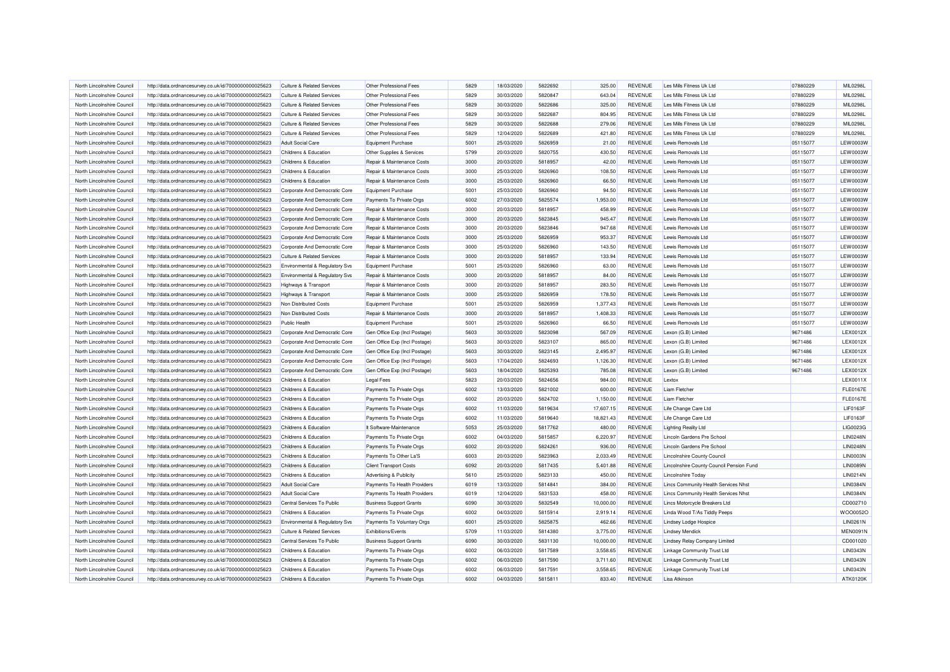| North Lincolnshire Council                               | http://data.ordnancesurvey.co.uk/id/7000000000025623 | <b>Culture &amp; Related Services</b> | Other Professional Fees                                 | 5829 | 18/03/2020 | 5822692 | 325.00    | <b>REVENUE</b> | Les Mills Fitness Uk Ltd                 | 07880229 | <b>MIL0298L</b> |
|----------------------------------------------------------|------------------------------------------------------|---------------------------------------|---------------------------------------------------------|------|------------|---------|-----------|----------------|------------------------------------------|----------|-----------------|
| North Lincolnshire Council                               | http://data.ordnancesurvey.co.uk/id/7000000000025623 | <b>Culture &amp; Related Services</b> | Other Professional Fees                                 | 5829 | 30/03/2020 | 5820847 | 643.04    | REVENUE        | Les Mills Fitness Uk Ltd                 | 07880229 | MIL0298L        |
| North Lincolnshire Council                               | http://data.ordnancesurvey.co.uk/id/7000000000025623 | Culture & Related Services            | Other Professional Fees                                 | 5829 | 30/03/2020 | 5822686 | 325.00    | <b>REVENUE</b> | Les Mills Fitness Uk Ltd                 | 07880229 | MIL0298L        |
| North Lincolnshire Council                               | http://data.ordnancesurvey.co.uk/id/7000000000025623 | <b>Culture &amp; Related Services</b> | Other Professional Fees                                 | 5829 | 30/03/2020 | 5822687 | 804.95    | <b>REVENUE</b> | Les Mills Fitness Uk Ltd                 | 07880229 | MIL0298L        |
| North Lincolnshire Council                               | http://data.ordnancesurvey.co.uk/id/7000000000025623 | <b>Culture &amp; Related Services</b> | Other Professional Fees                                 | 5829 | 30/03/2020 | 5822688 | 279.06    | REVENUE        | Les Mills Fitness Uk Ltd                 | 07880229 | <b>MIL0298L</b> |
| North Lincolnshire Council                               | http://data.ordnancesurvey.co.uk/id/7000000000025623 | <b>Culture &amp; Related Services</b> | Other Professional Fees                                 | 5829 | 12/04/2020 | 5822689 | 421.80    | <b>REVENUE</b> | Les Mills Fitness Uk Ltd                 | 07880229 | <b>MIL0298L</b> |
| North Lincolnshire Council                               | http://data.ordnancesurvey.co.uk/id/7000000000025623 | <b>Adult Social Care</b>              | <b>Equipment Purchase</b>                               | 5001 | 25/03/2020 | 5826959 | 21.00     | <b>REVENUE</b> | Lewis Removals Ltd                       | 05115077 | <b>LEW0003W</b> |
| North Lincolnshire Council                               | http://data.ordnancesurvey.co.uk/id/7000000000025623 | Childrens & Education                 | Other Supplies & Services                               | 5799 | 20/03/2020 | 5820755 | 430.50    | REVENUE        | I ewis Removals I td                     | 05115077 | <b>LEW0003W</b> |
| North Lincolnshire Council                               | http://data.ordnancesurvey.co.uk/id/7000000000025623 | Childrens & Education                 | Repair & Maintenance Costs                              | 3000 | 20/03/2020 | 5818957 | 42.00     | <b>REVENUE</b> | Lewis Removals Ltd                       | 05115077 | <b>LEW0003W</b> |
| North Lincolnshire Council                               | http://data.ordnancesurvey.co.uk/id/7000000000025623 | Childrens & Education                 | Repair & Maintenance Costs                              | 3000 | 25/03/2020 | 5826960 | 108.50    | <b>REVENUE</b> | Lewis Removals Ltd                       | 05115077 | <b>LEW0003W</b> |
| North Lincolnshire Council                               | http://data.ordnancesurvey.co.uk/id/7000000000025623 | Childrens & Education                 | Repair & Maintenance Costs                              | 3000 | 25/03/2020 | 5826960 | 66.50     | <b>REVENUE</b> | Lewis Removals Ltd                       | 05115077 | <b>LEW0003W</b> |
| North Lincolnshire Council                               | http://data.ordnancesurvey.co.uk/id/7000000000025623 | Corporate And Democratic Core         | <b>Equipment Purchase</b>                               | 5001 | 25/03/2020 | 5826960 | 94.50     | <b>REVENUE</b> | Lewis Removals Ltd                       | 05115077 | <b>LEW0003W</b> |
| North Lincolnshire Council                               | http://data.ordnancesurvey.co.uk/id/7000000000025623 | Corporate And Democratic Core         | Payments To Private Orgs                                | 6002 | 27/03/2020 | 5825574 | 1,953.00  | REVENUE        | Lewis Removals Ltd                       | 05115077 | LEW0003W        |
| North Lincolnshire Council                               | http://data.ordnancesurvey.co.uk/id/7000000000025623 | Corporate And Democratic Core         | Repair & Maintenance Costs                              | 3000 | 20/03/2020 | 5818957 | 458.99    | REVENUE        | Lewis Removals Ltd                       | 05115077 | <b>LEW0003W</b> |
| North Lincolnshire Council                               | http://data.ordnancesurvey.co.uk/id/7000000000025623 | Corporate And Democratic Core         | Repair & Maintenance Costs                              | 3000 | 20/03/2020 | 5823845 | 945.47    | REVENUE        | Lewis Removals Ltd                       | 05115077 | LEW0003W        |
| North Lincolnshire Council                               | http://data.ordnancesurvey.co.uk/id/7000000000025623 | Corporate And Democratic Core         | Repair & Maintenance Costs                              | 3000 | 20/03/2020 | 5823846 | 947.68    | REVENUE        | Lewis Removals Ltd                       | 05115077 | <b>LEW0003W</b> |
| North Lincolnshire Council                               | http://data.ordnancesurvey.co.uk/id/7000000000025623 | Corporate And Democratic Core         | Repair & Maintenance Costs                              | 3000 | 25/03/2020 | 5826959 | 953.37    | <b>REVENUE</b> | I ewis Removals I td                     | 05115077 | LEW0003W        |
| North Lincolnshire Council                               | http://data.ordnancesurvey.co.uk/id/7000000000025623 | Corporate And Democratic Core         | Repair & Maintenance Costs                              | 3000 | 25/03/2020 | 5826960 | 143.50    | <b>REVENUE</b> | Lewis Removals Ltd                       | 05115077 | <b>LEW0003W</b> |
|                                                          |                                                      | <b>Culture &amp; Related Services</b> |                                                         | 3000 | 20/03/2020 | 5818957 | 133.94    | REVENUE        | Lewis Removals Ltd                       | 05115077 | LEW0003W        |
| North Lincolnshire Council<br>North Lincolnshire Council | http://data.ordnancesurvey.co.uk/id/7000000000025623 | Environmental & Regulatory Svs        | Repair & Maintenance Costs<br><b>Equipment Purchase</b> | 5001 | 25/03/2020 | 5826960 | 63.00     | <b>REVENUE</b> | Lewis Removals Ltd                       | 05115077 | <b>LEW0003W</b> |
| North Lincolnshire Council                               | http://data.ordnancesurvey.co.uk/id/7000000000025623 | Environmental & Regulatory Svs        | Repair & Maintenance Costs                              | 3000 | 20/03/2020 | 5818957 | 84.00     | <b>REVENUE</b> | Lewis Removals Ltd                       | 05115077 | <b>LEW0003W</b> |
| North Lincolnshire Council                               | http://data.ordnancesurvey.co.uk/id/7000000000025623 |                                       |                                                         | 3000 |            | 5818957 |           |                | Lewis Removals Ltd                       |          |                 |
|                                                          | http://data.ordnancesurvey.co.uk/id/7000000000025623 | Highways & Transport                  | Repair & Maintenance Costs                              |      | 20/03/2020 |         | 283.50    | REVENUE        |                                          | 05115077 | <b>LEW0003W</b> |
| North Lincolnshire Council                               | http://data.ordnancesurvey.co.uk/id/7000000000025623 | Highways & Transport                  | Repair & Maintenance Costs                              | 3000 | 25/03/2020 | 5826959 | 178.50    | <b>REVENUE</b> | Lewis Removals Ltd                       | 05115077 | <b>LEW0003W</b> |
| North Lincolnshire Council                               | http://data.ordnancesurvey.co.uk/id/7000000000025623 | Non Distributed Costs                 | Equipment Purchase                                      | 5001 | 25/03/2020 | 5826959 | 1,377.43  | <b>REVENUE</b> | Lewis Removals Ltd                       | 05115077 | <b>LEW0003W</b> |
| North Lincolnshire Council                               | http://data.ordnancesurvey.co.uk/id/7000000000025623 | Non Distributed Costs                 | Repair & Maintenance Costs                              | 3000 | 20/03/2020 | 5818957 | 1,408.33  | <b>REVENUE</b> | Lewis Removals Ltd                       | 05115077 | LEW0003W        |
| North Lincolnshire Council                               | http://data.ordnancesurvey.co.uk/id/7000000000025623 | <b>Public Health</b>                  | <b>Equipment Purchase</b>                               | 5001 | 25/03/2020 | 5826960 | 66.50     | <b>REVENUE</b> | Lewis Removals Ltd                       | 05115077 | <b>LEW0003W</b> |
| North Lincolnshire Council                               | http://data.ordnancesurvey.co.uk/id/7000000000025623 | Corporate And Democratic Core         | Gen Office Exp (Incl Postage)                           | 5603 | 30/03/2020 | 5823098 | 567.09    | <b>REVENUE</b> | Lexon (G.B) Limited                      | 9671486  | LEX0012X        |
| North Lincolnshire Council                               | http://data.ordnancesurvey.co.uk/id/7000000000025623 | Corporate And Democratic Core         | Gen Office Exp (Incl Postage)                           | 5603 | 30/03/2020 | 5823107 | 865.00    | <b>REVENUE</b> | Lexon (G.B) Limited                      | 9671486  | <b>LEX0012X</b> |
| North Lincolnshire Council                               | http://data.ordnancesurvey.co.uk/id/7000000000025623 | Corporate And Democratic Core         | Gen Office Exp (Incl Postage)                           | 5603 | 30/03/2020 | 5823145 | 2,495.97  | <b>REVENUE</b> | Lexon (G.B) Limited                      | 9671486  | LEX0012X        |
| North Lincolnshire Council                               | http://data.ordnancesurvey.co.uk/id/7000000000025623 | Corporate And Democratic Core         | Gen Office Exp (Incl Postage)                           | 5603 | 17/04/2020 | 5824693 | 1,126.30  | REVENUE        | Lexon (G.B) Limited                      | 9671486  | <b>LEX0012X</b> |
| North Lincolnshire Council                               | http://data.ordnancesurvey.co.uk/id/7000000000025623 | Corporate And Democratic Core         | Gen Office Exp (Incl Postage)                           | 5603 | 18/04/2020 | 5825393 | 785.08    | <b>REVENUE</b> | Lexon (G.B) Limited                      | 9671486  | LEX0012X        |
| North Lincolnshire Council                               | http://data.ordnancesurvey.co.uk/id/7000000000025623 | Childrens & Education                 | <b>Legal Fees</b>                                       | 5823 | 20/03/2020 | 5824656 | 984.00    | <b>REVENUE</b> | Lextox                                   |          | LEX0011X        |
| North Lincolnshire Council                               | http://data.ordnancesurvey.co.uk/id/7000000000025623 | <b>Childrens &amp; Education</b>      | Payments To Private Orgs                                | 6002 | 13/03/2020 | 5821002 | 600.00    | REVENUE        | <b>Liam Fletcher</b>                     |          | <b>FLE0167E</b> |
| North Lincolnshire Council                               | http://data.ordnancesurvey.co.uk/id/7000000000025623 | Childrens & Education                 | Payments To Private Orgs                                | 6002 | 20/03/2020 | 5824702 | 1.150.00  | <b>REVENUE</b> | Liam Fletcher                            |          | <b>FLE0167E</b> |
| North Lincolnshire Council                               | http://data.ordnancesurvey.co.uk/id/7000000000025623 | Childrens & Education                 | Payments To Private Orgs                                | 6002 | 11/03/2020 | 5819634 | 17,607.15 | <b>REVENUE</b> | Life Change Care Ltd                     |          | LIF0163F        |
| North Lincolnshire Council                               | http://data.ordnancesurvey.co.uk/id/7000000000025623 | Childrens & Education                 | Payments To Private Orgs                                | 6002 | 11/03/2020 | 5819640 | 18,821.43 | REVENUE        | Life Change Care Ltd                     |          | <b>LIF0163F</b> |
| North Lincolnshire Council                               | http://data.ordnancesurvey.co.uk/id/7000000000025623 | Childrens & Education                 | It Software-Maintenance                                 | 5053 | 25/03/2020 | 5817762 | 480.00    | <b>REVENUE</b> | <b>Lighting Reality Ltd</b>              |          | LIG0023G        |
| North Lincolnshire Council                               | http://data.ordnancesurvey.co.uk/id/7000000000025623 | <b>Childrens &amp; Education</b>      | Payments To Private Orgs                                | 6002 | 04/03/2020 | 5815857 | 6,220.97  | REVENUE        | Lincoln Gardens Pre School               |          | <b>LIN0248N</b> |
| North Lincolnshire Council                               | http://data.ordnancesurvey.co.uk/id/7000000000025623 | Childrens & Education                 | Payments To Private Orgs                                | 6002 | 20/03/2020 | 5824261 | 936.00    | REVENUE        | Lincoln Gardens Pre School               |          | <b>LIN0248N</b> |
| North Lincolnshire Council                               | http://data.ordnancesurvey.co.uk/id/7000000000025623 | Childrens & Education                 | Payments To Other La'S                                  | 6003 | 20/03/2020 | 5823963 | 2,033.49  | <b>REVENUE</b> | <b>Lincolnshire County Council</b>       |          | LIN0003N        |
| North Lincolnshire Council                               | http://data.ordnancesurvey.co.uk/id/7000000000025623 | Childrens & Education                 | <b>Client Transport Costs</b>                           | 6092 | 20/03/2020 | 5817435 | 5,401.88  | REVENUE        | Lincolnshire County Council Pension Fund |          | <b>LIN0089N</b> |
| North Lincolnshire Council                               | http://data.ordnancesurvey.co.uk/id/7000000000025623 | Childrens & Education                 | Advertising & Publicity                                 | 5610 | 25/03/2020 | 5823133 | 450.00    | <b>REVENUE</b> | Lincolnshire Today                       |          | <b>LIN0214N</b> |
| North Lincolnshire Council                               | http://data.ordnancesurvey.co.uk/id/7000000000025623 | <b>Adult Social Care</b>              | Payments To Health Providers                            | 6019 | 13/03/2020 | 5814841 | 384.00    | <b>REVENUE</b> | Lincs Community Health Services Nhst     |          | <b>LIN0384N</b> |
| North Lincolnshire Council                               | http://data.ordnancesurvey.co.uk/id/7000000000025623 | <b>Adult Social Care</b>              | Payments To Health Providers                            | 6019 | 12/04/2020 | 5831533 | 458.00    | <b>REVENUE</b> | Lincs Community Health Services Nhst     |          | <b>LIN0384N</b> |
| North Lincolnshire Council                               | http://data.ordnancesurvey.co.uk/id/7000000000025623 | Central Services To Public            | <b>Business Support Grants</b>                          | 6090 | 30/03/2020 | 5832549 | 10,000.00 | <b>REVENUE</b> | Lincs Motorcycle Breakers Ltd            |          | CD002710        |
| North Lincolnshire Council                               | http://data.ordnancesurvey.co.uk/id/7000000000025623 | Childrens & Education                 | Payments To Private Orgs                                | 6002 | 04/03/2020 | 5815914 | 2,919.14  | REVENUE        | Linda Wood T/As Tiddly Peeps             |          | WOO0052O        |
| North Lincolnshire Council                               | http://data.ordnancesurvey.co.uk/id/7000000000025623 | Environmental & Regulatory Svs        | Payments To Voluntary Orgs                              | 6001 | 25/03/2020 | 5825875 | 462.66    | <b>REVENUE</b> | <b>Lindsey Lodge Hospice</b>             |          | <b>LIN0261N</b> |
| North Lincolnshire Council                               | http://data.ordnancesurvey.co.uk/id/7000000000025623 | <b>Culture &amp; Related Services</b> | Exhibitions/Events                                      | 5709 | 11/03/2020 | 5814380 | 3,775.00  | REVENUE        | <b>Lindsey Mendick</b>                   |          | <b>MEN0091N</b> |
| North Lincolnshire Council                               | http://data.ordnancesurvey.co.uk/id/7000000000025623 | Central Services To Public            | <b>Business Support Grants</b>                          | 6090 | 30/03/2020 | 5831130 | 10,000.00 | <b>REVENUE</b> | Lindsey Relay Company Limited            |          | CD001020        |
| North Lincolnshire Council                               | http://data.ordnancesurvey.co.uk/id/7000000000025623 | Childrens & Education                 | Payments To Private Orgs                                | 6002 | 06/03/2020 | 5817589 | 3,558.65  | REVENUE        | Linkage Community Trust Ltd              |          | LIN0343N        |
| North Lincolnshire Council                               | http://data.ordnancesurvey.co.uk/id/7000000000025623 | Childrens & Education                 | Payments To Private Orgs                                | 6002 | 06/03/2020 | 5817590 | 3,711.60  | <b>REVENUE</b> | Linkage Community Trust Ltd              |          | <b>LIN0343N</b> |
| North Lincolnshire Council                               | http://data.ordnancesurvey.co.uk/id/7000000000025623 | Childrens & Education                 | Payments To Private Orgs                                | 6002 | 06/03/2020 | 5817591 | 3,558.65  | REVENUE        | Linkage Community Trust Ltd              |          | <b>LIN0343N</b> |
| North Lincolnshire Council                               | http://data.ordnancesurvey.co.uk/id/7000000000025623 | Childrens & Education                 | Payments To Private Orgs                                | 6002 | 04/03/2020 | 5815811 | 833.40    | <b>REVENUE</b> | Lisa Atkinson                            |          | ATK0120K        |
|                                                          |                                                      |                                       |                                                         |      |            |         |           |                |                                          |          |                 |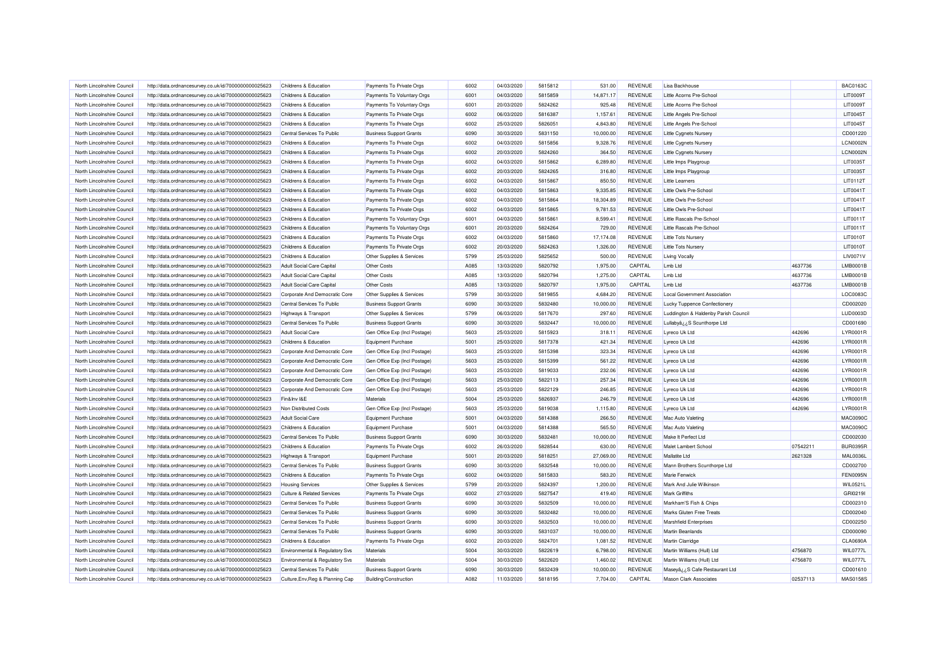| North Lincolnshire Council                               | http://data.ordnancesurvey.co.uk/id/7000000000025623 | Childrens & Education                     | Payments To Private Orgs          | 6002         | 04/03/2020               | 5815812            | 531.00               | <b>REVENUE</b>     | Lisa Backhouse                          |          | <b>BAC0163C</b> |
|----------------------------------------------------------|------------------------------------------------------|-------------------------------------------|-----------------------------------|--------------|--------------------------|--------------------|----------------------|--------------------|-----------------------------------------|----------|-----------------|
| North Lincolnshire Council                               | http://data.ordnancesurvey.co.uk/id/7000000000025623 | Childrens & Education                     | Payments To Voluntary Orgs        | 6001         | 04/03/2020               | 5815859            | 14,871.17            | REVENUE            | Little Acorns Pre-School                |          | LIT0009T        |
| North Lincolnshire Council                               | http://data.ordnancesurvey.co.uk/id/7000000000025623 | <b>Childrens &amp; Education</b>          | Payments To Voluntary Orgs        | 6001         | 20/03/2020               | 5824262            | 925.48               | <b>REVENUE</b>     | Little Acorns Pre-School                |          | LIT0009T        |
| North Lincolnshire Council                               | http://data.ordnancesurvey.co.uk/id/7000000000025623 | Childrens & Education                     | Payments To Private Orgs          | 6002         | 06/03/2020               | 5816387            | 1,157.61             | REVENUE            | Little Angels Pre-School                |          | LIT0045T        |
| North Lincolnshire Council                               | http://data.ordnancesurvey.co.uk/id/7000000000025623 | Childrens & Education                     | Payments To Private Orgs          | 6002         | 25/03/2020               | 5826051            | 4,843.80             | <b>REVENUE</b>     | Little Angels Pre-School                |          | <b>LIT0045T</b> |
| North Lincolnshire Council                               | http://data.ordnancesurvey.co.uk/id/7000000000025623 | Central Services To Public                | <b>Business Support Grants</b>    | 6090         | 30/03/2020               | 5831150            | 10,000.00            | REVENUE            | Little Cygnets Nursery                  |          | CD001220        |
| North Lincolnshire Council                               | http://data.ordnancesurvey.co.uk/id/7000000000025623 | <b>Childrens &amp; Education</b>          | Payments To Private Orgs          | 6002         | 04/03/2020               | 5815856            | 9.328.76             | <b>REVENUE</b>     | Little Cygnets Nursery                  |          | LCN0002N        |
| North Lincolnshire Council                               | http://data.ordnancesurvey.co.uk/id/7000000000025623 | Childrens & Education                     | Payments To Private Orgs          | 6002         | 20/03/2020               | 5824260            | 364.50               | <b>REVENUE</b>     | Little Cygnets Nurser                   |          | LCN0002N        |
| North Lincolnshire Council                               | http://data.ordnancesurvey.co.uk/id/7000000000025623 | Childrens & Education                     | Payments To Private Orgs          | 6002         | 04/03/2020               | 5815862            | 6,289.80             | REVENUE            | Little Imps Playgroup                   |          | LIT0035T        |
| North Lincolnshire Council                               | http://data.ordnancesurvey.co.uk/id/7000000000025623 | Childrens & Education                     | Payments To Private Orgs          | 6002         | 20/03/2020               | 5824265            | 316.80               | REVENUE            | Little Imps Playgroup                   |          | LIT0035T        |
| North Lincolnshire Council                               | http://data.ordnancesurvey.co.uk/id/7000000000025623 | Childrens & Education                     | Payments To Private Orgs          | 6002         | 04/03/2020               | 5815867            | 850.50               | <b>REVENUE</b>     | <b>Little Learners</b>                  |          | LIT0112T        |
| North Lincolnshire Council                               | http://data.ordnancesurvey.co.uk/id/7000000000025623 | Childrens & Education                     | Payments To Private Orgs          | 6002         | 04/03/2020               | 5815863            | 9,335.85             | REVENUE            | Little Owls Pre-School                  |          | LIT0041T        |
| North Lincolnshire Council                               | http://data.ordnancesurvey.co.uk/id/7000000000025623 | Childrens & Education                     | Payments To Private Orgs          | 6002         | 04/03/2020               | 5815864            | 18,304.89            | REVENUE            | Little Owls Pre-School                  |          | LIT0041T        |
| North Lincolnshire Council                               | http://data.ordnancesurvey.co.uk/id/7000000000025623 | Childrens & Education                     | Payments To Private Orgs          | 6002         | 04/03/2020               | 5815865            | 9,781.53             | REVENUE            | Little Owls Pre-School                  |          | LIT0041T        |
| North Lincolnshire Council                               | http://data.ordnancesurvey.co.uk/id/7000000000025623 | Childrens & Education                     | Payments To Voluntary Orgs        | 6001         | 04/03/2020               | 5815861            | 8,599.41             | <b>REVENUE</b>     | Little Rascals Pre-School               |          | LIT0011T        |
| North Lincolnshire Council                               | http://data.ordnancesurvey.co.uk/id/7000000000025623 | Childrens & Education                     | Payments To Voluntary Orgs        | 6001         | 20/03/2020               | 5824264            | 729.00               | <b>REVENUE</b>     | Little Rascals Pre-School               |          | LIT0011T        |
| North Lincolnshire Council                               | http://data.ordnancesurvey.co.uk/id/7000000000025623 | Childrens & Education                     | Payments To Private Orgs          | 6002         | 04/03/2020               | 5815860            | 17,174.08            | REVENUE            | Little Tots Nursery                     |          | LIT0010T        |
| North Lincolnshire Council                               | http://data.ordnancesurvey.co.uk/id/7000000000025623 | Childrens & Education                     | Payments To Private Orgs          | 6002         | 20/03/2020               | 5824263            | 1,326.00             | REVENUE            | Little Tots Nursery                     |          | LIT0010T        |
|                                                          |                                                      |                                           |                                   |              |                          |                    |                      |                    |                                         |          | LIV0071V        |
| North Lincolnshire Council                               | http://data.ordnancesurvey.co.uk/id/7000000000025623 | Childrens & Education                     | Other Supplies & Services         | 5799<br>A085 | 25/03/2020<br>13/03/2020 | 5825652<br>5820792 | 500.00               | REVENUE<br>CAPITAL | Living Vocally                          | 4637736  | LMB0001B        |
| North Lincolnshire Council<br>North Lincolnshire Council | http://data.ordnancesurvey.co.uk/id/7000000000025623 | Adult Social Care Capital                 | <b>Other Costs</b><br>Other Costs | A085         | 13/03/2020               | 5820794            | 1,975.00<br>1,275.00 | CAPITAL            | Lmb Ltd                                 | 4637736  | LMB0001B        |
|                                                          | http://data.ordnancesurvey.co.uk/id/7000000000025623 | Adult Social Care Capital                 |                                   |              |                          |                    |                      |                    | Lmb Ltd                                 |          |                 |
| North Lincolnshire Council<br>North Lincolnshire Council | http://data.ordnancesurvey.co.uk/id/7000000000025623 | Adult Social Care Capital                 | <b>Other Costs</b>                | A085<br>5799 | 13/03/2020               | 5820797<br>5819855 | 1,975.00             | CAPITAL            | Lmb Ltd<br>Local Government Association | 4637736  | LMB0001B        |
|                                                          | http://data.ordnancesurvey.co.uk/id/7000000000025623 | Corporate And Democratic Core             | Other Supplies & Services         |              | 30/03/2020               |                    | 4,684.20             | REVENUE            |                                         |          | LOC0083C        |
| North Lincolnshire Council                               | http://data.ordnancesurvey.co.uk/id/7000000000025623 | Central Services To Public                | <b>Business Support Grants</b>    | 6090         | 30/03/2020               | 5832480            | 10,000.00            | <b>REVENUE</b>     | <b>Lucky Tuppence Confectionery</b>     |          | CD002020        |
| North Lincolnshire Council                               | http://data.ordnancesurvey.co.uk/id/7000000000025623 | Highways & Transport                      | Other Supplies & Services         | 5799         | 06/03/2020               | 5817670            | 297.60               | <b>REVENUE</b>     | Luddington & Haldenby Parish Council    |          | LUD0003D        |
| North Lincolnshire Council                               | http://data.ordnancesurvey.co.uk/id/7000000000025623 | Central Services To Public                | <b>Business Support Grants</b>    | 6090         | 30/03/2020               | 5832447            | 10,000.00            | REVENUE            | Lullabyâ¿¿S Scunthorpe Ltd              |          | CD001690        |
| North Lincolnshire Council                               | http://data.ordnancesurvey.co.uk/id/7000000000025623 | Adult Social Care                         | Gen Office Exp (Incl Postage)     | 5603         | 25/03/2020               | 5815923            | 318.11               | <b>REVENUE</b>     | Lyreco Uk Ltd                           | 442696   | LYR0001R        |
| North Lincolnshire Council                               | http://data.ordnancesurvey.co.uk/id/7000000000025623 | Childrens & Education                     | <b>Equipment Purchase</b>         | 5001         | 25/03/2020               | 5817378            | 421.34               | REVENUE            | Lyreco Uk Ltd                           | 442696   | LYR0001R        |
| North Lincolnshire Council                               | http://data.ordnancesurvey.co.uk/id/7000000000025623 | Corporate And Democratic Core             | Gen Office Exp (Incl Postage)     | 5603         | 25/03/2020               | 5815398            | 323.34               | REVENUE            | Lyreco Uk Ltd                           | 442696   | LYR0001R        |
| North Lincolnshire Council                               | http://data.ordnancesurvey.co.uk/id/7000000000025623 | Corporate And Democratic Core             | Gen Office Exp (Incl Postage)     | 5603         | 25/03/2020               | 5815399            | 561.22               | <b>REVENUE</b>     | Lyreco Uk Ltd                           | 442696   | LYR0001R        |
| North Lincolnshire Council                               | http://data.ordnancesurvey.co.uk/id/7000000000025623 | Corporate And Democratic Core             | Gen Office Exp (Incl Postage)     | 5603         | 25/03/2020               | 5819033            | 232.06               | REVENUE            | Lyreco Uk Ltd                           | 442696   | LYR0001R        |
| North Lincolnshire Council                               | http://data.ordnancesurvey.co.uk/id/7000000000025623 | Corporate And Democratic Core             | Gen Office Exp (Incl Postage)     | 5603         | 25/03/2020               | 5822113            | 257.34               | <b>REVENUE</b>     | Lyreco Uk Ltd                           | 442696   | LYR0001R        |
| North Lincolnshire Council                               | http://data.ordnancesurvey.co.uk/id/7000000000025623 | Corporate And Democratic Core             | Gen Office Exp (Incl Postage)     | 5603         | 25/03/2020               | 5822129            | 246.85               | REVENUE            | Lyreco Uk Ltd                           | 442696   | LYR0001R        |
| North Lincolnshire Council                               | http://data.ordnancesurvey.co.uk/id/7000000000025623 | Fin&Inv I&E                               | Materials                         | 5004         | 25/03/2020               | 5826937            | 246.79               | REVENUE            | Lyreco Uk Ltd                           | 442696   | LYR0001R        |
| North Lincolnshire Council                               | http://data.ordnancesurvey.co.uk/id/7000000000025623 | Non Distributed Costs                     | Gen Office Exp (Incl Postage)     | 5603         | 25/03/2020               | 5819038            | 1,115.80             | REVENUE            | Lyreco Uk Ltd                           | 442696   | LYR0001R        |
| North Lincolnshire Council                               | http://data.ordnancesurvey.co.uk/id/7000000000025623 | <b>Adult Social Care</b>                  | <b>Equipment Purchase</b>         | 5001         | 04/03/2020               | 5814388            | 266.50               | <b>REVENUE</b>     | Mac Auto Valeting                       |          | <b>MAC0090C</b> |
| North Lincolnshire Council                               | http://data.ordnancesurvey.co.uk/id/7000000000025623 | Childrens & Education                     | Equipment Purchase                | 5001         | 04/03/2020               | 5814388            | 565.50               | REVENUE            | Mac Auto Valeting                       |          | <b>MAC0090C</b> |
| North Lincolnshire Council                               | http://data.ordnancesurvey.co.uk/id/7000000000025623 | Central Services To Public                | <b>Business Support Grants</b>    | 6090         | 30/03/2020               | 5832481            | 10,000.00            | <b>REVENUE</b>     | Make It Perfect Ltd                     |          | CD002030        |
| North Lincolnshire Council                               | http://data.ordnancesurvey.co.uk/id/7000000000025623 | Childrens & Education                     | Payments To Private Orgs          | 6002         | 26/03/2020               | 5828544            | 630.00               | REVENUE            | Malet Lambert School                    | 07542211 | <b>BUR0395F</b> |
| North Lincolnshire Council                               | http://data.ordnancesurvey.co.uk/id/7000000000025623 | Highways & Transport                      | <b>Equipment Purchase</b>         | 5001         | 20/03/2020               | 5818251            | 27,069.00            | <b>REVENUE</b>     | Mallatite Ltd                           | 2621328  | <b>MAL0036L</b> |
| North Lincolnshire Council                               | http://data.ordnancesurvey.co.uk/id/7000000000025623 | Central Services To Public                | <b>Business Support Grants</b>    | 6090         | 30/03/2020               | 5832548            | 10,000.00            | REVENUE            | Mann Brothers Scunthorpe Ltd            |          | CD002700        |
| North Lincolnshire Council                               | http://data.ordnancesurvey.co.uk/id/7000000000025623 | Childrens & Education                     | Payments To Private Orgs          | 6002         | 04/03/2020               | 5815833            | 583.20               | REVENUE            | <b>Marie Fenwick</b>                    |          | FEN0095N        |
| North Lincolnshire Council                               | http://data.ordnancesurvey.co.uk/id/7000000000025623 | <b>Housing Services</b>                   | Other Supplies & Services         | 5799         | 20/03/2020               | 5824397            | 1,200.00             | REVENUE            | Mark And Julie Wilkinson                |          | WIL0521L        |
| North Lincolnshire Council                               | http://data.ordnancesurvey.co.uk/id/7000000000025623 | <b>Culture &amp; Related Services</b>     | Payments To Private Orgs          | 6002         | 27/03/2020               | 5827547            | 419.40               | <b>REVENUE</b>     | <b>Mark Griffiths</b>                   |          | GRI0219I        |
| North Lincolnshire Council                               | http://data.ordnancesurvey.co.uk/id/7000000000025623 | Central Services To Public                | <b>Business Support Grants</b>    | 6090         | 30/03/2020               | 5832509            | 10,000.00            | REVENUE            | Markham'S Fish & Chips                  |          | CD002310        |
| North Lincolnshire Council                               | http://data.ordnancesurvey.co.uk/id/7000000000025623 | Central Services To Public                | <b>Business Support Grants</b>    | 6090         | 30/03/2020               | 5832482            | 10,000.00            | <b>REVENUE</b>     | Marks Gluten Free Treats                |          | CD002040        |
| North Lincolnshire Council                               | http://data.ordnancesurvey.co.uk/id/7000000000025623 | Central Services To Public                | <b>Business Support Grants</b>    | 6090         | 30/03/2020               | 5832503            | 10,000.00            | <b>REVENUE</b>     | <b>Marshfield Enterprises</b>           |          | CD002250        |
| North Lincolnshire Council                               | http://data.ordnancesurvey.co.uk/id/7000000000025623 | Central Services To Public                | <b>Business Support Grants</b>    | 6090         | 30/03/2020               | 5831037            | 10,000.00            | <b>REVENUE</b>     | <b>Martin Beanlands</b>                 |          | CD000090        |
| North Lincolnshire Council                               | http://data.ordnancesurvey.co.uk/id/7000000000025623 | Childrens & Education                     | Payments To Private Orgs          | 6002         | 20/03/2020               | 5824701            | 1,081.52             | REVENUE            | Martin Clarridge                        |          | <b>CLA0690A</b> |
| North Lincolnshire Council                               | http://data.ordnancesurvey.co.uk/id/7000000000025623 | Environmental & Regulatory Svs            | Materials                         | 5004         | 30/03/2020               | 5822619            | 6,798.00             | REVENUE            | Martin Williams (Hull) Ltd              | 4756870  | <b>WIL0777L</b> |
| North Lincolnshire Council                               | http://data.ordnancesurvey.co.uk/id/7000000000025623 | <b>Environmental &amp; Regulatory Svs</b> | Materials                         | 5004         | 30/03/2020               | 5822620            | 1,460.02             | REVENUE            | Martin Williams (Hull) Ltd              | 4756870  | <b>WIL0777L</b> |
| North Lincolnshire Council                               | http://data.ordnancesurvey.co.uk/id/7000000000025623 | Central Services To Public                | <b>Business Support Grants</b>    | 6090         | 30/03/2020               | 5832439            | 10,000.00            | REVENUE            | Maseyâ ¿¿S Cafe Restaurant Ltd          |          | CD001610        |
| North Lincolnshire Council                               | http://data.ordnancesurvey.co.uk/id/7000000000025623 | Culture, Env, Reg & Planning Cap          | <b>Building/Construction</b>      | A082         | 11/03/2020               | 5818195            | 7.704.00             | CAPITAL            | <b>Mason Clark Associates</b>           | 02537113 | MAS0158S        |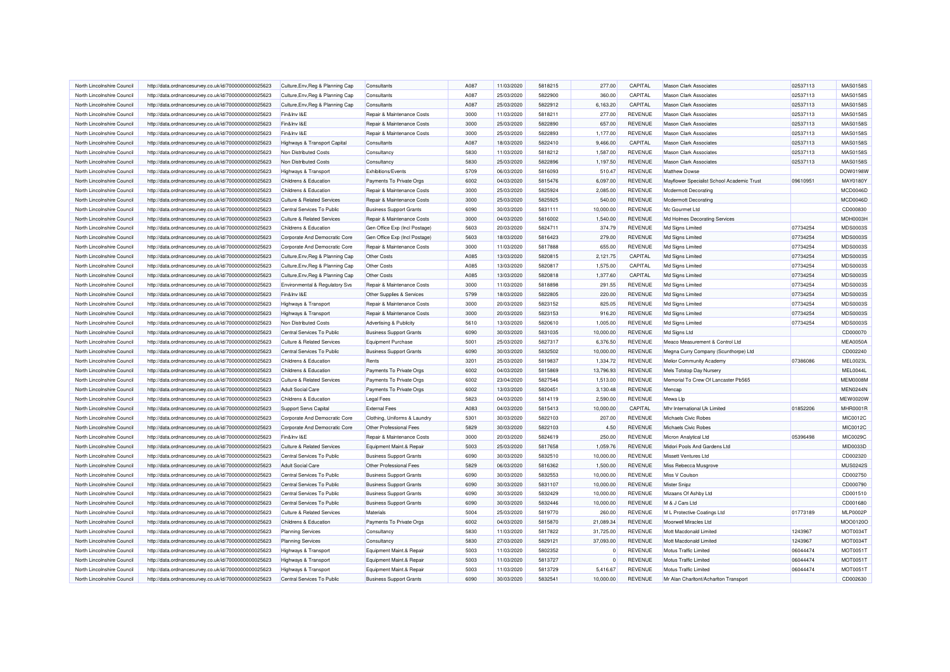| North Lincolnshire Council | http://data.ordnancesurvey.co.uk/id/7000000000025623 | Culture, Env, Reg & Planning Cap      | Consultants                    | A087 | 11/03/2020 | 5818215 | 277.00    | CAPITAL        | <b>Mason Clark Associates</b>              | 02537113 | <b>MAS0158S</b> |
|----------------------------|------------------------------------------------------|---------------------------------------|--------------------------------|------|------------|---------|-----------|----------------|--------------------------------------------|----------|-----------------|
| North Lincolnshire Council | http://data.ordnancesurvey.co.uk/id/7000000000025623 | Culture, Env, Reg & Planning Cap      | Consultants                    | A087 | 25/03/2020 | 5822900 | 360.00    | CAPITAL        | Mason Clark Associates                     | 02537113 | MAS0158S        |
| North Lincolnshire Council | http://data.ordnancesurvey.co.uk/id/7000000000025623 | Culture, Env, Reg & Planning Cap      | Consultants                    | A087 | 25/03/2020 | 5822912 | 6,163.20  | CAPITAL        | <b>Mason Clark Associates</b>              | 02537113 | <b>MAS0158S</b> |
| North Lincolnshire Council | http://data.ordnancesurvey.co.uk/id/7000000000025623 | Fin&Inv I&E                           | Repair & Maintenance Costs     | 3000 | 11/03/2020 | 5818211 | 277.00    | <b>REVENUE</b> | <b>Mason Clark Associates</b>              | 02537113 | MAS0158S        |
| North Lincolnshire Council | http://data.ordnancesurvey.co.uk/id/7000000000025623 | Fin&Inv I&E                           | Repair & Maintenance Costs     | 3000 | 25/03/2020 | 5822890 | 657.00    | <b>REVENUE</b> | <b>Mason Clark Associates</b>              | 02537113 | <b>MAS0158S</b> |
| North Lincolnshire Council | http://data.ordnancesurvey.co.uk/id/7000000000025623 | Fin&Inv I&E                           | Repair & Maintenance Costs     | 3000 | 25/03/2020 | 5822893 | 1,177.00  | <b>REVENUE</b> | <b>Mason Clark Associates</b>              | 02537113 | MAS0158S        |
| North Lincolnshire Council | http://data.ordnancesurvey.co.uk/id/7000000000025623 | Highways & Transport Capital          | Consultants                    | A087 | 18/03/2020 | 5822410 | 9,466.00  | CAPITAL        | <b>Mason Clark Associates</b>              | 02537113 | <b>MAS0158S</b> |
| North Lincolnshire Council | http://data.ordnancesurvey.co.uk/id/7000000000025623 | Non Distributed Costs                 | Consultancy                    | 5830 | 11/03/2020 | 5818212 | 1,587.00  | <b>REVENUE</b> | <b>Mason Clark Associates</b>              | 02537113 | <b>MAS0158S</b> |
| North Lincolnshire Council | http://data.ordnancesurvey.co.uk/id/7000000000025623 | Non Distributed Costs                 | Consultancy                    | 5830 | 25/03/2020 | 5822896 | 1,197.50  | <b>REVENUE</b> | <b>Mason Clark Associates</b>              | 02537113 | MAS0158S        |
| North Lincolnshire Council | http://data.ordnancesurvey.co.uk/id/7000000000025623 | Highways & Transport                  | Exhibitions/Events             | 5709 | 06/03/2020 | 5816093 | 510.47    | <b>REVENUE</b> | Matthew Dowse                              |          | DOW0198W        |
| North Lincolnshire Council | http://data.ordnancesurvey.co.uk/id/7000000000025623 | <b>Childrens &amp; Education</b>      | Payments To Private Orgs       | 6002 | 04/03/2020 | 5815476 | 6,097.00  | <b>REVENUE</b> | Mayflower Specialist School Academic Trust | 09610951 | MAY0180Y        |
| North Lincolnshire Council | http://data.ordnancesurvey.co.uk/id/7000000000025623 | Childrens & Education                 | Repair & Maintenance Costs     | 3000 | 25/03/2020 | 5825924 | 2,085.00  | <b>REVENUE</b> | Mcdermott Decorating                       |          | MCD0046D        |
| North Lincolnshire Council | http://data.ordnancesurvey.co.uk/id/7000000000025623 | <b>Culture &amp; Related Services</b> | Repair & Maintenance Costs     | 3000 | 25/03/2020 | 5825925 | 540.00    | <b>REVENUE</b> | Mcdermott Decorating                       |          | MCD0046D        |
| North Lincolnshire Council | http://data.ordnancesurvey.co.uk/id/7000000000025623 | Central Services To Public            | <b>Business Support Grants</b> | 6090 | 30/03/2020 | 5831111 | 10,000.00 | <b>REVENUE</b> | Mc Gourmet Ltd                             |          | CD000830        |
| North Lincolnshire Council | http://data.ordnancesurvey.co.uk/id/7000000000025623 | <b>Culture &amp; Related Services</b> | Repair & Maintenance Costs     | 3000 | 04/03/2020 | 5816002 | 1,540.00  | <b>REVENUE</b> | Md Holmes Decorating Services              |          | MDH0003H        |
| North Lincolnshire Council | http://data.ordnancesurvey.co.uk/id/7000000000025623 | Childrens & Education                 | Gen Office Exp (Incl Postage)  | 5603 | 20/03/2020 | 5824711 | 374.79    | <b>REVENUE</b> | Md Signs Limited                           | 07734254 | MDS0003S        |
| North Lincolnshire Council | http://data.ordnancesurvey.co.uk/id/7000000000025623 | Corporate And Democratic Core         | Gen Office Exp (Incl Postage)  | 5603 | 18/03/2020 | 5816423 | 279.00    | <b>REVENUE</b> | Md Signs Limited                           | 07734254 | MDS0003S        |
| North Lincolnshire Council | http://data.ordnancesurvey.co.uk/id/7000000000025623 | Corporate And Democratic Core         | Repair & Maintenance Costs     | 3000 | 11/03/2020 | 5817888 | 655.00    | <b>REVENUE</b> | Md Signs Limited                           | 07734254 | <b>MDS0003S</b> |
| North Lincolnshire Council |                                                      |                                       | <b>Other Costs</b>             | A085 | 13/03/2020 | 5820815 | 2,121.75  | CAPITAL        |                                            | 07734254 | MDS0003S        |
| North Lincolnshire Council | http://data.ordnancesurvey.co.uk/id/7000000000025623 | Culture, Env, Reg & Planning Cap      |                                | A085 | 13/03/2020 | 5820817 | 1,575.00  | CAPITAL        | Md Signs Limited                           | 07734254 | MDS0003S        |
|                            | http://data.ordnancesurvey.co.uk/id/7000000000025623 | Culture, Env, Reg & Planning Cap      | <b>Other Costs</b>             |      |            |         |           |                | Md Signs Limited                           |          |                 |
| North Lincolnshire Council | http://data.ordnancesurvey.co.uk/id/7000000000025623 | Culture, Env, Reg & Planning Cap      | Other Costs                    | A085 | 13/03/2020 | 5820818 | 1,377.60  | CAPITAL        | Md Signs Limited                           | 07734254 | MDS0003S        |
| North Lincolnshire Council | http://data.ordnancesurvey.co.uk/id/7000000000025623 | Environmental & Regulatory Svs        | Repair & Maintenance Costs     | 3000 | 11/03/2020 | 5818898 | 291.55    | REVENUE        | Md Signs Limited                           | 07734254 | MDS0003S        |
| North Lincolnshire Council | http://data.ordnancesurvey.co.uk/id/7000000000025623 | Fin&Inv I&E                           | Other Supplies & Services      | 5799 | 18/03/2020 | 5822805 | 220.00    | <b>REVENUE</b> | Md Signs Limited                           | 07734254 | <b>MDS0003S</b> |
| North Lincolnshire Council | http://data.ordnancesurvey.co.uk/id/7000000000025623 | Highways & Transport                  | Repair & Maintenance Costs     | 3000 | 20/03/2020 | 5823152 | 825.05    | <b>REVENUE</b> | Md Signs Limited                           | 07734254 | MDS0003S        |
| North Lincolnshire Council | http://data.ordnancesurvey.co.uk/id/7000000000025623 | Highways & Transport                  | Repair & Maintenance Costs     | 3000 | 20/03/2020 | 5823153 | 916.20    | REVENUE        | Md Signs Limited                           | 07734254 | <b>MDS0003S</b> |
| North Lincolnshire Council | http://data.ordnancesurvey.co.uk/id/7000000000025623 | Non Distributed Costs                 | Advertising & Publicity        | 5610 | 13/03/2020 | 5820610 | 1,005.00  | <b>REVENUE</b> | Md Signs Limited                           | 07734254 | MDS0003S        |
| North Lincolnshire Council | http://data.ordnancesurvey.co.uk/id/7000000000025623 | Central Services To Public            | <b>Business Support Grants</b> | 6090 | 30/03/2020 | 5831035 | 10,000.00 | <b>REVENUE</b> | Md Signs Ltd                               |          | CD000070        |
| North Lincolnshire Council | http://data.ordnancesurvey.co.uk/id/7000000000025623 | <b>Culture &amp; Related Services</b> | <b>Equipment Purchase</b>      | 5001 | 25/03/2020 | 5827317 | 6,376.50  | REVENUE        | Meaco Measurement & Control Ltd            |          | <b>MEA0050A</b> |
| North Lincolnshire Council | http://data.ordnancesurvey.co.uk/id/7000000000025623 | Central Services To Public            | <b>Business Support Grants</b> | 6090 | 30/03/2020 | 5832502 | 10,000.00 | <b>REVENUE</b> | Megna Curry Company (Scunthorpe) Ltd       |          | CD002240        |
| North Lincolnshire Council | http://data.ordnancesurvey.co.uk/id/7000000000025623 | Childrens & Education                 | Rents                          | 3201 | 25/03/2020 | 5819837 | 1,334.72  | REVENUE        | Melior Community Academy                   | 07386086 | <b>MEL0023L</b> |
| North Lincolnshire Council | http://data.ordnancesurvey.co.uk/id/7000000000025623 | <b>Childrens &amp; Education</b>      | Payments To Private Orgs       | 6002 | 04/03/2020 | 5815869 | 13,796.93 | <b>REVENUE</b> | Mels Totstop Day Nursery                   |          | MEL0044L        |
| North Lincolnshire Council | http://data.ordnancesurvey.co.uk/id/7000000000025623 | <b>Culture &amp; Related Services</b> | Payments To Private Orgs       | 6002 | 23/04/2020 | 5827546 | 1,513.00  | <b>REVENUE</b> | Memorial To Crew Of Lancaster Pb565        |          | <b>MEM0008N</b> |
| North Lincolnshire Council | http://data.ordnancesurvey.co.uk/id/7000000000025623 | <b>Adult Social Care</b>              | Payments To Private Orgs       | 6002 | 13/03/2020 | 5820451 | 3,130.48  | REVENUE        | Mencap                                     |          | MEN0244N        |
| North Lincolnshire Council | http://data.ordnancesurvey.co.uk/id/7000000000025623 | Childrens & Education                 | <b>Legal Fees</b>              | 5823 | 04/03/2020 | 5814119 | 2,590.00  | <b>REVENUE</b> | Mewa Llp                                   |          | <b>MEW0020V</b> |
| North Lincolnshire Council | http://data.ordnancesurvey.co.uk/id/7000000000025623 | <b>Support Servs Capital</b>          | <b>External Fees</b>           | A083 | 04/03/2020 | 5815413 | 10,000.00 | CAPITAL        | Mhr International Uk Limited               | 01852206 | <b>MHR0001F</b> |
| North Lincolnshire Council | http://data.ordnancesurvey.co.uk/id/7000000000025623 | Corporate And Democratic Core         | Clothing, Uniforms & Laundry   | 5301 | 30/03/2020 | 5822103 | 207.00    | <b>REVENUE</b> | <b>Michaels Civic Robes</b>                |          | MIC0012C        |
| North Lincolnshire Council | http://data.ordnancesurvey.co.uk/id/7000000000025623 | Corporate And Democratic Core         | Other Professional Fees        | 5829 | 30/03/2020 | 5822103 | 4.50      | <b>REVENUE</b> | <b>Michaels Civic Robes</b>                |          | <b>MIC0012C</b> |
| North Lincolnshire Council | http://data.ordnancesurvey.co.uk/id/7000000000025623 | Fin&Inv I&E                           | Repair & Maintenance Costs     | 3000 | 20/03/2020 | 5824619 | 250.00    | REVENUE        | Micron Analytical Ltd                      | 05396498 | MIC0029C        |
| North Lincolnshire Council | http://data.ordnancesurvey.co.uk/id/7000000000025623 | <b>Culture &amp; Related Services</b> | Equipment Maint.& Repair       | 5003 | 25/03/2020 | 5817658 | 1,059.76  | <b>REVENUE</b> | Midori Pools And Gardens Ltd               |          | MID0033D        |
| North Lincolnshire Council | http://data.ordnancesurvey.co.uk/id/7000000000025623 | Central Services To Public            | <b>Business Support Grants</b> | 6090 | 30/03/2020 | 5832510 | 10,000.00 | <b>REVENUE</b> | Missett Ventures Ltd                       |          | CD002320        |
| North Lincolnshire Council | http://data.ordnancesurvey.co.uk/id/7000000000025623 | <b>Adult Social Care</b>              | Other Professional Fees        | 5829 | 06/03/2020 | 5816362 | 1,500.00  | <b>REVENUE</b> | Miss Rebecca Musgrove                      |          | <b>MUS0242S</b> |
| North Lincolnshire Council | http://data.ordnancesurvey.co.uk/id/7000000000025623 | Central Services To Public            | <b>Business Support Grants</b> | 6090 | 30/03/2020 | 5832553 | 10,000.00 | <b>REVENUE</b> | Miss V Coulson                             |          | CD002750        |
| North Lincolnshire Council | http://data.ordnancesurvey.co.uk/id/7000000000025623 | Central Services To Public            | <b>Business Support Grants</b> | 6090 | 30/03/2020 | 5831107 | 10,000.00 | <b>REVENUE</b> | Mister Snipz                               |          | CD000790        |
| North Lincolnshire Council | http://data.ordnancesurvey.co.uk/id/7000000000025623 | Central Services To Public            | <b>Business Support Grants</b> | 6090 | 30/03/2020 | 5832429 | 10,000.00 | REVENUE        | Mizaans Of Ashby Ltd                       |          | CD001510        |
| North Lincolnshire Council | http://data.ordnancesurvey.co.uk/id/7000000000025623 | Central Services To Public            | <b>Business Support Grants</b> | 6090 | 30/03/2020 | 5832446 | 10,000.00 | <b>REVENUE</b> | M & J Cars Ltd                             |          | CD001680        |
| North Lincolnshire Council | http://data.ordnancesurvey.co.uk/id/7000000000025623 | <b>Culture &amp; Related Services</b> | Materials                      | 5004 | 25/03/2020 | 5819770 | 260.00    | <b>REVENUE</b> | M L Protective Coatings Ltd                | 01773189 | <b>MLP0002P</b> |
| North Lincolnshire Council | http://data.ordnancesurvey.co.uk/id/7000000000025623 | Childrens & Education                 | Payments To Private Orgs       | 6002 | 04/03/2020 | 5815870 | 21,089.34 | <b>REVENUE</b> | Moorwell Miracles I td                     |          | MOO0120O        |
| North Lincolnshire Council | http://data.ordnancesurvey.co.uk/id/7000000000025623 | <b>Planning Services</b>              | Consultancy                    | 5830 | 11/03/2020 | 5817822 | 31,725.00 | <b>REVENUE</b> | Mott Macdonald Limited                     | 1243967  | MOT0034T        |
| North Lincolnshire Council | http://data.ordnancesurvey.co.uk/id/7000000000025623 | <b>Planning Services</b>              | Consultancy                    | 5830 | 27/03/2020 | 5829121 | 37,093.00 | <b>REVENUE</b> | Mott Macdonald Limited                     | 1243967  | <b>MOT0034T</b> |
| North Lincolnshire Council | http://data.ordnancesurvey.co.uk/id/7000000000025623 | Highways & Transport                  | Equipment Maint.& Repair       | 5003 | 11/03/2020 | 5802352 | $\Omega$  | <b>REVENUE</b> | Motus Traffic Limited                      | 06044474 | <b>MOT0051T</b> |
| North Lincolnshire Council | http://data.ordnancesurvey.co.uk/id/7000000000025623 | <b>Highways &amp; Transport</b>       | Equipment Maint.& Repair       | 5003 | 11/03/2020 | 5813727 |           | <b>REVENUE</b> | <b>Motus Traffic Limited</b>               | 06044474 | MOT0051T        |
| North Lincolnshire Council | http://data.ordnancesurvey.co.uk/id/7000000000025623 | Highways & Transport                  | Equipment Maint.& Repair       | 5003 | 11/03/2020 | 5813729 | 5,416.67  | <b>REVENUE</b> | <b>Motus Traffic Limited</b>               | 06044474 | MOT0051T        |
| North Lincolnshire Council | http://data.ordnancesurvey.co.uk/id/7000000000025623 | Central Services To Public            | <b>Business Support Grants</b> | 6090 | 30/03/2020 | 583254  | 10,000.00 | <b>REVENUE</b> | Mr Alan Charltont/Acharlton Transport      |          | CD002630        |
|                            |                                                      |                                       |                                |      |            |         |           |                |                                            |          |                 |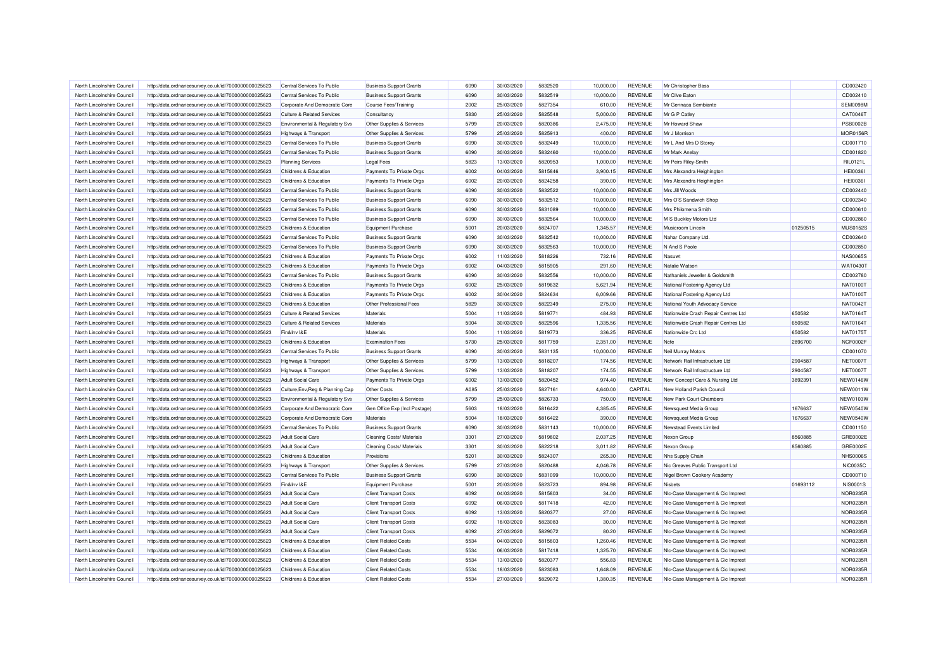| North Lincolnshire Council | http://data.ordnancesurvey.co.uk/id/7000000000025623 | Central Services To Public            | <b>Business Support Grants</b> | 6090 | 30/03/2020 | 5832520 | 10.000.00 | REVENUE        | Mr Christopher Bass                 |          | CD002420        |
|----------------------------|------------------------------------------------------|---------------------------------------|--------------------------------|------|------------|---------|-----------|----------------|-------------------------------------|----------|-----------------|
| North Lincolnshire Council | http://data.ordnancesurvey.co.uk/id/7000000000025623 | Central Services To Public            | <b>Business Support Grants</b> | 6090 | 30/03/2020 | 5832519 | 10,000.00 | REVENUE        | Mr Clive Eaton                      |          | CD002410        |
| North Lincolnshire Council | http://data.ordnancesurvey.co.uk/id/7000000000025623 | Corporate And Democratic Core         | <b>Course Fees/Training</b>    | 2002 | 25/03/2020 | 5827354 | 610.00    | REVENUE        | Mr Gennaca Sembiante                |          | SEM0098M        |
| North Lincolnshire Council | http://data.ordnancesurvey.co.uk/id/7000000000025623 | <b>Culture &amp; Related Services</b> | Consultancy                    | 5830 | 25/03/2020 | 5825548 | 5,000.00  | REVENUE        | Mr G P Catley                       |          | CAT0046T        |
| North Lincolnshire Council | http://data.ordnancesurvey.co.uk/id/7000000000025623 | Environmental & Regulatory Svs        | Other Supplies & Services      | 5799 | 20/03/2020 | 5820386 | 2,475.00  | <b>REVENUE</b> | Mr Howard Shaw                      |          | <b>PSB0002B</b> |
| North Lincolnshire Council | http://data.ordnancesurvey.co.uk/id/7000000000025623 | Highways & Transport                  | Other Supplies & Services      | 5799 | 25/03/2020 | 5825913 | 400.00    | REVENUE        | Mr J Morrison                       |          | <b>MOR0156R</b> |
| North Lincolnshire Council | http://data.ordnancesurvey.co.uk/id/7000000000025623 | Central Services To Public            | <b>Business Support Grants</b> | 6090 | 30/03/2020 | 5832449 | 10,000.00 | <b>REVENUE</b> | Mr L And Mrs D Storey               |          | CD001710        |
| North Lincolnshire Council | http://data.ordnancesurvey.co.uk/id/7000000000025623 | Central Services To Public            | <b>Business Support Grants</b> | 6090 | 30/03/2020 | 5832460 | 10,000.00 | REVENUE        | Mr Mark Anelay                      |          | CD001820        |
| North Lincolnshire Council | http://data.ordnancesurvey.co.uk/id/7000000000025623 | <b>Planning Services</b>              | <b>Legal Fees</b>              | 5823 | 13/03/2020 | 5820953 | 1,000.00  | REVENUE        | Mr Peirs Riley-Smith                |          | RIL0121L        |
| North Lincolnshire Council | http://data.ordnancesurvey.co.uk/id/7000000000025623 | Childrens & Education                 | Payments To Private Orgs       | 6002 | 04/03/2020 | 5815846 | 3,900.15  | REVENUE        | Mrs Alexandra Heighington           |          | <b>HEI0036I</b> |
| North Lincolnshire Council | http://data.ordnancesurvey.co.uk/id/7000000000025623 | Childrens & Education                 | Payments To Private Orgs       | 6002 | 20/03/2020 | 5824258 | 390.00    | REVENUE        | Mrs Alexandra Heighington           |          | <b>HEI0036I</b> |
| North Lincolnshire Council | http://data.ordnancesurvey.co.uk/id/7000000000025623 | Central Services To Public            | <b>Business Support Grants</b> | 6090 | 30/03/2020 | 5832522 | 10,000.00 | REVENUE        | Mrs Jill Woods                      |          | CD002440        |
| North Lincolnshire Council | http://data.ordnancesurvey.co.uk/id/7000000000025623 | Central Services To Public            | <b>Business Support Grants</b> | 6090 | 30/03/2020 | 5832512 | 10,000.00 | <b>REVENUE</b> | Mrs O'S Sandwich Shop               |          | CD002340        |
| North Lincolnshire Council | http://data.ordnancesurvey.co.uk/id/7000000000025623 | Central Services To Public            | <b>Business Support Grants</b> | 6090 | 30/03/2020 | 5831089 | 10,000.00 | REVENUE        | Mrs Philomena Smith                 |          | CD000610        |
| North Lincolnshire Council | http://data.ordnancesurvey.co.uk/id/7000000000025623 | Central Services To Public            | <b>Business Support Grants</b> | 6090 | 30/03/2020 | 5832564 | 10,000.00 | <b>REVENUE</b> | M S Buckley Motors Ltd              |          | CD002860        |
| North Lincolnshire Council | http://data.ordnancesurvey.co.uk/id/7000000000025623 | Childrens & Education                 | <b>Equipment Purchase</b>      | 5001 | 20/03/2020 | 5824707 | 1,345.57  | REVENUE        | Musicroom Lincoln                   | 01250515 | MUS0152S        |
|                            |                                                      |                                       |                                | 6090 | 30/03/2020 | 5832542 | 10,000.00 | REVENUE        |                                     |          | CD002640        |
| North Lincolnshire Council | http://data.ordnancesurvey.co.uk/id/7000000000025623 | Central Services To Public            | <b>Business Support Grants</b> |      |            |         |           |                | Nahar Company Ltd                   |          |                 |
| North Lincolnshire Council | http://data.ordnancesurvey.co.uk/id/7000000000025623 | Central Services To Public            | <b>Business Support Grants</b> | 6090 | 30/03/2020 | 5832563 | 10,000.00 | REVENUE        | N And S Poole                       |          | CD002850        |
| North Lincolnshire Council | http://data.ordnancesurvey.co.uk/id/7000000000025623 | Childrens & Education                 | Payments To Private Orgs       | 6002 | 11/03/2020 | 5818226 | 732.16    | <b>REVENUE</b> | Nasuwt                              |          | <b>NAS0065S</b> |
| North Lincolnshire Council | http://data.ordnancesurvey.co.uk/id/7000000000025623 | Childrens & Education                 | Payments To Private Orgs       | 6002 | 04/03/2020 | 5815905 | 291.60    | REVENUE        | Natalie Watson                      |          | WAT0430T        |
| North Lincolnshire Council | http://data.ordnancesurvey.co.uk/id/7000000000025623 | Central Services To Public            | <b>Business Support Grants</b> | 6090 | 30/03/2020 | 5832556 | 10,000.00 | <b>REVENUE</b> | Nathaniels Jeweller & Goldsmith     |          | CD002780        |
| North Lincolnshire Council | http://data.ordnancesurvey.co.uk/id/7000000000025623 | Childrens & Education                 | Payments To Private Orgs       | 6002 | 25/03/2020 | 5819632 | 5,621.94  | REVENUE        | National Fostering Agency Ltd       |          | <b>NAT0100T</b> |
| North Lincolnshire Council | http://data.ordnancesurvey.co.uk/id/7000000000025623 | Childrens & Education                 | Payments To Private Orgs       | 6002 | 30/04/2020 | 5824634 | 6.009.66  | <b>REVENUE</b> | National Fostering Agency Ltd       |          | <b>NAT0100T</b> |
| North Lincolnshire Council | http://data.ordnancesurvey.co.uk/id/7000000000025623 | Childrens & Education                 | Other Professional Fees        | 5829 | 30/03/2020 | 5822349 | 275.00    | REVENUE        | National Youth Advocacy Service     |          | <b>NAT0042T</b> |
| North Lincolnshire Council | http://data.ordnancesurvey.co.uk/id/7000000000025623 | <b>Culture &amp; Related Services</b> | Materials                      | 5004 | 11/03/2020 | 5819771 | 484.93    | <b>REVENUE</b> | Nationwide Crash Repair Centres Ltd | 650582   | NAT0164T        |
| North Lincolnshire Council | http://data.ordnancesurvey.co.uk/id/7000000000025623 | <b>Culture &amp; Related Services</b> | Materials                      | 5004 | 30/03/2020 | 5822596 | 1,335.56  | REVENUE        | Nationwide Crash Repair Centres Ltd | 650582   | <b>NAT0164T</b> |
| North Lincolnshire Council | http://data.ordnancesurvey.co.uk/id/7000000000025623 | Fin&Inv I&E                           | Materials                      | 5004 | 11/03/2020 | 5819773 | 336.25    | <b>REVENUE</b> | Nationwide Crc Ltd                  | 650582   | <b>NAT0175T</b> |
| North Lincolnshire Council | http://data.ordnancesurvey.co.uk/id/7000000000025623 | Childrens & Education                 | <b>Examination Fees</b>        | 5730 | 25/03/2020 | 5817759 | 2,351.00  | REVENUE        | Ncfe                                | 2896700  | NCF0002F        |
| North Lincolnshire Council | http://data.ordnancesurvey.co.uk/id/7000000000025623 | Central Services To Public            | <b>Business Support Grants</b> | 6090 | 30/03/2020 | 5831135 | 10,000.00 | <b>REVENUE</b> | Neil Murray Motors                  |          | CD001070        |
| North Lincolnshire Council | http://data.ordnancesurvey.co.uk/id/7000000000025623 | Highways & Transport                  | Other Supplies & Services      | 5799 | 13/03/2020 | 5818207 | 174.56    | REVENUE        | Network Rail Infrastructure Ltd     | 2904587  | NET0007T        |
| North Lincolnshire Council | http://data.ordnancesurvey.co.uk/id/7000000000025623 | Highways & Transport                  | Other Supplies & Services      | 5799 | 13/03/2020 | 5818207 | 174.55    | <b>REVENUE</b> | Network Rail Infrastructure Ltd     | 2904587  | NET0007T        |
| North Lincolnshire Council | http://data.ordnancesurvey.co.uk/id/7000000000025623 | <b>Adult Social Care</b>              | Payments To Private Orgs       | 6002 | 13/03/2020 | 5820452 | 974.40    | REVENUE        | New Concept Care & Nursing Ltd      | 3892391  | <b>NEW0146W</b> |
| North Lincolnshire Council | http://data.ordnancesurvey.co.uk/id/7000000000025623 | Culture, Env, Reg & Planning Cap      | <b>Other Costs</b>             | A085 | 25/03/2020 | 5827161 | 4,640.00  | CAPITAL        | New Holland Parish Counci           |          | NEW0011W        |
| North Lincolnshire Council | http://data.ordnancesurvey.co.uk/id/7000000000025623 | Environmental & Regulatory Svs        | Other Supplies & Services      | 5799 | 25/03/2020 | 5826733 | 750.00    | REVENUE        | New Park Court Chambers             |          | NEW0103W        |
| North Lincolnshire Council | http://data.ordnancesurvey.co.uk/id/7000000000025623 | Corporate And Democratic Core         | Gen Office Exp (Incl Postage)  | 5603 | 18/03/2020 | 5816422 | 4,385.45  | <b>REVENUE</b> | Newsquest Media Group               | 1676637  | NEW0540W        |
| North Lincolnshire Council | http://data.ordnancesurvey.co.uk/id/7000000000025623 | Corporate And Democratic Core         | Materials                      | 5004 | 18/03/2020 | 5816422 | 390.00    | REVENUE        | Newsquest Media Group               | 1676637  | <b>NEW0540W</b> |
| North Lincolnshire Council | http://data.ordnancesurvey.co.uk/id/7000000000025623 | Central Services To Public            | <b>Business Support Grants</b> | 6090 | 30/03/2020 | 5831143 | 10,000.00 | REVENUE        | Newstead Events Limited             |          | CD001150        |
| North Lincolnshire Council | http://data.ordnancesurvey.co.uk/id/7000000000025623 | <b>Adult Social Care</b>              | Cleaning Costs/ Materials      | 3301 | 27/03/2020 | 5819802 | 2,037.25  | REVENUE        | Nexon Group                         | 8560885  | GRE0002E        |
| North Lincolnshire Council | http://data.ordnancesurvey.co.uk/id/7000000000025623 | <b>Adult Social Care</b>              | Cleaning Costs/ Materials      | 3301 | 30/03/2020 | 5822218 | 3,011.82  | REVENUE        | Nexon Group                         | 8560885  | GRE0002E        |
| North Lincolnshire Council | http://data.ordnancesurvey.co.uk/id/7000000000025623 | Childrens & Education                 | Provisions                     | 5201 | 30/03/2020 | 5824307 | 265.30    | REVENUE        | Nhs Supply Chain                    |          | <b>NHS0006S</b> |
| North Lincolnshire Council | http://data.ordnancesurvey.co.uk/id/7000000000025623 | Highways & Transport                  | Other Supplies & Services      | 5799 | 27/03/2020 | 5820488 | 4,046.78  | <b>REVENUE</b> | Nic Greaves Public Transport Ltd    |          | <b>NIC0035C</b> |
| North Lincolnshire Council | http://data.ordnancesurvey.co.uk/id/7000000000025623 | Central Services To Public            | <b>Business Support Grants</b> | 6090 | 30/03/2020 | 5831099 | 10,000.00 | REVENUE        | Nigel Brown Cookery Academy         |          | CD000710        |
| North Lincolnshire Council | http://data.ordnancesurvey.co.uk/id/7000000000025623 | Fin&Inv I&E                           | <b>Equipment Purchase</b>      | 5001 | 20/03/2020 | 5823723 | 894.98    | <b>REVENUE</b> | Nisbets                             | 01693112 | <b>NIS0001S</b> |
| North Lincolnshire Council | http://data.ordnancesurvey.co.uk/id/7000000000025623 | <b>Adult Social Care</b>              | <b>Client Transport Costs</b>  | 6092 | 04/03/2020 | 5815803 | 34.00     | REVENUE        | NIc-Case Management & Cic Imprest   |          | NOR0235F        |
| North Lincolnshire Council | http://data.ordnancesurvey.co.uk/id/7000000000025623 | <b>Adult Social Care</b>              | <b>Client Transport Costs</b>  | 6092 | 06/03/2020 | 5817418 | 42.00     | <b>REVENUE</b> | Nlc-Case Management & Cic Imprest   |          | NOR0235R        |
| North Lincolnshire Council | http://data.ordnancesurvey.co.uk/id/7000000000025623 | <b>Adult Social Care</b>              | <b>Client Transport Costs</b>  | 6092 | 13/03/2020 | 5820377 | 27.00     | <b>REVENUE</b> | NIc-Case Management & Cic Imprest   |          | <b>NOR0235F</b> |
| North Lincolnshire Council | http://data.ordnancesurvey.co.uk/id/7000000000025623 | <b>Adult Social Care</b>              | <b>Client Transport Costs</b>  | 6092 | 18/03/2020 | 5823083 | 30.00     | <b>REVENUE</b> | NIc-Case Management & Cic Imprest   |          | NOR0235F        |
| North Lincolnshire Council | http://data.ordnancesurvey.co.uk/id/7000000000025623 | <b>Adult Social Care</b>              | <b>Client Transport Costs</b>  | 6092 | 27/03/2020 | 5829072 | 80.20     | REVENUE        | NIc-Case Management & Cic Imprest   |          | <b>NOR0235F</b> |
| North Lincolnshire Council | http://data.ordnancesurvey.co.uk/id/7000000000025623 | Childrens & Education                 | <b>Client Related Costs</b>    | 5534 | 04/03/2020 | 5815803 | 1,260.46  | <b>REVENUE</b> | Nlc-Case Management & Cic Imprest   |          | <b>NOR0235F</b> |
| North Lincolnshire Council | http://data.ordnancesurvey.co.uk/id/7000000000025623 | Childrens & Education                 | <b>Client Related Costs</b>    | 5534 | 06/03/2020 | 5817418 | 1,325.70  | REVENUE        | Nic-Case Management & Cic Imprest   |          | NOR0235R        |
| North Lincolnshire Council | http://data.ordnancesurvey.co.uk/id/7000000000025623 | Childrens & Education                 | <b>Client Related Costs</b>    | 5534 | 13/03/2020 | 5820377 | 556.83    | <b>REVENUE</b> | NIc-Case Management & Cic Imprest   |          | NOR0235F        |
| North Lincolnshire Council | http://data.ordnancesurvey.co.uk/id/7000000000025623 | Childrens & Education                 | <b>Client Related Costs</b>    | 5534 | 18/03/2020 | 5823083 | 1,648.09  | REVENUE        | NIc-Case Management & Cic Imprest   |          | <b>NOR0235F</b> |
| North Lincolnshire Council | http://data.ordnancesurvey.co.uk/id/7000000000025623 | Childrens & Education                 | <b>Client Related Costs</b>    | 5534 | 27/03/2020 | 5829072 | 1,380.35  | <b>REVENUE</b> | NIc-Case Management & Cic Imprest   |          | NOR0235R        |
|                            |                                                      |                                       |                                |      |            |         |           |                |                                     |          |                 |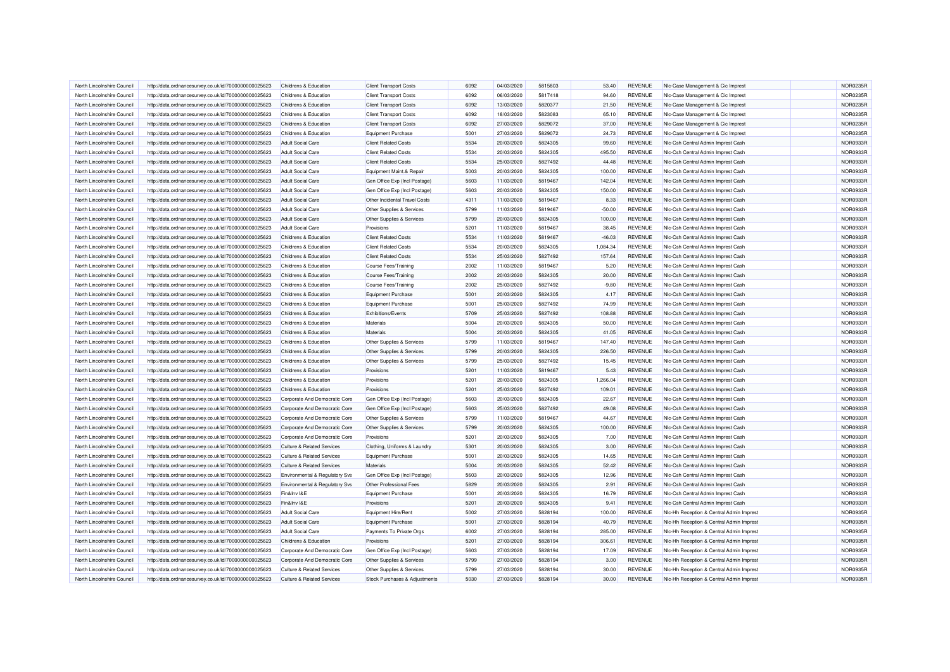| North Lincolnshire Council | http://data.ordnancesurvey.co.uk/id/7000000000025623 | <b>Childrens &amp; Education</b>          | <b>Client Transport Costs</b> | 6092 | 04/03/2020 | 5815803 | 53.40    | REVENUE        | Nic-Case Management & Cic Imprest        | <b>NOR0235R</b> |
|----------------------------|------------------------------------------------------|-------------------------------------------|-------------------------------|------|------------|---------|----------|----------------|------------------------------------------|-----------------|
| North Lincolnshire Council | http://data.ordnancesurvey.co.uk/id/7000000000025623 | Childrens & Education                     | <b>Client Transport Costs</b> | 6092 | 06/03/2020 | 5817418 | 94.60    | <b>REVENUE</b> | Nic-Case Management & Cic Imprest        | NOR0235R        |
| North Lincolnshire Council | http://data.ordnancesurvey.co.uk/id/7000000000025623 | Childrens & Education                     | <b>Client Transport Costs</b> | 6092 | 13/03/2020 | 5820377 | 21.50    | REVENUE        | NIc-Case Management & Cic Imprest        | NOR0235R        |
| North Lincolnshire Council | http://data.ordnancesurvey.co.uk/id/7000000000025623 | Childrens & Education                     | <b>Client Transport Costs</b> | 6092 | 18/03/2020 | 5823083 | 65.10    | <b>REVENUE</b> | NIc-Case Management & Cic Imprest        | NOR0235R        |
| North Lincolnshire Council | http://data.ordnancesurvey.co.uk/id/7000000000025623 | Childrens & Education                     | <b>Client Transport Costs</b> | 6092 | 27/03/2020 | 5829072 | 37.00    | REVENUE        | Nic-Case Management & Cic Imprest        | NOR0235R        |
| North Lincolnshire Council | http://data.ordnancesurvey.co.uk/id/7000000000025623 | <b>Childrens &amp; Education</b>          | <b>Equipment Purchase</b>     | 5001 | 27/03/2020 | 5829072 | 24.73    | <b>REVENUE</b> | NIc-Case Management & Cic Imprest        | <b>NOR0235R</b> |
| North Lincolnshire Council | http://data.ordnancesurvey.co.uk/id/7000000000025623 | <b>Adult Social Care</b>                  | <b>Client Related Costs</b>   | 5534 | 20/03/2020 | 5824305 | 99.60    | <b>REVENUE</b> | Nlc-Csh Central Admin Imprest Cash       | NOR0933R        |
| North Lincolnshire Council | http://data.ordnancesurvey.co.uk/id/7000000000025623 | <b>Adult Social Care</b>                  | <b>Client Related Costs</b>   | 5534 | 20/03/2020 | 5824305 | 495.50   | REVENUE        | Nic-Csh Central Admin Imprest Cash       | NOR0933F        |
| North Lincolnshire Council | http://data.ordnancesurvey.co.uk/id/7000000000025623 | <b>Adult Social Care</b>                  | <b>Client Related Costs</b>   | 5534 | 25/03/2020 | 5827492 | 44.48    | <b>REVENUE</b> | Nlc-Csh Central Admin Imprest Cash       | NOR0933R        |
| North Lincolnshire Council | http://data.ordnancesurvey.co.uk/id/7000000000025623 | <b>Adult Social Care</b>                  | Equipment Maint.& Repair      | 5003 | 20/03/2020 | 5824305 | 100.00   | <b>REVENUE</b> | Nic-Csh Central Admin Imprest Cash       | NOR0933R        |
| North Lincolnshire Council | http://data.ordnancesurvey.co.uk/id/7000000000025623 | <b>Adult Social Care</b>                  | Gen Office Exp (Incl Postage) | 5603 | 11/03/2020 | 5819467 | 142.04   | <b>REVENUE</b> | Nic-Csh Central Admin Imprest Cash       | NOR0933R        |
| North Lincolnshire Council | http://data.ordnancesurvey.co.uk/id/7000000000025623 | Adult Social Care                         | Gen Office Exp (Incl Postage) | 5603 | 20/03/2020 | 5824305 | 150.00   | <b>REVENUE</b> | Nic-Csh Central Admin Imprest Cash       | <b>NOR0933R</b> |
| North Lincolnshire Council | http://data.ordnancesurvey.co.uk/id/7000000000025623 | <b>Adult Social Care</b>                  | Other Incidental Travel Costs | 4311 | 11/03/2020 | 5819467 | 8.33     | <b>REVENUE</b> | Nic-Csh Central Admin Imprest Cash       | NOR0933F        |
| North Lincolnshire Council | http://data.ordnancesurvey.co.uk/id/7000000000025623 | <b>Adult Social Care</b>                  | Other Supplies & Services     | 5799 | 11/03/2020 | 5819467 | $-50.00$ | REVENUE        | Nic-Csh Central Admin Imprest Cash       | NOR0933F        |
| North Lincolnshire Council | http://data.ordnancesurvey.co.uk/id/7000000000025623 | <b>Adult Social Care</b>                  | Other Supplies & Services     | 5799 | 20/03/2020 | 5824305 | 100.00   | <b>REVENUE</b> | Nic-Csh Central Admin Imprest Cash       | NOR0933R        |
| North Lincolnshire Council | http://data.ordnancesurvey.co.uk/id/7000000000025623 | <b>Adult Social Care</b>                  | Provisions                    | 5201 | 11/03/2020 | 5819467 | 38.45    | REVENUE        | Nic-Csh Central Admin Imprest Cash       | NOR0933R        |
| North Lincolnshire Council | http://data.ordnancesurvey.co.uk/id/7000000000025623 | Childrens & Education                     | <b>Client Related Costs</b>   | 5534 | 11/03/2020 | 5819467 | $-46.03$ | <b>REVENUE</b> | Nic-Csh Central Admin Imprest Cash       | NOR0933R        |
| North Lincolnshire Council | http://data.ordnancesurvey.co.uk/id/7000000000025623 | Childrens & Education                     | <b>Client Related Costs</b>   | 5534 | 20/03/2020 | 5824305 | 1.084.34 | <b>REVENUE</b> | Nlc-Csh Central Admin Imprest Cash       | NOR0933R        |
| North Lincolnshire Council | http://data.ordnancesurvey.co.uk/id/7000000000025623 | Childrens & Education                     | <b>Client Related Costs</b>   | 5534 | 25/03/2020 | 5827492 | 157.64   | <b>REVENUE</b> | Nic-Csh Central Admin Imprest Cash       | NOR0933R        |
| North Lincolnshire Council | http://data.ordnancesurvey.co.uk/id/7000000000025623 | Childrens & Education                     | Course Fees/Training          | 2002 | 11/03/2020 | 5819467 | 5.20     | <b>REVENUE</b> | Nic-Csh Central Admin Imprest Cash       | NOR0933R        |
| North Lincolnshire Council | http://data.ordnancesurvey.co.uk/id/7000000000025623 | Childrens & Education                     | Course Fees/Training          | 2002 | 20/03/2020 | 5824305 | 20.00    | <b>REVENUE</b> | Nlc-Csh Central Admin Imprest Cash       | NOR0933R        |
| North Lincolnshire Council | http://data.ordnancesurvey.co.uk/id/7000000000025623 | Childrens & Education                     | <b>Course Fees/Training</b>   | 2002 | 25/03/2020 | 5827492 | $-9.80$  | <b>REVENUE</b> | Nic-Csh Central Admin Imprest Cash       | NOR0933R        |
| North Lincolnshire Council | http://data.ordnancesurvey.co.uk/id/7000000000025623 | Childrens & Education                     | <b>Equipment Purchase</b>     | 5001 | 20/03/2020 | 5824305 | 4.17     | <b>REVENUE</b> | Nic-Csh Central Admin Imprest Cash       | NOR0933R        |
| North Lincolnshire Council | http://data.ordnancesurvey.co.uk/id/7000000000025623 | Childrens & Education                     | <b>Equipment Purchase</b>     | 5001 | 25/03/2020 | 5827492 | 74.99    | <b>REVENUE</b> | Nlc-Csh Central Admin Imprest Cash       | NOR0933R        |
| North Lincolnshire Council | http://data.ordnancesurvey.co.uk/id/7000000000025623 | Childrens & Education                     | <b>Exhibitions/Events</b>     | 5709 | 25/03/2020 | 5827492 | 108.88   | <b>REVENUE</b> | Nic-Csh Central Admin Imprest Cash       | NOR0933F        |
| North Lincolnshire Council | http://data.ordnancesurvey.co.uk/id/7000000000025623 | Childrens & Education                     | Materials                     | 5004 | 20/03/2020 | 5824305 | 50.00    | <b>REVENUE</b> | Nic-Csh Central Admin Imprest Cash       | NOR0933R        |
| North Lincolnshire Council | http://data.ordnancesurvey.co.uk/id/7000000000025623 | Childrens & Education                     | Materials                     | 5004 | 20/03/2020 | 5824305 | 41.05    | <b>REVENUE</b> | Nic-Csh Central Admin Imprest Cash       | NOR0933R        |
| North Lincolnshire Council | http://data.ordnancesurvey.co.uk/id/7000000000025623 | Childrens & Education                     | Other Supplies & Services     | 5799 | 11/03/2020 | 5819467 | 147.40   | REVENUE        | Nic-Csh Central Admin Imprest Cash       | NOR0933R        |
| North Lincolnshire Council | http://data.ordnancesurvey.co.uk/id/7000000000025623 | Childrens & Education                     | Other Supplies & Services     | 5799 | 20/03/2020 | 5824305 | 226.50   | <b>REVENUE</b> | Nlc-Csh Central Admin Imprest Cash       | NOR0933R        |
| North Lincolnshire Council | http://data.ordnancesurvey.co.uk/id/7000000000025623 | <b>Childrens &amp; Education</b>          | Other Supplies & Services     | 5799 | 25/03/2020 | 5827492 | 15.45    | <b>REVENUE</b> | Nic-Csh Central Admin Imprest Cash       | NOR0933F        |
| North Lincolnshire Council | http://data.ordnancesurvey.co.uk/id/7000000000025623 | Childrens & Education                     | Provisions                    | 5201 | 11/03/2020 | 5819467 | 5.43     | <b>REVENUE</b> | Nic-Csh Central Admin Imprest Cash       | NOR0933R        |
| North Lincolnshire Council | http://data.ordnancesurvey.co.uk/id/7000000000025623 | Childrens & Education                     | Provisions                    | 5201 | 20/03/2020 | 5824305 | 1,266.04 | REVENUE        | Nic-Csh Central Admin Imprest Cash       | NOR0933R        |
| North Lincolnshire Council |                                                      | <b>Childrens &amp; Education</b>          | Provisions                    | 5201 | 25/03/2020 | 5827492 | 109.01   | REVENUE        | Nic-Csh Central Admin Imprest Cash       | NOR0933R        |
|                            | http://data.ordnancesurvey.co.uk/id/7000000000025623 |                                           |                               |      |            |         |          |                |                                          |                 |
| North Lincolnshire Council | http://data.ordnancesurvey.co.uk/id/7000000000025623 | Corporate And Democratic Core             | Gen Office Exp (Incl Postage) | 5603 | 20/03/2020 | 5824305 | 22.67    | REVENUE        | Nic-Csh Central Admin Imprest Cash       | NOR0933R        |
| North Lincolnshire Council | http://data.ordnancesurvey.co.uk/id/7000000000025623 | Corporate And Democratic Core             | Gen Office Exp (Incl Postage) | 5603 | 25/03/2020 | 5827492 | 49.08    | <b>REVENUE</b> | Nic-Csh Central Admin Imprest Cash       | NOR0933R        |
| North Lincolnshire Council | http://data.ordnancesurvey.co.uk/id/7000000000025623 | Corporate And Democratic Core             | Other Supplies & Services     | 5799 | 11/03/2020 | 5819467 | 44.67    | REVENUE        | Nic-Csh Central Admin Imprest Cash       | NOR0933F        |
| North Lincolnshire Council | http://data.ordnancesurvey.co.uk/id/7000000000025623 | Corporate And Democratic Core             | Other Supplies & Services     | 5799 | 20/03/2020 | 5824305 | 100.00   | <b>REVENUE</b> | Nic-Csh Central Admin Imprest Cash       | NOR0933R        |
| North Lincolnshire Council | http://data.ordnancesurvey.co.uk/id/7000000000025623 | Corporate And Democratic Core             | Provisions                    | 5201 | 20/03/2020 | 5824305 | 7.00     | <b>REVENUE</b> | Nlc-Csh Central Admin Imprest Cash       | NOR0933R        |
| North Lincolnshire Council | http://data.ordnancesurvey.co.uk/id/7000000000025623 | <b>Culture &amp; Related Services</b>     | Clothing, Uniforms & Laundry  | 5301 | 20/03/2020 | 5824305 | 3.00     | <b>REVENUE</b> | Nic-Csh Central Admin Imprest Cash       | NOR0933R        |
| North Lincolnshire Council | http://data.ordnancesurvey.co.uk/id/7000000000025623 | <b>Culture &amp; Related Services</b>     | Equipment Purchase            | 5001 | 20/03/2020 | 5824305 | 14.65    | <b>REVENUE</b> | Nlc-Csh Central Admin Imprest Cash       | NOR0933R        |
| North Lincolnshire Council | http://data.ordnancesurvey.co.uk/id/7000000000025623 | <b>Culture &amp; Related Services</b>     | Materials                     | 5004 | 20/03/2020 | 5824305 | 52.42    | <b>REVENUE</b> | Nlc-Csh Central Admin Imprest Cash       | NOR0933R        |
| North Lincolnshire Council | http://data.ordnancesurvey.co.uk/id/7000000000025623 | Environmental & Regulatory Svs            | Gen Office Exp (Incl Postage) | 5603 | 20/03/2020 | 5824305 | 12.96    | <b>REVENUE</b> | Nic-Csh Central Admin Imprest Cash       | NOR0933R        |
| North Lincolnshire Council | http://data.ordnancesurvey.co.uk/id/7000000000025623 | <b>Environmental &amp; Regulatory Svs</b> | Other Professional Fees       | 5829 | 20/03/2020 | 5824305 | 2.91     | <b>REVENUE</b> | Nlc-Csh Central Admin Imprest Cash       | NOR0933R        |
| North Lincolnshire Council | http://data.ordnancesurvey.co.uk/id/7000000000025623 | Fin&Inv I&E                               | <b>Equipment Purchase</b>     | 5001 | 20/03/2020 | 5824305 | 16.79    | <b>REVENUE</b> | Nic-Csh Central Admin Imprest Cash       | NOR0933R        |
| North Lincolnshire Council | http://data.ordnancesurvey.co.uk/id/7000000000025623 | Fin&Inv I&E                               | Provisions                    | 5201 | 20/03/2020 | 5824305 | 9.41     | <b>REVENUE</b> | Nic-Csh Central Admin Imprest Cash       | NOR0933R        |
| North Lincolnshire Council | http://data.ordnancesurvey.co.uk/id/7000000000025623 | <b>Adult Social Care</b>                  | <b>Equipment Hire/Rent</b>    | 5002 | 27/03/2020 | 5828194 | 100.00   | <b>REVENUE</b> | Nic-Hh Reception & Central Admin Imprest | NOR0935R        |
| North Lincolnshire Council | http://data.ordnancesurvey.co.uk/id/7000000000025623 | <b>Adult Social Care</b>                  | <b>Equipment Purchase</b>     | 5001 | 27/03/2020 | 5828194 | 40.79    | REVENUE        | Nic-Hh Reception & Central Admin Imprest | <b>NOR0935F</b> |
| North Lincolnshire Council | http://data.ordnancesurvey.co.uk/id/7000000000025623 | <b>Adult Social Care</b>                  | Payments To Private Orgs      | 6002 | 27/03/2020 | 5828194 | 285.00   | <b>REVENUE</b> | Nlc-Hh Reception & Central Admin Imprest | NOR0935R        |
| North Lincolnshire Council | http://data.ordnancesurvey.co.uk/id/7000000000025623 | Childrens & Education                     | Provisions                    | 5201 | 27/03/2020 | 5828194 | 306.61   | <b>REVENUE</b> | Nic-Hh Reception & Central Admin Imprest | NOR0935R        |
| North Lincolnshire Council | http://data.ordnancesurvey.co.uk/id/7000000000025623 | Corporate And Democratic Core             | Gen Office Exp (Incl Postage) | 5603 | 27/03/2020 | 5828194 | 17.09    | <b>REVENUE</b> | NIc-Hh Reception & Central Admin Imprest | NOR0935R        |
| North Lincolnshire Council | http://data.ordnancesurvey.co.uk/id/7000000000025623 | Corporate And Democratic Core             | Other Supplies & Services     | 5799 | 27/03/2020 | 5828194 | 3.00     | <b>REVENUE</b> | Nic-Hh Reception & Central Admin Imprest | NOR0935R        |
| North Lincolnshire Council | http://data.ordnancesurvey.co.uk/id/7000000000025623 | <b>Culture &amp; Related Services</b>     | Other Supplies & Services     | 5799 | 27/03/2020 | 5828194 | 30.00    | <b>REVENUE</b> | NIc-Hh Reception & Central Admin Imprest | <b>NOR0935R</b> |
| North Lincolnshire Council | http://data.ordnancesurvey.co.uk/id/7000000000025623 | <b>Culture &amp; Related Services</b>     | Stock Purchases & Adiustments | 5030 | 27/03/2020 | 5828194 | 30.00    | <b>REVENUE</b> | NIc-Hh Reception & Central Admin Imprest | NOR0935R        |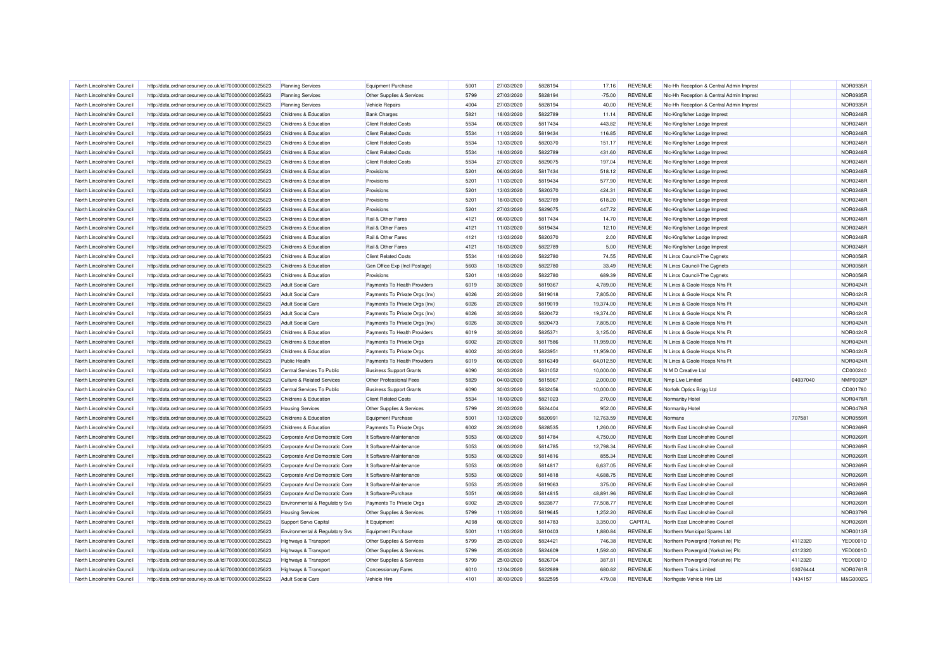| North Lincolnshire Council | http://data.ordnancesurvey.co.uk/id/7000000000025623 | <b>Planning Services</b>                  | <b>Equipment Purchase</b>      | 5001 | 27/03/2020 | 5828194 | 17.16     | REVENUE        | Nlc-Hh Reception & Central Admin Imprest |          | <b>NOR0935R</b> |
|----------------------------|------------------------------------------------------|-------------------------------------------|--------------------------------|------|------------|---------|-----------|----------------|------------------------------------------|----------|-----------------|
| North Lincolnshire Council | http://data.ordnancesurvey.co.uk/id/7000000000025623 | <b>Planning Services</b>                  | Other Supplies & Services      | 5799 | 27/03/2020 | 5828194 | $-75.00$  | <b>REVENUE</b> | Nlc-Hh Reception & Central Admin Imprest |          | <b>NOR0935R</b> |
| North Lincolnshire Council | http://data.ordnancesurvey.co.uk/id/7000000000025623 | <b>Planning Services</b>                  | Vehicle Repairs                | 4004 | 27/03/2020 | 5828194 | 40.00     | <b>REVENUE</b> | Nic-Hh Reception & Central Admin Imprest |          | <b>NOR0935R</b> |
| North Lincolnshire Council | http://data.ordnancesurvey.co.uk/id/7000000000025623 | Childrens & Education                     | <b>Bank Charges</b>            | 5821 | 18/03/2020 | 5822789 | 11.14     | REVENUE        | Nic-Kingfisher Lodge Imprest             |          | <b>NOR0248R</b> |
| North Lincolnshire Council | http://data.ordnancesurvey.co.uk/id/7000000000025623 | Childrens & Education                     | <b>Client Related Costs</b>    | 5534 | 06/03/2020 | 5817434 | 443.82    | REVENUE        | Nic-Kingfisher Lodge Imprest             |          | <b>NOR0248R</b> |
| North Lincolnshire Council | http://data.ordnancesurvey.co.uk/id/7000000000025623 | Childrens & Education                     | <b>Client Related Costs</b>    | 5534 | 11/03/2020 | 5819434 | 116.85    | <b>REVENUE</b> | Nic-Kingfisher Lodge Imprest             |          | NOR0248R        |
| North Lincolnshire Council | http://data.ordnancesurvey.co.uk/id/7000000000025623 | Childrens & Education                     | <b>Client Related Costs</b>    | 5534 | 13/03/2020 | 5820370 | 151.17    | <b>REVENUE</b> | Nic-Kingfisher Lodge Imprest             |          | NOR0248F        |
| North Lincolnshire Council | http://data.ordnancesurvey.co.uk/id/7000000000025623 | Childrens & Education                     | <b>Client Related Costs</b>    | 5534 | 18/03/2020 | 5822789 | 431.60    | <b>REVENUE</b> | Nic-Kingfisher Lodge Imprest             |          | <b>NOR0248F</b> |
| North Lincolnshire Council | http://data.ordnancesurvey.co.uk/id/7000000000025623 | Childrens & Education                     | <b>Client Related Costs</b>    | 5534 | 27/03/2020 | 5829075 | 197.04    | REVENUE        | Nic-Kingfisher Lodge Imprest             |          | NOR0248R        |
| North Lincolnshire Council | http://data.ordnancesurvey.co.uk/id/7000000000025623 | Childrens & Education                     | Provisions                     | 5201 | 06/03/2020 | 5817434 | 518.12    | <b>REVENUE</b> | Nic-Kingfisher Lodge Imprest             |          | NOR0248F        |
| North Lincolnshire Council | http://data.ordnancesurvey.co.uk/id/7000000000025623 | Childrens & Education                     | Provisions                     | 5201 | 11/03/2020 | 5819434 | 577.90    | REVENUE        | Nic-Kingfisher Lodge Imprest             |          | NOR0248R        |
| North Lincolnshire Council | http://data.ordnancesurvey.co.uk/id/7000000000025623 | Childrens & Education                     | Provisions                     | 5201 | 13/03/2020 | 5820370 | 424.31    | <b>REVENUE</b> | Nic-Kingfisher Lodge Imprest             |          | NOR0248R        |
| North Lincolnshire Council | http://data.ordnancesurvey.co.uk/id/7000000000025623 | Childrens & Education                     | Provisions                     | 5201 | 18/03/2020 | 5822789 | 618.20    | REVENUE        | Nic-Kingfisher Lodge Imprest             |          | NOR0248F        |
| North Lincolnshire Council | http://data.ordnancesurvey.co.uk/id/7000000000025623 | Childrens & Education                     | Provisions                     | 5201 | 27/03/2020 | 5829075 | 447.72    | REVENUE        | Nic-Kingfisher Lodge Imprest             |          | <b>NOR0248F</b> |
| North Lincolnshire Council | http://data.ordnancesurvey.co.uk/id/7000000000025623 | Childrens & Education                     | Rail & Other Fares             | 4121 | 06/03/2020 | 5817434 | 14.70     | REVENUE        | Nic-Kingfisher Lodge Imprest             |          | <b>NOR0248F</b> |
| North Lincolnshire Council | http://data.ordnancesurvey.co.uk/id/7000000000025623 | Childrens & Education                     | Rail & Other Fares             | 4121 | 11/03/2020 | 5819434 | 12.10     | REVENUE        | Nic-Kingfisher Lodge Imprest             |          | NOR0248R        |
| North Lincolnshire Council | http://data.ordnancesurvey.co.uk/id/7000000000025623 | Childrens & Education                     | Rail & Other Fares             | 4121 | 13/03/2020 | 5820370 | 2.00      | REVENUE        | Nic-Kingfisher Lodge Imprest             |          | NOR0248F        |
| North Lincolnshire Council | http://data.ordnancesurvey.co.uk/id/7000000000025623 | Childrens & Education                     | Rail & Other Fares             | 4121 | 18/03/2020 | 5822789 | 5.00      | REVENUE        | Nic-Kingfisher Lodge Imprest             |          | NOR0248F        |
| North Lincolnshire Council | http://data.ordnancesurvey.co.uk/id/7000000000025623 | Childrens & Education                     | <b>Client Related Costs</b>    | 5534 | 18/03/2020 | 5822780 | 74.55     | REVENUE        | N Lincs Council-The Cygnets              |          | NOR0058F        |
| North Lincolnshire Council | http://data.ordnancesurvey.co.uk/id/7000000000025623 | Childrens & Education                     | Gen Office Exp (Incl Postage)  | 5603 | 18/03/2020 | 5822780 | 33.49     | <b>REVENUE</b> | N Lincs Council-The Cygnets              |          | NOR0058R        |
| North Lincolnshire Council | http://data.ordnancesurvey.co.uk/id/7000000000025623 | Childrens & Education                     | Provisions                     | 5201 | 18/03/2020 | 5822780 | 689.39    | <b>REVENUE</b> | N Lincs Council-The Cygnets              |          | <b>NOR0058F</b> |
| North Lincolnshire Council | http://data.ordnancesurvey.co.uk/id/7000000000025623 | <b>Adult Social Care</b>                  | Payments To Health Providers   | 6019 | 30/03/2020 | 5819367 | 4,789.00  | REVENUE        | N Lincs & Goole Hosps Nhs Ft             |          | <b>NOR0424R</b> |
| North Lincolnshire Council |                                                      | <b>Adult Social Care</b>                  |                                | 6026 | 20/03/2020 | 5819018 | 7,805.00  | REVENUE        | N Lincs & Goole Hosps Nhs Ft             |          | <b>NOR0424R</b> |
|                            | http://data.ordnancesurvey.co.uk/id/7000000000025623 |                                           | Payments To Private Orgs (Inv) |      |            |         |           |                |                                          |          |                 |
| North Lincolnshire Council | http://data.ordnancesurvey.co.uk/id/7000000000025623 | <b>Adult Social Care</b>                  | Payments To Private Orgs (Inv) | 6026 | 20/03/2020 | 5819019 | 19,374.00 | <b>REVENUE</b> | N Lincs & Goole Hosps Nhs Ft             |          | NOR0424F        |
| North Lincolnshire Council | http://data.ordnancesurvey.co.uk/id/7000000000025623 | <b>Adult Social Care</b>                  | Payments To Private Orgs (Inv) | 6026 | 30/03/2020 | 5820472 | 19,374.00 | REVENUE        | N Lincs & Goole Hosps Nhs Ft             |          | NOR0424F        |
| North Lincolnshire Council | http://data.ordnancesurvey.co.uk/id/7000000000025623 | <b>Adult Social Care</b>                  | Payments To Private Orgs (Inv) | 6026 | 30/03/2020 | 5820473 | 7,805.00  | <b>REVENUE</b> | N Lincs & Goole Hosps Nhs Ft             |          | <b>NOR0424R</b> |
| North Lincolnshire Council | http://data.ordnancesurvey.co.uk/id/7000000000025623 | Childrens & Education                     | Payments To Health Providers   | 6019 | 30/03/2020 | 5825371 | 3,125.00  | <b>REVENUE</b> | N Lincs & Goole Hosps Nhs Ft             |          | NOR0424F        |
| North Lincolnshire Council | http://data.ordnancesurvey.co.uk/id/7000000000025623 | Childrens & Education                     | Payments To Private Orgs       | 6002 | 20/03/2020 | 5817586 | 11,959.00 | <b>REVENUE</b> | N Lincs & Goole Hosps Nhs Ft             |          | <b>NOR0424R</b> |
| North Lincolnshire Council | http://data.ordnancesurvey.co.uk/id/7000000000025623 | Childrens & Education                     | Payments To Private Orgs       | 6002 | 30/03/2020 | 5823951 | 11,959.00 | REVENUE        | N Lincs & Goole Hosps Nhs Ft             |          | <b>NOR0424R</b> |
| North Lincolnshire Council | http://data.ordnancesurvey.co.uk/id/7000000000025623 | <b>Public Health</b>                      | Payments To Health Providers   | 6019 | 06/03/2020 | 5816349 | 64,012.50 | REVENUE        | N Lincs & Goole Hosps Nhs Ft             |          | NOR0424F        |
| North Lincolnshire Council | http://data.ordnancesurvey.co.uk/id/7000000000025623 | Central Services To Public                | <b>Business Support Grants</b> | 6090 | 30/03/2020 | 5831052 | 10,000.00 | REVENUE        | N M D Creative Ltd                       |          | CD000240        |
| North Lincolnshire Council | http://data.ordnancesurvey.co.uk/id/7000000000025623 | <b>Culture &amp; Related Services</b>     | Other Professional Fees        | 5829 | 04/03/2020 | 5815967 | 2,000.00  | <b>REVENUE</b> | Nmp Live Limited                         | 04037040 | NMP0002F        |
| North Lincolnshire Council | http://data.ordnancesurvey.co.uk/id/7000000000025623 | Central Services To Public                | <b>Business Support Grants</b> | 6090 | 30/03/2020 | 5832456 | 10,000.00 | REVENUE        | Norfolk Optics Brigg Ltd                 |          | CD001780        |
| North Lincolnshire Council | http://data.ordnancesurvey.co.uk/id/7000000000025623 | Childrens & Education                     | <b>Client Related Costs</b>    | 5534 | 18/03/2020 | 5821023 | 270.00    | <b>REVENUE</b> | Normanby Hotel                           |          | <b>NOR0478R</b> |
| North Lincolnshire Council | http://data.ordnancesurvey.co.uk/id/7000000000025623 | <b>Housing Services</b>                   | Other Supplies & Services      | 5799 | 20/03/2020 | 5824404 | 952.00    | <b>REVENUE</b> | Normanby Hotel                           |          | <b>NOR0478F</b> |
| North Lincolnshire Council | http://data.ordnancesurvey.co.uk/id/7000000000025623 | <b>Childrens &amp; Education</b>          | <b>Equipment Purchase</b>      | 5001 | 13/03/2020 | 5820991 | 12,763.59 | REVENUE        | Normans                                  | 707581   | <b>NOR0559F</b> |
| North Lincolnshire Council | http://data.ordnancesurvey.co.uk/id/7000000000025623 | Childrens & Education                     | Payments To Private Orgs       | 6002 | 26/03/2020 | 5828535 | 1,260.00  | REVENUE        | North East Lincolnshire Counci           |          | <b>NOR0269F</b> |
| North Lincolnshire Council | http://data.ordnancesurvey.co.uk/id/7000000000025623 | Corporate And Democratic Core             | It Software-Maintenance        | 5053 | 06/03/2020 | 5814784 | 4,750.00  | REVENUE        | North East Lincolnshire Council          |          | <b>NOR0269F</b> |
| North Lincolnshire Council | http://data.ordnancesurvey.co.uk/id/7000000000025623 | Corporate And Democratic Core             | It Software-Maintenance        | 5053 | 06/03/2020 | 5814785 | 12,798.34 | REVENUE        | North East Lincolnshire Council          |          | <b>NOR0269F</b> |
| North Lincolnshire Council | http://data.ordnancesurvey.co.uk/id/7000000000025623 | Corporate And Democratic Core             | It Software-Maintenance        | 5053 | 06/03/2020 | 5814816 | 855.34    | <b>REVENUE</b> | North East Lincolnshire Counci           |          | <b>NOR0269F</b> |
| North Lincolnshire Council | http://data.ordnancesurvey.co.uk/id/7000000000025623 | Corporate And Democratic Core             | It Software-Maintenance        | 5053 | 06/03/2020 | 5814817 | 6,637.05  | REVENUE        | North East Lincolnshire Counci           |          | <b>NOR0269F</b> |
| North Lincolnshire Council | http://data.ordnancesurvey.co.uk/id/7000000000025623 | Corporate And Democratic Core             | It Software-Maintenance        | 5053 | 06/03/2020 | 5814818 | 4.688.75  | <b>REVENUE</b> | North East Lincolnshire Council          |          | <b>NOR0269F</b> |
| North Lincolnshire Council | http://data.ordnancesurvey.co.uk/id/7000000000025623 | Corporate And Democratic Core             | It Software-Maintenance        | 5053 | 25/03/2020 | 5819063 | 375.00    | <b>REVENUE</b> | North East Lincolnshire Counci           |          | <b>NOR0269F</b> |
| North Lincolnshire Council | http://data.ordnancesurvey.co.uk/id/7000000000025623 | Corporate And Democratic Core             | It Software-Purchase           | 5051 | 06/03/2020 | 5814815 | 48,891.96 | REVENUE        | North East Lincolnshire Council          |          | NOR0269R        |
| North Lincolnshire Council | http://data.ordnancesurvey.co.uk/id/7000000000025623 | Environmental & Regulatory Svs            | Payments To Private Orgs       | 6002 | 25/03/2020 | 5823877 | 77,508.77 | REVENUE        | North East Lincolnshire Counci           |          | NOR0269R        |
| North Lincolnshire Council | http://data.ordnancesurvey.co.uk/id/7000000000025623 | <b>Housing Services</b>                   | Other Supplies & Services      | 5799 | 11/03/2020 | 5819645 | 1,252.20  | REVENUE        | North East Lincolnshire Counci           |          | NOR0379F        |
| North Lincolnshire Council | http://data.ordnancesurvey.co.uk/id/7000000000025623 | <b>Support Servs Capital</b>              | It Equipment                   | A098 | 06/03/2020 | 5814783 | 3,350.00  | CAPITAL        | North East Lincolnshire Council          |          | <b>NOR0269F</b> |
| North Lincolnshire Council | http://data.ordnancesurvey.co.uk/id/7000000000025623 | <b>Environmental &amp; Regulatory Svs</b> | <b>Equipment Purchase</b>      | 5001 | 11/03/2020 | 5810403 | 1,880.84  | REVENUE        | Northern Municipal Spares Ltd            |          | <b>NOR0013R</b> |
| North Lincolnshire Council | http://data.ordnancesurvey.co.uk/id/7000000000025623 | Highways & Transport                      | Other Supplies & Services      | 5799 | 25/03/2020 | 5824421 | 746.38    | <b>REVENUE</b> | Northern Powergrid (Yorkshire) Plc       | 4112320  | <b>YED0001D</b> |
| North Lincolnshire Council | http://data.ordnancesurvey.co.uk/id/7000000000025623 | Highways & Transport                      | Other Supplies & Services      | 5799 | 25/03/2020 | 5824609 | 1,592.40  | REVENUE        | Northern Powergrid (Yorkshire) Plc       | 4112320  | <b>YED0001D</b> |
| North Lincolnshire Council | http://data.ordnancesurvey.co.uk/id/7000000000025623 | Highways & Transport                      | Other Supplies & Services      | 5799 | 25/03/2020 | 5826704 | 387.81    | <b>REVENUE</b> | Northern Powergrid (Yorkshire) Plc       | 4112320  | <b>YED0001D</b> |
| North Lincolnshire Council | http://data.ordnancesurvey.co.uk/id/7000000000025623 | Highways & Transport                      | <b>Concessionary Fares</b>     | 6010 | 12/04/2020 | 5822889 | 680.82    | REVENUE        | Northern Trains Limited                  | 03076444 | <b>NOR0761F</b> |
| North Lincolnshire Council | http://data.ordnancesurvey.co.uk/id/7000000000025623 | <b>Adult Social Care</b>                  | Vehicle Hire                   | 4101 | 30/03/2020 | 5822595 | 479.08    | <b>REVENUE</b> | Northgate Vehicle Hire Ltd               | 1434157  | M&G0002G        |
|                            |                                                      |                                           |                                |      |            |         |           |                |                                          |          |                 |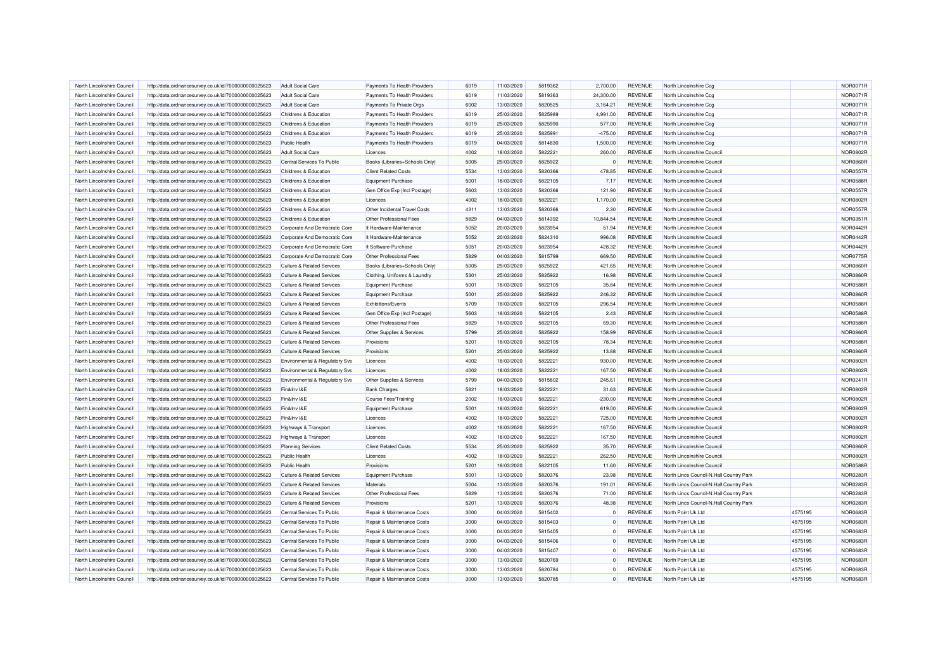| North Lincolnshire Council                               | http://data.ordnancesurvey.co.uk/id/7000000000025623 | <b>Adult Social Care</b>                  | Payments To Health Providers   | 6019         | 11/03/2020 | 5819362            | 2.700.00  | <b>REVENUE</b>                   | North Lincolnshire Ccg                    |         | <b>NOR0071R</b>                    |
|----------------------------------------------------------|------------------------------------------------------|-------------------------------------------|--------------------------------|--------------|------------|--------------------|-----------|----------------------------------|-------------------------------------------|---------|------------------------------------|
| North Lincolnshire Council                               | http://data.ordnancesurvey.co.uk/id/7000000000025623 | <b>Adult Social Care</b>                  | Payments To Health Providers   | 6019         | 11/03/2020 | 5819363            | 24,300.00 | REVENUE                          | North Lincolnshire Ccg                    |         | NOR0071R                           |
| North Lincolnshire Council                               | http://data.ordnancesurvey.co.uk/id/7000000000025623 | <b>Adult Social Care</b>                  | Payments To Private Orgs       | 6002         | 13/03/2020 | 5820525            | 3,164.21  | REVENUE                          | North Lincolnshire Ccg                    |         | <b>NOR0071R</b>                    |
| North Lincolnshire Council                               | http://data.ordnancesurvey.co.uk/id/7000000000025623 | Childrens & Education                     | Payments To Health Providers   | 6019         | 25/03/2020 | 5825989            | 4,991.00  | REVENUE                          | North Lincolnshire Ccg                    |         | NOR0071R                           |
| North Lincolnshire Council                               | http://data.ordnancesurvey.co.uk/id/7000000000025623 | Childrens & Education                     | Payments To Health Providers   | 6019         | 25/03/2020 | 5825990            | 577.00    | <b>REVENUE</b>                   | North Lincolnshire Ccg                    |         | <b>NOR0071R</b>                    |
| North Lincolnshire Council                               | http://data.ordnancesurvey.co.uk/id/7000000000025623 | Childrens & Education                     | Payments To Health Providers   | 6019         | 25/03/2020 | 5825991            | $-475.00$ | <b>REVENUE</b>                   | North Lincolnshire Cco                    |         | NOR0071R                           |
| North Lincolnshire Council                               | http://data.ordnancesurvey.co.uk/id/7000000000025623 | <b>Public Health</b>                      | Payments To Health Providers   | 6019         | 04/03/2020 | 5814830            | 1,500.00  | <b>REVENUE</b>                   | North Lincolnshire Ccg                    |         | <b>NOR0071R</b>                    |
| North Lincolnshire Council                               | http://data.ordnancesurvey.co.uk/id/7000000000025623 | <b>Adult Social Care</b>                  | Licences                       | 4002         | 18/03/2020 | 5822221            | 260.00    | <b>REVENUE</b>                   | North Lincolnshire Council                |         | NOR0802F                           |
| North Lincolnshire Council                               | http://data.ordnancesurvey.co.uk/id/7000000000025623 | Central Services To Public                | Books (Libraries+Schools Only) | 5005         | 25/03/2020 | 5825922            |           | <b>REVENUE</b>                   | North Lincolnshire Council                |         | <b>NOR0860R</b>                    |
| North Lincolnshire Council                               | http://data.ordnancesurvey.co.uk/id/7000000000025623 | Childrens & Education                     | <b>Client Related Costs</b>    | 5534         | 13/03/2020 | 5820366            | 478.85    | REVENUE                          | North Lincolnshire Council                |         | <b>NOR0557R</b>                    |
| North Lincolnshire Council                               | http://data.ordnancesurvey.co.uk/id/7000000000025623 | Childrens & Education                     | <b>Equipment Purchase</b>      | 5001         | 18/03/2020 | 5822105            | 7.17      | <b>REVENUE</b>                   | North Lincolnshire Council                |         | <b>NOR0588R</b>                    |
| North Lincolnshire Council                               | http://data.ordnancesurvey.co.uk/id/7000000000025623 | Childrens & Education                     | Gen Office Exp (Incl Postage)  | 5603         | 13/03/2020 | 5820366            | 121.90    | <b>REVENUE</b>                   | North Lincolnshire Council                |         | <b>NOR0557R</b>                    |
| North Lincolnshire Council                               | http://data.ordnancesurvey.co.uk/id/7000000000025623 | Childrens & Education                     | Licences                       | 4002         | 18/03/2020 | 5822221            | 1,170.00  | <b>REVENUE</b>                   | North Lincolnshire Council                |         | <b>NOR0802R</b>                    |
| North Lincolnshire Council                               | http://data.ordnancesurvey.co.uk/id/7000000000025623 | <b>Childrens &amp; Education</b>          | Other Incidental Travel Costs  | 4311         | 13/03/2020 | 5820366            | 2.30      | REVENUE                          | North Lincolnshire Counci                 |         | <b>NOR0557F</b>                    |
| North Lincolnshire Council                               | http://data.ordnancesurvey.co.uk/id/7000000000025623 | Childrens & Education                     | Other Professional Fees        | 5829         | 04/03/2020 | 5814392            | 10,844.54 | <b>REVENUE</b>                   | North Lincolnshire Council                |         | NOR0351R                           |
| North Lincolnshire Council                               | http://data.ordnancesurvey.co.uk/id/7000000000025623 | Corporate And Democratic Core             | It Hardware-Maintenance        | 5052         | 20/03/2020 | 5823954            | 51.94     | <b>REVENUE</b>                   | North Lincolnshire Council                |         | NOR0442R                           |
| North Lincolnshire Council                               |                                                      |                                           | It Hardware-Maintenance        | 5052         | 20/03/2020 | 5824310            | 996.08    | <b>REVENUE</b>                   | North Lincolnshire Council                |         | <b>NOR0442R</b>                    |
|                                                          | http://data.ordnancesurvey.co.uk/id/7000000000025623 | Corporate And Democratic Core             |                                |              |            |                    |           |                                  |                                           |         |                                    |
| North Lincolnshire Council                               | http://data.ordnancesurvey.co.uk/id/7000000000025623 | Corporate And Democratic Core             | It Software-Purchase           | 5051         | 20/03/2020 | 5823954            | 428.32    | REVENUE                          | North Lincolnshire Council                |         | NOR0442R                           |
| North Lincolnshire Council                               | http://data.ordnancesurvey.co.uk/id/7000000000025623 | Corporate And Democratic Core             | Other Professional Fees        | 5829         | 04/03/2020 | 5815799            | 669.50    | <b>REVENUE</b>                   | North Lincolnshire Council                |         | NOR0775R                           |
| North Lincolnshire Council                               | http://data.ordnancesurvey.co.uk/id/7000000000025623 | <b>Culture &amp; Related Services</b>     | Books (Libraries+Schools Only) | 5005         | 25/03/2020 | 5825922            | 421.65    | REVENUE                          | North Lincolnshire Council                |         | <b>NOR0860R</b>                    |
| North Lincolnshire Council                               | http://data.ordnancesurvey.co.uk/id/7000000000025623 | <b>Culture &amp; Related Services</b>     | Clothing, Uniforms & Laundry   | 5301         | 25/03/2020 | 5825922            | 16.98     | <b>REVENUE</b>                   | North Lincolnshire Council                |         | <b>NOR0860R</b>                    |
| North Lincolnshire Council                               | http://data.ordnancesurvey.co.uk/id/7000000000025623 | <b>Culture &amp; Related Services</b>     | <b>Equipment Purchase</b>      | 5001         | 18/03/2020 | 5822105            | 35.84     | REVENUE                          | North Lincolnshire Council                |         | NOR0588R                           |
| North Lincolnshire Council                               | http://data.ordnancesurvey.co.uk/id/7000000000025623 | <b>Culture &amp; Related Services</b>     | <b>Equipment Purchase</b>      | 5001         | 25/03/2020 | 5825922            | 246.32    | <b>REVENUE</b>                   | North Lincolnshire Council                |         | <b>NOR0860R</b>                    |
| North Lincolnshire Council                               | http://data.ordnancesurvey.co.uk/id/7000000000025623 | <b>Culture &amp; Related Services</b>     | Exhibitions/Events             | 5709         | 18/03/2020 | 5822105            | 296.54    | <b>REVENUE</b>                   | North Lincolnshire Council                |         | <b>NOR0588R</b>                    |
| North Lincolnshire Council                               | http://data.ordnancesurvey.co.uk/id/7000000000025623 | <b>Culture &amp; Related Services</b>     | Gen Office Exp (Incl Postage)  | 5603         | 18/03/2020 | 5822105            | 2.43      | <b>REVENUE</b>                   | North Lincolnshire Council                |         | <b>NOR0588R</b>                    |
| North Lincolnshire Council                               | http://data.ordnancesurvey.co.uk/id/7000000000025623 | <b>Culture &amp; Related Services</b>     | Other Professional Fees        | 5829         | 18/03/2020 | 5822105            | 69.30     | <b>REVENUE</b>                   | North Lincolnshire Council                |         | <b>NOR0588R</b>                    |
| North Lincolnshire Council                               | http://data.ordnancesurvey.co.uk/id/7000000000025623 | <b>Culture &amp; Related Services</b>     | Other Supplies & Services      | 5799         | 25/03/2020 | 5825922            | 158.99    | <b>REVENUE</b>                   | North Lincolnshire Council                |         | <b>NOR0860R</b>                    |
| North Lincolnshire Council                               | http://data.ordnancesurvey.co.uk/id/7000000000025623 | <b>Culture &amp; Related Services</b>     | Provisions                     | 5201         | 18/03/2020 | 5822105            | 78.34     | <b>REVENUE</b>                   | North Lincolnshire Council                |         | <b>NOR0588R</b>                    |
| North Lincolnshire Council                               | http://data.ordnancesurvey.co.uk/id/7000000000025623 | <b>Culture &amp; Related Services</b>     | Provisions                     | 5201         | 25/03/2020 | 5825922            | 13.88     | <b>REVENUE</b>                   | North Lincolnshire Council                |         | <b>NOR0860R</b>                    |
| North Lincolnshire Council                               | http://data.ordnancesurvey.co.uk/id/7000000000025623 | Environmental & Regulatory Svs            | Licences                       | 4002         | 18/03/2020 | 5822221            | 930.00    | REVENUE                          | North Lincolnshire Council                |         | NOR0802F                           |
| North Lincolnshire Council                               | http://data.ordnancesurvey.co.uk/id/7000000000025623 | Environmental & Regulatory Svs            | Licences                       | 4002         | 18/03/2020 | 5822221            | 167.50    | <b>REVENUE</b>                   | North Lincolnshire Council                |         | <b>NOR0802R</b>                    |
| North Lincolnshire Council                               | http://data.ordnancesurvey.co.uk/id/7000000000025623 | <b>Environmental &amp; Regulatory Svs</b> | Other Supplies & Services      | 5799         | 04/03/2020 | 5815802            | 245.61    | REVENUE                          | North Lincolnshire Council                |         | <b>NOR0241R</b>                    |
| North Lincolnshire Council                               | http://data.ordnancesurvey.co.uk/id/7000000000025623 | Fin&Inv I&E                               | <b>Bank Charges</b>            | 5821         | 18/03/2020 | 5822221            | 31.63     | REVENUE                          | North Lincolnshire Council                |         | <b>NOR0802R</b>                    |
| North Lincolnshire Council                               | http://data.ordnancesurvey.co.uk/id/7000000000025623 | Fin&Inv I&E                               | Course Fees/Training           | 2002         | 18/03/2020 | 5822221            | $-230.00$ | <b>REVENUE</b>                   | North Lincolnshire Council                |         | <b>NOR0802R</b>                    |
| North Lincolnshire Council                               | http://data.ordnancesurvey.co.uk/id/7000000000025623 | Fin&Inv I&E                               | <b>Equipment Purchase</b>      | 5001         | 18/03/2020 | 5822221            | 619.00    | <b>REVENUE</b>                   | North Lincolnshire Council                |         | <b>NOR0802R</b>                    |
| North Lincolnshire Council                               | http://data.ordnancesurvey.co.uk/id/7000000000025623 | Fin&Inv I&E                               | Licences                       | 4002         | 18/03/2020 | 5822221            | 725.00    | <b>REVENUE</b>                   | North Lincolnshire Counci                 |         | <b>NOR0802R</b>                    |
| North Lincolnshire Council                               | http://data.ordnancesurvey.co.uk/id/7000000000025623 | Highways & Transport                      | Licences                       | 4002         | 18/03/2020 | 5822221            | 167.50    | <b>REVENUE</b>                   | North Lincolnshire Council                |         | <b>NOR0802R</b>                    |
| North Lincolnshire Council                               | http://data.ordnancesurvey.co.uk/id/7000000000025623 | Highways & Transport                      | Licences                       | 4002         | 18/03/2020 | 5822221            | 167.50    | <b>REVENUE</b>                   | North Lincolnshire Counci                 |         | <b>NOR0802R</b>                    |
| North Lincolnshire Council                               | http://data.ordnancesurvey.co.uk/id/7000000000025623 | <b>Planning Services</b>                  | <b>Client Related Costs</b>    | 5534         | 25/03/2020 | 5825922            | 35.70     | <b>REVENUE</b>                   | North Lincolnshire Council                |         | <b>NOR0860R</b>                    |
| North Lincolnshire Council                               | http://data.ordnancesurvey.co.uk/id/7000000000025623 | <b>Public Health</b>                      | Licences                       | 4002         | 18/03/2020 | 5822221            | 262.50    | REVENUE                          | North Lincolnshire Council                |         | <b>NOR0802R</b>                    |
| North Lincolnshire Council                               | http://data.ordnancesurvey.co.uk/id/7000000000025623 | <b>Public Health</b>                      | Provisions                     | 5201         | 18/03/2020 | 5822105            | 11.60     | <b>REVENUE</b>                   | North Lincolnshire Council                |         | <b>NOR0588F</b>                    |
| North Lincolnshire Council                               | http://data.ordnancesurvey.co.uk/id/7000000000025623 | <b>Culture &amp; Related Services</b>     | Equipment Purchase             | 5001         | 13/03/2020 | 5820376            | 23.98     | REVENUE                          | North Lincs Council-N.Hall Country Park   |         | NOR0283R                           |
| North Lincolnshire Council                               | http://data.ordnancesurvey.co.uk/id/7000000000025623 | <b>Culture &amp; Related Services</b>     | Materials                      | 5004         | 13/03/2020 | 5820376            | 191.01    | <b>REVENUE</b>                   | North Lincs Council-N.Hall Country Park   |         | <b>NOR0283R</b>                    |
| North Lincolnshire Council                               | http://data.ordnancesurvey.co.uk/id/7000000000025623 | <b>Culture &amp; Related Services</b>     | Other Professional Fees        | 5829         | 13/03/2020 | 5820376            | 71.00     | <b>REVENUE</b>                   | North Lincs Council-N.Hall Country Park   |         | NOR0283R                           |
| North Lincolnshire Council                               | http://data.ordnancesurvey.co.uk/id/7000000000025623 | <b>Culture &amp; Related Services</b>     | Provisions                     | 5201         | 13/03/2020 | 5820376            | 48.38     | <b>REVENUE</b>                   | North Lincs Council-N.Hall Country Park   |         | NOR0283R                           |
| North Lincolnshire Council                               | http://data.ordnancesurvey.co.uk/id/7000000000025623 | Central Services To Public                | Repair & Maintenance Costs     | 3000         | 04/03/2020 | 5815402            |           | <b>REVENUE</b>                   | North Point Uk Ltd                        | 4575195 | <b>NOR0683R</b>                    |
| North Lincolnshire Council                               | http://data.ordnancesurvey.co.uk/id/7000000000025623 | Central Services To Public                | Repair & Maintenance Costs     | 3000         | 04/03/2020 | 5815403            | $\Omega$  | <b>REVENUE</b>                   | North Point Uk Ltd                        | 4575195 | NOR0683F                           |
| North Lincolnshire Council                               | http://data.ordnancesurvey.co.uk/id/7000000000025623 | Central Services To Public                | Repair & Maintenance Costs     | 3000         | 04/03/2020 | 5815405            | $\Omega$  | <b>REVENUE</b>                   | North Point Uk Ltd                        | 4575195 | <b>NOR0683R</b>                    |
|                                                          |                                                      |                                           |                                |              |            |                    |           |                                  |                                           |         |                                    |
| North Lincolnshire Council<br>North Lincolnshire Council | http://data.ordnancesurvey.co.uk/id/7000000000025623 | Central Services To Public                | Repair & Maintenance Costs     | 3000<br>3000 | 04/03/2020 | 5815406<br>5815407 | $\Omega$  | <b>REVENUE</b><br><b>REVENUE</b> | North Point Uk Ltd<br>North Point Uk I td | 4575195 | <b>NOR0683R</b><br><b>NOR0683R</b> |
|                                                          | http://data.ordnancesurvey.co.uk/id/7000000000025623 | Central Services To Public                | Repair & Maintenance Costs     |              | 04/03/2020 |                    | $\Omega$  |                                  |                                           | 4575195 |                                    |
| North Lincolnshire Council                               | http://data.ordnancesurvey.co.uk/id/7000000000025623 | Central Services To Public                | Repair & Maintenance Costs     | 3000         | 13/03/2020 | 5820769            |           | <b>REVENUE</b>                   | North Point Uk Ltd                        | 4575195 | NOR0683F                           |
| North Lincolnshire Council                               | http://data.ordnancesurvey.co.uk/id/7000000000025623 | Central Services To Public                | Repair & Maintenance Costs     | 3000         | 13/03/2020 | 5820784            | $\Omega$  | REVENUE                          | North Point Uk Ltd                        | 4575195 | NOR0683F                           |
| North Lincolnshire Council                               | http://data.ordnancesurvey.co.uk/id/7000000000025623 | Central Services To Public                | Repair & Maintenance Costs     | 3000         | 13/03/2020 | 5820785            | $\Omega$  | <b>REVENUE</b>                   | North Point Uk Ltd                        | 4575195 | <b>NOR0683R</b>                    |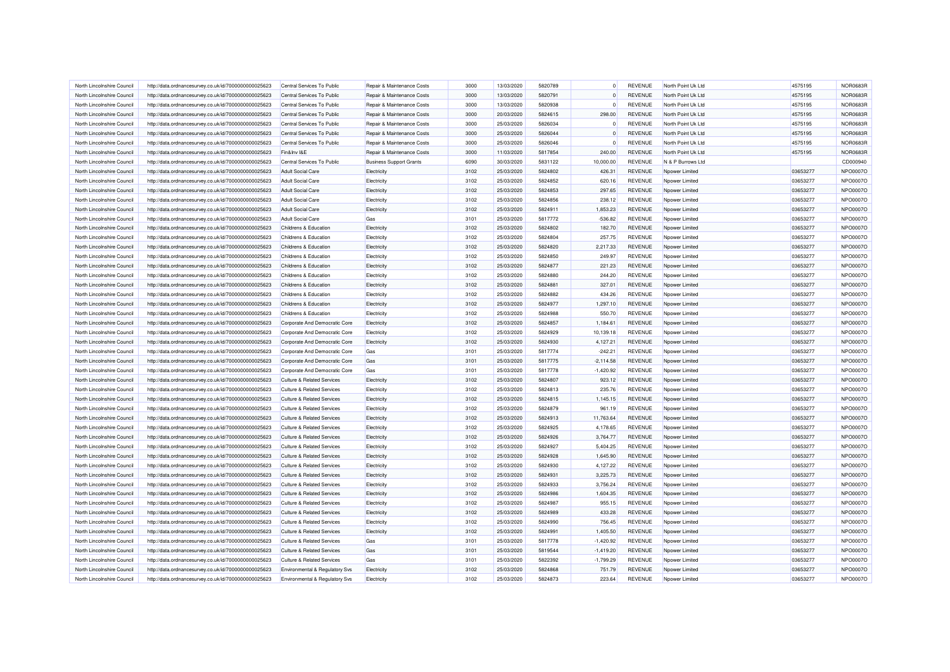| North Lincolnshire Council                               | http://data.ordnancesurvey.co.uk/id/7000000000025623 | Central Services To Public            | Repair & Maintenance Costs     | 3000 | 13/03/2020 | 5820789            | $\Omega$              | REVENUE                          | North Point Uk Ltd | 4575195  | <b>NOR0683R</b> |
|----------------------------------------------------------|------------------------------------------------------|---------------------------------------|--------------------------------|------|------------|--------------------|-----------------------|----------------------------------|--------------------|----------|-----------------|
| North Lincolnshire Council                               | http://data.ordnancesurvey.co.uk/id/7000000000025623 | Central Services To Public            | Repair & Maintenance Costs     | 3000 | 13/03/2020 | 5820791            | $\Omega$              | REVENUE                          | North Point Uk Ltd | 4575195  | <b>NOR0683R</b> |
| North Lincolnshire Council                               | http://data.ordnancesurvey.co.uk/id/7000000000025623 | Central Services To Public            | Repair & Maintenance Costs     | 3000 | 13/03/2020 | 5820938            | $\Omega$              | <b>REVENUE</b>                   | North Point Uk Ltd | 4575195  | <b>NOR0683R</b> |
| North Lincolnshire Council                               | http://data.ordnancesurvey.co.uk/id/7000000000025623 | Central Services To Public            | Repair & Maintenance Costs     | 3000 | 20/03/2020 | 5824615            | 298.00                | <b>REVENUE</b>                   | North Point Uk Ltd | 4575195  | <b>NOR0683R</b> |
| North Lincolnshire Council                               | http://data.ordnancesurvey.co.uk/id/7000000000025623 | Central Services To Public            | Repair & Maintenance Costs     | 3000 | 25/03/2020 | 5826034            | <sup>0</sup>          | <b>REVENUE</b>                   | North Point Uk Ltd | 4575195  | <b>NOR0683R</b> |
| North Lincolnshire Council                               | http://data.ordnancesurvey.co.uk/id/7000000000025623 | Central Services To Public            | Repair & Maintenance Costs     | 3000 | 25/03/2020 | 5826044            | C                     | <b>REVENUE</b>                   | North Point Uk Ltd | 4575195  | <b>NOR0683R</b> |
| North Lincolnshire Council                               | http://data.ordnancesurvey.co.uk/id/7000000000025623 | Central Services To Public            | Repair & Maintenance Costs     | 3000 | 25/03/2020 | 5826046            | $\mathsf{C}$          | <b>REVENUE</b>                   | North Point Uk Ltd | 4575195  | <b>NOR0683R</b> |
| North Lincolnshire Council                               | http://data.ordnancesurvey.co.uk/id/7000000000025623 | Fin&Inv I&E                           | Repair & Maintenance Costs     | 3000 | 11/03/2020 | 5817854            | 240.00                | <b>REVENUE</b>                   | North Point Uk Ltd | 4575195  | <b>NOR0683R</b> |
| North Lincolnshire Council                               | http://data.ordnancesurvey.co.uk/id/7000000000025623 | Central Services To Public            | <b>Business Support Grants</b> | 6090 | 30/03/2020 | 5831122            | 10,000.00             | REVENUE                          | N & P Burrows Ltd  |          | CD000940        |
| North Lincolnshire Council                               | http://data.ordnancesurvey.co.uk/id/7000000000025623 | <b>Adult Social Care</b>              | Electricity                    | 3102 | 25/03/2020 | 5824802            | 426.31                | REVENUE                          | Npower Limited     | 03653277 | NPO0007O        |
| North Lincolnshire Council                               | http://data.ordnancesurvey.co.uk/id/7000000000025623 | <b>Adult Social Care</b>              | Electricity                    | 3102 | 25/03/2020 | 5824852            | 620.16                | REVENUE                          | Noower Limited     | 03653277 | NPO0007O        |
| North Lincolnshire Council                               | http://data.ordnancesurvey.co.uk/id/7000000000025623 | <b>Adult Social Care</b>              | Electricity                    | 3102 | 25/03/2020 | 5824853            | 297.65                | <b>REVENUE</b>                   | Noower Limited     | 03653277 | NPO0007O        |
| North Lincolnshire Council                               | http://data.ordnancesurvey.co.uk/id/7000000000025623 | <b>Adult Social Care</b>              | Electricity                    | 3102 | 25/03/2020 | 5824856            | 238.12                | REVENUE                          | Npower Limited     | 03653277 | NPO0007O        |
| North Lincolnshire Council                               | http://data.ordnancesurvey.co.uk/id/7000000000025623 | <b>Adult Social Care</b>              | Electricity                    | 3102 | 25/03/2020 | 5824911            | 1.853.23              | <b>REVENUE</b>                   | Nnower I imited    | 03653277 | NPO0007O        |
| North Lincolnshire Council                               | http://data.ordnancesurvey.co.uk/id/7000000000025623 | <b>Adult Social Care</b>              | Gas                            | 3101 | 25/03/2020 | 5817772            | $-536.82$             | REVENUE                          | Npower Limited     | 03653277 | NPO0007O        |
| North Lincolnshire Council                               | http://data.ordnancesurvey.co.uk/id/7000000000025623 | Childrens & Education                 | Electricity                    | 3102 | 25/03/2020 | 5824802            | 182.70                | REVENUE                          | Nnower Limited     | 03653277 | NPO0007O        |
|                                                          |                                                      |                                       |                                |      |            |                    | 257.75                |                                  |                    |          |                 |
| North Lincolnshire Council                               | http://data.ordnancesurvey.co.uk/id/7000000000025623 | Childrens & Education                 | Electricity                    | 3102 | 25/03/2020 | 5824804            |                       | REVENUE                          | Npower Limited     | 03653277 | NPO0007O        |
| North Lincolnshire Council                               | http://data.ordnancesurvey.co.uk/id/7000000000025623 | <b>Childrens &amp; Education</b>      | Electricity                    | 3102 | 25/03/2020 | 5824820            | 2,217.33              | REVENUE                          | Npower Limited     | 03653277 | NPO0007O        |
| North Lincolnshire Council                               | http://data.ordnancesurvey.co.uk/id/7000000000025623 | <b>Childrens &amp; Education</b>      | Electricity                    | 3102 | 25/03/2020 | 5824850            | 249.97                | <b>REVENUE</b>                   | Noower Limited     | 03653277 | NPO0007O        |
| North Lincolnshire Council                               | http://data.ordnancesurvey.co.uk/id/7000000000025623 | Childrens & Education                 | Electricity                    | 3102 | 25/03/2020 | 5824877            | 221.23                | REVENUE                          | Npower Limited     | 03653277 | NPO0007O        |
| North Lincolnshire Council                               | http://data.ordnancesurvey.co.uk/id/7000000000025623 | Childrens & Education                 | Electricity                    | 3102 | 25/03/2020 | 5824880            | 244.20                | REVENUE                          | Noower Limited     | 03653277 | NPO0007O        |
| North Lincolnshire Council                               | http://data.ordnancesurvey.co.uk/id/7000000000025623 | Childrens & Education                 | Electricity                    | 3102 | 25/03/2020 | 5824881            | 327.01                | <b>REVENUE</b>                   | Nnower I imited    | 03653277 | NPO0007O        |
| North Lincolnshire Council                               | http://data.ordnancesurvey.co.uk/id/7000000000025623 | Childrens & Education                 | Electricity                    | 3102 | 25/03/2020 | 5824882            | 434.26                | <b>REVENUE</b>                   | Noower Limited     | 03653277 | NPO0007O        |
| North Lincolnshire Council                               | http://data.ordnancesurvey.co.uk/id/7000000000025623 | <b>Childrens &amp; Education</b>      | Electricity                    | 3102 | 25/03/2020 | 5824977            | 1,297.10              | REVENUE                          | Npower Limited     | 03653277 | NPO0007O        |
| North Lincolnshire Council                               | http://data.ordnancesurvey.co.uk/id/7000000000025623 | Childrens & Education                 | Electricity                    | 3102 | 25/03/2020 | 5824988            | 550.70                | REVENUE                          | Npower Limited     | 03653277 | NPO0007O        |
| North Lincolnshire Council                               | http://data.ordnancesurvey.co.uk/id/7000000000025623 | Corporate And Democratic Core         | Electricity                    | 3102 | 25/03/2020 | 5824857            | 1.184.61              | <b>REVENUE</b>                   | Noower Limited     | 03653277 | NPO0007O        |
| North Lincolnshire Council                               | http://data.ordnancesurvey.co.uk/id/7000000000025623 | Corporate And Democratic Core         | Electricity                    | 3102 | 25/03/2020 | 5824929            | 10,139.18             | REVENUE                          | Nnower Limited     | 03653277 | NPO0007O        |
| North Lincolnshire Council                               | http://data.ordnancesurvey.co.uk/id/7000000000025623 | Corporate And Democratic Core         | Electricity                    | 3102 | 25/03/2020 | 5824930            | 4,127.21              | REVENUE                          | Npower Limited     | 03653277 | NPO0007O        |
| North Lincolnshire Council                               | http://data.ordnancesurvey.co.uk/id/7000000000025623 | Corporate And Democratic Core         | Gas                            | 3101 | 25/03/2020 | 5817774            | $-242.21$             | <b>REVENUE</b>                   | Npower Limited     | 03653277 | NPO0007O        |
| North Lincolnshire Council                               | http://data.ordnancesurvey.co.uk/id/7000000000025623 | Corporate And Democratic Core         | Gas                            | 3101 | 25/03/2020 | 5817775            | $-2,114.58$           | <b>REVENUE</b>                   | Noower Limited     | 03653277 | NPO0007O        |
| North Lincolnshire Council                               | http://data.ordnancesurvey.co.uk/id/7000000000025623 | Corporate And Democratic Core         | Gas                            | 3101 | 25/03/2020 | 5817778            | $-1,420.92$           | <b>REVENUE</b>                   | Npower Limited     | 03653277 | NPO0007O        |
| North Lincolnshire Council                               | http://data.ordnancesurvey.co.uk/id/7000000000025623 | <b>Culture &amp; Related Services</b> | Electricity                    | 3102 | 25/03/2020 | 5824807            | 923.12                | REVENUE                          | Npower Limited     | 03653277 | NPO0007O        |
| North Lincolnshire Council                               | http://data.ordnancesurvey.co.uk/id/7000000000025623 | <b>Culture &amp; Related Services</b> | Electricity                    | 3102 | 25/03/2020 | 5824813            | 235.76                | REVENUE                          | Noower Limited     | 03653277 | NPO0007O        |
| North Lincolnshire Council                               | http://data.ordnancesurvey.co.uk/id/7000000000025623 | <b>Culture &amp; Related Services</b> | Electricity                    | 3102 | 25/03/2020 | 5824815            | 1.145.15              | REVENUE                          | Npower Limited     | 03653277 | NPO0007O        |
| North Lincolnshire Council                               | http://data.ordnancesurvey.co.uk/id/7000000000025623 | Culture & Related Services            | Electricity                    | 3102 | 25/03/2020 | 5824879            | 961.19                | REVENUE                          | Noower Limited     | 03653277 | NPO0007O        |
| North Lincolnshire Council                               | http://data.ordnancesurvey.co.uk/id/7000000000025623 | Culture & Related Services            | Electricity                    | 3102 | 25/03/2020 | 5824913            | 11,763.64             | <b>REVENUE</b>                   | Noower Limited     | 03653277 | NPO0007O        |
| North Lincolnshire Council                               | http://data.ordnancesurvey.co.uk/id/7000000000025623 | <b>Culture &amp; Related Services</b> | Electricity                    | 3102 | 25/03/2020 | 5824925            | 4,178.65              | <b>REVENUE</b>                   | Npower Limited     | 03653277 | NPO0007O        |
| North Lincolnshire Council                               | http://data.ordnancesurvey.co.uk/id/7000000000025623 | <b>Culture &amp; Related Services</b> | Electricity                    | 3102 | 25/03/2020 | 5824926            | 3,764.77              | REVENUE                          | Npower Limited     | 03653277 | NPO0007O        |
| North Lincolnshire Council                               | http://data.ordnancesurvey.co.uk/id/7000000000025623 | <b>Culture &amp; Related Services</b> | Electricity                    | 3102 | 25/03/2020 | 5824927            | 5,404.25              | REVENUE                          | Npower Limited     | 03653277 | NPO0007O        |
| North Lincolnshire Council                               | http://data.ordnancesurvey.co.uk/id/7000000000025623 | <b>Culture &amp; Related Services</b> | Electricity                    | 3102 | 25/03/2020 | 5824928            | 1,645.90              | REVENUE                          | Npower Limited     | 03653277 | NPO0007O        |
| North Lincolnshire Council                               | http://data.ordnancesurvey.co.uk/id/7000000000025623 | Culture & Related Services            | Electricity                    | 3102 | 25/03/2020 | 5824930            | 4,127.22              | <b>REVENUE</b>                   | Noower Limited     | 03653277 | NPO0007O        |
| North Lincolnshire Council                               | http://data.ordnancesurvey.co.uk/id/7000000000025623 | <b>Culture &amp; Related Services</b> | Electricity                    | 3102 | 25/03/2020 | 5824931            | 3,225.73              | <b>REVENUE</b>                   | Npower Limited     | 03653277 | NPO0007O        |
| North Lincolnshire Council                               | http://data.ordnancesurvey.co.uk/id/7000000000025623 | <b>Culture &amp; Related Services</b> | Electricity                    | 3102 | 25/03/2020 | 5824933            | 3,756.24              | <b>REVENUE</b>                   | Noower Limited     | 03653277 | NPO0007O        |
| North Lincolnshire Council                               | http://data.ordnancesurvey.co.uk/id/7000000000025623 | Culture & Related Services            | Electricity                    | 3102 | 25/03/2020 | 5824986            | 1,604.35              | REVENUE                          | Noower Limited     | 03653277 | NPO0007O        |
| North Lincolnshire Council                               | http://data.ordnancesurvey.co.uk/id/7000000000025623 | <b>Culture &amp; Related Services</b> | Electricity                    | 3102 | 25/03/2020 | 5824987            | 955.15                | <b>REVENUE</b>                   | Noower Limited     | 03653277 | NPO0007O        |
| North Lincolnshire Council                               | http://data.ordnancesurvey.co.uk/id/7000000000025623 | <b>Culture &amp; Related Services</b> | Electricity                    | 3102 | 25/03/2020 | 5824989            | 433.28                | <b>REVENUE</b>                   | Npower Limited     | 03653277 | NPO0007O        |
| North Lincolnshire Council                               | http://data.ordnancesurvey.co.uk/id/7000000000025623 | <b>Culture &amp; Related Services</b> | Electricity                    | 3102 | 25/03/2020 | 5824990            | 756.45                | <b>REVENUE</b>                   | Nnower Limited     | 03653277 | NPO0007O        |
| North Lincolnshire Council                               | http://data.ordnancesurvey.co.uk/id/7000000000025623 | <b>Culture &amp; Related Services</b> | Electricity                    | 3102 | 25/03/2020 | 5824991            | 1,405.50              | <b>REVENUE</b>                   | Npower Limited     | 03653277 | NPO0007O        |
| North Lincolnshire Council                               |                                                      | Culture & Related Services            | Gas                            | 3101 | 25/03/2020 | 5817778            | $-1,420.92$           | REVENUE                          | Noower Limited     | 03653277 | NPO0007O        |
| North Lincolnshire Council                               | http://data.ordnancesurvey.co.uk/id/7000000000025623 | <b>Culture &amp; Related Services</b> | Gas                            | 3101 | 25/03/2020 | 5819544            | $-1,419.20$           | REVENUE                          | Noower Limited     | 03653277 | NPO0007O        |
|                                                          | http://data.ordnancesurvey.co.uk/id/7000000000025623 |                                       |                                |      |            |                    |                       |                                  |                    |          |                 |
| North Lincolnshire Council<br>North Lincolnshire Council | http://data.ordnancesurvey.co.uk/id/7000000000025623 | <b>Culture &amp; Related Services</b> | Gas                            | 3101 | 25/03/2020 | 5822392<br>5824868 | $-1,799.29$<br>751.79 | <b>REVENUE</b><br><b>REVENUE</b> | Noower Limited     | 03653277 | NPO0007O        |
|                                                          | http://data.ordnancesurvey.co.uk/id/7000000000025623 | Environmental & Regulatory Svs        | Electricity                    | 3102 | 25/03/2020 |                    |                       |                                  | Noower Limited     | 03653277 | NPO0007O        |
| North Lincolnshire Council                               | http://data.ordnancesurvey.co.uk/id/7000000000025623 | Environmental & Regulatory Svs        | Electricity                    | 3102 | 25/03/2020 | 5824873            | 223.64                | REVENUE                          | Noower Limited     | 03653277 | NPO0007O        |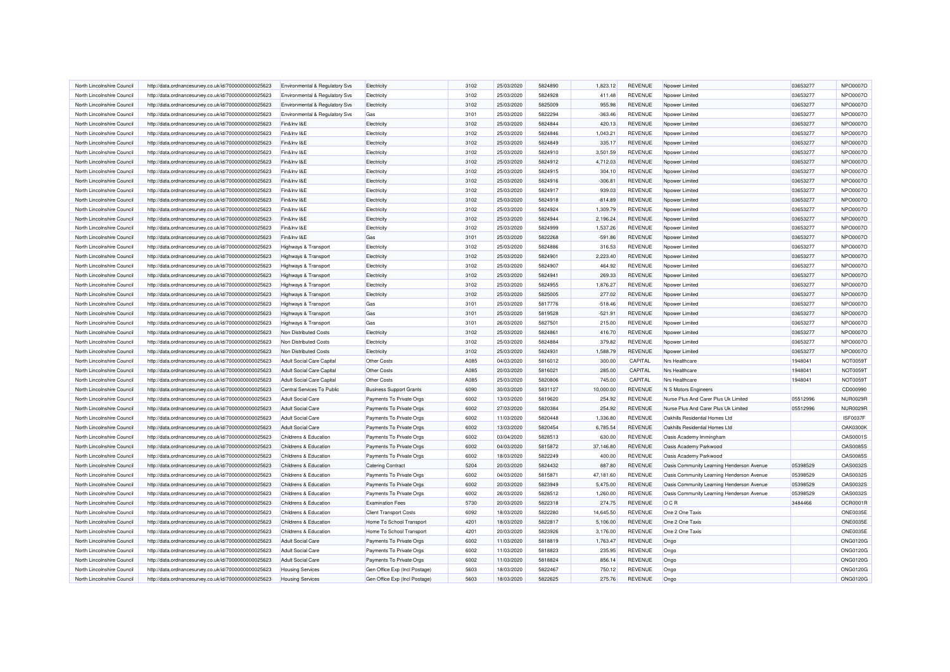| North Lincolnshire Council | http://data.ordnancesurvey.co.uk/id/7000000000025623                                                         | <b>Environmental &amp; Regulatory Svs</b> | Electricity                                          | 3102 | 25/03/2020 | 5824890 | 1,823.12  | REVENUE        | Npower Limited                            | 03653277 | NPO0007O             |
|----------------------------|--------------------------------------------------------------------------------------------------------------|-------------------------------------------|------------------------------------------------------|------|------------|---------|-----------|----------------|-------------------------------------------|----------|----------------------|
| North Lincolnshire Council | http://data.ordnancesurvey.co.uk/id/7000000000025623                                                         | <b>Environmental &amp; Regulatory Svs</b> | Electricity                                          | 3102 | 25/03/2020 | 5824928 | 411.48    | <b>REVENUE</b> | Npower Limited                            | 03653277 | NPO0007O             |
| North Lincolnshire Council | http://data.ordnancesurvey.co.uk/id/7000000000025623                                                         | Environmental & Regulatory Svs            | Electricity                                          | 3102 | 25/03/2020 | 5825009 | 955.98    | <b>REVENUE</b> | Noower Limited                            | 03653277 | NPO0007O             |
| North Lincolnshire Council | http://data.ordnancesurvey.co.uk/id/7000000000025623                                                         | Environmental & Regulatory Svs            | Gas                                                  | 3101 | 25/03/2020 | 5822294 | $-363.46$ | <b>REVENUE</b> | Npower Limited                            | 03653277 | NPO0007O             |
| North Lincolnshire Council | http://data.ordnancesurvey.co.uk/id/7000000000025623                                                         | Fin&Inv I&E                               | Electricity                                          | 3102 | 25/03/2020 | 5824844 | 420.13    | REVENUE        | Npower Limited                            | 03653277 | NPO0007O             |
| North Lincolnshire Council | http://data.ordnancesurvey.co.uk/id/7000000000025623                                                         | Fin&Inv I&E                               | Electricity                                          | 3102 | 25/03/2020 | 5824846 | 1,043.21  | REVENUE        | Noower Limited                            | 03653277 | NPO0007O             |
| North Lincolnshire Council | http://data.ordnancesurvey.co.uk/id/7000000000025623                                                         | Fin&Inv I&E                               | Electricity                                          | 3102 | 25/03/2020 | 5824849 | 335.17    | <b>REVENUE</b> | Npower Limited                            | 03653277 | NPO0007O             |
| North Lincolnshire Council | http://data.ordnancesurvey.co.uk/id/7000000000025623                                                         | Fin&Inv I&E                               | Electricity                                          | 3102 | 25/03/2020 | 5824910 | 3,501.59  | REVENUE        | Noower Limited                            | 03653277 | NPO0007O             |
| North Lincolnshire Council | http://data.ordnancesurvey.co.uk/id/7000000000025623                                                         | Fin&Inv I&E                               | Electricity                                          | 3102 | 25/03/2020 | 5824912 | 4,712.03  | REVENUE        | Npower Limited                            | 03653277 | NPO0007O             |
| North Lincolnshire Council | http://data.ordnancesurvey.co.uk/id/7000000000025623                                                         | Fin&Inv I&E                               | Electricity                                          | 3102 | 25/03/2020 | 5824915 | 304.10    | <b>REVENUE</b> | Npower Limited                            | 03653277 | NPO0007O             |
| North Lincolnshire Council | http://data.ordnancesurvey.co.uk/id/7000000000025623                                                         | Fin&Inv I&E                               | Electricity                                          | 3102 | 25/03/2020 | 5824916 | $-306.81$ | REVENUE        | Noower Limited                            | 03653277 | NPO0007O             |
| North Lincolnshire Council | http://data.ordnancesurvey.co.uk/id/7000000000025623                                                         | Fin&Inv I&E                               | Electricity                                          | 3102 | 25/03/2020 | 5824917 | 939.03    | REVENUE        | Npower Limited                            | 03653277 | NPO0007O             |
| North Lincolnshire Council | http://data.ordnancesurvey.co.uk/id/7000000000025623                                                         | Fin&Inv I&E                               | Electricity                                          | 3102 | 25/03/2020 | 5824918 | $-814.89$ | REVENUE        | Npower Limited                            | 03653277 | NPO0007O             |
| North Lincolnshire Council | http://data.ordnancesurvey.co.uk/id/7000000000025623                                                         | Fin&Inv I&E                               | Electricity                                          | 3102 | 25/03/2020 | 5824924 | 1,309.79  | REVENUE        | Noower Limited                            | 03653277 | NPO0007O             |
| North Lincolnshire Council | http://data.ordnancesurvey.co.uk/id/7000000000025623                                                         | Fin&Inv I&E                               | Electricity                                          | 3102 | 25/03/2020 | 5824944 | 2,196.24  | <b>REVENUE</b> | Npower Limited                            | 03653277 | NPO0007O             |
| North Lincolnshire Council | http://data.ordnancesurvey.co.uk/id/7000000000025623                                                         | Fin&Inv I&E                               | Electricity                                          | 3102 | 25/03/2020 | 5824999 | 1,537.26  | REVENUE        | Noower Limited                            | 03653277 | NPO0007O             |
| North Lincolnshire Council | http://data.ordnancesurvey.co.uk/id/7000000000025623                                                         | Fin&Inv I&E                               | Gas                                                  | 3101 | 25/03/2020 | 5822268 | $-591.86$ | REVENUE        | Noower Limited                            | 03653277 | NPO0007O             |
| North Lincolnshire Council | http://data.ordnancesurvey.co.uk/id/7000000000025623                                                         | Highways & Transport                      | Electricity                                          | 3102 | 25/03/2020 | 5824886 | 316.53    | <b>REVENUE</b> | Noower Limited                            | 03653277 | NPO0007O             |
|                            |                                                                                                              |                                           |                                                      |      |            | 5824901 |           |                |                                           |          | NPO0007O             |
| North Lincolnshire Council | http://data.ordnancesurvey.co.uk/id/7000000000025623                                                         | Highways & Transport                      | Electricity                                          | 3102 | 25/03/2020 |         | 2,223.40  | REVENUE        | Npower Limited                            | 03653277 |                      |
| North Lincolnshire Council | http://data.ordnancesurvey.co.uk/id/7000000000025623                                                         | Highways & Transport                      | Electricity                                          | 3102 | 25/03/2020 | 5824907 | 464.92    | <b>REVENUE</b> | Noower Limited                            | 03653277 | NPO0007O<br>NPO0007O |
| North Lincolnshire Council | http://data.ordnancesurvey.co.uk/id/7000000000025623                                                         | <b>Highways &amp; Transport</b>           | Electricity                                          | 3102 | 25/03/2020 | 5824941 | 269.33    | <b>REVENUE</b> | Npower Limited                            | 03653277 |                      |
| North Lincolnshire Council | http://data.ordnancesurvey.co.uk/id/7000000000025623                                                         | <b>Highways &amp; Transport</b>           | Electricity                                          | 3102 | 25/03/2020 | 5824955 | 1,876.27  | <b>REVENUE</b> | Noower Limited                            | 03653277 | NPO0007O             |
| North Lincolnshire Council | http://data.ordnancesurvey.co.uk/id/7000000000025623                                                         | <b>Highways &amp; Transport</b>           | Electricity                                          | 3102 | 25/03/2020 | 5825005 | 277.02    | REVENUE        | Noower Limited                            | 03653277 | NPO0007O             |
| North Lincolnshire Council | http://data.ordnancesurvey.co.uk/id/7000000000025623                                                         | <b>Highways &amp; Transport</b>           | Gas                                                  | 3101 | 25/03/2020 | 5817776 | $-518.46$ | <b>REVENUE</b> | Noower Limited                            | 03653277 | NPO0007O             |
| North Lincolnshire Council | http://data.ordnancesurvey.co.uk/id/7000000000025623                                                         | Highways & Transport                      | Gas                                                  | 3101 | 25/03/2020 | 5819528 | $-521.91$ | REVENUE        | Noower Limited                            | 03653277 | NPO0007O             |
| North Lincolnshire Council | http://data.ordnancesurvey.co.uk/id/7000000000025623                                                         | Highways & Transport                      | Gas                                                  | 3101 | 26/03/2020 | 5827501 | 215.00    | <b>REVENUE</b> | Noower Limited                            | 03653277 | NPO0007O             |
| North Lincolnshire Council | http://data.ordnancesurvey.co.uk/id/7000000000025623                                                         | <b>Non Distributed Costs</b>              | Electricity                                          | 3102 | 25/03/2020 | 5824861 | 416.70    | REVENUE        | Npower Limited                            | 03653277 | NPO0007O             |
| North Lincolnshire Council | http://data.ordnancesurvey.co.uk/id/7000000000025623                                                         | Non Distributed Costs                     | Electricity                                          | 3102 | 25/03/2020 | 5824884 | 379.82    | <b>REVENUE</b> | Nnower Limited                            | 03653277 | NPO0007O             |
| North Lincolnshire Council | http://data.ordnancesurvey.co.uk/id/7000000000025623                                                         | Non Distributed Costs                     | Electricity                                          | 3102 | 25/03/2020 | 5824931 | 1,588.79  | <b>REVENUE</b> | Npower Limited                            | 03653277 | NPO0007O             |
| North Lincolnshire Council | http://data.ordnancesurvey.co.uk/id/7000000000025623                                                         | <b>Adult Social Care Capital</b>          | <b>Other Costs</b>                                   | A085 | 04/03/2020 | 5816012 | 300.00    | CAPITAL        | Nrs Healthcare                            | 1948041  | NOT0059T             |
| North Lincolnshire Council | http://data.ordnancesurvey.co.uk/id/7000000000025623                                                         | <b>Adult Social Care Capital</b>          | <b>Other Costs</b>                                   | A085 | 20/03/2020 | 5816021 | 285.00    | CAPITAL        | Nrs Healthcare                            | 1948041  | NOT0059T             |
| North Lincolnshire Council | http://data.ordnancesurvey.co.uk/id/7000000000025623                                                         | <b>Adult Social Care Capital</b>          | <b>Other Costs</b>                                   | A085 | 25/03/2020 | 5820806 | 745.00    | CAPITAL        | Nrs Healthcare                            | 1948041  | NOT0059T             |
| North Lincolnshire Council | http://data.ordnancesurvey.co.uk/id/7000000000025623                                                         | Central Services To Public                | <b>Business Support Grants</b>                       | 6090 | 30/03/2020 | 5831127 | 10,000.00 | REVENUE        | N S Motors Engineers                      |          | CD000990             |
| North Lincolnshire Council | http://data.ordnancesurvey.co.uk/id/7000000000025623                                                         | <b>Adult Social Care</b>                  | Payments To Private Orgs                             | 6002 | 13/03/2020 | 5819620 | 254.92    | <b>REVENUE</b> | Nurse Plus And Carer Plus Uk Limited      | 05512996 | <b>NUR0029R</b>      |
| North Lincolnshire Council | http://data.ordnancesurvey.co.uk/id/7000000000025623                                                         | <b>Adult Social Care</b>                  | Payments To Private Orgs                             | 6002 | 27/03/2020 | 5820384 | 254.92    | REVENUE        | Nurse Plus And Carer Plus Uk Limited      | 05512996 | <b>NUR0029R</b>      |
| North Lincolnshire Council | http://data.ordnancesurvey.co.uk/id/7000000000025623                                                         | <b>Adult Social Care</b>                  | Payments To Private Orgs                             | 6002 | 11/03/2020 | 5820448 | 1,336.80  | REVENUE        | Oakhills Residential Homes I td           |          | ISF0037F             |
| North Lincolnshire Council | http://data.ordnancesurvey.co.uk/id/7000000000025623                                                         | <b>Adult Social Care</b>                  | Payments To Private Orgs                             | 6002 | 13/03/2020 | 5820454 | 6,785.54  | REVENUE        | Oakhills Residential Homes Ltd            |          | <b>OAK0300K</b>      |
| North Lincolnshire Council | http://data.ordnancesurvey.co.uk/id/7000000000025623                                                         | <b>Childrens &amp; Education</b>          | Payments To Private Orgs                             | 6002 | 03/04/2020 | 5828513 | 630.00    | <b>REVENUE</b> | Oasis Academy Immingham                   |          | OAS0001S             |
| North Lincolnshire Council | http://data.ordnancesurvey.co.uk/id/7000000000025623                                                         | Childrens & Education                     | Payments To Private Orgs                             | 6002 | 04/03/2020 | 5815872 | 37,146.80 | REVENUE        | Oasis Academy Parkwood                    |          | <b>OAS0085S</b>      |
| North Lincolnshire Council | http://data.ordnancesurvey.co.uk/id/7000000000025623                                                         | Childrens & Education                     | Payments To Private Orgs                             | 6002 | 18/03/2020 | 5822249 | 400.00    | <b>REVENUE</b> | Oasis Academy Parkwood                    |          | <b>OAS0085S</b>      |
| North Lincolnshire Council | http://data.ordnancesurvey.co.uk/id/7000000000025623                                                         | Childrens & Education                     | <b>Catering Contract</b>                             | 5204 | 20/03/2020 | 5824432 | 887.80    | <b>REVENUE</b> | Oasis Community Learning Henderson Avenue | 05398529 | OAS0032S             |
| North Lincolnshire Council | http://data.ordnancesurvey.co.uk/id/7000000000025623                                                         | Childrens & Education                     | Payments To Private Orgs                             | 6002 | 04/03/2020 | 5815871 | 47.181.60 | <b>REVENUE</b> | Oasis Community Learning Henderson Avenue | 05398529 | OAS0032S             |
| North Lincolnshire Council | http://data.ordnancesurvey.co.uk/id/7000000000025623                                                         | Childrens & Education                     | Payments To Private Orgs                             | 6002 | 20/03/2020 | 5823949 | 5,475.00  | <b>REVENUE</b> | Oasis Community Learning Henderson Avenue | 05398529 | OAS0032S             |
| North Lincolnshire Council | http://data.ordnancesurvey.co.uk/id/7000000000025623                                                         | Childrens & Education                     | Payments To Private Orgs                             | 6002 | 26/03/2020 | 5828512 | 1,260.00  | REVENUE        | Oasis Community Learning Henderson Avenue | 05398529 | OAS0032S             |
| North Lincolnshire Council | http://data.ordnancesurvey.co.uk/id/7000000000025623                                                         | Childrens & Education                     | <b>Examination Fees</b>                              | 5730 | 20/03/2020 | 5822318 | 274.75    | REVENUE        | OCR                                       | 3484466  | OCR0001R             |
| North Lincolnshire Council | http://data.ordnancesurvey.co.uk/id/7000000000025623                                                         | Childrens & Education                     | <b>Client Transport Costs</b>                        | 6092 | 18/03/2020 | 5822280 | 14,645.50 | <b>REVENUE</b> | One 2 One Taxis                           |          | <b>ONE0035E</b>      |
| North Lincolnshire Council |                                                                                                              | Childrens & Education                     |                                                      | 4201 | 18/03/2020 | 5822817 | 5,106.00  | <b>REVENUE</b> | One 2 One Taxis                           |          | <b>ONE0035E</b>      |
| North Lincolnshire Council | http://data.ordnancesurvey.co.uk/id/7000000000025623<br>http://data.ordnancesurvey.co.uk/id/7000000000025623 | Childrens & Education                     | Home To School Transport<br>Home To School Transport | 4201 | 20/03/2020 | 5823926 | 3,176.00  | REVENUE        | One 2 One Taxis                           |          | <b>ONE0035E</b>      |
|                            |                                                                                                              |                                           |                                                      |      |            |         |           |                |                                           |          |                      |
| North Lincolnshire Council | http://data.ordnancesurvey.co.uk/id/7000000000025623                                                         | <b>Adult Social Care</b>                  | Payments To Private Orgs                             | 6002 | 11/03/2020 | 5818819 | 1,763.47  | REVENUE        | Ongo                                      |          | ONG0120G             |
| North Lincolnshire Council | http://data.ordnancesurvey.co.uk/id/7000000000025623                                                         | <b>Adult Social Care</b>                  | Payments To Private Orgs                             | 6002 | 11/03/2020 | 5818823 | 235.95    | REVENUE        | Ongo                                      |          | <b>ONG0120G</b>      |
| North Lincolnshire Council | http://data.ordnancesurvey.co.uk/id/7000000000025623                                                         | <b>Adult Social Care</b>                  | Payments To Private Orgs                             | 6002 | 11/03/2020 | 5818824 | 856.14    | REVENUE        | Ongo                                      |          | <b>ONG0120G</b>      |
| North Lincolnshire Council | http://data.ordnancesurvey.co.uk/id/7000000000025623                                                         | <b>Housing Services</b>                   | Gen Office Exp (Incl Postage)                        | 5603 | 18/03/2020 | 5822467 | 750.12    | REVENUE        | Ongo                                      |          | <b>ONG0120G</b>      |
| North Lincolnshire Council | http://data.ordnancesurvey.co.uk/id/7000000000025623                                                         | <b>Housing Services</b>                   | Gen Office Exp (Incl Postage)                        | 5603 | 18/03/2020 | 5822625 | 275.76    | <b>REVENUE</b> | Ongo                                      |          | <b>ONG0120G</b>      |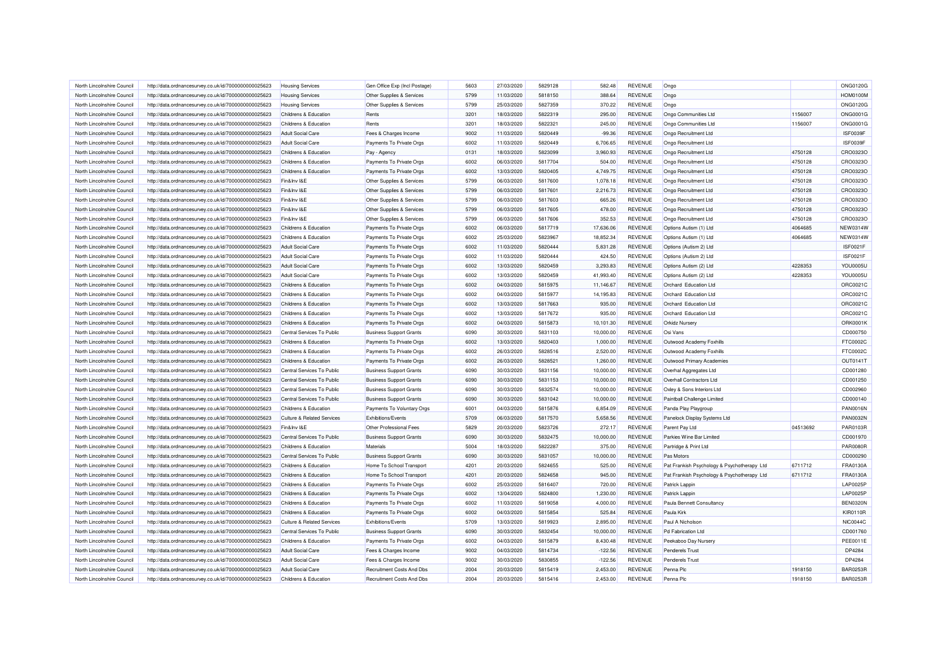| North Lincolnshire Council | http://data.ordnancesurvey.co.uk/id/7000000000025623 | <b>Housing Services</b>               | Gen Office Exp (Incl Postage)  | 5603 | 27/03/2020 | 5829128 | 582.48    | <b>REVENUE</b> | Ongo                                        |          | ONG0120G        |
|----------------------------|------------------------------------------------------|---------------------------------------|--------------------------------|------|------------|---------|-----------|----------------|---------------------------------------------|----------|-----------------|
| North Lincolnshire Council | http://data.ordnancesurvey.co.uk/id/7000000000025623 | <b>Housing Services</b>               | Other Supplies & Services      | 5799 | 11/03/2020 | 5818150 | 388.64    | REVENUE        | Ongo                                        |          | <b>HOM0100M</b> |
| North Lincolnshire Council | http://data.ordnancesurvey.co.uk/id/7000000000025623 | <b>Housing Services</b>               | Other Supplies & Services      | 5799 | 25/03/2020 | 5827359 | 370.22    | REVENUE        | Ongo                                        |          | <b>ONG0120G</b> |
| North Lincolnshire Council | http://data.ordnancesurvey.co.uk/id/7000000000025623 | Childrens & Education                 | Rents                          | 3201 | 18/03/2020 | 5822319 | 295.00    | REVENUE        | Ongo Communities Ltd                        | 1156007  | ONG0001G        |
| North Lincolnshire Council | http://data.ordnancesurvey.co.uk/id/7000000000025623 | Childrens & Education                 | Rents                          | 3201 | 18/03/2020 | 5822321 | 245.00    | <b>REVENUE</b> | Ongo Communities Ltd                        | 1156007  | ONG0001G        |
| North Lincolnshire Council | http://data.ordnancesurvey.co.uk/id/7000000000025623 | <b>Adult Social Care</b>              | Fees & Charges Income          | 9002 | 11/03/2020 | 5820449 | $-99.36$  | REVENUE        | Ongo Recruitment Ltd                        |          | ISF0039F        |
| North Lincolnshire Council | http://data.ordnancesurvey.co.uk/id/7000000000025623 | <b>Adult Social Care</b>              | Payments To Private Orgs       | 6002 | 11/03/2020 | 5820449 | 6,706.65  | <b>REVENUE</b> | Ongo Recruitment Ltd                        |          | ISF0039F        |
| North Lincolnshire Council | http://data.ordnancesurvey.co.uk/id/7000000000025623 | <b>Childrens &amp; Education</b>      | Pay - Agency                   | 0131 | 18/03/2020 | 5823099 | 3,960.93  | REVENUE        | Ongo Recruitment Ltd                        | 4750128  | CRO0323O        |
| North Lincolnshire Council | http://data.ordnancesurvey.co.uk/id/7000000000025623 | Childrens & Education                 | Payments To Private Orgs       | 6002 | 06/03/2020 | 5817704 | 504.00    | REVENUE        | Ongo Recruitment Ltd                        | 4750128  | CRO0323O        |
| North Lincolnshire Council | http://data.ordnancesurvey.co.uk/id/7000000000025623 | Childrens & Education                 | Payments To Private Orgs       | 6002 | 13/03/2020 | 5820405 | 4,749.75  | REVENUE        | Ongo Recruitment Ltd                        | 4750128  | CRO0323O        |
| North Lincolnshire Council | http://data.ordnancesurvey.co.uk/id/7000000000025623 | Fin&Inv I&E                           | Other Supplies & Services      | 5799 | 06/03/2020 | 5817600 | 1,078.18  | REVENUE        | Ongo Recruitment Ltd                        | 4750128  | CRO0323O        |
| North Lincolnshire Council | http://data.ordnancesurvey.co.uk/id/7000000000025623 | Fin&Inv I&E                           | Other Supplies & Services      | 5799 | 06/03/2020 | 5817601 | 2,216.73  | REVENUE        | Ongo Recruitment Ltd                        | 4750128  | CRO0323O        |
| North Lincolnshire Council | http://data.ordnancesurvey.co.uk/id/7000000000025623 | Fin&Inv I&E                           | Other Supplies & Services      | 5799 | 06/03/2020 | 5817603 | 665.26    | <b>REVENUE</b> | Ongo Recruitment Ltd                        | 4750128  | CRO0323O        |
| North Lincolnshire Council | http://data.ordnancesurvey.co.uk/id/7000000000025623 | Fin&Inv I&E                           | Other Supplies & Services      | 5799 | 06/03/2020 | 5817605 | 478.00    | REVENUE        | Ongo Recruitment Ltd                        | 4750128  | CRO0323O        |
| North Lincolnshire Council | http://data.ordnancesurvey.co.uk/id/7000000000025623 | Fin&Inv I&E                           | Other Supplies & Services      | 5799 | 06/03/2020 | 5817606 | 352.53    | <b>REVENUE</b> | Ongo Recruitment Ltd                        | 4750128  | CRO0323O        |
| North Lincolnshire Council | http://data.ordnancesurvey.co.uk/id/7000000000025623 | Childrens & Education                 | Payments To Private Orgs       | 6002 | 06/03/2020 | 5817719 | 17,636.06 | REVENUE        | Options Autism (1) Ltd                      | 4064685  | <b>NEW0314W</b> |
| North Lincolnshire Council | http://data.ordnancesurvey.co.uk/id/7000000000025623 | Childrens & Education                 | Payments To Private Orgs       | 6002 | 25/03/2020 | 5823967 | 18,852.34 | REVENUE        | Options Autism (1) Ltd                      | 4064685  | <b>NEW0314W</b> |
| North Lincolnshire Council | http://data.ordnancesurvey.co.uk/id/7000000000025623 | <b>Adult Social Care</b>              | Payments To Private Orgs       | 6002 | 11/03/2020 | 5820444 | 5,831.28  | REVENUE        | Options (Autism 2) Ltd                      |          | ISF0021F        |
| North Lincolnshire Council | http://data.ordnancesurvey.co.uk/id/7000000000025623 | <b>Adult Social Care</b>              | Payments To Private Orgs       | 6002 | 11/03/2020 | 5820444 | 424.50    | <b>REVENUE</b> | Options (Autism 2) Ltd                      |          | <b>ISF0021F</b> |
| North Lincolnshire Council | http://data.ordnancesurvey.co.uk/id/7000000000025623 | <b>Adult Social Care</b>              | Payments To Private Orgs       | 6002 | 13/03/2020 | 5820459 | 3,293.83  | REVENUE        | Options Autism (2) Ltd                      | 4228353  | <b>YOU0005U</b> |
| North Lincolnshire Council | http://data.ordnancesurvey.co.uk/id/7000000000025623 | <b>Adult Social Care</b>              | Payments To Private Orgs       | 6002 | 13/03/2020 | 5820459 | 41,993.40 | <b>REVENUE</b> | Options Autism (2) Ltd                      | 4228353  | <b>YOU0005U</b> |
| North Lincolnshire Council | http://data.ordnancesurvey.co.uk/id/7000000000025623 | Childrens & Education                 | Payments To Private Orgs       | 6002 | 04/03/2020 | 5815975 | 11,146.67 | REVENUE        | Orchard Education Ltd                       |          | ORC0021C        |
| North Lincolnshire Council | http://data.ordnancesurvey.co.uk/id/7000000000025623 | Childrens & Education                 | Payments To Private Orgs       | 6002 | 04/03/2020 | 5815977 | 14.195.83 | <b>REVENUE</b> | Orchard Education Ltd                       |          | ORC0021C        |
| North Lincolnshire Council |                                                      | <b>Childrens &amp; Education</b>      | Payments To Private Orgs       | 6002 | 13/03/2020 | 5817663 |           | REVENUE        | Orchard Education Ltd                       |          | ORC0021C        |
|                            | http://data.ordnancesurvey.co.uk/id/7000000000025623 |                                       |                                | 6002 | 13/03/2020 | 5817672 | 935.00    | REVENUE        |                                             |          | ORC0021C        |
| North Lincolnshire Council | http://data.ordnancesurvey.co.uk/id/7000000000025623 | Childrens & Education                 | Payments To Private Orgs       |      |            |         | 935.00    |                | Orchard Education Ltd                       |          |                 |
| North Lincolnshire Council | http://data.ordnancesurvey.co.uk/id/7000000000025623 | Childrens & Education                 | Payments To Private Orgs       | 6002 | 04/03/2020 | 5815873 | 10,101.30 | <b>REVENUE</b> | <b>Orkidz Nursery</b>                       |          | ORK0001K        |
| North Lincolnshire Council | http://data.ordnancesurvey.co.uk/id/7000000000025623 | Central Services To Public            | <b>Business Support Grants</b> | 6090 | 30/03/2020 | 5831103 | 10,000.00 | <b>REVENUE</b> | Osi Vans                                    |          | CD000750        |
| North Lincolnshire Council | http://data.ordnancesurvey.co.uk/id/7000000000025623 | Childrens & Education                 | Payments To Private Orgs       | 6002 | 13/03/2020 | 5820403 | 1,000.00  | REVENUE        | Outwood Academy Foxhills                    |          | FTC0002C        |
| North Lincolnshire Council | http://data.ordnancesurvey.co.uk/id/7000000000025623 | Childrens & Education                 | Payments To Private Orgs       | 6002 | 26/03/2020 | 5828516 | 2,520.00  | <b>REVENUE</b> | Outwood Academy Foxhills                    |          | FTC0002C        |
| North Lincolnshire Council | http://data.ordnancesurvey.co.uk/id/7000000000025623 | Childrens & Education                 | Payments To Private Orgs       | 6002 | 26/03/2020 | 5828521 | 1,260.00  | REVENUE        | Outwood Primary Academies                   |          | OUT0141T        |
| North Lincolnshire Council | http://data.ordnancesurvey.co.uk/id/7000000000025623 | Central Services To Public            | <b>Business Support Grants</b> | 6090 | 30/03/2020 | 5831156 | 10,000.00 | REVENUE        | Overhal Aggregates Ltd                      |          | CD001280        |
| North Lincolnshire Council | http://data.ordnancesurvey.co.uk/id/7000000000025623 | Central Services To Public            | <b>Business Support Grants</b> | 6090 | 30/03/2020 | 5831153 | 10,000.00 | REVENUE        | Overhall Contractors Ltd                    |          | CD001250        |
| North Lincolnshire Council | http://data.ordnancesurvey.co.uk/id/7000000000025623 | Central Services To Public            | <b>Business Support Grants</b> | 6090 | 30/03/2020 | 5832574 | 10,000.00 | REVENUE        | Oxley & Sons Interiors Ltd                  |          | CD002960        |
| North Lincolnshire Council | http://data.ordnancesurvey.co.uk/id/7000000000025623 | Central Services To Public            | <b>Business Support Grants</b> | 6090 | 30/03/2020 | 5831042 | 10,000.00 | REVENUE        | Paintball Challenge Limited                 |          | CD000140        |
| North Lincolnshire Council | http://data.ordnancesurvey.co.uk/id/7000000000025623 | Childrens & Education                 | Payments To Voluntary Orgs     | 6001 | 04/03/2020 | 5815876 | 6,854.09  | <b>REVENUE</b> | Panda Play Playgroup                        |          | <b>PAN0016N</b> |
| North Lincolnshire Council | http://data.ordnancesurvey.co.uk/id/7000000000025623 | <b>Culture &amp; Related Services</b> | Exhibitions/Events             | 5709 | 06/03/2020 | 5817570 | 5,658.56  | <b>REVENUE</b> | Panelock Display Systems Ltd                |          | <b>PAN0032N</b> |
| North Lincolnshire Council | http://data.ordnancesurvey.co.uk/id/7000000000025623 | Fin&Inv I&E                           | Other Professional Fees        | 5829 | 20/03/2020 | 5823726 | 272.17    | <b>REVENUE</b> | Parent Pay Ltd                              | 04513692 | PAR0103R        |
| North Lincolnshire Council | http://data.ordnancesurvey.co.uk/id/7000000000025623 | Central Services To Public            | <b>Business Support Grants</b> | 6090 | 30/03/2020 | 5832475 | 10,000.00 | REVENUE        | Parkies Wine Bar Limited                    |          | CD001970        |
| North Lincolnshire Council | http://data.ordnancesurvey.co.uk/id/7000000000025623 | Childrens & Education                 | Materials                      | 5004 | 18/03/2020 | 5822287 | 375.00    | REVENUE        | Partridge & Print Ltd                       |          | <b>PAR0080R</b> |
| North Lincolnshire Council | http://data.ordnancesurvey.co.uk/id/7000000000025623 | Central Services To Public            | <b>Business Support Grants</b> | 6090 | 30/03/2020 | 5831057 | 10,000.00 | REVENUE        | Pas Motors                                  |          | CD000290        |
| North Lincolnshire Council | http://data.ordnancesurvey.co.uk/id/7000000000025623 | Childrens & Education                 | Home To School Transport       | 4201 | 20/03/2020 | 5824655 | 525.00    | <b>REVENUE</b> | Pat Frankish Psychology & Psychotherapy Ltd | 6711712  | FRA0130A        |
| North Lincolnshire Council | http://data.ordnancesurvey.co.uk/id/7000000000025623 | Childrens & Education                 | Home To School Transport       | 4201 | 20/03/2020 | 5824658 | 945.00    | REVENUE        | Pat Frankish Psychology & Psychotherapy Ltd | 6711712  | FRA0130A        |
| North Lincolnshire Council | http://data.ordnancesurvey.co.uk/id/7000000000025623 | Childrens & Education                 | Payments To Private Orgs       | 6002 | 25/03/2020 | 5816407 | 720.00    | <b>REVENUE</b> | Patrick Lappin                              |          | LAP0025P        |
| North Lincolnshire Council | http://data.ordnancesurvey.co.uk/id/7000000000025623 | Childrens & Education                 | Payments To Private Orgs       | 6002 | 13/04/2020 | 5824800 | 1,230.00  | REVENUE        | Patrick Lappin                              |          | LAP0025P        |
| North Lincolnshire Council | http://data.ordnancesurvey.co.uk/id/7000000000025623 | Childrens & Education                 | Payments To Private Orgs       | 6002 | 11/03/2020 | 5819058 | 4,000.00  | <b>REVENUE</b> | Paula Bennett Consultancy                   |          | <b>BEN0320N</b> |
| North Lincolnshire Council | http://data.ordnancesurvey.co.uk/id/7000000000025623 | Childrens & Education                 | Payments To Private Orgs       | 6002 | 04/03/2020 | 5815854 | 525.84    | <b>REVENUE</b> | Paula Kirk                                  |          | <b>KIR0110R</b> |
| North Lincolnshire Council | http://data.ordnancesurvey.co.uk/id/7000000000025623 | <b>Culture &amp; Related Services</b> | Exhibitions/Events             | 5709 | 13/03/2020 | 5819923 | 2,895.00  | REVENUE        | Paul A Nicholson                            |          | <b>NIC0044C</b> |
| North Lincolnshire Council | http://data.ordnancesurvey.co.uk/id/7000000000025623 | Central Services To Public            | <b>Business Support Grants</b> | 6090 | 30/03/2020 | 5832454 | 10,000.00 | REVENUE        | Pd Fabrication Ltd                          |          | CD001760        |
| North Lincolnshire Council | http://data.ordnancesurvey.co.uk/id/7000000000025623 | Childrens & Education                 | Payments To Private Orgs       | 6002 | 04/03/2020 | 5815879 | 8,430.48  | <b>REVENUE</b> | Peekaboo Day Nursery                        |          | PEE0011E        |
| North Lincolnshire Council | http://data.ordnancesurvey.co.uk/id/7000000000025623 | <b>Adult Social Care</b>              | Fees & Charges Income          | 9002 | 04/03/2020 | 5814734 | $-122.56$ | REVENUE        | <b>Penderels Trust</b>                      |          | DP4284          |
| North Lincolnshire Council | http://data.ordnancesurvey.co.uk/id/7000000000025623 | <b>Adult Social Care</b>              | Fees & Charges Income          | 9002 | 30/03/2020 | 5830855 | $-122.56$ | <b>REVENUE</b> | <b>Penderels Trust</b>                      |          | DP4284          |
| North Lincolnshire Council | http://data.ordnancesurvey.co.uk/id/7000000000025623 | <b>Adult Social Care</b>              | Recruitment Costs And Dbs      | 2004 | 20/03/2020 | 5815419 | 2,453.00  | REVENUE        | Penna Pk                                    | 1918150  | <b>BAR0253R</b> |
| North Lincolnshire Council | http://data.ordnancesurvey.co.uk/id/7000000000025623 | Childrens & Education                 | Recruitment Costs And Dbs      | 2004 | 20/03/2020 | 5815416 | 2,453.00  | <b>REVENUE</b> | Penna Plc                                   | 1918150  | <b>BAR0253R</b> |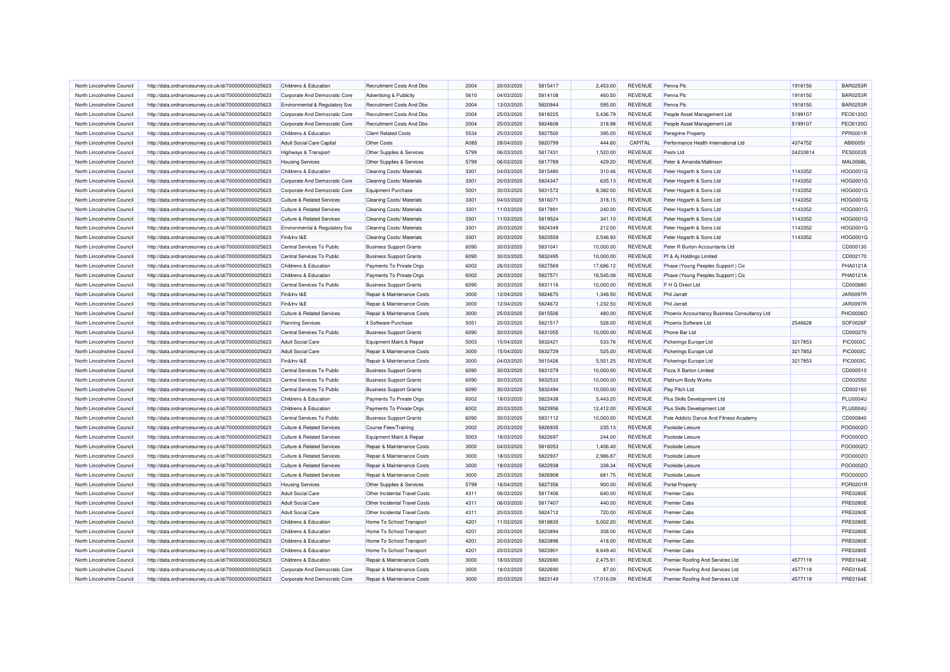| North Lincolnshire Council                               | http://data.ordnancesurvey.co.uk/id/7000000000025623 | Childrens & Education                                     | Recruitment Costs And Dbs        | 2004         | 20/03/2020               | 5815417            | 2.453.00  | <b>REVENUE</b>            | Penna Plc                                    | 1918150  | <b>BAR0253R</b>      |
|----------------------------------------------------------|------------------------------------------------------|-----------------------------------------------------------|----------------------------------|--------------|--------------------------|--------------------|-----------|---------------------------|----------------------------------------------|----------|----------------------|
| North Lincolnshire Council                               | http://data.ordnancesurvey.co.uk/id/7000000000025623 | Corporate And Democratic Core                             | Advertising & Publicity          | 5610         | 04/03/2020               | 5814108            | 460.50    | REVENUE                   | Penna Plc                                    | 1918150  | <b>BAR0253F</b>      |
| North Lincolnshire Council                               | http://data.ordnancesurvey.co.uk/id/7000000000025623 | Environmental & Regulatory Svs                            | Recruitment Costs And Dbs        | 2004         | 13/03/2020               | 5820944            | 595.00    | <b>REVENUE</b>            | Penna Plc                                    | 1918150  | <b>BAR0253F</b>      |
| North Lincolnshire Council                               | http://data.ordnancesurvey.co.uk/id/7000000000025623 | Corporate And Democratic Core                             | Recruitment Costs And Dbs        | 2004         | 25/03/2020               | 5818225            | 5,436.79  | REVENUE                   | People Asset Management Ltd                  | 5199107  | PEO0120O             |
| North Lincolnshire Council                               | http://data.ordnancesurvey.co.uk/id/7000000000025623 | Corporate And Democratic Core                             | Recruitment Costs And Dbs        | 2004         | 25/03/2020               | 5824608            | 318.98    | <b>REVENUE</b>            | People Asset Management Ltd                  | 5199107  | PEO0120C             |
| North Lincolnshire Council                               | http://data.ordnancesurvey.co.uk/id/7000000000025623 | Childrens & Education                                     | <b>Client Related Costs</b>      | 5534         | 25/03/2020               | 5827500            | 395.00    | REVENUE                   | Peregrine Property                           |          | PPR0001F             |
| North Lincolnshire Council                               | http://data.ordnancesurvey.co.uk/id/7000000000025623 | Adult Social Care Capital                                 | Other Costs                      | A085         | 28/04/2020               | 5820799            | 444.60    | CAPITAL                   | Performance Health International Ltd         | 4374752  | <b>ABI0005I</b>      |
| North Lincolnshire Council                               | http://data.ordnancesurvey.co.uk/id/7000000000025623 | Highways & Transport                                      | Other Supplies & Services        | 5799         | 06/03/2020               | 5817431            | 1,520.00  | REVENUE                   | Pestx I td                                   | 04233814 | <b>PES0003S</b>      |
| North Lincolnshire Council                               | http://data.ordnancesurvey.co.uk/id/7000000000025623 | <b>Housing Services</b>                                   | Other Supplies & Services        | 5799         | 06/03/2020               | 5817789            | 429.20    | <b>REVENUE</b>            | Peter & Amanda Mallinson                     |          | <b>MAL0068L</b>      |
| North Lincolnshire Council                               | http://data.ordnancesurvey.co.uk/id/7000000000025623 | Childrens & Education                                     | Cleaning Costs/ Materials        | 3301         | 04/03/2020               | 5815480            | 310.46    | REVENUE                   | Peter Hogarth & Sons Ltd                     | 1143352  | HOG0001G             |
| North Lincolnshire Council                               | http://data.ordnancesurvey.co.uk/id/7000000000025623 | Corporate And Democratic Core                             | <b>Cleaning Costs/ Materials</b> | 3301         | 20/03/2020               | 5824347            | 635.13    | REVENUE                   | Peter Hogarth & Sons Ltd                     | 1143352  | HOG0001G             |
| North Lincolnshire Council                               | http://data.ordnancesurvey.co.uk/id/7000000000025623 | Corporate And Democratic Core                             | Equipment Purchase               | 5001         | 30/03/2020               | 5831572            | 8,382.00  | REVENUE                   | Peter Hogarth & Sons Ltd                     | 1143352  | HOG0001G             |
| North Lincolnshire Council                               | http://data.ordnancesurvey.co.uk/id/7000000000025623 | <b>Culture &amp; Related Services</b>                     | Cleaning Costs/ Materials        | 3301         | 04/03/2020               | 5816071            | 318.15    | REVENUE                   | Peter Hogarth & Sons Ltd                     | 1143352  | HOG0001G             |
| North Lincolnshire Council                               | http://data.ordnancesurvey.co.uk/id/7000000000025623 | <b>Culture &amp; Related Services</b>                     | <b>Cleaning Costs/ Materials</b> | 3301         | 11/03/2020               | 5817891            | 240.00    | REVENUE                   | Peter Hogarth & Sons Ltd                     | 1143352  | HOG0001G             |
| North Lincolnshire Council                               | http://data.ordnancesurvey.co.uk/id/7000000000025623 | <b>Culture &amp; Related Services</b>                     | Cleaning Costs/ Materials        | 3301         | 11/03/2020               | 5819524            | 341.10    | <b>REVENUE</b>            | Peter Hogarth & Sons Ltd                     | 1143352  | HOG0001G             |
| North Lincolnshire Council                               | http://data.ordnancesurvey.co.uk/id/7000000000025623 | Environmental & Regulatory Svs                            | Cleaning Costs/ Materials        | 3301         | 20/03/2020               | 5824349            | 212.00    | <b>REVENUE</b>            | Peter Hogarth & Sons Ltd                     | 1143352  | HOG0001G             |
| North Lincolnshire Council                               | http://data.ordnancesurvey.co.uk/id/7000000000025623 | Fin&Inv I&E                                               | Cleaning Costs/ Materials        | 3301         | 20/03/2020               | 5823559            | 2,546.93  | REVENUE                   | Peter Hogarth & Sons Ltd                     | 1143352  | HOG0001G             |
| North Lincolnshire Council                               | http://data.ordnancesurvey.co.uk/id/7000000000025623 | Central Services To Public                                | <b>Business Support Grants</b>   | 6090         | 30/03/2020               | 5831041            | 10,000.00 | <b>REVENUE</b>            | Peter R Burton Accountants Ltd               |          | CD000130             |
|                                                          |                                                      |                                                           |                                  |              |                          |                    |           |                           |                                              |          |                      |
| North Lincolnshire Council<br>North Lincolnshire Council | http://data.ordnancesurvey.co.uk/id/7000000000025623 | Central Services To Public                                | <b>Business Support Grants</b>   | 6090<br>6002 | 30/03/2020<br>26/03/2020 | 5832495<br>5827569 | 10,000.00 | <b>REVENUE</b><br>REVENUE | Pf & Aj Holdings Limited                     |          | CD002170<br>PHA0121A |
|                                                          | http://data.ordnancesurvey.co.uk/id/7000000000025623 | <b>Childrens &amp; Education</b><br>Childrens & Education | Payments To Private Orgs         | 6002         |                          | 5827571            | 17,686.12 |                           | Phase (Young Peoples Support) Cic            |          |                      |
| North Lincolnshire Council                               | http://data.ordnancesurvey.co.uk/id/7000000000025623 |                                                           | Payments To Private Orgs         |              | 26/03/2020               |                    | 16,545.08 | REVENUE                   | Phase (Young Peoples Support) Cic            |          | PHA0121A             |
| North Lincolnshire Council                               | http://data.ordnancesurvey.co.uk/id/7000000000025623 | Central Services To Public                                | <b>Business Support Grants</b>   | 6090         | 30/03/2020               | 5831116            | 10,000.00 | <b>REVENUE</b>            | P H G Direct Ltd                             |          | CD000880             |
| North Lincolnshire Council                               | http://data.ordnancesurvey.co.uk/id/7000000000025623 | Fin&Inv I&E                                               | Repair & Maintenance Costs       | 3000         | 12/04/2020               | 5824670            | 1,348.50  | <b>REVENUE</b>            | Phil Jarratt                                 |          | <b>JAR0097R</b>      |
| North Lincolnshire Council                               | http://data.ordnancesurvey.co.uk/id/7000000000025623 | Fin&Inv I&E                                               | Repair & Maintenance Costs       | 3000         | 12/04/2020               | 5824672            | 1,232.50  | REVENUE                   | <b>Phil Jarratt</b>                          |          | <b>JAR0097R</b>      |
| North Lincolnshire Council                               | http://data.ordnancesurvey.co.uk/id/7000000000025623 | <b>Culture &amp; Related Services</b>                     | Repair & Maintenance Costs       | 3000         | 25/03/2020               | 5815506            | 480.00    | REVENUE                   | Phoenix Accountancy Business Consultancy Ltd |          | PHO0026C             |
| North Lincolnshire Council                               | http://data.ordnancesurvey.co.uk/id/7000000000025623 | <b>Planning Services</b>                                  | It Software-Purchase             | 5051         | 20/03/2020               | 5821517            | 528.00    | REVENUE                   | Phoenix Software Ltd                         | 2548628  | SOF0026F             |
| North Lincolnshire Council                               | http://data.ordnancesurvey.co.uk/id/7000000000025623 | Central Services To Public                                | <b>Business Support Grants</b>   | 6090         | 30/03/2020               | 5831055            | 10,000.00 | <b>REVENUE</b>            | Phone Bar Ltd                                |          | CD000270             |
| North Lincolnshire Council                               | http://data.ordnancesurvey.co.uk/id/7000000000025623 | <b>Adult Social Care</b>                                  | Equipment Maint.& Repair         | 5003         | 15/04/2020               | 5832421            | 533.76    | REVENUE                   | Pickerings Europe Ltd                        | 3217853  | <b>PIC0003C</b>      |
| North Lincolnshire Council                               | http://data.ordnancesurvey.co.uk/id/7000000000025623 | <b>Adult Social Care</b>                                  | Repair & Maintenance Costs       | 3000         | 15/04/2020               | 5832729            | 525.00    | <b>REVENUE</b>            | Pickerings Europe Ltd                        | 3217853  | <b>PIC0003C</b>      |
| North Lincolnshire Council                               | http://data.ordnancesurvey.co.uk/id/7000000000025623 | Fin&Inv I&E                                               | Repair & Maintenance Costs       | 3000         | 04/03/2020               | 5815426            | 5,501.25  | <b>REVENUE</b>            | Pickerings Europe Ltd                        | 3217853  | <b>PIC0003C</b>      |
| North Lincolnshire Council                               | http://data.ordnancesurvey.co.uk/id/7000000000025623 | Central Services To Public                                | <b>Business Support Grants</b>   | 6090         | 30/03/2020               | 5831079            | 10,000.00 | REVENUE                   | Pizza X Barton Limited                       |          | CD000510             |
| North Lincolnshire Council                               | http://data.ordnancesurvey.co.uk/id/7000000000025623 | Central Services To Public                                | <b>Business Support Grants</b>   | 6090         | 30/03/2020               | 5832533            | 10,000.00 | <b>REVENUE</b>            | Platinum Body Works                          |          | CD002550             |
| North Lincolnshire Council                               | http://data.ordnancesurvey.co.uk/id/7000000000025623 | Central Services To Public                                | <b>Business Support Grants</b>   | 6090         | 30/03/2020               | 5832494            | 10,000.00 | REVENUE                   | Play Pitch Ltd                               |          | CD002160             |
| North Lincolnshire Council                               | http://data.ordnancesurvey.co.uk/id/7000000000025623 | Childrens & Education                                     | Payments To Private Orgs         | 6002         | 18/03/2020               | 5822438            | 5,443.20  | REVENUE                   | Plus Skills Development Ltd                  |          | <b>PLU0004U</b>      |
| North Lincolnshire Council                               | http://data.ordnancesurvey.co.uk/id/7000000000025623 | Childrens & Education                                     | Payments To Private Orgs         | 6002         | 20/03/2020               | 5823956            | 12,412.00 | REVENUE                   | Plus Skills Development Ltd                  |          | <b>PLU0004U</b>      |
| North Lincolnshire Council                               | http://data.ordnancesurvey.co.uk/id/7000000000025623 | Central Services To Public                                | <b>Business Support Grants</b>   | 6090         | 30/03/2020               | 5831112            | 10,000.00 | <b>REVENUE</b>            | Pole Addictz Dance And Fitness Academy       |          | CD000840             |
| North Lincolnshire Council                               | http://data.ordnancesurvey.co.uk/id/7000000000025623 | <b>Culture &amp; Related Services</b>                     | <b>Course Fees/Training</b>      | 2002         | 25/03/2020               | 5826935            | 235.13    | <b>REVENUE</b>            | Poolside Leisure                             |          | POO0002C             |
| North Lincolnshire Council                               | http://data.ordnancesurvey.co.uk/id/7000000000025623 | <b>Culture &amp; Related Services</b>                     | Equipment Maint.& Repair         | 5003         | 18/03/2020               | 5822697            | 244.00    | <b>REVENUE</b>            | Poolside Leisure                             |          | POO0002C             |
| North Lincolnshire Council                               | http://data.ordnancesurvey.co.uk/id/7000000000025623 | <b>Culture &amp; Related Services</b>                     | Repair & Maintenance Costs       | 3000         | 04/03/2020               | 5816053            | 1,406.40  | REVENUE                   | Poolside Leisure                             |          | POO0002O             |
| North Lincolnshire Council                               | http://data.ordnancesurvey.co.uk/id/7000000000025623 | <b>Culture &amp; Related Services</b>                     | Repair & Maintenance Costs       | 3000         | 18/03/2020               | 5822937            | 2.986.87  | <b>REVENUE</b>            | Poolside Leisure                             |          | POO0002O             |
| North Lincolnshire Council                               | http://data.ordnancesurvey.co.uk/id/7000000000025623 | <b>Culture &amp; Related Services</b>                     | Repair & Maintenance Costs       | 3000         | 18/03/2020               | 5822938            | 338.34    | REVENUE                   | Poolside Leisure                             |          | POO0002O             |
| North Lincolnshire Council                               | http://data.ordnancesurvey.co.uk/id/7000000000025623 | <b>Culture &amp; Related Services</b>                     | Repair & Maintenance Costs       | 3000         | 25/03/2020               | 5826908            | 681.75    | REVENUE                   | Poolside Leisure                             |          | POO0002C             |
| North Lincolnshire Council                               | http://data.ordnancesurvey.co.uk/id/7000000000025623 | <b>Housing Services</b>                                   | Other Supplies & Services        | 5799         | 16/04/2020               | 5827356            | 900.00    | <b>REVENUE</b>            | <b>Portal Property</b>                       |          | POR0201F             |
| North Lincolnshire Council                               | http://data.ordnancesurvey.co.uk/id/7000000000025623 | <b>Adult Social Care</b>                                  | Other Incidental Travel Costs    | 4311         | 06/03/2020               | 5817406            | 640.00    | <b>REVENUE</b>            | <b>Premier Cabs</b>                          |          | <b>PRE0280E</b>      |
| North Lincolnshire Council                               | http://data.ordnancesurvey.co.uk/id/7000000000025623 | <b>Adult Social Care</b>                                  | Other Incidental Travel Costs    | 4311         | 06/03/2020               | 5817407            | 440.00    | <b>REVENUE</b>            | <b>Premier Cabs</b>                          |          | <b>PRE0280E</b>      |
| North Lincolnshire Council                               | http://data.ordnancesurvey.co.uk/id/7000000000025623 | <b>Adult Social Care</b>                                  | Other Incidental Travel Costs    | 4311         | 20/03/2020               | 5824712            | 720.00    | <b>REVENUE</b>            | <b>Premier Cabs</b>                          |          | <b>PRE0280E</b>      |
| North Lincolnshire Council                               | http://data.ordnancesurvey.co.uk/id/7000000000025623 | <b>Childrens &amp; Education</b>                          | Home To School Transport         | 4201         | 11/03/2020               | 5818835            | 5,002.20  | <b>REVENUE</b>            | <b>Premier Cabs</b>                          |          | <b>PRE0280E</b>      |
| North Lincolnshire Council                               | http://data.ordnancesurvey.co.uk/id/7000000000025623 | Childrens & Education                                     | Home To School Transport         | 4201         | 20/03/2020               | 5823894            | 308.00    | <b>REVENUE</b>            | <b>Premier Cabs</b>                          |          | <b>PRE0280E</b>      |
| North Lincolnshire Council                               | http://data.ordnancesurvey.co.uk/id/7000000000025623 | Childrens & Education                                     | Home To School Transport         | 4201         | 20/03/2020               | 5823896            | 418.00    | <b>REVENUE</b>            | <b>Premier Cabs</b>                          |          | <b>PRE0280E</b>      |
| North Lincolnshire Council                               | http://data.ordnancesurvey.co.uk/id/7000000000025623 | Childrens & Education                                     | Home To School Transport         | 4201         | 20/03/2020               | 5823901            | 8,649.40  | <b>REVENUE</b>            | <b>Premier Cabs</b>                          |          | <b>PRE0280E</b>      |
| North Lincolnshire Council                               | http://data.ordnancesurvey.co.uk/id/7000000000025623 | Childrens & Education                                     | Repair & Maintenance Costs       | 3000         | 18/03/2020               | 5822690            | 2,475.91  | <b>REVENUE</b>            | Premier Roofing And Services Ltd             | 4577119  | PRE0164E             |
| North Lincolnshire Council                               | http://data.ordnancesurvey.co.uk/id/7000000000025623 | Corporate And Democratic Core                             | Repair & Maintenance Costs       | 3000         | 18/03/2020               | 5822690            | 87.00     | <b>REVENUE</b>            | Premier Roofing And Services Ltd             | 4577119  | <b>PRE0164E</b>      |
| North Lincolnshire Council                               | http://data.ordnancesurvey.co.uk/id/7000000000025623 | Corporate And Democratic Core                             | Repair & Maintenance Costs       | 3000         | 20/03/2020               | 5823149            | 17,016.09 | <b>REVENUE</b>            | Premier Roofing And Services Ltd             | 4577119  | PRE0164E             |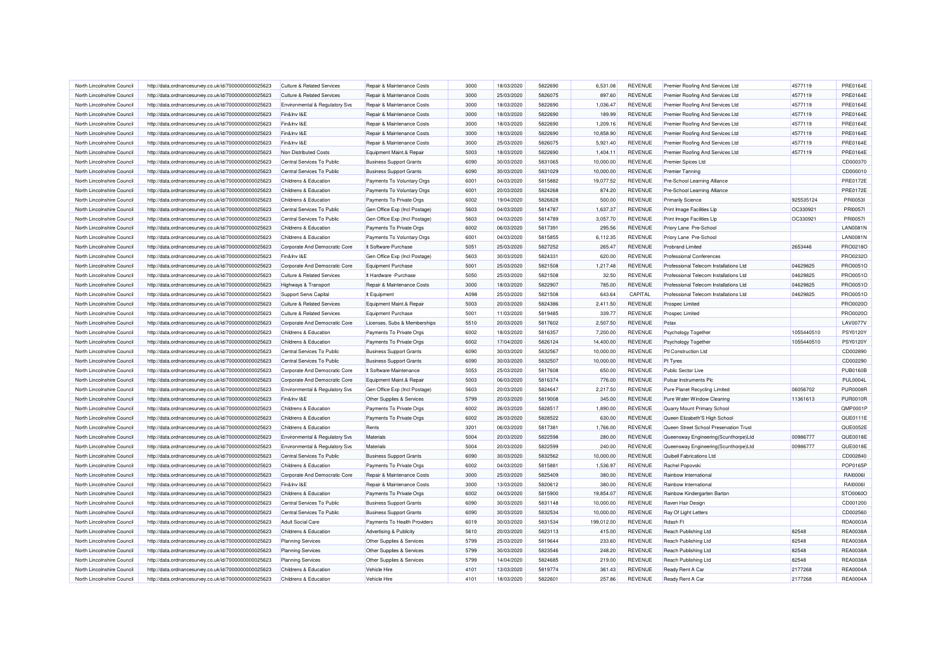| North Lincolnshire Council                               | http://data.ordnancesurvey.co.uk/id/7000000000025623 | <b>Culture &amp; Related Services</b> | Repair & Maintenance Costs     | 3000         | 18/03/2020               | 5822690            | 6.531.08           | REVENUE                          | Premier Roofing And Services Ltd                                          | 4577119    | <b>PRE0164E</b> |
|----------------------------------------------------------|------------------------------------------------------|---------------------------------------|--------------------------------|--------------|--------------------------|--------------------|--------------------|----------------------------------|---------------------------------------------------------------------------|------------|-----------------|
| North Lincolnshire Council                               | http://data.ordnancesurvey.co.uk/id/7000000000025623 | <b>Culture &amp; Related Services</b> | Repair & Maintenance Costs     | 3000         | 25/03/2020               | 5826075            | 897.60             | REVENUE                          | Premier Roofing And Services Ltd                                          | 4577119    | PRE0164E        |
| North Lincolnshire Council                               | http://data.ordnancesurvey.co.uk/id/7000000000025623 | Environmental & Regulatory Svs        | Repair & Maintenance Costs     | 3000         | 18/03/2020               | 5822690            | 1,036.47           | <b>REVENUE</b>                   | Premier Roofing And Services Ltd                                          | 4577119    | PRE0164E        |
| North Lincolnshire Council                               | http://data.ordnancesurvey.co.uk/id/7000000000025623 | Fin&Inv I&E                           | Repair & Maintenance Costs     | 3000         | 18/03/2020               | 5822690            | 189.99             | REVENUE                          | Premier Roofing And Services Ltd                                          | 4577119    | PRE0164E        |
| North Lincolnshire Council                               | http://data.ordnancesurvey.co.uk/id/7000000000025623 | Fin&Inv I&E                           | Repair & Maintenance Costs     | 3000         | 18/03/2020               | 5822690            | 1,209.16           | <b>REVENUE</b>                   | Premier Roofing And Services Ltd                                          | 4577119    | <b>PRE0164E</b> |
| North Lincolnshire Council                               | http://data.ordnancesurvey.co.uk/id/7000000000025623 | Fin&Inv I&E                           | Repair & Maintenance Costs     | 3000         | 18/03/2020               | 5822690            | 10,858.90          | REVENUE                          | Premier Roofing And Services Ltd                                          | 4577119    | PRE0164E        |
| North Lincolnshire Council                               | http://data.ordnancesurvey.co.uk/id/7000000000025623 | Fin&Inv I&E                           | Repair & Maintenance Costs     | 3000         | 25/03/2020               | 5826075            | 5.921.40           | <b>REVENUE</b>                   | Premier Roofing And Services Ltd                                          | 4577119    | <b>PRE0164E</b> |
| North Lincolnshire Council                               | http://data.ordnancesurvey.co.uk/id/7000000000025623 | Non Distributed Costs                 | Equipment Maint.& Repair       | 5003         | 18/03/2020               | 5822690            | 1,404.11           | REVENUE                          | Premier Roofing And Services Ltd                                          | 4577119    | PRE0164E        |
| North Lincolnshire Council                               | http://data.ordnancesurvey.co.uk/id/7000000000025623 | Central Services To Public            | <b>Business Support Grants</b> | 6090         | 30/03/2020               | 5831065            | 10,000.00          | REVENUE                          | Premier Spices Ltd                                                        |            | CD000370        |
| North Lincolnshire Council                               | http://data.ordnancesurvey.co.uk/id/7000000000025623 | Central Services To Public            | <b>Business Support Grants</b> | 6090         | 30/03/2020               | 5831029            | 10,000.00          | REVENUE                          | <b>Premier Tanning</b>                                                    |            | CD000010        |
| North Lincolnshire Council                               | http://data.ordnancesurvey.co.uk/id/7000000000025623 | Childrens & Education                 | Payments To Voluntary Orgs     | 6001         | 04/03/2020               | 5815882            | 19,077.52          | REVENUE                          | Pre-School Learning Alliance                                              |            | PRE0172E        |
| North Lincolnshire Council                               | http://data.ordnancesurvey.co.uk/id/7000000000025623 | Childrens & Education                 | Payments To Voluntary Orgs     | 6001         | 20/03/2020               | 5824268            | 874.20             | REVENUE                          | Pre-School Learning Alliance                                              |            | PRE0172E        |
| North Lincolnshire Council                               | http://data.ordnancesurvey.co.uk/id/7000000000025623 | Childrens & Education                 | Payments To Private Orgs       | 6002         | 19/04/2020               | 5826828            | 500.00             | REVENUE                          | <b>Primarily Science</b>                                                  | 925535124  | PRI00531        |
| North Lincolnshire Council                               | http://data.ordnancesurvey.co.uk/id/7000000000025623 | Central Services To Public            | Gen Office Exp (Incl Postage)  | 5603         | 04/03/2020               | 5814787            | 1,637.37           | REVENUE                          | <b>Print Image Facilities LIp</b>                                         | OC330921   | <b>PRI00571</b> |
| North Lincolnshire Council                               | http://data.ordnancesurvey.co.uk/id/7000000000025623 | Central Services To Public            | Gen Office Exp (Incl Postage)  | 5603         | 04/03/2020               | 5814789            | 3,057.70           | <b>REVENUE</b>                   | Print Image Facilities Llp                                                | OC330921   | <b>PRI00571</b> |
| North Lincolnshire Council                               | http://data.ordnancesurvey.co.uk/id/7000000000025623 | Childrens & Education                 | Payments To Private Orgs       | 6002         | 06/03/2020               | 5817391            | 295.56             | <b>REVENUE</b>                   | Priory Lane Pre-School                                                    |            | <b>LAN0081N</b> |
| North Lincolnshire Council                               | http://data.ordnancesurvey.co.uk/id/7000000000025623 | Childrens & Education                 | Payments To Voluntary Orgs     | 6001         | 04/03/2020               | 5815855            | 6,112.35           | REVENUE                          | Priory Lane Pre-School                                                    |            | <b>LAN0081N</b> |
| North Lincolnshire Council                               | http://data.ordnancesurvey.co.uk/id/7000000000025623 | Corporate And Democratic Core         | It Software-Purchase           | 5051         | 25/03/2020               | 5827252            | 265.47             | REVENUE                          | <b>Probrand Limited</b>                                                   | 2653446    | PRO0218O        |
|                                                          |                                                      |                                       |                                |              |                          |                    |                    |                                  |                                                                           |            | PRO0232C        |
| North Lincolnshire Council<br>North Lincolnshire Council | http://data.ordnancesurvey.co.uk/id/7000000000025623 | Fin&Inv I&E                           | Gen Office Exp (Incl Postage)  | 5603<br>5001 | 30/03/2020<br>25/03/2020 | 5824331<br>5821508 | 620.00<br>1,217.48 | <b>REVENUE</b><br><b>REVENUE</b> | <b>Professional Conferences</b><br>Professional Telecom Installations Ltd | 04629825   | PRO0051O        |
|                                                          | http://data.ordnancesurvey.co.uk/id/7000000000025623 | Corporate And Democratic Core         | <b>Equipment Purchase</b>      | 5050         |                          | 5821508            |                    |                                  | Professional Telecom Installations Ltd                                    |            |                 |
| North Lincolnshire Council                               | http://data.ordnancesurvey.co.uk/id/7000000000025623 | <b>Culture &amp; Related Services</b> | It Hardware - Purchase         |              | 25/03/2020               |                    | 32.50              | REVENUE                          |                                                                           | 04629825   | PRO0051O        |
| North Lincolnshire Council                               | http://data.ordnancesurvey.co.uk/id/7000000000025623 | Highways & Transport                  | Repair & Maintenance Costs     | 3000         | 18/03/2020               | 5822907            | 785.00             | REVENUE                          | Professional Telecom Installations Ltd                                    | 04629825   | PRO0051O        |
| North Lincolnshire Council                               | http://data.ordnancesurvey.co.uk/id/7000000000025623 | <b>Support Servs Capital</b>          | It Equipment                   | A098         | 25/03/2020               | 5821508            | 643.64             | CAPITAL                          | Professional Telecom Installations Ltd                                    | 04629825   | PRO0051O        |
| North Lincolnshire Council                               | http://data.ordnancesurvey.co.uk/id/7000000000025623 | <b>Culture &amp; Related Services</b> | Equipment Maint.& Repair       | 5003         | 20/03/2020               | 5824386            | 2,411.50           | REVENUE                          | Prospec Limited                                                           |            | PRO0020C        |
| North Lincolnshire Council                               | http://data.ordnancesurvey.co.uk/id/7000000000025623 | <b>Culture &amp; Related Services</b> | <b>Equipment Purchase</b>      | 5001         | 11/03/2020               | 5819485            | 339.77             | REVENUE                          | Prospec Limited                                                           |            | PRO0020C        |
| North Lincolnshire Council                               | http://data.ordnancesurvey.co.uk/id/7000000000025623 | Corporate And Democratic Core         | Licenses, Subs & Memberships   | 5510         | 20/03/2020               | 5817602            | 2,507.50           | REVENUE                          | Pstax                                                                     |            | <b>LAV0077V</b> |
| North Lincolnshire Council                               | http://data.ordnancesurvey.co.uk/id/7000000000025623 | Childrens & Education                 | Payments To Private Orgs       | 6002         | 18/03/2020               | 5816357            | 7,200.00           | <b>REVENUE</b>                   | Psychology Together                                                       | 1055440510 | <b>PSY0120Y</b> |
| North Lincolnshire Council                               | http://data.ordnancesurvey.co.uk/id/7000000000025623 | Childrens & Education                 | Payments To Private Orgs       | 6002         | 17/04/2020               | 5826124            | 14,400.00          | <b>REVENUE</b>                   | Psychology Together                                                       | 1055440510 | PSY0120Y        |
| North Lincolnshire Council                               | http://data.ordnancesurvey.co.uk/id/7000000000025623 | Central Services To Public            | <b>Business Support Grants</b> | 6090         | 30/03/2020               | 5832567            | 10.000.00          | <b>REVENUE</b>                   | Ptl Construction Ltd                                                      |            | CD002890        |
| North Lincolnshire Council                               | http://data.ordnancesurvey.co.uk/id/7000000000025623 | Central Services To Public            | <b>Business Support Grants</b> | 6090         | 30/03/2020               | 5832507            | 10,000.00          | <b>REVENUE</b>                   | Pt Tyres                                                                  |            | CD002290        |
| North Lincolnshire Council                               | http://data.ordnancesurvey.co.uk/id/7000000000025623 | Corporate And Democratic Core         | It Software-Maintenance        | 5053         | 25/03/2020               | 5817608            | 650.00             | REVENUE                          | Public Sector Live                                                        |            | <b>PUB0160B</b> |
| North Lincolnshire Council                               | http://data.ordnancesurvey.co.uk/id/7000000000025623 | Corporate And Democratic Core         | Equipment Maint.& Repair       | 5003         | 06/03/2020               | 5816374            | 776.00             | REVENUE                          | <b>Pulsar Instruments Plc</b>                                             |            | <b>PUL0004L</b> |
| North Lincolnshire Council                               | http://data.ordnancesurvey.co.uk/id/7000000000025623 | Environmental & Regulatory Svs        | Gen Office Exp (Incl Postage)  | 5603         | 20/03/2020               | 5824647            | 2,217.50           | REVENUE                          | Pure Planet Recycling Limited                                             | 06056702   | <b>PUR0008F</b> |
| North Lincolnshire Council                               | http://data.ordnancesurvey.co.uk/id/7000000000025623 | Fin&Inv I&E                           | Other Supplies & Services      | 5799         | 20/03/2020               | 5819008            | 345.00             | REVENUE                          | Pure Water Window Cleaning                                                | 11361613   | <b>PUR0010F</b> |
| North Lincolnshire Council                               | http://data.ordnancesurvey.co.uk/id/7000000000025623 | Childrens & Education                 | Payments To Private Orgs       | 6002         | 26/03/2020               | 5828517            | 1,890.00           | REVENUE                          | Quarry Mount Primary School                                               |            | QMP0001F        |
| North Lincolnshire Council                               | http://data.ordnancesurvey.co.uk/id/7000000000025623 | Childrens & Education                 | Payments To Private Orgs       | 6002         | 26/03/2020               | 5828522            | 630.00             | <b>REVENUE</b>                   | Queen Elizabeth'S High School                                             |            | QUE0111E        |
| North Lincolnshire Council                               | http://data.ordnancesurvey.co.uk/id/7000000000025623 | Childrens & Education                 | <b>Rents</b>                   | 3201         | 06/03/2020               | 5817381            | 1,766.00           | REVENUE                          | Queen Street School Preservation Trust                                    |            | QUE0052E        |
| North Lincolnshire Council                               | http://data.ordnancesurvey.co.uk/id/7000000000025623 | Environmental & Regulatory Svs        | Materials                      | 5004         | 20/03/2020               | 5822598            | 280.00             | <b>REVENUE</b>                   | Queensway Engineering(Scunthorpe)Ltd                                      | 00986777   | QUE0018E        |
| North Lincolnshire Council                               | http://data.ordnancesurvey.co.uk/id/7000000000025623 | Environmental & Regulatory Svs        | Materials                      | 5004         | 20/03/2020               | 5822599            | 240.00             | REVENUE                          | Queensway Engineering(Scunthorpe)Ltd                                      | 00986777   | QUE0018E        |
| North Lincolnshire Council                               | http://data.ordnancesurvey.co.uk/id/7000000000025623 | Central Services To Public            | <b>Business Support Grants</b> | 6090         | 30/03/2020               | 5832562            | 10.000.00          | <b>REVENUE</b>                   | Quibell Fabrications Ltd                                                  |            | CD002840        |
| North Lincolnshire Council                               | http://data.ordnancesurvey.co.uk/id/7000000000025623 | Childrens & Education                 | Payments To Private Orgs       | 6002         | 04/03/2020               | 5815881            | 1,536.97           | REVENUE                          | Rachel Popovski                                                           |            | POP0165F        |
| North Lincolnshire Council                               | http://data.ordnancesurvey.co.uk/id/7000000000025623 | Corporate And Democratic Core         | Repair & Maintenance Costs     | 3000         | 25/03/2020               | 5825409            | 380.00             | <b>REVENUE</b>                   | Rainbow International                                                     |            | RAI00061        |
| North Lincolnshire Council                               | http://data.ordnancesurvey.co.uk/id/7000000000025623 | Fin&Inv I&E                           | Repair & Maintenance Costs     | 3000         | 13/03/2020               | 5820612            | 380.00             | <b>REVENUE</b>                   | Rainbow Internationa                                                      |            | RAI00061        |
| North Lincolnshire Council                               | http://data.ordnancesurvey.co.uk/id/7000000000025623 | Childrens & Education                 | Payments To Private Orgs       | 6002         | 04/03/2020               | 5815900            | 19,854.07          | <b>REVENUE</b>                   | Rainbow Kindergarten Barton                                               |            | STO0060C        |
| North Lincolnshire Council                               | http://data.ordnancesurvey.co.uk/id/7000000000025623 | Central Services To Public            | <b>Business Support Grants</b> | 6090         | 30/03/2020               | 5831148            | 10,000.00          | REVENUE                          | Raven Hair Design                                                         |            | CD001200        |
| North Lincolnshire Council                               | http://data.ordnancesurvey.co.uk/id/7000000000025623 | Central Services To Public            | <b>Business Support Grants</b> | 6090         | 30/03/2020               | 5832534            | 10,000.00          | <b>REVENUE</b>                   | Ray Of Light Letters                                                      |            | CD002560        |
| North Lincolnshire Council                               | http://data.ordnancesurvey.co.uk/id/7000000000025623 | <b>Adult Social Care</b>              | Payments To Health Providers   | 6019         | 30/03/2020               | 5831534            | 199,012.00         | REVENUE                          | Rdash Ft                                                                  |            | RDA0003A        |
| North Lincolnshire Council                               | http://data.ordnancesurvey.co.uk/id/7000000000025623 | Childrens & Education                 | Advertising & Publicity        | 5610         | 20/03/2020               | 5823113            | 415.00             | REVENUE                          | Reach Publishing Ltd                                                      | 82548      | <b>REA0038A</b> |
| North Lincolnshire Council                               | http://data.ordnancesurvey.co.uk/id/7000000000025623 | <b>Planning Services</b>              | Other Supplies & Services      | 5799         | 25/03/2020               | 5819644            | 233.60             | REVENUE                          | Reach Publishing Ltd                                                      | 82548      | <b>REA0038A</b> |
| North Lincolnshire Council                               | http://data.ordnancesurvey.co.uk/id/7000000000025623 | <b>Planning Services</b>              | Other Supplies & Services      | 5799         | 30/03/2020               | 5823546            | 248.20             | <b>REVENUE</b>                   | Reach Publishing Ltd                                                      | 82548      | REA0038A        |
| North Lincolnshire Council                               | http://data.ordnancesurvey.co.uk/id/7000000000025623 | <b>Planning Services</b>              | Other Supplies & Services      | 5799         | 14/04/2020               | 5824685            | 219.00             | REVENUE                          | Reach Publishing Ltd                                                      | 82548      | <b>REA0038A</b> |
| North Lincolnshire Council                               | http://data.ordnancesurvey.co.uk/id/7000000000025623 | Childrens & Education                 | Vehicle Hire                   | 4101         | 13/03/2020               | 5819774            | 361.43             | <b>REVENUE</b>                   | Ready Rent A Car                                                          | 2177268    | <b>REA0004A</b> |
| North Lincolnshire Council                               | http://data.ordnancesurvey.co.uk/id/7000000000025623 | Childrens & Education                 | Vehicle Hire                   | 4101         | 18/03/2020               | 5822601            | 257.86             | REVENUE                          | Ready Rent A Car                                                          | 2177268    | <b>REA0004A</b> |
|                                                          |                                                      |                                       |                                |              |                          |                    |                    |                                  |                                                                           |            |                 |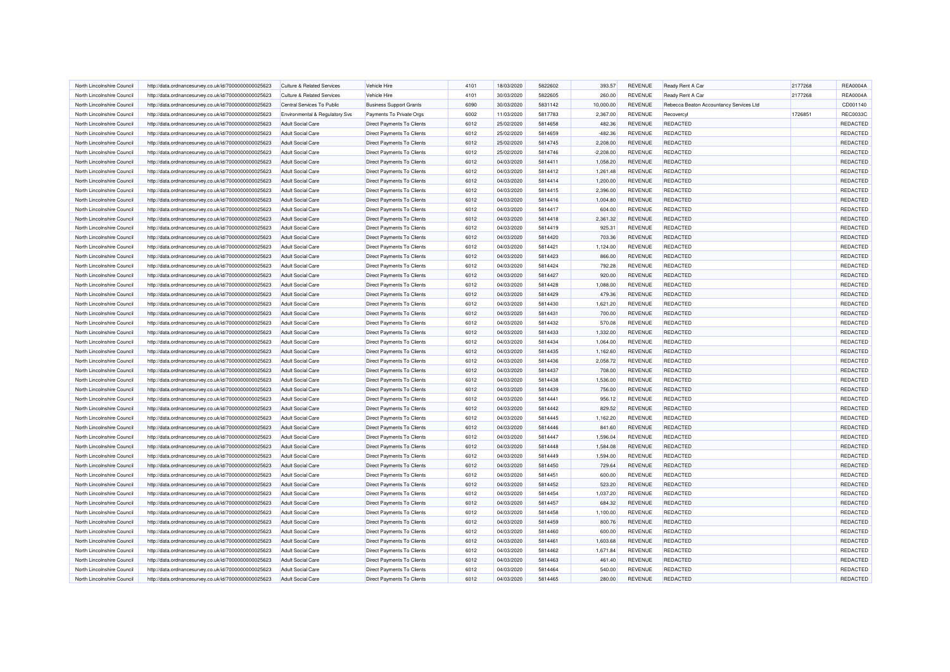| North Lincolnshire Council | http://data.ordnancesurvey.co.uk/id/7000000000025623                                                         | <b>Culture &amp; Related Services</b>                | Vehicle Hire                                             | 4101 | 18/03/2020               | 5822602 | 393.57             | <b>REVENUE</b> | Ready Rent A Car                        | 2177268 | <b>REA0004A</b> |
|----------------------------|--------------------------------------------------------------------------------------------------------------|------------------------------------------------------|----------------------------------------------------------|------|--------------------------|---------|--------------------|----------------|-----------------------------------------|---------|-----------------|
| North Lincolnshire Council | http://data.ordnancesurvey.co.uk/id/7000000000025623                                                         | <b>Culture &amp; Related Services</b>                | Vehicle Hire                                             | 4101 | 30/03/2020               | 5822605 | 260.00             | REVENUE        | Ready Rent A Car                        | 2177268 | <b>REA0004A</b> |
| North Lincolnshire Council | http://data.ordnancesurvey.co.uk/id/7000000000025623                                                         | Central Services To Public                           | <b>Business Support Grants</b>                           | 6090 | 30/03/2020               | 5831142 | 10,000.00          | REVENUE        | Rebecca Beaton Accountancy Services Ltd |         | CD001140        |
| North Lincolnshire Council | http://data.ordnancesurvey.co.uk/id/7000000000025623                                                         | Environmental & Regulatory Svs                       | Payments To Private Orgs                                 | 6002 | 11/03/2020               | 5817783 | 2,367.00           | REVENUE        | Recovercyl                              | 1726851 | <b>REC0033C</b> |
| North Lincolnshire Council | http://data.ordnancesurvey.co.uk/id/7000000000025623                                                         | <b>Adult Social Care</b>                             | Direct Payments To Clients                               | 6012 | 25/02/2020               | 5814658 | 482.36             | <b>REVENUE</b> | <b>REDACTED</b>                         |         | REDACTED        |
| North Lincolnshire Council | http://data.ordnancesurvey.co.uk/id/7000000000025623                                                         | <b>Adult Social Care</b>                             | Direct Payments To Clients                               | 6012 | 25/02/2020               | 5814659 | $-482.36$          | REVENUE        | <b>REDACTED</b>                         |         | REDACTED        |
| North Lincolnshire Council | http://data.ordnancesurvey.co.uk/id/7000000000025623                                                         | <b>Adult Social Care</b>                             | Direct Payments To Clients                               | 6012 | 25/02/2020               | 5814745 | 2,208.00           | <b>REVENUE</b> | <b>REDACTED</b>                         |         | REDACTED        |
| North Lincolnshire Council | http://data.ordnancesurvey.co.uk/id/7000000000025623                                                         | <b>Adult Social Care</b>                             | Direct Payments To Clients                               | 6012 | 25/02/2020               | 5814746 | $-2,208.00$        | REVENUE        | <b>REDACTED</b>                         |         | REDACTED        |
| North Lincolnshire Council | http://data.ordnancesurvey.co.uk/id/7000000000025623                                                         | <b>Adult Social Care</b>                             | Direct Payments To Clients                               | 6012 | 04/03/2020               | 5814411 | 1,058.20           | REVENUE        | REDACTED                                |         | REDACTED        |
| North Lincolnshire Council | http://data.ordnancesurvey.co.uk/id/7000000000025623                                                         | <b>Adult Social Care</b>                             | Direct Payments To Clients                               | 6012 | 04/03/2020               | 5814412 | 1,261.48           | REVENUE        | <b>REDACTED</b>                         |         | REDACTED        |
| North Lincolnshire Council | http://data.ordnancesurvey.co.uk/id/7000000000025623                                                         | <b>Adult Social Care</b>                             | <b>Direct Payments To Clients</b>                        | 6012 | 04/03/2020               | 5814414 | 1,200.00           | <b>REVENUE</b> | <b>REDACTED</b>                         |         | REDACTED        |
| North Lincolnshire Council | http://data.ordnancesurvey.co.uk/id/7000000000025623                                                         | <b>Adult Social Care</b>                             | Direct Payments To Clients                               | 6012 | 04/03/2020               | 5814415 | 2.396.00           | <b>REVENUE</b> | <b>REDACTED</b>                         |         | REDACTED        |
| North Lincolnshire Council | http://data.ordnancesurvey.co.uk/id/7000000000025623                                                         | <b>Adult Social Care</b>                             | <b>Direct Payments To Clients</b>                        | 6012 | 04/03/2020               | 5814416 | 1,004.80           | <b>REVENUE</b> | <b>REDACTED</b>                         |         | REDACTED        |
| North Lincolnshire Council | http://data.ordnancesurvey.co.uk/id/7000000000025623                                                         | <b>Adult Social Care</b>                             | Direct Payments To Clients                               | 6012 | 04/03/2020               | 5814417 | 604.00             | REVENUE        | <b>REDACTED</b>                         |         | REDACTED        |
| North Lincolnshire Council | http://data.ordnancesurvey.co.uk/id/7000000000025623                                                         | <b>Adult Social Care</b>                             | Direct Payments To Clients                               | 6012 | 04/03/2020               | 5814418 | 2,361.32           | REVENUE        | REDACTED                                |         | REDACTED        |
| North Lincolnshire Council | http://data.ordnancesurvey.co.uk/id/7000000000025623                                                         | <b>Adult Social Care</b>                             | Direct Payments To Clients                               | 6012 | 04/03/2020               | 5814419 | 925.31             | REVENUE        | <b>REDACTED</b>                         |         | REDACTED        |
| North Lincolnshire Council | http://data.ordnancesurvey.co.uk/id/7000000000025623                                                         | <b>Adult Social Care</b>                             | Direct Payments To Clients                               | 6012 | 04/03/2020               | 5814420 | 703.36             | <b>REVENUE</b> | <b>REDACTED</b>                         |         | REDACTED        |
| North Lincolnshire Council | http://data.ordnancesurvey.co.uk/id/7000000000025623                                                         | <b>Adult Social Care</b>                             | Direct Payments To Clients                               | 6012 | 04/03/2020               | 5814421 | 1,124.00           | <b>REVENUE</b> | <b>REDACTED</b>                         |         | REDACTED        |
| North Lincolnshire Council | http://data.ordnancesurvey.co.uk/id/7000000000025623                                                         | <b>Adult Social Care</b>                             | Direct Payments To Clients                               | 6012 | 04/03/2020               | 5814423 | 866.00             | REVENUE        | REDACTED                                |         | REDACTED        |
| North Lincolnshire Council | http://data.ordnancesurvey.co.uk/id/7000000000025623                                                         | <b>Adult Social Care</b>                             | Direct Payments To Clients                               | 6012 | 04/03/2020               | 5814424 | 792.28             | <b>REVENUE</b> | <b>REDACTED</b>                         |         | REDACTED        |
| North Lincolnshire Council | http://data.ordnancesurvey.co.uk/id/7000000000025623                                                         | <b>Adult Social Care</b>                             | Direct Payments To Clients                               | 6012 | 04/03/2020               | 5814427 | 920.00             | REVENUE        | <b>REDACTED</b>                         |         | REDACTED        |
| North Lincolnshire Council | http://data.ordnancesurvey.co.uk/id/7000000000025623                                                         | <b>Adult Social Care</b>                             | Direct Payments To Clients                               | 6012 | 04/03/2020               | 5814428 | 1,088.00           | REVENUE        | <b>REDACTED</b>                         |         | REDACTED        |
| North Lincolnshire Council | http://data.ordnancesurvey.co.uk/id/7000000000025623                                                         | <b>Adult Social Care</b>                             | <b>Direct Payments To Clients</b>                        | 6012 | 04/03/2020               | 5814429 | 479.36             | REVENUE        | <b>REDACTED</b>                         |         | REDACTED        |
| North Lincolnshire Council | http://data.ordnancesurvey.co.uk/id/7000000000025623                                                         | <b>Adult Social Care</b>                             | Direct Payments To Clients                               | 6012 | 04/03/2020               | 5814430 | 1,621.20           | REVENUE        | <b>REDACTED</b>                         |         | REDACTED        |
| North Lincolnshire Council | http://data.ordnancesurvey.co.uk/id/7000000000025623                                                         | <b>Adult Social Care</b>                             | Direct Payments To Clients                               | 6012 | 04/03/2020               | 5814431 | 700.00             | <b>REVENUE</b> | REDACTED                                |         | REDACTED        |
| North Lincolnshire Council | http://data.ordnancesurvey.co.uk/id/7000000000025623                                                         | <b>Adult Social Care</b>                             | Direct Payments To Clients                               | 6012 | 04/03/2020               | 5814432 | 570.08             | <b>REVENUE</b> | REDACTED                                |         | REDACTED        |
| North Lincolnshire Council | http://data.ordnancesurvey.co.uk/id/7000000000025623                                                         | <b>Adult Social Care</b>                             | Direct Payments To Clients                               | 6012 | 04/03/2020               | 5814433 | 1,332.00           | REVENUE        | <b>REDACTED</b>                         |         | REDACTED        |
| North Lincolnshire Council | http://data.ordnancesurvey.co.uk/id/7000000000025623                                                         | <b>Adult Social Care</b>                             | Direct Payments To Clients                               | 6012 | 04/03/2020               | 5814434 | 1,064.00           | <b>REVENUE</b> | REDACTED                                |         | REDACTED        |
| North Lincolnshire Council | http://data.ordnancesurvey.co.uk/id/7000000000025623                                                         | <b>Adult Social Care</b>                             | Direct Payments To Clients                               | 6012 | 04/03/2020               | 5814435 | 1,162.60           | <b>REVENUE</b> | <b>REDACTED</b>                         |         | REDACTED        |
| North Lincolnshire Council | http://data.ordnancesurvey.co.uk/id/7000000000025623                                                         | <b>Adult Social Care</b>                             | Direct Payments To Clients                               | 6012 | 04/03/2020               | 5814436 | 2,058.72           | REVENUE        | <b>REDACTED</b>                         |         | REDACTED        |
| North Lincolnshire Council | http://data.ordnancesurvey.co.uk/id/7000000000025623                                                         | <b>Adult Social Care</b>                             | Direct Payments To Clients                               | 6012 | 04/03/2020               | 5814437 | 708.00             | <b>REVENUE</b> | <b>REDACTED</b>                         |         | REDACTED        |
| North Lincolnshire Council | http://data.ordnancesurvey.co.uk/id/7000000000025623                                                         | <b>Adult Social Care</b>                             | <b>Direct Payments To Clients</b>                        | 6012 | 04/03/2020               | 5814438 | 1,536.00           | <b>REVENUE</b> | <b>REDACTED</b>                         |         | REDACTED        |
| North Lincolnshire Council | http://data.ordnancesurvey.co.uk/id/7000000000025623                                                         | <b>Adult Social Care</b>                             | <b>Direct Payments To Clients</b>                        | 6012 | 04/03/2020               | 5814439 | 756.00             | <b>REVENUE</b> | <b>REDACTED</b>                         |         | REDACTED        |
| North Lincolnshire Council | http://data.ordnancesurvey.co.uk/id/7000000000025623                                                         | <b>Adult Social Care</b>                             | Direct Payments To Clients                               | 6012 | 04/03/2020               | 5814441 | 956.12             | REVENUE        | REDACTED                                |         | REDACTED        |
| North Lincolnshire Council | http://data.ordnancesurvey.co.uk/id/7000000000025623                                                         | <b>Adult Social Care</b>                             | Direct Payments To Clients                               | 6012 | 04/03/2020               | 5814442 | 829.52             | <b>REVENUE</b> | REDACTED                                |         | REDACTED        |
| North Lincolnshire Council | http://data.ordnancesurvey.co.uk/id/7000000000025623                                                         | <b>Adult Social Care</b>                             | Direct Payments To Clients                               | 6012 | 04/03/2020               | 5814445 | 1,162.20           | REVENUE        | <b>REDACTED</b>                         |         | REDACTED        |
| North Lincolnshire Council | http://data.ordnancesurvey.co.uk/id/7000000000025623                                                         | <b>Adult Social Care</b>                             | Direct Payments To Clients                               | 6012 | 04/03/2020               | 5814446 | 841.60             | <b>REVENUE</b> | <b>REDACTED</b>                         |         | REDACTED        |
| North Lincolnshire Council | http://data.ordnancesurvey.co.uk/id/7000000000025623                                                         | <b>Adult Social Care</b>                             | Direct Payments To Clients                               | 6012 | 04/03/2020               | 5814447 | 1,596.04           | REVENUE        | <b>REDACTED</b>                         |         | REDACTED        |
| North Lincolnshire Council | http://data.ordnancesurvey.co.uk/id/7000000000025623                                                         | <b>Adult Social Care</b>                             | Direct Payments To Clients                               | 6012 | 04/03/2020               | 5814448 | 1,584.08           | <b>REVENUE</b> | <b>REDACTED</b>                         |         | REDACTED        |
| North Lincolnshire Council | http://data.ordnancesurvey.co.uk/id/7000000000025623                                                         | <b>Adult Social Care</b>                             | Direct Payments To Clients                               | 6012 | 04/03/2020               | 5814449 | 1,594.00           | REVENUE        | <b>REDACTED</b>                         |         | REDACTED        |
| North Lincolnshire Council | http://data.ordnancesurvey.co.uk/id/7000000000025623                                                         | <b>Adult Social Care</b>                             | Direct Payments To Clients                               | 6012 | 04/03/2020               | 5814450 | 729.64             | REVENUE        | REDACTED                                |         | REDACTED        |
| North Lincolnshire Council | http://data.ordnancesurvey.co.uk/id/7000000000025623                                                         | <b>Adult Social Care</b>                             | Direct Payments To Clients                               | 6012 | 04/03/2020               | 5814451 | 600.00             | REVENUE        | <b>REDACTED</b>                         |         | REDACTED        |
| North Lincolnshire Council | http://data.ordnancesurvey.co.uk/id/7000000000025623                                                         | <b>Adult Social Care</b>                             | Direct Payments To Clients                               | 6012 | 04/03/2020               | 5814452 | 523.20             | <b>REVENUE</b> | <b>REDACTED</b>                         |         | REDACTED        |
| North Lincolnshire Council | http://data.ordnancesurvey.co.uk/id/7000000000025623                                                         | <b>Adult Social Care</b>                             | Direct Payments To Clients                               | 6012 | 04/03/2020               | 5814454 | 1.037.20           | <b>REVENUE</b> | <b>REDACTED</b>                         |         | REDACTED        |
| North Lincolnshire Council | http://data.ordnancesurvey.co.uk/id/7000000000025623                                                         | <b>Adult Social Care</b>                             | <b>Direct Payments To Clients</b>                        | 6012 | 04/03/2020               | 5814457 | 684.32             | <b>REVENUE</b> | <b>REDACTED</b>                         |         | REDACTED        |
| North Lincolnshire Council |                                                                                                              | <b>Adult Social Care</b>                             |                                                          | 6012 | 04/03/2020               | 5814458 |                    | REVENUE        | <b>REDACTED</b>                         |         | REDACTED        |
| North Lincolnshire Council | http://data.ordnancesurvey.co.uk/id/7000000000025623<br>http://data.ordnancesurvey.co.uk/id/7000000000025623 | <b>Adult Social Care</b>                             | Direct Payments To Clients<br>Direct Payments To Clients | 6012 | 04/03/2020               | 5814459 | 1,100.00<br>800.76 | <b>REVENUE</b> | REDACTED                                |         | REDACTED        |
| North Lincolnshire Council |                                                                                                              | <b>Adult Social Care</b>                             | Direct Payments To Clients                               | 6012 | 04/03/2020               | 5814460 |                    | REVENUE        | <b>REDACTED</b>                         |         | REDACTED        |
| North Lincolnshire Council | http://data.ordnancesurvey.co.uk/id/7000000000025623                                                         | <b>Adult Social Care</b>                             |                                                          | 6012 | 04/03/2020               | 5814461 | 600.00<br>1,603.68 | <b>REVENUE</b> | <b>REDACTED</b>                         |         | REDACTED        |
| North Lincolnshire Council | http://data.ordnancesurvey.co.uk/id/7000000000025623<br>http://data.ordnancesurvey.co.uk/id/7000000000025623 | <b>Adult Social Care</b>                             | Direct Payments To Clients<br>Direct Payments To Clients | 6012 | 04/03/2020               | 5814462 | 1,671.84           | <b>REVENUE</b> | <b>REDACTED</b>                         |         | REDACTED        |
| North Lincolnshire Council |                                                                                                              |                                                      |                                                          | 6012 |                          | 5814463 |                    | REVENUE        | <b>REDACTED</b>                         |         | REDACTED        |
| North Lincolnshire Council | http://data.ordnancesurvey.co.uk/id/7000000000025623<br>http://data.ordnancesurvey.co.uk/id/7000000000025623 | <b>Adult Social Care</b><br><b>Adult Social Care</b> | Direct Payments To Clients<br>Direct Payments To Clients | 6012 | 04/03/2020<br>04/03/2020 | 5814464 | 461.40<br>540.00   | <b>REVENUE</b> | <b>REDACTED</b>                         |         | REDACTED        |
| North Lincolnshire Council | http://data.ordnancesurvey.co.uk/id/7000000000025623                                                         |                                                      | Direct Payments To Clients                               | 6012 | 04/03/2020               | 5814465 | 280.00             | REVENUE        | <b>REDACTED</b>                         |         | REDACTED        |
|                            |                                                                                                              | <b>Adult Social Care</b>                             |                                                          |      |                          |         |                    |                |                                         |         |                 |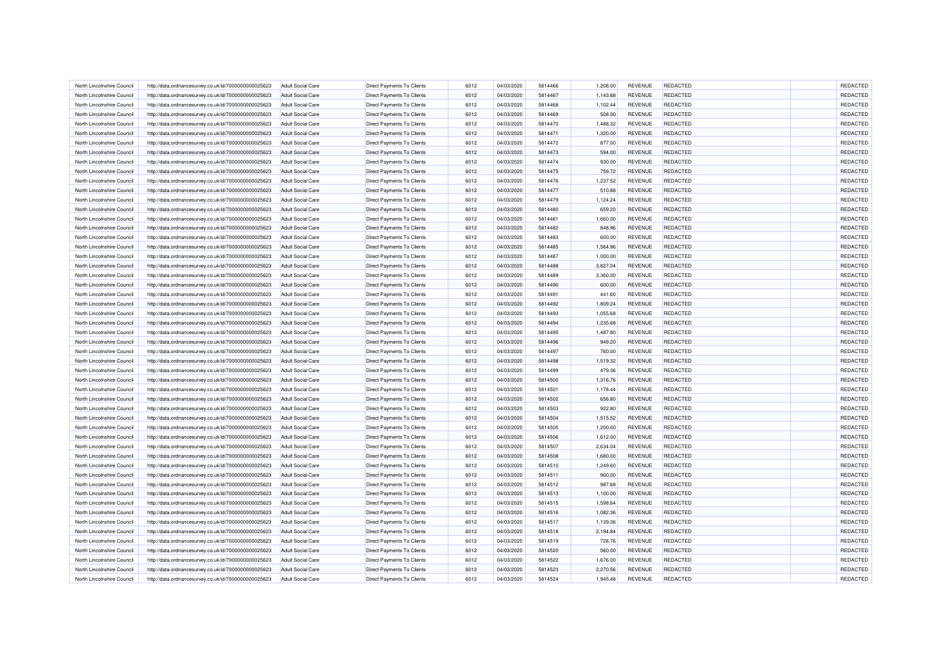| North Lincolnshire Council | http://data.ordnancesurvey.co.uk/id/7000000000025623 | <b>Adult Social Care</b> | Direct Payments To Clients        | 6012 | 04/03/2020 | 5814466 | 1,208.00 | REVENUE        | <b>REDACTED</b> | REDACTED        |
|----------------------------|------------------------------------------------------|--------------------------|-----------------------------------|------|------------|---------|----------|----------------|-----------------|-----------------|
| North Lincolnshire Council | http://data.ordnancesurvey.co.uk/id/7000000000025623 | <b>Adult Social Care</b> | <b>Direct Payments To Clients</b> | 6012 | 04/03/2020 | 5814467 | 1,143.68 | <b>REVENUE</b> | <b>REDACTED</b> | REDACTED        |
| North Lincolnshire Council | http://data.ordnancesurvey.co.uk/id/7000000000025623 | <b>Adult Social Care</b> | Direct Payments To Clients        | 6012 | 04/03/2020 | 5814468 | 1,102.44 | REVENUE        | <b>REDACTED</b> | REDACTED        |
| North Lincolnshire Council | http://data.ordnancesurvey.co.uk/id/7000000000025623 | <b>Adult Social Care</b> | <b>Direct Payments To Clients</b> | 6012 | 04/03/2020 | 5814469 | 508.00   | <b>REVENUE</b> | REDACTED        | REDACTED        |
| North Lincolnshire Council | http://data.ordnancesurvey.co.uk/id/7000000000025623 | <b>Adult Social Care</b> | Direct Payments To Clients        | 6012 | 04/03/2020 | 5814470 | 1,488.32 | REVENUE        | <b>REDACTED</b> | REDACTED        |
| North Lincolnshire Council | http://data.ordnancesurvey.co.uk/id/7000000000025623 | <b>Adult Social Care</b> | Direct Payments To Clients        | 6012 | 04/03/2020 | 5814471 | 1,320.00 | REVENUE        | <b>REDACTED</b> | REDACTED        |
| North Lincolnshire Council | http://data.ordnancesurvey.co.uk/id/7000000000025623 | <b>Adult Social Care</b> | Direct Payments To Clients        | 6012 | 04/03/2020 | 5814472 | 877.00   | REVENUE        | REDACTED        | REDACTED        |
| North Lincolnshire Council | http://data.ordnancesurvey.co.uk/id/7000000000025623 | <b>Adult Social Care</b> | <b>Direct Payments To Clients</b> | 6012 | 04/03/2020 | 5814473 | 594.00   | <b>REVENUE</b> | <b>REDACTED</b> | REDACTED        |
| North Lincolnshire Council | http://data.ordnancesurvey.co.uk/id/7000000000025623 | Adult Social Care        | Direct Payments To Clients        | 6012 | 04/03/2020 | 5814474 | 930.00   | <b>REVENUE</b> | REDACTED        | REDACTED        |
| North Lincolnshire Council | http://data.ordnancesurvey.co.uk/id/7000000000025623 | <b>Adult Social Care</b> | Direct Payments To Clients        | 6012 | 04/03/2020 | 5814475 | 759.72   | REVENUE        | <b>REDACTED</b> | REDACTED        |
| North Lincolnshire Council | http://data.ordnancesurvey.co.uk/id/7000000000025623 | <b>Adult Social Care</b> | Direct Payments To Clients        | 6012 | 04/03/2020 | 5814476 | 1,237.52 | REVENUE        | <b>REDACTED</b> | REDACTED        |
| North Lincolnshire Council | http://data.ordnancesurvey.co.uk/id/7000000000025623 | <b>Adult Social Care</b> | <b>Direct Payments To Clients</b> | 6012 | 04/03/2020 | 5814477 | 510.88   | REVENUE        | REDACTED        | REDACTED        |
| North Lincolnshire Council | http://data.ordnancesurvey.co.uk/id/7000000000025623 | <b>Adult Social Care</b> | Direct Payments To Clients        | 6012 | 04/03/2020 | 5814479 | 1,124.24 | REVENUE        | <b>REDACTED</b> | REDACTED        |
| North Lincolnshire Council | http://data.ordnancesurvey.co.uk/id/7000000000025623 | <b>Adult Social Care</b> | Direct Payments To Clients        | 6012 | 04/03/2020 | 5814480 | 659.20   | REVENUE        | <b>REDACTED</b> | REDACTED        |
| North Lincolnshire Council | http://data.ordnancesurvey.co.uk/id/7000000000025623 | <b>Adult Social Care</b> | Direct Payments To Clients        | 6012 | 04/03/2020 | 5814481 | 1,660.00 | REVENUE        | <b>REDACTED</b> | REDACTED        |
| North Lincolnshire Council | http://data.ordnancesurvey.co.uk/id/7000000000025623 | <b>Adult Social Care</b> | Direct Payments To Clients        | 6012 | 04/03/2020 | 5814482 | 848.96   | REVENUE        | <b>REDACTED</b> | REDACTED        |
| North Lincolnshire Council | http://data.ordnancesurvey.co.uk/id/7000000000025623 | <b>Adult Social Care</b> | Direct Payments To Clients        | 6012 | 04/03/2020 | 5814483 | 600.00   | <b>REVENUE</b> | <b>REDACTED</b> | REDACTED        |
| North Lincolnshire Council | http://data.ordnancesurvey.co.uk/id/7000000000025623 | <b>Adult Social Care</b> | <b>Direct Payments To Clients</b> | 6012 | 04/03/2020 | 5814485 | 1,564.96 | <b>REVENUE</b> | <b>REDACTED</b> | REDACTED        |
| North Lincolnshire Council | http://data.ordnancesurvey.co.uk/id/7000000000025623 | <b>Adult Social Care</b> | <b>Direct Payments To Clients</b> | 6012 | 04/03/2020 | 5814487 | 1,000.00 | REVENUE        | REDACTED        | REDACTED        |
| North Lincolnshire Council | http://data.ordnancesurvey.co.uk/id/7000000000025623 | <b>Adult Social Care</b> | Direct Payments To Clients        | 6012 | 04/03/2020 | 5814488 | 3,827.04 | REVENUE        | REDACTED        | REDACTED        |
| North Lincolnshire Council | http://data.ordnancesurvey.co.uk/id/7000000000025623 | <b>Adult Social Care</b> | Direct Payments To Clients        | 6012 | 04/03/2020 | 5814489 | 3,360.00 | REVENUE        | <b>REDACTED</b> | REDACTED        |
| North Lincolnshire Council |                                                      | <b>Adult Social Care</b> | Direct Payments To Clients        | 6012 | 04/03/2020 | 5814490 | 600.00   | REVENUE        | <b>REDACTED</b> | REDACTED        |
| North Lincolnshire Council | http://data.ordnancesurvey.co.uk/id/7000000000025623 | <b>Adult Social Care</b> |                                   | 6012 | 04/03/2020 | 5814491 | 441.60   | <b>REVENUE</b> | <b>REDACTED</b> | REDACTED        |
|                            | http://data.ordnancesurvey.co.uk/id/7000000000025623 |                          | Direct Payments To Clients        |      |            |         |          |                |                 |                 |
| North Lincolnshire Council | http://data.ordnancesurvey.co.uk/id/7000000000025623 | <b>Adult Social Care</b> | Direct Payments To Clients        | 6012 | 04/03/2020 | 5814492 | 1,809.24 | REVENUE        | REDACTED        | REDACTED        |
| North Lincolnshire Council | http://data.ordnancesurvey.co.uk/id/7000000000025623 | <b>Adult Social Care</b> | Direct Payments To Clients        | 6012 | 04/03/2020 | 5814493 | 1,055.68 | <b>REVENUE</b> | <b>REDACTED</b> | REDACTED        |
| North Lincolnshire Council | http://data.ordnancesurvey.co.uk/id/7000000000025623 | <b>Adult Social Care</b> | Direct Payments To Clients        | 6012 | 04/03/2020 | 5814494 | 1,235.68 | REVENUE        | <b>REDACTED</b> | REDACTED        |
| North Lincolnshire Council | http://data.ordnancesurvey.co.uk/id/7000000000025623 | <b>Adult Social Care</b> | Direct Payments To Clients        | 6012 | 04/03/2020 | 5814495 | 1,487.80 | <b>REVENUE</b> | <b>REDACTED</b> | REDACTED        |
| North Lincolnshire Council | http://data.ordnancesurvey.co.uk/id/7000000000025623 | <b>Adult Social Care</b> | <b>Direct Payments To Clients</b> | 6012 | 04/03/2020 | 5814496 | 949.20   | REVENUE        | REDACTED        | REDACTED        |
| North Lincolnshire Council | http://data.ordnancesurvey.co.uk/id/7000000000025623 | <b>Adult Social Care</b> | Direct Payments To Clients        | 6012 | 04/03/2020 | 5814497 | 760.00   | <b>REVENUE</b> | REDACTED        | REDACTED        |
| North Lincolnshire Council | http://data.ordnancesurvey.co.uk/id/7000000000025623 | <b>Adult Social Care</b> | Direct Payments To Clients        | 6012 | 04/03/2020 | 5814498 | 1,519.32 | REVENUE        | <b>REDACTED</b> | REDACTED        |
| North Lincolnshire Council | http://data.ordnancesurvey.co.uk/id/7000000000025623 | <b>Adult Social Care</b> | <b>Direct Payments To Clients</b> | 6012 | 04/03/2020 | 5814499 | 479.36   | <b>REVENUE</b> | REDACTED        | REDACTED        |
| North Lincolnshire Council | http://data.ordnancesurvey.co.uk/id/7000000000025623 | <b>Adult Social Care</b> | <b>Direct Payments To Clients</b> | 6012 | 04/03/2020 | 5814500 | 1,316.76 | REVENUE        | <b>REDACTED</b> | REDACTED        |
| North Lincolnshire Council | http://data.ordnancesurvey.co.uk/id/7000000000025623 | <b>Adult Social Care</b> | Direct Payments To Clients        | 6012 | 04/03/2020 | 5814501 | 1,178.44 | <b>REVENUE</b> | <b>REDACTED</b> | REDACTED        |
| North Lincolnshire Council | http://data.ordnancesurvey.co.uk/id/7000000000025623 | <b>Adult Social Care</b> | Direct Payments To Clients        | 6012 | 04/03/2020 | 5814502 | 656.80   | REVENUE        | <b>REDACTED</b> | REDACTED        |
| North Lincolnshire Council | http://data.ordnancesurvey.co.uk/id/7000000000025623 | <b>Adult Social Care</b> | Direct Payments To Clients        | 6012 | 04/03/2020 | 5814503 | 922.80   | <b>REVENUE</b> | <b>REDACTED</b> | REDACTED        |
| North Lincolnshire Council | http://data.ordnancesurvey.co.uk/id/7000000000025623 | Adult Social Care        | <b>Direct Payments To Clients</b> | 6012 | 04/03/2020 | 5814504 | 1,515.52 | <b>REVENUE</b> | REDACTED        | REDACTED        |
| North Lincolnshire Council | http://data.ordnancesurvey.co.uk/id/7000000000025623 | <b>Adult Social Care</b> | Direct Payments To Clients        | 6012 | 04/03/2020 | 5814505 | 1,200.00 | <b>REVENUE</b> | <b>REDACTED</b> | REDACTED        |
| North Lincolnshire Council | http://data.ordnancesurvey.co.uk/id/7000000000025623 | <b>Adult Social Care</b> | Direct Payments To Clients        | 6012 | 04/03/2020 | 5814506 | 1,612.00 | REVENUE        | <b>REDACTED</b> | REDACTED        |
| North Lincolnshire Council | http://data.ordnancesurvey.co.uk/id/7000000000025623 | <b>Adult Social Care</b> | <b>Direct Payments To Clients</b> | 6012 | 04/03/2020 | 5814507 | 2,634.04 | REVENUE        | REDACTED        | REDACTED        |
| North Lincolnshire Council | http://data.ordnancesurvey.co.uk/id/7000000000025623 | <b>Adult Social Care</b> | <b>Direct Payments To Clients</b> | 6012 | 04/03/2020 | 5814508 | 1,680.00 | REVENUE        | <b>REDACTED</b> | REDACTED        |
| North Lincolnshire Council | http://data.ordnancesurvey.co.uk/id/7000000000025623 | <b>Adult Social Care</b> | Direct Payments To Clients        | 6012 | 04/03/2020 | 5814510 | 1,249.60 | REVENUE        | REDACTED        | REDACTED        |
| North Lincolnshire Council | http://data.ordnancesurvey.co.uk/id/7000000000025623 | <b>Adult Social Care</b> | Direct Payments To Clients        | 6012 | 04/03/2020 | 5814511 | 900.00   | REVENUE        | <b>REDACTED</b> | REDACTED        |
| North Lincolnshire Council | http://data.ordnancesurvey.co.uk/id/7000000000025623 | <b>Adult Social Care</b> | Direct Payments To Clients        | 6012 | 04/03/2020 | 5814512 | 987.68   | REVENUE        | <b>REDACTED</b> | REDACTED        |
| North Lincolnshire Council | http://data.ordnancesurvey.co.uk/id/7000000000025623 | <b>Adult Social Care</b> | Direct Payments To Clients        | 6012 | 04/03/2020 | 5814513 | 1,100.00 | <b>REVENUE</b> | <b>REDACTED</b> | REDACTED        |
| North Lincolnshire Council | http://data.ordnancesurvey.co.uk/id/7000000000025623 | <b>Adult Social Care</b> | <b>Direct Payments To Clients</b> | 6012 | 04/03/2020 | 5814515 | 1,598.64 | REVENUE        | <b>REDACTED</b> | REDACTED        |
| North Lincolnshire Council | http://data.ordnancesurvey.co.uk/id/7000000000025623 | <b>Adult Social Care</b> | Direct Payments To Clients        | 6012 | 04/03/2020 | 5814516 | 1,082.36 | REVENUE        | REDACTED        | REDACTED        |
| North Lincolnshire Council | http://data.ordnancesurvey.co.uk/id/7000000000025623 | <b>Adult Social Care</b> | Direct Payments To Clients        | 6012 | 04/03/2020 | 5814517 | 1,139.36 | REVENUE        | REDACTED        | REDACTED        |
| North Lincolnshire Council | http://data.ordnancesurvey.co.uk/id/7000000000025623 | <b>Adult Social Care</b> | Direct Payments To Clients        | 6012 | 04/03/2020 | 5814518 | 2,194.84 | REVENUE        | <b>REDACTED</b> | REDACTED        |
| North Lincolnshire Council | http://data.ordnancesurvey.co.uk/id/7000000000025623 | <b>Adult Social Care</b> | Direct Payments To Clients        | 6012 | 04/03/2020 | 5814519 | 728.76   | REVENUE        | <b>REDACTED</b> | REDACTED        |
| North Lincolnshire Council | http://data.ordnancesurvey.co.uk/id/7000000000025623 | <b>Adult Social Care</b> | Direct Payments To Clients        | 6012 | 04/03/2020 | 5814520 | 560.00   | <b>REVENUE</b> | <b>REDACTED</b> | <b>REDACTED</b> |
| North Lincolnshire Council | http://data.ordnancesurvey.co.uk/id/7000000000025623 | <b>Adult Social Care</b> | Direct Payments To Clients        | 6012 | 04/03/2020 | 5814522 | 1,676.00 | REVENUE        | REDACTED        | REDACTED        |
| North Lincolnshire Council | http://data.ordnancesurvey.co.uk/id/7000000000025623 | <b>Adult Social Care</b> | Direct Payments To Clients        | 6012 | 04/03/2020 | 5814523 | 2,270.56 | <b>REVENUE</b> | <b>REDACTED</b> | REDACTED        |
| North Lincolnshire Council | http://data.ordnancesurvey.co.uk/id/7000000000025623 | <b>Adult Social Care</b> | Direct Payments To Clients        | 6012 | 04/03/2020 | 5814524 | 1,945.48 | REVENUE        | <b>REDACTED</b> | REDACTED        |
|                            |                                                      |                          |                                   |      |            |         |          |                |                 |                 |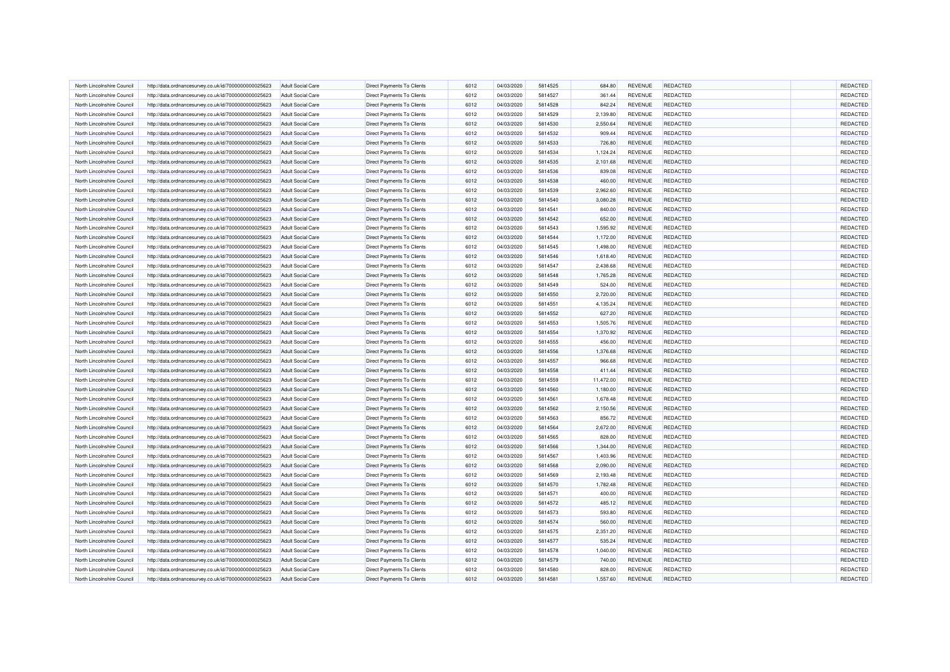| North Lincolnshire Council | http://data.ordnancesurvey.co.uk/id/7000000000025623 | <b>Adult Social Care</b> | <b>Direct Payments To Clients</b> | 6012 | 04/03/2020 | 5814525 | 684.80    | REVENUE        | <b>REDACTED</b> | REDACTED |
|----------------------------|------------------------------------------------------|--------------------------|-----------------------------------|------|------------|---------|-----------|----------------|-----------------|----------|
| North Lincolnshire Council | http://data.ordnancesurvey.co.uk/id/7000000000025623 | <b>Adult Social Care</b> | <b>Direct Payments To Clients</b> | 6012 | 04/03/2020 | 5814527 | 361.44    | REVENUE        | <b>REDACTED</b> | REDACTED |
| North Lincolnshire Council | http://data.ordnancesurvey.co.uk/id/7000000000025623 | <b>Adult Social Care</b> | Direct Payments To Clients        | 6012 | 04/03/2020 | 5814528 | 842.24    | REVENUE        | <b>REDACTED</b> | REDACTED |
| North Lincolnshire Council | http://data.ordnancesurvey.co.uk/id/7000000000025623 | <b>Adult Social Care</b> | Direct Payments To Clients        | 6012 | 04/03/2020 | 5814529 | 2,139.80  | <b>REVENUE</b> | REDACTED        | REDACTED |
| North Lincolnshire Council | http://data.ordnancesurvey.co.uk/id/7000000000025623 | <b>Adult Social Care</b> | <b>Direct Payments To Clients</b> | 6012 | 04/03/2020 | 5814530 | 2,550.64  | REVENUE        | <b>REDACTED</b> | REDACTED |
| North Lincolnshire Council | http://data.ordnancesurvey.co.uk/id/7000000000025623 | <b>Adult Social Care</b> | Direct Payments To Clients        | 6012 | 04/03/2020 | 5814532 | 909.44    | <b>REVENUE</b> | <b>REDACTED</b> | REDACTED |
| North Lincolnshire Council | http://data.ordnancesurvey.co.uk/id/7000000000025623 | <b>Adult Social Care</b> | Direct Payments To Clients        | 6012 | 04/03/2020 | 5814533 | 726.80    | REVENUE        | <b>REDACTED</b> | REDACTED |
| North Lincolnshire Council | http://data.ordnancesurvey.co.uk/id/7000000000025623 | <b>Adult Social Care</b> | Direct Payments To Clients        | 6012 | 04/03/2020 | 5814534 | 1,124.24  | REVENUE        | <b>REDACTED</b> | REDACTED |
| North Lincolnshire Council | http://data.ordnancesurvey.co.uk/id/7000000000025623 | Adult Social Care        | <b>Direct Payments To Clients</b> | 6012 | 04/03/2020 | 5814535 | 2,101.68  | <b>REVENUE</b> | REDACTED        | REDACTED |
| North Lincolnshire Council | http://data.ordnancesurvey.co.uk/id/7000000000025623 | <b>Adult Social Care</b> | Direct Payments To Clients        | 6012 | 04/03/2020 | 5814536 | 839.08    | <b>REVENUE</b> | <b>REDACTED</b> | REDACTED |
| North Lincolnshire Council | http://data.ordnancesurvey.co.uk/id/7000000000025623 | <b>Adult Social Care</b> | Direct Payments To Clients        | 6012 | 04/03/2020 | 5814538 | 460.00    | REVENUE        | <b>REDACTED</b> | REDACTED |
| North Lincolnshire Council | http://data.ordnancesurvey.co.uk/id/7000000000025623 | <b>Adult Social Care</b> | <b>Direct Payments To Clients</b> | 6012 | 04/03/2020 | 5814539 | 2,962.60  | REVENUE        | REDACTED        | REDACTED |
| North Lincolnshire Council | http://data.ordnancesurvey.co.uk/id/7000000000025623 | <b>Adult Social Care</b> | <b>Direct Payments To Clients</b> | 6012 | 04/03/2020 | 5814540 | 3,080.28  | REVENUE        | <b>REDACTED</b> | REDACTED |
| North Lincolnshire Council | http://data.ordnancesurvey.co.uk/id/7000000000025623 | <b>Adult Social Care</b> | Direct Payments To Clients        | 6012 | 04/03/2020 | 5814541 | 840.00    | REVENUE        | REDACTED        | REDACTED |
| North Lincolnshire Council | http://data.ordnancesurvey.co.uk/id/7000000000025623 | <b>Adult Social Care</b> | Direct Payments To Clients        | 6012 | 04/03/2020 | 5814542 | 652.00    | REVENUE        | <b>REDACTED</b> | REDACTED |
| North Lincolnshire Council | http://data.ordnancesurvey.co.uk/id/7000000000025623 | <b>Adult Social Care</b> | Direct Payments To Clients        | 6012 | 04/03/2020 | 5814543 | 1,595.92  | REVENUE        | <b>REDACTED</b> | REDACTED |
| North Lincolnshire Council | http://data.ordnancesurvey.co.uk/id/7000000000025623 | <b>Adult Social Care</b> | Direct Payments To Clients        | 6012 | 04/03/2020 | 5814544 | 1,172.00  | <b>REVENUE</b> | <b>REDACTED</b> | REDACTED |
| North Lincolnshire Council | http://data.ordnancesurvey.co.uk/id/7000000000025623 | <b>Adult Social Care</b> | <b>Direct Payments To Clients</b> | 6012 | 04/03/2020 | 5814545 | 1,498.00  | <b>REVENUE</b> | <b>REDACTED</b> | REDACTED |
| North Lincolnshire Council | http://data.ordnancesurvey.co.uk/id/7000000000025623 | <b>Adult Social Care</b> | <b>Direct Payments To Clients</b> | 6012 | 04/03/2020 | 5814546 | 1,618.40  | REVENUE        | REDACTED        | REDACTED |
| North Lincolnshire Council | http://data.ordnancesurvey.co.uk/id/7000000000025623 | <b>Adult Social Care</b> | <b>Direct Payments To Clients</b> | 6012 | 04/03/2020 | 5814547 | 2,438.68  | REVENUE        | REDACTED        | REDACTED |
| North Lincolnshire Council |                                                      | <b>Adult Social Care</b> | Direct Payments To Clients        | 6012 | 04/03/2020 | 5814548 | 1,765.28  | REVENUE        | <b>REDACTED</b> | REDACTED |
| North Lincolnshire Council | http://data.ordnancesurvey.co.uk/id/7000000000025623 | <b>Adult Social Care</b> |                                   | 6012 | 04/03/2020 | 5814549 |           | REVENUE        | <b>REDACTED</b> | REDACTED |
|                            | http://data.ordnancesurvey.co.uk/id/7000000000025623 |                          | Direct Payments To Clients        |      |            |         | 524.00    |                |                 | REDACTED |
| North Lincolnshire Council | http://data.ordnancesurvey.co.uk/id/7000000000025623 | <b>Adult Social Care</b> | Direct Payments To Clients        | 6012 | 04/03/2020 | 5814550 | 2,720.00  | <b>REVENUE</b> | <b>REDACTED</b> |          |
| North Lincolnshire Council | http://data.ordnancesurvey.co.uk/id/7000000000025623 | <b>Adult Social Care</b> | Direct Payments To Clients        | 6012 | 04/03/2020 | 5814551 | 4,135.24  | REVENUE        | REDACTED        | REDACTED |
| North Lincolnshire Council | http://data.ordnancesurvey.co.uk/id/7000000000025623 | <b>Adult Social Care</b> | Direct Payments To Clients        | 6012 | 04/03/2020 | 5814552 | 627.20    | <b>REVENUE</b> | <b>REDACTED</b> | REDACTED |
| North Lincolnshire Council | http://data.ordnancesurvey.co.uk/id/7000000000025623 | <b>Adult Social Care</b> | Direct Payments To Clients        | 6012 | 04/03/2020 | 5814553 | 1,505.76  | REVENUE        | <b>REDACTED</b> | REDACTED |
| North Lincolnshire Council | http://data.ordnancesurvey.co.uk/id/7000000000025623 | <b>Adult Social Care</b> | <b>Direct Payments To Clients</b> | 6012 | 04/03/2020 | 5814554 | 1,370.92  | <b>REVENUE</b> | <b>REDACTED</b> | REDACTED |
| North Lincolnshire Council | http://data.ordnancesurvey.co.uk/id/7000000000025623 | <b>Adult Social Care</b> | Direct Payments To Clients        | 6012 | 04/03/2020 | 5814555 | 456.00    | REVENUE        | REDACTED        | REDACTED |
| North Lincolnshire Council | http://data.ordnancesurvey.co.uk/id/7000000000025623 | <b>Adult Social Care</b> | Direct Payments To Clients        | 6012 | 04/03/2020 | 5814556 | 1,376.68  | <b>REVENUE</b> | <b>REDACTED</b> | REDACTED |
| North Lincolnshire Council | http://data.ordnancesurvey.co.uk/id/7000000000025623 | <b>Adult Social Care</b> | Direct Payments To Clients        | 6012 | 04/03/2020 | 5814557 | 966.68    | REVENUE        | <b>REDACTED</b> | REDACTED |
| North Lincolnshire Council | http://data.ordnancesurvey.co.uk/id/7000000000025623 | <b>Adult Social Care</b> | <b>Direct Payments To Clients</b> | 6012 | 04/03/2020 | 5814558 | 411.44    | <b>REVENUE</b> | REDACTED        | REDACTED |
| North Lincolnshire Council | http://data.ordnancesurvey.co.uk/id/7000000000025623 | <b>Adult Social Care</b> | Direct Payments To Clients        | 6012 | 04/03/2020 | 5814559 | 11,472.00 | REVENUE        | <b>REDACTED</b> | REDACTED |
| North Lincolnshire Council | http://data.ordnancesurvey.co.uk/id/7000000000025623 | <b>Adult Social Care</b> | Direct Payments To Clients        | 6012 | 04/03/2020 | 5814560 | 1,180.00  | <b>REVENUE</b> | <b>REDACTED</b> | REDACTED |
| North Lincolnshire Council | http://data.ordnancesurvey.co.uk/id/7000000000025623 | <b>Adult Social Care</b> | Direct Payments To Clients        | 6012 | 04/03/2020 | 5814561 | 1,678.48  | REVENUE        | <b>REDACTED</b> | REDACTED |
| North Lincolnshire Council | http://data.ordnancesurvey.co.uk/id/7000000000025623 | <b>Adult Social Care</b> | Direct Payments To Clients        | 6012 | 04/03/2020 | 5814562 | 2,150.56  | <b>REVENUE</b> | <b>REDACTED</b> | REDACTED |
| North Lincolnshire Council | http://data.ordnancesurvey.co.uk/id/7000000000025623 | Adult Social Care        | Direct Payments To Clients        | 6012 | 04/03/2020 | 5814563 | 856.72    | <b>REVENUE</b> | <b>REDACTED</b> | REDACTED |
| North Lincolnshire Council | http://data.ordnancesurvey.co.uk/id/7000000000025623 | <b>Adult Social Care</b> | Direct Payments To Clients        | 6012 | 04/03/2020 | 5814564 | 2,672.00  | REVENUE        | <b>REDACTED</b> | REDACTED |
| North Lincolnshire Council | http://data.ordnancesurvey.co.uk/id/7000000000025623 | <b>Adult Social Care</b> | Direct Payments To Clients        | 6012 | 04/03/2020 | 5814565 | 828.00    | REVENUE        | <b>REDACTED</b> | REDACTED |
| North Lincolnshire Council | http://data.ordnancesurvey.co.uk/id/7000000000025623 | <b>Adult Social Care</b> | <b>Direct Payments To Clients</b> | 6012 | 04/03/2020 | 5814566 | 1,344.00  | REVENUE        | REDACTED        | REDACTED |
| North Lincolnshire Council | http://data.ordnancesurvey.co.uk/id/7000000000025623 | <b>Adult Social Care</b> | Direct Payments To Clients        | 6012 | 04/03/2020 | 5814567 | 1,403.96  | REVENUE        | <b>REDACTED</b> | REDACTED |
| North Lincolnshire Council | http://data.ordnancesurvey.co.uk/id/7000000000025623 | <b>Adult Social Care</b> | Direct Payments To Clients        | 6012 | 04/03/2020 | 5814568 | 2,090.00  | REVENUE        | <b>REDACTED</b> | REDACTED |
| North Lincolnshire Council | http://data.ordnancesurvey.co.uk/id/7000000000025623 | <b>Adult Social Care</b> | Direct Payments To Clients        | 6012 | 04/03/2020 | 5814569 | 2,193.48  | REVENUE        | <b>REDACTED</b> | REDACTED |
| North Lincolnshire Council | http://data.ordnancesurvey.co.uk/id/7000000000025623 | <b>Adult Social Care</b> | Direct Payments To Clients        | 6012 | 04/03/2020 | 5814570 | 1,782.48  | REVENUE        | <b>REDACTED</b> | REDACTED |
| North Lincolnshire Council | http://data.ordnancesurvey.co.uk/id/7000000000025623 | <b>Adult Social Care</b> | Direct Payments To Clients        | 6012 | 04/03/2020 | 5814571 | 400.00    | <b>REVENUE</b> | <b>REDACTED</b> | REDACTED |
| North Lincolnshire Council | http://data.ordnancesurvey.co.uk/id/7000000000025623 | <b>Adult Social Care</b> | <b>Direct Payments To Clients</b> | 6012 | 04/03/2020 | 5814572 | 485.12    | <b>REVENUE</b> | <b>REDACTED</b> | REDACTED |
| North Lincolnshire Council | http://data.ordnancesurvey.co.uk/id/7000000000025623 | <b>Adult Social Care</b> | Direct Payments To Clients        | 6012 | 04/03/2020 | 5814573 | 593.80    | REVENUE        | REDACTED        | REDACTED |
| North Lincolnshire Council | http://data.ordnancesurvey.co.uk/id/7000000000025623 | <b>Adult Social Care</b> | Direct Payments To Clients        | 6012 | 04/03/2020 | 5814574 | 560.00    | REVENUE        | REDACTED        | REDACTED |
| North Lincolnshire Council | http://data.ordnancesurvey.co.uk/id/7000000000025623 | <b>Adult Social Care</b> | Direct Payments To Clients        | 6012 | 04/03/2020 | 5814575 | 2,351.20  | REVENUE        | <b>REDACTED</b> | REDACTED |
| North Lincolnshire Council | http://data.ordnancesurvey.co.uk/id/7000000000025623 | <b>Adult Social Care</b> | <b>Direct Payments To Clients</b> | 6012 | 04/03/2020 | 5814577 | 535.24    | <b>REVENUE</b> | <b>REDACTED</b> | REDACTED |
| North Lincolnshire Council | http://data.ordnancesurvey.co.uk/id/7000000000025623 | <b>Adult Social Care</b> | Direct Payments To Clients        | 6012 | 04/03/2020 | 5814578 | 1,040.00  | <b>REVENUE</b> | <b>REDACTED</b> | REDACTED |
| North Lincolnshire Council | http://data.ordnancesurvey.co.uk/id/7000000000025623 | <b>Adult Social Care</b> | Direct Payments To Clients        | 6012 | 04/03/2020 | 5814579 | 740.00    | REVENUE        | REDACTED        | REDACTED |
| North Lincolnshire Council | http://data.ordnancesurvey.co.uk/id/7000000000025623 | <b>Adult Social Care</b> | Direct Payments To Clients        | 6012 | 04/03/2020 | 5814580 | 828.00    | <b>REVENUE</b> | <b>REDACTED</b> | REDACTED |
| North Lincolnshire Council | http://data.ordnancesurvey.co.uk/id/7000000000025623 | <b>Adult Social Care</b> | Direct Payments To Clients        | 6012 | 04/03/2020 | 5814581 | 1,557.60  | REVENUE        | <b>REDACTED</b> | REDACTED |
|                            |                                                      |                          |                                   |      |            |         |           |                |                 |          |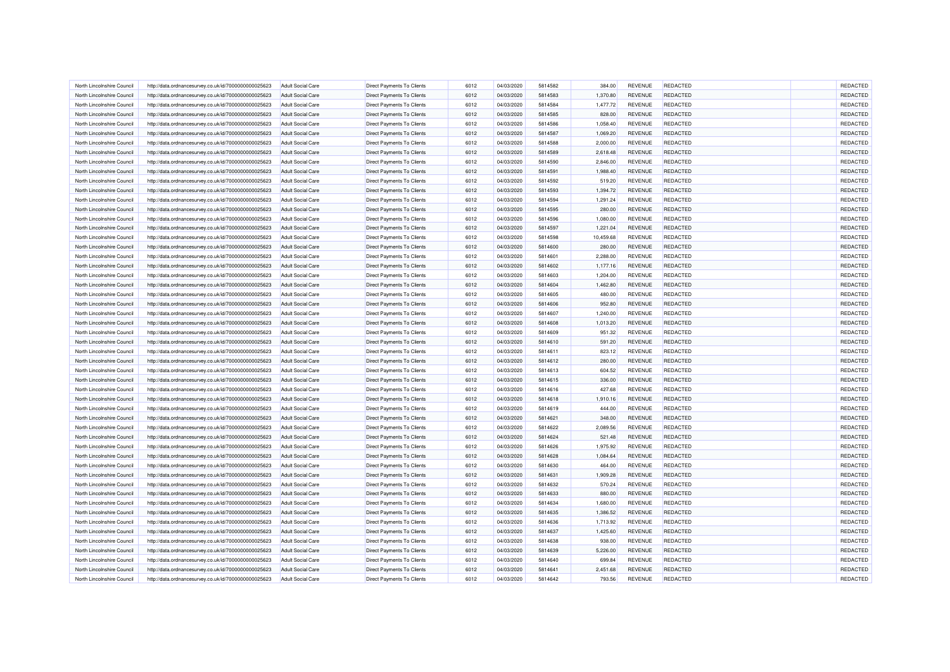| North Lincolnshire Council | http://data.ordnancesurvey.co.uk/id/7000000000025623 | <b>Adult Social Care</b> | Direct Payments To Clients        | 6012 | 04/03/2020 | 5814582 | 384.00    | REVENUE        | <b>REDACTED</b> | REDACTED |
|----------------------------|------------------------------------------------------|--------------------------|-----------------------------------|------|------------|---------|-----------|----------------|-----------------|----------|
| North Lincolnshire Council | http://data.ordnancesurvey.co.uk/id/7000000000025623 | <b>Adult Social Care</b> | <b>Direct Payments To Clients</b> | 6012 | 04/03/2020 | 5814583 | 1,370.80  | REVENUE        | REDACTED        | REDACTED |
| North Lincolnshire Council | http://data.ordnancesurvey.co.uk/id/7000000000025623 | <b>Adult Social Care</b> | Direct Payments To Clients        | 6012 | 04/03/2020 | 5814584 | 1,477.72  | REVENUE        | <b>REDACTED</b> | REDACTED |
| North Lincolnshire Council | http://data.ordnancesurvey.co.uk/id/7000000000025623 | <b>Adult Social Care</b> | <b>Direct Payments To Clients</b> | 6012 | 04/03/2020 | 5814585 | 828.00    | REVENUE        | REDACTED        | REDACTED |
| North Lincolnshire Council | http://data.ordnancesurvey.co.uk/id/7000000000025623 | <b>Adult Social Care</b> | Direct Payments To Clients        | 6012 | 04/03/2020 | 5814586 | 1,058.40  | <b>REVENUE</b> | <b>REDACTED</b> | REDACTED |
| North Lincolnshire Council | http://data.ordnancesurvey.co.uk/id/7000000000025623 | <b>Adult Social Care</b> | Direct Payments To Clients        | 6012 | 04/03/2020 | 5814587 | 1,069.20  | REVENUE        | <b>REDACTED</b> | REDACTED |
| North Lincolnshire Council | http://data.ordnancesurvey.co.uk/id/7000000000025623 | <b>Adult Social Care</b> | Direct Payments To Clients        | 6012 | 04/03/2020 | 5814588 | 2,000.00  | <b>REVENUE</b> | REDACTED        | REDACTED |
| North Lincolnshire Council | http://data.ordnancesurvey.co.uk/id/7000000000025623 | <b>Adult Social Care</b> | <b>Direct Payments To Clients</b> | 6012 | 04/03/2020 | 5814589 | 2,618.48  | REVENUE        | <b>REDACTED</b> | REDACTED |
| North Lincolnshire Council | http://data.ordnancesurvey.co.uk/id/7000000000025623 | <b>Adult Social Care</b> | Direct Payments To Clients        | 6012 | 04/03/2020 | 5814590 | 2,846.00  | REVENUE        | REDACTED        | REDACTED |
| North Lincolnshire Council | http://data.ordnancesurvey.co.uk/id/7000000000025623 | <b>Adult Social Care</b> | Direct Payments To Clients        | 6012 | 04/03/2020 | 5814591 | 1,988.40  | REVENUE        | <b>REDACTED</b> | REDACTED |
| North Lincolnshire Council | http://data.ordnancesurvey.co.uk/id/7000000000025623 | <b>Adult Social Care</b> | Direct Payments To Clients        | 6012 | 04/03/2020 | 5814592 | 519.20    | <b>REVENUE</b> | <b>REDACTED</b> | REDACTED |
| North Lincolnshire Council | http://data.ordnancesurvey.co.uk/id/7000000000025623 | Adult Social Care        | <b>Direct Payments To Clients</b> | 6012 | 04/03/2020 | 5814593 | 1,394.72  | <b>REVENUE</b> | <b>REDACTED</b> | REDACTED |
| North Lincolnshire Council | http://data.ordnancesurvey.co.uk/id/7000000000025623 | <b>Adult Social Care</b> | Direct Payments To Clients        | 6012 | 04/03/2020 | 5814594 | 1,291.24  | <b>REVENUE</b> | <b>REDACTED</b> | REDACTED |
| North Lincolnshire Council | http://data.ordnancesurvey.co.uk/id/7000000000025623 | <b>Adult Social Care</b> | Direct Payments To Clients        | 6012 | 04/03/2020 | 5814595 | 280.00    | REVENUE        | REDACTED        | REDACTED |
| North Lincolnshire Council | http://data.ordnancesurvey.co.uk/id/7000000000025623 | <b>Adult Social Care</b> | <b>Direct Payments To Clients</b> | 6012 | 04/03/2020 | 5814596 | 1,080.00  | REVENUE        | <b>REDACTED</b> | REDACTED |
| North Lincolnshire Council | http://data.ordnancesurvey.co.uk/id/7000000000025623 | <b>Adult Social Care</b> | Direct Payments To Clients        | 6012 | 04/03/2020 | 5814597 | 1,221.04  | <b>REVENUE</b> | <b>REDACTED</b> | REDACTED |
| North Lincolnshire Council | http://data.ordnancesurvey.co.uk/id/7000000000025623 | <b>Adult Social Care</b> | Direct Payments To Clients        | 6012 | 04/03/2020 | 5814598 | 10,459.68 | REVENUE        | <b>REDACTED</b> | REDACTED |
| North Lincolnshire Council | http://data.ordnancesurvey.co.uk/id/7000000000025623 | <b>Adult Social Care</b> | Direct Payments To Clients        | 6012 | 04/03/2020 | 5814600 | 280.00    | REVENUE        | <b>REDACTED</b> | REDACTED |
| North Lincolnshire Council | http://data.ordnancesurvey.co.uk/id/7000000000025623 | <b>Adult Social Care</b> | Direct Payments To Clients        | 6012 | 04/03/2020 | 5814601 | 2,288.00  | REVENUE        | <b>REDACTED</b> | REDACTED |
| North Lincolnshire Council | http://data.ordnancesurvey.co.uk/id/7000000000025623 | <b>Adult Social Care</b> | Direct Payments To Clients        | 6012 | 04/03/2020 | 5814602 | 1,177.16  | <b>REVENUE</b> | <b>REDACTED</b> | REDACTED |
| North Lincolnshire Council | http://data.ordnancesurvey.co.uk/id/7000000000025623 | <b>Adult Social Care</b> | Direct Payments To Clients        | 6012 | 04/03/2020 | 5814603 | 1,204.00  | <b>REVENUE</b> | <b>REDACTED</b> | REDACTED |
| North Lincolnshire Council | http://data.ordnancesurvey.co.uk/id/7000000000025623 | <b>Adult Social Care</b> | Direct Payments To Clients        | 6012 | 04/03/2020 | 5814604 | 1,462.80  | REVENUE        | <b>REDACTED</b> | REDACTED |
| North Lincolnshire Council | http://data.ordnancesurvey.co.uk/id/7000000000025623 | <b>Adult Social Care</b> | <b>Direct Payments To Clients</b> | 6012 | 04/03/2020 | 5814605 | 480.00    | REVENUE        | REDACTED        | REDACTED |
| North Lincolnshire Council | http://data.ordnancesurvey.co.uk/id/7000000000025623 | <b>Adult Social Care</b> | Direct Payments To Clients        | 6012 | 04/03/2020 | 5814606 | 952.80    | <b>REVENUE</b> | <b>REDACTED</b> | REDACTED |
| North Lincolnshire Council | http://data.ordnancesurvey.co.uk/id/7000000000025623 | <b>Adult Social Care</b> | Direct Payments To Clients        | 6012 | 04/03/2020 | 5814607 | 1,240.00  | REVENUE        | <b>REDACTED</b> | REDACTED |
| North Lincolnshire Council | http://data.ordnancesurvey.co.uk/id/7000000000025623 | <b>Adult Social Care</b> | <b>Direct Payments To Clients</b> | 6012 | 04/03/2020 | 5814608 | 1,013.20  | <b>REVENUE</b> | REDACTED        | REDACTED |
| North Lincolnshire Council | http://data.ordnancesurvey.co.uk/id/7000000000025623 | <b>Adult Social Care</b> | Direct Payments To Clients        | 6012 | 04/03/2020 | 5814609 | 951.32    | REVENUE        | <b>REDACTED</b> | REDACTED |
| North Lincolnshire Council | http://data.ordnancesurvey.co.uk/id/7000000000025623 | <b>Adult Social Care</b> | Direct Payments To Clients        | 6012 | 04/03/2020 | 5814610 | 591.20    | <b>REVENUE</b> | <b>REDACTED</b> | REDACTED |
| North Lincolnshire Council | http://data.ordnancesurvey.co.uk/id/7000000000025623 | <b>Adult Social Care</b> | Direct Payments To Clients        | 6012 | 04/03/2020 | 5814611 | 823.12    | REVENUE        | REDACTED        | REDACTED |
| North Lincolnshire Council | http://data.ordnancesurvey.co.uk/id/7000000000025623 | <b>Adult Social Care</b> | Direct Payments To Clients        | 6012 | 04/03/2020 | 5814612 | 280.00    | <b>REVENUE</b> | <b>REDACTED</b> | REDACTED |
| North Lincolnshire Council | http://data.ordnancesurvey.co.uk/id/7000000000025623 | <b>Adult Social Care</b> | Direct Payments To Clients        | 6012 | 04/03/2020 | 5814613 | 604.52    | <b>REVENUE</b> | REDACTED        | REDACTED |
| North Lincolnshire Council | http://data.ordnancesurvey.co.uk/id/7000000000025623 | <b>Adult Social Care</b> | <b>Direct Payments To Clients</b> | 6012 | 04/03/2020 | 5814615 | 336.00    | <b>REVENUE</b> | <b>REDACTED</b> | REDACTED |
| North Lincolnshire Council | http://data.ordnancesurvey.co.uk/id/7000000000025623 | Adult Social Care        | <b>Direct Payments To Clients</b> | 6012 | 04/03/2020 | 5814616 | 427.68    | <b>REVENUE</b> | <b>REDACTED</b> | REDACTED |
| North Lincolnshire Council | http://data.ordnancesurvey.co.uk/id/7000000000025623 | <b>Adult Social Care</b> | <b>Direct Payments To Clients</b> | 6012 | 04/03/2020 | 5814618 | 1,910.16  | REVENUE        | REDACTED        | REDACTED |
| North Lincolnshire Council | http://data.ordnancesurvey.co.uk/id/7000000000025623 | <b>Adult Social Care</b> | Direct Payments To Clients        | 6012 | 04/03/2020 | 5814619 | 444.00    | REVENUE        | <b>REDACTED</b> | REDACTED |
| North Lincolnshire Council | http://data.ordnancesurvey.co.uk/id/7000000000025623 | <b>Adult Social Care</b> | <b>Direct Payments To Clients</b> | 6012 | 04/03/2020 | 5814621 | 348.00    | <b>REVENUE</b> | REDACTED        | REDACTED |
| North Lincolnshire Council | http://data.ordnancesurvey.co.uk/id/7000000000025623 | <b>Adult Social Care</b> | Direct Payments To Clients        | 6012 | 04/03/2020 | 5814622 | 2,089.56  | <b>REVENUE</b> | <b>REDACTED</b> | REDACTED |
| North Lincolnshire Council | http://data.ordnancesurvey.co.uk/id/7000000000025623 | <b>Adult Social Care</b> | Direct Payments To Clients        | 6012 | 04/03/2020 | 5814624 | 521.48    | <b>REVENUE</b> | <b>REDACTED</b> | REDACTED |
| North Lincolnshire Council | http://data.ordnancesurvey.co.uk/id/7000000000025623 | <b>Adult Social Care</b> | Direct Payments To Clients        | 6012 | 04/03/2020 | 5814626 | 1,975.92  | <b>REVENUE</b> | REDACTED        | REDACTED |
| North Lincolnshire Council | http://data.ordnancesurvey.co.uk/id/7000000000025623 | <b>Adult Social Care</b> | Direct Payments To Clients        | 6012 | 04/03/2020 | 5814628 | 1,084.64  | REVENUE        | <b>REDACTED</b> | REDACTED |
| North Lincolnshire Council | http://data.ordnancesurvey.co.uk/id/7000000000025623 | <b>Adult Social Care</b> | Direct Payments To Clients        | 6012 | 04/03/2020 | 5814630 | 464.00    | <b>REVENUE</b> | REDACTED        | REDACTED |
| North Lincolnshire Council | http://data.ordnancesurvey.co.uk/id/7000000000025623 | <b>Adult Social Care</b> | Direct Payments To Clients        | 6012 | 04/03/2020 | 5814631 | 1,909.28  | REVENUE        | <b>REDACTED</b> | REDACTED |
| North Lincolnshire Council | http://data.ordnancesurvey.co.uk/id/7000000000025623 | <b>Adult Social Care</b> | Direct Payments To Clients        | 6012 | 04/03/2020 | 5814632 | 570.24    | REVENUE        | <b>REDACTED</b> | REDACTED |
| North Lincolnshire Council | http://data.ordnancesurvey.co.uk/id/7000000000025623 | Adult Social Care        | <b>Direct Payments To Clients</b> | 6012 | 04/03/2020 | 5814633 | 880.00    | <b>REVENUE</b> | <b>REDACTED</b> | REDACTED |
| North Lincolnshire Council | http://data.ordnancesurvey.co.uk/id/7000000000025623 | <b>Adult Social Care</b> | Direct Payments To Clients        | 6012 | 04/03/2020 | 5814634 | 1,680.00  | REVENUE        | <b>REDACTED</b> | REDACTED |
| North Lincolnshire Council | http://data.ordnancesurvey.co.uk/id/7000000000025623 | <b>Adult Social Care</b> | Direct Payments To Clients        | 6012 | 04/03/2020 | 5814635 | 1,386.52  | REVENUE        | REDACTED        | REDACTED |
| North Lincolnshire Council | http://data.ordnancesurvey.co.uk/id/7000000000025623 | <b>Adult Social Care</b> | Direct Payments To Clients        | 6012 | 04/03/2020 | 5814636 | 1,713.92  | REVENUE        | REDACTED        | REDACTED |
| North Lincolnshire Council | http://data.ordnancesurvey.co.uk/id/7000000000025623 | <b>Adult Social Care</b> | Direct Payments To Clients        | 6012 | 04/03/2020 | 5814637 | 1,425.60  | REVENUE        | <b>REDACTED</b> | REDACTED |
| North Lincolnshire Council | http://data.ordnancesurvey.co.uk/id/7000000000025623 | <b>Adult Social Care</b> | Direct Payments To Clients        | 6012 | 04/03/2020 | 5814638 | 938.00    | REVENUE        | <b>REDACTED</b> | REDACTED |
| North Lincolnshire Council | http://data.ordnancesurvey.co.uk/id/7000000000025623 | <b>Adult Social Care</b> | Direct Payments To Clients        | 6012 | 04/03/2020 | 5814639 | 5,226.00  | REVENUE        | <b>REDACTED</b> | REDACTED |
| North Lincolnshire Council | http://data.ordnancesurvey.co.uk/id/7000000000025623 | <b>Adult Social Care</b> | Direct Payments To Clients        | 6012 | 04/03/2020 | 5814640 | 699.84    | REVENUE        | REDACTED        | REDACTED |
| North Lincolnshire Council | http://data.ordnancesurvey.co.uk/id/7000000000025623 | <b>Adult Social Care</b> | Direct Payments To Clients        | 6012 | 04/03/2020 | 5814641 | 2,451.68  | <b>REVENUE</b> | <b>REDACTED</b> | REDACTED |
| North Lincolnshire Council | http://data.ordnancesurvey.co.uk/id/7000000000025623 | <b>Adult Social Care</b> | Direct Payments To Clients        | 6012 | 04/03/2020 | 5814642 | 793.56    | REVENUE        | <b>REDACTED</b> | REDACTED |
|                            |                                                      |                          |                                   |      |            |         |           |                |                 |          |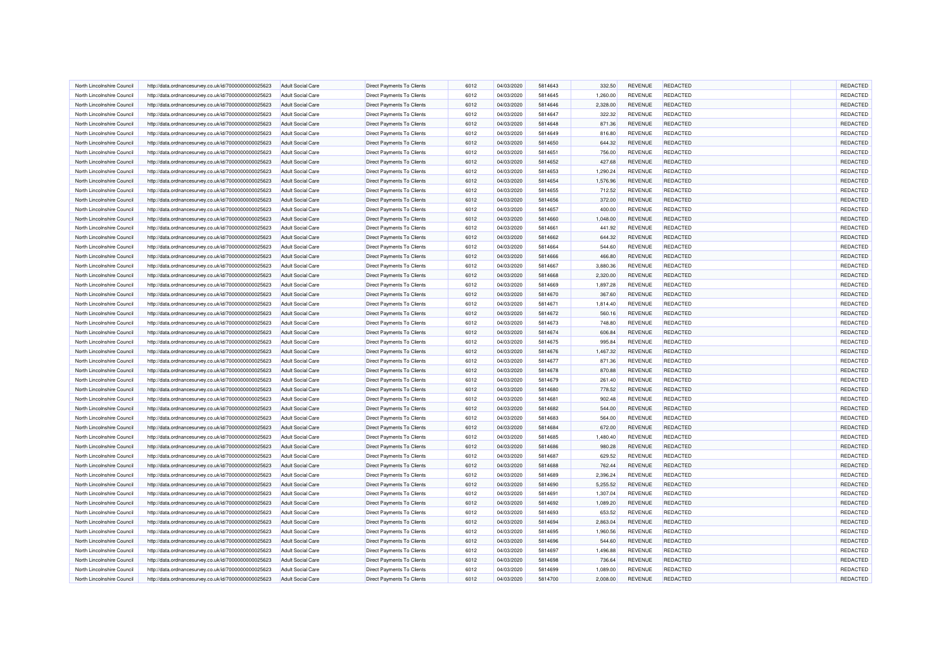| North Lincolnshire Council | http://data.ordnancesurvey.co.uk/id/7000000000025623 | <b>Adult Social Care</b> | <b>Direct Payments To Clients</b> | 6012 | 04/03/2020 | 5814643 | 332.50   | REVENUE        | <b>REDACTED</b> | REDACTED |
|----------------------------|------------------------------------------------------|--------------------------|-----------------------------------|------|------------|---------|----------|----------------|-----------------|----------|
| North Lincolnshire Council | http://data.ordnancesurvey.co.uk/id/7000000000025623 | <b>Adult Social Care</b> | <b>Direct Payments To Clients</b> | 6012 | 04/03/2020 | 5814645 | 1,260.00 | REVENUE        | <b>REDACTED</b> | REDACTED |
| North Lincolnshire Council | http://data.ordnancesurvey.co.uk/id/7000000000025623 | <b>Adult Social Care</b> | Direct Payments To Clients        | 6012 | 04/03/2020 | 5814646 | 2,328.00 | REVENUE        | <b>REDACTED</b> | REDACTED |
| North Lincolnshire Council | http://data.ordnancesurvey.co.uk/id/7000000000025623 | <b>Adult Social Care</b> | Direct Payments To Clients        | 6012 | 04/03/2020 | 5814647 | 322.32   | <b>REVENUE</b> | REDACTED        | REDACTED |
| North Lincolnshire Council | http://data.ordnancesurvey.co.uk/id/7000000000025623 | <b>Adult Social Care</b> | Direct Payments To Clients        | 6012 | 04/03/2020 | 5814648 | 871.36   | REVENUE        | <b>REDACTED</b> | REDACTED |
| North Lincolnshire Council | http://data.ordnancesurvey.co.uk/id/7000000000025623 | <b>Adult Social Care</b> | Direct Payments To Clients        | 6012 | 04/03/2020 | 5814649 | 816.80   | <b>REVENUE</b> | REDACTED        | REDACTED |
| North Lincolnshire Council | http://data.ordnancesurvey.co.uk/id/7000000000025623 | <b>Adult Social Care</b> | Direct Payments To Clients        | 6012 | 04/03/2020 | 5814650 | 644.32   | REVENUE        | <b>REDACTED</b> | REDACTED |
| North Lincolnshire Council | http://data.ordnancesurvey.co.uk/id/7000000000025623 | <b>Adult Social Care</b> | Direct Payments To Clients        | 6012 | 04/03/2020 | 5814651 | 756.00   | REVENUE        | <b>REDACTED</b> | REDACTED |
| North Lincolnshire Council | http://data.ordnancesurvey.co.uk/id/7000000000025623 | Adult Social Care        | <b>Direct Payments To Clients</b> | 6012 | 04/03/2020 | 5814652 | 427.68   | <b>REVENUE</b> | <b>REDACTED</b> | REDACTED |
| North Lincolnshire Council | http://data.ordnancesurvey.co.uk/id/7000000000025623 | <b>Adult Social Care</b> | Direct Payments To Clients        | 6012 | 04/03/2020 | 5814653 | 1,290.24 | <b>REVENUE</b> | <b>REDACTED</b> | REDACTED |
| North Lincolnshire Council | http://data.ordnancesurvey.co.uk/id/7000000000025623 | <b>Adult Social Care</b> | Direct Payments To Clients        | 6012 | 04/03/2020 | 5814654 | 1,576.96 | REVENUE        | <b>REDACTED</b> | REDACTED |
| North Lincolnshire Council | http://data.ordnancesurvey.co.uk/id/7000000000025623 | <b>Adult Social Care</b> | <b>Direct Payments To Clients</b> | 6012 | 04/03/2020 | 5814655 | 712.52   | REVENUE        | REDACTED        | REDACTED |
| North Lincolnshire Council | http://data.ordnancesurvey.co.uk/id/7000000000025623 | <b>Adult Social Care</b> | Direct Payments To Clients        | 6012 | 04/03/2020 | 5814656 | 372.00   | REVENUE        | <b>REDACTED</b> | REDACTED |
| North Lincolnshire Council | http://data.ordnancesurvey.co.uk/id/7000000000025623 | <b>Adult Social Care</b> | Direct Payments To Clients        | 6012 | 04/03/2020 | 5814657 | 400.00   | REVENUE        | REDACTED        | REDACTED |
| North Lincolnshire Council | http://data.ordnancesurvey.co.uk/id/7000000000025623 | <b>Adult Social Care</b> | Direct Payments To Clients        | 6012 | 04/03/2020 | 5814660 | 1,048.00 | REVENUE        | <b>REDACTED</b> | REDACTED |
| North Lincolnshire Council | http://data.ordnancesurvey.co.uk/id/7000000000025623 | <b>Adult Social Care</b> | Direct Payments To Clients        | 6012 | 04/03/2020 | 5814661 | 441.92   | <b>REVENUE</b> | <b>REDACTED</b> | REDACTED |
| North Lincolnshire Council | http://data.ordnancesurvey.co.uk/id/7000000000025623 | <b>Adult Social Care</b> | Direct Payments To Clients        | 6012 | 04/03/2020 | 5814662 | 644.32   | <b>REVENUE</b> | <b>REDACTED</b> | REDACTED |
| North Lincolnshire Council | http://data.ordnancesurvey.co.uk/id/7000000000025623 | <b>Adult Social Care</b> | <b>Direct Payments To Clients</b> | 6012 | 04/03/2020 | 5814664 | 544.60   | <b>REVENUE</b> | <b>REDACTED</b> | REDACTED |
| North Lincolnshire Council | http://data.ordnancesurvey.co.uk/id/7000000000025623 | <b>Adult Social Care</b> | <b>Direct Payments To Clients</b> | 6012 | 04/03/2020 | 5814666 | 466.80   | REVENUE        | <b>REDACTED</b> | REDACTED |
| North Lincolnshire Council | http://data.ordnancesurvey.co.uk/id/7000000000025623 | <b>Adult Social Care</b> | <b>Direct Payments To Clients</b> | 6012 | 04/03/2020 | 5814667 | 3,880.36 | REVENUE        | REDACTED        | REDACTED |
| North Lincolnshire Council |                                                      | <b>Adult Social Care</b> | Direct Payments To Clients        | 6012 | 04/03/2020 | 5814668 | 2,320.00 | REVENUE        | <b>REDACTED</b> | REDACTED |
| North Lincolnshire Council | http://data.ordnancesurvey.co.uk/id/7000000000025623 | <b>Adult Social Care</b> |                                   | 6012 | 04/03/2020 | 5814669 | 1,897.28 | REVENUE        | <b>REDACTED</b> | REDACTED |
|                            | http://data.ordnancesurvey.co.uk/id/7000000000025623 |                          | Direct Payments To Clients        |      |            |         |          |                |                 | REDACTED |
| North Lincolnshire Council | http://data.ordnancesurvey.co.uk/id/7000000000025623 | <b>Adult Social Care</b> | Direct Payments To Clients        | 6012 | 04/03/2020 | 5814670 | 367.60   | <b>REVENUE</b> | <b>REDACTED</b> |          |
| North Lincolnshire Council | http://data.ordnancesurvey.co.uk/id/7000000000025623 | <b>Adult Social Care</b> | Direct Payments To Clients        | 6012 | 04/03/2020 | 5814671 | 1,814.40 | REVENUE        | REDACTED        | REDACTED |
| North Lincolnshire Council | http://data.ordnancesurvey.co.uk/id/7000000000025623 | <b>Adult Social Care</b> | Direct Payments To Clients        | 6012 | 04/03/2020 | 5814672 | 560.16   | <b>REVENUE</b> | <b>REDACTED</b> | REDACTED |
| North Lincolnshire Council | http://data.ordnancesurvey.co.uk/id/7000000000025623 | <b>Adult Social Care</b> | Direct Payments To Clients        | 6012 | 04/03/2020 | 5814673 | 748.80   | REVENUE        | REDACTED        | REDACTED |
| North Lincolnshire Council | http://data.ordnancesurvey.co.uk/id/7000000000025623 | <b>Adult Social Care</b> | Direct Payments To Clients        | 6012 | 04/03/2020 | 5814674 | 606.84   | <b>REVENUE</b> | <b>REDACTED</b> | REDACTED |
| North Lincolnshire Council | http://data.ordnancesurvey.co.uk/id/7000000000025623 | <b>Adult Social Care</b> | Direct Payments To Clients        | 6012 | 04/03/2020 | 5814675 | 995.84   | REVENUE        | REDACTED        | REDACTED |
| North Lincolnshire Council | http://data.ordnancesurvey.co.uk/id/7000000000025623 | <b>Adult Social Care</b> | Direct Payments To Clients        | 6012 | 04/03/2020 | 5814676 | 1,467.32 | <b>REVENUE</b> | <b>REDACTED</b> | REDACTED |
| North Lincolnshire Council | http://data.ordnancesurvey.co.uk/id/7000000000025623 | <b>Adult Social Care</b> | Direct Payments To Clients        | 6012 | 04/03/2020 | 5814677 | 871.36   | REVENUE        | <b>REDACTED</b> | REDACTED |
| North Lincolnshire Council | http://data.ordnancesurvey.co.uk/id/7000000000025623 | <b>Adult Social Care</b> | <b>Direct Payments To Clients</b> | 6012 | 04/03/2020 | 5814678 | 870.88   | <b>REVENUE</b> | REDACTED        | REDACTED |
| North Lincolnshire Council | http://data.ordnancesurvey.co.uk/id/7000000000025623 | <b>Adult Social Care</b> | Direct Payments To Clients        | 6012 | 04/03/2020 | 5814679 | 261.40   | REVENUE        | <b>REDACTED</b> | REDACTED |
| North Lincolnshire Council | http://data.ordnancesurvey.co.uk/id/7000000000025623 | <b>Adult Social Care</b> | Direct Payments To Clients        | 6012 | 04/03/2020 | 5814680 | 778.52   | <b>REVENUE</b> | <b>REDACTED</b> | REDACTED |
| North Lincolnshire Council | http://data.ordnancesurvey.co.uk/id/7000000000025623 | <b>Adult Social Care</b> | Direct Payments To Clients        | 6012 | 04/03/2020 | 5814681 | 902.48   | REVENUE        | REDACTED        | REDACTED |
| North Lincolnshire Council | http://data.ordnancesurvey.co.uk/id/7000000000025623 | <b>Adult Social Care</b> | Direct Payments To Clients        | 6012 | 04/03/2020 | 5814682 | 544.00   | REVENUE        | <b>REDACTED</b> | REDACTED |
| North Lincolnshire Council | http://data.ordnancesurvey.co.uk/id/7000000000025623 | Adult Social Care        | Direct Payments To Clients        | 6012 | 04/03/2020 | 5814683 | 564.00   | <b>REVENUE</b> | <b>REDACTED</b> | REDACTED |
| North Lincolnshire Council | http://data.ordnancesurvey.co.uk/id/7000000000025623 | <b>Adult Social Care</b> | Direct Payments To Clients        | 6012 | 04/03/2020 | 5814684 | 672.00   | REVENUE        | <b>REDACTED</b> | REDACTED |
| North Lincolnshire Council | http://data.ordnancesurvey.co.uk/id/7000000000025623 | <b>Adult Social Care</b> | Direct Payments To Clients        | 6012 | 04/03/2020 | 5814685 | 1,480.40 | REVENUE        | <b>REDACTED</b> | REDACTED |
| North Lincolnshire Council | http://data.ordnancesurvey.co.uk/id/7000000000025623 | <b>Adult Social Care</b> | <b>Direct Payments To Clients</b> | 6012 | 04/03/2020 | 5814686 | 980.28   | REVENUE        | REDACTED        | REDACTED |
| North Lincolnshire Council | http://data.ordnancesurvey.co.uk/id/7000000000025623 | <b>Adult Social Care</b> | Direct Payments To Clients        | 6012 | 04/03/2020 | 5814687 | 629.52   | <b>REVENUE</b> | <b>REDACTED</b> | REDACTED |
| North Lincolnshire Council | http://data.ordnancesurvey.co.uk/id/7000000000025623 | <b>Adult Social Care</b> | Direct Payments To Clients        | 6012 | 04/03/2020 | 5814688 | 762.44   | REVENUE        | <b>REDACTED</b> | REDACTED |
| North Lincolnshire Council | http://data.ordnancesurvey.co.uk/id/7000000000025623 | <b>Adult Social Care</b> | Direct Payments To Clients        | 6012 | 04/03/2020 | 5814689 | 2,396.24 | REVENUE        | <b>REDACTED</b> | REDACTED |
| North Lincolnshire Council | http://data.ordnancesurvey.co.uk/id/7000000000025623 | <b>Adult Social Care</b> | Direct Payments To Clients        | 6012 | 04/03/2020 | 5814690 | 5,255.52 | <b>REVENUE</b> | <b>REDACTED</b> | REDACTED |
| North Lincolnshire Council | http://data.ordnancesurvey.co.uk/id/7000000000025623 | <b>Adult Social Care</b> | Direct Payments To Clients        | 6012 | 04/03/2020 | 5814691 | 1,307.04 | <b>REVENUE</b> | REDACTED        | REDACTED |
| North Lincolnshire Council | http://data.ordnancesurvey.co.uk/id/7000000000025623 | <b>Adult Social Care</b> | <b>Direct Payments To Clients</b> | 6012 | 04/03/2020 | 5814692 | 1,089.20 | REVENUE        | <b>REDACTED</b> | REDACTED |
| North Lincolnshire Council | http://data.ordnancesurvey.co.uk/id/7000000000025623 | <b>Adult Social Care</b> | Direct Payments To Clients        | 6012 | 04/03/2020 | 5814693 | 653.52   | REVENUE        | REDACTED        | REDACTED |
| North Lincolnshire Council | http://data.ordnancesurvey.co.uk/id/7000000000025623 | <b>Adult Social Care</b> | Direct Payments To Clients        | 6012 | 04/03/2020 | 5814694 | 2,863.04 | REVENUE        | REDACTED        | REDACTED |
| North Lincolnshire Council | http://data.ordnancesurvey.co.uk/id/7000000000025623 | <b>Adult Social Care</b> | Direct Payments To Clients        | 6012 | 04/03/2020 | 5814695 | 1,960.56 | REVENUE        | <b>REDACTED</b> | REDACTED |
| North Lincolnshire Council | http://data.ordnancesurvey.co.uk/id/7000000000025623 | <b>Adult Social Care</b> | Direct Payments To Clients        | 6012 | 04/03/2020 | 5814696 | 544.60   | REVENUE        | <b>REDACTED</b> | REDACTED |
| North Lincolnshire Council | http://data.ordnancesurvey.co.uk/id/7000000000025623 | <b>Adult Social Care</b> | Direct Payments To Clients        | 6012 | 04/03/2020 | 5814697 | 1,496.88 | <b>REVENUE</b> | <b>REDACTED</b> | REDACTED |
| North Lincolnshire Council | http://data.ordnancesurvey.co.uk/id/7000000000025623 | <b>Adult Social Care</b> | Direct Payments To Clients        | 6012 | 04/03/2020 | 5814698 | 736.64   | REVENUE        | REDACTED        | REDACTED |
| North Lincolnshire Council | http://data.ordnancesurvey.co.uk/id/7000000000025623 | <b>Adult Social Care</b> | Direct Payments To Clients        | 6012 | 04/03/2020 | 5814699 | 1,089.00 | <b>REVENUE</b> | <b>REDACTED</b> | REDACTED |
| North Lincolnshire Council | http://data.ordnancesurvey.co.uk/id/7000000000025623 | <b>Adult Social Care</b> | Direct Payments To Clients        | 6012 | 04/03/2020 | 5814700 | 2,008.00 | REVENUE        | <b>REDACTED</b> | REDACTED |
|                            |                                                      |                          |                                   |      |            |         |          |                |                 |          |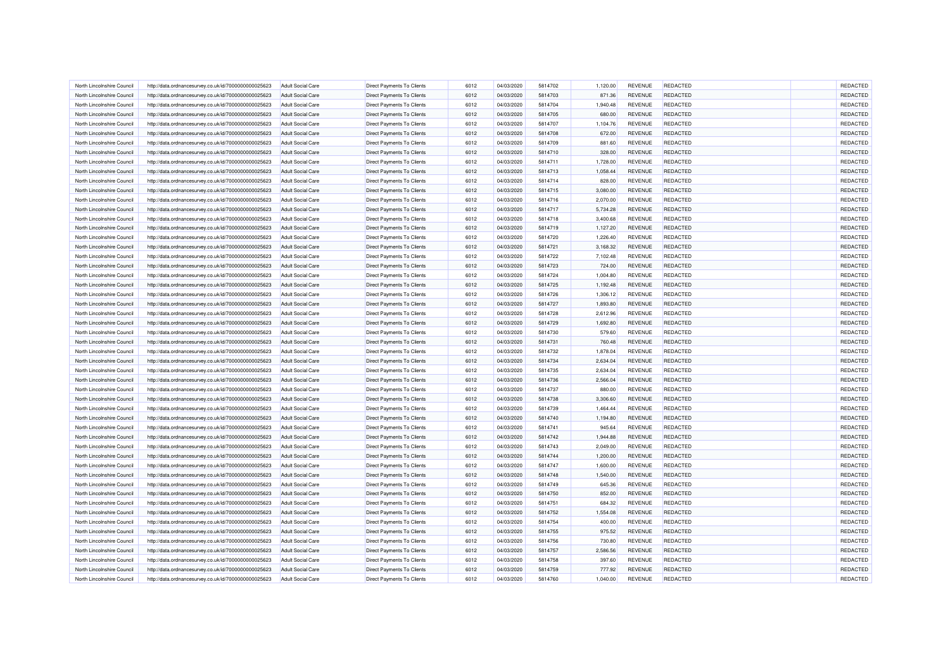| North Lincolnshire Council | http://data.ordnancesurvey.co.uk/id/7000000000025623 | <b>Adult Social Care</b> | Direct Payments To Clients        | 6012 | 04/03/2020 | 5814702 | 1,120.00 | REVENUE        | <b>REDACTED</b> | REDACTED |
|----------------------------|------------------------------------------------------|--------------------------|-----------------------------------|------|------------|---------|----------|----------------|-----------------|----------|
| North Lincolnshire Council | http://data.ordnancesurvey.co.uk/id/7000000000025623 | <b>Adult Social Care</b> | <b>Direct Payments To Clients</b> | 6012 | 04/03/2020 | 5814703 | 871.36   | <b>REVENUE</b> | <b>REDACTED</b> | REDACTED |
| North Lincolnshire Council | http://data.ordnancesurvey.co.uk/id/7000000000025623 | <b>Adult Social Care</b> | Direct Payments To Clients        | 6012 | 04/03/2020 | 5814704 | 1,940.48 | REVENUE        | <b>REDACTED</b> | REDACTED |
| North Lincolnshire Council | http://data.ordnancesurvey.co.uk/id/7000000000025623 | <b>Adult Social Care</b> | <b>Direct Payments To Clients</b> | 6012 | 04/03/2020 | 5814705 | 680.00   | <b>REVENUE</b> | REDACTED        | REDACTED |
| North Lincolnshire Council | http://data.ordnancesurvey.co.uk/id/7000000000025623 | <b>Adult Social Care</b> | Direct Payments To Clients        | 6012 | 04/03/2020 | 5814707 | 1,104.76 | REVENUE        | <b>REDACTED</b> | REDACTED |
| North Lincolnshire Council | http://data.ordnancesurvey.co.uk/id/7000000000025623 | <b>Adult Social Care</b> | Direct Payments To Clients        | 6012 | 04/03/2020 | 5814708 | 672.00   | <b>REVENUE</b> | <b>REDACTED</b> | REDACTED |
| North Lincolnshire Council | http://data.ordnancesurvey.co.uk/id/7000000000025623 | <b>Adult Social Care</b> | Direct Payments To Clients        | 6012 | 04/03/2020 | 5814709 | 881.60   | REVENUE        | REDACTED        | REDACTED |
| North Lincolnshire Council | http://data.ordnancesurvey.co.uk/id/7000000000025623 | <b>Adult Social Care</b> | <b>Direct Payments To Clients</b> | 6012 | 04/03/2020 | 5814710 | 328.00   | REVENUE        | <b>REDACTED</b> | REDACTED |
| North Lincolnshire Council | http://data.ordnancesurvey.co.uk/id/7000000000025623 | Adult Social Care        | <b>Direct Payments To Clients</b> | 6012 | 04/03/2020 | 5814711 | 1,728.00 | <b>REVENUE</b> | REDACTED        | REDACTED |
| North Lincolnshire Council | http://data.ordnancesurvey.co.uk/id/7000000000025623 | <b>Adult Social Care</b> | Direct Payments To Clients        | 6012 | 04/03/2020 | 5814713 | 1,058.44 | REVENUE        | <b>REDACTED</b> | REDACTED |
| North Lincolnshire Council | http://data.ordnancesurvey.co.uk/id/7000000000025623 | <b>Adult Social Care</b> | Direct Payments To Clients        | 6012 | 04/03/2020 | 5814714 | 828.00   | REVENUE        | <b>REDACTED</b> | REDACTED |
| North Lincolnshire Council | http://data.ordnancesurvey.co.uk/id/7000000000025623 | <b>Adult Social Care</b> | <b>Direct Payments To Clients</b> | 6012 | 04/03/2020 | 5814715 | 3,080.00 | REVENUE        | REDACTED        | REDACTED |
| North Lincolnshire Council | http://data.ordnancesurvey.co.uk/id/7000000000025623 | <b>Adult Social Care</b> | Direct Payments To Clients        | 6012 | 04/03/2020 | 5814716 | 2,070.00 | <b>REVENUE</b> | <b>REDACTED</b> | REDACTED |
| North Lincolnshire Council | http://data.ordnancesurvey.co.uk/id/7000000000025623 | <b>Adult Social Care</b> | Direct Payments To Clients        | 6012 | 04/03/2020 | 5814717 | 5,734.28 | REVENUE        | <b>REDACTED</b> | REDACTED |
| North Lincolnshire Council | http://data.ordnancesurvey.co.uk/id/7000000000025623 | <b>Adult Social Care</b> | Direct Payments To Clients        | 6012 | 04/03/2020 | 5814718 | 3,400.68 | REVENUE        | <b>REDACTED</b> | REDACTED |
| North Lincolnshire Council | http://data.ordnancesurvey.co.uk/id/7000000000025623 | <b>Adult Social Care</b> | Direct Payments To Clients        | 6012 | 04/03/2020 | 5814719 | 1,127.20 | REVENUE        | <b>REDACTED</b> | REDACTED |
| North Lincolnshire Council | http://data.ordnancesurvey.co.uk/id/7000000000025623 | <b>Adult Social Care</b> | Direct Payments To Clients        | 6012 | 04/03/2020 | 5814720 | 1,226.40 | <b>REVENUE</b> | REDACTED        | REDACTED |
| North Lincolnshire Council |                                                      | <b>Adult Social Care</b> | <b>Direct Payments To Clients</b> | 6012 | 04/03/2020 | 5814721 | 3,168.32 | <b>REVENUE</b> | <b>REDACTED</b> | REDACTED |
|                            | http://data.ordnancesurvey.co.uk/id/7000000000025623 |                          |                                   |      |            | 5814722 |          |                |                 | REDACTED |
| North Lincolnshire Council | http://data.ordnancesurvey.co.uk/id/7000000000025623 | <b>Adult Social Care</b> | <b>Direct Payments To Clients</b> | 6012 | 04/03/2020 |         | 7,102.48 | REVENUE        | REDACTED        |          |
| North Lincolnshire Council | http://data.ordnancesurvey.co.uk/id/7000000000025623 | <b>Adult Social Care</b> | Direct Payments To Clients        | 6012 | 04/03/2020 | 5814723 | 724.00   | REVENUE        | REDACTED        | REDACTED |
| North Lincolnshire Council | http://data.ordnancesurvey.co.uk/id/7000000000025623 | <b>Adult Social Care</b> | Direct Payments To Clients        | 6012 | 04/03/2020 | 5814724 | 1,004.80 | REVENUE        | <b>REDACTED</b> | REDACTED |
| North Lincolnshire Council | http://data.ordnancesurvey.co.uk/id/7000000000025623 | <b>Adult Social Care</b> | Direct Payments To Clients        | 6012 | 04/03/2020 | 5814725 | 1,192.48 | REVENUE        | <b>REDACTED</b> | REDACTED |
| North Lincolnshire Council | http://data.ordnancesurvey.co.uk/id/7000000000025623 | <b>Adult Social Care</b> | Direct Payments To Clients        | 6012 | 04/03/2020 | 5814726 | 1,306.12 | <b>REVENUE</b> | <b>REDACTED</b> | REDACTED |
| North Lincolnshire Council | http://data.ordnancesurvey.co.uk/id/7000000000025623 | <b>Adult Social Care</b> | Direct Payments To Clients        | 6012 | 04/03/2020 | 5814727 | 1,893.80 | REVENUE        | REDACTED        | REDACTED |
| North Lincolnshire Council | http://data.ordnancesurvey.co.uk/id/7000000000025623 | <b>Adult Social Care</b> | Direct Payments To Clients        | 6012 | 04/03/2020 | 5814728 | 2,612.96 | <b>REVENUE</b> | <b>REDACTED</b> | REDACTED |
| North Lincolnshire Council | http://data.ordnancesurvey.co.uk/id/7000000000025623 | <b>Adult Social Care</b> | Direct Payments To Clients        | 6012 | 04/03/2020 | 5814729 | 1,692.80 | REVENUE        | <b>REDACTED</b> | REDACTED |
| North Lincolnshire Council | http://data.ordnancesurvey.co.uk/id/7000000000025623 | <b>Adult Social Care</b> | Direct Payments To Clients        | 6012 | 04/03/2020 | 5814730 | 579.60   | <b>REVENUE</b> | <b>REDACTED</b> | REDACTED |
| North Lincolnshire Council | http://data.ordnancesurvey.co.uk/id/7000000000025623 | <b>Adult Social Care</b> | <b>Direct Payments To Clients</b> | 6012 | 04/03/2020 | 5814731 | 760.48   | REVENUE        | REDACTED        | REDACTED |
| North Lincolnshire Council | http://data.ordnancesurvey.co.uk/id/7000000000025623 | <b>Adult Social Care</b> | Direct Payments To Clients        | 6012 | 04/03/2020 | 5814732 | 1,878.04 | <b>REVENUE</b> | REDACTED        | REDACTED |
| North Lincolnshire Council | http://data.ordnancesurvey.co.uk/id/7000000000025623 | <b>Adult Social Care</b> | Direct Payments To Clients        | 6012 | 04/03/2020 | 5814734 | 2,634.04 | REVENUE        | <b>REDACTED</b> | REDACTED |
| North Lincolnshire Council | http://data.ordnancesurvey.co.uk/id/7000000000025623 | <b>Adult Social Care</b> | <b>Direct Payments To Clients</b> | 6012 | 04/03/2020 | 5814735 | 2,634.04 | <b>REVENUE</b> | REDACTED        | REDACTED |
| North Lincolnshire Council | http://data.ordnancesurvey.co.uk/id/7000000000025623 | <b>Adult Social Care</b> | <b>Direct Payments To Clients</b> | 6012 | 04/03/2020 | 5814736 | 2,566.04 | REVENUE        | <b>REDACTED</b> | REDACTED |
| North Lincolnshire Council | http://data.ordnancesurvey.co.uk/id/7000000000025623 | <b>Adult Social Care</b> | Direct Payments To Clients        | 6012 | 04/03/2020 | 5814737 | 880.00   | <b>REVENUE</b> | REDACTED        | REDACTED |
| North Lincolnshire Council | http://data.ordnancesurvey.co.uk/id/7000000000025623 | <b>Adult Social Care</b> | Direct Payments To Clients        | 6012 | 04/03/2020 | 5814738 | 3,306.60 | REVENUE        | <b>REDACTED</b> | REDACTED |
| North Lincolnshire Council | http://data.ordnancesurvey.co.uk/id/7000000000025623 | <b>Adult Social Care</b> | Direct Payments To Clients        | 6012 | 04/03/2020 | 5814739 | 1,464.44 | REVENUE        | <b>REDACTED</b> | REDACTED |
| North Lincolnshire Council | http://data.ordnancesurvey.co.uk/id/7000000000025623 | Adult Social Care        | <b>Direct Payments To Clients</b> | 6012 | 04/03/2020 | 5814740 | 1,194.80 | <b>REVENUE</b> | REDACTED        | REDACTED |
| North Lincolnshire Council | http://data.ordnancesurvey.co.uk/id/7000000000025623 | <b>Adult Social Care</b> | Direct Payments To Clients        | 6012 | 04/03/2020 | 5814741 | 945.64   | <b>REVENUE</b> | <b>REDACTED</b> | REDACTED |
| North Lincolnshire Council | http://data.ordnancesurvey.co.uk/id/7000000000025623 | <b>Adult Social Care</b> | Direct Payments To Clients        | 6012 | 04/03/2020 | 5814742 | 1.944.88 | REVENUE        | <b>REDACTED</b> | REDACTED |
| North Lincolnshire Council | http://data.ordnancesurvey.co.uk/id/7000000000025623 | <b>Adult Social Care</b> | Direct Payments To Clients        | 6012 | 04/03/2020 | 5814743 | 2,049.00 | REVENUE        | REDACTED        | REDACTED |
| North Lincolnshire Council | http://data.ordnancesurvey.co.uk/id/7000000000025623 | <b>Adult Social Care</b> | <b>Direct Payments To Clients</b> | 6012 | 04/03/2020 | 5814744 | 1,200.00 | REVENUE        | <b>REDACTED</b> | REDACTED |
| North Lincolnshire Council | http://data.ordnancesurvey.co.uk/id/7000000000025623 | <b>Adult Social Care</b> | Direct Payments To Clients        | 6012 | 04/03/2020 | 5814747 | 1,600.00 | REVENUE        | REDACTED        | REDACTED |
| North Lincolnshire Council | http://data.ordnancesurvey.co.uk/id/7000000000025623 | <b>Adult Social Care</b> | Direct Payments To Clients        | 6012 | 04/03/2020 | 5814748 | 1,540.00 | REVENUE        | <b>REDACTED</b> | REDACTED |
| North Lincolnshire Council | http://data.ordnancesurvey.co.uk/id/7000000000025623 | <b>Adult Social Care</b> | Direct Payments To Clients        | 6012 | 04/03/2020 | 5814749 | 645.36   | REVENUE        | <b>REDACTED</b> | REDACTED |
| North Lincolnshire Council | http://data.ordnancesurvey.co.uk/id/7000000000025623 | <b>Adult Social Care</b> | Direct Payments To Clients        | 6012 | 04/03/2020 | 5814750 | 852.00   | <b>REVENUE</b> | <b>REDACTED</b> | REDACTED |
| North Lincolnshire Council | http://data.ordnancesurvey.co.uk/id/7000000000025623 | <b>Adult Social Care</b> | <b>Direct Payments To Clients</b> | 6012 | 04/03/2020 | 5814751 | 684.32   | REVENUE        | <b>REDACTED</b> | REDACTED |
| North Lincolnshire Council | http://data.ordnancesurvey.co.uk/id/7000000000025623 | <b>Adult Social Care</b> | Direct Payments To Clients        | 6012 | 04/03/2020 | 5814752 | 1,554.08 | REVENUE        | REDACTED        | REDACTED |
| North Lincolnshire Council | http://data.ordnancesurvey.co.uk/id/7000000000025623 | <b>Adult Social Care</b> | Direct Payments To Clients        | 6012 | 04/03/2020 | 5814754 | 400.00   | REVENUE        | REDACTED        | REDACTED |
| North Lincolnshire Council | http://data.ordnancesurvey.co.uk/id/7000000000025623 | <b>Adult Social Care</b> | Direct Payments To Clients        | 6012 | 04/03/2020 | 5814755 | 975.52   | REVENUE        | <b>REDACTED</b> | REDACTED |
| North Lincolnshire Council | http://data.ordnancesurvey.co.uk/id/7000000000025623 | <b>Adult Social Care</b> | Direct Payments To Clients        | 6012 | 04/03/2020 | 5814756 | 730.80   | REVENUE        | <b>REDACTED</b> | REDACTED |
| North Lincolnshire Council | http://data.ordnancesurvey.co.uk/id/7000000000025623 | <b>Adult Social Care</b> | Direct Payments To Clients        | 6012 | 04/03/2020 | 5814757 | 2,586.56 | <b>REVENUE</b> | <b>REDACTED</b> | REDACTED |
| North Lincolnshire Council | http://data.ordnancesurvey.co.uk/id/7000000000025623 | <b>Adult Social Care</b> | Direct Payments To Clients        | 6012 | 04/03/2020 | 5814758 | 397.60   | REVENUE        | REDACTED        | REDACTED |
| North Lincolnshire Council | http://data.ordnancesurvey.co.uk/id/7000000000025623 | <b>Adult Social Care</b> | Direct Payments To Clients        | 6012 | 04/03/2020 | 5814759 | 777.92   | <b>REVENUE</b> | <b>REDACTED</b> | REDACTED |
| North Lincolnshire Council | http://data.ordnancesurvey.co.uk/id/7000000000025623 | <b>Adult Social Care</b> | Direct Payments To Clients        | 6012 | 04/03/2020 | 5814760 | 1,040.00 | <b>REVENUE</b> | <b>REDACTED</b> | REDACTED |
|                            |                                                      |                          |                                   |      |            |         |          |                |                 |          |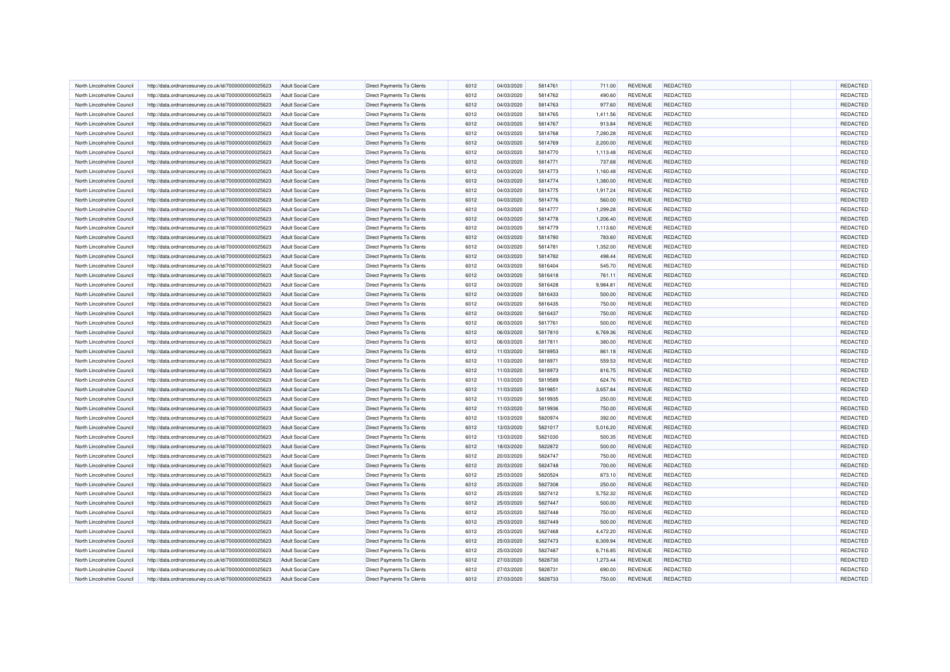| North Lincolnshire Council | http://data.ordnancesurvey.co.uk/id/7000000000025623 | <b>Adult Social Care</b> | <b>Direct Payments To Clients</b> | 6012 | 04/03/2020 | 5814761 | 711.00   | REVENUE        | <b>REDACTED</b> | REDACTED |
|----------------------------|------------------------------------------------------|--------------------------|-----------------------------------|------|------------|---------|----------|----------------|-----------------|----------|
| North Lincolnshire Council | http://data.ordnancesurvey.co.uk/id/7000000000025623 | <b>Adult Social Care</b> | Direct Payments To Clients        | 6012 | 04/03/2020 | 5814762 | 490.60   | REVENUE        | <b>REDACTED</b> | REDACTED |
| North Lincolnshire Council | http://data.ordnancesurvey.co.uk/id/7000000000025623 | <b>Adult Social Care</b> | Direct Payments To Clients        | 6012 | 04/03/2020 | 5814763 | 977.60   | REVENUE        | <b>REDACTED</b> | REDACTED |
| North Lincolnshire Council | http://data.ordnancesurvey.co.uk/id/7000000000025623 | <b>Adult Social Care</b> | Direct Payments To Clients        | 6012 | 04/03/2020 | 5814765 | 1,411.56 | <b>REVENUE</b> | REDACTED        | REDACTED |
| North Lincolnshire Council | http://data.ordnancesurvey.co.uk/id/7000000000025623 | <b>Adult Social Care</b> | <b>Direct Payments To Clients</b> | 6012 | 04/03/2020 | 5814767 | 913.84   | REVENUE        | <b>REDACTED</b> | REDACTED |
| North Lincolnshire Council | http://data.ordnancesurvey.co.uk/id/7000000000025623 | <b>Adult Social Care</b> | Direct Payments To Clients        | 6012 | 04/03/2020 | 5814768 | 7,280.28 | <b>REVENUE</b> | REDACTED        | REDACTED |
| North Lincolnshire Council | http://data.ordnancesurvey.co.uk/id/7000000000025623 | <b>Adult Social Care</b> | Direct Payments To Clients        | 6012 | 04/03/2020 | 5814769 | 2,200.00 | REVENUE        | <b>REDACTED</b> | REDACTED |
| North Lincolnshire Council | http://data.ordnancesurvey.co.uk/id/7000000000025623 | <b>Adult Social Care</b> | Direct Payments To Clients        | 6012 | 04/03/2020 | 5814770 | 1,113.48 | REVENUE        | <b>REDACTED</b> | REDACTED |
| North Lincolnshire Council | http://data.ordnancesurvey.co.uk/id/7000000000025623 | Adult Social Care        | <b>Direct Payments To Clients</b> | 6012 | 04/03/2020 | 5814771 | 737.68   | <b>REVENUE</b> | <b>REDACTED</b> | REDACTED |
| North Lincolnshire Council | http://data.ordnancesurvey.co.uk/id/7000000000025623 | <b>Adult Social Care</b> | Direct Payments To Clients        | 6012 | 04/03/2020 | 5814773 | 1,160.48 | <b>REVENUE</b> | <b>REDACTED</b> | REDACTED |
| North Lincolnshire Council | http://data.ordnancesurvey.co.uk/id/7000000000025623 | <b>Adult Social Care</b> | Direct Payments To Clients        | 6012 | 04/03/2020 | 5814774 | 1,380.00 | REVENUE        | <b>REDACTED</b> | REDACTED |
| North Lincolnshire Council | http://data.ordnancesurvey.co.uk/id/7000000000025623 | <b>Adult Social Care</b> | <b>Direct Payments To Clients</b> | 6012 | 04/03/2020 | 5814775 | 1,917.24 | REVENUE        | REDACTED        | REDACTED |
| North Lincolnshire Council | http://data.ordnancesurvey.co.uk/id/7000000000025623 | <b>Adult Social Care</b> | <b>Direct Payments To Clients</b> | 6012 | 04/03/2020 | 5814776 | 560.00   | REVENUE        | <b>REDACTED</b> | REDACTED |
| North Lincolnshire Council | http://data.ordnancesurvey.co.uk/id/7000000000025623 | <b>Adult Social Care</b> | Direct Payments To Clients        | 6012 | 04/03/2020 | 5814777 | 1,299.28 | REVENUE        | REDACTED        | REDACTED |
| North Lincolnshire Council | http://data.ordnancesurvey.co.uk/id/7000000000025623 | <b>Adult Social Care</b> | Direct Payments To Clients        | 6012 | 04/03/2020 | 5814778 | 1,206.40 | REVENUE        | <b>REDACTED</b> | REDACTED |
| North Lincolnshire Council | http://data.ordnancesurvey.co.uk/id/7000000000025623 | <b>Adult Social Care</b> | Direct Payments To Clients        | 6012 | 04/03/2020 | 5814779 | 1,113.60 | REVENUE        | <b>REDACTED</b> | REDACTED |
| North Lincolnshire Council | http://data.ordnancesurvey.co.uk/id/7000000000025623 | <b>Adult Social Care</b> | Direct Payments To Clients        | 6012 | 04/03/2020 | 5814780 | 783.60   | <b>REVENUE</b> | <b>REDACTED</b> | REDACTED |
| North Lincolnshire Council | http://data.ordnancesurvey.co.uk/id/7000000000025623 | <b>Adult Social Care</b> | <b>Direct Payments To Clients</b> | 6012 | 04/03/2020 | 5814781 | 1,352.00 | <b>REVENUE</b> | <b>REDACTED</b> | REDACTED |
| North Lincolnshire Council | http://data.ordnancesurvey.co.uk/id/7000000000025623 | <b>Adult Social Care</b> | <b>Direct Payments To Clients</b> | 6012 | 04/03/2020 | 5814782 | 498.44   | REVENUE        | REDACTED        | REDACTED |
| North Lincolnshire Council | http://data.ordnancesurvey.co.uk/id/7000000000025623 | <b>Adult Social Care</b> | <b>Direct Payments To Clients</b> | 6012 | 04/03/2020 | 5816404 | 545.70   | REVENUE        | REDACTED        | REDACTED |
| North Lincolnshire Council |                                                      | <b>Adult Social Care</b> | Direct Payments To Clients        | 6012 | 04/03/2020 | 5816418 | 761.11   | REVENUE        | <b>REDACTED</b> | REDACTED |
| North Lincolnshire Council | http://data.ordnancesurvey.co.uk/id/7000000000025623 | <b>Adult Social Care</b> |                                   | 6012 | 04/03/2020 | 5816428 | 9.984.81 | REVENUE        | <b>REDACTED</b> | REDACTED |
|                            | http://data.ordnancesurvey.co.uk/id/7000000000025623 |                          | Direct Payments To Clients        |      |            |         |          |                |                 | REDACTED |
| North Lincolnshire Council | http://data.ordnancesurvey.co.uk/id/7000000000025623 | <b>Adult Social Care</b> | Direct Payments To Clients        | 6012 | 04/03/2020 | 5816433 | 500.00   | <b>REVENUE</b> | <b>REDACTED</b> |          |
| North Lincolnshire Council | http://data.ordnancesurvey.co.uk/id/7000000000025623 | <b>Adult Social Care</b> | Direct Payments To Clients        | 6012 | 04/03/2020 | 5816435 | 750.00   | REVENUE        | REDACTED        | REDACTED |
| North Lincolnshire Council | http://data.ordnancesurvey.co.uk/id/7000000000025623 | <b>Adult Social Care</b> | Direct Payments To Clients        | 6012 | 04/03/2020 | 5816437 | 750.00   | <b>REVENUE</b> | <b>REDACTED</b> | REDACTED |
| North Lincolnshire Council | http://data.ordnancesurvey.co.uk/id/7000000000025623 | <b>Adult Social Care</b> | Direct Payments To Clients        | 6012 | 06/03/2020 | 5817761 | 500.00   | REVENUE        | REDACTED        | REDACTED |
| North Lincolnshire Council | http://data.ordnancesurvey.co.uk/id/7000000000025623 | <b>Adult Social Care</b> | <b>Direct Payments To Clients</b> | 6012 | 06/03/2020 | 5817810 | 6,769.36 | <b>REVENUE</b> | <b>REDACTED</b> | REDACTED |
| North Lincolnshire Council | http://data.ordnancesurvey.co.uk/id/7000000000025623 | <b>Adult Social Care</b> | <b>Direct Payments To Clients</b> | 6012 | 06/03/2020 | 5817811 | 380.00   | REVENUE        | REDACTED        | REDACTED |
| North Lincolnshire Council | http://data.ordnancesurvey.co.uk/id/7000000000025623 | <b>Adult Social Care</b> | Direct Payments To Clients        | 6012 | 11/03/2020 | 5818953 | 861.18   | <b>REVENUE</b> | <b>REDACTED</b> | REDACTED |
| North Lincolnshire Council | http://data.ordnancesurvey.co.uk/id/7000000000025623 | <b>Adult Social Care</b> | Direct Payments To Clients        | 6012 | 11/03/2020 | 5818971 | 559.53   | REVENUE        | <b>REDACTED</b> | REDACTED |
| North Lincolnshire Council | http://data.ordnancesurvey.co.uk/id/7000000000025623 | <b>Adult Social Care</b> | <b>Direct Payments To Clients</b> | 6012 | 11/03/2020 | 5818973 | 816.75   | <b>REVENUE</b> | REDACTED        | REDACTED |
| North Lincolnshire Council | http://data.ordnancesurvey.co.uk/id/7000000000025623 | <b>Adult Social Care</b> | Direct Payments To Clients        | 6012 | 11/03/2020 | 5819589 | 624.76   | REVENUE        | <b>REDACTED</b> | REDACTED |
| North Lincolnshire Council | http://data.ordnancesurvey.co.uk/id/7000000000025623 | <b>Adult Social Care</b> | Direct Payments To Clients        | 6012 | 11/03/2020 | 5819851 | 3,657.84 | <b>REVENUE</b> | <b>REDACTED</b> | REDACTED |
| North Lincolnshire Council | http://data.ordnancesurvey.co.uk/id/7000000000025623 | <b>Adult Social Care</b> | Direct Payments To Clients        | 6012 | 11/03/2020 | 5819935 | 250.00   | REVENUE        | REDACTED        | REDACTED |
| North Lincolnshire Council | http://data.ordnancesurvey.co.uk/id/7000000000025623 | <b>Adult Social Care</b> | Direct Payments To Clients        | 6012 | 11/03/2020 | 5819936 | 750.00   | <b>REVENUE</b> | <b>REDACTED</b> | REDACTED |
| North Lincolnshire Council | http://data.ordnancesurvey.co.uk/id/7000000000025623 | Adult Social Care        | <b>Direct Payments To Clients</b> | 6012 | 13/03/2020 | 5820974 | 392.00   | <b>REVENUE</b> | <b>REDACTED</b> | REDACTED |
| North Lincolnshire Council | http://data.ordnancesurvey.co.uk/id/7000000000025623 | <b>Adult Social Care</b> | Direct Payments To Clients        | 6012 | 13/03/2020 | 5821017 | 5,016.20 | REVENUE        | <b>REDACTED</b> | REDACTED |
| North Lincolnshire Council | http://data.ordnancesurvey.co.uk/id/7000000000025623 | <b>Adult Social Care</b> | Direct Payments To Clients        | 6012 | 13/03/2020 | 5821030 | 500.35   | REVENUE        | <b>REDACTED</b> | REDACTED |
| North Lincolnshire Council | http://data.ordnancesurvey.co.uk/id/7000000000025623 | <b>Adult Social Care</b> | <b>Direct Payments To Clients</b> | 6012 | 18/03/2020 | 5822872 | 500.00   | REVENUE        | REDACTED        | REDACTED |
| North Lincolnshire Council | http://data.ordnancesurvey.co.uk/id/7000000000025623 | <b>Adult Social Care</b> | Direct Payments To Clients        | 6012 | 20/03/2020 | 5824747 | 750.00   | <b>REVENUE</b> | <b>REDACTED</b> | REDACTED |
| North Lincolnshire Council | http://data.ordnancesurvey.co.uk/id/7000000000025623 | <b>Adult Social Care</b> | Direct Payments To Clients        | 6012 | 20/03/2020 | 5824748 | 700.00   | REVENUE        | <b>REDACTED</b> | REDACTED |
| North Lincolnshire Council | http://data.ordnancesurvey.co.uk/id/7000000000025623 | <b>Adult Social Care</b> | Direct Payments To Clients        | 6012 | 25/03/2020 | 5820524 | 873.10   | REVENUE        | <b>REDACTED</b> | REDACTED |
| North Lincolnshire Council | http://data.ordnancesurvey.co.uk/id/7000000000025623 | <b>Adult Social Care</b> | Direct Payments To Clients        | 6012 | 25/03/2020 | 5827308 | 250.00   | REVENUE        | <b>REDACTED</b> | REDACTED |
| North Lincolnshire Council | http://data.ordnancesurvey.co.uk/id/7000000000025623 | <b>Adult Social Care</b> | Direct Payments To Clients        | 6012 | 25/03/2020 | 5827412 | 5,752.32 | <b>REVENUE</b> | REDACTED        | REDACTED |
| North Lincolnshire Council | http://data.ordnancesurvey.co.uk/id/7000000000025623 | <b>Adult Social Care</b> | <b>Direct Payments To Clients</b> | 6012 | 25/03/2020 | 5827447 | 500.00   | REVENUE        | <b>REDACTED</b> | REDACTED |
| North Lincolnshire Council | http://data.ordnancesurvey.co.uk/id/7000000000025623 | <b>Adult Social Care</b> | Direct Payments To Clients        | 6012 | 25/03/2020 | 5827448 | 750.00   | REVENUE        | REDACTED        | REDACTED |
| North Lincolnshire Council | http://data.ordnancesurvey.co.uk/id/7000000000025623 | <b>Adult Social Care</b> | Direct Payments To Clients        | 6012 | 25/03/2020 | 5827449 | 500.00   | REVENUE        | REDACTED        | REDACTED |
| North Lincolnshire Council | http://data.ordnancesurvey.co.uk/id/7000000000025623 | <b>Adult Social Care</b> | Direct Payments To Clients        | 6012 | 25/03/2020 | 5827468 | 4,472.20 | REVENUE        | <b>REDACTED</b> | REDACTED |
| North Lincolnshire Council | http://data.ordnancesurvey.co.uk/id/7000000000025623 | <b>Adult Social Care</b> | <b>Direct Payments To Clients</b> | 6012 | 25/03/2020 | 5827473 | 6,309.94 | REVENUE        | <b>REDACTED</b> | REDACTED |
| North Lincolnshire Council | http://data.ordnancesurvey.co.uk/id/7000000000025623 | <b>Adult Social Care</b> | Direct Payments To Clients        | 6012 | 25/03/2020 | 5827487 | 6,716.85 | <b>REVENUE</b> | <b>REDACTED</b> | REDACTED |
| North Lincolnshire Council | http://data.ordnancesurvey.co.uk/id/7000000000025623 | <b>Adult Social Care</b> | Direct Payments To Clients        | 6012 | 27/03/2020 | 5828730 | 1,273.44 | REVENUE        | REDACTED        | REDACTED |
| North Lincolnshire Council | http://data.ordnancesurvey.co.uk/id/7000000000025623 | <b>Adult Social Care</b> | Direct Payments To Clients        | 6012 | 27/03/2020 | 5828731 | 690.00   | <b>REVENUE</b> | <b>REDACTED</b> | REDACTED |
| North Lincolnshire Council | http://data.ordnancesurvey.co.uk/id/7000000000025623 | <b>Adult Social Care</b> | Direct Payments To Clients        | 6012 | 27/03/2020 | 5828733 | 750.00   | REVENUE        | <b>REDACTED</b> | REDACTED |
|                            |                                                      |                          |                                   |      |            |         |          |                |                 |          |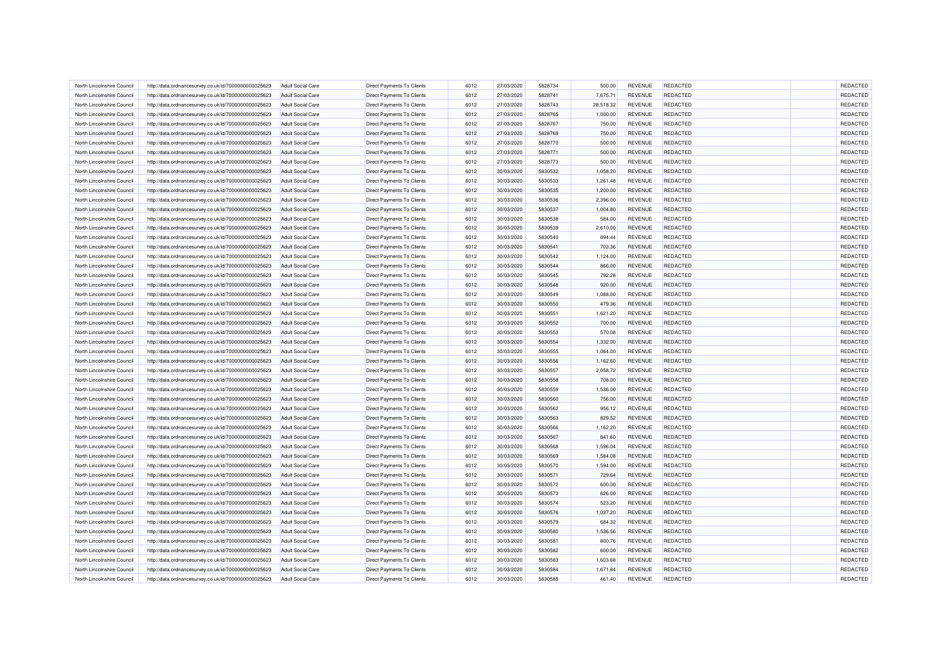| North Lincolnshire Council                               | http://data.ordnancesurvey.co.uk/id/7000000000025623 | <b>Adult Social Care</b> | Direct Payments To Clients        | 6012         | 27/03/2020 | 5828734            | 500.00    | <b>REVENUE</b> | <b>REDACTED</b> | REDACTED |
|----------------------------------------------------------|------------------------------------------------------|--------------------------|-----------------------------------|--------------|------------|--------------------|-----------|----------------|-----------------|----------|
| North Lincolnshire Council                               | http://data.ordnancesurvey.co.uk/id/7000000000025623 | <b>Adult Social Care</b> | <b>Direct Payments To Clients</b> | 6012         | 27/03/2020 | 5828741            | 7,675.71  | REVENUE        | REDACTED        | REDACTED |
| North Lincolnshire Council                               | http://data.ordnancesurvey.co.uk/id/7000000000025623 | <b>Adult Social Care</b> | Direct Payments To Clients        | 6012         | 27/03/2020 | 5828743            | 28,518.32 | <b>REVENUE</b> | <b>REDACTED</b> | REDACTED |
| North Lincolnshire Council                               | http://data.ordnancesurvey.co.uk/id/7000000000025623 | <b>Adult Social Care</b> | <b>Direct Payments To Clients</b> | 6012         | 27/03/2020 | 5828765            | 1,000.00  | REVENUE        | REDACTED        | REDACTED |
| North Lincolnshire Council                               | http://data.ordnancesurvey.co.uk/id/7000000000025623 | <b>Adult Social Care</b> | Direct Payments To Clients        | 6012         | 27/03/2020 | 5828767            | 750.00    | <b>REVENUE</b> | <b>REDACTED</b> | REDACTED |
| North Lincolnshire Council                               | http://data.ordnancesurvey.co.uk/id/7000000000025623 | <b>Adult Social Care</b> | Direct Payments To Clients        | 6012         | 27/03/2020 | 5828769            | 750.00    | REVENUE        | <b>REDACTED</b> | REDACTED |
| North Lincolnshire Council                               | http://data.ordnancesurvey.co.uk/id/7000000000025623 | <b>Adult Social Care</b> | Direct Payments To Clients        | 6012         | 27/03/2020 | 5828770            | 500.00    | <b>REVENUE</b> | REDACTED        | REDACTED |
| North Lincolnshire Council                               | http://data.ordnancesurvey.co.uk/id/7000000000025623 | <b>Adult Social Care</b> | <b>Direct Payments To Clients</b> | 6012         | 27/03/2020 | 5828771            | 500.00    | REVENUE        | <b>REDACTED</b> | REDACTED |
| North Lincolnshire Council                               | http://data.ordnancesurvey.co.uk/id/7000000000025623 | <b>Adult Social Care</b> | Direct Payments To Clients        | 6012         | 27/03/2020 | 5828773            | 500.00    | REVENUE        | REDACTED        | REDACTED |
| North Lincolnshire Council                               | http://data.ordnancesurvey.co.uk/id/7000000000025623 | <b>Adult Social Care</b> | Direct Payments To Clients        | 6012         | 30/03/2020 | 5830532            | 1,058.20  | REVENUE        | <b>REDACTED</b> | REDACTED |
| North Lincolnshire Council                               | http://data.ordnancesurvey.co.uk/id/7000000000025623 | <b>Adult Social Care</b> | Direct Payments To Clients        | 6012         | 30/03/2020 | 5830533            | 1,261.48  | <b>REVENUE</b> | <b>REDACTED</b> | REDACTED |
| North Lincolnshire Council                               | http://data.ordnancesurvey.co.uk/id/7000000000025623 | Adult Social Care        | <b>Direct Payments To Clients</b> | 6012         | 30/03/2020 | 5830535            | 1,200.00  | <b>REVENUE</b> | <b>REDACTED</b> | REDACTED |
| North Lincolnshire Council                               | http://data.ordnancesurvey.co.uk/id/7000000000025623 | <b>Adult Social Care</b> | Direct Payments To Clients        | 6012         | 30/03/2020 | 5830536            | 2,396.00  | <b>REVENUE</b> | <b>REDACTED</b> | REDACTED |
| North Lincolnshire Council                               | http://data.ordnancesurvey.co.uk/id/7000000000025623 | <b>Adult Social Care</b> | <b>Direct Payments To Clients</b> | 6012         | 30/03/2020 | 5830537            | 1,004.80  | REVENUE        | REDACTED        | REDACTED |
| North Lincolnshire Council                               | http://data.ordnancesurvey.co.uk/id/7000000000025623 | <b>Adult Social Care</b> | <b>Direct Payments To Clients</b> | 6012         | 30/03/2020 | 5830538            | 584.00    | REVENUE        | <b>REDACTED</b> | REDACTED |
| North Lincolnshire Council                               | http://data.ordnancesurvey.co.uk/id/7000000000025623 | <b>Adult Social Care</b> | Direct Payments To Clients        | 6012         | 30/03/2020 | 5830539            | 2,610.00  | <b>REVENUE</b> | <b>REDACTED</b> | REDACTED |
| North Lincolnshire Council                               | http://data.ordnancesurvey.co.uk/id/7000000000025623 | <b>Adult Social Care</b> | Direct Payments To Clients        | 6012         | 30/03/2020 | 5830540            | 894.44    | REVENUE        | <b>REDACTED</b> | REDACTED |
| North Lincolnshire Council                               | http://data.ordnancesurvey.co.uk/id/7000000000025623 | <b>Adult Social Care</b> | Direct Payments To Clients        | 6012         | 30/03/2020 | 5830541            | 703.36    | REVENUE        | <b>REDACTED</b> | REDACTED |
| North Lincolnshire Council                               | http://data.ordnancesurvey.co.uk/id/7000000000025623 | <b>Adult Social Care</b> | Direct Payments To Clients        | 6012         | 30/03/2020 | 5830542            | 1,124.00  | REVENUE        | <b>REDACTED</b> | REDACTED |
| North Lincolnshire Council                               | http://data.ordnancesurvey.co.uk/id/7000000000025623 | <b>Adult Social Care</b> | Direct Payments To Clients        | 6012         | 30/03/2020 | 5830544            | 866.00    | <b>REVENUE</b> | <b>REDACTED</b> | REDACTED |
| North Lincolnshire Council                               | http://data.ordnancesurvey.co.uk/id/7000000000025623 | <b>Adult Social Care</b> | Direct Payments To Clients        | 6012         | 30/03/2020 | 5830545            | 792.28    | <b>REVENUE</b> | <b>REDACTED</b> | REDACTED |
| North Lincolnshire Council                               | http://data.ordnancesurvey.co.uk/id/7000000000025623 | <b>Adult Social Care</b> | Direct Payments To Clients        | 6012         | 30/03/2020 | 5830548            | 920.00    | REVENUE        | <b>REDACTED</b> | REDACTED |
| North Lincolnshire Council                               | http://data.ordnancesurvey.co.uk/id/7000000000025623 | <b>Adult Social Care</b> | <b>Direct Payments To Clients</b> | 6012         | 30/03/2020 | 5830549            | 1,088.00  | REVENUE        | REDACTED        | REDACTED |
| North Lincolnshire Council                               | http://data.ordnancesurvey.co.uk/id/7000000000025623 | <b>Adult Social Care</b> | <b>Direct Payments To Clients</b> | 6012         | 30/03/2020 | 5830550            | 479.36    | <b>REVENUE</b> | <b>REDACTED</b> | REDACTED |
| North Lincolnshire Council                               | http://data.ordnancesurvey.co.uk/id/7000000000025623 | <b>Adult Social Care</b> | Direct Payments To Clients        | 6012         | 30/03/2020 | 5830551            | 1,621.20  | REVENUE        | <b>REDACTED</b> | REDACTED |
| North Lincolnshire Council                               | http://data.ordnancesurvey.co.uk/id/7000000000025623 | <b>Adult Social Care</b> | <b>Direct Payments To Clients</b> | 6012         | 30/03/2020 | 5830552            | 700.00    | <b>REVENUE</b> | REDACTED        | REDACTED |
| North Lincolnshire Council                               | http://data.ordnancesurvey.co.uk/id/7000000000025623 | <b>Adult Social Care</b> | Direct Payments To Clients        | 6012         | 30/03/2020 | 5830553            | 570.08    | REVENUE        | <b>REDACTED</b> | REDACTED |
| North Lincolnshire Council                               | http://data.ordnancesurvey.co.uk/id/7000000000025623 | <b>Adult Social Care</b> | Direct Payments To Clients        | 6012         | 30/03/2020 | 5830554            | 1,332.00  | <b>REVENUE</b> | <b>REDACTED</b> | REDACTED |
| North Lincolnshire Council                               | http://data.ordnancesurvey.co.uk/id/7000000000025623 | <b>Adult Social Care</b> | Direct Payments To Clients        | 6012         | 30/03/2020 | 5830555            | 1,064.00  | REVENUE        | REDACTED        | REDACTED |
| North Lincolnshire Council                               | http://data.ordnancesurvey.co.uk/id/7000000000025623 | <b>Adult Social Care</b> | Direct Payments To Clients        | 6012         | 30/03/2020 | 5830556            | 1,162.60  | <b>REVENUE</b> | <b>REDACTED</b> | REDACTED |
| North Lincolnshire Council                               | http://data.ordnancesurvey.co.uk/id/7000000000025623 | <b>Adult Social Care</b> | Direct Payments To Clients        | 6012         | 30/03/2020 | 5830557            | 2,058.72  | <b>REVENUE</b> | REDACTED        | REDACTED |
| North Lincolnshire Council                               | http://data.ordnancesurvey.co.uk/id/7000000000025623 | <b>Adult Social Care</b> | <b>Direct Payments To Clients</b> | 6012         | 30/03/2020 | 5830558            | 708.00    | <b>REVENUE</b> | <b>REDACTED</b> | REDACTED |
| North Lincolnshire Council                               | http://data.ordnancesurvey.co.uk/id/7000000000025623 | Adult Social Care        | <b>Direct Payments To Clients</b> | 6012         | 30/03/2020 | 5830559            | 1.536.00  | <b>REVENUE</b> | <b>REDACTED</b> | REDACTED |
|                                                          |                                                      |                          | <b>Direct Payments To Clients</b> | 6012         | 30/03/2020 | 5830560            |           | REVENUE        | REDACTED        | REDACTED |
| North Lincolnshire Council                               | http://data.ordnancesurvey.co.uk/id/7000000000025623 | <b>Adult Social Care</b> |                                   | 6012         |            | 5830562            | 756.00    | <b>REVENUE</b> | <b>REDACTED</b> | REDACTED |
| North Lincolnshire Council                               | http://data.ordnancesurvey.co.uk/id/7000000000025623 | <b>Adult Social Care</b> | Direct Payments To Clients        |              | 30/03/2020 |                    | 956.12    |                |                 |          |
| North Lincolnshire Council                               | http://data.ordnancesurvey.co.uk/id/7000000000025623 | <b>Adult Social Care</b> | <b>Direct Payments To Clients</b> | 6012         | 30/03/2020 | 5830563            | 829.52    | REVENUE        | REDACTED        | REDACTED |
| North Lincolnshire Council<br>North Lincolnshire Council | http://data.ordnancesurvey.co.uk/id/7000000000025623 | <b>Adult Social Care</b> | Direct Payments To Clients        | 6012<br>6012 | 30/03/2020 | 5830566<br>5830567 | 1,162.20  | <b>REVENUE</b> | <b>REDACTED</b> | REDACTED |
|                                                          | http://data.ordnancesurvey.co.uk/id/7000000000025623 | <b>Adult Social Care</b> | Direct Payments To Clients        |              | 30/03/2020 |                    | 841.60    | REVENUE        | <b>REDACTED</b> | REDACTED |
| North Lincolnshire Council                               | http://data.ordnancesurvey.co.uk/id/7000000000025623 | <b>Adult Social Care</b> | Direct Payments To Clients        | 6012         | 30/03/2020 | 5830568            | 1,596.04  | <b>REVENUE</b> | REDACTED        | REDACTED |
| North Lincolnshire Council                               | http://data.ordnancesurvey.co.uk/id/7000000000025623 | <b>Adult Social Care</b> | <b>Direct Payments To Clients</b> | 6012         | 30/03/2020 | 5830569            | 1,584.08  | REVENUE        | <b>REDACTED</b> | REDACTED |
| North Lincolnshire Council                               | http://data.ordnancesurvey.co.uk/id/7000000000025623 | <b>Adult Social Care</b> | Direct Payments To Clients        | 6012         | 30/03/2020 | 5830570            | 1,594.00  | REVENUE        | REDACTED        | REDACTED |
| North Lincolnshire Council                               | http://data.ordnancesurvey.co.uk/id/7000000000025623 | <b>Adult Social Care</b> | Direct Payments To Clients        | 6012         | 30/03/2020 | 5830571            | 729.64    | REVENUE        | <b>REDACTED</b> | REDACTED |
| North Lincolnshire Council                               | http://data.ordnancesurvey.co.uk/id/7000000000025623 | <b>Adult Social Care</b> | Direct Payments To Clients        | 6012         | 30/03/2020 | 5830572            | 600.00    | <b>REVENUE</b> | <b>REDACTED</b> | REDACTED |
| North Lincolnshire Council                               | http://data.ordnancesurvey.co.uk/id/7000000000025623 | Adult Social Care        | <b>Direct Payments To Clients</b> | 6012         | 30/03/2020 | 5830573            | 626.00    | <b>REVENUE</b> | <b>REDACTED</b> | REDACTED |
| North Lincolnshire Council                               | http://data.ordnancesurvey.co.uk/id/7000000000025623 | <b>Adult Social Care</b> | Direct Payments To Clients        | 6012         | 30/03/2020 | 5830574            | 523.20    | REVENUE        | <b>REDACTED</b> | REDACTED |
| North Lincolnshire Council                               | http://data.ordnancesurvey.co.uk/id/7000000000025623 | <b>Adult Social Care</b> | Direct Payments To Clients        | 6012         | 30/03/2020 | 5830576            | 1,037.20  | REVENUE        | REDACTED        | REDACTED |
| North Lincolnshire Council                               | http://data.ordnancesurvey.co.uk/id/7000000000025623 | <b>Adult Social Care</b> | Direct Payments To Clients        | 6012         | 30/03/2020 | 5830579            | 684.32    | REVENUE        | REDACTED        | REDACTED |
| North Lincolnshire Council                               | http://data.ordnancesurvey.co.uk/id/7000000000025623 | <b>Adult Social Care</b> | Direct Payments To Clients        | 6012         | 30/03/2020 | 5830580            | 1,536.56  | REVENUE        | <b>REDACTED</b> | REDACTED |
| North Lincolnshire Council                               | http://data.ordnancesurvey.co.uk/id/7000000000025623 | <b>Adult Social Care</b> | Direct Payments To Clients        | 6012         | 30/03/2020 | 5830581            | 800.76    | REVENUE        | <b>REDACTED</b> | REDACTED |
| North Lincolnshire Council                               | http://data.ordnancesurvey.co.uk/id/7000000000025623 | <b>Adult Social Care</b> | Direct Payments To Clients        | 6012         | 30/03/2020 | 5830582            | 600.00    | REVENUE        | <b>REDACTED</b> | REDACTED |
| North Lincolnshire Council                               | http://data.ordnancesurvey.co.uk/id/7000000000025623 | <b>Adult Social Care</b> | Direct Payments To Clients        | 6012         | 30/03/2020 | 5830583            | 1,603.68  | REVENUE        | REDACTED        | REDACTED |
| North Lincolnshire Council                               | http://data.ordnancesurvey.co.uk/id/7000000000025623 | <b>Adult Social Care</b> | Direct Payments To Clients        | 6012         | 30/03/2020 | 5830584            | 1,671.84  | <b>REVENUE</b> | <b>REDACTED</b> | REDACTED |
| North Lincolnshire Council                               | http://data.ordnancesurvey.co.uk/id/7000000000025623 | <b>Adult Social Care</b> | Direct Payments To Clients        | 6012         | 30/03/2020 | 5830585            | 461.40    | REVENUE        | <b>REDACTED</b> | REDACTED |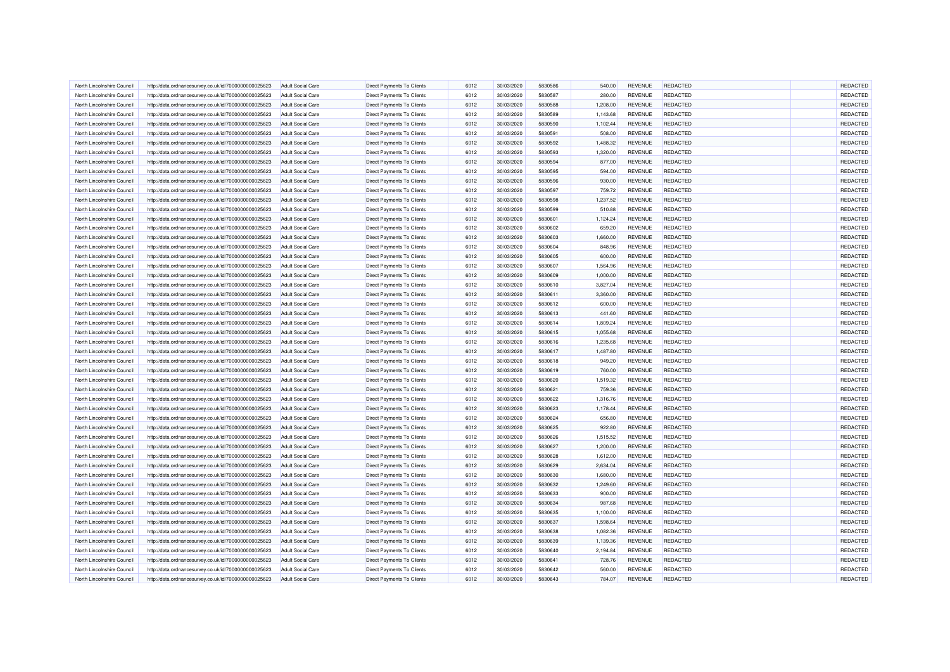| North Lincolnshire Council | http://data.ordnancesurvey.co.uk/id/7000000000025623 | <b>Adult Social Care</b> | <b>Direct Payments To Clients</b> | 6012 | 30/03/2020 | 5830586 | 540.00   | REVENUE        | <b>REDACTED</b> | REDACTED |
|----------------------------|------------------------------------------------------|--------------------------|-----------------------------------|------|------------|---------|----------|----------------|-----------------|----------|
| North Lincolnshire Council | http://data.ordnancesurvey.co.uk/id/7000000000025623 | <b>Adult Social Care</b> | Direct Payments To Clients        | 6012 | 30/03/2020 | 5830587 | 280.00   | REVENUE        | <b>REDACTED</b> | REDACTED |
| North Lincolnshire Council | http://data.ordnancesurvey.co.uk/id/7000000000025623 | <b>Adult Social Care</b> | Direct Payments To Clients        | 6012 | 30/03/2020 | 5830588 | 1,208.00 | REVENUE        | <b>REDACTED</b> | REDACTED |
| North Lincolnshire Council | http://data.ordnancesurvey.co.uk/id/7000000000025623 | <b>Adult Social Care</b> | Direct Payments To Clients        | 6012 | 30/03/2020 | 5830589 | 1,143.68 | <b>REVENUE</b> | REDACTED        | REDACTED |
| North Lincolnshire Council | http://data.ordnancesurvey.co.uk/id/7000000000025623 | <b>Adult Social Care</b> | <b>Direct Payments To Clients</b> | 6012 | 30/03/2020 | 5830590 | 1,102.44 | REVENUE        | <b>REDACTED</b> | REDACTED |
| North Lincolnshire Council | http://data.ordnancesurvey.co.uk/id/7000000000025623 | <b>Adult Social Care</b> | Direct Payments To Clients        | 6012 | 30/03/2020 | 5830591 | 508.00   | <b>REVENUE</b> | REDACTED        | REDACTED |
| North Lincolnshire Council | http://data.ordnancesurvey.co.uk/id/7000000000025623 | <b>Adult Social Care</b> | Direct Payments To Clients        | 6012 | 30/03/2020 | 5830592 | 1,488.32 | REVENUE        | <b>REDACTED</b> | REDACTED |
| North Lincolnshire Council | http://data.ordnancesurvey.co.uk/id/7000000000025623 | <b>Adult Social Care</b> | Direct Payments To Clients        | 6012 | 30/03/2020 | 5830593 | 1,320.00 | REVENUE        | <b>REDACTED</b> | REDACTED |
| North Lincolnshire Council | http://data.ordnancesurvey.co.uk/id/7000000000025623 | Adult Social Care        | <b>Direct Payments To Clients</b> | 6012 | 30/03/2020 | 5830594 | 877.00   | <b>REVENUE</b> | <b>REDACTED</b> | REDACTED |
| North Lincolnshire Council | http://data.ordnancesurvey.co.uk/id/7000000000025623 | <b>Adult Social Care</b> | Direct Payments To Clients        | 6012 | 30/03/2020 | 5830595 | 594.00   | <b>REVENUE</b> | <b>REDACTED</b> | REDACTED |
| North Lincolnshire Council | http://data.ordnancesurvey.co.uk/id/7000000000025623 | <b>Adult Social Care</b> | Direct Payments To Clients        | 6012 | 30/03/2020 | 5830596 | 930.00   | REVENUE        | <b>REDACTED</b> | REDACTED |
| North Lincolnshire Council | http://data.ordnancesurvey.co.uk/id/7000000000025623 | <b>Adult Social Care</b> | <b>Direct Payments To Clients</b> | 6012 | 30/03/2020 | 5830597 | 759.72   | REVENUE        | REDACTED        | REDACTED |
| North Lincolnshire Council | http://data.ordnancesurvey.co.uk/id/7000000000025623 | <b>Adult Social Care</b> | <b>Direct Payments To Clients</b> | 6012 | 30/03/2020 | 5830598 | 1,237.52 | REVENUE        | <b>REDACTED</b> | REDACTED |
| North Lincolnshire Council | http://data.ordnancesurvey.co.uk/id/7000000000025623 | <b>Adult Social Care</b> | Direct Payments To Clients        | 6012 | 30/03/2020 | 5830599 | 510.88   | REVENUE        | REDACTED        | REDACTED |
| North Lincolnshire Council | http://data.ordnancesurvey.co.uk/id/7000000000025623 | <b>Adult Social Care</b> | Direct Payments To Clients        | 6012 | 30/03/2020 | 5830601 | 1,124.24 | REVENUE        | <b>REDACTED</b> | REDACTED |
| North Lincolnshire Council | http://data.ordnancesurvey.co.uk/id/7000000000025623 | <b>Adult Social Care</b> | Direct Payments To Clients        | 6012 | 30/03/2020 | 5830602 | 659.20   | REVENUE        | <b>REDACTED</b> | REDACTED |
| North Lincolnshire Council | http://data.ordnancesurvey.co.uk/id/7000000000025623 | <b>Adult Social Care</b> | Direct Payments To Clients        | 6012 | 30/03/2020 | 5830603 | 1,660.00 | <b>REVENUE</b> | <b>REDACTED</b> | REDACTED |
| North Lincolnshire Council | http://data.ordnancesurvey.co.uk/id/7000000000025623 | <b>Adult Social Care</b> | <b>Direct Payments To Clients</b> | 6012 | 30/03/2020 | 5830604 | 848.96   | <b>REVENUE</b> | <b>REDACTED</b> | REDACTED |
| North Lincolnshire Council | http://data.ordnancesurvey.co.uk/id/7000000000025623 | <b>Adult Social Care</b> | <b>Direct Payments To Clients</b> | 6012 | 30/03/2020 | 5830605 | 600.00   | REVENUE        | REDACTED        | REDACTED |
| North Lincolnshire Council | http://data.ordnancesurvey.co.uk/id/7000000000025623 | <b>Adult Social Care</b> | <b>Direct Payments To Clients</b> | 6012 | 30/03/2020 | 5830607 | 1,564.96 | REVENUE        | REDACTED        | REDACTED |
| North Lincolnshire Council |                                                      | <b>Adult Social Care</b> | Direct Payments To Clients        | 6012 | 30/03/2020 | 5830609 | 1,000.00 | REVENUE        | <b>REDACTED</b> | REDACTED |
| North Lincolnshire Council | http://data.ordnancesurvey.co.uk/id/7000000000025623 | <b>Adult Social Care</b> |                                   | 6012 | 30/03/2020 | 5830610 | 3,827.04 | REVENUE        | <b>REDACTED</b> | REDACTED |
|                            | http://data.ordnancesurvey.co.uk/id/7000000000025623 |                          | Direct Payments To Clients        |      |            |         |          |                |                 | REDACTED |
| North Lincolnshire Council | http://data.ordnancesurvey.co.uk/id/7000000000025623 | <b>Adult Social Care</b> | Direct Payments To Clients        | 6012 | 30/03/2020 | 5830611 | 3,360.00 | <b>REVENUE</b> | <b>REDACTED</b> |          |
| North Lincolnshire Council | http://data.ordnancesurvey.co.uk/id/7000000000025623 | <b>Adult Social Care</b> | Direct Payments To Clients        | 6012 | 30/03/2020 | 5830612 | 600.00   | REVENUE        | REDACTED        | REDACTED |
| North Lincolnshire Council | http://data.ordnancesurvey.co.uk/id/7000000000025623 | <b>Adult Social Care</b> | Direct Payments To Clients        | 6012 | 30/03/2020 | 5830613 | 441.60   | <b>REVENUE</b> | <b>REDACTED</b> | REDACTED |
| North Lincolnshire Council | http://data.ordnancesurvey.co.uk/id/7000000000025623 | <b>Adult Social Care</b> | Direct Payments To Clients        | 6012 | 30/03/2020 | 5830614 | 1,809.24 | REVENUE        | REDACTED        | REDACTED |
| North Lincolnshire Council | http://data.ordnancesurvey.co.uk/id/7000000000025623 | <b>Adult Social Care</b> | <b>Direct Payments To Clients</b> | 6012 | 30/03/2020 | 5830615 | 1,055.68 | <b>REVENUE</b> | <b>REDACTED</b> | REDACTED |
| North Lincolnshire Council | http://data.ordnancesurvey.co.uk/id/7000000000025623 | <b>Adult Social Care</b> | <b>Direct Payments To Clients</b> | 6012 | 30/03/2020 | 5830616 | 1,235.68 | REVENUE        | REDACTED        | REDACTED |
| North Lincolnshire Council | http://data.ordnancesurvey.co.uk/id/7000000000025623 | <b>Adult Social Care</b> | Direct Payments To Clients        | 6012 | 30/03/2020 | 5830617 | 1,487.80 | <b>REVENUE</b> | <b>REDACTED</b> | REDACTED |
| North Lincolnshire Council | http://data.ordnancesurvey.co.uk/id/7000000000025623 | <b>Adult Social Care</b> | Direct Payments To Clients        | 6012 | 30/03/2020 | 5830618 | 949.20   | REVENUE        | <b>REDACTED</b> | REDACTED |
| North Lincolnshire Council | http://data.ordnancesurvey.co.uk/id/7000000000025623 | <b>Adult Social Care</b> | <b>Direct Payments To Clients</b> | 6012 | 30/03/2020 | 5830619 | 760.00   | <b>REVENUE</b> | REDACTED        | REDACTED |
| North Lincolnshire Council | http://data.ordnancesurvey.co.uk/id/7000000000025623 | <b>Adult Social Care</b> | Direct Payments To Clients        | 6012 | 30/03/2020 | 5830620 | 1,519.32 | REVENUE        | <b>REDACTED</b> | REDACTED |
| North Lincolnshire Council | http://data.ordnancesurvey.co.uk/id/7000000000025623 | <b>Adult Social Care</b> | Direct Payments To Clients        | 6012 | 30/03/2020 | 5830621 | 759.36   | <b>REVENUE</b> | <b>REDACTED</b> | REDACTED |
| North Lincolnshire Council | http://data.ordnancesurvey.co.uk/id/7000000000025623 | <b>Adult Social Care</b> | Direct Payments To Clients        | 6012 | 30/03/2020 | 5830622 | 1,316.76 | REVENUE        | REDACTED        | REDACTED |
| North Lincolnshire Council | http://data.ordnancesurvey.co.uk/id/7000000000025623 | <b>Adult Social Care</b> | Direct Payments To Clients        | 6012 | 30/03/2020 | 5830623 | 1,178.44 | REVENUE        | <b>REDACTED</b> | REDACTED |
| North Lincolnshire Council | http://data.ordnancesurvey.co.uk/id/7000000000025623 | Adult Social Care        | <b>Direct Payments To Clients</b> | 6012 | 30/03/2020 | 5830624 | 656.80   | <b>REVENUE</b> | <b>REDACTED</b> | REDACTED |
| North Lincolnshire Council | http://data.ordnancesurvey.co.uk/id/7000000000025623 | <b>Adult Social Care</b> | Direct Payments To Clients        | 6012 | 30/03/2020 | 5830625 | 922.80   | <b>REVENUE</b> | <b>REDACTED</b> | REDACTED |
| North Lincolnshire Council | http://data.ordnancesurvey.co.uk/id/7000000000025623 | <b>Adult Social Care</b> | Direct Payments To Clients        | 6012 | 30/03/2020 | 5830626 | 1,515.52 | REVENUE        | <b>REDACTED</b> | REDACTED |
| North Lincolnshire Council | http://data.ordnancesurvey.co.uk/id/7000000000025623 | <b>Adult Social Care</b> | <b>Direct Payments To Clients</b> | 6012 | 30/03/2020 | 5830627 | 1,200.00 | REVENUE        | REDACTED        | REDACTED |
| North Lincolnshire Council | http://data.ordnancesurvey.co.uk/id/7000000000025623 | <b>Adult Social Care</b> | Direct Payments To Clients        | 6012 | 30/03/2020 | 5830628 | 1,612.00 | REVENUE        | <b>REDACTED</b> | REDACTED |
| North Lincolnshire Council | http://data.ordnancesurvey.co.uk/id/7000000000025623 | <b>Adult Social Care</b> | Direct Payments To Clients        | 6012 | 30/03/2020 | 5830629 | 2,634.04 | REVENUE        | <b>REDACTED</b> | REDACTED |
| North Lincolnshire Council | http://data.ordnancesurvey.co.uk/id/7000000000025623 | <b>Adult Social Care</b> | Direct Payments To Clients        | 6012 | 30/03/2020 | 5830630 | 1,680.00 | REVENUE        | <b>REDACTED</b> | REDACTED |
| North Lincolnshire Council | http://data.ordnancesurvey.co.uk/id/7000000000025623 | <b>Adult Social Care</b> | Direct Payments To Clients        | 6012 | 30/03/2020 | 5830632 | 1,249.60 | REVENUE        | <b>REDACTED</b> | REDACTED |
| North Lincolnshire Council | http://data.ordnancesurvey.co.uk/id/7000000000025623 | <b>Adult Social Care</b> | Direct Payments To Clients        | 6012 | 30/03/2020 | 5830633 | 900.00   | <b>REVENUE</b> | REDACTED        | REDACTED |
| North Lincolnshire Council | http://data.ordnancesurvey.co.uk/id/7000000000025623 | <b>Adult Social Care</b> | <b>Direct Payments To Clients</b> | 6012 | 30/03/2020 | 5830634 | 987.68   | REVENUE        | <b>REDACTED</b> | REDACTED |
| North Lincolnshire Council | http://data.ordnancesurvey.co.uk/id/7000000000025623 | <b>Adult Social Care</b> | Direct Payments To Clients        | 6012 | 30/03/2020 | 5830635 | 1,100.00 | REVENUE        | REDACTED        | REDACTED |
| North Lincolnshire Council | http://data.ordnancesurvey.co.uk/id/7000000000025623 | <b>Adult Social Care</b> | Direct Payments To Clients        | 6012 | 30/03/2020 | 5830637 | 1,598.64 | REVENUE        | REDACTED        | REDACTED |
| North Lincolnshire Council | http://data.ordnancesurvey.co.uk/id/7000000000025623 | <b>Adult Social Care</b> | Direct Payments To Clients        | 6012 | 30/03/2020 | 5830638 | 1,082.36 | REVENUE        | <b>REDACTED</b> | REDACTED |
| North Lincolnshire Council | http://data.ordnancesurvey.co.uk/id/7000000000025623 | <b>Adult Social Care</b> | <b>Direct Payments To Clients</b> | 6012 | 30/03/2020 | 5830639 | 1,139.36 | REVENUE        | <b>REDACTED</b> | REDACTED |
| North Lincolnshire Council | http://data.ordnancesurvey.co.uk/id/7000000000025623 | <b>Adult Social Care</b> | Direct Payments To Clients        | 6012 | 30/03/2020 | 5830640 | 2,194.84 | <b>REVENUE</b> | <b>REDACTED</b> | REDACTED |
| North Lincolnshire Council | http://data.ordnancesurvey.co.uk/id/7000000000025623 | <b>Adult Social Care</b> | Direct Payments To Clients        | 6012 | 30/03/2020 | 5830641 | 728.76   | REVENUE        | REDACTED        | REDACTED |
| North Lincolnshire Council | http://data.ordnancesurvey.co.uk/id/7000000000025623 | <b>Adult Social Care</b> | Direct Payments To Clients        | 6012 | 30/03/2020 | 5830642 | 560.00   | <b>REVENUE</b> | <b>REDACTED</b> | REDACTED |
| North Lincolnshire Council | http://data.ordnancesurvey.co.uk/id/7000000000025623 | <b>Adult Social Care</b> | Direct Payments To Clients        | 6012 | 30/03/2020 | 5830643 | 784.07   | REVENUE        | <b>REDACTED</b> | REDACTED |
|                            |                                                      |                          |                                   |      |            |         |          |                |                 |          |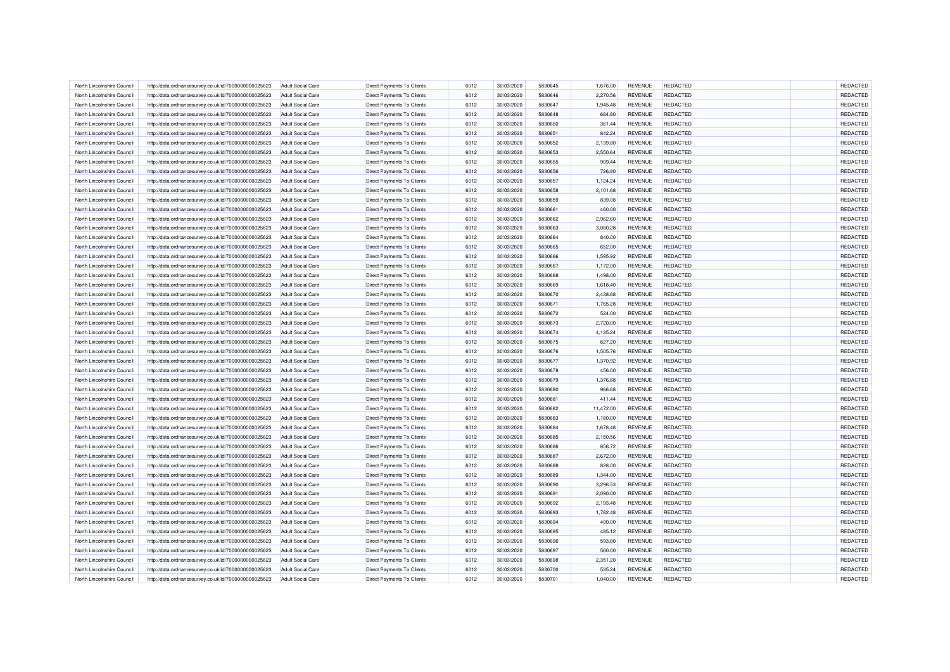| North Lincolnshire Council | http://data.ordnancesurvey.co.uk/id/7000000000025623 | <b>Adult Social Care</b> | Direct Payments To Clients        | 6012 | 30/03/2020 | 5830645 | 1,676.00  | REVENUE        | <b>REDACTED</b> | REDACTED |
|----------------------------|------------------------------------------------------|--------------------------|-----------------------------------|------|------------|---------|-----------|----------------|-----------------|----------|
| North Lincolnshire Council | http://data.ordnancesurvey.co.uk/id/7000000000025623 | <b>Adult Social Care</b> | <b>Direct Payments To Clients</b> | 6012 | 30/03/2020 | 5830646 | 2,270.56  | <b>REVENUE</b> | <b>REDACTED</b> | REDACTED |
| North Lincolnshire Council | http://data.ordnancesurvey.co.uk/id/7000000000025623 | <b>Adult Social Care</b> | Direct Payments To Clients        | 6012 | 30/03/2020 | 5830647 | 1,945.48  | REVENUE        | <b>REDACTED</b> | REDACTED |
| North Lincolnshire Council | http://data.ordnancesurvey.co.uk/id/7000000000025623 | <b>Adult Social Care</b> | <b>Direct Payments To Clients</b> | 6012 | 30/03/2020 | 5830648 | 684.80    | <b>REVENUE</b> | REDACTED        | REDACTED |
| North Lincolnshire Council | http://data.ordnancesurvey.co.uk/id/7000000000025623 | <b>Adult Social Care</b> | Direct Payments To Clients        | 6012 | 30/03/2020 | 5830650 | 361.44    | REVENUE        | <b>REDACTED</b> | REDACTED |
| North Lincolnshire Council | http://data.ordnancesurvey.co.uk/id/7000000000025623 | <b>Adult Social Care</b> | Direct Payments To Clients        | 6012 | 30/03/2020 | 5830651 | 842.24    | <b>REVENUE</b> | <b>REDACTED</b> | REDACTED |
| North Lincolnshire Council | http://data.ordnancesurvey.co.uk/id/7000000000025623 | <b>Adult Social Care</b> | Direct Payments To Clients        | 6012 | 30/03/2020 | 5830652 | 2,139.80  | REVENUE        | REDACTED        | REDACTED |
| North Lincolnshire Council | http://data.ordnancesurvey.co.uk/id/7000000000025623 | <b>Adult Social Care</b> | <b>Direct Payments To Clients</b> | 6012 | 30/03/2020 | 5830653 | 2,550.64  | REVENUE        | <b>REDACTED</b> | REDACTED |
| North Lincolnshire Council | http://data.ordnancesurvey.co.uk/id/7000000000025623 | Adult Social Care        | Direct Payments To Clients        | 6012 | 30/03/2020 | 5830655 | 909.44    | <b>REVENUE</b> | REDACTED        | REDACTED |
| North Lincolnshire Council | http://data.ordnancesurvey.co.uk/id/7000000000025623 | <b>Adult Social Care</b> | Direct Payments To Clients        | 6012 | 30/03/2020 | 5830656 | 726.80    | <b>REVENUE</b> | <b>REDACTED</b> | REDACTED |
| North Lincolnshire Council | http://data.ordnancesurvey.co.uk/id/7000000000025623 | <b>Adult Social Care</b> | Direct Payments To Clients        | 6012 | 30/03/2020 | 5830657 | 1,124.24  | REVENUE        | <b>REDACTED</b> | REDACTED |
| North Lincolnshire Council | http://data.ordnancesurvey.co.uk/id/7000000000025623 | <b>Adult Social Care</b> | <b>Direct Payments To Clients</b> | 6012 | 30/03/2020 | 5830658 | 2,101.68  | REVENUE        | REDACTED        | REDACTED |
| North Lincolnshire Council | http://data.ordnancesurvey.co.uk/id/7000000000025623 | <b>Adult Social Care</b> | Direct Payments To Clients        | 6012 | 30/03/2020 | 5830659 | 839.08    | <b>REVENUE</b> | <b>REDACTED</b> | REDACTED |
| North Lincolnshire Council | http://data.ordnancesurvey.co.uk/id/7000000000025623 | <b>Adult Social Care</b> | Direct Payments To Clients        | 6012 | 30/03/2020 | 5830661 | 460.00    | REVENUE        | <b>REDACTED</b> | REDACTED |
| North Lincolnshire Council | http://data.ordnancesurvey.co.uk/id/7000000000025623 | <b>Adult Social Care</b> | Direct Payments To Clients        | 6012 | 30/03/2020 | 5830662 | 2,962.60  | <b>REVENUE</b> | <b>REDACTED</b> | REDACTED |
| North Lincolnshire Council | http://data.ordnancesurvey.co.uk/id/7000000000025623 | <b>Adult Social Care</b> | Direct Payments To Clients        | 6012 | 30/03/2020 | 5830663 | 3,080.28  | REVENUE        | <b>REDACTED</b> | REDACTED |
| North Lincolnshire Council | http://data.ordnancesurvey.co.uk/id/7000000000025623 | <b>Adult Social Care</b> | Direct Payments To Clients        | 6012 | 30/03/2020 | 5830664 | 840.00    | <b>REVENUE</b> | REDACTED        | REDACTED |
| North Lincolnshire Council | http://data.ordnancesurvey.co.uk/id/7000000000025623 | <b>Adult Social Care</b> | <b>Direct Payments To Clients</b> | 6012 | 30/03/2020 | 5830665 | 652.00    | <b>REVENUE</b> | <b>REDACTED</b> | REDACTED |
|                            |                                                      |                          |                                   |      |            | 5830666 |           |                |                 | REDACTED |
| North Lincolnshire Council | http://data.ordnancesurvey.co.uk/id/7000000000025623 | <b>Adult Social Care</b> | Direct Payments To Clients        | 6012 | 30/03/2020 |         | 1,595.92  | REVENUE        | REDACTED        |          |
| North Lincolnshire Council | http://data.ordnancesurvey.co.uk/id/7000000000025623 | <b>Adult Social Care</b> | Direct Payments To Clients        | 6012 | 30/03/2020 | 5830667 | 1,172.00  | REVENUE        | REDACTED        | REDACTED |
| North Lincolnshire Council | http://data.ordnancesurvey.co.uk/id/7000000000025623 | <b>Adult Social Care</b> | Direct Payments To Clients        | 6012 | 30/03/2020 | 5830668 | 1,498.00  | REVENUE        | <b>REDACTED</b> | REDACTED |
| North Lincolnshire Council | http://data.ordnancesurvey.co.uk/id/7000000000025623 | <b>Adult Social Care</b> | Direct Payments To Clients        | 6012 | 30/03/2020 | 5830669 | 1,618.40  | REVENUE        | <b>REDACTED</b> | REDACTED |
| North Lincolnshire Council | http://data.ordnancesurvey.co.uk/id/7000000000025623 | <b>Adult Social Care</b> | Direct Payments To Clients        | 6012 | 30/03/2020 | 5830670 | 2,438.68  | <b>REVENUE</b> | <b>REDACTED</b> | REDACTED |
| North Lincolnshire Council | http://data.ordnancesurvey.co.uk/id/7000000000025623 | <b>Adult Social Care</b> | Direct Payments To Clients        | 6012 | 30/03/2020 | 5830671 | 1,765.28  | REVENUE        | REDACTED        | REDACTED |
| North Lincolnshire Council | http://data.ordnancesurvey.co.uk/id/7000000000025623 | <b>Adult Social Care</b> | Direct Payments To Clients        | 6012 | 30/03/2020 | 5830672 | 524.00    | <b>REVENUE</b> | <b>REDACTED</b> | REDACTED |
| North Lincolnshire Council | http://data.ordnancesurvey.co.uk/id/7000000000025623 | <b>Adult Social Care</b> | Direct Payments To Clients        | 6012 | 30/03/2020 | 5830673 | 2,720.00  | REVENUE        | <b>REDACTED</b> | REDACTED |
| North Lincolnshire Council | http://data.ordnancesurvey.co.uk/id/7000000000025623 | <b>Adult Social Care</b> | Direct Payments To Clients        | 6012 | 30/03/2020 | 5830674 | 4,135.24  | <b>REVENUE</b> | <b>REDACTED</b> | REDACTED |
| North Lincolnshire Council | http://data.ordnancesurvey.co.uk/id/7000000000025623 | <b>Adult Social Care</b> | <b>Direct Payments To Clients</b> | 6012 | 30/03/2020 | 5830675 | 627.20    | REVENUE        | REDACTED        | REDACTED |
| North Lincolnshire Council | http://data.ordnancesurvey.co.uk/id/7000000000025623 | <b>Adult Social Care</b> | Direct Payments To Clients        | 6012 | 30/03/2020 | 5830676 | 1,505.76  | <b>REVENUE</b> | <b>REDACTED</b> | REDACTED |
| North Lincolnshire Council | http://data.ordnancesurvey.co.uk/id/7000000000025623 | <b>Adult Social Care</b> | Direct Payments To Clients        | 6012 | 30/03/2020 | 5830677 | 1,370.92  | REVENUE        | <b>REDACTED</b> | REDACTED |
| North Lincolnshire Council | http://data.ordnancesurvey.co.uk/id/7000000000025623 | <b>Adult Social Care</b> | Direct Payments To Clients        | 6012 | 30/03/2020 | 5830678 | 456.00    | <b>REVENUE</b> | REDACTED        | REDACTED |
| North Lincolnshire Council | http://data.ordnancesurvey.co.uk/id/7000000000025623 | <b>Adult Social Care</b> | <b>Direct Payments To Clients</b> | 6012 | 30/03/2020 | 5830679 | 1,376.68  | REVENUE        | <b>REDACTED</b> | REDACTED |
| North Lincolnshire Council | http://data.ordnancesurvey.co.uk/id/7000000000025623 | <b>Adult Social Care</b> | Direct Payments To Clients        | 6012 | 30/03/2020 | 5830680 | 966.68    | <b>REVENUE</b> | REDACTED        | REDACTED |
| North Lincolnshire Council | http://data.ordnancesurvey.co.uk/id/7000000000025623 | <b>Adult Social Care</b> | Direct Payments To Clients        | 6012 | 30/03/2020 | 5830681 | 411.44    | REVENUE        | <b>REDACTED</b> | REDACTED |
| North Lincolnshire Council | http://data.ordnancesurvey.co.uk/id/7000000000025623 | <b>Adult Social Care</b> | Direct Payments To Clients        | 6012 | 30/03/2020 | 5830682 | 11,472.00 | REVENUE        | <b>REDACTED</b> | REDACTED |
| North Lincolnshire Council | http://data.ordnancesurvey.co.uk/id/7000000000025623 | Adult Social Care        | <b>Direct Payments To Clients</b> | 6012 | 30/03/2020 | 5830683 | 1,180.00  | <b>REVENUE</b> | REDACTED        | REDACTED |
| North Lincolnshire Council | http://data.ordnancesurvey.co.uk/id/7000000000025623 | <b>Adult Social Care</b> | Direct Payments To Clients        | 6012 | 30/03/2020 | 5830684 | 1,678.48  | <b>REVENUE</b> | <b>REDACTED</b> | REDACTED |
| North Lincolnshire Council | http://data.ordnancesurvey.co.uk/id/7000000000025623 | <b>Adult Social Care</b> | Direct Payments To Clients        | 6012 | 30/03/2020 | 5830685 | 2,150.56  | REVENUE        | <b>REDACTED</b> | REDACTED |
| North Lincolnshire Council | http://data.ordnancesurvey.co.uk/id/7000000000025623 | <b>Adult Social Care</b> | Direct Payments To Clients        | 6012 | 30/03/2020 | 5830686 | 856.72    | REVENUE        | REDACTED        | REDACTED |
| North Lincolnshire Council | http://data.ordnancesurvey.co.uk/id/7000000000025623 | <b>Adult Social Care</b> | <b>Direct Payments To Clients</b> | 6012 | 30/03/2020 | 5830687 | 2,672.00  | REVENUE        | REDACTED        | REDACTED |
| North Lincolnshire Council | http://data.ordnancesurvey.co.uk/id/7000000000025623 | <b>Adult Social Care</b> | Direct Payments To Clients        | 6012 | 30/03/2020 | 5830688 | 828.00    | REVENUE        | REDACTED        | REDACTED |
| North Lincolnshire Council | http://data.ordnancesurvey.co.uk/id/7000000000025623 | <b>Adult Social Care</b> | Direct Payments To Clients        | 6012 | 30/03/2020 | 5830689 | 1,344.00  | REVENUE        | <b>REDACTED</b> | REDACTED |
| North Lincolnshire Council | http://data.ordnancesurvey.co.uk/id/7000000000025623 | <b>Adult Social Care</b> | Direct Payments To Clients        | 6012 | 30/03/2020 | 5830690 | 3,296.53  | REVENUE        | <b>REDACTED</b> | REDACTED |
| North Lincolnshire Council | http://data.ordnancesurvey.co.uk/id/7000000000025623 | <b>Adult Social Care</b> | Direct Payments To Clients        | 6012 | 30/03/2020 | 5830691 | 2,090.00  | <b>REVENUE</b> | <b>REDACTED</b> | REDACTED |
| North Lincolnshire Council | http://data.ordnancesurvey.co.uk/id/7000000000025623 | <b>Adult Social Care</b> | <b>Direct Payments To Clients</b> | 6012 | 30/03/2020 | 5830692 | 2,193.48  | REVENUE        | <b>REDACTED</b> | REDACTED |
| North Lincolnshire Council | http://data.ordnancesurvey.co.uk/id/7000000000025623 | <b>Adult Social Care</b> | Direct Payments To Clients        | 6012 | 30/03/2020 | 5830693 | 1,782.48  | REVENUE        | REDACTED        | REDACTED |
| North Lincolnshire Council | http://data.ordnancesurvey.co.uk/id/7000000000025623 | <b>Adult Social Care</b> | Direct Payments To Clients        | 6012 | 30/03/2020 | 5830694 | 400.00    | REVENUE        | REDACTED        | REDACTED |
| North Lincolnshire Council | http://data.ordnancesurvey.co.uk/id/7000000000025623 | <b>Adult Social Care</b> | Direct Payments To Clients        | 6012 | 30/03/2020 | 5830695 | 485.12    | <b>REVENUE</b> | <b>REDACTED</b> | REDACTED |
| North Lincolnshire Council | http://data.ordnancesurvey.co.uk/id/7000000000025623 | <b>Adult Social Care</b> | Direct Payments To Clients        | 6012 | 30/03/2020 | 5830696 | 593.80    | REVENUE        | <b>REDACTED</b> | REDACTED |
| North Lincolnshire Council | http://data.ordnancesurvey.co.uk/id/7000000000025623 | <b>Adult Social Care</b> | Direct Payments To Clients        | 6012 | 30/03/2020 | 5830697 | 560.00    | <b>REVENUE</b> | <b>REDACTED</b> | REDACTED |
| North Lincolnshire Council | http://data.ordnancesurvey.co.uk/id/7000000000025623 | <b>Adult Social Care</b> | Direct Payments To Clients        | 6012 | 30/03/2020 | 5830698 | 2,351.20  | REVENUE        | REDACTED        | REDACTED |
| North Lincolnshire Council | http://data.ordnancesurvey.co.uk/id/7000000000025623 | <b>Adult Social Care</b> | Direct Payments To Clients        | 6012 | 30/03/2020 | 5830700 | 535.24    | <b>REVENUE</b> | <b>REDACTED</b> | REDACTED |
| North Lincolnshire Council | http://data.ordnancesurvey.co.uk/id/7000000000025623 | <b>Adult Social Care</b> | Direct Payments To Clients        | 6012 | 30/03/2020 | 5830701 | 1,040.00  | <b>REVENUE</b> | <b>REDACTED</b> | REDACTED |
|                            |                                                      |                          |                                   |      |            |         |           |                |                 |          |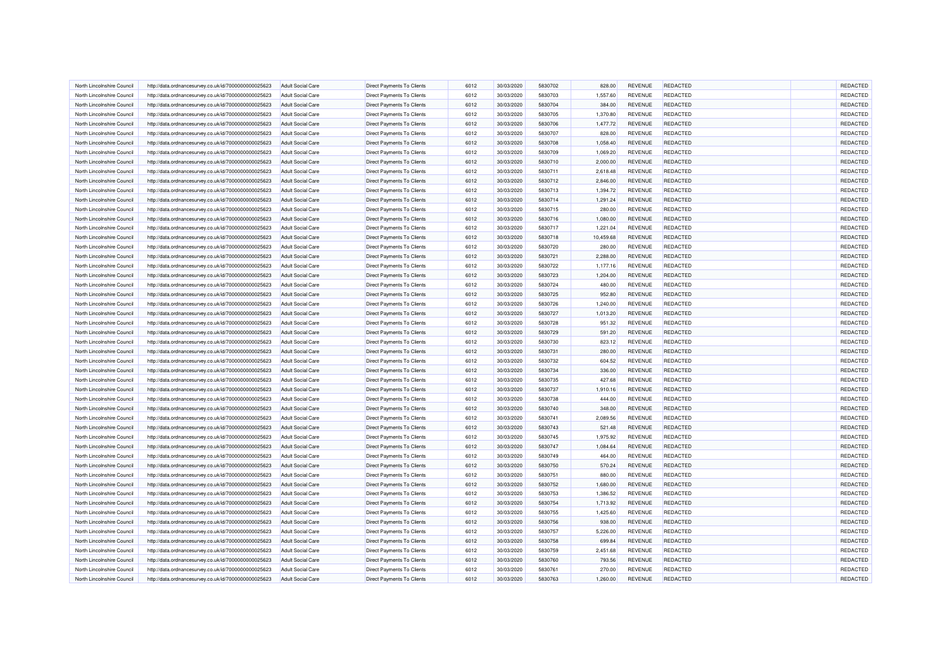| North Lincolnshire Council                               | http://data.ordnancesurvey.co.uk/id/7000000000025623                                                         | <b>Adult Social Care</b>                             | <b>Direct Payments To Clients</b> | 6012 | 30/03/2020               | 5830702 | 828.00               | REVENUE                   | <b>REDACTED</b>                    | <b>REDACTED</b> |
|----------------------------------------------------------|--------------------------------------------------------------------------------------------------------------|------------------------------------------------------|-----------------------------------|------|--------------------------|---------|----------------------|---------------------------|------------------------------------|-----------------|
| North Lincolnshire Council                               | http://data.ordnancesurvey.co.uk/id/7000000000025623                                                         | <b>Adult Social Care</b>                             | <b>Direct Payments To Clients</b> | 6012 | 30/03/2020               | 5830703 | 1,557.60             | REVENUE                   | REDACTED                           | REDACTED        |
| North Lincolnshire Council                               | http://data.ordnancesurvey.co.uk/id/7000000000025623                                                         | <b>Adult Social Care</b>                             | <b>Direct Payments To Clients</b> | 6012 | 30/03/2020               | 5830704 | 384.00               | REVENUE                   | <b>REDACTED</b>                    | REDACTED        |
| North Lincolnshire Council                               | http://data.ordnancesurvey.co.uk/id/7000000000025623                                                         | <b>Adult Social Care</b>                             | Direct Payments To Clients        | 6012 | 30/03/2020               | 5830705 | 1,370.80             | REVENUE                   | REDACTED                           | REDACTED        |
| North Lincolnshire Council                               | http://data.ordnancesurvey.co.uk/id/7000000000025623                                                         | <b>Adult Social Care</b>                             | Direct Payments To Clients        | 6012 | 30/03/2020               | 5830706 | 1,477.72             | <b>REVENUE</b>            | <b>REDACTED</b>                    | REDACTED        |
| North Lincolnshire Council                               | http://data.ordnancesurvey.co.uk/id/7000000000025623                                                         | <b>Adult Social Care</b>                             | Direct Payments To Clients        | 6012 | 30/03/2020               | 5830707 | 828.00               | REVENUE                   | <b>REDACTED</b>                    | REDACTED        |
| North Lincolnshire Council                               | http://data.ordnancesurvey.co.uk/id/7000000000025623                                                         | <b>Adult Social Care</b>                             | Direct Payments To Clients        | 6012 | 30/03/2020               | 5830708 | 1,058.40             | <b>REVENUE</b>            | <b>REDACTED</b>                    | REDACTED        |
| North Lincolnshire Council                               | http://data.ordnancesurvey.co.uk/id/7000000000025623                                                         | <b>Adult Social Care</b>                             | Direct Payments To Clients        | 6012 | 30/03/2020               | 5830709 | 1,069.20             | REVENUE                   | <b>REDACTED</b>                    | REDACTED        |
| North Lincolnshire Council                               | http://data.ordnancesurvey.co.uk/id/7000000000025623                                                         | <b>Adult Social Care</b>                             | Direct Payments To Clients        | 6012 | 30/03/2020               | 5830710 | 2,000.00             | REVENUE                   | REDACTED                           | REDACTED        |
| North Lincolnshire Council                               | http://data.ordnancesurvey.co.uk/id/7000000000025623                                                         | <b>Adult Social Care</b>                             | Direct Payments To Clients        | 6012 | 30/03/2020               | 5830711 | 2,618.48             | REVENUE                   | <b>REDACTED</b>                    | REDACTED        |
| North Lincolnshire Council                               | http://data.ordnancesurvey.co.uk/id/7000000000025623                                                         | <b>Adult Social Care</b>                             | <b>Direct Payments To Clients</b> | 6012 | 30/03/2020               | 5830712 | 2,846.00             | <b>REVENUE</b>            | <b>REDACTED</b>                    | REDACTED        |
| North Lincolnshire Council                               | http://data.ordnancesurvey.co.uk/id/7000000000025623                                                         | Adult Social Care                                    | <b>Direct Payments To Clients</b> | 6012 | 30/03/2020               | 5830713 | 1.394.72             | <b>REVENUE</b>            | <b>REDACTED</b>                    | REDACTED        |
| North Lincolnshire Council                               | http://data.ordnancesurvey.co.uk/id/7000000000025623                                                         | <b>Adult Social Care</b>                             | <b>Direct Payments To Clients</b> | 6012 | 30/03/2020               | 5830714 | 1,291.24             | <b>REVENUE</b>            | <b>REDACTED</b>                    | REDACTED        |
| North Lincolnshire Council                               | http://data.ordnancesurvey.co.uk/id/7000000000025623                                                         | <b>Adult Social Care</b>                             | Direct Payments To Clients        | 6012 | 30/03/2020               | 5830715 | 280.00               | REVENUE                   | REDACTED                           | REDACTED        |
| North Lincolnshire Council                               | http://data.ordnancesurvey.co.uk/id/7000000000025623                                                         | <b>Adult Social Care</b>                             | Direct Payments To Clients        | 6012 | 30/03/2020               | 5830716 | 1,080.00             | REVENUE                   | <b>REDACTED</b>                    | REDACTED        |
| North Lincolnshire Council                               | http://data.ordnancesurvey.co.uk/id/7000000000025623                                                         | <b>Adult Social Care</b>                             | Direct Payments To Clients        | 6012 | 30/03/2020               | 5830717 | 1,221.04             | REVENUE                   | <b>REDACTED</b>                    | REDACTED        |
| North Lincolnshire Council                               | http://data.ordnancesurvey.co.uk/id/7000000000025623                                                         | <b>Adult Social Care</b>                             | <b>Direct Payments To Clients</b> | 6012 | 30/03/2020               | 5830718 | 10,459.68            | REVENUE                   | <b>REDACTED</b>                    | REDACTED        |
| North Lincolnshire Council                               | http://data.ordnancesurvey.co.uk/id/7000000000025623                                                         | <b>Adult Social Care</b>                             | Direct Payments To Clients        | 6012 | 30/03/2020               | 5830720 | 280.00               | <b>REVENUE</b>            | <b>REDACTED</b>                    | REDACTED        |
| North Lincolnshire Council                               | http://data.ordnancesurvey.co.uk/id/7000000000025623                                                         | <b>Adult Social Care</b>                             | <b>Direct Payments To Clients</b> | 6012 | 30/03/2020               | 5830721 | 2,288.00             | REVENUE                   | <b>REDACTED</b>                    | REDACTED        |
| North Lincolnshire Council                               | http://data.ordnancesurvey.co.uk/id/7000000000025623                                                         | <b>Adult Social Care</b>                             | Direct Payments To Clients        | 6012 | 30/03/2020               | 5830722 | 1,177.16             | <b>REVENUE</b>            | <b>REDACTED</b>                    | REDACTED        |
| North Lincolnshire Council                               | http://data.ordnancesurvey.co.uk/id/7000000000025623                                                         | <b>Adult Social Care</b>                             | Direct Payments To Clients        | 6012 | 30/03/2020               | 5830723 | 1,204.00             | REVENUE                   | <b>REDACTED</b>                    | REDACTED        |
| North Lincolnshire Council                               |                                                                                                              | <b>Adult Social Care</b>                             | Direct Payments To Clients        | 6012 | 30/03/2020               | 5830724 | 480.00               | REVENUE                   | <b>REDACTED</b>                    | REDACTED        |
| North Lincolnshire Council                               | http://data.ordnancesurvey.co.uk/id/7000000000025623<br>http://data.ordnancesurvey.co.uk/id/7000000000025623 | <b>Adult Social Care</b>                             | <b>Direct Payments To Clients</b> | 6012 | 30/03/2020               | 5830725 | 952.80               | REVENUE                   | <b>REDACTED</b>                    | REDACTED        |
|                                                          |                                                                                                              |                                                      |                                   | 6012 |                          | 5830726 |                      |                           |                                    | REDACTED        |
| North Lincolnshire Council<br>North Lincolnshire Council | http://data.ordnancesurvey.co.uk/id/7000000000025623                                                         | <b>Adult Social Care</b><br><b>Adult Social Care</b> | Direct Payments To Clients        | 6012 | 30/03/2020<br>30/03/2020 | 5830727 | 1,240.00<br>1,013.20 | <b>REVENUE</b><br>REVENUE | <b>REDACTED</b><br><b>REDACTED</b> | REDACTED        |
|                                                          | http://data.ordnancesurvey.co.uk/id/7000000000025623                                                         |                                                      | Direct Payments To Clients        |      |                          |         |                      |                           |                                    |                 |
| North Lincolnshire Council                               | http://data.ordnancesurvey.co.uk/id/7000000000025623                                                         | <b>Adult Social Care</b>                             | Direct Payments To Clients        | 6012 | 30/03/2020               | 5830728 | 951.32               | REVENUE                   | REDACTED                           | REDACTED        |
| North Lincolnshire Council                               | http://data.ordnancesurvey.co.uk/id/7000000000025623                                                         | <b>Adult Social Care</b>                             | Direct Payments To Clients        | 6012 | 30/03/2020               | 5830729 | 591.20               | REVENUE                   | <b>REDACTED</b>                    | REDACTED        |
| North Lincolnshire Council                               | http://data.ordnancesurvey.co.uk/id/7000000000025623                                                         | <b>Adult Social Care</b>                             | Direct Payments To Clients        | 6012 | 30/03/2020               | 5830730 | 823.12               | <b>REVENUE</b>            | REDACTED                           | REDACTED        |
| North Lincolnshire Council                               | http://data.ordnancesurvey.co.uk/id/7000000000025623                                                         | <b>Adult Social Care</b>                             | Direct Payments To Clients        | 6012 | 30/03/2020               | 5830731 | 280.00               | REVENUE                   | <b>REDACTED</b>                    | REDACTED        |
| North Lincolnshire Council                               | http://data.ordnancesurvey.co.uk/id/7000000000025623                                                         | <b>Adult Social Care</b>                             | Direct Payments To Clients        | 6012 | 30/03/2020               | 5830732 | 604.52               | <b>REVENUE</b>            | <b>REDACTED</b>                    | REDACTED        |
| North Lincolnshire Council                               | http://data.ordnancesurvey.co.uk/id/7000000000025623                                                         | <b>Adult Social Care</b>                             | Direct Payments To Clients        | 6012 | 30/03/2020               | 5830734 | 336.00               | <b>REVENUE</b>            | REDACTED                           | REDACTED        |
| North Lincolnshire Council                               | http://data.ordnancesurvey.co.uk/id/7000000000025623                                                         | <b>Adult Social Care</b>                             | <b>Direct Payments To Clients</b> | 6012 | 30/03/2020               | 5830735 | 427.68               | <b>REVENUE</b>            | <b>REDACTED</b>                    | REDACTED        |
| North Lincolnshire Council                               | http://data.ordnancesurvey.co.uk/id/7000000000025623                                                         | Adult Social Care                                    | <b>Direct Payments To Clients</b> | 6012 | 30/03/2020               | 5830737 | 1,910.16             | <b>REVENUE</b>            | <b>REDACTED</b>                    | REDACTED        |
| North Lincolnshire Council                               | http://data.ordnancesurvey.co.uk/id/7000000000025623                                                         | <b>Adult Social Care</b>                             | <b>Direct Payments To Clients</b> | 6012 | 30/03/2020               | 5830738 | 444.00               | REVENUE                   | REDACTED                           | REDACTED        |
| North Lincolnshire Council                               | http://data.ordnancesurvey.co.uk/id/7000000000025623                                                         | <b>Adult Social Care</b>                             | <b>Direct Payments To Clients</b> | 6012 | 30/03/2020               | 5830740 | 348.00               | REVENUE                   | <b>REDACTED</b>                    | REDACTED        |
| North Lincolnshire Council                               | http://data.ordnancesurvey.co.uk/id/7000000000025623                                                         | Adult Social Care                                    | <b>Direct Payments To Clients</b> | 6012 | 30/03/2020               | 5830741 | 2,089.56             | <b>REVENUE</b>            | REDACTED                           | REDACTED        |
| North Lincolnshire Council                               | http://data.ordnancesurvey.co.uk/id/7000000000025623                                                         | <b>Adult Social Care</b>                             | Direct Payments To Clients        | 6012 | 30/03/2020               | 5830743 | 521.48               | <b>REVENUE</b>            | <b>REDACTED</b>                    | REDACTED        |
| North Lincolnshire Council                               | http://data.ordnancesurvey.co.uk/id/7000000000025623                                                         | <b>Adult Social Care</b>                             | Direct Payments To Clients        | 6012 | 30/03/2020               | 5830745 | 1,975.92             | REVENUE                   | <b>REDACTED</b>                    | REDACTED        |
| North Lincolnshire Council                               | http://data.ordnancesurvey.co.uk/id/7000000000025623                                                         | <b>Adult Social Care</b>                             | Direct Payments To Clients        | 6012 | 30/03/2020               | 5830747 | 1,084.64             | <b>REVENUE</b>            | <b>REDACTED</b>                    | REDACTED        |
| North Lincolnshire Council                               | http://data.ordnancesurvey.co.uk/id/7000000000025623                                                         | <b>Adult Social Care</b>                             | Direct Payments To Clients        | 6012 | 30/03/2020               | 5830749 | 464.00               | <b>REVENUE</b>            | <b>REDACTED</b>                    | REDACTED        |
| North Lincolnshire Council                               | http://data.ordnancesurvey.co.uk/id/7000000000025623                                                         | <b>Adult Social Care</b>                             | Direct Payments To Clients        | 6012 | 30/03/2020               | 5830750 | 570.24               | REVENUE                   | REDACTED                           | REDACTED        |
| North Lincolnshire Council                               | http://data.ordnancesurvey.co.uk/id/7000000000025623                                                         | <b>Adult Social Care</b>                             | Direct Payments To Clients        | 6012 | 30/03/2020               | 5830751 | 880.00               | REVENUE                   | <b>REDACTED</b>                    | REDACTED        |
| North Lincolnshire Council                               | http://data.ordnancesurvey.co.uk/id/7000000000025623                                                         | <b>Adult Social Care</b>                             | Direct Payments To Clients        | 6012 | 30/03/2020               | 5830752 | 1,680.00             | <b>REVENUE</b>            | <b>REDACTED</b>                    | REDACTED        |
| North Lincolnshire Council                               | http://data.ordnancesurvey.co.uk/id/7000000000025623                                                         | Adult Social Care                                    | <b>Direct Payments To Clients</b> | 6012 | 30/03/2020               | 5830753 | 1.386.52             | <b>REVENUE</b>            | <b>REDACTED</b>                    | REDACTED        |
| North Lincolnshire Council                               | http://data.ordnancesurvey.co.uk/id/7000000000025623                                                         | <b>Adult Social Care</b>                             | <b>Direct Payments To Clients</b> | 6012 | 30/03/2020               | 5830754 | 1,713.92             | REVENUE                   | <b>REDACTED</b>                    | REDACTED        |
| North Lincolnshire Council                               | http://data.ordnancesurvey.co.uk/id/7000000000025623                                                         | <b>Adult Social Care</b>                             | Direct Payments To Clients        | 6012 | 30/03/2020               | 5830755 | 1,425.60             | REVENUE                   | REDACTED                           | REDACTED        |
| North Lincolnshire Council                               | http://data.ordnancesurvey.co.uk/id/7000000000025623                                                         | <b>Adult Social Care</b>                             | Direct Payments To Clients        | 6012 | 30/03/2020               | 5830756 | 938.00               | <b>REVENUE</b>            | REDACTED                           | REDACTED        |
| North Lincolnshire Council                               | http://data.ordnancesurvey.co.uk/id/7000000000025623                                                         | <b>Adult Social Care</b>                             | Direct Payments To Clients        | 6012 | 30/03/2020               | 5830757 | 5,226.00             | REVENUE                   | <b>REDACTED</b>                    | REDACTED        |
| North Lincolnshire Council                               | http://data.ordnancesurvey.co.uk/id/7000000000025623                                                         | <b>Adult Social Care</b>                             | <b>Direct Payments To Clients</b> | 6012 | 30/03/2020               | 5830758 | 699.84               | REVENUE                   | <b>REDACTED</b>                    | REDACTED        |
| North Lincolnshire Council                               | http://data.ordnancesurvey.co.uk/id/7000000000025623                                                         | <b>Adult Social Care</b>                             | Direct Payments To Clients        | 6012 | 30/03/2020               | 5830759 | 2,451.68             | REVENUE                   | <b>REDACTED</b>                    | REDACTED        |
| North Lincolnshire Council                               | http://data.ordnancesurvey.co.uk/id/7000000000025623                                                         | <b>Adult Social Care</b>                             | Direct Payments To Clients        | 6012 | 30/03/2020               | 5830760 | 793.56               | <b>REVENUE</b>            | <b>REDACTED</b>                    | REDACTED        |
| North Lincolnshire Council                               | http://data.ordnancesurvey.co.uk/id/7000000000025623                                                         | <b>Adult Social Care</b>                             | Direct Payments To Clients        | 6012 | 30/03/2020               | 5830761 | 270.00               | <b>REVENUE</b>            | <b>REDACTED</b>                    | REDACTED        |
| North Lincolnshire Council                               | http://data.ordnancesurvey.co.uk/id/7000000000025623                                                         | <b>Adult Social Care</b>                             | Direct Payments To Clients        | 6012 | 30/03/2020               | 5830763 | 1,260.00             | REVENUE                   | <b>REDACTED</b>                    | REDACTED        |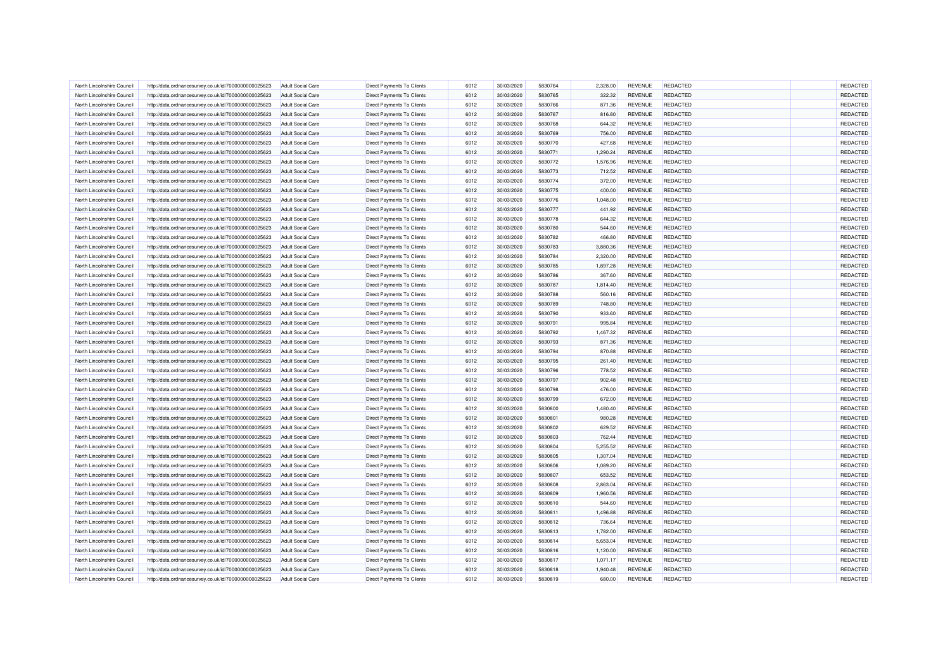| North Lincolnshire Council | http://data.ordnancesurvey.co.uk/id/7000000000025623 | <b>Adult Social Care</b> | Direct Payments To Clients        | 6012 | 30/03/2020 | 5830764 | 2,328.00 | REVENUE        | <b>REDACTED</b> | REDACTED |
|----------------------------|------------------------------------------------------|--------------------------|-----------------------------------|------|------------|---------|----------|----------------|-----------------|----------|
| North Lincolnshire Council | http://data.ordnancesurvey.co.uk/id/7000000000025623 | <b>Adult Social Care</b> | <b>Direct Payments To Clients</b> | 6012 | 30/03/2020 | 5830765 | 322.32   | <b>REVENUE</b> | <b>REDACTED</b> | REDACTED |
| North Lincolnshire Council | http://data.ordnancesurvey.co.uk/id/7000000000025623 | <b>Adult Social Care</b> | Direct Payments To Clients        | 6012 | 30/03/2020 | 5830766 | 871.36   | REVENUE        | <b>REDACTED</b> | REDACTED |
| North Lincolnshire Council | http://data.ordnancesurvey.co.uk/id/7000000000025623 | <b>Adult Social Care</b> | <b>Direct Payments To Clients</b> | 6012 | 30/03/2020 | 5830767 | 816.80   | <b>REVENUE</b> | REDACTED        | REDACTED |
| North Lincolnshire Council | http://data.ordnancesurvey.co.uk/id/7000000000025623 | <b>Adult Social Care</b> | Direct Payments To Clients        | 6012 | 30/03/2020 | 5830768 | 644.32   | REVENUE        | <b>REDACTED</b> | REDACTED |
| North Lincolnshire Council | http://data.ordnancesurvey.co.uk/id/7000000000025623 | <b>Adult Social Care</b> | Direct Payments To Clients        | 6012 | 30/03/2020 | 5830769 | 756.00   | <b>REVENUE</b> | <b>REDACTED</b> | REDACTED |
| North Lincolnshire Council | http://data.ordnancesurvey.co.uk/id/7000000000025623 | <b>Adult Social Care</b> | Direct Payments To Clients        | 6012 | 30/03/2020 | 5830770 | 427.68   | REVENUE        | REDACTED        | REDACTED |
| North Lincolnshire Council | http://data.ordnancesurvey.co.uk/id/7000000000025623 | <b>Adult Social Care</b> | <b>Direct Payments To Clients</b> | 6012 | 30/03/2020 | 5830771 | 1,290.24 | REVENUE        | <b>REDACTED</b> | REDACTED |
| North Lincolnshire Council | http://data.ordnancesurvey.co.uk/id/7000000000025623 | Adult Social Care        | Direct Payments To Clients        | 6012 | 30/03/2020 | 5830772 | 1,576.96 | <b>REVENUE</b> | REDACTED        | REDACTED |
| North Lincolnshire Council | http://data.ordnancesurvey.co.uk/id/7000000000025623 | <b>Adult Social Care</b> | Direct Payments To Clients        | 6012 | 30/03/2020 | 5830773 | 712.52   | <b>REVENUE</b> | <b>REDACTED</b> | REDACTED |
| North Lincolnshire Council | http://data.ordnancesurvey.co.uk/id/7000000000025623 | <b>Adult Social Care</b> | Direct Payments To Clients        | 6012 | 30/03/2020 | 5830774 | 372.00   | REVENUE        | <b>REDACTED</b> | REDACTED |
| North Lincolnshire Council | http://data.ordnancesurvey.co.uk/id/7000000000025623 | <b>Adult Social Care</b> | <b>Direct Payments To Clients</b> | 6012 | 30/03/2020 | 5830775 | 400.00   | REVENUE        | REDACTED        | REDACTED |
| North Lincolnshire Council | http://data.ordnancesurvey.co.uk/id/7000000000025623 | <b>Adult Social Care</b> | Direct Payments To Clients        | 6012 | 30/03/2020 | 5830776 | 1,048.00 | <b>REVENUE</b> | <b>REDACTED</b> | REDACTED |
| North Lincolnshire Council | http://data.ordnancesurvey.co.uk/id/7000000000025623 | <b>Adult Social Care</b> | Direct Payments To Clients        | 6012 | 30/03/2020 | 5830777 | 441.92   | REVENUE        | <b>REDACTED</b> | REDACTED |
| North Lincolnshire Council | http://data.ordnancesurvey.co.uk/id/7000000000025623 | <b>Adult Social Care</b> | Direct Payments To Clients        | 6012 | 30/03/2020 | 5830778 | 644.32   | REVENUE        | <b>REDACTED</b> | REDACTED |
| North Lincolnshire Council | http://data.ordnancesurvey.co.uk/id/7000000000025623 | <b>Adult Social Care</b> | Direct Payments To Clients        | 6012 | 30/03/2020 | 5830780 | 544.60   | REVENUE        | <b>REDACTED</b> | REDACTED |
| North Lincolnshire Council | http://data.ordnancesurvey.co.uk/id/7000000000025623 | <b>Adult Social Care</b> | Direct Payments To Clients        | 6012 | 30/03/2020 | 5830782 | 466.80   | <b>REVENUE</b> | REDACTED        | REDACTED |
| North Lincolnshire Council | http://data.ordnancesurvey.co.uk/id/7000000000025623 | <b>Adult Social Care</b> | <b>Direct Payments To Clients</b> | 6012 | 30/03/2020 | 5830783 | 3,880.36 | <b>REVENUE</b> | <b>REDACTED</b> | REDACTED |
| North Lincolnshire Council | http://data.ordnancesurvey.co.uk/id/7000000000025623 | <b>Adult Social Care</b> | Direct Payments To Clients        | 6012 | 30/03/2020 | 5830784 | 2,320.00 | REVENUE        | REDACTED        | REDACTED |
| North Lincolnshire Council | http://data.ordnancesurvey.co.uk/id/7000000000025623 | <b>Adult Social Care</b> | Direct Payments To Clients        | 6012 | 30/03/2020 | 5830785 | 1,897.28 | REVENUE        | REDACTED        | REDACTED |
| North Lincolnshire Council | http://data.ordnancesurvey.co.uk/id/7000000000025623 | <b>Adult Social Care</b> | Direct Payments To Clients        | 6012 | 30/03/2020 | 5830786 | 367.60   | REVENUE        | <b>REDACTED</b> | REDACTED |
| North Lincolnshire Council |                                                      | <b>Adult Social Care</b> | Direct Payments To Clients        | 6012 | 30/03/2020 | 5830787 | 1,814.40 | REVENUE        | <b>REDACTED</b> | REDACTED |
|                            | http://data.ordnancesurvey.co.uk/id/7000000000025623 |                          |                                   |      |            |         |          |                |                 | REDACTED |
| North Lincolnshire Council | http://data.ordnancesurvey.co.uk/id/7000000000025623 | <b>Adult Social Care</b> | Direct Payments To Clients        | 6012 | 30/03/2020 | 5830788 | 560.16   | <b>REVENUE</b> | <b>REDACTED</b> |          |
| North Lincolnshire Council | http://data.ordnancesurvey.co.uk/id/7000000000025623 | <b>Adult Social Care</b> | Direct Payments To Clients        | 6012 | 30/03/2020 | 5830789 | 748.80   | REVENUE        | REDACTED        | REDACTED |
| North Lincolnshire Council | http://data.ordnancesurvey.co.uk/id/7000000000025623 | <b>Adult Social Care</b> | Direct Payments To Clients        | 6012 | 30/03/2020 | 5830790 | 933.60   | <b>REVENUE</b> | <b>REDACTED</b> | REDACTED |
| North Lincolnshire Council | http://data.ordnancesurvey.co.uk/id/7000000000025623 | <b>Adult Social Care</b> | Direct Payments To Clients        | 6012 | 30/03/2020 | 5830791 | 995.84   | REVENUE        | <b>REDACTED</b> | REDACTED |
| North Lincolnshire Council | http://data.ordnancesurvey.co.uk/id/7000000000025623 | <b>Adult Social Care</b> | Direct Payments To Clients        | 6012 | 30/03/2020 | 5830792 | 1,467.32 | <b>REVENUE</b> | <b>REDACTED</b> | REDACTED |
| North Lincolnshire Council | http://data.ordnancesurvey.co.uk/id/7000000000025623 | <b>Adult Social Care</b> | <b>Direct Payments To Clients</b> | 6012 | 30/03/2020 | 5830793 | 871.36   | REVENUE        | REDACTED        | REDACTED |
| North Lincolnshire Council | http://data.ordnancesurvey.co.uk/id/7000000000025623 | <b>Adult Social Care</b> | Direct Payments To Clients        | 6012 | 30/03/2020 | 5830794 | 870.88   | <b>REVENUE</b> | REDACTED        | REDACTED |
| North Lincolnshire Council | http://data.ordnancesurvey.co.uk/id/7000000000025623 | <b>Adult Social Care</b> | Direct Payments To Clients        | 6012 | 30/03/2020 | 5830795 | 261.40   | REVENUE        | <b>REDACTED</b> | REDACTED |
| North Lincolnshire Council | http://data.ordnancesurvey.co.uk/id/7000000000025623 | <b>Adult Social Care</b> | Direct Payments To Clients        | 6012 | 30/03/2020 | 5830796 | 778.52   | <b>REVENUE</b> | REDACTED        | REDACTED |
| North Lincolnshire Council | http://data.ordnancesurvey.co.uk/id/7000000000025623 | <b>Adult Social Care</b> | Direct Payments To Clients        | 6012 | 30/03/2020 | 5830797 | 902.48   | REVENUE        | <b>REDACTED</b> | REDACTED |
| North Lincolnshire Council | http://data.ordnancesurvey.co.uk/id/7000000000025623 | <b>Adult Social Care</b> | Direct Payments To Clients        | 6012 | 30/03/2020 | 5830798 | 476.00   | <b>REVENUE</b> | REDACTED        | REDACTED |
| North Lincolnshire Council | http://data.ordnancesurvey.co.uk/id/7000000000025623 | <b>Adult Social Care</b> | Direct Payments To Clients        | 6012 | 30/03/2020 | 5830799 | 672.00   | REVENUE        | <b>REDACTED</b> | REDACTED |
| North Lincolnshire Council | http://data.ordnancesurvey.co.uk/id/7000000000025623 | <b>Adult Social Care</b> | Direct Payments To Clients        | 6012 | 30/03/2020 | 5830800 | 1,480.40 | REVENUE        | <b>REDACTED</b> | REDACTED |
| North Lincolnshire Council | http://data.ordnancesurvey.co.uk/id/7000000000025623 | Adult Social Care        | <b>Direct Payments To Clients</b> | 6012 | 30/03/2020 | 5830801 | 980.28   | <b>REVENUE</b> | REDACTED        | REDACTED |
| North Lincolnshire Council | http://data.ordnancesurvey.co.uk/id/7000000000025623 | <b>Adult Social Care</b> | Direct Payments To Clients        | 6012 | 30/03/2020 | 5830802 | 629.52   | <b>REVENUE</b> | <b>REDACTED</b> | REDACTED |
| North Lincolnshire Council | http://data.ordnancesurvey.co.uk/id/7000000000025623 | <b>Adult Social Care</b> | Direct Payments To Clients        | 6012 | 30/03/2020 | 5830803 | 762.44   | REVENUE        | <b>REDACTED</b> | REDACTED |
| North Lincolnshire Council | http://data.ordnancesurvey.co.uk/id/7000000000025623 | <b>Adult Social Care</b> | <b>Direct Payments To Clients</b> | 6012 | 30/03/2020 | 5830804 | 5,255.52 | REVENUE        | REDACTED        | REDACTED |
| North Lincolnshire Council | http://data.ordnancesurvey.co.uk/id/7000000000025623 | <b>Adult Social Care</b> | Direct Payments To Clients        | 6012 | 30/03/2020 | 5830805 | 1,307.04 | REVENUE        | REDACTED        | REDACTED |
| North Lincolnshire Council | http://data.ordnancesurvey.co.uk/id/7000000000025623 | <b>Adult Social Care</b> | Direct Payments To Clients        | 6012 | 30/03/2020 | 5830806 | 1,089.20 | REVENUE        | REDACTED        | REDACTED |
| North Lincolnshire Council | http://data.ordnancesurvey.co.uk/id/7000000000025623 | <b>Adult Social Care</b> | Direct Payments To Clients        | 6012 | 30/03/2020 | 5830807 | 653.52   | REVENUE        | <b>REDACTED</b> | REDACTED |
| North Lincolnshire Council | http://data.ordnancesurvey.co.uk/id/7000000000025623 | <b>Adult Social Care</b> | Direct Payments To Clients        | 6012 | 30/03/2020 | 5830808 | 2,863.04 | REVENUE        | <b>REDACTED</b> | REDACTED |
| North Lincolnshire Council | http://data.ordnancesurvey.co.uk/id/7000000000025623 | <b>Adult Social Care</b> | Direct Payments To Clients        | 6012 | 30/03/2020 | 5830809 | 1,960.56 | <b>REVENUE</b> | <b>REDACTED</b> | REDACTED |
| North Lincolnshire Council | http://data.ordnancesurvey.co.uk/id/7000000000025623 | <b>Adult Social Care</b> | <b>Direct Payments To Clients</b> | 6012 | 30/03/2020 | 5830810 | 544.60   | REVENUE        | <b>REDACTED</b> | REDACTED |
| North Lincolnshire Council | http://data.ordnancesurvey.co.uk/id/7000000000025623 | <b>Adult Social Care</b> | Direct Payments To Clients        | 6012 | 30/03/2020 | 5830811 | 1,496.88 | REVENUE        | REDACTED        | REDACTED |
| North Lincolnshire Council | http://data.ordnancesurvey.co.uk/id/7000000000025623 | <b>Adult Social Care</b> | Direct Payments To Clients        | 6012 | 30/03/2020 | 5830812 | 736.64   | REVENUE        | REDACTED        | REDACTED |
| North Lincolnshire Council | http://data.ordnancesurvey.co.uk/id/7000000000025623 | <b>Adult Social Care</b> | Direct Payments To Clients        | 6012 | 30/03/2020 | 5830813 | 1,782.00 | REVENUE        | <b>REDACTED</b> | REDACTED |
| North Lincolnshire Council | http://data.ordnancesurvey.co.uk/id/7000000000025623 | <b>Adult Social Care</b> | Direct Payments To Clients        | 6012 | 30/03/2020 | 5830814 | 5,653.04 | REVENUE        | <b>REDACTED</b> | REDACTED |
| North Lincolnshire Council | http://data.ordnancesurvey.co.uk/id/7000000000025623 | <b>Adult Social Care</b> | Direct Payments To Clients        | 6012 | 30/03/2020 | 5830816 | 1,120.00 | <b>REVENUE</b> | <b>REDACTED</b> | REDACTED |
| North Lincolnshire Council | http://data.ordnancesurvey.co.uk/id/7000000000025623 | <b>Adult Social Care</b> | Direct Payments To Clients        | 6012 | 30/03/2020 | 5830817 | 1,071.17 | REVENUE        | REDACTED        | REDACTED |
| North Lincolnshire Council | http://data.ordnancesurvey.co.uk/id/7000000000025623 | <b>Adult Social Care</b> | Direct Payments To Clients        | 6012 | 30/03/2020 | 5830818 | 1,940.48 | <b>REVENUE</b> | <b>REDACTED</b> | REDACTED |
| North Lincolnshire Council | http://data.ordnancesurvey.co.uk/id/7000000000025623 | <b>Adult Social Care</b> | Direct Payments To Clients        | 6012 | 30/03/2020 | 5830819 | 680.00   | REVENUE        | <b>REDACTED</b> | REDACTED |
|                            |                                                      |                          |                                   |      |            |         |          |                |                 |          |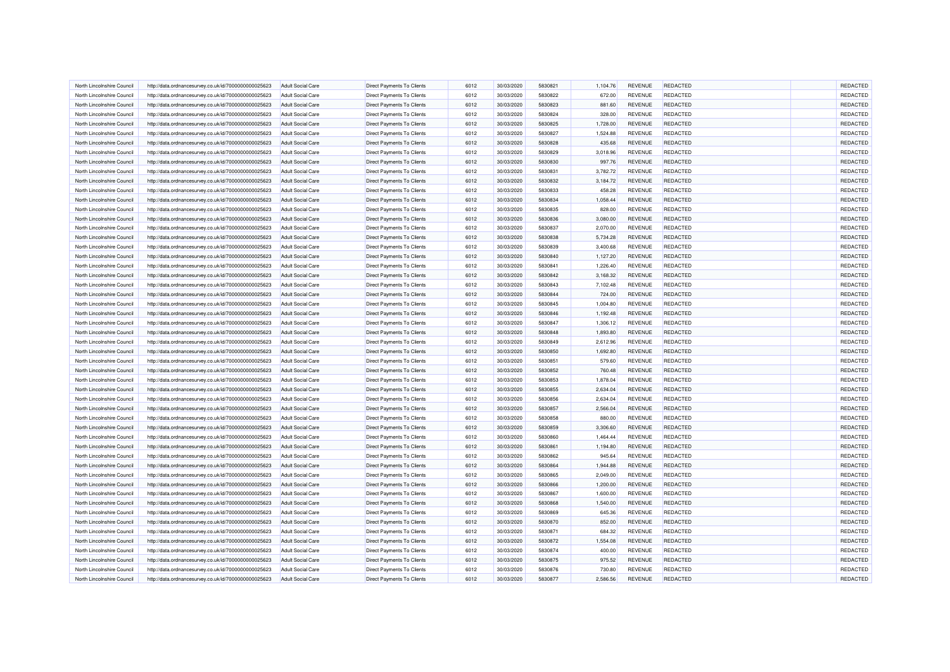| North Lincolnshire Council                               | http://data.ordnancesurvey.co.uk/id/7000000000025623 | <b>Adult Social Care</b>                             | <b>Direct Payments To Clients</b>                        | 6012         | 30/03/2020               | 5830821            | 1,104.76             | <b>REVENUE</b>                   | REDACTED                    | REDACTED             |
|----------------------------------------------------------|------------------------------------------------------|------------------------------------------------------|----------------------------------------------------------|--------------|--------------------------|--------------------|----------------------|----------------------------------|-----------------------------|----------------------|
| North Lincolnshire Council                               | http://data.ordnancesurvey.co.uk/id/7000000000025623 | <b>Adult Social Care</b>                             | Direct Payments To Clients                               | 6012         | 30/03/2020               | 5830822            | 672.00               | REVENUE                          | REDACTED                    | REDACTED             |
| North Lincolnshire Council                               | http://data.ordnancesurvey.co.uk/id/7000000000025623 | Adult Social Care                                    | Direct Payments To Clients                               | 6012         | 30/03/2020               | 5830823            | 881.60               | <b>REVENUE</b>                   | <b>REDACTED</b>             | REDACTED             |
| North Lincolnshire Council                               | http://data.ordnancesurvey.co.uk/id/7000000000025623 | <b>Adult Social Care</b>                             | <b>Direct Payments To Clients</b>                        | 6012         | 30/03/2020               | 5830824            | 328.00               | <b>REVENUE</b>                   | REDACTED                    | REDACTED             |
| North Lincolnshire Council                               | http://data.ordnancesurvey.co.uk/id/7000000000025623 | <b>Adult Social Care</b>                             | Direct Payments To Clients                               | 6012         | 30/03/2020               | 5830825            | 1,728.00             | REVENUE                          | <b>REDACTED</b>             | REDACTED             |
| North Lincolnshire Council                               | http://data.ordnancesurvey.co.uk/id/7000000000025623 | <b>Adult Social Care</b>                             | Direct Payments To Clients                               | 6012         | 30/03/2020               | 5830827            | 1,524.88             | <b>REVENUE</b>                   | REDACTED                    | REDACTED             |
| North Lincolnshire Council                               | http://data.ordnancesurvey.co.uk/id/7000000000025623 | <b>Adult Social Care</b>                             | Direct Payments To Clients                               | 6012         | 30/03/2020               | 5830828            | 435.68               | <b>REVENUE</b>                   | <b>REDACTED</b>             | REDACTED             |
| North Lincolnshire Council                               | http://data.ordnancesurvey.co.uk/id/7000000000025623 | <b>Adult Social Care</b>                             | Direct Payments To Clients                               | 6012         | 30/03/2020               | 5830829            | 3,018.96             | REVENUE                          | REDACTED                    | REDACTED             |
| North Lincolnshire Council                               | http://data.ordnancesurvey.co.uk/id/7000000000025623 | <b>Adult Social Care</b>                             | <b>Direct Payments To Clients</b>                        | 6012         | 30/03/2020               | 5830830            | 997.76               | <b>REVENUE</b>                   | <b>REDACTED</b>             | REDACTED             |
| North Lincolnshire Council                               | http://data.ordnancesurvey.co.uk/id/7000000000025623 | <b>Adult Social Care</b>                             | Direct Payments To Clients                               | 6012         | 30/03/2020               | 5830831            | 3,782.72             | <b>REVENUE</b>                   | REDACTED                    | REDACTED             |
| North Lincolnshire Council                               | http://data.ordnancesurvey.co.uk/id/7000000000025623 | <b>Adult Social Care</b>                             | Direct Payments To Clients                               | 6012         | 30/03/2020               | 5830832            | 3,184.72             | <b>REVENUE</b>                   | <b>REDACTED</b>             | REDACTED             |
| North Lincolnshire Council                               | http://data.ordnancesurvey.co.uk/id/7000000000025623 | <b>Adult Social Care</b>                             | Direct Payments To Clients                               | 6012         | 30/03/2020               | 5830833            | 458.28               | REVENUE                          | REDACTED                    | REDACTED             |
| North Lincolnshire Council                               | http://data.ordnancesurvey.co.uk/id/7000000000025623 | <b>Adult Social Care</b>                             | Direct Payments To Clients                               | 6012         | 30/03/2020               | 5830834            | 1,058.44             | REVENUE                          | REDACTED                    | REDACTED             |
| North Lincolnshire Council                               | http://data.ordnancesurvey.co.uk/id/7000000000025623 | <b>Adult Social Care</b>                             | <b>Direct Payments To Clients</b>                        | 6012         | 30/03/2020               | 5830835            | 828.00               | REVENUE                          | REDACTED                    | REDACTED             |
| North Lincolnshire Council                               | http://data.ordnancesurvey.co.uk/id/7000000000025623 | <b>Adult Social Care</b>                             | Direct Payments To Clients                               | 6012         | 30/03/2020               | 5830836            | 3,080.00             | <b>REVENUE</b>                   | <b>REDACTED</b>             | REDACTED             |
| North Lincolnshire Council                               | http://data.ordnancesurvey.co.uk/id/7000000000025623 | <b>Adult Social Care</b>                             | Direct Payments To Clients                               | 6012         | 30/03/2020               | 5830837            | 2,070.00             | REVENUE                          | REDACTED                    | REDACTED             |
| North Lincolnshire Council                               | http://data.ordnancesurvey.co.uk/id/7000000000025623 | <b>Adult Social Care</b>                             | Direct Payments To Clients                               | 6012         | 30/03/2020               | 5830838            | 5,734.28             | <b>REVENUE</b>                   | <b>REDACTED</b>             | REDACTED             |
| North Lincolnshire Council                               | http://data.ordnancesurvey.co.uk/id/7000000000025623 | <b>Adult Social Care</b>                             | Direct Payments To Clients                               | 6012         | 30/03/2020               | 5830839            | 3,400.68             | <b>REVENUE</b>                   | <b>REDACTED</b>             | REDACTED             |
| North Lincolnshire Council                               | http://data.ordnancesurvey.co.uk/id/7000000000025623 | <b>Adult Social Care</b>                             | Direct Payments To Clients                               | 6012         | 30/03/2020               | 5830840            | 1,127.20             | <b>REVENUE</b>                   | REDACTED                    | REDACTED             |
| North Lincolnshire Council                               | http://data.ordnancesurvey.co.uk/id/7000000000025623 | <b>Adult Social Care</b>                             | Direct Payments To Clients                               | 6012         | 30/03/2020               | 5830841            | 1,226.40             | REVENUE                          | <b>REDACTED</b>             | REDACTED             |
| North Lincolnshire Council                               | http://data.ordnancesurvey.co.uk/id/7000000000025623 | <b>Adult Social Care</b>                             | Direct Payments To Clients                               | 6012         | 30/03/2020               | 5830842            | 3,168.32             | REVENUE                          | REDACTED                    | REDACTED             |
| North Lincolnshire Council                               | http://data.ordnancesurvey.co.uk/id/7000000000025623 | <b>Adult Social Care</b>                             | Direct Payments To Clients                               | 6012         | 30/03/2020               | 5830843            | 7,102.48             | REVENUE                          | <b>REDACTED</b>             | REDACTED             |
| North Lincolnshire Council                               | http://data.ordnancesurvey.co.uk/id/7000000000025623 | <b>Adult Social Care</b>                             | Direct Payments To Clients                               | 6012         | 30/03/2020               | 5830844            | 724.00               | <b>REVENUE</b>                   | <b>REDACTED</b>             | REDACTED             |
| North Lincolnshire Council                               | http://data.ordnancesurvey.co.uk/id/7000000000025623 | Adult Social Care                                    | Direct Payments To Clients                               | 6012         | 30/03/2020               | 5830845            | 1,004.80             | REVENUE                          | REDACTED                    | REDACTED             |
| North Lincolnshire Council                               | http://data.ordnancesurvey.co.uk/id/7000000000025623 | <b>Adult Social Care</b>                             | Direct Payments To Clients                               | 6012         | 30/03/2020               | 5830846            | 1,192.48             | <b>REVENUE</b>                   | <b>REDACTED</b>             | REDACTED             |
| North Lincolnshire Council                               | http://data.ordnancesurvey.co.uk/id/7000000000025623 | <b>Adult Social Care</b>                             | Direct Payments To Clients                               | 6012         | 30/03/2020               | 5830847            | 1,306.12             | REVENUE                          | REDACTED                    | REDACTED             |
| North Lincolnshire Council                               | http://data.ordnancesurvey.co.uk/id/7000000000025623 | <b>Adult Social Care</b>                             | Direct Payments To Clients                               | 6012         | 30/03/2020               | 5830848            | 1,893.80             | <b>REVENUE</b>                   | <b>REDACTED</b>             | REDACTED             |
| North Lincolnshire Council                               | http://data.ordnancesurvey.co.uk/id/7000000000025623 | <b>Adult Social Care</b>                             | Direct Payments To Clients                               | 6012         | 30/03/2020               | 5830849            | 2,612.96             | REVENUE                          | REDACTED                    | REDACTED             |
| North Lincolnshire Council                               | http://data.ordnancesurvey.co.uk/id/7000000000025623 | <b>Adult Social Care</b>                             | Direct Payments To Clients                               | 6012         | 30/03/2020               | 5830850            | 1,692.80             | <b>REVENUE</b>                   | <b>REDACTED</b>             | REDACTED             |
| North Lincolnshire Council                               | http://data.ordnancesurvey.co.uk/id/7000000000025623 | <b>Adult Social Care</b>                             | Direct Payments To Clients                               | 6012         | 30/03/2020               | 5830851            | 579.60               | REVENUE                          | REDACTED                    | REDACTED             |
| North Lincolnshire Council                               | http://data.ordnancesurvey.co.uk/id/7000000000025623 | <b>Adult Social Care</b>                             | Direct Payments To Clients                               | 6012         | 30/03/2020               | 5830852            | 760.48               | <b>REVENUE</b>                   | REDACTED                    | REDACTED             |
| North Lincolnshire Council                               | http://data.ordnancesurvey.co.uk/id/7000000000025623 | <b>Adult Social Care</b>                             | Direct Payments To Clients                               | 6012         | 30/03/2020               | 5830853            | 1,878.04             | REVENUE                          | REDACTED                    | REDACTED             |
| North Lincolnshire Council                               | http://data.ordnancesurvey.co.uk/id/7000000000025623 | <b>Adult Social Care</b>                             | Direct Payments To Clients                               | 6012         | 30/03/2020               | 5830855            | 2,634.04             | <b>REVENUE</b>                   | <b>REDACTED</b>             | REDACTED             |
|                                                          |                                                      |                                                      |                                                          |              |                          |                    |                      |                                  |                             | REDACTED             |
| North Lincolnshire Council                               | http://data.ordnancesurvey.co.uk/id/7000000000025623 | <b>Adult Social Care</b>                             | Direct Payments To Clients                               | 6012<br>6012 | 30/03/2020<br>30/03/2020 | 5830856<br>5830857 | 2,634.04             | REVENUE<br><b>REVENUE</b>        | REDACTED<br>REDACTED        | REDACTED             |
| North Lincolnshire Council                               | http://data.ordnancesurvey.co.uk/id/7000000000025623 | Adult Social Care                                    | Direct Payments To Clients                               |              |                          |                    | 2,566.04             |                                  |                             | REDACTED             |
| North Lincolnshire Council                               | http://data.ordnancesurvey.co.uk/id/7000000000025623 | <b>Adult Social Care</b>                             | Direct Payments To Clients                               | 6012         | 30/03/2020               | 5830858            | 880.00               | <b>REVENUE</b>                   | REDACTED                    | REDACTED             |
| North Lincolnshire Council<br>North Lincolnshire Council | http://data.ordnancesurvey.co.uk/id/7000000000025623 | <b>Adult Social Care</b><br><b>Adult Social Care</b> | Direct Payments To Clients<br>Direct Payments To Clients | 6012<br>6012 | 30/03/2020<br>30/03/2020 | 5830859<br>5830860 | 3,306.60<br>1.464.44 | <b>REVENUE</b><br><b>REVENUE</b> | <b>REDACTED</b><br>REDACTED | REDACTED             |
|                                                          | http://data.ordnancesurvey.co.uk/id/7000000000025623 |                                                      |                                                          | 6012         |                          |                    |                      |                                  |                             |                      |
| North Lincolnshire Council                               | http://data.ordnancesurvey.co.uk/id/7000000000025623 | <b>Adult Social Care</b>                             | Direct Payments To Clients                               | 6012         | 30/03/2020               | 5830861<br>5830862 | 1,194.80             | <b>REVENUE</b>                   | REDACTED<br>REDACTED        | REDACTED<br>REDACTED |
| North Lincolnshire Council                               | http://data.ordnancesurvey.co.uk/id/7000000000025623 | <b>Adult Social Care</b>                             | Direct Payments To Clients                               |              | 30/03/2020               |                    | 945.64               | REVENUE                          |                             |                      |
| North Lincolnshire Council                               | http://data.ordnancesurvey.co.uk/id/7000000000025623 | <b>Adult Social Care</b>                             | Direct Payments To Clients                               | 6012         | 30/03/2020               | 5830864            | 1,944.88             | <b>REVENUE</b>                   | REDACTED                    | REDACTED             |
| North Lincolnshire Council                               | http://data.ordnancesurvey.co.uk/id/7000000000025623 | <b>Adult Social Care</b>                             | Direct Payments To Clients                               | 6012         | 30/03/2020               | 5830865            | 2,049.00             | <b>REVENUE</b>                   | <b>REDACTED</b>             | REDACTED             |
| North Lincolnshire Council                               | http://data.ordnancesurvey.co.uk/id/7000000000025623 | <b>Adult Social Care</b>                             | Direct Payments To Clients                               | 6012         | 30/03/2020               | 5830866            | 1,200.00             | REVENUE                          | REDACTED                    | REDACTED             |
| North Lincolnshire Council                               | http://data.ordnancesurvey.co.uk/id/7000000000025623 | <b>Adult Social Care</b>                             | Direct Payments To Clients                               | 6012         | 30/03/2020               | 5830867            | 1,600.00             | <b>REVENUE</b>                   | REDACTED                    | REDACTED             |
| North Lincolnshire Council                               | http://data.ordnancesurvey.co.uk/id/7000000000025623 | <b>Adult Social Care</b>                             | Direct Payments To Clients                               | 6012         | 30/03/2020               | 5830868            | 1,540.00             | <b>REVENUE</b>                   | <b>REDACTED</b>             | REDACTED             |
| North Lincolnshire Council                               | http://data.ordnancesurvey.co.uk/id/7000000000025623 | <b>Adult Social Care</b>                             | Direct Payments To Clients                               | 6012         | 30/03/2020               | 5830869            | 645.36               | REVENUE                          | REDACTED                    | REDACTED             |
| North Lincolnshire Council                               | http://data.ordnancesurvey.co.uk/id/7000000000025623 | <b>Adult Social Care</b>                             | Direct Payments To Clients                               | 6012         | 30/03/2020               | 5830870            | 852.00               | <b>REVENUE</b>                   | REDACTED                    | REDACTED             |
| North Lincolnshire Council                               | http://data.ordnancesurvey.co.uk/id/7000000000025623 | <b>Adult Social Care</b>                             | Direct Payments To Clients                               | 6012         | 30/03/2020               | 5830871            | 684.32               | REVENUE                          | REDACTED                    | REDACTED             |
| North Lincolnshire Council                               | http://data.ordnancesurvey.co.uk/id/7000000000025623 | <b>Adult Social Care</b>                             | Direct Payments To Clients                               | 6012         | 30/03/2020               | 5830872            | 1,554.08             | <b>REVENUE</b>                   | <b>REDACTED</b>             | REDACTED             |
| North Lincolnshire Council                               | http://data.ordnancesurvey.co.uk/id/7000000000025623 | <b>Adult Social Care</b>                             | Direct Payments To Clients                               | 6012         | 30/03/2020               | 5830874            | 400.00               | <b>REVENUE</b>                   | REDACTED                    | REDACTED             |
| North Lincolnshire Council                               | http://data.ordnancesurvey.co.uk/id/7000000000025623 | <b>Adult Social Care</b>                             | Direct Payments To Clients                               | 6012         | 30/03/2020               | 5830875            | 975.52               | REVENUE                          | REDACTED                    | REDACTED             |
| North Lincolnshire Council                               | http://data.ordnancesurvey.co.uk/id/7000000000025623 | <b>Adult Social Care</b>                             | Direct Payments To Clients                               | 6012         | 30/03/2020               | 5830876            | 730.80               | <b>REVENUE</b>                   | <b>REDACTED</b>             | REDACTED             |
| North Lincolnshire Council                               | http://data.ordnancesurvey.co.uk/id/7000000000025623 | Adult Social Care                                    | Direct Payments To Clients                               | 6012         | 30/03/2020               | 5830877            | 2,586.56             | REVENUE                          | <b>REDACTED</b>             | REDACTED             |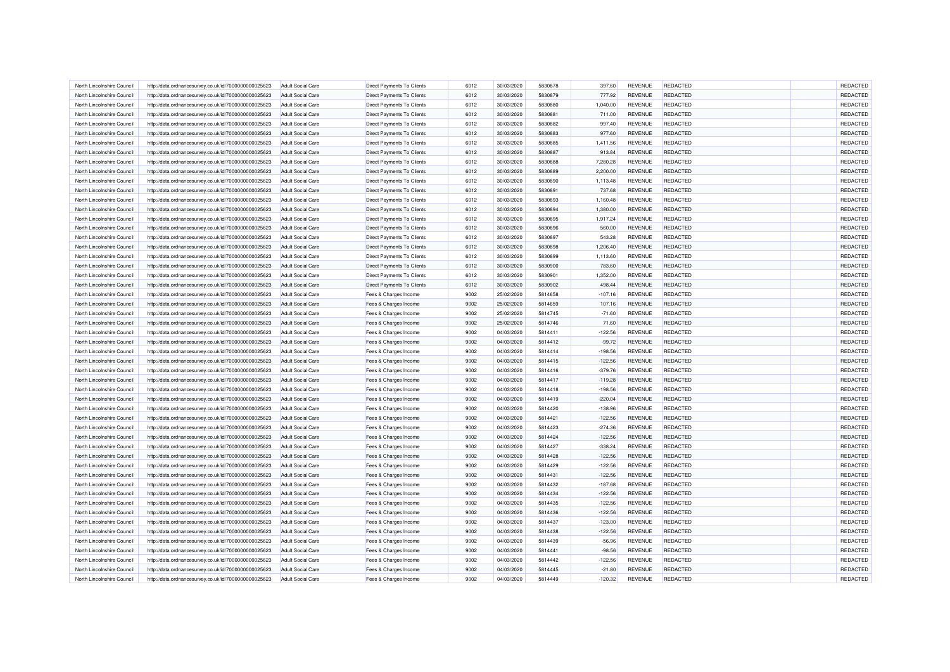| North Lincolnshire Council | http://data.ordnancesurvey.co.uk/id/7000000000025623 | <b>Adult Social Care</b> | Direct Payments To Clients        | 6012 | 30/03/2020 | 5830878 | 397.60    | REVENUE        | REDACTED        | REDACTED |
|----------------------------|------------------------------------------------------|--------------------------|-----------------------------------|------|------------|---------|-----------|----------------|-----------------|----------|
| North Lincolnshire Council | http://data.ordnancesurvey.co.uk/id/7000000000025623 | <b>Adult Social Care</b> | <b>Direct Payments To Clients</b> | 6012 | 30/03/2020 | 5830879 | 777.92    | REVENUE        | <b>REDACTED</b> | REDACTED |
| North Lincolnshire Council | http://data.ordnancesurvey.co.uk/id/7000000000025623 | <b>Adult Social Care</b> | Direct Payments To Clients        | 6012 | 30/03/2020 | 5830880 | 1,040.00  | REVENUE        | <b>REDACTED</b> | REDACTED |
| North Lincolnshire Council | http://data.ordnancesurvey.co.uk/id/7000000000025623 | <b>Adult Social Care</b> | <b>Direct Payments To Clients</b> | 6012 | 30/03/2020 | 5830881 | 711.00    | REVENUE        | REDACTED        | REDACTED |
| North Lincolnshire Council | http://data.ordnancesurvey.co.uk/id/7000000000025623 | <b>Adult Social Care</b> | Direct Payments To Clients        | 6012 | 30/03/2020 | 5830882 | 997.40    | REVENUE        | <b>REDACTED</b> | REDACTED |
| North Lincolnshire Council | http://data.ordnancesurvey.co.uk/id/7000000000025623 | <b>Adult Social Care</b> | Direct Payments To Clients        | 6012 | 30/03/2020 | 5830883 | 977.60    | <b>REVENUE</b> | <b>REDACTED</b> | REDACTED |
| North Lincolnshire Council | http://data.ordnancesurvey.co.uk/id/7000000000025623 | <b>Adult Social Care</b> | Direct Payments To Clients        | 6012 | 30/03/2020 | 5830885 | 1,411.56  | <b>REVENUE</b> | REDACTED        | REDACTED |
| North Lincolnshire Council | http://data.ordnancesurvey.co.uk/id/7000000000025623 | <b>Adult Social Care</b> | <b>Direct Payments To Clients</b> | 6012 | 30/03/2020 | 5830887 | 913.84    | REVENUE        | REDACTED        | REDACTED |
| North Lincolnshire Council | http://data.ordnancesurvey.co.uk/id/7000000000025623 | Adult Social Care        | Direct Payments To Clients        | 6012 | 30/03/2020 | 5830888 | 7,280.28  | <b>REVENUE</b> | REDACTED        | REDACTED |
| North Lincolnshire Council | http://data.ordnancesurvey.co.uk/id/7000000000025623 | <b>Adult Social Care</b> | Direct Payments To Clients        | 6012 | 30/03/2020 | 5830889 | 2,200.00  | <b>REVENUE</b> | <b>REDACTED</b> | REDACTED |
| North Lincolnshire Council | http://data.ordnancesurvey.co.uk/id/7000000000025623 | <b>Adult Social Care</b> | Direct Payments To Clients        | 6012 | 30/03/2020 | 5830890 | 1,113.48  | REVENUE        | REDACTED        | REDACTED |
| North Lincolnshire Council | http://data.ordnancesurvey.co.uk/id/7000000000025623 | <b>Adult Social Care</b> | <b>Direct Payments To Clients</b> | 6012 | 30/03/2020 | 5830891 | 737.68    | REVENUE        | REDACTED        | REDACTED |
| North Lincolnshire Council | http://data.ordnancesurvey.co.uk/id/7000000000025623 | <b>Adult Social Care</b> | Direct Payments To Clients        | 6012 | 30/03/2020 | 5830893 | 1,160.48  | REVENUE        | <b>REDACTED</b> | REDACTED |
| North Lincolnshire Council | http://data.ordnancesurvey.co.uk/id/7000000000025623 | <b>Adult Social Care</b> | Direct Payments To Clients        | 6012 | 30/03/2020 | 5830894 | 1,380.00  | REVENUE        | REDACTED        | REDACTED |
| North Lincolnshire Council | http://data.ordnancesurvey.co.uk/id/7000000000025623 | <b>Adult Social Care</b> | Direct Payments To Clients        | 6012 | 30/03/2020 | 5830895 | 1,917.24  | <b>REVENUE</b> | <b>REDACTED</b> | REDACTED |
| North Lincolnshire Council | http://data.ordnancesurvey.co.uk/id/7000000000025623 | <b>Adult Social Care</b> | Direct Payments To Clients        | 6012 | 30/03/2020 | 5830896 | 560.00    | <b>REVENUE</b> | <b>REDACTED</b> | REDACTED |
| North Lincolnshire Council | http://data.ordnancesurvey.co.uk/id/7000000000025623 | <b>Adult Social Care</b> | Direct Payments To Clients        | 6012 | 30/03/2020 | 5830897 | 543.28    | <b>REVENUE</b> | REDACTED        | REDACTED |
| North Lincolnshire Council | http://data.ordnancesurvey.co.uk/id/7000000000025623 | <b>Adult Social Care</b> | <b>Direct Payments To Clients</b> | 6012 | 30/03/2020 | 5830898 | 1,206.40  | <b>REVENUE</b> | <b>REDACTED</b> | REDACTED |
| North Lincolnshire Council | http://data.ordnancesurvey.co.uk/id/7000000000025623 | <b>Adult Social Care</b> | Direct Payments To Clients        | 6012 | 30/03/2020 | 5830899 | 1,113.60  | REVENUE        | REDACTED        | REDACTED |
| North Lincolnshire Council | http://data.ordnancesurvey.co.uk/id/7000000000025623 | <b>Adult Social Care</b> | Direct Payments To Clients        | 6012 | 30/03/2020 | 5830900 | 783.60    | REVENUE        | REDACTED        | REDACTED |
| North Lincolnshire Council |                                                      | <b>Adult Social Care</b> | Direct Payments To Clients        | 6012 | 30/03/2020 | 5830901 | 1,352.00  | REVENUE        | REDACTED        | REDACTED |
| North Lincolnshire Council | http://data.ordnancesurvey.co.uk/id/7000000000025623 | <b>Adult Social Care</b> |                                   | 6012 | 30/03/2020 | 5830902 |           | REVENUE        | <b>REDACTED</b> | REDACTED |
|                            | http://data.ordnancesurvey.co.uk/id/7000000000025623 |                          | Direct Payments To Clients        |      |            |         | 498.44    |                |                 | REDACTED |
| North Lincolnshire Council | http://data.ordnancesurvey.co.uk/id/7000000000025623 | <b>Adult Social Care</b> | Fees & Charges Income             | 9002 | 25/02/2020 | 5814658 | $-107.16$ | <b>REVENUE</b> | <b>REDACTED</b> |          |
| North Lincolnshire Council | http://data.ordnancesurvey.co.uk/id/7000000000025623 | <b>Adult Social Care</b> | Fees & Charges Income             | 9002 | 25/02/2020 | 5814659 | 107.16    | REVENUE        | REDACTED        | REDACTED |
| North Lincolnshire Council | http://data.ordnancesurvey.co.uk/id/7000000000025623 | <b>Adult Social Care</b> | Fees & Charges Income             | 9002 | 25/02/2020 | 5814745 | $-71.60$  | REVENUE        | REDACTED        | REDACTED |
| North Lincolnshire Council | http://data.ordnancesurvey.co.uk/id/7000000000025623 | <b>Adult Social Care</b> | Fees & Charges Income             | 9002 | 25/02/2020 | 5814746 | 71.60     | REVENUE        | <b>REDACTED</b> | REDACTED |
| North Lincolnshire Council | http://data.ordnancesurvey.co.uk/id/7000000000025623 | <b>Adult Social Care</b> | Fees & Charges Income             | 9002 | 04/03/2020 | 5814411 | $-122.56$ | <b>REVENUE</b> | <b>REDACTED</b> | REDACTED |
| North Lincolnshire Council | http://data.ordnancesurvey.co.uk/id/7000000000025623 | <b>Adult Social Care</b> | Fees & Charges Income             | 9002 | 04/03/2020 | 5814412 | $-99.72$  | REVENUE        | REDACTED        | REDACTED |
| North Lincolnshire Council | http://data.ordnancesurvey.co.uk/id/7000000000025623 | <b>Adult Social Care</b> | Fees & Charges Income             | 9002 | 04/03/2020 | 5814414 | $-198.56$ | <b>REVENUE</b> | REDACTED        | REDACTED |
| North Lincolnshire Council | http://data.ordnancesurvey.co.uk/id/7000000000025623 | <b>Adult Social Care</b> | Fees & Charges Income             | 9002 | 04/03/2020 | 5814415 | $-122.56$ | REVENUE        | <b>REDACTED</b> | REDACTED |
| North Lincolnshire Council | http://data.ordnancesurvey.co.uk/id/7000000000025623 | <b>Adult Social Care</b> | Fees & Charges Income             | 9002 | 04/03/2020 | 5814416 | $-379.76$ | <b>REVENUE</b> | REDACTED        | REDACTED |
| North Lincolnshire Council | http://data.ordnancesurvey.co.uk/id/7000000000025623 | <b>Adult Social Care</b> | Fees & Charges Income             | 9002 | 04/03/2020 | 5814417 | $-119.28$ | REVENUE        | <b>REDACTED</b> | REDACTED |
| North Lincolnshire Council | http://data.ordnancesurvey.co.uk/id/7000000000025623 | <b>Adult Social Care</b> | Fees & Charges Income             | 9002 | 04/03/2020 | 5814418 | $-198.56$ | <b>REVENUE</b> | <b>REDACTED</b> | REDACTED |
| North Lincolnshire Council | http://data.ordnancesurvey.co.uk/id/7000000000025623 | <b>Adult Social Care</b> | Fees & Charges Income             | 9002 | 04/03/2020 | 5814419 | $-220.04$ | REVENUE        | <b>REDACTED</b> | REDACTED |
| North Lincolnshire Council | http://data.ordnancesurvey.co.uk/id/7000000000025623 | <b>Adult Social Care</b> | Fees & Charges Income             | 9002 | 04/03/2020 | 5814420 | $-138.96$ | REVENUE        | REDACTED        | REDACTED |
| North Lincolnshire Council | http://data.ordnancesurvey.co.uk/id/7000000000025623 | Adult Social Care        | Fees & Charges Income             | 9002 | 04/03/2020 | 5814421 | $-122.56$ | <b>REVENUE</b> | <b>REDACTED</b> | REDACTED |
| North Lincolnshire Council | http://data.ordnancesurvey.co.uk/id/7000000000025623 | <b>Adult Social Care</b> | Fees & Charges Income             | 9002 | 04/03/2020 | 5814423 | $-274.36$ | <b>REVENUE</b> | <b>REDACTED</b> | REDACTED |
| North Lincolnshire Council | http://data.ordnancesurvey.co.uk/id/7000000000025623 | <b>Adult Social Care</b> | Fees & Charges Income             | 9002 | 04/03/2020 | 5814424 | $-122.56$ | REVENUE        | <b>REDACTED</b> | REDACTED |
| North Lincolnshire Council | http://data.ordnancesurvey.co.uk/id/7000000000025623 | <b>Adult Social Care</b> | Fees & Charges Income             | 9002 | 04/03/2020 | 5814427 | $-338.24$ | REVENUE        | REDACTED        | REDACTED |
| North Lincolnshire Council | http://data.ordnancesurvey.co.uk/id/7000000000025623 | <b>Adult Social Care</b> | Fees & Charges Income             | 9002 | 04/03/2020 | 5814428 | $-122.56$ | REVENUE        | REDACTED        | REDACTED |
| North Lincolnshire Council | http://data.ordnancesurvey.co.uk/id/7000000000025623 | <b>Adult Social Care</b> | Fees & Charges Income             | 9002 | 04/03/2020 | 5814429 | $-122.56$ | REVENUE        | REDACTED        | REDACTED |
| North Lincolnshire Council | http://data.ordnancesurvey.co.uk/id/7000000000025623 | <b>Adult Social Care</b> | Fees & Charges Income             | 9002 | 04/03/2020 | 5814431 | $-122.56$ | REVENUE        | <b>REDACTED</b> | REDACTED |
| North Lincolnshire Council | http://data.ordnancesurvey.co.uk/id/7000000000025623 | <b>Adult Social Care</b> | Fees & Charges Income             | 9002 | 04/03/2020 | 5814432 | $-187.68$ | REVENUE        | <b>REDACTED</b> | REDACTED |
| North Lincolnshire Council | http://data.ordnancesurvey.co.uk/id/7000000000025623 | <b>Adult Social Care</b> | Fees & Charges Income             | 9002 | 04/03/2020 | 5814434 | $-122.56$ | <b>REVENUE</b> | <b>REDACTED</b> | REDACTED |
| North Lincolnshire Council | http://data.ordnancesurvey.co.uk/id/7000000000025623 | <b>Adult Social Care</b> | Fees & Charges Income             | 9002 | 04/03/2020 | 5814435 | $-122.56$ | REVENUE        | <b>REDACTED</b> | REDACTED |
| North Lincolnshire Council | http://data.ordnancesurvey.co.uk/id/7000000000025623 | <b>Adult Social Care</b> | Fees & Charges Income             | 9002 | 04/03/2020 | 5814436 | $-122.56$ | REVENUE        | REDACTED        | REDACTED |
| North Lincolnshire Council | http://data.ordnancesurvey.co.uk/id/7000000000025623 | <b>Adult Social Care</b> | Fees & Charges Income             | 9002 | 04/03/2020 | 5814437 | $-123.00$ | REVENUE        | REDACTED        | REDACTED |
| North Lincolnshire Council | http://data.ordnancesurvey.co.uk/id/7000000000025623 | <b>Adult Social Care</b> | Fees & Charges Income             | 9002 | 04/03/2020 | 5814438 | $-122.56$ | REVENUE        | <b>REDACTED</b> | REDACTED |
| North Lincolnshire Council | http://data.ordnancesurvey.co.uk/id/7000000000025623 | <b>Adult Social Care</b> | Fees & Charges Income             | 9002 | 04/03/2020 | 5814439 | $-56.96$  | REVENUE        | <b>REDACTED</b> | REDACTED |
| North Lincolnshire Council | http://data.ordnancesurvey.co.uk/id/7000000000025623 | <b>Adult Social Care</b> | Fees & Charges Income             | 9002 | 04/03/2020 | 5814441 | $-98.56$  | <b>REVENUE</b> | <b>REDACTED</b> | REDACTED |
| North Lincolnshire Council | http://data.ordnancesurvey.co.uk/id/7000000000025623 | <b>Adult Social Care</b> | Fees & Charges Income             | 9002 | 04/03/2020 | 5814442 | $-122.56$ | REVENUE        | REDACTED        | REDACTED |
| North Lincolnshire Council | http://data.ordnancesurvey.co.uk/id/7000000000025623 | <b>Adult Social Care</b> | Fees & Charges Income             | 9002 | 04/03/2020 | 5814445 | $-21.80$  | <b>REVENUE</b> | <b>REDACTED</b> | REDACTED |
| North Lincolnshire Council | http://data.ordnancesurvey.co.uk/id/7000000000025623 | <b>Adult Social Care</b> | Fees & Charges Income             | 9002 | 04/03/2020 | 5814449 | $-120.32$ | <b>REVENUE</b> | <b>REDACTED</b> | REDACTED |
|                            |                                                      |                          |                                   |      |            |         |           |                |                 |          |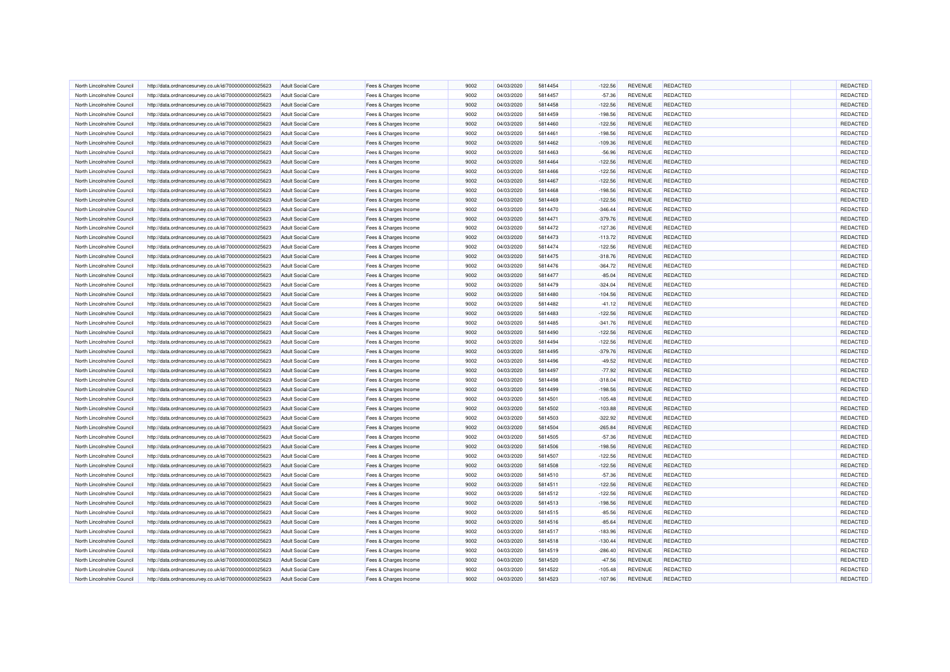| North Lincolnshire Council | http://data.ordnancesurvey.co.uk/id/7000000000025623 | <b>Adult Social Care</b> | Fees & Charges Income | 9002 | 04/03/2020 | 5814454 | $-122.56$ | REVENUE        | REDACTED        | REDACTED |
|----------------------------|------------------------------------------------------|--------------------------|-----------------------|------|------------|---------|-----------|----------------|-----------------|----------|
| North Lincolnshire Council | http://data.ordnancesurvey.co.uk/id/7000000000025623 | <b>Adult Social Care</b> | Fees & Charges Income | 9002 | 04/03/2020 | 5814457 | $-57.36$  | REVENUE        | <b>REDACTED</b> | REDACTED |
| North Lincolnshire Council | http://data.ordnancesurvey.co.uk/id/7000000000025623 | <b>Adult Social Care</b> | Fees & Charges Income | 9002 | 04/03/2020 | 5814458 | $-122.56$ | REVENUE        | <b>REDACTED</b> | REDACTED |
| North Lincolnshire Council | http://data.ordnancesurvey.co.uk/id/7000000000025623 | <b>Adult Social Care</b> | Fees & Charges Income | 9002 | 04/03/2020 | 5814459 | $-198.56$ | REVENUE        | REDACTED        | REDACTED |
| North Lincolnshire Council | http://data.ordnancesurvey.co.uk/id/7000000000025623 | <b>Adult Social Care</b> | Fees & Charges Income | 9002 | 04/03/2020 | 5814460 | $-122.56$ | REVENUE        | <b>REDACTED</b> | REDACTED |
| North Lincolnshire Council | http://data.ordnancesurvey.co.uk/id/7000000000025623 | <b>Adult Social Care</b> | Fees & Charges Income | 9002 | 04/03/2020 | 5814461 | $-198.56$ | <b>REVENUE</b> | <b>REDACTED</b> | REDACTED |
| North Lincolnshire Council | http://data.ordnancesurvey.co.uk/id/7000000000025623 | <b>Adult Social Care</b> | Fees & Charges Income | 9002 | 04/03/2020 | 5814462 | $-109.36$ | <b>REVENUE</b> | <b>REDACTED</b> | REDACTED |
| North Lincolnshire Council | http://data.ordnancesurvey.co.uk/id/7000000000025623 | <b>Adult Social Care</b> | Fees & Charges Income | 9002 | 04/03/2020 | 5814463 | $-56.96$  | REVENUE        | REDACTED        | REDACTED |
| North Lincolnshire Council | http://data.ordnancesurvey.co.uk/id/7000000000025623 | Adult Social Care        | Fees & Charges Income | 9002 | 04/03/2020 | 5814464 | $-122.56$ | <b>REVENUE</b> | <b>REDACTED</b> | REDACTED |
| North Lincolnshire Council | http://data.ordnancesurvey.co.uk/id/7000000000025623 | <b>Adult Social Care</b> | Fees & Charges Income | 9002 | 04/03/2020 | 5814466 | $-122.56$ | REVENUE        | <b>REDACTED</b> | REDACTED |
| North Lincolnshire Council | http://data.ordnancesurvey.co.uk/id/7000000000025623 | <b>Adult Social Care</b> | Fees & Charges Income | 9002 | 04/03/2020 | 5814467 | $-122.56$ | REVENUE        | <b>REDACTED</b> | REDACTED |
| North Lincolnshire Council | http://data.ordnancesurvey.co.uk/id/7000000000025623 | <b>Adult Social Care</b> | Fees & Charges Income | 9002 | 04/03/2020 | 5814468 | $-198.56$ | REVENUE        | REDACTED        | REDACTED |
| North Lincolnshire Council | http://data.ordnancesurvey.co.uk/id/7000000000025623 | <b>Adult Social Care</b> | Fees & Charges Income | 9002 | 04/03/2020 | 5814469 | $-122.56$ | REVENUE        | REDACTED        | REDACTED |
| North Lincolnshire Council | http://data.ordnancesurvey.co.uk/id/7000000000025623 | <b>Adult Social Care</b> | Fees & Charges Income | 9002 | 04/03/2020 | 5814470 | $-346.44$ | REVENUE        | REDACTED        | REDACTED |
| North Lincolnshire Council | http://data.ordnancesurvey.co.uk/id/7000000000025623 | <b>Adult Social Care</b> | Fees & Charges Income | 9002 | 04/03/2020 | 5814471 | $-379.76$ | <b>REVENUE</b> | <b>REDACTED</b> | REDACTED |
| North Lincolnshire Council | http://data.ordnancesurvey.co.uk/id/7000000000025623 | <b>Adult Social Care</b> | Fees & Charges Income | 9002 | 04/03/2020 | 5814472 | $-127.36$ | REVENUE        | <b>REDACTED</b> | REDACTED |
| North Lincolnshire Council | http://data.ordnancesurvey.co.uk/id/7000000000025623 | <b>Adult Social Care</b> | Fees & Charges Income | 9002 | 04/03/2020 | 5814473 | $-113.72$ | <b>REVENUE</b> | <b>REDACTED</b> | REDACTED |
| North Lincolnshire Council | http://data.ordnancesurvey.co.uk/id/7000000000025623 | <b>Adult Social Care</b> | Fees & Charges Income | 9002 | 04/03/2020 | 5814474 | $-122.56$ | <b>REVENUE</b> | <b>REDACTED</b> | REDACTED |
| North Lincolnshire Council | http://data.ordnancesurvey.co.uk/id/7000000000025623 | <b>Adult Social Care</b> | Fees & Charges Income | 9002 | 04/03/2020 | 5814475 | $-318.76$ | REVENUE        | REDACTED        | REDACTED |
| North Lincolnshire Council | http://data.ordnancesurvey.co.uk/id/7000000000025623 | <b>Adult Social Care</b> | Fees & Charges Income | 9002 | 04/03/2020 | 5814476 | $-364.72$ | REVENUE        | REDACTED        | REDACTED |
| North Lincolnshire Council | http://data.ordnancesurvey.co.uk/id/7000000000025623 | <b>Adult Social Care</b> | Fees & Charges Income | 9002 | 04/03/2020 | 5814477 | $-85.04$  | REVENUE        | <b>REDACTED</b> | REDACTED |
| North Lincolnshire Council |                                                      | <b>Adult Social Care</b> |                       | 9002 | 04/03/2020 | 5814479 | $-324.04$ | REVENUE        | <b>REDACTED</b> | REDACTED |
|                            | http://data.ordnancesurvey.co.uk/id/7000000000025623 |                          | Fees & Charges Income |      |            |         |           |                |                 | REDACTED |
| North Lincolnshire Council | http://data.ordnancesurvey.co.uk/id/7000000000025623 | <b>Adult Social Care</b> | Fees & Charges Income | 9002 | 04/03/2020 | 5814480 | $-104.56$ | <b>REVENUE</b> | <b>REDACTED</b> |          |
| North Lincolnshire Council | http://data.ordnancesurvey.co.uk/id/7000000000025623 | <b>Adult Social Care</b> | Fees & Charges Income | 9002 | 04/03/2020 | 5814482 | $-41.12$  | REVENUE        | REDACTED        | REDACTED |
| North Lincolnshire Council | http://data.ordnancesurvey.co.uk/id/7000000000025623 | <b>Adult Social Care</b> | Fees & Charges Income | 9002 | 04/03/2020 | 5814483 | $-122.56$ | REVENUE        | REDACTED        | REDACTED |
| North Lincolnshire Council | http://data.ordnancesurvey.co.uk/id/7000000000025623 | <b>Adult Social Care</b> | Fees & Charges Income | 9002 | 04/03/2020 | 5814485 | $-341.76$ | <b>REVENUE</b> | REDACTED        | REDACTED |
| North Lincolnshire Council | http://data.ordnancesurvey.co.uk/id/7000000000025623 | <b>Adult Social Care</b> | Fees & Charges Income | 9002 | 04/03/2020 | 5814490 | $-122.56$ | <b>REVENUE</b> | <b>REDACTED</b> | REDACTED |
| North Lincolnshire Council | http://data.ordnancesurvey.co.uk/id/7000000000025623 | <b>Adult Social Care</b> | Fees & Charges Income | 9002 | 04/03/2020 | 5814494 | $-122.56$ | REVENUE        | REDACTED        | REDACTED |
| North Lincolnshire Council | http://data.ordnancesurvey.co.uk/id/7000000000025623 | <b>Adult Social Care</b> | Fees & Charges Income | 9002 | 04/03/2020 | 5814495 | $-379.76$ | <b>REVENUE</b> | <b>REDACTED</b> | REDACTED |
| North Lincolnshire Council | http://data.ordnancesurvey.co.uk/id/7000000000025623 | <b>Adult Social Care</b> | Fees & Charges Income | 9002 | 04/03/2020 | 5814496 | $-49.52$  | REVENUE        | <b>REDACTED</b> | REDACTED |
| North Lincolnshire Council | http://data.ordnancesurvey.co.uk/id/7000000000025623 | <b>Adult Social Care</b> | Fees & Charges Income | 9002 | 04/03/2020 | 5814497 | $-77.92$  | REVENUE        | REDACTED        | REDACTED |
| North Lincolnshire Council | http://data.ordnancesurvey.co.uk/id/7000000000025623 | <b>Adult Social Care</b> | Fees & Charges Income | 9002 | 04/03/2020 | 5814498 | $-318.04$ | REVENUE        | <b>REDACTED</b> | REDACTED |
| North Lincolnshire Council | http://data.ordnancesurvey.co.uk/id/7000000000025623 | <b>Adult Social Care</b> | Fees & Charges Income | 9002 | 04/03/2020 | 5814499 | $-198.56$ | <b>REVENUE</b> | <b>REDACTED</b> | REDACTED |
| North Lincolnshire Council | http://data.ordnancesurvey.co.uk/id/7000000000025623 | <b>Adult Social Care</b> | Fees & Charges Income | 9002 | 04/03/2020 | 5814501 | $-105.48$ | REVENUE        | REDACTED        | REDACTED |
| North Lincolnshire Council | http://data.ordnancesurvey.co.uk/id/7000000000025623 | <b>Adult Social Care</b> | Fees & Charges Income | 9002 | 04/03/2020 | 5814502 | $-103.88$ | <b>REVENUE</b> | REDACTED        | REDACTED |
| North Lincolnshire Council | http://data.ordnancesurvey.co.uk/id/7000000000025623 | Adult Social Care        | Fees & Charges Income | 9002 | 04/03/2020 | 5814503 | $-322.92$ | <b>REVENUE</b> | REDACTED        | REDACTED |
| North Lincolnshire Council | http://data.ordnancesurvey.co.uk/id/7000000000025623 | <b>Adult Social Care</b> | Fees & Charges Income | 9002 | 04/03/2020 | 5814504 | $-265.84$ | <b>REVENUE</b> | <b>REDACTED</b> | REDACTED |
| North Lincolnshire Council | http://data.ordnancesurvey.co.uk/id/7000000000025623 | <b>Adult Social Care</b> | Fees & Charges Income | 9002 | 04/03/2020 | 5814505 | $-57.36$  | <b>REVENUE</b> | <b>REDACTED</b> | REDACTED |
| North Lincolnshire Council | http://data.ordnancesurvey.co.uk/id/7000000000025623 | <b>Adult Social Care</b> | Fees & Charges Income | 9002 | 04/03/2020 | 5814506 | $-198.56$ | <b>REVENUE</b> | REDACTED        | REDACTED |
| North Lincolnshire Council | http://data.ordnancesurvey.co.uk/id/7000000000025623 | <b>Adult Social Care</b> | Fees & Charges Income | 9002 | 04/03/2020 | 5814507 | $-122.56$ | <b>REVENUE</b> | REDACTED        | REDACTED |
| North Lincolnshire Council | http://data.ordnancesurvey.co.uk/id/7000000000025623 | <b>Adult Social Care</b> | Fees & Charges Income | 9002 | 04/03/2020 | 5814508 | $-122.56$ | <b>REVENUE</b> | REDACTED        | REDACTED |
| North Lincolnshire Council | http://data.ordnancesurvey.co.uk/id/7000000000025623 | <b>Adult Social Care</b> | Fees & Charges Income | 9002 | 04/03/2020 | 5814510 | $-57.36$  | REVENUE        | <b>REDACTED</b> | REDACTED |
| North Lincolnshire Council | http://data.ordnancesurvey.co.uk/id/7000000000025623 | <b>Adult Social Care</b> | Fees & Charges Income | 9002 | 04/03/2020 | 5814511 | $-122.56$ | REVENUE        | <b>REDACTED</b> | REDACTED |
| North Lincolnshire Council | http://data.ordnancesurvey.co.uk/id/7000000000025623 | <b>Adult Social Care</b> | Fees & Charges Income | 9002 | 04/03/2020 | 5814512 | $-122.56$ | <b>REVENUE</b> | <b>REDACTED</b> | REDACTED |
| North Lincolnshire Council | http://data.ordnancesurvey.co.uk/id/7000000000025623 | <b>Adult Social Care</b> | Fees & Charges Income | 9002 | 04/03/2020 | 5814513 | $-198.56$ | <b>REVENUE</b> | <b>REDACTED</b> | REDACTED |
| North Lincolnshire Council | http://data.ordnancesurvey.co.uk/id/7000000000025623 | <b>Adult Social Care</b> | Fees & Charges Income | 9002 | 04/03/2020 | 5814515 | $-85.56$  | <b>REVENUE</b> | REDACTED        | REDACTED |
| North Lincolnshire Council | http://data.ordnancesurvey.co.uk/id/7000000000025623 | <b>Adult Social Care</b> | Fees & Charges Income | 9002 | 04/03/2020 | 5814516 | $-85.64$  | <b>REVENUE</b> | REDACTED        | REDACTED |
| North Lincolnshire Council | http://data.ordnancesurvey.co.uk/id/7000000000025623 | <b>Adult Social Care</b> | Fees & Charges Income | 9002 | 04/03/2020 | 5814517 | $-183.96$ | REVENUE        | REDACTED        | REDACTED |
| North Lincolnshire Council | http://data.ordnancesurvey.co.uk/id/7000000000025623 | <b>Adult Social Care</b> | Fees & Charges Income | 9002 | 04/03/2020 | 5814518 | $-130.44$ | <b>REVENUE</b> | <b>REDACTED</b> | REDACTED |
| North Lincolnshire Council | http://data.ordnancesurvey.co.uk/id/7000000000025623 | <b>Adult Social Care</b> | Fees & Charges Income | 9002 | 04/03/2020 | 5814519 | $-286.40$ | <b>REVENUE</b> | <b>REDACTED</b> | REDACTED |
| North Lincolnshire Council | http://data.ordnancesurvey.co.uk/id/7000000000025623 | <b>Adult Social Care</b> | Fees & Charges Income | 9002 | 04/03/2020 | 5814520 | $-47.56$  | REVENUE        | REDACTED        | REDACTED |
| North Lincolnshire Council | http://data.ordnancesurvey.co.uk/id/7000000000025623 | <b>Adult Social Care</b> | Fees & Charges Income | 9002 | 04/03/2020 | 5814522 | $-105.48$ | <b>REVENUE</b> | REDACTED        | REDACTED |
| North Lincolnshire Council | http://data.ordnancesurvey.co.uk/id/7000000000025623 | <b>Adult Social Care</b> | Fees & Charges Income | 9002 | 04/03/2020 | 5814523 | $-107.96$ | <b>REVENUE</b> | <b>REDACTED</b> | REDACTED |
|                            |                                                      |                          |                       |      |            |         |           |                |                 |          |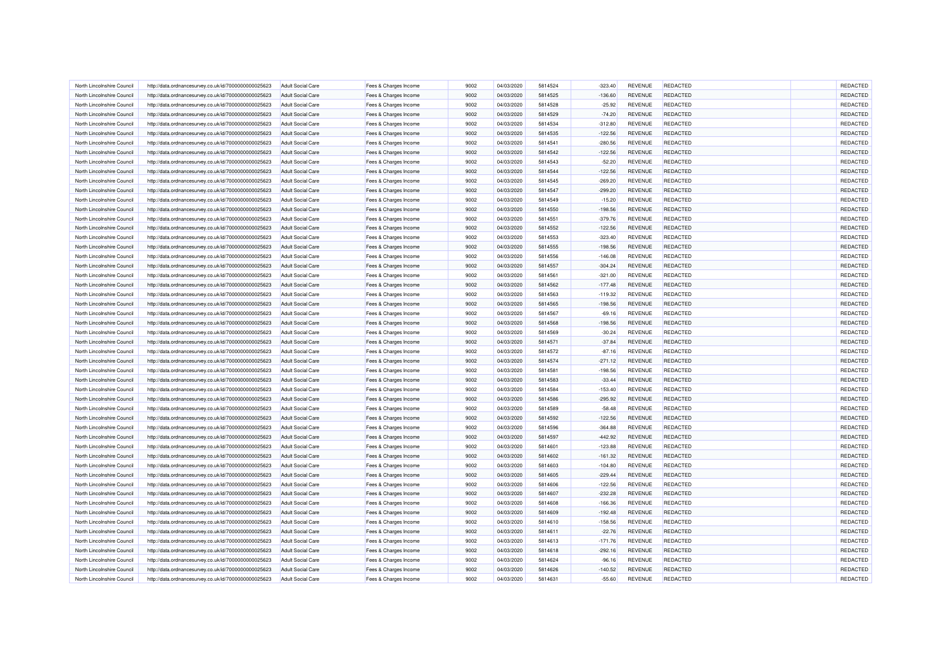| North Lincolnshire Council                               | http://data.ordnancesurvey.co.uk/id/7000000000025623                                                         | <b>Adult Social Care</b>                             | Fees & Charges Income                          | 9002         | 04/03/2020               | 5814524            | $-323.40$              | <b>REVENUE</b>            | <b>REDACTED</b> | REDACTED             |
|----------------------------------------------------------|--------------------------------------------------------------------------------------------------------------|------------------------------------------------------|------------------------------------------------|--------------|--------------------------|--------------------|------------------------|---------------------------|-----------------|----------------------|
| North Lincolnshire Council                               | http://data.ordnancesurvey.co.uk/id/7000000000025623                                                         | <b>Adult Social Care</b>                             | Fees & Charges Income                          | 9002         | 04/03/2020               | 5814525            | $-136.60$              | REVENUE                   | REDACTED        | REDACTED             |
| North Lincolnshire Council                               | http://data.ordnancesurvey.co.uk/id/7000000000025623                                                         | <b>Adult Social Care</b>                             | Fees & Charges Income                          | 9002         | 04/03/2020               | 5814528            | $-25.92$               | REVENUE                   | <b>REDACTED</b> | REDACTED             |
| North Lincolnshire Council                               | http://data.ordnancesurvey.co.uk/id/7000000000025623                                                         | <b>Adult Social Care</b>                             | Fees & Charges Income                          | 9002         | 04/03/2020               | 5814529            | $-74.20$               | REVENUE                   | REDACTED        | REDACTED             |
| North Lincolnshire Council                               | http://data.ordnancesurvey.co.uk/id/7000000000025623                                                         | <b>Adult Social Care</b>                             | Fees & Charges Income                          | 9002         | 04/03/2020               | 5814534            | $-312.80$              | <b>REVENUE</b>            | <b>REDACTED</b> | REDACTED             |
| North Lincolnshire Council                               | http://data.ordnancesurvey.co.uk/id/7000000000025623                                                         | <b>Adult Social Care</b>                             | Fees & Charges Income                          | 9002         | 04/03/2020               | 5814535            | $-122.56$              | REVENUE                   | <b>REDACTED</b> | REDACTED             |
| North Lincolnshire Council                               | http://data.ordnancesurvey.co.uk/id/7000000000025623                                                         | <b>Adult Social Care</b>                             | Fees & Charges Income                          | 9002         | 04/03/2020               | 5814541            | $-280.56$              | <b>REVENUE</b>            | <b>REDACTED</b> | REDACTED             |
| North Lincolnshire Council                               | http://data.ordnancesurvey.co.uk/id/7000000000025623                                                         | <b>Adult Social Care</b>                             | Fees & Charges Income                          | 9002         | 04/03/2020               | 5814542            | $-122.56$              | REVENUE                   | <b>REDACTED</b> | REDACTED             |
| North Lincolnshire Council                               | http://data.ordnancesurvey.co.uk/id/7000000000025623                                                         | <b>Adult Social Care</b>                             | Fees & Charges Income                          | 9002         | 04/03/2020               | 5814543            | $-52.20$               | REVENUE                   | REDACTED        | REDACTED             |
| North Lincolnshire Council                               | http://data.ordnancesurvey.co.uk/id/7000000000025623                                                         | <b>Adult Social Care</b>                             | Fees & Charges Income                          | 9002         | 04/03/2020               | 5814544            | $-122.56$              | <b>REVENUE</b>            | <b>REDACTED</b> | REDACTED             |
| North Lincolnshire Council                               | http://data.ordnancesurvey.co.uk/id/7000000000025623                                                         | <b>Adult Social Care</b>                             | Fees & Charges Income                          | 9002         | 04/03/2020               | 5814545            | $-269.20$              | <b>REVENUE</b>            | <b>REDACTED</b> | REDACTED             |
| North Lincolnshire Council                               | http://data.ordnancesurvey.co.uk/id/7000000000025623                                                         | <b>Adult Social Care</b>                             | Fees & Charges Income                          | 9002         | 04/03/2020               | 5814547            | $-299.20$              | <b>REVENUE</b>            | <b>REDACTED</b> | REDACTED             |
| North Lincolnshire Council                               | http://data.ordnancesurvey.co.uk/id/7000000000025623                                                         | <b>Adult Social Care</b>                             | Fees & Charges Income                          | 9002         | 04/03/2020               | 5814549            | $-15.20$               | REVENUE                   | <b>REDACTED</b> | REDACTED             |
| North Lincolnshire Council                               | http://data.ordnancesurvey.co.uk/id/7000000000025623                                                         | <b>Adult Social Care</b>                             | Fees & Charges Income                          | 9002         | 04/03/2020               | 5814550            | $-198.56$              | REVENUE                   | REDACTED        | REDACTED             |
| North Lincolnshire Council                               | http://data.ordnancesurvey.co.uk/id/7000000000025623                                                         | <b>Adult Social Care</b>                             | Fees & Charges Income                          | 9002         | 04/03/2020               | 5814551            | $-379.76$              | REVENUE                   | REDACTED        | REDACTED             |
| North Lincolnshire Council                               | http://data.ordnancesurvey.co.uk/id/7000000000025623                                                         | <b>Adult Social Care</b>                             | Fees & Charges Income                          | 9002         | 04/03/2020               | 5814552            | $-122.56$              | REVENUE                   | <b>REDACTED</b> | REDACTED             |
| North Lincolnshire Council                               | http://data.ordnancesurvey.co.uk/id/7000000000025623                                                         | <b>Adult Social Care</b>                             | Fees & Charges Income                          | 9002         | 04/03/2020               | 5814553            | $-323.40$              | REVENUE                   | <b>REDACTED</b> | REDACTED             |
| North Lincolnshire Council                               | http://data.ordnancesurvey.co.uk/id/7000000000025623                                                         | <b>Adult Social Care</b>                             | Fees & Charges Income                          | 9002         | 04/03/2020               | 5814555            | $-198.56$              | <b>REVENUE</b>            | <b>REDACTED</b> | REDACTED             |
| North Lincolnshire Council                               | http://data.ordnancesurvey.co.uk/id/7000000000025623                                                         | <b>Adult Social Care</b>                             | Fees & Charges Income                          | 9002         | 04/03/2020               | 5814556            | $-146.08$              | REVENUE                   | <b>REDACTED</b> | REDACTED             |
| North Lincolnshire Council                               | http://data.ordnancesurvey.co.uk/id/7000000000025623                                                         | <b>Adult Social Care</b>                             | Fees & Charges Income                          | 9002         | 04/03/2020               | 5814557            | $-304.24$              | <b>REVENUE</b>            | REDACTED        | REDACTED             |
| North Lincolnshire Council                               | http://data.ordnancesurvey.co.uk/id/7000000000025623                                                         | <b>Adult Social Care</b>                             | Fees & Charges Income                          | 9002         | 04/03/2020               | 5814561            | $-321.00$              | REVENUE                   | <b>REDACTED</b> | REDACTED             |
| North Lincolnshire Council                               | http://data.ordnancesurvey.co.uk/id/7000000000025623                                                         | <b>Adult Social Care</b>                             | Fees & Charges Income                          | 9002         | 04/03/2020               | 5814562            | $-177.48$              | REVENUE                   | <b>REDACTED</b> | REDACTED             |
| North Lincolnshire Council                               | http://data.ordnancesurvey.co.uk/id/7000000000025623                                                         | <b>Adult Social Care</b>                             | Fees & Charges Income                          | 9002         | 04/03/2020               | 5814563            | $-119.32$              | REVENUE                   | REDACTED        | REDACTED             |
| North Lincolnshire Council                               | http://data.ordnancesurvey.co.uk/id/7000000000025623                                                         | <b>Adult Social Care</b>                             | Fees & Charges Income                          | 9002         | 04/03/2020               | 5814565            | $-198.56$              | <b>REVENUE</b>            | <b>REDACTED</b> | REDACTED             |
| North Lincolnshire Council                               | http://data.ordnancesurvey.co.uk/id/7000000000025623                                                         | <b>Adult Social Care</b>                             | Fees & Charges Income                          | 9002         | 04/03/2020               | 5814567            | $-69.16$               | REVENUE                   | REDACTED        | REDACTED             |
| North Lincolnshire Council                               | http://data.ordnancesurvey.co.uk/id/7000000000025623                                                         | <b>Adult Social Care</b>                             | Fees & Charges Income                          | 9002         | 04/03/2020               | 5814568            | $-198.56$              | REVENUE                   | REDACTED        | REDACTED             |
| North Lincolnshire Council                               | http://data.ordnancesurvey.co.uk/id/7000000000025623                                                         | <b>Adult Social Care</b>                             | Fees & Charges Income                          | 9002         | 04/03/2020               | 5814569            | $-30.24$               | REVENUE                   | REDACTED        | REDACTED             |
| North Lincolnshire Council                               | http://data.ordnancesurvey.co.uk/id/7000000000025623                                                         | <b>Adult Social Care</b>                             | Fees & Charges Income                          | 9002         | 04/03/2020               | 5814571            | $-37.84$               | <b>REVENUE</b>            | <b>REDACTED</b> | REDACTED             |
| North Lincolnshire Council                               | http://data.ordnancesurvey.co.uk/id/7000000000025623                                                         | <b>Adult Social Care</b>                             | Fees & Charges Income                          | 9002         | 04/03/2020               | 5814572            | $-87.16$               | REVENUE                   | <b>REDACTED</b> | REDACTED             |
| North Lincolnshire Council                               | http://data.ordnancesurvey.co.uk/id/7000000000025623                                                         | <b>Adult Social Care</b>                             | Fees & Charges Income                          | 9002         | 04/03/2020               | 5814574            | $-271.12$              | <b>REVENUE</b>            | REDACTED        | REDACTED             |
| North Lincolnshire Council                               | http://data.ordnancesurvey.co.uk/id/7000000000025623                                                         | <b>Adult Social Care</b>                             | Fees & Charges Income                          | 9002         | 04/03/2020               | 5814581            | $-198.56$              | <b>REVENUE</b>            | REDACTED        | REDACTED             |
| North Lincolnshire Council                               | http://data.ordnancesurvey.co.uk/id/7000000000025623                                                         | <b>Adult Social Care</b>                             | Fees & Charges Income                          | 9002         | 04/03/2020               | 5814583            | $-33.44$               | <b>REVENUE</b>            | <b>REDACTED</b> | REDACTED             |
| North Lincolnshire Council                               | http://data.ordnancesurvey.co.uk/id/7000000000025623                                                         | Adult Social Care                                    | Fees & Charges Income                          | 9002         | 04/03/2020               | 5814584            | $-153.40$              | <b>REVENUE</b>            | <b>REDACTED</b> | REDACTED             |
| North Lincolnshire Council                               | http://data.ordnancesurvey.co.uk/id/7000000000025623                                                         | <b>Adult Social Care</b>                             | Fees & Charges Income                          | 9002         | 04/03/2020               | 5814586            | $-295.92$              | <b>REVENUE</b>            | REDACTED        | REDACTED             |
| North Lincolnshire Council                               | http://data.ordnancesurvey.co.uk/id/7000000000025623                                                         | Adult Social Care                                    | Fees & Charges Income                          | 9002         | 04/03/2020               | 5814589            | $-58.48$               | <b>REVENUE</b>            | REDACTED        | REDACTED             |
| North Lincolnshire Council                               | http://data.ordnancesurvey.co.uk/id/7000000000025623                                                         | Adult Social Care                                    | Fees & Charges Income                          | 9002         | 04/03/2020               | 5814592            | $-122.56$              | <b>REVENUE</b>            | REDACTED        | REDACTED             |
| North Lincolnshire Council                               |                                                                                                              | <b>Adult Social Care</b>                             |                                                | 9002         | 04/03/2020               | 5814596            | $-364.88$              | <b>REVENUE</b>            | <b>REDACTED</b> | REDACTED             |
| North Lincolnshire Council                               | http://data.ordnancesurvey.co.uk/id/7000000000025623<br>http://data.ordnancesurvey.co.uk/id/7000000000025623 | <b>Adult Social Care</b>                             | Fees & Charges Income<br>Fees & Charges Income | 9002         | 04/03/2020               | 5814597            | $-442.92$              | <b>REVENUE</b>            | <b>REDACTED</b> | REDACTED             |
| North Lincolnshire Council                               |                                                                                                              | <b>Adult Social Care</b>                             |                                                | 9002         | 04/03/2020               | 5814601            | $-123.88$              | <b>REVENUE</b>            | REDACTED        | REDACTED             |
|                                                          | http://data.ordnancesurvey.co.uk/id/7000000000025623                                                         |                                                      | Fees & Charges Income                          |              |                          |                    |                        | <b>REVENUE</b>            | REDACTED        | REDACTED             |
| North Lincolnshire Council                               | http://data.ordnancesurvey.co.uk/id/7000000000025623                                                         | <b>Adult Social Care</b>                             | Fees & Charges Income                          | 9002<br>9002 | 04/03/2020<br>04/03/2020 | 5814602<br>5814603 | $-161.32$              | <b>REVENUE</b>            | REDACTED        |                      |
| North Lincolnshire Council<br>North Lincolnshire Council | http://data.ordnancesurvey.co.uk/id/7000000000025623                                                         | <b>Adult Social Care</b><br><b>Adult Social Care</b> | Fees & Charges Income                          | 9002         |                          | 5814605            | $-104.80$<br>$-229.44$ |                           | <b>REDACTED</b> | REDACTED             |
| North Lincolnshire Council                               | http://data.ordnancesurvey.co.uk/id/7000000000025623                                                         | <b>Adult Social Care</b>                             | Fees & Charges Income                          | 9002         | 04/03/2020<br>04/03/2020 | 5814606            | $-122.56$              | REVENUE<br><b>REVENUE</b> | <b>REDACTED</b> | REDACTED<br>REDACTED |
| North Lincolnshire Council                               | http://data.ordnancesurvey.co.uk/id/7000000000025623                                                         | Adult Social Care                                    | Fees & Charges Income                          | 9002         | 04/03/2020               | 5814607            | $-232.28$              | <b>REVENUE</b>            | <b>REDACTED</b> | REDACTED             |
|                                                          | http://data.ordnancesurvey.co.uk/id/7000000000025623                                                         |                                                      | Fees & Charges Income                          |              |                          |                    |                        |                           |                 |                      |
| North Lincolnshire Council                               | http://data.ordnancesurvey.co.uk/id/7000000000025623                                                         | <b>Adult Social Care</b>                             | Fees & Charges Income                          | 9002         | 04/03/2020               | 5814608            | $-166.36$              | <b>REVENUE</b>            | <b>REDACTED</b> | REDACTED             |
| North Lincolnshire Council                               | http://data.ordnancesurvey.co.uk/id/7000000000025623                                                         | <b>Adult Social Care</b>                             | Fees & Charges Income                          | 9002         | 04/03/2020               | 5814609            | $-192.48$              | <b>REVENUE</b>            | REDACTED        | REDACTED             |
| North Lincolnshire Council                               | http://data.ordnancesurvey.co.uk/id/7000000000025623                                                         | <b>Adult Social Care</b>                             | Fees & Charges Income                          | 9002         | 04/03/2020               | 5814610            | $-158.56$              | <b>REVENUE</b>            | REDACTED        | REDACTED             |
| North Lincolnshire Council                               | http://data.ordnancesurvey.co.uk/id/7000000000025623                                                         | <b>Adult Social Care</b>                             | Fees & Charges Income                          | 9002         | 04/03/2020               | 5814611            | $-22.76$               | REVENUE                   | <b>REDACTED</b> | REDACTED             |
| North Lincolnshire Council                               | http://data.ordnancesurvey.co.uk/id/7000000000025623                                                         | <b>Adult Social Care</b>                             | Fees & Charges Income                          | 9002         | 04/03/2020               | 5814613            | $-171.76$              | <b>REVENUE</b>            | <b>REDACTED</b> | REDACTED             |
| North Lincolnshire Council                               | http://data.ordnancesurvey.co.uk/id/7000000000025623                                                         | <b>Adult Social Care</b>                             | Fees & Charges Income                          | 9002         | 04/03/2020               | 5814618            | $-292.16$              | <b>REVENUE</b>            | <b>REDACTED</b> | <b>REDACTED</b>      |
| North Lincolnshire Council                               | http://data.ordnancesurvey.co.uk/id/7000000000025623                                                         | Adult Social Care                                    | Fees & Charges Income                          | 9002         | 04/03/2020               | 5814624            | $-96.16$               | REVENUE                   | REDACTED        | REDACTED             |
| North Lincolnshire Council                               | http://data.ordnancesurvey.co.uk/id/7000000000025623                                                         | <b>Adult Social Care</b>                             | Fees & Charges Income                          | 9002         | 04/03/2020               | 5814626            | $-140.52$              | <b>REVENUE</b>            | REDACTED        | REDACTED             |
| North Lincolnshire Council                               | http://data.ordnancesurvey.co.uk/id/7000000000025623                                                         | <b>Adult Social Care</b>                             | Fees & Charges Income                          | 9002         | 04/03/2020               | 5814631            | $-55.60$               | <b>REVENUE</b>            | <b>REDACTED</b> | REDACTED             |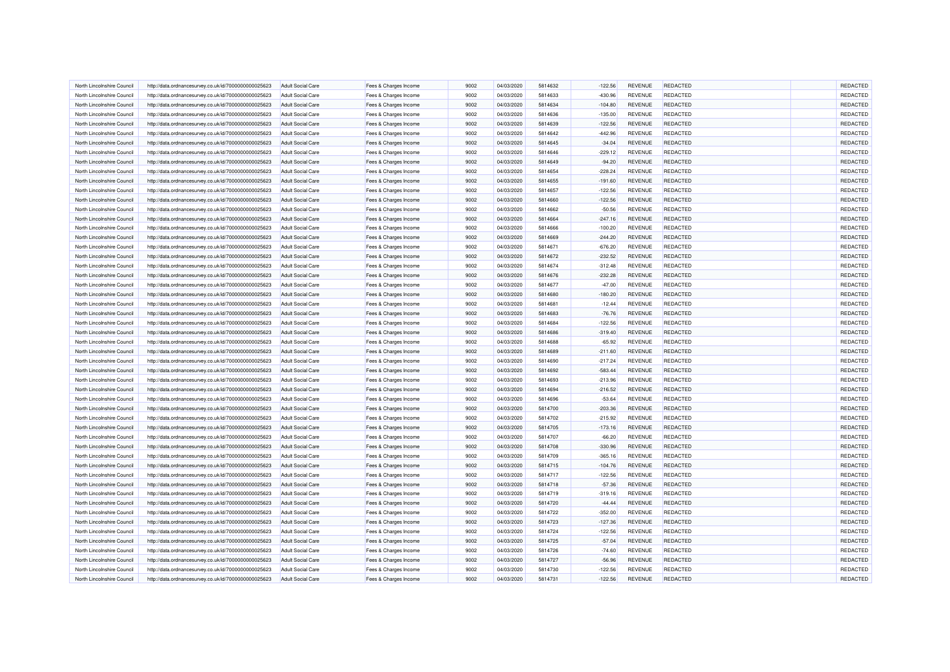| North Lincolnshire Council | http://data.ordnancesurvey.co.uk/id/7000000000025623                                                         | <b>Adult Social Care</b> | Fees & Charges Income                          | 9002         | 04/03/2020               | 5814632            | $-122.56$ | REVENUE        | REDACTED                           | REDACTED |
|----------------------------|--------------------------------------------------------------------------------------------------------------|--------------------------|------------------------------------------------|--------------|--------------------------|--------------------|-----------|----------------|------------------------------------|----------|
| North Lincolnshire Council | http://data.ordnancesurvey.co.uk/id/7000000000025623                                                         | <b>Adult Social Care</b> | Fees & Charges Income                          | 9002         | 04/03/2020               | 5814633            | $-430.96$ | REVENUE        | <b>REDACTED</b>                    | REDACTED |
| North Lincolnshire Council | http://data.ordnancesurvey.co.uk/id/7000000000025623                                                         | <b>Adult Social Care</b> | Fees & Charges Income                          | 9002         | 04/03/2020               | 5814634            | $-104.80$ | REVENUE        | <b>REDACTED</b>                    | REDACTED |
| North Lincolnshire Council | http://data.ordnancesurvey.co.uk/id/7000000000025623                                                         | <b>Adult Social Care</b> | Fees & Charges Income                          | 9002         | 04/03/2020               | 5814636            | $-135.00$ | REVENUE        | REDACTED                           | REDACTED |
| North Lincolnshire Council | http://data.ordnancesurvey.co.uk/id/7000000000025623                                                         | <b>Adult Social Care</b> | Fees & Charges Income                          | 9002         | 04/03/2020               | 5814639            | $-122.56$ | REVENUE        | <b>REDACTED</b>                    | REDACTED |
| North Lincolnshire Council | http://data.ordnancesurvey.co.uk/id/7000000000025623                                                         | <b>Adult Social Care</b> | Fees & Charges Income                          | 9002         | 04/03/2020               | 5814642            | $-442.96$ | <b>REVENUE</b> | <b>REDACTED</b>                    | REDACTED |
| North Lincolnshire Council | http://data.ordnancesurvey.co.uk/id/7000000000025623                                                         | <b>Adult Social Care</b> | Fees & Charges Income                          | 9002         | 04/03/2020               | 5814645            | $-34.04$  | REVENUE        | <b>REDACTED</b>                    | REDACTED |
| North Lincolnshire Council | http://data.ordnancesurvey.co.uk/id/7000000000025623                                                         | <b>Adult Social Care</b> | Fees & Charges Income                          | 9002         | 04/03/2020               | 5814646            | $-229.12$ | <b>REVENUE</b> | REDACTED                           | REDACTED |
| North Lincolnshire Council | http://data.ordnancesurvey.co.uk/id/7000000000025623                                                         | Adult Social Care        | Fees & Charges Income                          | 9002         | 04/03/2020               | 5814649            | $-94.20$  | <b>REVENUE</b> | <b>REDACTED</b>                    | REDACTED |
| North Lincolnshire Council | http://data.ordnancesurvey.co.uk/id/7000000000025623                                                         | <b>Adult Social Care</b> | Fees & Charges Income                          | 9002         | 04/03/2020               | 5814654            | $-228.24$ | REVENUE        | <b>REDACTED</b>                    | REDACTED |
| North Lincolnshire Council | http://data.ordnancesurvey.co.uk/id/7000000000025623                                                         | <b>Adult Social Care</b> | Fees & Charges Income                          | 9002         | 04/03/2020               | 5814655            | $-191.60$ | REVENUE        | <b>REDACTED</b>                    | REDACTED |
| North Lincolnshire Council | http://data.ordnancesurvey.co.uk/id/7000000000025623                                                         | <b>Adult Social Care</b> | Fees & Charges Income                          | 9002         | 04/03/2020               | 5814657            | $-122.56$ | REVENUE        | REDACTED                           | REDACTED |
| North Lincolnshire Council | http://data.ordnancesurvey.co.uk/id/7000000000025623                                                         | <b>Adult Social Care</b> | Fees & Charges Income                          | 9002         | 04/03/2020               | 5814660            | $-122.56$ | REVENUE        | REDACTED                           | REDACTED |
| North Lincolnshire Council | http://data.ordnancesurvey.co.uk/id/7000000000025623                                                         | <b>Adult Social Care</b> | Fees & Charges Income                          | 9002         | 04/03/2020               | 5814662            | $-50.56$  | REVENUE        | REDACTED                           | REDACTED |
| North Lincolnshire Council | http://data.ordnancesurvey.co.uk/id/7000000000025623                                                         | <b>Adult Social Care</b> | Fees & Charges Income                          | 9002         | 04/03/2020               | 5814664            | $-247.16$ | <b>REVENUE</b> | <b>REDACTED</b>                    | REDACTED |
| North Lincolnshire Council | http://data.ordnancesurvey.co.uk/id/7000000000025623                                                         | <b>Adult Social Care</b> | Fees & Charges Income                          | 9002         | 04/03/2020               | 5814666            | $-100.20$ | REVENUE        | <b>REDACTED</b>                    | REDACTED |
| North Lincolnshire Council | http://data.ordnancesurvey.co.uk/id/7000000000025623                                                         | <b>Adult Social Care</b> | Fees & Charges Income                          | 9002         | 04/03/2020               | 5814669            | $-244.20$ | <b>REVENUE</b> | <b>REDACTED</b>                    | REDACTED |
| North Lincolnshire Council | http://data.ordnancesurvey.co.uk/id/7000000000025623                                                         | <b>Adult Social Care</b> | Fees & Charges Income                          | 9002         | 04/03/2020               | 5814671            | $-676.20$ | <b>REVENUE</b> | <b>REDACTED</b>                    | REDACTED |
| North Lincolnshire Council | http://data.ordnancesurvey.co.uk/id/7000000000025623                                                         | <b>Adult Social Care</b> | Fees & Charges Income                          | 9002         | 04/03/2020               | 5814672            | $-232.52$ | REVENUE        | REDACTED                           | REDACTED |
| North Lincolnshire Council | http://data.ordnancesurvey.co.uk/id/7000000000025623                                                         | <b>Adult Social Care</b> | Fees & Charges Income                          | 9002         | 04/03/2020               | 5814674            | $-312.48$ | REVENUE        | REDACTED                           | REDACTED |
| North Lincolnshire Council | http://data.ordnancesurvey.co.uk/id/7000000000025623                                                         | <b>Adult Social Care</b> | Fees & Charges Income                          | 9002         | 04/03/2020               | 5814676            | $-232.28$ | REVENUE        | <b>REDACTED</b>                    | REDACTED |
| North Lincolnshire Council | http://data.ordnancesurvey.co.uk/id/7000000000025623                                                         | <b>Adult Social Care</b> | Fees & Charges Income                          | 9002         | 04/03/2020               | 5814677            | $-47.00$  | REVENUE        | <b>REDACTED</b>                    | REDACTED |
| North Lincolnshire Council | http://data.ordnancesurvey.co.uk/id/7000000000025623                                                         | <b>Adult Social Care</b> | Fees & Charges Income                          | 9002         | 04/03/2020               | 5814680            | $-180.20$ | <b>REVENUE</b> | <b>REDACTED</b>                    | REDACTED |
| North Lincolnshire Council | http://data.ordnancesurvey.co.uk/id/7000000000025623                                                         | <b>Adult Social Care</b> | Fees & Charges Income                          | 9002         | 04/03/2020               | 5814681            | $-12.44$  | REVENUE        | REDACTED                           | REDACTED |
| North Lincolnshire Council | http://data.ordnancesurvey.co.uk/id/7000000000025623                                                         | <b>Adult Social Care</b> | Fees & Charges Income                          | 9002         | 04/03/2020               | 5814683            | $-76.76$  | <b>REVENUE</b> | REDACTED                           | REDACTED |
| North Lincolnshire Council |                                                                                                              | <b>Adult Social Care</b> |                                                | 9002         |                          | 5814684            | $-122.56$ | <b>REVENUE</b> | REDACTED                           | REDACTED |
| North Lincolnshire Council | http://data.ordnancesurvey.co.uk/id/7000000000025623                                                         | <b>Adult Social Care</b> | Fees & Charges Income                          | 9002         | 04/03/2020<br>04/03/2020 | 5814686            | $-319.40$ | <b>REVENUE</b> | <b>REDACTED</b>                    | REDACTED |
| North Lincolnshire Council | http://data.ordnancesurvey.co.uk/id/7000000000025623<br>http://data.ordnancesurvey.co.uk/id/7000000000025623 | <b>Adult Social Care</b> | Fees & Charges Income<br>Fees & Charges Income | 9002         | 04/03/2020               | 5814688            | $-65.92$  | REVENUE        | REDACTED                           | REDACTED |
|                            |                                                                                                              |                          |                                                |              |                          |                    |           |                |                                    |          |
| North Lincolnshire Council | http://data.ordnancesurvey.co.uk/id/7000000000025623                                                         | <b>Adult Social Care</b> | Fees & Charges Income                          | 9002<br>9002 | 04/03/2020               | 5814689<br>5814690 | $-211.60$ | REVENUE        | <b>REDACTED</b><br><b>REDACTED</b> | REDACTED |
| North Lincolnshire Council | http://data.ordnancesurvey.co.uk/id/7000000000025623                                                         | <b>Adult Social Care</b> | Fees & Charges Income                          |              | 04/03/2020               |                    | $-217.24$ | REVENUE        |                                    | REDACTED |
| North Lincolnshire Council | http://data.ordnancesurvey.co.uk/id/7000000000025623                                                         | <b>Adult Social Care</b> | Fees & Charges Income                          | 9002         | 04/03/2020               | 5814692            | $-583.44$ | REVENUE        | REDACTED                           | REDACTED |
| North Lincolnshire Council | http://data.ordnancesurvey.co.uk/id/7000000000025623                                                         | <b>Adult Social Care</b> | Fees & Charges Income                          | 9002         | 04/03/2020               | 5814693            | $-213.96$ | REVENUE        | <b>REDACTED</b>                    | REDACTED |
| North Lincolnshire Council | http://data.ordnancesurvey.co.uk/id/7000000000025623                                                         | <b>Adult Social Care</b> | Fees & Charges Income                          | 9002         | 04/03/2020               | 5814694            | $-216.52$ | <b>REVENUE</b> | <b>REDACTED</b>                    | REDACTED |
| North Lincolnshire Council | http://data.ordnancesurvey.co.uk/id/7000000000025623                                                         | <b>Adult Social Care</b> | Fees & Charges Income                          | 9002         | 04/03/2020               | 5814696            | $-53.64$  | REVENUE        | REDACTED                           | REDACTED |
| North Lincolnshire Council | http://data.ordnancesurvey.co.uk/id/7000000000025623                                                         | <b>Adult Social Care</b> | Fees & Charges Income                          | 9002         | 04/03/2020               | 5814700            | $-203.36$ | REVENUE        | REDACTED                           | REDACTED |
| North Lincolnshire Council | http://data.ordnancesurvey.co.uk/id/7000000000025623                                                         | Adult Social Care        | Fees & Charges Income                          | 9002         | 04/03/2020               | 5814702            | $-215.92$ | <b>REVENUE</b> | <b>REDACTED</b>                    | REDACTED |
| North Lincolnshire Council | http://data.ordnancesurvey.co.uk/id/7000000000025623                                                         | <b>Adult Social Care</b> | Fees & Charges Income                          | 9002         | 04/03/2020               | 5814705            | $-173.16$ | <b>REVENUE</b> | <b>REDACTED</b>                    | REDACTED |
| North Lincolnshire Council | http://data.ordnancesurvey.co.uk/id/7000000000025623                                                         | <b>Adult Social Care</b> | Fees & Charges Income                          | 9002         | 04/03/2020               | 5814707            | $-66.20$  | REVENUE        | <b>REDACTED</b>                    | REDACTED |
| North Lincolnshire Council | http://data.ordnancesurvey.co.uk/id/7000000000025623                                                         | <b>Adult Social Care</b> | Fees & Charges Income                          | 9002         | 04/03/2020               | 5814708            | $-330.96$ | <b>REVENUE</b> | REDACTED                           | REDACTED |
| North Lincolnshire Council | http://data.ordnancesurvey.co.uk/id/7000000000025623                                                         | <b>Adult Social Care</b> | Fees & Charges Income                          | 9002         | 04/03/2020               | 5814709            | $-365.16$ | <b>REVENUE</b> | REDACTED                           | REDACTED |
| North Lincolnshire Council | http://data.ordnancesurvey.co.uk/id/7000000000025623                                                         | <b>Adult Social Care</b> | Fees & Charges Income                          | 9002         | 04/03/2020               | 5814715            | $-104.76$ | <b>REVENUE</b> | REDACTED                           | REDACTED |
| North Lincolnshire Council | http://data.ordnancesurvey.co.uk/id/7000000000025623                                                         | <b>Adult Social Care</b> | Fees & Charges Income                          | 9002         | 04/03/2020               | 5814717            | $-122.56$ | <b>REVENUE</b> | <b>REDACTED</b>                    | REDACTED |
| North Lincolnshire Council | http://data.ordnancesurvey.co.uk/id/7000000000025623                                                         | <b>Adult Social Care</b> | Fees & Charges Income                          | 9002         | 04/03/2020               | 5814718            | $-57.36$  | REVENUE        | <b>REDACTED</b>                    | REDACTED |
| North Lincolnshire Council | http://data.ordnancesurvey.co.uk/id/7000000000025623                                                         | <b>Adult Social Care</b> | Fees & Charges Income                          | 9002         | 04/03/2020               | 5814719            | $-319.16$ | <b>REVENUE</b> | <b>REDACTED</b>                    | REDACTED |
| North Lincolnshire Council | http://data.ordnancesurvey.co.uk/id/7000000000025623                                                         | <b>Adult Social Care</b> | Fees & Charges Income                          | 9002         | 04/03/2020               | 5814720            | $-44.44$  | <b>REVENUE</b> | <b>REDACTED</b>                    | REDACTED |
| North Lincolnshire Council | http://data.ordnancesurvey.co.uk/id/7000000000025623                                                         | <b>Adult Social Care</b> | Fees & Charges Income                          | 9002         | 04/03/2020               | 5814722            | $-352.00$ | <b>REVENUE</b> | REDACTED                           | REDACTED |
| North Lincolnshire Council | http://data.ordnancesurvey.co.uk/id/7000000000025623                                                         | <b>Adult Social Care</b> | Fees & Charges Income                          | 9002         | 04/03/2020               | 5814723            | $-127.36$ | <b>REVENUE</b> | REDACTED                           | REDACTED |
| North Lincolnshire Council | http://data.ordnancesurvey.co.uk/id/7000000000025623                                                         | <b>Adult Social Care</b> | Fees & Charges Income                          | 9002         | 04/03/2020               | 5814724            | $-122.56$ | <b>REVENUE</b> | REDACTED                           | REDACTED |
| North Lincolnshire Council | http://data.ordnancesurvey.co.uk/id/7000000000025623                                                         | <b>Adult Social Care</b> | Fees & Charges Income                          | 9002         | 04/03/2020               | 5814725            | $-57.04$  | <b>REVENUE</b> | <b>REDACTED</b>                    | REDACTED |
| North Lincolnshire Council | http://data.ordnancesurvey.co.uk/id/7000000000025623                                                         | <b>Adult Social Care</b> | Fees & Charges Income                          | 9002         | 04/03/2020               | 5814726            | $-74.60$  | <b>REVENUE</b> | <b>REDACTED</b>                    | REDACTED |
| North Lincolnshire Council | http://data.ordnancesurvey.co.uk/id/7000000000025623                                                         | <b>Adult Social Care</b> | Fees & Charges Income                          | 9002         | 04/03/2020               | 5814727            | $-56.96$  | REVENUE        | REDACTED                           | REDACTED |
| North Lincolnshire Council | http://data.ordnancesurvey.co.uk/id/7000000000025623                                                         | <b>Adult Social Care</b> | Fees & Charges Income                          | 9002         | 04/03/2020               | 5814730            | $-122.56$ | <b>REVENUE</b> | REDACTED                           | REDACTED |
| North Lincolnshire Council | http://data.ordnancesurvey.co.uk/id/7000000000025623                                                         | <b>Adult Social Care</b> | Fees & Charges Income                          | 9002         | 04/03/2020               | 5814731            | $-122.56$ | <b>REVENUE</b> | <b>REDACTED</b>                    | REDACTED |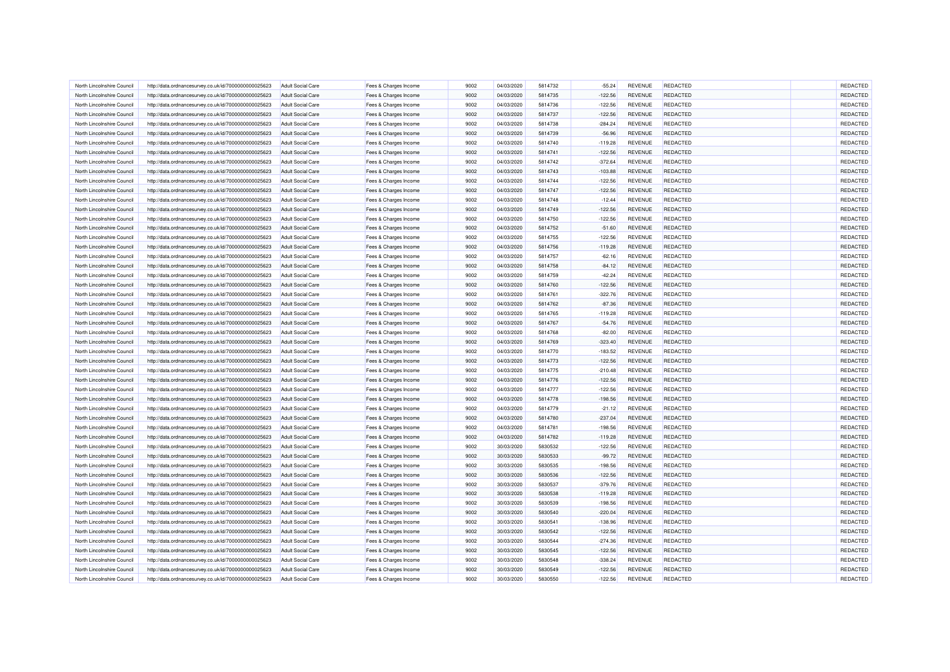| North Lincolnshire Council | http://data.ordnancesurvey.co.uk/id/7000000000025623 | <b>Adult Social Care</b> | Fees & Charges Income | 9002 | 04/03/2020 | 5814732 | $-55.24$  | <b>REVENUE</b> | <b>REDACTED</b> | REDACTED |
|----------------------------|------------------------------------------------------|--------------------------|-----------------------|------|------------|---------|-----------|----------------|-----------------|----------|
| North Lincolnshire Council | http://data.ordnancesurvey.co.uk/id/7000000000025623 | <b>Adult Social Care</b> | Fees & Charges Income | 9002 | 04/03/2020 | 5814735 | $-122.56$ | REVENUE        | REDACTED        | REDACTED |
| North Lincolnshire Council | http://data.ordnancesurvey.co.uk/id/7000000000025623 | <b>Adult Social Care</b> | Fees & Charges Income | 9002 | 04/03/2020 | 5814736 | $-122.56$ | REVENUE        | <b>REDACTED</b> | REDACTED |
| North Lincolnshire Council | http://data.ordnancesurvey.co.uk/id/7000000000025623 | <b>Adult Social Care</b> | Fees & Charges Income | 9002 | 04/03/2020 | 5814737 | $-122.56$ | REVENUE        | REDACTED        | REDACTED |
| North Lincolnshire Council | http://data.ordnancesurvey.co.uk/id/7000000000025623 | <b>Adult Social Care</b> | Fees & Charges Income | 9002 | 04/03/2020 | 5814738 | $-284.24$ | <b>REVENUE</b> | <b>REDACTED</b> | REDACTED |
| North Lincolnshire Council | http://data.ordnancesurvey.co.uk/id/7000000000025623 | <b>Adult Social Care</b> | Fees & Charges Income | 9002 | 04/03/2020 | 5814739 | $-56.96$  | REVENUE        | <b>REDACTED</b> | REDACTED |
| North Lincolnshire Council | http://data.ordnancesurvey.co.uk/id/7000000000025623 | <b>Adult Social Care</b> | Fees & Charges Income | 9002 | 04/03/2020 | 5814740 | $-119.28$ | <b>REVENUE</b> | <b>REDACTED</b> | REDACTED |
| North Lincolnshire Council | http://data.ordnancesurvey.co.uk/id/7000000000025623 | <b>Adult Social Care</b> | Fees & Charges Income | 9002 | 04/03/2020 | 5814741 | $-122.56$ | REVENUE        | <b>REDACTED</b> | REDACTED |
| North Lincolnshire Council | http://data.ordnancesurvey.co.uk/id/7000000000025623 | <b>Adult Social Care</b> | Fees & Charges Income | 9002 | 04/03/2020 | 5814742 | $-372.64$ | REVENUE        | REDACTED        | REDACTED |
| North Lincolnshire Council | http://data.ordnancesurvey.co.uk/id/7000000000025623 | <b>Adult Social Care</b> | Fees & Charges Income | 9002 | 04/03/2020 | 5814743 | $-103.88$ | <b>REVENUE</b> | <b>REDACTED</b> | REDACTED |
| North Lincolnshire Council | http://data.ordnancesurvey.co.uk/id/7000000000025623 | <b>Adult Social Care</b> | Fees & Charges Income | 9002 | 04/03/2020 | 5814744 | $-122.56$ | <b>REVENUE</b> | <b>REDACTED</b> | REDACTED |
| North Lincolnshire Council | http://data.ordnancesurvey.co.uk/id/7000000000025623 | <b>Adult Social Care</b> | Fees & Charges Income | 9002 | 04/03/2020 | 5814747 | $-122.56$ | <b>REVENUE</b> | <b>REDACTED</b> | REDACTED |
| North Lincolnshire Council | http://data.ordnancesurvey.co.uk/id/7000000000025623 | <b>Adult Social Care</b> | Fees & Charges Income | 9002 | 04/03/2020 | 5814748 | $-12.44$  | REVENUE        | <b>REDACTED</b> | REDACTED |
| North Lincolnshire Council | http://data.ordnancesurvey.co.uk/id/7000000000025623 | <b>Adult Social Care</b> | Fees & Charges Income | 9002 | 04/03/2020 | 5814749 | $-122.56$ | REVENUE        | REDACTED        | REDACTED |
| North Lincolnshire Council | http://data.ordnancesurvey.co.uk/id/7000000000025623 | <b>Adult Social Care</b> | Fees & Charges Income | 9002 | 04/03/2020 | 5814750 | $-122.56$ | REVENUE        | REDACTED        | REDACTED |
| North Lincolnshire Council | http://data.ordnancesurvey.co.uk/id/7000000000025623 | <b>Adult Social Care</b> | Fees & Charges Income | 9002 | 04/03/2020 | 5814752 | $-51.60$  | REVENUE        | <b>REDACTED</b> | REDACTED |
| North Lincolnshire Council | http://data.ordnancesurvey.co.uk/id/7000000000025623 | <b>Adult Social Care</b> | Fees & Charges Income | 9002 | 04/03/2020 | 5814755 | $-122.56$ | REVENUE        | REDACTED        | REDACTED |
| North Lincolnshire Council | http://data.ordnancesurvey.co.uk/id/7000000000025623 | <b>Adult Social Care</b> | Fees & Charges Income | 9002 | 04/03/2020 | 5814756 | $-119.28$ | <b>REVENUE</b> | <b>REDACTED</b> | REDACTED |
| North Lincolnshire Council | http://data.ordnancesurvey.co.uk/id/7000000000025623 | <b>Adult Social Care</b> | Fees & Charges Income | 9002 | 04/03/2020 | 5814757 | $-62.16$  | REVENUE        | <b>REDACTED</b> | REDACTED |
| North Lincolnshire Council | http://data.ordnancesurvey.co.uk/id/7000000000025623 | <b>Adult Social Care</b> | Fees & Charges Income | 9002 | 04/03/2020 | 5814758 | $-84.12$  | <b>REVENUE</b> | REDACTED        | REDACTED |
| North Lincolnshire Council | http://data.ordnancesurvey.co.uk/id/7000000000025623 | <b>Adult Social Care</b> | Fees & Charges Income | 9002 | 04/03/2020 | 5814759 | $-42.24$  | <b>REVENUE</b> | <b>REDACTED</b> | REDACTED |
| North Lincolnshire Council | http://data.ordnancesurvey.co.uk/id/7000000000025623 | <b>Adult Social Care</b> | Fees & Charges Income | 9002 | 04/03/2020 | 5814760 | $-122.56$ | REVENUE        | <b>REDACTED</b> | REDACTED |
| North Lincolnshire Council | http://data.ordnancesurvey.co.uk/id/7000000000025623 | <b>Adult Social Care</b> | Fees & Charges Income | 9002 | 04/03/2020 | 5814761 | $-322.76$ | REVENUE        | REDACTED        | REDACTED |
| North Lincolnshire Council | http://data.ordnancesurvey.co.uk/id/7000000000025623 | <b>Adult Social Care</b> | Fees & Charges Income | 9002 | 04/03/2020 | 5814762 | $-87.36$  | <b>REVENUE</b> | <b>REDACTED</b> | REDACTED |
| North Lincolnshire Council | http://data.ordnancesurvey.co.uk/id/7000000000025623 | <b>Adult Social Care</b> | Fees & Charges Income | 9002 | 04/03/2020 | 5814765 | $-119.28$ | REVENUE        | <b>REDACTED</b> | REDACTED |
| North Lincolnshire Council | http://data.ordnancesurvey.co.uk/id/7000000000025623 | <b>Adult Social Care</b> | Fees & Charges Income | 9002 | 04/03/2020 | 5814767 | $-54.76$  | REVENUE        | REDACTED        | REDACTED |
| North Lincolnshire Council | http://data.ordnancesurvey.co.uk/id/7000000000025623 | <b>Adult Social Care</b> | Fees & Charges Income | 9002 | 04/03/2020 | 5814768 | $-82.00$  | REVENUE        | REDACTED        | REDACTED |
| North Lincolnshire Council | http://data.ordnancesurvey.co.uk/id/7000000000025623 | <b>Adult Social Care</b> | Fees & Charges Income | 9002 | 04/03/2020 | 5814769 | $-323.40$ | REVENUE        | <b>REDACTED</b> | REDACTED |
| North Lincolnshire Council | http://data.ordnancesurvey.co.uk/id/7000000000025623 | <b>Adult Social Care</b> | Fees & Charges Income | 9002 | 04/03/2020 | 5814770 | $-183.52$ | REVENUE        | <b>REDACTED</b> | REDACTED |
| North Lincolnshire Council | http://data.ordnancesurvey.co.uk/id/7000000000025623 | <b>Adult Social Care</b> | Fees & Charges Income | 9002 | 04/03/2020 | 5814773 | $-122.56$ | REVENUE        | REDACTED        | REDACTED |
| North Lincolnshire Council | http://data.ordnancesurvey.co.uk/id/7000000000025623 | <b>Adult Social Care</b> | Fees & Charges Income | 9002 | 04/03/2020 | 5814775 | $-210.48$ | <b>REVENUE</b> | REDACTED        | REDACTED |
| North Lincolnshire Council | http://data.ordnancesurvey.co.uk/id/7000000000025623 | <b>Adult Social Care</b> | Fees & Charges Income | 9002 | 04/03/2020 | 5814776 | $-122.56$ | <b>REVENUE</b> | <b>REDACTED</b> | REDACTED |
| North Lincolnshire Council | http://data.ordnancesurvey.co.uk/id/7000000000025623 | Adult Social Care        | Fees & Charges Income | 9002 | 04/03/2020 | 5814777 | $-122.56$ | <b>REVENUE</b> | <b>REDACTED</b> | REDACTED |
| North Lincolnshire Council | http://data.ordnancesurvey.co.uk/id/7000000000025623 | <b>Adult Social Care</b> | Fees & Charges Income | 9002 | 04/03/2020 | 5814778 | $-198.56$ | <b>REVENUE</b> | REDACTED        | REDACTED |
| North Lincolnshire Council | http://data.ordnancesurvey.co.uk/id/7000000000025623 | <b>Adult Social Care</b> | Fees & Charges Income | 9002 | 04/03/2020 | 5814779 | $-21.12$  | <b>REVENUE</b> | REDACTED        | REDACTED |
| North Lincolnshire Council | http://data.ordnancesurvey.co.uk/id/7000000000025623 | Adult Social Care        | Fees & Charges Income | 9002 | 04/03/2020 | 5814780 | $-237.04$ | <b>REVENUE</b> | REDACTED        | REDACTED |
| North Lincolnshire Council | http://data.ordnancesurvey.co.uk/id/7000000000025623 | <b>Adult Social Care</b> | Fees & Charges Income | 9002 | 04/03/2020 | 5814781 | $-198.56$ | <b>REVENUE</b> | <b>REDACTED</b> | REDACTED |
| North Lincolnshire Council | http://data.ordnancesurvey.co.uk/id/7000000000025623 | <b>Adult Social Care</b> | Fees & Charges Income | 9002 | 04/03/2020 | 5814782 | $-119.28$ | REVENUE        | <b>REDACTED</b> | REDACTED |
| North Lincolnshire Council | http://data.ordnancesurvey.co.uk/id/7000000000025623 | <b>Adult Social Care</b> | Fees & Charges Income | 9002 | 30/03/2020 | 5830532 | $-122.56$ | <b>REVENUE</b> | REDACTED        | REDACTED |
| North Lincolnshire Council | http://data.ordnancesurvey.co.uk/id/7000000000025623 | <b>Adult Social Care</b> | Fees & Charges Income | 9002 | 30/03/2020 | 5830533 | $-99.72$  | <b>REVENUE</b> | REDACTED        | REDACTED |
| North Lincolnshire Council | http://data.ordnancesurvey.co.uk/id/7000000000025623 | <b>Adult Social Care</b> | Fees & Charges Income | 9002 | 30/03/2020 | 5830535 | $-198.56$ | <b>REVENUE</b> | REDACTED        | REDACTED |
| North Lincolnshire Council | http://data.ordnancesurvey.co.uk/id/7000000000025623 | <b>Adult Social Care</b> | Fees & Charges Income | 9002 | 30/03/2020 | 5830536 | $-122.56$ | <b>REVENUE</b> | <b>REDACTED</b> | REDACTED |
| North Lincolnshire Council | http://data.ordnancesurvey.co.uk/id/7000000000025623 | <b>Adult Social Care</b> | Fees & Charges Income | 9002 | 30/03/2020 | 5830537 | $-379.76$ | <b>REVENUE</b> | <b>REDACTED</b> | REDACTED |
| North Lincolnshire Council | http://data.ordnancesurvey.co.uk/id/7000000000025623 | Adult Social Care        | Fees & Charges Income | 9002 | 30/03/2020 | 5830538 | $-119.28$ | <b>REVENUE</b> | <b>REDACTED</b> | REDACTED |
| North Lincolnshire Council | http://data.ordnancesurvey.co.uk/id/7000000000025623 | <b>Adult Social Care</b> | Fees & Charges Income | 9002 | 30/03/2020 | 5830539 | $-198.56$ | <b>REVENUE</b> | <b>REDACTED</b> | REDACTED |
| North Lincolnshire Council | http://data.ordnancesurvey.co.uk/id/7000000000025623 | <b>Adult Social Care</b> | Fees & Charges Income | 9002 | 30/03/2020 | 5830540 | $-220.04$ | <b>REVENUE</b> | REDACTED        | REDACTED |
| North Lincolnshire Council | http://data.ordnancesurvey.co.uk/id/7000000000025623 | <b>Adult Social Care</b> | Fees & Charges Income | 9002 | 30/03/2020 | 5830541 | $-138.96$ | <b>REVENUE</b> | REDACTED        | REDACTED |
| North Lincolnshire Council | http://data.ordnancesurvey.co.uk/id/7000000000025623 | <b>Adult Social Care</b> | Fees & Charges Income | 9002 | 30/03/2020 | 5830542 | $-122.56$ | REVENUE        | <b>REDACTED</b> | REDACTED |
| North Lincolnshire Council | http://data.ordnancesurvey.co.uk/id/7000000000025623 | <b>Adult Social Care</b> | Fees & Charges Income | 9002 | 30/03/2020 | 5830544 | $-274.36$ | REVENUE        | <b>REDACTED</b> | REDACTED |
| North Lincolnshire Council | http://data.ordnancesurvey.co.uk/id/7000000000025623 | <b>Adult Social Care</b> | Fees & Charges Income | 9002 | 30/03/2020 | 5830545 | $-122.56$ | <b>REVENUE</b> | <b>REDACTED</b> | REDACTED |
| North Lincolnshire Council | http://data.ordnancesurvey.co.uk/id/7000000000025623 | Adult Social Care        | Fees & Charges Income | 9002 | 30/03/2020 | 5830548 | $-338.24$ | REVENUE        | REDACTED        | REDACTED |
| North Lincolnshire Council | http://data.ordnancesurvey.co.uk/id/7000000000025623 | <b>Adult Social Care</b> | Fees & Charges Income | 9002 | 30/03/2020 | 5830549 | $-122.56$ | <b>REVENUE</b> | REDACTED        | REDACTED |
| North Lincolnshire Council | http://data.ordnancesurvey.co.uk/id/7000000000025623 | <b>Adult Social Care</b> | Fees & Charges Income | 9002 | 30/03/2020 | 5830550 | $-122.56$ | <b>REVENUE</b> | <b>REDACTED</b> | REDACTED |
|                            |                                                      |                          |                       |      |            |         |           |                |                 |          |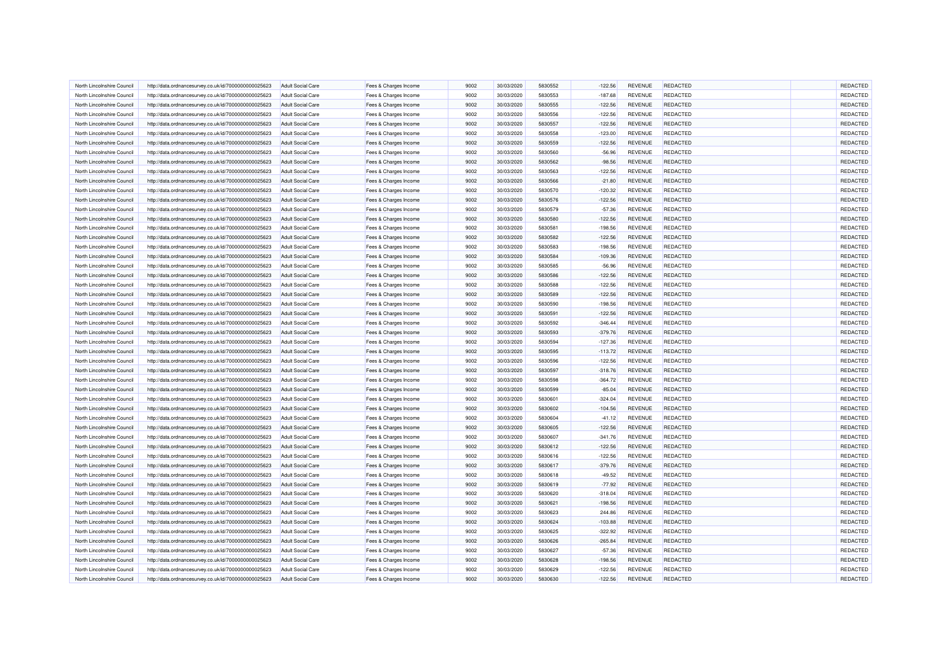| North Lincolnshire Council | http://data.ordnancesurvey.co.uk/id/7000000000025623                                                         | <b>Adult Social Care</b> | Fees & Charges Income                          | 9002         | 30/03/2020               | 5830552            | $-122.56$ | REVENUE        | REDACTED                           | REDACTED |
|----------------------------|--------------------------------------------------------------------------------------------------------------|--------------------------|------------------------------------------------|--------------|--------------------------|--------------------|-----------|----------------|------------------------------------|----------|
| North Lincolnshire Council | http://data.ordnancesurvey.co.uk/id/7000000000025623                                                         | <b>Adult Social Care</b> | Fees & Charges Income                          | 9002         | 30/03/2020               | 5830553            | $-187.68$ | REVENUE        | <b>REDACTED</b>                    | REDACTED |
| North Lincolnshire Council | http://data.ordnancesurvey.co.uk/id/7000000000025623                                                         | <b>Adult Social Care</b> | Fees & Charges Income                          | 9002         | 30/03/2020               | 5830555            | $-122.56$ | REVENUE        | <b>REDACTED</b>                    | REDACTED |
| North Lincolnshire Council | http://data.ordnancesurvey.co.uk/id/7000000000025623                                                         | <b>Adult Social Care</b> | Fees & Charges Income                          | 9002         | 30/03/2020               | 5830556            | $-122.56$ | REVENUE        | REDACTED                           | REDACTED |
| North Lincolnshire Council | http://data.ordnancesurvey.co.uk/id/7000000000025623                                                         | <b>Adult Social Care</b> | Fees & Charges Income                          | 9002         | 30/03/2020               | 5830557            | $-122.56$ | REVENUE        | <b>REDACTED</b>                    | REDACTED |
| North Lincolnshire Council | http://data.ordnancesurvey.co.uk/id/7000000000025623                                                         | <b>Adult Social Care</b> | Fees & Charges Income                          | 9002         | 30/03/2020               | 5830558            | $-123.00$ | <b>REVENUE</b> | <b>REDACTED</b>                    | REDACTED |
| North Lincolnshire Council | http://data.ordnancesurvey.co.uk/id/7000000000025623                                                         | <b>Adult Social Care</b> | Fees & Charges Income                          | 9002         | 30/03/2020               | 5830559            | $-122.56$ | <b>REVENUE</b> | <b>REDACTED</b>                    | REDACTED |
| North Lincolnshire Council | http://data.ordnancesurvey.co.uk/id/7000000000025623                                                         | <b>Adult Social Care</b> | Fees & Charges Income                          | 9002         | 30/03/2020               | 5830560            | $-56.96$  | REVENUE        | REDACTED                           | REDACTED |
| North Lincolnshire Council | http://data.ordnancesurvey.co.uk/id/7000000000025623                                                         | Adult Social Care        | Fees & Charges Income                          | 9002         | 30/03/2020               | 5830562            | $-98.56$  | <b>REVENUE</b> | <b>REDACTED</b>                    | REDACTED |
| North Lincolnshire Council | http://data.ordnancesurvey.co.uk/id/7000000000025623                                                         | <b>Adult Social Care</b> | Fees & Charges Income                          | 9002         | 30/03/2020               | 5830563            | $-122.56$ | REVENUE        | <b>REDACTED</b>                    | REDACTED |
| North Lincolnshire Council | http://data.ordnancesurvey.co.uk/id/7000000000025623                                                         | <b>Adult Social Care</b> | Fees & Charges Income                          | 9002         | 30/03/2020               | 5830566            | $-21.80$  | REVENUE        | <b>REDACTED</b>                    | REDACTED |
| North Lincolnshire Council | http://data.ordnancesurvey.co.uk/id/7000000000025623                                                         | <b>Adult Social Care</b> | Fees & Charges Income                          | 9002         | 30/03/2020               | 5830570            | $-120.32$ | REVENUE        | REDACTED                           | REDACTED |
| North Lincolnshire Council | http://data.ordnancesurvey.co.uk/id/7000000000025623                                                         | <b>Adult Social Care</b> | Fees & Charges Income                          | 9002         | 30/03/2020               | 5830576            | $-122.56$ | REVENUE        | REDACTED                           | REDACTED |
| North Lincolnshire Council | http://data.ordnancesurvey.co.uk/id/7000000000025623                                                         | <b>Adult Social Care</b> | Fees & Charges Income                          | 9002         | 30/03/2020               | 5830579            | $-57.36$  | REVENUE        | REDACTED                           | REDACTED |
| North Lincolnshire Council | http://data.ordnancesurvey.co.uk/id/7000000000025623                                                         | <b>Adult Social Care</b> | Fees & Charges Income                          | 9002         | 30/03/2020               | 5830580            | $-122.56$ | <b>REVENUE</b> | <b>REDACTED</b>                    | REDACTED |
| North Lincolnshire Council | http://data.ordnancesurvey.co.uk/id/7000000000025623                                                         | <b>Adult Social Care</b> | Fees & Charges Income                          | 9002         | 30/03/2020               | 5830581            | $-198.56$ | REVENUE        | <b>REDACTED</b>                    | REDACTED |
| North Lincolnshire Council | http://data.ordnancesurvey.co.uk/id/7000000000025623                                                         | <b>Adult Social Care</b> | Fees & Charges Income                          | 9002         | 30/03/2020               | 5830582            | $-122.56$ | <b>REVENUE</b> | <b>REDACTED</b>                    | REDACTED |
| North Lincolnshire Council | http://data.ordnancesurvey.co.uk/id/7000000000025623                                                         | <b>Adult Social Care</b> | Fees & Charges Income                          | 9002         | 30/03/2020               | 5830583            | $-198.56$ | <b>REVENUE</b> | <b>REDACTED</b>                    | REDACTED |
| North Lincolnshire Council | http://data.ordnancesurvey.co.uk/id/7000000000025623                                                         | <b>Adult Social Care</b> | Fees & Charges Income                          | 9002         | 30/03/2020               | 5830584            | $-109.36$ | REVENUE        | REDACTED                           | REDACTED |
| North Lincolnshire Council | http://data.ordnancesurvey.co.uk/id/7000000000025623                                                         | <b>Adult Social Care</b> | Fees & Charges Income                          | 9002         | 30/03/2020               | 5830585            | $-56.96$  | REVENUE        | REDACTED                           | REDACTED |
| North Lincolnshire Council | http://data.ordnancesurvey.co.uk/id/7000000000025623                                                         | <b>Adult Social Care</b> | Fees & Charges Income                          | 9002         | 30/03/2020               | 5830586            | $-122.56$ | REVENUE        | <b>REDACTED</b>                    | REDACTED |
| North Lincolnshire Council | http://data.ordnancesurvey.co.uk/id/7000000000025623                                                         | <b>Adult Social Care</b> | Fees & Charges Income                          | 9002         | 30/03/2020               | 5830588            | $-122.56$ | <b>REVENUE</b> | <b>REDACTED</b>                    | REDACTED |
| North Lincolnshire Council | http://data.ordnancesurvey.co.uk/id/7000000000025623                                                         | <b>Adult Social Care</b> | Fees & Charges Income                          | 9002         | 30/03/2020               | 5830589            | $-122.56$ | <b>REVENUE</b> | <b>REDACTED</b>                    | REDACTED |
| North Lincolnshire Council | http://data.ordnancesurvey.co.uk/id/7000000000025623                                                         | <b>Adult Social Care</b> | Fees & Charges Income                          | 9002         | 30/03/2020               | 5830590            | $-198.56$ | REVENUE        | REDACTED                           | REDACTED |
| North Lincolnshire Council | http://data.ordnancesurvey.co.uk/id/7000000000025623                                                         | <b>Adult Social Care</b> | Fees & Charges Income                          | 9002         | 30/03/2020               | 5830591            | $-122.56$ | REVENUE        | REDACTED                           | REDACTED |
| North Lincolnshire Council |                                                                                                              | <b>Adult Social Care</b> |                                                | 9002         |                          | 5830592            | $-346.44$ | <b>REVENUE</b> | REDACTED                           | REDACTED |
| North Lincolnshire Council | http://data.ordnancesurvey.co.uk/id/7000000000025623                                                         | <b>Adult Social Care</b> | Fees & Charges Income                          | 9002         | 30/03/2020<br>30/03/2020 | 5830593            | $-379.76$ | <b>REVENUE</b> | <b>REDACTED</b>                    | REDACTED |
| North Lincolnshire Council | http://data.ordnancesurvey.co.uk/id/7000000000025623<br>http://data.ordnancesurvey.co.uk/id/7000000000025623 | <b>Adult Social Care</b> | Fees & Charges Income<br>Fees & Charges Income | 9002         | 30/03/2020               | 5830594            | $-127.36$ | REVENUE        | REDACTED                           | REDACTED |
|                            |                                                                                                              |                          |                                                |              |                          |                    |           |                |                                    |          |
| North Lincolnshire Council | http://data.ordnancesurvey.co.uk/id/7000000000025623                                                         | <b>Adult Social Care</b> | Fees & Charges Income                          | 9002<br>9002 | 30/03/2020               | 5830595<br>5830596 | $-113.72$ | <b>REVENUE</b> | <b>REDACTED</b><br><b>REDACTED</b> | REDACTED |
| North Lincolnshire Council | http://data.ordnancesurvey.co.uk/id/7000000000025623                                                         | <b>Adult Social Care</b> | Fees & Charges Income                          |              | 30/03/2020               |                    | $-122.56$ | REVENUE        |                                    | REDACTED |
| North Lincolnshire Council | http://data.ordnancesurvey.co.uk/id/7000000000025623                                                         | <b>Adult Social Care</b> | Fees & Charges Income                          | 9002         | 30/03/2020               | 5830597            | $-318.76$ | REVENUE        | REDACTED                           | REDACTED |
| North Lincolnshire Council | http://data.ordnancesurvey.co.uk/id/7000000000025623                                                         | <b>Adult Social Care</b> | Fees & Charges Income                          | 9002         | 30/03/2020               | 5830598            | $-364.72$ | REVENUE        | <b>REDACTED</b>                    | REDACTED |
| North Lincolnshire Council | http://data.ordnancesurvey.co.uk/id/7000000000025623                                                         | <b>Adult Social Care</b> | Fees & Charges Income                          | 9002         | 30/03/2020               | 5830599            | $-85.04$  | <b>REVENUE</b> | <b>REDACTED</b>                    | REDACTED |
| North Lincolnshire Council | http://data.ordnancesurvey.co.uk/id/7000000000025623                                                         | <b>Adult Social Care</b> | Fees & Charges Income                          | 9002         | 30/03/2020               | 5830601            | $-324.04$ | <b>REVENUE</b> | REDACTED                           | REDACTED |
| North Lincolnshire Council | http://data.ordnancesurvey.co.uk/id/7000000000025623                                                         | <b>Adult Social Care</b> | Fees & Charges Income                          | 9002         | 30/03/2020               | 5830602            | $-104.56$ | <b>REVENUE</b> | REDACTED                           | REDACTED |
| North Lincolnshire Council | http://data.ordnancesurvey.co.uk/id/7000000000025623                                                         | Adult Social Care        | Fees & Charges Income                          | 9002         | 30/03/2020               | 5830604            | $-41.12$  | <b>REVENUE</b> | REDACTED                           | REDACTED |
| North Lincolnshire Council | http://data.ordnancesurvey.co.uk/id/7000000000025623                                                         | <b>Adult Social Care</b> | Fees & Charges Income                          | 9002         | 30/03/2020               | 5830605            | $-122.56$ | <b>REVENUE</b> | <b>REDACTED</b>                    | REDACTED |
| North Lincolnshire Council | http://data.ordnancesurvey.co.uk/id/7000000000025623                                                         | <b>Adult Social Care</b> | Fees & Charges Income                          | 9002         | 30/03/2020               | 5830607            | $-341.76$ | REVENUE        | <b>REDACTED</b>                    | REDACTED |
| North Lincolnshire Council | http://data.ordnancesurvey.co.uk/id/7000000000025623                                                         | <b>Adult Social Care</b> | Fees & Charges Income                          | 9002         | 30/03/2020               | 5830612            | $-122.56$ | <b>REVENUE</b> | REDACTED                           | REDACTED |
| North Lincolnshire Council | http://data.ordnancesurvey.co.uk/id/7000000000025623                                                         | <b>Adult Social Care</b> | Fees & Charges Income                          | 9002         | 30/03/2020               | 5830616            | $-122.56$ | <b>REVENUE</b> | REDACTED                           | REDACTED |
| North Lincolnshire Council | http://data.ordnancesurvey.co.uk/id/7000000000025623                                                         | <b>Adult Social Care</b> | Fees & Charges Income                          | 9002         | 30/03/2020               | 5830617            | $-379.76$ | <b>REVENUE</b> | REDACTED                           | REDACTED |
| North Lincolnshire Council | http://data.ordnancesurvey.co.uk/id/7000000000025623                                                         | <b>Adult Social Care</b> | Fees & Charges Income                          | 9002         | 30/03/2020               | 5830618            | $-49.52$  | <b>REVENUE</b> | <b>REDACTED</b>                    | REDACTED |
| North Lincolnshire Council | http://data.ordnancesurvey.co.uk/id/7000000000025623                                                         | <b>Adult Social Care</b> | Fees & Charges Income                          | 9002         | 30/03/2020               | 5830619            | $-77.92$  | REVENUE        | <b>REDACTED</b>                    | REDACTED |
| North Lincolnshire Council | http://data.ordnancesurvey.co.uk/id/7000000000025623                                                         | <b>Adult Social Care</b> | Fees & Charges Income                          | 9002         | 30/03/2020               | 5830620            | $-318.04$ | <b>REVENUE</b> | <b>REDACTED</b>                    | REDACTED |
| North Lincolnshire Council | http://data.ordnancesurvey.co.uk/id/7000000000025623                                                         | <b>Adult Social Care</b> | Fees & Charges Income                          | 9002         | 30/03/2020               | 5830621            | $-198.56$ | <b>REVENUE</b> | <b>REDACTED</b>                    | REDACTED |
| North Lincolnshire Council | http://data.ordnancesurvey.co.uk/id/7000000000025623                                                         | <b>Adult Social Care</b> | Fees & Charges Income                          | 9002         | 30/03/2020               | 5830623            | 244.86    | <b>REVENUE</b> | REDACTED                           | REDACTED |
| North Lincolnshire Council | http://data.ordnancesurvey.co.uk/id/7000000000025623                                                         | <b>Adult Social Care</b> | Fees & Charges Income                          | 9002         | 30/03/2020               | 5830624            | $-103.88$ | <b>REVENUE</b> | REDACTED                           | REDACTED |
| North Lincolnshire Council | http://data.ordnancesurvey.co.uk/id/7000000000025623                                                         | <b>Adult Social Care</b> | Fees & Charges Income                          | 9002         | 30/03/2020               | 5830625            | $-322.92$ | <b>REVENUE</b> | REDACTED                           | REDACTED |
| North Lincolnshire Council | http://data.ordnancesurvey.co.uk/id/7000000000025623                                                         | <b>Adult Social Care</b> | Fees & Charges Income                          | 9002         | 30/03/2020               | 5830626            | $-265.84$ | <b>REVENUE</b> | <b>REDACTED</b>                    | REDACTED |
| North Lincolnshire Council | http://data.ordnancesurvey.co.uk/id/7000000000025623                                                         | <b>Adult Social Care</b> | Fees & Charges Income                          | 9002         | 30/03/2020               | 5830627            | $-57.36$  | <b>REVENUE</b> | <b>REDACTED</b>                    | REDACTED |
| North Lincolnshire Council | http://data.ordnancesurvey.co.uk/id/7000000000025623                                                         | <b>Adult Social Care</b> | Fees & Charges Income                          | 9002         | 30/03/2020               | 5830628            | $-198.56$ | REVENUE        | REDACTED                           | REDACTED |
| North Lincolnshire Council | http://data.ordnancesurvey.co.uk/id/7000000000025623                                                         | <b>Adult Social Care</b> | Fees & Charges Income                          | 9002         | 30/03/2020               | 5830629            | $-122.56$ | <b>REVENUE</b> | REDACTED                           | REDACTED |
| North Lincolnshire Council | http://data.ordnancesurvey.co.uk/id/7000000000025623                                                         | <b>Adult Social Care</b> | Fees & Charges Income                          | 9002         | 30/03/2020               | 5830630            | $-122.56$ | <b>REVENUE</b> | <b>REDACTED</b>                    | REDACTED |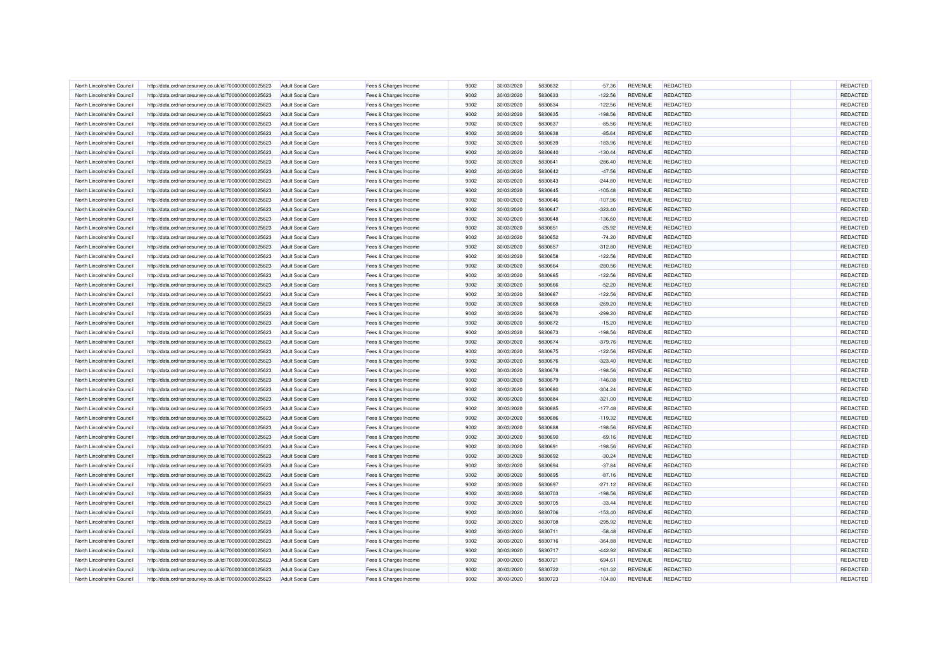| North Lincolnshire Council                               | http://data.ordnancesurvey.co.uk/id/7000000000025623                                                         | <b>Adult Social Care</b>                             | Fees & Charges Income                          | 9002         | 30/03/2020               | 5830632            | $-57.36$             | <b>REVENUE</b>                   | <b>REDACTED</b>      | REDACTED             |
|----------------------------------------------------------|--------------------------------------------------------------------------------------------------------------|------------------------------------------------------|------------------------------------------------|--------------|--------------------------|--------------------|----------------------|----------------------------------|----------------------|----------------------|
| North Lincolnshire Council                               | http://data.ordnancesurvey.co.uk/id/7000000000025623                                                         | <b>Adult Social Care</b>                             | Fees & Charges Income                          | 9002         | 30/03/2020               | 5830633            | $-122.56$            | REVENUE                          | REDACTED             | REDACTED             |
| North Lincolnshire Council                               | http://data.ordnancesurvey.co.uk/id/7000000000025623                                                         | <b>Adult Social Care</b>                             | Fees & Charges Income                          | 9002         | 30/03/2020               | 5830634            | $-122.56$            | <b>REVENUE</b>                   | <b>REDACTED</b>      | REDACTED             |
| North Lincolnshire Council                               | http://data.ordnancesurvey.co.uk/id/7000000000025623                                                         | <b>Adult Social Care</b>                             | Fees & Charges Income                          | 9002         | 30/03/2020               | 5830635            | $-198.56$            | REVENUE                          | REDACTED             | REDACTED             |
| North Lincolnshire Council                               | http://data.ordnancesurvey.co.uk/id/7000000000025623                                                         | <b>Adult Social Care</b>                             | Fees & Charges Income                          | 9002         | 30/03/2020               | 5830637            | $-85.56$             | <b>REVENUE</b>                   | <b>REDACTED</b>      | REDACTED             |
| North Lincolnshire Council                               | http://data.ordnancesurvey.co.uk/id/7000000000025623                                                         | <b>Adult Social Care</b>                             | Fees & Charges Income                          | 9002         | 30/03/2020               | 5830638            | $-85.64$             | REVENUE                          | <b>REDACTED</b>      | REDACTED             |
| North Lincolnshire Council                               | http://data.ordnancesurvey.co.uk/id/7000000000025623                                                         | <b>Adult Social Care</b>                             | Fees & Charges Income                          | 9002         | 30/03/2020               | 5830639            | $-183.96$            | <b>REVENUE</b>                   | <b>REDACTED</b>      | REDACTED             |
| North Lincolnshire Council                               | http://data.ordnancesurvey.co.uk/id/7000000000025623                                                         | <b>Adult Social Care</b>                             | Fees & Charges Income                          | 9002         | 30/03/2020               | 5830640            | $-130.44$            | REVENUE                          | <b>REDACTED</b>      | REDACTED             |
| North Lincolnshire Council                               | http://data.ordnancesurvey.co.uk/id/7000000000025623                                                         | <b>Adult Social Care</b>                             | Fees & Charges Income                          | 9002         | 30/03/2020               | 5830641            | $-286.40$            | REVENUE                          | REDACTED             | REDACTED             |
| North Lincolnshire Council                               | http://data.ordnancesurvey.co.uk/id/7000000000025623                                                         | <b>Adult Social Care</b>                             | Fees & Charges Income                          | 9002         | 30/03/2020               | 5830642            | $-47.56$             | <b>REVENUE</b>                   | <b>REDACTED</b>      | REDACTED             |
| North Lincolnshire Council                               | http://data.ordnancesurvey.co.uk/id/7000000000025623                                                         | <b>Adult Social Care</b>                             | Fees & Charges Income                          | 9002         | 30/03/2020               | 5830643            | $-244.80$            | <b>REVENUE</b>                   | REDACTED             | REDACTED             |
| North Lincolnshire Council                               | http://data.ordnancesurvey.co.uk/id/7000000000025623                                                         | <b>Adult Social Care</b>                             | Fees & Charges Income                          | 9002         | 30/03/2020               | 5830645            | $-105.48$            | <b>REVENUE</b>                   | <b>REDACTED</b>      | REDACTED             |
| North Lincolnshire Council                               | http://data.ordnancesurvey.co.uk/id/7000000000025623                                                         | <b>Adult Social Care</b>                             | Fees & Charges Income                          | 9002         | 30/03/2020               | 5830646            | $-107.96$            | REVENUE                          | <b>REDACTED</b>      | REDACTED             |
| North Lincolnshire Council                               | http://data.ordnancesurvey.co.uk/id/7000000000025623                                                         | <b>Adult Social Care</b>                             | Fees & Charges Income                          | 9002         | 30/03/2020               | 5830647            | $-323.40$            | REVENUE                          | REDACTED             | REDACTED             |
| North Lincolnshire Council                               | http://data.ordnancesurvey.co.uk/id/7000000000025623                                                         | <b>Adult Social Care</b>                             | Fees & Charges Income                          | 9002         | 30/03/2020               | 5830648            | $-136.60$            | REVENUE                          | REDACTED             | REDACTED             |
| North Lincolnshire Council                               | http://data.ordnancesurvey.co.uk/id/7000000000025623                                                         | <b>Adult Social Care</b>                             | Fees & Charges Income                          | 9002         | 30/03/2020               | 5830651            | $-25.92$             | <b>REVENUE</b>                   | <b>REDACTED</b>      | REDACTED             |
| North Lincolnshire Council                               | http://data.ordnancesurvey.co.uk/id/7000000000025623                                                         | <b>Adult Social Care</b>                             | Fees & Charges Income                          | 9002         | 30/03/2020               | 5830652            | $-74.20$             | REVENUE                          | <b>REDACTED</b>      | REDACTED             |
| North Lincolnshire Council                               | http://data.ordnancesurvey.co.uk/id/7000000000025623                                                         | <b>Adult Social Care</b>                             | Fees & Charges Income                          | 9002         | 30/03/2020               | 5830657            | $-312.80$            | <b>REVENUE</b>                   | <b>REDACTED</b>      | REDACTED             |
| North Lincolnshire Council                               | http://data.ordnancesurvey.co.uk/id/7000000000025623                                                         | <b>Adult Social Care</b>                             | Fees & Charges Income                          | 9002         | 30/03/2020               | 5830658            | $-122.56$            | REVENUE                          | <b>REDACTED</b>      | REDACTED             |
| North Lincolnshire Council                               | http://data.ordnancesurvey.co.uk/id/7000000000025623                                                         | <b>Adult Social Care</b>                             | Fees & Charges Income                          | 9002         | 30/03/2020               | 5830664            | $-280.56$            | <b>REVENUE</b>                   | REDACTED             | REDACTED             |
| North Lincolnshire Council                               | http://data.ordnancesurvey.co.uk/id/7000000000025623                                                         | <b>Adult Social Care</b>                             | Fees & Charges Income                          | 9002         | 30/03/2020               | 5830665            | $-122.56$            | REVENUE                          | <b>REDACTED</b>      | REDACTED             |
| North Lincolnshire Council                               | http://data.ordnancesurvey.co.uk/id/7000000000025623                                                         | <b>Adult Social Care</b>                             | Fees & Charges Income                          | 9002         | 30/03/2020               | 5830666            | $-52.20$             | REVENUE                          | <b>REDACTED</b>      | REDACTED             |
| North Lincolnshire Council                               | http://data.ordnancesurvey.co.uk/id/7000000000025623                                                         | <b>Adult Social Care</b>                             | Fees & Charges Income                          | 9002         | 30/03/2020               | 5830667            | $-122.56$            | REVENUE                          | REDACTED             | REDACTED             |
| North Lincolnshire Council                               | http://data.ordnancesurvey.co.uk/id/7000000000025623                                                         | <b>Adult Social Care</b>                             | Fees & Charges Income                          | 9002         | 30/03/2020               | 5830668            | $-269.20$            | <b>REVENUE</b>                   | <b>REDACTED</b>      | REDACTED             |
| North Lincolnshire Council                               | http://data.ordnancesurvey.co.uk/id/7000000000025623                                                         | <b>Adult Social Care</b>                             | Fees & Charges Income                          | 9002         | 30/03/2020               | 5830670            | $-299.20$            | REVENUE                          | <b>REDACTED</b>      | REDACTED             |
| North Lincolnshire Council                               | http://data.ordnancesurvey.co.uk/id/7000000000025623                                                         | <b>Adult Social Care</b>                             | Fees & Charges Income                          | 9002         | 30/03/2020               | 5830672            | $-15.20$             | REVENUE                          | REDACTED             | REDACTED             |
| North Lincolnshire Council                               | http://data.ordnancesurvey.co.uk/id/7000000000025623                                                         | <b>Adult Social Care</b>                             | Fees & Charges Income                          | 9002         | 30/03/2020               | 5830673            | $-198.56$            | REVENUE                          | REDACTED             | REDACTED             |
| North Lincolnshire Council                               | http://data.ordnancesurvey.co.uk/id/7000000000025623                                                         | <b>Adult Social Care</b>                             | Fees & Charges Income                          | 9002         | 30/03/2020               | 5830674            | $-379.76$            | <b>REVENUE</b>                   | <b>REDACTED</b>      | REDACTED             |
| North Lincolnshire Council                               | http://data.ordnancesurvey.co.uk/id/7000000000025623                                                         | <b>Adult Social Care</b>                             | Fees & Charges Income                          | 9002         | 30/03/2020               | 5830675            | $-122.56$            | REVENUE                          | <b>REDACTED</b>      | REDACTED             |
| North Lincolnshire Council                               | http://data.ordnancesurvey.co.uk/id/7000000000025623                                                         | <b>Adult Social Care</b>                             | Fees & Charges Income                          | 9002         | 30/03/2020               | 5830676            | $-323.40$            | <b>REVENUE</b>                   | REDACTED             | REDACTED             |
| North Lincolnshire Council                               | http://data.ordnancesurvey.co.uk/id/7000000000025623                                                         | <b>Adult Social Care</b>                             | Fees & Charges Income                          | 9002         | 30/03/2020               | 5830678            | $-198.56$            | <b>REVENUE</b>                   | REDACTED             | REDACTED             |
| North Lincolnshire Council                               | http://data.ordnancesurvey.co.uk/id/7000000000025623                                                         | <b>Adult Social Care</b>                             | Fees & Charges Income                          | 9002         | 30/03/2020               | 5830679            | $-146.08$            | <b>REVENUE</b>                   | <b>REDACTED</b>      | REDACTED             |
| North Lincolnshire Council                               | http://data.ordnancesurvey.co.uk/id/7000000000025623                                                         | Adult Social Care                                    | Fees & Charges Income                          | 9002         | 30/03/2020               | 5830680            | $-304.24$            | <b>REVENUE</b>                   | <b>REDACTED</b>      | REDACTED             |
| North Lincolnshire Council                               | http://data.ordnancesurvey.co.uk/id/7000000000025623                                                         | <b>Adult Social Care</b>                             | Fees & Charges Income                          | 9002         | 30/03/2020               | 5830684            | $-321.00$            | REVENUE                          | REDACTED             | REDACTED             |
| North Lincolnshire Council                               | http://data.ordnancesurvey.co.uk/id/7000000000025623                                                         | <b>Adult Social Care</b>                             | Fees & Charges Income                          | 9002         | 30/03/2020               | 5830685            | $-177.48$            | <b>REVENUE</b>                   | REDACTED             | REDACTED             |
| North Lincolnshire Council                               | http://data.ordnancesurvey.co.uk/id/7000000000025623                                                         | Adult Social Care                                    | Fees & Charges Income                          | 9002         | 30/03/2020               | 5830686            | $-119.32$            | <b>REVENUE</b>                   | REDACTED             | REDACTED             |
| North Lincolnshire Council                               |                                                                                                              | <b>Adult Social Care</b>                             |                                                | 9002         | 30/03/2020               | 5830688            | $-198.56$            | <b>REVENUE</b>                   | <b>REDACTED</b>      | REDACTED             |
| North Lincolnshire Council                               | http://data.ordnancesurvey.co.uk/id/7000000000025623                                                         | <b>Adult Social Care</b>                             | Fees & Charges Income                          | 9002         | 30/03/2020               | 5830690            | $-69.16$             | <b>REVENUE</b>                   | <b>REDACTED</b>      | REDACTED             |
|                                                          | http://data.ordnancesurvey.co.uk/id/7000000000025623                                                         |                                                      | Fees & Charges Income                          |              |                          |                    |                      |                                  |                      | REDACTED             |
| North Lincolnshire Council                               | http://data.ordnancesurvey.co.uk/id/7000000000025623                                                         | <b>Adult Social Care</b>                             | Fees & Charges Income                          | 9002         | 30/03/2020               | 5830691<br>5830692 | $-198.56$            | <b>REVENUE</b><br><b>REVENUE</b> | REDACTED<br>REDACTED | REDACTED             |
| North Lincolnshire Council                               | http://data.ordnancesurvey.co.uk/id/7000000000025623                                                         | <b>Adult Social Care</b>                             | Fees & Charges Income                          | 9002<br>9002 | 30/03/2020<br>30/03/2020 | 5830694            | $-30.24$             | <b>REVENUE</b>                   | REDACTED             |                      |
| North Lincolnshire Council<br>North Lincolnshire Council | http://data.ordnancesurvey.co.uk/id/7000000000025623<br>http://data.ordnancesurvey.co.uk/id/7000000000025623 | <b>Adult Social Care</b><br><b>Adult Social Care</b> | Fees & Charges Income<br>Fees & Charges Income | 9002         | 30/03/2020               | 5830695            | $-37.84$<br>$-87.16$ | REVENUE                          | <b>REDACTED</b>      | REDACTED<br>REDACTED |
| North Lincolnshire Council                               | http://data.ordnancesurvey.co.uk/id/7000000000025623                                                         | <b>Adult Social Care</b>                             | Fees & Charges Income                          | 9002         | 30/03/2020               | 5830697            | $-271.12$            | <b>REVENUE</b>                   | <b>REDACTED</b>      | REDACTED             |
| North Lincolnshire Council                               |                                                                                                              | Adult Social Care                                    | Fees & Charges Income                          | 9002         | 30/03/2020               | 5830703            | $-198.56$            | <b>REVENUE</b>                   | <b>REDACTED</b>      | REDACTED             |
|                                                          | http://data.ordnancesurvey.co.uk/id/7000000000025623                                                         |                                                      |                                                | 9002         | 30/03/2020               | 5830705            |                      | <b>REVENUE</b>                   | <b>REDACTED</b>      | REDACTED             |
| North Lincolnshire Council                               | http://data.ordnancesurvey.co.uk/id/7000000000025623                                                         | <b>Adult Social Care</b>                             | Fees & Charges Income                          |              |                          |                    | $-33.44$             |                                  |                      |                      |
| North Lincolnshire Council                               | http://data.ordnancesurvey.co.uk/id/7000000000025623                                                         | <b>Adult Social Care</b>                             | Fees & Charges Income                          | 9002         | 30/03/2020               | 5830706            | $-153.40$            | <b>REVENUE</b>                   | REDACTED             | REDACTED             |
| North Lincolnshire Council                               | http://data.ordnancesurvey.co.uk/id/7000000000025623                                                         | <b>Adult Social Care</b>                             | Fees & Charges Income                          | 9002         | 30/03/2020               | 5830708            | $-295.92$            | <b>REVENUE</b>                   | REDACTED             | REDACTED             |
| North Lincolnshire Council                               | http://data.ordnancesurvey.co.uk/id/7000000000025623                                                         | <b>Adult Social Care</b>                             | Fees & Charges Income                          | 9002         | 30/03/2020               | 5830711            | $-58.48$             | REVENUE                          | <b>REDACTED</b>      | REDACTED             |
| North Lincolnshire Council                               | http://data.ordnancesurvey.co.uk/id/7000000000025623                                                         | <b>Adult Social Care</b>                             | Fees & Charges Income                          | 9002         | 30/03/2020               | 5830716            | $-364.85$            | <b>REVENUE</b>                   | <b>REDACTED</b>      | REDACTED             |
| North Lincolnshire Council                               | http://data.ordnancesurvey.co.uk/id/7000000000025623                                                         | <b>Adult Social Care</b>                             | Fees & Charges Income                          | 9002         | 30/03/2020               | 5830717            | $-442.92$            | <b>REVENUE</b>                   | <b>REDACTED</b>      | REDACTED             |
| North Lincolnshire Council                               | http://data.ordnancesurvey.co.uk/id/7000000000025623                                                         | Adult Social Care                                    | Fees & Charges Income                          | 9002         | 30/03/2020               | 5830721            | 694.61               | REVENUE                          | REDACTED             | REDACTED             |
| North Lincolnshire Council                               | http://data.ordnancesurvey.co.uk/id/7000000000025623                                                         | <b>Adult Social Care</b>                             | Fees & Charges Income                          | 9002         | 30/03/2020               | 5830722            | $-161.32$            | <b>REVENUE</b>                   | REDACTED             | REDACTED             |
| North Lincolnshire Council                               | http://data.ordnancesurvey.co.uk/id/7000000000025623                                                         | <b>Adult Social Care</b>                             | Fees & Charges Income                          | 9002         | 30/03/2020               | 5830723            | $-104.80$            | <b>REVENUE</b>                   | <b>REDACTED</b>      | REDACTED             |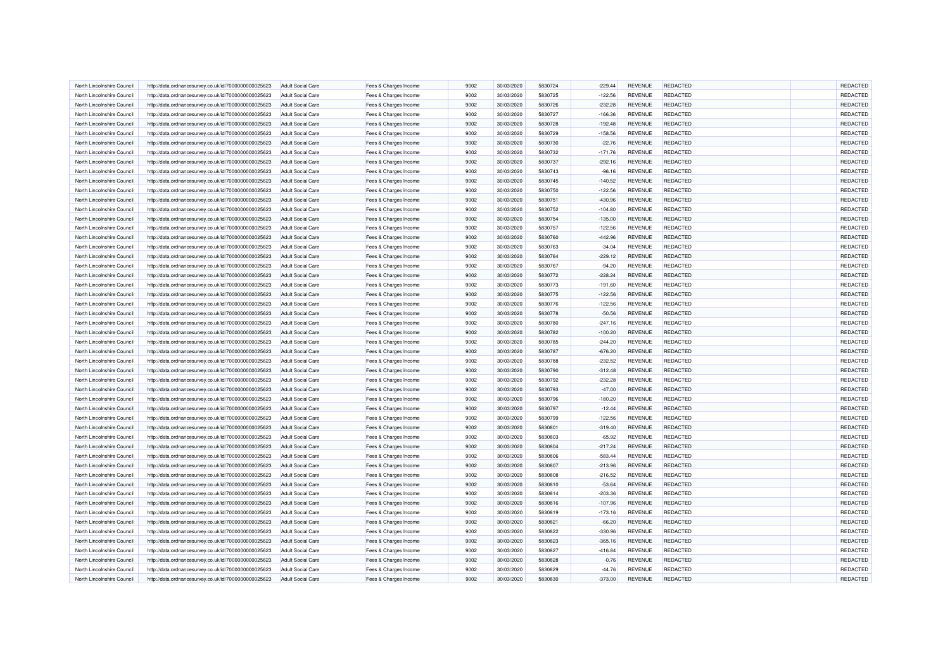| North Lincolnshire Council | http://data.ordnancesurvey.co.uk/id/7000000000025623                                                         | <b>Adult Social Care</b> | Fees & Charges Income                          | 9002         | 30/03/2020               | 5830724            | $-229.44$ | REVENUE        | REDACTED                           | REDACTED |
|----------------------------|--------------------------------------------------------------------------------------------------------------|--------------------------|------------------------------------------------|--------------|--------------------------|--------------------|-----------|----------------|------------------------------------|----------|
| North Lincolnshire Council | http://data.ordnancesurvey.co.uk/id/7000000000025623                                                         | <b>Adult Social Care</b> | Fees & Charges Income                          | 9002         | 30/03/2020               | 5830725            | $-122.56$ | REVENUE        | <b>REDACTED</b>                    | REDACTED |
| North Lincolnshire Council | http://data.ordnancesurvey.co.uk/id/7000000000025623                                                         | <b>Adult Social Care</b> | Fees & Charges Income                          | 9002         | 30/03/2020               | 5830726            | $-232.28$ | REVENUE        | <b>REDACTED</b>                    | REDACTED |
| North Lincolnshire Council | http://data.ordnancesurvey.co.uk/id/7000000000025623                                                         | <b>Adult Social Care</b> | Fees & Charges Income                          | 9002         | 30/03/2020               | 5830727            | $-166.36$ | REVENUE        | REDACTED                           | REDACTED |
| North Lincolnshire Council | http://data.ordnancesurvey.co.uk/id/7000000000025623                                                         | <b>Adult Social Care</b> | Fees & Charges Income                          | 9002         | 30/03/2020               | 5830728            | $-192.48$ | REVENUE        | <b>REDACTED</b>                    | REDACTED |
| North Lincolnshire Council | http://data.ordnancesurvey.co.uk/id/7000000000025623                                                         | <b>Adult Social Care</b> | Fees & Charges Income                          | 9002         | 30/03/2020               | 5830729            | $-158.56$ | <b>REVENUE</b> | <b>REDACTED</b>                    | REDACTED |
| North Lincolnshire Council | http://data.ordnancesurvey.co.uk/id/7000000000025623                                                         | <b>Adult Social Care</b> | Fees & Charges Income                          | 9002         | 30/03/2020               | 5830730            | $-22.76$  | REVENUE        | <b>REDACTED</b>                    | REDACTED |
| North Lincolnshire Council | http://data.ordnancesurvey.co.uk/id/7000000000025623                                                         | <b>Adult Social Care</b> | Fees & Charges Income                          | 9002         | 30/03/2020               | 5830732            | $-171.76$ | REVENUE        | REDACTED                           | REDACTED |
| North Lincolnshire Council | http://data.ordnancesurvey.co.uk/id/7000000000025623                                                         | Adult Social Care        | Fees & Charges Income                          | 9002         | 30/03/2020               | 5830737            | $-292.16$ | <b>REVENUE</b> | <b>REDACTED</b>                    | REDACTED |
| North Lincolnshire Council | http://data.ordnancesurvey.co.uk/id/7000000000025623                                                         | <b>Adult Social Care</b> | Fees & Charges Income                          | 9002         | 30/03/2020               | 5830743            | $-96.16$  | REVENUE        | <b>REDACTED</b>                    | REDACTED |
| North Lincolnshire Council | http://data.ordnancesurvey.co.uk/id/7000000000025623                                                         | <b>Adult Social Care</b> | Fees & Charges Income                          | 9002         | 30/03/2020               | 5830745            | $-140.52$ | REVENUE        | <b>REDACTED</b>                    | REDACTED |
| North Lincolnshire Council | http://data.ordnancesurvey.co.uk/id/7000000000025623                                                         | <b>Adult Social Care</b> | Fees & Charges Income                          | 9002         | 30/03/2020               | 5830750            | $-122.56$ | REVENUE        | REDACTED                           | REDACTED |
| North Lincolnshire Council | http://data.ordnancesurvey.co.uk/id/7000000000025623                                                         | <b>Adult Social Care</b> | Fees & Charges Income                          | 9002         | 30/03/2020               | 5830751            | $-430.96$ | REVENUE        | REDACTED                           | REDACTED |
| North Lincolnshire Council | http://data.ordnancesurvey.co.uk/id/7000000000025623                                                         | <b>Adult Social Care</b> | Fees & Charges Income                          | 9002         | 30/03/2020               | 5830752            | $-104.80$ | REVENUE        | REDACTED                           | REDACTED |
| North Lincolnshire Council | http://data.ordnancesurvey.co.uk/id/7000000000025623                                                         | <b>Adult Social Care</b> | Fees & Charges Income                          | 9002         | 30/03/2020               | 5830754            | $-135.00$ | <b>REVENUE</b> | <b>REDACTED</b>                    | REDACTED |
| North Lincolnshire Council | http://data.ordnancesurvey.co.uk/id/7000000000025623                                                         | <b>Adult Social Care</b> | Fees & Charges Income                          | 9002         | 30/03/2020               | 5830757            | $-122.56$ | REVENUE        | <b>REDACTED</b>                    | REDACTED |
| North Lincolnshire Council | http://data.ordnancesurvey.co.uk/id/7000000000025623                                                         | <b>Adult Social Care</b> | Fees & Charges Income                          | 9002         | 30/03/2020               | 5830760            | $-442.96$ | <b>REVENUE</b> | <b>REDACTED</b>                    | REDACTED |
| North Lincolnshire Council | http://data.ordnancesurvey.co.uk/id/7000000000025623                                                         | <b>Adult Social Care</b> | Fees & Charges Income                          | 9002         | 30/03/2020               | 5830763            | $-34.04$  | <b>REVENUE</b> | <b>REDACTED</b>                    | REDACTED |
| North Lincolnshire Council | http://data.ordnancesurvey.co.uk/id/7000000000025623                                                         | <b>Adult Social Care</b> | Fees & Charges Income                          | 9002         | 30/03/2020               | 5830764            | $-229.12$ | REVENUE        | REDACTED                           | REDACTED |
| North Lincolnshire Council | http://data.ordnancesurvey.co.uk/id/7000000000025623                                                         | <b>Adult Social Care</b> | Fees & Charges Income                          | 9002         | 30/03/2020               | 5830767            | $-94.20$  | REVENUE        | REDACTED                           | REDACTED |
| North Lincolnshire Council | http://data.ordnancesurvey.co.uk/id/7000000000025623                                                         | <b>Adult Social Care</b> | Fees & Charges Income                          | 9002         | 30/03/2020               | 5830772            | $-228.24$ | REVENUE        | <b>REDACTED</b>                    | REDACTED |
| North Lincolnshire Council | http://data.ordnancesurvey.co.uk/id/7000000000025623                                                         | <b>Adult Social Care</b> | Fees & Charges Income                          | 9002         | 30/03/2020               | 5830773            | $-191.60$ | <b>REVENUE</b> | <b>REDACTED</b>                    | REDACTED |
| North Lincolnshire Council | http://data.ordnancesurvey.co.uk/id/7000000000025623                                                         | <b>Adult Social Care</b> | Fees & Charges Income                          | 9002         | 30/03/2020               | 5830775            | $-122.56$ | <b>REVENUE</b> | <b>REDACTED</b>                    | REDACTED |
| North Lincolnshire Council | http://data.ordnancesurvey.co.uk/id/7000000000025623                                                         | <b>Adult Social Care</b> | Fees & Charges Income                          | 9002         | 30/03/2020               | 5830776            | $-122.56$ | REVENUE        | REDACTED                           | REDACTED |
| North Lincolnshire Council | http://data.ordnancesurvey.co.uk/id/7000000000025623                                                         | <b>Adult Social Care</b> | Fees & Charges Income                          | 9002         | 30/03/2020               | 5830778            | $-50.56$  | REVENUE        | REDACTED                           | REDACTED |
| North Lincolnshire Council |                                                                                                              | <b>Adult Social Care</b> |                                                | 9002         |                          | 5830780            | $-247.16$ | <b>REVENUE</b> | REDACTED                           | REDACTED |
| North Lincolnshire Council | http://data.ordnancesurvey.co.uk/id/7000000000025623                                                         | <b>Adult Social Care</b> | Fees & Charges Income                          | 9002         | 30/03/2020<br>30/03/2020 | 5830782            | $-100.20$ | <b>REVENUE</b> | <b>REDACTED</b>                    | REDACTED |
| North Lincolnshire Council | http://data.ordnancesurvey.co.uk/id/7000000000025623<br>http://data.ordnancesurvey.co.uk/id/7000000000025623 | <b>Adult Social Care</b> | Fees & Charges Income<br>Fees & Charges Income | 9002         | 30/03/2020               | 5830785            | $-244.20$ | REVENUE        | REDACTED                           | REDACTED |
|                            |                                                                                                              |                          |                                                |              |                          |                    |           |                |                                    |          |
| North Lincolnshire Council | http://data.ordnancesurvey.co.uk/id/7000000000025623                                                         | <b>Adult Social Care</b> | Fees & Charges Income                          | 9002<br>9002 | 30/03/2020               | 5830787<br>5830788 | $-676.20$ | REVENUE        | <b>REDACTED</b><br><b>REDACTED</b> | REDACTED |
| North Lincolnshire Council | http://data.ordnancesurvey.co.uk/id/7000000000025623                                                         | <b>Adult Social Care</b> | Fees & Charges Income                          |              | 30/03/2020               |                    | $-232.52$ | REVENUE        |                                    | REDACTED |
| North Lincolnshire Council | http://data.ordnancesurvey.co.uk/id/7000000000025623                                                         | <b>Adult Social Care</b> | Fees & Charges Income                          | 9002         | 30/03/2020               | 5830790            | $-312.48$ | REVENUE        | REDACTED                           | REDACTED |
| North Lincolnshire Council | http://data.ordnancesurvey.co.uk/id/7000000000025623                                                         | <b>Adult Social Care</b> | Fees & Charges Income                          | 9002         | 30/03/2020               | 5830792            | $-232.28$ | REVENUE        | <b>REDACTED</b>                    | REDACTED |
| North Lincolnshire Council | http://data.ordnancesurvey.co.uk/id/7000000000025623                                                         | <b>Adult Social Care</b> | Fees & Charges Income                          | 9002         | 30/03/2020               | 5830793            | $-47.00$  | <b>REVENUE</b> | <b>REDACTED</b>                    | REDACTED |
| North Lincolnshire Council | http://data.ordnancesurvey.co.uk/id/7000000000025623                                                         | <b>Adult Social Care</b> | Fees & Charges Income                          | 9002         | 30/03/2020               | 5830796            | $-180.20$ | <b>REVENUE</b> | REDACTED                           | REDACTED |
| North Lincolnshire Council | http://data.ordnancesurvey.co.uk/id/7000000000025623                                                         | <b>Adult Social Care</b> | Fees & Charges Income                          | 9002         | 30/03/2020               | 5830797            | $-12.44$  | REVENUE        | REDACTED                           | REDACTED |
| North Lincolnshire Council | http://data.ordnancesurvey.co.uk/id/7000000000025623                                                         | Adult Social Care        | Fees & Charges Income                          | 9002         | 30/03/2020               | 5830799            | $-122.56$ | <b>REVENUE</b> | REDACTED                           | REDACTED |
| North Lincolnshire Council | http://data.ordnancesurvey.co.uk/id/7000000000025623                                                         | <b>Adult Social Care</b> | Fees & Charges Income                          | 9002         | 30/03/2020               | 5830801            | $-319.40$ | <b>REVENUE</b> | <b>REDACTED</b>                    | REDACTED |
| North Lincolnshire Council | http://data.ordnancesurvey.co.uk/id/7000000000025623                                                         | <b>Adult Social Care</b> | Fees & Charges Income                          | 9002         | 30/03/2020               | 5830803            | $-65.92$  | REVENUE        | <b>REDACTED</b>                    | REDACTED |
| North Lincolnshire Council | http://data.ordnancesurvey.co.uk/id/7000000000025623                                                         | <b>Adult Social Care</b> | Fees & Charges Income                          | 9002         | 30/03/2020               | 5830804            | $-217.24$ | <b>REVENUE</b> | REDACTED                           | REDACTED |
| North Lincolnshire Council | http://data.ordnancesurvey.co.uk/id/7000000000025623                                                         | <b>Adult Social Care</b> | Fees & Charges Income                          | 9002         | 30/03/2020               | 5830806            | $-583.44$ | <b>REVENUE</b> | REDACTED                           | REDACTED |
| North Lincolnshire Council | http://data.ordnancesurvey.co.uk/id/7000000000025623                                                         | <b>Adult Social Care</b> | Fees & Charges Income                          | 9002         | 30/03/2020               | 5830807            | $-213.96$ | <b>REVENUE</b> | REDACTED                           | REDACTED |
| North Lincolnshire Council | http://data.ordnancesurvey.co.uk/id/7000000000025623                                                         | <b>Adult Social Care</b> | Fees & Charges Income                          | 9002         | 30/03/2020               | 5830808            | $-216.52$ | REVENUE        | <b>REDACTED</b>                    | REDACTED |
| North Lincolnshire Council | http://data.ordnancesurvey.co.uk/id/7000000000025623                                                         | <b>Adult Social Care</b> | Fees & Charges Income                          | 9002         | 30/03/2020               | 5830810            | $-53.64$  | REVENUE        | <b>REDACTED</b>                    | REDACTED |
| North Lincolnshire Council | http://data.ordnancesurvey.co.uk/id/7000000000025623                                                         | <b>Adult Social Care</b> | Fees & Charges Income                          | 9002         | 30/03/2020               | 5830814            | $-203.36$ | <b>REVENUE</b> | <b>REDACTED</b>                    | REDACTED |
| North Lincolnshire Council | http://data.ordnancesurvey.co.uk/id/7000000000025623                                                         | <b>Adult Social Care</b> | Fees & Charges Income                          | 9002         | 30/03/2020               | 5830816            | $-107.96$ | <b>REVENUE</b> | <b>REDACTED</b>                    | REDACTED |
| North Lincolnshire Council | http://data.ordnancesurvey.co.uk/id/7000000000025623                                                         | <b>Adult Social Care</b> | Fees & Charges Income                          | 9002         | 30/03/2020               | 5830819            | $-173.16$ | <b>REVENUE</b> | REDACTED                           | REDACTED |
| North Lincolnshire Council | http://data.ordnancesurvey.co.uk/id/7000000000025623                                                         | <b>Adult Social Care</b> | Fees & Charges Income                          | 9002         | 30/03/2020               | 5830821            | $-66.20$  | <b>REVENUE</b> | REDACTED                           | REDACTED |
| North Lincolnshire Council | http://data.ordnancesurvey.co.uk/id/7000000000025623                                                         | <b>Adult Social Care</b> | Fees & Charges Income                          | 9002         | 30/03/2020               | 5830822            | $-330.96$ | REVENUE        | REDACTED                           | REDACTED |
| North Lincolnshire Council | http://data.ordnancesurvey.co.uk/id/7000000000025623                                                         | <b>Adult Social Care</b> | Fees & Charges Income                          | 9002         | 30/03/2020               | 5830823            | $-365.16$ | <b>REVENUE</b> | <b>REDACTED</b>                    | REDACTED |
| North Lincolnshire Council | http://data.ordnancesurvey.co.uk/id/7000000000025623                                                         | <b>Adult Social Care</b> | Fees & Charges Income                          | 9002         | 30/03/2020               | 5830827            | $-416.84$ | <b>REVENUE</b> | <b>REDACTED</b>                    | REDACTED |
| North Lincolnshire Council | http://data.ordnancesurvey.co.uk/id/7000000000025623                                                         | <b>Adult Social Care</b> | Fees & Charges Income                          | 9002         | 30/03/2020               | 5830828            | $-0.76$   | REVENUE        | REDACTED                           | REDACTED |
| North Lincolnshire Council | http://data.ordnancesurvey.co.uk/id/7000000000025623                                                         | <b>Adult Social Care</b> | Fees & Charges Income                          | 9002         | 30/03/2020               | 5830829            | $-44.76$  | <b>REVENUE</b> | REDACTED                           | REDACTED |
| North Lincolnshire Council | http://data.ordnancesurvey.co.uk/id/7000000000025623                                                         | <b>Adult Social Care</b> | Fees & Charges Income                          | 9002         | 30/03/2020               | 5830830            | $-373.00$ | <b>REVENUE</b> | <b>REDACTED</b>                    | REDACTED |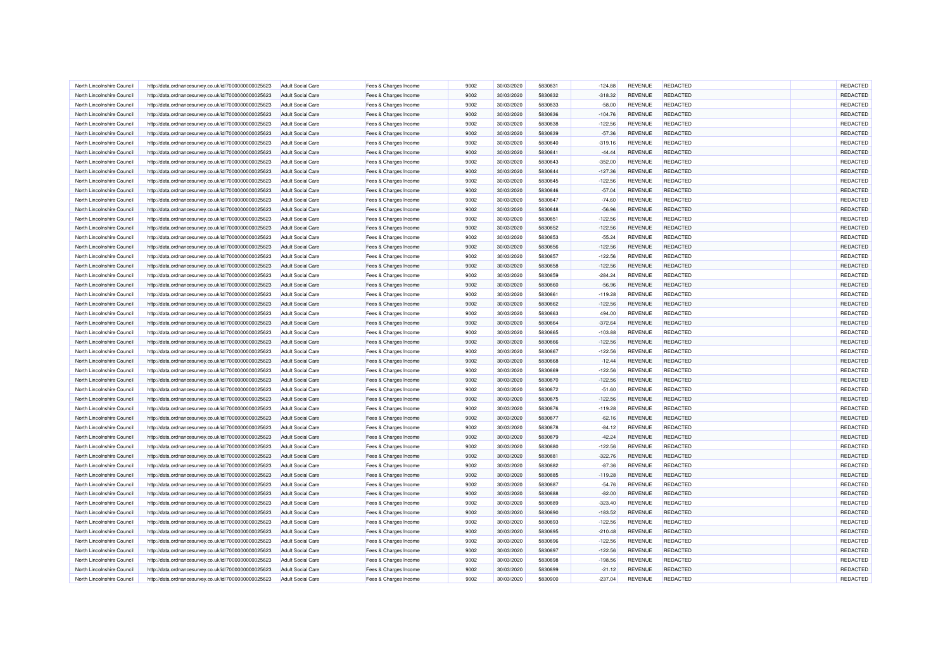| North Lincolnshire Council | http://data.ordnancesurvey.co.uk/id/7000000000025623 | <b>Adult Social Care</b> | Fees & Charges Income | 9002 | 30/03/2020 | 5830831 | $-124.88$ | REVENUE        | REDACTED        | REDACTED |
|----------------------------|------------------------------------------------------|--------------------------|-----------------------|------|------------|---------|-----------|----------------|-----------------|----------|
| North Lincolnshire Council | http://data.ordnancesurvey.co.uk/id/7000000000025623 | <b>Adult Social Care</b> | Fees & Charges Income | 9002 | 30/03/2020 | 5830832 | $-318.32$ | REVENUE        | <b>REDACTED</b> | REDACTED |
| North Lincolnshire Council | http://data.ordnancesurvey.co.uk/id/7000000000025623 | <b>Adult Social Care</b> | Fees & Charges Income | 9002 | 30/03/2020 | 5830833 | $-58.00$  | REVENUE        | <b>REDACTED</b> | REDACTED |
| North Lincolnshire Council | http://data.ordnancesurvey.co.uk/id/7000000000025623 | <b>Adult Social Care</b> | Fees & Charges Income | 9002 | 30/03/2020 | 5830836 | $-104.76$ | REVENUE        | REDACTED        | REDACTED |
| North Lincolnshire Council | http://data.ordnancesurvey.co.uk/id/7000000000025623 | <b>Adult Social Care</b> | Fees & Charges Income | 9002 | 30/03/2020 | 5830838 | $-122.56$ | REVENUE        | <b>REDACTED</b> | REDACTED |
| North Lincolnshire Council | http://data.ordnancesurvey.co.uk/id/7000000000025623 | <b>Adult Social Care</b> | Fees & Charges Income | 9002 | 30/03/2020 | 5830839 | $-57.36$  | <b>REVENUE</b> | <b>REDACTED</b> | REDACTED |
| North Lincolnshire Council | http://data.ordnancesurvey.co.uk/id/7000000000025623 | <b>Adult Social Care</b> | Fees & Charges Income | 9002 | 30/03/2020 | 5830840 | $-319.16$ | <b>REVENUE</b> | REDACTED        | REDACTED |
| North Lincolnshire Council | http://data.ordnancesurvey.co.uk/id/7000000000025623 | <b>Adult Social Care</b> | Fees & Charges Income | 9002 | 30/03/2020 | 5830841 | $-44.44$  | REVENUE        | REDACTED        | REDACTED |
| North Lincolnshire Council | http://data.ordnancesurvey.co.uk/id/7000000000025623 | Adult Social Care        | Fees & Charges Income | 9002 | 30/03/2020 | 5830843 | $-352.00$ | <b>REVENUE</b> | REDACTED        | REDACTED |
| North Lincolnshire Council | http://data.ordnancesurvey.co.uk/id/7000000000025623 | <b>Adult Social Care</b> | Fees & Charges Income | 9002 | 30/03/2020 | 5830844 | $-127.36$ | REVENUE        | <b>REDACTED</b> | REDACTED |
| North Lincolnshire Council | http://data.ordnancesurvey.co.uk/id/7000000000025623 | <b>Adult Social Care</b> | Fees & Charges Income | 9002 | 30/03/2020 | 5830845 | $-122.56$ | REVENUE        | <b>REDACTED</b> | REDACTED |
| North Lincolnshire Council | http://data.ordnancesurvey.co.uk/id/7000000000025623 | <b>Adult Social Care</b> | Fees & Charges Income | 9002 | 30/03/2020 | 5830846 | $-57.04$  | REVENUE        | REDACTED        | REDACTED |
| North Lincolnshire Council | http://data.ordnancesurvey.co.uk/id/7000000000025623 | <b>Adult Social Care</b> | Fees & Charges Income | 9002 | 30/03/2020 | 5830847 | $-74.60$  | <b>REVENUE</b> | REDACTED        | REDACTED |
| North Lincolnshire Council | http://data.ordnancesurvey.co.uk/id/7000000000025623 | <b>Adult Social Care</b> | Fees & Charges Income | 9002 | 30/03/2020 | 5830848 | $-56.96$  | REVENUE        | REDACTED        | REDACTED |
| North Lincolnshire Council | http://data.ordnancesurvey.co.uk/id/7000000000025623 | <b>Adult Social Care</b> | Fees & Charges Income | 9002 | 30/03/2020 | 5830851 | $-122.56$ | <b>REVENUE</b> | <b>REDACTED</b> | REDACTED |
| North Lincolnshire Council | http://data.ordnancesurvey.co.uk/id/7000000000025623 | <b>Adult Social Care</b> | Fees & Charges Income | 9002 | 30/03/2020 | 5830852 | $-122.56$ | REVENUE        | <b>REDACTED</b> | REDACTED |
| North Lincolnshire Council | http://data.ordnancesurvey.co.uk/id/7000000000025623 | <b>Adult Social Care</b> | Fees & Charges Income | 9002 | 30/03/2020 | 5830853 | $-55.24$  | <b>REVENUE</b> | <b>REDACTED</b> | REDACTED |
| North Lincolnshire Council |                                                      | <b>Adult Social Care</b> | Fees & Charges Income | 9002 | 30/03/2020 | 5830856 | $-122.56$ | <b>REVENUE</b> | <b>REDACTED</b> | REDACTED |
|                            | http://data.ordnancesurvey.co.uk/id/7000000000025623 |                          |                       | 9002 |            | 5830857 |           |                | REDACTED        | REDACTED |
| North Lincolnshire Council | http://data.ordnancesurvey.co.uk/id/7000000000025623 | <b>Adult Social Care</b> | Fees & Charges Income |      | 30/03/2020 |         | $-122.56$ | REVENUE        |                 |          |
| North Lincolnshire Council | http://data.ordnancesurvey.co.uk/id/7000000000025623 | <b>Adult Social Care</b> | Fees & Charges Income | 9002 | 30/03/2020 | 5830858 | $-122.56$ | REVENUE        | REDACTED        | REDACTED |
| North Lincolnshire Council | http://data.ordnancesurvey.co.uk/id/7000000000025623 | <b>Adult Social Care</b> | Fees & Charges Income | 9002 | 30/03/2020 | 5830859 | $-284.24$ | REVENUE        | REDACTED        | REDACTED |
| North Lincolnshire Council | http://data.ordnancesurvey.co.uk/id/7000000000025623 | Adult Social Care        | Fees & Charges Income | 9002 | 30/03/2020 | 5830860 | $-56.96$  | REVENUE        | <b>REDACTED</b> | REDACTED |
| North Lincolnshire Council | http://data.ordnancesurvey.co.uk/id/7000000000025623 | <b>Adult Social Care</b> | Fees & Charges Income | 9002 | 30/03/2020 | 5830861 | $-119.28$ | <b>REVENUE</b> | <b>REDACTED</b> | REDACTED |
| North Lincolnshire Council | http://data.ordnancesurvey.co.uk/id/7000000000025623 | <b>Adult Social Care</b> | Fees & Charges Income | 9002 | 30/03/2020 | 5830862 | $-122.56$ | REVENUE        | REDACTED        | REDACTED |
| North Lincolnshire Council | http://data.ordnancesurvey.co.uk/id/7000000000025623 | <b>Adult Social Care</b> | Fees & Charges Income | 9002 | 30/03/2020 | 5830863 | 494.00    | REVENUE        | REDACTED        | REDACTED |
| North Lincolnshire Council | http://data.ordnancesurvey.co.uk/id/7000000000025623 | <b>Adult Social Care</b> | Fees & Charges Income | 9002 | 30/03/2020 | 5830864 | $-372.64$ | REVENUE        | <b>REDACTED</b> | REDACTED |
| North Lincolnshire Council | http://data.ordnancesurvey.co.uk/id/7000000000025623 | <b>Adult Social Care</b> | Fees & Charges Income | 9002 | 30/03/2020 | 5830865 | $-103.88$ | <b>REVENUE</b> | <b>REDACTED</b> | REDACTED |
| North Lincolnshire Council | http://data.ordnancesurvey.co.uk/id/7000000000025623 | <b>Adult Social Care</b> | Fees & Charges Income | 9002 | 30/03/2020 | 5830866 | $-122.56$ | REVENUE        | REDACTED        | REDACTED |
| North Lincolnshire Council | http://data.ordnancesurvey.co.uk/id/7000000000025623 | <b>Adult Social Care</b> | Fees & Charges Income | 9002 | 30/03/2020 | 5830867 | $-122.56$ | REVENUE        | REDACTED        | REDACTED |
| North Lincolnshire Council | http://data.ordnancesurvey.co.uk/id/7000000000025623 | <b>Adult Social Care</b> | Fees & Charges Income | 9002 | 30/03/2020 | 5830868 | $-12.44$  | REVENUE        | <b>REDACTED</b> | REDACTED |
| North Lincolnshire Council | http://data.ordnancesurvey.co.uk/id/7000000000025623 | <b>Adult Social Care</b> | Fees & Charges Income | 9002 | 30/03/2020 | 5830869 | $-122.56$ | REVENUE        | REDACTED        | REDACTED |
| North Lincolnshire Council | http://data.ordnancesurvey.co.uk/id/7000000000025623 | <b>Adult Social Care</b> | Fees & Charges Income | 9002 | 30/03/2020 | 5830870 | $-122.56$ | REVENUE        | <b>REDACTED</b> | REDACTED |
| North Lincolnshire Council | http://data.ordnancesurvey.co.uk/id/7000000000025623 | <b>Adult Social Care</b> | Fees & Charges Income | 9002 | 30/03/2020 | 5830872 | $-51.60$  | <b>REVENUE</b> | <b>REDACTED</b> | REDACTED |
| North Lincolnshire Council | http://data.ordnancesurvey.co.uk/id/7000000000025623 | <b>Adult Social Care</b> | Fees & Charges Income | 9002 | 30/03/2020 | 5830875 | $-122.56$ | REVENUE        | <b>REDACTED</b> | REDACTED |
| North Lincolnshire Council | http://data.ordnancesurvey.co.uk/id/7000000000025623 | Adult Social Care        | Fees & Charges Income | 9002 | 30/03/2020 | 5830876 | $-119.28$ | REVENUE        | REDACTED        | REDACTED |
| North Lincolnshire Council | http://data.ordnancesurvey.co.uk/id/7000000000025623 | Adult Social Care        | Fees & Charges Income | 9002 | 30/03/2020 | 5830877 | $-62.16$  | <b>REVENUE</b> | <b>REDACTED</b> | REDACTED |
| North Lincolnshire Council | http://data.ordnancesurvey.co.uk/id/7000000000025623 | <b>Adult Social Care</b> | Fees & Charges Income | 9002 | 30/03/2020 | 5830878 | $-84.12$  | <b>REVENUE</b> | <b>REDACTED</b> | REDACTED |
| North Lincolnshire Council | http://data.ordnancesurvey.co.uk/id/7000000000025623 | <b>Adult Social Care</b> | Fees & Charges Income | 9002 | 30/03/2020 | 5830879 | $-42.24$  | <b>REVENUE</b> | <b>REDACTED</b> | REDACTED |
| North Lincolnshire Council | http://data.ordnancesurvey.co.uk/id/7000000000025623 | <b>Adult Social Care</b> | Fees & Charges Income | 9002 | 30/03/2020 | 5830880 | $-122.56$ | <b>REVENUE</b> | REDACTED        | REDACTED |
| North Lincolnshire Council | http://data.ordnancesurvey.co.uk/id/7000000000025623 | <b>Adult Social Care</b> | Fees & Charges Income | 9002 | 30/03/2020 | 5830881 | $-322.76$ | <b>REVENUE</b> | REDACTED        | REDACTED |
| North Lincolnshire Council | http://data.ordnancesurvey.co.uk/id/7000000000025623 | <b>Adult Social Care</b> | Fees & Charges Income | 9002 | 30/03/2020 | 5830882 | $-87.36$  | <b>REVENUE</b> | REDACTED        | REDACTED |
| North Lincolnshire Council | http://data.ordnancesurvey.co.uk/id/7000000000025623 | <b>Adult Social Care</b> | Fees & Charges Income | 9002 | 30/03/2020 | 5830885 | $-119.28$ | REVENUE        | <b>REDACTED</b> | REDACTED |
| North Lincolnshire Council | http://data.ordnancesurvey.co.uk/id/7000000000025623 | <b>Adult Social Care</b> | Fees & Charges Income | 9002 | 30/03/2020 | 5830887 | $-54.76$  | <b>REVENUE</b> | <b>REDACTED</b> | REDACTED |
| North Lincolnshire Council | http://data.ordnancesurvey.co.uk/id/7000000000025623 | <b>Adult Social Care</b> | Fees & Charges Income | 9002 | 30/03/2020 | 5830888 | $-82.00$  | <b>REVENUE</b> | <b>REDACTED</b> | REDACTED |
| North Lincolnshire Council |                                                      | <b>Adult Social Care</b> | Fees & Charges Income | 9002 | 30/03/2020 | 5830889 | $-323.40$ | <b>REVENUE</b> | <b>REDACTED</b> | REDACTED |
|                            | http://data.ordnancesurvey.co.uk/id/7000000000025623 |                          |                       |      |            |         |           |                |                 |          |
| North Lincolnshire Council | http://data.ordnancesurvey.co.uk/id/7000000000025623 | <b>Adult Social Care</b> | Fees & Charges Income | 9002 | 30/03/2020 | 5830890 | $-183.52$ | <b>REVENUE</b> | REDACTED        | REDACTED |
| North Lincolnshire Council | http://data.ordnancesurvey.co.uk/id/7000000000025623 | <b>Adult Social Care</b> | Fees & Charges Income | 9002 | 30/03/2020 | 5830893 | $-122.56$ | <b>REVENUE</b> | REDACTED        | REDACTED |
| North Lincolnshire Council | http://data.ordnancesurvey.co.uk/id/7000000000025623 | <b>Adult Social Care</b> | Fees & Charges Income | 9002 | 30/03/2020 | 5830895 | $-210.48$ | REVENUE        | <b>REDACTED</b> | REDACTED |
| North Lincolnshire Council | http://data.ordnancesurvey.co.uk/id/7000000000025623 | <b>Adult Social Care</b> | Fees & Charges Income | 9002 | 30/03/2020 | 5830896 | $-122.56$ | <b>REVENUE</b> | <b>REDACTED</b> | REDACTED |
| North Lincolnshire Council | http://data.ordnancesurvey.co.uk/id/7000000000025623 | <b>Adult Social Care</b> | Fees & Charges Income | 9002 | 30/03/2020 | 5830897 | $-122.56$ | <b>REVENUE</b> | <b>REDACTED</b> | REDACTED |
| North Lincolnshire Council | http://data.ordnancesurvey.co.uk/id/7000000000025623 | Adult Social Care        | Fees & Charges Income | 9002 | 30/03/2020 | 5830898 | $-198.56$ | REVENUE        | REDACTED        | REDACTED |
| North Lincolnshire Council | http://data.ordnancesurvey.co.uk/id/7000000000025623 | <b>Adult Social Care</b> | Fees & Charges Income | 9002 | 30/03/2020 | 5830899 | $-21.12$  | <b>REVENUE</b> | REDACTED        | REDACTED |
| North Lincolnshire Council | http://data.ordnancesurvey.co.uk/id/7000000000025623 | <b>Adult Social Care</b> | Fees & Charges Income | 9002 | 30/03/2020 | 5830900 | $-237.04$ | <b>REVENUE</b> | <b>REDACTED</b> | REDACTED |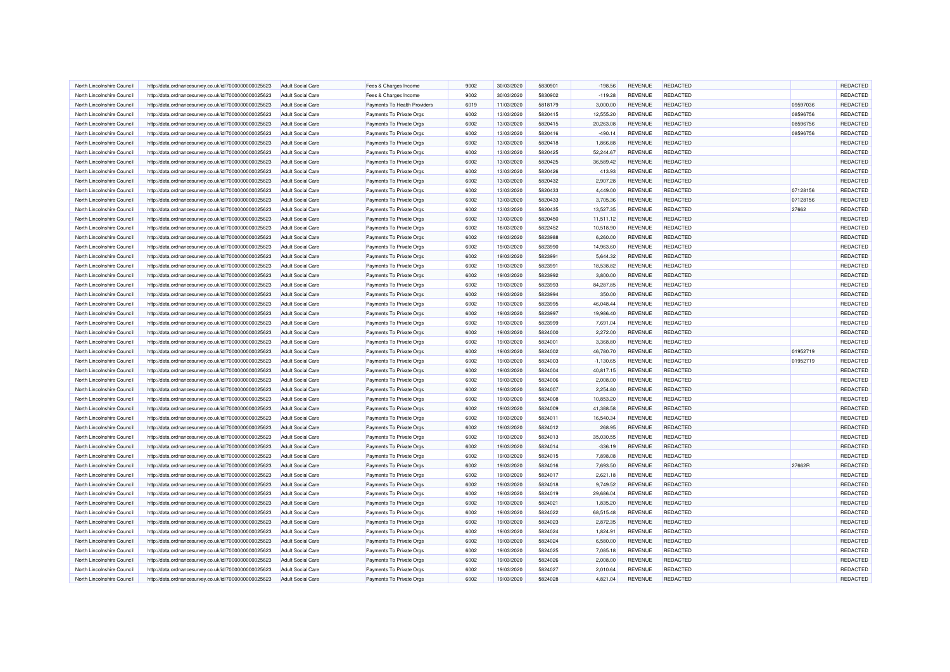| North Lincolnshire Council                               | http://data.ordnancesurvey.co.uk/id/7000000000025623                                                         | <b>Adult Social Care</b>                             | Fees & Charges Income                                | 9002 | 30/03/2020 | 5830901 | $-198.56$             | <b>REVENUE</b> | <b>REDACTED</b> |          | REDACTED |
|----------------------------------------------------------|--------------------------------------------------------------------------------------------------------------|------------------------------------------------------|------------------------------------------------------|------|------------|---------|-----------------------|----------------|-----------------|----------|----------|
| North Lincolnshire Council                               | http://data.ordnancesurvey.co.uk/id/7000000000025623                                                         | <b>Adult Social Care</b>                             | Fees & Charges Income                                | 9002 | 30/03/2020 | 5830902 | $-119.28$             | REVENUE        | <b>REDACTED</b> |          | REDACTED |
| North Lincolnshire Council                               | http://data.ordnancesurvey.co.uk/id/7000000000025623                                                         | <b>Adult Social Care</b>                             | Payments To Health Providers                         | 6019 | 11/03/2020 | 5818179 | 3,000.00              | REVENUE        | <b>REDACTED</b> | 09597036 | REDACTED |
| North Lincolnshire Council                               | http://data.ordnancesurvey.co.uk/id/7000000000025623                                                         | <b>Adult Social Care</b>                             | Payments To Private Orgs                             | 6002 | 13/03/2020 | 5820415 | 12,555.20             | <b>REVENUE</b> | <b>REDACTED</b> | 08596756 | REDACTED |
| North Lincolnshire Council                               | http://data.ordnancesurvey.co.uk/id/7000000000025623                                                         | <b>Adult Social Care</b>                             | Payments To Private Orgs                             | 6002 | 13/03/2020 | 5820415 | 20,263.08             | <b>REVENUE</b> | <b>REDACTED</b> | 08596756 | REDACTED |
| North Lincolnshire Council                               | http://data.ordnancesurvey.co.uk/id/7000000000025623                                                         | <b>Adult Social Care</b>                             | Payments To Private Orgs                             | 6002 | 13/03/2020 | 5820416 | $-490.14$             | REVENUE        | <b>REDACTED</b> | 08596756 | REDACTED |
| North Lincolnshire Council                               | http://data.ordnancesurvey.co.uk/id/7000000000025623                                                         | <b>Adult Social Care</b>                             | Payments To Private Orgs                             | 6002 | 13/03/2020 | 5820418 | 1,866.88              | REVENUE        | <b>REDACTED</b> |          | REDACTED |
| North Lincolnshire Council                               | http://data.ordnancesurvey.co.uk/id/7000000000025623                                                         | <b>Adult Social Care</b>                             | Payments To Private Orgs                             | 6002 | 13/03/2020 | 5820425 | 52,244.67             | REVENUE        | <b>REDACTED</b> |          | REDACTED |
| North Lincolnshire Council                               | http://data.ordnancesurvey.co.uk/id/7000000000025623                                                         | <b>Adult Social Care</b>                             | Payments To Private Orgs                             | 6002 | 13/03/2020 | 5820425 | 36,589.42             | REVENUE        | REDACTED        |          | REDACTED |
| North Lincolnshire Council                               | http://data.ordnancesurvey.co.uk/id/7000000000025623                                                         | <b>Adult Social Care</b>                             | Payments To Private Orgs                             | 6002 | 13/03/2020 | 5820426 | 413.93                | <b>REVENUE</b> | <b>REDACTED</b> |          | REDACTED |
| North Lincolnshire Council                               | http://data.ordnancesurvey.co.uk/id/7000000000025623                                                         | <b>Adult Social Care</b>                             | Payments To Private Orgs                             | 6002 | 13/03/2020 | 5820432 | 2,907.28              | <b>REVENUE</b> | <b>REDACTED</b> |          | REDACTED |
| North Lincolnshire Council                               | http://data.ordnancesurvey.co.uk/id/7000000000025623                                                         | Adult Social Care                                    | Payments To Private Orgs                             | 6002 | 13/03/2020 | 5820433 | 4.449.00              | <b>REVENUE</b> | <b>REDACTED</b> | 07128156 | REDACTED |
| North Lincolnshire Council                               | http://data.ordnancesurvey.co.uk/id/7000000000025623                                                         | <b>Adult Social Care</b>                             | Payments To Private Orgs                             | 6002 | 13/03/2020 | 5820433 | 3,705.36              | <b>REVENUE</b> | <b>REDACTED</b> | 07128156 | REDACTED |
| North Lincolnshire Council                               | http://data.ordnancesurvey.co.uk/id/7000000000025623                                                         | <b>Adult Social Care</b>                             | Payments To Private Orgs                             | 6002 | 13/03/2020 | 5820435 | 13,527.35             | REVENUE        | REDACTED        | 27662    | REDACTED |
| North Lincolnshire Council                               | http://data.ordnancesurvey.co.uk/id/7000000000025623                                                         | <b>Adult Social Care</b>                             | Payments To Private Orgs                             | 6002 | 13/03/2020 | 5820450 | 11,511.12             | REVENUE        | <b>REDACTED</b> |          | REDACTED |
| North Lincolnshire Council                               | http://data.ordnancesurvey.co.uk/id/7000000000025623                                                         | <b>Adult Social Care</b>                             | Payments To Private Orgs                             | 6002 | 18/03/2020 | 5822452 | 10,518.90             | REVENUE        | <b>REDACTED</b> |          | REDACTED |
| North Lincolnshire Council                               | http://data.ordnancesurvey.co.uk/id/7000000000025623                                                         | <b>Adult Social Care</b>                             | Payments To Private Orgs                             | 6002 | 19/03/2020 | 5823988 | 6,260.00              | REVENUE        | <b>REDACTED</b> |          | REDACTED |
| North Lincolnshire Council                               | http://data.ordnancesurvey.co.uk/id/7000000000025623                                                         | <b>Adult Social Care</b>                             | Payments To Private Orgs                             | 6002 | 19/03/2020 | 5823990 | 14,963.60             | <b>REVENUE</b> | <b>REDACTED</b> |          | REDACTED |
|                                                          |                                                                                                              |                                                      |                                                      | 6002 | 19/03/2020 | 5823991 |                       | REVENUE        | <b>REDACTED</b> |          | REDACTED |
| North Lincolnshire Council<br>North Lincolnshire Council | http://data.ordnancesurvey.co.uk/id/7000000000025623<br>http://data.ordnancesurvey.co.uk/id/7000000000025623 | <b>Adult Social Care</b><br><b>Adult Social Care</b> | Payments To Private Orgs<br>Payments To Private Orgs | 6002 | 19/03/2020 | 5823991 | 5,644.32<br>18,538.82 | <b>REVENUE</b> | <b>REDACTED</b> |          | REDACTED |
| North Lincolnshire Council                               | http://data.ordnancesurvey.co.uk/id/7000000000025623                                                         | <b>Adult Social Care</b>                             | Payments To Private Orgs                             | 6002 | 19/03/2020 | 5823992 | 3,800.00              | REVENUE        | <b>REDACTED</b> |          | REDACTED |
| North Lincolnshire Council                               |                                                                                                              | <b>Adult Social Care</b>                             | Payments To Private Orgs                             | 6002 | 19/03/2020 | 5823993 | 84,287.85             | REVENUE        | <b>REDACTED</b> |          | REDACTED |
| North Lincolnshire Council                               | http://data.ordnancesurvey.co.uk/id/7000000000025623<br>http://data.ordnancesurvey.co.uk/id/7000000000025623 | <b>Adult Social Care</b>                             | Payments To Private Orgs                             | 6002 | 19/03/2020 | 5823994 | 350.00                | REVENUE        | <b>REDACTED</b> |          | REDACTED |
|                                                          |                                                                                                              |                                                      |                                                      |      |            |         |                       |                |                 |          |          |
| North Lincolnshire Council                               | http://data.ordnancesurvey.co.uk/id/7000000000025623                                                         | <b>Adult Social Care</b>                             | Payments To Private Orgs                             | 6002 | 19/03/2020 | 5823995 | 46,048.44             | <b>REVENUE</b> | <b>REDACTED</b> |          | REDACTED |
| North Lincolnshire Council                               | http://data.ordnancesurvey.co.uk/id/7000000000025623                                                         | Adult Social Care                                    | Payments To Private Orgs                             | 6002 | 19/03/2020 | 5823997 | 19,986.40             | <b>REVENUE</b> | <b>REDACTED</b> |          | REDACTED |
| North Lincolnshire Council                               | http://data.ordnancesurvey.co.uk/id/7000000000025623                                                         | <b>Adult Social Care</b>                             | Payments To Private Orgs                             | 6002 | 19/03/2020 | 5823999 | 7,691.04              | REVENUE        | REDACTED        |          | REDACTED |
| North Lincolnshire Council                               | http://data.ordnancesurvey.co.uk/id/7000000000025623                                                         | <b>Adult Social Care</b>                             | Payments To Private Orgs                             | 6002 | 19/03/2020 | 5824000 | 2,272.00              | REVENUE        | <b>REDACTED</b> |          | REDACTED |
| North Lincolnshire Council                               | http://data.ordnancesurvey.co.uk/id/7000000000025623                                                         | <b>Adult Social Care</b>                             | Payments To Private Orgs                             | 6002 | 19/03/2020 | 5824001 | 3,368.80              | <b>REVENUE</b> | REDACTED        |          | REDACTED |
| North Lincolnshire Council                               | http://data.ordnancesurvey.co.uk/id/7000000000025623                                                         | <b>Adult Social Care</b>                             | Payments To Private Orgs                             | 6002 | 19/03/2020 | 5824002 | 46,780.70             | REVENUE        | <b>REDACTED</b> | 01952719 | REDACTED |
| North Lincolnshire Council                               | http://data.ordnancesurvey.co.uk/id/7000000000025623                                                         | <b>Adult Social Care</b>                             | Payments To Private Orgs                             | 6002 | 19/03/2020 | 5824003 | $-1,130.65$           | <b>REVENUE</b> | <b>REDACTED</b> | 01952719 | REDACTED |
| North Lincolnshire Council                               | http://data.ordnancesurvey.co.uk/id/7000000000025623                                                         | <b>Adult Social Care</b>                             | Payments To Private Orgs                             | 6002 | 19/03/2020 | 5824004 | 40,817.15             | <b>REVENUE</b> | <b>REDACTED</b> |          | REDACTED |
| North Lincolnshire Council                               | http://data.ordnancesurvey.co.uk/id/7000000000025623                                                         | <b>Adult Social Care</b>                             | Payments To Private Orgs                             | 6002 | 19/03/2020 | 5824006 | 2,008.00              | <b>REVENUE</b> | <b>REDACTED</b> |          | REDACTED |
| North Lincolnshire Council                               | http://data.ordnancesurvey.co.uk/id/7000000000025623                                                         | Adult Social Care                                    | Payments To Private Orgs                             | 6002 | 19/03/2020 | 5824007 | 2.254.80              | <b>REVENUE</b> | <b>REDACTED</b> |          | REDACTED |
| North Lincolnshire Council                               | http://data.ordnancesurvey.co.uk/id/7000000000025623                                                         | <b>Adult Social Care</b>                             | Payments To Private Orgs                             | 6002 | 19/03/2020 | 5824008 | 10,853.20             | REVENUE        | REDACTED        |          | REDACTED |
| North Lincolnshire Council                               | http://data.ordnancesurvey.co.uk/id/7000000000025623                                                         | <b>Adult Social Care</b>                             | Payments To Private Orgs                             | 6002 | 19/03/2020 | 5824009 | 41,388.58             | REVENUE        | <b>REDACTED</b> |          | REDACTED |
| North Lincolnshire Council                               | http://data.ordnancesurvey.co.uk/id/7000000000025623                                                         | Adult Social Care                                    | Payments To Private Orgs                             | 6002 | 19/03/2020 | 5824011 | 16,540.34             | <b>REVENUE</b> | REDACTED        |          | REDACTED |
| North Lincolnshire Council                               | http://data.ordnancesurvey.co.uk/id/7000000000025623                                                         | <b>Adult Social Care</b>                             | Payments To Private Orgs                             | 6002 | 19/03/2020 | 5824012 | 268.95                | <b>REVENUE</b> | <b>REDACTED</b> |          | REDACTED |
| North Lincolnshire Council                               | http://data.ordnancesurvey.co.uk/id/7000000000025623                                                         | <b>Adult Social Care</b>                             | Payments To Private Orgs                             | 6002 | 19/03/2020 | 5824013 | 35,030.55             | REVENUE        | <b>REDACTED</b> |          | REDACTED |
| North Lincolnshire Council                               | http://data.ordnancesurvey.co.uk/id/7000000000025623                                                         | <b>Adult Social Care</b>                             | Payments To Private Orgs                             | 6002 | 19/03/2020 | 5824014 | $-336.19$             | REVENUE        | <b>REDACTED</b> |          | REDACTED |
| North Lincolnshire Council                               | http://data.ordnancesurvey.co.uk/id/7000000000025623                                                         | <b>Adult Social Care</b>                             | Payments To Private Orgs                             | 6002 | 19/03/2020 | 5824015 | 7,898.08              | REVENUE        | <b>REDACTED</b> |          | REDACTED |
| North Lincolnshire Council                               | http://data.ordnancesurvey.co.uk/id/7000000000025623                                                         | <b>Adult Social Care</b>                             | Payments To Private Orgs                             | 6002 | 19/03/2020 | 5824016 | 7,693.50              | <b>REVENUE</b> | REDACTED        | 27662R   | REDACTED |
| North Lincolnshire Council                               | http://data.ordnancesurvey.co.uk/id/7000000000025623                                                         | <b>Adult Social Care</b>                             | Payments To Private Orgs                             | 6002 | 19/03/2020 | 5824017 | 2,621.18              | REVENUE        | <b>REDACTED</b> |          | REDACTED |
| North Lincolnshire Council                               | http://data.ordnancesurvey.co.uk/id/7000000000025623                                                         | <b>Adult Social Care</b>                             | Payments To Private Orgs                             | 6002 | 19/03/2020 | 5824018 | 9,749.52              | REVENUE        | <b>REDACTED</b> |          | REDACTED |
| North Lincolnshire Council                               | http://data.ordnancesurvey.co.uk/id/7000000000025623                                                         | Adult Social Care                                    | Payments To Private Orgs                             | 6002 | 19/03/2020 | 5824019 | 29,686.04             | <b>REVENUE</b> | <b>REDACTED</b> |          | REDACTED |
| North Lincolnshire Council                               | http://data.ordnancesurvey.co.uk/id/7000000000025623                                                         | <b>Adult Social Care</b>                             | Payments To Private Orgs                             | 6002 | 19/03/2020 | 5824021 | 1,835.20              | REVENUE        | <b>REDACTED</b> |          | REDACTED |
| North Lincolnshire Council                               | http://data.ordnancesurvey.co.uk/id/7000000000025623                                                         | <b>Adult Social Care</b>                             | Payments To Private Orgs                             | 6002 | 19/03/2020 | 5824022 | 68,515.48             | REVENUE        | REDACTED        |          | REDACTED |
| North Lincolnshire Council                               | http://data.ordnancesurvey.co.uk/id/7000000000025623                                                         | <b>Adult Social Care</b>                             | Payments To Private Orgs                             | 6002 | 19/03/2020 | 5824023 | 2,872.35              | <b>REVENUE</b> | REDACTED        |          | REDACTED |
| North Lincolnshire Council                               | http://data.ordnancesurvey.co.uk/id/7000000000025623                                                         | <b>Adult Social Care</b>                             | Payments To Private Orgs                             | 6002 | 19/03/2020 | 5824024 | 1,824.91              | REVENUE        | <b>REDACTED</b> |          | REDACTED |
| North Lincolnshire Council                               | http://data.ordnancesurvey.co.uk/id/7000000000025623                                                         | <b>Adult Social Care</b>                             | Payments To Private Orgs                             | 6002 | 19/03/2020 | 5824024 | 6,580.00              | REVENUE        | <b>REDACTED</b> |          | REDACTED |
| North Lincolnshire Council                               | http://data.ordnancesurvey.co.uk/id/7000000000025623                                                         | <b>Adult Social Care</b>                             | Payments To Private Orgs                             | 6002 | 19/03/2020 | 5824025 | 7,085.18              | <b>REVENUE</b> | <b>REDACTED</b> |          | REDACTED |
| North Lincolnshire Council                               | http://data.ordnancesurvey.co.uk/id/7000000000025623                                                         | <b>Adult Social Care</b>                             | Payments To Private Orgs                             | 6002 | 19/03/2020 | 5824026 | 2,008.00              | REVENUE        | <b>REDACTED</b> |          | REDACTED |
| North Lincolnshire Council                               | http://data.ordnancesurvey.co.uk/id/7000000000025623                                                         | <b>Adult Social Care</b>                             | Payments To Private Orgs                             | 6002 | 19/03/2020 | 5824027 | 2,010.64              | <b>REVENUE</b> | <b>REDACTED</b> |          | REDACTED |
| North Lincolnshire Council                               | http://data.ordnancesurvey.co.uk/id/7000000000025623                                                         | <b>Adult Social Care</b>                             | Payments To Private Orgs                             | 6002 | 19/03/2020 | 5824028 | 4,821.04              | REVENUE        | REDACTED        |          | REDACTED |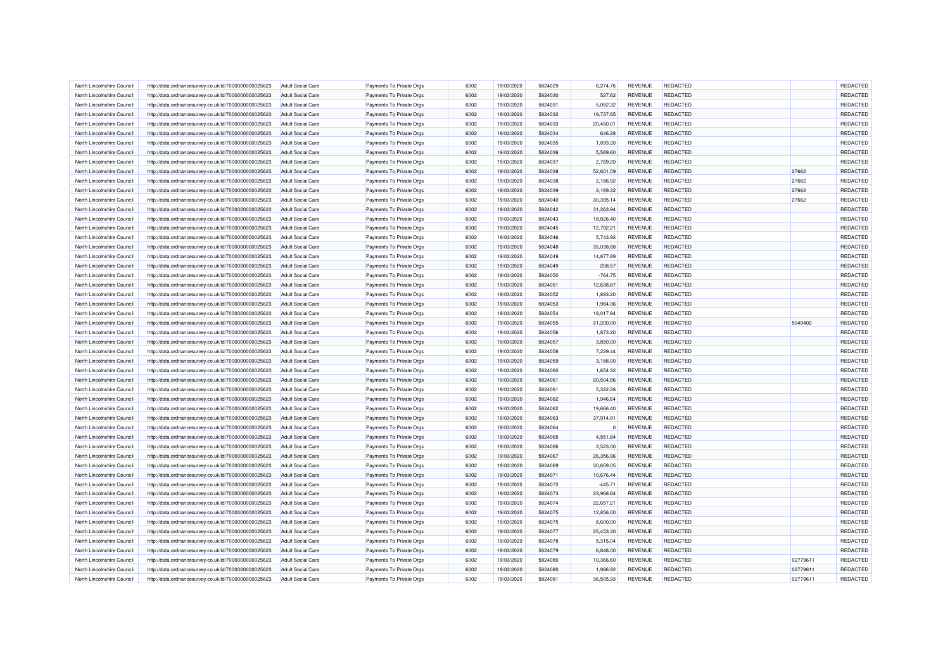| North Lincolnshire Council | http://data.ordnancesurvey.co.uk/id/7000000000025623 | <b>Adult Social Care</b> | Payments To Private Orgs | 6002 | 19/03/2020 | 5824029 | 6.274.76  | <b>REVENUE</b> | <b>REDACTED</b> |          | REDACTED |
|----------------------------|------------------------------------------------------|--------------------------|--------------------------|------|------------|---------|-----------|----------------|-----------------|----------|----------|
| North Lincolnshire Council | http://data.ordnancesurvey.co.uk/id/7000000000025623 | <b>Adult Social Care</b> | Payments To Private Orgs | 6002 | 19/03/2020 | 5824030 | 527.62    | REVENUE        | <b>REDACTED</b> |          | REDACTED |
| North Lincolnshire Council | http://data.ordnancesurvey.co.uk/id/7000000000025623 | <b>Adult Social Care</b> | Payments To Private Orgs | 6002 | 19/03/2020 | 5824031 | 5,052.32  | <b>REVENUE</b> | <b>REDACTED</b> |          | REDACTED |
| North Lincolnshire Council | http://data.ordnancesurvey.co.uk/id/7000000000025623 | <b>Adult Social Care</b> | Payments To Private Orgs | 6002 | 19/03/2020 | 5824032 | 19,737.65 | REVENUE        | REDACTED        |          | REDACTED |
| North Lincolnshire Council | http://data.ordnancesurvey.co.uk/id/7000000000025623 | <b>Adult Social Care</b> | Payments To Private Orgs | 6002 | 19/03/2020 | 5824033 | 20,450.01 | <b>REVENUE</b> | <b>REDACTED</b> |          | REDACTED |
| North Lincolnshire Council | http://data.ordnancesurvey.co.uk/id/7000000000025623 | <b>Adult Social Care</b> | Payments To Private Orgs | 6002 | 19/03/2020 | 5824034 | 646.28    | REVENUE        | <b>REDACTED</b> |          | REDACTED |
| North Lincolnshire Council | http://data.ordnancesurvey.co.uk/id/7000000000025623 | <b>Adult Social Care</b> | Payments To Private Orgs | 6002 | 19/03/2020 | 5824035 | 1,893.20  | <b>REVENUE</b> | <b>REDACTED</b> |          | REDACTED |
| North Lincolnshire Council | http://data.ordnancesurvey.co.uk/id/7000000000025623 | <b>Adult Social Care</b> | Payments To Private Orgs | 6002 | 19/03/2020 | 5824036 | 5,589.60  | REVENUE        | <b>REDACTED</b> |          | REDACTED |
| North Lincolnshire Council | http://data.ordnancesurvey.co.uk/id/7000000000025623 | <b>Adult Social Care</b> | Payments To Private Orgs | 6002 | 19/03/2020 | 5824037 | 2,789.20  | REVENUE        | REDACTED        |          | REDACTED |
| North Lincolnshire Council | http://data.ordnancesurvey.co.uk/id/7000000000025623 | <b>Adult Social Care</b> | Payments To Private Orgs | 6002 | 19/03/2020 | 5824038 | 52,601.09 | <b>REVENUE</b> | <b>REDACTED</b> | 27662    | REDACTED |
| North Lincolnshire Council | http://data.ordnancesurvey.co.uk/id/7000000000025623 | <b>Adult Social Care</b> | Payments To Private Orgs | 6002 | 19/03/2020 | 5824038 | 2,186.92  | <b>REVENUE</b> | <b>REDACTED</b> | 27662    | REDACTED |
| North Lincolnshire Council | http://data.ordnancesurvey.co.uk/id/7000000000025623 | Adult Social Care        | Payments To Private Orgs | 6002 | 19/03/2020 | 5824039 | 2,189.32  | <b>REVENUE</b> | <b>REDACTED</b> | 27662    | REDACTED |
| North Lincolnshire Council | http://data.ordnancesurvey.co.uk/id/7000000000025623 | <b>Adult Social Care</b> | Payments To Private Orgs | 6002 | 19/03/2020 | 5824040 | 30,395.14 | <b>REVENUE</b> | <b>REDACTED</b> | 27662    | REDACTED |
| North Lincolnshire Council | http://data.ordnancesurvey.co.uk/id/7000000000025623 | <b>Adult Social Care</b> | Payments To Private Orgs | 6002 | 19/03/2020 | 5824042 | 31,263.94 | REVENUE        | <b>REDACTED</b> |          | REDACTED |
| North Lincolnshire Council | http://data.ordnancesurvey.co.uk/id/7000000000025623 | <b>Adult Social Care</b> | Payments To Private Orgs | 6002 | 19/03/2020 | 5824043 | 18,826.40 | REVENUE        | <b>REDACTED</b> |          | REDACTED |
| North Lincolnshire Council | http://data.ordnancesurvey.co.uk/id/7000000000025623 | <b>Adult Social Care</b> | Payments To Private Orgs | 6002 | 19/03/2020 | 5824045 | 12,792.21 | REVENUE        | <b>REDACTED</b> |          | REDACTED |
| North Lincolnshire Council | http://data.ordnancesurvey.co.uk/id/7000000000025623 | <b>Adult Social Care</b> | Payments To Private Orgs | 6002 | 19/03/2020 | 5824046 | 5,743.92  | REVENUE        | <b>REDACTED</b> |          | REDACTED |
| North Lincolnshire Council | http://data.ordnancesurvey.co.uk/id/7000000000025623 | <b>Adult Social Care</b> | Payments To Private Orgs | 6002 | 19/03/2020 | 5824048 | 35,038.68 | <b>REVENUE</b> | <b>REDACTED</b> |          | REDACTED |
| North Lincolnshire Council | http://data.ordnancesurvey.co.uk/id/7000000000025623 | <b>Adult Social Care</b> | Payments To Private Orgs | 6002 | 19/03/2020 | 5824049 | 14,877.89 | REVENUE        | <b>REDACTED</b> |          | REDACTED |
| North Lincolnshire Council | http://data.ordnancesurvey.co.uk/id/7000000000025623 | <b>Adult Social Care</b> | Payments To Private Orgs | 6002 | 19/03/2020 | 5824049 | 208.57    | <b>REVENUE</b> | <b>REDACTED</b> |          | REDACTED |
| North Lincolnshire Council | http://data.ordnancesurvey.co.uk/id/7000000000025623 | <b>Adult Social Care</b> | Payments To Private Orgs | 6002 | 19/03/2020 | 5824050 | $-764.75$ | <b>REVENUE</b> | <b>REDACTED</b> |          | REDACTED |
| North Lincolnshire Council | http://data.ordnancesurvey.co.uk/id/7000000000025623 | <b>Adult Social Care</b> | Payments To Private Orgs | 6002 | 19/03/2020 | 5824051 | 12,638.87 | REVENUE        | <b>REDACTED</b> |          | REDACTED |
| North Lincolnshire Council | http://data.ordnancesurvey.co.uk/id/7000000000025623 | <b>Adult Social Care</b> | Payments To Private Orgs | 6002 | 19/03/2020 | 5824052 | 1,893.20  | REVENUE        | <b>REDACTED</b> |          | REDACTED |
| North Lincolnshire Council | http://data.ordnancesurvey.co.uk/id/7000000000025623 | <b>Adult Social Care</b> | Payments To Private Orgs | 6002 | 19/03/2020 | 5824053 | 1,984.36  | <b>REVENUE</b> | <b>REDACTED</b> |          | REDACTED |
| North Lincolnshire Council | http://data.ordnancesurvey.co.uk/id/7000000000025623 | <b>Adult Social Care</b> | Payments To Private Orgs | 6002 | 19/03/2020 | 5824054 | 18,017.84 | REVENUE        | <b>REDACTED</b> |          | REDACTED |
| North Lincolnshire Council | http://data.ordnancesurvey.co.uk/id/7000000000025623 | <b>Adult Social Care</b> | Payments To Private Orgs | 6002 | 19/03/2020 | 5824055 | 31,200.00 | <b>REVENUE</b> | REDACTED        | 5049402  | REDACTED |
| North Lincolnshire Council | http://data.ordnancesurvey.co.uk/id/7000000000025623 | <b>Adult Social Care</b> | Payments To Private Orgs | 6002 | 19/03/2020 | 5824056 | 1,873.20  | REVENUE        | <b>REDACTED</b> |          | REDACTED |
| North Lincolnshire Council | http://data.ordnancesurvey.co.uk/id/7000000000025623 | <b>Adult Social Care</b> | Payments To Private Orgs | 6002 | 19/03/2020 | 5824057 | 3,850.00  | REVENUE        | <b>REDACTED</b> |          | REDACTED |
| North Lincolnshire Council | http://data.ordnancesurvey.co.uk/id/7000000000025623 | <b>Adult Social Care</b> | Payments To Private Orgs | 6002 | 19/03/2020 | 5824058 | 7,229.44  | REVENUE        | <b>REDACTED</b> |          | REDACTED |
| North Lincolnshire Council | http://data.ordnancesurvey.co.uk/id/7000000000025623 | <b>Adult Social Care</b> | Payments To Private Orgs | 6002 | 19/03/2020 | 5824059 | 3,188.00  | <b>REVENUE</b> | <b>REDACTED</b> |          | REDACTED |
| North Lincolnshire Council | http://data.ordnancesurvey.co.uk/id/7000000000025623 | <b>Adult Social Care</b> | Payments To Private Orgs | 6002 | 19/03/2020 | 5824060 | 1,654.32  | <b>REVENUE</b> | REDACTED        |          | REDACTED |
| North Lincolnshire Council | http://data.ordnancesurvey.co.uk/id/7000000000025623 | <b>Adult Social Care</b> | Payments To Private Orgs | 6002 | 19/03/2020 | 5824061 | 20,504.56 | <b>REVENUE</b> | <b>REDACTED</b> |          | REDACTED |
| North Lincolnshire Council | http://data.ordnancesurvey.co.uk/id/7000000000025623 | Adult Social Care        | Payments To Private Orgs | 6002 | 19/03/2020 | 5824061 | 5.322.28  | <b>REVENUE</b> | <b>REDACTED</b> |          | REDACTED |
| North Lincolnshire Council | http://data.ordnancesurvey.co.uk/id/7000000000025623 | <b>Adult Social Care</b> | Payments To Private Orgs | 6002 | 19/03/2020 | 5824062 | 1,946.64  | REVENUE        | REDACTED        |          | REDACTED |
| North Lincolnshire Council | http://data.ordnancesurvey.co.uk/id/7000000000025623 | <b>Adult Social Care</b> | Payments To Private Orgs | 6002 | 19/03/2020 | 5824062 | 19,666.40 | REVENUE        | <b>REDACTED</b> |          | REDACTED |
| North Lincolnshire Council | http://data.ordnancesurvey.co.uk/id/7000000000025623 | Adult Social Care        | Payments To Private Orgs | 6002 | 19/03/2020 | 5824063 | 37,914.91 | <b>REVENUE</b> | REDACTED        |          | REDACTED |
| North Lincolnshire Council | http://data.ordnancesurvey.co.uk/id/7000000000025623 | <b>Adult Social Care</b> | Payments To Private Orgs | 6002 | 19/03/2020 | 5824064 |           | <b>REVENUE</b> | <b>REDACTED</b> |          | REDACTED |
| North Lincolnshire Council | http://data.ordnancesurvey.co.uk/id/7000000000025623 | <b>Adult Social Care</b> | Payments To Private Orgs | 6002 | 19/03/2020 | 5824065 | 4,551.84  | REVENUE        | <b>REDACTED</b> |          | REDACTED |
| North Lincolnshire Council | http://data.ordnancesurvey.co.uk/id/7000000000025623 | <b>Adult Social Care</b> | Payments To Private Orgs | 6002 | 19/03/2020 | 5824066 | 2,523.00  | <b>REVENUE</b> | <b>REDACTED</b> |          | REDACTED |
| North Lincolnshire Council | http://data.ordnancesurvey.co.uk/id/7000000000025623 | <b>Adult Social Care</b> | Payments To Private Orgs | 6002 | 19/03/2020 | 5824067 | 26,356.96 | REVENUE        | <b>REDACTED</b> |          | REDACTED |
| North Lincolnshire Council | http://data.ordnancesurvey.co.uk/id/7000000000025623 | <b>Adult Social Care</b> | Payments To Private Orgs | 6002 | 19/03/2020 | 5824069 | 30,659.05 | <b>REVENUE</b> | REDACTED        |          | REDACTED |
| North Lincolnshire Council | http://data.ordnancesurvey.co.uk/id/7000000000025623 | <b>Adult Social Care</b> | Payments To Private Orgs | 6002 | 19/03/2020 | 5824071 | 10,676.44 | REVENUE        | <b>REDACTED</b> |          | REDACTED |
| North Lincolnshire Council | http://data.ordnancesurvey.co.uk/id/7000000000025623 | <b>Adult Social Care</b> | Payments To Private Orgs | 6002 | 19/03/2020 | 5824072 | $-445.71$ | <b>REVENUE</b> | <b>REDACTED</b> |          | REDACTED |
| North Lincolnshire Council | http://data.ordnancesurvey.co.uk/id/7000000000025623 | Adult Social Care        | Payments To Private Orgs | 6002 | 19/03/2020 | 5824073 | 23.968.64 | <b>REVENUE</b> | <b>REDACTED</b> |          | REDACTED |
| North Lincolnshire Council | http://data.ordnancesurvey.co.uk/id/7000000000025623 | <b>Adult Social Care</b> | Payments To Private Orgs | 6002 | 19/03/2020 | 5824074 | 22,657.21 | REVENUE        | <b>REDACTED</b> |          | REDACTED |
| North Lincolnshire Council | http://data.ordnancesurvey.co.uk/id/7000000000025623 | <b>Adult Social Care</b> | Payments To Private Orgs | 6002 | 19/03/2020 | 5824075 | 12,856.00 | REVENUE        | REDACTED        |          | REDACTED |
| North Lincolnshire Council | http://data.ordnancesurvey.co.uk/id/7000000000025623 | <b>Adult Social Care</b> | Payments To Private Orgs | 6002 | 19/03/2020 | 5824075 | 8,600.00  | <b>REVENUE</b> | REDACTED        |          | REDACTED |
| North Lincolnshire Council | http://data.ordnancesurvey.co.uk/id/7000000000025623 | <b>Adult Social Care</b> | Payments To Private Orgs | 6002 | 19/03/2020 | 5824077 | 25,453.30 | REVENUE        | <b>REDACTED</b> |          | REDACTED |
| North Lincolnshire Council | http://data.ordnancesurvey.co.uk/id/7000000000025623 | <b>Adult Social Care</b> | Payments To Private Orgs | 6002 | 19/03/2020 | 5824078 | 5,315.04  | REVENUE        | <b>REDACTED</b> |          | REDACTED |
| North Lincolnshire Council | http://data.ordnancesurvey.co.uk/id/7000000000025623 | <b>Adult Social Care</b> | Payments To Private Orgs | 6002 | 19/03/2020 | 5824079 | 6,848.00  | <b>REVENUE</b> | <b>REDACTED</b> |          | REDACTED |
| North Lincolnshire Council | http://data.ordnancesurvey.co.uk/id/7000000000025623 | <b>Adult Social Care</b> | Payments To Private Orgs | 6002 | 19/03/2020 | 5824080 | 10,366.60 | REVENUE        | REDACTED        | 02779611 | REDACTED |
| North Lincolnshire Council | http://data.ordnancesurvey.co.uk/id/7000000000025623 | <b>Adult Social Care</b> | Payments To Private Orgs | 6002 | 19/03/2020 | 5824080 | 1,986.92  | <b>REVENUE</b> | <b>REDACTED</b> | 02779611 | REDACTED |
| North Lincolnshire Council | http://data.ordnancesurvey.co.uk/id/7000000000025623 | <b>Adult Social Care</b> | Payments To Private Orgs | 6002 | 19/03/2020 | 5824081 | 36,505.93 | <b>REVENUE</b> | <b>REDACTED</b> | 02779611 | REDACTED |
|                            |                                                      |                          |                          |      |            |         |           |                |                 |          |          |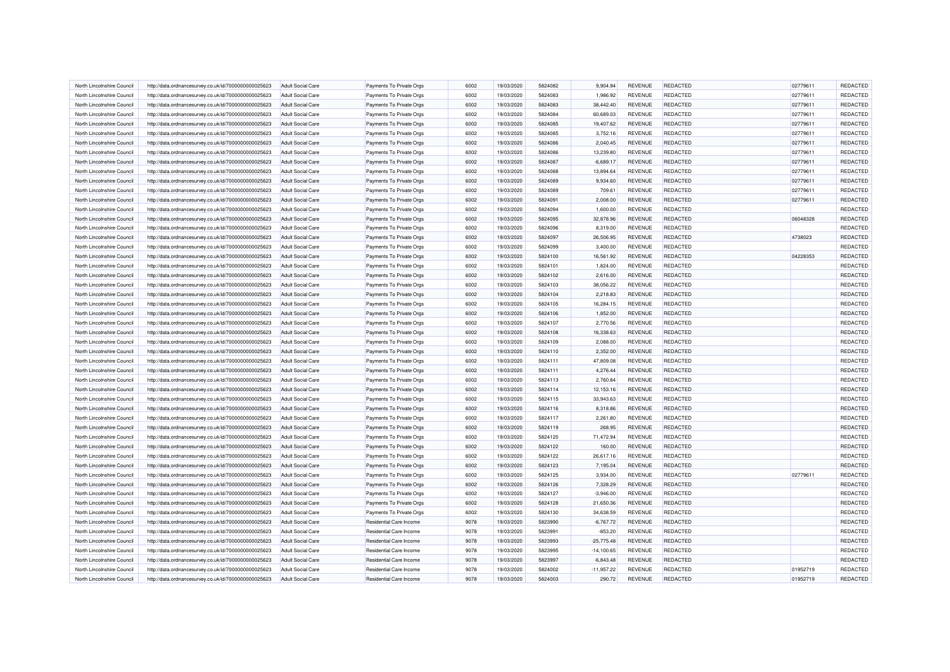| North Lincolnshire Council | http://data.ordnancesurvey.co.uk/id/7000000000025623 | <b>Adult Social Care</b> | Payments To Private Orgs       | 6002 | 19/03/2020 | 5824082 | 9.904.94     | REVENUE        | <b>REDACTED</b> | 02779611 | REDACTED        |
|----------------------------|------------------------------------------------------|--------------------------|--------------------------------|------|------------|---------|--------------|----------------|-----------------|----------|-----------------|
| North Lincolnshire Council | http://data.ordnancesurvey.co.uk/id/7000000000025623 | <b>Adult Social Care</b> | Payments To Private Orgs       | 6002 | 19/03/2020 | 5824083 | 1,986.92     | <b>REVENUE</b> | <b>REDACTED</b> | 02779611 | REDACTED        |
| North Lincolnshire Council | http://data.ordnancesurvey.co.uk/id/7000000000025623 | <b>Adult Social Care</b> | Payments To Private Orgs       | 6002 | 19/03/2020 | 5824083 | 38,442.40    | <b>REVENUE</b> | <b>REDACTED</b> | 02779611 | REDACTED        |
| North Lincolnshire Council | http://data.ordnancesurvey.co.uk/id/7000000000025623 | <b>Adult Social Care</b> | Payments To Private Orgs       | 6002 | 19/03/2020 | 5824084 | 60,689.03    | <b>REVENUE</b> | REDACTED        | 02779611 | REDACTED        |
| North Lincolnshire Council | http://data.ordnancesurvey.co.uk/id/7000000000025623 | <b>Adult Social Care</b> | Payments To Private Orgs       | 6002 | 19/03/2020 | 5824085 | 19,407.62    | REVENUE        | <b>REDACTED</b> | 02779611 | REDACTED        |
| North Lincolnshire Council | http://data.ordnancesurvey.co.uk/id/7000000000025623 | <b>Adult Social Care</b> | Payments To Private Orgs       | 6002 | 19/03/2020 | 5824085 | 3,752.16     | <b>REVENUE</b> | <b>REDACTED</b> | 02779611 | REDACTED        |
| North Lincolnshire Council | http://data.ordnancesurvey.co.uk/id/7000000000025623 | <b>Adult Social Care</b> | Payments To Private Orgs       | 6002 | 19/03/2020 | 5824086 | 2,040.45     | <b>REVENUE</b> | <b>REDACTED</b> | 02779611 | REDACTED        |
| North Lincolnshire Council | http://data.ordnancesurvey.co.uk/id/7000000000025623 | <b>Adult Social Care</b> | Payments To Private Orgs       | 6002 | 19/03/2020 | 5824086 | 13,239.80    | REVENUE        | <b>REDACTED</b> | 02779611 | REDACTED        |
| North Lincolnshire Council | http://data.ordnancesurvey.co.uk/id/7000000000025623 | Adult Social Care        | Payments To Private Oras       | 6002 | 19/03/2020 | 5824087 | $-6,689.17$  | <b>REVENUE</b> | <b>REDACTED</b> | 02779611 | <b>REDACTED</b> |
| North Lincolnshire Council | http://data.ordnancesurvey.co.uk/id/7000000000025623 | <b>Adult Social Care</b> | Payments To Private Orgs       | 6002 | 19/03/2020 | 5824088 | 13,894.64    | <b>REVENUE</b> | <b>REDACTED</b> | 02779611 | REDACTED        |
| North Lincolnshire Council | http://data.ordnancesurvey.co.uk/id/7000000000025623 | <b>Adult Social Care</b> | Payments To Private Orgs       | 6002 | 19/03/2020 | 5824089 | 9,934.60     | REVENUE        | <b>REDACTED</b> | 02779611 | REDACTED        |
| North Lincolnshire Council | http://data.ordnancesurvey.co.uk/id/7000000000025623 | <b>Adult Social Care</b> | Payments To Private Orgs       | 6002 | 19/03/2020 | 5824089 | 709.61       | REVENUE        | REDACTED        | 02779611 | REDACTED        |
| North Lincolnshire Council | http://data.ordnancesurvey.co.uk/id/7000000000025623 | <b>Adult Social Care</b> | Payments To Private Orgs       | 6002 | 19/03/2020 | 5824091 | 2,008.00     | REVENUE        | <b>REDACTED</b> | 02779611 | REDACTED        |
| North Lincolnshire Council | http://data.ordnancesurvey.co.uk/id/7000000000025623 | <b>Adult Social Care</b> | Payments To Private Orgs       | 6002 | 19/03/2020 | 5824094 | 1,600.00     | REVENUE        | REDACTED        |          | REDACTED        |
| North Lincolnshire Council | http://data.ordnancesurvey.co.uk/id/7000000000025623 | <b>Adult Social Care</b> | Payments To Private Orgs       | 6002 | 19/03/2020 | 5824095 | 32,878.96    | <b>REVENUE</b> | <b>REDACTED</b> | 06048328 | REDACTED        |
| North Lincolnshire Council | http://data.ordnancesurvey.co.uk/id/7000000000025623 | <b>Adult Social Care</b> | Payments To Private Orgs       | 6002 | 19/03/2020 | 5824096 | 8,319.00     | REVENUE        | <b>REDACTED</b> |          | REDACTED        |
| North Lincolnshire Council | http://data.ordnancesurvey.co.uk/id/7000000000025623 | <b>Adult Social Care</b> | Payments To Private Orgs       | 6002 | 19/03/2020 | 5824097 | 26,506.95    | <b>REVENUE</b> | <b>REDACTED</b> | 4738023  | REDACTED        |
| North Lincolnshire Council | http://data.ordnancesurvey.co.uk/id/7000000000025623 | <b>Adult Social Care</b> | Payments To Private Orgs       | 6002 | 19/03/2020 | 5824099 | 3,400.00     | <b>REVENUE</b> | <b>REDACTED</b> |          | REDACTED        |
| North Lincolnshire Council | http://data.ordnancesurvey.co.uk/id/7000000000025623 | <b>Adult Social Care</b> | Payments To Private Orgs       | 6002 | 19/03/2020 | 5824100 | 16,561.92    | REVENUE        | <b>REDACTED</b> | 04228353 | REDACTED        |
| North Lincolnshire Council | http://data.ordnancesurvey.co.uk/id/7000000000025623 | <b>Adult Social Care</b> | Payments To Private Orgs       | 6002 | 19/03/2020 | 5824101 | 1,824.00     | REVENUE        | REDACTED        |          | REDACTED        |
| North Lincolnshire Council | http://data.ordnancesurvey.co.uk/id/7000000000025623 | <b>Adult Social Care</b> | Payments To Private Orgs       | 6002 | 19/03/2020 | 5824102 | 2,616.00     | REVENUE        | <b>REDACTED</b> |          | REDACTED        |
| North Lincolnshire Council | http://data.ordnancesurvey.co.uk/id/7000000000025623 | Adult Social Care        | Payments To Private Orgs       | 6002 | 19/03/2020 | 5824103 | 38.056.22    | <b>REVENUE</b> | <b>REDACTED</b> |          | REDACTED        |
| North Lincolnshire Council | http://data.ordnancesurvey.co.uk/id/7000000000025623 | <b>Adult Social Care</b> | Payments To Private Orgs       | 6002 | 19/03/2020 | 5824104 | 2,218.83     | <b>REVENUE</b> | <b>REDACTED</b> |          | REDACTED        |
| North Lincolnshire Council | http://data.ordnancesurvey.co.uk/id/7000000000025623 | <b>Adult Social Care</b> | Payments To Private Orgs       | 6002 | 19/03/2020 | 5824105 | 16,284.15    | REVENUE        | REDACTED        |          | REDACTED        |
| North Lincolnshire Council | http://data.ordnancesurvey.co.uk/id/7000000000025623 | <b>Adult Social Care</b> | Payments To Private Orgs       | 6002 | 19/03/2020 | 5824106 | 1,852.00     | <b>REVENUE</b> | <b>REDACTED</b> |          | REDACTED        |
| North Lincolnshire Council | http://data.ordnancesurvey.co.uk/id/7000000000025623 | <b>Adult Social Care</b> | Payments To Private Orgs       | 6002 | 19/03/2020 | 5824107 | 2,770.56     | <b>REVENUE</b> | <b>REDACTED</b> |          | REDACTED        |
| North Lincolnshire Council | http://data.ordnancesurvey.co.uk/id/7000000000025623 | Adult Social Care        | Payments To Private Orgs       | 6002 | 19/03/2020 | 5824108 | 16,338.63    | REVENUE        | <b>REDACTED</b> |          | REDACTED        |
| North Lincolnshire Council | http://data.ordnancesurvey.co.uk/id/7000000000025623 | <b>Adult Social Care</b> | Payments To Private Orgs       | 6002 | 19/03/2020 | 5824109 | 2,088.00     | REVENUE        | REDACTED        |          | REDACTED        |
| North Lincolnshire Council | http://data.ordnancesurvey.co.uk/id/7000000000025623 | <b>Adult Social Care</b> | Payments To Private Orgs       | 6002 | 19/03/2020 | 5824110 | 2,352.00     | <b>REVENUE</b> | <b>REDACTED</b> |          | REDACTED        |
| North Lincolnshire Council | http://data.ordnancesurvey.co.uk/id/7000000000025623 | <b>Adult Social Care</b> | Payments To Private Orgs       | 6002 | 19/03/2020 | 5824111 | 47,809.08    | REVENUE        | <b>REDACTED</b> |          | REDACTED        |
| North Lincolnshire Council | http://data.ordnancesurvey.co.uk/id/7000000000025623 | <b>Adult Social Care</b> | Payments To Private Orgs       | 6002 | 19/03/2020 | 5824111 | 4,276.44     | <b>REVENUE</b> | REDACTED        |          | REDACTED        |
| North Lincolnshire Council | http://data.ordnancesurvey.co.uk/id/7000000000025623 | Adult Social Care        | Payments To Private Orgs       | 6002 | 19/03/2020 | 5824113 | 2,760.84     | REVENUE        | <b>REDACTED</b> |          | REDACTED        |
| North Lincolnshire Council | http://data.ordnancesurvey.co.uk/id/7000000000025623 | <b>Adult Social Care</b> | Payments To Private Orgs       | 6002 | 19/03/2020 | 5824114 | 12,153.16    | <b>REVENUE</b> | <b>REDACTED</b> |          | REDACTED        |
| North Lincolnshire Council | http://data.ordnancesurvey.co.uk/id/7000000000025623 | <b>Adult Social Care</b> | Payments To Private Orgs       | 6002 | 19/03/2020 | 5824115 | 33,943.63    | REVENUE        | <b>REDACTED</b> |          | REDACTED        |
| North Lincolnshire Council | http://data.ordnancesurvey.co.uk/id/7000000000025623 | <b>Adult Social Care</b> | Payments To Private Orgs       | 6002 | 19/03/2020 | 5824116 | 8,318.86     | REVENUE        | <b>REDACTED</b> |          | REDACTED        |
| North Lincolnshire Council | http://data.ordnancesurvey.co.uk/id/7000000000025623 | Adult Social Care        | Payments To Private Orgs       | 6002 | 19/03/2020 | 5824117 | 2.261.80     | <b>REVENUE</b> | <b>REDACTED</b> |          | REDACTED        |
| North Lincolnshire Council | http://data.ordnancesurvey.co.uk/id/7000000000025623 | <b>Adult Social Care</b> | Payments To Private Orgs       | 6002 | 19/03/2020 | 5824119 | 268.95       | REVENUE        | <b>REDACTED</b> |          | REDACTED        |
| North Lincolnshire Council | http://data.ordnancesurvey.co.uk/id/7000000000025623 | <b>Adult Social Care</b> | Payments To Private Orgs       | 6002 | 19/03/2020 | 5824120 | 71,472.94    | REVENUE        | <b>REDACTED</b> |          | REDACTED        |
| North Lincolnshire Council | http://data.ordnancesurvey.co.uk/id/7000000000025623 | <b>Adult Social Care</b> | Payments To Private Orgs       | 6002 | 19/03/2020 | 5824122 | 160.00       | REVENUE        | REDACTED        |          | REDACTED        |
| North Lincolnshire Council | http://data.ordnancesurvey.co.uk/id/7000000000025623 | <b>Adult Social Care</b> | Payments To Private Orgs       | 6002 | 19/03/2020 | 5824122 | 26,617.16    | REVENUE        | <b>REDACTED</b> |          | REDACTED        |
| North Lincolnshire Council | http://data.ordnancesurvey.co.uk/id/7000000000025623 | <b>Adult Social Care</b> | Payments To Private Orgs       | 6002 | 19/03/2020 | 5824123 | 7,195.04     | REVENUE        | <b>REDACTED</b> |          | REDACTED        |
| North Lincolnshire Council | http://data.ordnancesurvey.co.uk/id/7000000000025623 | <b>Adult Social Care</b> | Payments To Private Orgs       | 6002 | 19/03/2020 | 5824125 | 3,934.00     | REVENUE        | <b>REDACTED</b> | 02779611 | REDACTED        |
| North Lincolnshire Council | http://data.ordnancesurvey.co.uk/id/7000000000025623 | <b>Adult Social Care</b> | Payments To Private Orgs       | 6002 | 19/03/2020 | 5824126 | 7,328.29     | REVENUE        | <b>REDACTED</b> |          | REDACTED        |
| North Lincolnshire Council | http://data.ordnancesurvey.co.uk/id/7000000000025623 | <b>Adult Social Care</b> | Payments To Private Orgs       | 6002 | 19/03/2020 | 5824127 | $-3,946.00$  | <b>REVENUE</b> | <b>REDACTED</b> |          | REDACTED        |
| North Lincolnshire Council | http://data.ordnancesurvey.co.uk/id/7000000000025623 | <b>Adult Social Care</b> | Payments To Private Orgs       | 6002 | 19/03/2020 | 5824128 | 21,650.36    | REVENUE        | <b>REDACTED</b> |          | REDACTED        |
| North Lincolnshire Council | http://data.ordnancesurvey.co.uk/id/7000000000025623 | <b>Adult Social Care</b> | Payments To Private Orgs       | 6002 | 19/03/2020 | 5824130 | 34,638.59    | REVENUE        | <b>REDACTED</b> |          | REDACTED        |
| North Lincolnshire Council | http://data.ordnancesurvey.co.uk/id/7000000000025623 | <b>Adult Social Care</b> | Residential Care Income        | 9078 | 19/03/2020 | 5823990 | $-6,767.72$  | REVENUE        | REDACTED        |          | REDACTED        |
| North Lincolnshire Council | http://data.ordnancesurvey.co.uk/id/7000000000025623 | <b>Adult Social Care</b> | <b>Residential Care Income</b> | 9078 | 19/03/2020 | 5823991 | $-853.20$    | <b>REVENUE</b> | <b>REDACTED</b> |          | REDACTED        |
| North Lincolnshire Council | http://data.ordnancesurvey.co.uk/id/7000000000025623 | <b>Adult Social Care</b> | Residential Care Income        | 9078 | 19/03/2020 | 5823993 | $-25,775.48$ | REVENUE        | <b>REDACTED</b> |          | REDACTED        |
| North Lincolnshire Council | http://data.ordnancesurvey.co.uk/id/7000000000025623 | <b>Adult Social Care</b> | <b>Residential Care Income</b> | 9078 | 19/03/2020 | 5823995 | $-14,100.65$ | <b>REVENUE</b> | <b>REDACTED</b> |          | REDACTED        |
| North Lincolnshire Council | http://data.ordnancesurvey.co.uk/id/7000000000025623 | <b>Adult Social Care</b> | <b>Residential Care Income</b> | 9078 | 19/03/2020 | 5823997 | $-6,843.48$  | REVENUE        | <b>REDACTED</b> |          | REDACTED        |
| North Lincolnshire Council | http://data.ordnancesurvey.co.uk/id/7000000000025623 | <b>Adult Social Care</b> | <b>Residential Care Income</b> | 9078 | 19/03/2020 | 5824002 | $-11,957.22$ | <b>REVENUE</b> | <b>REDACTED</b> | 01952719 | REDACTED        |
| North Lincolnshire Council | http://data.ordnancesurvey.co.uk/id/7000000000025623 | <b>Adult Social Care</b> | <b>Residential Care Income</b> | 9078 | 19/03/2020 | 5824003 | 290.72       | REVENUE        | REDACTED        | 01952719 | REDACTED        |
|                            |                                                      |                          |                                |      |            |         |              |                |                 |          |                 |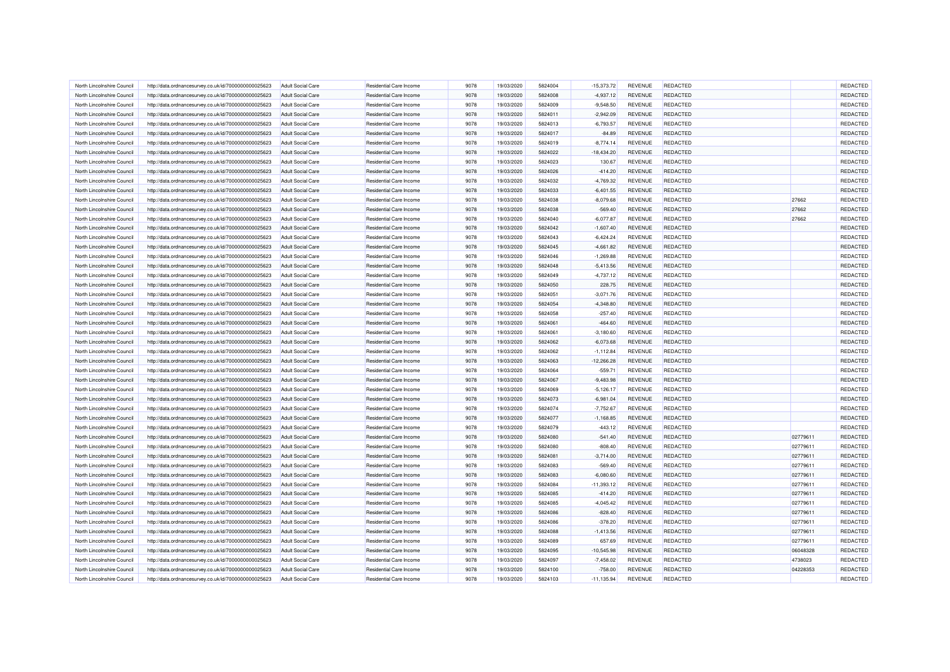| North Lincolnshire Council | http://data.ordnancesurvey.co.uk/id/7000000000025623 | <b>Adult Social Care</b> | Residential Care Income        | 9078 | 19/03/2020 | 5824004 | $-15,373.72$ | <b>REVENUE</b> | <b>REDACTED</b> |          | REDACTED |
|----------------------------|------------------------------------------------------|--------------------------|--------------------------------|------|------------|---------|--------------|----------------|-----------------|----------|----------|
| North Lincolnshire Council | http://data.ordnancesurvey.co.uk/id/7000000000025623 | <b>Adult Social Care</b> | <b>Residential Care Income</b> | 9078 | 19/03/2020 | 5824008 | $-4,937.12$  | REVENUE        | <b>REDACTED</b> |          | REDACTED |
| North Lincolnshire Council | http://data.ordnancesurvey.co.uk/id/7000000000025623 | <b>Adult Social Care</b> | <b>Residential Care Income</b> | 9078 | 19/03/2020 | 5824009 | $-9,548.50$  | REVENUE        | <b>REDACTED</b> |          | REDACTED |
| North Lincolnshire Council | http://data.ordnancesurvey.co.uk/id/7000000000025623 | <b>Adult Social Care</b> | Residential Care Income        | 9078 | 19/03/2020 | 5824011 | $-2,942.09$  | <b>REVENUE</b> | <b>REDACTED</b> |          | REDACTED |
| North Lincolnshire Council | http://data.ordnancesurvey.co.uk/id/7000000000025623 | <b>Adult Social Care</b> | <b>Residential Care Income</b> | 9078 | 19/03/2020 | 5824013 | $-6,793.57$  | <b>REVENUE</b> | <b>REDACTED</b> |          | REDACTED |
| North Lincolnshire Council | http://data.ordnancesurvey.co.uk/id/7000000000025623 | <b>Adult Social Care</b> | <b>Residential Care Income</b> | 9078 | 19/03/2020 | 5824017 | $-84.89$     | <b>REVENUE</b> | <b>REDACTED</b> |          | REDACTED |
| North Lincolnshire Council | http://data.ordnancesurvey.co.uk/id/7000000000025623 | <b>Adult Social Care</b> | Residential Care Income        | 9078 | 19/03/2020 | 5824019 | $-8,774.14$  | <b>REVENUE</b> | <b>REDACTED</b> |          | REDACTED |
| North Lincolnshire Council | http://data.ordnancesurvey.co.uk/id/7000000000025623 | <b>Adult Social Care</b> | <b>Residential Care Income</b> | 9078 | 19/03/2020 | 5824022 | $-18,434.20$ | REVENUE        | <b>REDACTED</b> |          | REDACTED |
| North Lincolnshire Council | http://data.ordnancesurvey.co.uk/id/7000000000025623 | <b>Adult Social Care</b> | Residential Care Income        | 9078 | 19/03/2020 | 5824023 | 130.67       | REVENUE        | REDACTED        |          | REDACTED |
| North Lincolnshire Council | http://data.ordnancesurvey.co.uk/id/7000000000025623 | <b>Adult Social Care</b> | <b>Residential Care Income</b> | 9078 | 19/03/2020 | 5824026 | $-414.20$    | REVENUE        | <b>REDACTED</b> |          | REDACTED |
| North Lincolnshire Council | http://data.ordnancesurvey.co.uk/id/7000000000025623 | <b>Adult Social Care</b> | <b>Residential Care Income</b> | 9078 | 19/03/2020 | 5824032 | $-4,769.32$  | <b>REVENUE</b> | <b>REDACTED</b> |          | REDACTED |
| North Lincolnshire Council | http://data.ordnancesurvey.co.uk/id/7000000000025623 | <b>Adult Social Care</b> | Residential Care Income        | 9078 | 19/03/2020 | 5824033 | $-6.401.55$  | <b>REVENUE</b> | <b>REDACTED</b> |          | REDACTED |
| North Lincolnshire Council | http://data.ordnancesurvey.co.uk/id/7000000000025623 | <b>Adult Social Care</b> | <b>Residential Care Income</b> | 9078 | 19/03/2020 | 5824038 | $-8,079.68$  | <b>REVENUE</b> | <b>REDACTED</b> | 27662    | REDACTED |
| North Lincolnshire Council | http://data.ordnancesurvey.co.uk/id/7000000000025623 | <b>Adult Social Care</b> | <b>Residential Care Income</b> | 9078 | 19/03/2020 | 5824038 | $-569.40$    | <b>REVENUE</b> | <b>REDACTED</b> | 27662    | REDACTED |
| North Lincolnshire Council | http://data.ordnancesurvey.co.uk/id/7000000000025623 | <b>Adult Social Care</b> | Residential Care Income        | 9078 | 19/03/2020 | 5824040 | $-6,077.87$  | REVENUE        | REDACTED        | 27662    | REDACTED |
| North Lincolnshire Council | http://data.ordnancesurvey.co.uk/id/7000000000025623 | <b>Adult Social Care</b> | Residential Care Income        | 9078 | 19/03/2020 | 5824042 | $-1,607.40$  | REVENUE        | <b>REDACTED</b> |          | REDACTED |
| North Lincolnshire Council | http://data.ordnancesurvey.co.uk/id/7000000000025623 | <b>Adult Social Care</b> | <b>Residential Care Income</b> | 9078 | 19/03/2020 | 5824043 | $-6,424.24$  | <b>REVENUE</b> | <b>REDACTED</b> |          | REDACTED |
| North Lincolnshire Council | http://data.ordnancesurvey.co.uk/id/7000000000025623 | <b>Adult Social Care</b> | <b>Residential Care Income</b> | 9078 | 19/03/2020 | 5824045 | $-4,661.82$  | <b>REVENUE</b> | <b>REDACTED</b> |          | REDACTED |
| North Lincolnshire Council | http://data.ordnancesurvey.co.uk/id/7000000000025623 | <b>Adult Social Care</b> | <b>Residential Care Income</b> | 9078 | 19/03/2020 | 5824046 | $-1,269.88$  | REVENUE        | <b>REDACTED</b> |          | REDACTED |
| North Lincolnshire Council | http://data.ordnancesurvey.co.uk/id/7000000000025623 | <b>Adult Social Care</b> | <b>Residential Care Income</b> | 9078 | 19/03/2020 | 5824048 | $-5,413.56$  | <b>REVENUE</b> | <b>REDACTED</b> |          | REDACTED |
| North Lincolnshire Council | http://data.ordnancesurvey.co.uk/id/7000000000025623 | <b>Adult Social Care</b> | Residential Care Income        | 9078 | 19/03/2020 | 5824049 | $-4,737.12$  | <b>REVENUE</b> | <b>REDACTED</b> |          | REDACTED |
| North Lincolnshire Council | http://data.ordnancesurvey.co.uk/id/7000000000025623 | <b>Adult Social Care</b> | <b>Residential Care Income</b> | 9078 | 19/03/2020 | 5824050 | 228.75       | <b>REVENUE</b> | REDACTED        |          | REDACTED |
| North Lincolnshire Council | http://data.ordnancesurvey.co.uk/id/7000000000025623 | <b>Adult Social Care</b> | Residential Care Income        | 9078 | 19/03/2020 | 5824051 | $-3,071.76$  | REVENUE        | REDACTED        |          | REDACTED |
| North Lincolnshire Council | http://data.ordnancesurvey.co.uk/id/7000000000025623 | <b>Adult Social Care</b> | <b>Residential Care Income</b> | 9078 | 19/03/2020 | 5824054 | $-4,348.80$  | <b>REVENUE</b> | <b>REDACTED</b> |          | REDACTED |
| North Lincolnshire Council | http://data.ordnancesurvey.co.uk/id/7000000000025623 | <b>Adult Social Care</b> | <b>Residential Care Income</b> | 9078 | 19/03/2020 | 5824058 | $-257.40$    | <b>REVENUE</b> | <b>REDACTED</b> |          | REDACTED |
| North Lincolnshire Council | http://data.ordnancesurvey.co.uk/id/7000000000025623 | <b>Adult Social Care</b> | <b>Residential Care Income</b> | 9078 | 19/03/2020 | 5824061 | $-464.60$    | <b>REVENUE</b> | <b>REDACTED</b> |          | REDACTED |
| North Lincolnshire Council | http://data.ordnancesurvey.co.uk/id/7000000000025623 | <b>Adult Social Care</b> | <b>Residential Care Income</b> | 9078 | 19/03/2020 | 5824061 | $-3,180.60$  | REVENUE        | <b>REDACTED</b> |          | REDACTED |
| North Lincolnshire Council | http://data.ordnancesurvey.co.uk/id/7000000000025623 | <b>Adult Social Care</b> | <b>Residential Care Income</b> | 9078 | 19/03/2020 | 5824062 | $-6,073.68$  | <b>REVENUE</b> | <b>REDACTED</b> |          | REDACTED |
| North Lincolnshire Council | http://data.ordnancesurvey.co.uk/id/7000000000025623 | <b>Adult Social Care</b> | Residential Care Income        | 9078 | 19/03/2020 | 5824062 | $-1, 112.84$ | <b>REVENUE</b> | <b>REDACTED</b> |          | REDACTED |
| North Lincolnshire Council | http://data.ordnancesurvey.co.uk/id/7000000000025623 | <b>Adult Social Care</b> | <b>Residential Care Income</b> | 9078 | 19/03/2020 | 5824063 | $-12,266.28$ | <b>REVENUE</b> | REDACTED        |          | REDACTED |
| North Lincolnshire Council | http://data.ordnancesurvey.co.uk/id/7000000000025623 | <b>Adult Social Care</b> | Residential Care Income        | 9078 | 19/03/2020 | 5824064 | $-559.71$    | <b>REVENUE</b> | REDACTED        |          | REDACTED |
| North Lincolnshire Council | http://data.ordnancesurvey.co.uk/id/7000000000025623 | <b>Adult Social Care</b> | <b>Residential Care Income</b> | 9078 | 19/03/2020 | 5824067 | $-9,483.98$  | <b>REVENUE</b> | <b>REDACTED</b> |          | REDACTED |
| North Lincolnshire Council | http://data.ordnancesurvey.co.uk/id/7000000000025623 | <b>Adult Social Care</b> | <b>Residential Care Income</b> | 9078 | 19/03/2020 | 5824069 | $-5,126.17$  | <b>REVENUE</b> | <b>REDACTED</b> |          | REDACTED |
| North Lincolnshire Council | http://data.ordnancesurvey.co.uk/id/7000000000025623 | <b>Adult Social Care</b> | <b>Residential Care Income</b> | 9078 | 19/03/2020 | 5824073 | $-6,981.04$  | REVENUE        | <b>REDACTED</b> |          | REDACTED |
| North Lincolnshire Council | http://data.ordnancesurvey.co.uk/id/7000000000025623 | <b>Adult Social Care</b> | Residential Care Income        | 9078 | 19/03/2020 | 5824074 | $-7,752.67$  | REVENUE        | <b>REDACTED</b> |          | REDACTED |
| North Lincolnshire Council | http://data.ordnancesurvey.co.uk/id/7000000000025623 | <b>Adult Social Care</b> | <b>Residential Care Income</b> | 9078 | 19/03/2020 | 5824077 | $-1,168.85$  | <b>REVENUE</b> | <b>REDACTED</b> |          | REDACTED |
| North Lincolnshire Council | http://data.ordnancesurvey.co.uk/id/7000000000025623 | <b>Adult Social Care</b> | Residential Care Income        | 9078 | 19/03/2020 | 5824079 | $-443.12$    | <b>REVENUE</b> | <b>REDACTED</b> |          | REDACTED |
| North Lincolnshire Council | http://data.ordnancesurvey.co.uk/id/7000000000025623 | <b>Adult Social Care</b> | <b>Residential Care Income</b> | 9078 | 19/03/2020 | 5824080 | $-541.40$    | <b>REVENUE</b> | REDACTED        | 02779611 | REDACTED |
| North Lincolnshire Council | http://data.ordnancesurvey.co.uk/id/7000000000025623 | <b>Adult Social Care</b> | Residential Care Income        | 9078 | 19/03/2020 | 5824080 | $-808.40$    | <b>REVENUE</b> | REDACTED        | 02779611 | REDACTED |
| North Lincolnshire Council | http://data.ordnancesurvey.co.uk/id/7000000000025623 | <b>Adult Social Care</b> | <b>Residential Care Income</b> | 9078 | 19/03/2020 | 5824081 | $-3,714.00$  | REVENUE        | <b>REDACTED</b> | 02779611 | REDACTED |
| North Lincolnshire Council | http://data.ordnancesurvey.co.uk/id/7000000000025623 | <b>Adult Social Care</b> | Residential Care Income        | 9078 | 19/03/2020 | 5824083 | $-569.40$    | REVENUE        | <b>REDACTED</b> | 02779611 | REDACTED |
| North Lincolnshire Council | http://data.ordnancesurvey.co.uk/id/7000000000025623 | <b>Adult Social Care</b> | <b>Residential Care Income</b> | 9078 | 19/03/2020 | 5824083 | $-6,080.60$  | REVENUE        | <b>REDACTED</b> | 02779611 | REDACTED |
| North Lincolnshire Council | http://data.ordnancesurvey.co.uk/id/7000000000025623 | <b>Adult Social Care</b> | <b>Residential Care Income</b> | 9078 | 19/03/2020 | 5824084 | $-11,393.12$ | <b>REVENUE</b> | <b>REDACTED</b> | 02779611 | REDACTED |
| North Lincolnshire Council | http://data.ordnancesurvey.co.uk/id/7000000000025623 | <b>Adult Social Care</b> | Residential Care Income        | 9078 | 19/03/2020 | 5824085 | $-414.20$    | <b>REVENUE</b> | <b>REDACTED</b> | 02779611 | REDACTED |
| North Lincolnshire Council | http://data.ordnancesurvey.co.uk/id/7000000000025623 | <b>Adult Social Care</b> | <b>Residential Care Income</b> | 9078 | 19/03/2020 | 5824085 | $-4,045.42$  | <b>REVENUE</b> | <b>REDACTED</b> | 02779611 | REDACTED |
| North Lincolnshire Council | http://data.ordnancesurvey.co.uk/id/7000000000025623 | <b>Adult Social Care</b> | <b>Residential Care Income</b> | 9078 | 19/03/2020 | 5824086 | $-828.40$    | REVENUE        | REDACTED        | 02779611 | REDACTED |
| North Lincolnshire Council | http://data.ordnancesurvey.co.uk/id/7000000000025623 | <b>Adult Social Care</b> | Residential Care Income        | 9078 | 19/03/2020 | 5824086 | $-378.20$    | <b>REVENUE</b> | REDACTED        | 02779611 | REDACTED |
| North Lincolnshire Council | http://data.ordnancesurvey.co.uk/id/7000000000025623 | <b>Adult Social Care</b> | Residential Care Income        | 9078 | 19/03/2020 | 5824088 | $-1,413.56$  | REVENUE        | <b>REDACTED</b> | 02779611 | REDACTED |
| North Lincolnshire Council | http://data.ordnancesurvey.co.uk/id/7000000000025623 | <b>Adult Social Care</b> | <b>Residential Care Income</b> | 9078 | 19/03/2020 | 5824089 | 657.69       | REVENUE        | <b>REDACTED</b> | 02779611 | REDACTED |
| North Lincolnshire Council | http://data.ordnancesurvey.co.uk/id/7000000000025623 | <b>Adult Social Care</b> | <b>Residential Care Income</b> | 9078 | 19/03/2020 | 5824095 | $-10,545.98$ | <b>REVENUE</b> | <b>REDACTED</b> | 06048328 | REDACTED |
| North Lincolnshire Council | http://data.ordnancesurvey.co.uk/id/7000000000025623 | <b>Adult Social Care</b> | Residential Care Income        | 9078 | 19/03/2020 | 5824097 | $-7,458.02$  | <b>REVENUE</b> | <b>REDACTED</b> | 4738023  | REDACTED |
| North Lincolnshire Council | http://data.ordnancesurvey.co.uk/id/7000000000025623 | <b>Adult Social Care</b> | <b>Residential Care Income</b> | 9078 | 19/03/2020 | 5824100 | $-758.00$    | <b>REVENUE</b> | <b>REDACTED</b> | 04228353 | REDACTED |
| North Lincolnshire Council | http://data.ordnancesurvey.co.uk/id/7000000000025623 | <b>Adult Social Care</b> | Residential Care Income        | 9078 | 19/03/2020 | 5824103 | $-11.135.94$ | <b>REVENUE</b> | REDACTED        |          | REDACTED |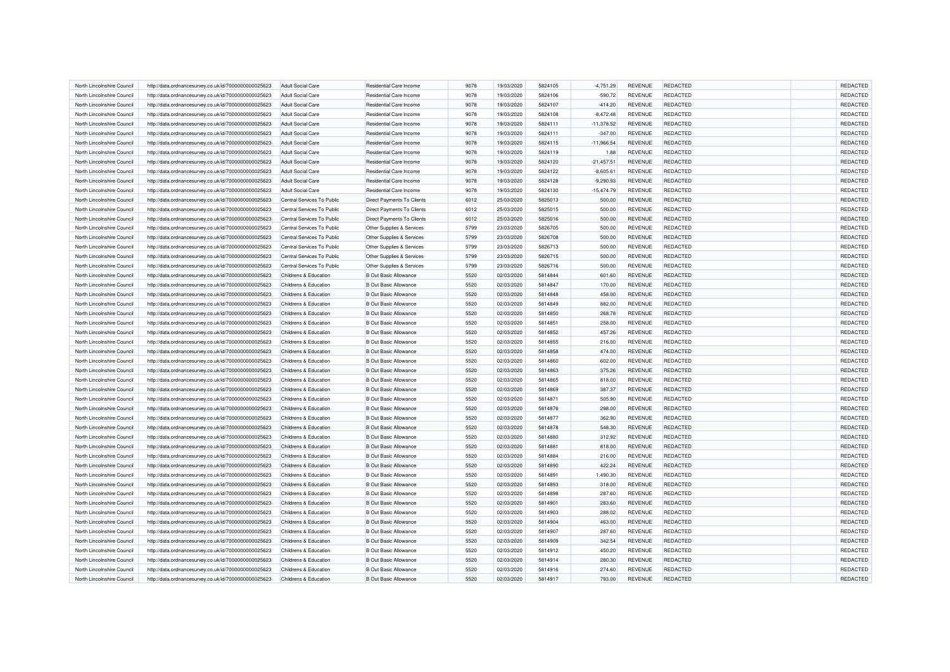| North Lincolnshire Council                               | http://data.ordnancesurvey.co.uk/id/7000000000025623 | <b>Adult Social Care</b>                       | Residential Care Income                                      | 9078         | 19/03/2020 | 5824105            | $-4,751.29$  | REVENUE        | <b>REDACTED</b> | <b>REDACTED</b>      |
|----------------------------------------------------------|------------------------------------------------------|------------------------------------------------|--------------------------------------------------------------|--------------|------------|--------------------|--------------|----------------|-----------------|----------------------|
| North Lincolnshire Council                               | http://data.ordnancesurvey.co.uk/id/7000000000025623 | <b>Adult Social Care</b>                       | Residential Care Income                                      | 9078         | 19/03/2020 | 5824106            | $-590.72$    | REVENUE        | REDACTED        | REDACTED             |
| North Lincolnshire Council                               | http://data.ordnancesurvey.co.uk/id/7000000000025623 | <b>Adult Social Care</b>                       | <b>Residential Care Income</b>                               | 9078         | 19/03/2020 | 5824107            | $-414.20$    | REVENUE        | <b>REDACTED</b> | REDACTED             |
| North Lincolnshire Council                               | http://data.ordnancesurvey.co.uk/id/7000000000025623 | <b>Adult Social Care</b>                       | Residential Care Income                                      | 9078         | 19/03/2020 | 5824108            | $-8,472.48$  | REVENUE        | REDACTED        | REDACTED             |
| North Lincolnshire Council                               | http://data.ordnancesurvey.co.uk/id/7000000000025623 | <b>Adult Social Care</b>                       | <b>Residential Care Income</b>                               | 9078         | 19/03/2020 | 5824111            | $-11,378.52$ | <b>REVENUE</b> | <b>REDACTED</b> | REDACTED             |
| North Lincolnshire Council                               | http://data.ordnancesurvey.co.uk/id/7000000000025623 | <b>Adult Social Care</b>                       | <b>Residential Care Income</b>                               | 9078         | 19/03/2020 | 5824111            | $-347.00$    | REVENUE        | <b>REDACTED</b> | REDACTED             |
| North Lincolnshire Council                               | http://data.ordnancesurvey.co.uk/id/7000000000025623 | <b>Adult Social Care</b>                       | <b>Residential Care Income</b>                               | 9078         | 19/03/2020 | 5824115            | $-11,966.54$ | REVENUE        | <b>REDACTED</b> | REDACTED             |
| North Lincolnshire Council                               | http://data.ordnancesurvey.co.uk/id/7000000000025623 | <b>Adult Social Care</b>                       | Residential Care Income                                      | 9078         | 19/03/2020 | 5824119            | 1.88         | REVENUE        | <b>REDACTED</b> | REDACTED             |
| North Lincolnshire Council                               | http://data.ordnancesurvey.co.uk/id/7000000000025623 | <b>Adult Social Care</b>                       | <b>Residential Care Income</b>                               | 9078         | 19/03/2020 | 5824120            | $-21,457.51$ | REVENUE        | REDACTED        | REDACTED             |
| North Lincolnshire Council                               | http://data.ordnancesurvey.co.uk/id/7000000000025623 | Adult Social Care                              | <b>Residential Care Income</b>                               | 9078         | 19/03/2020 | 5824122            | $-8,605.61$  | REVENUE        | <b>REDACTED</b> | REDACTED             |
| North Lincolnshire Council                               | http://data.ordnancesurvey.co.uk/id/7000000000025623 | <b>Adult Social Care</b>                       | <b>Residential Care Income</b>                               | 9078         | 19/03/2020 | 5824128            | $-9,290.93$  | <b>REVENUE</b> | <b>REDACTED</b> | REDACTED             |
| North Lincolnshire Council                               | http://data.ordnancesurvey.co.uk/id/7000000000025623 | Adult Social Care                              | Residential Care Income                                      | 9078         | 19/03/2020 | 5824130            | $-15,474.79$ | <b>REVENUE</b> | <b>REDACTED</b> | REDACTED             |
| North Lincolnshire Council                               | http://data.ordnancesurvey.co.uk/id/7000000000025623 | Central Services To Public                     | Direct Payments To Clients                                   | 6012         | 25/03/2020 | 5825013            | 500.00       | <b>REVENUE</b> | <b>REDACTED</b> | REDACTED             |
| North Lincolnshire Council                               | http://data.ordnancesurvey.co.uk/id/7000000000025623 | Central Services To Public                     | Direct Payments To Clients                                   | 6012         | 25/03/2020 | 5825015            | 500.00       | REVENUE        | REDACTED        | REDACTED             |
| North Lincolnshire Council                               | http://data.ordnancesurvey.co.uk/id/7000000000025623 | Central Services To Public                     | <b>Direct Payments To Clients</b>                            | 6012         | 25/03/2020 | 5825016            | 500.00       | REVENUE        | <b>REDACTED</b> | REDACTED             |
| North Lincolnshire Council                               | http://data.ordnancesurvey.co.uk/id/7000000000025623 | Central Services To Public                     | Other Supplies & Services                                    | 5799         | 23/03/2020 | 5826705            | 500.00       | REVENUE        | <b>REDACTED</b> | REDACTED             |
| North Lincolnshire Council                               | http://data.ordnancesurvey.co.uk/id/7000000000025623 | Central Services To Public                     | Other Supplies & Services                                    | 5799         | 23/03/2020 | 5826708            | 500.00       | REVENUE        | <b>REDACTED</b> | REDACTED             |
| North Lincolnshire Council                               | http://data.ordnancesurvey.co.uk/id/7000000000025623 | Central Services To Public                     | Other Supplies & Services                                    | 5799         | 23/03/2020 | 5826713            | 500.00       | REVENUE        | <b>REDACTED</b> | REDACTED             |
|                                                          |                                                      |                                                |                                                              | 5799         |            | 5826715            |              |                | <b>REDACTED</b> | REDACTED             |
| North Lincolnshire Council                               | http://data.ordnancesurvey.co.uk/id/7000000000025623 | Central Services To Public                     | Other Supplies & Services                                    |              | 23/03/2020 |                    | 500.00       | REVENUE        |                 | REDACTED             |
| North Lincolnshire Council                               | http://data.ordnancesurvey.co.uk/id/7000000000025623 | Central Services To Public                     | Other Supplies & Services                                    | 5799<br>5520 | 23/03/2020 | 5826716            | 500.00       | <b>REVENUE</b> | <b>REDACTED</b> |                      |
| North Lincolnshire Council<br>North Lincolnshire Council | http://data.ordnancesurvey.co.uk/id/7000000000025623 | Childrens & Education<br>Childrens & Education | <b>B Out Basic Allowance</b><br><b>B</b> Out Basic Allowance | 5520         | 02/03/2020 | 5814844<br>5814847 | 601.60       | <b>REVENUE</b> | <b>REDACTED</b> | REDACTED<br>REDACTED |
|                                                          | http://data.ordnancesurvey.co.uk/id/7000000000025623 |                                                |                                                              | 5520         | 02/03/2020 |                    | 170.00       | REVENUE        | <b>REDACTED</b> |                      |
| North Lincolnshire Council                               | http://data.ordnancesurvey.co.uk/id/7000000000025623 | Childrens & Education                          | <b>B Out Basic Allowance</b>                                 |              | 02/03/2020 | 5814848            | 458.00       | REVENUE        | REDACTED        | REDACTED             |
| North Lincolnshire Council                               | http://data.ordnancesurvey.co.uk/id/7000000000025623 | Childrens & Education                          | <b>B Out Basic Allowance</b>                                 | 5520         | 02/03/2020 | 5814849            | 882.00       | <b>REVENUE</b> | <b>REDACTED</b> | REDACTED             |
| North Lincolnshire Council                               | http://data.ordnancesurvey.co.uk/id/7000000000025623 | Childrens & Education                          | <b>B Out Basic Allowance</b>                                 | 5520         | 02/03/2020 | 5814850            | 268.78       | REVENUE        | <b>REDACTED</b> | REDACTED             |
| North Lincolnshire Council                               | http://data.ordnancesurvey.co.uk/id/7000000000025623 | Childrens & Education                          | <b>B Out Basic Allowance</b>                                 | 5520         | 02/03/2020 | 5814851            | 258.00       | <b>REVENUE</b> | REDACTED        | REDACTED             |
| North Lincolnshire Council                               | http://data.ordnancesurvey.co.uk/id/7000000000025623 | Childrens & Education                          | <b>B Out Basic Allowance</b>                                 | 5520         | 02/03/2020 | 5814852            | 457.26       | REVENUE        | <b>REDACTED</b> | REDACTED             |
| North Lincolnshire Council                               | http://data.ordnancesurvey.co.uk/id/7000000000025623 | Childrens & Education                          | <b>B Out Basic Allowance</b>                                 | 5520         | 02/03/2020 | 5814855            | 216.00       | <b>REVENUE</b> | <b>REDACTED</b> | REDACTED             |
| North Lincolnshire Council                               | http://data.ordnancesurvey.co.uk/id/7000000000025623 | <b>Childrens &amp; Education</b>               | <b>B Out Basic Allowance</b>                                 | 5520         | 02/03/2020 | 5814858            | 474.00       | REVENUE        | <b>REDACTED</b> | REDACTED             |
| North Lincolnshire Council                               | http://data.ordnancesurvey.co.uk/id/7000000000025623 | Childrens & Education                          | <b>B Out Basic Allowance</b>                                 | 5520         | 02/03/2020 | 5814860            | 602.00       | REVENUE        | <b>REDACTED</b> | REDACTED             |
| North Lincolnshire Council                               | http://data.ordnancesurvey.co.uk/id/7000000000025623 | <b>Childrens &amp; Education</b>               | <b>B Out Basic Allowance</b>                                 | 5520         | 02/03/2020 | 5814863            | 375.26       | <b>REVENUE</b> | <b>REDACTED</b> | REDACTED             |
| North Lincolnshire Council                               | http://data.ordnancesurvey.co.uk/id/7000000000025623 | Childrens & Education                          | <b>B Out Basic Allowance</b>                                 | 5520         | 02/03/2020 | 5814865            | 818.00       | <b>REVENUE</b> | <b>REDACTED</b> | REDACTED             |
| North Lincolnshire Council                               | http://data.ordnancesurvey.co.uk/id/7000000000025623 | Childrens & Education                          | <b>B Out Basic Allowance</b>                                 | 5520         | 02/03/2020 | 5814869            | 387.37       | REVENUE        | <b>REDACTED</b> | <b>REDACTED</b>      |
| North Lincolnshire Council                               | http://data.ordnancesurvey.co.uk/id/7000000000025623 | Childrens & Education                          | <b>B Out Basic Allowance</b>                                 | 5520         | 02/03/2020 | 5814871            | 505.90       | REVENUE        | REDACTED        | REDACTED             |
| North Lincolnshire Council                               | http://data.ordnancesurvey.co.uk/id/7000000000025623 | Childrens & Education                          | <b>B Out Basic Allowance</b>                                 | 5520         | 02/03/2020 | 5814876            | 298.00       | REVENUE        | <b>REDACTED</b> | REDACTED             |
| North Lincolnshire Council                               | http://data.ordnancesurvey.co.uk/id/7000000000025623 | Childrens & Education                          | <b>B Out Basic Allowance</b>                                 | 5520         | 02/03/2020 | 5814877            | 362.90       | REVENUE        | <b>REDACTED</b> | REDACTED             |
| North Lincolnshire Council                               | http://data.ordnancesurvey.co.uk/id/7000000000025623 | Childrens & Education                          | <b>B Out Basic Allowance</b>                                 | 5520         | 02/03/2020 | 5814878            | 548.30       | <b>REVENUE</b> | <b>REDACTED</b> | REDACTED             |
| North Lincolnshire Council                               | http://data.ordnancesurvey.co.uk/id/7000000000025623 | Childrens & Education                          | <b>B Out Basic Allowance</b>                                 | 5520         | 02/03/2020 | 5814880            | 312.92       | <b>REVENUE</b> | <b>REDACTED</b> | REDACTED             |
| North Lincolnshire Council                               | http://data.ordnancesurvey.co.uk/id/7000000000025623 | Childrens & Education                          | <b>B Out Basic Allowance</b>                                 | 5520         | 02/03/2020 | 5814881            | 818.00       | REVENUE        | <b>REDACTED</b> | REDACTED             |
| North Lincolnshire Council                               | http://data.ordnancesurvey.co.uk/id/7000000000025623 | Childrens & Education                          | <b>B Out Basic Allowance</b>                                 | 5520         | 02/03/2020 | 5814884            | 216.00       | REVENUE        | <b>REDACTED</b> | REDACTED             |
| North Lincolnshire Council                               | http://data.ordnancesurvey.co.uk/id/7000000000025623 | Childrens & Education                          | <b>B Out Basic Allowance</b>                                 | 5520         | 02/03/2020 | 5814890            | 422.24       | REVENUE        | REDACTED        | REDACTED             |
| North Lincolnshire Council                               | http://data.ordnancesurvey.co.uk/id/7000000000025623 | Childrens & Education                          | <b>B Out Basic Allowance</b>                                 | 5520         | 02/03/2020 | 5814891            | 1,490.30     | REVENUE        | <b>REDACTED</b> | REDACTED             |
| North Lincolnshire Council                               | http://data.ordnancesurvey.co.uk/id/7000000000025623 | <b>Childrens &amp; Education</b>               | <b>B Out Basic Allowance</b>                                 | 5520         | 02/03/2020 | 5814893            | 318.00       | REVENUE        | <b>REDACTED</b> | REDACTED             |
| North Lincolnshire Council                               | http://data.ordnancesurvey.co.uk/id/7000000000025623 | Childrens & Education                          | <b>B Out Basic Allowance</b>                                 | 5520         | 02/03/2020 | 5814898            | 287.60       | <b>REVENUE</b> | <b>REDACTED</b> | REDACTED             |
| North Lincolnshire Council                               | http://data.ordnancesurvey.co.uk/id/7000000000025623 | <b>Childrens &amp; Education</b>               | <b>B Out Basic Allowance</b>                                 | 5520         | 02/03/2020 | 5814901            | 283.60       | REVENUE        | <b>REDACTED</b> | REDACTED             |
| North Lincolnshire Council                               | http://data.ordnancesurvey.co.uk/id/7000000000025623 | Childrens & Education                          | <b>B Out Basic Allowance</b>                                 | 5520         | 02/03/2020 | 5814903            | 288.02       | REVENUE        | REDACTED        | REDACTED             |
| North Lincolnshire Council                               | http://data.ordnancesurvey.co.uk/id/7000000000025623 | <b>Childrens &amp; Education</b>               | <b>B Out Basic Allowance</b>                                 | 5520         | 02/03/2020 | 5814904            | 463.00       | <b>REVENUE</b> | REDACTED        | REDACTED             |
| North Lincolnshire Council                               | http://data.ordnancesurvey.co.uk/id/7000000000025623 | Childrens & Education                          | <b>B Out Basic Allowance</b>                                 | 5520         | 02/03/2020 | 5814907            | 287.60       | REVENUE        | <b>REDACTED</b> | REDACTED             |
| North Lincolnshire Council                               | http://data.ordnancesurvey.co.uk/id/7000000000025623 | Childrens & Education                          | <b>B Out Basic Allowance</b>                                 | 5520         | 02/03/2020 | 5814909            | 342.54       | REVENUE        | <b>REDACTED</b> | REDACTED             |
| North Lincolnshire Council                               | http://data.ordnancesurvey.co.uk/id/7000000000025623 | Childrens & Education                          | <b>B Out Basic Allowance</b>                                 | 5520         | 02/03/2020 | 5814912            | 450.20       | REVENUE        | <b>REDACTED</b> | REDACTED             |
| North Lincolnshire Council                               | http://data.ordnancesurvey.co.uk/id/7000000000025623 | Childrens & Education                          | <b>B Out Basic Allowance</b>                                 | 5520         | 02/03/2020 | 5814914            | 280.30       | <b>REVENUE</b> | REDACTED        | REDACTED             |
| North Lincolnshire Council                               | http://data.ordnancesurvey.co.uk/id/7000000000025623 | Childrens & Education                          | <b>B Out Basic Allowance</b>                                 | 5520         | 02/03/2020 | 5814916            | 274.60       | <b>REVENUE</b> | <b>REDACTED</b> | REDACTED             |
| North Lincolnshire Council                               | http://data.ordnancesurvey.co.uk/id/7000000000025623 | Childrens & Education                          | <b>B Out Basic Allowance</b>                                 | 5520         | 02/03/2020 | 5814917            | 793.00       | REVENUE        | <b>REDACTED</b> | REDACTED             |
|                                                          |                                                      |                                                |                                                              |              |            |                    |              |                |                 |                      |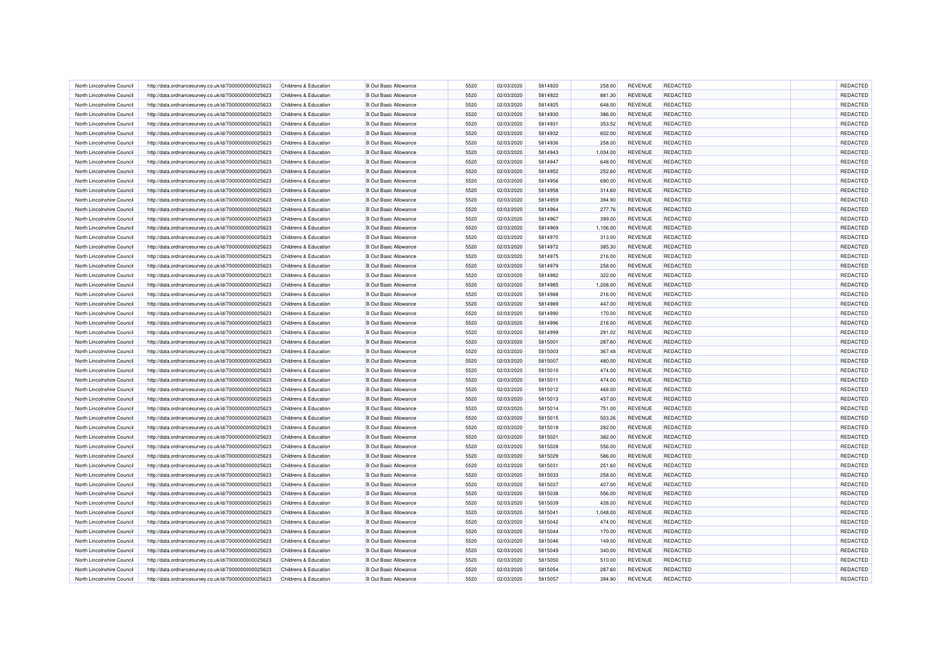| North Lincolnshire Council | http://data.ordnancesurvey.co.uk/id/7000000000025623 | Childrens & Education            | <b>B Out Basic Allowance</b> | 5520 | 02/03/2020 | 5814920 | 258.00   | <b>REVENUE</b> | <b>REDACTED</b> | REDACTED        |
|----------------------------|------------------------------------------------------|----------------------------------|------------------------------|------|------------|---------|----------|----------------|-----------------|-----------------|
| North Lincolnshire Council | http://data.ordnancesurvey.co.uk/id/7000000000025623 | <b>Childrens &amp; Education</b> | <b>B Out Basic Allowance</b> | 5520 | 02/03/2020 | 5814922 | 881.30   | <b>REVENUE</b> | <b>REDACTED</b> | REDACTED        |
| North Lincolnshire Council | http://data.ordnancesurvey.co.uk/id/7000000000025623 | Childrens & Education            | <b>B Out Basic Allowance</b> | 5520 | 02/03/2020 | 5814925 | 648.00   | REVENUE        | <b>REDACTED</b> | REDACTED        |
| North Lincolnshire Council | http://data.ordnancesurvey.co.uk/id/7000000000025623 | <b>Childrens &amp; Education</b> | <b>B Out Basic Allowance</b> | 5520 | 02/03/2020 | 5814930 | 386.00   | <b>REVENUE</b> | <b>REDACTED</b> | REDACTED        |
| North Lincolnshire Council | http://data.ordnancesurvey.co.uk/id/7000000000025623 | Childrens & Education            | <b>B Out Basic Allowance</b> | 5520 | 02/03/2020 | 5814931 | 353.52   | <b>REVENUE</b> | <b>REDACTED</b> | REDACTED        |
| North Lincolnshire Council | http://data.ordnancesurvey.co.uk/id/7000000000025623 | Childrens & Education            | <b>B Out Basic Allowance</b> | 5520 | 02/03/2020 | 5814932 | 602.00   | REVENUE        | <b>REDACTED</b> | REDACTED        |
| North Lincolnshire Council | http://data.ordnancesurvey.co.uk/id/7000000000025623 | Childrens & Education            | <b>B Out Basic Allowance</b> | 5520 | 02/03/2020 | 5814936 | 258.00   | <b>REVENUE</b> | <b>REDACTED</b> | REDACTED        |
| North Lincolnshire Council | http://data.ordnancesurvey.co.uk/id/7000000000025623 | Childrens & Education            | <b>B Out Basic Allowance</b> | 5520 | 02/03/2020 | 5814943 | 1,034.00 | REVENUE        | REDACTED        | REDACTED        |
| North Lincolnshire Council | http://data.ordnancesurvey.co.uk/id/7000000000025623 | Childrens & Education            | <b>B Out Basic Allowance</b> | 5520 | 02/03/2020 | 5814947 | 648.00   | REVENUE        | REDACTED        | REDACTED        |
| North Lincolnshire Council | http://data.ordnancesurvey.co.uk/id/7000000000025623 | Childrens & Education            | <b>B Out Basic Allowance</b> | 5520 | 02/03/2020 | 5814952 | 252.60   | REVENUE        | REDACTED        | REDACTED        |
| North Lincolnshire Council | http://data.ordnancesurvey.co.uk/id/7000000000025623 | Childrens & Education            | <b>B Out Basic Allowance</b> | 5520 | 02/03/2020 | 5814956 | 690.00   | <b>REVENUE</b> | <b>REDACTED</b> | REDACTED        |
| North Lincolnshire Council | http://data.ordnancesurvey.co.uk/id/7000000000025623 | Childrens & Education            | <b>B</b> Out Basic Allowance | 5520 | 02/03/2020 | 5814958 | 314.60   | <b>REVENUE</b> | <b>REDACTED</b> | REDACTED        |
| North Lincolnshire Council | http://data.ordnancesurvey.co.uk/id/7000000000025623 | Childrens & Education            | <b>B Out Basic Allowance</b> | 5520 | 02/03/2020 | 5814959 | 394.90   | <b>REVENUE</b> | <b>REDACTED</b> | REDACTED        |
| North Lincolnshire Council | http://data.ordnancesurvey.co.uk/id/7000000000025623 | Childrens & Education            | <b>B Out Basic Allowance</b> | 5520 | 02/03/2020 | 5814964 | 277.76   | REVENUE        | <b>REDACTED</b> | REDACTED        |
| North Lincolnshire Council | http://data.ordnancesurvey.co.uk/id/7000000000025623 | Childrens & Education            | <b>B Out Basic Allowance</b> | 5520 | 02/03/2020 | 5814967 | 399.00   | REVENUE        | REDACTED        | REDACTED        |
| North Lincolnshire Council | http://data.ordnancesurvey.co.uk/id/7000000000025623 | Childrens & Education            | <b>B Out Basic Allowance</b> | 5520 | 02/03/2020 | 5814969 | 1,106.00 | REVENUE        | <b>REDACTED</b> | REDACTED        |
| North Lincolnshire Council | http://data.ordnancesurvey.co.uk/id/7000000000025623 | Childrens & Education            | <b>B Out Basic Allowance</b> | 5520 | 02/03/2020 | 5814970 | 313.00   | REVENUE        | <b>REDACTED</b> | REDACTED        |
| North Lincolnshire Council | http://data.ordnancesurvey.co.uk/id/7000000000025623 | Childrens & Education            | <b>B Out Basic Allowance</b> | 5520 | 02/03/2020 | 5814972 | 385.30   | REVENUE        | <b>REDACTED</b> | REDACTED        |
| North Lincolnshire Council | http://data.ordnancesurvey.co.uk/id/7000000000025623 | Childrens & Education            | <b>B Out Basic Allowance</b> | 5520 | 02/03/2020 | 5814975 | 216.00   | REVENUE        | <b>REDACTED</b> | REDACTED        |
| North Lincolnshire Council | http://data.ordnancesurvey.co.uk/id/7000000000025623 | Childrens & Education            | <b>B Out Basic Allowance</b> | 5520 | 02/03/2020 | 5814979 | 258.00   | <b>REVENUE</b> | <b>REDACTED</b> | REDACTED        |
| North Lincolnshire Council | http://data.ordnancesurvey.co.uk/id/7000000000025623 | Childrens & Education            | <b>B Out Basic Allowance</b> | 5520 | 02/03/2020 | 5814982 | 322.00   | REVENUE        | <b>REDACTED</b> | REDACTED        |
| North Lincolnshire Council | http://data.ordnancesurvey.co.uk/id/7000000000025623 | Childrens & Education            | <b>B Out Basic Allowance</b> | 5520 | 02/03/2020 | 5814985 | 1,208.00 | <b>REVENUE</b> | <b>REDACTED</b> | REDACTED        |
| North Lincolnshire Council | http://data.ordnancesurvey.co.uk/id/7000000000025623 | Childrens & Education            | <b>B Out Basic Allowance</b> | 5520 | 02/03/2020 | 5814988 | 216.00   | REVENUE        | REDACTED        | REDACTED        |
| North Lincolnshire Council | http://data.ordnancesurvey.co.uk/id/7000000000025623 | Childrens & Education            | <b>B Out Basic Allowance</b> | 5520 | 02/03/2020 | 5814989 | 447.00   | <b>REVENUE</b> | <b>REDACTED</b> | REDACTED        |
| North Lincolnshire Council | http://data.ordnancesurvey.co.uk/id/7000000000025623 | Childrens & Education            | <b>B Out Basic Allowance</b> | 5520 | 02/03/2020 | 5814990 | 170.00   | REVENUE        | <b>REDACTED</b> | REDACTED        |
| North Lincolnshire Council | http://data.ordnancesurvey.co.uk/id/7000000000025623 | Childrens & Education            | <b>B Out Basic Allowance</b> | 5520 | 02/03/2020 | 5814996 | 216.00   | <b>REVENUE</b> | <b>REDACTED</b> | REDACTED        |
| North Lincolnshire Council | http://data.ordnancesurvey.co.uk/id/7000000000025623 | Childrens & Education            | <b>B Out Basic Allowance</b> | 5520 | 02/03/2020 | 5814999 | 291.02   | REVENUE        | <b>REDACTED</b> | REDACTED        |
| North Lincolnshire Council | http://data.ordnancesurvey.co.uk/id/7000000000025623 | Childrens & Education            | <b>B Out Basic Allowance</b> | 5520 | 02/03/2020 | 5815001 | 287.60   | <b>REVENUE</b> | <b>REDACTED</b> | REDACTED        |
| North Lincolnshire Council | http://data.ordnancesurvey.co.uk/id/7000000000025623 | Childrens & Education            | <b>B Out Basic Allowance</b> | 5520 | 02/03/2020 | 5815003 | 367.48   | REVENUE        | <b>REDACTED</b> | REDACTED        |
| North Lincolnshire Council | http://data.ordnancesurvey.co.uk/id/7000000000025623 | Childrens & Education            | <b>B Out Basic Allowance</b> | 5520 | 02/03/2020 | 5815007 | 480.00   | REVENUE        | REDACTED        | REDACTED        |
| North Lincolnshire Council | http://data.ordnancesurvey.co.uk/id/7000000000025623 | Childrens & Education            | <b>B Out Basic Allowance</b> | 5520 | 02/03/2020 | 5815010 | 474.00   | REVENUE        | REDACTED        | REDACTED        |
| North Lincolnshire Council | http://data.ordnancesurvey.co.uk/id/7000000000025623 | Childrens & Education            | <b>B Out Basic Allowance</b> | 5520 | 02/03/2020 | 5815011 | 474.00   | <b>REVENUE</b> | <b>REDACTED</b> | REDACTED        |
| North Lincolnshire Council | http://data.ordnancesurvey.co.uk/id/7000000000025623 | Childrens & Education            | <b>B Out Basic Allowance</b> | 5520 | 02/03/2020 | 5815012 | 468.00   | <b>REVENUE</b> | <b>REDACTED</b> | REDACTED        |
| North Lincolnshire Council | http://data.ordnancesurvey.co.uk/id/7000000000025623 | <b>Childrens &amp; Education</b> | <b>B Out Basic Allowance</b> | 5520 | 02/03/2020 | 5815013 | 457.00   | REVENUE        | <b>REDACTED</b> | REDACTED        |
| North Lincolnshire Council | http://data.ordnancesurvey.co.uk/id/7000000000025623 | Childrens & Education            | <b>B</b> Out Basic Allowance | 5520 | 02/03/2020 | 5815014 | 751.00   | REVENUE        | <b>REDACTED</b> | REDACTED        |
| North Lincolnshire Council | http://data.ordnancesurvey.co.uk/id/7000000000025623 | <b>Childrens &amp; Education</b> | <b>B Out Basic Allowance</b> | 5520 | 02/03/2020 | 5815015 | 503.26   | <b>REVENUE</b> | <b>REDACTED</b> | REDACTED        |
| North Lincolnshire Council | http://data.ordnancesurvey.co.uk/id/7000000000025623 | Childrens & Education            | <b>B Out Basic Allowance</b> | 5520 | 02/03/2020 | 5815018 | 282.00   | <b>REVENUE</b> | <b>REDACTED</b> | REDACTED        |
| North Lincolnshire Council | http://data.ordnancesurvey.co.uk/id/7000000000025623 | Childrens & Education            | <b>B Out Basic Allowance</b> | 5520 | 02/03/2020 | 5815021 | 382.00   | REVENUE        | <b>REDACTED</b> | REDACTED        |
| North Lincolnshire Council | http://data.ordnancesurvey.co.uk/id/7000000000025623 | Childrens & Education            | <b>B Out Basic Allowance</b> | 5520 | 02/03/2020 | 5815028 | 556.00   | <b>REVENUE</b> | <b>REDACTED</b> | REDACTED        |
| North Lincolnshire Council | http://data.ordnancesurvey.co.uk/id/7000000000025623 | Childrens & Education            | <b>B Out Basic Allowance</b> | 5520 | 02/03/2020 | 5815029 | 586.00   | <b>REVENUE</b> | <b>REDACTED</b> | REDACTED        |
| North Lincolnshire Council | http://data.ordnancesurvey.co.uk/id/7000000000025623 | Childrens & Education            | <b>B Out Basic Allowance</b> | 5520 | 02/03/2020 | 5815031 | 251.60   | REVENUE        | REDACTED        | REDACTED        |
| North Lincolnshire Council | http://data.ordnancesurvey.co.uk/id/7000000000025623 | Childrens & Education            | <b>B Out Basic Allowance</b> | 5520 | 02/03/2020 | 5815033 | 258.00   | REVENUE        | <b>REDACTED</b> | REDACTED        |
| North Lincolnshire Council | http://data.ordnancesurvey.co.uk/id/7000000000025623 | Childrens & Education            | <b>B Out Basic Allowance</b> | 5520 | 02/03/2020 | 5815037 | 407.00   | <b>REVENUE</b> | <b>REDACTED</b> | REDACTED        |
| North Lincolnshire Council | http://data.ordnancesurvey.co.uk/id/7000000000025623 | Childrens & Education            | <b>B Out Basic Allowance</b> | 5520 | 02/03/2020 | 5815038 | 556.00   | <b>REVENUE</b> | <b>REDACTED</b> | REDACTED        |
| North Lincolnshire Council | http://data.ordnancesurvey.co.uk/id/7000000000025623 | Childrens & Education            | <b>B Out Basic Allowance</b> | 5520 | 02/03/2020 | 5815039 | 428.00   | REVENUE        | <b>REDACTED</b> | REDACTED        |
| North Lincolnshire Council | http://data.ordnancesurvey.co.uk/id/7000000000025623 | Childrens & Education            | <b>B Out Basic Allowance</b> | 5520 | 02/03/2020 | 5815041 | 1,048.00 | REVENUE        | <b>REDACTED</b> | REDACTED        |
| North Lincolnshire Council | http://data.ordnancesurvey.co.uk/id/7000000000025623 | Childrens & Education            | <b>B Out Basic Allowance</b> | 5520 | 02/03/2020 | 5815042 | 474.00   | REVENUE        | <b>REDACTED</b> | REDACTED        |
| North Lincolnshire Council | http://data.ordnancesurvey.co.uk/id/7000000000025623 | Childrens & Education            | <b>B Out Basic Allowance</b> | 5520 | 02/03/2020 | 5815044 | 170.00   | REVENUE        | <b>REDACTED</b> | REDACTED        |
| North Lincolnshire Council | http://data.ordnancesurvey.co.uk/id/7000000000025623 | Childrens & Education            | <b>B Out Basic Allowance</b> | 5520 | 02/03/2020 | 5815046 | 149.00   | REVENUE        | <b>REDACTED</b> | REDACTED        |
| North Lincolnshire Council | http://data.ordnancesurvey.co.uk/id/7000000000025623 | Childrens & Education            | <b>B Out Basic Allowance</b> | 5520 | 02/03/2020 | 5815049 | 340.00   | <b>REVENUE</b> | <b>REDACTED</b> | <b>REDACTED</b> |
| North Lincolnshire Council | http://data.ordnancesurvey.co.uk/id/7000000000025623 | Childrens & Education            | <b>B Out Basic Allowance</b> | 5520 | 02/03/2020 | 5815050 | 510.00   | REVENUE        | <b>REDACTED</b> | REDACTED        |
| North Lincolnshire Council | http://data.ordnancesurvey.co.uk/id/7000000000025623 | Childrens & Education            | <b>B Out Basic Allowance</b> | 5520 | 02/03/2020 | 5815054 | 287.60   | <b>REVENUE</b> | <b>REDACTED</b> | REDACTED        |
| North Lincolnshire Council | http://data.ordnancesurvey.co.uk/id/7000000000025623 | Childrens & Education            | <b>B Out Basic Allowance</b> | 5520 | 02/03/2020 | 5815057 | 394.90   | REVENUE        | <b>REDACTED</b> | REDACTED        |
|                            |                                                      |                                  |                              |      |            |         |          |                |                 |                 |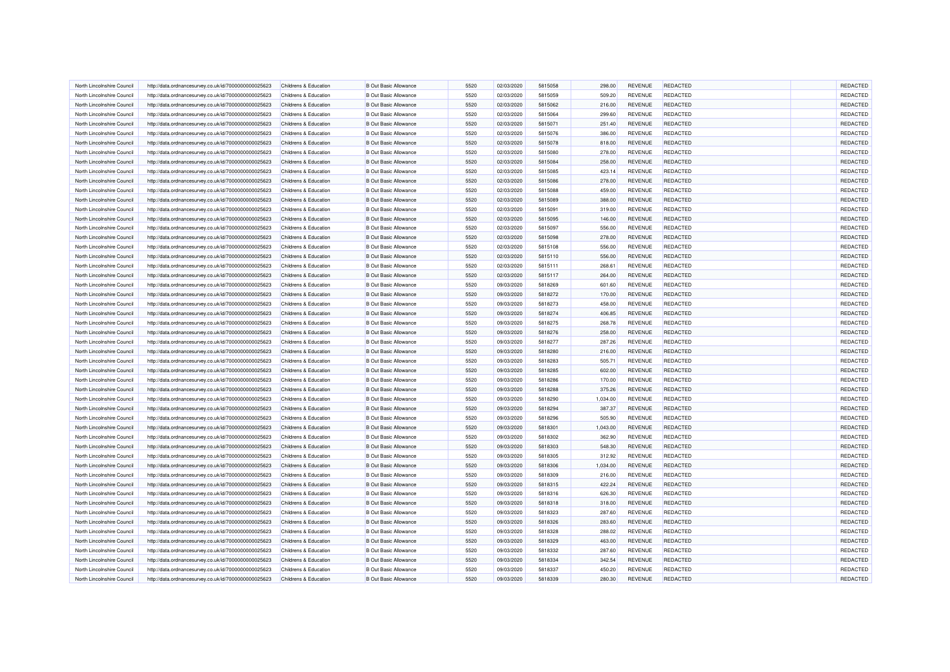| North Lincolnshire Council                               | http://data.ordnancesurvey.co.uk/id/7000000000025623 | <b>Childrens &amp; Education</b>               | <b>B Out Basic Allowance</b>                                 | 5520         | 02/03/2020               | 5815058 | 298.00           | <b>REVENUE</b>            | <b>REDACTED</b> | REDACTED |
|----------------------------------------------------------|------------------------------------------------------|------------------------------------------------|--------------------------------------------------------------|--------------|--------------------------|---------|------------------|---------------------------|-----------------|----------|
| North Lincolnshire Council                               | http://data.ordnancesurvey.co.uk/id/7000000000025623 | Childrens & Education                          | <b>B Out Basic Allowance</b>                                 | 5520         | 02/03/2020               | 5815059 | 509.20           | REVENUE                   | <b>REDACTED</b> | REDACTED |
| North Lincolnshire Council                               | http://data.ordnancesurvey.co.uk/id/7000000000025623 | <b>Childrens &amp; Education</b>               | <b>B Out Basic Allowance</b>                                 | 5520         | 02/03/2020               | 5815062 | 216.00           | <b>REVENUE</b>            | <b>REDACTED</b> | REDACTED |
| North Lincolnshire Council                               | http://data.ordnancesurvey.co.uk/id/7000000000025623 | Childrens & Education                          | <b>B</b> Out Basic Allowance                                 | 5520         | 02/03/2020               | 5815064 | 299.60           | <b>REVENUE</b>            | REDACTED        | REDACTED |
| North Lincolnshire Council                               | http://data.ordnancesurvey.co.uk/id/7000000000025623 | Childrens & Education                          | <b>B Out Basic Allowance</b>                                 | 5520         | 02/03/2020               | 5815071 | 251.40           | REVENUE                   | <b>REDACTED</b> | REDACTED |
| North Lincolnshire Council                               | http://data.ordnancesurvey.co.uk/id/7000000000025623 | Childrens & Education                          | <b>B Out Basic Allowance</b>                                 | 5520         | 02/03/2020               | 5815076 | 386.00           | <b>REVENUE</b>            | <b>REDACTED</b> | REDACTED |
| North Lincolnshire Council                               | http://data.ordnancesurvey.co.uk/id/7000000000025623 | Childrens & Education                          | <b>B Out Basic Allowance</b>                                 | 5520         | 02/03/2020               | 5815078 | 818.00           | REVENUE                   | <b>REDACTED</b> | REDACTED |
| North Lincolnshire Council                               | http://data.ordnancesurvey.co.uk/id/7000000000025623 | Childrens & Education                          | <b>B Out Basic Allowance</b>                                 | 5520         | 02/03/2020               | 5815080 | 278.00           | REVENUE                   | REDACTED        | REDACTED |
| North Lincolnshire Council                               | http://data.ordnancesurvey.co.uk/id/7000000000025623 | <b>Childrens &amp; Education</b>               | <b>B Out Basic Allowance</b>                                 | 5520         | 02/03/2020               | 5815084 | 258.00           | <b>REVENUE</b>            | <b>REDACTED</b> | REDACTED |
| North Lincolnshire Council                               | http://data.ordnancesurvey.co.uk/id/7000000000025623 | <b>Childrens &amp; Education</b>               | <b>B Out Basic Allowance</b>                                 | 5520         | 02/03/2020               | 5815085 | 423.14           | <b>REVENUE</b>            | <b>REDACTED</b> | REDACTED |
| North Lincolnshire Council                               | http://data.ordnancesurvey.co.uk/id/7000000000025623 | Childrens & Education                          | <b>B Out Basic Allowance</b>                                 | 5520         | 02/03/2020               | 5815086 | 278.00           | <b>REVENUE</b>            | <b>REDACTED</b> | REDACTED |
| North Lincolnshire Council                               | http://data.ordnancesurvey.co.uk/id/7000000000025623 | <b>Childrens &amp; Education</b>               | <b>B Out Basic Allowance</b>                                 | 5520         | 02/03/2020               | 5815088 | 459.00           | <b>REVENUE</b>            | REDACTED        | REDACTED |
| North Lincolnshire Council                               | http://data.ordnancesurvey.co.uk/id/7000000000025623 | Childrens & Education                          | <b>B Out Basic Allowance</b>                                 | 5520         | 02/03/2020               | 5815089 | 388.00           | REVENUE                   | REDACTED        | REDACTED |
| North Lincolnshire Council                               | http://data.ordnancesurvey.co.uk/id/7000000000025623 | Childrens & Education                          | <b>B Out Basic Allowance</b>                                 | 5520         | 02/03/2020               | 5815091 | 319.00           | REVENUE                   | REDACTED        | REDACTED |
| North Lincolnshire Council                               | http://data.ordnancesurvey.co.uk/id/7000000000025623 | Childrens & Education                          | <b>B Out Basic Allowance</b>                                 | 5520         | 02/03/2020               | 5815095 | 146.00           | REVENUE                   | <b>REDACTED</b> | REDACTED |
| North Lincolnshire Council                               | http://data.ordnancesurvey.co.uk/id/7000000000025623 | Childrens & Education                          | <b>B Out Basic Allowance</b>                                 | 5520         | 02/03/2020               | 5815097 | 556.00           | REVENUE                   | <b>REDACTED</b> | REDACTED |
| North Lincolnshire Council                               | http://data.ordnancesurvey.co.uk/id/7000000000025623 | Childrens & Education                          | <b>B Out Basic Allowance</b>                                 | 5520         | 02/03/2020               | 5815098 | 278.00           | <b>REVENUE</b>            | <b>REDACTED</b> | REDACTED |
| North Lincolnshire Council                               | http://data.ordnancesurvey.co.uk/id/7000000000025623 | Childrens & Education                          | <b>B Out Basic Allowance</b>                                 | 5520         | 02/03/2020               | 5815108 | 556.00           | <b>REVENUE</b>            | <b>REDACTED</b> | REDACTED |
| North Lincolnshire Council                               | http://data.ordnancesurvey.co.uk/id/7000000000025623 | Childrens & Education                          | <b>B Out Basic Allowance</b>                                 | 5520         | 02/03/2020               | 5815110 | 556.00           | <b>REVENUE</b>            | <b>REDACTED</b> | REDACTED |
| North Lincolnshire Council                               | http://data.ordnancesurvey.co.uk/id/7000000000025623 | <b>Childrens &amp; Education</b>               | <b>B Out Basic Allowance</b>                                 | 5520         | 02/03/2020               | 5815111 | 268.61           | REVENUE                   | REDACTED        | REDACTED |
| North Lincolnshire Council                               | http://data.ordnancesurvey.co.uk/id/7000000000025623 | Childrens & Education                          | <b>B Out Basic Allowance</b>                                 | 5520         | 02/03/2020               | 5815117 | 264.00           | REVENUE                   | <b>REDACTED</b> | REDACTED |
| North Lincolnshire Council                               | http://data.ordnancesurvey.co.uk/id/7000000000025623 | Childrens & Education                          | <b>B</b> Out Basic Allowance                                 | 5520         | 09/03/2020               | 5818269 | 601.60           | REVENUE                   | <b>REDACTED</b> | REDACTED |
| North Lincolnshire Council                               | http://data.ordnancesurvey.co.uk/id/7000000000025623 | Childrens & Education                          | <b>B Out Basic Allowance</b>                                 | 5520         | 09/03/2020               | 5818272 | 170.00           | <b>REVENUE</b>            | <b>REDACTED</b> | REDACTED |
| North Lincolnshire Council                               |                                                      |                                                |                                                              |              |                          | 5818273 |                  |                           | REDACTED        | REDACTED |
| North Lincolnshire Council                               | http://data.ordnancesurvey.co.uk/id/7000000000025623 | Childrens & Education<br>Childrens & Education | <b>B Out Basic Allowance</b><br><b>B Out Basic Allowance</b> | 5520<br>5520 | 09/03/2020<br>09/03/2020 | 5818274 | 458.00<br>406.85 | REVENUE<br><b>REVENUE</b> | <b>REDACTED</b> | REDACTED |
|                                                          | http://data.ordnancesurvey.co.uk/id/7000000000025623 |                                                |                                                              |              |                          |         |                  |                           |                 |          |
| North Lincolnshire Council                               | http://data.ordnancesurvey.co.uk/id/7000000000025623 | Childrens & Education                          | <b>B Out Basic Allowance</b>                                 | 5520         | 09/03/2020               | 5818275 | 268.78           | REVENUE                   | <b>REDACTED</b> | REDACTED |
| North Lincolnshire Council                               | http://data.ordnancesurvey.co.uk/id/7000000000025623 | Childrens & Education                          | <b>B Out Basic Allowance</b>                                 | 5520<br>5520 | 09/03/2020               | 5818276 | 258.00           | <b>REVENUE</b>            | <b>REDACTED</b> | REDACTED |
| North Lincolnshire Council                               | http://data.ordnancesurvey.co.uk/id/7000000000025623 | <b>Childrens &amp; Education</b>               | <b>B Out Basic Allowance</b>                                 |              | 09/03/2020               | 5818277 | 287.26           | REVENUE                   | <b>REDACTED</b> | REDACTED |
| North Lincolnshire Council<br>North Lincolnshire Council | http://data.ordnancesurvey.co.uk/id/7000000000025623 | Childrens & Education                          | <b>B Out Basic Allowance</b>                                 | 5520         | 09/03/2020               | 5818280 | 216.00           | <b>REVENUE</b>            | <b>REDACTED</b> | REDACTED |
|                                                          | http://data.ordnancesurvey.co.uk/id/7000000000025623 | <b>Childrens &amp; Education</b>               | <b>B Out Basic Allowance</b>                                 | 5520         | 09/03/2020               | 5818283 | 505.71           | REVENUE                   | <b>REDACTED</b> | REDACTED |
| North Lincolnshire Council                               | http://data.ordnancesurvey.co.uk/id/7000000000025623 | Childrens & Education                          | <b>B Out Basic Allowance</b>                                 | 5520         | 09/03/2020               | 5818285 | 602.00           | <b>REVENUE</b>            | <b>REDACTED</b> | REDACTED |
| North Lincolnshire Council                               | http://data.ordnancesurvey.co.uk/id/7000000000025623 | Childrens & Education                          | <b>B Out Basic Allowance</b>                                 | 5520         | 09/03/2020               | 5818286 | 170.00           | REVENUE                   | <b>REDACTED</b> | REDACTED |
| North Lincolnshire Council                               | http://data.ordnancesurvey.co.uk/id/7000000000025623 | Childrens & Education                          | <b>B Out Basic Allowance</b>                                 | 5520         | 09/03/2020               | 5818288 | 375.26           | <b>REVENUE</b>            | <b>REDACTED</b> | REDACTED |
| North Lincolnshire Council                               | http://data.ordnancesurvey.co.uk/id/7000000000025623 | Childrens & Education                          | <b>B Out Basic Allowance</b>                                 | 5520         | 09/03/2020               | 5818290 | 1,034.00         | REVENUE                   | <b>REDACTED</b> | REDACTED |
| North Lincolnshire Council                               | http://data.ordnancesurvey.co.uk/id/7000000000025623 | Childrens & Education                          | <b>B Out Basic Allowance</b>                                 | 5520         | 09/03/2020               | 5818294 | 387.37           | REVENUE                   | REDACTED        | REDACTED |
| North Lincolnshire Council                               | http://data.ordnancesurvey.co.uk/id/7000000000025623 | Childrens & Education                          | <b>B Out Basic Allowance</b>                                 | 5520         | 09/03/2020               | 5818296 | 505.90           | <b>REVENUE</b>            | <b>REDACTED</b> | REDACTED |
| North Lincolnshire Council                               | http://data.ordnancesurvey.co.uk/id/7000000000025623 | Childrens & Education                          | <b>B Out Basic Allowance</b>                                 | 5520         | 09/03/2020               | 5818301 | 1,043.00         | <b>REVENUE</b>            | <b>REDACTED</b> | REDACTED |
| North Lincolnshire Council                               | http://data.ordnancesurvey.co.uk/id/7000000000025623 | Childrens & Education                          | <b>B Out Basic Allowance</b>                                 | 5520         | 09/03/2020               | 5818302 | 362.90           | <b>REVENUE</b>            | <b>REDACTED</b> | REDACTED |
| North Lincolnshire Council                               | http://data.ordnancesurvey.co.uk/id/7000000000025623 | <b>Childrens &amp; Education</b>               | <b>B Out Basic Allowance</b>                                 | 5520         | 09/03/2020               | 5818303 | 548.30           | <b>REVENUE</b>            | <b>REDACTED</b> | REDACTED |
| North Lincolnshire Council                               | http://data.ordnancesurvey.co.uk/id/7000000000025623 | Childrens & Education                          | <b>B Out Basic Allowance</b>                                 | 5520         | 09/03/2020               | 5818305 | 312.92           | REVENUE                   | <b>REDACTED</b> | REDACTED |
| North Lincolnshire Council                               | http://data.ordnancesurvey.co.uk/id/7000000000025623 | Childrens & Education                          | <b>B Out Basic Allowance</b>                                 | 5520         | 09/03/2020               | 5818306 | 1,034.00         | REVENUE                   | <b>REDACTED</b> | REDACTED |
| North Lincolnshire Council                               | http://data.ordnancesurvey.co.uk/id/7000000000025623 | Childrens & Education                          | <b>B Out Basic Allowance</b>                                 | 5520         | 09/03/2020               | 5818309 | 216.00           | REVENUE                   | <b>REDACTED</b> | REDACTED |
| North Lincolnshire Council                               | http://data.ordnancesurvey.co.uk/id/7000000000025623 | Childrens & Education                          | <b>B Out Basic Allowance</b>                                 | 5520         | 09/03/2020               | 5818315 | 422.24           | REVENUE                   | REDACTED        | REDACTED |
| North Lincolnshire Council                               | http://data.ordnancesurvey.co.uk/id/7000000000025623 | Childrens & Education                          | <b>B Out Basic Allowance</b>                                 | 5520         | 09/03/2020               | 5818316 | 626.30           | <b>REVENUE</b>            | <b>REDACTED</b> | REDACTED |
| North Lincolnshire Council                               | http://data.ordnancesurvey.co.uk/id/7000000000025623 | Childrens & Education                          | <b>B Out Basic Allowance</b>                                 | 5520         | 09/03/2020               | 5818318 | 318.00           | <b>REVENUE</b>            | <b>REDACTED</b> | REDACTED |
| North Lincolnshire Council                               | http://data.ordnancesurvey.co.uk/id/7000000000025623 | Childrens & Education                          | <b>B Out Basic Allowance</b>                                 | 5520         | 09/03/2020               | 5818323 | 287.60           | REVENUE                   | <b>REDACTED</b> | REDACTED |
| North Lincolnshire Council                               | http://data.ordnancesurvey.co.uk/id/7000000000025623 | Childrens & Education                          | <b>B Out Basic Allowance</b>                                 | 5520         | 09/03/2020               | 5818326 | 283.60           | REVENUE                   | <b>REDACTED</b> | REDACTED |
| North Lincolnshire Council                               | http://data.ordnancesurvey.co.uk/id/7000000000025623 | Childrens & Education                          | <b>B Out Basic Allowance</b>                                 | 5520         | 09/03/2020               | 5818328 | 288.02           | REVENUE                   | <b>REDACTED</b> | REDACTED |
| North Lincolnshire Council                               | http://data.ordnancesurvey.co.uk/id/7000000000025623 | Childrens & Education                          | <b>B Out Basic Allowance</b>                                 | 5520         | 09/03/2020               | 5818329 | 463.00           | <b>REVENUE</b>            | <b>REDACTED</b> | REDACTED |
| North Lincolnshire Council                               | http://data.ordnancesurvey.co.uk/id/7000000000025623 | Childrens & Education                          | <b>B Out Basic Allowance</b>                                 | 5520         | 09/03/2020               | 5818332 | 287.60           | <b>REVENUE</b>            | <b>REDACTED</b> | REDACTED |
| North Lincolnshire Council                               | http://data.ordnancesurvey.co.uk/id/7000000000025623 | Childrens & Education                          | <b>B Out Basic Allowance</b>                                 | 5520         | 09/03/2020               | 5818334 | 342.54           | REVENUE                   | <b>REDACTED</b> | REDACTED |
| North Lincolnshire Council                               | http://data.ordnancesurvey.co.uk/id/7000000000025623 | Childrens & Education                          | <b>B Out Basic Allowance</b>                                 | 5520         | 09/03/2020               | 5818337 | 450.20           | <b>REVENUE</b>            | <b>REDACTED</b> | REDACTED |
| North Lincolnshire Council                               | http://data.ordnancesurvey.co.uk/id/7000000000025623 | Childrens & Education                          | <b>B Out Basic Allowance</b>                                 | 5520         | 09/03/2020               | 5818339 | 280.30           | REVENUE                   | <b>REDACTED</b> | REDACTED |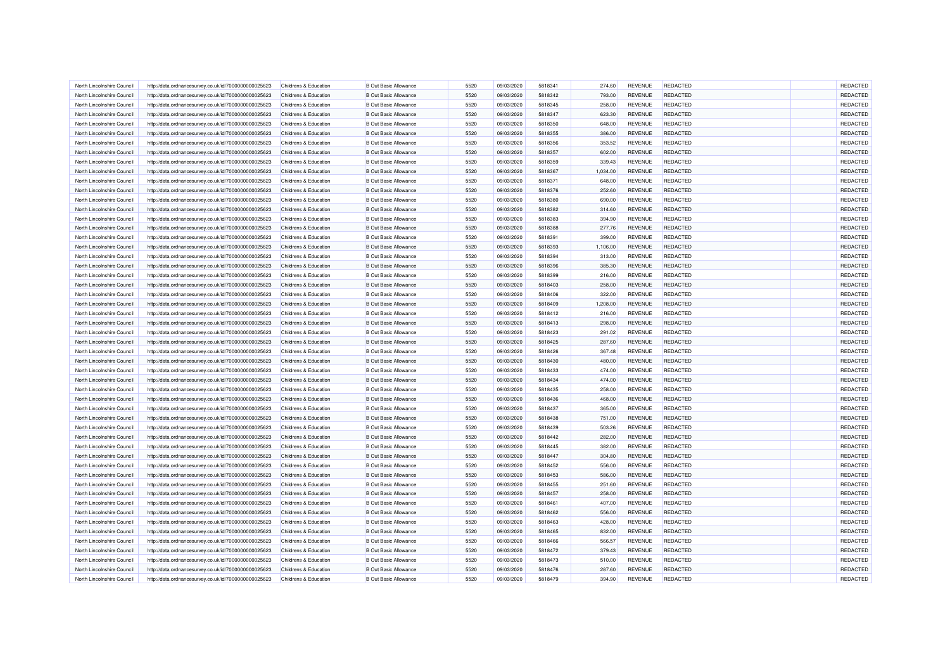| North Lincolnshire Council | http://data.ordnancesurvey.co.uk/id/7000000000025623 | Childrens & Education            | <b>B Out Basic Allowance</b> | 5520 | 09/03/2020 | 5818341 | 274.60   | <b>REVENUE</b> | <b>REDACTED</b> | REDACTED |
|----------------------------|------------------------------------------------------|----------------------------------|------------------------------|------|------------|---------|----------|----------------|-----------------|----------|
| North Lincolnshire Council | http://data.ordnancesurvey.co.uk/id/7000000000025623 | <b>Childrens &amp; Education</b> | <b>B Out Basic Allowance</b> | 5520 | 09/03/2020 | 5818342 | 793.00   | <b>REVENUE</b> | <b>REDACTED</b> | REDACTED |
| North Lincolnshire Council | http://data.ordnancesurvey.co.uk/id/7000000000025623 | Childrens & Education            | <b>B Out Basic Allowance</b> | 5520 | 09/03/2020 | 5818345 | 258.00   | REVENUE        | <b>REDACTED</b> | REDACTED |
| North Lincolnshire Council | http://data.ordnancesurvey.co.uk/id/7000000000025623 | <b>Childrens &amp; Education</b> | <b>B Out Basic Allowance</b> | 5520 | 09/03/2020 | 5818347 | 623.30   | <b>REVENUE</b> | <b>REDACTED</b> | REDACTED |
| North Lincolnshire Council | http://data.ordnancesurvey.co.uk/id/7000000000025623 | Childrens & Education            | <b>B Out Basic Allowance</b> | 5520 | 09/03/2020 | 5818350 | 648.00   | <b>REVENUE</b> | <b>REDACTED</b> | REDACTED |
| North Lincolnshire Council | http://data.ordnancesurvey.co.uk/id/7000000000025623 | Childrens & Education            | <b>B Out Basic Allowance</b> | 5520 | 09/03/2020 | 5818355 | 386.00   | <b>REVENUE</b> | <b>REDACTED</b> | REDACTED |
| North Lincolnshire Council | http://data.ordnancesurvey.co.uk/id/7000000000025623 | Childrens & Education            | <b>B Out Basic Allowance</b> | 5520 | 09/03/2020 | 5818356 | 353.52   | <b>REVENUE</b> | <b>REDACTED</b> | REDACTED |
| North Lincolnshire Council | http://data.ordnancesurvey.co.uk/id/7000000000025623 | Childrens & Education            | <b>B Out Basic Allowance</b> | 5520 | 09/03/2020 | 5818357 | 602.00   | REVENUE        | REDACTED        | REDACTED |
| North Lincolnshire Council | http://data.ordnancesurvey.co.uk/id/7000000000025623 | Childrens & Education            | <b>B Out Basic Allowance</b> | 5520 | 09/03/2020 | 5818359 | 339.43   | REVENUE        | REDACTED        | REDACTED |
| North Lincolnshire Council | http://data.ordnancesurvey.co.uk/id/7000000000025623 | Childrens & Education            | <b>B Out Basic Allowance</b> | 5520 | 09/03/2020 | 5818367 | 1,034.00 | REVENUE        | REDACTED        | REDACTED |
| North Lincolnshire Council | http://data.ordnancesurvey.co.uk/id/7000000000025623 | Childrens & Education            | <b>B Out Basic Allowance</b> | 5520 | 09/03/2020 | 5818371 | 648.00   | <b>REVENUE</b> | <b>REDACTED</b> | REDACTED |
| North Lincolnshire Council | http://data.ordnancesurvey.co.uk/id/7000000000025623 | Childrens & Education            | <b>B</b> Out Basic Allowance | 5520 | 09/03/2020 | 5818376 | 252.60   | <b>REVENUE</b> | <b>REDACTED</b> | REDACTED |
| North Lincolnshire Council | http://data.ordnancesurvey.co.uk/id/7000000000025623 | Childrens & Education            | <b>B Out Basic Allowance</b> | 5520 | 09/03/2020 | 5818380 | 690.00   | <b>REVENUE</b> | <b>REDACTED</b> | REDACTED |
| North Lincolnshire Council | http://data.ordnancesurvey.co.uk/id/7000000000025623 | Childrens & Education            | <b>B Out Basic Allowance</b> | 5520 | 09/03/2020 | 5818382 | 314.60   | REVENUE        | <b>REDACTED</b> | REDACTED |
| North Lincolnshire Council | http://data.ordnancesurvey.co.uk/id/7000000000025623 | Childrens & Education            | <b>B Out Basic Allowance</b> | 5520 | 09/03/2020 | 5818383 | 394.90   | REVENUE        | REDACTED        | REDACTED |
| North Lincolnshire Council | http://data.ordnancesurvey.co.uk/id/7000000000025623 | Childrens & Education            | <b>B Out Basic Allowance</b> | 5520 | 09/03/2020 | 5818388 | 277.76   | REVENUE        | <b>REDACTED</b> | REDACTED |
| North Lincolnshire Council | http://data.ordnancesurvey.co.uk/id/7000000000025623 | Childrens & Education            | <b>B Out Basic Allowance</b> | 5520 | 09/03/2020 | 5818391 | 399.00   | REVENUE        | <b>REDACTED</b> | REDACTED |
| North Lincolnshire Council | http://data.ordnancesurvey.co.uk/id/7000000000025623 | Childrens & Education            | <b>B Out Basic Allowance</b> | 5520 | 09/03/2020 | 5818393 | 1,106.00 | REVENUE        | <b>REDACTED</b> | REDACTED |
| North Lincolnshire Council | http://data.ordnancesurvey.co.uk/id/7000000000025623 | Childrens & Education            | <b>B Out Basic Allowance</b> | 5520 | 09/03/2020 | 5818394 | 313.00   | REVENUE        | <b>REDACTED</b> | REDACTED |
| North Lincolnshire Council | http://data.ordnancesurvey.co.uk/id/7000000000025623 | Childrens & Education            | <b>B Out Basic Allowance</b> | 5520 | 09/03/2020 | 5818396 | 385.30   | <b>REVENUE</b> | <b>REDACTED</b> | REDACTED |
| North Lincolnshire Council | http://data.ordnancesurvey.co.uk/id/7000000000025623 | Childrens & Education            | <b>B Out Basic Allowance</b> | 5520 | 09/03/2020 | 5818399 | 216.00   | REVENUE        | <b>REDACTED</b> | REDACTED |
| North Lincolnshire Council | http://data.ordnancesurvey.co.uk/id/7000000000025623 | Childrens & Education            | <b>B Out Basic Allowance</b> | 5520 | 09/03/2020 | 5818403 | 258.00   | <b>REVENUE</b> | <b>REDACTED</b> | REDACTED |
| North Lincolnshire Council | http://data.ordnancesurvey.co.uk/id/7000000000025623 | Childrens & Education            | <b>B Out Basic Allowance</b> | 5520 | 09/03/2020 | 5818406 | 322.00   | REVENUE        | <b>REDACTED</b> | REDACTED |
| North Lincolnshire Council | http://data.ordnancesurvey.co.uk/id/7000000000025623 | Childrens & Education            | <b>B Out Basic Allowance</b> | 5520 | 09/03/2020 | 5818409 | 1,208.00 | <b>REVENUE</b> | <b>REDACTED</b> | REDACTED |
| North Lincolnshire Council | http://data.ordnancesurvey.co.uk/id/7000000000025623 | Childrens & Education            | <b>B Out Basic Allowance</b> | 5520 | 09/03/2020 | 5818412 | 216.00   | REVENUE        | <b>REDACTED</b> | REDACTED |
| North Lincolnshire Council | http://data.ordnancesurvey.co.uk/id/7000000000025623 | Childrens & Education            | <b>B Out Basic Allowance</b> | 5520 | 09/03/2020 | 5818413 | 298.00   | <b>REVENUE</b> | <b>REDACTED</b> | REDACTED |
| North Lincolnshire Council | http://data.ordnancesurvey.co.uk/id/7000000000025623 | Childrens & Education            | <b>B Out Basic Allowance</b> | 5520 | 09/03/2020 | 5818423 | 291.02   | REVENUE        | <b>REDACTED</b> | REDACTED |
| North Lincolnshire Council | http://data.ordnancesurvey.co.uk/id/7000000000025623 | Childrens & Education            | <b>B Out Basic Allowance</b> | 5520 | 09/03/2020 | 5818425 | 287.60   | <b>REVENUE</b> | <b>REDACTED</b> | REDACTED |
| North Lincolnshire Council | http://data.ordnancesurvey.co.uk/id/7000000000025623 | Childrens & Education            | <b>B Out Basic Allowance</b> | 5520 | 09/03/2020 | 5818426 | 367.48   | REVENUE        | <b>REDACTED</b> | REDACTED |
| North Lincolnshire Council | http://data.ordnancesurvey.co.uk/id/7000000000025623 | Childrens & Education            | <b>B Out Basic Allowance</b> | 5520 | 09/03/2020 | 5818430 | 480.00   | REVENUE        | REDACTED        | REDACTED |
| North Lincolnshire Council | http://data.ordnancesurvey.co.uk/id/7000000000025623 | Childrens & Education            | <b>B Out Basic Allowance</b> | 5520 | 09/03/2020 | 5818433 | 474.00   | <b>REVENUE</b> | REDACTED        | REDACTED |
| North Lincolnshire Council | http://data.ordnancesurvey.co.uk/id/7000000000025623 | Childrens & Education            | <b>B Out Basic Allowance</b> | 5520 | 09/03/2020 | 5818434 | 474.00   | <b>REVENUE</b> | <b>REDACTED</b> | REDACTED |
| North Lincolnshire Council | http://data.ordnancesurvey.co.uk/id/7000000000025623 | Childrens & Education            | <b>B Out Basic Allowance</b> | 5520 | 09/03/2020 | 5818435 | 258.00   | <b>REVENUE</b> | <b>REDACTED</b> | REDACTED |
| North Lincolnshire Council | http://data.ordnancesurvey.co.uk/id/7000000000025623 | Childrens & Education            | <b>B Out Basic Allowance</b> | 5520 | 09/03/2020 | 5818436 | 468.00   | REVENUE        | <b>REDACTED</b> | REDACTED |
| North Lincolnshire Council | http://data.ordnancesurvey.co.uk/id/7000000000025623 | Childrens & Education            | <b>B</b> Out Basic Allowance | 5520 | 09/03/2020 | 5818437 | 365.00   | REVENUE        | <b>REDACTED</b> | REDACTED |
| North Lincolnshire Council | http://data.ordnancesurvey.co.uk/id/7000000000025623 | Childrens & Education            | <b>B Out Basic Allowance</b> | 5520 | 09/03/2020 | 5818438 | 751.00   | <b>REVENUE</b> | <b>REDACTED</b> | REDACTED |
| North Lincolnshire Council | http://data.ordnancesurvey.co.uk/id/7000000000025623 | Childrens & Education            | <b>B Out Basic Allowance</b> | 5520 | 09/03/2020 | 5818439 | 503.26   | <b>REVENUE</b> | <b>REDACTED</b> | REDACTED |
| North Lincolnshire Council | http://data.ordnancesurvey.co.uk/id/7000000000025623 | Childrens & Education            | <b>B Out Basic Allowance</b> | 5520 | 09/03/2020 | 5818442 | 282.00   | REVENUE        | <b>REDACTED</b> | REDACTED |
| North Lincolnshire Council | http://data.ordnancesurvey.co.uk/id/7000000000025623 | <b>Childrens &amp; Education</b> | <b>B Out Basic Allowance</b> | 5520 | 09/03/2020 | 5818445 | 382.00   | <b>REVENUE</b> | <b>REDACTED</b> | REDACTED |
| North Lincolnshire Council | http://data.ordnancesurvey.co.uk/id/7000000000025623 | Childrens & Education            | <b>B Out Basic Allowance</b> | 5520 | 09/03/2020 | 5818447 | 304.80   | <b>REVENUE</b> | <b>REDACTED</b> | REDACTED |
| North Lincolnshire Council | http://data.ordnancesurvey.co.uk/id/7000000000025623 | Childrens & Education            | <b>B Out Basic Allowance</b> | 5520 | 09/03/2020 | 5818452 | 556.00   | REVENUE        | REDACTED        | REDACTED |
| North Lincolnshire Council | http://data.ordnancesurvey.co.uk/id/7000000000025623 | Childrens & Education            | <b>B Out Basic Allowance</b> | 5520 | 09/03/2020 | 5818453 | 586.00   | REVENUE        | <b>REDACTED</b> | REDACTED |
| North Lincolnshire Council | http://data.ordnancesurvey.co.uk/id/7000000000025623 | Childrens & Education            | <b>B Out Basic Allowance</b> | 5520 | 09/03/2020 | 5818455 | 251.60   | <b>REVENUE</b> | <b>REDACTED</b> | REDACTED |
| North Lincolnshire Council | http://data.ordnancesurvey.co.uk/id/7000000000025623 | Childrens & Education            | <b>B Out Basic Allowance</b> | 5520 | 09/03/2020 | 5818457 | 258.00   | <b>REVENUE</b> | <b>REDACTED</b> | REDACTED |
| North Lincolnshire Council | http://data.ordnancesurvey.co.uk/id/7000000000025623 | Childrens & Education            | <b>B Out Basic Allowance</b> | 5520 | 09/03/2020 | 5818461 | 407.00   | REVENUE        | <b>REDACTED</b> | REDACTED |
| North Lincolnshire Council | http://data.ordnancesurvey.co.uk/id/7000000000025623 | Childrens & Education            | <b>B Out Basic Allowance</b> | 5520 | 09/03/2020 | 5818462 | 556.00   | REVENUE        | <b>REDACTED</b> | REDACTED |
| North Lincolnshire Council | http://data.ordnancesurvey.co.uk/id/7000000000025623 | Childrens & Education            | <b>B Out Basic Allowance</b> | 5520 | 09/03/2020 | 5818463 | 428.00   | <b>REVENUE</b> | <b>REDACTED</b> | REDACTED |
| North Lincolnshire Council | http://data.ordnancesurvey.co.uk/id/7000000000025623 | Childrens & Education            | <b>B Out Basic Allowance</b> | 5520 | 09/03/2020 | 5818465 | 832.00   | REVENUE        | <b>REDACTED</b> | REDACTED |
| North Lincolnshire Council | http://data.ordnancesurvey.co.uk/id/7000000000025623 | Childrens & Education            | <b>B Out Basic Allowance</b> | 5520 | 09/03/2020 | 5818466 | 566.57   | REVENUE        | <b>REDACTED</b> | REDACTED |
| North Lincolnshire Council | http://data.ordnancesurvey.co.uk/id/7000000000025623 | Childrens & Education            | <b>B Out Basic Allowance</b> | 5520 | 09/03/2020 | 5818472 | 379.43   | REVENUE        | <b>REDACTED</b> | REDACTED |
| North Lincolnshire Council | http://data.ordnancesurvey.co.uk/id/7000000000025623 | Childrens & Education            | <b>B Out Basic Allowance</b> | 5520 | 09/03/2020 | 5818473 | 510.00   | REVENUE        | <b>REDACTED</b> | REDACTED |
| North Lincolnshire Council | http://data.ordnancesurvey.co.uk/id/7000000000025623 | Childrens & Education            | <b>B Out Basic Allowance</b> | 5520 | 09/03/2020 | 5818476 | 287.60   | <b>REVENUE</b> | <b>REDACTED</b> | REDACTED |
| North Lincolnshire Council | http://data.ordnancesurvey.co.uk/id/7000000000025623 | Childrens & Education            | <b>B Out Basic Allowance</b> | 5520 | 09/03/2020 | 5818479 | 394.90   | REVENUE        | <b>REDACTED</b> | REDACTED |
|                            |                                                      |                                  |                              |      |            |         |          |                |                 |          |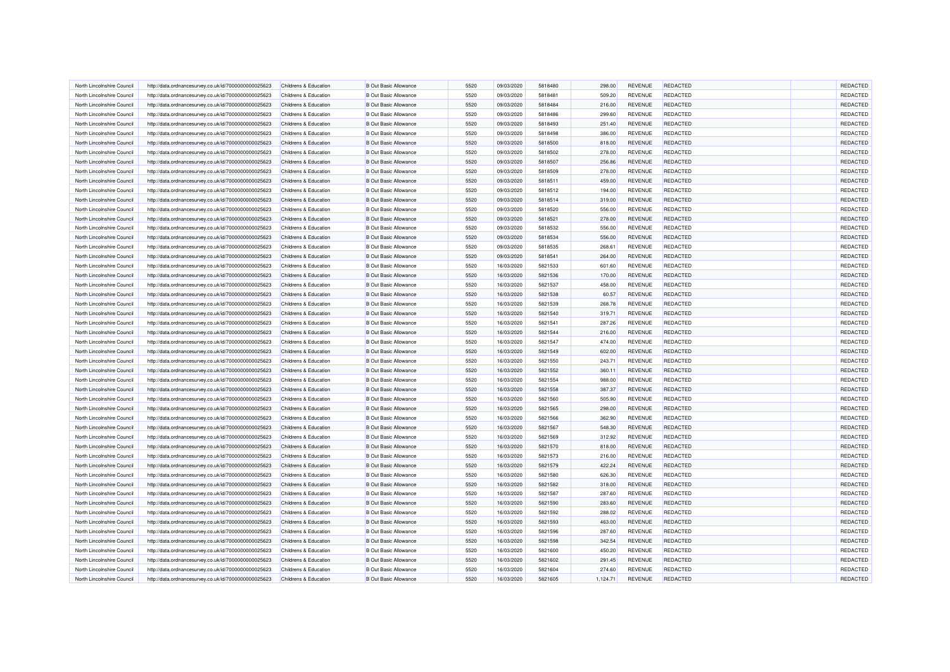| North Lincolnshire Council | http://data.ordnancesurvey.co.uk/id/7000000000025623                                                         | Childrens & Education            | <b>B</b> Out Basic Allowance | 5520 | 09/03/2020               | 5818480 | 298.00           | <b>REVENUE</b> | <b>REDACTED</b> | <b>REDACTED</b> |
|----------------------------|--------------------------------------------------------------------------------------------------------------|----------------------------------|------------------------------|------|--------------------------|---------|------------------|----------------|-----------------|-----------------|
| North Lincolnshire Council | http://data.ordnancesurvey.co.uk/id/7000000000025623                                                         | <b>Childrens &amp; Education</b> | <b>B Out Basic Allowance</b> | 5520 | 09/03/2020               | 5818481 | 509.20           | REVENUE        | <b>REDACTED</b> | REDACTED        |
| North Lincolnshire Council | http://data.ordnancesurvey.co.uk/id/7000000000025623                                                         | Childrens & Education            | <b>B Out Basic Allowance</b> | 5520 | 09/03/2020               | 5818484 | 216.00           | <b>REVENUE</b> | <b>REDACTED</b> | REDACTED        |
| North Lincolnshire Council | http://data.ordnancesurvey.co.uk/id/7000000000025623                                                         | <b>Childrens &amp; Education</b> | <b>B Out Basic Allowance</b> | 5520 | 09/03/2020               | 5818486 | 299.60           | REVENUE        | REDACTED        | REDACTED        |
| North Lincolnshire Council | http://data.ordnancesurvey.co.uk/id/7000000000025623                                                         | Childrens & Education            | <b>B Out Basic Allowance</b> | 5520 | 09/03/2020               | 5818493 | 251.40           | <b>REVENUE</b> | <b>REDACTED</b> | REDACTED        |
| North Lincolnshire Council | http://data.ordnancesurvey.co.uk/id/7000000000025623                                                         | Childrens & Education            | <b>B Out Basic Allowance</b> | 5520 | 09/03/2020               | 5818498 | 386.00           | REVENUE        | <b>REDACTED</b> | REDACTED        |
| North Lincolnshire Council | http://data.ordnancesurvey.co.uk/id/7000000000025623                                                         | Childrens & Education            | <b>B Out Basic Allowance</b> | 5520 | 09/03/2020               | 5818500 | 818.00           | <b>REVENUE</b> | <b>REDACTED</b> | REDACTED        |
| North Lincolnshire Council | http://data.ordnancesurvey.co.uk/id/7000000000025623                                                         | Childrens & Education            | <b>B Out Basic Allowance</b> | 5520 | 09/03/2020               | 5818502 | 278.00           | REVENUE        | <b>REDACTED</b> | REDACTED        |
| North Lincolnshire Council | http://data.ordnancesurvey.co.uk/id/7000000000025623                                                         | Childrens & Education            | <b>B Out Basic Allowance</b> | 5520 | 09/03/2020               | 5818507 | 256.86           | REVENUE        | <b>REDACTED</b> | REDACTED        |
| North Lincolnshire Council | http://data.ordnancesurvey.co.uk/id/7000000000025623                                                         | Childrens & Education            | <b>B Out Basic Allowance</b> | 5520 | 09/03/2020               | 5818509 | 278.00           | REVENUE        | <b>REDACTED</b> | REDACTED        |
| North Lincolnshire Council | http://data.ordnancesurvey.co.uk/id/7000000000025623                                                         | Childrens & Education            | <b>B Out Basic Allowance</b> | 5520 | 09/03/2020               | 5818511 | 459.00           | <b>REVENUE</b> | <b>REDACTED</b> | REDACTED        |
| North Lincolnshire Council | http://data.ordnancesurvey.co.uk/id/7000000000025623                                                         | Childrens & Education            | <b>B</b> Out Basic Allowance | 5520 | 09/03/2020               | 5818512 | 194.00           | <b>REVENUE</b> | <b>REDACTED</b> | REDACTED        |
| North Lincolnshire Council | http://data.ordnancesurvey.co.uk/id/7000000000025623                                                         | Childrens & Education            | <b>B Out Basic Allowance</b> | 5520 | 09/03/2020               | 5818514 | 319.00           | <b>REVENUE</b> | <b>REDACTED</b> | REDACTED        |
| North Lincolnshire Council | http://data.ordnancesurvey.co.uk/id/7000000000025623                                                         | Childrens & Education            | <b>B Out Basic Allowance</b> | 5520 | 09/03/2020               | 5818520 | 556.00           | REVENUE        | REDACTED        | REDACTED        |
| North Lincolnshire Council | http://data.ordnancesurvey.co.uk/id/7000000000025623                                                         | Childrens & Education            | <b>B Out Basic Allowance</b> | 5520 | 09/03/2020               | 5818521 | 278.00           | <b>REVENUE</b> | <b>REDACTED</b> | REDACTED        |
| North Lincolnshire Council | http://data.ordnancesurvey.co.uk/id/7000000000025623                                                         | Childrens & Education            | <b>B Out Basic Allowance</b> | 5520 | 09/03/2020               | 5818532 | 556.00           | REVENUE        | <b>REDACTED</b> | REDACTED        |
| North Lincolnshire Council | http://data.ordnancesurvey.co.uk/id/7000000000025623                                                         | Childrens & Education            | <b>B Out Basic Allowance</b> | 5520 | 09/03/2020               | 5818534 | 556.00           | <b>REVENUE</b> | <b>REDACTED</b> | REDACTED        |
| North Lincolnshire Council | http://data.ordnancesurvey.co.uk/id/7000000000025623                                                         | Childrens & Education            | <b>B Out Basic Allowance</b> | 5520 | 09/03/2020               | 5818535 | 268.61           | REVENUE        | <b>REDACTED</b> | REDACTED        |
| North Lincolnshire Council | http://data.ordnancesurvey.co.uk/id/7000000000025623                                                         | Childrens & Education            | <b>B Out Basic Allowance</b> | 5520 | 09/03/2020               | 5818541 | 264.00           | REVENUE        | REDACTED        | REDACTED        |
| North Lincolnshire Council | http://data.ordnancesurvey.co.uk/id/7000000000025623                                                         | Childrens & Education            | <b>B Out Basic Allowance</b> | 5520 | 16/03/2020               | 5821533 | 601.60           | <b>REVENUE</b> | <b>REDACTED</b> | REDACTED        |
| North Lincolnshire Council | http://data.ordnancesurvey.co.uk/id/7000000000025623                                                         | Childrens & Education            | <b>B Out Basic Allowance</b> | 5520 | 16/03/2020               | 5821536 | 170.00           | REVENUE        | <b>REDACTED</b> | REDACTED        |
| North Lincolnshire Council | http://data.ordnancesurvey.co.uk/id/7000000000025623                                                         | Childrens & Education            | <b>B Out Basic Allowance</b> | 5520 | 16/03/2020               | 5821537 | 458.00           | <b>REVENUE</b> | <b>REDACTED</b> | REDACTED        |
| North Lincolnshire Council | http://data.ordnancesurvey.co.uk/id/7000000000025623                                                         | <b>Childrens &amp; Education</b> | <b>B Out Basic Allowance</b> | 5520 | 16/03/2020               | 5821538 | 60.57            | <b>REVENUE</b> | <b>REDACTED</b> | REDACTED        |
| North Lincolnshire Council | http://data.ordnancesurvey.co.uk/id/7000000000025623                                                         | Childrens & Education            | <b>B Out Basic Allowance</b> | 5520 | 16/03/2020               | 5821539 | 268.78           | <b>REVENUE</b> | <b>REDACTED</b> | REDACTED        |
| North Lincolnshire Council | http://data.ordnancesurvey.co.uk/id/7000000000025623                                                         | <b>Childrens &amp; Education</b> | <b>B Out Basic Allowance</b> | 5520 | 16/03/2020               | 5821540 | 319.71           | <b>REVENUE</b> | REDACTED        | REDACTED        |
| North Lincolnshire Council | http://data.ordnancesurvey.co.uk/id/7000000000025623                                                         | Childrens & Education            | <b>B Out Basic Allowance</b> | 5520 | 16/03/2020               | 5821541 | 287.26           | <b>REVENUE</b> | REDACTED        | REDACTED        |
| North Lincolnshire Council | http://data.ordnancesurvey.co.uk/id/7000000000025623                                                         | Childrens & Education            | <b>B Out Basic Allowance</b> | 5520 | 16/03/2020               | 5821544 | 216.00           | REVENUE        | <b>REDACTED</b> | REDACTED        |
| North Lincolnshire Council | http://data.ordnancesurvey.co.uk/id/7000000000025623                                                         | Childrens & Education            | <b>B Out Basic Allowance</b> | 5520 | 16/03/2020               | 5821547 | 474.00           | <b>REVENUE</b> | <b>REDACTED</b> | REDACTED        |
| North Lincolnshire Council | http://data.ordnancesurvey.co.uk/id/7000000000025623                                                         | Childrens & Education            | <b>B Out Basic Allowance</b> | 5520 | 16/03/2020               | 5821549 | 602.00           | REVENUE        | <b>REDACTED</b> | REDACTED        |
| North Lincolnshire Council | http://data.ordnancesurvey.co.uk/id/7000000000025623                                                         | Childrens & Education            | <b>B Out Basic Allowance</b> | 5520 | 16/03/2020               | 5821550 | 243.71           | REVENUE        | REDACTED        | REDACTED        |
| North Lincolnshire Council | http://data.ordnancesurvey.co.uk/id/7000000000025623                                                         | Childrens & Education            | <b>B Out Basic Allowance</b> | 5520 | 16/03/2020               | 5821552 | 360.11           | <b>REVENUE</b> | <b>REDACTED</b> | REDACTED        |
| North Lincolnshire Council | http://data.ordnancesurvey.co.uk/id/7000000000025623                                                         | Childrens & Education            | <b>B Out Basic Allowance</b> | 5520 | 16/03/2020               | 5821554 | 988.00           | <b>REVENUE</b> | <b>REDACTED</b> | REDACTED        |
| North Lincolnshire Council | http://data.ordnancesurvey.co.uk/id/7000000000025623                                                         | Childrens & Education            | <b>B Out Basic Allowance</b> | 5520 | 16/03/2020               | 5821558 | 387.37           | <b>REVENUE</b> | <b>REDACTED</b> | REDACTED        |
| North Lincolnshire Council | http://data.ordnancesurvey.co.uk/id/7000000000025623                                                         | Childrens & Education            | <b>B Out Basic Allowance</b> | 5520 | 16/03/2020               | 5821560 | 505.90           | REVENUE        | REDACTED        | REDACTED        |
| North Lincolnshire Council | http://data.ordnancesurvey.co.uk/id/7000000000025623                                                         | Childrens & Education            | <b>B Out Basic Allowance</b> | 5520 | 16/03/2020               | 5821565 | 298.00           | REVENUE        | REDACTED        | REDACTED        |
| North Lincolnshire Council | http://data.ordnancesurvey.co.uk/id/7000000000025623                                                         | Childrens & Education            | <b>B Out Basic Allowance</b> | 5520 | 16/03/2020               | 5821566 | 362.90           | REVENUE        | REDACTED        | REDACTED        |
| North Lincolnshire Council | http://data.ordnancesurvey.co.uk/id/7000000000025623                                                         | Childrens & Education            | <b>B Out Basic Allowance</b> | 5520 | 16/03/2020               | 5821567 | 548.30           | <b>REVENUE</b> | <b>REDACTED</b> | REDACTED        |
| North Lincolnshire Council | http://data.ordnancesurvey.co.uk/id/7000000000025623                                                         | Childrens & Education            | <b>B Out Basic Allowance</b> | 5520 | 16/03/2020               | 5821569 | 312.92           | REVENUE        | <b>REDACTED</b> | REDACTED        |
| North Lincolnshire Council | http://data.ordnancesurvey.co.uk/id/7000000000025623                                                         | Childrens & Education            | <b>B Out Basic Allowance</b> | 5520 | 16/03/2020               | 5821570 | 818.00           | <b>REVENUE</b> | <b>REDACTED</b> | REDACTED        |
| North Lincolnshire Council | http://data.ordnancesurvey.co.uk/id/7000000000025623                                                         | Childrens & Education            | <b>B Out Basic Allowance</b> | 5520 | 16/03/2020               | 5821573 | 216.00           | REVENUE        | <b>REDACTED</b> | REDACTED        |
| North Lincolnshire Council | http://data.ordnancesurvey.co.uk/id/7000000000025623                                                         | Childrens & Education            | <b>B Out Basic Allowance</b> | 5520 | 16/03/2020               | 5821579 | 422.24           | <b>REVENUE</b> | REDACTED        | REDACTED        |
| North Lincolnshire Council | http://data.ordnancesurvey.co.uk/id/7000000000025623                                                         | Childrens & Education            | <b>B Out Basic Allowance</b> | 5520 | 16/03/2020               | 5821580 | 626.30           | REVENUE        | <b>REDACTED</b> | REDACTED        |
| North Lincolnshire Council | http://data.ordnancesurvey.co.uk/id/7000000000025623                                                         | Childrens & Education            | <b>B Out Basic Allowance</b> | 5520 | 16/03/2020               | 5821582 | 318.00           | <b>REVENUE</b> | <b>REDACTED</b> | REDACTED        |
| North Lincolnshire Council | http://data.ordnancesurvey.co.uk/id/7000000000025623                                                         | Childrens & Education            | <b>B Out Basic Allowance</b> | 5520 | 16/03/2020               | 5821587 | 287.60           | <b>REVENUE</b> | <b>REDACTED</b> | REDACTED        |
| North Lincolnshire Council | http://data.ordnancesurvey.co.uk/id/7000000000025623                                                         | Childrens & Education            | <b>B Out Basic Allowance</b> | 5520 | 16/03/2020               | 5821590 | 283.60           | <b>REVENUE</b> | <b>REDACTED</b> | REDACTED        |
| North Lincolnshire Council |                                                                                                              | Childrens & Education            | <b>B Out Basic Allowance</b> | 5520 | 16/03/2020               | 5821592 |                  | REVENUE        | <b>REDACTED</b> | REDACTED        |
| North Lincolnshire Council | http://data.ordnancesurvey.co.uk/id/7000000000025623<br>http://data.ordnancesurvey.co.uk/id/7000000000025623 | Childrens & Education            | <b>B Out Basic Allowance</b> | 5520 | 16/03/2020               | 5821593 | 288.02<br>463.00 | <b>REVENUE</b> | <b>REDACTED</b> | REDACTED        |
| North Lincolnshire Council |                                                                                                              | Childrens & Education            | <b>B Out Basic Allowance</b> | 5520 |                          | 5821596 |                  | REVENUE        | <b>REDACTED</b> | REDACTED        |
| North Lincolnshire Council | http://data.ordnancesurvey.co.uk/id/7000000000025623                                                         | Childrens & Education            | <b>B Out Basic Allowance</b> | 5520 | 16/03/2020<br>16/03/2020 | 5821598 | 287.60<br>342.54 | <b>REVENUE</b> | <b>REDACTED</b> | REDACTED        |
| North Lincolnshire Council | http://data.ordnancesurvey.co.uk/id/7000000000025623<br>http://data.ordnancesurvey.co.uk/id/7000000000025623 | Childrens & Education            | <b>B Out Basic Allowance</b> | 5520 | 16/03/2020               | 5821600 | 450.20           | REVENUE        | <b>REDACTED</b> | REDACTED        |
| North Lincolnshire Council |                                                                                                              | Childrens & Education            | <b>B Out Basic Allowance</b> | 5520 |                          | 5821602 |                  | REVENUE        | <b>REDACTED</b> | REDACTED        |
| North Lincolnshire Council | http://data.ordnancesurvey.co.uk/id/7000000000025623<br>http://data.ordnancesurvey.co.uk/id/7000000000025623 | Childrens & Education            | <b>B Out Basic Allowance</b> | 5520 | 16/03/2020<br>16/03/2020 | 5821604 | 291.45<br>274.60 | <b>REVENUE</b> | <b>REDACTED</b> | REDACTED        |
| North Lincolnshire Council | http://data.ordnancesurvey.co.uk/id/7000000000025623                                                         |                                  | <b>B Out Basic Allowance</b> | 5520 |                          | 5821605 | 1,124.71         | REVENUE        | <b>REDACTED</b> | REDACTED        |
|                            |                                                                                                              | Childrens & Education            |                              |      | 16/03/2020               |         |                  |                |                 |                 |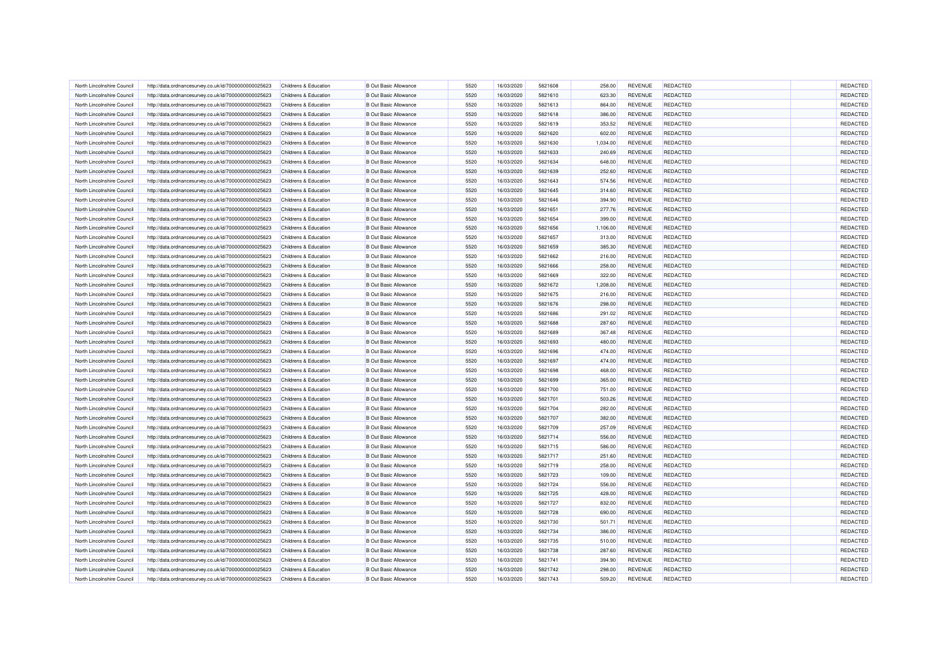| North Lincolnshire Council | http://data.ordnancesurvey.co.uk/id/7000000000025623 | Childrens & Education                          | <b>B Out Basic Allowance</b> | 5520 | 16/03/2020               | 5821608            | 258.00             | <b>REVENUE</b> | <b>REDACTED</b> | REDACTED        |
|----------------------------|------------------------------------------------------|------------------------------------------------|------------------------------|------|--------------------------|--------------------|--------------------|----------------|-----------------|-----------------|
| North Lincolnshire Council | http://data.ordnancesurvey.co.uk/id/7000000000025623 | Childrens & Education                          | <b>B Out Basic Allowance</b> | 5520 | 16/03/2020               | 5821610            | 623.30             | <b>REVENUE</b> | <b>REDACTED</b> | REDACTED        |
| North Lincolnshire Council | http://data.ordnancesurvey.co.uk/id/7000000000025623 | Childrens & Education                          | <b>B Out Basic Allowance</b> | 5520 | 16/03/2020               | 5821613            | 864.00             | REVENUE        | <b>REDACTED</b> | REDACTED        |
| North Lincolnshire Council | http://data.ordnancesurvey.co.uk/id/7000000000025623 | Childrens & Education                          | <b>B Out Basic Allowance</b> | 5520 | 16/03/2020               | 5821618            | 386.00             | <b>REVENUE</b> | <b>REDACTED</b> | REDACTED        |
| North Lincolnshire Council | http://data.ordnancesurvey.co.uk/id/7000000000025623 | Childrens & Education                          | <b>B Out Basic Allowance</b> | 5520 | 16/03/2020               | 5821619            | 353.52             | <b>REVENUE</b> | <b>REDACTED</b> | REDACTED        |
| North Lincolnshire Council | http://data.ordnancesurvey.co.uk/id/7000000000025623 | Childrens & Education                          | <b>B Out Basic Allowance</b> | 5520 | 16/03/2020               | 5821620            | 602.00             | <b>REVENUE</b> | <b>REDACTED</b> | REDACTED        |
| North Lincolnshire Council | http://data.ordnancesurvey.co.uk/id/7000000000025623 | Childrens & Education                          | <b>B Out Basic Allowance</b> | 5520 | 16/03/2020               | 5821630            | 1,034.00           | <b>REVENUE</b> | <b>REDACTED</b> | REDACTED        |
| North Lincolnshire Council | http://data.ordnancesurvey.co.uk/id/7000000000025623 | Childrens & Education                          | <b>B Out Basic Allowance</b> | 5520 | 16/03/2020               | 5821633            | 240.69             | REVENUE        | REDACTED        | REDACTED        |
| North Lincolnshire Council | http://data.ordnancesurvey.co.uk/id/7000000000025623 | Childrens & Education                          | <b>B Out Basic Allowance</b> | 5520 | 16/03/2020               | 5821634            | 648.00             | REVENUE        | REDACTED        | REDACTED        |
| North Lincolnshire Council | http://data.ordnancesurvey.co.uk/id/7000000000025623 | Childrens & Education                          | <b>B Out Basic Allowance</b> | 5520 | 16/03/2020               | 5821639            | 252.60             | REVENUE        | REDACTED        | REDACTED        |
| North Lincolnshire Council | http://data.ordnancesurvey.co.uk/id/7000000000025623 | Childrens & Education                          | <b>B Out Basic Allowance</b> | 5520 | 16/03/2020               | 5821643            | 574.56             | <b>REVENUE</b> | <b>REDACTED</b> | REDACTED        |
| North Lincolnshire Council | http://data.ordnancesurvey.co.uk/id/7000000000025623 | Childrens & Education                          | <b>B</b> Out Basic Allowance | 5520 | 16/03/2020               | 5821645            | 314.60             | <b>REVENUE</b> | <b>REDACTED</b> | REDACTED        |
| North Lincolnshire Council | http://data.ordnancesurvey.co.uk/id/7000000000025623 | Childrens & Education                          | <b>B Out Basic Allowance</b> | 5520 | 16/03/2020               | 5821646            | 394.90             | <b>REVENUE</b> | <b>REDACTED</b> | REDACTED        |
| North Lincolnshire Council | http://data.ordnancesurvey.co.uk/id/7000000000025623 | Childrens & Education                          | <b>B Out Basic Allowance</b> | 5520 | 16/03/2020               | 5821651            | 277.76             | REVENUE        | <b>REDACTED</b> | REDACTED        |
| North Lincolnshire Council | http://data.ordnancesurvey.co.uk/id/7000000000025623 | <b>Childrens &amp; Education</b>               | <b>B Out Basic Allowance</b> | 5520 | 16/03/2020               | 5821654            | 399.00             | REVENUE        | REDACTED        | REDACTED        |
| North Lincolnshire Council | http://data.ordnancesurvey.co.uk/id/7000000000025623 | Childrens & Education                          | <b>B Out Basic Allowance</b> | 5520 | 16/03/2020               | 5821656            | 1,106.00           | REVENUE        | <b>REDACTED</b> | REDACTED        |
| North Lincolnshire Council | http://data.ordnancesurvey.co.uk/id/7000000000025623 | <b>Childrens &amp; Education</b>               | <b>B Out Basic Allowance</b> | 5520 | 16/03/2020               | 5821657            | 313.00             | REVENUE        | <b>REDACTED</b> | REDACTED        |
| North Lincolnshire Council | http://data.ordnancesurvey.co.uk/id/7000000000025623 | Childrens & Education                          | <b>B Out Basic Allowance</b> | 5520 | 16/03/2020               | 5821659            | 385.30             | REVENUE        | <b>REDACTED</b> | REDACTED        |
| North Lincolnshire Council | http://data.ordnancesurvey.co.uk/id/7000000000025623 | Childrens & Education                          | <b>B Out Basic Allowance</b> | 5520 | 16/03/2020               | 5821662            |                    | REVENUE        | <b>REDACTED</b> | REDACTED        |
| North Lincolnshire Council | http://data.ordnancesurvey.co.uk/id/7000000000025623 | Childrens & Education                          | <b>B Out Basic Allowance</b> | 5520 | 16/03/2020               | 5821666            | 216.00<br>258.00   | <b>REVENUE</b> | <b>REDACTED</b> | REDACTED        |
| North Lincolnshire Council |                                                      |                                                | <b>B Out Basic Allowance</b> | 5520 |                          |                    |                    | REVENUE        | <b>REDACTED</b> | REDACTED        |
| North Lincolnshire Council | http://data.ordnancesurvey.co.uk/id/7000000000025623 | Childrens & Education<br>Childrens & Education | <b>B Out Basic Allowance</b> | 5520 | 16/03/2020<br>16/03/2020 | 5821669<br>5821672 | 322.00<br>1,208.00 | <b>REVENUE</b> | <b>REDACTED</b> | REDACTED        |
| North Lincolnshire Council | http://data.ordnancesurvey.co.uk/id/7000000000025623 | <b>Childrens &amp; Education</b>               | <b>B Out Basic Allowance</b> | 5520 | 16/03/2020               | 5821675            |                    | REVENUE        | REDACTED        | REDACTED        |
|                            | http://data.ordnancesurvey.co.uk/id/7000000000025623 |                                                |                              |      |                          |                    | 216.00             |                |                 |                 |
| North Lincolnshire Council | http://data.ordnancesurvey.co.uk/id/7000000000025623 | Childrens & Education                          | <b>B Out Basic Allowance</b> | 5520 | 16/03/2020               | 5821676            | 298.00             | <b>REVENUE</b> | <b>REDACTED</b> | REDACTED        |
| North Lincolnshire Council | http://data.ordnancesurvey.co.uk/id/7000000000025623 | Childrens & Education                          | <b>B Out Basic Allowance</b> | 5520 | 16/03/2020               | 5821686            | 291.02             | REVENUE        | <b>REDACTED</b> | REDACTED        |
| North Lincolnshire Council | http://data.ordnancesurvey.co.uk/id/7000000000025623 | Childrens & Education                          | <b>B Out Basic Allowance</b> | 5520 | 16/03/2020               | 5821688            | 287.60             | <b>REVENUE</b> | <b>REDACTED</b> | REDACTED        |
| North Lincolnshire Council | http://data.ordnancesurvey.co.uk/id/7000000000025623 | Childrens & Education                          | <b>B Out Basic Allowance</b> | 5520 | 16/03/2020               | 5821689            | 367.48             | REVENUE        | <b>REDACTED</b> | REDACTED        |
| North Lincolnshire Council | http://data.ordnancesurvey.co.uk/id/7000000000025623 | Childrens & Education                          | <b>B Out Basic Allowance</b> | 5520 | 16/03/2020               | 5821693            | 480.00             | <b>REVENUE</b> | <b>REDACTED</b> | REDACTED        |
| North Lincolnshire Council | http://data.ordnancesurvey.co.uk/id/7000000000025623 | Childrens & Education                          | <b>B Out Basic Allowance</b> | 5520 | 16/03/2020               | 5821696            | 474.00             | REVENUE        | <b>REDACTED</b> | REDACTED        |
| North Lincolnshire Council | http://data.ordnancesurvey.co.uk/id/7000000000025623 | Childrens & Education                          | <b>B Out Basic Allowance</b> | 5520 | 16/03/2020               | 5821697            | 474.00             | <b>REVENUE</b> | REDACTED        | REDACTED        |
| North Lincolnshire Council | http://data.ordnancesurvey.co.uk/id/7000000000025623 | Childrens & Education                          | <b>B Out Basic Allowance</b> | 5520 | 16/03/2020               | 5821698            | 468.00             | REVENUE        | REDACTED        | REDACTED        |
| North Lincolnshire Council | http://data.ordnancesurvey.co.uk/id/7000000000025623 | Childrens & Education                          | <b>B Out Basic Allowance</b> | 5520 | 16/03/2020               | 5821699            | 365.00             | <b>REVENUE</b> | <b>REDACTED</b> | REDACTED        |
| North Lincolnshire Council | http://data.ordnancesurvey.co.uk/id/7000000000025623 | Childrens & Education                          | <b>B Out Basic Allowance</b> | 5520 | 16/03/2020               | 5821700            | 751.00             | <b>REVENUE</b> | <b>REDACTED</b> | REDACTED        |
| North Lincolnshire Council | http://data.ordnancesurvey.co.uk/id/7000000000025623 | <b>Childrens &amp; Education</b>               | <b>B Out Basic Allowance</b> | 5520 | 16/03/2020               | 5821701            | 503.26             | REVENUE        | <b>REDACTED</b> | REDACTED        |
| North Lincolnshire Council | http://data.ordnancesurvey.co.uk/id/7000000000025623 | Childrens & Education                          | <b>B</b> Out Basic Allowance | 5520 | 16/03/2020               | 5821704            | 282.00             | REVENUE        | <b>REDACTED</b> | REDACTED        |
| North Lincolnshire Council | http://data.ordnancesurvey.co.uk/id/7000000000025623 | <b>Childrens &amp; Education</b>               | <b>B Out Basic Allowance</b> | 5520 | 16/03/2020               | 5821707            | 382.00             | <b>REVENUE</b> | <b>REDACTED</b> | REDACTED        |
| North Lincolnshire Council | http://data.ordnancesurvey.co.uk/id/7000000000025623 | Childrens & Education                          | <b>B Out Basic Allowance</b> | 5520 | 16/03/2020               | 5821709            | 257.09             | <b>REVENUE</b> | <b>REDACTED</b> | REDACTED        |
| North Lincolnshire Council | http://data.ordnancesurvey.co.uk/id/7000000000025623 | Childrens & Education                          | <b>B Out Basic Allowance</b> | 5520 | 16/03/2020               | 5821714            | 556.00             | REVENUE        | <b>REDACTED</b> | REDACTED        |
| North Lincolnshire Council | http://data.ordnancesurvey.co.uk/id/7000000000025623 | Childrens & Education                          | <b>B Out Basic Allowance</b> | 5520 | 16/03/2020               | 5821715            | 586.00             | <b>REVENUE</b> | <b>REDACTED</b> | REDACTED        |
| North Lincolnshire Council | http://data.ordnancesurvey.co.uk/id/7000000000025623 | Childrens & Education                          | <b>B Out Basic Allowance</b> | 5520 | 16/03/2020               | 5821717            | 251.60             | REVENUE        | <b>REDACTED</b> | REDACTED        |
| North Lincolnshire Council | http://data.ordnancesurvey.co.uk/id/7000000000025623 | Childrens & Education                          | <b>B Out Basic Allowance</b> | 5520 | 16/03/2020               | 5821719            | 258.00             | REVENUE        | REDACTED        | REDACTED        |
| North Lincolnshire Council | http://data.ordnancesurvey.co.uk/id/7000000000025623 | Childrens & Education                          | <b>B Out Basic Allowance</b> | 5520 | 16/03/2020               | 5821723            | 109.00             | REVENUE        | <b>REDACTED</b> | REDACTED        |
| North Lincolnshire Council | http://data.ordnancesurvey.co.uk/id/7000000000025623 | Childrens & Education                          | <b>B Out Basic Allowance</b> | 5520 | 16/03/2020               | 5821724            | 556.00             | <b>REVENUE</b> | <b>REDACTED</b> | REDACTED        |
| North Lincolnshire Council | http://data.ordnancesurvey.co.uk/id/7000000000025623 | Childrens & Education                          | <b>B Out Basic Allowance</b> | 5520 | 16/03/2020               | 5821725            | 428.00             | <b>REVENUE</b> | <b>REDACTED</b> | REDACTED        |
| North Lincolnshire Council | http://data.ordnancesurvey.co.uk/id/7000000000025623 | Childrens & Education                          | <b>B Out Basic Allowance</b> | 5520 | 16/03/2020               | 5821727            | 832.00             | REVENUE        | <b>REDACTED</b> | REDACTED        |
| North Lincolnshire Council | http://data.ordnancesurvey.co.uk/id/7000000000025623 | Childrens & Education                          | <b>B Out Basic Allowance</b> | 5520 | 16/03/2020               | 5821728            | 690.00             | REVENUE        | <b>REDACTED</b> | REDACTED        |
| North Lincolnshire Council | http://data.ordnancesurvey.co.uk/id/7000000000025623 | Childrens & Education                          | <b>B Out Basic Allowance</b> | 5520 | 16/03/2020               | 5821730            | 501.71             | <b>REVENUE</b> | <b>REDACTED</b> | REDACTED        |
| North Lincolnshire Council | http://data.ordnancesurvey.co.uk/id/7000000000025623 | Childrens & Education                          | <b>B Out Basic Allowance</b> | 5520 | 16/03/2020               | 5821734            | 386.00             | REVENUE        | <b>REDACTED</b> | REDACTED        |
| North Lincolnshire Council | http://data.ordnancesurvey.co.uk/id/7000000000025623 | Childrens & Education                          | <b>B Out Basic Allowance</b> | 5520 | 16/03/2020               | 5821735            | 510.00             | REVENUE        | <b>REDACTED</b> | REDACTED        |
| North Lincolnshire Council | http://data.ordnancesurvey.co.uk/id/7000000000025623 | Childrens & Education                          | <b>B Out Basic Allowance</b> | 5520 | 16/03/2020               | 5821738            | 287.60             | <b>REVENUE</b> | <b>REDACTED</b> | <b>REDACTED</b> |
| North Lincolnshire Council | http://data.ordnancesurvey.co.uk/id/7000000000025623 | Childrens & Education                          | <b>B Out Basic Allowance</b> | 5520 | 16/03/2020               | 5821741            | 394.90             | REVENUE        | REDACTED        | REDACTED        |
| North Lincolnshire Council | http://data.ordnancesurvey.co.uk/id/7000000000025623 | Childrens & Education                          | <b>B Out Basic Allowance</b> | 5520 | 16/03/2020               | 5821742            | 298.00             | <b>REVENUE</b> | <b>REDACTED</b> | REDACTED        |
| North Lincolnshire Council | http://data.ordnancesurvey.co.uk/id/7000000000025623 | Childrens & Education                          | <b>B Out Basic Allowance</b> | 5520 | 16/03/2020               | 5821743            | 509.20             | REVENUE        | <b>REDACTED</b> | REDACTED        |
|                            |                                                      |                                                |                              |      |                          |                    |                    |                |                 |                 |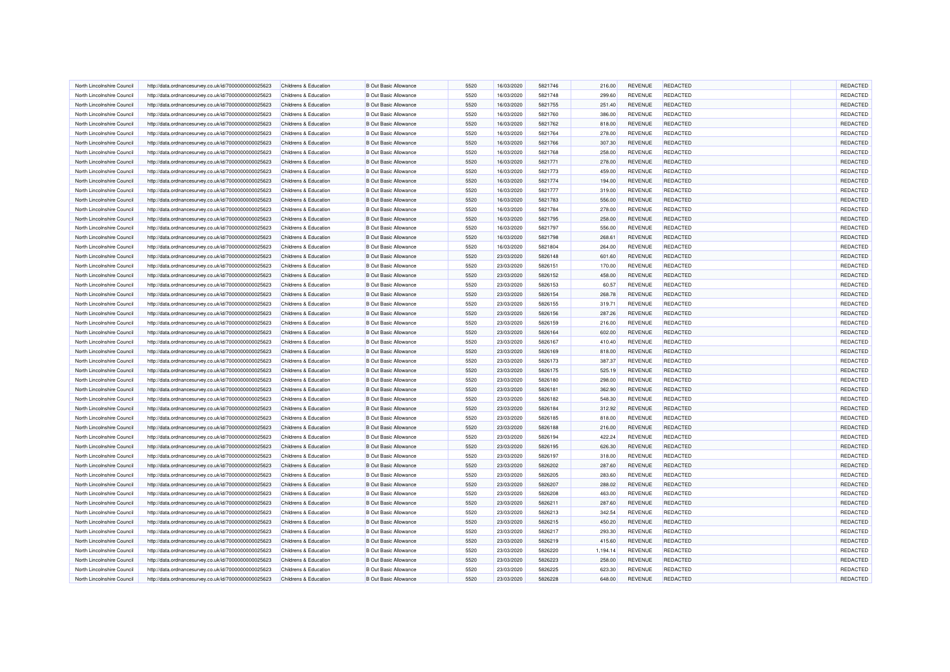| North Lincolnshire Council                               | http://data.ordnancesurvey.co.uk/id/7000000000025623                                                         | Childrens & Education            | <b>B</b> Out Basic Allowance | 5520 | 16/03/2020 | 5821746            | 216.00   | <b>REVENUE</b> | <b>REDACTED</b> | <b>REDACTED</b> |
|----------------------------------------------------------|--------------------------------------------------------------------------------------------------------------|----------------------------------|------------------------------|------|------------|--------------------|----------|----------------|-----------------|-----------------|
| North Lincolnshire Council                               | http://data.ordnancesurvey.co.uk/id/7000000000025623                                                         | Childrens & Education            | <b>B Out Basic Allowance</b> | 5520 | 16/03/2020 | 5821748            | 299.60   | REVENUE        | <b>REDACTED</b> | REDACTED        |
| North Lincolnshire Council                               | http://data.ordnancesurvey.co.uk/id/7000000000025623                                                         | Childrens & Education            | <b>B Out Basic Allowance</b> | 5520 | 16/03/2020 | 5821755            | 251.40   | REVENUE        | <b>REDACTED</b> | REDACTED        |
| North Lincolnshire Council                               | http://data.ordnancesurvey.co.uk/id/7000000000025623                                                         | Childrens & Education            | <b>B Out Basic Allowance</b> | 5520 | 16/03/2020 | 5821760            | 386.00   | REVENUE        | REDACTED        | REDACTED        |
| North Lincolnshire Council                               | http://data.ordnancesurvey.co.uk/id/7000000000025623                                                         | Childrens & Education            | <b>B Out Basic Allowance</b> | 5520 | 16/03/2020 | 5821762            | 818.00   | <b>REVENUE</b> | <b>REDACTED</b> | REDACTED        |
| North Lincolnshire Council                               | http://data.ordnancesurvey.co.uk/id/7000000000025623                                                         | Childrens & Education            | <b>B Out Basic Allowance</b> | 5520 | 16/03/2020 | 5821764            | 278.00   | REVENUE        | <b>REDACTED</b> | REDACTED        |
| North Lincolnshire Council                               | http://data.ordnancesurvey.co.uk/id/7000000000025623                                                         | Childrens & Education            | <b>B Out Basic Allowance</b> | 5520 | 16/03/2020 | 5821766            | 307.30   | <b>REVENUE</b> | <b>REDACTED</b> | REDACTED        |
| North Lincolnshire Council                               | http://data.ordnancesurvey.co.uk/id/7000000000025623                                                         | Childrens & Education            | <b>B Out Basic Allowance</b> | 5520 | 16/03/2020 | 5821768            | 258.00   | REVENUE        | <b>REDACTED</b> | REDACTED        |
| North Lincolnshire Council                               | http://data.ordnancesurvey.co.uk/id/7000000000025623                                                         | Childrens & Education            | <b>B Out Basic Allowance</b> | 5520 | 16/03/2020 | 5821771            | 278.00   | REVENUE        | <b>REDACTED</b> | REDACTED        |
| North Lincolnshire Council                               | http://data.ordnancesurvey.co.uk/id/7000000000025623                                                         | Childrens & Education            | <b>B Out Basic Allowance</b> | 5520 | 16/03/2020 | 5821773            | 459.00   | REVENUE        | <b>REDACTED</b> | REDACTED        |
| North Lincolnshire Council                               | http://data.ordnancesurvey.co.uk/id/7000000000025623                                                         | Childrens & Education            | <b>B Out Basic Allowance</b> | 5520 | 16/03/2020 | 5821774            | 194.00   | <b>REVENUE</b> | <b>REDACTED</b> | REDACTED        |
| North Lincolnshire Council                               | http://data.ordnancesurvey.co.uk/id/7000000000025623                                                         | Childrens & Education            | <b>B</b> Out Basic Allowance | 5520 | 16/03/2020 | 5821777            | 319.00   | <b>REVENUE</b> | <b>REDACTED</b> | REDACTED        |
| North Lincolnshire Council                               | http://data.ordnancesurvey.co.uk/id/7000000000025623                                                         | Childrens & Education            | <b>B Out Basic Allowance</b> | 5520 | 16/03/2020 | 5821783            | 556.00   | <b>REVENUE</b> | <b>REDACTED</b> | REDACTED        |
| North Lincolnshire Council                               | http://data.ordnancesurvey.co.uk/id/7000000000025623                                                         | Childrens & Education            | <b>B Out Basic Allowance</b> | 5520 | 16/03/2020 | 5821784            | 278.00   | REVENUE        | REDACTED        | REDACTED        |
| North Lincolnshire Council                               | http://data.ordnancesurvey.co.uk/id/7000000000025623                                                         | Childrens & Education            | <b>B Out Basic Allowance</b> | 5520 | 16/03/2020 | 5821795            | 258.00   | REVENUE        | <b>REDACTED</b> | REDACTED        |
| North Lincolnshire Council                               | http://data.ordnancesurvey.co.uk/id/7000000000025623                                                         | Childrens & Education            | <b>B Out Basic Allowance</b> | 5520 | 16/03/2020 | 5821797            | 556.00   | REVENUE        | <b>REDACTED</b> | REDACTED        |
| North Lincolnshire Council                               | http://data.ordnancesurvey.co.uk/id/7000000000025623                                                         | Childrens & Education            | <b>B Out Basic Allowance</b> | 5520 | 16/03/2020 | 5821798            | 268.61   | <b>REVENUE</b> | <b>REDACTED</b> | REDACTED        |
| North Lincolnshire Council                               | http://data.ordnancesurvey.co.uk/id/7000000000025623                                                         | Childrens & Education            | <b>B Out Basic Allowance</b> | 5520 | 16/03/2020 | 5821804            | 264.00   | REVENUE        | <b>REDACTED</b> | REDACTED        |
| North Lincolnshire Council                               | http://data.ordnancesurvey.co.uk/id/7000000000025623                                                         | Childrens & Education            | <b>B Out Basic Allowance</b> | 5520 | 23/03/2020 | 5826148            | 601.60   | <b>REVENUE</b> | <b>REDACTED</b> | REDACTED        |
| North Lincolnshire Council                               | http://data.ordnancesurvey.co.uk/id/7000000000025623                                                         | Childrens & Education            | <b>B Out Basic Allowance</b> | 5520 | 23/03/2020 | 5826151            | 170.00   | <b>REVENUE</b> | <b>REDACTED</b> | REDACTED        |
| North Lincolnshire Council                               | http://data.ordnancesurvey.co.uk/id/7000000000025623                                                         | Childrens & Education            | <b>B Out Basic Allowance</b> | 5520 | 23/03/2020 | 5826152            | 458.00   | <b>REVENUE</b> | <b>REDACTED</b> | REDACTED        |
| North Lincolnshire Council                               |                                                                                                              | Childrens & Education            | <b>B Out Basic Allowance</b> | 5520 | 23/03/2020 | 5826153            | 60.57    | <b>REVENUE</b> | <b>REDACTED</b> | REDACTED        |
| North Lincolnshire Council                               | http://data.ordnancesurvey.co.uk/id/7000000000025623<br>http://data.ordnancesurvey.co.uk/id/7000000000025623 | <b>Childrens &amp; Education</b> | <b>B Out Basic Allowance</b> | 5520 | 23/03/2020 | 5826154            | 268.78   | <b>REVENUE</b> | <b>REDACTED</b> | REDACTED        |
|                                                          |                                                                                                              |                                  |                              |      |            |                    |          |                |                 |                 |
| North Lincolnshire Council<br>North Lincolnshire Council | http://data.ordnancesurvey.co.uk/id/7000000000025623                                                         | Childrens & Education            | <b>B Out Basic Allowance</b> | 5520 | 23/03/2020 | 5826155<br>5826156 | 319.71   | <b>REVENUE</b> | REDACTED        | REDACTED        |
|                                                          | http://data.ordnancesurvey.co.uk/id/7000000000025623                                                         | <b>Childrens &amp; Education</b> | <b>B Out Basic Allowance</b> | 5520 | 23/03/2020 |                    | 287.26   | REVENUE        | REDACTED        | REDACTED        |
| North Lincolnshire Council                               | http://data.ordnancesurvey.co.uk/id/7000000000025623                                                         | Childrens & Education            | <b>B Out Basic Allowance</b> | 5520 | 23/03/2020 | 5826159            | 216.00   | <b>REVENUE</b> | REDACTED        | REDACTED        |
| North Lincolnshire Council                               | http://data.ordnancesurvey.co.uk/id/7000000000025623                                                         | Childrens & Education            | <b>B Out Basic Allowance</b> | 5520 | 23/03/2020 | 5826164            | 602.00   | REVENUE        | <b>REDACTED</b> | REDACTED        |
| North Lincolnshire Council                               | http://data.ordnancesurvey.co.uk/id/7000000000025623                                                         | Childrens & Education            | <b>B Out Basic Allowance</b> | 5520 | 23/03/2020 | 5826167            | 410.40   | <b>REVENUE</b> | <b>REDACTED</b> | REDACTED        |
| North Lincolnshire Council                               | http://data.ordnancesurvey.co.uk/id/7000000000025623                                                         | Childrens & Education            | <b>B Out Basic Allowance</b> | 5520 | 23/03/2020 | 5826169            | 818.00   | REVENUE        | <b>REDACTED</b> | REDACTED        |
| North Lincolnshire Council                               | http://data.ordnancesurvey.co.uk/id/7000000000025623                                                         | Childrens & Education            | <b>B Out Basic Allowance</b> | 5520 | 23/03/2020 | 5826173            | 387.37   | REVENUE        | REDACTED        | REDACTED        |
| North Lincolnshire Council                               | http://data.ordnancesurvey.co.uk/id/7000000000025623                                                         | Childrens & Education            | <b>B Out Basic Allowance</b> | 5520 | 23/03/2020 | 5826175            | 525.19   | REVENUE        | <b>REDACTED</b> | REDACTED        |
| North Lincolnshire Council                               | http://data.ordnancesurvey.co.uk/id/7000000000025623                                                         | Childrens & Education            | <b>B Out Basic Allowance</b> | 5520 | 23/03/2020 | 5826180            | 298.00   | <b>REVENUE</b> | <b>REDACTED</b> | REDACTED        |
| North Lincolnshire Council                               | http://data.ordnancesurvey.co.uk/id/7000000000025623                                                         | Childrens & Education            | <b>B Out Basic Allowance</b> | 5520 | 23/03/2020 | 5826181            | 362.90   | <b>REVENUE</b> | <b>REDACTED</b> | REDACTED        |
| North Lincolnshire Council                               | http://data.ordnancesurvey.co.uk/id/7000000000025623                                                         | Childrens & Education            | <b>B Out Basic Allowance</b> | 5520 | 23/03/2020 | 5826182            | 548.30   | REVENUE        | REDACTED        | REDACTED        |
| North Lincolnshire Council                               | http://data.ordnancesurvey.co.uk/id/7000000000025623                                                         | Childrens & Education            | <b>B Out Basic Allowance</b> | 5520 | 23/03/2020 | 5826184            | 312.92   | REVENUE        | <b>REDACTED</b> | REDACTED        |
| North Lincolnshire Council                               | http://data.ordnancesurvey.co.uk/id/7000000000025623                                                         | Childrens & Education            | <b>B Out Basic Allowance</b> | 5520 | 23/03/2020 | 5826185            | 818.00   | REVENUE        | REDACTED        | REDACTED        |
| North Lincolnshire Council                               | http://data.ordnancesurvey.co.uk/id/7000000000025623                                                         | Childrens & Education            | <b>B Out Basic Allowance</b> | 5520 | 23/03/2020 | 5826188            | 216.00   | <b>REVENUE</b> | <b>REDACTED</b> | REDACTED        |
| North Lincolnshire Council                               | http://data.ordnancesurvey.co.uk/id/7000000000025623                                                         | Childrens & Education            | <b>B Out Basic Allowance</b> | 5520 | 23/03/2020 | 5826194            | 422.24   | REVENUE        | <b>REDACTED</b> | REDACTED        |
| North Lincolnshire Council                               | http://data.ordnancesurvey.co.uk/id/7000000000025623                                                         | Childrens & Education            | <b>B Out Basic Allowance</b> | 5520 | 23/03/2020 | 5826195            | 626.30   | <b>REVENUE</b> | <b>REDACTED</b> | REDACTED        |
| North Lincolnshire Council                               | http://data.ordnancesurvey.co.uk/id/7000000000025623                                                         | Childrens & Education            | <b>B Out Basic Allowance</b> | 5520 | 23/03/2020 | 5826197            | 318.00   | REVENUE        | <b>REDACTED</b> | REDACTED        |
| North Lincolnshire Council                               | http://data.ordnancesurvey.co.uk/id/7000000000025623                                                         | Childrens & Education            | <b>B Out Basic Allowance</b> | 5520 | 23/03/2020 | 5826202            | 287.60   | <b>REVENUE</b> | REDACTED        | REDACTED        |
| North Lincolnshire Council                               | http://data.ordnancesurvey.co.uk/id/7000000000025623                                                         | Childrens & Education            | <b>B Out Basic Allowance</b> | 5520 | 23/03/2020 | 5826205            | 283.60   | REVENUE        | <b>REDACTED</b> | REDACTED        |
| North Lincolnshire Council                               | http://data.ordnancesurvey.co.uk/id/7000000000025623                                                         | Childrens & Education            | <b>B Out Basic Allowance</b> | 5520 | 23/03/2020 | 5826207            | 288.02   | <b>REVENUE</b> | <b>REDACTED</b> | REDACTED        |
| North Lincolnshire Council                               | http://data.ordnancesurvey.co.uk/id/7000000000025623                                                         | Childrens & Education            | <b>B Out Basic Allowance</b> | 5520 | 23/03/2020 | 5826208            | 463.00   | <b>REVENUE</b> | <b>REDACTED</b> | REDACTED        |
| North Lincolnshire Council                               | http://data.ordnancesurvey.co.uk/id/7000000000025623                                                         | Childrens & Education            | <b>B Out Basic Allowance</b> | 5520 | 23/03/2020 | 5826211            | 287.60   | REVENUE        | <b>REDACTED</b> | REDACTED        |
| North Lincolnshire Council                               | http://data.ordnancesurvey.co.uk/id/7000000000025623                                                         | Childrens & Education            | <b>B Out Basic Allowance</b> | 5520 | 23/03/2020 | 5826213            | 342.54   | REVENUE        | <b>REDACTED</b> | REDACTED        |
| North Lincolnshire Council                               | http://data.ordnancesurvey.co.uk/id/7000000000025623                                                         | Childrens & Education            | <b>B Out Basic Allowance</b> | 5520 | 23/03/2020 | 5826215            | 450.20   | <b>REVENUE</b> | <b>REDACTED</b> | REDACTED        |
| North Lincolnshire Council                               | http://data.ordnancesurvey.co.uk/id/7000000000025623                                                         | Childrens & Education            | <b>B Out Basic Allowance</b> | 5520 | 23/03/2020 | 5826217            | 293.30   | REVENUE        | <b>REDACTED</b> | REDACTED        |
| North Lincolnshire Council                               | http://data.ordnancesurvey.co.uk/id/7000000000025623                                                         | Childrens & Education            | <b>B Out Basic Allowance</b> | 5520 | 23/03/2020 | 5826219            | 415.60   | <b>REVENUE</b> | <b>REDACTED</b> | REDACTED        |
| North Lincolnshire Council                               | http://data.ordnancesurvey.co.uk/id/7000000000025623                                                         | Childrens & Education            | <b>B Out Basic Allowance</b> | 5520 | 23/03/2020 | 5826220            | 1,194.14 | REVENUE        | <b>REDACTED</b> | REDACTED        |
| North Lincolnshire Council                               | http://data.ordnancesurvey.co.uk/id/7000000000025623                                                         | <b>Childrens &amp; Education</b> | <b>B</b> Out Basic Allowance | 5520 | 23/03/2020 | 5826223            | 258.00   | REVENUE        | <b>REDACTED</b> | REDACTED        |
| North Lincolnshire Council                               | http://data.ordnancesurvey.co.uk/id/7000000000025623                                                         | Childrens & Education            | <b>B Out Basic Allowance</b> | 5520 | 23/03/2020 | 5826225            | 623.30   | <b>REVENUE</b> | <b>REDACTED</b> | REDACTED        |
| North Lincolnshire Council                               | http://data.ordnancesurvey.co.uk/id/7000000000025623                                                         | Childrens & Education            | <b>B Out Basic Allowance</b> | 5520 | 23/03/2020 | 5826228            | 648.00   | REVENUE        | <b>REDACTED</b> | REDACTED        |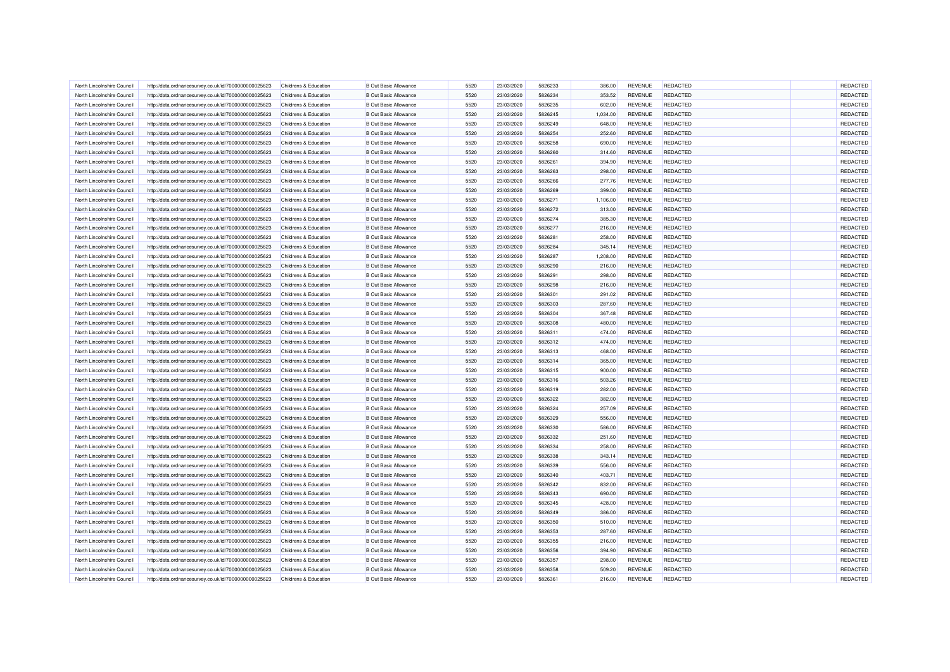| North Lincolnshire Council                               | http://data.ordnancesurvey.co.uk/id/7000000000025623 | Childrens & Education                          | <b>B Out Basic Allowance</b> | 5520         | 23/03/2020 | 5826233            | 386.00   | <b>REVENUE</b> | <b>REDACTED</b> | REDACTED        |
|----------------------------------------------------------|------------------------------------------------------|------------------------------------------------|------------------------------|--------------|------------|--------------------|----------|----------------|-----------------|-----------------|
| North Lincolnshire Council                               | http://data.ordnancesurvey.co.uk/id/7000000000025623 | <b>Childrens &amp; Education</b>               | <b>B Out Basic Allowance</b> | 5520         | 23/03/2020 | 5826234            | 353.52   | <b>REVENUE</b> | <b>REDACTED</b> | REDACTED        |
| North Lincolnshire Council                               | http://data.ordnancesurvey.co.uk/id/7000000000025623 | Childrens & Education                          | <b>B Out Basic Allowance</b> | 5520         | 23/03/2020 | 5826235            | 602.00   | REVENUE        | <b>REDACTED</b> | REDACTED        |
| North Lincolnshire Council                               | http://data.ordnancesurvey.co.uk/id/7000000000025623 | <b>Childrens &amp; Education</b>               | <b>B Out Basic Allowance</b> | 5520         | 23/03/2020 | 5826245            | 1,034.00 | REVENUE        | <b>REDACTED</b> | REDACTED        |
| North Lincolnshire Council                               | http://data.ordnancesurvey.co.uk/id/7000000000025623 | Childrens & Education                          | <b>B Out Basic Allowance</b> | 5520         | 23/03/2020 | 5826249            | 648.00   | <b>REVENUE</b> | <b>REDACTED</b> | REDACTED        |
| North Lincolnshire Council                               | http://data.ordnancesurvey.co.uk/id/7000000000025623 | Childrens & Education                          | <b>B Out Basic Allowance</b> | 5520         | 23/03/2020 | 5826254            | 252.60   | REVENUE        | <b>REDACTED</b> | REDACTED        |
| North Lincolnshire Council                               | http://data.ordnancesurvey.co.uk/id/7000000000025623 | Childrens & Education                          | <b>B Out Basic Allowance</b> | 5520         | 23/03/2020 | 5826258            | 690.00   | <b>REVENUE</b> | <b>REDACTED</b> | REDACTED        |
| North Lincolnshire Council                               | http://data.ordnancesurvey.co.uk/id/7000000000025623 | Childrens & Education                          | <b>B Out Basic Allowance</b> | 5520         | 23/03/2020 | 5826260            | 314.60   | <b>REVENUE</b> | REDACTED        | REDACTED        |
| North Lincolnshire Council                               | http://data.ordnancesurvey.co.uk/id/7000000000025623 | Childrens & Education                          | <b>B Out Basic Allowance</b> | 5520         | 23/03/2020 | 5826261            | 394.90   | REVENUE        | REDACTED        | REDACTED        |
| North Lincolnshire Council                               | http://data.ordnancesurvey.co.uk/id/7000000000025623 | Childrens & Education                          | <b>B Out Basic Allowance</b> | 5520         | 23/03/2020 | 5826263            | 298.00   | REVENUE        | REDACTED        | REDACTED        |
| North Lincolnshire Council                               | http://data.ordnancesurvey.co.uk/id/7000000000025623 | Childrens & Education                          | <b>B Out Basic Allowance</b> | 5520         | 23/03/2020 | 5826266            | 277.76   | <b>REVENUE</b> | <b>REDACTED</b> | REDACTED        |
| North Lincolnshire Council                               | http://data.ordnancesurvey.co.uk/id/7000000000025623 | Childrens & Education                          | <b>B</b> Out Basic Allowance | 5520         | 23/03/2020 | 5826269            | 399.00   | <b>REVENUE</b> | <b>REDACTED</b> | REDACTED        |
| North Lincolnshire Council                               | http://data.ordnancesurvey.co.uk/id/7000000000025623 | Childrens & Education                          | <b>B Out Basic Allowance</b> | 5520         | 23/03/2020 | 5826271            | 1,106.00 | <b>REVENUE</b> | <b>REDACTED</b> | REDACTED        |
| North Lincolnshire Council                               | http://data.ordnancesurvey.co.uk/id/7000000000025623 | Childrens & Education                          | <b>B Out Basic Allowance</b> | 5520         | 23/03/2020 | 5826272            | 313.00   | REVENUE        | <b>REDACTED</b> | REDACTED        |
| North Lincolnshire Council                               | http://data.ordnancesurvey.co.uk/id/7000000000025623 | Childrens & Education                          | <b>B Out Basic Allowance</b> | 5520         | 23/03/2020 | 5826274            | 385.30   | REVENUE        | REDACTED        | REDACTED        |
| North Lincolnshire Council                               | http://data.ordnancesurvey.co.uk/id/7000000000025623 | Childrens & Education                          | <b>B Out Basic Allowance</b> | 5520         | 23/03/2020 | 5826277            | 216.00   | REVENUE        | <b>REDACTED</b> | REDACTED        |
| North Lincolnshire Council                               | http://data.ordnancesurvey.co.uk/id/7000000000025623 | Childrens & Education                          | <b>B Out Basic Allowance</b> | 5520         | 23/03/2020 | 5826281            | 258.00   | <b>REVENUE</b> | <b>REDACTED</b> | REDACTED        |
| North Lincolnshire Council                               | http://data.ordnancesurvey.co.uk/id/7000000000025623 | Childrens & Education                          | <b>B Out Basic Allowance</b> | 5520         | 23/03/2020 | 5826284            | 345.14   | REVENUE        | <b>REDACTED</b> | REDACTED        |
|                                                          |                                                      |                                                |                              |              |            | 5826287            |          |                | <b>REDACTED</b> | REDACTED        |
| North Lincolnshire Council                               | http://data.ordnancesurvey.co.uk/id/7000000000025623 | Childrens & Education                          | <b>B Out Basic Allowance</b> | 5520         | 23/03/2020 |                    | 1,208.00 | REVENUE        |                 | REDACTED        |
| North Lincolnshire Council<br>North Lincolnshire Council | http://data.ordnancesurvey.co.uk/id/7000000000025623 | Childrens & Education                          | <b>B Out Basic Allowance</b> | 5520         | 23/03/2020 | 5826290            | 216.00   | <b>REVENUE</b> | <b>REDACTED</b> | REDACTED        |
| North Lincolnshire Council                               | http://data.ordnancesurvey.co.uk/id/7000000000025623 | Childrens & Education<br>Childrens & Education | <b>B Out Basic Allowance</b> | 5520<br>5520 | 23/03/2020 | 5826291<br>5826298 | 298.00   | REVENUE        | <b>REDACTED</b> | REDACTED        |
|                                                          | http://data.ordnancesurvey.co.uk/id/7000000000025623 |                                                | <b>B Out Basic Allowance</b> |              | 23/03/2020 |                    | 216.00   | <b>REVENUE</b> | <b>REDACTED</b> |                 |
| North Lincolnshire Council                               | http://data.ordnancesurvey.co.uk/id/7000000000025623 | Childrens & Education                          | <b>B Out Basic Allowance</b> | 5520         | 23/03/2020 | 5826301            | 291.02   | REVENUE        | REDACTED        | REDACTED        |
| North Lincolnshire Council                               | http://data.ordnancesurvey.co.uk/id/7000000000025623 | Childrens & Education                          | <b>B Out Basic Allowance</b> | 5520         | 23/03/2020 | 5826303            | 287.60   | <b>REVENUE</b> | <b>REDACTED</b> | REDACTED        |
| North Lincolnshire Council                               | http://data.ordnancesurvey.co.uk/id/7000000000025623 | Childrens & Education                          | <b>B Out Basic Allowance</b> | 5520         | 23/03/2020 | 5826304            | 367.48   | REVENUE        | <b>REDACTED</b> | REDACTED        |
| North Lincolnshire Council                               | http://data.ordnancesurvey.co.uk/id/7000000000025623 | Childrens & Education                          | <b>B Out Basic Allowance</b> | 5520         | 23/03/2020 | 5826308            | 480.00   | <b>REVENUE</b> | <b>REDACTED</b> | REDACTED        |
| North Lincolnshire Council                               | http://data.ordnancesurvey.co.uk/id/7000000000025623 | Childrens & Education                          | <b>B Out Basic Allowance</b> | 5520         | 23/03/2020 | 5826311            | 474.00   | REVENUE        | <b>REDACTED</b> | REDACTED        |
| North Lincolnshire Council                               | http://data.ordnancesurvey.co.uk/id/7000000000025623 | Childrens & Education                          | <b>B Out Basic Allowance</b> | 5520         | 23/03/2020 | 5826312            | 474.00   | <b>REVENUE</b> | <b>REDACTED</b> | REDACTED        |
| North Lincolnshire Council                               | http://data.ordnancesurvey.co.uk/id/7000000000025623 | Childrens & Education                          | <b>B Out Basic Allowance</b> | 5520         | 23/03/2020 | 5826313            | 468.00   | REVENUE        | <b>REDACTED</b> | REDACTED        |
| North Lincolnshire Council                               | http://data.ordnancesurvey.co.uk/id/7000000000025623 | Childrens & Education                          | <b>B Out Basic Allowance</b> | 5520         | 23/03/2020 | 5826314            | 365.00   | REVENUE        | REDACTED        | REDACTED        |
| North Lincolnshire Council                               | http://data.ordnancesurvey.co.uk/id/7000000000025623 | Childrens & Education                          | <b>B Out Basic Allowance</b> | 5520         | 23/03/2020 | 5826315            | 900.00   | REVENUE        | REDACTED        | REDACTED        |
| North Lincolnshire Council                               | http://data.ordnancesurvey.co.uk/id/7000000000025623 | Childrens & Education                          | <b>B Out Basic Allowance</b> | 5520         | 23/03/2020 | 5826316            | 503.26   | <b>REVENUE</b> | <b>REDACTED</b> | REDACTED        |
| North Lincolnshire Council                               | http://data.ordnancesurvey.co.uk/id/7000000000025623 | Childrens & Education                          | <b>B Out Basic Allowance</b> | 5520         | 23/03/2020 | 5826319            | 282.00   | <b>REVENUE</b> | <b>REDACTED</b> | REDACTED        |
| North Lincolnshire Council                               | http://data.ordnancesurvey.co.uk/id/7000000000025623 | <b>Childrens &amp; Education</b>               | <b>B Out Basic Allowance</b> | 5520         | 23/03/2020 | 5826322            | 382.00   | REVENUE        | <b>REDACTED</b> | REDACTED        |
| North Lincolnshire Council                               | http://data.ordnancesurvey.co.uk/id/7000000000025623 | Childrens & Education                          | <b>B</b> Out Basic Allowance | 5520         | 23/03/2020 | 5826324            | 257.09   | REVENUE        | <b>REDACTED</b> | REDACTED        |
| North Lincolnshire Council                               | http://data.ordnancesurvey.co.uk/id/7000000000025623 | <b>Childrens &amp; Education</b>               | <b>B Out Basic Allowance</b> | 5520         | 23/03/2020 | 5826329            | 556.00   | <b>REVENUE</b> | <b>REDACTED</b> | REDACTED        |
| North Lincolnshire Council                               | http://data.ordnancesurvey.co.uk/id/7000000000025623 | Childrens & Education                          | <b>B Out Basic Allowance</b> | 5520         | 23/03/2020 | 5826330            | 586.00   | <b>REVENUE</b> | <b>REDACTED</b> | REDACTED        |
| North Lincolnshire Council                               | http://data.ordnancesurvey.co.uk/id/7000000000025623 | Childrens & Education                          | <b>B Out Basic Allowance</b> | 5520         | 23/03/2020 | 5826332            | 251.60   | REVENUE        | <b>REDACTED</b> | REDACTED        |
| North Lincolnshire Council                               | http://data.ordnancesurvey.co.uk/id/7000000000025623 | Childrens & Education                          | <b>B Out Basic Allowance</b> | 5520         | 23/03/2020 | 5826334            | 258.00   | <b>REVENUE</b> | <b>REDACTED</b> | REDACTED        |
| North Lincolnshire Council                               | http://data.ordnancesurvey.co.uk/id/7000000000025623 | Childrens & Education                          | <b>B Out Basic Allowance</b> | 5520         | 23/03/2020 | 5826338            | 343.14   | REVENUE        | <b>REDACTED</b> | REDACTED        |
| North Lincolnshire Council                               | http://data.ordnancesurvey.co.uk/id/7000000000025623 | Childrens & Education                          | <b>B Out Basic Allowance</b> | 5520         | 23/03/2020 | 5826339            | 556.00   | REVENUE        | REDACTED        | REDACTED        |
| North Lincolnshire Council                               | http://data.ordnancesurvey.co.uk/id/7000000000025623 | Childrens & Education                          | <b>B Out Basic Allowance</b> | 5520         | 23/03/2020 | 5826340            | 403.71   | REVENUE        | <b>REDACTED</b> | REDACTED        |
| North Lincolnshire Council                               | http://data.ordnancesurvey.co.uk/id/7000000000025623 | Childrens & Education                          | <b>B Out Basic Allowance</b> | 5520         | 23/03/2020 | 5826342            | 832.00   | <b>REVENUE</b> | <b>REDACTED</b> | REDACTED        |
| North Lincolnshire Council                               | http://data.ordnancesurvey.co.uk/id/7000000000025623 | Childrens & Education                          | <b>B Out Basic Allowance</b> | 5520         | 23/03/2020 | 5826343            | 690.00   | <b>REVENUE</b> | <b>REDACTED</b> | REDACTED        |
| North Lincolnshire Council                               | http://data.ordnancesurvey.co.uk/id/7000000000025623 | Childrens & Education                          | <b>B Out Basic Allowance</b> | 5520         | 23/03/2020 | 5826345            | 428.00   | REVENUE        | <b>REDACTED</b> | REDACTED        |
| North Lincolnshire Council                               | http://data.ordnancesurvey.co.uk/id/7000000000025623 | Childrens & Education                          | <b>B Out Basic Allowance</b> | 5520         | 23/03/2020 | 5826349            | 386.00   | REVENUE        | <b>REDACTED</b> | REDACTED        |
| North Lincolnshire Council                               | http://data.ordnancesurvey.co.uk/id/7000000000025623 | Childrens & Education                          | <b>B Out Basic Allowance</b> | 5520         | 23/03/2020 | 5826350            | 510.00   | <b>REVENUE</b> | <b>REDACTED</b> | REDACTED        |
| North Lincolnshire Council                               | http://data.ordnancesurvey.co.uk/id/7000000000025623 | Childrens & Education                          | <b>B Out Basic Allowance</b> | 5520         | 23/03/2020 | 5826353            | 287.60   | REVENUE        | <b>REDACTED</b> | REDACTED        |
| North Lincolnshire Council                               | http://data.ordnancesurvey.co.uk/id/7000000000025623 | Childrens & Education                          | <b>B Out Basic Allowance</b> | 5520         | 23/03/2020 | 5826355            | 216.00   | REVENUE        | <b>REDACTED</b> | REDACTED        |
| North Lincolnshire Council                               | http://data.ordnancesurvey.co.uk/id/7000000000025623 | Childrens & Education                          | <b>B Out Basic Allowance</b> | 5520         | 23/03/2020 | 5826356            | 394.90   | REVENUE        | <b>REDACTED</b> | <b>REDACTED</b> |
| North Lincolnshire Council                               | http://data.ordnancesurvey.co.uk/id/7000000000025623 | Childrens & Education                          | <b>B Out Basic Allowance</b> | 5520         | 23/03/2020 | 5826357            | 298.00   | REVENUE        | REDACTED        | REDACTED        |
| North Lincolnshire Council                               | http://data.ordnancesurvey.co.uk/id/7000000000025623 | Childrens & Education                          | <b>B Out Basic Allowance</b> | 5520         | 23/03/2020 | 5826358            | 509.20   | <b>REVENUE</b> | <b>REDACTED</b> | REDACTED        |
| North Lincolnshire Council                               | http://data.ordnancesurvey.co.uk/id/7000000000025623 | Childrens & Education                          | <b>B Out Basic Allowance</b> | 5520         | 23/03/2020 | 5826361            | 216.00   | REVENUE        | <b>REDACTED</b> | REDACTED        |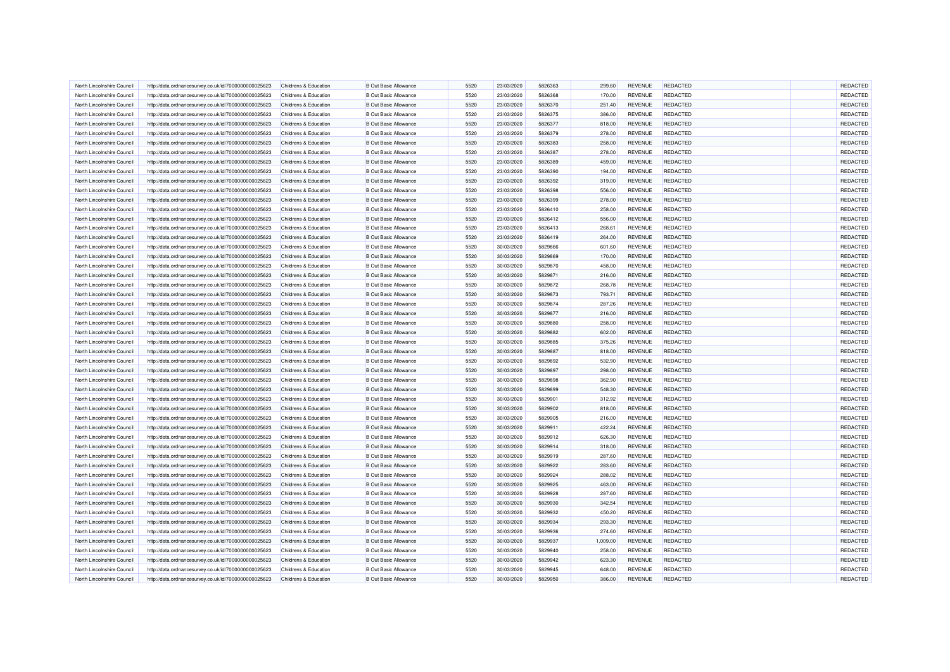| North Lincolnshire Council                               | http://data.ordnancesurvey.co.uk/id/7000000000025623                                                         | Childrens & Education                          | <b>B</b> Out Basic Allowance                                 | 5520 | 23/03/2020               | 5826363 | 299.60             | <b>REVENUE</b>            | <b>REDACTED</b> | <b>REDACTED</b> |
|----------------------------------------------------------|--------------------------------------------------------------------------------------------------------------|------------------------------------------------|--------------------------------------------------------------|------|--------------------------|---------|--------------------|---------------------------|-----------------|-----------------|
| North Lincolnshire Council                               | http://data.ordnancesurvey.co.uk/id/7000000000025623                                                         | Childrens & Education                          | <b>B Out Basic Allowance</b>                                 | 5520 | 23/03/2020               | 5826368 | 170.00             | REVENUE                   | <b>REDACTED</b> | REDACTED        |
| North Lincolnshire Council                               | http://data.ordnancesurvey.co.uk/id/7000000000025623                                                         | Childrens & Education                          | <b>B Out Basic Allowance</b>                                 | 5520 | 23/03/2020               | 5826370 | 251.40             | REVENUE                   | <b>REDACTED</b> | REDACTED        |
| North Lincolnshire Council                               | http://data.ordnancesurvey.co.uk/id/7000000000025623                                                         | Childrens & Education                          | <b>B Out Basic Allowance</b>                                 | 5520 | 23/03/2020               | 5826375 | 386.00             | REVENUE                   | REDACTED        | REDACTED        |
| North Lincolnshire Council                               | http://data.ordnancesurvey.co.uk/id/7000000000025623                                                         | Childrens & Education                          | <b>B Out Basic Allowance</b>                                 | 5520 | 23/03/2020               | 5826377 | 818.00             | <b>REVENUE</b>            | <b>REDACTED</b> | REDACTED        |
| North Lincolnshire Council                               | http://data.ordnancesurvey.co.uk/id/7000000000025623                                                         | Childrens & Education                          | <b>B Out Basic Allowance</b>                                 | 5520 | 23/03/2020               | 5826379 | 278.00             | REVENUE                   | <b>REDACTED</b> | REDACTED        |
| North Lincolnshire Council                               | http://data.ordnancesurvey.co.uk/id/7000000000025623                                                         | Childrens & Education                          | <b>B Out Basic Allowance</b>                                 | 5520 | 23/03/2020               | 5826383 | 258.00             | <b>REVENUE</b>            | <b>REDACTED</b> | REDACTED        |
| North Lincolnshire Council                               | http://data.ordnancesurvey.co.uk/id/7000000000025623                                                         | Childrens & Education                          | <b>B Out Basic Allowance</b>                                 | 5520 | 23/03/2020               | 5826387 | 278.00             | REVENUE                   | <b>REDACTED</b> | REDACTED        |
| North Lincolnshire Council                               | http://data.ordnancesurvey.co.uk/id/7000000000025623                                                         | Childrens & Education                          | <b>B Out Basic Allowance</b>                                 | 5520 | 23/03/2020               | 5826389 | 459.00             | REVENUE                   | REDACTED        | REDACTED        |
| North Lincolnshire Council                               | http://data.ordnancesurvey.co.uk/id/7000000000025623                                                         | Childrens & Education                          | <b>B Out Basic Allowance</b>                                 | 5520 | 23/03/2020               | 5826390 | 194.00             | REVENUE                   | <b>REDACTED</b> | REDACTED        |
| North Lincolnshire Council                               | http://data.ordnancesurvey.co.uk/id/7000000000025623                                                         | Childrens & Education                          | <b>B Out Basic Allowance</b>                                 | 5520 | 23/03/2020               | 5826392 | 319.00             | <b>REVENUE</b>            | <b>REDACTED</b> | REDACTED        |
| North Lincolnshire Council                               | http://data.ordnancesurvey.co.uk/id/7000000000025623                                                         | Childrens & Education                          | <b>B</b> Out Basic Allowance                                 | 5520 | 23/03/2020               | 5826398 | 556.00             | <b>REVENUE</b>            | <b>REDACTED</b> | REDACTED        |
| North Lincolnshire Council                               | http://data.ordnancesurvey.co.uk/id/7000000000025623                                                         | Childrens & Education                          | <b>B Out Basic Allowance</b>                                 | 5520 | 23/03/2020               | 5826399 | 278.00             | <b>REVENUE</b>            | <b>REDACTED</b> | REDACTED        |
| North Lincolnshire Council                               | http://data.ordnancesurvey.co.uk/id/7000000000025623                                                         | Childrens & Education                          | <b>B Out Basic Allowance</b>                                 | 5520 | 23/03/2020               | 5826410 | 258.00             | REVENUE                   | <b>REDACTED</b> | REDACTED        |
| North Lincolnshire Council                               | http://data.ordnancesurvey.co.uk/id/7000000000025623                                                         | Childrens & Education                          | <b>B Out Basic Allowance</b>                                 | 5520 | 23/03/2020               | 5826412 | 556.00             | REVENUE                   | REDACTED        | REDACTED        |
| North Lincolnshire Council                               | http://data.ordnancesurvey.co.uk/id/7000000000025623                                                         | Childrens & Education                          | <b>B Out Basic Allowance</b>                                 | 5520 | 23/03/2020               | 5826413 | 268.61             | REVENUE                   | <b>REDACTED</b> | REDACTED        |
| North Lincolnshire Council                               | http://data.ordnancesurvey.co.uk/id/7000000000025623                                                         | Childrens & Education                          | <b>B Out Basic Allowance</b>                                 | 5520 | 23/03/2020               | 5826419 | 264.00             | <b>REVENUE</b>            | <b>REDACTED</b> | REDACTED        |
| North Lincolnshire Council                               | http://data.ordnancesurvey.co.uk/id/7000000000025623                                                         | Childrens & Education                          | <b>B Out Basic Allowance</b>                                 | 5520 | 30/03/2020               | 5829866 | 601.60             | REVENUE                   | <b>REDACTED</b> | REDACTED        |
| North Lincolnshire Council                               | http://data.ordnancesurvey.co.uk/id/7000000000025623                                                         | Childrens & Education                          | <b>B Out Basic Allowance</b>                                 | 5520 | 30/03/2020               | 5829869 | 170.00             | REVENUE                   | <b>REDACTED</b> | REDACTED        |
| North Lincolnshire Council                               | http://data.ordnancesurvey.co.uk/id/7000000000025623                                                         | Childrens & Education                          | <b>B Out Basic Allowance</b>                                 | 5520 | 30/03/2020               | 5829870 | 458.00             | <b>REVENUE</b>            | <b>REDACTED</b> | REDACTED        |
| North Lincolnshire Council                               | http://data.ordnancesurvey.co.uk/id/7000000000025623                                                         | Childrens & Education                          | <b>B Out Basic Allowance</b>                                 | 5520 | 30/03/2020               | 5829871 | 216.00             | REVENUE                   | <b>REDACTED</b> | REDACTED        |
| North Lincolnshire Council                               | http://data.ordnancesurvey.co.uk/id/7000000000025623                                                         | Childrens & Education                          | <b>B Out Basic Allowance</b>                                 | 5520 | 30/03/2020               | 5829872 | 268.78             | <b>REVENUE</b>            | <b>REDACTED</b> | REDACTED        |
| North Lincolnshire Council                               | http://data.ordnancesurvey.co.uk/id/7000000000025623                                                         | <b>Childrens &amp; Education</b>               | <b>B Out Basic Allowance</b>                                 | 5520 | 30/03/2020               | 5829873 | 793.71             | <b>REVENUE</b>            | <b>REDACTED</b> | REDACTED        |
| North Lincolnshire Council                               | http://data.ordnancesurvey.co.uk/id/7000000000025623                                                         | Childrens & Education                          | <b>B Out Basic Allowance</b>                                 | 5520 | 30/03/2020               | 5829874 | 287.26             | <b>REVENUE</b>            | <b>REDACTED</b> | REDACTED        |
| North Lincolnshire Council                               | http://data.ordnancesurvey.co.uk/id/7000000000025623                                                         | <b>Childrens &amp; Education</b>               | <b>B Out Basic Allowance</b>                                 | 5520 | 30/03/2020               | 5829877 | 216.00             | <b>REVENUE</b>            | REDACTED        | REDACTED        |
| North Lincolnshire Council                               | http://data.ordnancesurvey.co.uk/id/7000000000025623                                                         | Childrens & Education                          | <b>B Out Basic Allowance</b>                                 | 5520 | 30/03/2020               | 5829880 | 258.00             | <b>REVENUE</b>            | REDACTED        | REDACTED        |
| North Lincolnshire Council                               | http://data.ordnancesurvey.co.uk/id/7000000000025623                                                         | Childrens & Education                          | <b>B Out Basic Allowance</b>                                 | 5520 | 30/03/2020               | 5829882 | 602.00             | REVENUE                   | <b>REDACTED</b> | REDACTED        |
| North Lincolnshire Council                               | http://data.ordnancesurvey.co.uk/id/7000000000025623                                                         | Childrens & Education                          | <b>B Out Basic Allowance</b>                                 | 5520 | 30/03/2020               | 5829885 | 375.26             | <b>REVENUE</b>            | <b>REDACTED</b> | REDACTED        |
| North Lincolnshire Council                               | http://data.ordnancesurvey.co.uk/id/7000000000025623                                                         | Childrens & Education                          | <b>B Out Basic Allowance</b>                                 | 5520 | 30/03/2020               | 5829887 | 818.00             | REVENUE                   | <b>REDACTED</b> | REDACTED        |
| North Lincolnshire Council                               | http://data.ordnancesurvey.co.uk/id/7000000000025623                                                         | Childrens & Education                          | <b>B Out Basic Allowance</b>                                 | 5520 | 30/03/2020               | 5829892 | 532.90             | REVENUE                   | <b>REDACTED</b> | REDACTED        |
| North Lincolnshire Council                               | http://data.ordnancesurvey.co.uk/id/7000000000025623                                                         | Childrens & Education                          | <b>B Out Basic Allowance</b>                                 | 5520 | 30/03/2020               | 5829897 | 298.00             | REVENUE                   | <b>REDACTED</b> | REDACTED        |
| North Lincolnshire Council                               | http://data.ordnancesurvey.co.uk/id/7000000000025623                                                         | Childrens & Education                          | <b>B Out Basic Allowance</b>                                 | 5520 | 30/03/2020               | 5829898 | 362.90             | <b>REVENUE</b>            | <b>REDACTED</b> | REDACTED        |
| North Lincolnshire Council                               | http://data.ordnancesurvey.co.uk/id/7000000000025623                                                         | Childrens & Education                          | <b>B Out Basic Allowance</b>                                 | 5520 | 30/03/2020               | 5829899 | 548.30             | <b>REVENUE</b>            | <b>REDACTED</b> | REDACTED        |
| North Lincolnshire Council                               | http://data.ordnancesurvey.co.uk/id/7000000000025623                                                         | Childrens & Education                          | <b>B Out Basic Allowance</b>                                 | 5520 | 30/03/2020               | 5829901 | 312.92             | REVENUE                   | REDACTED        | REDACTED        |
| North Lincolnshire Council                               | http://data.ordnancesurvey.co.uk/id/7000000000025623                                                         | Childrens & Education                          | <b>B Out Basic Allowance</b>                                 | 5520 | 30/03/2020               | 5829902 | 818.00             | <b>REVENUE</b>            | REDACTED        | REDACTED        |
| North Lincolnshire Council                               | http://data.ordnancesurvey.co.uk/id/7000000000025623                                                         | Childrens & Education                          | <b>B Out Basic Allowance</b>                                 | 5520 | 30/03/2020               | 5829905 | 216.00             | REVENUE                   | <b>REDACTED</b> | REDACTED        |
| North Lincolnshire Council                               | http://data.ordnancesurvey.co.uk/id/7000000000025623                                                         | Childrens & Education                          | <b>B Out Basic Allowance</b>                                 | 5520 | 30/03/2020               | 5829911 | 422.24             | <b>REVENUE</b>            | <b>REDACTED</b> | REDACTED        |
| North Lincolnshire Council                               | http://data.ordnancesurvey.co.uk/id/7000000000025623                                                         | Childrens & Education                          | <b>B Out Basic Allowance</b>                                 | 5520 | 30/03/2020               | 5829912 | 626.30             | REVENUE                   | <b>REDACTED</b> | REDACTED        |
| North Lincolnshire Council                               | http://data.ordnancesurvey.co.uk/id/7000000000025623                                                         | Childrens & Education                          | <b>B Out Basic Allowance</b>                                 | 5520 | 30/03/2020               | 5829914 | 318.00             | <b>REVENUE</b>            | <b>REDACTED</b> | REDACTED        |
| North Lincolnshire Council                               | http://data.ordnancesurvey.co.uk/id/7000000000025623                                                         | Childrens & Education                          | <b>B Out Basic Allowance</b>                                 | 5520 | 30/03/2020               | 5829919 | 287.60             | REVENUE                   | <b>REDACTED</b> | REDACTED        |
| North Lincolnshire Council                               | http://data.ordnancesurvey.co.uk/id/7000000000025623                                                         | Childrens & Education                          | <b>B Out Basic Allowance</b>                                 | 5520 | 30/03/2020               | 5829922 | 283.60             | REVENUE                   | REDACTED        | REDACTED        |
| North Lincolnshire Council                               | http://data.ordnancesurvey.co.uk/id/7000000000025623                                                         | Childrens & Education                          | <b>B Out Basic Allowance</b>                                 | 5520 | 30/03/2020               | 5829924 | 288.02             | REVENUE                   | <b>REDACTED</b> | REDACTED        |
| North Lincolnshire Council                               | http://data.ordnancesurvey.co.uk/id/7000000000025623                                                         | Childrens & Education                          | <b>B Out Basic Allowance</b>                                 | 5520 | 30/03/2020               | 5829925 | 463.00             | <b>REVENUE</b>            | <b>REDACTED</b> | REDACTED        |
| North Lincolnshire Council                               | http://data.ordnancesurvey.co.uk/id/7000000000025623                                                         | Childrens & Education                          | <b>B Out Basic Allowance</b>                                 | 5520 | 30/03/2020               | 5829928 | 287.60             | <b>REVENUE</b>            | <b>REDACTED</b> | REDACTED        |
| North Lincolnshire Council                               | http://data.ordnancesurvey.co.uk/id/7000000000025623                                                         | Childrens & Education                          | <b>B Out Basic Allowance</b>                                 | 5520 | 30/03/2020               | 5829930 | 342.54             | <b>REVENUE</b>            | <b>REDACTED</b> | REDACTED        |
|                                                          |                                                                                                              |                                                |                                                              | 5520 |                          | 5829932 |                    |                           | <b>REDACTED</b> | REDACTED        |
| North Lincolnshire Council<br>North Lincolnshire Council | http://data.ordnancesurvey.co.uk/id/7000000000025623                                                         | Childrens & Education<br>Childrens & Education | <b>B Out Basic Allowance</b><br><b>B Out Basic Allowance</b> | 5520 | 30/03/2020<br>30/03/2020 | 5829934 | 450.20<br>293.30   | REVENUE<br><b>REVENUE</b> | <b>REDACTED</b> | REDACTED        |
| North Lincolnshire Council                               | http://data.ordnancesurvey.co.uk/id/7000000000025623                                                         | Childrens & Education                          | <b>B Out Basic Allowance</b>                                 | 5520 |                          | 5829936 |                    | REVENUE                   | <b>REDACTED</b> | REDACTED        |
| North Lincolnshire Council                               | http://data.ordnancesurvey.co.uk/id/7000000000025623                                                         | Childrens & Education                          | <b>B Out Basic Allowance</b>                                 | 5520 | 30/03/2020<br>30/03/2020 | 5829937 | 274.60<br>1,009.00 | <b>REVENUE</b>            | <b>REDACTED</b> | REDACTED        |
| North Lincolnshire Council                               | http://data.ordnancesurvey.co.uk/id/7000000000025623<br>http://data.ordnancesurvey.co.uk/id/7000000000025623 | Childrens & Education                          | <b>B Out Basic Allowance</b>                                 | 5520 | 30/03/2020               | 5829940 | 258.00             | REVENUE                   | <b>REDACTED</b> | REDACTED        |
| North Lincolnshire Council                               |                                                                                                              | <b>Childrens &amp; Education</b>               | <b>B</b> Out Basic Allowance                                 | 5520 |                          | 5829942 |                    | REVENUE                   | <b>REDACTED</b> | REDACTED        |
| North Lincolnshire Council                               | http://data.ordnancesurvey.co.uk/id/7000000000025623<br>http://data.ordnancesurvey.co.uk/id/7000000000025623 | Childrens & Education                          | <b>B Out Basic Allowance</b>                                 | 5520 | 30/03/2020<br>30/03/2020 | 5829945 | 623.30<br>648.00   | <b>REVENUE</b>            | <b>REDACTED</b> | REDACTED        |
| North Lincolnshire Council                               | http://data.ordnancesurvey.co.uk/id/7000000000025623                                                         |                                                | <b>B Out Basic Allowance</b>                                 | 5520 |                          | 5829950 |                    | REVENUE                   | <b>REDACTED</b> | REDACTED        |
|                                                          |                                                                                                              | Childrens & Education                          |                                                              |      | 30/03/2020               |         | 386.00             |                           |                 |                 |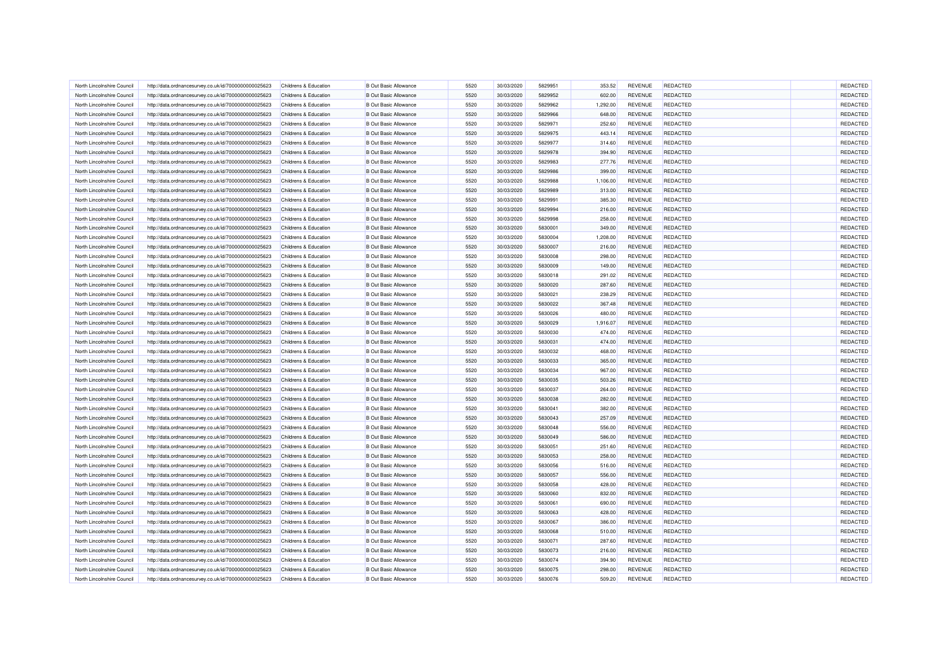| North Lincolnshire Council                               | http://data.ordnancesurvey.co.uk/id/7000000000025623 | Childrens & Education                          | <b>B Out Basic Allowance</b>                                 | 5520 | 30/03/2020               | 5829951 | 353.52           | <b>REVENUE</b>            | <b>REDACTED</b> | REDACTED |
|----------------------------------------------------------|------------------------------------------------------|------------------------------------------------|--------------------------------------------------------------|------|--------------------------|---------|------------------|---------------------------|-----------------|----------|
| North Lincolnshire Council                               | http://data.ordnancesurvey.co.uk/id/7000000000025623 | <b>Childrens &amp; Education</b>               | <b>B Out Basic Allowance</b>                                 | 5520 | 30/03/2020               | 5829952 | 602.00           | <b>REVENUE</b>            | <b>REDACTED</b> | REDACTED |
| North Lincolnshire Council                               | http://data.ordnancesurvey.co.uk/id/7000000000025623 | Childrens & Education                          | <b>B Out Basic Allowance</b>                                 | 5520 | 30/03/2020               | 5829962 | 1,292.00         | REVENUE                   | <b>REDACTED</b> | REDACTED |
| North Lincolnshire Council                               | http://data.ordnancesurvey.co.uk/id/7000000000025623 | <b>Childrens &amp; Education</b>               | <b>B Out Basic Allowance</b>                                 | 5520 | 30/03/2020               | 5829966 | 648.00           | <b>REVENUE</b>            | <b>REDACTED</b> | REDACTED |
| North Lincolnshire Council                               | http://data.ordnancesurvey.co.uk/id/7000000000025623 | Childrens & Education                          | <b>B Out Basic Allowance</b>                                 | 5520 | 30/03/2020               | 5829971 | 252.60           | <b>REVENUE</b>            | <b>REDACTED</b> | REDACTED |
| North Lincolnshire Council                               | http://data.ordnancesurvey.co.uk/id/7000000000025623 | Childrens & Education                          | <b>B Out Basic Allowance</b>                                 | 5520 | 30/03/2020               | 5829975 | 443.14           | REVENUE                   | <b>REDACTED</b> | REDACTED |
| North Lincolnshire Council                               | http://data.ordnancesurvey.co.uk/id/7000000000025623 | Childrens & Education                          | <b>B Out Basic Allowance</b>                                 | 5520 | 30/03/2020               | 5829977 | 314.60           | <b>REVENUE</b>            | <b>REDACTED</b> | REDACTED |
| North Lincolnshire Council                               | http://data.ordnancesurvey.co.uk/id/7000000000025623 | Childrens & Education                          | <b>B Out Basic Allowance</b>                                 | 5520 | 30/03/2020               | 5829978 | 394.90           | REVENUE                   | <b>REDACTED</b> | REDACTED |
| North Lincolnshire Council                               | http://data.ordnancesurvey.co.uk/id/7000000000025623 | Childrens & Education                          | <b>B Out Basic Allowance</b>                                 | 5520 | 30/03/2020               | 5829983 | 277.76           | REVENUE                   | REDACTED        | REDACTED |
| North Lincolnshire Council                               | http://data.ordnancesurvey.co.uk/id/7000000000025623 | Childrens & Education                          | <b>B Out Basic Allowance</b>                                 | 5520 | 30/03/2020               | 5829986 | 399.00           | REVENUE                   | REDACTED        | REDACTED |
| North Lincolnshire Council                               | http://data.ordnancesurvey.co.uk/id/7000000000025623 | Childrens & Education                          | <b>B Out Basic Allowance</b>                                 | 5520 | 30/03/2020               | 5829988 | 1,106.00         | <b>REVENUE</b>            | <b>REDACTED</b> | REDACTED |
| North Lincolnshire Council                               | http://data.ordnancesurvey.co.uk/id/7000000000025623 | Childrens & Education                          | <b>B</b> Out Basic Allowance                                 | 5520 | 30/03/2020               | 5829989 | 313.00           | <b>REVENUE</b>            | <b>REDACTED</b> | REDACTED |
| North Lincolnshire Council                               | http://data.ordnancesurvey.co.uk/id/7000000000025623 | Childrens & Education                          | <b>B Out Basic Allowance</b>                                 | 5520 | 30/03/2020               | 5829991 | 385.30           | <b>REVENUE</b>            | <b>REDACTED</b> | REDACTED |
| North Lincolnshire Council                               | http://data.ordnancesurvey.co.uk/id/7000000000025623 | Childrens & Education                          | <b>B Out Basic Allowance</b>                                 | 5520 | 30/03/2020               | 5829994 | 216.00           | REVENUE                   | <b>REDACTED</b> | REDACTED |
| North Lincolnshire Council                               | http://data.ordnancesurvey.co.uk/id/7000000000025623 | Childrens & Education                          | <b>B Out Basic Allowance</b>                                 | 5520 | 30/03/2020               | 5829998 | 258.00           | REVENUE                   | REDACTED        | REDACTED |
| North Lincolnshire Council                               | http://data.ordnancesurvey.co.uk/id/7000000000025623 | Childrens & Education                          | <b>B Out Basic Allowance</b>                                 | 5520 | 30/03/2020               | 5830001 | 349.00           | REVENUE                   | <b>REDACTED</b> | REDACTED |
| North Lincolnshire Council                               | http://data.ordnancesurvey.co.uk/id/7000000000025623 | Childrens & Education                          | <b>B Out Basic Allowance</b>                                 | 5520 | 30/03/2020               | 5830004 | 1,208.00         | REVENUE                   | <b>REDACTED</b> | REDACTED |
| North Lincolnshire Council                               | http://data.ordnancesurvey.co.uk/id/7000000000025623 | Childrens & Education                          | <b>B Out Basic Allowance</b>                                 | 5520 | 30/03/2020               | 5830007 | 216.00           | REVENUE                   | <b>REDACTED</b> | REDACTED |
| North Lincolnshire Council                               | http://data.ordnancesurvey.co.uk/id/7000000000025623 | Childrens & Education                          | <b>B Out Basic Allowance</b>                                 | 5520 | 30/03/2020               | 5830008 | 298.00           | REVENUE                   | <b>REDACTED</b> | REDACTED |
| North Lincolnshire Council                               | http://data.ordnancesurvey.co.uk/id/7000000000025623 | Childrens & Education                          | <b>B Out Basic Allowance</b>                                 | 5520 | 30/03/2020               | 5830009 | 149.00           | <b>REVENUE</b>            | <b>REDACTED</b> | REDACTED |
| North Lincolnshire Council                               | http://data.ordnancesurvey.co.uk/id/7000000000025623 | Childrens & Education                          | <b>B Out Basic Allowance</b>                                 | 5520 | 30/03/2020               | 5830018 | 291.02           | REVENUE                   | <b>REDACTED</b> | REDACTED |
| North Lincolnshire Council                               | http://data.ordnancesurvey.co.uk/id/7000000000025623 | Childrens & Education                          | <b>B Out Basic Allowance</b>                                 | 5520 | 30/03/2020               | 5830020 | 287.60           | <b>REVENUE</b>            | <b>REDACTED</b> | REDACTED |
| North Lincolnshire Council                               | http://data.ordnancesurvey.co.uk/id/7000000000025623 | Childrens & Education                          | <b>B Out Basic Allowance</b>                                 | 5520 | 30/03/2020               | 5830021 | 238.29           | REVENUE                   | REDACTED        | REDACTED |
|                                                          |                                                      |                                                |                                                              | 5520 |                          | 5830022 |                  |                           | <b>REDACTED</b> | REDACTED |
| North Lincolnshire Council<br>North Lincolnshire Council | http://data.ordnancesurvey.co.uk/id/7000000000025623 | Childrens & Education<br>Childrens & Education | <b>B Out Basic Allowance</b><br><b>B Out Basic Allowance</b> | 5520 | 30/03/2020<br>30/03/2020 | 5830026 | 367.48<br>480.00 | <b>REVENUE</b><br>REVENUE | <b>REDACTED</b> | REDACTED |
|                                                          | http://data.ordnancesurvey.co.uk/id/7000000000025623 |                                                |                                                              |      |                          |         |                  |                           |                 |          |
| North Lincolnshire Council                               | http://data.ordnancesurvey.co.uk/id/7000000000025623 | Childrens & Education                          | <b>B Out Basic Allowance</b>                                 | 5520 | 30/03/2020               | 5830029 | 1,916.07         | <b>REVENUE</b>            | <b>REDACTED</b> | REDACTED |
| North Lincolnshire Council                               | http://data.ordnancesurvey.co.uk/id/7000000000025623 | Childrens & Education                          | <b>B Out Basic Allowance</b>                                 | 5520 | 30/03/2020               | 5830030 | 474.00           | REVENUE                   | <b>REDACTED</b> | REDACTED |
| North Lincolnshire Council                               | http://data.ordnancesurvey.co.uk/id/7000000000025623 | Childrens & Education                          | <b>B Out Basic Allowance</b>                                 | 5520 | 30/03/2020               | 5830031 | 474.00           | <b>REVENUE</b>            | <b>REDACTED</b> | REDACTED |
| North Lincolnshire Council                               | http://data.ordnancesurvey.co.uk/id/7000000000025623 | Childrens & Education                          | <b>B Out Basic Allowance</b>                                 | 5520 | 30/03/2020               | 5830032 | 468.00           | REVENUE                   | <b>REDACTED</b> | REDACTED |
| North Lincolnshire Council                               | http://data.ordnancesurvey.co.uk/id/7000000000025623 | Childrens & Education                          | <b>B Out Basic Allowance</b>                                 | 5520 | 30/03/2020               | 5830033 | 365.00           | REVENUE                   | REDACTED        | REDACTED |
| North Lincolnshire Council                               | http://data.ordnancesurvey.co.uk/id/7000000000025623 | Childrens & Education                          | <b>B Out Basic Allowance</b>                                 | 5520 | 30/03/2020               | 5830034 | 967.00           | REVENUE                   | REDACTED        | REDACTED |
| North Lincolnshire Council                               | http://data.ordnancesurvey.co.uk/id/7000000000025623 | Childrens & Education                          | <b>B Out Basic Allowance</b>                                 | 5520 | 30/03/2020               | 5830035 | 503.26           | <b>REVENUE</b>            | <b>REDACTED</b> | REDACTED |
| North Lincolnshire Council                               | http://data.ordnancesurvey.co.uk/id/7000000000025623 | Childrens & Education                          | <b>B Out Basic Allowance</b>                                 | 5520 | 30/03/2020               | 5830037 | 264.00           | <b>REVENUE</b>            | <b>REDACTED</b> | REDACTED |
| North Lincolnshire Council                               | http://data.ordnancesurvey.co.uk/id/7000000000025623 | Childrens & Education                          | <b>B Out Basic Allowance</b>                                 | 5520 | 30/03/2020               | 5830038 | 282.00           | REVENUE                   | <b>REDACTED</b> | REDACTED |
| North Lincolnshire Council                               | http://data.ordnancesurvey.co.uk/id/7000000000025623 | Childrens & Education                          | <b>B Out Basic Allowance</b>                                 | 5520 | 30/03/2020               | 5830041 | 382.00           | REVENUE                   | <b>REDACTED</b> | REDACTED |
| North Lincolnshire Council                               | http://data.ordnancesurvey.co.uk/id/7000000000025623 | Childrens & Education                          | <b>B Out Basic Allowance</b>                                 | 5520 | 30/03/2020               | 5830043 | 257.09           | <b>REVENUE</b>            | <b>REDACTED</b> | REDACTED |
| North Lincolnshire Council                               | http://data.ordnancesurvey.co.uk/id/7000000000025623 | Childrens & Education                          | <b>B Out Basic Allowance</b>                                 | 5520 | 30/03/2020               | 5830048 | 556.00           | <b>REVENUE</b>            | <b>REDACTED</b> | REDACTED |
| North Lincolnshire Council                               | http://data.ordnancesurvey.co.uk/id/7000000000025623 | Childrens & Education                          | <b>B Out Basic Allowance</b>                                 | 5520 | 30/03/2020               | 5830049 | 586.00           | REVENUE                   | <b>REDACTED</b> | REDACTED |
| North Lincolnshire Council                               | http://data.ordnancesurvey.co.uk/id/7000000000025623 | Childrens & Education                          | <b>B Out Basic Allowance</b>                                 | 5520 | 30/03/2020               | 5830051 | 251.60           | <b>REVENUE</b>            | <b>REDACTED</b> | REDACTED |
| North Lincolnshire Council                               | http://data.ordnancesurvey.co.uk/id/7000000000025623 | Childrens & Education                          | <b>B Out Basic Allowance</b>                                 | 5520 | 30/03/2020               | 5830053 | 258.00           | REVENUE                   | <b>REDACTED</b> | REDACTED |
| North Lincolnshire Council                               | http://data.ordnancesurvey.co.uk/id/7000000000025623 | Childrens & Education                          | <b>B Out Basic Allowance</b>                                 | 5520 | 30/03/2020               | 5830056 | 516.00           | REVENUE                   | REDACTED        | REDACTED |
| North Lincolnshire Council                               | http://data.ordnancesurvey.co.uk/id/7000000000025623 | Childrens & Education                          | <b>B Out Basic Allowance</b>                                 | 5520 | 30/03/2020               | 5830057 | 556.00           | REVENUE                   | <b>REDACTED</b> | REDACTED |
| North Lincolnshire Council                               | http://data.ordnancesurvey.co.uk/id/7000000000025623 | Childrens & Education                          | <b>B Out Basic Allowance</b>                                 | 5520 | 30/03/2020               | 5830058 | 428.00           | <b>REVENUE</b>            | <b>REDACTED</b> | REDACTED |
| North Lincolnshire Council                               | http://data.ordnancesurvey.co.uk/id/7000000000025623 | Childrens & Education                          | <b>B Out Basic Allowance</b>                                 | 5520 | 30/03/2020               | 5830060 | 832.00           | <b>REVENUE</b>            | <b>REDACTED</b> | REDACTED |
| North Lincolnshire Council                               | http://data.ordnancesurvey.co.uk/id/7000000000025623 | Childrens & Education                          | <b>B Out Basic Allowance</b>                                 | 5520 | 30/03/2020               | 5830061 | 690.00           | REVENUE                   | <b>REDACTED</b> | REDACTED |
| North Lincolnshire Council                               | http://data.ordnancesurvey.co.uk/id/7000000000025623 | Childrens & Education                          | <b>B Out Basic Allowance</b>                                 | 5520 | 30/03/2020               | 5830063 | 428.00           | REVENUE                   | <b>REDACTED</b> | REDACTED |
| North Lincolnshire Council                               | http://data.ordnancesurvey.co.uk/id/7000000000025623 | Childrens & Education                          | <b>B Out Basic Allowance</b>                                 | 5520 | 30/03/2020               | 5830067 | 386.00           | <b>REVENUE</b>            | <b>REDACTED</b> | REDACTED |
| North Lincolnshire Council                               | http://data.ordnancesurvey.co.uk/id/7000000000025623 | Childrens & Education                          | <b>B Out Basic Allowance</b>                                 | 5520 | 30/03/2020               | 5830068 | 510.00           | REVENUE                   | REDACTED        | REDACTED |
| North Lincolnshire Council                               | http://data.ordnancesurvey.co.uk/id/7000000000025623 | Childrens & Education                          | <b>B Out Basic Allowance</b>                                 | 5520 | 30/03/2020               | 5830071 | 287.60           | REVENUE                   | <b>REDACTED</b> | REDACTED |
| North Lincolnshire Council                               | http://data.ordnancesurvey.co.uk/id/7000000000025623 | Childrens & Education                          | <b>B Out Basic Allowance</b>                                 | 5520 | 30/03/2020               | 5830073 | 216.00           | REVENUE                   | <b>REDACTED</b> | REDACTED |
| North Lincolnshire Council                               | http://data.ordnancesurvey.co.uk/id/7000000000025623 | Childrens & Education                          | <b>B Out Basic Allowance</b>                                 | 5520 | 30/03/2020               | 5830074 | 394.90           | REVENUE                   | REDACTED        | REDACTED |
| North Lincolnshire Council                               | http://data.ordnancesurvey.co.uk/id/7000000000025623 | Childrens & Education                          | <b>B Out Basic Allowance</b>                                 | 5520 | 30/03/2020               | 5830075 | 298.00           | <b>REVENUE</b>            | <b>REDACTED</b> | REDACTED |
| North Lincolnshire Council                               | http://data.ordnancesurvey.co.uk/id/7000000000025623 | Childrens & Education                          | <b>B Out Basic Allowance</b>                                 | 5520 | 30/03/2020               | 5830076 | 509.20           | REVENUE                   | <b>REDACTED</b> | REDACTED |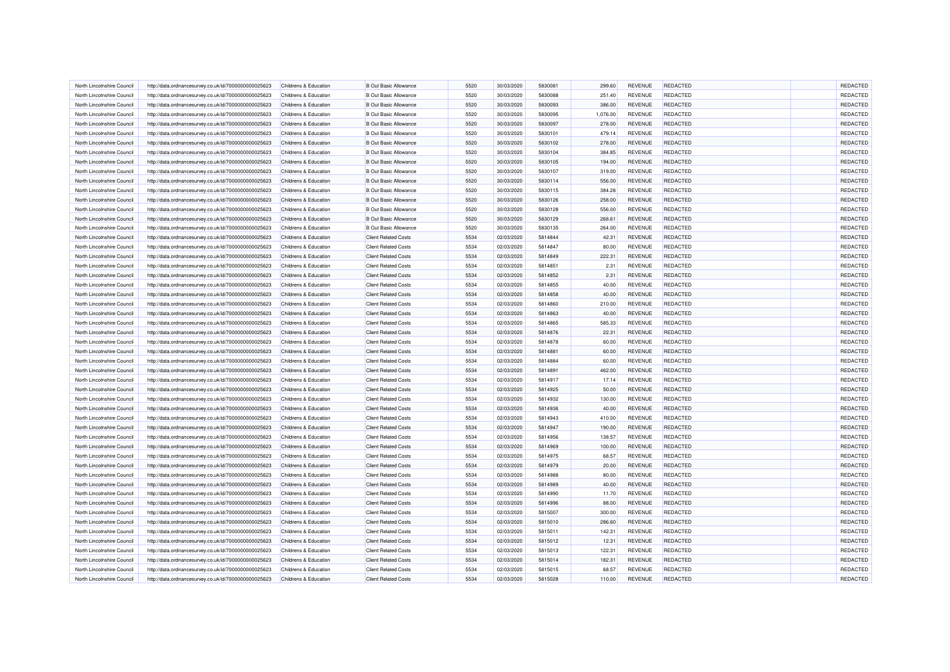| North Lincolnshire Council | http://data.ordnancesurvey.co.uk/id/7000000000025623 | Childrens & Education            | <b>B</b> Out Basic Allowance | 5520 | 30/03/2020 | 5830081 | 299.60   | <b>REVENUE</b> | <b>REDACTED</b> | <b>REDACTED</b> |
|----------------------------|------------------------------------------------------|----------------------------------|------------------------------|------|------------|---------|----------|----------------|-----------------|-----------------|
| North Lincolnshire Council | http://data.ordnancesurvey.co.uk/id/7000000000025623 | Childrens & Education            | <b>B Out Basic Allowance</b> | 5520 | 30/03/2020 | 5830088 | 251.40   | REVENUE        | <b>REDACTED</b> | REDACTED        |
| North Lincolnshire Council | http://data.ordnancesurvey.co.uk/id/7000000000025623 | Childrens & Education            | <b>B Out Basic Allowance</b> | 5520 | 30/03/2020 | 5830093 | 386.00   | <b>REVENUE</b> | <b>REDACTED</b> | REDACTED        |
| North Lincolnshire Council | http://data.ordnancesurvey.co.uk/id/7000000000025623 | Childrens & Education            | <b>B Out Basic Allowance</b> | 5520 | 30/03/2020 | 5830095 | 1,076.00 | REVENUE        | REDACTED        | REDACTED        |
| North Lincolnshire Council | http://data.ordnancesurvey.co.uk/id/7000000000025623 | Childrens & Education            | <b>B Out Basic Allowance</b> | 5520 | 30/03/2020 | 5830097 | 278.00   | <b>REVENUE</b> | <b>REDACTED</b> | REDACTED        |
| North Lincolnshire Council | http://data.ordnancesurvey.co.uk/id/7000000000025623 | Childrens & Education            | <b>B Out Basic Allowance</b> | 5520 | 30/03/2020 | 5830101 | 479.14   | REVENUE        | <b>REDACTED</b> | REDACTED        |
| North Lincolnshire Council | http://data.ordnancesurvey.co.uk/id/7000000000025623 | Childrens & Education            | <b>B Out Basic Allowance</b> | 5520 | 30/03/2020 | 5830102 | 278.00   | <b>REVENUE</b> | <b>REDACTED</b> | REDACTED        |
| North Lincolnshire Council | http://data.ordnancesurvey.co.uk/id/7000000000025623 | Childrens & Education            | <b>B Out Basic Allowance</b> | 5520 | 30/03/2020 | 5830104 | 384.85   | REVENUE        | <b>REDACTED</b> | REDACTED        |
| North Lincolnshire Council | http://data.ordnancesurvey.co.uk/id/7000000000025623 | Childrens & Education            | <b>B Out Basic Allowance</b> | 5520 | 30/03/2020 | 5830105 | 194.00   | REVENUE        | REDACTED        | REDACTED        |
| North Lincolnshire Council | http://data.ordnancesurvey.co.uk/id/7000000000025623 | Childrens & Education            | <b>B Out Basic Allowance</b> | 5520 | 30/03/2020 | 5830107 | 319.00   | REVENUE        | <b>REDACTED</b> | REDACTED        |
| North Lincolnshire Council | http://data.ordnancesurvey.co.uk/id/7000000000025623 | Childrens & Education            | <b>B Out Basic Allowance</b> | 5520 | 30/03/2020 | 5830114 | 556.00   | <b>REVENUE</b> | <b>REDACTED</b> | REDACTED        |
| North Lincolnshire Council | http://data.ordnancesurvey.co.uk/id/7000000000025623 | Childrens & Education            | <b>B</b> Out Basic Allowance | 5520 | 30/03/2020 | 5830115 | 384.28   | <b>REVENUE</b> | <b>REDACTED</b> | REDACTED        |
| North Lincolnshire Council | http://data.ordnancesurvey.co.uk/id/7000000000025623 | Childrens & Education            | <b>B Out Basic Allowance</b> | 5520 | 30/03/2020 | 5830126 | 258.00   | <b>REVENUE</b> | <b>REDACTED</b> | REDACTED        |
| North Lincolnshire Council | http://data.ordnancesurvey.co.uk/id/7000000000025623 | Childrens & Education            | <b>B Out Basic Allowance</b> | 5520 | 30/03/2020 | 5830128 | 556.00   | REVENUE        | <b>REDACTED</b> | REDACTED        |
| North Lincolnshire Council | http://data.ordnancesurvey.co.uk/id/7000000000025623 | Childrens & Education            | <b>B Out Basic Allowance</b> | 5520 | 30/03/2020 | 5830129 | 268.61   | <b>REVENUE</b> | REDACTED        | REDACTED        |
| North Lincolnshire Council | http://data.ordnancesurvey.co.uk/id/7000000000025623 | Childrens & Education            | <b>B Out Basic Allowance</b> | 5520 | 30/03/2020 | 5830135 | 264.00   | REVENUE        | <b>REDACTED</b> | REDACTED        |
| North Lincolnshire Council | http://data.ordnancesurvey.co.uk/id/7000000000025623 | Childrens & Education            | <b>Client Related Costs</b>  | 5534 | 02/03/2020 | 5814844 | 42.31    | <b>REVENUE</b> | <b>REDACTED</b> | REDACTED        |
| North Lincolnshire Council | http://data.ordnancesurvey.co.uk/id/7000000000025623 | Childrens & Education            | <b>Client Related Costs</b>  | 5534 | 02/03/2020 | 5814847 | 80.00    | REVENUE        | <b>REDACTED</b> | REDACTED        |
| North Lincolnshire Council | http://data.ordnancesurvey.co.uk/id/7000000000025623 | Childrens & Education            | <b>Client Related Costs</b>  | 5534 | 02/03/2020 | 5814849 | 222.31   | REVENUE        | REDACTED        | REDACTED        |
| North Lincolnshire Council | http://data.ordnancesurvey.co.uk/id/7000000000025623 | Childrens & Education            | <b>Client Related Costs</b>  | 5534 | 02/03/2020 | 5814851 | 2.31     | <b>REVENUE</b> | <b>REDACTED</b> | REDACTED        |
| North Lincolnshire Council | http://data.ordnancesurvey.co.uk/id/7000000000025623 | Childrens & Education            | <b>Client Related Costs</b>  | 5534 | 02/03/2020 | 5814852 | 2.31     | REVENUE        | <b>REDACTED</b> | REDACTED        |
| North Lincolnshire Council | http://data.ordnancesurvey.co.uk/id/7000000000025623 | Childrens & Education            | <b>Client Related Costs</b>  | 5534 | 02/03/2020 | 5814855 | 40.00    | REVENUE        | <b>REDACTED</b> | REDACTED        |
| North Lincolnshire Council | http://data.ordnancesurvey.co.uk/id/7000000000025623 | <b>Childrens &amp; Education</b> | <b>Client Related Costs</b>  | 5534 | 02/03/2020 | 5814858 | 40.00    | REVENUE        | <b>REDACTED</b> | REDACTED        |
| North Lincolnshire Council | http://data.ordnancesurvey.co.uk/id/7000000000025623 | Childrens & Education            | <b>Client Related Costs</b>  | 5534 | 02/03/2020 | 5814860 | 210.00   | <b>REVENUE</b> | <b>REDACTED</b> | REDACTED        |
| North Lincolnshire Council | http://data.ordnancesurvey.co.uk/id/7000000000025623 | <b>Childrens &amp; Education</b> | <b>Client Related Costs</b>  | 5534 | 02/03/2020 | 5814863 | 40.00    | <b>REVENUE</b> | <b>REDACTED</b> | REDACTED        |
| North Lincolnshire Council | http://data.ordnancesurvey.co.uk/id/7000000000025623 | Childrens & Education            | <b>Client Related Costs</b>  | 5534 | 02/03/2020 | 5814865 | 585.33   | <b>REVENUE</b> | REDACTED        | REDACTED        |
| North Lincolnshire Council | http://data.ordnancesurvey.co.uk/id/7000000000025623 | Childrens & Education            | <b>Client Related Costs</b>  | 5534 | 02/03/2020 | 5814876 | 22.31    | REVENUE        | <b>REDACTED</b> | REDACTED        |
| North Lincolnshire Council | http://data.ordnancesurvey.co.uk/id/7000000000025623 | Childrens & Education            | <b>Client Related Costs</b>  | 5534 | 02/03/2020 | 5814878 | 60.00    | <b>REVENUE</b> | <b>REDACTED</b> | REDACTED        |
| North Lincolnshire Council | http://data.ordnancesurvey.co.uk/id/7000000000025623 | Childrens & Education            | <b>Client Related Costs</b>  | 5534 | 02/03/2020 | 5814881 | 60.00    | <b>REVENUE</b> | <b>REDACTED</b> | REDACTED        |
| North Lincolnshire Council | http://data.ordnancesurvey.co.uk/id/7000000000025623 | Childrens & Education            | <b>Client Related Costs</b>  | 5534 | 02/03/2020 | 5814884 | 60.00    | REVENUE        | <b>REDACTED</b> | REDACTED        |
| North Lincolnshire Council | http://data.ordnancesurvey.co.uk/id/7000000000025623 | Childrens & Education            | <b>Client Related Costs</b>  | 5534 | 02/03/2020 | 5814891 | 462.00   | <b>REVENUE</b> | <b>REDACTED</b> | REDACTED        |
| North Lincolnshire Council | http://data.ordnancesurvey.co.uk/id/7000000000025623 | Childrens & Education            | <b>Client Related Costs</b>  | 5534 | 02/03/2020 | 5814917 | 17.14    | <b>REVENUE</b> | <b>REDACTED</b> | REDACTED        |
| North Lincolnshire Council | http://data.ordnancesurvey.co.uk/id/7000000000025623 | Childrens & Education            | <b>Client Related Costs</b>  | 5534 | 02/03/2020 | 5814925 | 50.00    | <b>REVENUE</b> | <b>REDACTED</b> | REDACTED        |
| North Lincolnshire Council | http://data.ordnancesurvey.co.uk/id/7000000000025623 | Childrens & Education            | <b>Client Related Costs</b>  | 5534 | 02/03/2020 | 5814932 | 130.00   | REVENUE        | REDACTED        | REDACTED        |
| North Lincolnshire Council | http://data.ordnancesurvey.co.uk/id/7000000000025623 | Childrens & Education            | <b>Client Related Costs</b>  | 5534 | 02/03/2020 | 5814936 | 40.00    | <b>REVENUE</b> | <b>REDACTED</b> | REDACTED        |
| North Lincolnshire Council | http://data.ordnancesurvey.co.uk/id/7000000000025623 | Childrens & Education            | <b>Client Related Costs</b>  | 5534 | 02/03/2020 | 5814943 | 410.00   | REVENUE        | <b>REDACTED</b> | REDACTED        |
| North Lincolnshire Council | http://data.ordnancesurvey.co.uk/id/7000000000025623 | Childrens & Education            | <b>Client Related Costs</b>  | 5534 | 02/03/2020 | 5814947 | 190.00   | <b>REVENUE</b> | <b>REDACTED</b> | REDACTED        |
| North Lincolnshire Council | http://data.ordnancesurvey.co.uk/id/7000000000025623 | Childrens & Education            | <b>Client Related Costs</b>  | 5534 | 02/03/2020 | 5814956 | 138.57   | REVENUE        | <b>REDACTED</b> | REDACTED        |
| North Lincolnshire Council | http://data.ordnancesurvey.co.uk/id/7000000000025623 | Childrens & Education            | <b>Client Related Costs</b>  | 5534 | 02/03/2020 | 5814969 | 100.00   | <b>REVENUE</b> | <b>REDACTED</b> | REDACTED        |
| North Lincolnshire Council | http://data.ordnancesurvey.co.uk/id/7000000000025623 | Childrens & Education            | <b>Client Related Costs</b>  | 5534 | 02/03/2020 | 5814975 | 68.57    | REVENUE        | <b>REDACTED</b> | REDACTED        |
| North Lincolnshire Council | http://data.ordnancesurvey.co.uk/id/7000000000025623 | Childrens & Education            | <b>Client Related Costs</b>  | 5534 | 02/03/2020 | 5814979 | 20.00    | REVENUE        | <b>REDACTED</b> | REDACTED        |
| North Lincolnshire Council | http://data.ordnancesurvey.co.uk/id/7000000000025623 | Childrens & Education            | <b>Client Related Costs</b>  | 5534 | 02/03/2020 | 5814988 | 80.00    | REVENUE        | <b>REDACTED</b> | REDACTED        |
| North Lincolnshire Council | http://data.ordnancesurvey.co.uk/id/7000000000025623 | Childrens & Education            | <b>Client Related Costs</b>  | 5534 | 02/03/2020 | 5814989 | 40.00    | <b>REVENUE</b> | <b>REDACTED</b> | REDACTED        |
| North Lincolnshire Council | http://data.ordnancesurvey.co.uk/id/7000000000025623 | Childrens & Education            | <b>Client Related Costs</b>  | 5534 | 02/03/2020 | 5814990 | 11.70    | <b>REVENUE</b> | <b>REDACTED</b> | REDACTED        |
| North Lincolnshire Council | http://data.ordnancesurvey.co.uk/id/7000000000025623 | Childrens & Education            | <b>Client Related Costs</b>  | 5534 | 02/03/2020 | 5814996 | 88.00    | <b>REVENUE</b> | <b>REDACTED</b> | REDACTED        |
| North Lincolnshire Council | http://data.ordnancesurvey.co.uk/id/7000000000025623 | Childrens & Education            | <b>Client Related Costs</b>  | 5534 | 02/03/2020 | 5815007 | 300.00   | REVENUE        | <b>REDACTED</b> | REDACTED        |
| North Lincolnshire Council | http://data.ordnancesurvey.co.uk/id/7000000000025623 | Childrens & Education            | <b>Client Related Costs</b>  | 5534 | 02/03/2020 | 5815010 | 286.60   | <b>REVENUE</b> | <b>REDACTED</b> | REDACTED        |
| North Lincolnshire Council | http://data.ordnancesurvey.co.uk/id/7000000000025623 | Childrens & Education            | <b>Client Related Costs</b>  | 5534 | 02/03/2020 | 5815011 | 142.31   | REVENUE        | <b>REDACTED</b> | REDACTED        |
| North Lincolnshire Council | http://data.ordnancesurvey.co.uk/id/7000000000025623 | Childrens & Education            | <b>Client Related Costs</b>  | 5534 | 02/03/2020 | 5815012 | 12.31    | REVENUE        | <b>REDACTED</b> | REDACTED        |
| North Lincolnshire Council | http://data.ordnancesurvey.co.uk/id/7000000000025623 | Childrens & Education            | <b>Client Related Costs</b>  | 5534 | 02/03/2020 | 5815013 | 122.31   | <b>REVENUE</b> | <b>REDACTED</b> | REDACTED        |
| North Lincolnshire Council | http://data.ordnancesurvey.co.uk/id/7000000000025623 | <b>Childrens &amp; Education</b> | <b>Client Related Costs</b>  | 5534 | 02/03/2020 | 5815014 | 182.31   | REVENUE        | <b>REDACTED</b> | REDACTED        |
| North Lincolnshire Council | http://data.ordnancesurvey.co.uk/id/7000000000025623 | Childrens & Education            | <b>Client Related Costs</b>  | 5534 | 02/03/2020 | 5815015 | 68.57    | <b>REVENUE</b> | <b>REDACTED</b> | REDACTED        |
| North Lincolnshire Council | http://data.ordnancesurvey.co.uk/id/7000000000025623 | Childrens & Education            | <b>Client Related Costs</b>  | 5534 | 02/03/2020 | 5815028 | 110.00   | REVENUE        | <b>REDACTED</b> | REDACTED        |
|                            |                                                      |                                  |                              |      |            |         |          |                |                 |                 |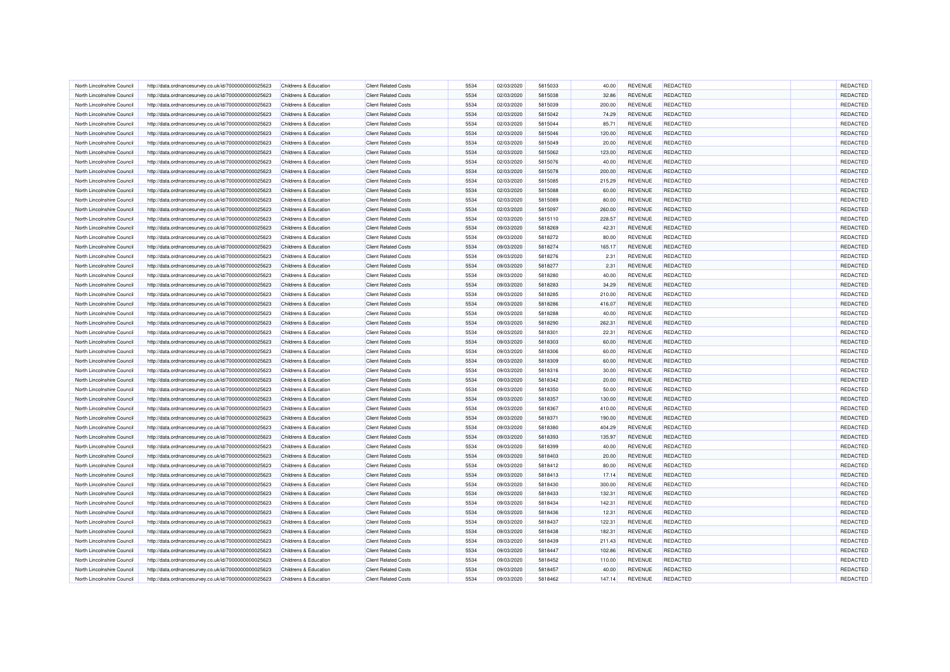| North Lincolnshire Council | http://data.ordnancesurvey.co.uk/id/7000000000025623 | Childrens & Education            | <b>Client Related Costs</b> | 5534 | 02/03/2020 | 5815033 | 40.00  | REVENUE        | <b>REDACTED</b> | REDACTED |
|----------------------------|------------------------------------------------------|----------------------------------|-----------------------------|------|------------|---------|--------|----------------|-----------------|----------|
| North Lincolnshire Council | http://data.ordnancesurvey.co.uk/id/7000000000025623 | Childrens & Education            | <b>Client Related Costs</b> | 5534 | 02/03/2020 | 5815038 | 32.86  | REVENUE        | <b>REDACTED</b> | REDACTED |
| North Lincolnshire Council | http://data.ordnancesurvey.co.uk/id/7000000000025623 | Childrens & Education            | <b>Client Related Costs</b> | 5534 | 02/03/2020 | 5815039 | 200.00 | <b>REVENUE</b> | <b>REDACTED</b> | REDACTED |
| North Lincolnshire Council | http://data.ordnancesurvey.co.uk/id/7000000000025623 | <b>Childrens &amp; Education</b> | <b>Client Related Costs</b> | 5534 | 02/03/2020 | 5815042 | 74.29  | REVENUE        | REDACTED        | REDACTED |
| North Lincolnshire Council | http://data.ordnancesurvey.co.uk/id/7000000000025623 | Childrens & Education            | <b>Client Related Costs</b> | 5534 | 02/03/2020 | 5815044 | 85.71  | REVENUE        | <b>REDACTED</b> | REDACTED |
| North Lincolnshire Council | http://data.ordnancesurvey.co.uk/id/7000000000025623 | Childrens & Education            | <b>Client Related Costs</b> | 5534 | 02/03/2020 | 5815046 | 120.00 | <b>REVENUE</b> | <b>REDACTED</b> | REDACTED |
| North Lincolnshire Council | http://data.ordnancesurvey.co.uk/id/7000000000025623 | Childrens & Education            | <b>Client Related Costs</b> | 5534 | 02/03/2020 | 5815049 | 20.00  | <b>REVENUE</b> | REDACTED        | REDACTED |
| North Lincolnshire Council | http://data.ordnancesurvey.co.uk/id/7000000000025623 | Childrens & Education            | <b>Client Related Costs</b> | 5534 | 02/03/2020 | 5815062 | 123.00 | REVENUE        | REDACTED        | REDACTED |
| North Lincolnshire Council | http://data.ordnancesurvey.co.uk/id/7000000000025623 | <b>Childrens &amp; Education</b> | <b>Client Related Costs</b> | 5534 | 02/03/2020 | 5815076 | 40.00  | <b>REVENUE</b> | REDACTED        | REDACTED |
| North Lincolnshire Council | http://data.ordnancesurvey.co.uk/id/7000000000025623 | Childrens & Education            | <b>Client Related Costs</b> | 5534 | 02/03/2020 | 5815078 | 200.00 | <b>REVENUE</b> | <b>REDACTED</b> | REDACTED |
| North Lincolnshire Council | http://data.ordnancesurvey.co.uk/id/7000000000025623 | Childrens & Education            | <b>Client Related Costs</b> | 5534 | 02/03/2020 | 5815085 | 215.29 | REVENUE        | <b>REDACTED</b> | REDACTED |
| North Lincolnshire Council | http://data.ordnancesurvey.co.uk/id/7000000000025623 | Childrens & Education            | <b>Client Related Costs</b> | 5534 | 02/03/2020 | 5815088 | 60.00  | REVENUE        | REDACTED        | REDACTED |
| North Lincolnshire Council | http://data.ordnancesurvey.co.uk/id/7000000000025623 | Childrens & Education            | <b>Client Related Costs</b> | 5534 | 02/03/2020 | 5815089 | 80.00  | <b>REVENUE</b> | <b>REDACTED</b> | REDACTED |
| North Lincolnshire Council | http://data.ordnancesurvey.co.uk/id/7000000000025623 | Childrens & Education            | <b>Client Related Costs</b> | 5534 | 02/03/2020 | 5815097 | 260.00 | REVENUE        | REDACTED        | REDACTED |
| North Lincolnshire Council | http://data.ordnancesurvey.co.uk/id/7000000000025623 | Childrens & Education            | <b>Client Related Costs</b> | 5534 | 02/03/2020 | 5815110 | 228.57 | <b>REVENUE</b> | <b>REDACTED</b> | REDACTED |
| North Lincolnshire Council | http://data.ordnancesurvey.co.uk/id/7000000000025623 | Childrens & Education            | <b>Client Related Costs</b> | 5534 | 09/03/2020 | 5818269 | 42.31  | <b>REVENUE</b> | <b>REDACTED</b> | REDACTED |
| North Lincolnshire Council | http://data.ordnancesurvey.co.uk/id/7000000000025623 | Childrens & Education            | <b>Client Related Costs</b> | 5534 | 09/03/2020 | 5818272 | 80.00  | <b>REVENUE</b> | REDACTED        | REDACTED |
| North Lincolnshire Council | http://data.ordnancesurvey.co.uk/id/7000000000025623 | <b>Childrens &amp; Education</b> | <b>Client Related Costs</b> | 5534 | 09/03/2020 | 5818274 | 165.17 | <b>REVENUE</b> | <b>REDACTED</b> | REDACTED |
| North Lincolnshire Council | http://data.ordnancesurvey.co.uk/id/7000000000025623 | Childrens & Education            | <b>Client Related Costs</b> | 5534 | 09/03/2020 | 5818276 | 2.31   | REVENUE        | REDACTED        | REDACTED |
| North Lincolnshire Council | http://data.ordnancesurvey.co.uk/id/7000000000025623 | <b>Childrens &amp; Education</b> | <b>Client Related Costs</b> | 5534 | 09/03/2020 | 5818277 | 2.31   | REVENUE        | REDACTED        | REDACTED |
| North Lincolnshire Council | http://data.ordnancesurvey.co.uk/id/7000000000025623 | Childrens & Education            | <b>Client Related Costs</b> | 5534 | 09/03/2020 | 5818280 | 40.00  | REVENUE        | <b>REDACTED</b> | REDACTED |
| North Lincolnshire Council |                                                      | Childrens & Education            | <b>Client Related Costs</b> | 5534 | 09/03/2020 | 5818283 | 34.29  | REVENUE        | <b>REDACTED</b> | REDACTED |
|                            | http://data.ordnancesurvey.co.uk/id/7000000000025623 |                                  |                             |      |            |         |        |                |                 | REDACTED |
| North Lincolnshire Council | http://data.ordnancesurvey.co.uk/id/7000000000025623 | Childrens & Education            | <b>Client Related Costs</b> | 5534 | 09/03/2020 | 5818285 | 210.00 | <b>REVENUE</b> | <b>REDACTED</b> |          |
| North Lincolnshire Council | http://data.ordnancesurvey.co.uk/id/7000000000025623 | <b>Childrens &amp; Education</b> | <b>Client Related Costs</b> | 5534 | 09/03/2020 | 5818286 | 416.07 | REVENUE        | REDACTED        | REDACTED |
| North Lincolnshire Council | http://data.ordnancesurvey.co.uk/id/7000000000025623 | Childrens & Education            | <b>Client Related Costs</b> | 5534 | 09/03/2020 | 5818288 | 40.00  | REVENUE        | <b>REDACTED</b> | REDACTED |
| North Lincolnshire Council | http://data.ordnancesurvey.co.uk/id/7000000000025623 | Childrens & Education            | <b>Client Related Costs</b> | 5534 | 09/03/2020 | 5818290 | 262.31 | REVENUE        | <b>REDACTED</b> | REDACTED |
| North Lincolnshire Council | http://data.ordnancesurvey.co.uk/id/7000000000025623 | <b>Childrens &amp; Education</b> | <b>Client Related Costs</b> | 5534 | 09/03/2020 | 5818301 | 22.31  | <b>REVENUE</b> | <b>REDACTED</b> | REDACTED |
| North Lincolnshire Council | http://data.ordnancesurvey.co.uk/id/7000000000025623 | <b>Childrens &amp; Education</b> | <b>Client Related Costs</b> | 5534 | 09/03/2020 | 5818303 | 60.00  | REVENUE        | <b>REDACTED</b> | REDACTED |
| North Lincolnshire Council | http://data.ordnancesurvey.co.uk/id/7000000000025623 | Childrens & Education            | <b>Client Related Costs</b> | 5534 | 09/03/2020 | 5818306 | 60.00  | <b>REVENUE</b> | <b>REDACTED</b> | REDACTED |
| North Lincolnshire Council | http://data.ordnancesurvey.co.uk/id/7000000000025623 | Childrens & Education            | <b>Client Related Costs</b> | 5534 | 09/03/2020 | 5818309 | 60.00  | REVENUE        | <b>REDACTED</b> | REDACTED |
| North Lincolnshire Council | http://data.ordnancesurvey.co.uk/id/7000000000025623 | Childrens & Education            | <b>Client Related Costs</b> | 5534 | 09/03/2020 | 5818316 | 30.00  | <b>REVENUE</b> | REDACTED        | REDACTED |
| North Lincolnshire Council | http://data.ordnancesurvey.co.uk/id/7000000000025623 | Childrens & Education            | <b>Client Related Costs</b> | 5534 | 09/03/2020 | 5818342 | 20.00  | REVENUE        | <b>REDACTED</b> | REDACTED |
| North Lincolnshire Council | http://data.ordnancesurvey.co.uk/id/7000000000025623 | Childrens & Education            | <b>Client Related Costs</b> | 5534 | 09/03/2020 | 5818350 | 50.00  | <b>REVENUE</b> | <b>REDACTED</b> | REDACTED |
| North Lincolnshire Council | http://data.ordnancesurvey.co.uk/id/7000000000025623 | Childrens & Education            | <b>Client Related Costs</b> | 5534 | 09/03/2020 | 5818357 | 130.00 | REVENUE        | <b>REDACTED</b> | REDACTED |
| North Lincolnshire Council | http://data.ordnancesurvey.co.uk/id/7000000000025623 | Childrens & Education            | <b>Client Related Costs</b> | 5534 | 09/03/2020 | 5818367 | 410.00 | REVENUE        | <b>REDACTED</b> | REDACTED |
| North Lincolnshire Council | http://data.ordnancesurvey.co.uk/id/7000000000025623 | <b>Childrens &amp; Education</b> | <b>Client Related Costs</b> | 5534 | 09/03/2020 | 5818371 | 190.00 | <b>REVENUE</b> | <b>REDACTED</b> | REDACTED |
| North Lincolnshire Council | http://data.ordnancesurvey.co.uk/id/7000000000025623 | Childrens & Education            | <b>Client Related Costs</b> | 5534 | 09/03/2020 | 5818380 | 404.29 | <b>REVENUE</b> | <b>REDACTED</b> | REDACTED |
| North Lincolnshire Council | http://data.ordnancesurvey.co.uk/id/7000000000025623 | Childrens & Education            | <b>Client Related Costs</b> | 5534 | 09/03/2020 | 5818393 | 135.97 | REVENUE        | <b>REDACTED</b> | REDACTED |
| North Lincolnshire Council | http://data.ordnancesurvey.co.uk/id/7000000000025623 | Childrens & Education            | <b>Client Related Costs</b> | 5534 | 09/03/2020 | 5818399 | 40.00  | REVENUE        | REDACTED        | REDACTED |
| North Lincolnshire Council | http://data.ordnancesurvey.co.uk/id/7000000000025623 | Childrens & Education            | <b>Client Related Costs</b> | 5534 | 09/03/2020 | 5818403 | 20.00  | REVENUE        | <b>REDACTED</b> | REDACTED |
| North Lincolnshire Council | http://data.ordnancesurvey.co.uk/id/7000000000025623 | Childrens & Education            | <b>Client Related Costs</b> | 5534 | 09/03/2020 | 5818412 | 80.00  | REVENUE        | REDACTED        | REDACTED |
| North Lincolnshire Council | http://data.ordnancesurvey.co.uk/id/7000000000025623 | Childrens & Education            | <b>Client Related Costs</b> | 5534 | 09/03/2020 | 5818413 | 17.14  | REVENUE        | <b>REDACTED</b> | REDACTED |
| North Lincolnshire Council | http://data.ordnancesurvey.co.uk/id/7000000000025623 | Childrens & Education            | <b>Client Related Costs</b> | 5534 | 09/03/2020 | 5818430 | 300.00 | REVENUE        | <b>REDACTED</b> | REDACTED |
| North Lincolnshire Council | http://data.ordnancesurvey.co.uk/id/7000000000025623 | Childrens & Education            | <b>Client Related Costs</b> | 5534 | 09/03/2020 | 5818433 | 132.31 | <b>REVENUE</b> | <b>REDACTED</b> | REDACTED |
| North Lincolnshire Council | http://data.ordnancesurvey.co.uk/id/7000000000025623 | Childrens & Education            | <b>Client Related Costs</b> | 5534 | 09/03/2020 | 5818434 | 142.31 | REVENUE        | <b>REDACTED</b> | REDACTED |
| North Lincolnshire Council | http://data.ordnancesurvey.co.uk/id/7000000000025623 | Childrens & Education            | <b>Client Related Costs</b> | 5534 | 09/03/2020 | 5818436 | 12.31  | REVENUE        | <b>REDACTED</b> | REDACTED |
| North Lincolnshire Council | http://data.ordnancesurvey.co.uk/id/7000000000025623 | Childrens & Education            | <b>Client Related Costs</b> | 5534 | 09/03/2020 | 5818437 | 122.31 | REVENUE        | REDACTED        | REDACTED |
| North Lincolnshire Council | http://data.ordnancesurvey.co.uk/id/7000000000025623 | Childrens & Education            | <b>Client Related Costs</b> | 5534 | 09/03/2020 | 5818438 | 182.31 | REVENUE        | <b>REDACTED</b> | REDACTED |
| North Lincolnshire Council | http://data.ordnancesurvey.co.uk/id/7000000000025623 | Childrens & Education            | <b>Client Related Costs</b> | 5534 | 09/03/2020 | 5818439 | 211.43 | REVENUE        | <b>REDACTED</b> | REDACTED |
| North Lincolnshire Council | http://data.ordnancesurvey.co.uk/id/7000000000025623 | <b>Childrens &amp; Education</b> | <b>Client Related Costs</b> | 5534 | 09/03/2020 | 5818447 | 102.86 | <b>REVENUE</b> | <b>REDACTED</b> | REDACTED |
| North Lincolnshire Council | http://data.ordnancesurvey.co.uk/id/7000000000025623 | <b>Childrens &amp; Education</b> | <b>Client Related Costs</b> | 5534 | 09/03/2020 | 5818452 | 110.00 | REVENUE        | REDACTED        | REDACTED |
| North Lincolnshire Council | http://data.ordnancesurvey.co.uk/id/7000000000025623 | <b>Childrens &amp; Education</b> | <b>Client Related Costs</b> | 5534 | 09/03/2020 | 5818457 | 40.00  | <b>REVENUE</b> | <b>REDACTED</b> | REDACTED |
| North Lincolnshire Council | http://data.ordnancesurvey.co.uk/id/7000000000025623 | Childrens & Education            | <b>Client Related Costs</b> | 5534 | 09/03/2020 | 5818462 | 147.14 | <b>REVENUE</b> | <b>REDACTED</b> | REDACTED |
|                            |                                                      |                                  |                             |      |            |         |        |                |                 |          |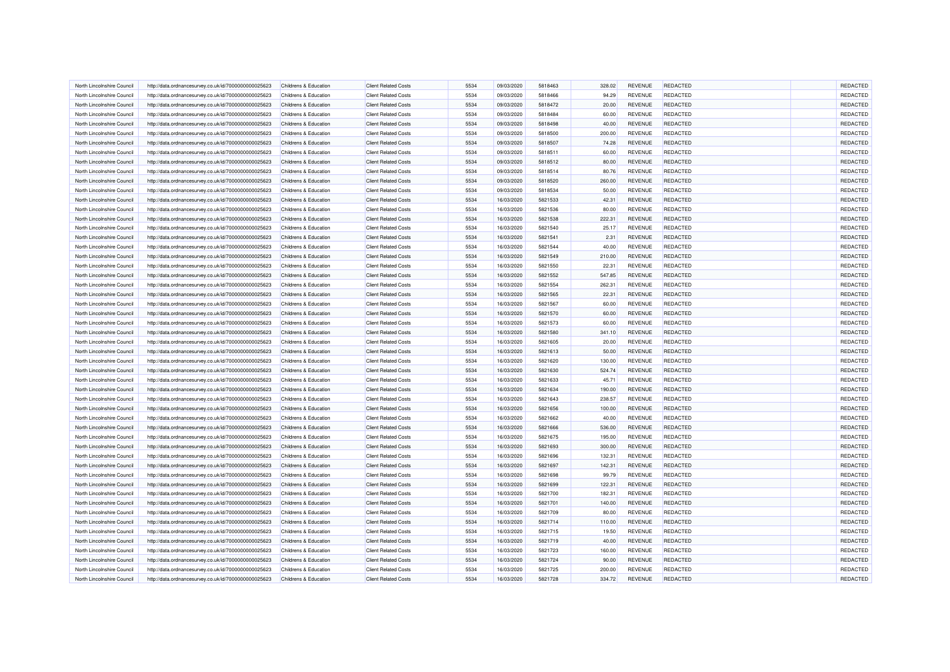| North Lincolnshire Council | http://data.ordnancesurvey.co.uk/id/7000000000025623 | Childrens & Education            | <b>Client Related Costs</b> | 5534         | 09/03/2020 | 5818463            | 328.02 | <b>REVENUE</b> | <b>REDACTED</b> | REDACTED             |
|----------------------------|------------------------------------------------------|----------------------------------|-----------------------------|--------------|------------|--------------------|--------|----------------|-----------------|----------------------|
| North Lincolnshire Council | http://data.ordnancesurvey.co.uk/id/7000000000025623 | Childrens & Education            | <b>Client Related Costs</b> | 5534         | 09/03/2020 | 5818466            | 94.29  | REVENUE        | <b>REDACTED</b> | REDACTED             |
| North Lincolnshire Council | http://data.ordnancesurvey.co.uk/id/7000000000025623 | Childrens & Education            | <b>Client Related Costs</b> | 5534         | 09/03/2020 | 5818472            | 20.00  | <b>REVENUE</b> | REDACTED        | REDACTED             |
| North Lincolnshire Council | http://data.ordnancesurvey.co.uk/id/7000000000025623 | Childrens & Education            | <b>Client Related Costs</b> | 5534         | 09/03/2020 | 5818484            | 60.00  | <b>REVENUE</b> | REDACTED        | REDACTED             |
| North Lincolnshire Council | http://data.ordnancesurvey.co.uk/id/7000000000025623 | Childrens & Education            | <b>Client Related Costs</b> | 5534         | 09/03/2020 | 5818498            | 40.00  | REVENUE        | <b>REDACTED</b> | REDACTED             |
| North Lincolnshire Council | http://data.ordnancesurvey.co.uk/id/7000000000025623 | Childrens & Education            | <b>Client Related Costs</b> | 5534         | 09/03/2020 | 5818500            | 200.00 | <b>REVENUE</b> | <b>REDACTED</b> | REDACTED             |
| North Lincolnshire Council | http://data.ordnancesurvey.co.uk/id/7000000000025623 | Childrens & Education            | <b>Client Related Costs</b> | 5534         | 09/03/2020 | 5818507            | 74.28  | <b>REVENUE</b> | <b>REDACTED</b> | REDACTED             |
| North Lincolnshire Council | http://data.ordnancesurvey.co.uk/id/7000000000025623 | Childrens & Education            | <b>Client Related Costs</b> | 5534         | 09/03/2020 | 5818511            | 60.00  | REVENUE        | <b>REDACTED</b> | REDACTED             |
| North Lincolnshire Council | http://data.ordnancesurvey.co.uk/id/7000000000025623 | Childrens & Education            | <b>Client Related Costs</b> | 5534         | 09/03/2020 | 5818512            | 80.00  | <b>REVENUE</b> | <b>REDACTED</b> | REDACTED             |
| North Lincolnshire Council | http://data.ordnancesurvey.co.uk/id/7000000000025623 | Childrens & Education            | <b>Client Related Costs</b> | 5534         | 09/03/2020 | 5818514            | 80.76  | <b>REVENUE</b> | <b>REDACTED</b> | REDACTED             |
| North Lincolnshire Council | http://data.ordnancesurvey.co.uk/id/7000000000025623 | Childrens & Education            | <b>Client Related Costs</b> | 5534         | 09/03/2020 | 5818520            | 260.00 | <b>REVENUE</b> | <b>REDACTED</b> | REDACTED             |
| North Lincolnshire Council | http://data.ordnancesurvey.co.uk/id/7000000000025623 | Childrens & Education            | <b>Client Related Costs</b> | 5534         | 09/03/2020 | 5818534            | 50.00  | REVENUE        | REDACTED        | REDACTED             |
| North Lincolnshire Council | http://data.ordnancesurvey.co.uk/id/7000000000025623 | Childrens & Education            | <b>Client Related Costs</b> | 5534         | 16/03/2020 | 5821533            | 42.31  | <b>REVENUE</b> | REDACTED        | REDACTED             |
| North Lincolnshire Council | http://data.ordnancesurvey.co.uk/id/7000000000025623 | Childrens & Education            | <b>Client Related Costs</b> | 5534         | 16/03/2020 | 5821536            | 80.00  | REVENUE        | REDACTED        | REDACTED             |
| North Lincolnshire Council | http://data.ordnancesurvey.co.uk/id/7000000000025623 | Childrens & Education            | <b>Client Related Costs</b> | 5534         | 16/03/2020 | 5821538            | 222.31 | <b>REVENUE</b> | <b>REDACTED</b> | REDACTED             |
| North Lincolnshire Council | http://data.ordnancesurvey.co.uk/id/7000000000025623 | Childrens & Education            | <b>Client Related Costs</b> | 5534         | 16/03/2020 | 5821540            | 25.17  | REVENUE        | <b>REDACTED</b> | REDACTED             |
| North Lincolnshire Council | http://data.ordnancesurvey.co.uk/id/7000000000025623 | Childrens & Education            | <b>Client Related Costs</b> | 5534         | 16/03/2020 | 5821541            | 2.31   | <b>REVENUE</b> | <b>REDACTED</b> | REDACTED             |
| North Lincolnshire Council | http://data.ordnancesurvey.co.uk/id/7000000000025623 | Childrens & Education            | <b>Client Related Costs</b> | 5534         | 16/03/2020 | 5821544            | 40.00  | <b>REVENUE</b> | <b>REDACTED</b> | REDACTED             |
| North Lincolnshire Council | http://data.ordnancesurvey.co.uk/id/7000000000025623 | Childrens & Education            | <b>Client Related Costs</b> | 5534         | 16/03/2020 | 5821549            | 210.00 | <b>REVENUE</b> | <b>REDACTED</b> | REDACTED             |
| North Lincolnshire Council | http://data.ordnancesurvey.co.uk/id/7000000000025623 | Childrens & Education            | <b>Client Related Costs</b> | 5534         | 16/03/2020 | 5821550            | 22.31  | REVENUE        | <b>REDACTED</b> | REDACTED             |
| North Lincolnshire Council | http://data.ordnancesurvey.co.uk/id/7000000000025623 | Childrens & Education            | <b>Client Related Costs</b> | 5534         | 16/03/2020 | 5821552            | 547.85 | REVENUE        | <b>REDACTED</b> | REDACTED             |
| North Lincolnshire Council | http://data.ordnancesurvey.co.uk/id/7000000000025623 | Childrens & Education            | <b>Client Related Costs</b> | 5534         | 16/03/2020 | 5821554            | 262.31 | <b>REVENUE</b> | <b>REDACTED</b> | REDACTED             |
| North Lincolnshire Council | http://data.ordnancesurvey.co.uk/id/7000000000025623 | Childrens & Education            | <b>Client Related Costs</b> | 5534         | 16/03/2020 | 5821565            | 22.31  | <b>REVENUE</b> | <b>REDACTED</b> | REDACTED             |
|                            |                                                      |                                  |                             |              |            |                    |        |                | <b>REDACTED</b> |                      |
| North Lincolnshire Council | http://data.ordnancesurvey.co.uk/id/7000000000025623 | Childrens & Education            | <b>Client Related Costs</b> | 5534<br>5534 | 16/03/2020 | 5821567            | 60.00  | REVENUE        |                 | REDACTED<br>REDACTED |
| North Lincolnshire Council | http://data.ordnancesurvey.co.uk/id/7000000000025623 | Childrens & Education            | <b>Client Related Costs</b> |              | 16/03/2020 | 5821570            | 60.00  | <b>REVENUE</b> | <b>REDACTED</b> |                      |
| North Lincolnshire Council | http://data.ordnancesurvey.co.uk/id/7000000000025623 | Childrens & Education            | <b>Client Related Costs</b> | 5534         | 16/03/2020 | 5821573            | 60.00  | <b>REVENUE</b> | <b>REDACTED</b> | REDACTED             |
| North Lincolnshire Council | http://data.ordnancesurvey.co.uk/id/7000000000025623 | Childrens & Education            | <b>Client Related Costs</b> | 5534<br>5534 | 16/03/2020 | 5821580<br>5821605 | 341.10 | <b>REVENUE</b> | <b>REDACTED</b> | REDACTED             |
| North Lincolnshire Council | http://data.ordnancesurvey.co.uk/id/7000000000025623 | Childrens & Education            | <b>Client Related Costs</b> |              | 16/03/2020 |                    | 20.00  | REVENUE        | REDACTED        | REDACTED             |
| North Lincolnshire Council | http://data.ordnancesurvey.co.uk/id/7000000000025623 | Childrens & Education            | <b>Client Related Costs</b> | 5534         | 16/03/2020 | 5821613            | 50.00  | <b>REVENUE</b> | <b>REDACTED</b> | REDACTED             |
| North Lincolnshire Council | http://data.ordnancesurvey.co.uk/id/7000000000025623 | Childrens & Education            | <b>Client Related Costs</b> | 5534         | 16/03/2020 | 5821620            | 130.00 | REVENUE        | <b>REDACTED</b> | REDACTED             |
| North Lincolnshire Council | http://data.ordnancesurvey.co.uk/id/7000000000025623 | Childrens & Education            | <b>Client Related Costs</b> | 5534         | 16/03/2020 | 5821630            | 524.74 | <b>REVENUE</b> | <b>REDACTED</b> | REDACTED             |
| North Lincolnshire Council | http://data.ordnancesurvey.co.uk/id/7000000000025623 | Childrens & Education            | <b>Client Related Costs</b> | 5534         | 16/03/2020 | 5821633            | 45.71  | REVENUE        | <b>REDACTED</b> | REDACTED             |
| North Lincolnshire Council | http://data.ordnancesurvey.co.uk/id/7000000000025623 | Childrens & Education            | <b>Client Related Costs</b> | 5534         | 16/03/2020 | 5821634            | 190.00 | <b>REVENUE</b> | <b>REDACTED</b> | REDACTED             |
| North Lincolnshire Council | http://data.ordnancesurvey.co.uk/id/7000000000025623 | Childrens & Education            | <b>Client Related Costs</b> | 5534         | 16/03/2020 | 5821643            | 238.57 | <b>REVENUE</b> | <b>REDACTED</b> | REDACTED             |
| North Lincolnshire Council | http://data.ordnancesurvey.co.uk/id/7000000000025623 | Childrens & Education            | <b>Client Related Costs</b> | 5534         | 16/03/2020 | 5821656            | 100.00 | <b>REVENUE</b> | REDACTED        | REDACTED             |
| North Lincolnshire Council | http://data.ordnancesurvey.co.uk/id/7000000000025623 | Childrens & Education            | <b>Client Related Costs</b> | 5534         | 16/03/2020 | 5821662            | 40.00  | <b>REVENUE</b> | <b>REDACTED</b> | REDACTED             |
| North Lincolnshire Council | http://data.ordnancesurvey.co.uk/id/7000000000025623 | Childrens & Education            | <b>Client Related Costs</b> | 5534         | 16/03/2020 | 5821666            | 536.00 | <b>REVENUE</b> | <b>REDACTED</b> | REDACTED             |
| North Lincolnshire Council | http://data.ordnancesurvey.co.uk/id/7000000000025623 | Childrens & Education            | <b>Client Related Costs</b> | 5534         | 16/03/2020 | 5821675            | 195.00 | REVENUE        | <b>REDACTED</b> | REDACTED             |
| North Lincolnshire Council | http://data.ordnancesurvey.co.uk/id/7000000000025623 | <b>Childrens &amp; Education</b> | <b>Client Related Costs</b> | 5534         | 16/03/2020 | 5821693            | 300.00 | REVENUE        | REDACTED        | REDACTED             |
| North Lincolnshire Council | http://data.ordnancesurvey.co.uk/id/7000000000025623 | Childrens & Education            | <b>Client Related Costs</b> | 5534         | 16/03/2020 | 5821696            | 132.31 | REVENUE        | <b>REDACTED</b> | REDACTED             |
| North Lincolnshire Council | http://data.ordnancesurvey.co.uk/id/7000000000025623 | Childrens & Education            | <b>Client Related Costs</b> | 5534         | 16/03/2020 | 5821697            | 142.31 | <b>REVENUE</b> | <b>REDACTED</b> | REDACTED             |
| North Lincolnshire Council | http://data.ordnancesurvey.co.uk/id/7000000000025623 | Childrens & Education            | <b>Client Related Costs</b> | 5534         | 16/03/2020 | 5821698            | 99.79  | <b>REVENUE</b> | <b>REDACTED</b> | REDACTED             |
| North Lincolnshire Council | http://data.ordnancesurvey.co.uk/id/7000000000025623 | Childrens & Education            | <b>Client Related Costs</b> | 5534         | 16/03/2020 | 5821699            | 122.31 | REVENUE        | <b>REDACTED</b> | REDACTED             |
| North Lincolnshire Council | http://data.ordnancesurvey.co.uk/id/7000000000025623 | Childrens & Education            | <b>Client Related Costs</b> | 5534         | 16/03/2020 | 5821700            | 182.31 | <b>REVENUE</b> | <b>REDACTED</b> | REDACTED             |
| North Lincolnshire Council | http://data.ordnancesurvey.co.uk/id/7000000000025623 | Childrens & Education            | <b>Client Related Costs</b> | 5534         | 16/03/2020 | 5821701            | 140.00 | <b>REVENUE</b> | <b>REDACTED</b> | REDACTED             |
| North Lincolnshire Council | http://data.ordnancesurvey.co.uk/id/7000000000025623 | Childrens & Education            | <b>Client Related Costs</b> | 5534         | 16/03/2020 | 5821709            | 80.00  | REVENUE        | <b>REDACTED</b> | REDACTED             |
| North Lincolnshire Council | http://data.ordnancesurvey.co.uk/id/7000000000025623 | Childrens & Education            | <b>Client Related Costs</b> | 5534         | 16/03/2020 | 5821714            | 110.00 | REVENUE        | <b>REDACTED</b> | REDACTED             |
| North Lincolnshire Council | http://data.ordnancesurvey.co.uk/id/7000000000025623 | Childrens & Education            | <b>Client Related Costs</b> | 5534         | 16/03/2020 | 5821715            | 19.50  | REVENUE        | <b>REDACTED</b> | REDACTED             |
| North Lincolnshire Council | http://data.ordnancesurvey.co.uk/id/7000000000025623 | Childrens & Education            | <b>Client Related Costs</b> | 5534         | 16/03/2020 | 5821719            | 40.00  | <b>REVENUE</b> | REDACTED        | REDACTED             |
| North Lincolnshire Council | http://data.ordnancesurvey.co.uk/id/7000000000025623 | Childrens & Education            | <b>Client Related Costs</b> | 5534         | 16/03/2020 | 5821723            | 160.00 | <b>REVENUE</b> | <b>REDACTED</b> | REDACTED             |
| North Lincolnshire Council | http://data.ordnancesurvey.co.uk/id/7000000000025623 | <b>Childrens &amp; Education</b> | <b>Client Related Costs</b> | 5534         | 16/03/2020 | 5821724            | 90.00  | REVENUE        | <b>REDACTED</b> | REDACTED             |
| North Lincolnshire Council | http://data.ordnancesurvey.co.uk/id/7000000000025623 | Childrens & Education            | <b>Client Related Costs</b> | 5534         | 16/03/2020 | 5821725            | 200.00 | <b>REVENUE</b> | <b>REDACTED</b> | REDACTED             |
| North Lincolnshire Council | http://data.ordnancesurvey.co.uk/id/7000000000025623 | Childrens & Education            | <b>Client Related Costs</b> | 5534         | 16/03/2020 | 5821728            | 334.72 | <b>REVENUE</b> | <b>REDACTED</b> | REDACTED             |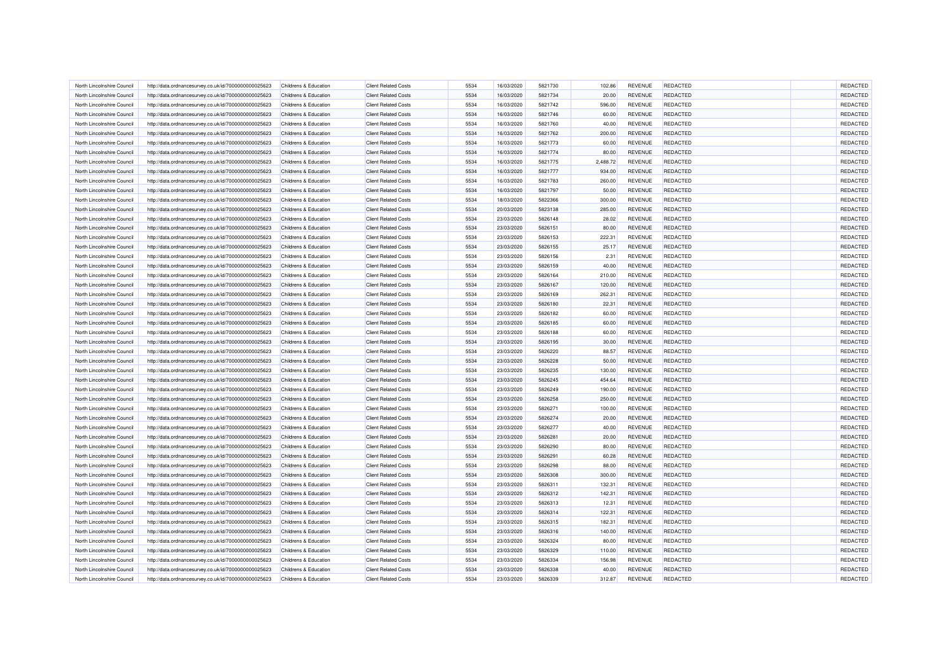| North Lincolnshire Council | http://data.ordnancesurvey.co.uk/id/7000000000025623                                                         | Childrens & Education            | <b>Client Related Costs</b> | 5534 | 16/03/2020               | 5821730 | 102.86        | REVENUE                   | REDACTED        | REDACTED |
|----------------------------|--------------------------------------------------------------------------------------------------------------|----------------------------------|-----------------------------|------|--------------------------|---------|---------------|---------------------------|-----------------|----------|
| North Lincolnshire Council | http://data.ordnancesurvey.co.uk/id/7000000000025623                                                         | Childrens & Education            | <b>Client Related Costs</b> | 5534 | 16/03/2020               | 5821734 | 20.00         | <b>REVENUE</b>            | <b>REDACTED</b> | REDACTED |
| North Lincolnshire Council | http://data.ordnancesurvey.co.uk/id/7000000000025623                                                         | Childrens & Education            | <b>Client Related Costs</b> | 5534 | 16/03/2020               | 5821742 | 596.00        | REVENUE                   | <b>REDACTED</b> | REDACTED |
| North Lincolnshire Council | http://data.ordnancesurvey.co.uk/id/7000000000025623                                                         | Childrens & Education            | <b>Client Related Costs</b> | 5534 | 16/03/2020               | 5821746 | 60.00         | REVENUE                   | REDACTED        | REDACTED |
| North Lincolnshire Council | http://data.ordnancesurvey.co.uk/id/7000000000025623                                                         | Childrens & Education            | <b>Client Related Costs</b> | 5534 | 16/03/2020               | 5821760 | 40.00         | REVENUE                   | <b>REDACTED</b> | REDACTED |
| North Lincolnshire Council | http://data.ordnancesurvey.co.uk/id/7000000000025623                                                         | Childrens & Education            | <b>Client Related Costs</b> | 5534 | 16/03/2020               | 5821762 | 200.00        | <b>REVENUE</b>            | <b>REDACTED</b> | REDACTED |
| North Lincolnshire Council | http://data.ordnancesurvey.co.uk/id/7000000000025623                                                         | Childrens & Education            | <b>Client Related Costs</b> | 5534 | 16/03/2020               | 5821773 | 60.00         | <b>REVENUE</b>            | <b>REDACTED</b> | REDACTED |
| North Lincolnshire Council | http://data.ordnancesurvey.co.uk/id/7000000000025623                                                         | Childrens & Education            | <b>Client Related Costs</b> | 5534 | 16/03/2020               | 5821774 | 80.00         | <b>REVENUE</b>            | <b>REDACTED</b> | REDACTED |
| North Lincolnshire Council | http://data.ordnancesurvey.co.uk/id/7000000000025623                                                         | Childrens & Education            | <b>Client Related Costs</b> | 5534 | 16/03/2020               | 5821775 | 2,488.72      | <b>REVENUE</b>            | <b>REDACTED</b> | REDACTED |
| North Lincolnshire Council | http://data.ordnancesurvey.co.uk/id/7000000000025623                                                         | Childrens & Education            | <b>Client Related Costs</b> | 5534 | 16/03/2020               | 5821777 | 934.00        | <b>REVENUE</b>            | <b>REDACTED</b> | REDACTED |
| North Lincolnshire Council | http://data.ordnancesurvey.co.uk/id/7000000000025623                                                         | Childrens & Education            | <b>Client Related Costs</b> | 5534 | 16/03/2020               | 5821783 | 260.00        | REVENUE                   | <b>REDACTED</b> | REDACTED |
| North Lincolnshire Council | http://data.ordnancesurvey.co.uk/id/7000000000025623                                                         | <b>Childrens &amp; Education</b> | <b>Client Related Costs</b> | 5534 | 16/03/2020               | 5821797 | 50.00         | REVENUE                   | REDACTED        | REDACTED |
| North Lincolnshire Council | http://data.ordnancesurvey.co.uk/id/7000000000025623                                                         | Childrens & Education            | <b>Client Related Costs</b> | 5534 | 18/03/2020               | 5822366 | 300.00        | REVENUE                   | <b>REDACTED</b> | REDACTED |
| North Lincolnshire Council | http://data.ordnancesurvey.co.uk/id/7000000000025623                                                         | Childrens & Education            | <b>Client Related Costs</b> | 5534 | 20/03/2020               | 5823138 | 285.00        | <b>REVENUE</b>            | <b>REDACTED</b> | REDACTED |
| North Lincolnshire Council | http://data.ordnancesurvey.co.uk/id/7000000000025623                                                         | Childrens & Education            | <b>Client Related Costs</b> | 5534 | 23/03/2020               | 5826148 | 28.02         | <b>REVENUE</b>            | <b>REDACTED</b> | REDACTED |
| North Lincolnshire Council | http://data.ordnancesurvey.co.uk/id/7000000000025623                                                         | Childrens & Education            | <b>Client Related Costs</b> | 5534 | 23/03/2020               | 5826151 | 80.00         | REVENUE                   | <b>REDACTED</b> | REDACTED |
| North Lincolnshire Council | http://data.ordnancesurvey.co.uk/id/7000000000025623                                                         | Childrens & Education            | <b>Client Related Costs</b> | 5534 | 23/03/2020               | 5826153 | 222.31        | <b>REVENUE</b>            | <b>REDACTED</b> | REDACTED |
| North Lincolnshire Council | http://data.ordnancesurvey.co.uk/id/7000000000025623                                                         | <b>Childrens &amp; Education</b> | <b>Client Related Costs</b> | 5534 | 23/03/2020               | 5826155 | 25.17         | <b>REVENUE</b>            | <b>REDACTED</b> | REDACTED |
| North Lincolnshire Council |                                                                                                              | Childrens & Education            | <b>Client Related Costs</b> | 5534 | 23/03/2020               | 5826156 |               | REVENUE                   | <b>REDACTED</b> | REDACTED |
| North Lincolnshire Council | http://data.ordnancesurvey.co.uk/id/7000000000025623<br>http://data.ordnancesurvey.co.uk/id/7000000000025623 | <b>Childrens &amp; Education</b> | <b>Client Related Costs</b> | 5534 | 23/03/2020               | 5826159 | 2.31<br>40.00 | REVENUE                   | <b>REDACTED</b> | REDACTED |
| North Lincolnshire Council |                                                                                                              | Childrens & Education            | <b>Client Related Costs</b> | 5534 |                          | 5826164 | 210.00        |                           | <b>REDACTED</b> | REDACTED |
| North Lincolnshire Council | http://data.ordnancesurvey.co.uk/id/7000000000025623                                                         | Childrens & Education            | <b>Client Related Costs</b> | 5534 | 23/03/2020<br>23/03/2020 | 5826167 |               | REVENUE<br><b>REVENUE</b> | REDACTED        | REDACTED |
|                            | http://data.ordnancesurvey.co.uk/id/7000000000025623                                                         |                                  |                             |      |                          |         | 120.00        |                           |                 | REDACTED |
| North Lincolnshire Council | http://data.ordnancesurvey.co.uk/id/7000000000025623                                                         | Childrens & Education            | <b>Client Related Costs</b> | 5534 | 23/03/2020               | 5826169 | 262.31        | <b>REVENUE</b>            | <b>REDACTED</b> |          |
| North Lincolnshire Council | http://data.ordnancesurvey.co.uk/id/7000000000025623                                                         | Childrens & Education            | <b>Client Related Costs</b> | 5534 | 23/03/2020               | 5826180 | 22.31         | REVENUE                   | <b>REDACTED</b> | REDACTED |
| North Lincolnshire Council | http://data.ordnancesurvey.co.uk/id/7000000000025623                                                         | Childrens & Education            | <b>Client Related Costs</b> | 5534 | 23/03/2020               | 5826182 | 60.00         | <b>REVENUE</b>            | <b>REDACTED</b> | REDACTED |
| North Lincolnshire Council | http://data.ordnancesurvey.co.uk/id/7000000000025623                                                         | Childrens & Education            | <b>Client Related Costs</b> | 5534 | 23/03/2020               | 5826185 | 60.00         | <b>REVENUE</b>            | <b>REDACTED</b> | REDACTED |
| North Lincolnshire Council | http://data.ordnancesurvey.co.uk/id/7000000000025623                                                         | Childrens & Education            | <b>Client Related Costs</b> | 5534 | 23/03/2020               | 5826188 | 60.00         | <b>REVENUE</b>            | <b>REDACTED</b> | REDACTED |
| North Lincolnshire Council | http://data.ordnancesurvey.co.uk/id/7000000000025623                                                         | Childrens & Education            | <b>Client Related Costs</b> | 5534 | 23/03/2020               | 5826195 | 30.00         | REVENUE                   | <b>REDACTED</b> | REDACTED |
| North Lincolnshire Council | http://data.ordnancesurvey.co.uk/id/7000000000025623                                                         | Childrens & Education            | <b>Client Related Costs</b> | 5534 | 23/03/2020               | 5826220 | 88.57         | <b>REVENUE</b>            | <b>REDACTED</b> | REDACTED |
| North Lincolnshire Council | http://data.ordnancesurvey.co.uk/id/7000000000025623                                                         | Childrens & Education            | <b>Client Related Costs</b> | 5534 | 23/03/2020               | 5826228 | 50.00         | REVENUE                   | REDACTED        | REDACTED |
| North Lincolnshire Council | http://data.ordnancesurvey.co.uk/id/7000000000025623                                                         | Childrens & Education            | <b>Client Related Costs</b> | 5534 | 23/03/2020               | 5826235 | 130.00        | <b>REVENUE</b>            | REDACTED        | REDACTED |
| North Lincolnshire Council | http://data.ordnancesurvey.co.uk/id/7000000000025623                                                         | Childrens & Education            | <b>Client Related Costs</b> | 5534 | 23/03/2020               | 5826245 | 454.64        | REVENUE                   | <b>REDACTED</b> | REDACTED |
| North Lincolnshire Council | http://data.ordnancesurvey.co.uk/id/7000000000025623                                                         | Childrens & Education            | <b>Client Related Costs</b> | 5534 | 23/03/2020               | 5826249 | 190.00        | <b>REVENUE</b>            | <b>REDACTED</b> | REDACTED |
| North Lincolnshire Council | http://data.ordnancesurvey.co.uk/id/7000000000025623                                                         | Childrens & Education            | <b>Client Related Costs</b> | 5534 | 23/03/2020               | 5826258 | 250.00        | REVENUE                   | <b>REDACTED</b> | REDACTED |
| North Lincolnshire Council | http://data.ordnancesurvey.co.uk/id/7000000000025623                                                         | Childrens & Education            | <b>Client Related Costs</b> | 5534 | 23/03/2020               | 5826271 | 100.00        | REVENUE                   | <b>REDACTED</b> | REDACTED |
| North Lincolnshire Council | http://data.ordnancesurvey.co.uk/id/7000000000025623                                                         | Childrens & Education            | <b>Client Related Costs</b> | 5534 | 23/03/2020               | 5826274 | 20.00         | <b>REVENUE</b>            | <b>REDACTED</b> | REDACTED |
| North Lincolnshire Council | http://data.ordnancesurvey.co.uk/id/7000000000025623                                                         | Childrens & Education            | <b>Client Related Costs</b> | 5534 | 23/03/2020               | 5826277 | 40.00         | <b>REVENUE</b>            | <b>REDACTED</b> | REDACTED |
| North Lincolnshire Council | http://data.ordnancesurvey.co.uk/id/7000000000025623                                                         | Childrens & Education            | <b>Client Related Costs</b> | 5534 | 23/03/2020               | 5826281 | 20.00         | <b>REVENUE</b>            | <b>REDACTED</b> | REDACTED |
| North Lincolnshire Council | http://data.ordnancesurvey.co.uk/id/7000000000025623                                                         | Childrens & Education            | <b>Client Related Costs</b> | 5534 | 23/03/2020               | 5826290 | 80.00         | REVENUE                   | REDACTED        | REDACTED |
| North Lincolnshire Council | http://data.ordnancesurvey.co.uk/id/7000000000025623                                                         | Childrens & Education            | <b>Client Related Costs</b> | 5534 | 23/03/2020               | 5826291 | 60.28         | REVENUE                   | <b>REDACTED</b> | REDACTED |
| North Lincolnshire Council | http://data.ordnancesurvey.co.uk/id/7000000000025623                                                         | Childrens & Education            | <b>Client Related Costs</b> | 5534 | 23/03/2020               | 5826298 | 88.00         | REVENUE                   | <b>REDACTED</b> | REDACTED |
| North Lincolnshire Council | http://data.ordnancesurvey.co.uk/id/7000000000025623                                                         | Childrens & Education            | <b>Client Related Costs</b> | 5534 | 23/03/2020               | 5826308 | 300.00        | <b>REVENUE</b>            | <b>REDACTED</b> | REDACTED |
| North Lincolnshire Council | http://data.ordnancesurvey.co.uk/id/7000000000025623                                                         | Childrens & Education            | <b>Client Related Costs</b> | 5534 | 23/03/2020               | 5826311 | 132.31        | REVENUE                   | <b>REDACTED</b> | REDACTED |
| North Lincolnshire Council | http://data.ordnancesurvey.co.uk/id/7000000000025623                                                         | Childrens & Education            | <b>Client Related Costs</b> | 5534 | 23/03/2020               | 5826312 | 142.31        | <b>REVENUE</b>            | <b>REDACTED</b> | REDACTED |
| North Lincolnshire Council | http://data.ordnancesurvey.co.uk/id/7000000000025623                                                         | Childrens & Education            | <b>Client Related Costs</b> | 5534 | 23/03/2020               | 5826313 | 12.31         | REVENUE                   | <b>REDACTED</b> | REDACTED |
| North Lincolnshire Council | http://data.ordnancesurvey.co.uk/id/7000000000025623                                                         | Childrens & Education            | <b>Client Related Costs</b> | 5534 | 23/03/2020               | 5826314 | 122.31        | REVENUE                   | <b>REDACTED</b> | REDACTED |
| North Lincolnshire Council | http://data.ordnancesurvey.co.uk/id/7000000000025623                                                         | Childrens & Education            | <b>Client Related Costs</b> | 5534 | 23/03/2020               | 5826315 | 182.31        | REVENUE                   | <b>REDACTED</b> | REDACTED |
| North Lincolnshire Council | http://data.ordnancesurvey.co.uk/id/7000000000025623                                                         | Childrens & Education            | <b>Client Related Costs</b> | 5534 | 23/03/2020               | 5826316 | 140.00        | REVENUE                   | <b>REDACTED</b> | REDACTED |
| North Lincolnshire Council | http://data.ordnancesurvey.co.uk/id/7000000000025623                                                         | Childrens & Education            | <b>Client Related Costs</b> | 5534 | 23/03/2020               | 5826324 | 80.00         | REVENUE                   | <b>REDACTED</b> | REDACTED |
| North Lincolnshire Council | http://data.ordnancesurvey.co.uk/id/7000000000025623                                                         | Childrens & Education            | <b>Client Related Costs</b> | 5534 | 23/03/2020               | 5826329 | 110.00        | <b>REVENUE</b>            | <b>REDACTED</b> | REDACTED |
| North Lincolnshire Council | http://data.ordnancesurvey.co.uk/id/7000000000025623                                                         | Childrens & Education            | <b>Client Related Costs</b> | 5534 | 23/03/2020               | 5826334 | 156.98        | REVENUE                   | <b>REDACTED</b> | REDACTED |
| North Lincolnshire Council | http://data.ordnancesurvey.co.uk/id/7000000000025623                                                         | Childrens & Education            | <b>Client Related Costs</b> | 5534 | 23/03/2020               | 5826338 | 40.00         | <b>REVENUE</b>            | <b>REDACTED</b> | REDACTED |
| North Lincolnshire Council | http://data.ordnancesurvey.co.uk/id/7000000000025623                                                         | Childrens & Education            | <b>Client Related Costs</b> | 5534 | 23/03/2020               | 5826339 | 312.87        | REVENUE                   | <b>REDACTED</b> | REDACTED |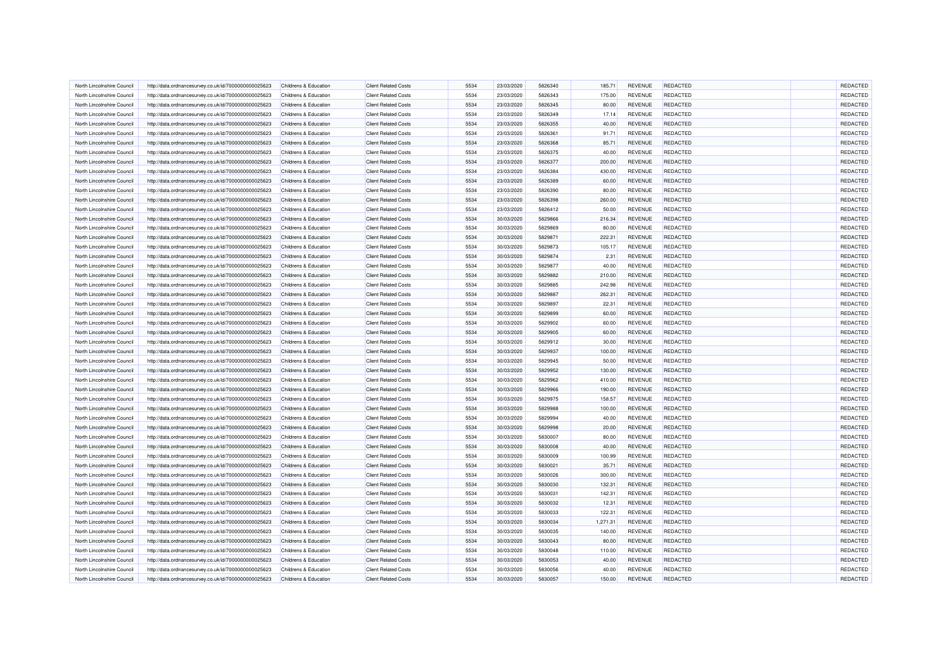| North Lincolnshire Council                               | http://data.ordnancesurvey.co.uk/id/7000000000025623                                                         | Childrens & Education                          | <b>Client Related Costs</b>                                | 5534 | 23/03/2020 | 5826340            | 185.71   | <b>REVENUE</b>                   | <b>REDACTED</b>             | <b>REDACTED</b> |
|----------------------------------------------------------|--------------------------------------------------------------------------------------------------------------|------------------------------------------------|------------------------------------------------------------|------|------------|--------------------|----------|----------------------------------|-----------------------------|-----------------|
| North Lincolnshire Council                               | http://data.ordnancesurvey.co.uk/id/7000000000025623                                                         | Childrens & Education                          | <b>Client Related Costs</b>                                | 5534 | 23/03/2020 | 5826343            | 175.00   | REVENUE                          | REDACTED                    | REDACTED        |
| North Lincolnshire Council                               | http://data.ordnancesurvey.co.uk/id/7000000000025623                                                         | Childrens & Education                          | <b>Client Related Costs</b>                                | 5534 | 23/03/2020 | 5826345            | 80.00    | <b>REVENUE</b>                   | <b>REDACTED</b>             | REDACTED        |
| North Lincolnshire Council                               | http://data.ordnancesurvey.co.uk/id/7000000000025623                                                         | Childrens & Education                          | <b>Client Related Costs</b>                                | 5534 | 23/03/2020 | 5826349            | 17.14    | REVENUE                          | REDACTED                    | REDACTED        |
| North Lincolnshire Council                               | http://data.ordnancesurvey.co.uk/id/7000000000025623                                                         | Childrens & Education                          | <b>Client Related Costs</b>                                | 5534 | 23/03/2020 | 5826355            | 40.00    | <b>REVENUE</b>                   | <b>REDACTED</b>             | REDACTED        |
| North Lincolnshire Council                               | http://data.ordnancesurvey.co.uk/id/7000000000025623                                                         | Childrens & Education                          | <b>Client Related Costs</b>                                | 5534 | 23/03/2020 | 5826361            | 91.71    | REVENUE                          | <b>REDACTED</b>             | REDACTED        |
| North Lincolnshire Council                               | http://data.ordnancesurvey.co.uk/id/7000000000025623                                                         | Childrens & Education                          | <b>Client Related Costs</b>                                | 5534 | 23/03/2020 | 5826368            | 85.71    | <b>REVENUE</b>                   | <b>REDACTED</b>             | REDACTED        |
| North Lincolnshire Council                               | http://data.ordnancesurvey.co.uk/id/7000000000025623                                                         | Childrens & Education                          | <b>Client Related Costs</b>                                | 5534 | 23/03/2020 | 5826375            | 40.00    | REVENUE                          | <b>REDACTED</b>             | REDACTED        |
| North Lincolnshire Council                               | http://data.ordnancesurvey.co.uk/id/7000000000025623                                                         | Childrens & Education                          | <b>Client Related Costs</b>                                | 5534 | 23/03/2020 | 5826377            | 200.00   | REVENUE                          | <b>REDACTED</b>             | REDACTED        |
| North Lincolnshire Council                               | http://data.ordnancesurvey.co.uk/id/7000000000025623                                                         | Childrens & Education                          | <b>Client Related Costs</b>                                | 5534 | 23/03/2020 | 5826384            | 430.00   | REVENUE                          | <b>REDACTED</b>             | REDACTED        |
| North Lincolnshire Council                               | http://data.ordnancesurvey.co.uk/id/7000000000025623                                                         | Childrens & Education                          | <b>Client Related Costs</b>                                | 5534 | 23/03/2020 | 5826389            | 60.00    | <b>REVENUE</b>                   | <b>REDACTED</b>             | REDACTED        |
| North Lincolnshire Council                               | http://data.ordnancesurvey.co.uk/id/7000000000025623                                                         | Childrens & Education                          | <b>Client Related Costs</b>                                | 5534 | 23/03/2020 | 5826390            | 80.00    | <b>REVENUE</b>                   | <b>REDACTED</b>             | REDACTED        |
| North Lincolnshire Council                               | http://data.ordnancesurvey.co.uk/id/7000000000025623                                                         | Childrens & Education                          | <b>Client Related Costs</b>                                | 5534 | 23/03/2020 | 5826398            | 260.00   | <b>REVENUE</b>                   | <b>REDACTED</b>             | REDACTED        |
| North Lincolnshire Council                               | http://data.ordnancesurvey.co.uk/id/7000000000025623                                                         | Childrens & Education                          | <b>Client Related Costs</b>                                | 5534 | 23/03/2020 | 5826412            | 50.00    | REVENUE                          | REDACTED                    | REDACTED        |
| North Lincolnshire Council                               | http://data.ordnancesurvey.co.uk/id/7000000000025623                                                         | Childrens & Education                          | <b>Client Related Costs</b>                                | 5534 | 30/03/2020 | 5829866            | 216.34   | REVENUE                          | <b>REDACTED</b>             | REDACTED        |
| North Lincolnshire Council                               | http://data.ordnancesurvey.co.uk/id/7000000000025623                                                         | Childrens & Education                          | <b>Client Related Costs</b>                                | 5534 | 30/03/2020 | 5829869            | 80.00    | REVENUE                          | <b>REDACTED</b>             | REDACTED        |
| North Lincolnshire Council                               | http://data.ordnancesurvey.co.uk/id/7000000000025623                                                         | Childrens & Education                          | <b>Client Related Costs</b>                                | 5534 | 30/03/2020 | 5829871            | 222.31   | <b>REVENUE</b>                   | <b>REDACTED</b>             | REDACTED        |
| North Lincolnshire Council                               | http://data.ordnancesurvey.co.uk/id/7000000000025623                                                         | Childrens & Education                          | <b>Client Related Costs</b>                                | 5534 | 30/03/2020 | 5829873            | 105.17   | <b>REVENUE</b>                   | <b>REDACTED</b>             | REDACTED        |
| North Lincolnshire Council                               | http://data.ordnancesurvey.co.uk/id/7000000000025623                                                         | <b>Childrens &amp; Education</b>               | <b>Client Related Costs</b>                                | 5534 | 30/03/2020 | 5829874            | 2.31     | <b>REVENUE</b>                   | <b>REDACTED</b>             | REDACTED        |
| North Lincolnshire Council                               | http://data.ordnancesurvey.co.uk/id/7000000000025623                                                         | Childrens & Education                          | <b>Client Related Costs</b>                                | 5534 | 30/03/2020 | 5829877            | 40.00    | <b>REVENUE</b>                   | <b>REDACTED</b>             | REDACTED        |
| North Lincolnshire Council                               | http://data.ordnancesurvey.co.uk/id/7000000000025623                                                         | Childrens & Education                          | <b>Client Related Costs</b>                                | 5534 | 30/03/2020 | 5829882            | 210.00   | <b>REVENUE</b>                   | <b>REDACTED</b>             | REDACTED        |
| North Lincolnshire Council                               |                                                                                                              | Childrens & Education                          | <b>Client Related Costs</b>                                | 5534 | 30/03/2020 | 5829885            | 242.98   | REVENUE                          | <b>REDACTED</b>             | REDACTED        |
| North Lincolnshire Council                               | http://data.ordnancesurvey.co.uk/id/7000000000025623<br>http://data.ordnancesurvey.co.uk/id/7000000000025623 | Childrens & Education                          | <b>Client Related Costs</b>                                | 5534 | 30/03/2020 | 5829887            | 262.31   | REVENUE                          | <b>REDACTED</b>             | REDACTED        |
|                                                          |                                                                                                              |                                                |                                                            |      |            |                    |          |                                  |                             |                 |
| North Lincolnshire Council<br>North Lincolnshire Council | http://data.ordnancesurvey.co.uk/id/7000000000025623                                                         | Childrens & Education<br>Childrens & Education | <b>Client Related Costs</b><br><b>Client Related Costs</b> | 5534 | 30/03/2020 | 5829897<br>5829899 | 22.31    | <b>REVENUE</b><br><b>REVENUE</b> | <b>REDACTED</b><br>REDACTED | REDACTED        |
|                                                          | http://data.ordnancesurvey.co.uk/id/7000000000025623                                                         |                                                |                                                            | 5534 | 30/03/2020 |                    | 60.00    |                                  |                             | REDACTED        |
| North Lincolnshire Council                               | http://data.ordnancesurvey.co.uk/id/7000000000025623                                                         | Childrens & Education                          | <b>Client Related Costs</b>                                | 5534 | 30/03/2020 | 5829902            | 60.00    | <b>REVENUE</b>                   | REDACTED                    | REDACTED        |
| North Lincolnshire Council                               | http://data.ordnancesurvey.co.uk/id/7000000000025623                                                         | Childrens & Education                          | <b>Client Related Costs</b>                                | 5534 | 30/03/2020 | 5829905            | 60.00    | REVENUE                          | <b>REDACTED</b>             | REDACTED        |
| North Lincolnshire Council                               | http://data.ordnancesurvey.co.uk/id/7000000000025623                                                         | Childrens & Education                          | <b>Client Related Costs</b>                                | 5534 | 30/03/2020 | 5829912            | 30.00    | <b>REVENUE</b>                   | <b>REDACTED</b>             | REDACTED        |
| North Lincolnshire Council                               | http://data.ordnancesurvey.co.uk/id/7000000000025623                                                         | Childrens & Education                          | <b>Client Related Costs</b>                                | 5534 | 30/03/2020 | 5829937            | 100.00   | <b>REVENUE</b>                   | <b>REDACTED</b>             | REDACTED        |
| North Lincolnshire Council                               | http://data.ordnancesurvey.co.uk/id/7000000000025623                                                         | Childrens & Education                          | <b>Client Related Costs</b>                                | 5534 | 30/03/2020 | 5829945            | 50.00    | REVENUE                          | <b>REDACTED</b>             | REDACTED        |
| North Lincolnshire Council                               | http://data.ordnancesurvey.co.uk/id/7000000000025623                                                         | Childrens & Education                          | <b>Client Related Costs</b>                                | 5534 | 30/03/2020 | 5829952            | 130.00   | <b>REVENUE</b>                   | <b>REDACTED</b>             | REDACTED        |
| North Lincolnshire Council                               | http://data.ordnancesurvey.co.uk/id/7000000000025623                                                         | Childrens & Education                          | <b>Client Related Costs</b>                                | 5534 | 30/03/2020 | 5829962            | 410.00   | <b>REVENUE</b>                   | <b>REDACTED</b>             | REDACTED        |
| North Lincolnshire Council                               | http://data.ordnancesurvey.co.uk/id/7000000000025623                                                         | Childrens & Education                          | <b>Client Related Costs</b>                                | 5534 | 30/03/2020 | 5829966            | 190.00   | <b>REVENUE</b>                   | <b>REDACTED</b>             | REDACTED        |
| North Lincolnshire Council                               | http://data.ordnancesurvey.co.uk/id/7000000000025623                                                         | Childrens & Education                          | <b>Client Related Costs</b>                                | 5534 | 30/03/2020 | 5829975            | 158.57   | REVENUE                          | <b>REDACTED</b>             | REDACTED        |
| North Lincolnshire Council                               | http://data.ordnancesurvey.co.uk/id/7000000000025623                                                         | Childrens & Education                          | <b>Client Related Costs</b>                                | 5534 | 30/03/2020 | 5829988            | 100.00   | <b>REVENUE</b>                   | <b>REDACTED</b>             | REDACTED        |
| North Lincolnshire Council                               | http://data.ordnancesurvey.co.uk/id/7000000000025623                                                         | Childrens & Education                          | <b>Client Related Costs</b>                                | 5534 | 30/03/2020 | 5829994            | 40.00    | REVENUE                          | <b>REDACTED</b>             | REDACTED        |
| North Lincolnshire Council                               | http://data.ordnancesurvey.co.uk/id/7000000000025623                                                         | Childrens & Education                          | <b>Client Related Costs</b>                                | 5534 | 30/03/2020 | 5829998            | 20.00    | <b>REVENUE</b>                   | <b>REDACTED</b>             | REDACTED        |
| North Lincolnshire Council                               | http://data.ordnancesurvey.co.uk/id/7000000000025623                                                         | Childrens & Education                          | <b>Client Related Costs</b>                                | 5534 | 30/03/2020 | 5830007            | 80.00    | REVENUE                          | <b>REDACTED</b>             | REDACTED        |
| North Lincolnshire Council                               | http://data.ordnancesurvey.co.uk/id/7000000000025623                                                         | Childrens & Education                          | <b>Client Related Costs</b>                                | 5534 | 30/03/2020 | 5830008            | 40.00    | <b>REVENUE</b>                   | <b>REDACTED</b>             | REDACTED        |
| North Lincolnshire Council                               | http://data.ordnancesurvey.co.uk/id/7000000000025623                                                         | Childrens & Education                          | <b>Client Related Costs</b>                                | 5534 | 30/03/2020 | 5830009            | 100.99   | REVENUE                          | <b>REDACTED</b>             | REDACTED        |
| North Lincolnshire Council                               | http://data.ordnancesurvey.co.uk/id/7000000000025623                                                         | Childrens & Education                          | <b>Client Related Costs</b>                                | 5534 | 30/03/2020 | 5830021            | 35.71    | REVENUE                          | <b>REDACTED</b>             | REDACTED        |
| North Lincolnshire Council                               | http://data.ordnancesurvey.co.uk/id/7000000000025623                                                         | Childrens & Education                          | <b>Client Related Costs</b>                                | 5534 | 30/03/2020 | 5830026            | 300.00   | REVENUE                          | <b>REDACTED</b>             | REDACTED        |
| North Lincolnshire Council                               | http://data.ordnancesurvey.co.uk/id/7000000000025623                                                         | Childrens & Education                          | <b>Client Related Costs</b>                                | 5534 | 30/03/2020 | 5830030            | 132.31   | <b>REVENUE</b>                   | <b>REDACTED</b>             | REDACTED        |
| North Lincolnshire Council                               | http://data.ordnancesurvey.co.uk/id/7000000000025623                                                         | Childrens & Education                          | <b>Client Related Costs</b>                                | 5534 | 30/03/2020 | 5830031            | 142.31   | <b>REVENUE</b>                   | <b>REDACTED</b>             | REDACTED        |
| North Lincolnshire Council                               | http://data.ordnancesurvey.co.uk/id/7000000000025623                                                         | Childrens & Education                          | <b>Client Related Costs</b>                                | 5534 | 30/03/2020 | 5830032            | 12.31    | <b>REVENUE</b>                   | <b>REDACTED</b>             | REDACTED        |
| North Lincolnshire Council                               | http://data.ordnancesurvey.co.uk/id/7000000000025623                                                         | Childrens & Education                          | <b>Client Related Costs</b>                                | 5534 | 30/03/2020 | 5830033            | 122.31   | REVENUE                          | <b>REDACTED</b>             | REDACTED        |
| North Lincolnshire Council                               | http://data.ordnancesurvey.co.uk/id/7000000000025623                                                         | Childrens & Education                          | <b>Client Related Costs</b>                                | 5534 | 30/03/2020 | 5830034            | 1,271.31 | <b>REVENUE</b>                   | <b>REDACTED</b>             | REDACTED        |
| North Lincolnshire Council                               | http://data.ordnancesurvey.co.uk/id/7000000000025623                                                         | Childrens & Education                          | <b>Client Related Costs</b>                                | 5534 | 30/03/2020 | 5830035            | 140.00   | REVENUE                          | <b>REDACTED</b>             | REDACTED        |
| North Lincolnshire Council                               | http://data.ordnancesurvey.co.uk/id/7000000000025623                                                         | Childrens & Education                          | <b>Client Related Costs</b>                                | 5534 | 30/03/2020 | 5830043            | 80.00    | REVENUE                          | <b>REDACTED</b>             | REDACTED        |
| North Lincolnshire Council                               | http://data.ordnancesurvey.co.uk/id/7000000000025623                                                         | Childrens & Education                          | <b>Client Related Costs</b>                                | 5534 | 30/03/2020 | 5830048            | 110.00   | <b>REVENUE</b>                   | <b>REDACTED</b>             | REDACTED        |
| North Lincolnshire Council                               | http://data.ordnancesurvey.co.uk/id/7000000000025623                                                         | <b>Childrens &amp; Education</b>               | <b>Client Related Costs</b>                                | 5534 | 30/03/2020 | 5830053            | 40.00    | REVENUE                          | <b>REDACTED</b>             | REDACTED        |
| North Lincolnshire Council                               | http://data.ordnancesurvey.co.uk/id/7000000000025623                                                         | Childrens & Education                          | <b>Client Related Costs</b>                                | 5534 | 30/03/2020 | 5830056            | 40.00    | <b>REVENUE</b>                   | <b>REDACTED</b>             | REDACTED        |
| North Lincolnshire Council                               | http://data.ordnancesurvey.co.uk/id/7000000000025623                                                         | Childrens & Education                          | <b>Client Related Costs</b>                                | 5534 | 30/03/2020 | 5830057            | 150.00   | REVENUE                          | <b>REDACTED</b>             | REDACTED        |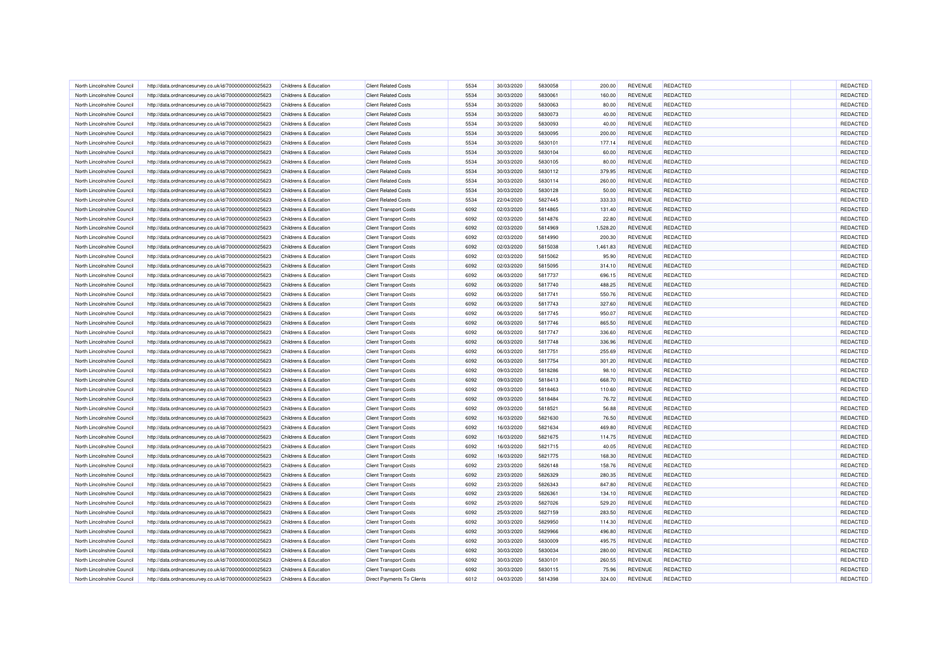| North Lincolnshire Council | http://data.ordnancesurvey.co.uk/id/7000000000025623 | Childrens & Education            | <b>Client Related Costs</b>   | 5534         | 30/03/2020 | 5830058 | 200.00   | REVENUE        | REDACTED                    | REDACTED             |
|----------------------------|------------------------------------------------------|----------------------------------|-------------------------------|--------------|------------|---------|----------|----------------|-----------------------------|----------------------|
| North Lincolnshire Council | http://data.ordnancesurvey.co.uk/id/7000000000025623 | Childrens & Education            | <b>Client Related Costs</b>   | 5534         | 30/03/2020 | 5830061 | 160.00   | REVENUE        | <b>REDACTED</b>             | REDACTED             |
| North Lincolnshire Council | http://data.ordnancesurvey.co.uk/id/7000000000025623 | Childrens & Education            | <b>Client Related Costs</b>   | 5534         | 30/03/2020 | 5830063 | 80.00    | REVENUE        | <b>REDACTED</b>             | REDACTED             |
| North Lincolnshire Council | http://data.ordnancesurvey.co.uk/id/7000000000025623 | Childrens & Education            | <b>Client Related Costs</b>   | 5534         | 30/03/2020 | 5830073 | 40.00    | REVENUE        | REDACTED                    | REDACTED             |
| North Lincolnshire Council | http://data.ordnancesurvey.co.uk/id/7000000000025623 | Childrens & Education            | <b>Client Related Costs</b>   | 5534         | 30/03/2020 | 5830093 | 40.00    | REVENUE        | <b>REDACTED</b>             | REDACTED             |
| North Lincolnshire Council | http://data.ordnancesurvey.co.uk/id/7000000000025623 | Childrens & Education            | <b>Client Related Costs</b>   | 5534         | 30/03/2020 | 5830095 | 200.00   | <b>REVENUE</b> | <b>REDACTED</b>             | REDACTED             |
| North Lincolnshire Council | http://data.ordnancesurvey.co.uk/id/7000000000025623 | Childrens & Education            | <b>Client Related Costs</b>   | 5534         | 30/03/2020 | 5830101 | 177.14   | <b>REVENUE</b> | REDACTED                    | REDACTED             |
| North Lincolnshire Council | http://data.ordnancesurvey.co.uk/id/7000000000025623 | Childrens & Education            | <b>Client Related Costs</b>   | 5534         | 30/03/2020 | 5830104 | 60.00    | REVENUE        | <b>REDACTED</b>             | REDACTED             |
| North Lincolnshire Council | http://data.ordnancesurvey.co.uk/id/7000000000025623 | Childrens & Education            | <b>Client Related Costs</b>   | 5534         | 30/03/2020 | 5830105 | 80.00    | <b>REVENUE</b> | REDACTED                    | REDACTED             |
| North Lincolnshire Council | http://data.ordnancesurvey.co.uk/id/7000000000025623 | Childrens & Education            | <b>Client Related Costs</b>   | 5534         | 30/03/2020 | 5830112 | 379.95   | <b>REVENUE</b> | <b>REDACTED</b>             | REDACTED             |
| North Lincolnshire Council | http://data.ordnancesurvey.co.uk/id/7000000000025623 | Childrens & Education            | <b>Client Related Costs</b>   | 5534         | 30/03/2020 | 5830114 | 260.00   | REVENUE        | <b>REDACTED</b>             | REDACTED             |
| North Lincolnshire Council | http://data.ordnancesurvey.co.uk/id/7000000000025623 | <b>Childrens &amp; Education</b> | <b>Client Related Costs</b>   | 5534         | 30/03/2020 | 5830128 | 50.00    | REVENUE        | REDACTED                    | REDACTED             |
| North Lincolnshire Council | http://data.ordnancesurvey.co.uk/id/7000000000025623 | Childrens & Education            | <b>Client Related Costs</b>   | 5534         | 22/04/2020 | 5827445 | 333.33   | REVENUE        | REDACTED                    | REDACTED             |
| North Lincolnshire Council | http://data.ordnancesurvey.co.uk/id/7000000000025623 | Childrens & Education            | <b>Client Transport Costs</b> | 6092         | 02/03/2020 | 5814865 | 131.40   | <b>REVENUE</b> | <b>REDACTED</b>             | REDACTED             |
| North Lincolnshire Council | http://data.ordnancesurvey.co.uk/id/7000000000025623 | Childrens & Education            | <b>Client Transport Costs</b> | 6092         | 02/03/2020 | 5814876 | 22.80    | REVENUE        | <b>REDACTED</b>             | REDACTED             |
| North Lincolnshire Council | http://data.ordnancesurvey.co.uk/id/7000000000025623 | Childrens & Education            | <b>Client Transport Costs</b> | 6092         | 02/03/2020 | 5814969 | 1,528.20 | REVENUE        | <b>REDACTED</b>             | REDACTED             |
| North Lincolnshire Council | http://data.ordnancesurvey.co.uk/id/7000000000025623 | Childrens & Education            | <b>Client Transport Costs</b> | 6092         | 02/03/2020 | 5814990 | 200.30   | <b>REVENUE</b> | <b>REDACTED</b>             | REDACTED             |
| North Lincolnshire Council | http://data.ordnancesurvey.co.uk/id/7000000000025623 | <b>Childrens &amp; Education</b> | <b>Client Transport Costs</b> | 6092         | 02/03/2020 | 5815038 | 1,461.83 | <b>REVENUE</b> | <b>REDACTED</b>             | REDACTED             |
| North Lincolnshire Council | http://data.ordnancesurvey.co.uk/id/7000000000025623 | Childrens & Education            | <b>Client Transport Costs</b> | 6092         | 02/03/2020 | 5815062 | 95.90    | REVENUE        | <b>REDACTED</b>             | REDACTED             |
| North Lincolnshire Council | http://data.ordnancesurvey.co.uk/id/7000000000025623 | <b>Childrens &amp; Education</b> | <b>Client Transport Costs</b> | 6092         | 02/03/2020 | 5815095 | 314.10   | REVENUE        | <b>REDACTED</b>             | REDACTED             |
| North Lincolnshire Council | http://data.ordnancesurvey.co.uk/id/7000000000025623 | Childrens & Education            | <b>Client Transport Costs</b> | 6092         | 06/03/2020 | 5817737 | 696.15   | REVENUE        | <b>REDACTED</b>             | REDACTED             |
| North Lincolnshire Council | http://data.ordnancesurvey.co.uk/id/7000000000025623 | Childrens & Education            | <b>Client Transport Costs</b> | 6092         | 06/03/2020 | 5817740 | 488.25   | <b>REVENUE</b> | <b>REDACTED</b>             | REDACTED             |
| North Lincolnshire Council | http://data.ordnancesurvey.co.uk/id/7000000000025623 | Childrens & Education            | <b>Client Transport Costs</b> | 6092         | 06/03/2020 | 5817741 | 550.76   | <b>REVENUE</b> | <b>REDACTED</b>             | REDACTED             |
|                            |                                                      |                                  |                               |              |            |         |          |                |                             |                      |
| North Lincolnshire Council | http://data.ordnancesurvey.co.uk/id/7000000000025623 | Childrens & Education            | <b>Client Transport Costs</b> | 6092         | 06/03/2020 | 5817743 | 327.60   | <b>REVENUE</b> | REDACTED<br><b>REDACTED</b> | REDACTED<br>REDACTED |
| North Lincolnshire Council | http://data.ordnancesurvey.co.uk/id/7000000000025623 | Childrens & Education            | <b>Client Transport Costs</b> | 6092         | 06/03/2020 | 5817745 | 950.07   | <b>REVENUE</b> |                             |                      |
| North Lincolnshire Council | http://data.ordnancesurvey.co.uk/id/7000000000025623 | Childrens & Education            | <b>Client Transport Costs</b> | 6092         | 06/03/2020 | 5817746 | 865.50   | REVENUE        | <b>REDACTED</b>             | REDACTED             |
| North Lincolnshire Council | http://data.ordnancesurvey.co.uk/id/7000000000025623 | <b>Childrens &amp; Education</b> | <b>Client Transport Costs</b> | 6092<br>6092 | 06/03/2020 | 5817747 | 336.60   | <b>REVENUE</b> | <b>REDACTED</b>             | REDACTED             |
| North Lincolnshire Council | http://data.ordnancesurvey.co.uk/id/7000000000025623 | Childrens & Education            | <b>Client Transport Costs</b> |              | 06/03/2020 | 5817748 | 336.96   | REVENUE        | <b>REDACTED</b>             | REDACTED             |
| North Lincolnshire Council | http://data.ordnancesurvey.co.uk/id/7000000000025623 | Childrens & Education            | <b>Client Transport Costs</b> | 6092         | 06/03/2020 | 5817751 | 255.69   | <b>REVENUE</b> | <b>REDACTED</b>             | REDACTED             |
| North Lincolnshire Council | http://data.ordnancesurvey.co.uk/id/7000000000025623 | <b>Childrens &amp; Education</b> | <b>Client Transport Costs</b> | 6092         | 06/03/2020 | 5817754 | 301.20   | <b>REVENUE</b> | <b>REDACTED</b>             | REDACTED             |
| North Lincolnshire Council | http://data.ordnancesurvey.co.uk/id/7000000000025623 | Childrens & Education            | <b>Client Transport Costs</b> | 6092         | 09/03/2020 | 5818286 | 98.10    | <b>REVENUE</b> | REDACTED                    | REDACTED             |
| North Lincolnshire Council | http://data.ordnancesurvey.co.uk/id/7000000000025623 | Childrens & Education            | <b>Client Transport Costs</b> | 6092         | 09/03/2020 | 5818413 | 668.70   | REVENUE        | <b>REDACTED</b>             | REDACTED             |
| North Lincolnshire Council | http://data.ordnancesurvey.co.uk/id/7000000000025623 | Childrens & Education            | <b>Client Transport Costs</b> | 6092         | 09/03/2020 | 5818463 | 110.60   | <b>REVENUE</b> | <b>REDACTED</b>             | REDACTED             |
| North Lincolnshire Council | http://data.ordnancesurvey.co.uk/id/7000000000025623 | Childrens & Education            | <b>Client Transport Costs</b> | 6092         | 09/03/2020 | 5818484 | 76.72    | REVENUE        | <b>REDACTED</b>             | REDACTED             |
| North Lincolnshire Council | http://data.ordnancesurvey.co.uk/id/7000000000025623 | Childrens & Education            | <b>Client Transport Costs</b> | 6092         | 09/03/2020 | 5818521 | 56.88    | REVENUE        | REDACTED                    | REDACTED             |
| North Lincolnshire Council | http://data.ordnancesurvey.co.uk/id/7000000000025623 | Childrens & Education            | <b>Client Transport Costs</b> | 6092         | 16/03/2020 | 5821630 | 76.50    | <b>REVENUE</b> | <b>REDACTED</b>             | REDACTED             |
| North Lincolnshire Council | http://data.ordnancesurvey.co.uk/id/7000000000025623 | Childrens & Education            | <b>Client Transport Costs</b> | 6092         | 16/03/2020 | 5821634 | 469.80   | <b>REVENUE</b> | <b>REDACTED</b>             | REDACTED             |
| North Lincolnshire Council | http://data.ordnancesurvey.co.uk/id/7000000000025623 | Childrens & Education            | <b>Client Transport Costs</b> | 6092         | 16/03/2020 | 5821675 | 114.75   | <b>REVENUE</b> | <b>REDACTED</b>             | REDACTED             |
| North Lincolnshire Council | http://data.ordnancesurvey.co.uk/id/7000000000025623 | Childrens & Education            | <b>Client Transport Costs</b> | 6092         | 16/03/2020 | 5821715 | 40.05    | REVENUE        | REDACTED                    | REDACTED             |
| North Lincolnshire Council | http://data.ordnancesurvey.co.uk/id/7000000000025623 | Childrens & Education            | <b>Client Transport Costs</b> | 6092         | 16/03/2020 | 5821775 | 168.30   | REVENUE        | <b>REDACTED</b>             | REDACTED             |
| North Lincolnshire Council | http://data.ordnancesurvey.co.uk/id/7000000000025623 | Childrens & Education            | <b>Client Transport Costs</b> | 6092         | 23/03/2020 | 5826148 | 158.76   | REVENUE        | REDACTED                    | REDACTED             |
| North Lincolnshire Council | http://data.ordnancesurvey.co.uk/id/7000000000025623 | Childrens & Education            | <b>Client Transport Costs</b> | 6092         | 23/03/2020 | 5826329 | 280.35   | REVENUE        | <b>REDACTED</b>             | REDACTED             |
| North Lincolnshire Council | http://data.ordnancesurvey.co.uk/id/7000000000025623 | Childrens & Education            | <b>Client Transport Costs</b> | 6092         | 23/03/2020 | 5826343 | 847.80   | REVENUE        | <b>REDACTED</b>             | REDACTED             |
| North Lincolnshire Council | http://data.ordnancesurvey.co.uk/id/7000000000025623 | Childrens & Education            | <b>Client Transport Costs</b> | 6092         | 23/03/2020 | 5826361 | 134.10   | <b>REVENUE</b> | <b>REDACTED</b>             | REDACTED             |
| North Lincolnshire Council | http://data.ordnancesurvey.co.uk/id/7000000000025623 | Childrens & Education            | <b>Client Transport Costs</b> | 6092         | 25/03/2020 | 5827026 | 529.20   | <b>REVENUE</b> | <b>REDACTED</b>             | REDACTED             |
| North Lincolnshire Council | http://data.ordnancesurvey.co.uk/id/7000000000025623 | Childrens & Education            | <b>Client Transport Costs</b> | 6092         | 25/03/2020 | 5827159 | 283.50   | REVENUE        | <b>REDACTED</b>             | REDACTED             |
| North Lincolnshire Council | http://data.ordnancesurvey.co.uk/id/7000000000025623 | Childrens & Education            | <b>Client Transport Costs</b> | 6092         | 30/03/2020 | 5829950 | 114.30   | <b>REVENUE</b> | <b>REDACTED</b>             | REDACTED             |
| North Lincolnshire Council | http://data.ordnancesurvey.co.uk/id/7000000000025623 | Childrens & Education            | <b>Client Transport Costs</b> | 6092         | 30/03/2020 | 5829966 | 496.80   | REVENUE        | <b>REDACTED</b>             | REDACTED             |
| North Lincolnshire Council | http://data.ordnancesurvey.co.uk/id/7000000000025623 | Childrens & Education            | <b>Client Transport Costs</b> | 6092         | 30/03/2020 | 5830009 | 495.75   | <b>REVENUE</b> | <b>REDACTED</b>             | REDACTED             |
| North Lincolnshire Council | http://data.ordnancesurvey.co.uk/id/7000000000025623 | Childrens & Education            | <b>Client Transport Costs</b> | 6092         | 30/03/2020 | 5830034 | 280.00   | <b>REVENUE</b> | <b>REDACTED</b>             | REDACTED             |
| North Lincolnshire Council | http://data.ordnancesurvey.co.uk/id/7000000000025623 | Childrens & Education            | <b>Client Transport Costs</b> | 6092         | 30/03/2020 | 5830101 | 260.55   | <b>REVENUE</b> | REDACTED                    | REDACTED             |
| North Lincolnshire Council | http://data.ordnancesurvey.co.uk/id/7000000000025623 | Childrens & Education            | <b>Client Transport Costs</b> | 6092         | 30/03/2020 | 5830115 | 75.96    | <b>REVENUE</b> | <b>REDACTED</b>             | REDACTED             |
| North Lincolnshire Council | http://data.ordnancesurvey.co.uk/id/7000000000025623 | Childrens & Education            | Direct Payments To Clients    | 6012         | 04/03/2020 | 5814398 | 324.00   | REVENUE        | <b>REDACTED</b>             | REDACTED             |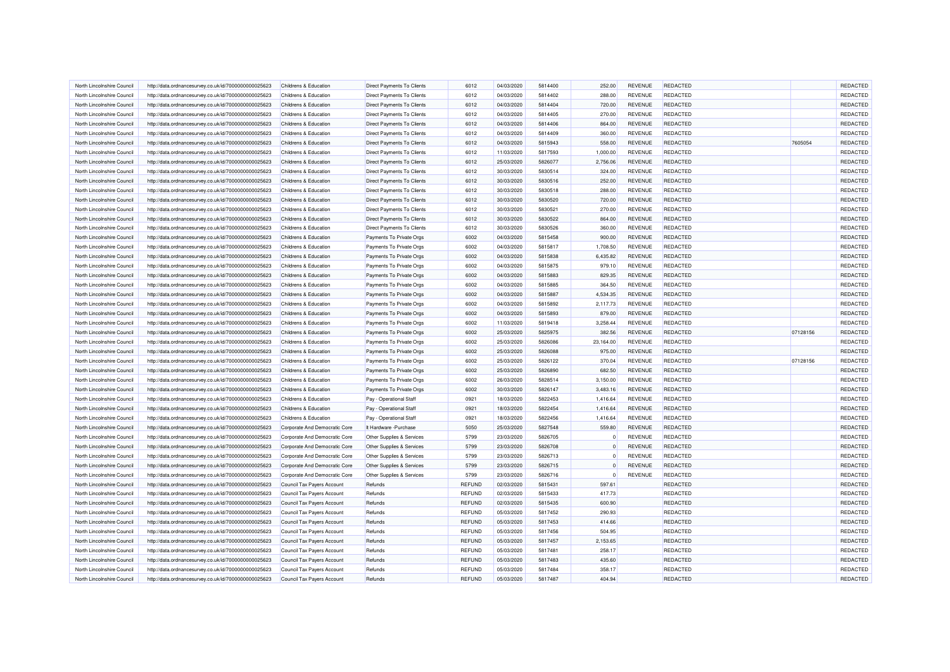| North Lincolnshire Council                               | http://data.ordnancesurvey.co.uk/id/7000000000025623 | <b>Childrens &amp; Education</b>               | Direct Payments To Clients        | 6012          | 04/03/2020               | 5814400            | 252.00             | REVENUE                   | <b>REDACTED</b>                    |          | REDACTED |
|----------------------------------------------------------|------------------------------------------------------|------------------------------------------------|-----------------------------------|---------------|--------------------------|--------------------|--------------------|---------------------------|------------------------------------|----------|----------|
| North Lincolnshire Council                               | http://data.ordnancesurvey.co.uk/id/7000000000025623 | Childrens & Education                          | <b>Direct Payments To Clients</b> | 6012          | 04/03/2020               | 5814402            | 288.00             | REVENUE                   | <b>REDACTED</b>                    |          | REDACTED |
| North Lincolnshire Council                               | http://data.ordnancesurvey.co.uk/id/7000000000025623 | <b>Childrens &amp; Education</b>               | Direct Payments To Clients        | 6012          | 04/03/2020               | 5814404            | 720.00             | REVENUE                   | REDACTED                           |          | REDACTED |
| North Lincolnshire Council                               | http://data.ordnancesurvey.co.uk/id/7000000000025623 | Childrens & Education                          | Direct Payments To Clients        | 6012          | 04/03/2020               | 5814405            | 270.00             | <b>REVENUE</b>            | REDACTED                           |          | REDACTED |
| North Lincolnshire Council                               | http://data.ordnancesurvey.co.uk/id/7000000000025623 | Childrens & Education                          | Direct Payments To Clients        | 6012          | 04/03/2020               | 5814406            | 864.00             | REVENUE                   | <b>REDACTED</b>                    |          | REDACTED |
| North Lincolnshire Council                               | http://data.ordnancesurvey.co.uk/id/7000000000025623 | Childrens & Education                          | Direct Payments To Clients        | 6012          | 04/03/2020               | 5814409            | 360.00             | <b>REVENUE</b>            | <b>REDACTED</b>                    |          | REDACTED |
| North Lincolnshire Council                               | http://data.ordnancesurvey.co.uk/id/7000000000025623 | Childrens & Education                          | Direct Payments To Clients        | 6012          | 04/03/2020               | 5815943            | 558.00             | <b>REVENUE</b>            | <b>REDACTED</b>                    | 7605054  | REDACTED |
| North Lincolnshire Council                               | http://data.ordnancesurvey.co.uk/id/7000000000025623 | Childrens & Education                          | Direct Payments To Clients        | 6012          | 11/03/2020               | 5817593            | 1,000.00           | REVENUE                   | REDACTED                           |          | REDACTED |
| North Lincolnshire Council                               | http://data.ordnancesurvey.co.uk/id/7000000000025623 | <b>Childrens &amp; Education</b>               | <b>Direct Payments To Clients</b> | 6012          | 25/03/2020               | 5826077            | 2,756.06           | <b>REVENUE</b>            | <b>REDACTED</b>                    |          | REDACTED |
| North Lincolnshire Council                               | http://data.ordnancesurvey.co.uk/id/7000000000025623 | Childrens & Education                          | Direct Payments To Clients        | 6012          | 30/03/2020               | 5830514            | 324.00             | <b>REVENUE</b>            | <b>REDACTED</b>                    |          | REDACTED |
| North Lincolnshire Council                               | http://data.ordnancesurvey.co.uk/id/7000000000025623 | Childrens & Education                          | <b>Direct Payments To Clients</b> | 6012          | 30/03/2020               | 5830516            | 252.00             | <b>REVENUE</b>            | <b>REDACTED</b>                    |          | REDACTED |
| North Lincolnshire Council                               | http://data.ordnancesurvey.co.uk/id/7000000000025623 | Childrens & Education                          | Direct Payments To Clients        | 6012          | 30/03/2020               | 5830518            | 288.00             | REVENUE                   | REDACTED                           |          | REDACTED |
| North Lincolnshire Council                               | http://data.ordnancesurvey.co.uk/id/7000000000025623 | Childrens & Education                          | Direct Payments To Clients        | 6012          | 30/03/2020               | 5830520            | 720.00             | REVENUE                   | REDACTED                           |          | REDACTED |
| North Lincolnshire Council                               | http://data.ordnancesurvey.co.uk/id/7000000000025623 | Childrens & Education                          | Direct Payments To Clients        | 6012          | 30/03/2020               | 5830521            | 270.00             | REVENUE                   | <b>REDACTED</b>                    |          | REDACTED |
| North Lincolnshire Council                               | http://data.ordnancesurvey.co.uk/id/7000000000025623 | Childrens & Education                          | Direct Payments To Clients        | 6012          | 30/03/2020               | 5830522            | 864.00             | <b>REVENUE</b>            | <b>REDACTED</b>                    |          | REDACTED |
| North Lincolnshire Council                               | http://data.ordnancesurvey.co.uk/id/7000000000025623 | Childrens & Education                          | Direct Payments To Clients        | 6012          | 30/03/2020               | 5830526            | 360.00             | REVENUE                   | <b>REDACTED</b>                    |          | REDACTED |
| North Lincolnshire Council                               | http://data.ordnancesurvey.co.uk/id/7000000000025623 | Childrens & Education                          | Payments To Private Orgs          | 6002          | 04/03/2020               | 5815458            | 900.00             | <b>REVENUE</b>            | <b>REDACTED</b>                    |          | REDACTED |
| North Lincolnshire Council                               | http://data.ordnancesurvey.co.uk/id/7000000000025623 | Childrens & Education                          | Payments To Private Orgs          | 6002          | 04/03/2020               | 5815817            | 1,708.50           | <b>REVENUE</b>            | <b>REDACTED</b>                    |          | REDACTED |
| North Lincolnshire Council                               | http://data.ordnancesurvey.co.uk/id/7000000000025623 | Childrens & Education                          | Payments To Private Orgs          | 6002          | 04/03/2020               | 5815838            | 6,435.82           | REVENUE                   | <b>REDACTED</b>                    |          | REDACTED |
| North Lincolnshire Council                               | http://data.ordnancesurvey.co.uk/id/7000000000025623 | Childrens & Education                          | Payments To Private Orgs          | 6002          | 04/03/2020               | 5815875            | 979.10             | REVENUE                   | REDACTED                           |          | REDACTED |
| North Lincolnshire Council                               | http://data.ordnancesurvey.co.uk/id/7000000000025623 | Childrens & Education                          | Payments To Private Orgs          | 6002          | 04/03/2020               | 5815883            | 829.35             | <b>REVENUE</b>            | <b>REDACTED</b>                    |          | REDACTED |
| North Lincolnshire Council                               | http://data.ordnancesurvey.co.uk/id/7000000000025623 | Childrens & Education                          | Payments To Private Orgs          | 6002          | 04/03/2020               | 5815885            | 364.50             | REVENUE                   | <b>REDACTED</b>                    |          | REDACTED |
| North Lincolnshire Council                               | http://data.ordnancesurvey.co.uk/id/7000000000025623 | Childrens & Education                          | Payments To Private Orgs          | 6002          | 04/03/2020               | 5815887            | 4,534.35           | <b>REVENUE</b>            | <b>REDACTED</b>                    |          | REDACTED |
| North Lincolnshire Council                               |                                                      |                                                |                                   | 6002          |                          | 5815892            |                    |                           |                                    |          | REDACTED |
| North Lincolnshire Council                               | http://data.ordnancesurvey.co.uk/id/7000000000025623 | Childrens & Education<br>Childrens & Education | Payments To Private Orgs          | 6002          | 04/03/2020<br>04/03/2020 | 5815893            | 2,117.73<br>879.00 | REVENUE<br><b>REVENUE</b> | <b>REDACTED</b><br><b>REDACTED</b> |          | REDACTED |
|                                                          | http://data.ordnancesurvey.co.uk/id/7000000000025623 |                                                | Payments To Private Orgs          |               |                          |                    |                    |                           |                                    |          |          |
| North Lincolnshire Council                               | http://data.ordnancesurvey.co.uk/id/7000000000025623 | Childrens & Education                          | Payments To Private Orgs          | 6002          | 11/03/2020               | 5819418<br>5825975 | 3,258.44           | REVENUE                   | <b>REDACTED</b>                    |          | REDACTED |
| North Lincolnshire Council                               | http://data.ordnancesurvey.co.uk/id/7000000000025623 | Childrens & Education                          | Payments To Private Orgs          | 6002<br>6002  | 25/03/2020               | 5826086            | 382.56             | <b>REVENUE</b>            | <b>REDACTED</b>                    | 07128156 | REDACTED |
| North Lincolnshire Council                               | http://data.ordnancesurvey.co.uk/id/7000000000025623 | Childrens & Education                          | Payments To Private Orgs          |               | 25/03/2020               |                    | 23,164.00          | REVENUE                   | REDACTED                           |          | REDACTED |
| North Lincolnshire Council<br>North Lincolnshire Council | http://data.ordnancesurvey.co.uk/id/7000000000025623 | Childrens & Education                          | Payments To Private Orgs          | 6002          | 25/03/2020               | 5826088<br>5826122 | 975.00             | <b>REVENUE</b>            | <b>REDACTED</b>                    |          | REDACTED |
|                                                          | http://data.ordnancesurvey.co.uk/id/7000000000025623 | Childrens & Education                          | Payments To Private Orgs          | 6002          | 25/03/2020               |                    | 370.04             | REVENUE                   | <b>REDACTED</b>                    | 07128156 | REDACTED |
| North Lincolnshire Council                               | http://data.ordnancesurvey.co.uk/id/7000000000025623 | Childrens & Education                          | Payments To Private Orgs          | 6002          | 25/03/2020               | 5826890            | 682.50             | <b>REVENUE</b>            | <b>REDACTED</b>                    |          | REDACTED |
| North Lincolnshire Council                               | http://data.ordnancesurvey.co.uk/id/7000000000025623 | Childrens & Education                          | Payments To Private Orgs          | 6002          | 26/03/2020               | 5828514            | 3,150.00           | REVENUE                   | <b>REDACTED</b>                    |          | REDACTED |
| North Lincolnshire Council                               | http://data.ordnancesurvey.co.uk/id/7000000000025623 | Childrens & Education                          | Payments To Private Orgs          | 6002          | 30/03/2020               | 5826147            | 3,483.16           | <b>REVENUE</b>            | <b>REDACTED</b>                    |          | REDACTED |
| North Lincolnshire Council                               | http://data.ordnancesurvey.co.uk/id/7000000000025623 | Childrens & Education                          | Pay - Operational Staff           | 0921          | 18/03/2020               | 5822453            | 1,416.64           | REVENUE                   | REDACTED                           |          | REDACTED |
| North Lincolnshire Council                               | http://data.ordnancesurvey.co.uk/id/7000000000025623 | Childrens & Education                          | Pay - Operational Staff           | 0921          | 18/03/2020               | 5822454            | 1,416.64           | REVENUE                   | <b>REDACTED</b>                    |          | REDACTED |
| North Lincolnshire Council                               | http://data.ordnancesurvey.co.uk/id/7000000000025623 | Childrens & Education                          | Pay - Operational Staff           | 0921          | 18/03/2020               | 5822456            | 1,416.64           | <b>REVENUE</b>            | <b>REDACTED</b>                    |          | REDACTED |
| North Lincolnshire Council                               | http://data.ordnancesurvey.co.uk/id/7000000000025623 | Corporate And Democratic Core                  | It Hardware - Purchase            | 5050          | 25/03/2020               | 5827548            | 559.80             | <b>REVENUE</b>            | <b>REDACTED</b>                    |          | REDACTED |
| North Lincolnshire Council                               | http://data.ordnancesurvey.co.uk/id/7000000000025623 | Corporate And Democratic Core                  | Other Supplies & Services         | 5799          | 23/03/2020               | 5826705            | $\Omega$           | REVENUE                   | <b>REDACTED</b>                    |          | REDACTED |
| North Lincolnshire Council                               | http://data.ordnancesurvey.co.uk/id/7000000000025623 | Corporate And Democratic Core                  | Other Supplies & Services         | 5799          | 23/03/2020               | 5826708            | $\Omega$           | <b>REVENUE</b>            | REDACTED                           |          | REDACTED |
| North Lincolnshire Council                               | http://data.ordnancesurvey.co.uk/id/7000000000025623 | Corporate And Democratic Core                  | Other Supplies & Services         | 5799          | 23/03/2020               | 5826713            | $\Omega$           | REVENUE                   | REDACTED                           |          | REDACTED |
| North Lincolnshire Council                               | http://data.ordnancesurvey.co.uk/id/7000000000025623 | Corporate And Democratic Core                  | Other Supplies & Services         | 5799          | 23/03/2020               | 5826715            | $\Omega$           | REVENUE                   | <b>REDACTED</b>                    |          | REDACTED |
| North Lincolnshire Council                               | http://data.ordnancesurvey.co.uk/id/7000000000025623 | Corporate And Democratic Core                  | Other Supplies & Services         | 5799          | 23/03/2020               | 5826716            |                    | <b>REVENUE</b>            | REDACTED                           |          | REDACTED |
| North Lincolnshire Council                               | http://data.ordnancesurvey.co.uk/id/7000000000025623 | Council Tax Payers Account                     | Refunds                           | REFUND        | 02/03/2020               | 5815431            | 597.61             |                           | <b>REDACTED</b>                    |          | REDACTED |
| North Lincolnshire Council                               | http://data.ordnancesurvey.co.uk/id/7000000000025623 | Council Tax Payers Account                     | Refunds                           | REFUND        | 02/03/2020               | 5815433            | 417.73             |                           | <b>REDACTED</b>                    |          | REDACTED |
| North Lincolnshire Council                               | http://data.ordnancesurvey.co.uk/id/7000000000025623 | Council Tax Payers Account                     | Refunds                           | REFUND        | 02/03/2020               | 5815435            | 600.90             |                           | REDACTED                           |          | REDACTED |
| North Lincolnshire Council                               | http://data.ordnancesurvey.co.uk/id/7000000000025623 | Council Tax Payers Account                     | Refunds                           | REFUND        | 05/03/2020               | 5817452            | 290.93             |                           | REDACTED                           |          | REDACTED |
| North Lincolnshire Council                               | http://data.ordnancesurvey.co.uk/id/7000000000025623 | Council Tax Payers Account                     | Refunds                           | REFUND        | 05/03/2020               | 5817453            | 414.66             |                           | REDACTED                           |          | REDACTED |
| North Lincolnshire Council                               | http://data.ordnancesurvey.co.uk/id/7000000000025623 | Council Tax Payers Account                     | Refunds                           | REFUND        | 05/03/2020               | 5817456            | 504.95             |                           | REDACTED                           |          | REDACTED |
| North Lincolnshire Council                               | http://data.ordnancesurvey.co.uk/id/7000000000025623 | Council Tax Payers Account                     | Refunds                           | REFUND        | 05/03/2020               | 5817457            | 2,153.65           |                           | REDACTED                           |          | REDACTED |
| North Lincolnshire Council                               | http://data.ordnancesurvey.co.uk/id/7000000000025623 | Council Tax Payers Account                     | Refunds                           | REFUND        | 05/03/2020               | 5817481            | 258.17             |                           | <b>REDACTED</b>                    |          | REDACTED |
| North Lincolnshire Council                               | http://data.ordnancesurvey.co.uk/id/7000000000025623 | Council Tax Payers Account                     | Refunds                           | <b>REFUND</b> | 05/03/2020               | 5817483            | 435.60             |                           | REDACTED                           |          | REDACTED |
| North Lincolnshire Council                               | http://data.ordnancesurvey.co.uk/id/7000000000025623 | Council Tax Payers Account                     | Refunds                           | REFUND        | 05/03/2020               | 5817484            | 358.17             |                           | <b>REDACTED</b>                    |          | REDACTED |
| North Lincolnshire Council                               | http://data.ordnancesurvey.co.uk/id/7000000000025623 | Council Tax Payers Account                     | Refunds                           | <b>REFUND</b> | 05/03/2020               | 5817487            | 404.94             |                           | <b>REDACTED</b>                    |          | REDACTED |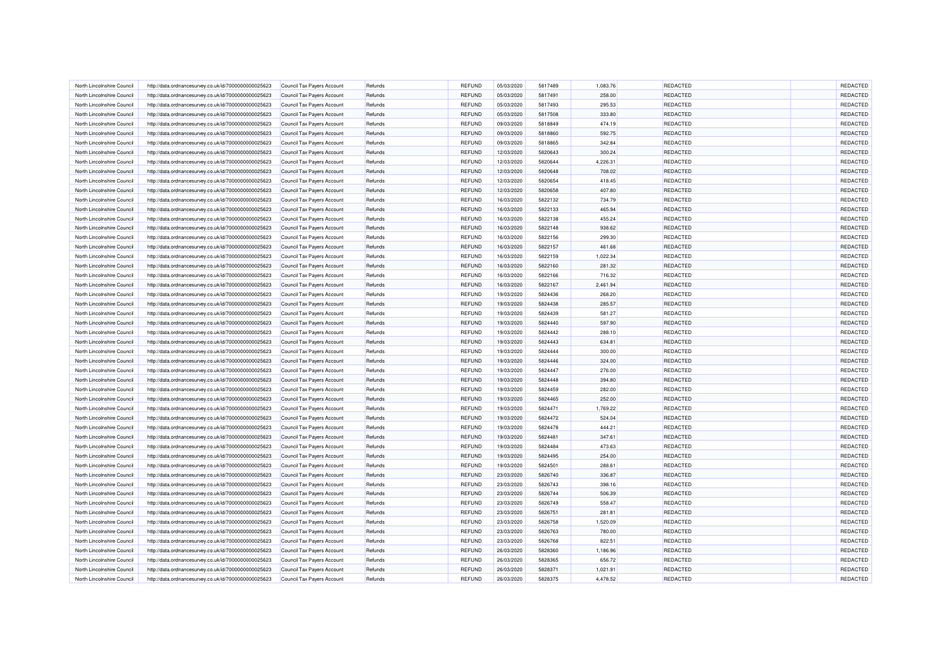| North Lincolnshire Council                               | http://data.ordnancesurvey.co.uk/id/7000000000025623<br><b>Council Tax Payers Account</b>                                                         | Refunds            | <b>REFUND</b>                  | 05/03/2020 | 5817489            | 1,083.76         | REDACTED                    | REDACTED             |
|----------------------------------------------------------|---------------------------------------------------------------------------------------------------------------------------------------------------|--------------------|--------------------------------|------------|--------------------|------------------|-----------------------------|----------------------|
| North Lincolnshire Council                               | http://data.ordnancesurvey.co.uk/id/7000000000025623<br>Council Tax Payers Account                                                                | Refunds            | <b>REFUND</b>                  | 05/03/2020 | 5817491            | 258.00           | <b>REDACTED</b>             | REDACTED             |
| North Lincolnshire Council                               | http://data.ordnancesurvey.co.uk/id/7000000000025623<br><b>Council Tax Payers Account</b>                                                         | Refunds            | <b>REFUND</b>                  | 05/03/2020 | 5817493            | 295.53           | REDACTED                    | REDACTED             |
| North Lincolnshire Council                               | http://data.ordnancesurvey.co.uk/id/7000000000025623<br><b>Council Tax Payers Account</b>                                                         | Refunds            | <b>REFUND</b>                  | 05/03/2020 | 5817508            | 333.80           | REDACTED                    | REDACTED             |
| North Lincolnshire Council                               | http://data.ordnancesurvey.co.uk/id/7000000000025623<br>Council Tax Payers Account                                                                | Refunds            | <b>REFUND</b>                  | 09/03/2020 | 5818849            | 474.19           | REDACTED                    | REDACTED             |
| North Lincolnshire Council                               | http://data.ordnancesurvey.co.uk/id/7000000000025623<br>Council Tax Payers Account                                                                | Refunds            | <b>REFUND</b>                  | 09/03/2020 | 5818860            | 592.75           | <b>REDACTED</b>             | REDACTED             |
| North Lincolnshire Council                               | Council Tax Payers Account<br>http://data.ordnancesurvey.co.uk/id/7000000000025623                                                                | Refunds            | <b>REFUND</b>                  | 09/03/2020 | 5818865            | 342.84           | REDACTED                    | REDACTED             |
| North Lincolnshire Council                               | http://data.ordnancesurvey.co.uk/id/7000000000025623<br>Council Tax Payers Account                                                                | Refunds            | <b>REFUND</b>                  | 12/03/2020 | 5820643            | 300.24           | REDACTED                    | REDACTED             |
| North Lincolnshire Council                               | http://data.ordnancesurvey.co.uk/id/7000000000025623<br><b>Council Tax Payers Account</b>                                                         | Refunds            | <b>REFUND</b>                  | 12/03/2020 | 5820644            | 4,226.31         | REDACTED                    | REDACTED             |
| North Lincolnshire Council                               | http://data.ordnancesurvey.co.uk/id/7000000000025623<br>Council Tax Payers Account                                                                | Refunds            | <b>REFUND</b>                  | 12/03/2020 | 5820648            | 708.02           | <b>REDACTED</b>             | REDACTED             |
| North Lincolnshire Council                               | http://data.ordnancesurvey.co.uk/id/7000000000025623<br><b>Council Tax Payers Account</b>                                                         | Refunds            | <b>REFUND</b>                  | 12/03/2020 | 5820654            | 418.45           | REDACTED                    | REDACTED             |
| North Lincolnshire Council                               | http://data.ordnancesurvey.co.uk/id/7000000000025623<br><b>Council Tax Payers Account</b>                                                         | Refunds            | <b>REFUND</b>                  | 12/03/2020 | 5820658            | 407.80           | REDACTED                    | REDACTED             |
| North Lincolnshire Council                               | http://data.ordnancesurvey.co.uk/id/7000000000025623<br>Council Tax Payers Account                                                                | Refunds            | <b>REFUND</b>                  | 16/03/2020 | 5822132            | 734.79           | REDACTED                    | REDACTED             |
| North Lincolnshire Council                               | http://data.ordnancesurvey.co.uk/id/7000000000025623<br>Council Tax Payers Account                                                                | Refunds            | <b>REFUND</b>                  | 16/03/2020 | 5822133            | 465.94           | REDACTED                    | REDACTED             |
| North Lincolnshire Council                               | http://data.ordnancesurvey.co.uk/id/7000000000025623<br>Council Tax Payers Account                                                                | Refunds            | <b>REFUND</b>                  | 16/03/2020 | 5822138            | 455.24           | <b>REDACTED</b>             | REDACTED             |
| North Lincolnshire Council                               | http://data.ordnancesurvey.co.uk/id/7000000000025623<br>Council Tax Payers Account                                                                | Refunds            | <b>REFUND</b>                  | 16/03/2020 | 5822148            | 938.62           | REDACTED                    | REDACTED             |
| North Lincolnshire Council                               | http://data.ordnancesurvey.co.uk/id/7000000000025623<br>Council Tax Payers Account                                                                | Refunds            | <b>REFUND</b>                  | 16/03/2020 | 5822156            | 299.30           | <b>REDACTED</b>             | REDACTED             |
| North Lincolnshire Council                               | http://data.ordnancesurvey.co.uk/id/7000000000025623<br>Council Tax Payers Account                                                                | Refunds            | <b>REFUND</b>                  | 16/03/2020 | 5822157            | 461.68           | REDACTED                    | REDACTED             |
| North Lincolnshire Council                               | http://data.ordnancesurvey.co.uk/id/7000000000025623<br>Council Tax Payers Account                                                                | Refunds            | <b>REFUND</b>                  | 16/03/2020 | 5822159            | 1,022.34         | REDACTED                    | REDACTED             |
| North Lincolnshire Council                               | http://data.ordnancesurvey.co.uk/id/7000000000025623<br><b>Council Tax Payers Account</b>                                                         | Refunds            | <b>REFUND</b>                  | 16/03/2020 | 5822160            | 281.32           | REDACTED                    | REDACTED             |
| North Lincolnshire Council                               | http://data.ordnancesurvey.co.uk/id/7000000000025623<br>Council Tax Payers Account                                                                | Refunds            | <b>REFUND</b>                  | 16/03/2020 | 5822166            | 716.32           | <b>REDACTED</b>             | REDACTED             |
| North Lincolnshire Council                               | http://data.ordnancesurvey.co.uk/id/7000000000025623<br>Council Tax Payers Account                                                                | Refunds            | <b>REFUND</b>                  | 16/03/2020 | 5822167            | 2.461.94         | REDACTED                    | REDACTED             |
| North Lincolnshire Council                               | http://data.ordnancesurvey.co.uk/id/7000000000025623<br>Council Tax Payers Account                                                                | Refunds            | <b>REFUND</b>                  | 19/03/2020 | 5824436            | 268.20           | <b>REDACTED</b>             | REDACTED             |
| North Lincolnshire Council                               | http://data.ordnancesurvey.co.uk/id/7000000000025623<br>Council Tax Payers Account                                                                | Refunds            | <b>REFUND</b>                  | 19/03/2020 | 5824438            | 285.57           | REDACTED                    | REDACTED             |
| North Lincolnshire Council                               | http://data.ordnancesurvey.co.uk/id/7000000000025623<br>Council Tax Payers Account                                                                | Refunds            | <b>REFUND</b>                  | 19/03/2020 | 5824439            | 581.27           | REDACTED                    | REDACTED             |
| North Lincolnshire Council                               | http://data.ordnancesurvey.co.uk/id/7000000000025623<br>Council Tax Payers Account                                                                | Refunds            | <b>REFUND</b>                  | 19/03/2020 | 5824440            | 597.90           | REDACTED                    | REDACTED             |
| North Lincolnshire Council                               | http://data.ordnancesurvey.co.uk/id/7000000000025623<br>Council Tax Payers Account                                                                | Refunds            | <b>REFUND</b>                  | 19/03/2020 | 5824442            | 288.10           | <b>REDACTED</b>             | REDACTED             |
| North Lincolnshire Council                               | http://data.ordnancesurvey.co.uk/id/7000000000025623<br><b>Council Tax Payers Account</b>                                                         | Refunds            | <b>REFUND</b>                  | 19/03/2020 | 5824443            | 634.81           | REDACTED                    | REDACTED             |
| North Lincolnshire Council                               | http://data.ordnancesurvey.co.uk/id/7000000000025623<br>Council Tax Payers Account                                                                | Refunds            | <b>REFUND</b>                  | 19/03/2020 | 5824444            | 300.00           | <b>REDACTED</b>             | REDACTED             |
| North Lincolnshire Council                               | http://data.ordnancesurvey.co.uk/id/7000000000025623<br>Council Tax Payers Account                                                                | Refunds            | <b>REFUND</b>                  | 19/03/2020 | 5824446            | 324.00           | REDACTED                    | REDACTED             |
| North Lincolnshire Council                               | http://data.ordnancesurvey.co.uk/id/7000000000025623<br><b>Council Tax Payers Account</b>                                                         | Refunds            | <b>REFUND</b>                  | 19/03/2020 | 5824447            | 276.00           | REDACTED                    | REDACTED             |
| North Lincolnshire Council                               | http://data.ordnancesurvey.co.uk/id/7000000000025623<br>Council Tax Payers Account                                                                | Refunds            | <b>REFUND</b>                  | 19/03/2020 | 5824448            | 394.80           | REDACTED                    | REDACTED             |
| North Lincolnshire Council                               | http://data.ordnancesurvey.co.uk/id/7000000000025623<br>Council Tax Payers Account                                                                | Refunds            | <b>REFUND</b>                  | 19/03/2020 | 5824459            | 282.00           | <b>REDACTED</b>             | REDACTED             |
| North Lincolnshire Council                               | http://data.ordnancesurvey.co.uk/id/7000000000025623<br>Council Tax Payers Account                                                                | Refunds            | <b>REFUND</b>                  | 19/03/2020 | 5824465            | 252.00           | REDACTED                    | REDACTED             |
| North Lincolnshire Council                               | Council Tax Payers Account                                                                                                                        | Refunds            | REFUND                         | 19/03/2020 | 5824471            | 1,769.22         | REDACTED                    | REDACTED             |
| North Lincolnshire Council                               | http://data.ordnancesurvey.co.uk/id/7000000000025623<br>http://data.ordnancesurvey.co.uk/id/7000000000025623<br><b>Council Tax Payers Account</b> | Refunds            | <b>REFUND</b>                  | 19/03/2020 | 5824472            | 524.04           | REDACTED                    | REDACTED             |
| North Lincolnshire Council                               | http://data.ordnancesurvey.co.uk/id/7000000000025623<br>Council Tax Payers Account                                                                | Refunds            | <b>REFUND</b>                  | 19/03/2020 | 5824478            | 444.21           | <b>REDACTED</b>             | REDACTED             |
| North Lincolnshire Council                               | http://data.ordnancesurvey.co.uk/id/7000000000025623<br><b>Council Tax Payers Account</b>                                                         | Refunds            | <b>REFUND</b>                  | 19/03/2020 | 5824481            | 347.61           | REDACTED                    | REDACTED             |
| North Lincolnshire Council                               | http://data.ordnancesurvey.co.uk/id/7000000000025623<br>Council Tax Payers Account                                                                | Refunds            | <b>REFUND</b>                  | 19/03/2020 | 5824484            | 473.63           | REDACTED                    | REDACTED             |
| North Lincolnshire Council                               | http://data.ordnancesurvey.co.uk/id/7000000000025623                                                                                              |                    | <b>REFUND</b>                  | 19/03/2020 | 5824495            | 254.00           | REDACTED                    | REDACTED             |
|                                                          | Council Tax Payers Account                                                                                                                        | Refunds            | <b>REFUND</b>                  | 19/03/2020 | 5824501            | 288.61           |                             | REDACTED             |
| North Lincolnshire Council                               | http://data.ordnancesurvey.co.uk/id/7000000000025623<br>Council Tax Payers Account                                                                | Refunds            |                                |            |                    |                  | REDACTED                    |                      |
| North Lincolnshire Council<br>North Lincolnshire Council | http://data.ordnancesurvey.co.uk/id/7000000000025623<br>Council Tax Payers Account                                                                | Refunds<br>Refunds | <b>REFUND</b><br><b>REFUND</b> | 23/03/2020 | 5826740<br>5826743 | 336.87<br>398.16 | REDACTED<br><b>REDACTED</b> | REDACTED<br>REDACTED |
|                                                          | http://data.ordnancesurvey.co.uk/id/7000000000025623<br>Council Tax Payers Account                                                                |                    |                                | 23/03/2020 |                    |                  |                             |                      |
| North Lincolnshire Council                               | http://data.ordnancesurvey.co.uk/id/7000000000025623<br>Council Tax Payers Account                                                                | Refunds            | <b>REFUND</b>                  | 23/03/2020 | 5826744            | 506.39           | <b>REDACTED</b>             | <b>REDACTED</b>      |
| North Lincolnshire Council                               | http://data.ordnancesurvey.co.uk/id/7000000000025623<br>Council Tax Payers Account                                                                | Refunds            | <b>REFUND</b>                  | 23/03/2020 | 5826749            | 558.47           | REDACTED                    | REDACTED             |
| North Lincolnshire Council                               | http://data.ordnancesurvey.co.uk/id/7000000000025623<br>Council Tax Payers Account                                                                | Refunds            | <b>REFUND</b>                  | 23/03/2020 | 5826751            | 281.81           | REDACTED                    | REDACTED             |
| North Lincolnshire Council                               | http://data.ordnancesurvey.co.uk/id/7000000000025623<br><b>Council Tax Payers Account</b>                                                         | Refunds            | <b>REFUND</b>                  | 23/03/2020 | 5826758            | 1,520.09         | REDACTED                    | REDACTED             |
| North Lincolnshire Council                               | http://data.ordnancesurvey.co.uk/id/7000000000025623<br>Council Tax Payers Account                                                                | Refunds            | <b>REFUND</b>                  | 23/03/2020 | 5826763            | 780.00           | REDACTED                    | REDACTED             |
| North Lincolnshire Council                               | http://data.ordnancesurvey.co.uk/id/7000000000025623<br>Council Tax Payers Account                                                                | Refunds            | <b>REFUND</b>                  | 23/03/2020 | 5826768            | 822.51           | REDACTED                    | REDACTED             |
| North Lincolnshire Council                               | http://data.ordnancesurvey.co.uk/id/7000000000025623<br>Council Tax Payers Account                                                                | Refunds            | <b>REFUND</b>                  | 26/03/2020 | 5828360            | 1,186.96         | <b>REDACTED</b>             | REDACTED             |
| North Lincolnshire Council                               | http://data.ordnancesurvey.co.uk/id/7000000000025623<br>Council Tax Payers Account                                                                | Refunds            | <b>REFUND</b>                  | 26/03/2020 | 5828365            | 656.72           | REDACTED                    | REDACTED             |
| North Lincolnshire Council                               | http://data.ordnancesurvey.co.uk/id/7000000000025623<br>Council Tax Payers Account                                                                | Refunds            | <b>REFUND</b>                  | 26/03/2020 | 5828371            | 1,021.91         | REDACTED                    | REDACTED             |
| North Lincolnshire Council                               | http://data.ordnancesurvey.co.uk/id/7000000000025623<br>Council Tax Payers Account                                                                | Refunds            | <b>REFUND</b>                  | 26/03/2020 | 5828375            | 4,478.52         | REDACTED                    | REDACTED             |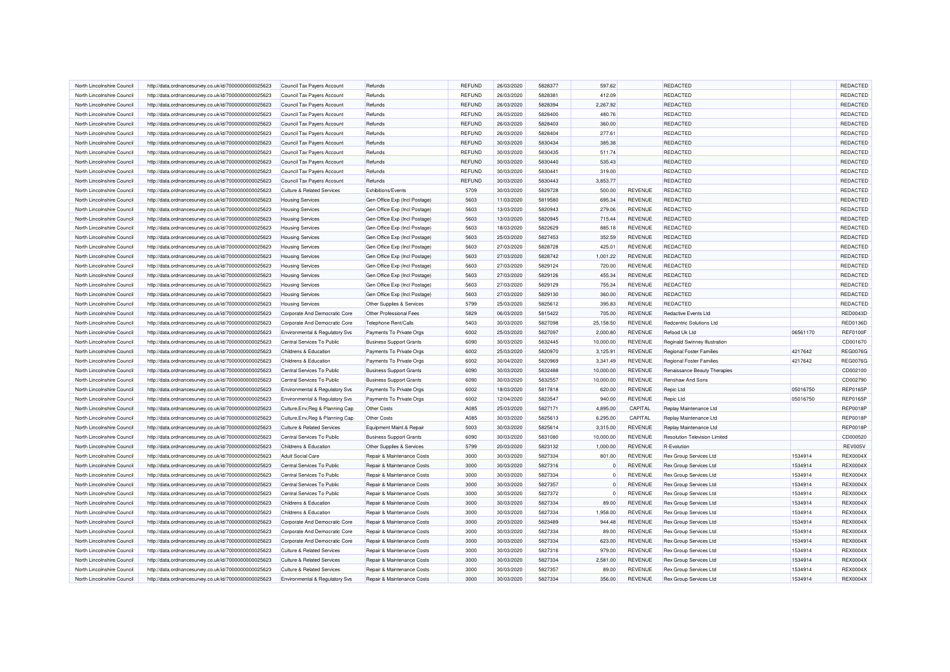| North Lincolnshire Council | http://data.ordnancesurvey.co.uk/id/7000000000025623 | Council Tax Payers Account            | Refunds                        | REFUND        | 26/03/2020 | 5828377            | 597.62    |                | <b>REDACTED</b>                      |          | REDACTED        |
|----------------------------|------------------------------------------------------|---------------------------------------|--------------------------------|---------------|------------|--------------------|-----------|----------------|--------------------------------------|----------|-----------------|
| North Lincolnshire Council | http://data.ordnancesurvey.co.uk/id/7000000000025623 | Council Tax Payers Account            | Refunds                        | REFUND        | 26/03/2020 | 5828381            | 412.09    |                | <b>REDACTED</b>                      |          | REDACTED        |
| North Lincolnshire Council | http://data.ordnancesurvey.co.uk/id/7000000000025623 | Council Tax Payers Account            | Refunds                        | <b>REFUND</b> | 26/03/2020 | 5828394            | 2,267.92  |                | <b>REDACTED</b>                      |          | REDACTED        |
| North Lincolnshire Council | http://data.ordnancesurvey.co.uk/id/7000000000025623 | Council Tax Payers Account            | Refunds                        | <b>REFUND</b> | 26/03/2020 | 5828400            | 480.76    |                | REDACTED                             |          | REDACTED        |
| North Lincolnshire Council | http://data.ordnancesurvey.co.uk/id/7000000000025623 | Council Tax Payers Account            | Refunds                        | <b>REFUND</b> | 26/03/2020 | 5828403            | 360.00    |                | REDACTED                             |          | REDACTED        |
| North Lincolnshire Council | http://data.ordnancesurvey.co.uk/id/7000000000025623 | Council Tax Payers Account            | Refunds                        | <b>REFUND</b> | 26/03/2020 | 5828404            | 277.61    |                | <b>REDACTED</b>                      |          | REDACTED        |
| North Lincolnshire Council | http://data.ordnancesurvey.co.uk/id/7000000000025623 | Council Tax Payers Account            | Refunds                        | REFUND        | 30/03/2020 | 5830434            | 385.38    |                | <b>REDACTED</b>                      |          | REDACTED        |
| North Lincolnshire Council | http://data.ordnancesurvey.co.uk/id/7000000000025623 | Council Tax Payers Account            | Refunds                        | REFUND        | 30/03/2020 | 5830435            | 511.74    |                | REDACTED                             |          | REDACTED        |
| North Lincolnshire Council | http://data.ordnancesurvey.co.uk/id/7000000000025623 | Council Tax Payers Account            | Refunds                        | REFUND        | 30/03/2020 | 5830440            | 535.43    |                | REDACTED                             |          | REDACTED        |
| North Lincolnshire Council | http://data.ordnancesurvey.co.uk/id/7000000000025623 | Council Tax Payers Account            | Refunds                        | <b>REFUND</b> | 30/03/2020 | 5830441            | 319.00    |                | <b>REDACTED</b>                      |          | REDACTED        |
| North Lincolnshire Council | http://data.ordnancesurvey.co.uk/id/7000000000025623 | Council Tax Payers Account            | Refunds                        | REFUND        | 30/03/2020 | 5830443            | 3,853.77  |                | <b>REDACTED</b>                      |          | REDACTED        |
| North Lincolnshire Council | http://data.ordnancesurvey.co.uk/id/7000000000025623 | <b>Culture &amp; Related Services</b> | Exhibitions/Events             | 5709          | 30/03/2020 | 5829728            | 500.00    | <b>REVENUE</b> | <b>REDACTED</b>                      |          | REDACTED        |
| North Lincolnshire Council | http://data.ordnancesurvey.co.uk/id/7000000000025623 | <b>Housing Services</b>               | Gen Office Exp (Incl Postage)  | 5603          | 11/03/2020 | 5819580            | 695.34    | REVENUE        | <b>REDACTED</b>                      |          | REDACTED        |
| North Lincolnshire Council | http://data.ordnancesurvey.co.uk/id/7000000000025623 | <b>Housing Services</b>               | Gen Office Exp (Incl Postage)  | 5603          | 13/03/2020 | 5820943            | 279.06    | REVENUE        | REDACTED                             |          | REDACTED        |
| North Lincolnshire Council | http://data.ordnancesurvey.co.uk/id/7000000000025623 | <b>Housing Services</b>               | Gen Office Exp (Incl Postage)  | 5603          | 13/03/2020 | 5820945            | 715.44    | REVENUE        | REDACTED                             |          | REDACTED        |
| North Lincolnshire Council | http://data.ordnancesurvey.co.uk/id/7000000000025623 | <b>Housing Services</b>               | Gen Office Exp (Incl Postage)  | 5603          | 18/03/2020 | 5822629            | 885.18    | REVENUE        | <b>REDACTED</b>                      |          | REDACTED        |
| North Lincolnshire Council | http://data.ordnancesurvey.co.uk/id/7000000000025623 | <b>Housing Services</b>               | Gen Office Exp (Incl Postage)  | 5603          | 25/03/2020 | 5827453            | 352.59    | REVENUE        | <b>REDACTED</b>                      |          | REDACTED        |
| North Lincolnshire Council | http://data.ordnancesurvey.co.uk/id/7000000000025623 | <b>Housing Services</b>               | Gen Office Exp (Incl Postage)  | 5603          | 27/03/2020 | 5828728            | 425.01    | <b>REVENUE</b> | <b>REDACTED</b>                      |          | REDACTED        |
| North Lincolnshire Council | http://data.ordnancesurvey.co.uk/id/7000000000025623 | <b>Housing Services</b>               | Gen Office Exp (Incl Postage)  | 5603          | 27/03/2020 | 5828742            | 1,001.22  | REVENUE        | <b>REDACTED</b>                      |          | REDACTED        |
| North Lincolnshire Council | http://data.ordnancesurvey.co.uk/id/7000000000025623 | <b>Housing Services</b>               | Gen Office Exp (Incl Postage)  | 5603          | 27/03/2020 | 5829124            | 720.00    | REVENUE        | <b>REDACTED</b>                      |          | REDACTED        |
| North Lincolnshire Council | http://data.ordnancesurvey.co.uk/id/7000000000025623 | <b>Housing Services</b>               | Gen Office Exp (Incl Postage)  | 5603          | 27/03/2020 | 5829126            | 455.34    | <b>REVENUE</b> | <b>REDACTED</b>                      |          | REDACTED        |
| North Lincolnshire Council | http://data.ordnancesurvey.co.uk/id/7000000000025623 | <b>Housing Services</b>               | Gen Office Exp (Incl Postage)  | 5603          | 27/03/2020 | 5829129            | 755.34    | REVENUE        | <b>REDACTED</b>                      |          | REDACTED        |
| North Lincolnshire Council | http://data.ordnancesurvey.co.uk/id/7000000000025623 | <b>Housing Services</b>               | Gen Office Exp (Incl Postage)  | 5603          | 27/03/2020 | 5829130            | 360.00    | <b>REVENUE</b> | <b>REDACTED</b>                      |          | REDACTED        |
| North Lincolnshire Council | http://data.ordnancesurvey.co.uk/id/7000000000025623 | <b>Housing Services</b>               | Other Supplies & Services      | 5799          | 25/03/2020 | 5825612            | 395.83    | <b>REVENUE</b> | <b>REDACTED</b>                      |          | REDACTED        |
| North Lincolnshire Council | http://data.ordnancesurvey.co.uk/id/7000000000025623 | Corporate And Democratic Core         | Other Professional Fees        | 5829          | 06/03/2020 | 5815422            | 705.00    | <b>REVENUE</b> | Redactive Events Ltd                 |          | RED0043D        |
| North Lincolnshire Council | http://data.ordnancesurvey.co.uk/id/7000000000025623 | Corporate And Democratic Core         | Telephone Rent/Calls           | 5403          | 30/03/2020 | 5827098            | 25,158.50 | <b>REVENUE</b> | Redcentric Solutions Ltd             |          | <b>RED0136D</b> |
| North Lincolnshire Council | http://data.ordnancesurvey.co.uk/id/7000000000025623 | Environmental & Regulatory Svs        | Payments To Private Orgs       | 6002          | 25/03/2020 | 5827097            | 2,000.80  | <b>REVENUE</b> | Refood Uk Ltd                        | 06561170 | <b>REF0100F</b> |
| North Lincolnshire Council | http://data.ordnancesurvey.co.uk/id/7000000000025623 | Central Services To Public            | <b>Business Support Grants</b> | 6090          | 30/03/2020 | 5832445            | 10,000.00 | REVENUE        | Reginald Swinney Illustration        |          | CD001670        |
| North Lincolnshire Council | http://data.ordnancesurvey.co.uk/id/7000000000025623 | Childrens & Education                 | Payments To Private Orgs       | 6002          | 25/03/2020 | 5820970            | 3,125.91  | <b>REVENUE</b> | <b>Regional Foster Families</b>      | 4217642  | <b>REG0076G</b> |
| North Lincolnshire Council | http://data.ordnancesurvey.co.uk/id/7000000000025623 | <b>Childrens &amp; Education</b>      | Payments To Private Orgs       | 6002          | 30/04/2020 | 5820969            | 3,341.49  | <b>REVENUE</b> | <b>Regional Foster Families</b>      | 4217642  | <b>REG00760</b> |
| North Lincolnshire Council | http://data.ordnancesurvey.co.uk/id/7000000000025623 | Central Services To Public            | <b>Business Support Grants</b> | 6090          | 30/03/2020 | 5832488            | 10,000.00 | REVENUE        | Renaissance Beauty Therapies         |          | CD002100        |
| North Lincolnshire Council | http://data.ordnancesurvey.co.uk/id/7000000000025623 | Central Services To Public            |                                | 6090          | 30/03/2020 | 5832557            | 10,000.00 | REVENUE        | Renshaw And Sons                     |          | CD002790        |
| North Lincolnshire Council |                                                      |                                       | <b>Business Support Grants</b> | 6002          |            |                    |           | <b>REVENUE</b> |                                      | 05016750 | <b>REP0165P</b> |
| North Lincolnshire Council | http://data.ordnancesurvey.co.uk/id/7000000000025623 | Environmental & Regulatory Svs        | Payments To Private Orgs       | 6002          | 18/03/2020 | 5817818<br>5823547 | 620.00    |                | Repic Ltd                            |          |                 |
|                            | http://data.ordnancesurvey.co.uk/id/7000000000025623 | Environmental & Regulatory Svs        | Payments To Private Orgs       |               | 12/04/2020 |                    | 940.00    | REVENUE        | Repic Ltd                            | 05016750 | <b>REP0165P</b> |
| North Lincolnshire Council | http://data.ordnancesurvey.co.uk/id/7000000000025623 | Culture, Env, Reg & Planning Cap      | <b>Other Costs</b>             | A085          | 25/03/2020 | 5827171            | 4,895.00  | CAPITAL        | Replay Maintenance Ltd               |          | <b>REP0018P</b> |
| North Lincolnshire Council | http://data.ordnancesurvey.co.uk/id/7000000000025623 | Culture, Env, Reg & Planning Cap      | <b>Other Costs</b>             | A085          | 30/03/2020 | 5825613            | 6,295.00  | CAPITAL        | Replay Maintenance Ltd               |          | <b>REP0018P</b> |
| North Lincolnshire Council | http://data.ordnancesurvey.co.uk/id/7000000000025623 | <b>Culture &amp; Related Services</b> | Equipment Maint.& Repair       | 5003          | 30/03/2020 | 5825614            | 3,315.00  | REVENUE        | Replay Maintenance Ltd               |          | <b>REP0018P</b> |
| North Lincolnshire Council | http://data.ordnancesurvey.co.uk/id/7000000000025623 | Central Services To Public            | <b>Business Support Grants</b> | 6090          | 30/03/2020 | 5831080            | 10,000.00 | <b>REVENUE</b> | <b>Resolution Television Limited</b> |          | CD000520        |
| North Lincolnshire Council | http://data.ordnancesurvey.co.uk/id/7000000000025623 | Childrens & Education                 | Other Supplies & Services      | 5799          | 20/03/2020 | 5823132            | 1,000.00  | REVENUE        | R-Evolution                          |          | REV005V         |
| North Lincolnshire Council | http://data.ordnancesurvey.co.uk/id/7000000000025623 | <b>Adult Social Care</b>              | Repair & Maintenance Costs     | 3000          | 30/03/2020 | 5827334            | 801.00    | REVENUE        | Rex Group Services Ltd               | 1534914  | <b>REX0004X</b> |
| North Lincolnshire Council | http://data.ordnancesurvey.co.uk/id/7000000000025623 | Central Services To Public            | Repair & Maintenance Costs     | 3000          | 30/03/2020 | 5827316            |           | REVENUE        | Rex Group Services Ltd               | 1534914  | <b>REX0004X</b> |
| North Lincolnshire Council | http://data.ordnancesurvey.co.uk/id/7000000000025623 | Central Services To Public            | Repair & Maintenance Costs     | 3000          | 30/03/2020 | 5827334            | $\Omega$  | REVENUE        | Rex Group Services Ltd               | 1534914  | <b>REX0004X</b> |
| North Lincolnshire Council | http://data.ordnancesurvey.co.uk/id/7000000000025623 | Central Services To Public            | Repair & Maintenance Costs     | 3000          | 30/03/2020 | 5827357            | $\Omega$  | REVENUE        | Rex Group Services Ltd               | 1534914  | <b>REX0004X</b> |
| North Lincolnshire Council | http://data.ordnancesurvey.co.uk/id/7000000000025623 | Central Services To Public            | Repair & Maintenance Costs     | 3000          | 30/03/2020 | 5827372            |           | <b>REVENUE</b> | Rex Group Services Ltd               | 1534914  | <b>REX0004X</b> |
| North Lincolnshire Council | http://data.ordnancesurvey.co.uk/id/7000000000025623 | Childrens & Education                 | Repair & Maintenance Costs     | 3000          | 30/03/2020 | 5827334            | 89.00     | REVENUE        | Rex Group Services Ltd               | 1534914  | <b>REX0004X</b> |
| North Lincolnshire Council | http://data.ordnancesurvey.co.uk/id/7000000000025623 | Childrens & Education                 | Repair & Maintenance Costs     | 3000          | 30/03/2020 | 5827334            | 1,958.00  | <b>REVENUE</b> | Rex Group Services Ltd               | 1534914  | <b>REX0004X</b> |
| North Lincolnshire Council | http://data.ordnancesurvey.co.uk/id/7000000000025623 | Corporate And Democratic Core         | Repair & Maintenance Costs     | 3000          | 20/03/2020 | 5823489            | 944.48    | REVENUE        | Rex Group Services Ltd               | 1534914  | <b>REX0004X</b> |
| North Lincolnshire Council | http://data.ordnancesurvey.co.uk/id/7000000000025623 | Corporate And Democratic Core         | Repair & Maintenance Costs     | 3000          | 30/03/2020 | 5827334            | 89.00     | <b>REVENUE</b> | Rex Group Services Ltd               | 1534914  | <b>REX0004X</b> |
| North Lincolnshire Council | http://data.ordnancesurvey.co.uk/id/7000000000025623 | Corporate And Democratic Core         | Repair & Maintenance Costs     | 3000          | 30/03/2020 | 5827334            | 623.00    | REVENUE        | Rex Group Services Ltd               | 1534914  | <b>REX0004X</b> |
| North Lincolnshire Council | http://data.ordnancesurvey.co.uk/id/7000000000025623 | <b>Culture &amp; Related Services</b> | Repair & Maintenance Costs     | 3000          | 30/03/2020 | 5827316            | 979.00    | REVENUE        | Rex Group Services Ltd               | 1534914  | <b>REX0004X</b> |
| North Lincolnshire Council | http://data.ordnancesurvey.co.uk/id/7000000000025623 | <b>Culture &amp; Related Services</b> | Repair & Maintenance Costs     | 3000          | 30/03/2020 | 5827334            | 2,581.00  | REVENUE        | Rex Group Services Ltd               | 1534914  | <b>REX0004X</b> |
| North Lincolnshire Council | http://data.ordnancesurvey.co.uk/id/7000000000025623 | <b>Culture &amp; Related Services</b> | Repair & Maintenance Costs     | 3000          | 30/03/2020 | 5827357            | 89.00     | <b>REVENUE</b> | Rex Group Services Ltd               | 1534914  | <b>REX0004X</b> |
| North Lincolnshire Council | http://data.ordnancesurvey.co.uk/id/7000000000025623 | Environmental & Regulatory Svs        | Repair & Maintenance Costs     | 3000          | 30/03/2020 | 5827334            | 356.00    | <b>REVENUE</b> | Rex Group Services Ltd               | 1534914  | <b>REX0004X</b> |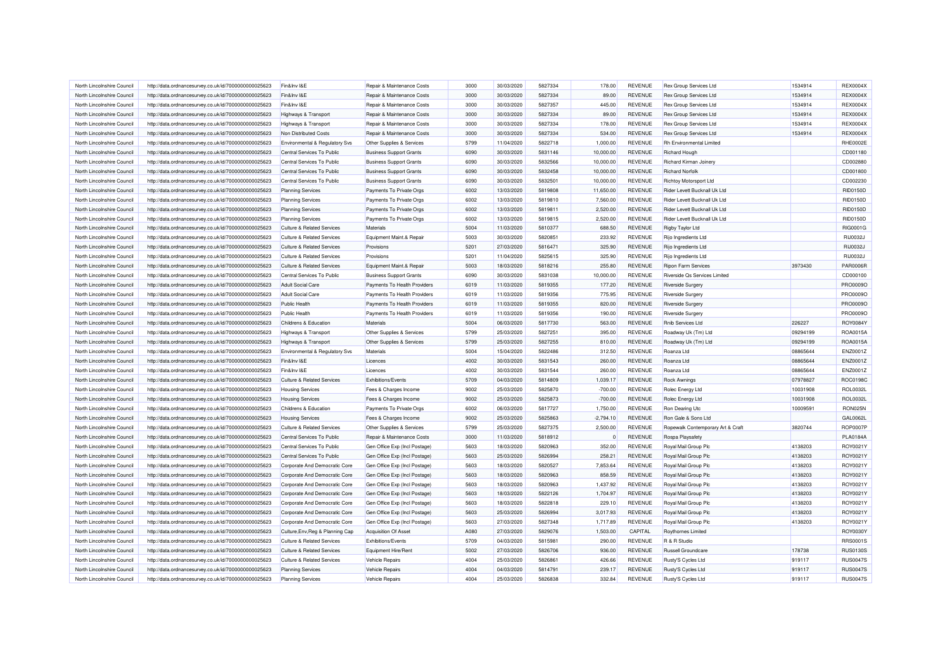| North Lincolnshire Council | http://data.ordnancesurvey.co.uk/id/7000000000025623 | Fin&Inv I&E                               | Repair & Maintenance Costs            | 3000 | 30/03/2020 | 5827334 | 178.00      | REVENUE        | Rex Group Services Ltd            | 1534914  | <b>REX0004X</b> |
|----------------------------|------------------------------------------------------|-------------------------------------------|---------------------------------------|------|------------|---------|-------------|----------------|-----------------------------------|----------|-----------------|
| North Lincolnshire Council | http://data.ordnancesurvey.co.uk/id/7000000000025623 | Fin&Inv I&E                               | Repair & Maintenance Costs            | 3000 | 30/03/2020 | 5827334 | 89.00       | REVENUE        | Rex Group Services Ltd            | 1534914  | <b>REX0004X</b> |
| North Lincolnshire Council | http://data.ordnancesurvey.co.uk/id/7000000000025623 | Fin&Inv I&E                               | Repair & Maintenance Costs            | 3000 | 30/03/2020 | 5827357 | 445.00      | REVENUE        | Rex Group Services Ltd            | 1534914  | <b>REX0004X</b> |
| North Lincolnshire Council | http://data.ordnancesurvey.co.uk/id/7000000000025623 | Highways & Transport                      | Repair & Maintenance Costs            | 3000 | 30/03/2020 | 5827334 | 89.00       | REVENUE        | Rex Group Services Ltd            | 1534914  | <b>REX0004X</b> |
| North Lincolnshire Council | http://data.ordnancesurvey.co.uk/id/7000000000025623 | Highways & Transport                      | Repair & Maintenance Costs            | 3000 | 30/03/2020 | 5827334 | 178.00      | <b>REVENUE</b> | Rex Group Services Ltd            | 1534914  | <b>REX0004X</b> |
| North Lincolnshire Council | http://data.ordnancesurvey.co.uk/id/7000000000025623 | Non Distributed Costs                     | Repair & Maintenance Costs            | 3000 | 30/03/2020 | 5827334 | 534.00      | REVENUE        | Rex Group Services Ltd            | 1534914  | <b>REX0004X</b> |
| North Lincolnshire Council | http://data.ordnancesurvey.co.uk/id/7000000000025623 | <b>Environmental &amp; Regulatory Svs</b> | Other Supplies & Services             | 5799 | 11/04/2020 | 5822718 | 1,000.00    | <b>REVENUE</b> | <b>Rh Environmental Limited</b>   |          | <b>RHE0002E</b> |
| North Lincolnshire Council | http://data.ordnancesurvey.co.uk/id/7000000000025623 | Central Services To Public                | <b>Business Support Grants</b>        | 6090 | 30/03/2020 | 5831146 | 10,000.00   | <b>REVENUE</b> | <b>Richard Hough</b>              |          | CD001180        |
| North Lincolnshire Council | http://data.ordnancesurvey.co.uk/id/7000000000025623 | Central Services To Public                | <b>Business Support Grants</b>        | 6090 | 30/03/2020 | 5832566 | 10,000.00   | REVENUE        | Richard Kirman Joinery            |          | CD002880        |
| North Lincolnshire Council | http://data.ordnancesurvey.co.uk/id/7000000000025623 | Central Services To Public                | <b>Business Support Grants</b>        | 6090 | 30/03/2020 | 5832458 | 10,000.00   | REVENUE        | <b>Richard Norfolk</b>            |          | CD001800        |
| North Lincolnshire Council | http://data.ordnancesurvey.co.uk/id/7000000000025623 | Central Services To Public                | <b>Business Support Grants</b>        | 6090 | 30/03/2020 | 5832501 | 10,000.00   | REVENUE        | <b>Richtoy Motorsport Ltd</b>     |          | CD002230        |
| North Lincolnshire Council | http://data.ordnancesurvey.co.uk/id/7000000000025623 | <b>Planning Services</b>                  | Payments To Private Orgs              | 6002 | 13/03/2020 | 5819808 | 11,650.00   | REVENUE        | Rider Levett Bucknall Uk Ltd      |          | RID0150D        |
| North Lincolnshire Council | http://data.ordnancesurvey.co.uk/id/7000000000025623 | <b>Planning Services</b>                  | Payments To Private Orgs              | 6002 | 13/03/2020 | 5819810 | 7,560.00    | <b>REVENUE</b> | Rider Levett Bucknall Uk Ltd      |          | RID0150D        |
| North Lincolnshire Council | http://data.ordnancesurvey.co.uk/id/7000000000025623 | <b>Planning Services</b>                  | Payments To Private Orgs              | 6002 | 13/03/2020 | 5819811 | 2,520.00    | REVENUE        | Rider Levett Bucknall Uk Ltd      |          | RID0150D        |
| North Lincolnshire Council | http://data.ordnancesurvey.co.uk/id/7000000000025623 | <b>Planning Services</b>                  |                                       | 6002 | 13/03/2020 | 5819815 | 2,520.00    | REVENUE        | Rider Levett Bucknall Uk Ltd      |          | RID0150D        |
| North Lincolnshire Council | http://data.ordnancesurvey.co.uk/id/7000000000025623 | <b>Culture &amp; Related Services</b>     | Payments To Private Orgs<br>Materials | 5004 | 11/03/2020 | 5810377 | 688.50      | REVENUE        | <b>Rigby Taylor Ltd</b>           |          | RIG0001G        |
| North Lincolnshire Council |                                                      | <b>Culture &amp; Related Services</b>     |                                       | 5003 | 30/03/2020 | 5820851 |             | REVENUE        |                                   |          | RIJ0032J        |
|                            | http://data.ordnancesurvey.co.uk/id/7000000000025623 |                                           | Equipment Maint.& Repair              | 5201 | 27/03/2020 | 5816471 | 233.92      | REVENUE        | Rijo Ingredients Ltd              |          | RIJ0032J        |
| North Lincolnshire Council | http://data.ordnancesurvey.co.uk/id/7000000000025623 | <b>Culture &amp; Related Services</b>     | Provisions                            |      |            |         | 325.90      |                | Rijo Ingredients Ltd              |          |                 |
| North Lincolnshire Council | http://data.ordnancesurvey.co.uk/id/7000000000025623 | <b>Culture &amp; Related Services</b>     | Provisions                            | 5201 | 11/04/2020 | 5825615 | 325.90      | <b>REVENUE</b> | Rijo Ingredients Ltd              |          | RIJ0032J        |
| North Lincolnshire Council | http://data.ordnancesurvey.co.uk/id/7000000000025623 | <b>Culture &amp; Related Services</b>     | Equipment Maint.& Repair              | 5003 | 18/03/2020 | 5818216 | 255.80      | REVENUE        | Ripon Farm Services               | 3973430  | <b>PAR0006F</b> |
| North Lincolnshire Council | http://data.ordnancesurvey.co.uk/id/7000000000025623 | Central Services To Public                | <b>Business Support Grants</b>        | 6090 | 30/03/2020 | 5831038 | 10,000.00   | <b>REVENUE</b> | Riverside Qs Services Limited     |          | CD000100        |
| North Lincolnshire Council | http://data.ordnancesurvey.co.uk/id/7000000000025623 | <b>Adult Social Care</b>                  | Payments To Health Providers          | 6019 | 11/03/2020 | 5819355 | 177.20      | REVENUE        | Riverside Surgery                 |          | PRO0009O        |
| North Lincolnshire Council | http://data.ordnancesurvey.co.uk/id/7000000000025623 | <b>Adult Social Care</b>                  | Payments To Health Providers          | 6019 | 11/03/2020 | 5819356 | 775.95      | <b>REVENUE</b> | Riverside Surgery                 |          | PRO0009O        |
| North Lincolnshire Council | http://data.ordnancesurvey.co.uk/id/7000000000025623 | <b>Public Health</b>                      | Payments To Health Providers          | 6019 | 11/03/2020 | 5819355 | 820.00      | REVENUE        | <b>Riverside Surgery</b>          |          | PRO0009C        |
| North Lincolnshire Council | http://data.ordnancesurvey.co.uk/id/7000000000025623 | <b>Public Health</b>                      | Payments To Health Providers          | 6019 | 11/03/2020 | 5819356 | 190.00      | REVENUE        | Riverside Surgery                 |          | PRO0009O        |
| North Lincolnshire Council | http://data.ordnancesurvey.co.uk/id/7000000000025623 | Childrens & Education                     | Materials                             | 5004 | 06/03/2020 | 5817730 | 563.00      | REVENUE        | <b>Rnib Services Ltd</b>          | 226227   | ROY0084Y        |
| North Lincolnshire Council | http://data.ordnancesurvey.co.uk/id/7000000000025623 | Highways & Transport                      | Other Supplies & Services             | 5799 | 25/03/2020 | 5827251 | 395.00      | <b>REVENUE</b> | Roadway Uk (Tm) Ltd               | 09294199 | ROA0015A        |
| North Lincolnshire Council | http://data.ordnancesurvey.co.uk/id/7000000000025623 | Highways & Transport                      | Other Supplies & Services             | 5799 | 25/03/2020 | 5827255 | 810.00      | REVENUE        | Roadway Uk (Tm) Ltd               | 09294199 | ROA0015A        |
| North Lincolnshire Council | http://data.ordnancesurvey.co.uk/id/7000000000025623 | Environmental & Regulatory Svs            | Materials                             | 5004 | 15/04/2020 | 5822486 | 312.50      | <b>REVENUE</b> | Roanza Ltd                        | 08865644 | ENZ0001Z        |
| North Lincolnshire Council | http://data.ordnancesurvey.co.uk/id/7000000000025623 | Fin&Inv I&E                               | Licences                              | 4002 | 30/03/2020 | 5831543 | 260.00      | REVENUE        | Roanza Ltd                        | 08865644 | ENZ0001Z        |
| North Lincolnshire Council | http://data.ordnancesurvey.co.uk/id/7000000000025623 | Fin&Inv I&E                               | Licences                              | 4002 | 30/03/2020 | 5831544 | 260.00      | REVENUE        | Roanza I td                       | 08865644 | ENZ0001Z        |
| North Lincolnshire Council | http://data.ordnancesurvey.co.uk/id/7000000000025623 | <b>Culture &amp; Related Services</b>     | Exhibitions/Events                    | 5709 | 04/03/2020 | 5814809 | 1,039.17    | REVENUE        | <b>Rock Awnings</b>               | 07978827 | ROC0198C        |
| North Lincolnshire Council | http://data.ordnancesurvey.co.uk/id/7000000000025623 | <b>Housing Services</b>                   | Fees & Charges Income                 | 9002 | 25/03/2020 | 5825870 | $-700.00$   | REVENUE        | Rolec Energy Ltd                  | 10031908 | ROL0032L        |
| North Lincolnshire Council | http://data.ordnancesurvey.co.uk/id/7000000000025623 | <b>Housing Services</b>                   | Fees & Charges Income                 | 9002 | 25/03/2020 | 5825873 | $-700.00$   | REVENUE        | Rolec Energy Ltd                  | 10031908 | ROL0032L        |
| North Lincolnshire Council | http://data.ordnancesurvey.co.uk/id/7000000000025623 | Childrens & Education                     | Payments To Private Orgs              | 6002 | 06/03/2020 | 5817727 | 1,750.00    | <b>REVENUE</b> | Ron Dearing Utc                   | 10009591 | RON025N         |
| North Lincolnshire Council | http://data.ordnancesurvey.co.uk/id/7000000000025623 | <b>Housing Services</b>                   | Fees & Charges Income                 | 9002 | 25/03/2020 | 5825863 | $-2,794.10$ | REVENUE        | Ron Gale & Sons Ltd               |          | GAL0062L        |
| North Lincolnshire Council | http://data.ordnancesurvey.co.uk/id/7000000000025623 | <b>Culture &amp; Related Services</b>     | Other Supplies & Services             | 5799 | 25/03/2020 | 5827375 | 2,500.00    | <b>REVENUE</b> | Ropewalk Contemporary Art & Craft | 3820744  | <b>ROP0007F</b> |
| North Lincolnshire Council | http://data.ordnancesurvey.co.uk/id/7000000000025623 | Central Services To Public                | Repair & Maintenance Costs            | 3000 | 11/03/2020 | 5818912 | C           | REVENUE        | Rospa Playsafety                  |          | <b>PLA0184A</b> |
| North Lincolnshire Council | http://data.ordnancesurvey.co.uk/id/7000000000025623 | Central Services To Public                | Gen Office Exp (Incl Postage)         | 5603 | 18/03/2020 | 5820963 | 352.00      | REVENUE        | Royal Mail Group Plc              | 4138203  | ROY0021Y        |
| North Lincolnshire Council | http://data.ordnancesurvey.co.uk/id/7000000000025623 | Central Services To Public                | Gen Office Exp (Incl Postage)         | 5603 | 25/03/2020 | 5826994 | 258.21      | REVENUE        | Royal Mail Group Plc              | 4138203  | ROY0021Y        |
| North Lincolnshire Council | http://data.ordnancesurvey.co.uk/id/7000000000025623 | Corporate And Democratic Core             | Gen Office Exp (Incl Postage)         | 5603 | 18/03/2020 | 5820527 | 7,853.64    | <b>REVENUE</b> | Royal Mail Group Plc              | 4138203  | ROY0021Y        |
| North Lincolnshire Council | http://data.ordnancesurvey.co.uk/id/7000000000025623 | Corporate And Democratic Core             | Gen Office Exp (Incl Postage)         | 5603 | 18/03/2020 | 5820963 | 858.59      | <b>REVENUE</b> | Royal Mail Group Plc              | 4138203  | ROY0021Y        |
| North Lincolnshire Council | http://data.ordnancesurvey.co.uk/id/7000000000025623 | Corporate And Democratic Core             | Gen Office Exp (Incl Postage)         | 5603 | 18/03/2020 | 5820963 | 1,437.92    | <b>REVENUE</b> | Royal Mail Group Plc              | 4138203  | ROY0021Y        |
| North Lincolnshire Council | http://data.ordnancesurvey.co.uk/id/7000000000025623 | Corporate And Democratic Core             | Gen Office Exp (Incl Postage)         | 5603 | 18/03/2020 | 5822126 | 1,704.97    | REVENUE        | Royal Mail Group Plc              | 4138203  | ROY0021Y        |
| North Lincolnshire Council | http://data.ordnancesurvey.co.uk/id/7000000000025623 | Corporate And Democratic Core             | Gen Office Exp (Incl Postage)         | 5603 | 18/03/2020 | 5822818 | 229.10      | <b>REVENUE</b> | Royal Mail Group Plc              | 4138203  | ROY0021Y        |
| North Lincolnshire Council | http://data.ordnancesurvey.co.uk/id/7000000000025623 | Corporate And Democratic Core             | Gen Office Exp (Incl Postage)         | 5603 | 25/03/2020 | 5826994 | 3,017.93    | <b>REVENUE</b> | Royal Mail Group Plc              | 4138203  | ROY0021Y        |
| North Lincolnshire Council | http://data.ordnancesurvey.co.uk/id/7000000000025623 | Corporate And Democratic Core             | Gen Office Exp (Incl Postage)         | 5603 | 27/03/2020 | 5827348 | 1,717.89    | <b>REVENUE</b> | Royal Mail Group Plc              | 4138203  | ROY0021Y        |
| North Lincolnshire Council | http://data.ordnancesurvey.co.uk/id/7000000000025623 | Culture, Env, Reg & Planning Cap          | <b>Acquisition Of Asset</b>           | A080 | 27/03/2020 | 5829076 | 1,503.00    | CAPITAL        | <b>Roythornes Limited</b>         |          | ROY0030Y        |
| North Lincolnshire Council | http://data.ordnancesurvey.co.uk/id/7000000000025623 | <b>Culture &amp; Related Services</b>     | Exhibitions/Events                    | 5709 | 04/03/2020 | 5815981 | 290.00      | <b>REVENUE</b> | R & R Studio                      |          | RRS0001S        |
| North Lincolnshire Council | http://data.ordnancesurvey.co.uk/id/7000000000025623 | <b>Culture &amp; Related Services</b>     | Equipment Hire/Rent                   | 5002 | 27/03/2020 | 5826706 | 936.00      | REVENUE        | <b>Russell Groundcare</b>         | 178738   | <b>RUS0130S</b> |
| North Lincolnshire Council | http://data.ordnancesurvey.co.uk/id/7000000000025623 | <b>Culture &amp; Related Services</b>     | <b>Vehicle Repairs</b>                | 4004 | 25/03/2020 | 5826861 | 426.66      | <b>REVENUE</b> | Rusty'S Cycles Ltd                | 919117   | <b>RUS0047S</b> |
| North Lincolnshire Council | http://data.ordnancesurvey.co.uk/id/7000000000025623 | <b>Planning Services</b>                  | Vehicle Repairs                       | 4004 | 04/03/2020 | 5814791 | 239.17      | REVENUE        | Rusty'S Cycles Ltd                | 919117   | <b>RUS0047S</b> |
| North Lincolnshire Council | http://data.ordnancesurvey.co.uk/id/7000000000025623 | <b>Planning Services</b>                  | <b>Vehicle Repairs</b>                | 4004 | 25/03/2020 | 5826838 | 332.84      | <b>REVENUE</b> | Rusty'S Cycles Ltd                | 919117   | <b>RUS0047S</b> |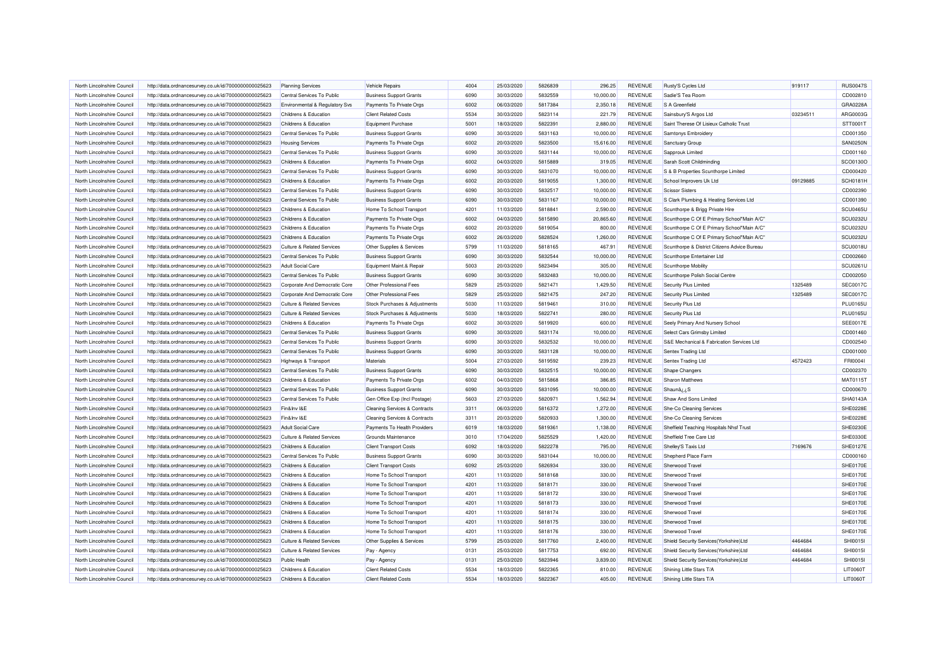| North Lincolnshire Council | http://data.ordnancesurvey.co.uk/id/7000000000025623 | <b>Planning Services</b>              | Vehicle Repairs                          | 4004 | 25/03/2020 | 5826839 | 296.25    | <b>REVENUE</b> | Rusty'S Cycles Ltd                           | 919117   | <b>RUS0047S</b> |
|----------------------------|------------------------------------------------------|---------------------------------------|------------------------------------------|------|------------|---------|-----------|----------------|----------------------------------------------|----------|-----------------|
| North Lincolnshire Council | http://data.ordnancesurvey.co.uk/id/7000000000025623 | Central Services To Public            | <b>Business Support Grants</b>           | 6090 | 30/03/2020 | 5832559 | 10,000.00 | REVENUE        | Sadie'S Tea Room                             |          | CD002810        |
| North Lincolnshire Council | http://data.ordnancesurvey.co.uk/id/7000000000025623 | Environmental & Regulatory Svs        | Payments To Private Orgs                 | 6002 | 06/03/2020 | 5817384 | 2,350.18  | <b>REVENUE</b> | S A Greenfield                               |          | GRA0228A        |
| North Lincolnshire Council | http://data.ordnancesurvey.co.uk/id/7000000000025623 | Childrens & Education                 | <b>Client Related Costs</b>              | 5534 | 30/03/2020 | 5823114 | 221.79    | REVENUE        | Sainsbury'S Argos Ltd                        | 03234511 | ARG0003G        |
| North Lincolnshire Council | http://data.ordnancesurvey.co.uk/id/7000000000025623 | Childrens & Education                 | <b>Equipment Purchase</b>                | 5001 | 18/03/2020 | 5822391 | 2,880.00  | <b>REVENUE</b> | Saint Therese Of Lisieux Catholic Trust      |          | STT0001T        |
| North Lincolnshire Council | http://data.ordnancesurvey.co.uk/id/7000000000025623 | Central Services To Public            | <b>Business Support Grants</b>           | 6090 | 30/03/2020 | 5831163 | 10,000.00 | REVENUE        | Samtonys Embroidery                          |          | CD001350        |
| North Lincolnshire Council | http://data.ordnancesurvey.co.uk/id/7000000000025623 | <b>Housing Services</b>               | Payments To Private Orgs                 | 6002 | 20/03/2020 | 5823500 | 15,616.00 | <b>REVENUE</b> | Sanctuary Group                              |          | <b>SAN0250N</b> |
| North Lincolnshire Council | http://data.ordnancesurvey.co.uk/id/7000000000025623 | Central Services To Public            | <b>Business Support Grants</b>           | 6090 | 30/03/2020 | 5831144 | 10,000.00 | REVENUE        | Sapprouk Limited                             |          | CD001160        |
| North Lincolnshire Council | http://data.ordnancesurvey.co.uk/id/7000000000025623 | Childrens & Education                 | Payments To Private Orgs                 | 6002 | 04/03/2020 | 5815889 | 319.05    | <b>REVENUE</b> | Sarah Scott Childminding                     |          | SCO0130O        |
| North Lincolnshire Council | http://data.ordnancesurvey.co.uk/id/7000000000025623 | Central Services To Public            | <b>Business Support Grants</b>           | 6090 | 30/03/2020 | 5831070 | 10,000.00 | REVENUE        | S & B Properties Scunthorpe Limited          |          | CD000420        |
| North Lincolnshire Council | http://data.ordnancesurvey.co.uk/id/7000000000025623 | Childrens & Education                 | Payments To Private Orgs                 | 6002 | 20/03/2020 | 5819055 | 1,300.00  | <b>REVENUE</b> | School Improvers Uk Ltd                      | 09129885 | SCH0181H        |
| North Lincolnshire Council | http://data.ordnancesurvey.co.uk/id/7000000000025623 | Central Services To Public            | <b>Business Support Grants</b>           | 6090 | 30/03/2020 | 5832517 | 10.000.00 | <b>REVENUE</b> | <b>Scissor Sisters</b>                       |          | CD002390        |
| North Lincolnshire Council | http://data.ordnancesurvey.co.uk/id/7000000000025623 | Central Services To Public            | <b>Business Support Grants</b>           | 6090 | 30/03/2020 | 5831167 | 10,000.00 | <b>REVENUE</b> | S Clark Plumbing & Heating Services Ltd      |          | CD001390        |
| North Lincolnshire Council | http://data.ordnancesurvey.co.uk/id/7000000000025623 | Childrens & Education                 | Home To School Transport                 | 4201 | 11/03/2020 | 5818841 | 2,590.00  | REVENUE        | Scunthorpe & Brigg Private Hire              |          | SCU0465L        |
| North Lincolnshire Council | http://data.ordnancesurvey.co.uk/id/7000000000025623 | Childrens & Education                 | Payments To Private Orgs                 | 6002 | 04/03/2020 | 5815890 | 20,865.60 | REVENUE        | Scunthorpe C Of E Primary School"Main A/C"   |          | SCU0232L        |
| North Lincolnshire Council | http://data.ordnancesurvey.co.uk/id/7000000000025623 | Childrens & Education                 | Payments To Private Orgs                 | 6002 | 20/03/2020 | 5819054 | 800.00    | REVENUE        | Scunthorpe C Of E Primary School"Main A/C"   |          | SCU0232L        |
| North Lincolnshire Council | http://data.ordnancesurvey.co.uk/id/7000000000025623 | Childrens & Education                 | Payments To Private Orgs                 | 6002 | 26/03/2020 | 5828524 | 1,260.00  | REVENUE        | Scunthorpe C Of E Primary School"Main A/C"   |          | SCU0232L        |
| North Lincolnshire Council | http://data.ordnancesurvey.co.uk/id/7000000000025623 | <b>Culture &amp; Related Services</b> | Other Supplies & Services                | 5799 | 11/03/2020 | 5818165 | 467.91    | <b>REVENUE</b> | Scunthorpe & District Citizens Advice Bureau |          | SCU0018L        |
| North Lincolnshire Council | http://data.ordnancesurvey.co.uk/id/7000000000025623 | Central Services To Public            | <b>Business Support Grants</b>           | 6090 | 30/03/2020 | 5832544 | 10,000.00 | <b>REVENUE</b> | Scunthorpe Entertainer Ltd                   |          | CD002660        |
| North Lincolnshire Council | http://data.ordnancesurvey.co.uk/id/7000000000025623 | <b>Adult Social Care</b>              | Equipment Maint.& Repair                 | 5003 | 20/03/2020 | 5823494 | 305.00    | <b>REVENUE</b> | Scunthorpe Mobility                          |          | SCU0261L        |
| North Lincolnshire Council | http://data.ordnancesurvey.co.uk/id/7000000000025623 | Central Services To Public            | <b>Business Support Grants</b>           | 6090 | 30/03/2020 | 5832483 | 10,000.00 | <b>REVENUE</b> | Scunthorpe Polish Social Centre              |          | CD002050        |
| North Lincolnshire Council | http://data.ordnancesurvey.co.uk/id/7000000000025623 | Corporate And Democratic Core         | Other Professional Fees                  | 5829 | 25/03/2020 | 5821471 | 1,429.50  | REVENUE        | Security Plus Limited                        | 1325489  | <b>SEC0017C</b> |
| North Lincolnshire Council | http://data.ordnancesurvey.co.uk/id/7000000000025623 | Corporate And Democratic Core         | Other Professional Fees                  | 5829 | 25/03/2020 | 5821475 | 247.20    | <b>REVENUE</b> | Security Plus Limited                        | 1325489  | <b>SEC0017C</b> |
| North Lincolnshire Council | http://data.ordnancesurvey.co.uk/id/7000000000025623 | <b>Culture &amp; Related Services</b> | Stock Purchases & Adjustments            | 5030 | 11/03/2020 | 5819461 | 310.00    | <b>REVENUE</b> | Security Plus Ltd                            |          | <b>PLU0165U</b> |
| North Lincolnshire Council | http://data.ordnancesurvey.co.uk/id/7000000000025623 | <b>Culture &amp; Related Services</b> | Stock Purchases & Adjustments            | 5030 | 18/03/2020 | 5822741 | 280.00    | REVENUE        | Security Plus Ltd                            |          | <b>PLU0165U</b> |
| North Lincolnshire Council | http://data.ordnancesurvey.co.uk/id/7000000000025623 | Childrens & Education                 | Payments To Private Orgs                 | 6002 | 30/03/2020 | 5819920 | 600.00    | <b>REVENUE</b> | Seely Primary And Nursery School             |          | <b>SEE0017E</b> |
| North Lincolnshire Council | http://data.ordnancesurvey.co.uk/id/7000000000025623 | Central Services To Public            | <b>Business Support Grants</b>           | 6090 | 30/03/2020 | 5831174 | 10,000.00 | <b>REVENUE</b> | Select Cars Grimsby Limited                  |          | CD001460        |
| North Lincolnshire Council | http://data.ordnancesurvey.co.uk/id/7000000000025623 | Central Services To Public            | <b>Business Support Grants</b>           | 6090 | 30/03/2020 | 5832532 | 10.000.00 | <b>REVENUE</b> | S&E Mechanical & Fabrication Services Ltd    |          | CD002540        |
| North Lincolnshire Council | http://data.ordnancesurvey.co.uk/id/7000000000025623 | Central Services To Public            | <b>Business Support Grants</b>           | 6090 | 30/03/2020 | 5831128 | 10,000.00 | REVENUE        | Sentex Trading Ltd                           |          | CD001000        |
| North Lincolnshire Council | http://data.ordnancesurvey.co.uk/id/7000000000025623 | Highways & Transport                  | Materials                                | 5004 | 27/03/2020 | 5819592 | 239.23    | REVENUE        | Sentex Trading Ltd                           | 4572423  | FRI00041        |
| North Lincolnshire Council | http://data.ordnancesurvey.co.uk/id/7000000000025623 | Central Services To Public            | <b>Business Support Grants</b>           | 6090 | 30/03/2020 | 5832515 | 10,000.00 | REVENUE        | <b>Shape Changers</b>                        |          | CD002370        |
| North Lincolnshire Council | http://data.ordnancesurvey.co.uk/id/7000000000025623 | Childrens & Education                 | Payments To Private Orgs                 | 6002 | 04/03/2020 | 5815868 | 386.85    | <b>REVENUE</b> | <b>Sharon Matthews</b>                       |          | <b>MAT0115T</b> |
| North Lincolnshire Council | http://data.ordnancesurvey.co.uk/id/7000000000025623 | Central Services To Public            | <b>Business Support Grants</b>           | 6090 | 30/03/2020 | 5831095 | 10,000.00 | REVENUE        | Shauna ¿¿S                                   |          | CD000670        |
| North Lincolnshire Council | http://data.ordnancesurvey.co.uk/id/7000000000025623 | Central Services To Public            | Gen Office Exp (Incl Postage)            | 5603 | 27/03/2020 | 5820971 | 1,562.94  | <b>REVENUE</b> | Shaw And Sons Limited                        |          | SHA0143A        |
| North Lincolnshire Council | http://data.ordnancesurvey.co.uk/id/7000000000025623 | Fin&Inv I&E                           | <b>Cleaning Services &amp; Contracts</b> | 3311 | 06/03/2020 | 5816372 | 1,272.00  | <b>REVENUE</b> | She-Co Cleaning Services                     |          | SHE0228E        |
| North Lincolnshire Council | http://data.ordnancesurvey.co.uk/id/7000000000025623 | Fin&Inv I&E                           | <b>Cleaning Services &amp; Contracts</b> | 3311 | 20/03/2020 | 5820933 | 1,300.00  | <b>REVENUE</b> | She-Co Cleaning Services                     |          | SHE0228E        |
| North Lincolnshire Council | http://data.ordnancesurvey.co.uk/id/7000000000025623 | <b>Adult Social Care</b>              | Payments To Health Providers             | 6019 | 18/03/2020 | 5819361 | 1,138.00  | REVENUE        | Sheffield Teaching Hospitals Nhsf Trust      |          | SHE0230E        |
| North Lincolnshire Council | http://data.ordnancesurvey.co.uk/id/7000000000025623 | <b>Culture &amp; Related Services</b> | Grounds Maintenance                      | 3010 | 17/04/2020 | 5825529 | 1,420.00  | REVENUE        | Sheffield Tree Care Ltd                      |          | SHE0330E        |
| North Lincolnshire Council | http://data.ordnancesurvey.co.uk/id/7000000000025623 | Childrens & Education                 | <b>Client Transport Costs</b>            | 6092 | 18/03/2020 | 5822278 | 795.00    | <b>REVENUE</b> | Shelley'S Taxis Ltd                          | 7169676  | <b>SHE0127E</b> |
| North Lincolnshire Council | http://data.ordnancesurvey.co.uk/id/7000000000025623 | Central Services To Public            | <b>Business Support Grants</b>           | 6090 | 30/03/2020 | 5831044 | 10,000.00 | <b>REVENUE</b> | Shepherd Place Farm                          |          | CD000160        |
| North Lincolnshire Council | http://data.ordnancesurvey.co.uk/id/7000000000025623 | Childrens & Education                 | <b>Client Transport Costs</b>            | 6092 | 25/03/2020 | 5826934 | 330.00    | <b>REVENUE</b> | Sherwood Travel                              |          | <b>SHE0170E</b> |
| North Lincolnshire Council | http://data.ordnancesurvey.co.uk/id/7000000000025623 | Childrens & Education                 | Home To School Transport                 | 4201 | 11/03/2020 | 5818168 | 330.00    | REVENUE        | Sherwood Travel                              |          | <b>SHE0170E</b> |
| North Lincolnshire Council | http://data.ordnancesurvey.co.uk/id/7000000000025623 | Childrens & Education                 | Home To School Transport                 | 4201 | 11/03/2020 | 5818171 | 330.00    | <b>REVENUE</b> | Sherwood Travel                              |          | SHE0170E        |
| North Lincolnshire Council | http://data.ordnancesurvey.co.uk/id/7000000000025623 | Childrens & Education                 | Home To School Transport                 | 4201 | 11/03/2020 | 5818172 | 330.00    | <b>REVENUE</b> | Sherwood Travel                              |          | <b>SHE0170E</b> |
| North Lincolnshire Council | http://data.ordnancesurvey.co.uk/id/7000000000025623 | Childrens & Education                 | Home To School Transport                 | 4201 | 11/03/2020 | 5818173 | 330.00    | <b>REVENUE</b> | Sherwood Travel                              |          | <b>SHE0170E</b> |
| North Lincolnshire Council | http://data.ordnancesurvey.co.uk/id/7000000000025623 | Childrens & Education                 | Home To School Transport                 | 4201 | 11/03/2020 | 5818174 | 330.00    | REVENUE        | Sherwood Travel                              |          | <b>SHE0170E</b> |
| North Lincolnshire Council | http://data.ordnancesurvey.co.uk/id/7000000000025623 | Childrens & Education                 | Home To School Transport                 | 4201 | 11/03/2020 | 5818175 | 330.00    | <b>REVENUE</b> | Sherwood Travel                              |          | SHE0170E        |
| North Lincolnshire Council | http://data.ordnancesurvey.co.uk/id/7000000000025623 | Childrens & Education                 | Home To School Transport                 | 4201 | 11/03/2020 | 5818176 | 330.00    | <b>REVENUE</b> | Sherwood Travel                              |          | <b>SHE0170E</b> |
| North Lincolnshire Council | http://data.ordnancesurvey.co.uk/id/7000000000025623 | <b>Culture &amp; Related Services</b> | Other Supplies & Services                | 5799 | 25/03/2020 | 5817760 | 2,400.00  | <b>REVENUE</b> | Shield Security Services(Yorkshire)Ltd       | 4464684  | <b>SHI0015I</b> |
| North Lincolnshire Council | http://data.ordnancesurvey.co.uk/id/7000000000025623 | <b>Culture &amp; Related Services</b> | Pay - Agency                             | 0131 | 25/03/2020 | 5817753 | 692.00    | <b>REVENUE</b> | Shield Security Services(Yorkshire)Ltd       | 4464684  | <b>SHI0015I</b> |
| North Lincolnshire Council | http://data.ordnancesurvey.co.uk/id/7000000000025623 | Public Health                         | Pay - Agency                             | 0131 | 25/03/2020 | 5823946 | 3,839.00  | <b>REVENUE</b> | Shield Security Services(Yorkshire)Ltd       | 4464684  | <b>SHI0015I</b> |
| North Lincolnshire Council | http://data.ordnancesurvey.co.uk/id/7000000000025623 | Childrens & Education                 | <b>Client Related Costs</b>              | 5534 | 18/03/2020 | 5822365 | 810.00    | REVENUE        | Shining Little Stars T/A                     |          | <b>LIT0060T</b> |
| North Lincolnshire Council | http://data.ordnancesurvey.co.uk/id/7000000000025623 | Childrens & Education                 | <b>Client Related Costs</b>              | 5534 | 18/03/2020 | 5822367 | 405.00    | <b>REVENUE</b> | Shining Little Stars T/A                     |          | <b>LIT0060T</b> |
|                            |                                                      |                                       |                                          |      |            |         |           |                |                                              |          |                 |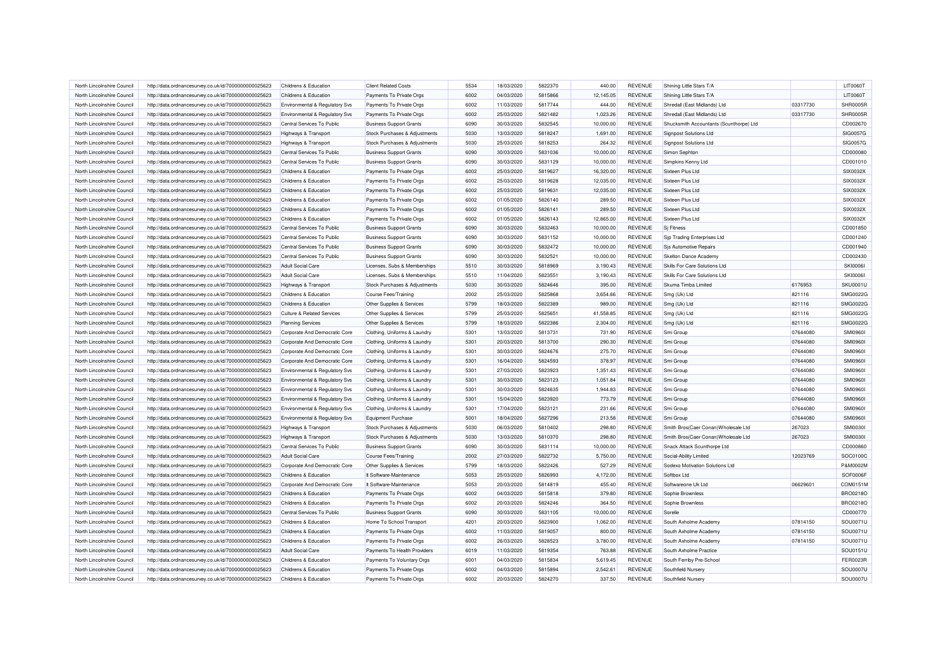| North Lincolnshire Council | http://data.ordnancesurvey.co.uk/id/7000000000025623 | Childrens & Education                 | <b>Client Related Costs</b>    | 5534         | 18/03/2020               | 5822370            | 440.00    | REVENUE                          | Shining Little Stars T/A                                       |          | <b>LIT0060T</b>                    |
|----------------------------|------------------------------------------------------|---------------------------------------|--------------------------------|--------------|--------------------------|--------------------|-----------|----------------------------------|----------------------------------------------------------------|----------|------------------------------------|
| North Lincolnshire Council | http://data.ordnancesurvey.co.uk/id/7000000000025623 | Childrens & Education                 | Payments To Private Orgs       | 6002         | 04/03/2020               | 5815866            | 12,145.05 | REVENUE                          | Shining Little Stars T/A                                       |          | <b>LIT0060T</b>                    |
| North Lincolnshire Council | http://data.ordnancesurvey.co.uk/id/7000000000025623 | Environmental & Regulatory Svs        | Payments To Private Orgs       | 6002         | 11/03/2020               | 5817744            | 444.00    | REVENUE                          | Shredall (East Midlands) Ltd                                   | 03317730 | SHR0005F                           |
| North Lincolnshire Council | http://data.ordnancesurvey.co.uk/id/7000000000025623 | Environmental & Regulatory Svs        | Payments To Private Orgs       | 6002         | 25/03/2020               | 5821482            | 1,023.26  | REVENUE                          | Shredall (East Midlands) Ltd                                   | 03317730 | SHR0005F                           |
| North Lincolnshire Council | http://data.ordnancesurvey.co.uk/id/7000000000025623 | Central Services To Public            | <b>Business Support Grants</b> | 6090         | 30/03/2020               | 5832545            | 10,000.00 | <b>REVENUE</b>                   | Shucksmith Accountants (Scunthorpe) Ltd                        |          | CD002670                           |
| North Lincolnshire Council | http://data.ordnancesurvey.co.uk/id/7000000000025623 | Highways & Transport                  | Stock Purchases & Adjustments  | 5030         | 13/03/2020               | 5818247            | 1,691.00  | REVENUE                          | Signpost Solutions Ltd                                         |          | SIG0057G                           |
| North Lincolnshire Council | http://data.ordnancesurvey.co.uk/id/7000000000025623 | Highways & Transport                  | Stock Purchases & Adjustments  | 5030         | 25/03/2020               | 5818253            | 264.32    | <b>REVENUE</b>                   | Signpost Solutions Ltd                                         |          | SIG0057G                           |
| North Lincolnshire Council | http://data.ordnancesurvey.co.uk/id/7000000000025623 | Central Services To Public            | <b>Business Support Grants</b> | 6090         | 30/03/2020               | 5831036            | 10,000.00 | REVENUE                          | Simon Sephton                                                  |          | CD000080                           |
| North Lincolnshire Council | http://data.ordnancesurvey.co.uk/id/7000000000025623 | Central Services To Public            | <b>Business Support Grants</b> | 6090         | 30/03/2020               | 5831129            | 10,000.00 | REVENUE                          | Simpkins Kenny Ltd                                             |          | CD001010                           |
| North Lincolnshire Council | http://data.ordnancesurvey.co.uk/id/7000000000025623 | Childrens & Education                 | Payments To Private Orgs       | 6002         | 25/03/2020               | 5819627            | 16,320.00 | REVENUE                          | Sixteen Plus Ltd                                               |          | SIX0032X                           |
| North Lincolnshire Council | http://data.ordnancesurvey.co.uk/id/7000000000025623 | Childrens & Education                 | Payments To Private Orgs       | 6002         | 25/03/2020               | 5819628            | 12,035.00 | REVENUE                          | Sixteen Plus Ltd                                               |          | SIX0032X                           |
| North Lincolnshire Council | http://data.ordnancesurvey.co.uk/id/7000000000025623 | Childrens & Education                 | Payments To Private Orgs       | 6002         | 25/03/2020               | 5819631            | 12,035.00 | REVENUE                          | Sixteen Plus I td                                              |          | SIX0032X                           |
| North Lincolnshire Council | http://data.ordnancesurvey.co.uk/id/7000000000025623 | Childrens & Education                 | Payments To Private Orgs       | 6002         | 01/05/2020               | 5826140            | 289.50    | REVENUE                          | Sixteen Plus Ltd                                               |          | SIX0032X                           |
| North Lincolnshire Council | http://data.ordnancesurvey.co.uk/id/7000000000025623 | Childrens & Education                 | Payments To Private Orgs       | 6002         | 01/05/2020               | 5826141            | 289.50    | REVENUE                          | Sixteen Plus Ltd                                               |          | SIX0032X                           |
| North Lincolnshire Council | http://data.ordnancesurvey.co.uk/id/7000000000025623 | Childrens & Education                 | Payments To Private Orgs       | 6002         | 01/05/2020               | 5826143            | 12,865.00 | <b>REVENUE</b>                   | Sixteen Plus Ltd                                               |          | SIX0032X                           |
| North Lincolnshire Council | http://data.ordnancesurvey.co.uk/id/7000000000025623 | Central Services To Public            | <b>Business Support Grants</b> | 6090         | 30/03/2020               | 5832463            | 10,000.00 | <b>REVENUE</b>                   | <b>Si Fitness</b>                                              |          | CD001850                           |
| North Lincolnshire Council | http://data.ordnancesurvey.co.uk/id/7000000000025623 | Central Services To Public            | <b>Business Support Grants</b> | 6090         | 30/03/2020               | 5831152            | 10,000.00 | REVENUE                          | Sjp Trading Enterprises Ltd                                    |          | CD001240                           |
| North Lincolnshire Council | http://data.ordnancesurvey.co.uk/id/7000000000025623 | Central Services To Public            | <b>Business Support Grants</b> | 6090         | 30/03/2020               | 5832472            | 10,000.00 | <b>REVENUE</b>                   | Sjs Automotive Repairs                                         |          | CD001940                           |
|                            |                                                      |                                       |                                |              |                          |                    |           |                                  |                                                                |          |                                    |
| North Lincolnshire Council | http://data.ordnancesurvey.co.uk/id/7000000000025623 | Central Services To Public            | <b>Business Support Grants</b> | 6090         | 30/03/2020               | 5832521<br>5818969 | 10,000.00 | <b>REVENUE</b><br><b>REVENUE</b> | Skelton Dance Academy                                          |          | CD002430                           |
| North Lincolnshire Council | http://data.ordnancesurvey.co.uk/id/7000000000025623 | <b>Adult Social Care</b>              | Licenses, Subs & Memberships   | 5510<br>5510 | 30/03/2020<br>11/04/2020 | 5823551            | 3,190.43  | REVENUE                          | Skills For Care Solutions Ltd<br>Skills For Care Solutions Ltd |          | <b>SKI0006I</b><br><b>SKI0006I</b> |
| North Lincolnshire Council | http://data.ordnancesurvey.co.uk/id/7000000000025623 | <b>Adult Social Care</b>              | Licenses, Subs & Memberships   |              |                          |                    | 3,190.43  |                                  |                                                                |          |                                    |
| North Lincolnshire Council | http://data.ordnancesurvey.co.uk/id/7000000000025623 | Highways & Transport                  | Stock Purchases & Adjustments  | 5030         | 30/03/2020               | 5824646            | 395.00    | <b>REVENUE</b>                   | Skuma Timba Limited                                            | 6176953  | SKU0001U                           |
| North Lincolnshire Council | http://data.ordnancesurvey.co.uk/id/7000000000025623 | Childrens & Education                 | <b>Course Fees/Training</b>    | 2002         | 25/03/2020               | 5825868            | 3,654.66  | REVENUE                          | Smg (Uk) Ltd                                                   | 821116   | SMG0022G                           |
| North Lincolnshire Council | http://data.ordnancesurvey.co.uk/id/7000000000025623 | Childrens & Education                 | Other Supplies & Services      | 5799         | 18/03/2020               | 5822389            | 989.00    | <b>REVENUE</b>                   | Smg (Uk) Ltd                                                   | 821116   | SMG0022G                           |
| North Lincolnshire Council | http://data.ordnancesurvey.co.uk/id/7000000000025623 | <b>Culture &amp; Related Services</b> | Other Supplies & Services      | 5799         | 25/03/2020               | 5825651            | 41,558.85 | REVENUE                          | Smg (Uk) Ltd                                                   | 821116   | SMG00220                           |
| North Lincolnshire Council | http://data.ordnancesurvey.co.uk/id/7000000000025623 | <b>Planning Services</b>              | Other Supplies & Services      | 5799         | 18/03/2020               | 5822386            | 2,304.00  | <b>REVENUE</b>                   | Smg (Uk) Ltd                                                   | 821116   | SMG0022G                           |
| North Lincolnshire Council | http://data.ordnancesurvey.co.uk/id/7000000000025623 | Corporate And Democratic Core         | Clothing, Uniforms & Laundry   | 5301         | 13/03/2020               | 5813731            | 731.90    | <b>REVENUE</b>                   | Smi Group                                                      | 07644080 | <b>SMI09601</b>                    |
| North Lincolnshire Council | http://data.ordnancesurvey.co.uk/id/7000000000025623 | Corporate And Democratic Core         | Clothing, Uniforms & Laundry   | 5301         | 20/03/2020               | 5813700            | 290.30    | REVENUE                          | Smi Group                                                      | 07644080 | <b>SMI09601</b>                    |
| North Lincolnshire Council | http://data.ordnancesurvey.co.uk/id/7000000000025623 | Corporate And Democratic Core         | Clothing, Uniforms & Laundry   | 5301         | 30/03/2020               | 5824676            | 275.70    | <b>REVENUE</b>                   | Smi Group                                                      | 07644080 | SMI09601                           |
| North Lincolnshire Council | http://data.ordnancesurvey.co.uk/id/7000000000025623 | Corporate And Democratic Core         | Clothing, Uniforms & Laundry   | 5301         | 16/04/2020               | 5824593            | 378.97    | <b>REVENUE</b>                   | Smi Group                                                      | 07644080 | <b>SMI09601</b>                    |
| North Lincolnshire Council | http://data.ordnancesurvey.co.uk/id/7000000000025623 | Environmental & Regulatory Svs        | Clothing, Uniforms & Laundry   | 5301         | 27/03/2020               | 5823923            | 1,351.43  | REVENUE                          | Smi Group                                                      | 07644080 | <b>SMI09601</b>                    |
| North Lincolnshire Council | http://data.ordnancesurvey.co.uk/id/7000000000025623 | Environmental & Regulatory Svs        | Clothing, Uniforms & Laundry   | 5301         | 30/03/2020               | 5823123            | 1,051.84  | <b>REVENUE</b>                   | Smi Group                                                      | 07644080 | <b>SMI09601</b>                    |
| North Lincolnshire Council | http://data.ordnancesurvey.co.uk/id/7000000000025623 | Environmental & Regulatory Svs        | Clothing, Uniforms & Laundry   | 5301         | 30/03/2020               | 5824635            | 1,944.83  | REVENUE                          | Smi Group                                                      | 07644080 | <b>SMI09601</b>                    |
| North Lincolnshire Council | http://data.ordnancesurvey.co.uk/id/7000000000025623 | Environmental & Regulatory Svs        | Clothing, Uniforms & Laundry   | 5301         | 15/04/2020               | 5823920            | 773.79    | <b>REVENUE</b>                   | Smi Group                                                      | 07644080 | SMI09601                           |
| North Lincolnshire Council | http://data.ordnancesurvey.co.uk/id/7000000000025623 | Environmental & Regulatory Svs        | Clothing, Uniforms & Laundry   | 5301         | 17/04/2020               | 5823121            | 231.66    | REVENUE                          | Smi Group                                                      | 07644080 | SMI09601                           |
| North Lincolnshire Council | http://data.ordnancesurvey.co.uk/id/7000000000025623 | Environmental & Regulatory Svs        | <b>Equipment Purchase</b>      | 5001         | 18/04/2020               | 5827296            | 213.58    | <b>REVENUE</b>                   | Smi Group                                                      | 07644080 | <b>SMI09601</b>                    |
| North Lincolnshire Council | http://data.ordnancesurvey.co.uk/id/7000000000025623 | Highways & Transport                  | Stock Purchases & Adjustments  | 5030         | 06/03/2020               | 5810402            | 298.80    | REVENUE                          | Smith Bros(Caer Conan) Wholesale Ltd                           | 267023   | <b>SMI00301</b>                    |
| North Lincolnshire Council | http://data.ordnancesurvey.co.uk/id/7000000000025623 | Highways & Transport                  | Stock Purchases & Adjustments  | 5030         | 13/03/2020               | 5810370            | 298.80    | <b>REVENUE</b>                   | Smith Bros(Caer Conan) Wholesale Ltd                           | 267023   | <b>SMI00301</b>                    |
| North Lincolnshire Council | http://data.ordnancesurvey.co.uk/id/7000000000025623 | Central Services To Public            | <b>Business Support Grants</b> | 6090         | 30/03/2020               | 5831114            | 10,000.00 | REVENUE                          | Snack Attack Scunthorpe Ltd                                    |          | CD000860                           |
| North Lincolnshire Council | http://data.ordnancesurvey.co.uk/id/7000000000025623 | <b>Adult Social Care</b>              | <b>Course Fees/Training</b>    | 2002         | 27/03/2020               | 5822732            | 5.750.00  | <b>REVENUE</b>                   | Social-Ability Limited                                         | 12023769 | SOC0100C                           |
| North Lincolnshire Council | http://data.ordnancesurvey.co.uk/id/7000000000025623 | Corporate And Democratic Core         | Other Supplies & Services      | 5799         | 18/03/2020               | 5822426            | 527.29    | REVENUE                          | Sodexo Motivation Solutions Ltd                                |          | P&M0002M                           |
| North Lincolnshire Council | http://data.ordnancesurvey.co.uk/id/7000000000025623 | Childrens & Education                 | It Software-Maintenance        | 5053         | 25/03/2020               | 5826993            | 4,172.00  | <b>REVENUE</b>                   | Softbox Ltd                                                    |          | SOF0006F                           |
| North Lincolnshire Council | http://data.ordnancesurvey.co.uk/id/7000000000025623 | Corporate And Democratic Core         | It Software-Maintenance        | 5053         | 20/03/2020               | 5814819            | 455.40    | <b>REVENUE</b>                   | Softwareone Uk Ltd                                             | 06629601 | COM0151M                           |
| North Lincolnshire Council | http://data.ordnancesurvey.co.uk/id/7000000000025623 | Childrens & Education                 | Payments To Private Orgs       | 6002         | 04/03/2020               | 5815818            | 379.80    | <b>REVENUE</b>                   | Sophie Brownless                                               |          | <b>BRO0218C</b>                    |
| North Lincolnshire Council | http://data.ordnancesurvey.co.uk/id/7000000000025623 | Childrens & Education                 | Payments To Private Orgs       | 6002         | 20/03/2020               | 5824246            | 364.50    | REVENUE                          | Sophie Brownless                                               |          | BRO0218O                           |
| North Lincolnshire Council | http://data.ordnancesurvey.co.uk/id/7000000000025623 | Central Services To Public            | <b>Business Support Grants</b> | 6090         | 30/03/2020               | 5831105            | 10,000.00 | <b>REVENUE</b>                   | Sorelle                                                        |          | CD000770                           |
| North Lincolnshire Council | http://data.ordnancesurvey.co.uk/id/7000000000025623 | <b>Childrens &amp; Education</b>      | Home To School Transport       | 4201         | 20/03/2020               | 5823900            | 1,062.00  | <b>REVENUE</b>                   | South Axholme Academy                                          | 07814150 | SOU0071L                           |
| North Lincolnshire Council | http://data.ordnancesurvey.co.uk/id/7000000000025623 | Childrens & Education                 | Payments To Private Orgs       | 6002         | 11/03/2020               | 5819057            | 800.00    | <b>REVENUE</b>                   | South Axholme Academy                                          | 07814150 | SOU0071L                           |
| North Lincolnshire Council | http://data.ordnancesurvey.co.uk/id/7000000000025623 | Childrens & Education                 | Payments To Private Orgs       | 6002         | 26/03/2020               | 5828523            | 3,780.00  | REVENUE                          | South Axholme Academy                                          | 07814150 | SOU0071L                           |
| North Lincolnshire Council | http://data.ordnancesurvey.co.uk/id/7000000000025623 | <b>Adult Social Care</b>              | Payments To Health Providers   | 6019         | 11/03/2020               | 5819354            | 763.88    | REVENUE                          | South Axholme Practice                                         |          | SOU0151L                           |
| North Lincolnshire Council | http://data.ordnancesurvey.co.uk/id/7000000000025623 | Childrens & Education                 | Payments To Voluntary Orgs     | 6001         | 04/03/2020               | 5815834            | 5,619.45  | REVENUE                          | South Ferriby Pre-School                                       |          | <b>FER0023R</b>                    |
| North Lincolnshire Council | http://data.ordnancesurvey.co.uk/id/7000000000025623 | Childrens & Education                 | Payments To Private Orgs       | 6002         | 04/03/2020               | 5815894            | 2,542.61  | <b>REVENUE</b>                   | Southfield Nursery                                             |          | SOU0007L                           |
| North Lincolnshire Council | http://data.ordnancesurvey.co.uk/id/7000000000025623 | Childrens & Education                 | Payments To Private Orgs       | 6002         | 20/03/2020               | 5824270            | 337.50    | <b>REVENUE</b>                   | Southfield Nursery                                             |          | SOU0007U                           |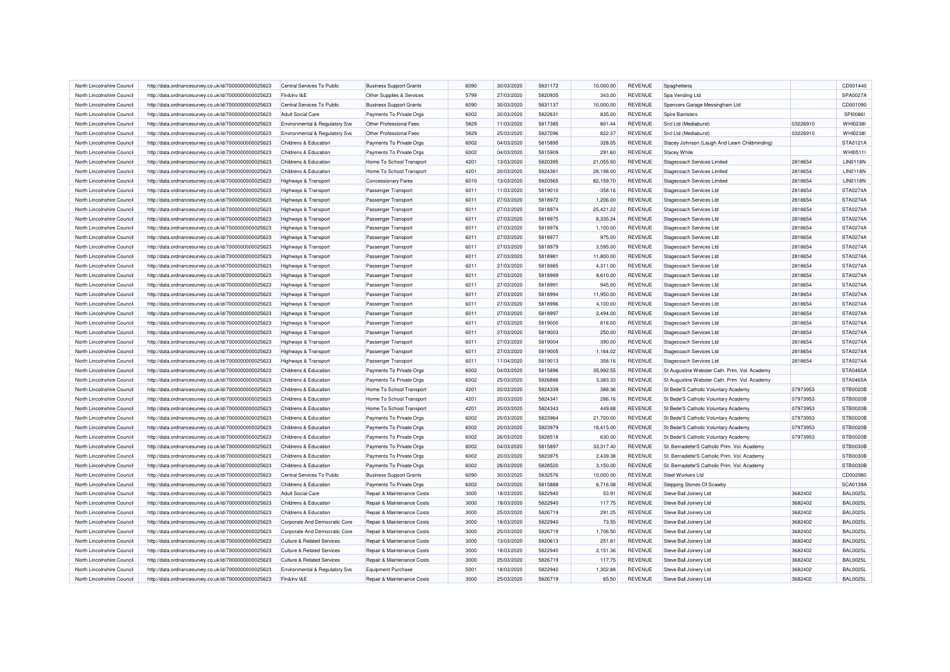| North Lincolnshire Council<br>http://data.ordnancesurvey.co.uk/id/7000000000025623<br>Central Services To Public<br><b>Business Support Grants</b><br>6090<br>30/03/2020<br>5831172<br>10.000.00<br><b>REVENUE</b><br>Spaghetteria<br>North Lincolnshire Council<br>Fin&Inv I&E<br>Other Supplies & Services<br>5799<br>27/03/2020<br>5820935<br>REVENUE<br>http://data.ordnancesurvey.co.uk/id/7000000000025623<br>343.00<br>Spa Vending Ltd<br>6090<br>30/03/2020<br>5831137<br>10,000.00<br><b>REVENUE</b><br>North Lincolnshire Council<br>http://data.ordnancesurvey.co.uk/id/7000000000025623<br>Central Services To Public<br><b>Business Support Grants</b><br>Spencers Garage Messingham Ltd<br>North Lincolnshire Council<br>Payments To Private Orgs<br>6002<br>30/03/2020<br>5822631<br>REVENUE<br>http://data.ordnancesurvey.co.uk/id/7000000000025623<br><b>Adult Social Care</b><br>835.00<br><b>Spire Barristers</b><br>North Lincolnshire Council<br>http://data.ordnancesurvey.co.uk/id/7000000000025623<br>Environmental & Regulatory Svs<br>Other Professional Fees<br>5829<br>11/03/2020<br>5817385<br>801.44<br><b>REVENUE</b><br>Srcl Ltd (Mediaburst)<br>REVENUE<br>North Lincolnshire Council<br>Environmental & Regulatory Svs<br>Other Professional Fees<br>5829<br>25/03/2020<br>5827096<br>822.37<br>Srcl Ltd (Mediaburst)<br>http://data.ordnancesurvey.co.uk/id/7000000000025623<br>North Lincolnshire Council<br>http://data.ordnancesurvey.co.uk/id/7000000000025623<br>Childrens & Education<br>Payments To Private Orgs<br>6002<br>04/03/2020<br>5815895<br>328.05<br><b>REVENUE</b><br>Stacey Johnson (Laugh And Learn Childminding)<br>6002<br>04/03/2020<br>5815909<br><b>REVENUE</b><br>North Lincolnshire Council<br>http://data.ordnancesurvey.co.uk/id/7000000000025623<br>Childrens & Education<br>Payments To Private Orgs<br>291.60<br><b>Stacey White</b><br>4201<br>13/03/2020<br>5820395<br>21,055.50<br><b>REVENUE</b><br>North Lincolnshire Council<br>http://data.ordnancesurvey.co.uk/id/7000000000025623<br>Childrens & Education<br>Home To School Transport<br>Stagecoach Services Limited<br>Childrens & Education<br>4201<br>20/03/2020<br>5824381<br>28,198.00<br>REVENUE<br>Stagecoach Services Limited<br>North Lincolnshire Council<br>http://data.ordnancesurvey.co.uk/id/7000000000025623<br>Home To School Transport<br>6010<br>5820565<br><b>REVENUE</b><br>North Lincolnshire Council<br>Highways & Transport<br><b>Concessionary Fares</b><br>13/03/2020<br>82,159.70<br>Stagecoach Services Limited<br>http://data.ordnancesurvey.co.uk/id/7000000000025623<br>North Lincolnshire Council<br>6011<br>11/03/2020<br>5819010<br>REVENUE<br>http://data.ordnancesurvey.co.uk/id/7000000000025623<br>Highways & Transport<br>Passenger Transport<br>$-358.16$<br>Stagecoach Services Ltd<br>North Lincolnshire Council<br>Highways & Transport<br>Passenger Transport<br>6011<br>27/03/2020<br>5818972<br>1,206.00<br><b>REVENUE</b><br>Stagecoach Services Ltd<br>http://data.ordnancesurvey.co.uk/id/7000000000025623<br>5818974<br>REVENUE<br>North Lincolnshire Council<br>6011<br>27/03/2020<br>25,421.22<br>Stagecoach Services Ltd<br>http://data.ordnancesurvey.co.uk/id/7000000000025623<br>Highways & Transport<br>Passenger Transport<br><b>REVENUE</b><br>North Lincolnshire Council<br>http://data.ordnancesurvey.co.uk/id/7000000000025623<br>Highways & Transport<br>Passenger Transport<br>6011<br>27/03/2020<br>5818975<br>8,335.34<br>Stagecoach Services Ltd<br>6011<br>REVENUE<br>North Lincolnshire Council<br>http://data.ordnancesurvey.co.uk/id/7000000000025623<br>Highways & Transport<br>Passenger Transport<br>27/03/2020<br>5818976<br>1,100.00<br>Stagecoach Services Ltd<br>North Lincolnshire Council<br>6011<br>5818977<br><b>REVENUE</b><br>http://data.ordnancesurvey.co.uk/id/7000000000025623<br>Highways & Transport<br>Passenger Transport<br>27/03/2020<br>975.00<br>Stagecoach Services Ltd<br>6011<br>3,595.00<br>REVENUE<br>North Lincolnshire Council<br>http://data.ordnancesurvey.co.uk/id/7000000000025623<br>Highways & Transport<br>Passenger Transport<br>27/03/2020<br>5818979<br>Stagecoach Services Ltd<br><b>REVENUE</b><br>North Lincolnshire Council<br>http://data.ordnancesurvey.co.uk/id/7000000000025623<br>Highways & Transport<br>Passenger Transport<br>6011<br>27/03/2020<br>5818981<br>11,800.00<br>Stagecoach Services Ltd<br>North Lincolnshire Council<br>6011<br>27/03/2020<br>5818985<br>4,311.00<br>REVENUE<br>http://data.ordnancesurvey.co.uk/id/7000000000025623<br>Highways & Transport<br>Passenger Transport<br>Stagecoach Services Ltd<br>North Lincolnshire Council<br>http://data.ordnancesurvey.co.uk/id/7000000000025623<br>Highways & Transport<br>Passenger Transport<br>6011<br>27/03/2020<br>5818989<br>8,610.00<br><b>REVENUE</b><br><b>Stagecoach Services Ltd</b><br>REVENUE<br>North Lincolnshire Council<br>6011<br>Stagecoach Services Ltd<br>http://data.ordnancesurvey.co.uk/id/7000000000025623<br>Highways & Transport<br>Passenger Transport<br>27/03/2020<br>5818991<br>945.00<br><b>REVENUE</b><br>North Lincolnshire Council<br>http://data.ordnancesurvey.co.uk/id/7000000000025623<br>6011<br>27/03/2020<br>5818994<br>11.950.00<br>Stagecoach Services Ltd<br><b>Highways &amp; Transport</b><br><b>Passenger Transport</b><br>North Lincolnshire Council<br>6011<br>27/03/2020<br>5818996<br>4,100.00<br>REVENUE<br><b>Stagecoach Services Ltd</b><br>http://data.ordnancesurvey.co.uk/id/7000000000025623<br>Highways & Transport<br><b>Passenger Transport</b><br><b>REVENUE</b><br>6011<br>27/03/2020<br>5818997<br>2,494.00<br>North Lincolnshire Council<br>http://data.ordnancesurvey.co.uk/id/7000000000025623<br>Highways & Transport<br>Passenger Transport<br>Stagecoach Services Ltd<br>North Lincolnshire Council<br>6011<br>27/03/2020<br>5819000<br>816.00<br><b>REVENUE</b><br>Stagecoach Services Ltd<br>http://data.ordnancesurvey.co.uk/id/7000000000025623<br>Highways & Transport<br><b>Passenger Transport</b><br>North Lincolnshire Council<br>http://data.ordnancesurvey.co.uk/id/7000000000025623<br>Highways & Transport<br>Passenger Transport<br>6011<br>27/03/2020<br>5819003<br>250.00<br><b>REVENUE</b><br>Stagecoach Services Ltd<br>6011<br>REVENUE<br>North Lincolnshire Council<br>http://data.ordnancesurvey.co.uk/id/7000000000025623<br>Highways & Transport<br>Passenger Transport<br>27/03/2020<br>5819004<br>390.00<br>Stagecoach Services Ltd<br>REVENUE<br>North Lincolnshire Council<br>http://data.ordnancesurvey.co.uk/id/7000000000025623<br>Highways & Transport<br>Passenger Transport<br>6011<br>27/03/2020<br>5819005<br>1,164.02<br>Stagecoach Services Ltd<br>6011<br>11/04/2020<br>5819013<br>REVENUE<br>North Lincolnshire Council<br>http://data.ordnancesurvey.co.uk/id/7000000000025623<br>Highways & Transport<br>Passenger Transport<br>358.16<br>Stagecoach Services Ltd<br><b>REVENUE</b><br>6002<br>04/03/2020<br>5815896<br>35,992.55<br>St Augustine Webster Cath. Prim. Vol. Academy<br>North Lincolnshire Council<br>http://data.ordnancesurvey.co.uk/id/7000000000025623<br>Childrens & Education<br>Payments To Private Orgs<br>North Lincolnshire Council<br>Childrens & Education<br>6002<br>25/03/2020<br>5826886<br>3,383.33<br>REVENUE<br>St Augustine Webster Cath. Prim. Vol. Academy<br>http://data.ordnancesurvey.co.uk/id/7000000000025623<br>Payments To Private Orgs<br>4201<br>5824339<br><b>REVENUE</b><br>North Lincolnshire Council<br>http://data.ordnancesurvey.co.uk/id/7000000000025623<br>Childrens & Education<br>Home To School Transport<br>20/03/2020<br>388.36<br>St Bede'S Catholic Voluntary Academy<br>North Lincolnshire Council<br>Childrens & Education<br>4201<br>20/03/2020<br>5824341<br>REVENUE<br>http://data.ordnancesurvey.co.uk/id/7000000000025623<br>Home To School Transport<br>286.16<br>St Bede'S Catholic Voluntary Academy<br>North Lincolnshire Council<br>Childrens & Education<br>Home To School Transport<br>4201<br>20/03/2020<br>5824343<br>449.68<br><b>REVENUE</b><br>St Bede'S Catholic Voluntary Academy<br>http://data.ordnancesurvey.co.uk/id/7000000000025623<br>5823964<br>REVENUE<br>Childrens & Education<br>Payments To Private Orgs<br>6002<br>20/03/2020<br>21,700.00<br>St Bede'S Catholic Voluntary Academy<br>North Lincolnshire Council<br>http://data.ordnancesurvey.co.uk/id/7000000000025623<br>5823979<br>North Lincolnshire Council<br>http://data.ordnancesurvey.co.uk/id/7000000000025623<br>Childrens & Education<br>Payments To Private Orgs<br>6002<br>20/03/2020<br>16,415.00<br><b>REVENUE</b><br>St Bede'S Catholic Voluntary Academy<br>5828518<br>North Lincolnshire Council<br>http://data.ordnancesurvey.co.uk/id/7000000000025623<br>Childrens & Education<br>Payments To Private Orgs<br>6002<br>26/03/2020<br>630.00<br><b>REVENUE</b><br>St Bede'S Catholic Voluntary Academy | 03226910<br>03226910<br>2818654<br>2818654<br>2818654<br>2818654<br>2818654<br>2818654<br>2818654<br>2818654<br>2818654<br>2818654<br>2818654<br>2818654<br>2818654<br>2818654<br>2818654<br>2818654<br>2818654<br>2818654 | CD001440<br>SPA0027A<br>CD001090<br><b>SPI00861</b><br>WHI0238I<br>WHI0238I<br>STA0121A<br>WHI0511I<br><b>LIN0118N</b><br><b>LIN0118N</b><br><b>LIN0118N</b><br>STA0274A<br>STA0274A<br>STA0274A<br>STA0274A<br>STA0274A<br>STA0274A<br>STA0274A<br>STA0274A<br>STA0274A<br>STA0274A<br>STA0274A<br><b>STA0274A</b><br>STA0274A<br>STA0274A |
|----------------------------------------------------------------------------------------------------------------------------------------------------------------------------------------------------------------------------------------------------------------------------------------------------------------------------------------------------------------------------------------------------------------------------------------------------------------------------------------------------------------------------------------------------------------------------------------------------------------------------------------------------------------------------------------------------------------------------------------------------------------------------------------------------------------------------------------------------------------------------------------------------------------------------------------------------------------------------------------------------------------------------------------------------------------------------------------------------------------------------------------------------------------------------------------------------------------------------------------------------------------------------------------------------------------------------------------------------------------------------------------------------------------------------------------------------------------------------------------------------------------------------------------------------------------------------------------------------------------------------------------------------------------------------------------------------------------------------------------------------------------------------------------------------------------------------------------------------------------------------------------------------------------------------------------------------------------------------------------------------------------------------------------------------------------------------------------------------------------------------------------------------------------------------------------------------------------------------------------------------------------------------------------------------------------------------------------------------------------------------------------------------------------------------------------------------------------------------------------------------------------------------------------------------------------------------------------------------------------------------------------------------------------------------------------------------------------------------------------------------------------------------------------------------------------------------------------------------------------------------------------------------------------------------------------------------------------------------------------------------------------------------------------------------------------------------------------------------------------------------------------------------------------------------------------------------------------------------------------------------------------------------------------------------------------------------------------------------------------------------------------------------------------------------------------------------------------------------------------------------------------------------------------------------------------------------------------------------------------------------------------------------------------------------------------------------------------------------------------------------------------------------------------------------------------------------------------------------------------------------------------------------------------------------------------------------------------------------------------------------------------------------------------------------------------------------------------------------------------------------------------------------------------------------------------------------------------------------------------------------------------------------------------------------------------------------------------------------------------------------------------------------------------------------------------------------------------------------------------------------------------------------------------------------------------------------------------------------------------------------------------------------------------------------------------------------------------------------------------------------------------------------------------------------------------------------------------------------------------------------------------------------------------------------------------------------------------------------------------------------------------------------------------------------------------------------------------------------------------------------------------------------------------------------------------------------------------------------------------------------------------------------------------------------------------------------------------------------------------------------------------------------------------------------------------------------------------------------------------------------------------------------------------------------------------------------------------------------------------------------------------------------------------------------------------------------------------------------------------------------------------------------------------------------------------------------------------------------------------------------------------------------------------------------------------------------------------------------------------------------------------------------------------------------------------------------------------------------------------------------------------------------------------------------------------------------------------------------------------------------------------------------------------------------------------------------------------------------------------------------------------------------------------------------------------------------------------------------------------------------------------------------------------------------------------------------------------------------------------------------------------------------------------------------------------------------------------------------------------------------------------------------------------------------------------------------------------------------------------------------------------------------------------------------------------------------------------------------------------------------------------------------------------------------------------------------------------------------------------------------------------------------------------------------------------------------------------------------------------------------------------------------------------------------------------------------------------------------------------------------------------------------------------------------------------------------------------------------------------------------------------------------------------------------------------------------------------------------------------------------------------------------------------------------------------------------------------------------------------------------------------------------------------------------------------------------------------------------------------------------------------------------------------------------------------------------------------------------------------------------------------------------------------------------------------------------------------------------------------------------------------------------------------------------------------------------------------------------------------------------------------------------------------------------------------------------------------------------------------------------------------------------------------------------------------------------------------------------------------------------------------------------------------------------------------------------------------------------------------------------------------------------------------------------------------------------------------------------------------------------------------------------------------------------------------------------------------------------------------------------------------------------------------------------------------------------------------------------------------------------------------------|----------------------------------------------------------------------------------------------------------------------------------------------------------------------------------------------------------------------------|---------------------------------------------------------------------------------------------------------------------------------------------------------------------------------------------------------------------------------------------------------------------------------------------------------------------------------------------|
|                                                                                                                                                                                                                                                                                                                                                                                                                                                                                                                                                                                                                                                                                                                                                                                                                                                                                                                                                                                                                                                                                                                                                                                                                                                                                                                                                                                                                                                                                                                                                                                                                                                                                                                                                                                                                                                                                                                                                                                                                                                                                                                                                                                                                                                                                                                                                                                                                                                                                                                                                                                                                                                                                                                                                                                                                                                                                                                                                                                                                                                                                                                                                                                                                                                                                                                                                                                                                                                                                                                                                                                                                                                                                                                                                                                                                                                                                                                                                                                                                                                                                                                                                                                                                                                                                                                                                                                                                                                                                                                                                                                                                                                                                                                                                                                                                                                                                                                                                                                                                                                                                                                                                                                                                                                                                                                                                                                                                                                                                                                                                                                                                                                                                                                                                                                                                                                                                                                                                                                                                                                                                                                                                                                                                                                                                                                                                                                                                                                                                                                                                                                                                                                                                                                                                                                                                                                                                                                                                                                                                                                                                                                                                                                                                                                                                                                                                                                                                                                                                                                                                                                                                                                                                                                                                                                                                                                                                                                                                                                                                                                                                                                                                                                                                                                                                                                                                                                                                                                                                                                                                                                                                                                                                                                                                                                                                                                                                                                                                                                                                      |                                                                                                                                                                                                                            |                                                                                                                                                                                                                                                                                                                                             |
|                                                                                                                                                                                                                                                                                                                                                                                                                                                                                                                                                                                                                                                                                                                                                                                                                                                                                                                                                                                                                                                                                                                                                                                                                                                                                                                                                                                                                                                                                                                                                                                                                                                                                                                                                                                                                                                                                                                                                                                                                                                                                                                                                                                                                                                                                                                                                                                                                                                                                                                                                                                                                                                                                                                                                                                                                                                                                                                                                                                                                                                                                                                                                                                                                                                                                                                                                                                                                                                                                                                                                                                                                                                                                                                                                                                                                                                                                                                                                                                                                                                                                                                                                                                                                                                                                                                                                                                                                                                                                                                                                                                                                                                                                                                                                                                                                                                                                                                                                                                                                                                                                                                                                                                                                                                                                                                                                                                                                                                                                                                                                                                                                                                                                                                                                                                                                                                                                                                                                                                                                                                                                                                                                                                                                                                                                                                                                                                                                                                                                                                                                                                                                                                                                                                                                                                                                                                                                                                                                                                                                                                                                                                                                                                                                                                                                                                                                                                                                                                                                                                                                                                                                                                                                                                                                                                                                                                                                                                                                                                                                                                                                                                                                                                                                                                                                                                                                                                                                                                                                                                                                                                                                                                                                                                                                                                                                                                                                                                                                                                                                      |                                                                                                                                                                                                                            |                                                                                                                                                                                                                                                                                                                                             |
|                                                                                                                                                                                                                                                                                                                                                                                                                                                                                                                                                                                                                                                                                                                                                                                                                                                                                                                                                                                                                                                                                                                                                                                                                                                                                                                                                                                                                                                                                                                                                                                                                                                                                                                                                                                                                                                                                                                                                                                                                                                                                                                                                                                                                                                                                                                                                                                                                                                                                                                                                                                                                                                                                                                                                                                                                                                                                                                                                                                                                                                                                                                                                                                                                                                                                                                                                                                                                                                                                                                                                                                                                                                                                                                                                                                                                                                                                                                                                                                                                                                                                                                                                                                                                                                                                                                                                                                                                                                                                                                                                                                                                                                                                                                                                                                                                                                                                                                                                                                                                                                                                                                                                                                                                                                                                                                                                                                                                                                                                                                                                                                                                                                                                                                                                                                                                                                                                                                                                                                                                                                                                                                                                                                                                                                                                                                                                                                                                                                                                                                                                                                                                                                                                                                                                                                                                                                                                                                                                                                                                                                                                                                                                                                                                                                                                                                                                                                                                                                                                                                                                                                                                                                                                                                                                                                                                                                                                                                                                                                                                                                                                                                                                                                                                                                                                                                                                                                                                                                                                                                                                                                                                                                                                                                                                                                                                                                                                                                                                                                                                      |                                                                                                                                                                                                                            |                                                                                                                                                                                                                                                                                                                                             |
|                                                                                                                                                                                                                                                                                                                                                                                                                                                                                                                                                                                                                                                                                                                                                                                                                                                                                                                                                                                                                                                                                                                                                                                                                                                                                                                                                                                                                                                                                                                                                                                                                                                                                                                                                                                                                                                                                                                                                                                                                                                                                                                                                                                                                                                                                                                                                                                                                                                                                                                                                                                                                                                                                                                                                                                                                                                                                                                                                                                                                                                                                                                                                                                                                                                                                                                                                                                                                                                                                                                                                                                                                                                                                                                                                                                                                                                                                                                                                                                                                                                                                                                                                                                                                                                                                                                                                                                                                                                                                                                                                                                                                                                                                                                                                                                                                                                                                                                                                                                                                                                                                                                                                                                                                                                                                                                                                                                                                                                                                                                                                                                                                                                                                                                                                                                                                                                                                                                                                                                                                                                                                                                                                                                                                                                                                                                                                                                                                                                                                                                                                                                                                                                                                                                                                                                                                                                                                                                                                                                                                                                                                                                                                                                                                                                                                                                                                                                                                                                                                                                                                                                                                                                                                                                                                                                                                                                                                                                                                                                                                                                                                                                                                                                                                                                                                                                                                                                                                                                                                                                                                                                                                                                                                                                                                                                                                                                                                                                                                                                                                      |                                                                                                                                                                                                                            |                                                                                                                                                                                                                                                                                                                                             |
|                                                                                                                                                                                                                                                                                                                                                                                                                                                                                                                                                                                                                                                                                                                                                                                                                                                                                                                                                                                                                                                                                                                                                                                                                                                                                                                                                                                                                                                                                                                                                                                                                                                                                                                                                                                                                                                                                                                                                                                                                                                                                                                                                                                                                                                                                                                                                                                                                                                                                                                                                                                                                                                                                                                                                                                                                                                                                                                                                                                                                                                                                                                                                                                                                                                                                                                                                                                                                                                                                                                                                                                                                                                                                                                                                                                                                                                                                                                                                                                                                                                                                                                                                                                                                                                                                                                                                                                                                                                                                                                                                                                                                                                                                                                                                                                                                                                                                                                                                                                                                                                                                                                                                                                                                                                                                                                                                                                                                                                                                                                                                                                                                                                                                                                                                                                                                                                                                                                                                                                                                                                                                                                                                                                                                                                                                                                                                                                                                                                                                                                                                                                                                                                                                                                                                                                                                                                                                                                                                                                                                                                                                                                                                                                                                                                                                                                                                                                                                                                                                                                                                                                                                                                                                                                                                                                                                                                                                                                                                                                                                                                                                                                                                                                                                                                                                                                                                                                                                                                                                                                                                                                                                                                                                                                                                                                                                                                                                                                                                                                                                      |                                                                                                                                                                                                                            |                                                                                                                                                                                                                                                                                                                                             |
|                                                                                                                                                                                                                                                                                                                                                                                                                                                                                                                                                                                                                                                                                                                                                                                                                                                                                                                                                                                                                                                                                                                                                                                                                                                                                                                                                                                                                                                                                                                                                                                                                                                                                                                                                                                                                                                                                                                                                                                                                                                                                                                                                                                                                                                                                                                                                                                                                                                                                                                                                                                                                                                                                                                                                                                                                                                                                                                                                                                                                                                                                                                                                                                                                                                                                                                                                                                                                                                                                                                                                                                                                                                                                                                                                                                                                                                                                                                                                                                                                                                                                                                                                                                                                                                                                                                                                                                                                                                                                                                                                                                                                                                                                                                                                                                                                                                                                                                                                                                                                                                                                                                                                                                                                                                                                                                                                                                                                                                                                                                                                                                                                                                                                                                                                                                                                                                                                                                                                                                                                                                                                                                                                                                                                                                                                                                                                                                                                                                                                                                                                                                                                                                                                                                                                                                                                                                                                                                                                                                                                                                                                                                                                                                                                                                                                                                                                                                                                                                                                                                                                                                                                                                                                                                                                                                                                                                                                                                                                                                                                                                                                                                                                                                                                                                                                                                                                                                                                                                                                                                                                                                                                                                                                                                                                                                                                                                                                                                                                                                                                      |                                                                                                                                                                                                                            |                                                                                                                                                                                                                                                                                                                                             |
|                                                                                                                                                                                                                                                                                                                                                                                                                                                                                                                                                                                                                                                                                                                                                                                                                                                                                                                                                                                                                                                                                                                                                                                                                                                                                                                                                                                                                                                                                                                                                                                                                                                                                                                                                                                                                                                                                                                                                                                                                                                                                                                                                                                                                                                                                                                                                                                                                                                                                                                                                                                                                                                                                                                                                                                                                                                                                                                                                                                                                                                                                                                                                                                                                                                                                                                                                                                                                                                                                                                                                                                                                                                                                                                                                                                                                                                                                                                                                                                                                                                                                                                                                                                                                                                                                                                                                                                                                                                                                                                                                                                                                                                                                                                                                                                                                                                                                                                                                                                                                                                                                                                                                                                                                                                                                                                                                                                                                                                                                                                                                                                                                                                                                                                                                                                                                                                                                                                                                                                                                                                                                                                                                                                                                                                                                                                                                                                                                                                                                                                                                                                                                                                                                                                                                                                                                                                                                                                                                                                                                                                                                                                                                                                                                                                                                                                                                                                                                                                                                                                                                                                                                                                                                                                                                                                                                                                                                                                                                                                                                                                                                                                                                                                                                                                                                                                                                                                                                                                                                                                                                                                                                                                                                                                                                                                                                                                                                                                                                                                                                      |                                                                                                                                                                                                                            |                                                                                                                                                                                                                                                                                                                                             |
|                                                                                                                                                                                                                                                                                                                                                                                                                                                                                                                                                                                                                                                                                                                                                                                                                                                                                                                                                                                                                                                                                                                                                                                                                                                                                                                                                                                                                                                                                                                                                                                                                                                                                                                                                                                                                                                                                                                                                                                                                                                                                                                                                                                                                                                                                                                                                                                                                                                                                                                                                                                                                                                                                                                                                                                                                                                                                                                                                                                                                                                                                                                                                                                                                                                                                                                                                                                                                                                                                                                                                                                                                                                                                                                                                                                                                                                                                                                                                                                                                                                                                                                                                                                                                                                                                                                                                                                                                                                                                                                                                                                                                                                                                                                                                                                                                                                                                                                                                                                                                                                                                                                                                                                                                                                                                                                                                                                                                                                                                                                                                                                                                                                                                                                                                                                                                                                                                                                                                                                                                                                                                                                                                                                                                                                                                                                                                                                                                                                                                                                                                                                                                                                                                                                                                                                                                                                                                                                                                                                                                                                                                                                                                                                                                                                                                                                                                                                                                                                                                                                                                                                                                                                                                                                                                                                                                                                                                                                                                                                                                                                                                                                                                                                                                                                                                                                                                                                                                                                                                                                                                                                                                                                                                                                                                                                                                                                                                                                                                                                                                      |                                                                                                                                                                                                                            |                                                                                                                                                                                                                                                                                                                                             |
|                                                                                                                                                                                                                                                                                                                                                                                                                                                                                                                                                                                                                                                                                                                                                                                                                                                                                                                                                                                                                                                                                                                                                                                                                                                                                                                                                                                                                                                                                                                                                                                                                                                                                                                                                                                                                                                                                                                                                                                                                                                                                                                                                                                                                                                                                                                                                                                                                                                                                                                                                                                                                                                                                                                                                                                                                                                                                                                                                                                                                                                                                                                                                                                                                                                                                                                                                                                                                                                                                                                                                                                                                                                                                                                                                                                                                                                                                                                                                                                                                                                                                                                                                                                                                                                                                                                                                                                                                                                                                                                                                                                                                                                                                                                                                                                                                                                                                                                                                                                                                                                                                                                                                                                                                                                                                                                                                                                                                                                                                                                                                                                                                                                                                                                                                                                                                                                                                                                                                                                                                                                                                                                                                                                                                                                                                                                                                                                                                                                                                                                                                                                                                                                                                                                                                                                                                                                                                                                                                                                                                                                                                                                                                                                                                                                                                                                                                                                                                                                                                                                                                                                                                                                                                                                                                                                                                                                                                                                                                                                                                                                                                                                                                                                                                                                                                                                                                                                                                                                                                                                                                                                                                                                                                                                                                                                                                                                                                                                                                                                                                      |                                                                                                                                                                                                                            |                                                                                                                                                                                                                                                                                                                                             |
|                                                                                                                                                                                                                                                                                                                                                                                                                                                                                                                                                                                                                                                                                                                                                                                                                                                                                                                                                                                                                                                                                                                                                                                                                                                                                                                                                                                                                                                                                                                                                                                                                                                                                                                                                                                                                                                                                                                                                                                                                                                                                                                                                                                                                                                                                                                                                                                                                                                                                                                                                                                                                                                                                                                                                                                                                                                                                                                                                                                                                                                                                                                                                                                                                                                                                                                                                                                                                                                                                                                                                                                                                                                                                                                                                                                                                                                                                                                                                                                                                                                                                                                                                                                                                                                                                                                                                                                                                                                                                                                                                                                                                                                                                                                                                                                                                                                                                                                                                                                                                                                                                                                                                                                                                                                                                                                                                                                                                                                                                                                                                                                                                                                                                                                                                                                                                                                                                                                                                                                                                                                                                                                                                                                                                                                                                                                                                                                                                                                                                                                                                                                                                                                                                                                                                                                                                                                                                                                                                                                                                                                                                                                                                                                                                                                                                                                                                                                                                                                                                                                                                                                                                                                                                                                                                                                                                                                                                                                                                                                                                                                                                                                                                                                                                                                                                                                                                                                                                                                                                                                                                                                                                                                                                                                                                                                                                                                                                                                                                                                                                      |                                                                                                                                                                                                                            |                                                                                                                                                                                                                                                                                                                                             |
|                                                                                                                                                                                                                                                                                                                                                                                                                                                                                                                                                                                                                                                                                                                                                                                                                                                                                                                                                                                                                                                                                                                                                                                                                                                                                                                                                                                                                                                                                                                                                                                                                                                                                                                                                                                                                                                                                                                                                                                                                                                                                                                                                                                                                                                                                                                                                                                                                                                                                                                                                                                                                                                                                                                                                                                                                                                                                                                                                                                                                                                                                                                                                                                                                                                                                                                                                                                                                                                                                                                                                                                                                                                                                                                                                                                                                                                                                                                                                                                                                                                                                                                                                                                                                                                                                                                                                                                                                                                                                                                                                                                                                                                                                                                                                                                                                                                                                                                                                                                                                                                                                                                                                                                                                                                                                                                                                                                                                                                                                                                                                                                                                                                                                                                                                                                                                                                                                                                                                                                                                                                                                                                                                                                                                                                                                                                                                                                                                                                                                                                                                                                                                                                                                                                                                                                                                                                                                                                                                                                                                                                                                                                                                                                                                                                                                                                                                                                                                                                                                                                                                                                                                                                                                                                                                                                                                                                                                                                                                                                                                                                                                                                                                                                                                                                                                                                                                                                                                                                                                                                                                                                                                                                                                                                                                                                                                                                                                                                                                                                                                      |                                                                                                                                                                                                                            |                                                                                                                                                                                                                                                                                                                                             |
|                                                                                                                                                                                                                                                                                                                                                                                                                                                                                                                                                                                                                                                                                                                                                                                                                                                                                                                                                                                                                                                                                                                                                                                                                                                                                                                                                                                                                                                                                                                                                                                                                                                                                                                                                                                                                                                                                                                                                                                                                                                                                                                                                                                                                                                                                                                                                                                                                                                                                                                                                                                                                                                                                                                                                                                                                                                                                                                                                                                                                                                                                                                                                                                                                                                                                                                                                                                                                                                                                                                                                                                                                                                                                                                                                                                                                                                                                                                                                                                                                                                                                                                                                                                                                                                                                                                                                                                                                                                                                                                                                                                                                                                                                                                                                                                                                                                                                                                                                                                                                                                                                                                                                                                                                                                                                                                                                                                                                                                                                                                                                                                                                                                                                                                                                                                                                                                                                                                                                                                                                                                                                                                                                                                                                                                                                                                                                                                                                                                                                                                                                                                                                                                                                                                                                                                                                                                                                                                                                                                                                                                                                                                                                                                                                                                                                                                                                                                                                                                                                                                                                                                                                                                                                                                                                                                                                                                                                                                                                                                                                                                                                                                                                                                                                                                                                                                                                                                                                                                                                                                                                                                                                                                                                                                                                                                                                                                                                                                                                                                                                      |                                                                                                                                                                                                                            |                                                                                                                                                                                                                                                                                                                                             |
|                                                                                                                                                                                                                                                                                                                                                                                                                                                                                                                                                                                                                                                                                                                                                                                                                                                                                                                                                                                                                                                                                                                                                                                                                                                                                                                                                                                                                                                                                                                                                                                                                                                                                                                                                                                                                                                                                                                                                                                                                                                                                                                                                                                                                                                                                                                                                                                                                                                                                                                                                                                                                                                                                                                                                                                                                                                                                                                                                                                                                                                                                                                                                                                                                                                                                                                                                                                                                                                                                                                                                                                                                                                                                                                                                                                                                                                                                                                                                                                                                                                                                                                                                                                                                                                                                                                                                                                                                                                                                                                                                                                                                                                                                                                                                                                                                                                                                                                                                                                                                                                                                                                                                                                                                                                                                                                                                                                                                                                                                                                                                                                                                                                                                                                                                                                                                                                                                                                                                                                                                                                                                                                                                                                                                                                                                                                                                                                                                                                                                                                                                                                                                                                                                                                                                                                                                                                                                                                                                                                                                                                                                                                                                                                                                                                                                                                                                                                                                                                                                                                                                                                                                                                                                                                                                                                                                                                                                                                                                                                                                                                                                                                                                                                                                                                                                                                                                                                                                                                                                                                                                                                                                                                                                                                                                                                                                                                                                                                                                                                                                      |                                                                                                                                                                                                                            |                                                                                                                                                                                                                                                                                                                                             |
|                                                                                                                                                                                                                                                                                                                                                                                                                                                                                                                                                                                                                                                                                                                                                                                                                                                                                                                                                                                                                                                                                                                                                                                                                                                                                                                                                                                                                                                                                                                                                                                                                                                                                                                                                                                                                                                                                                                                                                                                                                                                                                                                                                                                                                                                                                                                                                                                                                                                                                                                                                                                                                                                                                                                                                                                                                                                                                                                                                                                                                                                                                                                                                                                                                                                                                                                                                                                                                                                                                                                                                                                                                                                                                                                                                                                                                                                                                                                                                                                                                                                                                                                                                                                                                                                                                                                                                                                                                                                                                                                                                                                                                                                                                                                                                                                                                                                                                                                                                                                                                                                                                                                                                                                                                                                                                                                                                                                                                                                                                                                                                                                                                                                                                                                                                                                                                                                                                                                                                                                                                                                                                                                                                                                                                                                                                                                                                                                                                                                                                                                                                                                                                                                                                                                                                                                                                                                                                                                                                                                                                                                                                                                                                                                                                                                                                                                                                                                                                                                                                                                                                                                                                                                                                                                                                                                                                                                                                                                                                                                                                                                                                                                                                                                                                                                                                                                                                                                                                                                                                                                                                                                                                                                                                                                                                                                                                                                                                                                                                                                                      |                                                                                                                                                                                                                            |                                                                                                                                                                                                                                                                                                                                             |
|                                                                                                                                                                                                                                                                                                                                                                                                                                                                                                                                                                                                                                                                                                                                                                                                                                                                                                                                                                                                                                                                                                                                                                                                                                                                                                                                                                                                                                                                                                                                                                                                                                                                                                                                                                                                                                                                                                                                                                                                                                                                                                                                                                                                                                                                                                                                                                                                                                                                                                                                                                                                                                                                                                                                                                                                                                                                                                                                                                                                                                                                                                                                                                                                                                                                                                                                                                                                                                                                                                                                                                                                                                                                                                                                                                                                                                                                                                                                                                                                                                                                                                                                                                                                                                                                                                                                                                                                                                                                                                                                                                                                                                                                                                                                                                                                                                                                                                                                                                                                                                                                                                                                                                                                                                                                                                                                                                                                                                                                                                                                                                                                                                                                                                                                                                                                                                                                                                                                                                                                                                                                                                                                                                                                                                                                                                                                                                                                                                                                                                                                                                                                                                                                                                                                                                                                                                                                                                                                                                                                                                                                                                                                                                                                                                                                                                                                                                                                                                                                                                                                                                                                                                                                                                                                                                                                                                                                                                                                                                                                                                                                                                                                                                                                                                                                                                                                                                                                                                                                                                                                                                                                                                                                                                                                                                                                                                                                                                                                                                                                                      |                                                                                                                                                                                                                            |                                                                                                                                                                                                                                                                                                                                             |
|                                                                                                                                                                                                                                                                                                                                                                                                                                                                                                                                                                                                                                                                                                                                                                                                                                                                                                                                                                                                                                                                                                                                                                                                                                                                                                                                                                                                                                                                                                                                                                                                                                                                                                                                                                                                                                                                                                                                                                                                                                                                                                                                                                                                                                                                                                                                                                                                                                                                                                                                                                                                                                                                                                                                                                                                                                                                                                                                                                                                                                                                                                                                                                                                                                                                                                                                                                                                                                                                                                                                                                                                                                                                                                                                                                                                                                                                                                                                                                                                                                                                                                                                                                                                                                                                                                                                                                                                                                                                                                                                                                                                                                                                                                                                                                                                                                                                                                                                                                                                                                                                                                                                                                                                                                                                                                                                                                                                                                                                                                                                                                                                                                                                                                                                                                                                                                                                                                                                                                                                                                                                                                                                                                                                                                                                                                                                                                                                                                                                                                                                                                                                                                                                                                                                                                                                                                                                                                                                                                                                                                                                                                                                                                                                                                                                                                                                                                                                                                                                                                                                                                                                                                                                                                                                                                                                                                                                                                                                                                                                                                                                                                                                                                                                                                                                                                                                                                                                                                                                                                                                                                                                                                                                                                                                                                                                                                                                                                                                                                                                                      |                                                                                                                                                                                                                            |                                                                                                                                                                                                                                                                                                                                             |
|                                                                                                                                                                                                                                                                                                                                                                                                                                                                                                                                                                                                                                                                                                                                                                                                                                                                                                                                                                                                                                                                                                                                                                                                                                                                                                                                                                                                                                                                                                                                                                                                                                                                                                                                                                                                                                                                                                                                                                                                                                                                                                                                                                                                                                                                                                                                                                                                                                                                                                                                                                                                                                                                                                                                                                                                                                                                                                                                                                                                                                                                                                                                                                                                                                                                                                                                                                                                                                                                                                                                                                                                                                                                                                                                                                                                                                                                                                                                                                                                                                                                                                                                                                                                                                                                                                                                                                                                                                                                                                                                                                                                                                                                                                                                                                                                                                                                                                                                                                                                                                                                                                                                                                                                                                                                                                                                                                                                                                                                                                                                                                                                                                                                                                                                                                                                                                                                                                                                                                                                                                                                                                                                                                                                                                                                                                                                                                                                                                                                                                                                                                                                                                                                                                                                                                                                                                                                                                                                                                                                                                                                                                                                                                                                                                                                                                                                                                                                                                                                                                                                                                                                                                                                                                                                                                                                                                                                                                                                                                                                                                                                                                                                                                                                                                                                                                                                                                                                                                                                                                                                                                                                                                                                                                                                                                                                                                                                                                                                                                                                                      |                                                                                                                                                                                                                            |                                                                                                                                                                                                                                                                                                                                             |
|                                                                                                                                                                                                                                                                                                                                                                                                                                                                                                                                                                                                                                                                                                                                                                                                                                                                                                                                                                                                                                                                                                                                                                                                                                                                                                                                                                                                                                                                                                                                                                                                                                                                                                                                                                                                                                                                                                                                                                                                                                                                                                                                                                                                                                                                                                                                                                                                                                                                                                                                                                                                                                                                                                                                                                                                                                                                                                                                                                                                                                                                                                                                                                                                                                                                                                                                                                                                                                                                                                                                                                                                                                                                                                                                                                                                                                                                                                                                                                                                                                                                                                                                                                                                                                                                                                                                                                                                                                                                                                                                                                                                                                                                                                                                                                                                                                                                                                                                                                                                                                                                                                                                                                                                                                                                                                                                                                                                                                                                                                                                                                                                                                                                                                                                                                                                                                                                                                                                                                                                                                                                                                                                                                                                                                                                                                                                                                                                                                                                                                                                                                                                                                                                                                                                                                                                                                                                                                                                                                                                                                                                                                                                                                                                                                                                                                                                                                                                                                                                                                                                                                                                                                                                                                                                                                                                                                                                                                                                                                                                                                                                                                                                                                                                                                                                                                                                                                                                                                                                                                                                                                                                                                                                                                                                                                                                                                                                                                                                                                                                                      |                                                                                                                                                                                                                            |                                                                                                                                                                                                                                                                                                                                             |
|                                                                                                                                                                                                                                                                                                                                                                                                                                                                                                                                                                                                                                                                                                                                                                                                                                                                                                                                                                                                                                                                                                                                                                                                                                                                                                                                                                                                                                                                                                                                                                                                                                                                                                                                                                                                                                                                                                                                                                                                                                                                                                                                                                                                                                                                                                                                                                                                                                                                                                                                                                                                                                                                                                                                                                                                                                                                                                                                                                                                                                                                                                                                                                                                                                                                                                                                                                                                                                                                                                                                                                                                                                                                                                                                                                                                                                                                                                                                                                                                                                                                                                                                                                                                                                                                                                                                                                                                                                                                                                                                                                                                                                                                                                                                                                                                                                                                                                                                                                                                                                                                                                                                                                                                                                                                                                                                                                                                                                                                                                                                                                                                                                                                                                                                                                                                                                                                                                                                                                                                                                                                                                                                                                                                                                                                                                                                                                                                                                                                                                                                                                                                                                                                                                                                                                                                                                                                                                                                                                                                                                                                                                                                                                                                                                                                                                                                                                                                                                                                                                                                                                                                                                                                                                                                                                                                                                                                                                                                                                                                                                                                                                                                                                                                                                                                                                                                                                                                                                                                                                                                                                                                                                                                                                                                                                                                                                                                                                                                                                                                                      |                                                                                                                                                                                                                            |                                                                                                                                                                                                                                                                                                                                             |
|                                                                                                                                                                                                                                                                                                                                                                                                                                                                                                                                                                                                                                                                                                                                                                                                                                                                                                                                                                                                                                                                                                                                                                                                                                                                                                                                                                                                                                                                                                                                                                                                                                                                                                                                                                                                                                                                                                                                                                                                                                                                                                                                                                                                                                                                                                                                                                                                                                                                                                                                                                                                                                                                                                                                                                                                                                                                                                                                                                                                                                                                                                                                                                                                                                                                                                                                                                                                                                                                                                                                                                                                                                                                                                                                                                                                                                                                                                                                                                                                                                                                                                                                                                                                                                                                                                                                                                                                                                                                                                                                                                                                                                                                                                                                                                                                                                                                                                                                                                                                                                                                                                                                                                                                                                                                                                                                                                                                                                                                                                                                                                                                                                                                                                                                                                                                                                                                                                                                                                                                                                                                                                                                                                                                                                                                                                                                                                                                                                                                                                                                                                                                                                                                                                                                                                                                                                                                                                                                                                                                                                                                                                                                                                                                                                                                                                                                                                                                                                                                                                                                                                                                                                                                                                                                                                                                                                                                                                                                                                                                                                                                                                                                                                                                                                                                                                                                                                                                                                                                                                                                                                                                                                                                                                                                                                                                                                                                                                                                                                                                                      |                                                                                                                                                                                                                            |                                                                                                                                                                                                                                                                                                                                             |
|                                                                                                                                                                                                                                                                                                                                                                                                                                                                                                                                                                                                                                                                                                                                                                                                                                                                                                                                                                                                                                                                                                                                                                                                                                                                                                                                                                                                                                                                                                                                                                                                                                                                                                                                                                                                                                                                                                                                                                                                                                                                                                                                                                                                                                                                                                                                                                                                                                                                                                                                                                                                                                                                                                                                                                                                                                                                                                                                                                                                                                                                                                                                                                                                                                                                                                                                                                                                                                                                                                                                                                                                                                                                                                                                                                                                                                                                                                                                                                                                                                                                                                                                                                                                                                                                                                                                                                                                                                                                                                                                                                                                                                                                                                                                                                                                                                                                                                                                                                                                                                                                                                                                                                                                                                                                                                                                                                                                                                                                                                                                                                                                                                                                                                                                                                                                                                                                                                                                                                                                                                                                                                                                                                                                                                                                                                                                                                                                                                                                                                                                                                                                                                                                                                                                                                                                                                                                                                                                                                                                                                                                                                                                                                                                                                                                                                                                                                                                                                                                                                                                                                                                                                                                                                                                                                                                                                                                                                                                                                                                                                                                                                                                                                                                                                                                                                                                                                                                                                                                                                                                                                                                                                                                                                                                                                                                                                                                                                                                                                                                                      |                                                                                                                                                                                                                            |                                                                                                                                                                                                                                                                                                                                             |
|                                                                                                                                                                                                                                                                                                                                                                                                                                                                                                                                                                                                                                                                                                                                                                                                                                                                                                                                                                                                                                                                                                                                                                                                                                                                                                                                                                                                                                                                                                                                                                                                                                                                                                                                                                                                                                                                                                                                                                                                                                                                                                                                                                                                                                                                                                                                                                                                                                                                                                                                                                                                                                                                                                                                                                                                                                                                                                                                                                                                                                                                                                                                                                                                                                                                                                                                                                                                                                                                                                                                                                                                                                                                                                                                                                                                                                                                                                                                                                                                                                                                                                                                                                                                                                                                                                                                                                                                                                                                                                                                                                                                                                                                                                                                                                                                                                                                                                                                                                                                                                                                                                                                                                                                                                                                                                                                                                                                                                                                                                                                                                                                                                                                                                                                                                                                                                                                                                                                                                                                                                                                                                                                                                                                                                                                                                                                                                                                                                                                                                                                                                                                                                                                                                                                                                                                                                                                                                                                                                                                                                                                                                                                                                                                                                                                                                                                                                                                                                                                                                                                                                                                                                                                                                                                                                                                                                                                                                                                                                                                                                                                                                                                                                                                                                                                                                                                                                                                                                                                                                                                                                                                                                                                                                                                                                                                                                                                                                                                                                                                                      |                                                                                                                                                                                                                            |                                                                                                                                                                                                                                                                                                                                             |
|                                                                                                                                                                                                                                                                                                                                                                                                                                                                                                                                                                                                                                                                                                                                                                                                                                                                                                                                                                                                                                                                                                                                                                                                                                                                                                                                                                                                                                                                                                                                                                                                                                                                                                                                                                                                                                                                                                                                                                                                                                                                                                                                                                                                                                                                                                                                                                                                                                                                                                                                                                                                                                                                                                                                                                                                                                                                                                                                                                                                                                                                                                                                                                                                                                                                                                                                                                                                                                                                                                                                                                                                                                                                                                                                                                                                                                                                                                                                                                                                                                                                                                                                                                                                                                                                                                                                                                                                                                                                                                                                                                                                                                                                                                                                                                                                                                                                                                                                                                                                                                                                                                                                                                                                                                                                                                                                                                                                                                                                                                                                                                                                                                                                                                                                                                                                                                                                                                                                                                                                                                                                                                                                                                                                                                                                                                                                                                                                                                                                                                                                                                                                                                                                                                                                                                                                                                                                                                                                                                                                                                                                                                                                                                                                                                                                                                                                                                                                                                                                                                                                                                                                                                                                                                                                                                                                                                                                                                                                                                                                                                                                                                                                                                                                                                                                                                                                                                                                                                                                                                                                                                                                                                                                                                                                                                                                                                                                                                                                                                                                                      |                                                                                                                                                                                                                            |                                                                                                                                                                                                                                                                                                                                             |
|                                                                                                                                                                                                                                                                                                                                                                                                                                                                                                                                                                                                                                                                                                                                                                                                                                                                                                                                                                                                                                                                                                                                                                                                                                                                                                                                                                                                                                                                                                                                                                                                                                                                                                                                                                                                                                                                                                                                                                                                                                                                                                                                                                                                                                                                                                                                                                                                                                                                                                                                                                                                                                                                                                                                                                                                                                                                                                                                                                                                                                                                                                                                                                                                                                                                                                                                                                                                                                                                                                                                                                                                                                                                                                                                                                                                                                                                                                                                                                                                                                                                                                                                                                                                                                                                                                                                                                                                                                                                                                                                                                                                                                                                                                                                                                                                                                                                                                                                                                                                                                                                                                                                                                                                                                                                                                                                                                                                                                                                                                                                                                                                                                                                                                                                                                                                                                                                                                                                                                                                                                                                                                                                                                                                                                                                                                                                                                                                                                                                                                                                                                                                                                                                                                                                                                                                                                                                                                                                                                                                                                                                                                                                                                                                                                                                                                                                                                                                                                                                                                                                                                                                                                                                                                                                                                                                                                                                                                                                                                                                                                                                                                                                                                                                                                                                                                                                                                                                                                                                                                                                                                                                                                                                                                                                                                                                                                                                                                                                                                                                                      |                                                                                                                                                                                                                            |                                                                                                                                                                                                                                                                                                                                             |
|                                                                                                                                                                                                                                                                                                                                                                                                                                                                                                                                                                                                                                                                                                                                                                                                                                                                                                                                                                                                                                                                                                                                                                                                                                                                                                                                                                                                                                                                                                                                                                                                                                                                                                                                                                                                                                                                                                                                                                                                                                                                                                                                                                                                                                                                                                                                                                                                                                                                                                                                                                                                                                                                                                                                                                                                                                                                                                                                                                                                                                                                                                                                                                                                                                                                                                                                                                                                                                                                                                                                                                                                                                                                                                                                                                                                                                                                                                                                                                                                                                                                                                                                                                                                                                                                                                                                                                                                                                                                                                                                                                                                                                                                                                                                                                                                                                                                                                                                                                                                                                                                                                                                                                                                                                                                                                                                                                                                                                                                                                                                                                                                                                                                                                                                                                                                                                                                                                                                                                                                                                                                                                                                                                                                                                                                                                                                                                                                                                                                                                                                                                                                                                                                                                                                                                                                                                                                                                                                                                                                                                                                                                                                                                                                                                                                                                                                                                                                                                                                                                                                                                                                                                                                                                                                                                                                                                                                                                                                                                                                                                                                                                                                                                                                                                                                                                                                                                                                                                                                                                                                                                                                                                                                                                                                                                                                                                                                                                                                                                                                                      |                                                                                                                                                                                                                            |                                                                                                                                                                                                                                                                                                                                             |
|                                                                                                                                                                                                                                                                                                                                                                                                                                                                                                                                                                                                                                                                                                                                                                                                                                                                                                                                                                                                                                                                                                                                                                                                                                                                                                                                                                                                                                                                                                                                                                                                                                                                                                                                                                                                                                                                                                                                                                                                                                                                                                                                                                                                                                                                                                                                                                                                                                                                                                                                                                                                                                                                                                                                                                                                                                                                                                                                                                                                                                                                                                                                                                                                                                                                                                                                                                                                                                                                                                                                                                                                                                                                                                                                                                                                                                                                                                                                                                                                                                                                                                                                                                                                                                                                                                                                                                                                                                                                                                                                                                                                                                                                                                                                                                                                                                                                                                                                                                                                                                                                                                                                                                                                                                                                                                                                                                                                                                                                                                                                                                                                                                                                                                                                                                                                                                                                                                                                                                                                                                                                                                                                                                                                                                                                                                                                                                                                                                                                                                                                                                                                                                                                                                                                                                                                                                                                                                                                                                                                                                                                                                                                                                                                                                                                                                                                                                                                                                                                                                                                                                                                                                                                                                                                                                                                                                                                                                                                                                                                                                                                                                                                                                                                                                                                                                                                                                                                                                                                                                                                                                                                                                                                                                                                                                                                                                                                                                                                                                                                                      |                                                                                                                                                                                                                            |                                                                                                                                                                                                                                                                                                                                             |
|                                                                                                                                                                                                                                                                                                                                                                                                                                                                                                                                                                                                                                                                                                                                                                                                                                                                                                                                                                                                                                                                                                                                                                                                                                                                                                                                                                                                                                                                                                                                                                                                                                                                                                                                                                                                                                                                                                                                                                                                                                                                                                                                                                                                                                                                                                                                                                                                                                                                                                                                                                                                                                                                                                                                                                                                                                                                                                                                                                                                                                                                                                                                                                                                                                                                                                                                                                                                                                                                                                                                                                                                                                                                                                                                                                                                                                                                                                                                                                                                                                                                                                                                                                                                                                                                                                                                                                                                                                                                                                                                                                                                                                                                                                                                                                                                                                                                                                                                                                                                                                                                                                                                                                                                                                                                                                                                                                                                                                                                                                                                                                                                                                                                                                                                                                                                                                                                                                                                                                                                                                                                                                                                                                                                                                                                                                                                                                                                                                                                                                                                                                                                                                                                                                                                                                                                                                                                                                                                                                                                                                                                                                                                                                                                                                                                                                                                                                                                                                                                                                                                                                                                                                                                                                                                                                                                                                                                                                                                                                                                                                                                                                                                                                                                                                                                                                                                                                                                                                                                                                                                                                                                                                                                                                                                                                                                                                                                                                                                                                                                                      |                                                                                                                                                                                                                            | STA0274A                                                                                                                                                                                                                                                                                                                                    |
|                                                                                                                                                                                                                                                                                                                                                                                                                                                                                                                                                                                                                                                                                                                                                                                                                                                                                                                                                                                                                                                                                                                                                                                                                                                                                                                                                                                                                                                                                                                                                                                                                                                                                                                                                                                                                                                                                                                                                                                                                                                                                                                                                                                                                                                                                                                                                                                                                                                                                                                                                                                                                                                                                                                                                                                                                                                                                                                                                                                                                                                                                                                                                                                                                                                                                                                                                                                                                                                                                                                                                                                                                                                                                                                                                                                                                                                                                                                                                                                                                                                                                                                                                                                                                                                                                                                                                                                                                                                                                                                                                                                                                                                                                                                                                                                                                                                                                                                                                                                                                                                                                                                                                                                                                                                                                                                                                                                                                                                                                                                                                                                                                                                                                                                                                                                                                                                                                                                                                                                                                                                                                                                                                                                                                                                                                                                                                                                                                                                                                                                                                                                                                                                                                                                                                                                                                                                                                                                                                                                                                                                                                                                                                                                                                                                                                                                                                                                                                                                                                                                                                                                                                                                                                                                                                                                                                                                                                                                                                                                                                                                                                                                                                                                                                                                                                                                                                                                                                                                                                                                                                                                                                                                                                                                                                                                                                                                                                                                                                                                                                      | 2818654                                                                                                                                                                                                                    | STA0274A                                                                                                                                                                                                                                                                                                                                    |
|                                                                                                                                                                                                                                                                                                                                                                                                                                                                                                                                                                                                                                                                                                                                                                                                                                                                                                                                                                                                                                                                                                                                                                                                                                                                                                                                                                                                                                                                                                                                                                                                                                                                                                                                                                                                                                                                                                                                                                                                                                                                                                                                                                                                                                                                                                                                                                                                                                                                                                                                                                                                                                                                                                                                                                                                                                                                                                                                                                                                                                                                                                                                                                                                                                                                                                                                                                                                                                                                                                                                                                                                                                                                                                                                                                                                                                                                                                                                                                                                                                                                                                                                                                                                                                                                                                                                                                                                                                                                                                                                                                                                                                                                                                                                                                                                                                                                                                                                                                                                                                                                                                                                                                                                                                                                                                                                                                                                                                                                                                                                                                                                                                                                                                                                                                                                                                                                                                                                                                                                                                                                                                                                                                                                                                                                                                                                                                                                                                                                                                                                                                                                                                                                                                                                                                                                                                                                                                                                                                                                                                                                                                                                                                                                                                                                                                                                                                                                                                                                                                                                                                                                                                                                                                                                                                                                                                                                                                                                                                                                                                                                                                                                                                                                                                                                                                                                                                                                                                                                                                                                                                                                                                                                                                                                                                                                                                                                                                                                                                                                                      | 2818654                                                                                                                                                                                                                    | STA0274A                                                                                                                                                                                                                                                                                                                                    |
|                                                                                                                                                                                                                                                                                                                                                                                                                                                                                                                                                                                                                                                                                                                                                                                                                                                                                                                                                                                                                                                                                                                                                                                                                                                                                                                                                                                                                                                                                                                                                                                                                                                                                                                                                                                                                                                                                                                                                                                                                                                                                                                                                                                                                                                                                                                                                                                                                                                                                                                                                                                                                                                                                                                                                                                                                                                                                                                                                                                                                                                                                                                                                                                                                                                                                                                                                                                                                                                                                                                                                                                                                                                                                                                                                                                                                                                                                                                                                                                                                                                                                                                                                                                                                                                                                                                                                                                                                                                                                                                                                                                                                                                                                                                                                                                                                                                                                                                                                                                                                                                                                                                                                                                                                                                                                                                                                                                                                                                                                                                                                                                                                                                                                                                                                                                                                                                                                                                                                                                                                                                                                                                                                                                                                                                                                                                                                                                                                                                                                                                                                                                                                                                                                                                                                                                                                                                                                                                                                                                                                                                                                                                                                                                                                                                                                                                                                                                                                                                                                                                                                                                                                                                                                                                                                                                                                                                                                                                                                                                                                                                                                                                                                                                                                                                                                                                                                                                                                                                                                                                                                                                                                                                                                                                                                                                                                                                                                                                                                                                                                      | 2818654                                                                                                                                                                                                                    | STA0274A                                                                                                                                                                                                                                                                                                                                    |
|                                                                                                                                                                                                                                                                                                                                                                                                                                                                                                                                                                                                                                                                                                                                                                                                                                                                                                                                                                                                                                                                                                                                                                                                                                                                                                                                                                                                                                                                                                                                                                                                                                                                                                                                                                                                                                                                                                                                                                                                                                                                                                                                                                                                                                                                                                                                                                                                                                                                                                                                                                                                                                                                                                                                                                                                                                                                                                                                                                                                                                                                                                                                                                                                                                                                                                                                                                                                                                                                                                                                                                                                                                                                                                                                                                                                                                                                                                                                                                                                                                                                                                                                                                                                                                                                                                                                                                                                                                                                                                                                                                                                                                                                                                                                                                                                                                                                                                                                                                                                                                                                                                                                                                                                                                                                                                                                                                                                                                                                                                                                                                                                                                                                                                                                                                                                                                                                                                                                                                                                                                                                                                                                                                                                                                                                                                                                                                                                                                                                                                                                                                                                                                                                                                                                                                                                                                                                                                                                                                                                                                                                                                                                                                                                                                                                                                                                                                                                                                                                                                                                                                                                                                                                                                                                                                                                                                                                                                                                                                                                                                                                                                                                                                                                                                                                                                                                                                                                                                                                                                                                                                                                                                                                                                                                                                                                                                                                                                                                                                                                                      | 2818654                                                                                                                                                                                                                    | STA0274A                                                                                                                                                                                                                                                                                                                                    |
|                                                                                                                                                                                                                                                                                                                                                                                                                                                                                                                                                                                                                                                                                                                                                                                                                                                                                                                                                                                                                                                                                                                                                                                                                                                                                                                                                                                                                                                                                                                                                                                                                                                                                                                                                                                                                                                                                                                                                                                                                                                                                                                                                                                                                                                                                                                                                                                                                                                                                                                                                                                                                                                                                                                                                                                                                                                                                                                                                                                                                                                                                                                                                                                                                                                                                                                                                                                                                                                                                                                                                                                                                                                                                                                                                                                                                                                                                                                                                                                                                                                                                                                                                                                                                                                                                                                                                                                                                                                                                                                                                                                                                                                                                                                                                                                                                                                                                                                                                                                                                                                                                                                                                                                                                                                                                                                                                                                                                                                                                                                                                                                                                                                                                                                                                                                                                                                                                                                                                                                                                                                                                                                                                                                                                                                                                                                                                                                                                                                                                                                                                                                                                                                                                                                                                                                                                                                                                                                                                                                                                                                                                                                                                                                                                                                                                                                                                                                                                                                                                                                                                                                                                                                                                                                                                                                                                                                                                                                                                                                                                                                                                                                                                                                                                                                                                                                                                                                                                                                                                                                                                                                                                                                                                                                                                                                                                                                                                                                                                                                                                      |                                                                                                                                                                                                                            | <b>STA0465A</b>                                                                                                                                                                                                                                                                                                                             |
|                                                                                                                                                                                                                                                                                                                                                                                                                                                                                                                                                                                                                                                                                                                                                                                                                                                                                                                                                                                                                                                                                                                                                                                                                                                                                                                                                                                                                                                                                                                                                                                                                                                                                                                                                                                                                                                                                                                                                                                                                                                                                                                                                                                                                                                                                                                                                                                                                                                                                                                                                                                                                                                                                                                                                                                                                                                                                                                                                                                                                                                                                                                                                                                                                                                                                                                                                                                                                                                                                                                                                                                                                                                                                                                                                                                                                                                                                                                                                                                                                                                                                                                                                                                                                                                                                                                                                                                                                                                                                                                                                                                                                                                                                                                                                                                                                                                                                                                                                                                                                                                                                                                                                                                                                                                                                                                                                                                                                                                                                                                                                                                                                                                                                                                                                                                                                                                                                                                                                                                                                                                                                                                                                                                                                                                                                                                                                                                                                                                                                                                                                                                                                                                                                                                                                                                                                                                                                                                                                                                                                                                                                                                                                                                                                                                                                                                                                                                                                                                                                                                                                                                                                                                                                                                                                                                                                                                                                                                                                                                                                                                                                                                                                                                                                                                                                                                                                                                                                                                                                                                                                                                                                                                                                                                                                                                                                                                                                                                                                                                                                      |                                                                                                                                                                                                                            | <b>STA0465A</b>                                                                                                                                                                                                                                                                                                                             |
|                                                                                                                                                                                                                                                                                                                                                                                                                                                                                                                                                                                                                                                                                                                                                                                                                                                                                                                                                                                                                                                                                                                                                                                                                                                                                                                                                                                                                                                                                                                                                                                                                                                                                                                                                                                                                                                                                                                                                                                                                                                                                                                                                                                                                                                                                                                                                                                                                                                                                                                                                                                                                                                                                                                                                                                                                                                                                                                                                                                                                                                                                                                                                                                                                                                                                                                                                                                                                                                                                                                                                                                                                                                                                                                                                                                                                                                                                                                                                                                                                                                                                                                                                                                                                                                                                                                                                                                                                                                                                                                                                                                                                                                                                                                                                                                                                                                                                                                                                                                                                                                                                                                                                                                                                                                                                                                                                                                                                                                                                                                                                                                                                                                                                                                                                                                                                                                                                                                                                                                                                                                                                                                                                                                                                                                                                                                                                                                                                                                                                                                                                                                                                                                                                                                                                                                                                                                                                                                                                                                                                                                                                                                                                                                                                                                                                                                                                                                                                                                                                                                                                                                                                                                                                                                                                                                                                                                                                                                                                                                                                                                                                                                                                                                                                                                                                                                                                                                                                                                                                                                                                                                                                                                                                                                                                                                                                                                                                                                                                                                                                      | 07973953                                                                                                                                                                                                                   | STB0020B                                                                                                                                                                                                                                                                                                                                    |
|                                                                                                                                                                                                                                                                                                                                                                                                                                                                                                                                                                                                                                                                                                                                                                                                                                                                                                                                                                                                                                                                                                                                                                                                                                                                                                                                                                                                                                                                                                                                                                                                                                                                                                                                                                                                                                                                                                                                                                                                                                                                                                                                                                                                                                                                                                                                                                                                                                                                                                                                                                                                                                                                                                                                                                                                                                                                                                                                                                                                                                                                                                                                                                                                                                                                                                                                                                                                                                                                                                                                                                                                                                                                                                                                                                                                                                                                                                                                                                                                                                                                                                                                                                                                                                                                                                                                                                                                                                                                                                                                                                                                                                                                                                                                                                                                                                                                                                                                                                                                                                                                                                                                                                                                                                                                                                                                                                                                                                                                                                                                                                                                                                                                                                                                                                                                                                                                                                                                                                                                                                                                                                                                                                                                                                                                                                                                                                                                                                                                                                                                                                                                                                                                                                                                                                                                                                                                                                                                                                                                                                                                                                                                                                                                                                                                                                                                                                                                                                                                                                                                                                                                                                                                                                                                                                                                                                                                                                                                                                                                                                                                                                                                                                                                                                                                                                                                                                                                                                                                                                                                                                                                                                                                                                                                                                                                                                                                                                                                                                                                                      | 07973953                                                                                                                                                                                                                   | STB0020B                                                                                                                                                                                                                                                                                                                                    |
|                                                                                                                                                                                                                                                                                                                                                                                                                                                                                                                                                                                                                                                                                                                                                                                                                                                                                                                                                                                                                                                                                                                                                                                                                                                                                                                                                                                                                                                                                                                                                                                                                                                                                                                                                                                                                                                                                                                                                                                                                                                                                                                                                                                                                                                                                                                                                                                                                                                                                                                                                                                                                                                                                                                                                                                                                                                                                                                                                                                                                                                                                                                                                                                                                                                                                                                                                                                                                                                                                                                                                                                                                                                                                                                                                                                                                                                                                                                                                                                                                                                                                                                                                                                                                                                                                                                                                                                                                                                                                                                                                                                                                                                                                                                                                                                                                                                                                                                                                                                                                                                                                                                                                                                                                                                                                                                                                                                                                                                                                                                                                                                                                                                                                                                                                                                                                                                                                                                                                                                                                                                                                                                                                                                                                                                                                                                                                                                                                                                                                                                                                                                                                                                                                                                                                                                                                                                                                                                                                                                                                                                                                                                                                                                                                                                                                                                                                                                                                                                                                                                                                                                                                                                                                                                                                                                                                                                                                                                                                                                                                                                                                                                                                                                                                                                                                                                                                                                                                                                                                                                                                                                                                                                                                                                                                                                                                                                                                                                                                                                                                      | 07973953                                                                                                                                                                                                                   | STB0020B                                                                                                                                                                                                                                                                                                                                    |
|                                                                                                                                                                                                                                                                                                                                                                                                                                                                                                                                                                                                                                                                                                                                                                                                                                                                                                                                                                                                                                                                                                                                                                                                                                                                                                                                                                                                                                                                                                                                                                                                                                                                                                                                                                                                                                                                                                                                                                                                                                                                                                                                                                                                                                                                                                                                                                                                                                                                                                                                                                                                                                                                                                                                                                                                                                                                                                                                                                                                                                                                                                                                                                                                                                                                                                                                                                                                                                                                                                                                                                                                                                                                                                                                                                                                                                                                                                                                                                                                                                                                                                                                                                                                                                                                                                                                                                                                                                                                                                                                                                                                                                                                                                                                                                                                                                                                                                                                                                                                                                                                                                                                                                                                                                                                                                                                                                                                                                                                                                                                                                                                                                                                                                                                                                                                                                                                                                                                                                                                                                                                                                                                                                                                                                                                                                                                                                                                                                                                                                                                                                                                                                                                                                                                                                                                                                                                                                                                                                                                                                                                                                                                                                                                                                                                                                                                                                                                                                                                                                                                                                                                                                                                                                                                                                                                                                                                                                                                                                                                                                                                                                                                                                                                                                                                                                                                                                                                                                                                                                                                                                                                                                                                                                                                                                                                                                                                                                                                                                                                                      | 07973953                                                                                                                                                                                                                   | STB0020B                                                                                                                                                                                                                                                                                                                                    |
|                                                                                                                                                                                                                                                                                                                                                                                                                                                                                                                                                                                                                                                                                                                                                                                                                                                                                                                                                                                                                                                                                                                                                                                                                                                                                                                                                                                                                                                                                                                                                                                                                                                                                                                                                                                                                                                                                                                                                                                                                                                                                                                                                                                                                                                                                                                                                                                                                                                                                                                                                                                                                                                                                                                                                                                                                                                                                                                                                                                                                                                                                                                                                                                                                                                                                                                                                                                                                                                                                                                                                                                                                                                                                                                                                                                                                                                                                                                                                                                                                                                                                                                                                                                                                                                                                                                                                                                                                                                                                                                                                                                                                                                                                                                                                                                                                                                                                                                                                                                                                                                                                                                                                                                                                                                                                                                                                                                                                                                                                                                                                                                                                                                                                                                                                                                                                                                                                                                                                                                                                                                                                                                                                                                                                                                                                                                                                                                                                                                                                                                                                                                                                                                                                                                                                                                                                                                                                                                                                                                                                                                                                                                                                                                                                                                                                                                                                                                                                                                                                                                                                                                                                                                                                                                                                                                                                                                                                                                                                                                                                                                                                                                                                                                                                                                                                                                                                                                                                                                                                                                                                                                                                                                                                                                                                                                                                                                                                                                                                                                                                      | 07973953                                                                                                                                                                                                                   | STB0020B                                                                                                                                                                                                                                                                                                                                    |
|                                                                                                                                                                                                                                                                                                                                                                                                                                                                                                                                                                                                                                                                                                                                                                                                                                                                                                                                                                                                                                                                                                                                                                                                                                                                                                                                                                                                                                                                                                                                                                                                                                                                                                                                                                                                                                                                                                                                                                                                                                                                                                                                                                                                                                                                                                                                                                                                                                                                                                                                                                                                                                                                                                                                                                                                                                                                                                                                                                                                                                                                                                                                                                                                                                                                                                                                                                                                                                                                                                                                                                                                                                                                                                                                                                                                                                                                                                                                                                                                                                                                                                                                                                                                                                                                                                                                                                                                                                                                                                                                                                                                                                                                                                                                                                                                                                                                                                                                                                                                                                                                                                                                                                                                                                                                                                                                                                                                                                                                                                                                                                                                                                                                                                                                                                                                                                                                                                                                                                                                                                                                                                                                                                                                                                                                                                                                                                                                                                                                                                                                                                                                                                                                                                                                                                                                                                                                                                                                                                                                                                                                                                                                                                                                                                                                                                                                                                                                                                                                                                                                                                                                                                                                                                                                                                                                                                                                                                                                                                                                                                                                                                                                                                                                                                                                                                                                                                                                                                                                                                                                                                                                                                                                                                                                                                                                                                                                                                                                                                                                                      | 07973953                                                                                                                                                                                                                   | STB0020B                                                                                                                                                                                                                                                                                                                                    |
| North Lincolnshire Council<br>Childrens & Education<br>6002<br>04/03/2020<br>5815897<br><b>REVENUE</b><br>St. Bernadette'S Catholic Prim. Vol. Academy<br>http://data.ordnancesurvey.co.uk/id/7000000000025623<br>Payments To Private Orgs<br>33,317.40                                                                                                                                                                                                                                                                                                                                                                                                                                                                                                                                                                                                                                                                                                                                                                                                                                                                                                                                                                                                                                                                                                                                                                                                                                                                                                                                                                                                                                                                                                                                                                                                                                                                                                                                                                                                                                                                                                                                                                                                                                                                                                                                                                                                                                                                                                                                                                                                                                                                                                                                                                                                                                                                                                                                                                                                                                                                                                                                                                                                                                                                                                                                                                                                                                                                                                                                                                                                                                                                                                                                                                                                                                                                                                                                                                                                                                                                                                                                                                                                                                                                                                                                                                                                                                                                                                                                                                                                                                                                                                                                                                                                                                                                                                                                                                                                                                                                                                                                                                                                                                                                                                                                                                                                                                                                                                                                                                                                                                                                                                                                                                                                                                                                                                                                                                                                                                                                                                                                                                                                                                                                                                                                                                                                                                                                                                                                                                                                                                                                                                                                                                                                                                                                                                                                                                                                                                                                                                                                                                                                                                                                                                                                                                                                                                                                                                                                                                                                                                                                                                                                                                                                                                                                                                                                                                                                                                                                                                                                                                                                                                                                                                                                                                                                                                                                                                                                                                                                                                                                                                                                                                                                                                                                                                                                                              |                                                                                                                                                                                                                            | <b>STB0030B</b>                                                                                                                                                                                                                                                                                                                             |
| 6002<br>20/03/2020<br>5823975<br>2,439.38<br>REVENUE<br>St. Bernadette'S Catholic Prim. Vol. Academy<br>North Lincolnshire Council<br>http://data.ordnancesurvey.co.uk/id/7000000000025623<br>Childrens & Education<br>Payments To Private Orgs                                                                                                                                                                                                                                                                                                                                                                                                                                                                                                                                                                                                                                                                                                                                                                                                                                                                                                                                                                                                                                                                                                                                                                                                                                                                                                                                                                                                                                                                                                                                                                                                                                                                                                                                                                                                                                                                                                                                                                                                                                                                                                                                                                                                                                                                                                                                                                                                                                                                                                                                                                                                                                                                                                                                                                                                                                                                                                                                                                                                                                                                                                                                                                                                                                                                                                                                                                                                                                                                                                                                                                                                                                                                                                                                                                                                                                                                                                                                                                                                                                                                                                                                                                                                                                                                                                                                                                                                                                                                                                                                                                                                                                                                                                                                                                                                                                                                                                                                                                                                                                                                                                                                                                                                                                                                                                                                                                                                                                                                                                                                                                                                                                                                                                                                                                                                                                                                                                                                                                                                                                                                                                                                                                                                                                                                                                                                                                                                                                                                                                                                                                                                                                                                                                                                                                                                                                                                                                                                                                                                                                                                                                                                                                                                                                                                                                                                                                                                                                                                                                                                                                                                                                                                                                                                                                                                                                                                                                                                                                                                                                                                                                                                                                                                                                                                                                                                                                                                                                                                                                                                                                                                                                                                                                                                                                      |                                                                                                                                                                                                                            | <b>STB0030B</b>                                                                                                                                                                                                                                                                                                                             |
| 5828520<br>North Lincolnshire Council<br>http://data.ordnancesurvey.co.uk/id/7000000000025623<br>Childrens & Education<br>Payments To Private Orgs<br>6002<br>26/03/2020<br>3,150.00<br><b>REVENUE</b><br>St. Bernadette'S Catholic Prim. Vol. Academy                                                                                                                                                                                                                                                                                                                                                                                                                                                                                                                                                                                                                                                                                                                                                                                                                                                                                                                                                                                                                                                                                                                                                                                                                                                                                                                                                                                                                                                                                                                                                                                                                                                                                                                                                                                                                                                                                                                                                                                                                                                                                                                                                                                                                                                                                                                                                                                                                                                                                                                                                                                                                                                                                                                                                                                                                                                                                                                                                                                                                                                                                                                                                                                                                                                                                                                                                                                                                                                                                                                                                                                                                                                                                                                                                                                                                                                                                                                                                                                                                                                                                                                                                                                                                                                                                                                                                                                                                                                                                                                                                                                                                                                                                                                                                                                                                                                                                                                                                                                                                                                                                                                                                                                                                                                                                                                                                                                                                                                                                                                                                                                                                                                                                                                                                                                                                                                                                                                                                                                                                                                                                                                                                                                                                                                                                                                                                                                                                                                                                                                                                                                                                                                                                                                                                                                                                                                                                                                                                                                                                                                                                                                                                                                                                                                                                                                                                                                                                                                                                                                                                                                                                                                                                                                                                                                                                                                                                                                                                                                                                                                                                                                                                                                                                                                                                                                                                                                                                                                                                                                                                                                                                                                                                                                                                               |                                                                                                                                                                                                                            | <b>STB0030B</b>                                                                                                                                                                                                                                                                                                                             |
| North Lincolnshire Council<br>Central Services To Public<br>6090<br>30/03/2020<br>5832576<br>10,000.00<br><b>REVENUE</b><br>Steel Workers Ltd<br>http://data.ordnancesurvey.co.uk/id/7000000000025623<br><b>Business Support Grants</b>                                                                                                                                                                                                                                                                                                                                                                                                                                                                                                                                                                                                                                                                                                                                                                                                                                                                                                                                                                                                                                                                                                                                                                                                                                                                                                                                                                                                                                                                                                                                                                                                                                                                                                                                                                                                                                                                                                                                                                                                                                                                                                                                                                                                                                                                                                                                                                                                                                                                                                                                                                                                                                                                                                                                                                                                                                                                                                                                                                                                                                                                                                                                                                                                                                                                                                                                                                                                                                                                                                                                                                                                                                                                                                                                                                                                                                                                                                                                                                                                                                                                                                                                                                                                                                                                                                                                                                                                                                                                                                                                                                                                                                                                                                                                                                                                                                                                                                                                                                                                                                                                                                                                                                                                                                                                                                                                                                                                                                                                                                                                                                                                                                                                                                                                                                                                                                                                                                                                                                                                                                                                                                                                                                                                                                                                                                                                                                                                                                                                                                                                                                                                                                                                                                                                                                                                                                                                                                                                                                                                                                                                                                                                                                                                                                                                                                                                                                                                                                                                                                                                                                                                                                                                                                                                                                                                                                                                                                                                                                                                                                                                                                                                                                                                                                                                                                                                                                                                                                                                                                                                                                                                                                                                                                                                                                              |                                                                                                                                                                                                                            | CD002980                                                                                                                                                                                                                                                                                                                                    |
| North Lincolnshire Council<br>http://data.ordnancesurvey.co.uk/id/7000000000025623<br>Childrens & Education<br>Payments To Private Orgs<br>6002<br>04/03/2020<br>5815888<br>6,716.08<br><b>REVENUE</b><br>Stepping Stones Of Scawby                                                                                                                                                                                                                                                                                                                                                                                                                                                                                                                                                                                                                                                                                                                                                                                                                                                                                                                                                                                                                                                                                                                                                                                                                                                                                                                                                                                                                                                                                                                                                                                                                                                                                                                                                                                                                                                                                                                                                                                                                                                                                                                                                                                                                                                                                                                                                                                                                                                                                                                                                                                                                                                                                                                                                                                                                                                                                                                                                                                                                                                                                                                                                                                                                                                                                                                                                                                                                                                                                                                                                                                                                                                                                                                                                                                                                                                                                                                                                                                                                                                                                                                                                                                                                                                                                                                                                                                                                                                                                                                                                                                                                                                                                                                                                                                                                                                                                                                                                                                                                                                                                                                                                                                                                                                                                                                                                                                                                                                                                                                                                                                                                                                                                                                                                                                                                                                                                                                                                                                                                                                                                                                                                                                                                                                                                                                                                                                                                                                                                                                                                                                                                                                                                                                                                                                                                                                                                                                                                                                                                                                                                                                                                                                                                                                                                                                                                                                                                                                                                                                                                                                                                                                                                                                                                                                                                                                                                                                                                                                                                                                                                                                                                                                                                                                                                                                                                                                                                                                                                                                                                                                                                                                                                                                                                                                  |                                                                                                                                                                                                                            | <b>SCA0139A</b>                                                                                                                                                                                                                                                                                                                             |
| North Lincolnshire Council<br><b>Adult Social Care</b><br>3000<br>18/03/2020<br>5822940<br>REVENUE<br>http://data.ordnancesurvey.co.uk/id/7000000000025623<br>Repair & Maintenance Costs<br>53.91<br>Steve Ball Joinery Ltd                                                                                                                                                                                                                                                                                                                                                                                                                                                                                                                                                                                                                                                                                                                                                                                                                                                                                                                                                                                                                                                                                                                                                                                                                                                                                                                                                                                                                                                                                                                                                                                                                                                                                                                                                                                                                                                                                                                                                                                                                                                                                                                                                                                                                                                                                                                                                                                                                                                                                                                                                                                                                                                                                                                                                                                                                                                                                                                                                                                                                                                                                                                                                                                                                                                                                                                                                                                                                                                                                                                                                                                                                                                                                                                                                                                                                                                                                                                                                                                                                                                                                                                                                                                                                                                                                                                                                                                                                                                                                                                                                                                                                                                                                                                                                                                                                                                                                                                                                                                                                                                                                                                                                                                                                                                                                                                                                                                                                                                                                                                                                                                                                                                                                                                                                                                                                                                                                                                                                                                                                                                                                                                                                                                                                                                                                                                                                                                                                                                                                                                                                                                                                                                                                                                                                                                                                                                                                                                                                                                                                                                                                                                                                                                                                                                                                                                                                                                                                                                                                                                                                                                                                                                                                                                                                                                                                                                                                                                                                                                                                                                                                                                                                                                                                                                                                                                                                                                                                                                                                                                                                                                                                                                                                                                                                                                          | 3682402                                                                                                                                                                                                                    | <b>BAL0025L</b>                                                                                                                                                                                                                                                                                                                             |
| North Lincolnshire Council<br>http://data.ordnancesurvey.co.uk/id/7000000000025623<br>Childrens & Education<br>Repair & Maintenance Costs<br>3000<br>18/03/2020<br>5822940<br>117.75<br><b>REVENUE</b><br>Steve Ball Joinery Ltd                                                                                                                                                                                                                                                                                                                                                                                                                                                                                                                                                                                                                                                                                                                                                                                                                                                                                                                                                                                                                                                                                                                                                                                                                                                                                                                                                                                                                                                                                                                                                                                                                                                                                                                                                                                                                                                                                                                                                                                                                                                                                                                                                                                                                                                                                                                                                                                                                                                                                                                                                                                                                                                                                                                                                                                                                                                                                                                                                                                                                                                                                                                                                                                                                                                                                                                                                                                                                                                                                                                                                                                                                                                                                                                                                                                                                                                                                                                                                                                                                                                                                                                                                                                                                                                                                                                                                                                                                                                                                                                                                                                                                                                                                                                                                                                                                                                                                                                                                                                                                                                                                                                                                                                                                                                                                                                                                                                                                                                                                                                                                                                                                                                                                                                                                                                                                                                                                                                                                                                                                                                                                                                                                                                                                                                                                                                                                                                                                                                                                                                                                                                                                                                                                                                                                                                                                                                                                                                                                                                                                                                                                                                                                                                                                                                                                                                                                                                                                                                                                                                                                                                                                                                                                                                                                                                                                                                                                                                                                                                                                                                                                                                                                                                                                                                                                                                                                                                                                                                                                                                                                                                                                                                                                                                                                                                     | 3682402                                                                                                                                                                                                                    | <b>BAL0025L</b>                                                                                                                                                                                                                                                                                                                             |
| North Lincolnshire Council<br>Childrens & Education<br>Repair & Maintenance Costs<br>3000<br>25/03/2020<br>5826719<br>291.25<br><b>REVENUE</b><br>Steve Ball Joinery Ltd<br>http://data.ordnancesurvey.co.uk/id/7000000000025623                                                                                                                                                                                                                                                                                                                                                                                                                                                                                                                                                                                                                                                                                                                                                                                                                                                                                                                                                                                                                                                                                                                                                                                                                                                                                                                                                                                                                                                                                                                                                                                                                                                                                                                                                                                                                                                                                                                                                                                                                                                                                                                                                                                                                                                                                                                                                                                                                                                                                                                                                                                                                                                                                                                                                                                                                                                                                                                                                                                                                                                                                                                                                                                                                                                                                                                                                                                                                                                                                                                                                                                                                                                                                                                                                                                                                                                                                                                                                                                                                                                                                                                                                                                                                                                                                                                                                                                                                                                                                                                                                                                                                                                                                                                                                                                                                                                                                                                                                                                                                                                                                                                                                                                                                                                                                                                                                                                                                                                                                                                                                                                                                                                                                                                                                                                                                                                                                                                                                                                                                                                                                                                                                                                                                                                                                                                                                                                                                                                                                                                                                                                                                                                                                                                                                                                                                                                                                                                                                                                                                                                                                                                                                                                                                                                                                                                                                                                                                                                                                                                                                                                                                                                                                                                                                                                                                                                                                                                                                                                                                                                                                                                                                                                                                                                                                                                                                                                                                                                                                                                                                                                                                                                                                                                                                                                     | 3682402                                                                                                                                                                                                                    | <b>BAL0025L</b>                                                                                                                                                                                                                                                                                                                             |
| 3000<br>5822940<br>Repair & Maintenance Costs<br>18/03/2020<br>73.55<br><b>REVENUE</b><br>North Lincolnshire Council<br>http://data.ordnancesurvey.co.uk/id/7000000000025623<br>Corporate And Democratic Core<br>Steve Ball Joinery Ltd                                                                                                                                                                                                                                                                                                                                                                                                                                                                                                                                                                                                                                                                                                                                                                                                                                                                                                                                                                                                                                                                                                                                                                                                                                                                                                                                                                                                                                                                                                                                                                                                                                                                                                                                                                                                                                                                                                                                                                                                                                                                                                                                                                                                                                                                                                                                                                                                                                                                                                                                                                                                                                                                                                                                                                                                                                                                                                                                                                                                                                                                                                                                                                                                                                                                                                                                                                                                                                                                                                                                                                                                                                                                                                                                                                                                                                                                                                                                                                                                                                                                                                                                                                                                                                                                                                                                                                                                                                                                                                                                                                                                                                                                                                                                                                                                                                                                                                                                                                                                                                                                                                                                                                                                                                                                                                                                                                                                                                                                                                                                                                                                                                                                                                                                                                                                                                                                                                                                                                                                                                                                                                                                                                                                                                                                                                                                                                                                                                                                                                                                                                                                                                                                                                                                                                                                                                                                                                                                                                                                                                                                                                                                                                                                                                                                                                                                                                                                                                                                                                                                                                                                                                                                                                                                                                                                                                                                                                                                                                                                                                                                                                                                                                                                                                                                                                                                                                                                                                                                                                                                                                                                                                                                                                                                                                              |                                                                                                                                                                                                                            | <b>BAL0025L</b>                                                                                                                                                                                                                                                                                                                             |
| 3000<br>25/03/2020<br>5826719<br>1,706.50<br>North Lincolnshire Council<br>http://data.ordnancesurvey.co.uk/id/7000000000025623<br>Corporate And Democratic Core<br>Repair & Maintenance Costs<br><b>REVENUE</b><br>Steve Ball Joinery Ltd                                                                                                                                                                                                                                                                                                                                                                                                                                                                                                                                                                                                                                                                                                                                                                                                                                                                                                                                                                                                                                                                                                                                                                                                                                                                                                                                                                                                                                                                                                                                                                                                                                                                                                                                                                                                                                                                                                                                                                                                                                                                                                                                                                                                                                                                                                                                                                                                                                                                                                                                                                                                                                                                                                                                                                                                                                                                                                                                                                                                                                                                                                                                                                                                                                                                                                                                                                                                                                                                                                                                                                                                                                                                                                                                                                                                                                                                                                                                                                                                                                                                                                                                                                                                                                                                                                                                                                                                                                                                                                                                                                                                                                                                                                                                                                                                                                                                                                                                                                                                                                                                                                                                                                                                                                                                                                                                                                                                                                                                                                                                                                                                                                                                                                                                                                                                                                                                                                                                                                                                                                                                                                                                                                                                                                                                                                                                                                                                                                                                                                                                                                                                                                                                                                                                                                                                                                                                                                                                                                                                                                                                                                                                                                                                                                                                                                                                                                                                                                                                                                                                                                                                                                                                                                                                                                                                                                                                                                                                                                                                                                                                                                                                                                                                                                                                                                                                                                                                                                                                                                                                                                                                                                                                                                                                                                           | 3682402                                                                                                                                                                                                                    | <b>BAL0025L</b>                                                                                                                                                                                                                                                                                                                             |
| North Lincolnshire Council<br>http://data.ordnancesurvey.co.uk/id/7000000000025623<br><b>Culture &amp; Related Services</b><br>Repair & Maintenance Costs<br>3000<br>13/03/2020<br>5820613<br>251.61<br><b>REVENUE</b><br>Steve Ball Joinery Ltd                                                                                                                                                                                                                                                                                                                                                                                                                                                                                                                                                                                                                                                                                                                                                                                                                                                                                                                                                                                                                                                                                                                                                                                                                                                                                                                                                                                                                                                                                                                                                                                                                                                                                                                                                                                                                                                                                                                                                                                                                                                                                                                                                                                                                                                                                                                                                                                                                                                                                                                                                                                                                                                                                                                                                                                                                                                                                                                                                                                                                                                                                                                                                                                                                                                                                                                                                                                                                                                                                                                                                                                                                                                                                                                                                                                                                                                                                                                                                                                                                                                                                                                                                                                                                                                                                                                                                                                                                                                                                                                                                                                                                                                                                                                                                                                                                                                                                                                                                                                                                                                                                                                                                                                                                                                                                                                                                                                                                                                                                                                                                                                                                                                                                                                                                                                                                                                                                                                                                                                                                                                                                                                                                                                                                                                                                                                                                                                                                                                                                                                                                                                                                                                                                                                                                                                                                                                                                                                                                                                                                                                                                                                                                                                                                                                                                                                                                                                                                                                                                                                                                                                                                                                                                                                                                                                                                                                                                                                                                                                                                                                                                                                                                                                                                                                                                                                                                                                                                                                                                                                                                                                                                                                                                                                                                                     | 3682402                                                                                                                                                                                                                    | <b>BAL0025L</b>                                                                                                                                                                                                                                                                                                                             |
|                                                                                                                                                                                                                                                                                                                                                                                                                                                                                                                                                                                                                                                                                                                                                                                                                                                                                                                                                                                                                                                                                                                                                                                                                                                                                                                                                                                                                                                                                                                                                                                                                                                                                                                                                                                                                                                                                                                                                                                                                                                                                                                                                                                                                                                                                                                                                                                                                                                                                                                                                                                                                                                                                                                                                                                                                                                                                                                                                                                                                                                                                                                                                                                                                                                                                                                                                                                                                                                                                                                                                                                                                                                                                                                                                                                                                                                                                                                                                                                                                                                                                                                                                                                                                                                                                                                                                                                                                                                                                                                                                                                                                                                                                                                                                                                                                                                                                                                                                                                                                                                                                                                                                                                                                                                                                                                                                                                                                                                                                                                                                                                                                                                                                                                                                                                                                                                                                                                                                                                                                                                                                                                                                                                                                                                                                                                                                                                                                                                                                                                                                                                                                                                                                                                                                                                                                                                                                                                                                                                                                                                                                                                                                                                                                                                                                                                                                                                                                                                                                                                                                                                                                                                                                                                                                                                                                                                                                                                                                                                                                                                                                                                                                                                                                                                                                                                                                                                                                                                                                                                                                                                                                                                                                                                                                                                                                                                                                                                                                                                                                      | 3682402                                                                                                                                                                                                                    |                                                                                                                                                                                                                                                                                                                                             |
| 3000<br>5822940<br>REVENUE<br>North Lincolnshire Council<br>http://data.ordnancesurvey.co.uk/id/7000000000025623<br><b>Culture &amp; Related Services</b><br>Repair & Maintenance Costs<br>18/03/2020<br>2,151.36<br>Steve Ball Joinery Ltd                                                                                                                                                                                                                                                                                                                                                                                                                                                                                                                                                                                                                                                                                                                                                                                                                                                                                                                                                                                                                                                                                                                                                                                                                                                                                                                                                                                                                                                                                                                                                                                                                                                                                                                                                                                                                                                                                                                                                                                                                                                                                                                                                                                                                                                                                                                                                                                                                                                                                                                                                                                                                                                                                                                                                                                                                                                                                                                                                                                                                                                                                                                                                                                                                                                                                                                                                                                                                                                                                                                                                                                                                                                                                                                                                                                                                                                                                                                                                                                                                                                                                                                                                                                                                                                                                                                                                                                                                                                                                                                                                                                                                                                                                                                                                                                                                                                                                                                                                                                                                                                                                                                                                                                                                                                                                                                                                                                                                                                                                                                                                                                                                                                                                                                                                                                                                                                                                                                                                                                                                                                                                                                                                                                                                                                                                                                                                                                                                                                                                                                                                                                                                                                                                                                                                                                                                                                                                                                                                                                                                                                                                                                                                                                                                                                                                                                                                                                                                                                                                                                                                                                                                                                                                                                                                                                                                                                                                                                                                                                                                                                                                                                                                                                                                                                                                                                                                                                                                                                                                                                                                                                                                                                                                                                                                                          | 3682402                                                                                                                                                                                                                    | <b>BAL0025L</b>                                                                                                                                                                                                                                                                                                                             |
| 5826719<br>North Lincolnshire Council<br>http://data.ordnancesurvey.co.uk/id/7000000000025623<br><b>Culture &amp; Related Services</b><br>Repair & Maintenance Costs<br>3000<br>25/03/2020<br>117.75<br><b>REVENUE</b><br>Steve Ball Joinery Ltd                                                                                                                                                                                                                                                                                                                                                                                                                                                                                                                                                                                                                                                                                                                                                                                                                                                                                                                                                                                                                                                                                                                                                                                                                                                                                                                                                                                                                                                                                                                                                                                                                                                                                                                                                                                                                                                                                                                                                                                                                                                                                                                                                                                                                                                                                                                                                                                                                                                                                                                                                                                                                                                                                                                                                                                                                                                                                                                                                                                                                                                                                                                                                                                                                                                                                                                                                                                                                                                                                                                                                                                                                                                                                                                                                                                                                                                                                                                                                                                                                                                                                                                                                                                                                                                                                                                                                                                                                                                                                                                                                                                                                                                                                                                                                                                                                                                                                                                                                                                                                                                                                                                                                                                                                                                                                                                                                                                                                                                                                                                                                                                                                                                                                                                                                                                                                                                                                                                                                                                                                                                                                                                                                                                                                                                                                                                                                                                                                                                                                                                                                                                                                                                                                                                                                                                                                                                                                                                                                                                                                                                                                                                                                                                                                                                                                                                                                                                                                                                                                                                                                                                                                                                                                                                                                                                                                                                                                                                                                                                                                                                                                                                                                                                                                                                                                                                                                                                                                                                                                                                                                                                                                                                                                                                                                                     | 3682402                                                                                                                                                                                                                    | <b>BAL0025L</b>                                                                                                                                                                                                                                                                                                                             |
| 5822940<br><b>REVENUE</b><br>North Lincolnshire Council<br>Equipment Purchase<br>5001<br>18/03/2020<br>1,302.88<br>http://data.ordnancesurvey.co.uk/id/7000000000025623<br>Environmental & Regulatory Svs<br>Steve Ball Joinery Ltd                                                                                                                                                                                                                                                                                                                                                                                                                                                                                                                                                                                                                                                                                                                                                                                                                                                                                                                                                                                                                                                                                                                                                                                                                                                                                                                                                                                                                                                                                                                                                                                                                                                                                                                                                                                                                                                                                                                                                                                                                                                                                                                                                                                                                                                                                                                                                                                                                                                                                                                                                                                                                                                                                                                                                                                                                                                                                                                                                                                                                                                                                                                                                                                                                                                                                                                                                                                                                                                                                                                                                                                                                                                                                                                                                                                                                                                                                                                                                                                                                                                                                                                                                                                                                                                                                                                                                                                                                                                                                                                                                                                                                                                                                                                                                                                                                                                                                                                                                                                                                                                                                                                                                                                                                                                                                                                                                                                                                                                                                                                                                                                                                                                                                                                                                                                                                                                                                                                                                                                                                                                                                                                                                                                                                                                                                                                                                                                                                                                                                                                                                                                                                                                                                                                                                                                                                                                                                                                                                                                                                                                                                                                                                                                                                                                                                                                                                                                                                                                                                                                                                                                                                                                                                                                                                                                                                                                                                                                                                                                                                                                                                                                                                                                                                                                                                                                                                                                                                                                                                                                                                                                                                                                                                                                                                                                  | 3682402                                                                                                                                                                                                                    | <b>BAL0025L</b>                                                                                                                                                                                                                                                                                                                             |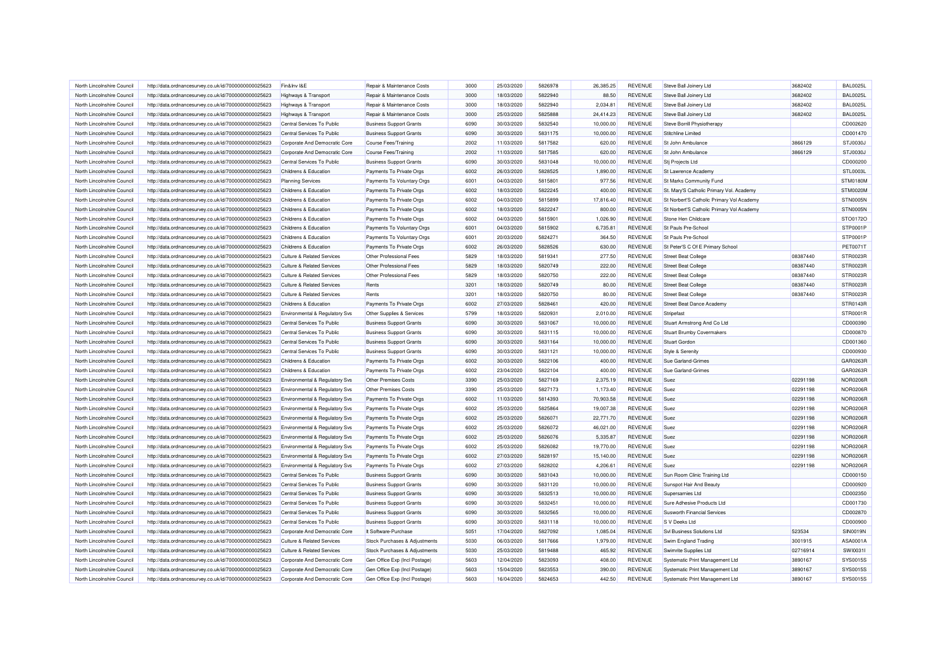| North Lincolnshire Council | http://data.ordnancesurvey.co.uk/id/7000000000025623 | Fin&Inv I&E                           | Repair & Maintenance Costs     | 3000 | 25/03/2020 | 5826978 | 26.385.25 | <b>REVENUE</b> | Steve Ball Joinery Ltd                    | 3682402  | <b>BAL0025L</b> |
|----------------------------|------------------------------------------------------|---------------------------------------|--------------------------------|------|------------|---------|-----------|----------------|-------------------------------------------|----------|-----------------|
| North Lincolnshire Council | http://data.ordnancesurvey.co.uk/id/7000000000025623 | Highways & Transport                  | Repair & Maintenance Costs     | 3000 | 18/03/2020 | 5822940 | 88.50     | <b>REVENUE</b> | Steve Ball Joinery Ltd                    | 3682402  | <b>BAL0025L</b> |
| North Lincolnshire Council | http://data.ordnancesurvey.co.uk/id/7000000000025623 | Highways & Transport                  | Repair & Maintenance Costs     | 3000 | 18/03/2020 | 5822940 | 2,034.81  | REVENUE        | Steve Ball Joinery Ltd                    | 3682402  | <b>BAL0025L</b> |
| North Lincolnshire Council | http://data.ordnancesurvey.co.uk/id/7000000000025623 | Highways & Transport                  | Repair & Maintenance Costs     | 3000 | 25/03/2020 | 5825888 | 24,414.23 | <b>REVENUE</b> | Steve Ball Joinery Ltd                    | 3682402  | <b>BAL0025L</b> |
| North Lincolnshire Council | http://data.ordnancesurvey.co.uk/id/7000000000025623 | Central Services To Public            | <b>Business Support Grants</b> | 6090 | 30/03/2020 | 5832540 | 10,000.00 | <b>REVENUE</b> | Steve Borrill Physiotherapy               |          | CD002620        |
| North Lincolnshire Council | http://data.ordnancesurvey.co.uk/id/7000000000025623 | Central Services To Public            | <b>Business Support Grants</b> | 6090 | 30/03/2020 | 5831175 | 10,000.00 | <b>REVENUE</b> | Stitchline Limited                        |          | CD001470        |
| North Lincolnshire Council | http://data.ordnancesurvey.co.uk/id/7000000000025623 | Corporate And Democratic Core         | Course Fees/Training           | 2002 | 11/03/2020 | 5817582 | 620.00    | <b>REVENUE</b> | St John Ambulance                         | 3866129  | STJ0030J        |
| North Lincolnshire Council | http://data.ordnancesurvey.co.uk/id/7000000000025623 | Corporate And Democratic Core         | <b>Course Fees/Training</b>    | 2002 | 11/03/2020 | 5817585 | 620.00    | <b>REVENUE</b> | St John Ambulance                         | 3866129  | STJ0030J        |
| North Lincolnshire Council | http://data.ordnancesurvey.co.uk/id/7000000000025623 | Central Services To Public            | <b>Business Support Grants</b> | 6090 | 30/03/2020 | 5831048 | 10,000.00 | REVENUE        | Sti Projects Ltd                          |          | CD000200        |
| North Lincolnshire Council | http://data.ordnancesurvey.co.uk/id/7000000000025623 | Childrens & Education                 | Payments To Private Orgs       | 6002 | 26/03/2020 | 5828525 | 1,890.00  | REVENUE        | St Lawrence Academy                       |          | STL0003L        |
| North Lincolnshire Council | http://data.ordnancesurvey.co.uk/id/7000000000025623 | <b>Planning Services</b>              | Payments To Voluntary Orgs     | 6001 | 04/03/2020 | 5815801 | 977.56    | <b>REVENUE</b> | St Marks Community Fund                   |          | <b>STM0180M</b> |
| North Lincolnshire Council | http://data.ordnancesurvey.co.uk/id/7000000000025623 | Childrens & Education                 | Payments To Private Orgs       | 6002 | 18/03/2020 | 5822245 | 400.00    | <b>REVENUE</b> | St. Mary'S Catholic Primary Vol. Academy  |          | STM0020M        |
| North Lincolnshire Council | http://data.ordnancesurvey.co.uk/id/7000000000025623 | Childrens & Education                 | Payments To Private Orgs       | 6002 | 04/03/2020 | 5815899 | 17,816.40 | REVENUE        | St Norbert'S Catholic Primary Vol Academy |          | STN0005N        |
| North Lincolnshire Council | http://data.ordnancesurvey.co.uk/id/7000000000025623 | Childrens & Education                 | Payments To Private Orgs       | 6002 | 18/03/2020 | 5822247 | 800.00    | REVENUE        | St Norbert'S Catholic Primary Vol Academy |          | STN0005N        |
| North Lincolnshire Council | http://data.ordnancesurvey.co.uk/id/7000000000025623 | Childrens & Education                 | Payments To Private Orgs       | 6002 | 04/03/2020 | 5815901 | 1,026.90  | <b>REVENUE</b> | Stone Hen Childcare                       |          | STO0172C        |
| North Lincolnshire Council | http://data.ordnancesurvey.co.uk/id/7000000000025623 | Childrens & Education                 | Payments To Voluntary Orgs     | 6001 | 04/03/2020 | 5815902 | 6,735.81  | <b>REVENUE</b> | St Pauls Pre-School                       |          | STP0001P        |
| North Lincolnshire Council | http://data.ordnancesurvey.co.uk/id/7000000000025623 | Childrens & Education                 | Payments To Voluntary Orgs     | 6001 | 20/03/2020 | 5824271 | 364.50    | REVENUE        | St Pauls Pre-School                       |          | STP0001P        |
| North Lincolnshire Council | http://data.ordnancesurvey.co.uk/id/7000000000025623 | Childrens & Education                 | Payments To Private Orgs       | 6002 | 26/03/2020 | 5828526 | 630.00    | <b>REVENUE</b> | St Peter'S C Of E Primary School          |          | PET0071T        |
| North Lincolnshire Council |                                                      | <b>Culture &amp; Related Services</b> | Other Professional Fees        | 5829 | 18/03/2020 | 5819341 | 277.50    | <b>REVENUE</b> | <b>Street Beat College</b>                | 08387440 | STR0023R        |
| North Lincolnshire Council | http://data.ordnancesurvey.co.uk/id/7000000000025623 | <b>Culture &amp; Related Services</b> | Other Professional Fees        | 5829 | 18/03/2020 | 5820749 | 222.00    | <b>REVENUE</b> |                                           | 08387440 | STR0023R        |
| North Lincolnshire Council | http://data.ordnancesurvey.co.uk/id/7000000000025623 | <b>Culture &amp; Related Services</b> | Other Professional Fees        | 5829 | 18/03/2020 | 5820750 | 222.00    | <b>REVENUE</b> | <b>Street Beat College</b>                |          | STR0023R        |
|                            | http://data.ordnancesurvey.co.uk/id/7000000000025623 |                                       |                                |      |            |         |           |                | <b>Street Beat College</b>                | 08387440 |                 |
| North Lincolnshire Council | http://data.ordnancesurvey.co.uk/id/7000000000025623 | <b>Culture &amp; Related Services</b> | Rents                          | 3201 | 18/03/2020 | 5820749 | 80.00     | <b>REVENUE</b> | <b>Street Beat College</b>                | 08387440 | STR0023R        |
| North Lincolnshire Council | http://data.ordnancesurvey.co.uk/id/7000000000025623 | <b>Culture &amp; Related Services</b> | Rents                          | 3201 | 18/03/2020 | 5820750 | 80.00     | <b>REVENUE</b> | <b>Street Beat College</b>                | 08387440 | STR0023R        |
| North Lincolnshire Council | http://data.ordnancesurvey.co.uk/id/7000000000025623 | Childrens & Education                 | Payments To Private Orgs       | 6002 | 27/03/2020 | 5828461 | 420.00    | REVENUE        | <b>Street Beat Dance Academy</b>          |          | <b>STR0143R</b> |
| North Lincolnshire Council | http://data.ordnancesurvey.co.uk/id/7000000000025623 | Environmental & Regulatory Svs        | Other Supplies & Services      | 5799 | 18/03/2020 | 5820931 | 2,010.00  | REVENUE        | Stripefast                                |          | STR0001R        |
| North Lincolnshire Council | http://data.ordnancesurvey.co.uk/id/7000000000025623 | Central Services To Public            | <b>Business Support Grants</b> | 6090 | 30/03/2020 | 5831067 | 10,000.00 | <b>REVENUE</b> | Stuart Armstrong And Co Ltd               |          | CD000390        |
| North Lincolnshire Council | http://data.ordnancesurvey.co.uk/id/7000000000025623 | Central Services To Public            | <b>Business Support Grants</b> | 6090 | 30/03/2020 | 5831115 | 10,000.00 | <b>REVENUE</b> | <b>Stuart Brumby Covermakers</b>          |          | CD000870        |
| North Lincolnshire Council | http://data.ordnancesurvey.co.uk/id/7000000000025623 | Central Services To Public            | <b>Business Support Grants</b> | 6090 | 30/03/2020 | 5831164 | 10,000.00 | <b>REVENUE</b> | <b>Stuart Gordon</b>                      |          | CD001360        |
| North Lincolnshire Council | http://data.ordnancesurvey.co.uk/id/7000000000025623 | Central Services To Public            | <b>Business Support Grants</b> | 6090 | 30/03/2020 | 5831121 | 10,000.00 | <b>REVENUE</b> | Style & Serenity                          |          | CD000930        |
| North Lincolnshire Council | http://data.ordnancesurvey.co.uk/id/7000000000025623 | Childrens & Education                 | Payments To Private Orgs       | 6002 | 30/03/2020 | 5822106 | 400.00    | <b>REVENUE</b> | Sue Garland-Grimes                        |          | GAR0263F        |
| North Lincolnshire Council | http://data.ordnancesurvey.co.uk/id/7000000000025623 | Childrens & Education                 | Payments To Private Orgs       | 6002 | 23/04/2020 | 5822104 | 400.00    | <b>REVENUE</b> | Sue Garland-Grimes                        |          | GAR0263R        |
| North Lincolnshire Council | http://data.ordnancesurvey.co.uk/id/7000000000025623 | Environmental & Regulatory Svs        | Other Premises Costs           | 3390 | 25/03/2020 | 5827169 | 2,375.19  | REVENUE        | Suez                                      | 02291198 | <b>NOR0206F</b> |
| North Lincolnshire Council | http://data.ordnancesurvey.co.uk/id/7000000000025623 | Environmental & Regulatory Svs        | Other Premises Costs           | 3390 | 25/03/2020 | 5827173 | 1,173.40  | REVENUE        | Suez                                      | 02291198 | NOR0206R        |
| North Lincolnshire Council | http://data.ordnancesurvey.co.uk/id/7000000000025623 | Environmental & Regulatory Svs        | Payments To Private Orgs       | 6002 | 11/03/2020 | 5814393 | 70,903.58 | <b>REVENUE</b> | Suez                                      | 02291198 | <b>NOR0206R</b> |
| North Lincolnshire Council | http://data.ordnancesurvey.co.uk/id/7000000000025623 | Environmental & Regulatory Svs        | Payments To Private Orgs       | 6002 | 25/03/2020 | 5825864 | 19,007.38 | <b>REVENUE</b> | Suez                                      | 02291198 | <b>NOR0206F</b> |
| North Lincolnshire Council | http://data.ordnancesurvey.co.uk/id/7000000000025623 | Environmental & Regulatory Svs        | Payments To Private Orgs       | 6002 | 25/03/2020 | 5826071 | 22,771.70 | REVENUE        | Suez                                      | 02291198 | NOR0206R        |
| North Lincolnshire Council | http://data.ordnancesurvey.co.uk/id/7000000000025623 | Environmental & Regulatory Svs        | Payments To Private Orgs       | 6002 | 25/03/2020 | 5826072 | 46,021.00 | <b>REVENUE</b> | Suez                                      | 02291198 | NOR0206F        |
| North Lincolnshire Council | http://data.ordnancesurvey.co.uk/id/7000000000025623 | Environmental & Regulatory Svs        | Payments To Private Orgs       | 6002 | 25/03/2020 | 5826076 | 5,335.87  | REVENUE        | Suez                                      | 02291198 | NOR0206R        |
| North Lincolnshire Council | http://data.ordnancesurvey.co.uk/id/7000000000025623 | Environmental & Regulatory Svs        | Payments To Private Orgs       | 6002 | 25/03/2020 | 5826082 | 19,770.00 | <b>REVENUE</b> | Suez                                      | 02291198 | <b>NOR0206R</b> |
| North Lincolnshire Council | http://data.ordnancesurvey.co.uk/id/7000000000025623 | Environmental & Regulatory Svs        | Payments To Private Orgs       | 6002 | 27/03/2020 | 5828197 | 15,140.00 | <b>REVENUE</b> | Suez                                      | 02291198 | <b>NOR0206R</b> |
| North Lincolnshire Council | http://data.ordnancesurvey.co.uk/id/7000000000025623 | Environmental & Regulatory Svs        | Payments To Private Orgs       | 6002 | 27/03/2020 | 5828202 | 4,206.61  | <b>REVENUE</b> | Suez                                      | 02291198 | <b>NOR0206F</b> |
| North Lincolnshire Council | http://data.ordnancesurvey.co.uk/id/7000000000025623 | Central Services To Public            | <b>Business Support Grants</b> | 6090 | 30/03/2020 | 5831043 | 10,000.00 | <b>REVENUE</b> | Sun Room Clinic Training Ltd              |          | CD000150        |
| North Lincolnshire Council | http://data.ordnancesurvey.co.uk/id/7000000000025623 | Central Services To Public            | <b>Business Support Grants</b> | 6090 | 30/03/2020 | 5831120 | 10,000.00 | <b>REVENUE</b> | Sunspot Hair And Beauty                   |          | CD000920        |
| North Lincolnshire Council | http://data.ordnancesurvey.co.uk/id/7000000000025623 | Central Services To Public            | <b>Business Support Grants</b> | 6090 | 30/03/2020 | 5832513 | 10,000.00 | <b>REVENUE</b> | Supersarnies Ltd                          |          | CD002350        |
| North Lincolnshire Council | http://data.ordnancesurvey.co.uk/id/7000000000025623 | Central Services To Public            | <b>Business Support Grants</b> | 6090 | 30/03/2020 | 5832451 | 10,000.00 | <b>REVENUE</b> | Sure Adhesive Products Ltd                |          | CD001730        |
| North Lincolnshire Council | http://data.ordnancesurvey.co.uk/id/7000000000025623 | Central Services To Public            | <b>Business Support Grants</b> | 6090 | 30/03/2020 | 5832565 | 10,000.00 | <b>REVENUE</b> | <b>Susworth Financial Services</b>        |          | CD002870        |
| North Lincolnshire Council | http://data.ordnancesurvey.co.uk/id/7000000000025623 | Central Services To Public            | <b>Business Support Grants</b> | 6090 | 30/03/2020 | 5831118 | 10,000.00 | <b>REVENUE</b> | S V Deeks Ltd                             |          | CD000900        |
| North Lincolnshire Council | http://data.ordnancesurvey.co.uk/id/7000000000025623 | Corporate And Democratic Core         | It Software-Purchase           | 5051 | 17/04/2020 | 5827092 | 1,085.04  | REVENUE        | <b>Svl Business Solutions Ltd</b>         | 523534   | <b>SIN0019N</b> |
| North Lincolnshire Council | http://data.ordnancesurvey.co.uk/id/7000000000025623 | <b>Culture &amp; Related Services</b> | Stock Purchases & Adjustments  | 5030 | 06/03/2020 | 5817666 | 1,979.00  | <b>REVENUE</b> | Swim England Trading                      | 3001915  | ASA0001A        |
| North Lincolnshire Council | http://data.ordnancesurvey.co.uk/id/7000000000025623 | <b>Culture &amp; Related Services</b> | Stock Purchases & Adjustments  | 5030 | 25/03/2020 | 5819488 | 465.92    | <b>REVENUE</b> | Swimrite Supplies Ltd                     | 02716914 | SW100311        |
| North Lincolnshire Council | http://data.ordnancesurvey.co.uk/id/7000000000025623 | Corporate And Democratic Core         | Gen Office Exp (Incl Postage)  | 5603 | 12/04/2020 | 5823093 | 408.00    | <b>REVENUE</b> | Systematic Print Management Ltd           | 3890167  | SYS0015S        |
| North Lincolnshire Council | http://data.ordnancesurvey.co.uk/id/7000000000025623 | Corporate And Democratic Core         | Gen Office Exp (Incl Postage)  | 5603 | 15/04/2020 | 5823553 | 390.00    | REVENUE        | Systematic Print Management Ltd           | 3890167  | SYS0015S        |
| North Lincolnshire Council | http://data.ordnancesurvey.co.uk/id/7000000000025623 | Corporate And Democratic Core         | Gen Office Exp (Incl Postage)  | 5603 | 16/04/2020 | 5824653 | 442.50    | <b>REVENUE</b> | Systematic Print Management Ltd           | 3890167  | SYS0015S        |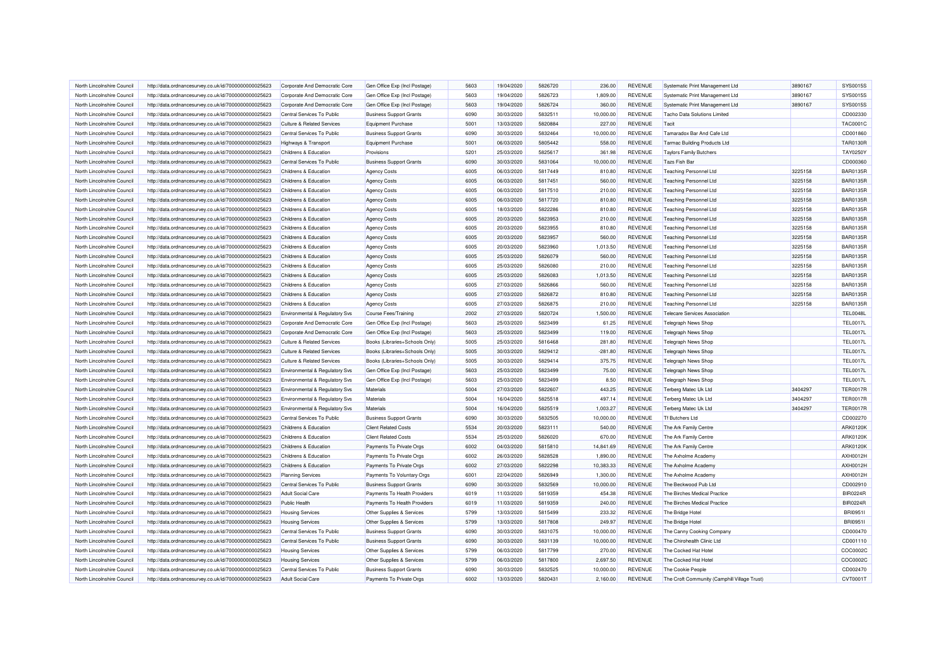| North Lincolnshire Council | http://data.ordnancesurvey.co.uk/id/7000000000025623 | Corporate And Democratic Core         | Gen Office Exp (Incl Postage)  | 5603 | 19/04/2020 | 5826720 | 236.00    | <b>REVENUE</b> | Systematic Print Management Ltd              | 3890167 | SYS0015S        |
|----------------------------|------------------------------------------------------|---------------------------------------|--------------------------------|------|------------|---------|-----------|----------------|----------------------------------------------|---------|-----------------|
| North Lincolnshire Council | http://data.ordnancesurvey.co.uk/id/7000000000025623 | Corporate And Democratic Core         | Gen Office Exp (Incl Postage)  | 5603 | 19/04/2020 | 5826723 | 1,809.00  | REVENUE        | Systematic Print Management Ltd              | 3890167 | SYS0015S        |
| North Lincolnshire Council | http://data.ordnancesurvey.co.uk/id/7000000000025623 | Corporate And Democratic Core         | Gen Office Exp (Incl Postage)  | 5603 | 19/04/2020 | 5826724 | 360.00    | <b>REVENUE</b> | Systematic Print Management Ltd              | 3890167 | SYS0015S        |
| North Lincolnshire Council | http://data.ordnancesurvey.co.uk/id/7000000000025623 | Central Services To Public            | <b>Business Support Grants</b> | 6090 | 30/03/2020 | 5832511 | 10,000.00 | REVENUE        | Tacho Data Solutions Limited                 |         | CD002330        |
| North Lincolnshire Council | http://data.ordnancesurvey.co.uk/id/7000000000025623 | <b>Culture &amp; Related Services</b> | <b>Equipment Purchase</b>      | 5001 | 13/03/2020 | 5820884 | 227.00    | <b>REVENUE</b> | Tacit                                        |         | <b>TAC0001C</b> |
| North Lincolnshire Council | http://data.ordnancesurvey.co.uk/id/7000000000025623 | Central Services To Public            | <b>Business Support Grants</b> | 6090 | 30/03/2020 | 5832464 | 10,000.00 | REVENUE        | Tamaradox Bar And Cafe Ltd                   |         | CD001860        |
| North Lincolnshire Council | http://data.ordnancesurvey.co.uk/id/7000000000025623 | Highways & Transport                  | <b>Equipment Purchase</b>      | 5001 | 06/03/2020 | 5805442 | 558.00    | <b>REVENUE</b> | <b>Tarmac Building Products Ltd</b>          |         | <b>TAR0130R</b> |
| North Lincolnshire Council | http://data.ordnancesurvey.co.uk/id/7000000000025623 | Childrens & Education                 | Provisions                     | 5201 | 25/03/2020 | 5825617 | 361.98    | <b>REVENUE</b> | <b>Taylors Family Butchers</b>               |         | <b>TAY0250Y</b> |
| North Lincolnshire Council | http://data.ordnancesurvey.co.uk/id/7000000000025623 | Central Services To Public            | <b>Business Support Grants</b> | 6090 | 30/03/2020 | 5831064 | 10,000.00 | <b>REVENUE</b> | Tazs Fish Bar                                |         | CD000360        |
| North Lincolnshire Council | http://data.ordnancesurvey.co.uk/id/7000000000025623 | Childrens & Education                 | <b>Agency Costs</b>            | 6005 | 06/03/2020 | 5817449 | 810.80    | REVENUE        | <b>Teaching Personnel Ltd</b>                | 3225158 | <b>BAR0135R</b> |
| North Lincolnshire Council | http://data.ordnancesurvey.co.uk/id/7000000000025623 | Childrens & Education                 | <b>Agency Costs</b>            | 6005 | 06/03/2020 | 5817451 | 560.00    | REVENUE        | <b>Teaching Personnel Ltd</b>                | 3225158 | <b>BAR0135R</b> |
| North Lincolnshire Council | http://data.ordnancesurvey.co.uk/id/7000000000025623 | Childrens & Education                 | <b>Agency Costs</b>            | 6005 | 06/03/2020 | 5817510 | 210.00    | REVENUE        | <b>Teaching Personnel Ltd</b>                | 3225158 | <b>BAR0135R</b> |
| North Lincolnshire Council | http://data.ordnancesurvey.co.uk/id/7000000000025623 | Childrens & Education                 | <b>Agency Costs</b>            | 6005 | 06/03/2020 | 5817720 | 810.80    | REVENUE        | <b>Teaching Personnel Ltd</b>                | 3225158 | <b>BAR0135R</b> |
| North Lincolnshire Council | http://data.ordnancesurvey.co.uk/id/7000000000025623 | Childrens & Education                 | <b>Agency Costs</b>            | 6005 | 18/03/2020 | 5822286 | 810.80    | REVENUE        | <b>Teaching Personnel Ltd</b>                | 3225158 | BAR0135R        |
| North Lincolnshire Council | http://data.ordnancesurvey.co.uk/id/7000000000025623 | Childrens & Education                 | <b>Agency Costs</b>            | 6005 | 20/03/2020 | 5823953 | 210.00    | <b>REVENUE</b> | <b>Teaching Personnel Ltd</b>                | 3225158 | <b>BAR0135R</b> |
| North Lincolnshire Council | http://data.ordnancesurvey.co.uk/id/7000000000025623 | Childrens & Education                 | <b>Agency Costs</b>            | 6005 | 20/03/2020 | 5823955 | 810.80    | <b>REVENUE</b> | <b>Teaching Personnel Ltd</b>                | 3225158 | <b>BAR0135R</b> |
| North Lincolnshire Council | http://data.ordnancesurvey.co.uk/id/7000000000025623 | Childrens & Education                 | <b>Agency Costs</b>            | 6005 | 20/03/2020 | 5823957 | 560.00    | REVENUE        | <b>Teaching Personnel Ltd</b>                | 3225158 | <b>BAR0135R</b> |
| North Lincolnshire Council | http://data.ordnancesurvey.co.uk/id/7000000000025623 | Childrens & Education                 | <b>Agency Costs</b>            | 6005 | 20/03/2020 | 5823960 | 1,013.50  | REVENUE        | <b>Teaching Personnel Ltd</b>                | 3225158 | <b>BAR0135R</b> |
| North Lincolnshire Council | http://data.ordnancesurvey.co.uk/id/7000000000025623 | Childrens & Education                 | <b>Agency Costs</b>            | 6005 | 25/03/2020 | 5826079 | 560.00    | <b>REVENUE</b> | <b>Teaching Personnel Ltd</b>                | 3225158 | <b>BAR0135R</b> |
| North Lincolnshire Council | http://data.ordnancesurvey.co.uk/id/7000000000025623 | Childrens & Education                 | <b>Agency Costs</b>            | 6005 | 25/03/2020 | 5826080 | 210.00    | REVENUE        | <b>Teaching Personnel Ltd</b>                | 3225158 | <b>BAR0135R</b> |
| North Lincolnshire Council | http://data.ordnancesurvey.co.uk/id/7000000000025623 | Childrens & Education                 | <b>Agency Costs</b>            | 6005 | 25/03/2020 | 5826083 | 1,013.50  | <b>REVENUE</b> | <b>Teaching Personnel Ltd</b>                | 3225158 | <b>BAR0135R</b> |
| North Lincolnshire Council | http://data.ordnancesurvey.co.uk/id/7000000000025623 | Childrens & Education                 | <b>Agency Costs</b>            | 6005 | 27/03/2020 | 5826866 | 560.00    | REVENUE        | <b>Teaching Personnel Ltd</b>                | 3225158 | <b>BAR0135R</b> |
| North Lincolnshire Council | http://data.ordnancesurvey.co.uk/id/7000000000025623 | Childrens & Education                 | <b>Agency Costs</b>            | 6005 | 27/03/2020 | 5826872 | 810.80    | <b>REVENUE</b> | <b>Teaching Personnel Ltd</b>                | 3225158 | <b>BAR0135R</b> |
| North Lincolnshire Council | http://data.ordnancesurvey.co.uk/id/7000000000025623 | Childrens & Education                 | <b>Agency Costs</b>            | 6005 | 27/03/2020 | 5826875 | 210.00    | REVENUE        | <b>Teaching Personnel Ltd</b>                | 3225158 | <b>BAR0135R</b> |
| North Lincolnshire Council | http://data.ordnancesurvey.co.uk/id/7000000000025623 | Environmental & Regulatory Svs        | Course Fees/Training           | 2002 | 27/03/2020 | 5820724 | 1,500.00  | <b>REVENUE</b> | <b>Telecare Services Association</b>         |         | <b>TEL0048L</b> |
| North Lincolnshire Council | http://data.ordnancesurvey.co.uk/id/7000000000025623 | Corporate And Democratic Core         | Gen Office Exp (Incl Postage)  | 5603 | 25/03/2020 | 5823499 | 61.25     | REVENUE        | <b>Telegraph News Shop</b>                   |         | <b>TEL0017L</b> |
| North Lincolnshire Council | http://data.ordnancesurvey.co.uk/id/7000000000025623 | Corporate And Democratic Core         | Gen Office Exp (Incl Postage)  | 5603 | 25/03/2020 | 5823499 | 119.00    | <b>REVENUE</b> | Telegraph News Shop                          |         | <b>TEL0017L</b> |
| North Lincolnshire Council | http://data.ordnancesurvey.co.uk/id/7000000000025623 | <b>Culture &amp; Related Services</b> | Books (Libraries+Schools Only) | 5005 | 25/03/2020 | 5816468 | 281.80    | REVENUE        | Telegraph News Shop                          |         | <b>TEL0017L</b> |
| North Lincolnshire Council | http://data.ordnancesurvey.co.uk/id/7000000000025623 | <b>Culture &amp; Related Services</b> | Books (Libraries+Schools Only) | 5005 | 30/03/2020 | 5829412 | $-281.80$ | <b>REVENUE</b> | Telegraph News Shop                          |         | <b>TEL0017L</b> |
| North Lincolnshire Council | http://data.ordnancesurvey.co.uk/id/7000000000025623 | <b>Culture &amp; Related Services</b> | Books (Libraries+Schools Only) | 5005 | 30/03/2020 | 5829414 | 375.75    | REVENUE        | Telegraph News Shop                          |         | <b>TEL0017L</b> |
| North Lincolnshire Council | http://data.ordnancesurvey.co.uk/id/7000000000025623 | Environmental & Regulatory Svs        | Gen Office Exp (Incl Postage)  | 5603 | 25/03/2020 | 5823499 | 75.00     | <b>REVENUE</b> | <b>Telegraph News Shop</b>                   |         | <b>TEL0017L</b> |
| North Lincolnshire Council | http://data.ordnancesurvey.co.uk/id/7000000000025623 | Environmental & Regulatory Svs        | Gen Office Exp (Incl Postage)  | 5603 | 25/03/2020 | 5823499 | 8.50      | REVENUE        | <b>Telegraph News Shop</b>                   |         | <b>TEL0017L</b> |
| North Lincolnshire Council | http://data.ordnancesurvey.co.uk/id/7000000000025623 | Environmental & Regulatory Svs        | Materials                      | 5004 | 27/03/2020 | 5822607 | 443.25    | <b>REVENUE</b> | Terberg Matec Uk Ltd                         | 3404297 | <b>TER0017R</b> |
| North Lincolnshire Council | http://data.ordnancesurvey.co.uk/id/7000000000025623 | Environmental & Regulatory Svs        | Materials                      | 5004 | 16/04/2020 | 5825518 | 497.14    | REVENUE        | Terberg Matec Uk Ltd                         | 3404297 | <b>TER0017R</b> |
| North Lincolnshire Council | http://data.ordnancesurvey.co.uk/id/7000000000025623 | Environmental & Regulatory Svs        | Materials                      | 5004 | 16/04/2020 | 5825519 | 1,003.27  | <b>REVENUE</b> | Terberg Matec Uk Ltd                         | 3404297 | <b>TER0017R</b> |
| North Lincolnshire Council | http://data.ordnancesurvey.co.uk/id/7000000000025623 | Central Services To Public            | <b>Business Support Grants</b> | 6090 | 30/03/2020 | 5832505 | 10,000.00 | <b>REVENUE</b> | <b>Tf Butchers Ltd</b>                       |         | CD002270        |
| North Lincolnshire Council | http://data.ordnancesurvey.co.uk/id/7000000000025623 | Childrens & Education                 | <b>Client Related Costs</b>    | 5534 | 20/03/2020 | 5823111 | 540.00    | <b>REVENUE</b> | The Ark Family Centre                        |         | <b>ARK0120K</b> |
| North Lincolnshire Council | http://data.ordnancesurvey.co.uk/id/7000000000025623 | Childrens & Education                 | <b>Client Related Costs</b>    | 5534 | 25/03/2020 | 5826020 | 670.00    | <b>REVENUE</b> | The Ark Family Centre                        |         | ARK0120K        |
| North Lincolnshire Council | http://data.ordnancesurvey.co.uk/id/7000000000025623 | Childrens & Education                 | Payments To Private Orgs       | 6002 | 04/03/2020 | 5815810 | 14,841.69 | <b>REVENUE</b> | The Ark Family Centre                        |         | ARK0120K        |
| North Lincolnshire Council | http://data.ordnancesurvey.co.uk/id/7000000000025623 | Childrens & Education                 | Payments To Private Orgs       | 6002 | 26/03/2020 | 5828528 | 1,890.00  | REVENUE        | The Axholme Academy                          |         | AXH0012H        |
| North Lincolnshire Council | http://data.ordnancesurvey.co.uk/id/7000000000025623 | Childrens & Education                 | Payments To Private Orgs       | 6002 | 27/03/2020 | 5822298 | 10,383.33 | <b>REVENUE</b> | The Axholme Academy                          |         | AXH0012H        |
| North Lincolnshire Council | http://data.ordnancesurvey.co.uk/id/7000000000025623 | <b>Planning Services</b>              | Payments To Voluntary Orgs     | 6001 | 22/04/2020 | 5826949 | 1,300.00  | REVENUE        | The Axholme Academy                          |         | AXH0012H        |
| North Lincolnshire Council | http://data.ordnancesurvey.co.uk/id/7000000000025623 | Central Services To Public            | <b>Business Support Grants</b> | 6090 | 30/03/2020 | 5832569 | 10,000.00 | <b>REVENUE</b> | The Beckwood Pub Ltd                         |         | CD002910        |
| North Lincolnshire Council | http://data.ordnancesurvey.co.uk/id/7000000000025623 | <b>Adult Social Care</b>              | Payments To Health Providers   | 6019 | 11/03/2020 | 5819359 | 454.38    | REVENUE        | The Birches Medical Practice                 |         | <b>BIR0224R</b> |
| North Lincolnshire Council | http://data.ordnancesurvey.co.uk/id/7000000000025623 | Public Health                         | Payments To Health Providers   | 6019 | 11/03/2020 | 5819359 | 240.00    | <b>REVENUE</b> | The Birches Medical Practice                 |         | <b>BIR0224R</b> |
| North Lincolnshire Council | http://data.ordnancesurvey.co.uk/id/7000000000025623 | <b>Housing Services</b>               | Other Supplies & Services      | 5799 | 13/03/2020 | 5815499 | 233.32    | <b>REVENUE</b> | The Bridge Hotel                             |         | <b>BRI09511</b> |
| North Lincolnshire Council | http://data.ordnancesurvey.co.uk/id/7000000000025623 | <b>Housing Services</b>               | Other Supplies & Services      | 5799 | 13/03/2020 | 5817808 | 249.97    | <b>REVENUE</b> | The Bridge Hotel                             |         | <b>BRI0951I</b> |
| North Lincolnshire Council | http://data.ordnancesurvey.co.uk/id/7000000000025623 | Central Services To Public            | <b>Business Support Grants</b> | 6090 | 30/03/2020 | 5831075 | 10,000.00 | <b>REVENUE</b> | The Canny Cooking Company                    |         | CD000470        |
| North Lincolnshire Council | http://data.ordnancesurvey.co.uk/id/7000000000025623 | Central Services To Public            | <b>Business Support Grants</b> | 6090 | 30/03/2020 | 5831139 | 10,000.00 | <b>REVENUE</b> | The Chirohealth Clinic Ltd                   |         | CD001110        |
| North Lincolnshire Council | http://data.ordnancesurvey.co.uk/id/7000000000025623 | <b>Housing Services</b>               | Other Supplies & Services      | 5799 | 06/03/2020 | 5817799 | 270.00    | REVENUE        | The Cocked Hat Hote                          |         | COC0002C        |
| North Lincolnshire Council | http://data.ordnancesurvey.co.uk/id/7000000000025623 | <b>Housing Services</b>               | Other Supplies & Services      | 5799 | 06/03/2020 | 5817800 | 2,697.50  | <b>REVENUE</b> | The Cocked Hat Hotel                         |         | COC0002C        |
| North Lincolnshire Council | http://data.ordnancesurvey.co.uk/id/7000000000025623 | Central Services To Public            | <b>Business Support Grants</b> | 6090 | 30/03/2020 | 5832525 | 10,000.00 | REVENUE        | The Cookie People                            |         | CD002470        |
| North Lincolnshire Council | http://data.ordnancesurvey.co.uk/id/7000000000025623 | <b>Adult Social Care</b>              | Payments To Private Orgs       | 6002 | 13/03/2020 | 5820431 | 2,160.00  | <b>REVENUE</b> | The Croft Community (Camphill Village Trust) |         | CVT0001T        |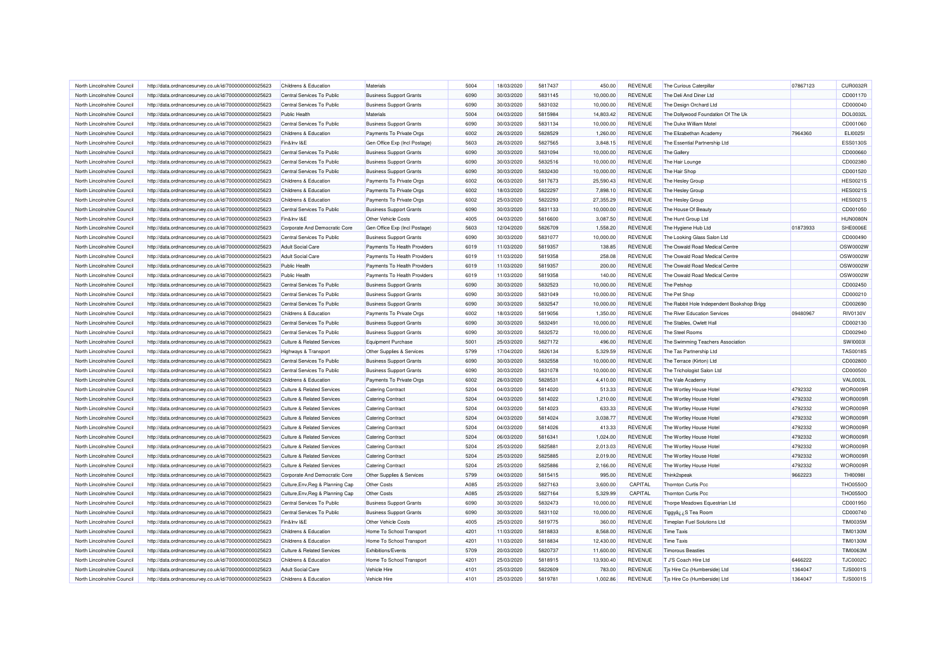| North Lincolnshire Council                               | http://data.ordnancesurvey.co.uk/id/7000000000025623 | Childrens & Education                     | Materials                                             | 5004 | 18/03/2020               | 5817437 | 450.00                | REVENUE                   | The Curious Caterpillar                    | 07867123 | <b>CUR0032R</b> |
|----------------------------------------------------------|------------------------------------------------------|-------------------------------------------|-------------------------------------------------------|------|--------------------------|---------|-----------------------|---------------------------|--------------------------------------------|----------|-----------------|
| North Lincolnshire Council                               | http://data.ordnancesurvey.co.uk/id/7000000000025623 | Central Services To Public                | <b>Business Support Grants</b>                        | 6090 | 30/03/2020               | 5831145 | 10,000.00             | REVENUE                   | The Deli And Diner Ltd                     |          | CD001170        |
| North Lincolnshire Council                               | http://data.ordnancesurvey.co.uk/id/7000000000025623 | Central Services To Public                | <b>Business Support Grants</b>                        | 6090 | 30/03/2020               | 5831032 | 10,000.00             | <b>REVENUE</b>            | The Design Orchard Ltd                     |          | CD000040        |
| North Lincolnshire Council                               | http://data.ordnancesurvey.co.uk/id/7000000000025623 | Public Health                             | Materials                                             | 5004 | 04/03/2020               | 5815984 | 14,803.42             | REVENUE                   | The Dollywood Foundation Of The Uk         |          | DOL0032L        |
| North Lincolnshire Council                               | http://data.ordnancesurvey.co.uk/id/7000000000025623 | Central Services To Public                | <b>Business Support Grants</b>                        | 6090 | 30/03/2020               | 5831134 | 10,000.00             | <b>REVENUE</b>            | The Duke William Motel                     |          | CD001060        |
| North Lincolnshire Council                               | http://data.ordnancesurvey.co.uk/id/7000000000025623 | Childrens & Education                     | Payments To Private Orgs                              | 6002 | 26/03/2020               | 5828529 | 1,260.00              | REVENUE                   | The Elizabethan Academy                    | 7964360  | ELI0025I        |
| North Lincolnshire Council                               | http://data.ordnancesurvey.co.uk/id/7000000000025623 | Fin&Inv I&E                               | Gen Office Exp (Incl Postage)                         | 5603 | 26/03/2020               | 5827565 | 3,848.15              | <b>REVENUE</b>            | The Essential Partnership Ltd              |          | <b>ESS0130S</b> |
| North Lincolnshire Council                               | http://data.ordnancesurvey.co.uk/id/7000000000025623 | Central Services To Public                | <b>Business Support Grants</b>                        | 6090 | 30/03/2020               | 5831094 | 10,000.00             | <b>REVENUE</b>            | <b>The Gallery</b>                         |          | CD000660        |
| North Lincolnshire Council                               | http://data.ordnancesurvey.co.uk/id/7000000000025623 | Central Services To Public                | <b>Business Support Grants</b>                        | 6090 | 30/03/2020               | 5832516 | 10,000.00             | REVENUE                   | The Hair Lounge                            |          | CD002380        |
| North Lincolnshire Council                               | http://data.ordnancesurvey.co.uk/id/7000000000025623 | Central Services To Public                | <b>Business Support Grants</b>                        | 6090 | 30/03/2020               | 5832430 | 10,000.00             | REVENUE                   | The Hair Shop                              |          | CD001520        |
| North Lincolnshire Council                               | http://data.ordnancesurvey.co.uk/id/7000000000025623 | Childrens & Education                     | Payments To Private Orgs                              | 6002 | 06/03/2020               | 5817673 | 25,590.43             | <b>REVENUE</b>            | The Hesley Group                           |          | <b>HES0021S</b> |
| North Lincolnshire Council                               | http://data.ordnancesurvey.co.uk/id/7000000000025623 | Childrens & Education                     | Payments To Private Orgs                              | 6002 | 18/03/2020               | 5822297 | 7,898.10              | REVENUE                   | The Hesley Group                           |          | <b>HES0021S</b> |
| North Lincolnshire Council                               | http://data.ordnancesurvey.co.uk/id/7000000000025623 | Childrens & Education                     | Payments To Private Orgs                              | 6002 | 25/03/2020               | 5822293 | 27,355.29             | REVENUE                   | The Hesley Group                           |          | <b>HES0021S</b> |
|                                                          |                                                      |                                           |                                                       | 6090 |                          | 5831133 |                       |                           |                                            |          | CD001050        |
| North Lincolnshire Council<br>North Lincolnshire Council | http://data.ordnancesurvey.co.uk/id/7000000000025623 | Central Services To Public<br>Fin&Inv I&E | <b>Business Support Grants</b><br>Other Vehicle Costs | 4005 | 30/03/2020<br>04/03/2020 | 5816600 | 10,000.00<br>3,087.50 | REVENUE<br><b>REVENUE</b> | The House Of Beauty                        |          | <b>HUN0080N</b> |
|                                                          | http://data.ordnancesurvey.co.uk/id/7000000000025623 |                                           |                                                       | 5603 |                          | 5826709 |                       | REVENUE                   | The Hunt Group Ltd                         |          | SHE0006E        |
| North Lincolnshire Council                               | http://data.ordnancesurvey.co.uk/id/7000000000025623 | Corporate And Democratic Core             | Gen Office Exp (Incl Postage)                         |      | 12/04/2020               |         | 1,558.20              |                           | The Hygiene Hub Ltd                        | 01873933 |                 |
| North Lincolnshire Council                               | http://data.ordnancesurvey.co.uk/id/7000000000025623 | Central Services To Public                | <b>Business Support Grants</b>                        | 6090 | 30/03/2020               | 5831077 | 10,000.00             | REVENUE                   | The Looking Glass Salon Ltd                |          | CD000490        |
| North Lincolnshire Council                               | http://data.ordnancesurvey.co.uk/id/7000000000025623 | <b>Adult Social Care</b>                  | Payments To Health Providers                          | 6019 | 11/03/2020               | 5819357 | 138.85                | REVENUE                   | The Oswald Road Medical Centre             |          | OSW0002W        |
| North Lincolnshire Council                               | http://data.ordnancesurvey.co.uk/id/7000000000025623 | <b>Adult Social Care</b>                  | Payments To Health Providers                          | 6019 | 11/03/2020               | 5819358 | 258.08                | <b>REVENUE</b>            | The Oswald Road Medical Centre             |          | OSW0002W        |
| North Lincolnshire Council                               | http://data.ordnancesurvey.co.uk/id/7000000000025623 | <b>Public Health</b>                      | Payments To Health Providers                          | 6019 | 11/03/2020               | 5819357 | 200.00                | REVENUE                   | The Oswald Road Medical Centre             |          | OSW0002W        |
| North Lincolnshire Council                               | http://data.ordnancesurvey.co.uk/id/7000000000025623 | Public Health                             | Payments To Health Providers                          | 6019 | 11/03/2020               | 5819358 | 140.00                | <b>REVENUE</b>            | The Oswald Road Medical Centre             |          | OSW0002W        |
| North Lincolnshire Council                               | http://data.ordnancesurvey.co.uk/id/7000000000025623 | Central Services To Public                | <b>Business Support Grants</b>                        | 6090 | 30/03/2020               | 5832523 | 10,000.00             | REVENUE                   | The Petshop                                |          | CD002450        |
| North Lincolnshire Council                               | http://data.ordnancesurvey.co.uk/id/7000000000025623 | Central Services To Public                | <b>Business Support Grants</b>                        | 6090 | 30/03/2020               | 5831049 | 10.000.00             | <b>REVENUE</b>            | The Pet Shop                               |          | CD000210        |
| North Lincolnshire Council                               | http://data.ordnancesurvey.co.uk/id/7000000000025623 | Central Services To Public                | <b>Business Support Grants</b>                        | 6090 | 30/03/2020               | 5832547 | 10,000.00             | REVENUE                   | The Rabbit Hole Independent Bookshop Brigg |          | CD002690        |
| North Lincolnshire Council                               | http://data.ordnancesurvey.co.uk/id/7000000000025623 | Childrens & Education                     | Payments To Private Orgs                              | 6002 | 18/03/2020               | 5819056 | 1,350.00              | <b>REVENUE</b>            | The River Education Services               | 09480967 | <b>RIV0130V</b> |
| North Lincolnshire Council                               | http://data.ordnancesurvey.co.uk/id/7000000000025623 | Central Services To Public                | <b>Business Support Grants</b>                        | 6090 | 30/03/2020               | 5832491 | 10,000.00             | <b>REVENUE</b>            | The Stables, Owlett Hall                   |          | CD002130        |
| North Lincolnshire Council                               | http://data.ordnancesurvey.co.uk/id/7000000000025623 | Central Services To Public                | <b>Business Support Grants</b>                        | 6090 | 30/03/2020               | 5832572 | 10,000.00             | <b>REVENUE</b>            | The Steel Rooms                            |          | CD002940        |
| North Lincolnshire Council                               | http://data.ordnancesurvey.co.uk/id/7000000000025623 | <b>Culture &amp; Related Services</b>     | <b>Equipment Purchase</b>                             | 5001 | 25/03/2020               | 5827172 | 496.00                | REVENUE                   | The Swimming Teachers Association          |          | SW100031        |
| North Lincolnshire Council                               | http://data.ordnancesurvey.co.uk/id/7000000000025623 | Highways & Transport                      | Other Supplies & Services                             | 5799 | 17/04/2020               | 5826134 | 5,329.59              | <b>REVENUE</b>            | The Tas Partnership Ltd                    |          | <b>TAS0018S</b> |
| North Lincolnshire Council                               | http://data.ordnancesurvey.co.uk/id/7000000000025623 | Central Services To Public                | <b>Business Support Grants</b>                        | 6090 | 30/03/2020               | 5832558 | 10,000.00             | REVENUE                   | The Terrace (Kirton) Ltd                   |          | CD002800        |
| North Lincolnshire Council                               | http://data.ordnancesurvey.co.uk/id/7000000000025623 | Central Services To Public                | <b>Business Support Grants</b>                        | 6090 | 30/03/2020               | 5831078 | 10,000.00             | REVENUE                   | The Trichologist Salon Ltd                 |          | CD000500        |
| North Lincolnshire Council                               | http://data.ordnancesurvey.co.uk/id/7000000000025623 | Childrens & Education                     | Payments To Private Orgs                              | 6002 | 26/03/2020               | 5828531 | 4,410.00              | REVENUE                   | The Vale Academy                           |          | <b>VAL0003L</b> |
| North Lincolnshire Council                               | http://data.ordnancesurvey.co.uk/id/7000000000025623 | <b>Culture &amp; Related Services</b>     | <b>Catering Contract</b>                              | 5204 | 04/03/2020               | 5814020 | 513.33                | <b>REVENUE</b>            | The Wortley House Hotel                    | 4792332  | WOR0009F        |
| North Lincolnshire Council                               | http://data.ordnancesurvey.co.uk/id/7000000000025623 | <b>Culture &amp; Related Services</b>     | <b>Catering Contract</b>                              | 5204 | 04/03/2020               | 5814022 | 1,210.00              | REVENUE                   | The Wortley House Hotel                    | 4792332  | WOR0009R        |
| North Lincolnshire Council                               | http://data.ordnancesurvey.co.uk/id/7000000000025623 | <b>Culture &amp; Related Services</b>     | <b>Catering Contract</b>                              | 5204 | 04/03/2020               | 5814023 | 633.33                | <b>REVENUE</b>            | The Wortley House Hotel                    | 4792332  | WOR0009F        |
| North Lincolnshire Council                               | http://data.ordnancesurvey.co.uk/id/7000000000025623 | <b>Culture &amp; Related Services</b>     | <b>Catering Contract</b>                              | 5204 | 04/03/2020               | 5814024 | 3,038.77              | REVENUE                   | The Wortley House Hotel                    | 4792332  | WOR0009R        |
| North Lincolnshire Council                               | http://data.ordnancesurvey.co.uk/id/7000000000025623 | <b>Culture &amp; Related Services</b>     | <b>Catering Contract</b>                              | 5204 | 04/03/2020               | 5814026 | 413.33                | <b>REVENUE</b>            | The Wortley House Hotel                    | 4792332  | WOR0009R        |
| North Lincolnshire Council                               | http://data.ordnancesurvey.co.uk/id/7000000000025623 | <b>Culture &amp; Related Services</b>     | <b>Catering Contract</b>                              | 5204 | 06/03/2020               | 5816341 | 1,024.00              | REVENUE                   | The Wortley House Hotel                    | 4792332  | WOR0009R        |
| North Lincolnshire Council                               | http://data.ordnancesurvey.co.uk/id/7000000000025623 | <b>Culture &amp; Related Services</b>     | <b>Catering Contract</b>                              | 5204 | 25/03/2020               | 5825881 | 2,013.03              | REVENUE                   | The Wortley House Hotel                    | 4792332  | WOR0009R        |
| North Lincolnshire Council                               | http://data.ordnancesurvey.co.uk/id/7000000000025623 | <b>Culture &amp; Related Services</b>     | <b>Catering Contract</b>                              | 5204 | 25/03/2020               | 5825885 | 2,019.00              | REVENUE                   | The Wortley House Hotel                    | 4792332  | WOR0009R        |
| North Lincolnshire Council                               | http://data.ordnancesurvey.co.uk/id/7000000000025623 | <b>Culture &amp; Related Services</b>     | <b>Catering Contract</b>                              | 5204 | 25/03/2020               | 5825886 | 2,166.00              | <b>REVENUE</b>            | The Wortley House Hotel                    | 4792332  | WOR0009F        |
| North Lincolnshire Council                               | http://data.ordnancesurvey.co.uk/id/7000000000025623 | Corporate And Democratic Core             | Other Supplies & Services                             | 5799 | 04/03/2020               | 5815415 | 995.00                | <b>REVENUE</b>            | Think2speak                                | 9662223  | <b>THI0098I</b> |
| North Lincolnshire Council                               | http://data.ordnancesurvey.co.uk/id/7000000000025623 | Culture, Env, Reg & Planning Cap          | Other Costs                                           | A085 | 25/03/2020               | 5827163 | 3,600.00              | CAPITAL                   | <b>Thornton Curtis Pcc</b>                 |          | <b>THO0550C</b> |
|                                                          |                                                      |                                           |                                                       |      |                          |         |                       |                           |                                            |          |                 |
| North Lincolnshire Council                               | http://data.ordnancesurvey.co.uk/id/7000000000025623 | Culture, Env, Reg & Planning Cap          | Other Costs                                           | A085 | 25/03/2020               | 5827164 | 5,329.99              | CAPITAL                   | <b>Thornton Curtis Pcc</b>                 |          | <b>THO0550C</b> |
| North Lincolnshire Council                               | http://data.ordnancesurvey.co.uk/id/7000000000025623 | Central Services To Public                | <b>Business Support Grants</b>                        | 6090 | 30/03/2020               | 5832473 | 10,000.00             | <b>REVENUE</b>            | Thorpe Meadows Equestrian Ltd              |          | CD001950        |
| North Lincolnshire Council                               | http://data.ordnancesurvey.co.uk/id/7000000000025623 | Central Services To Public                | <b>Business Support Grants</b>                        | 6090 | 30/03/2020               | 5831102 | 10,000.00             | <b>REVENUE</b>            | Tiggyâzz S Tea Room                        |          | CD000740        |
| North Lincolnshire Council                               | http://data.ordnancesurvey.co.uk/id/7000000000025623 | Fin&Inv I&E                               | Other Vehicle Costs                                   | 4005 | 25/03/2020               | 5819775 | 360.00                | <b>REVENUE</b>            | <b>Timeplan Fuel Solutions Ltd</b>         |          | <b>TIM0035M</b> |
| North Lincolnshire Council                               | http://data.ordnancesurvey.co.uk/id/7000000000025623 | Childrens & Education                     | Home To School Transport                              | 4201 | 11/03/2020               | 5818833 | 8,568.00              | REVENUE                   | <b>Time Taxis</b>                          |          | <b>TIM0130M</b> |
| North Lincolnshire Council                               | http://data.ordnancesurvey.co.uk/id/7000000000025623 | Childrens & Education                     | Home To School Transport                              | 4201 | 11/03/2020               | 5818834 | 12,430.00             | <b>REVENUE</b>            | <b>Time Taxis</b>                          |          | <b>TIM0130M</b> |
| North Lincolnshire Council                               | http://data.ordnancesurvey.co.uk/id/7000000000025623 | <b>Culture &amp; Related Services</b>     | Exhibitions/Events                                    | 5709 | 20/03/2020               | 5820737 | 11,600.00             | REVENUE                   | <b>Timorous Beasties</b>                   |          | <b>TIM0063M</b> |
| North Lincolnshire Council                               | http://data.ordnancesurvey.co.uk/id/7000000000025623 | Childrens & Education                     | Home To School Transport                              | 4201 | 25/03/2020               | 5818915 | 13,930.40             | <b>REVENUE</b>            | T J'S Coach Hire Ltd                       | 6466222  | <b>TJC0002C</b> |
| North Lincolnshire Council                               | http://data.ordnancesurvey.co.uk/id/7000000000025623 | <b>Adult Social Care</b>                  | Vehicle Hire                                          | 4101 | 25/03/2020               | 5822609 | 783.00                | REVENUE                   | Tjs Hire Co (Humberside) Ltd               | 1364047  | <b>TJS0001S</b> |
| North Lincolnshire Council                               | http://data.ordnancesurvey.co.uk/id/7000000000025623 | Childrens & Education                     | Vehicle Hire                                          | 4101 | 25/03/2020               | 5819781 | 1,002.86              | <b>REVENUE</b>            | Tjs Hire Co (Humberside) Ltd               | 1364047  | <b>TJS0001S</b> |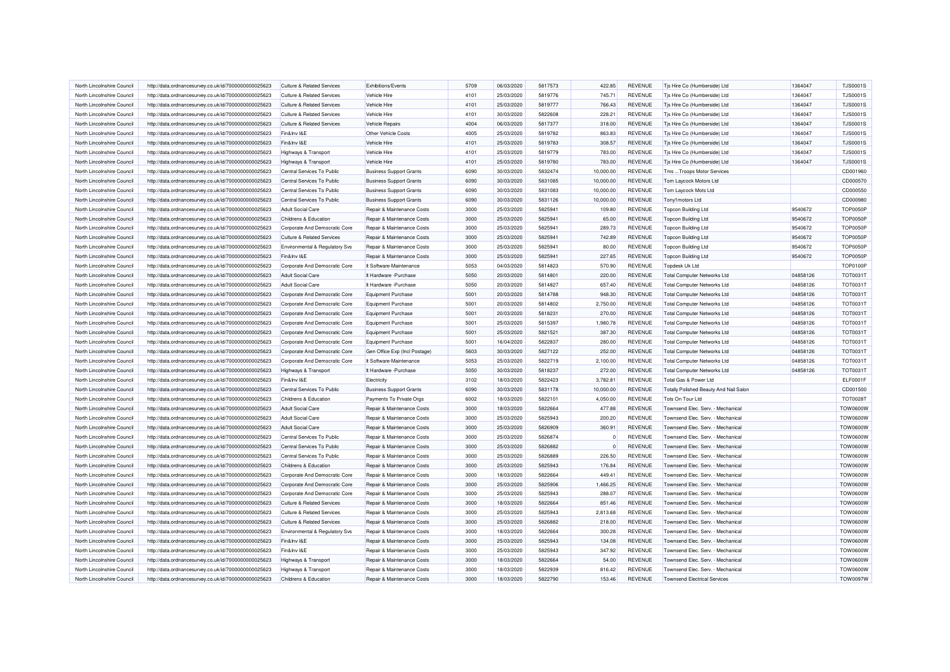| North Lincolnshire Council                               | http://data.ordnancesurvey.co.uk/id/7000000000025623 | <b>Culture &amp; Related Services</b>     | <b>Exhibitions/Events</b>      | 5709         | 06/03/2020               | 5817573            | 422.85             | REVENUE                          | Tjs Hire Co (Humberside) Ltd           | 1364047              | <b>TJS0001S</b>                    |
|----------------------------------------------------------|------------------------------------------------------|-------------------------------------------|--------------------------------|--------------|--------------------------|--------------------|--------------------|----------------------------------|----------------------------------------|----------------------|------------------------------------|
| North Lincolnshire Council                               | http://data.ordnancesurvey.co.uk/id/7000000000025623 | <b>Culture &amp; Related Services</b>     | Vehicle Hire                   | 4101         | 25/03/2020               | 5819776            | 745.71             | REVENUE                          | Tjs Hire Co (Humberside) Ltd           | 1364047              | <b>TJS0001S</b>                    |
| North Lincolnshire Council                               | http://data.ordnancesurvey.co.uk/id/7000000000025623 | Culture & Related Services                | Vehicle Hire                   | 4101         | 25/03/2020               | 5819777            | 766.43             | <b>REVENUE</b>                   | Tjs Hire Co (Humberside) Ltd           | 1364047              | <b>TJS0001S</b>                    |
| North Lincolnshire Council                               | http://data.ordnancesurvey.co.uk/id/7000000000025623 | <b>Culture &amp; Related Services</b>     | Vehicle Hire                   | 4101         | 30/03/2020               | 5822608            | 228.21             | <b>REVENUE</b>                   | Tjs Hire Co (Humberside) Ltd           | 1364047              | <b>TJS0001S</b>                    |
| North Lincolnshire Council                               | http://data.ordnancesurvey.co.uk/id/7000000000025623 | <b>Culture &amp; Related Services</b>     | Vehicle Repairs                | 4004         | 06/03/2020               | 5817377            | 318.00             | REVENUE                          | Tjs Hire Co (Humberside) Ltd           | 1364047              | <b>TJS0001S</b>                    |
| North Lincolnshire Council                               | http://data.ordnancesurvey.co.uk/id/7000000000025623 | Fin&Inv I&E                               | Other Vehicle Costs            | 4005         | 25/03/2020               | 5819782            | 863.83             | <b>REVENUE</b>                   | Tjs Hire Co (Humberside) Ltd           | 1364047              | <b>TJS0001S</b>                    |
| North Lincolnshire Council                               | http://data.ordnancesurvey.co.uk/id/7000000000025623 | Fin&Inv I&E                               | <b>Vehicle Hire</b>            | 4101         | 25/03/2020               | 5819783            | 308.57             | <b>REVENUE</b>                   | Tis Hire Co (Humberside) Ltd           | 1364047              | <b>TJS0001S</b>                    |
| North Lincolnshire Council                               | http://data.ordnancesurvey.co.uk/id/7000000000025623 | Highways & Transport                      | Vehicle Hire                   | 4101         | 25/03/2020               | 5819779            | 783.00             | REVENUE                          | Tjs Hire Co (Humberside) Ltd           | 1364047              | <b>TJS0001S</b>                    |
| North Lincolnshire Council                               | http://data.ordnancesurvey.co.uk/id/7000000000025623 | Highways & Transport                      | Vehicle Hire                   | 4101         | 25/03/2020               | 5819780            | 783.00             | REVENUE                          | Tjs Hire Co (Humberside) Ltd           | 1364047              | <b>TJS0001S</b>                    |
| North Lincolnshire Council                               | http://data.ordnancesurvey.co.uk/id/7000000000025623 | Central Services To Public                | <b>Business Support Grants</b> | 6090         | 30/03/2020               | 5832474            | 10,000.00          | <b>REVENUE</b>                   | Tms Troops Motor Services              |                      | CD001960                           |
| North Lincolnshire Council                               | http://data.ordnancesurvey.co.uk/id/7000000000025623 | Central Services To Public                | <b>Business Support Grants</b> | 6090         | 30/03/2020               | 5831085            | 10,000.00          | REVENUE                          | Tom Laycock Motors Ltd                 |                      | CD000570                           |
| North Lincolnshire Council                               | http://data.ordnancesurvey.co.uk/id/7000000000025623 | Central Services To Public                | <b>Business Support Grants</b> | 6090         | 30/03/2020               | 5831083            | 10,000.00          | REVENUE                          | Tom Laycock Mots Ltd                   |                      | CD000550                           |
| North Lincolnshire Council                               | http://data.ordnancesurvey.co.uk/id/7000000000025623 | Central Services To Public                | <b>Business Support Grants</b> | 6090         | 30/03/2020               | 5831126            | 10,000.00          | REVENUE                          | Tony1 motors Ltd                       |                      | CD000980                           |
| North Lincolnshire Council                               | http://data.ordnancesurvey.co.uk/id/7000000000025623 | <b>Adult Social Care</b>                  | Repair & Maintenance Costs     | 3000         | 25/03/2020               | 5825941            | 109.80             | REVENUE                          | Topcon Building Ltd                    | 9540672              | <b>TOP0050P</b>                    |
| North Lincolnshire Council                               | http://data.ordnancesurvey.co.uk/id/7000000000025623 | Childrens & Education                     | Repair & Maintenance Costs     | 3000         | 25/03/2020               | 5825941            | 65.00              | REVENUE                          | <b>Topcon Building Ltd</b>             | 9540672              | <b>TOP0050P</b>                    |
| North Lincolnshire Council                               | http://data.ordnancesurvey.co.uk/id/7000000000025623 | Corporate And Democratic Core             | Repair & Maintenance Costs     | 3000         | 25/03/2020               | 5825941            | 289.73             | <b>REVENUE</b>                   | <b>Topcon Building Ltd</b>             | 9540672              | <b>TOP0050P</b>                    |
| North Lincolnshire Council                               | http://data.ordnancesurvey.co.uk/id/7000000000025623 | <b>Culture &amp; Related Services</b>     | Repair & Maintenance Costs     | 3000         | 25/03/2020               | 5825941            | 742.89             | REVENUE                          | <b>Topcon Building Ltd</b>             | 9540672              | <b>TOP0050P</b>                    |
| North Lincolnshire Council                               | http://data.ordnancesurvey.co.uk/id/7000000000025623 | Environmental & Regulatory Svs            | Repair & Maintenance Costs     | 3000         | 25/03/2020               | 5825941            | 80.00              | <b>REVENUE</b>                   | <b>Topcon Building Ltd</b>             | 9540672              | <b>TOP0050P</b>                    |
| North Lincolnshire Council                               | http://data.ordnancesurvey.co.uk/id/7000000000025623 | Fin&Inv I&E                               | Repair & Maintenance Costs     | 3000         | 25/03/2020               | 5825941            | 227.65             | REVENUE                          | <b>Topcon Building Ltd</b>             | 9540672              | <b>TOP0050P</b>                    |
| North Lincolnshire Council                               | http://data.ordnancesurvey.co.uk/id/7000000000025623 | Corporate And Democratic Core             | It Software-Maintenance        | 5053         | 04/03/2020               | 5814823            | 570.90             | <b>REVENUE</b>                   | Topdesk Uk Ltd                         |                      | <b>TOP0100P</b>                    |
| North Lincolnshire Council                               | http://data.ordnancesurvey.co.uk/id/7000000000025623 | <b>Adult Social Care</b>                  | It Hardware - Purchase         | 5050         | 20/03/2020               | 5814801            | 220.00             | REVENUE                          | <b>Total Computer Networks Ltd</b>     | 04858126             | <b>TOT0031T</b>                    |
| North Lincolnshire Council                               | http://data.ordnancesurvey.co.uk/id/7000000000025623 | Adult Social Care                         | It Hardware - Purchase         | 5050         | 20/03/2020               | 5814827            | 657.40             | <b>REVENUE</b>                   | <b>Total Computer Networks Ltd</b>     | 04858126             | <b>TOT0031T</b>                    |
| North Lincolnshire Council                               | http://data.ordnancesurvey.co.uk/id/7000000000025623 | Corporate And Democratic Core             | <b>Equipment Purchase</b>      | 5001         | 20/03/2020               | 5814788            | 948.30             | REVENUE                          | <b>Total Computer Networks Ltd</b>     | 04858126             | <b>TOT0031T</b>                    |
| North Lincolnshire Council                               | http://data.ordnancesurvey.co.uk/id/7000000000025623 | Corporate And Democratic Core             | <b>Equipment Purchase</b>      | 5001         | 20/03/2020               | 5814802            | 2,750.00           | <b>REVENUE</b>                   | <b>Total Computer Networks Ltd</b>     | 04858126             | <b>TOT0031T</b>                    |
| North Lincolnshire Council                               | http://data.ordnancesurvey.co.uk/id/7000000000025623 | Corporate And Democratic Core             | <b>Equipment Purchase</b>      | 5001         | 20/03/2020               | 5818231            | 270.00             | REVENUE                          | <b>Total Computer Networks Ltd</b>     | 04858126             | <b>TOT0031T</b>                    |
|                                                          |                                                      |                                           |                                |              |                          |                    |                    |                                  |                                        |                      | <b>TOT0031T</b>                    |
| North Lincolnshire Council                               | http://data.ordnancesurvey.co.uk/id/7000000000025623 | Corporate And Democratic Core             | <b>Equipment Purchase</b>      | 5001<br>5001 | 25/03/2020               | 5815397            | 1,980.78           | <b>REVENUE</b>                   | <b>Total Computer Networks Ltd</b>     | 04858126             |                                    |
| North Lincolnshire Council<br>North Lincolnshire Council | http://data.ordnancesurvey.co.uk/id/7000000000025623 | Corporate And Democratic Core             | <b>Equipment Purchase</b>      | 5001         | 25/03/2020<br>16/04/2020 | 5821521<br>5822837 | 387.30<br>280.00   | <b>REVENUE</b><br><b>REVENUE</b> | <b>Total Computer Networks Ltd</b>     | 04858126<br>04858126 | <b>TOT0031T</b><br><b>TOT0031T</b> |
|                                                          | http://data.ordnancesurvey.co.uk/id/7000000000025623 | Corporate And Democratic Core             | <b>Equipment Purchase</b>      | 5603         |                          | 5827122            |                    |                                  | <b>Total Computer Networks Ltd</b>     |                      |                                    |
| North Lincolnshire Council                               | http://data.ordnancesurvey.co.uk/id/7000000000025623 | Corporate And Democratic Core             | Gen Office Exp (Incl Postage)  | 5053         | 30/03/2020<br>25/03/2020 | 5822719            | 252.00<br>2,100.00 | REVENUE<br><b>REVENUE</b>        | <b>Total Computer Networks Ltd</b>     | 04858126<br>04858126 | <b>TOT0031T</b><br><b>TOT0031T</b> |
| North Lincolnshire Council                               | http://data.ordnancesurvey.co.uk/id/7000000000025623 | Corporate And Democratic Core             | It Software-Maintenance        |              |                          |                    |                    |                                  | <b>Total Computer Networks Ltd</b>     |                      |                                    |
| North Lincolnshire Council                               | http://data.ordnancesurvey.co.uk/id/7000000000025623 | Highways & Transport                      | It Hardware - Purchase         | 5050         | 30/03/2020               | 5818237            | 272.00             | REVENUE                          | <b>Total Computer Networks Ltd</b>     | 04858126             | <b>TOT0031T</b>                    |
| North Lincolnshire Council                               | http://data.ordnancesurvey.co.uk/id/7000000000025623 | Fin&Inv I&E                               | Electricity                    | 3102         | 18/03/2020               | 5822423            | 3,782.81           | <b>REVENUE</b>                   | Total Gas & Power Ltd                  |                      | ELF0001F                           |
| North Lincolnshire Council                               | http://data.ordnancesurvey.co.uk/id/7000000000025623 | Central Services To Public                | <b>Business Support Grants</b> | 6090         | 30/03/2020               | 5831178            | 10,000.00          | REVENUE                          | Totally Polished Beauty And Nail Salon |                      | CD001500                           |
| North Lincolnshire Council                               | http://data.ordnancesurvey.co.uk/id/7000000000025623 | Childrens & Education                     | Payments To Private Orgs       | 6002         | 18/03/2020               | 5822101            | 4.050.00           | <b>REVENUE</b>                   | Tots On Tour Ltd                       |                      | <b>TOT0028T</b>                    |
| North Lincolnshire Council                               | http://data.ordnancesurvey.co.uk/id/7000000000025623 | <b>Adult Social Care</b>                  | Repair & Maintenance Costs     | 3000         | 18/03/2020               | 5822664            | 477.88             | REVENUE                          | Townsend Elec. Serv. - Mechanical      |                      | <b>TOW0600W</b>                    |
| North Lincolnshire Council                               | http://data.ordnancesurvey.co.uk/id/7000000000025623 | <b>Adult Social Care</b>                  | Repair & Maintenance Costs     | 3000         | 25/03/2020               | 5825943            | 200.20             | REVENUE                          | Townsend Elec. Serv. - Mechanical      |                      | <b>TOW0600W</b>                    |
| North Lincolnshire Council                               | http://data.ordnancesurvey.co.uk/id/7000000000025623 | <b>Adult Social Care</b>                  | Repair & Maintenance Costs     | 3000         | 25/03/2020               | 5826909            | 360.91             | REVENUE                          | Townsend Elec. Serv. - Mechanical      |                      | <b>TOW0600W</b>                    |
| North Lincolnshire Council                               | http://data.ordnancesurvey.co.uk/id/7000000000025623 | Central Services To Public                | Repair & Maintenance Costs     | 3000         | 25/03/2020               | 5826874            | $\Omega$           | <b>REVENUE</b>                   | Townsend Elec. Serv. - Mechanical      |                      | <b>TOW0600W</b>                    |
| North Lincolnshire Council                               | http://data.ordnancesurvey.co.uk/id/7000000000025623 | Central Services To Public                | Repair & Maintenance Costs     | 3000         | 25/03/2020               | 5826882            |                    | REVENUE                          | Townsend Elec. Serv. - Mechanical      |                      | <b>TOW0600W</b>                    |
| North Lincolnshire Council                               | http://data.ordnancesurvey.co.uk/id/7000000000025623 | Central Services To Public                | Repair & Maintenance Costs     | 3000         | 25/03/2020               | 5826889            | 226.50             | <b>REVENUE</b>                   | Townsend Elec. Serv. - Mechanical      |                      | <b>TOW0600W</b>                    |
| North Lincolnshire Council                               | http://data.ordnancesurvey.co.uk/id/7000000000025623 | Childrens & Education                     | Repair & Maintenance Costs     | 3000         | 25/03/2020               | 5825943            | 176.84             | REVENUE                          | Townsend Elec. Serv. - Mechanical      |                      | <b>TOW0600W</b>                    |
| North Lincolnshire Council                               | http://data.ordnancesurvey.co.uk/id/7000000000025623 | Corporate And Democratic Core             | Repair & Maintenance Costs     | 3000         | 18/03/2020               | 5822664            | 449.41             | <b>REVENUE</b>                   | Townsend Elec, Serv. - Mechanical      |                      | <b>TOW0600W</b>                    |
| North Lincolnshire Council                               | http://data.ordnancesurvey.co.uk/id/7000000000025623 | Corporate And Democratic Core             | Repair & Maintenance Costs     | 3000         | 25/03/2020               | 5825906            | 1,466.25           | <b>REVENUE</b>                   | Townsend Elec. Serv. - Mechanical      |                      | <b>TOW0600W</b>                    |
| North Lincolnshire Council                               | http://data.ordnancesurvey.co.uk/id/7000000000025623 | Corporate And Democratic Core             | Repair & Maintenance Costs     | 3000         | 25/03/2020               | 5825943            | 288.07             | REVENUE                          | Townsend Elec. Serv. - Mechanical      |                      | <b>TOW0600W</b>                    |
| North Lincolnshire Council                               | http://data.ordnancesurvey.co.uk/id/7000000000025623 | <b>Culture &amp; Related Services</b>     | Repair & Maintenance Costs     | 3000         | 18/03/2020               | 5822664            | 851.46             | REVENUE                          | Townsend Elec. Serv. - Mechanical      |                      | <b>TOW0600W</b>                    |
| North Lincolnshire Council                               | http://data.ordnancesurvey.co.uk/id/7000000000025623 | <b>Culture &amp; Related Services</b>     | Repair & Maintenance Costs     | 3000         | 25/03/2020               | 5825943            | 2,813.68           | <b>REVENUE</b>                   | Townsend Elec. Serv. - Mechanical      |                      | <b>TOW0600W</b>                    |
| North Lincolnshire Council                               | http://data.ordnancesurvey.co.uk/id/7000000000025623 | <b>Culture &amp; Related Services</b>     | Repair & Maintenance Costs     | 3000         | 25/03/2020               | 5826882            | 218.00             | <b>REVENUE</b>                   | Townsend Elec. Serv. - Mechanical      |                      | <b>TOW0600W</b>                    |
| North Lincolnshire Council                               | http://data.ordnancesurvey.co.uk/id/7000000000025623 | <b>Environmental &amp; Regulatory Svs</b> | Repair & Maintenance Costs     | 3000         | 18/03/2020               | 5822664            | 300.28             | REVENUE                          | Townsend Flec. Serv. - Mechanica       |                      | <b>TOW0600W</b>                    |
| North Lincolnshire Council                               | http://data.ordnancesurvey.co.uk/id/7000000000025623 | Fin&Inv I&E                               | Repair & Maintenance Costs     | 3000         | 25/03/2020               | 5825943            | 134.08             | <b>REVENUE</b>                   | Townsend Elec. Serv. - Mechanical      |                      | <b>TOW0600W</b>                    |
| North Lincolnshire Council                               | http://data.ordnancesurvey.co.uk/id/7000000000025623 | Fin&Inv I&E                               | Repair & Maintenance Costs     | 3000         | 25/03/2020               | 5825943            | 347.92             | <b>REVENUE</b>                   | Townsend Elec. Serv. - Mechanical      |                      | <b>TOW0600W</b>                    |
| North Lincolnshire Council                               | http://data.ordnancesurvey.co.uk/id/7000000000025623 | Highways & Transport                      | Repair & Maintenance Costs     | 3000         | 18/03/2020               | 5822664            | 54.00              | REVENUE                          | Townsend Elec. Serv. - Mechanical      |                      | <b>TOW0600W</b>                    |
| North Lincolnshire Council                               | http://data.ordnancesurvey.co.uk/id/7000000000025623 | Highways & Transport                      | Repair & Maintenance Costs     | 3000         | 18/03/2020               | 5822939            | 816.42             | REVENUE                          | Townsend Elec. Serv. - Mechanical      |                      | <b>TOW0600W</b>                    |
| North Lincolnshire Council                               | http://data.ordnancesurvey.co.uk/id/7000000000025623 | Childrens & Education                     | Repair & Maintenance Costs     | 3000         | 18/03/2020               | 5822790            | 153.46             | REVENUE                          | <b>Townsend Electrical Services</b>    |                      | <b>TOW0097W</b>                    |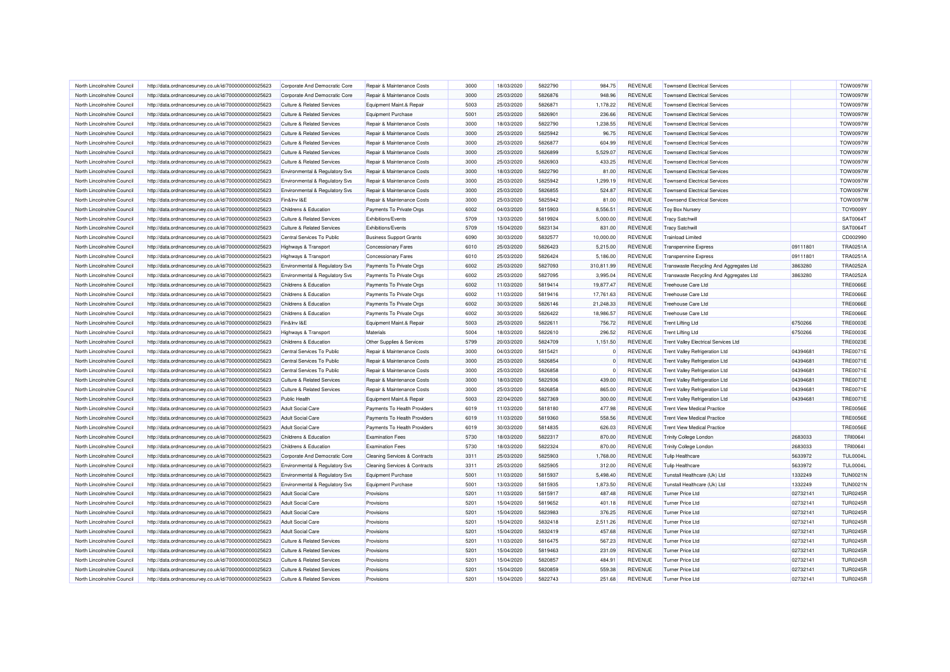| North Lincolnshire Council | http://data.ordnancesurvey.co.uk/id/7000000000025623 | Corporate And Democratic Core         | Repair & Maintenance Costs                           | 3000 | 18/03/2020 | 5822790 | 984.75     | REVENUE        | <b>Townsend Electrical Services</b>         |          | <b>TOW0097W</b> |
|----------------------------|------------------------------------------------------|---------------------------------------|------------------------------------------------------|------|------------|---------|------------|----------------|---------------------------------------------|----------|-----------------|
| North Lincolnshire Council | http://data.ordnancesurvey.co.uk/id/7000000000025623 | Corporate And Democratic Core         | Repair & Maintenance Costs                           | 3000 | 25/03/2020 | 5826876 | 948.96     | <b>REVENUE</b> | <b>Townsend Electrical Services</b>         |          | <b>TOW0097W</b> |
| North Lincolnshire Council | http://data.ordnancesurvey.co.uk/id/7000000000025623 | <b>Culture &amp; Related Services</b> | Equipment Maint.& Repair                             | 5003 | 25/03/2020 | 5826871 | 1,178.22   | <b>REVENUE</b> | <b>Townsend Electrical Services</b>         |          | <b>TOW0097W</b> |
| North Lincolnshire Council | http://data.ordnancesurvey.co.uk/id/7000000000025623 | <b>Culture &amp; Related Services</b> | <b>Equipment Purchase</b>                            | 5001 | 25/03/2020 | 5826901 | 236.66     | REVENUE        | <b>Townsend Electrical Services</b>         |          | <b>TOW0097W</b> |
| North Lincolnshire Council | http://data.ordnancesurvey.co.uk/id/7000000000025623 | <b>Culture &amp; Related Services</b> | Repair & Maintenance Costs                           | 3000 | 18/03/2020 | 5822790 | 1,238.55   | REVENUE        | <b>Townsend Electrical Services</b>         |          | <b>TOW0097W</b> |
| North Lincolnshire Council | http://data.ordnancesurvey.co.uk/id/7000000000025623 | <b>Culture &amp; Related Services</b> | Repair & Maintenance Costs                           | 3000 | 25/03/2020 | 5825942 | 96.75      | <b>REVENUE</b> | <b>Townsend Electrical Services</b>         |          | <b>TOW0097W</b> |
| North Lincolnshire Council | http://data.ordnancesurvey.co.uk/id/7000000000025623 | <b>Culture &amp; Related Services</b> | Repair & Maintenance Costs                           | 3000 | 25/03/2020 | 5826877 | 604.99     | <b>REVENUE</b> | <b>Townsend Electrical Services</b>         |          | <b>TOW0097W</b> |
| North Lincolnshire Council | http://data.ordnancesurvey.co.uk/id/7000000000025623 | <b>Culture &amp; Related Services</b> | Repair & Maintenance Costs                           | 3000 | 25/03/2020 | 5826899 | 5,529.07   | <b>REVENUE</b> | <b>Townsend Electrical Services</b>         |          | <b>TOW0097W</b> |
| North Lincolnshire Council | http://data.ordnancesurvey.co.uk/id/7000000000025623 | Culture & Related Services            | Repair & Maintenance Costs                           | 3000 | 25/03/2020 | 5826903 | 433.25     | <b>REVENUE</b> | <b>Townsend Electrical Services</b>         |          | <b>TOW0097W</b> |
| North Lincolnshire Council | http://data.ordnancesurvey.co.uk/id/7000000000025623 | Environmental & Regulatory Svs        | Repair & Maintenance Costs                           | 3000 | 18/03/2020 | 5822790 | 81.00      | <b>REVENUE</b> | <b>Townsend Electrical Services</b>         |          | <b>TOW0097W</b> |
| North Lincolnshire Council | http://data.ordnancesurvey.co.uk/id/7000000000025623 | Environmental & Regulatory Svs        | Repair & Maintenance Costs                           | 3000 | 25/03/2020 | 5825942 | 1,299.19   | REVENUE        | <b>Townsend Electrical Services</b>         |          | <b>TOW0097W</b> |
| North Lincolnshire Council | http://data.ordnancesurvey.co.uk/id/7000000000025623 | Environmental & Regulatory Svs        | Repair & Maintenance Costs                           | 3000 | 25/03/2020 | 5826855 | 524.87     | <b>REVENUE</b> | <b>Townsend Electrical Services</b>         |          | <b>TOW0097W</b> |
| North Lincolnshire Council | http://data.ordnancesurvey.co.uk/id/7000000000025623 | Fin&Inv I&E                           | Repair & Maintenance Costs                           | 3000 | 25/03/2020 | 5825942 | 81.00      | REVENUE        | <b>Townsend Electrical Services</b>         |          | TOW0097W        |
| North Lincolnshire Council | http://data.ordnancesurvey.co.uk/id/7000000000025623 | Childrens & Education                 | Payments To Private Orgs                             | 6002 | 04/03/2020 | 5815903 | 8,556.51   | <b>REVENUE</b> | <b>Toy Box Nursery</b>                      |          | <b>TOY0009Y</b> |
| North Lincolnshire Council | http://data.ordnancesurvey.co.uk/id/7000000000025623 | <b>Culture &amp; Related Services</b> | Exhibitions/Events                                   | 5709 | 13/03/2020 | 5819924 | 5,000.00   | REVENUE        | <b>Tracy Satchwill</b>                      |          | SAT0064T        |
| North Lincolnshire Council | http://data.ordnancesurvey.co.uk/id/7000000000025623 | <b>Culture &amp; Related Services</b> | <b>Exhibitions/Events</b>                            | 5709 | 15/04/2020 | 5823134 | 831.00     | REVENUE        | <b>Tracy Satchwill</b>                      |          | SAT0064T        |
| North Lincolnshire Council | http://data.ordnancesurvey.co.uk/id/7000000000025623 | Central Services To Public            | <b>Business Support Grants</b>                       | 6090 | 30/03/2020 | 5832577 | 10.000.00  | <b>REVENUE</b> | Trainload Limited                           |          | CD002990        |
| North Lincolnshire Council | http://data.ordnancesurvey.co.uk/id/7000000000025623 | <b>Highways &amp; Transport</b>       | <b>Concessionary Fares</b>                           | 6010 | 25/03/2020 | 5826423 | 5,215.00   | <b>REVENUE</b> | <b>Transpennine Express</b>                 | 09111801 | <b>TRA0251A</b> |
| North Lincolnshire Council | http://data.ordnancesurvey.co.uk/id/7000000000025623 | Highways & Transport                  | <b>Concessionary Fares</b>                           | 6010 | 25/03/2020 | 5826424 | 5,186.00   | REVENUE        | <b>Transpennine Express</b>                 | 09111801 | <b>TRA0251A</b> |
| North Lincolnshire Council | http://data.ordnancesurvey.co.uk/id/7000000000025623 | Environmental & Regulatory Svs        | Payments To Private Orgs                             | 6002 | 25/03/2020 | 5827093 | 310,811.99 | <b>REVENUE</b> | Transwaste Recycling And Aggregates Ltd     | 3863280  | <b>TRA0252A</b> |
| North Lincolnshire Council | http://data.ordnancesurvey.co.uk/id/7000000000025623 | Environmental & Regulatory Svs        | Payments To Private Orgs                             | 6002 | 25/03/2020 | 5827095 | 3,995.04   | <b>REVENUE</b> | Transwaste Recycling And Aggregates Ltd     | 3863280  | <b>TRA0252A</b> |
| North Lincolnshire Council |                                                      | Childrens & Education                 |                                                      | 6002 | 11/03/2020 | 5819414 | 19,877.47  | REVENUE        | <b>Treehouse Care Ltd</b>                   |          | <b>TRE0066E</b> |
| North Lincolnshire Council | http://data.ordnancesurvey.co.uk/id/7000000000025623 | Childrens & Education                 | Payments To Private Orgs<br>Payments To Private Orgs | 6002 | 11/03/2020 | 5819416 | 17,761.63  | REVENUE        | Treehouse Care Ltd                          |          | <b>TRE0066E</b> |
|                            | http://data.ordnancesurvey.co.uk/id/7000000000025623 |                                       |                                                      |      |            |         |            |                |                                             |          |                 |
| North Lincolnshire Council | http://data.ordnancesurvey.co.uk/id/7000000000025623 | Childrens & Education                 | Payments To Private Orgs                             | 6002 | 30/03/2020 | 5826146 | 21,248.33  | <b>REVENUE</b> | <b>Treehouse Care Ltd</b>                   |          | <b>TRE0066E</b> |
| North Lincolnshire Council | http://data.ordnancesurvey.co.uk/id/7000000000025623 | Childrens & Education                 | Payments To Private Orgs                             | 6002 | 30/03/2020 | 5826422 | 18,986.57  | REVENUE        | Treehouse Care Ltd                          |          | <b>TRE0066E</b> |
| North Lincolnshire Council | http://data.ordnancesurvey.co.uk/id/7000000000025623 | Fin&Inv I&E                           | Equipment Maint.& Repair                             | 5003 | 25/03/2020 | 5822611 | 756.72     | <b>REVENUE</b> | <b>Trent Lifting Ltd</b>                    | 6750266  | <b>TRE0003E</b> |
| North Lincolnshire Council | http://data.ordnancesurvey.co.uk/id/7000000000025623 | Highways & Transport                  | Materials                                            | 5004 | 18/03/2020 | 5822610 | 296.52     | <b>REVENUE</b> | <b>Trent Lifting Ltd</b>                    | 6750266  | <b>TRE0003E</b> |
| North Lincolnshire Council | http://data.ordnancesurvey.co.uk/id/7000000000025623 | Childrens & Education                 | Other Supplies & Services                            | 5799 | 20/03/2020 | 5824709 | 1.151.50   | <b>REVENUE</b> | <b>Trent Valley Electrical Services Ltd</b> |          | <b>TRE0023E</b> |
| North Lincolnshire Council | http://data.ordnancesurvey.co.uk/id/7000000000025623 | Central Services To Public            | Repair & Maintenance Costs                           | 3000 | 04/03/2020 | 5815421 |            | <b>REVENUE</b> | <b>Trent Valley Refrigeration Ltd</b>       | 04394681 | <b>TRE0071E</b> |
| North Lincolnshire Council | http://data.ordnancesurvey.co.uk/id/7000000000025623 | Central Services To Public            | Repair & Maintenance Costs                           | 3000 | 25/03/2020 | 5826854 | $\Omega$   | REVENUE        | <b>Trent Valley Refrigeration Ltd</b>       | 04394681 | <b>TRE0071E</b> |
| North Lincolnshire Council | http://data.ordnancesurvey.co.uk/id/7000000000025623 | Central Services To Public            | Repair & Maintenance Costs                           | 3000 | 25/03/2020 | 5826858 | $\Omega$   | REVENUE        | <b>Trent Valley Refrigeration Ltd</b>       | 04394681 | <b>TRE0071E</b> |
| North Lincolnshire Council | http://data.ordnancesurvey.co.uk/id/7000000000025623 | <b>Culture &amp; Related Services</b> | Repair & Maintenance Costs                           | 3000 | 18/03/2020 | 5822936 | 439.00     | <b>REVENUE</b> | <b>Trent Valley Refrigeration Ltd</b>       | 04394681 | <b>TRE0071E</b> |
| North Lincolnshire Council | http://data.ordnancesurvey.co.uk/id/7000000000025623 | <b>Culture &amp; Related Services</b> | Repair & Maintenance Costs                           | 3000 | 25/03/2020 | 5826858 | 865.00     | REVENUE        | Trent Valley Refrigeration Ltd              | 04394681 | <b>TRE0071E</b> |
| North Lincolnshire Council | http://data.ordnancesurvey.co.uk/id/7000000000025623 | Public Health                         | Equipment Maint.& Repair                             | 5003 | 22/04/2020 | 5827369 | 300.00     | <b>REVENUE</b> | <b>Trent Valley Refrigeration Ltd</b>       | 04394681 | <b>TRE0071E</b> |
| North Lincolnshire Council | http://data.ordnancesurvey.co.uk/id/7000000000025623 | <b>Adult Social Care</b>              | Payments To Health Providers                         | 6019 | 11/03/2020 | 5818180 | 477.98     | REVENUE        | <b>Trent View Medical Practice</b>          |          | <b>TRE0056E</b> |
| North Lincolnshire Council | http://data.ordnancesurvey.co.uk/id/7000000000025623 | <b>Adult Social Care</b>              | Payments To Health Providers                         | 6019 | 11/03/2020 | 5819360 | 558.56     | <b>REVENUE</b> | <b>Trent View Medical Practice</b>          |          | <b>TRE0056E</b> |
| North Lincolnshire Council | http://data.ordnancesurvey.co.uk/id/7000000000025623 | <b>Adult Social Care</b>              | Payments To Health Providers                         | 6019 | 30/03/2020 | 5814835 | 626.03     | REVENUE        | <b>Trent View Medical Practice</b>          |          | <b>TRE0056E</b> |
| North Lincolnshire Council | http://data.ordnancesurvey.co.uk/id/7000000000025623 | <b>Childrens &amp; Education</b>      | <b>Examination Fees</b>                              | 5730 | 18/03/2020 | 5822317 | 870.00     | <b>REVENUE</b> | <b>Trinity College London</b>               | 2683033  | <b>TRI00641</b> |
| North Lincolnshire Council | http://data.ordnancesurvey.co.uk/id/7000000000025623 | Childrens & Education                 | <b>Examination Fees</b>                              | 5730 | 18/03/2020 | 5822324 | 870.00     | REVENUE        | <b>Trinity College London</b>               | 2683033  | <b>TRI00641</b> |
| North Lincolnshire Council | http://data.ordnancesurvey.co.uk/id/7000000000025623 | Corporate And Democratic Core         | <b>Cleaning Services &amp; Contracts</b>             | 3311 | 25/03/2020 | 5825903 | 1.768.00   | <b>REVENUE</b> | <b>Tulip Healthcare</b>                     | 5633972  | <b>TUL0004L</b> |
| North Lincolnshire Council | http://data.ordnancesurvey.co.uk/id/7000000000025623 | Environmental & Regulatory Svs        | <b>Cleaning Services &amp; Contracts</b>             | 3311 | 25/03/2020 | 5825905 | 312.00     | <b>REVENUE</b> | <b>Tulip Healthcare</b>                     | 5633972  | <b>TUL0004L</b> |
| North Lincolnshire Council | http://data.ordnancesurvey.co.uk/id/7000000000025623 | Environmental & Regulatory Svs        | <b>Equipment Purchase</b>                            | 5001 | 11/03/2020 | 5815937 | 5.498.40   | <b>REVENUE</b> | Tunstall Healthcare (Uk) Ltd                | 1332249  | <b>TUN0021N</b> |
| North Lincolnshire Council | http://data.ordnancesurvey.co.uk/id/7000000000025623 | Environmental & Regulatory Svs        | <b>Equipment Purchase</b>                            | 5001 | 13/03/2020 | 5815935 | 1,873.50   | <b>REVENUE</b> | Tunstall Healthcare (Uk) Ltd                | 1332249  | <b>TUN0021N</b> |
| North Lincolnshire Council | http://data.ordnancesurvey.co.uk/id/7000000000025623 | <b>Adult Social Care</b>              | Provisions                                           | 5201 | 11/03/2020 | 5815917 | 487.48     | <b>REVENUE</b> | <b>Turner Price Ltd</b>                     | 02732141 | <b>TUR0245R</b> |
| North Lincolnshire Council | http://data.ordnancesurvey.co.uk/id/7000000000025623 | <b>Adult Social Care</b>              | Provisions                                           | 5201 | 15/04/2020 | 5819652 | 401.18     | <b>REVENUE</b> | Turner Price Ltd                            | 02732141 | <b>TUR0245R</b> |
| North Lincolnshire Council | http://data.ordnancesurvey.co.uk/id/7000000000025623 | <b>Adult Social Care</b>              | Provisions                                           | 5201 | 15/04/2020 | 5823983 | 376.25     | REVENUE        | <b>Turner Price Ltd</b>                     | 02732141 | <b>TUR0245R</b> |
| North Lincolnshire Council | http://data.ordnancesurvey.co.uk/id/7000000000025623 | <b>Adult Social Care</b>              | Provisions                                           | 5201 | 15/04/2020 | 5832418 | 2,511.26   | REVENUE        | <b>Turner Price Ltd</b>                     | 02732141 | <b>TUR0245R</b> |
| North Lincolnshire Council | http://data.ordnancesurvey.co.uk/id/7000000000025623 | <b>Adult Social Care</b>              | Provisions                                           | 5201 | 15/04/2020 | 5832419 | 457.68     | REVENUE        | Turner Price Ltd                            | 02732141 | <b>TUR0245R</b> |
| North Lincolnshire Council | http://data.ordnancesurvey.co.uk/id/7000000000025623 | <b>Culture &amp; Related Services</b> | Provisions                                           | 5201 | 11/03/2020 | 5816475 | 567.23     | <b>REVENUE</b> | <b>Turner Price Ltd</b>                     | 02732141 | <b>TUR0245R</b> |
| North Lincolnshire Council | http://data.ordnancesurvey.co.uk/id/7000000000025623 | <b>Culture &amp; Related Services</b> | Provisions                                           | 5201 | 15/04/2020 | 5819463 | 231.09     | <b>REVENUE</b> | Turner Price I td                           | 02732141 | <b>TUR0245R</b> |
| North Lincolnshire Council | http://data.ordnancesurvey.co.uk/id/7000000000025623 | <b>Culture &amp; Related Services</b> | Provisions                                           | 5201 | 15/04/2020 | 5820857 | 484.91     | <b>REVENUE</b> | Turner Price Ltd                            | 02732141 | <b>TUR0245R</b> |
| North Lincolnshire Council | http://data.ordnancesurvey.co.uk/id/7000000000025623 | Culture & Related Services            | Provisions                                           | 5201 | 15/04/2020 | 5820859 | 559.38     | <b>REVENUE</b> | <b>Turner Price Ltd</b>                     | 02732141 | <b>TUR0245R</b> |
| North Lincolnshire Council | http://data.ordnancesurvey.co.uk/id/7000000000025623 | <b>Culture &amp; Related Services</b> | Provisions                                           | 5201 | 15/04/2020 | 5822743 | 251.68     | <b>REVENUE</b> | <b>Turner Price Ltd</b>                     | 02732141 | <b>TUR0245R</b> |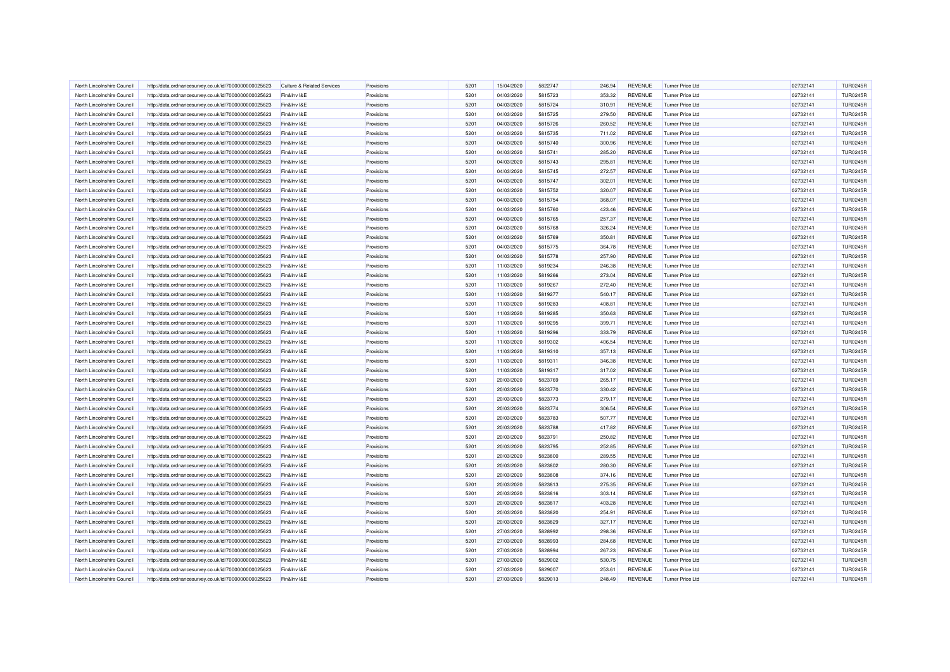| North Lincolnshire Council                               | http://data.ordnancesurvey.co.uk/id/7000000000025623 | <b>Culture &amp; Related Services</b> | Provisions | 5201 | 15/04/2020 | 5822747 | 246.94 | <b>REVENUE</b>                   | <b>Turner Price Ltd</b> | 02732141 | <b>TUR0245R</b> |
|----------------------------------------------------------|------------------------------------------------------|---------------------------------------|------------|------|------------|---------|--------|----------------------------------|-------------------------|----------|-----------------|
| North Lincolnshire Council                               | http://data.ordnancesurvey.co.uk/id/7000000000025623 | Fin&Inv I&E                           | Provisions | 5201 | 04/03/2020 | 5815723 | 353.32 | <b>REVENUE</b>                   | <b>Turner Price Ltd</b> | 02732141 | <b>TUR0245R</b> |
| North Lincolnshire Council                               | http://data.ordnancesurvey.co.uk/id/7000000000025623 | Fin&Inv I&E                           | Provisions | 5201 | 04/03/2020 | 5815724 | 310.91 | <b>REVENUE</b>                   | Turner Price I td       | 02732141 | <b>TUR0245R</b> |
| North Lincolnshire Council                               | http://data.ordnancesurvey.co.uk/id/7000000000025623 | Fin&Inv I&E                           | Provisions | 5201 | 04/03/2020 | 5815725 | 279.50 | <b>REVENUE</b>                   | <b>Turner Price Ltd</b> | 02732141 | <b>TUR0245R</b> |
| North Lincolnshire Council                               | http://data.ordnancesurvey.co.uk/id/7000000000025623 | Fin&Inv I&E                           | Provisions | 5201 | 04/03/2020 | 5815726 | 260.52 | REVENUE                          | <b>Turner Price Ltd</b> | 02732141 | <b>TUR0245R</b> |
| North Lincolnshire Council                               | http://data.ordnancesurvey.co.uk/id/7000000000025623 | Fin&Inv I&E                           | Provisions | 5201 | 04/03/2020 | 5815735 | 711.02 | REVENUE                          | <b>Turner Price Ltd</b> | 02732141 | <b>TUR0245R</b> |
|                                                          |                                                      |                                       |            |      |            |         |        |                                  |                         |          |                 |
| North Lincolnshire Council<br>North Lincolnshire Council | http://data.ordnancesurvey.co.uk/id/7000000000025623 | Fin&Inv I&E                           | Provisions | 5201 | 04/03/2020 | 5815740 | 300.96 | <b>REVENUE</b><br><b>REVENUE</b> | <b>Turner Price Ltd</b> | 02732141 | <b>TUR0245R</b> |
|                                                          | http://data.ordnancesurvey.co.uk/id/7000000000025623 | Fin&Inv I&E                           | Provisions | 5201 | 04/03/2020 | 5815741 | 285.20 |                                  | <b>Turner Price Ltd</b> | 02732141 | <b>TUR0245R</b> |
| North Lincolnshire Council                               | http://data.ordnancesurvey.co.uk/id/7000000000025623 | Fin&Inv I&E                           | Provisions | 5201 | 04/03/2020 | 5815743 | 295.81 | REVENUE                          | <b>Turner Price Ltd</b> | 02732141 | <b>TUR0245R</b> |
| North Lincolnshire Council                               | http://data.ordnancesurvey.co.uk/id/7000000000025623 | Fin&Inv I&E                           | Provisions | 5201 | 04/03/2020 | 5815745 | 272.57 | <b>REVENUE</b>                   | <b>Turner Price Ltd</b> | 02732141 | <b>TUR0245R</b> |
| North Lincolnshire Council                               | http://data.ordnancesurvey.co.uk/id/7000000000025623 | Fin&Inv I&E                           | Provisions | 5201 | 04/03/2020 | 5815747 | 302.01 | REVENUE                          | <b>Turner Price Ltd</b> | 02732141 | <b>TUR0245R</b> |
| North Lincolnshire Council                               | http://data.ordnancesurvey.co.uk/id/7000000000025623 | Fin&Inv I&E                           | Provisions | 5201 | 04/03/2020 | 5815752 | 320.07 | REVENUE                          | Turner Price Ltd        | 02732141 | <b>TUR0245R</b> |
| North Lincolnshire Council                               | http://data.ordnancesurvey.co.uk/id/7000000000025623 | Fin&Inv I&E                           | Provisions | 5201 | 04/03/2020 | 5815754 | 368.07 | REVENUE                          | <b>Turner Price Ltd</b> | 02732141 | <b>TUR0245R</b> |
| North Lincolnshire Council                               | http://data.ordnancesurvey.co.uk/id/7000000000025623 | Fin&Inv I&F                           | Provisions | 5201 | 04/03/2020 | 5815760 | 423.46 | REVENUE                          | Turner Price Ltd        | 02732141 | <b>TUR0245R</b> |
| North Lincolnshire Council                               | http://data.ordnancesurvey.co.uk/id/7000000000025623 | Fin&Inv I&E                           | Provisions | 5201 | 04/03/2020 | 5815765 | 257.37 | REVENUE                          | <b>Turner Price Ltd</b> | 02732141 | <b>TUR0245R</b> |
| North Lincolnshire Council                               | http://data.ordnancesurvey.co.uk/id/7000000000025623 | Fin&Inv I&E                           | Provisions | 5201 | 04/03/2020 | 5815768 | 326.24 | <b>REVENUE</b>                   | <b>Turner Price Ltd</b> | 02732141 | <b>TUR0245R</b> |
| North Lincolnshire Council                               | http://data.ordnancesurvey.co.uk/id/7000000000025623 | Fin&Inv I&E                           | Provisions | 5201 | 04/03/2020 | 5815769 | 350.81 | REVENUE                          | Turner Price I td       | 02732141 | <b>TUR0245R</b> |
| North Lincolnshire Council                               | http://data.ordnancesurvey.co.uk/id/7000000000025623 | Fin&Inv I&E                           | Provisions | 5201 | 04/03/2020 | 5815775 | 364.78 | <b>REVENUE</b>                   | <b>Turner Price Ltd</b> | 02732141 | <b>TUR0245R</b> |
| North Lincolnshire Council                               | http://data.ordnancesurvey.co.uk/id/7000000000025623 | Fin&Inv I&E                           | Provisions | 5201 | 04/03/2020 | 5815778 | 257.90 | REVENUE                          | <b>Turner Price Ltd</b> | 02732141 | <b>TUR0245R</b> |
| North Lincolnshire Council                               | http://data.ordnancesurvey.co.uk/id/7000000000025623 | Fin&Inv I&E                           | Provisions | 5201 | 11/03/2020 | 5819234 | 246.38 | <b>REVENUE</b>                   | <b>Turner Price Ltd</b> | 02732141 | <b>TUR0245R</b> |
| North Lincolnshire Council                               | http://data.ordnancesurvey.co.uk/id/7000000000025623 | Fin&Inv I&E                           | Provisions | 5201 | 11/03/2020 | 5819266 | 273.04 | <b>REVENUE</b>                   | <b>Turner Price Ltd</b> | 02732141 | <b>TUR0245R</b> |
| North Lincolnshire Council                               | http://data.ordnancesurvey.co.uk/id/7000000000025623 | Fin&Inv I&E                           | Provisions | 5201 | 11/03/2020 | 5819267 | 272.40 | <b>REVENUE</b>                   | <b>Turner Price Ltd</b> | 02732141 | <b>TUR0245R</b> |
| North Lincolnshire Council                               | http://data.ordnancesurvey.co.uk/id/7000000000025623 | Fin&Inv I&E                           | Provisions | 5201 | 11/03/2020 | 5819277 | 540.17 | REVENUE                          | <b>Turner Price Ltd</b> | 02732141 | <b>TUR0245R</b> |
| North Lincolnshire Council                               | http://data.ordnancesurvey.co.uk/id/7000000000025623 | Fin&Inv I&E                           | Provisions | 5201 | 11/03/2020 | 5819283 | 408.81 | <b>REVENUE</b>                   | <b>Turner Price Ltd</b> | 02732141 | <b>TUR0245R</b> |
| North Lincolnshire Council                               | http://data.ordnancesurvey.co.uk/id/7000000000025623 | Fin&Inv I&E                           | Provisions | 5201 | 11/03/2020 | 5819285 | 350.63 | REVENUE                          | <b>Turner Price Ltd</b> | 02732141 | <b>TUR0245R</b> |
| North Lincolnshire Council                               | http://data.ordnancesurvey.co.uk/id/7000000000025623 | Fin&Inv I&E                           | Provisions | 5201 | 11/03/2020 | 5819295 | 399.71 | <b>REVENUE</b>                   | <b>Turner Price Ltd</b> | 02732141 | <b>TUR0245R</b> |
| North Lincolnshire Council                               | http://data.ordnancesurvey.co.uk/id/7000000000025623 | Fin&Inv I&E                           | Provisions | 5201 | 11/03/2020 | 5819296 | 333.79 | REVENUE                          | <b>Turner Price Ltd</b> | 02732141 | <b>TUR0245R</b> |
| North Lincolnshire Council                               | http://data.ordnancesurvey.co.uk/id/7000000000025623 | Fin&Inv I&E                           | Provisions | 5201 | 11/03/2020 | 5819302 | 406.54 | <b>REVENUE</b>                   | Turner Price I td       | 02732141 | <b>TUR0245R</b> |
| North Lincolnshire Council                               | http://data.ordnancesurvey.co.uk/id/7000000000025623 | Fin&Inv I&E                           | Provisions | 5201 | 11/03/2020 | 5819310 | 357.13 | REVENUE                          | <b>Turner Price Ltd</b> | 02732141 | <b>TUR0245R</b> |
| North Lincolnshire Council                               | http://data.ordnancesurvey.co.uk/id/7000000000025623 | Fin&Inv I&E                           | Provisions | 5201 | 11/03/2020 | 5819311 | 346.38 | <b>REVENUE</b>                   | <b>Turner Price Ltd</b> | 02732141 | <b>TUR0245R</b> |
| North Lincolnshire Council                               | http://data.ordnancesurvey.co.uk/id/7000000000025623 | Fin&Inv I&E                           | Provisions | 5201 | 11/03/2020 | 5819317 | 317.02 | REVENUE                          | <b>Turner Price Ltd</b> | 02732141 | <b>TUR0245R</b> |
| North Lincolnshire Council                               | http://data.ordnancesurvey.co.uk/id/7000000000025623 | Fin&Inv I&E                           | Provisions | 5201 | 20/03/2020 | 5823769 | 265.17 | <b>REVENUE</b>                   | <b>Turner Price Ltd</b> | 02732141 | <b>TUR0245R</b> |
| North Lincolnshire Council                               | http://data.ordnancesurvey.co.uk/id/7000000000025623 | Fin&Inv I&E                           | Provisions | 5201 | 20/03/2020 | 5823770 | 330.42 | REVENUE                          | <b>Turner Price Ltd</b> | 02732141 | <b>TUR0245R</b> |
| North Lincolnshire Council                               |                                                      | Fin&Inv I&E                           | Provisions | 5201 | 20/03/2020 | 5823773 | 279.17 | <b>REVENUE</b>                   | <b>Turner Price Ltd</b> | 02732141 | <b>TUR0245R</b> |
|                                                          | http://data.ordnancesurvey.co.uk/id/7000000000025623 |                                       |            |      |            |         |        |                                  |                         | 02732141 | <b>TUR0245R</b> |
| North Lincolnshire Council                               | http://data.ordnancesurvey.co.uk/id/7000000000025623 | Fin&Inv I&E                           | Provisions | 5201 | 20/03/2020 | 5823774 | 306.54 | <b>REVENUE</b>                   | <b>Turner Price Ltd</b> |          |                 |
| North Lincolnshire Council                               | http://data.ordnancesurvey.co.uk/id/7000000000025623 | Fin&Inv I&E                           | Provisions | 5201 | 20/03/2020 | 5823783 | 507.77 | REVENUE                          | <b>Turner Price Ltd</b> | 02732141 | <b>TUR0245R</b> |
| North Lincolnshire Council                               | http://data.ordnancesurvey.co.uk/id/7000000000025623 | Fin&Inv I&E                           | Provisions | 5201 | 20/03/2020 | 5823788 | 417.82 | <b>REVENUE</b>                   | <b>Turner Price Ltd</b> | 02732141 | <b>TUR0245R</b> |
| North Lincolnshire Council                               | http://data.ordnancesurvey.co.uk/id/7000000000025623 | Fin&Inv I&E                           | Provisions | 5201 | 20/03/2020 | 5823791 | 250.82 | <b>REVENUE</b>                   | <b>Turner Price Ltd</b> | 02732141 | <b>TUR0245R</b> |
| North Lincolnshire Council                               | http://data.ordnancesurvey.co.uk/id/7000000000025623 | Fin&Inv I&E                           | Provisions | 5201 | 20/03/2020 | 5823795 | 252.85 | REVENUE                          | <b>Turner Price Ltd</b> | 02732141 | <b>TUR0245R</b> |
| North Lincolnshire Council                               | http://data.ordnancesurvey.co.uk/id/7000000000025623 | Fin&Inv I&E                           | Provisions | 5201 | 20/03/2020 | 5823800 | 289.55 | <b>REVENUE</b>                   | <b>Turner Price Ltd</b> | 02732141 | <b>TUR0245R</b> |
| North Lincolnshire Council                               | http://data.ordnancesurvey.co.uk/id/7000000000025623 | Fin&Inv I&E                           | Provisions | 5201 | 20/03/2020 | 5823802 | 280.30 | <b>REVENUE</b>                   | <b>Turner Price Ltd</b> | 02732141 | <b>TUR0245R</b> |
| North Lincolnshire Council                               | http://data.ordnancesurvey.co.uk/id/7000000000025623 | Fin&Inv I&E                           | Provisions | 5201 | 20/03/2020 | 5823808 | 374.16 | <b>REVENUE</b>                   | <b>Turner Price Ltd</b> | 02732141 | <b>TUR0245R</b> |
| North Lincolnshire Council                               | http://data.ordnancesurvey.co.uk/id/7000000000025623 | Fin&Inv I&E                           | Provisions | 5201 | 20/03/2020 | 5823813 | 275.35 | <b>REVENUE</b>                   | <b>Turner Price Ltd</b> | 02732141 | <b>TUR0245R</b> |
| North Lincolnshire Council                               | http://data.ordnancesurvey.co.uk/id/7000000000025623 | Fin&Inv I&E                           | Provisions | 5201 | 20/03/2020 | 5823816 | 303.14 | <b>REVENUE</b>                   | <b>Turner Price Ltd</b> | 02732141 | <b>TUR0245R</b> |
| North Lincolnshire Council                               | http://data.ordnancesurvey.co.uk/id/7000000000025623 | Fin&Inv I&E                           | Provisions | 5201 | 20/03/2020 | 5823817 | 403.28 | REVENUE                          | <b>Turner Price Ltd</b> | 02732141 | <b>TUR0245R</b> |
| North Lincolnshire Council                               | http://data.ordnancesurvey.co.uk/id/7000000000025623 | Fin&Inv I&E                           | Provisions | 5201 | 20/03/2020 | 5823820 | 254.91 | <b>REVENUE</b>                   | <b>Turner Price Ltd</b> | 02732141 | <b>TUR0245R</b> |
| North Lincolnshire Council                               | http://data.ordnancesurvey.co.uk/id/7000000000025623 | Fin&Inv I&F                           | Provisions | 5201 | 20/03/2020 | 5823829 | 327.17 | <b>REVENUE</b>                   | <b>Turner Price Ltd</b> | 02732141 | <b>TUR0245R</b> |
| North Lincolnshire Council                               | http://data.ordnancesurvey.co.uk/id/7000000000025623 | Fin&Inv I&E                           | Provisions | 5201 | 27/03/2020 | 5828992 | 298.36 | <b>REVENUE</b>                   | <b>Turner Price Ltd</b> | 02732141 | <b>TUR0245R</b> |
| North Lincolnshire Council                               | http://data.ordnancesurvey.co.uk/id/7000000000025623 | Fin&Inv I&E                           | Provisions | 5201 | 27/03/2020 | 5828993 | 284.68 | <b>REVENUE</b>                   | <b>Turner Price Ltd</b> | 02732141 | <b>TUR0245R</b> |
| North Lincolnshire Council                               | http://data.ordnancesurvey.co.uk/id/7000000000025623 | Fin&Inv I&E                           | Provisions | 5201 | 27/03/2020 | 5828994 | 267.23 | REVENUE                          | Turner Price I td       | 02732141 | <b>TUR0245R</b> |
| North Lincolnshire Council                               | http://data.ordnancesurvey.co.uk/id/7000000000025623 | Fin&Inv I&E                           | Provisions | 5201 | 27/03/2020 | 5829002 | 530.75 | <b>REVENUE</b>                   | <b>Turner Price Ltd</b> | 02732141 | <b>TUR0245R</b> |
| North Lincolnshire Council                               | http://data.ordnancesurvey.co.uk/id/7000000000025623 | Fin&Inv I&E                           | Provisions | 5201 | 27/03/2020 | 5829007 | 253.61 | REVENUE                          | <b>Turner Price Ltd</b> | 02732141 | <b>TUR0245R</b> |
| North Lincolnshire Council                               | http://data.ordnancesurvey.co.uk/id/7000000000025623 | Fin&Inv I&E                           | Provisions | 5201 | 27/03/2020 | 5829013 | 248.49 | <b>REVENUE</b>                   | <b>Turner Price Ltd</b> | 02732141 | <b>TUR0245R</b> |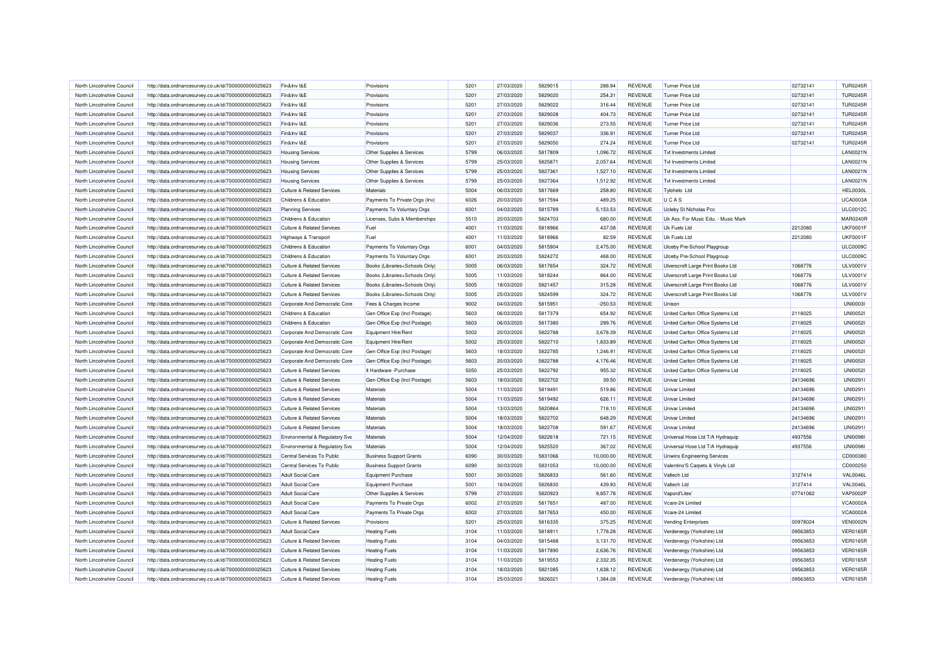| North Lincolnshire Council | http://data.ordnancesurvey.co.uk/id/7000000000025623 | Fin&Inv I&E                                                            | Provisions                                              | 5201 | 27/03/2020 | 5829015 | 288.94    | REVENUE        | Turner Price Ltd                    | 02732141 | <b>TUR0245R</b> |
|----------------------------|------------------------------------------------------|------------------------------------------------------------------------|---------------------------------------------------------|------|------------|---------|-----------|----------------|-------------------------------------|----------|-----------------|
| North Lincolnshire Council | http://data.ordnancesurvey.co.uk/id/7000000000025623 | Fin&Inv I&E                                                            | Provisions                                              | 5201 | 27/03/2020 | 5829020 | 254.31    | <b>REVENUE</b> | <b>Turner Price Ltd</b>             | 02732141 | <b>TUR0245R</b> |
| North Lincolnshire Council | http://data.ordnancesurvey.co.uk/id/7000000000025623 | Fin&Inv I&E                                                            | Provisions                                              | 5201 | 27/03/2020 | 5829022 | 316.44    | <b>REVENUE</b> | Turner Price Ltd                    | 02732141 | <b>TUR0245R</b> |
| North Lincolnshire Council | http://data.ordnancesurvey.co.uk/id/7000000000025623 | Fin&Inv I&E                                                            | Provisions                                              | 5201 | 27/03/2020 | 5829028 | 404.73    | REVENUE        | <b>Turner Price Ltd</b>             | 02732141 | <b>TUR0245R</b> |
| North Lincolnshire Council | http://data.ordnancesurvey.co.uk/id/7000000000025623 | Fin&Inv I&E                                                            | Provisions                                              | 5201 | 27/03/2020 | 5829036 | 273.55    | <b>REVENUE</b> | <b>Turner Price Ltd</b>             | 02732141 | <b>TUR0245R</b> |
| North Lincolnshire Council | http://data.ordnancesurvey.co.uk/id/7000000000025623 | Fin&Inv I&E                                                            | Provisions                                              | 5201 | 27/03/2020 | 5829037 | 336.91    | <b>REVENUE</b> | <b>Turner Price Ltd</b>             | 02732141 | <b>TUR0245R</b> |
|                            |                                                      |                                                                        |                                                         |      |            |         |           |                |                                     |          |                 |
| North Lincolnshire Council | http://data.ordnancesurvey.co.uk/id/7000000000025623 | Fin&Inv I&E                                                            | Provisions                                              | 5201 | 27/03/2020 | 5829050 | 274.24    | <b>REVENUE</b> | <b>Turner Price Ltd</b>             | 02732141 | <b>TUR0245R</b> |
| North Lincolnshire Council | http://data.ordnancesurvey.co.uk/id/7000000000025623 | <b>Housing Services</b>                                                | Other Supplies & Services                               | 5799 | 06/03/2020 | 5817809 | 1.096.72  | <b>REVENUE</b> | Tyt Investments I imited            |          | <b>LAN0021N</b> |
| North Lincolnshire Council | http://data.ordnancesurvey.co.uk/id/7000000000025623 | <b>Housing Services</b>                                                | Other Supplies & Services                               | 5799 | 25/03/2020 | 5825871 | 2,057.64  | <b>REVENUE</b> | Tyt Investments Limited             |          | <b>LAN0021N</b> |
| North Lincolnshire Council | http://data.ordnancesurvey.co.uk/id/7000000000025623 | <b>Housing Services</b>                                                | Other Supplies & Services                               | 5799 | 25/03/2020 | 5827361 | 1,527.10  | <b>REVENUE</b> | <b>Tvt Investments Limited</b>      |          | <b>LAN0021N</b> |
| North Lincolnshire Council | http://data.ordnancesurvey.co.uk/id/7000000000025623 | <b>Housing Services</b>                                                | Other Supplies & Services                               | 5799 | 25/03/2020 | 5827364 | 1,512.92  | REVENUE        | Tyt Investments I imited            |          | <b>LAN0021N</b> |
| North Lincolnshire Council | http://data.ordnancesurvey.co.uk/id/7000000000025623 | <b>Culture &amp; Related Services</b>                                  | Materials                                               | 5004 | 06/03/2020 | 5817669 | 258.80    | REVENUE        | Tylohelo Ltd                        |          | <b>HEL0030L</b> |
| North Lincolnshire Council | http://data.ordnancesurvey.co.uk/id/7000000000025623 | <b>Childrens &amp; Education</b>                                       | Payments To Private Orgs (Inv)                          | 6026 | 20/03/2020 | 5817594 | 489.25    | REVENUE        | UCAS                                |          | <b>UCA0003A</b> |
| North Lincolnshire Council | http://data.ordnancesurvey.co.uk/id/7000000000025623 | <b>Planning Services</b>                                               | Payments To Voluntary Orgs                              | 6001 | 04/03/2020 | 5815789 | 5,153.53  | REVENUE        | Ucleby St Nicholas Pcc              |          | <b>ULC0012C</b> |
| North Lincolnshire Council | http://data.ordnancesurvey.co.uk/id/7000000000025623 | Childrens & Education                                                  | Licenses, Subs & Memberships                            | 5510 | 20/03/2020 | 5824703 | 680.00    | <b>REVENUE</b> | Uk Ass. For Music Edu. - Music Mark |          | MAR0240F        |
| North Lincolnshire Council | http://data.ordnancesurvey.co.uk/id/7000000000025623 | Culture & Related Services                                             | Fuel                                                    | 4001 | 11/03/2020 | 5818966 | 437.08    | <b>REVENUE</b> | Uk Fuels Ltd                        | 2212080  | UKF0001F        |
| North Lincolnshire Council | http://data.ordnancesurvey.co.uk/id/7000000000025623 | Highways & Transport                                                   | Fuel                                                    | 4001 | 11/03/2020 | 5818966 | 82.59     | <b>REVENUE</b> | Uk Fuels Ltd                        | 2212080  | UKF0001F        |
| North Lincolnshire Council | http://data.ordnancesurvey.co.uk/id/7000000000025623 | Childrens & Education                                                  | Payments To Voluntary Orgs                              | 6001 | 04/03/2020 | 5815904 | 2,475.00  | <b>REVENUE</b> | Ulceby Pre-School Playgroup         |          | <b>ULC0009C</b> |
| North Lincolnshire Council | http://data.ordnancesurvey.co.uk/id/7000000000025623 | Childrens & Education                                                  | Payments To Voluntary Orgs                              | 6001 | 20/03/2020 | 5824272 | 468.00    | REVENUE        | Ulceby Pre-School Playgroup         |          | ULC0009C        |
| North Lincolnshire Council | http://data.ordnancesurvey.co.uk/id/7000000000025623 | <b>Culture &amp; Related Services</b>                                  | Books (Libraries+Schools Only)                          | 5005 | 06/03/2020 | 5817654 | 324.72    | <b>REVENUE</b> | Ulverscroft Large Print Books Ltd   | 1068776  | ULV0001V        |
| North Lincolnshire Council | http://data.ordnancesurvey.co.uk/id/7000000000025623 | Culture & Related Services                                             | Books (Libraries+Schools Only)                          | 5005 | 11/03/2020 | 5818244 | 864.00    | REVENUE        | Ulverscroft Large Print Books Ltd   | 1068776  | ULV0001V        |
| North Lincolnshire Council | http://data.ordnancesurvey.co.uk/id/7000000000025623 | <b>Culture &amp; Related Services</b>                                  | Books (Libraries+Schools Only)                          | 5005 | 18/03/2020 | 5821457 | 315.28    | <b>REVENUE</b> | Ulverscroft Large Print Books Ltd   | 1068776  | ULV0001V        |
| North Lincolnshire Council | http://data.ordnancesurvey.co.uk/id/7000000000025623 | <b>Culture &amp; Related Services</b>                                  | Books (Libraries+Schools Only)                          | 5005 | 25/03/2020 | 5824599 | 324.72    | <b>REVENUE</b> | Ulverscroft Large Print Books Ltd   | 1068776  | ULV0001V        |
| North Lincolnshire Council | http://data.ordnancesurvey.co.uk/id/7000000000025623 | Corporate And Democratic Core                                          | Fees & Charges Income                                   | 9002 | 04/03/2020 | 5815951 | $-250.53$ | <b>REVENUE</b> | Unison                              |          | <b>UNI00031</b> |
| North Lincolnshire Council | http://data.ordnancesurvey.co.uk/id/7000000000025623 | Childrens & Education                                                  | Gen Office Exp (Incl Postage)                           | 5603 | 06/03/2020 | 5817379 | 654.92    | <b>REVENUE</b> | United Carlton Office Systems Ltd   | 2118025  | <b>UNI00521</b> |
| North Lincolnshire Council | http://data.ordnancesurvey.co.uk/id/7000000000025623 | Childrens & Education                                                  | Gen Office Exp (Incl Postage)                           | 5603 | 06/03/2020 | 5817380 | 299.76    | <b>REVENUE</b> | United Carlton Office Systems Ltd   | 2118025  | <b>UNI00521</b> |
| North Lincolnshire Council | http://data.ordnancesurvey.co.uk/id/7000000000025623 | Corporate And Democratic Core                                          | Equipment Hire/Rent                                     | 5002 | 20/03/2020 | 5822788 | 3,678.39  | REVENUE        | United Carlton Office Systems Ltd   | 2118025  | <b>UNI00521</b> |
| North Lincolnshire Council | http://data.ordnancesurvey.co.uk/id/7000000000025623 | Corporate And Democratic Core                                          | <b>Equipment Hire/Rent</b>                              | 5002 | 25/03/2020 | 5822710 | 1,833.89  | <b>REVENUE</b> | United Carlton Office Systems Ltd   | 2118025  | <b>UNI00521</b> |
| North Lincolnshire Council | http://data.ordnancesurvey.co.uk/id/7000000000025623 | Corporate And Democratic Core                                          | Gen Office Exp (Incl Postage)                           | 5603 | 18/03/2020 | 5822785 | 1,246.91  | <b>REVENUE</b> | United Carlton Office Systems Ltd   | 2118025  | <b>UNI00521</b> |
| North Lincolnshire Council | http://data.ordnancesurvey.co.uk/id/7000000000025623 |                                                                        |                                                         | 5603 | 20/03/2020 | 5822788 | 4,176.46  | <b>REVENUE</b> | United Carlton Office Systems Ltd   | 2118025  | <b>UNI00521</b> |
| North Lincolnshire Council | http://data.ordnancesurvey.co.uk/id/7000000000025623 | Corporate And Democratic Core<br><b>Culture &amp; Related Services</b> | Gen Office Exp (Incl Postage)<br>It Hardware - Purchase | 5050 | 25/03/2020 | 5822792 | 955.32    | <b>REVENUE</b> | United Carlton Office Systems Ltd   | 2118025  | <b>UNI00521</b> |
|                            |                                                      |                                                                        |                                                         |      |            |         |           |                |                                     |          |                 |
| North Lincolnshire Council | http://data.ordnancesurvey.co.uk/id/7000000000025623 | <b>Culture &amp; Related Services</b>                                  | Gen Office Exp (Incl Postage)                           | 5603 | 18/03/2020 | 5822702 | 39.50     | <b>REVENUE</b> | <b>Univar Limited</b>               | 24134696 | <b>UNI02911</b> |
| North Lincolnshire Council | http://data.ordnancesurvey.co.uk/id/7000000000025623 | <b>Culture &amp; Related Services</b>                                  | Materials                                               | 5004 | 11/03/2020 | 5819491 | 519.86    | REVENUE        | <b>Univar Limited</b>               | 24134696 | UNI02911        |
| North Lincolnshire Council | http://data.ordnancesurvey.co.uk/id/7000000000025623 | <b>Culture &amp; Related Services</b>                                  | Materials                                               | 5004 | 11/03/2020 | 5819492 | 626.11    | <b>REVENUE</b> | Univar Limited                      | 24134696 | UNI02911        |
| North Lincolnshire Council | http://data.ordnancesurvey.co.uk/id/7000000000025623 | Culture & Related Services                                             | Materials                                               | 5004 | 13/03/2020 | 5820864 | 718.10    | REVENUE        | <b>Univar Limited</b>               | 24134696 | UNI0291I        |
| North Lincolnshire Council | http://data.ordnancesurvey.co.uk/id/7000000000025623 | <b>Culture &amp; Related Services</b>                                  | Materials                                               | 5004 | 18/03/2020 | 5822702 | 648.29    | <b>REVENUE</b> | <b>Univar Limited</b>               | 24134696 | UNI02911        |
| North Lincolnshire Council | http://data.ordnancesurvey.co.uk/id/7000000000025623 | <b>Culture &amp; Related Services</b>                                  | Materials                                               | 5004 | 18/03/2020 | 5822708 | 591.67    | REVENUE        | <b>Univar Limited</b>               | 24134696 | <b>UNI02911</b> |
| North Lincolnshire Council | http://data.ordnancesurvey.co.uk/id/7000000000025623 | Environmental & Regulatory Svs                                         | <b>Materials</b>                                        | 5004 | 12/04/2020 | 5822618 | 721.15    | REVENUE        | Universal Hose Ltd T/A Hydraquip    | 4937556  | <b>UNI00981</b> |
| North Lincolnshire Council | http://data.ordnancesurvey.co.uk/id/7000000000025623 | Environmental & Regulatory Svs                                         | Materials                                               | 5004 | 12/04/2020 | 5825520 | 367.02    | <b>REVENUE</b> | Universal Hose Ltd T/A Hydraquip    | 4937556  | <b>UNI00981</b> |
| North Lincolnshire Council | http://data.ordnancesurvey.co.uk/id/7000000000025623 | Central Services To Public                                             | <b>Business Support Grants</b>                          | 6090 | 30/03/2020 | 5831066 | 10,000.00 | <b>REVENUE</b> | <b>Unwins Engineering Services</b>  |          | CD000380        |
| North Lincolnshire Council | http://data.ordnancesurvey.co.uk/id/7000000000025623 | Central Services To Public                                             | <b>Business Support Grants</b>                          | 6090 | 30/03/2020 | 5831053 | 10,000.00 | REVENUE        | Valentino'S Carpets & Vinyls Ltd    |          | CD000250        |
| North Lincolnshire Council | http://data.ordnancesurvey.co.uk/id/7000000000025623 | <b>Adult Social Care</b>                                               | <b>Equipment Purchase</b>                               | 5001 | 30/03/2020 | 5826833 | 561.60    | <b>REVENUE</b> | Valtech Ltd                         | 3127414  | <b>VAL0046L</b> |
| North Lincolnshire Council | http://data.ordnancesurvey.co.uk/id/7000000000025623 | <b>Adult Social Care</b>                                               | <b>Equipment Purchase</b>                               | 5001 | 16/04/2020 | 5826830 | 439.93    | REVENUE        | Valtech Ltd                         | 3127414  | VAL0046L        |
| North Lincolnshire Council | http://data.ordnancesurvey.co.uk/id/7000000000025623 | <b>Adult Social Care</b>                                               | Other Supplies & Services                               | 5799 | 27/03/2020 | 5820923 | 9,857.78  | REVENUE        | Vapord'Lites'                       | 07741062 | <b>VAP0002P</b> |
| North Lincolnshire Council | http://data.ordnancesurvey.co.uk/id/7000000000025623 | <b>Adult Social Care</b>                                               | Payments To Private Orgs                                | 6002 | 27/03/2020 | 5817651 | 487.00    | REVENUE        | Vcare-24 Limited                    |          | <b>VCA0002A</b> |
| North Lincolnshire Council | http://data.ordnancesurvey.co.uk/id/7000000000025623 | <b>Adult Social Care</b>                                               | Payments To Private Orgs                                | 6002 | 27/03/2020 | 5817653 | 450.00    | <b>REVENUE</b> | Vcare-24 Limited                    |          | <b>VCA0002A</b> |
| North Lincolnshire Council | http://data.ordnancesurvey.co.uk/id/7000000000025623 | <b>Culture &amp; Related Services</b>                                  | Provisions                                              | 5201 | 25/03/2020 | 5816335 | 375.25    | <b>REVENUE</b> | Vending Enterprises                 | 00978024 | <b>VEN0002N</b> |
| North Lincolnshire Council | http://data.ordnancesurvey.co.uk/id/7000000000025623 | <b>Adult Social Care</b>                                               | <b>Heating Fuels</b>                                    | 3104 | 11/03/2020 | 5818911 | 1,778.28  | <b>REVENUE</b> | Verdenergy (Yorkshire) Ltd          | 09563853 | <b>VER0165R</b> |
| North Lincolnshire Council | http://data.ordnancesurvey.co.uk/id/7000000000025623 | <b>Culture &amp; Related Services</b>                                  | <b>Heating Fuels</b>                                    | 3104 | 04/03/2020 | 5815488 | 3,131.70  | REVENUE        | Verdenergy (Yorkshire) Ltd          | 09563853 | <b>VER0165R</b> |
| North Lincolnshire Council | http://data.ordnancesurvey.co.uk/id/7000000000025623 | <b>Culture &amp; Related Services</b>                                  | <b>Heating Fuels</b>                                    | 3104 | 11/03/2020 | 5817890 | 2,636.76  | <b>REVENUE</b> | Verdenergy (Yorkshire) Ltd          | 09563853 | <b>VER0165R</b> |
| North Lincolnshire Council | http://data.ordnancesurvey.co.uk/id/7000000000025623 | <b>Culture &amp; Related Services</b>                                  | <b>Heating Fuels</b>                                    | 3104 | 11/03/2020 | 5819553 | 2,332.35  | <b>REVENUE</b> | Verdenergy (Yorkshire) Ltd          | 09563853 | <b>VER0165R</b> |
| North Lincolnshire Council | http://data.ordnancesurvey.co.uk/id/7000000000025623 | <b>Culture &amp; Related Services</b>                                  | <b>Heating Fuels</b>                                    | 3104 | 18/03/2020 | 5821085 | 1,638.12  | <b>REVENUE</b> | Verdenergy (Yorkshire) Ltd          | 09563853 | <b>VER0165R</b> |
| North Lincolnshire Council | http://data.ordnancesurvey.co.uk/id/7000000000025623 | <b>Culture &amp; Related Services</b>                                  | <b>Heating Fuels</b>                                    | 3104 | 25/03/2020 | 5826021 | 1,384.08  | <b>REVENUE</b> | Verdenergy (Yorkshire) Ltd          | 09563853 | <b>VER0165R</b> |
|                            |                                                      |                                                                        |                                                         |      |            |         |           |                |                                     |          |                 |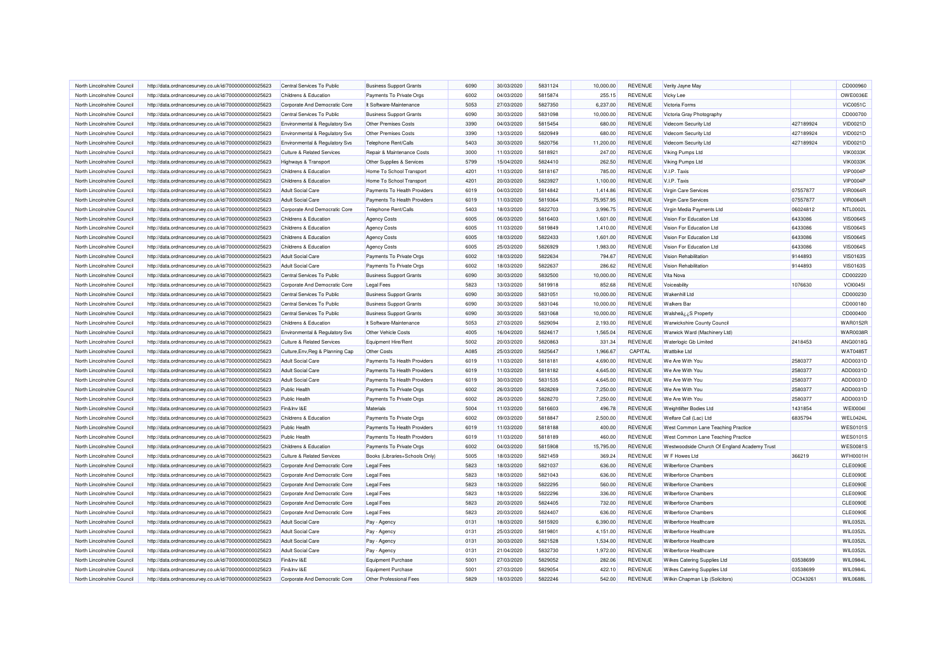| North Lincolnshire Council | http://data.ordnancesurvey.co.uk/id/7000000000025623 | Central Services To Public            | <b>Business Support Grants</b> | 6090 | 30/03/2020 | 5831124 | 10,000.00 | <b>REVENUE</b> | Verity Jayne May                             |           | CD000960                    |
|----------------------------|------------------------------------------------------|---------------------------------------|--------------------------------|------|------------|---------|-----------|----------------|----------------------------------------------|-----------|-----------------------------|
| North Lincolnshire Council | http://data.ordnancesurvey.co.uk/id/7000000000025623 | Childrens & Education                 | Payments To Private Orgs       | 6002 | 04/03/2020 | 5815874 | 255.15    | <b>REVENUE</b> | Vicky Lee                                    |           | OWE0036E                    |
| North Lincolnshire Council | http://data.ordnancesurvey.co.uk/id/7000000000025623 | Corporate And Democratic Core         | It Software-Maintenance        | 5053 | 27/03/2020 | 5827350 | 6,237.00  | <b>REVENUE</b> | Victoria Forms                               |           | <b>VIC0051C</b>             |
| North Lincolnshire Council | http://data.ordnancesurvey.co.uk/id/7000000000025623 | Central Services To Public            | <b>Business Support Grants</b> | 6090 | 30/03/2020 | 5831098 | 10,000.00 | <b>REVENUE</b> | Victoria Gray Photography                    |           | CD000700                    |
| North Lincolnshire Council | http://data.ordnancesurvey.co.uk/id/7000000000025623 | Environmental & Regulatory Svs        | Other Premises Costs           | 3390 | 04/03/2020 | 5815454 | 680.00    | REVENUE        | Videcom Security Ltd                         | 427189924 | VID0021D                    |
| North Lincolnshire Council | http://data.ordnancesurvey.co.uk/id/7000000000025623 | Environmental & Regulatory Svs        | Other Premises Costs           | 3390 | 13/03/2020 | 5820949 | 680.00    | <b>REVENUE</b> | Videcom Security Ltd                         | 427189924 | <b>VID0021D</b>             |
| North Lincolnshire Council | http://data.ordnancesurvey.co.uk/id/7000000000025623 | Environmental & Regulatory Svs        | Telephone Rent/Calls           | 5403 | 30/03/2020 | 5820756 | 11,200.00 | REVENUE        | Videcom Security Ltd                         | 427189924 | <b>VID0021D</b>             |
| North Lincolnshire Council | http://data.ordnancesurvey.co.uk/id/7000000000025623 | <b>Culture &amp; Related Services</b> | Repair & Maintenance Costs     | 3000 | 11/03/2020 | 5818921 | 247.00    | REVENUE        | Viking Pumps Ltd                             |           | <b>VIK0033K</b>             |
| North Lincolnshire Council | http://data.ordnancesurvey.co.uk/id/7000000000025623 | Highways & Transport                  | Other Supplies & Services      | 5799 | 15/04/2020 | 5824410 | 262.50    | <b>REVENUE</b> | Viking Pumps Ltd                             |           | <b>VIK0033K</b>             |
| North Lincolnshire Council | http://data.ordnancesurvey.co.uk/id/7000000000025623 | Childrens & Education                 | Home To School Transport       | 4201 | 11/03/2020 | 5818167 | 785.00    | <b>REVENUE</b> | V.I.P. Taxis                                 |           | <b>VIP0004P</b>             |
| North Lincolnshire Council | http://data.ordnancesurvey.co.uk/id/7000000000025623 | <b>Childrens &amp; Education</b>      | Home To School Transport       | 4201 | 20/03/2020 | 5823927 | 1,100.00  | <b>REVENUE</b> | V.I.P. Taxis                                 |           | <b>VIP0004P</b>             |
| North Lincolnshire Council | http://data.ordnancesurvey.co.uk/id/7000000000025623 | <b>Adult Social Care</b>              | Payments To Health Providers   | 6019 | 04/03/2020 | 5814842 | 1.414.86  | <b>REVENUE</b> | Virgin Care Services                         | 07557877  | <b>VIR0064R</b>             |
| North Lincolnshire Council | http://data.ordnancesurvey.co.uk/id/7000000000025623 | <b>Adult Social Care</b>              | Payments To Health Providers   | 6019 | 11/03/2020 | 5819364 | 75,957.95 | <b>REVENUE</b> | Virgin Care Services                         | 07557877  | <b>VIR0064R</b>             |
| North Lincolnshire Council | http://data.ordnancesurvey.co.uk/id/7000000000025623 | Corporate And Democratic Core         | Telephone Rent/Calls           | 5403 | 18/03/2020 | 5822703 | 3,996.75  | REVENUE        | Virgin Media Payments Ltd                    | 06024812  | NTL0002L                    |
| North Lincolnshire Council | http://data.ordnancesurvey.co.uk/id/7000000000025623 | Childrens & Education                 | <b>Agency Costs</b>            | 6005 | 06/03/2020 | 5816403 | 1,601.00  | REVENUE        | Vision For Education Ltd                     | 6433086   | <b>VIS0064S</b>             |
| North Lincolnshire Council | http://data.ordnancesurvey.co.uk/id/7000000000025623 | Childrens & Education                 | <b>Agency Costs</b>            | 6005 | 11/03/2020 | 5819849 | 1,410.00  | REVENUE        | Vision For Education Ltd                     | 6433086   | <b>VIS0064S</b>             |
| North Lincolnshire Council | http://data.ordnancesurvey.co.uk/id/7000000000025623 | Childrens & Education                 | <b>Agency Costs</b>            | 6005 | 18/03/2020 | 5822433 | 1,601.00  | <b>REVENUE</b> | Vision For Education Ltd                     | 6433086   | <b>VIS0064S</b>             |
| North Lincolnshire Council | http://data.ordnancesurvey.co.uk/id/7000000000025623 | Childrens & Education                 | <b>Agency Costs</b>            | 6005 | 25/03/2020 | 5826929 | 1,983.00  | <b>REVENUE</b> | Vision For Education Ltd                     | 6433086   | <b>VIS0064S</b>             |
| North Lincolnshire Council | http://data.ordnancesurvey.co.uk/id/7000000000025623 | <b>Adult Social Care</b>              | Payments To Private Orgs       | 6002 | 18/03/2020 | 5822634 | 794.67    | <b>REVENUE</b> | Vision Rehabilitation                        | 9144893   | <b>VIS0163S</b>             |
| North Lincolnshire Council | http://data.ordnancesurvey.co.uk/id/7000000000025623 | <b>Adult Social Care</b>              | Payments To Private Orgs       | 6002 | 18/03/2020 | 5822637 | 286.62    | <b>REVENUE</b> | Vision Rehabilitation                        | 9144893   | <b>VIS0163S</b>             |
| North Lincolnshire Council | http://data.ordnancesurvey.co.uk/id/7000000000025623 | Central Services To Public            | <b>Business Support Grants</b> | 6090 | 30/03/2020 | 5832500 | 10,000.00 | <b>REVENUE</b> | Vita Nova                                    |           | CD002220                    |
|                            |                                                      |                                       |                                |      |            |         |           |                |                                              |           |                             |
| North Lincolnshire Council | http://data.ordnancesurvey.co.uk/id/7000000000025623 | Corporate And Democratic Core         | <b>Legal Fees</b>              | 5823 | 13/03/2020 | 5819918 | 852.68    | REVENUE        | Voiceability                                 | 1076630   | <b>VOI00451</b><br>CD000230 |
| North Lincolnshire Council | http://data.ordnancesurvey.co.uk/id/7000000000025623 | Central Services To Public            | <b>Business Support Grants</b> | 6090 | 30/03/2020 | 5831051 | 10,000.00 | <b>REVENUE</b> | <b>Wakenhill Ltd</b>                         |           |                             |
| North Lincolnshire Council | http://data.ordnancesurvey.co.uk/id/7000000000025623 | Central Services To Public            | <b>Business Support Grants</b> | 6090 | 30/03/2020 | 5831046 | 10.000.00 | <b>REVENUE</b> | <b>Walkers Ba</b>                            |           | CD000180                    |
| North Lincolnshire Council | http://data.ordnancesurvey.co.uk/id/7000000000025623 | Central Services To Public            | <b>Business Support Grants</b> | 6090 | 30/03/2020 | 5831068 | 10,000.00 | <b>REVENUE</b> | Walsheaz ¿S Property                         |           | CD000400                    |
| North Lincolnshire Council | http://data.ordnancesurvey.co.uk/id/7000000000025623 | Childrens & Education                 | It Software-Maintenance        | 5053 | 27/03/2020 | 5829094 | 2,193.00  | <b>REVENUE</b> | Warwickshire County Council                  |           | <b>WAR0152R</b>             |
| North Lincolnshire Council | http://data.ordnancesurvey.co.uk/id/7000000000025623 | Environmental & Regulatory Svs        | <b>Other Vehicle Costs</b>     | 4005 | 16/04/2020 | 5824617 | 1,565.04  | <b>REVENUE</b> | Warwick Ward (Machinery Ltd)                 |           | <b>WAR0038R</b>             |
| North Lincolnshire Council | http://data.ordnancesurvey.co.uk/id/7000000000025623 | <b>Culture &amp; Related Services</b> | Equipment Hire/Rent            | 5002 | 20/03/2020 | 5820863 | 331.34    | REVENUE        | <b>Waterlogic Gb Limited</b>                 | 2418453   | ANG0018G                    |
| North Lincolnshire Council | http://data.ordnancesurvey.co.uk/id/7000000000025623 | Culture, Env, Reg & Planning Cap      | <b>Other Costs</b>             | A085 | 25/03/2020 | 5825647 | 1,966.67  | CAPITAL        | <b>Wattbike Ltd</b>                          |           | WAT04851                    |
| North Lincolnshire Council | http://data.ordnancesurvey.co.uk/id/7000000000025623 | <b>Adult Social Care</b>              | Payments To Health Providers   | 6019 | 11/03/2020 | 5818181 | 4,690.00  | <b>REVENUE</b> | We Are With You                              | 2580377   | ADD0031D                    |
| North Lincolnshire Council | http://data.ordnancesurvey.co.uk/id/7000000000025623 | <b>Adult Social Care</b>              | Payments To Health Providers   | 6019 | 11/03/2020 | 5818182 | 4,645.00  | REVENUE        | We Are With You                              | 2580377   | ADD0031D                    |
| North Lincolnshire Council | http://data.ordnancesurvey.co.uk/id/7000000000025623 | <b>Adult Social Care</b>              | Payments To Health Providers   | 6019 | 30/03/2020 | 5831535 | 4,645.00  | REVENUE        | We Are With You                              | 2580377   | ADD0031D                    |
| North Lincolnshire Council | http://data.ordnancesurvey.co.uk/id/7000000000025623 | <b>Public Health</b>                  | Payments To Private Orgs       | 6002 | 26/03/2020 | 5828269 | 7,250.00  | <b>REVENUE</b> | We Are With You                              | 2580377   | ADD0031D                    |
| North Lincolnshire Council | http://data.ordnancesurvey.co.uk/id/7000000000025623 | Public Health                         | Payments To Private Orgs       | 6002 | 26/03/2020 | 5828270 | 7,250.00  | REVENUE        | We Are With You                              | 2580377   | ADD0031D                    |
| North Lincolnshire Council | http://data.ordnancesurvey.co.uk/id/7000000000025623 | Fin&Inv I&E                           | Materials                      | 5004 | 11/03/2020 | 5816603 | 496.78    | <b>REVENUE</b> | Weightlifter Bodies Ltd                      | 1431854   | <b>WEI0004I</b>             |
| North Lincolnshire Council | http://data.ordnancesurvey.co.uk/id/7000000000025623 | Childrens & Education                 | Payments To Private Orgs       | 6002 | 09/03/2020 | 5818847 | 2,500.00  | REVENUE        | Welfare Call (Lac) Ltd                       | 6835794   | WEL0424L                    |
| North Lincolnshire Council | http://data.ordnancesurvey.co.uk/id/7000000000025623 | <b>Public Health</b>                  | Payments To Health Providers   | 6019 | 11/03/2020 | 5818188 | 400.00    | <b>REVENUE</b> | West Common Lane Teaching Practice           |           | <b>WES01019</b>             |
| North Lincolnshire Council | http://data.ordnancesurvey.co.uk/id/7000000000025623 | Public Health                         | Payments To Health Providers   | 6019 | 11/03/2020 | 5818189 | 460.00    | <b>REVENUE</b> | West Common Lane Teaching Practice           |           | <b>WES01019</b>             |
| North Lincolnshire Council | http://data.ordnancesurvey.co.uk/id/7000000000025623 | Childrens & Education                 | Payments To Private Orgs       | 6002 | 04/03/2020 | 5815908 | 15,795.00 | REVENUE        | Westwoodside Church Of England Academy Trust |           | <b>WES00819</b>             |
| North Lincolnshire Council | http://data.ordnancesurvey.co.uk/id/7000000000025623 | <b>Culture &amp; Related Services</b> | Books (Libraries+Schools Only) | 5005 | 18/03/2020 | 5821459 | 369.24    | <b>REVENUE</b> | W F Howes Ltd                                | 366219    | <b>WFH0001H</b>             |
| North Lincolnshire Council | http://data.ordnancesurvey.co.uk/id/7000000000025623 | Corporate And Democratic Core         | Legal Fees                     | 5823 | 18/03/2020 | 5821037 | 636.00    | REVENUE        | <b>Wilberforce Chambers</b>                  |           | <b>CLE0090E</b>             |
| North Lincolnshire Council | http://data.ordnancesurvey.co.uk/id/7000000000025623 | Corporate And Democratic Core         | <b>Legal Fees</b>              | 5823 | 18/03/2020 | 5821043 | 636.00    | <b>REVENUE</b> | <b>Wilberforce Chambers</b>                  |           | CLE0090E                    |
| North Lincolnshire Council | http://data.ordnancesurvey.co.uk/id/7000000000025623 | Corporate And Democratic Core         | Legal Fees                     | 5823 | 18/03/2020 | 5822295 | 560.00    | REVENUE        | <b>Wilberforce Chambers</b>                  |           | CLE0090E                    |
| North Lincolnshire Council | http://data.ordnancesurvey.co.uk/id/7000000000025623 | Corporate And Democratic Core         | Legal Fees                     | 5823 | 18/03/2020 | 5822296 | 336.00    | <b>REVENUE</b> | <b>Wilberforce Chambers</b>                  |           | CLE0090E                    |
| North Lincolnshire Council | http://data.ordnancesurvey.co.uk/id/7000000000025623 | Corporate And Democratic Core         | <b>Legal Fees</b>              | 5823 | 20/03/2020 | 5824405 | 732.00    | <b>REVENUE</b> | Wilherforce Chambers                         |           | CLE0090E                    |
| North Lincolnshire Council | http://data.ordnancesurvey.co.uk/id/7000000000025623 | Corporate And Democratic Core         | Legal Fees                     | 5823 | 20/03/2020 | 5824407 | 636.00    | <b>REVENUE</b> | <b>Wilberforce Chambers</b>                  |           | CLE0090E                    |
| North Lincolnshire Council | http://data.ordnancesurvey.co.uk/id/7000000000025623 | <b>Adult Social Care</b>              | Pay - Agency                   | 0131 | 18/03/2020 | 5815920 | 6,390.00  | REVENUE        | Wilberforce Healthcare                       |           | WIL0352L                    |
| North Lincolnshire Council | http://data.ordnancesurvey.co.uk/id/7000000000025623 | <b>Adult Social Care</b>              | Pay - Agency                   | 0131 | 25/03/2020 | 5819801 | 4,151.00  | <b>REVENUE</b> | Wilberforce Healthcare                       |           | WIL0352L                    |
| North Lincolnshire Council | http://data.ordnancesurvey.co.uk/id/7000000000025623 | <b>Adult Social Care</b>              | Pay - Agency                   | 0131 | 30/03/2020 | 5821528 | 1,534.00  | REVENUE        | Wilberforce Healthcare                       |           | <b>WIL0352L</b>             |
| North Lincolnshire Council | http://data.ordnancesurvey.co.uk/id/7000000000025623 | <b>Adult Social Care</b>              | Pay - Agency                   | 0131 | 21/04/2020 | 5832730 | 1,972.00  | REVENUE        | Wilberforce Healthcare                       |           | WIL0352L                    |
| North Lincolnshire Council | http://data.ordnancesurvey.co.uk/id/7000000000025623 | Fin&Inv I&E                           | <b>Equipment Purchase</b>      | 5001 | 27/03/2020 | 5829052 | 282.06    | REVENUE        | <b>Wilkes Catering Supplies Ltd</b>          | 03538699  | <b>WIL0984L</b>             |
| North Lincolnshire Council | http://data.ordnancesurvey.co.uk/id/7000000000025623 | Fin&Inv I&E                           | <b>Equipment Purchase</b>      | 5001 | 27/03/2020 | 5829054 | 422.10    | <b>REVENUE</b> | <b>Wilkes Catering Supplies Ltd</b>          | 03538699  | <b>WIL0984L</b>             |
| North Lincolnshire Council | http://data.ordnancesurvey.co.uk/id/7000000000025623 | Corporate And Democratic Core         | Other Professional Fees        | 5829 | 18/03/2020 | 5822246 | 542.00    | REVENUE        | Wilkin Chapman Llp (Solicitors)              | OC343261  | <b>WIL0688L</b>             |